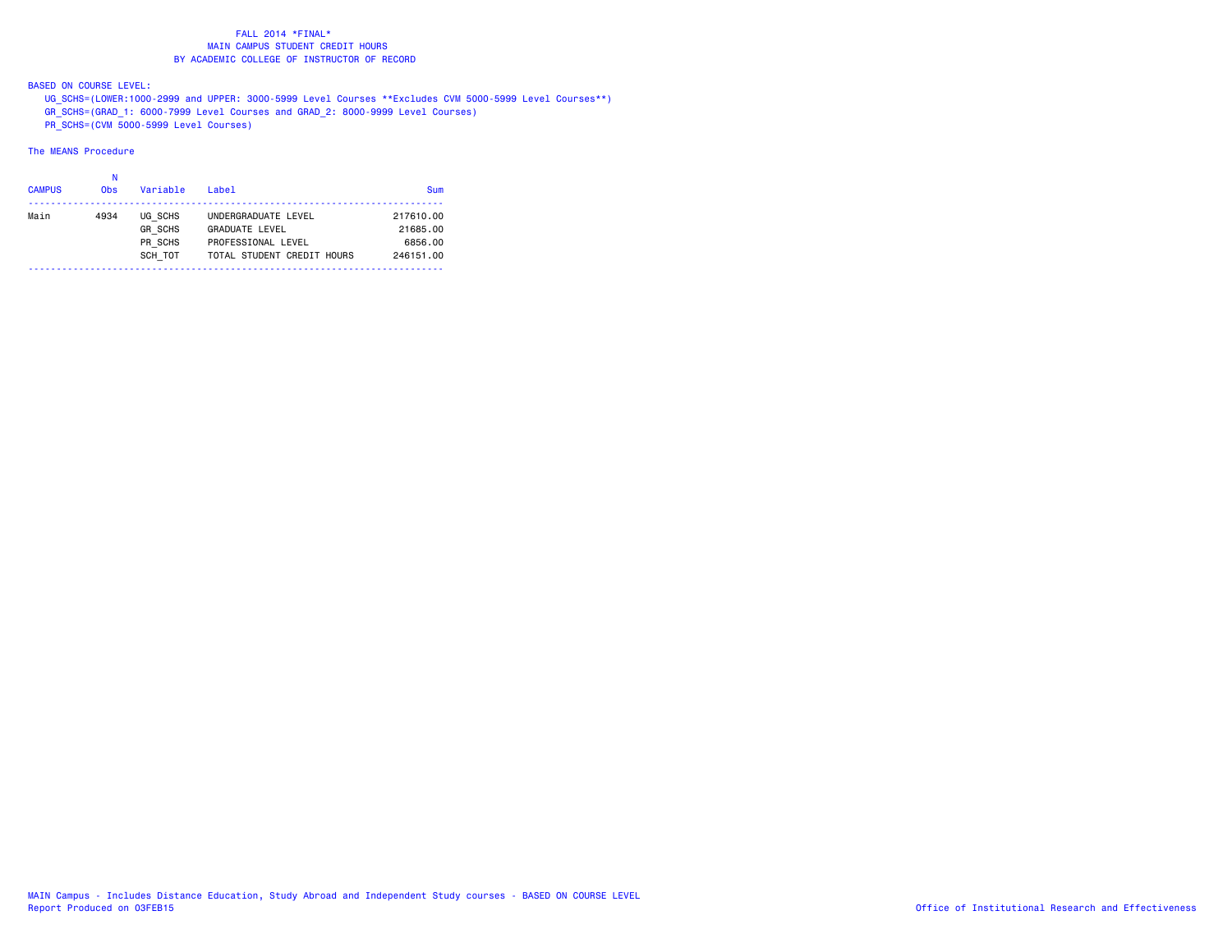BASED ON COURSE LEVEL:

UG\_SCHS=(LOWER:1000-2999 and UPPER: 3000-5999 Level Courses \*\*Excludes CVM 5000-5999 Level Courses\*\*)

GR\_SCHS=(GRAD\_1: 6000-7999 Level Courses and GRAD\_2: 8000-9999 Level Courses)

PR\_SCHS=(CVM 5000-5999 Level Courses)

| <b>CAMPUS</b> | 0 <sub>bs</sub> | Variable       | Label                      | Sum       |
|---------------|-----------------|----------------|----------------------------|-----------|
| Main          | 4934            | UG SCHS        | UNDERGRADUATE LEVEL        | 217610.00 |
|               |                 | <b>GR SCHS</b> | <b>GRADUATE LEVEL</b>      | 21685.00  |
|               |                 | PR SCHS        | PROFESSIONAL LEVEL         | 6856.00   |
|               |                 | SCH TOT        | TOTAL STUDENT CREDIT HOURS | 246151.00 |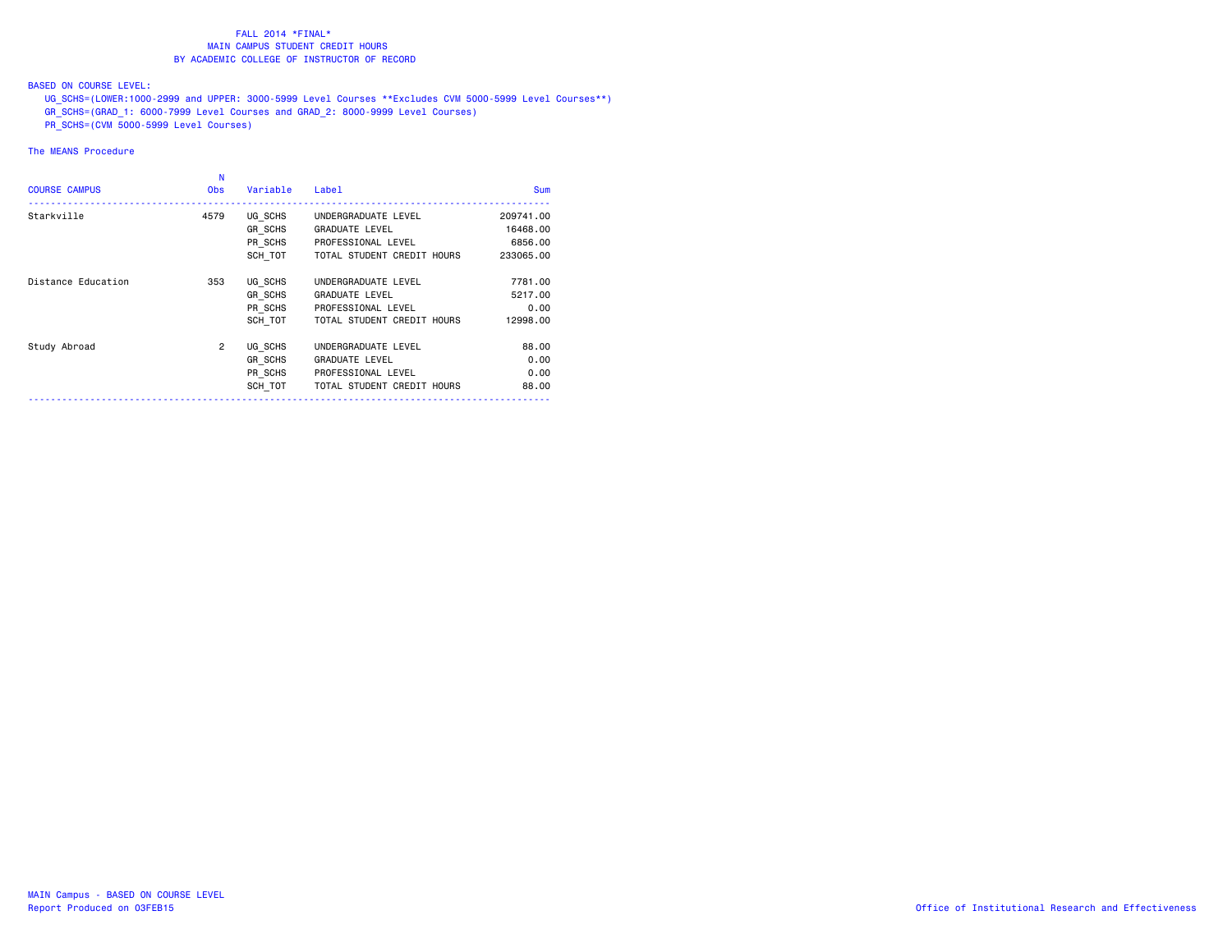BASED ON COURSE LEVEL:

UG\_SCHS=(LOWER:1000-2999 and UPPER: 3000-5999 Level Courses \*\*Excludes CVM 5000-5999 Level Courses\*\*)

- GR\_SCHS=(GRAD\_1: 6000-7999 Level Courses and GRAD\_2: 8000-9999 Level Courses)
- PR\_SCHS=(CVM 5000-5999 Level Courses)

| <b>COURSE CAMPUS</b> | N<br><b>Obs</b> | Variable | Label                                                      | <b>Sum</b> |
|----------------------|-----------------|----------|------------------------------------------------------------|------------|
| Starkville           | 4579            | UG SCHS  | ___________________________________<br>UNDERGRADUATE LEVEL | 209741.00  |
|                      |                 | GR SCHS  | <b>GRADUATE LEVEL</b>                                      | 16468,00   |
|                      |                 | PR SCHS  | PROFESSIONAL LEVEL                                         | 6856.00    |
|                      |                 | SCH TOT  | TOTAL STUDENT CREDIT HOURS                                 | 233065,00  |
| Distance Education   | 353             | UG SCHS  | UNDERGRADUATE LEVEL                                        | 7781.00    |
|                      |                 | GR SCHS  | <b>GRADUATE LEVEL</b>                                      | 5217,00    |
|                      |                 | PR SCHS  | PROFESSIONAL LEVEL                                         | 0.00       |
|                      |                 | SCH TOT  | TOTAL STUDENT CREDIT HOURS                                 | 12998.00   |
| Study Abroad         | $\overline{2}$  | UG SCHS  | UNDERGRADUATE LEVEL                                        | 88,00      |
|                      |                 | GR SCHS  | <b>GRADUATE LEVEL</b>                                      | 0.00       |
|                      |                 | PR SCHS  | PROFESSIONAL LEVEL                                         | 0.00       |
|                      |                 | SCH TOT  | TOTAL STUDENT CREDIT HOURS                                 | 88.00      |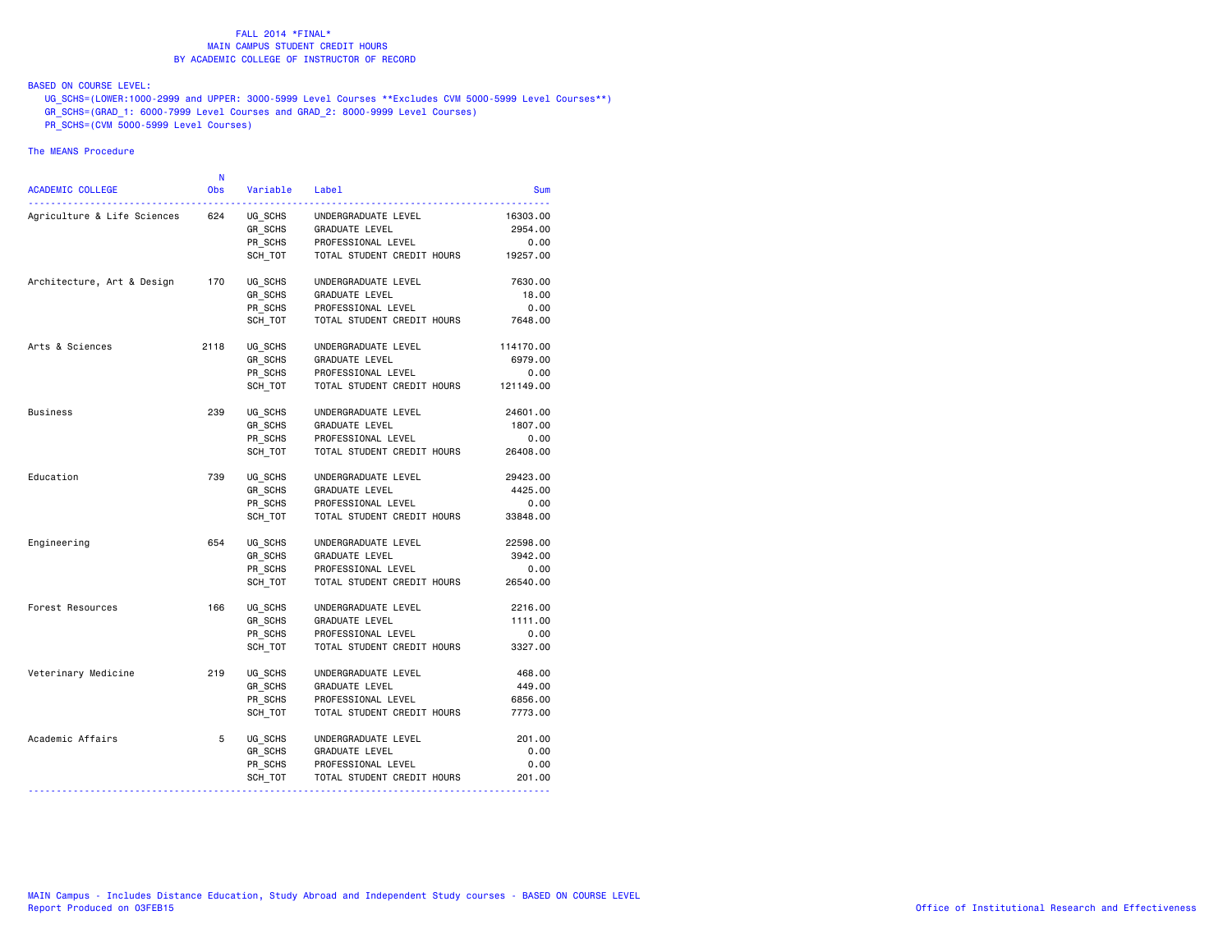# BASED ON COURSE LEVEL:

UG\_SCHS=(LOWER:1000-2999 and UPPER: 3000-5999 Level Courses \*\*Excludes CVM 5000-5999 Level Courses\*\*)

- GR\_SCHS=(GRAD\_1: 6000-7999 Level Courses and GRAD\_2: 8000-9999 Level Courses)
- PR\_SCHS=(CVM 5000-5999 Level Courses)

| <b>ACADEMIC COLLEGE</b>     | N<br><b>Obs</b> | Variable                      | Label                                                       | Sum                         |
|-----------------------------|-----------------|-------------------------------|-------------------------------------------------------------|-----------------------------|
| Agriculture & Life Sciences | 624             | UG SCHS<br>GR SCHS<br>PR SCHS | UNDERGRADUATE LEVEL<br>GRADUATE LEVEL<br>PROFESSIONAL LEVEL | 16303.00<br>2954.00<br>0.00 |
|                             |                 | SCH TOT                       | TOTAL STUDENT CREDIT HOURS                                  | 19257.00                    |
| Architecture, Art & Design  | 170             | UG SCHS                       | UNDERGRADUATE LEVEL                                         | 7630.00                     |
|                             |                 | GR_SCHS                       | GRADUATE LEVEL                                              | 18.00                       |
|                             |                 | PR SCHS<br>SCH TOT            | PROFESSIONAL LEVEL<br>TOTAL STUDENT CREDIT HOURS            | 0.00<br>7648.00             |
| Arts & Sciences             | 2118            | UG_SCHS                       | UNDERGRADUATE LEVEL                                         | 114170.00                   |
|                             |                 | GR SCHS                       | GRADUATE LEVEL                                              | 6979.00                     |
|                             |                 | PR SCHS                       | PROFESSIONAL LEVEL                                          | 0.00                        |
|                             |                 | SCH TOT                       | TOTAL STUDENT CREDIT HOURS                                  | 121149.00                   |
| Business                    | 239             | UG SCHS                       | UNDERGRADUATE LEVEL                                         | 24601.00                    |
|                             |                 | GR SCHS                       | GRADUATE LEVEL                                              | 1807.00                     |
|                             |                 | PR SCHS                       | PROFESSIONAL LEVEL                                          | 0.00                        |
|                             |                 | SCH TOT                       | TOTAL STUDENT CREDIT HOURS                                  | 26408.00                    |
| Education                   | 739             | UG SCHS                       | UNDERGRADUATE LEVEL                                         | 29423.00                    |
|                             |                 | GR_SCHS                       | GRADUATE LEVEL                                              | 4425.00                     |
|                             |                 | PR_SCHS                       | PROFESSIONAL LEVEL                                          | 0.00                        |
|                             |                 | SCH TOT                       | TOTAL STUDENT CREDIT HOURS                                  | 33848.00                    |
| Engineering                 | 654             | UG SCHS                       | UNDERGRADUATE LEVEL                                         | 22598.00                    |
|                             |                 | GR SCHS                       | <b>GRADUATE LEVEL</b>                                       | 3942.00                     |
|                             |                 | PR_SCHS                       | PROFESSIONAL LEVEL                                          | 0.00                        |
|                             |                 | SCH_TOT                       | TOTAL STUDENT CREDIT HOURS                                  | 26540.00                    |
| Forest Resources            | 166             | UG SCHS                       | UNDERGRADUATE LEVEL                                         | 2216.00                     |
|                             |                 | GR SCHS                       | GRADUATE LEVEL                                              | 1111.00                     |
|                             |                 | PR SCHS                       | PROFESSIONAL LEVEL                                          | 0.00                        |
|                             |                 | SCH TOT                       | TOTAL STUDENT CREDIT HOURS                                  | 3327.00                     |
| Veterinary Medicine         | 219             | UG SCHS                       | UNDERGRADUATE LEVEL                                         | 468.00                      |
|                             |                 | GR SCHS                       | GRADUATE LEVEL                                              | 449.00                      |
|                             |                 | PR SCHS                       | PROFESSIONAL LEVEL                                          | 6856.00                     |
|                             |                 | SCH TOT                       | TOTAL STUDENT CREDIT HOURS                                  | 7773.00                     |
| Academic Affairs            | 5               | UG_SCHS                       | UNDERGRADUATE LEVEL                                         | 201.00                      |
|                             |                 | GR_SCHS                       | GRADUATE LEVEL                                              | 0.00                        |
|                             |                 | PR SCHS                       | PROFESSIONAL LEVEL                                          | 0.00                        |
|                             |                 | SCH_TOT                       | TOTAL STUDENT CREDIT HOURS                                  | 201.00                      |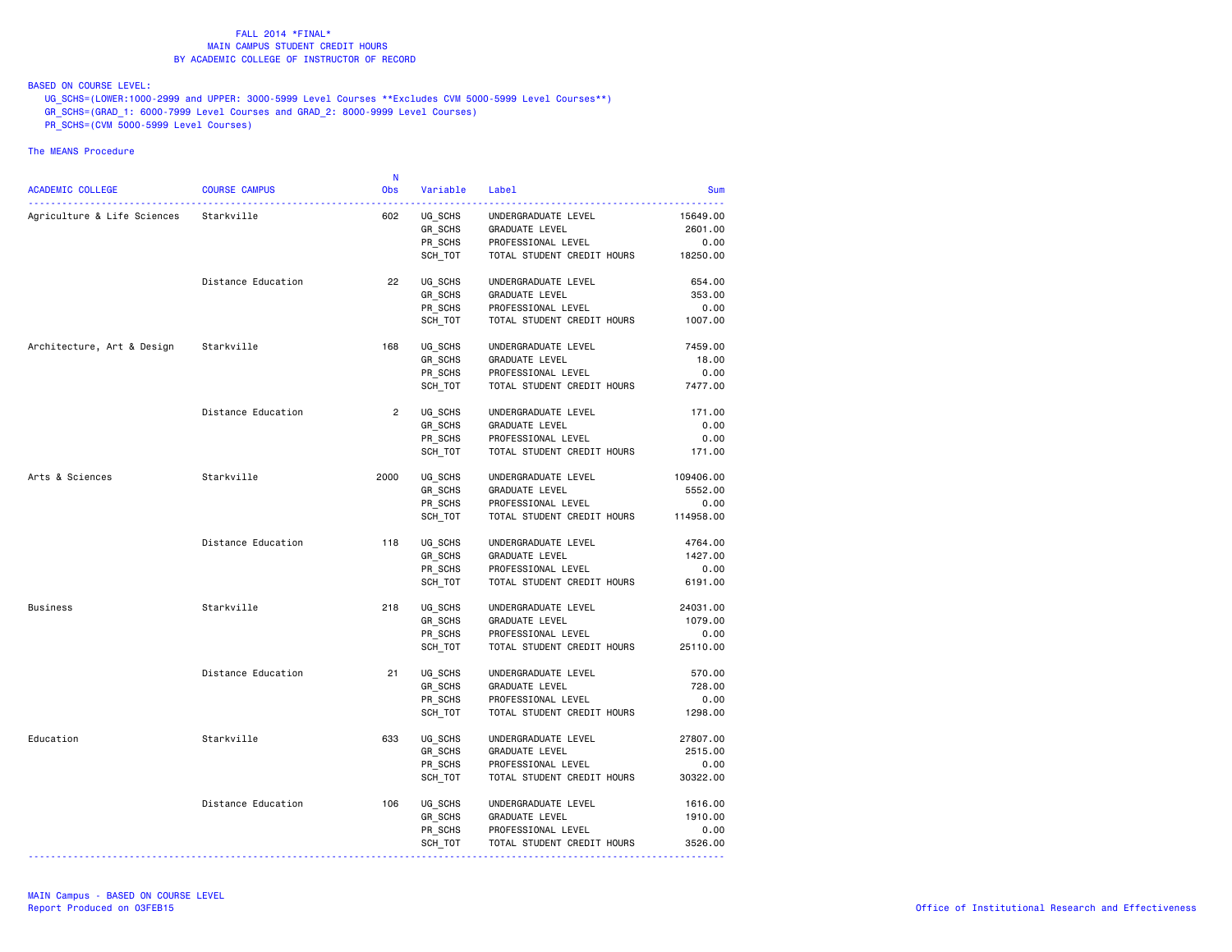BASED ON COURSE LEVEL:

UG\_SCHS=(LOWER:1000-2999 and UPPER: 3000-5999 Level Courses \*\*Excludes CVM 5000-5999 Level Courses\*\*)

- GR\_SCHS=(GRAD\_1: 6000-7999 Level Courses and GRAD\_2: 8000-9999 Level Courses)
- PR\_SCHS=(CVM 5000-5999 Level Courses)

|                                        |                      | -N             |                    |                                      |                     |
|----------------------------------------|----------------------|----------------|--------------------|--------------------------------------|---------------------|
| ACADEMIC COLLEGE                       | <b>COURSE CAMPUS</b> | Obs            | Variable           | Label                                | <b>Sum</b>          |
| Agriculture & Life Sciences Starkville | .                    | 602            | UG SCHS            | UNDERGRADUATE LEVEL                  | 15649.00            |
|                                        |                      |                | GR SCHS            | GRADUATE LEVEL                       | 2601.00             |
|                                        |                      |                | PR SCHS            | PROFESSIONAL LEVEL                   | 0.00                |
|                                        |                      |                | SCH_TOT            | TOTAL STUDENT CREDIT HOURS           | 18250.00            |
|                                        |                      |                |                    |                                      |                     |
|                                        | Distance Education   | 22             | UG_SCHS            | UNDERGRADUATE LEVEL                  | 654.00              |
|                                        |                      |                | GR_SCHS            | GRADUATE LEVEL                       | 353.00              |
|                                        |                      |                | PR_SCHS            | PROFESSIONAL LEVEL                   | 0.00                |
|                                        |                      |                | SCH TOT            | TOTAL STUDENT CREDIT HOURS           | 1007.00             |
| Architecture, Art & Design Starkville  |                      | 168            | UG_SCHS            | UNDERGRADUATE LEVEL                  | 7459.00             |
|                                        |                      |                | GR_SCHS            | GRADUATE LEVEL                       | 18.00               |
|                                        |                      |                | PR SCHS            | PROFESSIONAL LEVEL                   | 0.00                |
|                                        |                      |                | SCH TOT            | TOTAL STUDENT CREDIT HOURS           | 7477.00             |
|                                        |                      |                |                    |                                      |                     |
|                                        | Distance Education   | $\overline{2}$ | UG SCHS            | UNDERGRADUATE LEVEL                  | 171.00              |
|                                        |                      |                | GR_SCHS            | GRADUATE LEVEL                       | 0.00                |
|                                        |                      |                | PR SCHS            | PROFESSIONAL LEVEL                   | 0.00                |
|                                        |                      |                | SCH_TOT            | TOTAL STUDENT CREDIT HOURS           | 171.00              |
| Arts & Sciences                        | Starkville           | 2000           | UG SCHS            | UNDERGRADUATE LEVEL                  | 109406.00           |
|                                        |                      |                | GR_SCHS            | <b>GRADUATE LEVEL</b>                | 5552.00             |
|                                        |                      |                | PR SCHS            | PROFESSIONAL LEVEL                   | 0.00                |
|                                        |                      |                | SCH_TOT            | TOTAL STUDENT CREDIT HOURS           | 114958.00           |
|                                        | Distance Education   | 118            | UG_SCHS            | UNDERGRADUATE LEVEL                  | 4764.00             |
|                                        |                      |                | GR_SCHS            | GRADUATE LEVEL                       | 1427.00             |
|                                        |                      |                | PR_SCHS            | PROFESSIONAL LEVEL                   | 0.00                |
|                                        |                      |                | SCH_TOT            | TOTAL STUDENT CREDIT HOURS           | 6191.00             |
|                                        |                      |                |                    |                                      |                     |
| Business                               | Starkville           | 218            | UG_SCHS            | UNDERGRADUATE LEVEL                  | 24031.00            |
|                                        |                      |                | GR SCHS            | GRADUATE LEVEL                       | 1079.00             |
|                                        |                      |                | PR SCHS            | PROFESSIONAL LEVEL                   | 0.00                |
|                                        |                      |                | SCH_TOT            | TOTAL STUDENT CREDIT HOURS           | 25110.00            |
|                                        | Distance Education   | 21             | UG SCHS            | UNDERGRADUATE LEVEL                  | 570.00              |
|                                        |                      |                | GR_SCHS            | <b>GRADUATE LEVEL</b>                | 728.00              |
|                                        |                      |                | PR_SCHS            | PROFESSIONAL LEVEL                   | 0.00                |
|                                        |                      |                | SCH TOT            | TOTAL STUDENT CREDIT HOURS           | 1298.00             |
|                                        |                      |                |                    |                                      |                     |
| Education                              | Starkville           | 633            | UG SCHS            | UNDERGRADUATE LEVEL                  | 27807.00<br>2515.00 |
|                                        |                      |                | GR_SCHS<br>PR SCHS | GRADUATE LEVEL<br>PROFESSIONAL LEVEL |                     |
|                                        |                      |                | SCH_TOT            | TOTAL STUDENT CREDIT HOURS           | 0.00<br>30322.00    |
|                                        |                      |                |                    |                                      |                     |
|                                        | Distance Education   | 106            | UG_SCHS            | UNDERGRADUATE LEVEL                  | 1616.00             |
|                                        |                      |                | GR_SCHS            | GRADUATE LEVEL                       | 1910.00             |
|                                        |                      |                | PR SCHS            | PROFESSIONAL LEVEL                   | 0.00                |
|                                        |                      |                | SCH_TOT            | TOTAL STUDENT CREDIT HOURS           | 3526.00             |
|                                        |                      |                |                    |                                      |                     |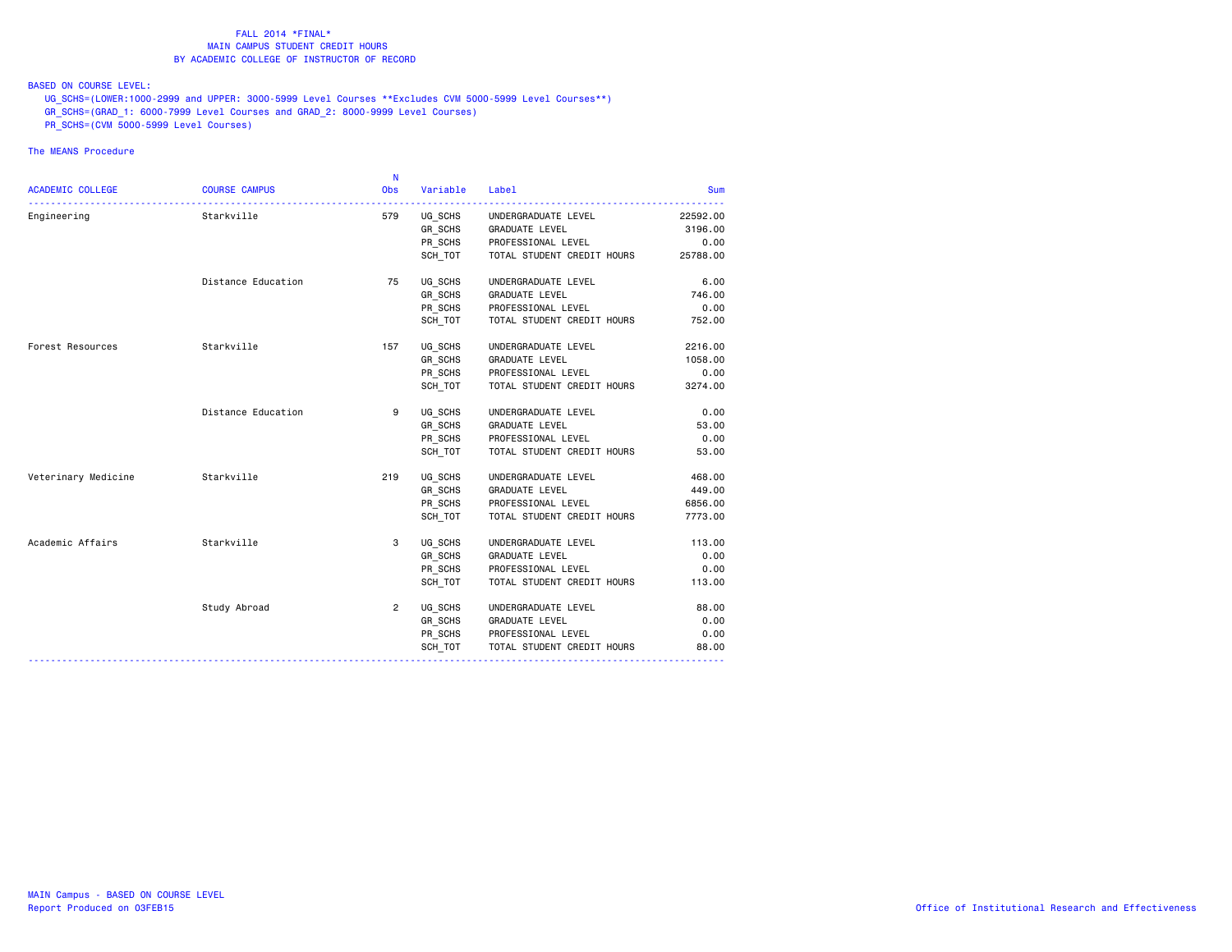BASED ON COURSE LEVEL:

UG\_SCHS=(LOWER:1000-2999 and UPPER: 3000-5999 Level Courses \*\*Excludes CVM 5000-5999 Level Courses\*\*)

- GR\_SCHS=(GRAD\_1: 6000-7999 Level Courses and GRAD\_2: 8000-9999 Level Courses)
- PR\_SCHS=(CVM 5000-5999 Level Courses)

|                     |                          | N              |          |                            |          |
|---------------------|--------------------------|----------------|----------|----------------------------|----------|
| ACADEMIC COLLEGE    | <b>COURSE CAMPUS</b>     | <b>Obs</b>     | Variable | Label                      | Sum      |
| Engineering         | . <u>.</u><br>Starkville | 579            | UG SCHS  | UNDERGRADUATE LEVEL        | 22592.00 |
|                     |                          |                |          | GR_SCHS GRADUATE LEVEL     | 3196.00  |
|                     |                          |                | PR SCHS  | PROFESSIONAL LEVEL         | 0.00     |
|                     |                          |                | SCH_TOT  | TOTAL STUDENT CREDIT HOURS | 25788.00 |
|                     |                          |                |          |                            |          |
|                     | Distance Education       | 75             | UG SCHS  | UNDERGRADUATE LEVEL        | 6.00     |
|                     |                          |                | GR SCHS  | GRADUATE LEVEL             | 746.00   |
|                     |                          |                | PR_SCHS  | PROFESSIONAL LEVEL         | 0.00     |
|                     |                          |                | SCH_TOT  | TOTAL STUDENT CREDIT HOURS | 752.00   |
| Forest Resources    | Starkville               | 157            | UG SCHS  | UNDERGRADUATE LEVEL        | 2216.00  |
|                     |                          |                | GR SCHS  | GRADUATE LEVEL             | 1058.00  |
|                     |                          |                | PR SCHS  | PROFESSIONAL LEVEL         | 0.00     |
|                     |                          |                | SCH TOT  | TOTAL STUDENT CREDIT HOURS | 3274.00  |
|                     | Distance Education       | 9              | UG SCHS  | UNDERGRADUATE LEVEL        | 0.00     |
|                     |                          |                | GR SCHS  | <b>GRADUATE LEVEL</b>      | 53.00    |
|                     |                          |                | PR SCHS  | PROFESSIONAL LEVEL         | 0.00     |
|                     |                          |                | SCH_TOT  | TOTAL STUDENT CREDIT HOURS | 53.00    |
| Veterinary Medicine | Starkville               | 219            | UG SCHS  | UNDERGRADUATE LEVEL        | 468.00   |
|                     |                          |                | GR SCHS  | GRADUATE LEVEL             | 449.00   |
|                     |                          |                | PR SCHS  | PROFESSIONAL LEVEL         | 6856.00  |
|                     |                          |                | SCH TOT  | TOTAL STUDENT CREDIT HOURS | 7773.00  |
| Academic Affairs    | Starkville               | 3              | UG SCHS  | UNDERGRADUATE LEVEL        | 113.00   |
|                     |                          |                | GR_SCHS  | <b>GRADUATE LEVEL</b>      | 0.00     |
|                     |                          |                | PR SCHS  | PROFESSIONAL LEVEL         | 0.00     |
|                     |                          |                | SCH TOT  | TOTAL STUDENT CREDIT HOURS | 113.00   |
|                     | Study Abroad             | $\overline{2}$ | UG SCHS  | UNDERGRADUATE LEVEL        | 88.00    |
|                     |                          |                | GR_SCHS  | <b>GRADUATE LEVEL</b>      | 0.00     |
|                     |                          |                | PR_SCHS  | PROFESSIONAL LEVEL         | 0.00     |
|                     |                          |                | SCH TOT  | TOTAL STUDENT CREDIT HOURS | 88.00    |
|                     |                          |                |          |                            |          |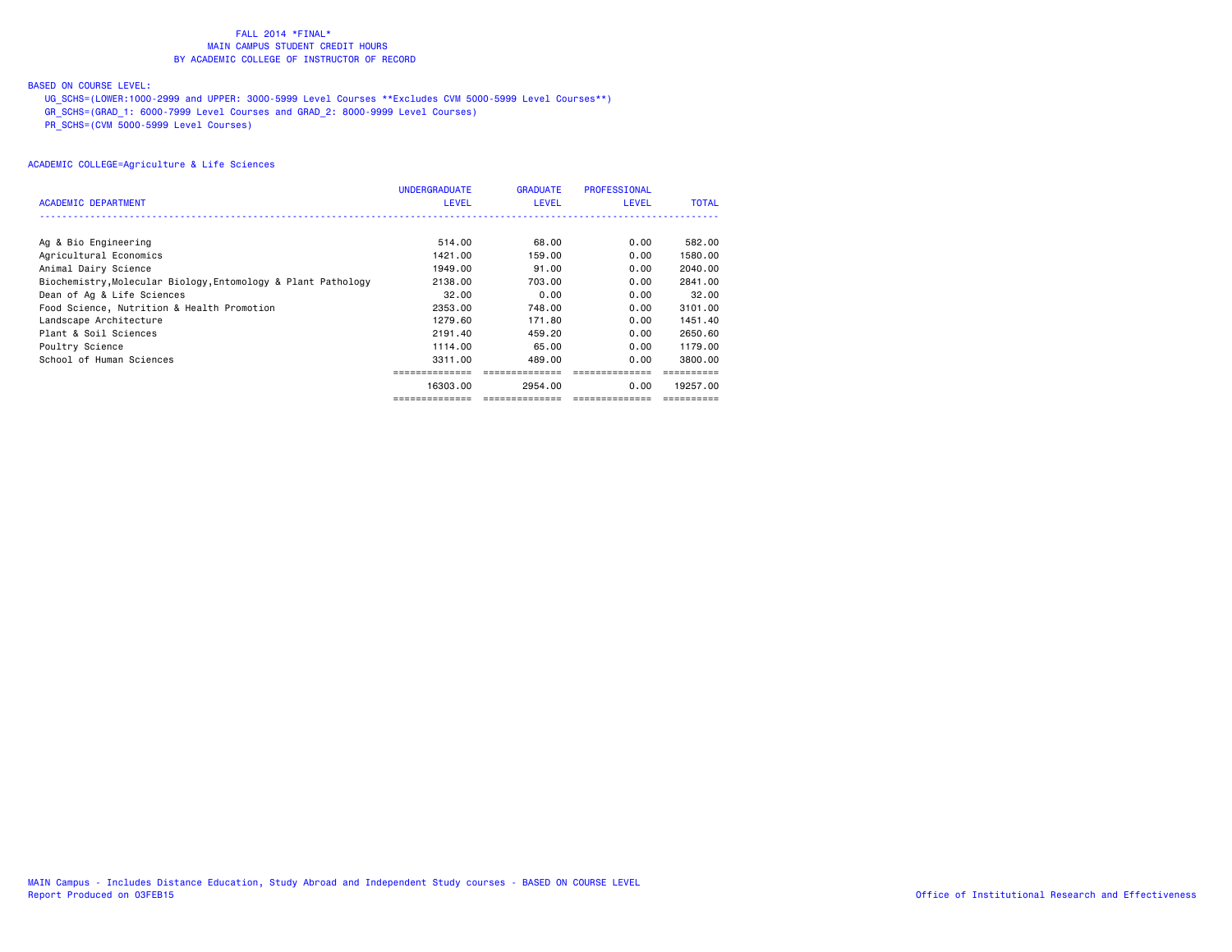# BASED ON COURSE LEVEL:

UG\_SCHS=(LOWER:1000-2999 and UPPER: 3000-5999 Level Courses \*\*Excludes CVM 5000-5999 Level Courses\*\*)

GR\_SCHS=(GRAD\_1: 6000-7999 Level Courses and GRAD\_2: 8000-9999 Level Courses)

PR\_SCHS=(CVM 5000-5999 Level Courses)

|                                                               | <b>UNDERGRADUATE</b> | <b>GRADUATE</b> | <b>PROFESSIONAL</b> |              |
|---------------------------------------------------------------|----------------------|-----------------|---------------------|--------------|
| <b>ACADEMIC DEPARTMENT</b>                                    | <b>LEVEL</b>         | <b>LEVEL</b>    | <b>LEVEL</b>        | <b>TOTAL</b> |
|                                                               |                      |                 |                     |              |
| Ag & Bio Engineering                                          | 514.00               | 68.00           | 0.00                | 582.00       |
| Agricultural Economics                                        | 1421.00              | 159,00          | 0.00                | 1580.00      |
| Animal Dairy Science                                          | 1949.00              | 91.00           | 0.00                | 2040.00      |
| Biochemistry, Molecular Biology, Entomology & Plant Pathology | 2138,00              | 703,00          | 0.00                | 2841,00      |
| Dean of Ag & Life Sciences                                    | 32.00                | 0.00            | 0.00                | 32.00        |
| Food Science, Nutrition & Health Promotion                    | 2353.00              | 748.00          | 0.00                | 3101.00      |
| Landscape Architecture                                        | 1279.60              | 171.80          | 0.00                | 1451.40      |
| Plant & Soil Sciences                                         | 2191.40              | 459.20          | 0.00                | 2650.60      |
| Poultry Science                                               | 1114.00              | 65.00           | 0.00                | 1179.00      |
| School of Human Sciences                                      | 3311.00              | 489,00          | 0.00                | 3800.00      |
|                                                               |                      |                 |                     |              |
|                                                               | 16303.00             | 2954.00         | 0.00                | 19257.00     |
|                                                               | ============         |                 |                     |              |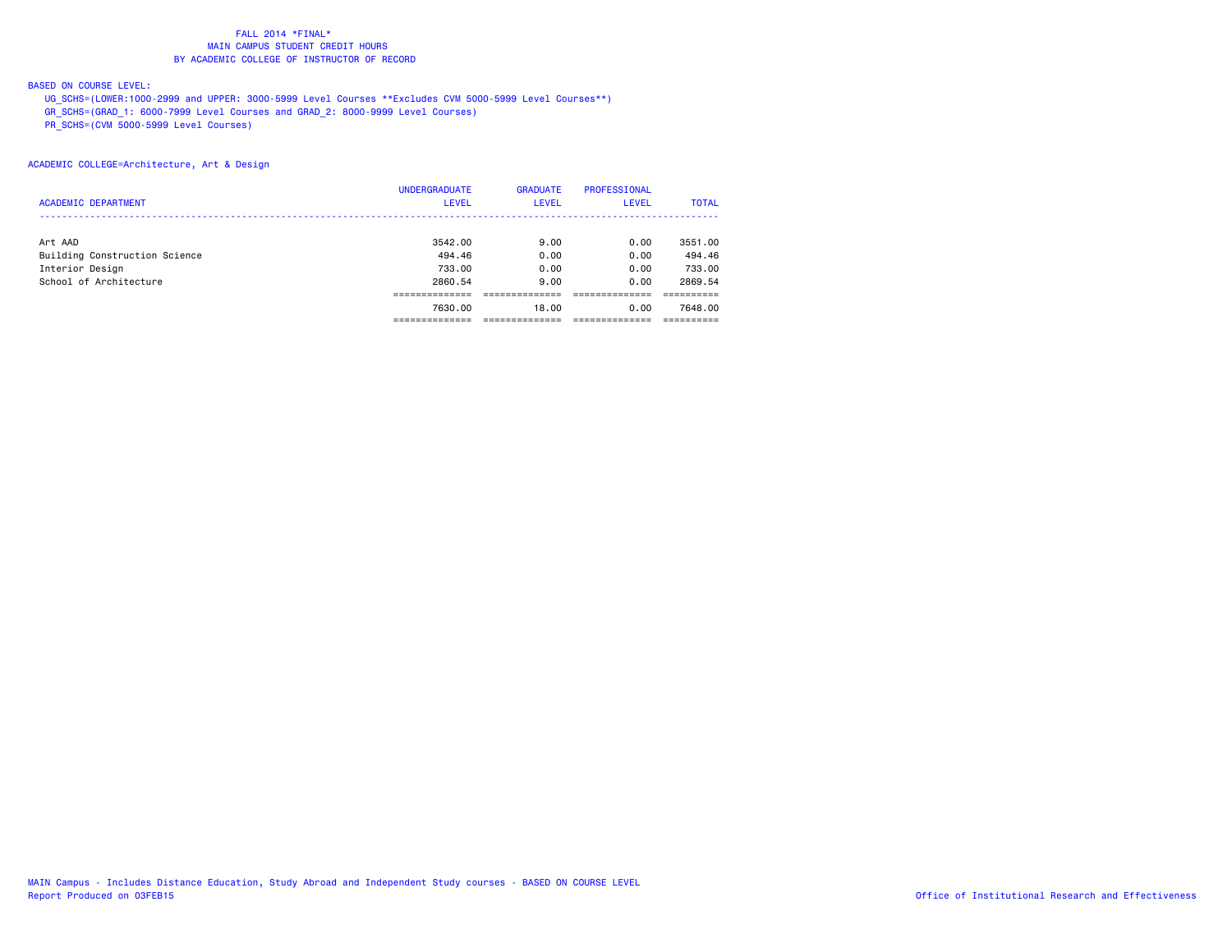# BASED ON COURSE LEVEL:

UG\_SCHS=(LOWER:1000-2999 and UPPER: 3000-5999 Level Courses \*\*Excludes CVM 5000-5999 Level Courses\*\*)

GR\_SCHS=(GRAD\_1: 6000-7999 Level Courses and GRAD\_2: 8000-9999 Level Courses)

PR\_SCHS=(CVM 5000-5999 Level Courses)

# ACADEMIC COLLEGE=Architecture, Art & Design

|                               | <b>UNDERGRADUATE</b> | <b>GRADUATE</b> | <b>PROFESSIONAL</b> |              |
|-------------------------------|----------------------|-----------------|---------------------|--------------|
| <b>ACADEMIC DEPARTMENT</b>    | <b>LEVEL</b>         | <b>LEVEL</b>    | <b>LEVEL</b>        | <b>TOTAL</b> |
|                               |                      |                 |                     |              |
| Art AAD                       | 3542.00              | 9.00            | 0.00                | 3551.00      |
| Building Construction Science | 494.46               | 0.00            | 0.00                | 494.46       |
| Interior Design               | 733.00               | 0.00            | 0.00                | 733.00       |
| School of Architecture        | 2860.54              | 9.00            | 0.00                | 2869.54      |
|                               |                      |                 |                     |              |
|                               | 7630.00              | 18.00           | 0.00                | 7648.00      |
|                               |                      |                 |                     |              |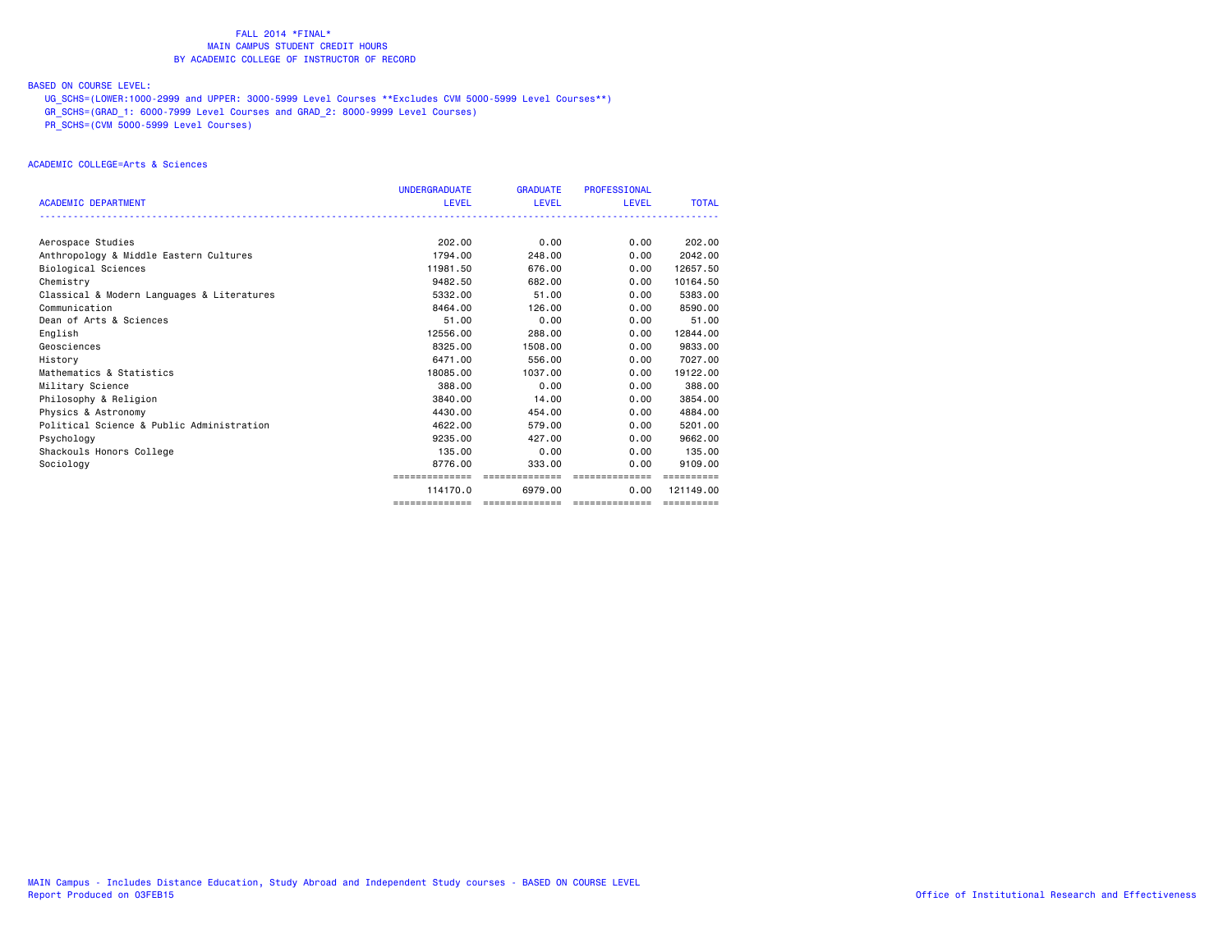# BASED ON COURSE LEVEL:

UG\_SCHS=(LOWER:1000-2999 and UPPER: 3000-5999 Level Courses \*\*Excludes CVM 5000-5999 Level Courses\*\*)

GR\_SCHS=(GRAD\_1: 6000-7999 Level Courses and GRAD\_2: 8000-9999 Level Courses)

PR\_SCHS=(CVM 5000-5999 Level Courses)

### ACADEMIC COLLEGE=Arts & Sciences

|                                            | <b>UNDERGRADUATE</b> | <b>GRADUATE</b> | <b>PROFESSIONAL</b> |                       |
|--------------------------------------------|----------------------|-----------------|---------------------|-----------------------|
| <b>ACADEMIC DEPARTMENT</b>                 | <b>LEVEL</b>         | <b>LEVEL</b>    | <b>LEVEL</b>        | <b>TOTAL</b>          |
|                                            |                      |                 |                     |                       |
| Aerospace Studies                          | 202.00               | 0.00            | 0.00                | 202,00                |
| Anthropology & Middle Eastern Cultures     | 1794.00              | 248,00          | 0.00                | 2042.00               |
|                                            | 11981.50             | 676.00          | 0.00                | 12657.50              |
| Biological Sciences                        |                      |                 |                     |                       |
| Chemistry                                  | 9482.50              | 682,00          | 0.00                | 10164.50              |
| Classical & Modern Languages & Literatures | 5332.00              | 51.00           | 0.00                | 5383.00               |
| Communication                              | 8464.00              | 126,00          | 0.00                | 8590.00               |
| Dean of Arts & Sciences                    | 51.00                | 0.00            | 0.00                | 51.00                 |
| English                                    | 12556.00             | 288,00          | 0.00                | 12844.00              |
| Geosciences                                | 8325,00              | 1508.00         | 0.00                | 9833.00               |
| History                                    | 6471.00              | 556.00          | 0.00                | 7027.00               |
| Mathematics & Statistics                   | 18085.00             | 1037,00         | 0.00                | 19122.00              |
| Military Science                           | 388,00               | 0.00            | 0.00                | 388,00                |
| Philosophy & Religion                      | 3840.00              | 14.00           | 0.00                | 3854.00               |
| Physics & Astronomy                        | 4430.00              | 454,00          | 0.00                | 4884.00               |
| Political Science & Public Administration  | 4622.00              | 579.00          | 0.00                | 5201.00               |
| Psychology                                 | 9235.00              | 427,00          | 0.00                | 9662.00               |
| Shackouls Honors College                   | 135,00               | 0.00            | 0.00                | 135.00                |
| Sociology                                  | 8776.00              | 333.00          | 0.00                | 9109.00               |
|                                            | ==============       | ==============  | ==============      |                       |
|                                            | 114170.0             | 6979.00         | 0.00                | 121149.00             |
|                                            | ==============       | ==============  | ==============      | $=$ = = = = = = = = = |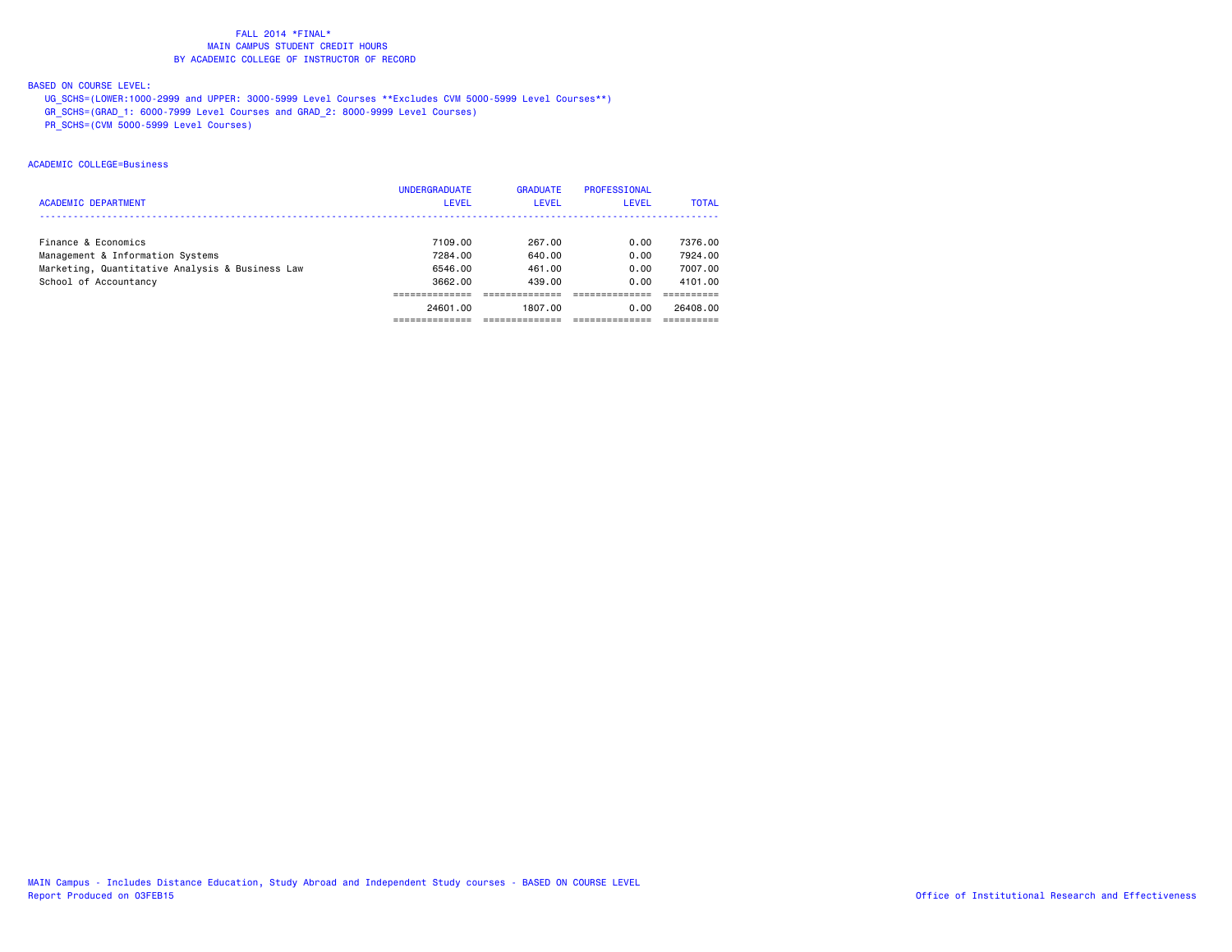# BASED ON COURSE LEVEL:

UG\_SCHS=(LOWER:1000-2999 and UPPER: 3000-5999 Level Courses \*\*Excludes CVM 5000-5999 Level Courses\*\*)

GR\_SCHS=(GRAD\_1: 6000-7999 Level Courses and GRAD\_2: 8000-9999 Level Courses)

PR\_SCHS=(CVM 5000-5999 Level Courses)

# ACADEMIC COLLEGE=Business

|                                                 | <b>UNDERGRADUATE</b> | <b>GRADUATE</b> | PROFESSIONAL |              |
|-------------------------------------------------|----------------------|-----------------|--------------|--------------|
| <b>ACADEMIC DEPARTMENT</b>                      | <b>LEVEL</b>         | <b>LEVEL</b>    | <b>LEVEL</b> | <b>TOTAL</b> |
|                                                 |                      |                 |              |              |
| Finance & Economics                             | 7109.00              | 267.00          | 0.00         | 7376.00      |
| Management & Information Systems                | 7284.00              | 640.00          | 0.00         | 7924.00      |
| Marketing, Quantitative Analysis & Business Law | 6546.00              | 461.00          | 0.00         | 7007.00      |
| School of Accountancy                           | 3662.00              | 439.00          | 0.00         | 4101.00      |
|                                                 |                      |                 |              |              |
|                                                 | 24601.00             | 1807.00         | 0.00         | 26408.00     |
|                                                 |                      |                 |              |              |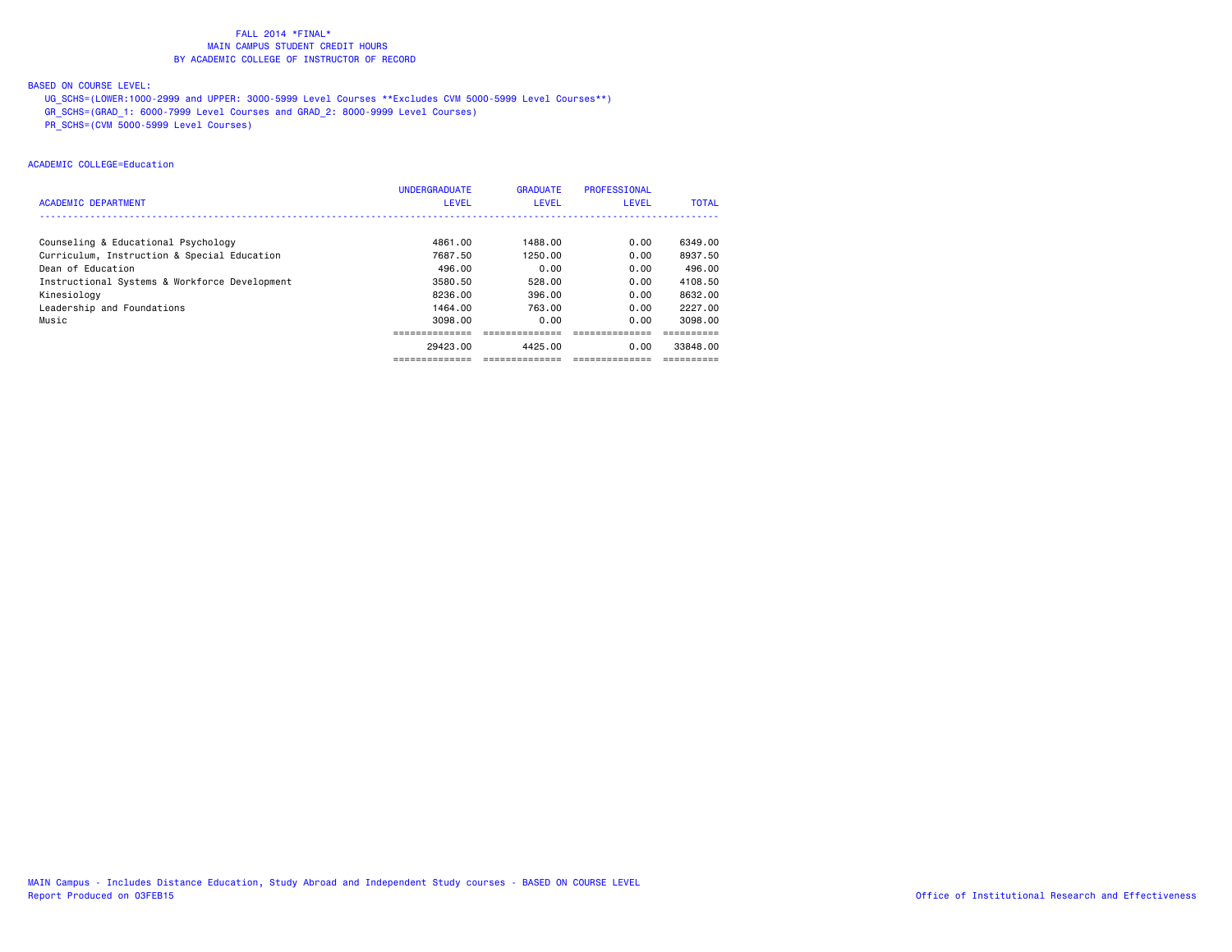# BASED ON COURSE LEVEL:

UG\_SCHS=(LOWER:1000-2999 and UPPER: 3000-5999 Level Courses \*\*Excludes CVM 5000-5999 Level Courses\*\*)

GR\_SCHS=(GRAD\_1: 6000-7999 Level Courses and GRAD\_2: 8000-9999 Level Courses)

PR\_SCHS=(CVM 5000-5999 Level Courses)

# ACADEMIC COLLEGE=Education

|                                               | <b>UNDERGRADUATE</b> | <b>GRADUATE</b> | PROFESSIONAL |              |
|-----------------------------------------------|----------------------|-----------------|--------------|--------------|
| <b>ACADEMIC DEPARTMENT</b>                    | <b>LEVEL</b>         | LEVEL           | LEVEL        | <b>TOTAL</b> |
|                                               |                      |                 |              |              |
| Counseling & Educational Psychology           | 4861.00              | 1488.00         | 0.00         | 6349.00      |
| Curriculum, Instruction & Special Education   | 7687.50              | 1250.00         | 0.00         | 8937.50      |
| Dean of Education                             | 496.00               | 0.00            | 0.00         | 496.00       |
| Instructional Systems & Workforce Development | 3580.50              | 528.00          | 0.00         | 4108.50      |
| Kinesiology                                   | 8236.00              | 396.00          | 0.00         | 8632.00      |
| Leadership and Foundations                    | 1464.00              | 763.00          | 0.00         | 2227.00      |
| Music                                         | 3098,00              | 0.00            | 0.00         | 3098.00      |
|                                               |                      |                 |              |              |
|                                               | 29423.00             | 4425.00         | 0.00         | 33848.00     |
|                                               | -------------        | -------------   |              |              |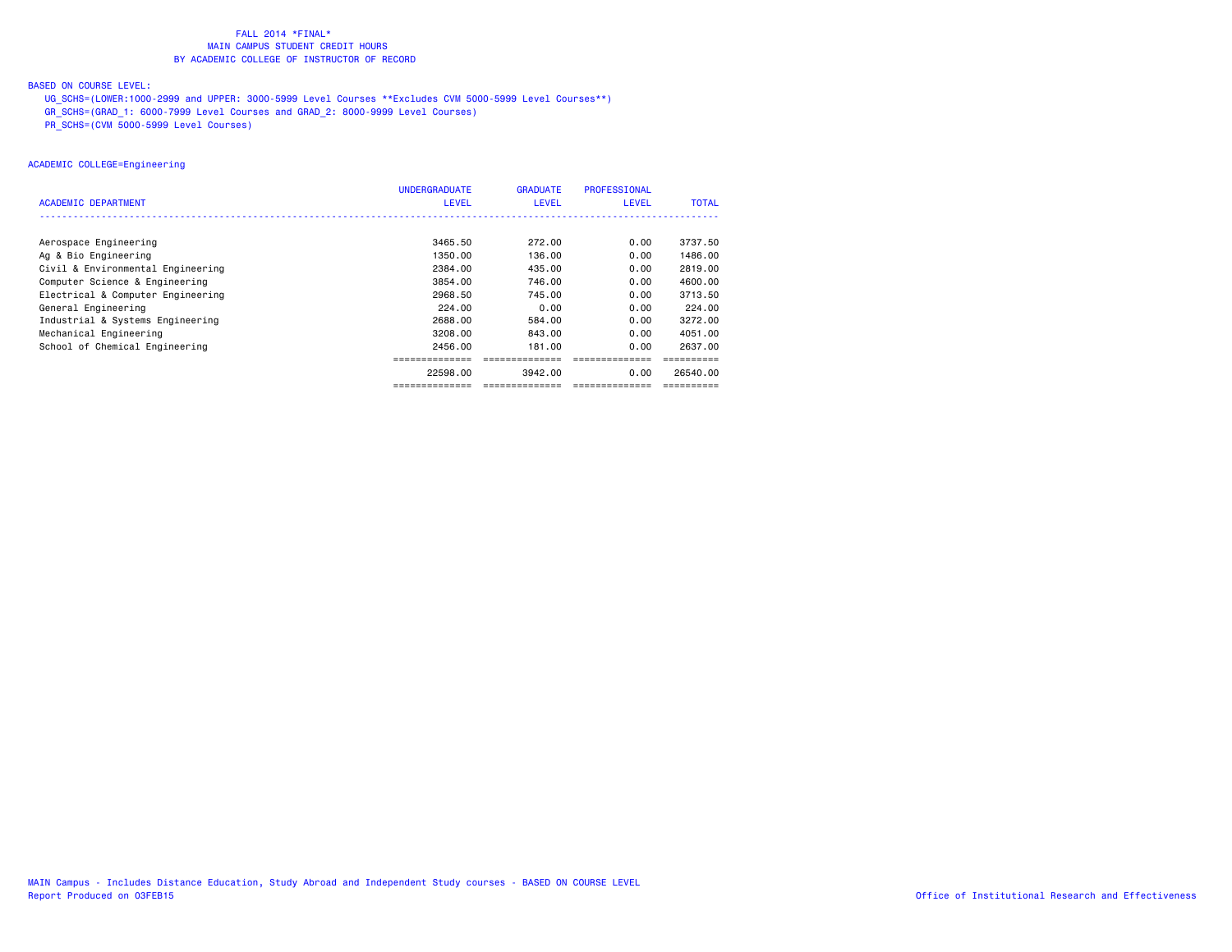# BASED ON COURSE LEVEL:

UG\_SCHS=(LOWER:1000-2999 and UPPER: 3000-5999 Level Courses \*\*Excludes CVM 5000-5999 Level Courses\*\*)

GR\_SCHS=(GRAD\_1: 6000-7999 Level Courses and GRAD\_2: 8000-9999 Level Courses)

PR\_SCHS=(CVM 5000-5999 Level Courses)

# ACADEMIC COLLEGE=Engineering

|                                   | <b>UNDERGRADUATE</b> | <b>GRADUATE</b> | <b>PROFESSIONAL</b> |              |
|-----------------------------------|----------------------|-----------------|---------------------|--------------|
| ACADEMIC DEPARTMENT               | <b>LEVEL</b>         | <b>LEVEL</b>    | <b>LEVEL</b>        | <b>TOTAL</b> |
|                                   |                      |                 |                     |              |
| Aerospace Engineering             | 3465.50              | 272.00          | 0.00                | 3737.50      |
| Ag & Bio Engineering              | 1350.00              | 136.00          | 0.00                | 1486.00      |
| Civil & Environmental Engineering | 2384.00              | 435.00          | 0.00                | 2819,00      |
| Computer Science & Engineering    | 3854.00              | 746.00          | 0.00                | 4600.00      |
| Electrical & Computer Engineering | 2968.50              | 745.00          | 0.00                | 3713.50      |
| General Engineering               | 224.00               | 0.00            | 0.00                | 224.00       |
| Industrial & Systems Engineering  | 2688,00              | 584.00          | 0.00                | 3272.00      |
| Mechanical Engineering            | 3208.00              | 843.00          | 0.00                | 4051.00      |
| School of Chemical Engineering    | 2456.00              | 181,00          | 0.00                | 2637.00      |
|                                   |                      |                 |                     |              |
|                                   | 22598.00             | 3942.00         | 0.00                | 26540.00     |
|                                   |                      |                 |                     |              |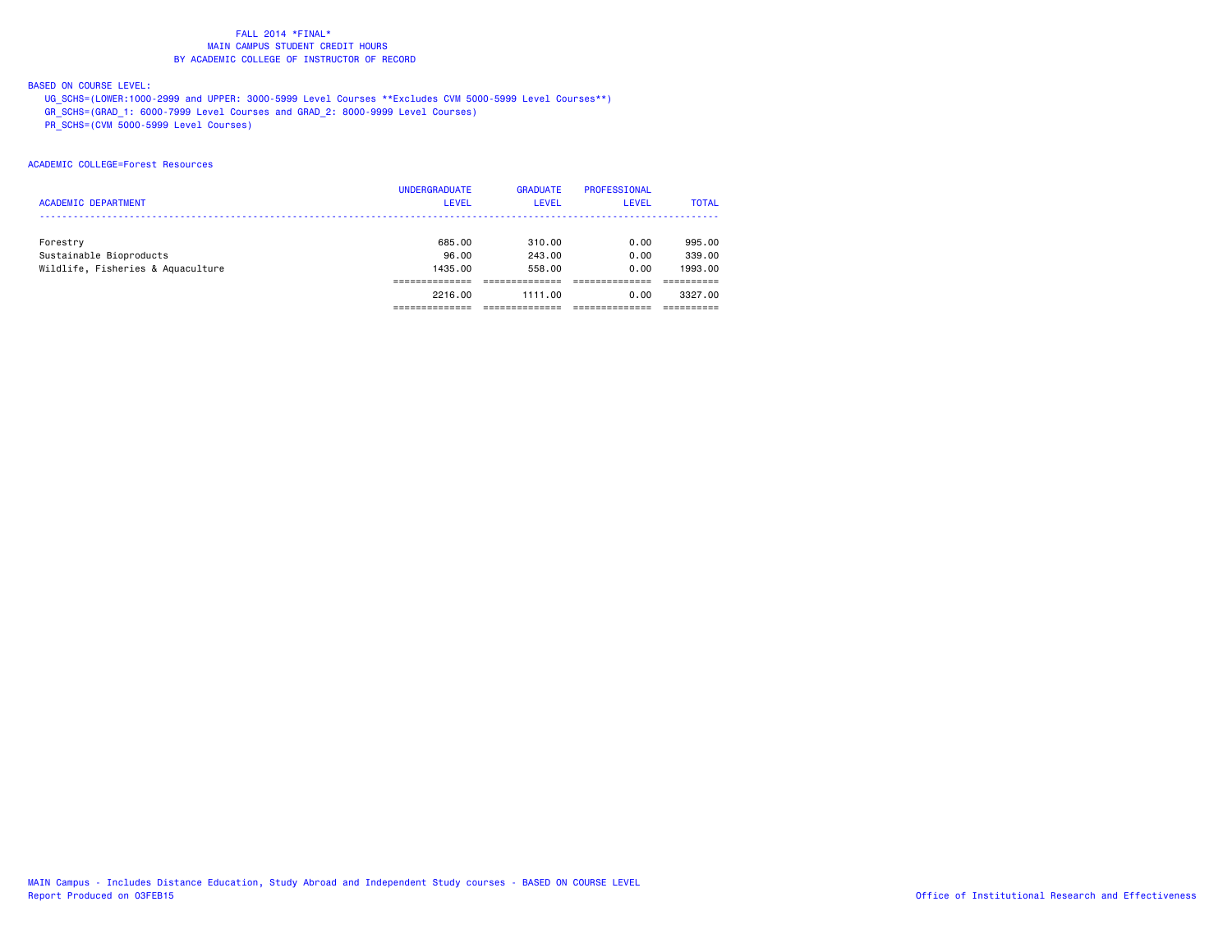# BASED ON COURSE LEVEL:

UG\_SCHS=(LOWER:1000-2999 and UPPER: 3000-5999 Level Courses \*\*Excludes CVM 5000-5999 Level Courses\*\*)

GR\_SCHS=(GRAD\_1: 6000-7999 Level Courses and GRAD\_2: 8000-9999 Level Courses)

PR\_SCHS=(CVM 5000-5999 Level Courses)

### ACADEMIC COLLEGE=Forest Resources

|                                   | <b>UNDERGRADUATE</b> | <b>GRADUATE</b> | PROFESSIONAL |              |
|-----------------------------------|----------------------|-----------------|--------------|--------------|
| <b>ACADEMIC DEPARTMENT</b>        | <b>LEVEL</b>         | <b>LEVEL</b>    | <b>LEVEL</b> | <b>TOTAL</b> |
|                                   |                      |                 |              |              |
| Forestry                          | 685,00               | 310.00          | 0.00         | 995,00       |
| Sustainable Bioproducts           | 96.00                | 243,00          | 0.00         | 339,00       |
| Wildlife, Fisheries & Aquaculture | 1435.00              | 558.00          | 0.00         | 1993.00      |
|                                   |                      |                 |              |              |
|                                   | 2216.00              | 1111.00         | 0.00         | 3327.00      |
|                                   |                      |                 |              |              |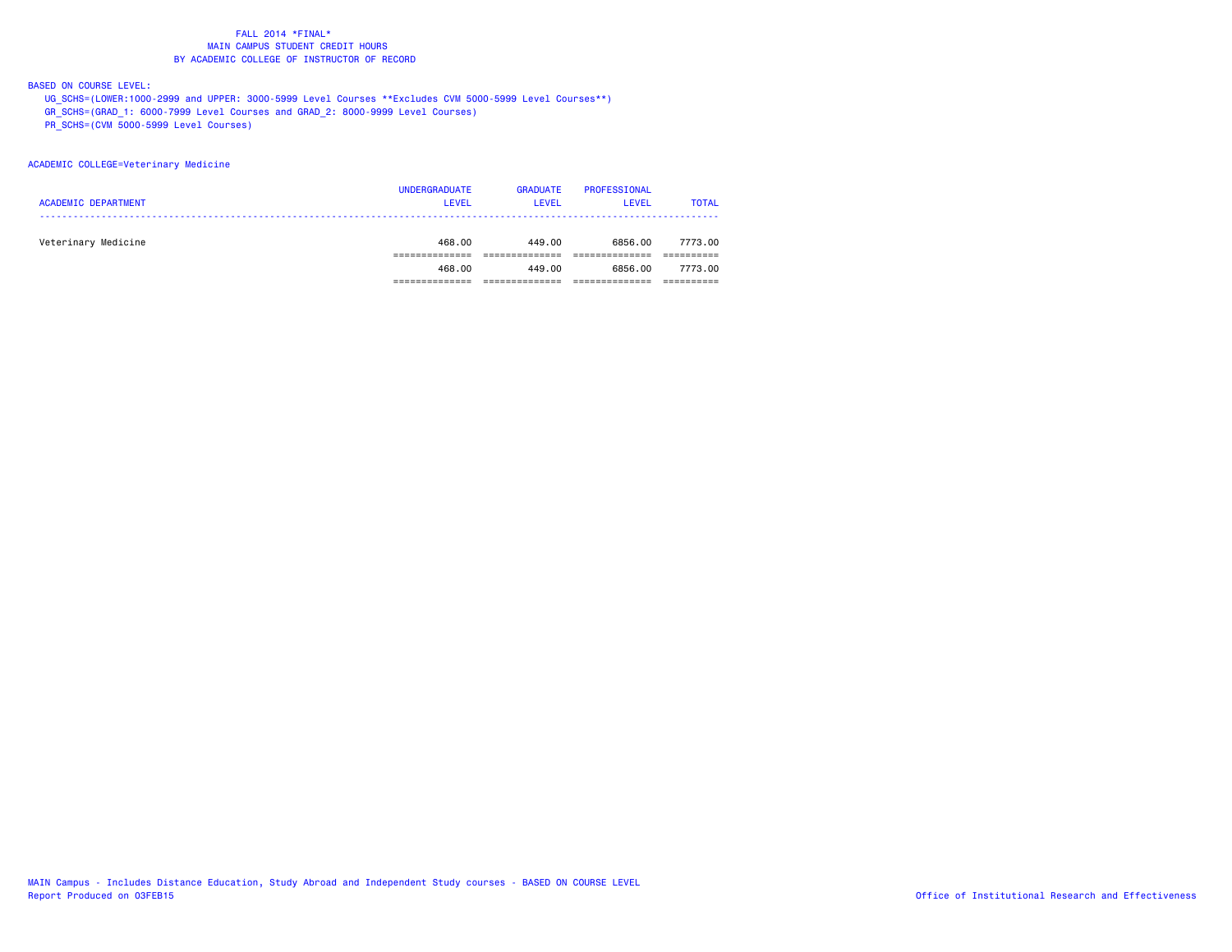BASED ON COURSE LEVEL:

UG\_SCHS=(LOWER:1000-2999 and UPPER: 3000-5999 Level Courses \*\*Excludes CVM 5000-5999 Level Courses\*\*)

GR\_SCHS=(GRAD\_1: 6000-7999 Level Courses and GRAD\_2: 8000-9999 Level Courses)

PR\_SCHS=(CVM 5000-5999 Level Courses)

### ACADEMIC COLLEGE=Veterinary Medicine

| <b>ACADEMIC DEPARTMENT</b> | <b>UNDERGRADUATE</b><br><b>LEVEL</b> | <b>GRADUATE</b><br><b>LEVEL</b> | PROFESSIONAL<br><b>LEVEL</b> | <b>TOTAL</b> |
|----------------------------|--------------------------------------|---------------------------------|------------------------------|--------------|
| Veterinary Medicine        | 468,00                               | 449.00                          | 6856.00                      | 7773.00      |
|                            | 468.00                               | 449.00                          | 6856.00                      | 7773.00      |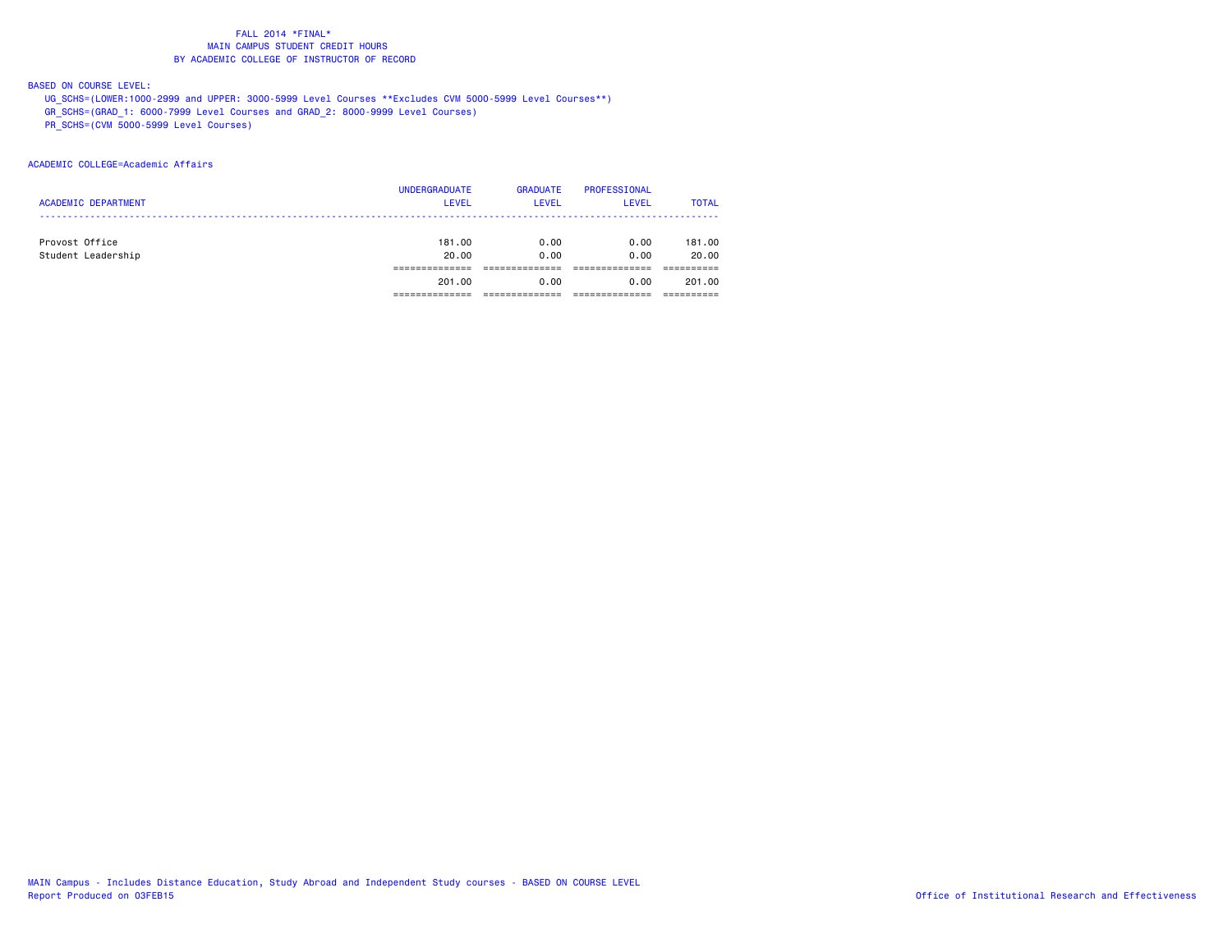# BASED ON COURSE LEVEL:

UG\_SCHS=(LOWER:1000-2999 and UPPER: 3000-5999 Level Courses \*\*Excludes CVM 5000-5999 Level Courses\*\*)

GR\_SCHS=(GRAD\_1: 6000-7999 Level Courses and GRAD\_2: 8000-9999 Level Courses)

PR\_SCHS=(CVM 5000-5999 Level Courses)

### ACADEMIC COLLEGE=Academic Affairs

|                            | <b>UNDERGRADUATE</b> | <b>GRADUATE</b> | <b>PROFESSIONAL</b> |              |
|----------------------------|----------------------|-----------------|---------------------|--------------|
| <b>ACADEMIC DEPARTMENT</b> | <b>LEVEL</b>         | <b>LEVEL</b>    | <b>LEVEL</b>        | <b>TOTAL</b> |
|                            |                      |                 |                     |              |
| Provost Office             | 181.00               | 0.00            | 0.00                | 181.00       |
| Student Leadership         | 20.00                | 0.00            | 0.00                | 20.00        |
|                            |                      |                 |                     |              |
|                            | 201.00               | 0.00            | 0.00                | 201.00       |
|                            |                      |                 |                     |              |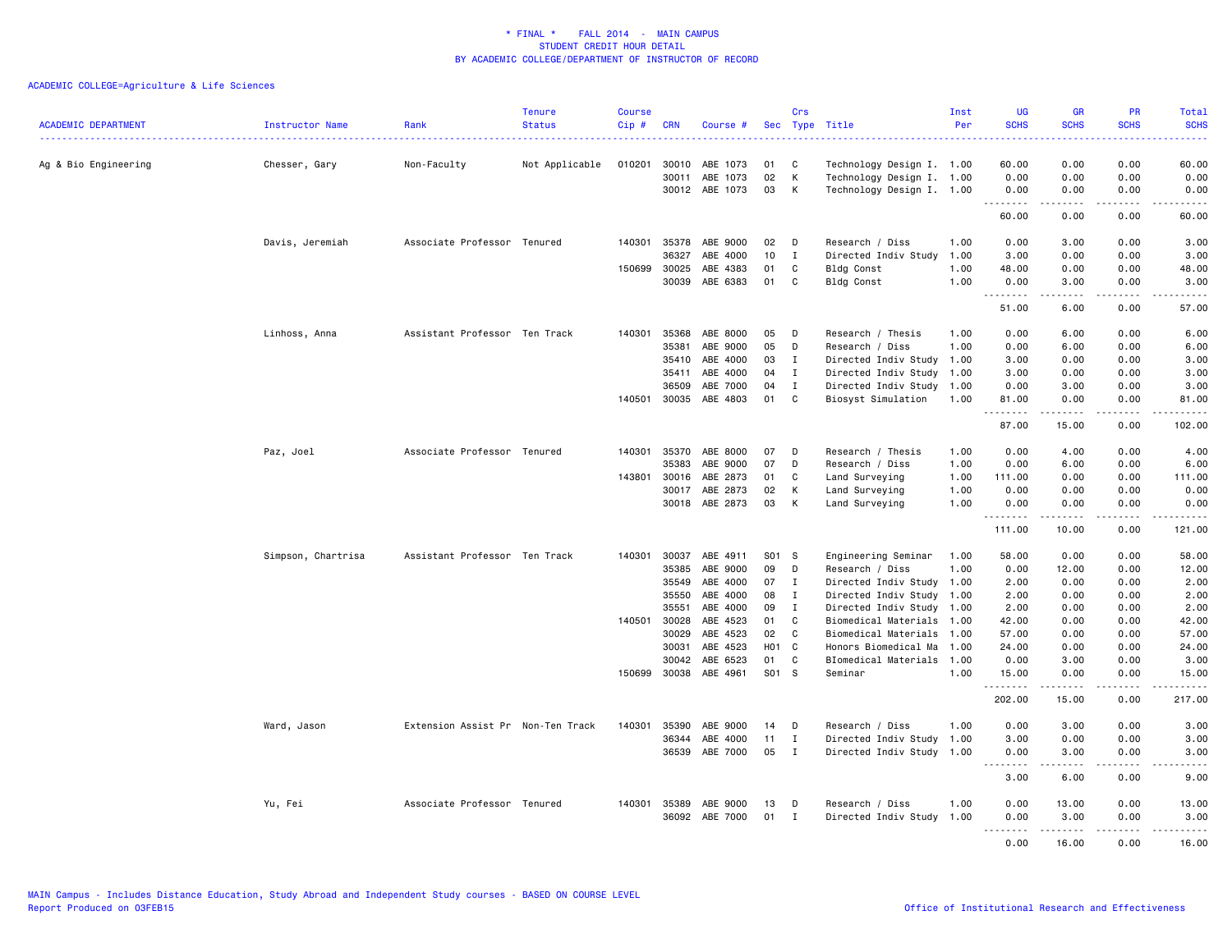| <b>ACADEMIC DEPARTMENT</b> | <b>Instructor Name</b> | Rank                              | <b>Tenure</b><br><b>Status</b> | <b>Course</b><br>$Cip \#$ | <b>CRN</b>     | Course #                   | Sec      | Crs              | Type Title                                             | Inst<br>Per  | <b>UG</b><br><b>SCHS</b> | <b>GR</b><br><b>SCHS</b>                                                                                                                                     | <b>PR</b><br><b>SCHS</b>      | <b>Total</b><br><b>SCHS</b><br>.                                                                                                                             |
|----------------------------|------------------------|-----------------------------------|--------------------------------|---------------------------|----------------|----------------------------|----------|------------------|--------------------------------------------------------|--------------|--------------------------|--------------------------------------------------------------------------------------------------------------------------------------------------------------|-------------------------------|--------------------------------------------------------------------------------------------------------------------------------------------------------------|
| Ag & Bio Engineering       | Chesser, Gary          | Non-Faculty                       | Not Applicable                 | 010201                    | 30010          | ABE 1073                   | 01       | C                | Technology Design I. 1.00                              |              | 60.00                    | 0.00                                                                                                                                                         | 0.00                          | 60.00                                                                                                                                                        |
|                            |                        |                                   |                                |                           | 30011          | ABE 1073<br>30012 ABE 1073 | 02<br>03 | K<br>K           | Technology Design I. 1.00<br>Technology Design I. 1.00 |              | 0.00<br>0.00<br>.        | 0.00<br>0.00<br>.                                                                                                                                            | 0.00<br>0.00<br>$\frac{1}{2}$ | 0.00<br>0.00<br>.                                                                                                                                            |
|                            |                        |                                   |                                |                           |                |                            |          |                  |                                                        |              | 60.00                    | 0.00                                                                                                                                                         | 0.00                          | 60.00                                                                                                                                                        |
|                            | Davis, Jeremiah        | Associate Professor Tenured       |                                | 140301                    | 35378<br>36327 | ABE 9000<br>ABE 4000       | 02<br>10 | D<br>$\mathbf I$ | Research / Diss<br>Directed Indiv Study                | 1.00<br>1.00 | 0.00<br>3.00             | 3.00<br>0.00                                                                                                                                                 | 0.00<br>0.00                  | 3.00<br>3.00                                                                                                                                                 |
|                            |                        |                                   |                                | 150699                    | 30025          | ABE 4383                   | 01       | C                | Bldg Const                                             | 1.00         | 48.00                    | 0.00                                                                                                                                                         | 0.00                          | 48.00                                                                                                                                                        |
|                            |                        |                                   |                                |                           | 30039          | ABE 6383                   | 01       | C                | <b>Bldg Const</b>                                      | 1.00         | 0.00                     | 3.00                                                                                                                                                         | 0.00                          | 3.00                                                                                                                                                         |
|                            |                        |                                   |                                |                           |                |                            |          |                  |                                                        |              | .<br>51.00               | .<br>6.00                                                                                                                                                    | .<br>0.00                     | وبالمسامين<br>57.00                                                                                                                                          |
|                            | Linhoss, Anna          | Assistant Professor Ten Track     |                                | 140301                    | 35368          | ABE 8000                   | 05       | D                | Research / Thesis                                      | 1.00         | 0.00                     | 6.00                                                                                                                                                         | 0.00                          | 6.00                                                                                                                                                         |
|                            |                        |                                   |                                |                           | 35381          | ABE 9000                   | 05       | D                | Research / Diss                                        | 1.00         | 0.00                     | 6.00                                                                                                                                                         | 0.00                          | 6.00                                                                                                                                                         |
|                            |                        |                                   |                                |                           | 35410          | ABE 4000                   | 03       | $\mathbf{I}$     | Directed Indiv Study 1.00                              |              | 3.00                     | 0.00                                                                                                                                                         | 0.00                          | 3.00                                                                                                                                                         |
|                            |                        |                                   |                                |                           | 35411          | ABE 4000                   | 04       | $\mathbf I$      | Directed Indiv Study                                   | 1.00         | 3.00                     | 0.00                                                                                                                                                         | 0.00                          | 3.00                                                                                                                                                         |
|                            |                        |                                   |                                |                           | 36509          | ABE 7000                   | 04       | $\mathbf I$      | Directed Indiv Study                                   | 1.00         | 0.00                     | 3.00                                                                                                                                                         | 0.00                          | 3.00                                                                                                                                                         |
|                            |                        |                                   |                                | 140501                    | 30035          | ABE 4803                   | 01       | C                | Biosyst Simulation                                     | 1.00         | 81.00<br>.               | 0.00<br>$-2 - 2 - 2 - 1$                                                                                                                                     | 0.00<br>.                     | 81.00<br>$\begin{array}{cccccccccc} \bullet & \bullet & \bullet & \bullet & \bullet & \bullet & \bullet \end{array}$                                         |
|                            |                        |                                   |                                |                           |                |                            |          |                  |                                                        |              | 87.00                    | 15.00                                                                                                                                                        | 0.00                          | 102.00                                                                                                                                                       |
|                            | Paz, Joel              | Associate Professor Tenured       |                                | 140301                    | 35370          | ABE 8000                   | 07       | D                | Research / Thesis                                      | 1.00         | 0.00                     | 4.00                                                                                                                                                         | 0.00                          | 4.00                                                                                                                                                         |
|                            |                        |                                   |                                |                           | 35383          | ABE 9000                   | 07       | D                | Research / Diss                                        | 1.00         | 0.00                     | 6.00                                                                                                                                                         | 0.00                          | 6.00                                                                                                                                                         |
|                            |                        |                                   |                                | 143801                    | 30016          | ABE 2873                   | 01       | C                | Land Surveying                                         | 1.00         | 111.00                   | 0.00                                                                                                                                                         | 0.00                          | 111.00                                                                                                                                                       |
|                            |                        |                                   |                                |                           | 30017          | ABE 2873                   | 02       | К                | Land Surveying                                         | 1.00         | 0.00                     | 0.00                                                                                                                                                         | 0.00                          | 0.00                                                                                                                                                         |
|                            |                        |                                   |                                |                           | 30018          | ABE 2873                   | 03       | K                | Land Surveying                                         | 1.00         | 0.00<br>.                | 0.00<br>22222                                                                                                                                                | 0.00<br>.                     | 0.00<br><u>.</u>                                                                                                                                             |
|                            |                        |                                   |                                |                           |                |                            |          |                  |                                                        |              | 111.00                   | 10.00                                                                                                                                                        | 0.00                          | 121.00                                                                                                                                                       |
|                            | Simpson, Chartrisa     | Assistant Professor Ten Track     |                                | 140301                    | 30037          | ABE 4911                   | S01 S    |                  | Engineering Seminar                                    | 1.00         | 58.00                    | 0.00                                                                                                                                                         | 0.00                          | 58.00                                                                                                                                                        |
|                            |                        |                                   |                                |                           | 35385          | ABE 9000                   | 09       | D                | Research / Diss                                        | 1.00         | 0.00                     | 12.00                                                                                                                                                        | 0.00                          | 12.00                                                                                                                                                        |
|                            |                        |                                   |                                |                           | 35549          | ABE 4000                   | 07       | Ι.               | Directed Indiv Study 1.00                              |              | 2.00                     | 0.00                                                                                                                                                         | 0.00                          | 2.00                                                                                                                                                         |
|                            |                        |                                   |                                |                           | 35550          | ABE 4000                   | 08       | $\mathbf I$      | Directed Indiv Study 1.00                              |              | 2.00                     | 0.00                                                                                                                                                         | 0.00                          | 2.00                                                                                                                                                         |
|                            |                        |                                   |                                |                           | 35551          | ABE 4000                   | 09       | $\mathbf I$      | Directed Indiv Study 1.00                              |              | 2.00                     | 0.00                                                                                                                                                         | 0.00                          | 2.00                                                                                                                                                         |
|                            |                        |                                   |                                | 140501                    | 30028          | ABE 4523                   | 01       | C                | Biomedical Materials                                   | 1.00         | 42.00                    | 0.00                                                                                                                                                         | 0.00                          | 42.00                                                                                                                                                        |
|                            |                        |                                   |                                |                           | 30029          | ABE 4523                   | 02       | C                | Biomedical Materials 1.00                              |              | 57.00                    | 0.00                                                                                                                                                         | 0.00                          | 57.00                                                                                                                                                        |
|                            |                        |                                   |                                |                           | 30031          | ABE 4523                   | H01 C    |                  | Honors Biomedical Ma                                   | 1.00         | 24.00                    | 0.00                                                                                                                                                         | 0.00                          | 24.00                                                                                                                                                        |
|                            |                        |                                   |                                |                           | 30042          | ABE 6523                   | 01       | C                | BIomedical Materials 1.00                              |              | 0.00                     | 3.00                                                                                                                                                         | 0.00                          | 3.00                                                                                                                                                         |
|                            |                        |                                   |                                | 150699                    | 30038          | ABE 4961                   | S01 S    |                  | Seminar                                                | 1.00         | 15.00<br>.               | 0.00<br>$\frac{1}{2} \left( \frac{1}{2} \right) \left( \frac{1}{2} \right) \left( \frac{1}{2} \right) \left( \frac{1}{2} \right) \left( \frac{1}{2} \right)$ | 0.00<br>.                     | 15.00<br>.                                                                                                                                                   |
|                            |                        |                                   |                                |                           |                |                            |          |                  |                                                        |              | 202.00                   | 15.00                                                                                                                                                        | 0.00                          | 217.00                                                                                                                                                       |
|                            | Ward, Jason            | Extension Assist Pr Non-Ten Track |                                | 140301                    | 35390          | ABE 9000                   | 14       | D                | Research / Diss                                        | 1.00         | 0.00                     | 3.00                                                                                                                                                         | 0.00                          | 3.00                                                                                                                                                         |
|                            |                        |                                   |                                |                           | 36344          | ABE 4000                   | 11       | $\mathbf I$      | Directed Indiv Study 1.00                              |              | 3.00                     | 0.00                                                                                                                                                         | 0.00                          | 3.00                                                                                                                                                         |
|                            |                        |                                   |                                |                           | 36539          | ABE 7000                   | 05       | $\mathbf I$      | Directed Indiv Study 1.00                              |              | 0.00<br>.                | 3.00<br><b>.</b>                                                                                                                                             | 0.00<br>.                     | 3.00<br>$\frac{1}{2} \left( \frac{1}{2} \right) \left( \frac{1}{2} \right) \left( \frac{1}{2} \right) \left( \frac{1}{2} \right) \left( \frac{1}{2} \right)$ |
|                            |                        |                                   |                                |                           |                |                            |          |                  |                                                        |              | 3.00                     | 6.00                                                                                                                                                         | 0.00                          | 9.00                                                                                                                                                         |
|                            | Yu, Fei                | Associate Professor Tenured       |                                | 140301                    | 35389          | ABE 9000                   | 13       | D                | Research / Diss                                        | 1.00         | 0.00                     | 13.00                                                                                                                                                        | 0.00                          | 13.00                                                                                                                                                        |
|                            |                        |                                   |                                |                           |                | 36092 ABE 7000             | 01 I     |                  | Directed Indiv Study 1.00                              |              | 0.00                     | 3.00                                                                                                                                                         | 0.00                          | 3.00                                                                                                                                                         |
|                            |                        |                                   |                                |                           |                |                            |          |                  |                                                        |              | .                        | .                                                                                                                                                            | .                             | .                                                                                                                                                            |
|                            |                        |                                   |                                |                           |                |                            |          |                  |                                                        |              | 0.00                     | 16.00                                                                                                                                                        | 0.00                          | 16.00                                                                                                                                                        |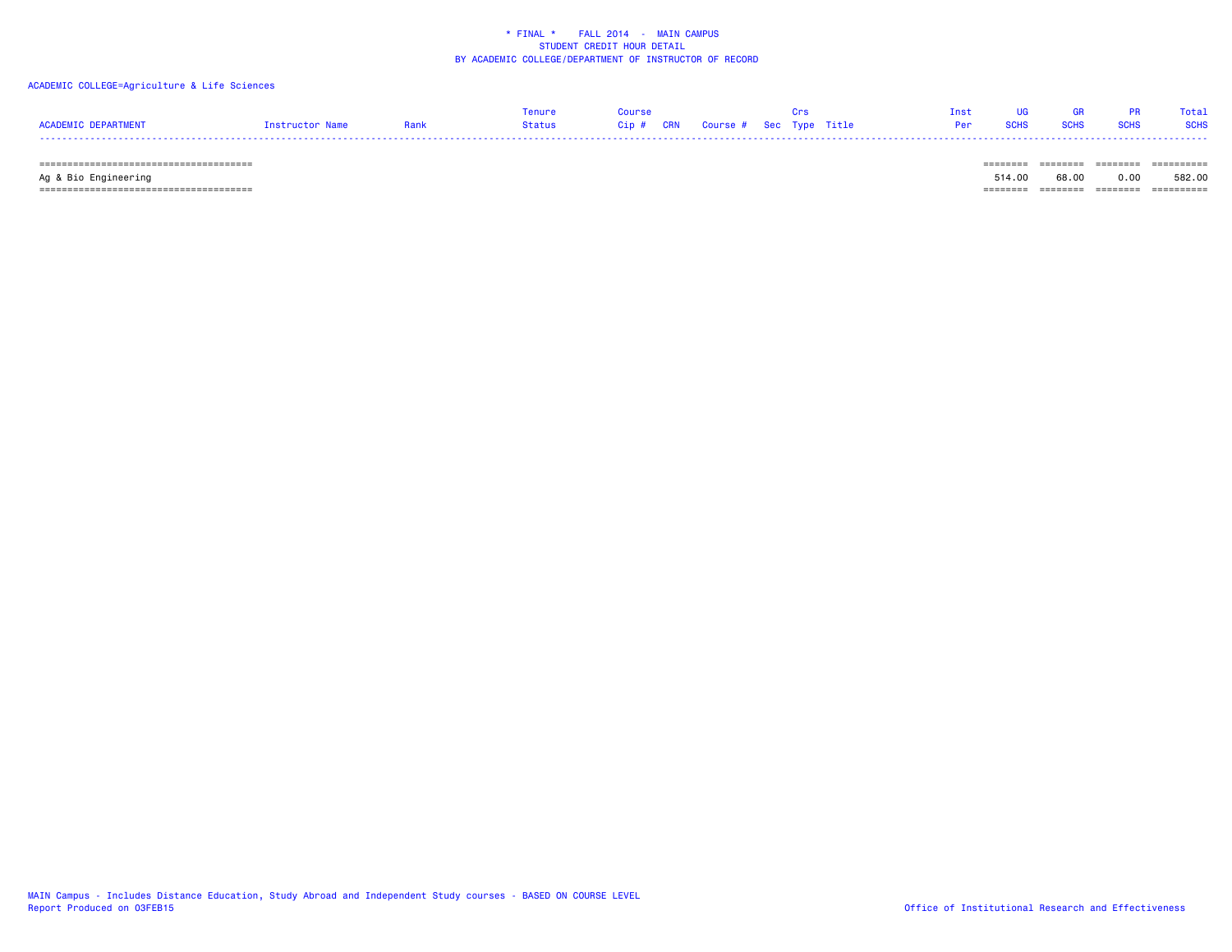### ACADEMIC COLLEGE=Agriculture & Life Sciences

|                            |                 |      | Tenure | <b>COUPSE COUPSE</b> |                                | Inst UG GR PR Total |  |
|----------------------------|-----------------|------|--------|----------------------|--------------------------------|---------------------|--|
| <b>ACADEMIC DEPARTMENT</b> | Instructor Name | Rank |        |                      | <b>Per SCHS SCHS SCHS SCHS</b> |                     |  |
|                            |                 |      |        |                      |                                |                     |  |

====================================== ======== ======== ======== ==========

====================================== ======== ======== ======== ==========

Ag & Bio Engineering 514.00 68.00 0.00 582.00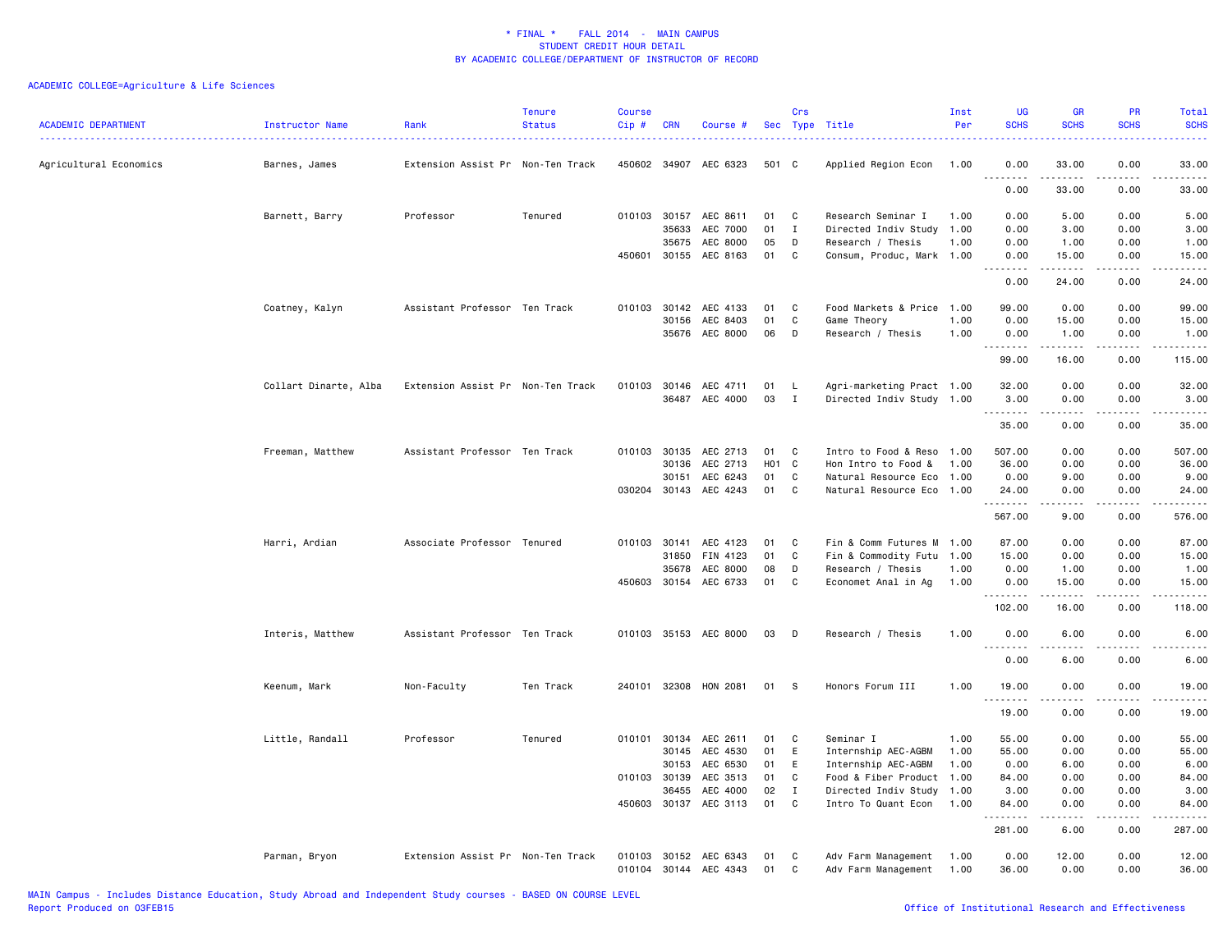| <b>ACADEMIC DEPARTMENT</b> | Instructor Name       | Rank                              | <b>Tenure</b><br><b>Status</b> | <b>Course</b><br>Cip# | <b>CRN</b>   | Course #              |                  | Crs          | Sec Type Title            | Inst<br>Per | <b>UG</b><br><b>SCHS</b> | <b>GR</b><br><b>SCHS</b>                                                                                                                                     | <b>PR</b><br><b>SCHS</b> | Total<br><b>SCHS</b> |
|----------------------------|-----------------------|-----------------------------------|--------------------------------|-----------------------|--------------|-----------------------|------------------|--------------|---------------------------|-------------|--------------------------|--------------------------------------------------------------------------------------------------------------------------------------------------------------|--------------------------|----------------------|
| Agricultural Economics     | Barnes, James         | Extension Assist Pr Non-Ten Track |                                |                       |              | 450602 34907 AEC 6323 | 501 C            |              | Applied Region Econ       | 1.00        | 0.00<br>.                | 33.00<br>د د د د د                                                                                                                                           | 0.00<br>د د د د          | 33.00<br>.           |
|                            |                       |                                   |                                |                       |              |                       |                  |              |                           |             | 0.00                     | 33.00                                                                                                                                                        | 0.00                     | 33.00                |
|                            | Barnett, Barry        | Professor                         | Tenured                        |                       | 010103 30157 | AEC 8611              | 01               | C            | Research Seminar I        | 1.00        | 0.00                     | 5.00                                                                                                                                                         | 0.00                     | 5.00                 |
|                            |                       |                                   |                                |                       | 35633        | AEC 7000              | 01               | $\mathbf{I}$ | Directed Indiv Study 1.00 |             | 0.00                     | 3.00                                                                                                                                                         | 0.00                     | 3.00                 |
|                            |                       |                                   |                                |                       | 35675        | AEC 8000              | 05               | D            | Research / Thesis         | 1.00        | 0.00                     | 1.00                                                                                                                                                         | 0.00                     | 1.00                 |
|                            |                       |                                   |                                |                       | 450601 30155 | AEC 8163              | 01               | C            | Consum, Produc, Mark 1.00 |             | 0.00<br><u>.</u>         | 15.00<br>. <b>.</b>                                                                                                                                          | 0.00<br>.                | 15.00<br>.           |
|                            |                       |                                   |                                |                       |              |                       |                  |              |                           |             | 0.00                     | 24.00                                                                                                                                                        | 0.00                     | 24.00                |
|                            | Coatney, Kalyn        | Assistant Professor Ten Track     |                                |                       |              | 010103 30142 AEC 4133 | 01               | C            | Food Markets & Price 1.00 |             | 99.00                    | 0.00                                                                                                                                                         | 0.00                     | 99.00                |
|                            |                       |                                   |                                |                       | 30156        | AEC 8403              | 01               | $\mathtt{C}$ | Game Theory               | 1.00        | 0.00                     | 15.00                                                                                                                                                        | 0.00                     | 15.00                |
|                            |                       |                                   |                                |                       | 35676        | AEC 8000              | 06               | D            | Research / Thesis         | 1.00        | 0.00<br>.                | 1.00<br>$\frac{1}{2} \left( \frac{1}{2} \right) \left( \frac{1}{2} \right) \left( \frac{1}{2} \right) \left( \frac{1}{2} \right) \left( \frac{1}{2} \right)$ | 0.00<br>.                | 1.00<br>.            |
|                            |                       |                                   |                                |                       |              |                       |                  |              |                           |             | 99.00                    | 16.00                                                                                                                                                        | 0.00                     | 115.00               |
|                            | Collart Dinarte, Alba | Extension Assist Pr Non-Ten Track |                                |                       |              | 010103 30146 AEC 4711 | 01               | L.           | Agri-marketing Pract 1.00 |             | 32.00                    | 0.00                                                                                                                                                         | 0.00                     | 32.00                |
|                            |                       |                                   |                                |                       |              | 36487 AEC 4000        | 03               | I            | Directed Indiv Study 1.00 |             | 3.00                     | 0.00                                                                                                                                                         | 0.00                     | 3.00                 |
|                            |                       |                                   |                                |                       |              |                       |                  |              |                           |             | .                        | $\frac{1}{2}$                                                                                                                                                | .                        | .                    |
|                            |                       |                                   |                                |                       |              |                       |                  |              |                           |             | 35.00                    | 0.00                                                                                                                                                         | 0.00                     | 35.00                |
|                            | Freeman, Matthew      | Assistant Professor Ten Track     |                                |                       | 010103 30135 | AEC 2713              | 01               | C            | Intro to Food & Reso 1.00 |             | 507.00                   | 0.00                                                                                                                                                         | 0.00                     | 507.00               |
|                            |                       |                                   |                                |                       | 30136        | AEC 2713              | H <sub>0</sub> 1 | C.           | Hon Intro to Food &       | 1.00        | 36.00                    | 0.00                                                                                                                                                         | 0.00                     | 36.00                |
|                            |                       |                                   |                                |                       | 30151        | AEC 6243              | 01               | C            | Natural Resource Eco 1.00 |             | 0.00                     | 9.00                                                                                                                                                         | 0.00                     | 9.00                 |
|                            |                       |                                   |                                |                       |              | 030204 30143 AEC 4243 | 01               | C            | Natural Resource Eco 1.00 |             | 24.00                    | 0.00                                                                                                                                                         | 0.00                     | 24.00                |
|                            |                       |                                   |                                |                       |              |                       |                  |              |                           |             | .<br>567.00              | $\frac{1}{2} \left( \frac{1}{2} \right) \left( \frac{1}{2} \right) \left( \frac{1}{2} \right) \left( \frac{1}{2} \right) \left( \frac{1}{2} \right)$<br>9.00 | د د د د<br>0.00          | .<br>576.00          |
|                            | Harri, Ardian         | Associate Professor Tenured       |                                |                       | 010103 30141 | AEC 4123              | 01               | C            | Fin & Comm Futures M 1.00 |             | 87.00                    | 0.00                                                                                                                                                         | 0.00                     | 87.00                |
|                            |                       |                                   |                                |                       | 31850        | FIN 4123              | 01               | C            | Fin & Commodity Futu 1.00 |             | 15.00                    | 0.00                                                                                                                                                         | 0.00                     | 15.00                |
|                            |                       |                                   |                                |                       | 35678        | AEC 8000              | 08               | D            | Research / Thesis         | 1.00        | 0.00                     | 1.00                                                                                                                                                         | 0.00                     | 1.00                 |
|                            |                       |                                   |                                |                       |              | 450603 30154 AEC 6733 | 01               | C            | Economet Anal in Ag       | 1.00        | 0.00                     | 15.00                                                                                                                                                        | 0.00                     | 15.00                |
|                            |                       |                                   |                                |                       |              |                       |                  |              |                           |             | .<br>102.00              | .<br>16.00                                                                                                                                                   | .<br>0.00                | .<br>118.00          |
|                            | Interis, Matthew      | Assistant Professor Ten Track     |                                |                       |              | 010103 35153 AEC 8000 | 03               | D            | Research / Thesis         | 1.00        | 0.00                     | 6.00                                                                                                                                                         | 0.00                     | 6.00                 |
|                            |                       |                                   |                                |                       |              |                       |                  |              |                           |             | .                        | <u>.</u>                                                                                                                                                     | $\frac{1}{2}$            | -----                |
|                            |                       |                                   |                                |                       |              |                       |                  |              |                           |             | 0.00                     | 6.00                                                                                                                                                         | 0.00                     | 6.00                 |
|                            | Keenum, Mark          | Non-Faculty                       | Ten Track                      |                       |              | 240101 32308 HON 2081 | 01               | s.           | Honors Forum III          | 1.00        | 19.00<br>.               | 0.00<br>.                                                                                                                                                    | 0.00<br>$  -$            | 19.00<br>$    -$     |
|                            |                       |                                   |                                |                       |              |                       |                  |              |                           |             | 19.00                    | 0.00                                                                                                                                                         | 0.00                     | 19.00                |
|                            | Little, Randall       | Professor                         | Tenured                        |                       |              | 010101 30134 AEC 2611 | 01               | C            | Seminar I                 | 1.00        | 55.00                    | 0.00                                                                                                                                                         | 0.00                     | 55.00                |
|                            |                       |                                   |                                |                       | 30145        | AEC 4530              | 01               | E            | Internship AEC-AGBM       | 1.00        | 55.00                    | 0.00                                                                                                                                                         | 0.00                     | 55.00                |
|                            |                       |                                   |                                |                       | 30153        | AEC 6530              | 01               | E            | Internship AEC-AGBM       | 1.00        | 0.00                     | 6.00                                                                                                                                                         | 0.00                     | 6.00                 |
|                            |                       |                                   |                                |                       | 010103 30139 | AEC 3513              | 01               | C            | Food & Fiber Product 1.00 |             | 84.00                    | 0.00                                                                                                                                                         | 0.00                     | 84.00                |
|                            |                       |                                   |                                |                       | 36455        | AEC 4000              | 02               | $\mathbf{I}$ | Directed Indiv Study 1.00 |             | 3.00                     | 0.00                                                                                                                                                         | 0.00                     | 3.00                 |
|                            |                       |                                   |                                |                       | 450603 30137 | AEC 3113              | 01               | C            | Intro To Quant Econ       | 1.00        | 84.00<br>.               | 0.00<br>$\frac{1}{2} \left( \frac{1}{2} \right) \left( \frac{1}{2} \right) \left( \frac{1}{2} \right) \left( \frac{1}{2} \right) \left( \frac{1}{2} \right)$ | 0.00<br>.                | 84.00<br><u>.</u>    |
|                            |                       |                                   |                                |                       |              |                       |                  |              |                           |             | 281.00                   | 6.00                                                                                                                                                         | 0.00                     | 287.00               |
|                            | Parman, Bryon         | Extension Assist Pr Non-Ten Track |                                |                       |              | 010103 30152 AEC 6343 | 01               | C            | Adv Farm Management       | 1.00        | 0.00                     | 12.00                                                                                                                                                        | 0.00                     | 12.00                |
|                            |                       |                                   |                                |                       |              | 010104 30144 AEC 4343 | 01               | C            | Adv Farm Management       | 1.00        | 36.00                    | 0.00                                                                                                                                                         | 0.00                     | 36.00                |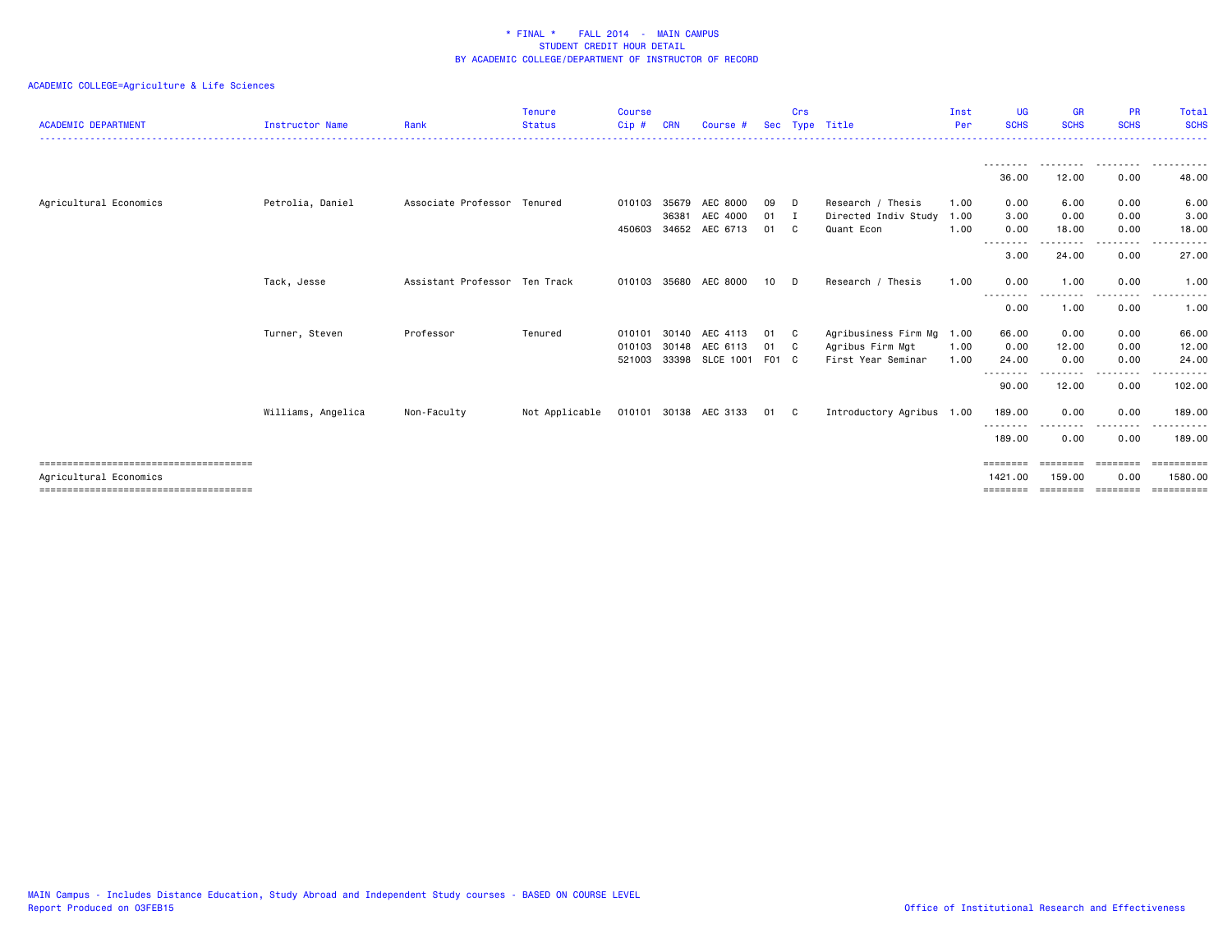| <b>ACADEMIC DEPARTMENT</b> | <b>Instructor Name</b> | Rank                          | <b>Tenure</b><br><b>Status</b> | <b>Course</b><br>$Cip$ #   | <b>CRN</b>              | Course #                                            | Sec               | Crs          | Type Title                                                          | Inst<br>Per          | <b>UG</b><br><b>SCHS</b> | <b>GR</b><br><b>SCHS</b>                                                                                                                                                                 | <b>PR</b><br><b>SCHS</b> | Total<br><b>SCHS</b>        |
|----------------------------|------------------------|-------------------------------|--------------------------------|----------------------------|-------------------------|-----------------------------------------------------|-------------------|--------------|---------------------------------------------------------------------|----------------------|--------------------------|------------------------------------------------------------------------------------------------------------------------------------------------------------------------------------------|--------------------------|-----------------------------|
|                            |                        |                               |                                |                            |                         |                                                     |                   |              |                                                                     |                      | 36.00                    | 12.00                                                                                                                                                                                    | 0.00                     | 48.00                       |
| Agricultural Economics     | Petrolia, Daniel       | Associate Professor Tenured   |                                | 010103<br>450603           | 35679<br>36381<br>34652 | AEC 8000<br>AEC 4000<br>AEC 6713                    | 09<br>01<br>01    | D<br>Ι.<br>C | Research / Thesis<br>Directed Indiv Study<br>Quant Econ             | 1.00<br>1.00<br>1.00 | 0.00<br>3.00<br>0.00     | 6.00<br>0.00<br>18.00                                                                                                                                                                    | 0.00<br>0.00<br>0.00     | 6.00<br>3.00<br>18.00       |
|                            |                        |                               |                                |                            |                         |                                                     |                   |              |                                                                     |                      | --------<br>3.00         | $\frac{1}{2} \left( \frac{1}{2} \right) \left( \frac{1}{2} \right) \left( \frac{1}{2} \right) \left( \frac{1}{2} \right) \left( \frac{1}{2} \right) \left( \frac{1}{2} \right)$<br>24.00 | $  -$<br>0.00            | .<br>27.00                  |
|                            | Tack, Jesse            | Assistant Professor Ten Track |                                |                            |                         | 010103 35680 AEC 8000                               | 10                | D            | Research / Thesis                                                   | 1.00                 | 0.00<br>- - -<br>.       | 1.00                                                                                                                                                                                     | 0.00<br>.                | 1.00                        |
|                            |                        |                               |                                |                            |                         |                                                     |                   |              |                                                                     |                      | 0.00                     | 1.00                                                                                                                                                                                     | 0.00                     | 1.00                        |
|                            | Turner, Steven         | Professor                     | Tenured                        | 010101<br>010103<br>521003 |                         | 30140 AEC 4113<br>30148 AEC 6113<br>33398 SLCE 1001 | 01<br>01<br>F01 C | C.<br>C.     | Agribusiness Firm Mg 1.00<br>Agribus Firm Mgt<br>First Year Seminar | 1.00<br>1.00         | 66.00<br>0.00<br>24.00   | 0.00<br>12.00<br>0.00                                                                                                                                                                    | 0.00<br>0.00<br>0.00     | 66.00<br>12.00<br>24.00     |
|                            |                        |                               |                                |                            |                         |                                                     |                   |              |                                                                     |                      | --------<br>90.00        | --------<br>12.00                                                                                                                                                                        | --------<br>0.00         | .<br>102.00                 |
|                            | Williams, Angelica     | Non-Faculty                   | Not Applicable                 |                            |                         | 010101 30138 AEC 3133                               | 01 C              |              | Introductory Agribus 1.00                                           |                      | 189.00                   | 0.00                                                                                                                                                                                     | 0.00                     | 189.00                      |
|                            |                        |                               |                                |                            |                         |                                                     |                   |              |                                                                     |                      | 189.00                   | 0.00                                                                                                                                                                                     | 0.00                     | 189.00                      |
| Agricultural Economics     |                        |                               |                                |                            |                         |                                                     |                   |              |                                                                     |                      | 1421.00<br>========      | 159.00<br>========                                                                                                                                                                       | 0.00<br>========         | 1580.00<br><b>CONSESSED</b> |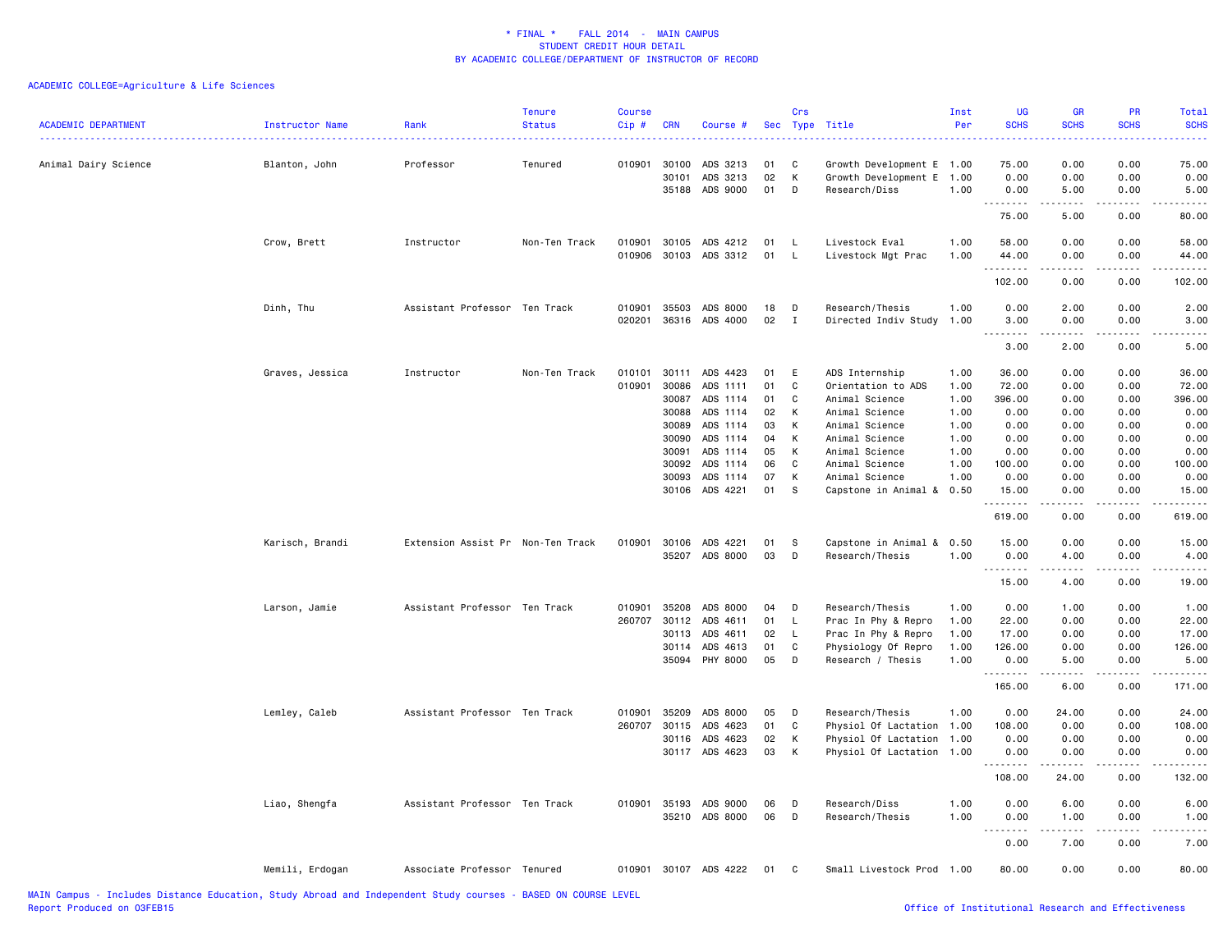| <b>ACADEMIC DEPARTMENT</b> | Instructor Name | Rank                              | <b>Tenure</b><br><b>Status</b> | Course<br>Cip#   | <b>CRN</b>     | Course #                                       |          | Crs<br>Sec Type   | Title                                      | Inst<br>Per  | <b>UG</b><br><b>SCHS</b> | <b>GR</b><br><b>SCHS</b>                                                                                                                                     | PR<br><b>SCHS</b>       | Total<br><b>SCHS</b>    |
|----------------------------|-----------------|-----------------------------------|--------------------------------|------------------|----------------|------------------------------------------------|----------|-------------------|--------------------------------------------|--------------|--------------------------|--------------------------------------------------------------------------------------------------------------------------------------------------------------|-------------------------|-------------------------|
| Animal Dairy Science       | Blanton, John   | Professor                         | Tenured                        | 010901           | 30100          | ADS 3213                                       | 01       | C                 | Growth Development E 1.00                  |              | 75.00                    | 0.00                                                                                                                                                         | 0.00                    | وبالاناداد<br>75.00     |
|                            |                 |                                   |                                |                  | 30101<br>35188 | ADS 3213<br>ADS 9000                           | 02<br>01 | K<br>D            | Growth Development E 1.00<br>Research/Diss | 1.00         | 0.00<br>0.00<br>.        | 0.00<br>5.00<br>.                                                                                                                                            | 0.00<br>0.00<br>.       | 0.00<br>5.00<br>$    -$ |
|                            |                 |                                   |                                |                  |                |                                                |          |                   |                                            |              | 75.00                    | 5.00                                                                                                                                                         | 0.00                    | 80.00                   |
|                            | Crow, Brett     | Instructor                        | Non-Ten Track                  |                  |                | 010901 30105 ADS 4212<br>010906 30103 ADS 3312 | 01<br>01 | L,<br>L.          | Livestock Eval<br>Livestock Mgt Prac       | 1.00<br>1.00 | 58.00<br>44.00<br>.      | 0.00<br>0.00<br><u>.</u>                                                                                                                                     | 0.00<br>0.00<br>.       | 58.00<br>44.00<br>.     |
|                            |                 |                                   |                                |                  |                |                                                |          |                   |                                            |              | 102.00                   | 0.00                                                                                                                                                         | 0.00                    | 102.00                  |
|                            | Dinh, Thu       | Assistant Professor Ten Track     |                                | 010901<br>020201 | 35503<br>36316 | ADS 8000<br>ADS 4000                           | 18<br>02 | D<br>$\mathbf{I}$ | Research/Thesis<br>Directed Indiv Study    | 1.00<br>1.00 | 0.00<br>3.00<br>.        | 2.00<br>0.00<br><b>.</b>                                                                                                                                     | 0.00<br>0.00<br>د د د د | 2.00<br>3.00<br>22222   |
|                            |                 |                                   |                                |                  |                |                                                |          |                   |                                            |              | 3.00                     | 2.00                                                                                                                                                         | 0.00                    | 5.00                    |
|                            | Graves, Jessica | Instructor                        | Non-Ten Track                  | 010101           | 30111          | ADS 4423                                       | 01       | E                 | ADS Internship                             | 1.00         | 36.00                    | 0.00                                                                                                                                                         | 0.00                    | 36.00                   |
|                            |                 |                                   |                                | 010901           | 30086          | ADS 1111                                       | 01       | C                 | Orientation to ADS                         | 1.00         | 72.00                    | 0.00                                                                                                                                                         | 0.00                    | 72.00                   |
|                            |                 |                                   |                                |                  | 30087          | ADS 1114                                       | 01       | C                 | Animal Science                             | 1.00         | 396.00                   | 0.00                                                                                                                                                         | 0.00                    | 396.00                  |
|                            |                 |                                   |                                |                  | 30088          | ADS 1114                                       | 02       | K                 | Animal Science                             | 1.00         | 0.00                     | 0.00                                                                                                                                                         | 0.00                    | 0.00                    |
|                            |                 |                                   |                                |                  | 30089          | ADS 1114                                       | 03       | к                 | Animal Science                             | 1.00         | 0.00                     | 0.00                                                                                                                                                         | 0.00                    | 0.00                    |
|                            |                 |                                   |                                |                  | 30090          | ADS 1114                                       | 04       | К                 | Animal Science                             | 1.00         | 0.00                     | 0.00                                                                                                                                                         | 0.00                    | 0.00                    |
|                            |                 |                                   |                                |                  | 30091          | ADS 1114                                       | 05       | K                 | Animal Science                             | 1.00         | 0.00                     | 0.00                                                                                                                                                         | 0.00                    | 0.00                    |
|                            |                 |                                   |                                |                  | 30092          | ADS 1114                                       | 06       | C                 | Animal Science                             | 1.00         | 100.00                   | 0.00                                                                                                                                                         | 0.00                    | 100.00                  |
|                            |                 |                                   |                                |                  | 30093          | ADS 1114                                       | 07       | К                 | Animal Science                             | 1.00         | 0.00                     | 0.00                                                                                                                                                         | 0.00                    | 0.00                    |
|                            |                 |                                   |                                |                  |                | 30106 ADS 4221                                 | 01       | <sub>S</sub>      | Capstone in Animal & 0.50                  |              | 15.00<br>.               | 0.00<br>$\frac{1}{2} \left( \frac{1}{2} \right) \left( \frac{1}{2} \right) \left( \frac{1}{2} \right) \left( \frac{1}{2} \right) \left( \frac{1}{2} \right)$ | 0.00<br>.               | 15.00<br>.              |
|                            |                 |                                   |                                |                  |                |                                                |          |                   |                                            |              | 619.00                   | 0.00                                                                                                                                                         | 0.00                    | 619.00                  |
|                            | Karisch, Brandi | Extension Assist Pr Non-Ten Track |                                | 010901           | 30106          | ADS 4221                                       | 01       | s                 | Capstone in Animal & 0.50                  |              | 15.00                    | 0.00                                                                                                                                                         | 0.00                    | 15.00                   |
|                            |                 |                                   |                                |                  |                | 35207 ADS 8000                                 | 03       | D                 | Research/Thesis                            | 1.00         | 0.00<br>.                | 4.00<br>$\frac{1}{2} \left( \frac{1}{2} \right) \left( \frac{1}{2} \right) \left( \frac{1}{2} \right) \left( \frac{1}{2} \right) \left( \frac{1}{2} \right)$ | 0.00<br>.               | 4.00<br>.               |
|                            |                 |                                   |                                |                  |                |                                                |          |                   |                                            |              | 15.00                    | 4.00                                                                                                                                                         | 0.00                    | 19.00                   |
|                            | Larson, Jamie   | Assistant Professor Ten Track     |                                | 010901           | 35208          | ADS 8000                                       | 04       | D                 | Research/Thesis                            | 1.00         | 0.00                     | 1.00                                                                                                                                                         | 0.00                    | 1.00                    |
|                            |                 |                                   |                                |                  |                | 260707 30112 ADS 4611                          | 01       | $\mathsf{L}$      | Prac In Phy & Repro                        | 1.00         | 22.00                    | 0.00                                                                                                                                                         | 0.00                    | 22.00                   |
|                            |                 |                                   |                                |                  | 30113          | ADS 4611                                       | 02       | L.                | Prac In Phy & Repro                        | 1.00         | 17.00                    | 0.00                                                                                                                                                         | 0.00                    | 17.00                   |
|                            |                 |                                   |                                |                  | 30114          | ADS 4613                                       | 01       | C                 | Physiology Of Repro                        | 1.00         | 126.00                   | 0.00                                                                                                                                                         | 0.00                    | 126.00                  |
|                            |                 |                                   |                                |                  |                | 35094 PHY 8000                                 | 05       | D                 | Research / Thesis                          | 1.00         | 0.00<br>.                | 5.00<br>$\frac{1}{2} \left( \frac{1}{2} \right) \left( \frac{1}{2} \right) \left( \frac{1}{2} \right) \left( \frac{1}{2} \right) \left( \frac{1}{2} \right)$ | 0.00<br>.               | 5.00<br>.               |
|                            |                 |                                   |                                |                  |                |                                                |          |                   |                                            |              | 165.00                   | 6.00                                                                                                                                                         | 0.00                    | 171.00                  |
|                            | Lemley, Caleb   | Assistant Professor Ten Track     |                                | 010901           | 35209          | ADS 8000                                       | 05       | D                 | Research/Thesis                            | 1.00         | 0.00                     | 24.00                                                                                                                                                        | 0.00                    | 24.00                   |
|                            |                 |                                   |                                | 260707 30115     |                | ADS 4623                                       | 01       | C                 | Physiol Of Lactation 1.00                  |              | 108.00                   | 0.00                                                                                                                                                         | 0.00                    | 108.00                  |
|                            |                 |                                   |                                |                  | 30116          | ADS 4623                                       | 02       | К                 | Physiol Of Lactation 1.00                  |              | 0.00                     | 0.00                                                                                                                                                         | 0.00                    | 0.00                    |
|                            |                 |                                   |                                |                  | 30117          | ADS 4623                                       | 03       | К                 | Physiol Of Lactation 1.00                  |              | 0.00<br>.                | 0.00                                                                                                                                                         | 0.00<br>.               | 0.00<br>.               |
|                            |                 |                                   |                                |                  |                |                                                |          |                   |                                            |              | 108.00                   | 24.00                                                                                                                                                        | 0.00                    | 132.00                  |
|                            | Liao, Shengfa   | Assistant Professor Ten Track     |                                | 010901 35193     |                | ADS 9000                                       | 06       | D                 | Research/Diss                              | 1.00         | 0.00                     | 6.00                                                                                                                                                         | 0.00                    | 6.00                    |
|                            |                 |                                   |                                |                  |                | 35210 ADS 8000                                 | 06       | D                 | Research/Thesis                            | 1.00         | 0.00<br>.                | 1.00<br>.                                                                                                                                                    | 0.00<br>د د د د         | 1.00<br>-----           |
|                            |                 |                                   |                                |                  |                |                                                |          |                   |                                            |              | 0.00                     | 7.00                                                                                                                                                         | 0.00                    | 7.00                    |
|                            | Memili, Erdogan | Associate Professor Tenured       |                                |                  |                | 010901 30107 ADS 4222                          | 01       | C                 | Small Livestock Prod 1.00                  |              | 80.00                    | 0.00                                                                                                                                                         | 0.00                    | 80.00                   |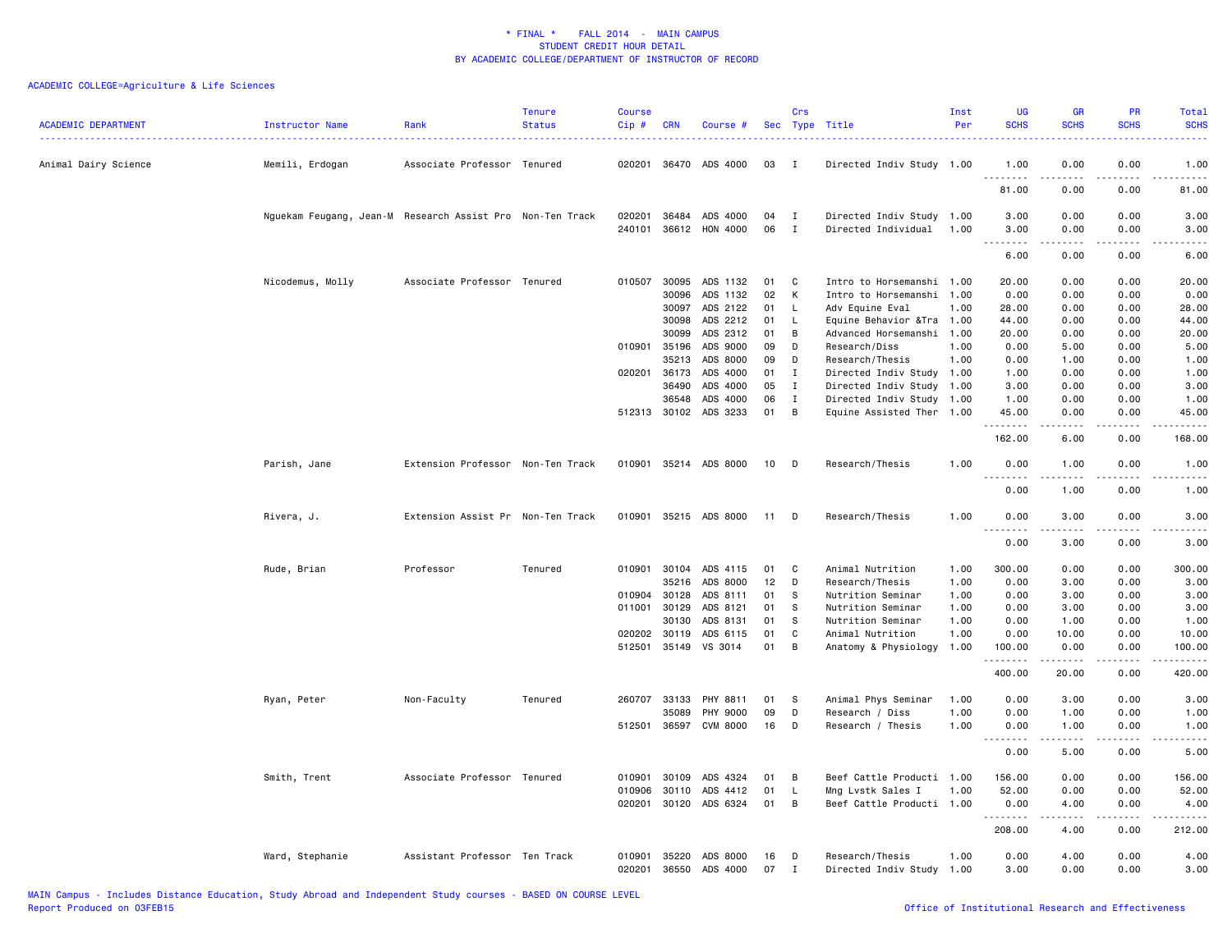| <b>ACADEMIC DEPARTMENT</b> | <b>Instructor Name</b>                                    | Rank                              | <b>Tenure</b><br><b>Status</b> | <b>Course</b><br>Cip# | <b>CRN</b>     | Course #              |          | Crs              | Sec Type Title                                 | Inst<br>Per | <b>UG</b><br><b>SCHS</b> | GR<br><b>SCHS</b>              | <b>PR</b><br><b>SCHS</b>            | Total<br><b>SCHS</b><br>.                                                                                                                                    |
|----------------------------|-----------------------------------------------------------|-----------------------------------|--------------------------------|-----------------------|----------------|-----------------------|----------|------------------|------------------------------------------------|-------------|--------------------------|--------------------------------|-------------------------------------|--------------------------------------------------------------------------------------------------------------------------------------------------------------|
| Animal Dairy Science       | Memili, Erdogan                                           | Associate Professor Tenured       |                                |                       |                | 020201 36470 ADS 4000 | 03       | $\mathbf I$      | Directed Indiv Study 1.00                      |             | 1.00<br>.                | 0.00<br><u>.</u>               | 0.00<br>.                           | 1.00<br>.                                                                                                                                                    |
|                            |                                                           |                                   |                                |                       |                |                       |          |                  |                                                |             | 81.00                    | 0.00                           | 0.00                                | 81.00                                                                                                                                                        |
|                            | Nguekam Feugang, Jean-M Research Assist Pro Non-Ten Track |                                   |                                | 020201                | 36484          | ADS 4000              | 04       | I                | Directed Indiv Study 1.00                      |             | 3.00                     | 0.00                           | 0.00                                | 3.00                                                                                                                                                         |
|                            |                                                           |                                   |                                | 240101                |                | 36612 HON 4000        | 06       | $\mathbf I$      | Directed Individual                            | 1.00        | 3.00<br>.                | 0.00<br>.                      | 0.00<br>$\sim$ $\sim$ $\sim$ $\sim$ | 3.00<br>.                                                                                                                                                    |
|                            |                                                           |                                   |                                |                       |                |                       |          |                  |                                                |             | 6.00                     | 0.00                           | 0.00                                | 6.00                                                                                                                                                         |
|                            | Nicodemus, Molly                                          | Associate Professor Tenured       |                                | 010507                | 30095          | ADS 1132              | 01       | C                | Intro to Horsemanshi 1.00                      |             | 20.00                    | 0.00                           | 0.00                                | 20.00                                                                                                                                                        |
|                            |                                                           |                                   |                                |                       | 30096          | ADS 1132              | 02       | K                | Intro to Horsemanshi 1.00                      |             | 0.00                     | 0.00                           | 0.00                                | 0.00                                                                                                                                                         |
|                            |                                                           |                                   |                                |                       | 30097          | ADS 2122              | 01       | L                | Adv Equine Eval                                | 1.00        | 28.00                    | 0.00                           | 0.00                                | 28.00                                                                                                                                                        |
|                            |                                                           |                                   |                                |                       | 30098          | ADS 2212              | 01       | L                | Equine Behavior & Tra 1.00                     |             | 44.00                    | 0.00                           | 0.00                                | 44.00                                                                                                                                                        |
|                            |                                                           |                                   |                                |                       | 30099          | ADS 2312              | 01       | B                | Advanced Horsemanshi 1.00                      |             | 20.00                    | 0.00                           | 0.00                                | 20.00                                                                                                                                                        |
|                            |                                                           |                                   |                                | 010901                | 35196          | ADS 9000              | 09       | D                | Research/Diss                                  | 1.00        | 0.00                     | 5.00                           | 0.00                                | 5.00                                                                                                                                                         |
|                            |                                                           |                                   |                                |                       | 35213          | ADS 8000              | 09       | D                | Research/Thesis                                | 1.00        | 0.00                     | 1.00                           | 0.00                                | 1.00                                                                                                                                                         |
|                            |                                                           |                                   |                                | 020201                | 36173          | ADS 4000              | 01       | $\mathbf I$      | Directed Indiv Study 1.00                      |             | 1.00                     | 0.00                           | 0.00                                | 1.00                                                                                                                                                         |
|                            |                                                           |                                   |                                |                       | 36490          | ADS 4000              | 05       | $\mathbf{I}$     | Directed Indiv Study 1.00                      |             | 3.00                     | 0.00                           | 0.00                                | 3.00                                                                                                                                                         |
|                            |                                                           |                                   |                                |                       | 36548          | ADS 4000              | 06       | $\;$ I           | Directed Indiv Study 1.00                      |             | 1.00                     | 0.00                           | 0.00                                | 1.00                                                                                                                                                         |
|                            |                                                           |                                   |                                |                       |                | 512313 30102 ADS 3233 | 01       | B                | Equine Assisted Ther 1.00                      |             | 45.00<br>.               | 0.00<br>.                      | 0.00<br>.                           | 45.00<br>.                                                                                                                                                   |
|                            |                                                           |                                   |                                |                       |                |                       |          |                  |                                                |             | 162.00                   | 6.00                           | 0.00                                | 168.00                                                                                                                                                       |
|                            | Parish, Jane                                              | Extension Professor Non-Ten Track |                                |                       |                | 010901 35214 ADS 8000 | 10       | D                | Research/Thesis                                | 1.00        | 0.00<br>$  -$<br>.       | 1.00<br>.                      | 0.00<br>.                           | 1.00<br>.                                                                                                                                                    |
|                            |                                                           |                                   |                                |                       |                |                       |          |                  |                                                |             | 0.00                     | 1.00                           | 0.00                                | 1.00                                                                                                                                                         |
|                            | Rivera, J.                                                | Extension Assist Pr Non-Ten Track |                                |                       |                | 010901 35215 ADS 8000 | 11       | D                | Research/Thesis                                | 1.00        | 0.00                     | 3.00                           | 0.00                                | 3.00                                                                                                                                                         |
|                            |                                                           |                                   |                                |                       |                |                       |          |                  |                                                |             | .<br>0.00                | .<br>3.00                      | .<br>0.00                           | .<br>3.00                                                                                                                                                    |
|                            | Rude, Brian                                               | Professor                         | Tenured                        | 010901                | 30104          | ADS 4115              | 01       | C                | Animal Nutrition                               | 1.00        | 300.00                   | 0.00                           | 0.00                                | 300.00                                                                                                                                                       |
|                            |                                                           |                                   |                                |                       | 35216          | ADS 8000              | 12       | D                | Research/Thesis                                | 1.00        | 0.00                     | 3.00                           | 0.00                                | 3.00                                                                                                                                                         |
|                            |                                                           |                                   |                                | 010904                | 30128          | ADS 8111              | 01       | S                | Nutrition Seminar                              | 1.00        | 0.00                     | 3.00                           | 0.00                                | 3.00                                                                                                                                                         |
|                            |                                                           |                                   |                                | 011001                | 30129          | ADS 8121              | 01       | S                | Nutrition Seminar                              | 1.00        | 0.00                     | 3.00                           | 0.00                                | 3.00                                                                                                                                                         |
|                            |                                                           |                                   |                                |                       | 30130          | ADS 8131              | 01       | S                | Nutrition Seminar                              | 1.00        | 0.00                     | 1.00                           | 0.00                                | 1.00                                                                                                                                                         |
|                            |                                                           |                                   |                                | 020202                | 30119          | ADS 6115              | 01       | C                | Animal Nutrition                               | 1.00        | 0.00                     | 10.00                          | 0.00                                | 10.00                                                                                                                                                        |
|                            |                                                           |                                   |                                | 512501                | 35149          | VS 3014               | 01       | B                | Anatomy & Physiology                           | 1.00        | 100.00<br>.              | 0.00<br>.                      | 0.00<br>.                           | 100.00<br><b></b>                                                                                                                                            |
|                            |                                                           |                                   |                                |                       |                |                       |          |                  |                                                |             | 400.00                   | 20.00                          | 0.00                                | 420.00                                                                                                                                                       |
|                            | Ryan, Peter                                               | Non-Faculty                       | Tenured                        | 260707                | 33133          | PHY 8811              | 01       | S                | Animal Phys Seminar                            | 1.00        | 0.00                     | 3.00                           | 0.00                                | 3.00                                                                                                                                                         |
|                            |                                                           |                                   |                                |                       | 35089          | PHY 9000              | 09       | D                | Research / Diss                                | 1.00        | 0.00                     | 1.00                           | 0.00                                | 1.00                                                                                                                                                         |
|                            |                                                           |                                   |                                | 512501                |                | 36597 CVM 8000        | 16       | D                | Research / Thesis                              | 1.00        | 0.00                     | 1.00                           | 0.00                                | 1.00                                                                                                                                                         |
|                            |                                                           |                                   |                                |                       |                |                       |          |                  |                                                |             | <u>.</u><br>0.00         | .<br>5.00                      | .<br>0.00                           | $\frac{1}{2} \left( \frac{1}{2} \right) \left( \frac{1}{2} \right) \left( \frac{1}{2} \right) \left( \frac{1}{2} \right) \left( \frac{1}{2} \right)$<br>5.00 |
|                            |                                                           |                                   |                                |                       |                |                       |          |                  |                                                |             |                          |                                |                                     |                                                                                                                                                              |
|                            | Smith, Trent                                              | Associate Professor Tenured       |                                | 010901                | 30109          | ADS 4324              | 01       | В                | Beef Cattle Producti 1.00                      |             | 156.00                   | 0.00                           | 0.00                                | 156.00                                                                                                                                                       |
|                            |                                                           |                                   |                                | 010906<br>020201      | 30110<br>30120 | ADS 4412<br>ADS 6324  | 01<br>01 | L<br>B           | Mng Lvstk Sales I<br>Beef Cattle Producti 1.00 | 1.00        | 52.00<br>0.00            | 0.00<br>4.00                   | 0.00<br>0.00                        | 52.00<br>4.00                                                                                                                                                |
|                            |                                                           |                                   |                                |                       |                |                       |          |                  |                                                |             | .<br>208.00              | <b><i><u>.</u></i></b><br>4.00 | .<br>0.00                           | .<br>212.00                                                                                                                                                  |
|                            |                                                           |                                   |                                |                       |                |                       |          |                  |                                                |             |                          |                                |                                     |                                                                                                                                                              |
|                            | Ward, Stephanie                                           | Assistant Professor Ten Track     |                                | 010901<br>020201      | 35220<br>36550 | ADS 8000<br>ADS 4000  | 16<br>07 | D<br>$\mathbf I$ | Research/Thesis<br>Directed Indiv Study 1.00   | 1.00        | 0.00<br>3.00             | 4.00<br>0.00                   | 0.00<br>0.00                        | 4.00<br>3.00                                                                                                                                                 |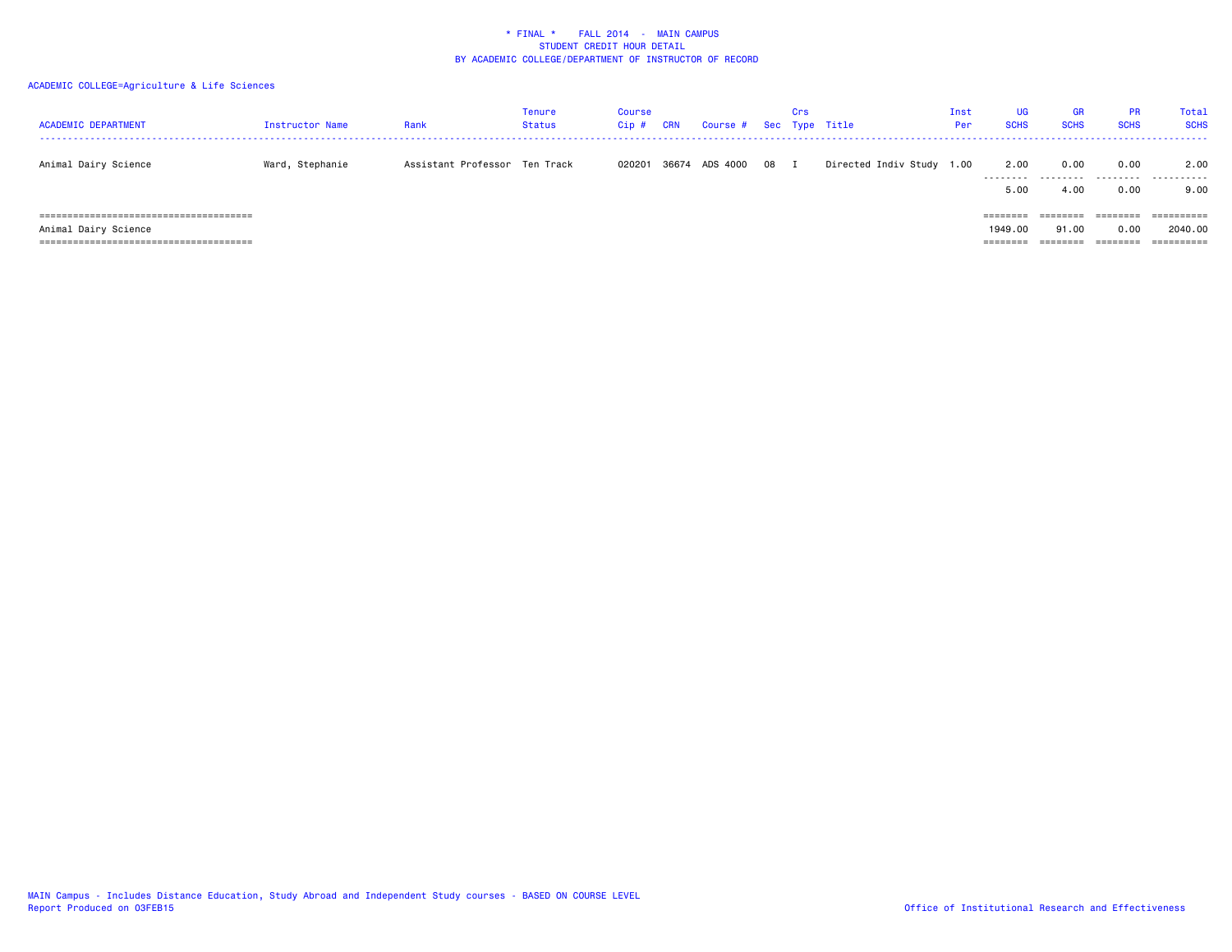| <b>ACADEMIC DEPARTMENT</b> | Instructor Name | Rank                          | Tenure<br><b>Status</b> | Course<br>$Cip$ # | <b>CRN</b> | Course # Sec Type Title |      | Crs |                           | Inst<br>Per | <b>UG</b><br><b>SCHS</b> | <b>GR</b><br><b>SCHS</b> | <b>PR</b><br><b>SCHS</b> | Total<br><b>SCHS</b> |
|----------------------------|-----------------|-------------------------------|-------------------------|-------------------|------------|-------------------------|------|-----|---------------------------|-------------|--------------------------|--------------------------|--------------------------|----------------------|
| Animal Dairy Science       | Ward, Stephanie | Assistant Professor Ten Track |                         | 020201            |            | 36674 ADS 4000          | 08 I |     | Directed Indiv Study 1.00 |             | 2.00                     | 0.00<br>                 | 0.00<br>.                | 2.00<br>.            |
|                            |                 |                               |                         |                   |            |                         |      |     |                           |             | 5.00                     | 4.00                     | 0.00                     | 9.00                 |
|                            |                 |                               |                         |                   |            |                         |      |     |                           |             | ========                 | ========                 | ========                 | ==========           |
| Animal Dairy Science       |                 |                               |                         |                   |            |                         |      |     |                           |             | 1949.00                  | 91.00                    | 0.00                     | 2040.00              |
|                            |                 |                               |                         |                   |            |                         |      |     |                           |             | ========                 | ========                 | ========                 | ==========           |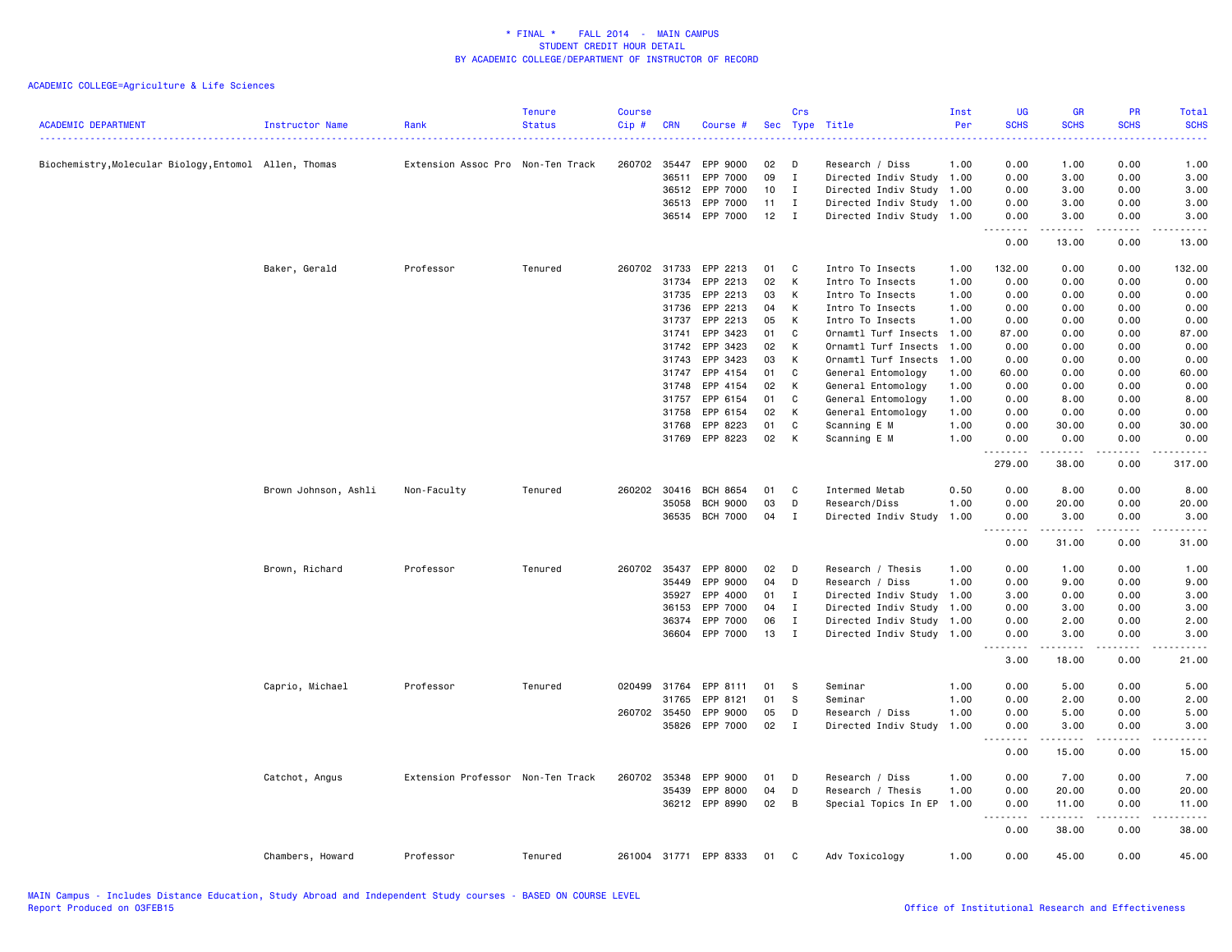| <b>ACADEMIC DEPARTMENT</b>                             | Instructor Name      | Rank                              | <b>Tenure</b><br><b>Status</b> | <b>Course</b><br>Cip# | <b>CRN</b>     | Course #              |          | Crs           | Sec Type Title                                         | Inst<br>Per  | <b>UG</b><br><b>SCHS</b>      | <b>GR</b><br><b>SCHS</b>                                                                                                                                     | <b>PR</b><br><b>SCHS</b>            | Total<br><b>SCHS</b><br>.                                                                                                                                    |
|--------------------------------------------------------|----------------------|-----------------------------------|--------------------------------|-----------------------|----------------|-----------------------|----------|---------------|--------------------------------------------------------|--------------|-------------------------------|--------------------------------------------------------------------------------------------------------------------------------------------------------------|-------------------------------------|--------------------------------------------------------------------------------------------------------------------------------------------------------------|
| Biochemistry, Molecular Biology, Entomol Allen, Thomas |                      | Extension Assoc Pro Non-Ten Track |                                | 260702 35447          |                | EPP 9000              | 02       | D             | Research / Diss                                        | 1.00         | 0.00                          | 1.00                                                                                                                                                         | 0.00                                | 1.00                                                                                                                                                         |
|                                                        |                      |                                   |                                |                       | 36511          | EPP 7000              | 09       | I             | Directed Indiv Study 1.00                              |              | 0.00                          | 3.00                                                                                                                                                         | 0.00                                | 3.00                                                                                                                                                         |
|                                                        |                      |                                   |                                |                       | 36512          | EPP 7000              | 10       | $\bf{I}$      | Directed Indiv Study 1.00                              |              | 0.00                          | 3.00                                                                                                                                                         | 0.00                                | 3.00                                                                                                                                                         |
|                                                        |                      |                                   |                                |                       | 36513<br>36514 | EPP 7000<br>EPP 7000  | 11<br>12 | $\bf{I}$<br>I | Directed Indiv Study 1.00<br>Directed Indiv Study 1.00 |              | 0.00<br>0.00                  | 3.00<br>3.00                                                                                                                                                 | 0.00<br>0.00                        | 3.00<br>3.00                                                                                                                                                 |
|                                                        |                      |                                   |                                |                       |                |                       |          |               |                                                        |              | 0.00                          | 13.00                                                                                                                                                        | 0.00                                | 13.00                                                                                                                                                        |
|                                                        | Baker, Gerald        | Professor                         | Tenured                        | 260702 31733          |                | EPP 2213              | 01       | C             | Intro To Insects                                       | 1.00         | 132.00                        | 0.00                                                                                                                                                         | 0.00                                | 132.00                                                                                                                                                       |
|                                                        |                      |                                   |                                |                       | 31734          | EPP 2213              | 02       | K             | Intro To Insects                                       | 1.00         | 0.00                          | 0.00                                                                                                                                                         | 0.00                                | 0.00                                                                                                                                                         |
|                                                        |                      |                                   |                                |                       | 31735          | EPP 2213              | 03       | К             | Intro To Insects                                       | 1.00         | 0.00                          | 0.00                                                                                                                                                         | 0.00                                | 0.00                                                                                                                                                         |
|                                                        |                      |                                   |                                |                       | 31736          | EPP 2213              | 04       | К             | Intro To Insects                                       | 1.00         | 0.00                          | 0.00                                                                                                                                                         | 0.00                                | 0.00                                                                                                                                                         |
|                                                        |                      |                                   |                                |                       | 31737          | EPP 2213              | 05       | К             | Intro To Insects                                       | 1.00         | 0.00                          | 0.00                                                                                                                                                         | 0.00                                | 0.00                                                                                                                                                         |
|                                                        |                      |                                   |                                |                       | 31741          | EPP 3423              | 01       | C             | Ornamtl Turf Insects 1.00                              |              | 87.00                         | 0.00                                                                                                                                                         | 0.00                                | 87.00                                                                                                                                                        |
|                                                        |                      |                                   |                                |                       | 31742          | EPP 3423              | 02       | К             | Ornamtl Turf Insects                                   | 1.00         | 0.00                          | 0.00                                                                                                                                                         | 0.00                                | 0.00                                                                                                                                                         |
|                                                        |                      |                                   |                                |                       | 31743          | EPP 3423              | 03       | К             | Ornamtl Turf Insects                                   | 1.00         | 0.00                          | 0.00                                                                                                                                                         | 0.00                                | 0.00                                                                                                                                                         |
|                                                        |                      |                                   |                                |                       | 31747          | EPP 4154              | 01       | C             | General Entomology                                     | 1.00         | 60.00                         | 0.00                                                                                                                                                         | 0.00                                | 60.00                                                                                                                                                        |
|                                                        |                      |                                   |                                |                       | 31748          | EPP 4154              | 02       | Κ             | General Entomology                                     | 1.00         | 0.00                          | 0.00                                                                                                                                                         | 0.00                                | 0.00                                                                                                                                                         |
|                                                        |                      |                                   |                                |                       | 31757<br>31758 | EPP 6154              | 01<br>02 | C<br>К        | General Entomology                                     | 1.00<br>1.00 | 0.00                          | 8.00                                                                                                                                                         | 0.00<br>0.00                        | 8.00                                                                                                                                                         |
|                                                        |                      |                                   |                                |                       | 31768          | EPP 6154<br>EPP 8223  | 01       | C             | General Entomology<br>Scanning E M                     | 1.00         | 0.00<br>0.00                  | 0.00<br>30.00                                                                                                                                                | 0.00                                | 0.00<br>30.00                                                                                                                                                |
|                                                        |                      |                                   |                                |                       | 31769          | EPP 8223              | 02       | К             | Scanning E M                                           | 1.00         | 0.00                          | 0.00                                                                                                                                                         | 0.00                                | 0.00                                                                                                                                                         |
|                                                        |                      |                                   |                                |                       |                |                       |          |               |                                                        |              | .<br>279.00                   | .<br>38.00                                                                                                                                                   | .<br>0.00                           | .<br>317.00                                                                                                                                                  |
|                                                        | Brown Johnson, Ashli | Non-Faculty                       | Tenured                        | 260202                | 30416          | BCH 8654              | 01       | C             | Intermed Metab                                         | 0.50         | 0.00                          | 8.00                                                                                                                                                         | 0.00                                | 8.00                                                                                                                                                         |
|                                                        |                      |                                   |                                |                       | 35058          | <b>BCH 9000</b>       | 03       | D             | Research/Diss                                          | 1.00         | 0.00                          | 20.00                                                                                                                                                        | 0.00                                | 20.00                                                                                                                                                        |
|                                                        |                      |                                   |                                |                       |                | 36535 BCH 7000        | 04       | I             | Directed Indiv Study                                   | 1.00         | 0.00<br>$\sim$ $\sim$ .       | 3.00                                                                                                                                                         | 0.00                                | 3.00                                                                                                                                                         |
|                                                        |                      |                                   |                                |                       |                |                       |          |               |                                                        |              | 0.00                          | 31.00                                                                                                                                                        | 0.00                                | 31.00                                                                                                                                                        |
|                                                        | Brown, Richard       | Professor                         | Tenured                        | 260702 35437          |                | EPP 8000              | 02       | D             | Research / Thesis                                      | 1.00         | 0.00                          | 1.00                                                                                                                                                         | 0.00                                | 1.00                                                                                                                                                         |
|                                                        |                      |                                   |                                |                       | 35449          | EPP 9000              | 04       | D             | Research / Diss                                        | 1.00         | 0.00                          | 9.00                                                                                                                                                         | 0.00                                | 9.00                                                                                                                                                         |
|                                                        |                      |                                   |                                |                       | 35927          | EPP 4000              | 01       | $\;$ I        | Directed Indiv Study 1.00                              |              | 3.00                          | 0.00                                                                                                                                                         | 0.00                                | 3.00                                                                                                                                                         |
|                                                        |                      |                                   |                                |                       | 36153          | EPP 7000              | 04       | $\mathbf{I}$  | Directed Indiv Study 1.00                              |              | 0.00                          | 3.00                                                                                                                                                         | 0.00                                | 3.00                                                                                                                                                         |
|                                                        |                      |                                   |                                |                       | 36374          | EPP 7000              | 06       | $\mathbf{I}$  | Directed Indiv Study 1.00                              |              | 0.00                          | 2.00                                                                                                                                                         | 0.00                                | 2.00                                                                                                                                                         |
|                                                        |                      |                                   |                                |                       | 36604          | EPP 7000              | 13       | $\mathbf{I}$  | Directed Indiv Study 1.00                              |              | 0.00<br>.                     | 3.00<br>$\frac{1}{2} \left( \frac{1}{2} \right) \left( \frac{1}{2} \right) \left( \frac{1}{2} \right) \left( \frac{1}{2} \right) \left( \frac{1}{2} \right)$ | 0.00<br>$\sim$ $\sim$ $\sim$ $\sim$ | 3.00<br>$\frac{1}{2} \left( \frac{1}{2} \right) \left( \frac{1}{2} \right) \left( \frac{1}{2} \right) \left( \frac{1}{2} \right) \left( \frac{1}{2} \right)$ |
|                                                        |                      |                                   |                                |                       |                |                       |          |               |                                                        |              | 3.00                          | 18.00                                                                                                                                                        | 0.00                                | 21.00                                                                                                                                                        |
|                                                        | Caprio, Michael      | Professor                         | Tenured                        | 020499                | 31764          | EPP 8111              | 01       | s             | Seminar                                                | 1.00         | 0.00                          | 5.00                                                                                                                                                         | 0.00                                | 5.00                                                                                                                                                         |
|                                                        |                      |                                   |                                |                       | 31765          | EPP 8121              | 01       | S             | Seminar                                                | 1.00         | 0.00                          | 2.00                                                                                                                                                         | 0.00                                | 2.00                                                                                                                                                         |
|                                                        |                      |                                   |                                | 260702 35450          |                | EPP 9000              | 05       | D             | Research / Diss                                        | 1.00         | 0.00                          | 5.00                                                                                                                                                         | 0.00                                | 5.00                                                                                                                                                         |
|                                                        |                      |                                   |                                |                       | 35826          | EPP 7000              | 02       | $\;$ I        | Directed Indiv Study 1.00                              |              | 0.00<br>$\frac{1}{2}$<br>$ -$ | 3.00<br>.                                                                                                                                                    | 0.00<br>.                           | 3.00<br>$\frac{1}{2}$                                                                                                                                        |
|                                                        |                      |                                   |                                |                       |                |                       |          |               |                                                        |              | 0.00                          | 15.00                                                                                                                                                        | 0.00                                | 15.00                                                                                                                                                        |
|                                                        | Catchot, Angus       | Extension Professor Non-Ten Track |                                | 260702                | 35348          | EPP 9000              | 01       | D             | Research / Diss                                        | 1.00         | 0.00                          | 7.00                                                                                                                                                         | 0.00                                | 7.00                                                                                                                                                         |
|                                                        |                      |                                   |                                |                       | 35439          | EPP 8000              | 04       | D             | Research / Thesis                                      | 1.00         | 0.00                          | 20.00                                                                                                                                                        | 0.00                                | 20.00                                                                                                                                                        |
|                                                        |                      |                                   |                                |                       |                | 36212 EPP 8990        | 02       | В             | Special Topics In EP                                   | 1.00         | 0.00<br>$\sim$ $\sim$ .       | 11.00                                                                                                                                                        | 0.00<br>$- - - -$                   | 11.00<br>$- - - - -$                                                                                                                                         |
|                                                        |                      |                                   |                                |                       |                |                       |          |               |                                                        |              | 0.00                          | 38.00                                                                                                                                                        | 0.00                                | 38.00                                                                                                                                                        |
|                                                        | Chambers, Howard     | Professor                         | Tenured                        |                       |                | 261004 31771 EPP 8333 | 01       | C.            | Adv Toxicology                                         | 1.00         | 0.00                          | 45.00                                                                                                                                                        | 0.00                                | 45.00                                                                                                                                                        |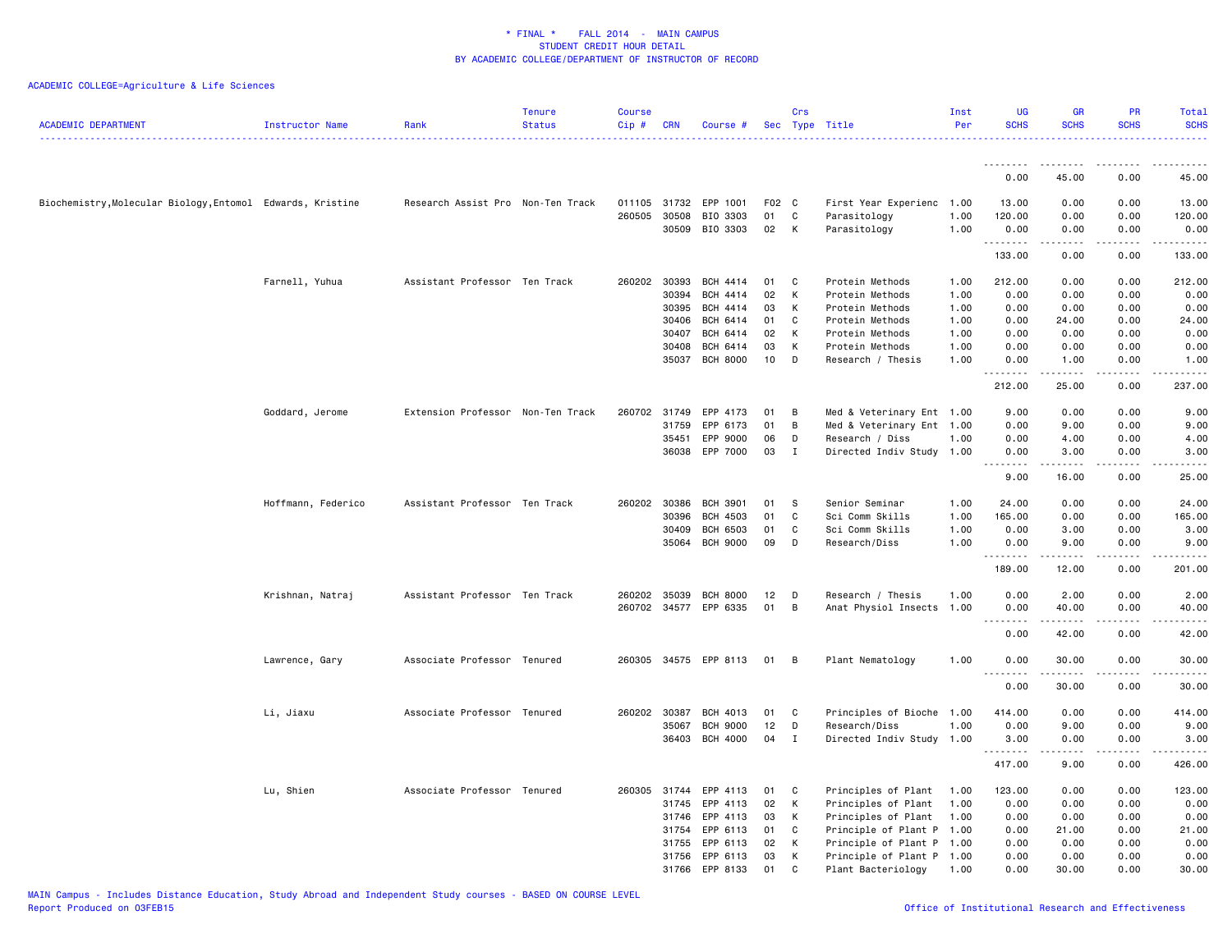| <b>ACADEMIC DEPARTMENT</b>                                 | <b>Instructor Name</b> | Rank                              | <b>Tenure</b><br><b>Status</b> | <b>Course</b><br>Cip# | <b>CRN</b>     | Course #              |          | Crs      | Sec Type Title                               | Inst<br>Per  | <b>UG</b><br><b>SCHS</b> | <b>GR</b><br><b>SCHS</b> | <b>PR</b><br><b>SCHS</b>            | Total<br><b>SCHS</b><br><u>.</u>                                                                                                                              |
|------------------------------------------------------------|------------------------|-----------------------------------|--------------------------------|-----------------------|----------------|-----------------------|----------|----------|----------------------------------------------|--------------|--------------------------|--------------------------|-------------------------------------|---------------------------------------------------------------------------------------------------------------------------------------------------------------|
|                                                            |                        |                                   |                                |                       |                |                       |          |          |                                              |              | .                        | --------                 | .                                   | .                                                                                                                                                             |
|                                                            |                        |                                   |                                |                       |                |                       |          |          |                                              |              | 0.00                     | 45.00                    | 0.00                                | 45.00                                                                                                                                                         |
| Biochemistry, Molecular Biology, Entomol Edwards, Kristine |                        | Research Assist Pro Non-Ten Track |                                |                       |                | 011105 31732 EPP 1001 | F02 C    |          | First Year Experienc                         | 1.00         | 13.00                    | 0.00                     | 0.00                                | 13.00                                                                                                                                                         |
|                                                            |                        |                                   |                                |                       | 260505 30508   | BIO 3303              | 01       | C        | Parasitology                                 | 1.00         | 120.00                   | 0.00                     | 0.00                                | 120.00                                                                                                                                                        |
|                                                            |                        |                                   |                                |                       |                | 30509 BIO 3303        | 02       | K        | Parasitology                                 | 1.00         | 0.00<br>.                | 0.00<br>.                | 0.00<br>.                           | 0.00<br>.                                                                                                                                                     |
|                                                            |                        |                                   |                                |                       |                |                       |          |          |                                              |              | 133.00                   | 0.00                     | 0.00                                | 133.00                                                                                                                                                        |
|                                                            | Farnell, Yuhua         | Assistant Professor Ten Track     |                                |                       | 260202 30393   | BCH 4414              | 01       | C        | Protein Methods                              | 1.00         | 212.00                   | 0.00                     | 0.00                                | 212.00                                                                                                                                                        |
|                                                            |                        |                                   |                                |                       | 30394          | BCH 4414              | 02       | K        | Protein Methods                              | 1.00         | 0.00                     | 0.00                     | 0.00                                | 0.00                                                                                                                                                          |
|                                                            |                        |                                   |                                |                       | 30395          | BCH 4414              | 03       | к        | Protein Methods                              | 1.00         | 0.00                     | 0.00                     | 0.00                                | 0.00                                                                                                                                                          |
|                                                            |                        |                                   |                                |                       | 30406          | BCH 6414              | 01       | C        | Protein Methods                              | 1.00         | 0.00                     | 24.00                    | 0.00                                | 24.00                                                                                                                                                         |
|                                                            |                        |                                   |                                |                       | 30407<br>30408 | BCH 6414<br>BCH 6414  | 02<br>03 | K<br>К   | Protein Methods<br>Protein Methods           | 1.00<br>1.00 | 0.00<br>0.00             | 0.00<br>0.00             | 0.00<br>0.00                        | 0.00<br>0.00                                                                                                                                                  |
|                                                            |                        |                                   |                                |                       |                | 35037 BCH 8000        | 10       | D        | Research / Thesis                            | 1.00         | 0.00                     | 1.00                     | 0.00                                | 1.00                                                                                                                                                          |
|                                                            |                        |                                   |                                |                       |                |                       |          |          |                                              |              | .<br>212.00              | -----<br>25.00           | .<br>0.00                           | .<br>237.00                                                                                                                                                   |
|                                                            |                        |                                   |                                |                       |                |                       |          |          |                                              |              |                          |                          |                                     |                                                                                                                                                               |
|                                                            | Goddard, Jerome        | Extension Professor Non-Ten Track |                                |                       | 31759          | 260702 31749 EPP 4173 | 01<br>01 | B<br>B   | Med & Veterinary Ent 1.00                    |              | 9.00                     | 0.00                     | 0.00                                | 9.00<br>9.00                                                                                                                                                  |
|                                                            |                        |                                   |                                |                       | 35451          | EPP 6173<br>EPP 9000  | 06       | D        | Med & Veterinary Ent 1.00<br>Research / Diss | 1.00         | 0.00<br>0.00             | 9.00<br>4.00             | 0.00<br>0.00                        | 4.00                                                                                                                                                          |
|                                                            |                        |                                   |                                |                       |                | 36038 EPP 7000        | 03       | I        | Directed Indiv Study 1.00                    |              | 0.00                     | 3.00                     | 0.00                                | 3.00                                                                                                                                                          |
|                                                            |                        |                                   |                                |                       |                |                       |          |          |                                              |              | 1.1.1.1.1.1.1<br>9.00    | -----<br>16.00           | $\sim$ $\sim$ $\sim$ $\sim$<br>0.00 | $\frac{1}{2} \left( \frac{1}{2} \right) \left( \frac{1}{2} \right) \left( \frac{1}{2} \right) \left( \frac{1}{2} \right) \left( \frac{1}{2} \right)$<br>25.00 |
|                                                            | Hoffmann, Federico     | Assistant Professor Ten Track     |                                |                       | 260202 30386   | BCH 3901              | 01       | s.       | Senior Seminar                               | 1.00         | 24.00                    | 0.00                     | 0.00                                | 24.00                                                                                                                                                         |
|                                                            |                        |                                   |                                |                       | 30396          | <b>BCH 4503</b>       | 01       | C        | Sci Comm Skills                              | 1.00         | 165.00                   | 0.00                     | 0.00                                | 165.00                                                                                                                                                        |
|                                                            |                        |                                   |                                |                       | 30409          | <b>BCH 6503</b>       | 01       | C        | Sci Comm Skills                              | 1.00         | 0.00                     | 3.00                     | 0.00                                | 3.00                                                                                                                                                          |
|                                                            |                        |                                   |                                |                       | 35064          | BCH 9000              | 09       | D        | Research/Diss                                | 1.00         | 0.00                     | 9.00                     | 0.00                                | 9.00                                                                                                                                                          |
|                                                            |                        |                                   |                                |                       |                |                       |          |          |                                              |              | .<br>189.00              | .<br>12.00               | .<br>0.00                           | .<br>201.00                                                                                                                                                   |
|                                                            | Krishnan, Natraj       | Assistant Professor Ten Track     |                                |                       | 260202 35039   | <b>BCH 8000</b>       | 12       | D        | Research / Thesis                            | 1.00         | 0.00                     | 2.00                     | 0.00                                | 2.00                                                                                                                                                          |
|                                                            |                        |                                   |                                |                       |                | 260702 34577 EPP 6335 | 01       | B        | Anat Physiol Insects 1.00                    |              | 0.00                     | 40.00                    | 0.00                                | 40.00                                                                                                                                                         |
|                                                            |                        |                                   |                                |                       |                |                       |          |          |                                              |              | .<br>0.00                | 42.00                    | .<br>0.00                           | .<br>42.00                                                                                                                                                    |
|                                                            | Lawrence, Gary         | Associate Professor Tenured       |                                |                       |                | 260305 34575 EPP 8113 | 01       | B        | Plant Nematology                             | 1.00         | 0.00                     | 30.00                    | 0.00                                | 30.00                                                                                                                                                         |
|                                                            |                        |                                   |                                |                       |                |                       |          |          |                                              |              | .<br>0.00                | 30.00                    | 0.00                                | .<br>30.00                                                                                                                                                    |
|                                                            | Li, Jiaxu              | Associate Professor Tenured       |                                |                       | 260202 30387   | BCH 4013              | 01       | C        | Principles of Bioche 1.00                    |              | 414.00                   | 0.00                     | 0.00                                | 414.00                                                                                                                                                        |
|                                                            |                        |                                   |                                |                       | 35067          | <b>BCH 9000</b>       | 12       | D        | Research/Diss                                | 1.00         | 0.00                     | 9.00                     | 0.00                                | 9.00                                                                                                                                                          |
|                                                            |                        |                                   |                                |                       | 36403          | BCH 4000              | 04       | $\bf{I}$ | Directed Indiv Study 1.00                    |              | 3.00                     | 0.00                     | 0.00                                | 3.00                                                                                                                                                          |
|                                                            |                        |                                   |                                |                       |                |                       |          |          |                                              |              | .<br>417.00              | <b>.</b><br>9.00         | .<br>0.00                           | <u>.</u><br>426.00                                                                                                                                            |
|                                                            |                        |                                   |                                |                       |                |                       |          |          |                                              |              |                          |                          |                                     |                                                                                                                                                               |
|                                                            | Lu, Shien              | Associate Professor Tenured       |                                | 260305                | 31744<br>31745 | EPP 4113<br>EPP 4113  | 01<br>02 | C<br>K   | Principles of Plant<br>Principles of Plant   | 1.00         | 123.00<br>0.00           | 0.00<br>0.00             | 0.00<br>0.00                        | 123.00<br>0.00                                                                                                                                                |
|                                                            |                        |                                   |                                |                       | 31746          | EPP 4113              | 03       | K        | Principles of Plant                          | 1.00<br>1.00 | 0.00                     | 0.00                     | 0.00                                | 0.00                                                                                                                                                          |
|                                                            |                        |                                   |                                |                       | 31754          | EPP 6113              | 01       | C        | Principle of Plant P 1.00                    |              | 0.00                     | 21.00                    | 0.00                                | 21.00                                                                                                                                                         |
|                                                            |                        |                                   |                                |                       | 31755          | EPP 6113              | 02       | К        | Principle of Plant P 1.00                    |              | 0.00                     | 0.00                     | 0.00                                | 0.00                                                                                                                                                          |
|                                                            |                        |                                   |                                |                       |                | 31756 EPP 6113        | 03       | K        | Principle of Plant P 1.00                    |              | 0.00                     | 0.00                     | 0.00                                | 0.00                                                                                                                                                          |
|                                                            |                        |                                   |                                |                       | 31766          | EPP 8133              | 01       | C        | Plant Bacteriology                           | 1.00         | 0.00                     | 30.00                    | 0.00                                | 30.00                                                                                                                                                         |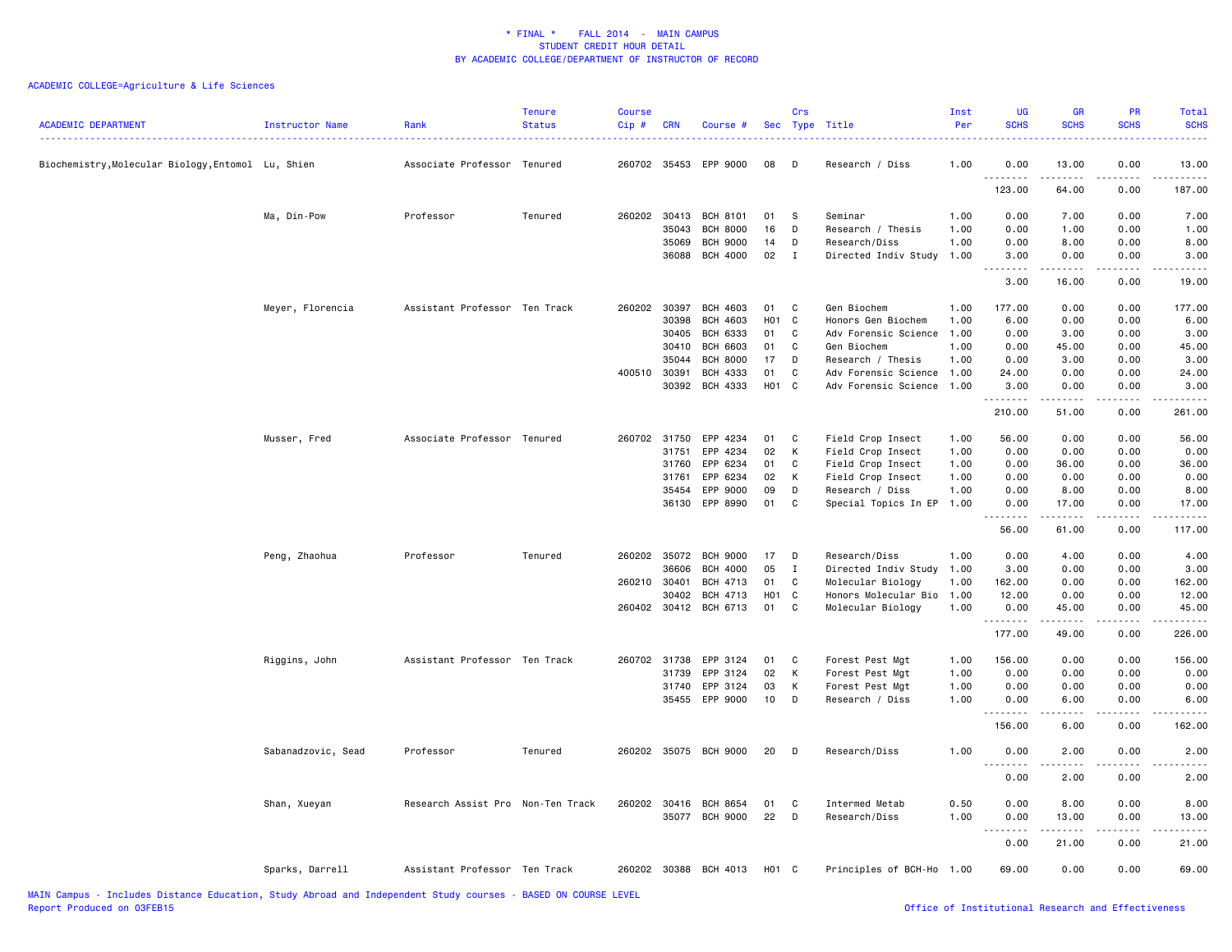| <b>ACADEMIC DEPARTMENT</b>                         | Instructor Name    | Rank                              | <b>Tenure</b><br><b>Status</b> | <b>Course</b><br>Cip# | <b>CRN</b> | Course #              | <b>Sec</b>       | Crs          | Type Title                | Inst<br>Per | <b>UG</b><br><b>SCHS</b>      | <b>GR</b><br><b>SCHS</b> | PR<br><b>SCHS</b> | Total<br><b>SCHS</b>                                                                                                |
|----------------------------------------------------|--------------------|-----------------------------------|--------------------------------|-----------------------|------------|-----------------------|------------------|--------------|---------------------------|-------------|-------------------------------|--------------------------|-------------------|---------------------------------------------------------------------------------------------------------------------|
| Biochemistry, Molecular Biology, Entomol Lu, Shien |                    | Associate Professor Tenured       |                                | 260702 35453          |            | EPP 9000              | 08               | D            | Research / Diss           | 1.00        | 0.00<br>. <b>.</b>            | 13.00                    | 0.00              | 13.00                                                                                                               |
|                                                    |                    |                                   |                                |                       |            |                       |                  |              |                           |             | 123.00                        | 64.00                    | 0.00              | 187.00                                                                                                              |
|                                                    | Ma, Din-Pow        | Professor                         | Tenured                        | 260202 30413          |            | <b>BCH 8101</b>       | 01               | <b>S</b>     | Seminar                   | 1.00        | 0.00                          | 7.00                     | 0.00              | 7.00                                                                                                                |
|                                                    |                    |                                   |                                |                       | 35043      | <b>BCH 8000</b>       | 16               | D            | Research / Thesis         | 1.00        | 0.00                          | 1.00                     | 0.00              | 1.00                                                                                                                |
|                                                    |                    |                                   |                                |                       | 35069      | <b>BCH 9000</b>       | 14               | D            | Research/Diss             | 1.00        | 0.00                          | 8.00                     | 0.00              | 8.00                                                                                                                |
|                                                    |                    |                                   |                                |                       | 36088      | <b>BCH 4000</b>       | 02               | I            | Directed Indiv Study      | 1.00        | 3.00<br>.                     | 0.00<br>.                | 0.00<br>.         | 3.00<br>.                                                                                                           |
|                                                    |                    |                                   |                                |                       |            |                       |                  |              |                           |             | 3.00                          | 16.00                    | 0.00              | 19.00                                                                                                               |
|                                                    | Meyer, Florencia   | Assistant Professor Ten Track     |                                | 260202 30397          |            | BCH 4603              | 01               | C            | Gen Biochem               | 1.00        | 177.00                        | 0.00                     | 0.00              | 177.00                                                                                                              |
|                                                    |                    |                                   |                                |                       | 30398      | <b>BCH 4603</b>       | H <sub>0</sub> 1 | C            | Honors Gen Biochem        | 1.00        | 6.00                          | 0.00                     | 0.00              | 6.00                                                                                                                |
|                                                    |                    |                                   |                                |                       | 30405      | <b>BCH 6333</b>       | 01               | C            | Adv Forensic Science      | 1.00        | 0.00                          | 3.00                     | 0.00              | 3.00                                                                                                                |
|                                                    |                    |                                   |                                |                       | 30410      | <b>BCH 6603</b>       | 01               | C            | Gen Biochem               | 1.00        | 0.00                          | 45.00                    | 0.00              | 45.00                                                                                                               |
|                                                    |                    |                                   |                                |                       | 35044      | <b>BCH 8000</b>       | 17               | D            | Research / Thesis         | 1.00        | 0.00                          | 3.00                     | 0.00              | 3.00                                                                                                                |
|                                                    |                    |                                   |                                | 400510 30391          |            | <b>BCH 4333</b>       | 01               | C            | Adv Forensic Science      | 1.00        | 24.00                         | 0.00                     | 0.00              | 24.00                                                                                                               |
|                                                    |                    |                                   |                                |                       | 30392      | BCH 4333              | H01 C            |              | Adv Forensic Science      | 1.00        | 3.00<br><u>.</u>              | 0.00<br>.                | 0.00<br>.         | 3.00<br>$\begin{array}{cccccccccc} \bullet & \bullet & \bullet & \bullet & \bullet & \bullet & \bullet \end{array}$ |
|                                                    |                    |                                   |                                |                       |            |                       |                  |              |                           |             | 210.00                        | 51.00                    | 0.00              | 261.00                                                                                                              |
|                                                    | Musser, Fred       | Associate Professor Tenured       |                                | 260702 31750          |            | EPP 4234              | 01               | C            | Field Crop Insect         | 1.00        | 56.00                         | 0.00                     | 0.00              | 56.00                                                                                                               |
|                                                    |                    |                                   |                                |                       | 31751      | EPP 4234              | 02               | к            | Field Crop Insect         | 1.00        | 0.00                          | 0.00                     | 0.00              | 0.00                                                                                                                |
|                                                    |                    |                                   |                                |                       | 31760      | EPP 6234              | 01               | C            | Field Crop Insect         | 1.00        | 0.00                          | 36.00                    | 0.00              | 36.00                                                                                                               |
|                                                    |                    |                                   |                                |                       | 31761      | EPP 6234              | 02               | К            | Field Crop Insect         | 1.00        | 0.00                          | 0.00                     | 0.00              | 0.00                                                                                                                |
|                                                    |                    |                                   |                                |                       | 35454      | EPP 9000              | 09               | D            | Research / Diss           | 1.00        | 0.00                          | 8.00                     | 0.00              | 8.00                                                                                                                |
|                                                    |                    |                                   |                                |                       |            | 36130 EPP 8990        | 01               | C            | Special Topics In EP      | 1.00        | 0.00                          | 17.00                    | 0.00              | 17.00                                                                                                               |
|                                                    |                    |                                   |                                |                       |            |                       |                  |              |                           |             | 56.00                         | -----<br>61.00           | 0.00              | 117.00                                                                                                              |
|                                                    | Peng, Zhaohua      | Professor                         | Tenured                        | 260202 35072          |            | <b>BCH 9000</b>       | 17               | D            | Research/Diss             | 1.00        | 0.00                          | 4.00                     | 0.00              | 4.00                                                                                                                |
|                                                    |                    |                                   |                                |                       | 36606      | <b>BCH 4000</b>       | 05               | $\mathbf{I}$ | Directed Indiv Study      | 1.00        | 3.00                          | 0.00                     | 0.00              | 3.00                                                                                                                |
|                                                    |                    |                                   |                                | 260210                | 30401      | BCH 4713              | 01               | C            | Molecular Biology         | 1.00        | 162.00                        | 0.00                     | 0.00              | 162.00                                                                                                              |
|                                                    |                    |                                   |                                |                       | 30402      | <b>BCH 4713</b>       | H01              | $\mathbf{C}$ | Honors Molecular Bio      | 1.00        | 12.00                         | 0.00                     | 0.00              | 12.00                                                                                                               |
|                                                    |                    |                                   |                                |                       |            | 260402 30412 BCH 6713 | 01               | C            | Molecular Biology         | 1.00        | 0.00                          | 45.00                    | 0.00              | 45.00                                                                                                               |
|                                                    |                    |                                   |                                |                       |            |                       |                  |              |                           |             | .<br>177.00                   | <u>.</u><br>49.00        | .<br>0.00         | .<br>226.00                                                                                                         |
|                                                    | Riggins, John      | Assistant Professor Ten Track     |                                | 260702 31738          |            | EPP 3124              | 01               | C            | Forest Pest Mgt           | 1.00        | 156.00                        | 0.00                     | 0.00              | 156.00                                                                                                              |
|                                                    |                    |                                   |                                |                       | 31739      | EPP 3124              | 02               | K            | Forest Pest Mgt           | 1.00        | 0.00                          | 0.00                     | 0.00              | 0.00                                                                                                                |
|                                                    |                    |                                   |                                |                       | 31740      | EPP 3124              | 03               | к            | Forest Pest Mgt           | 1.00        | 0.00                          | 0.00                     | 0.00              | 0.00                                                                                                                |
|                                                    |                    |                                   |                                |                       |            | 35455 EPP 9000        | 10               | D            | Research / Diss           | 1.00        | 0.00                          | 6.00                     | 0.00              | 6.00                                                                                                                |
|                                                    |                    |                                   |                                |                       |            |                       |                  |              |                           |             | 156.00                        | 6.00                     | 0.00              | 162.00                                                                                                              |
|                                                    | Sabanadzovic, Sead | Professor                         | Tenured                        |                       |            | 260202 35075 BCH 9000 | 20               | D            | Research/Diss             | 1.00        | 0.00                          | 2.00                     | 0.00              | 2.00                                                                                                                |
|                                                    |                    |                                   |                                |                       |            |                       |                  |              |                           |             | .<br>0.00                     | 2.00                     | 0.00              | 2.00                                                                                                                |
|                                                    | Shan, Xueyan       | Research Assist Pro Non-Ten Track |                                | 260202 30416          |            | <b>BCH 8654</b>       | 01               | C            | Intermed Metab            | 0.50        | 0.00                          | 8.00                     | 0.00              | 8.00                                                                                                                |
|                                                    |                    |                                   |                                |                       |            | 35077 BCH 9000        | 22               | D            | Research/Diss             | 1.00        | 0.00                          | 13.00                    | 0.00              | 13.00                                                                                                               |
|                                                    |                    |                                   |                                |                       |            |                       |                  |              |                           |             | $\sim$ $\sim$<br>----<br>0.00 | $- - - - -$<br>21.00     | .<br>0.00         | $\frac{1}{2}$<br>21.00                                                                                              |
|                                                    | Sparks, Darrell    | Assistant Professor Ten Track     |                                |                       |            | 260202 30388 BCH 4013 | H01 C            |              | Principles of BCH-Ho 1.00 |             | 69.00                         | 0.00                     | 0.00              | 69.00                                                                                                               |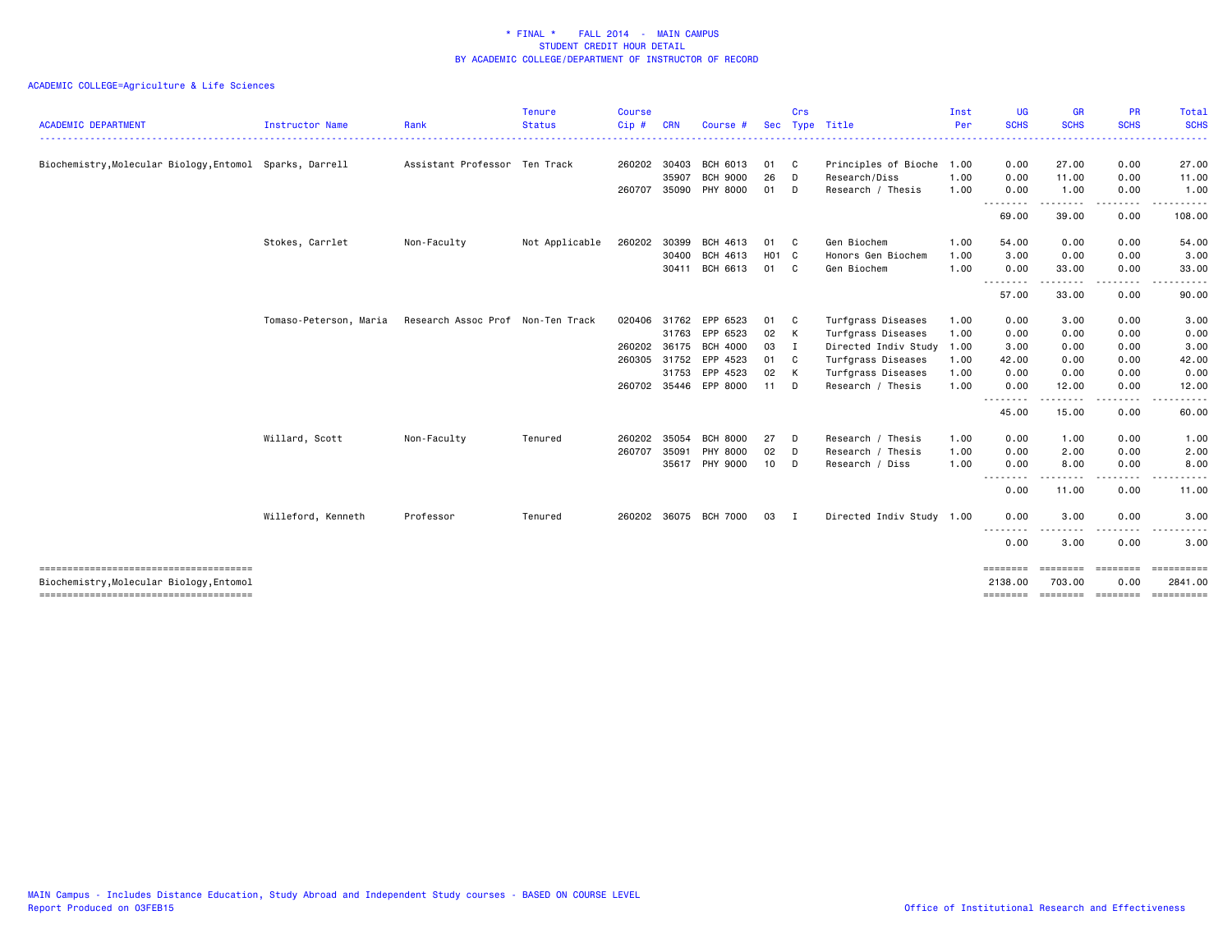| <b>ACADEMIC DEPARTMENT</b>                               | <b>Instructor Name</b> | Rank                              | <b>Tenure</b><br><b>Status</b> | <b>Course</b><br>Cip# | <b>CRN</b> | Course #              | Sec   | Crs         | Type Title                | Inst<br>Per | <b>UG</b><br><b>SCHS</b>     | GR<br><b>SCHS</b>  | <b>PR</b><br><b>SCHS</b> | Total<br><b>SCHS</b>                                                                                                                                                                                                                                                                                                                                                                                                                                                                              |
|----------------------------------------------------------|------------------------|-----------------------------------|--------------------------------|-----------------------|------------|-----------------------|-------|-------------|---------------------------|-------------|------------------------------|--------------------|--------------------------|---------------------------------------------------------------------------------------------------------------------------------------------------------------------------------------------------------------------------------------------------------------------------------------------------------------------------------------------------------------------------------------------------------------------------------------------------------------------------------------------------|
|                                                          |                        |                                   |                                |                       |            |                       |       |             |                           |             | .                            |                    |                          | . <b>.</b>                                                                                                                                                                                                                                                                                                                                                                                                                                                                                        |
| Biochemistry, Molecular Biology, Entomol Sparks, Darrell |                        | Assistant Professor Ten Track     |                                | 260202 30403          |            | BCH 6013              | 01    | C           | Principles of Bioche 1.00 |             | 0.00                         | 27.00              | 0.00                     | 27.00                                                                                                                                                                                                                                                                                                                                                                                                                                                                                             |
|                                                          |                        |                                   |                                |                       | 35907      | <b>BCH 9000</b>       | 26    | D           | Research/Diss             | 1.00        | 0.00                         | 11.00              | 0.00                     | 11.00                                                                                                                                                                                                                                                                                                                                                                                                                                                                                             |
|                                                          |                        |                                   |                                | 260707 35090          |            | PHY 8000              | 01    | D           | Research / Thesis         | 1.00        | 0.00<br><u>.</u>             | 1.00               | 0.00<br>. <b>.</b> .     | 1.00                                                                                                                                                                                                                                                                                                                                                                                                                                                                                              |
|                                                          |                        |                                   |                                |                       |            |                       |       |             |                           |             | 69.00                        | 39.00              | 0.00                     | 108.00                                                                                                                                                                                                                                                                                                                                                                                                                                                                                            |
|                                                          | Stokes, Carrlet        | Non-Faculty                       | Not Applicable                 | 260202                | 30399      | BCH 4613              | 01    | C           | Gen Biochem               | 1.00        | 54.00                        | 0.00               | 0.00                     | 54.00                                                                                                                                                                                                                                                                                                                                                                                                                                                                                             |
|                                                          |                        |                                   |                                |                       | 30400      | BCH 4613              | H01 C |             | Honors Gen Biochem        | 1.00        | 3.00                         | 0.00               | 0.00                     | 3.00                                                                                                                                                                                                                                                                                                                                                                                                                                                                                              |
|                                                          |                        |                                   |                                |                       | 30411      | BCH 6613              | 01    | C           | Gen Biochem               | 1.00        | 0.00                         | 33.00              | 0.00                     | 33.00                                                                                                                                                                                                                                                                                                                                                                                                                                                                                             |
|                                                          |                        |                                   |                                |                       |            |                       |       |             |                           |             | --------<br>57.00            | .<br>33.00         | ----<br>0.00             | 90.00                                                                                                                                                                                                                                                                                                                                                                                                                                                                                             |
|                                                          | Tomaso-Peterson, Maria | Research Assoc Prof Non-Ten Track |                                | 020406                | 31762      | EPP 6523              | 01    | C           | Turfgrass Diseases        | 1.00        | 0.00                         | 3.00               | 0.00                     | 3.00                                                                                                                                                                                                                                                                                                                                                                                                                                                                                              |
|                                                          |                        |                                   |                                |                       | 31763      | EPP 6523              | 02    | K           | Turfgrass Diseases        | 1.00        | 0.00                         | 0.00               | 0.00                     | 0.00                                                                                                                                                                                                                                                                                                                                                                                                                                                                                              |
|                                                          |                        |                                   |                                | 260202 36175          |            | <b>BCH 4000</b>       | 03    | I           | Directed Indiv Study 1.00 |             | 3.00                         | 0.00               | 0.00                     | 3.00                                                                                                                                                                                                                                                                                                                                                                                                                                                                                              |
|                                                          |                        |                                   |                                | 260305                | 31752      | EPP 4523              | 01    | C.          | Turfgrass Diseases        | 1.00        | 42.00                        | 0.00               | 0.00                     | 42.00                                                                                                                                                                                                                                                                                                                                                                                                                                                                                             |
|                                                          |                        |                                   |                                |                       |            | 31753 EPP 4523        | 02    | K           | Turfgrass Diseases        | 1.00        | 0.00                         | 0.00               | 0.00                     | 0.00                                                                                                                                                                                                                                                                                                                                                                                                                                                                                              |
|                                                          |                        |                                   |                                |                       |            | 260702 35446 EPP 8000 | 11    | D           | Research / Thesis         | 1.00        | 0.00                         | 12.00              | 0.00                     | 12.00                                                                                                                                                                                                                                                                                                                                                                                                                                                                                             |
|                                                          |                        |                                   |                                |                       |            |                       |       |             |                           |             | --------<br>45.00            | .<br>15.00         | .<br>0.00                | $\frac{1}{2} \left( \frac{1}{2} \right) \left( \frac{1}{2} \right) \left( \frac{1}{2} \right) \left( \frac{1}{2} \right)$<br>60.00                                                                                                                                                                                                                                                                                                                                                                |
|                                                          | Willard, Scott         | Non-Faculty                       | Tenured                        | 260202                | 35054      | <b>BCH 8000</b>       | 27    | D           | Research / Thesis         | 1.00        | 0.00                         | 1.00               | 0.00                     | 1.00                                                                                                                                                                                                                                                                                                                                                                                                                                                                                              |
|                                                          |                        |                                   |                                | 260707                | 35091      | PHY 8000              | 02    | D           | Research / Thesis         | 1.00        | 0.00                         | 2.00               | 0.00                     | 2.00                                                                                                                                                                                                                                                                                                                                                                                                                                                                                              |
|                                                          |                        |                                   |                                |                       |            | 35617 PHY 9000        | 10    | D           | Research / Diss           | 1.00        | 0.00                         | 8.00               | 0.00                     | 8.00                                                                                                                                                                                                                                                                                                                                                                                                                                                                                              |
|                                                          |                        |                                   |                                |                       |            |                       |       |             |                           |             | $\sim$ $\sim$ $\sim$<br>0.00 | 11.00              | المتحدث<br>0.00          | 11.00                                                                                                                                                                                                                                                                                                                                                                                                                                                                                             |
|                                                          | Willeford, Kenneth     | Professor                         | Tenured                        |                       |            | 260202 36075 BCH 7000 | 03    | $\mathbf I$ | Directed Indiv Study 1.00 |             | 0.00                         | 3.00               | 0.00                     | 3.00                                                                                                                                                                                                                                                                                                                                                                                                                                                                                              |
|                                                          |                        |                                   |                                |                       |            |                       |       |             |                           |             | .<br>0.00                    | ---<br>3.00        | -----<br>0.00            | . <b>.</b> .<br>3.00                                                                                                                                                                                                                                                                                                                                                                                                                                                                              |
| Biochemistry, Molecular Biology, Entomol                 |                        |                                   |                                |                       |            |                       |       |             |                           |             | ========<br>2138.00          | ========<br>703.00 | ========<br>0.00         | $\begin{array}{cccccccccc} \multicolumn{2}{c}{} & \multicolumn{2}{c}{} & \multicolumn{2}{c}{} & \multicolumn{2}{c}{} & \multicolumn{2}{c}{} & \multicolumn{2}{c}{} & \multicolumn{2}{c}{} & \multicolumn{2}{c}{} & \multicolumn{2}{c}{} & \multicolumn{2}{c}{} & \multicolumn{2}{c}{} & \multicolumn{2}{c}{} & \multicolumn{2}{c}{} & \multicolumn{2}{c}{} & \multicolumn{2}{c}{} & \multicolumn{2}{c}{} & \multicolumn{2}{c}{} & \multicolumn{2}{c}{} & \multicolumn{2}{c}{} & \mult$<br>2841.00 |
| -------------------------------------                    |                        |                                   |                                |                       |            |                       |       |             |                           |             |                              |                    | -------- ------- ------- | ==========                                                                                                                                                                                                                                                                                                                                                                                                                                                                                        |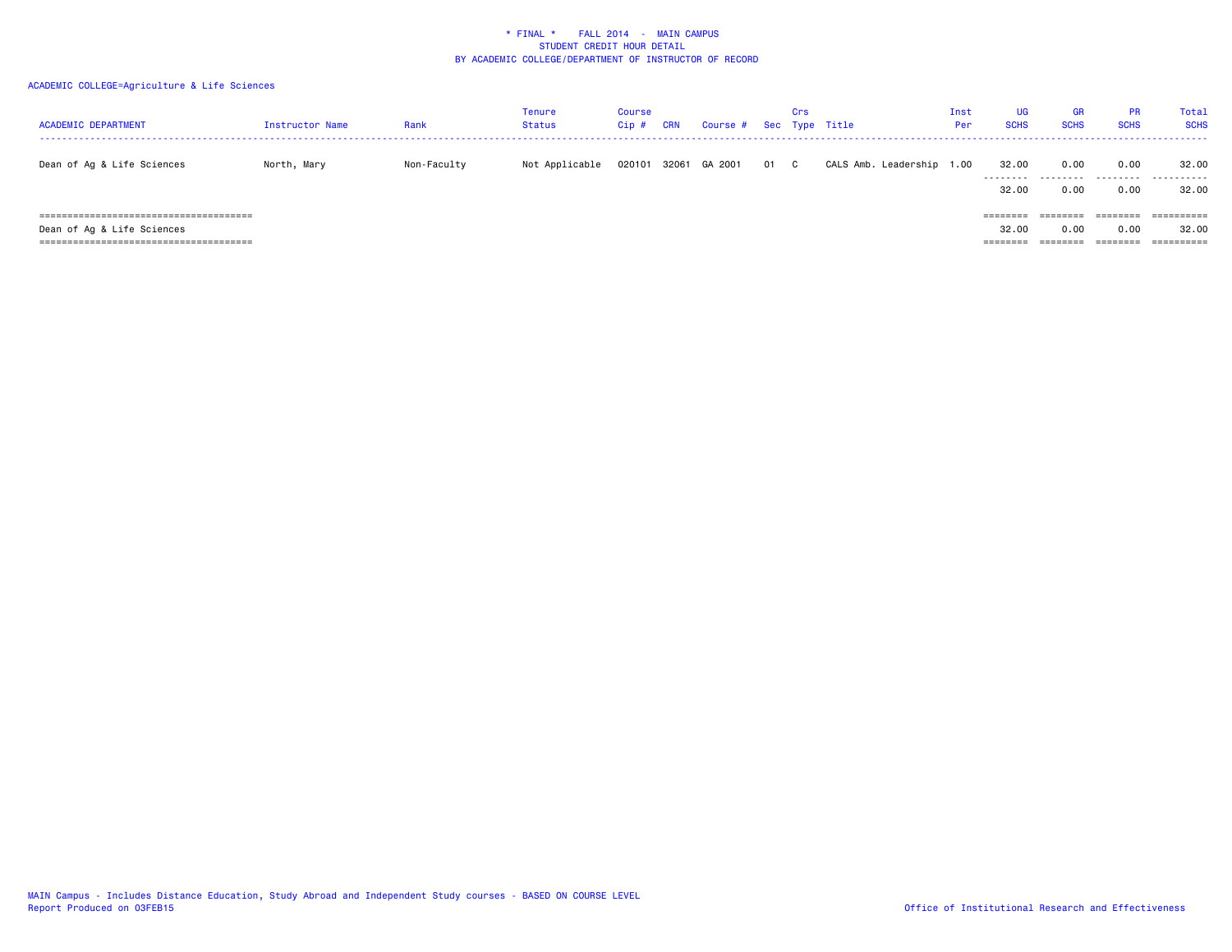| <b>ACADEMIC DEPARTMENT</b> | Instructor Name | Rank        | Tenure<br><b>Status</b> | Course<br>$Cip$ # | <b>CRN</b> | Course # |      | Crs | Sec Type Title       | Inst<br>Per | UG<br><b>SCHS</b> | <b>GR</b><br><b>SCHS</b> | <b>PR</b><br><b>SCHS</b> | Total<br><b>SCHS</b> |
|----------------------------|-----------------|-------------|-------------------------|-------------------|------------|----------|------|-----|----------------------|-------------|-------------------|--------------------------|--------------------------|----------------------|
| Dean of Ag & Life Sciences | North, Mary     | Non-Faculty | Not Applicable          | 020101            | 32061      | GA 2001  | 01 C |     | CALS Amb. Leadership | 1.00        | 32.00             | 0.00<br>                 | 0.00<br>.                | 32.00<br>.           |
|                            |                 |             |                         |                   |            |          |      |     |                      |             | 32.00             | 0.00                     | 0.00                     | 32.00                |
|                            |                 |             |                         |                   |            |          |      |     |                      |             | ========          | ========                 | ========                 | ==========           |
| Dean of Ag & Life Sciences |                 |             |                         |                   |            |          |      |     |                      |             | 32.00             | 0.00                     | 0.00                     | 32.00                |
|                            |                 |             |                         |                   |            |          |      |     |                      |             | ========          | ---------                | $=$ = = = = = = =        | ==========           |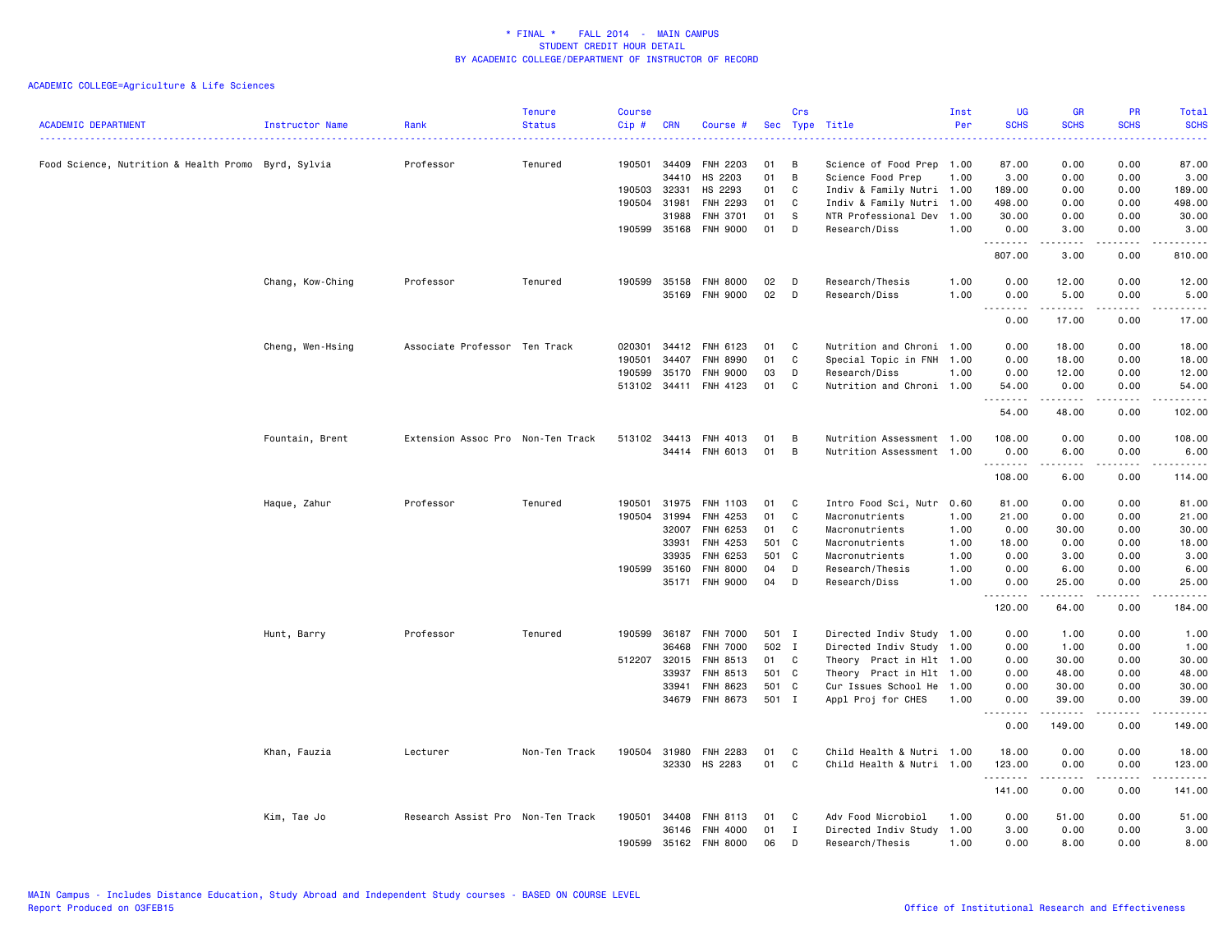| <b>ACADEMIC DEPARTMENT</b>                          | Instructor Name  | Rank                              | <b>Tenure</b><br><b>Status</b> | <b>Course</b><br>Cip# | <b>CRN</b>   | Course #              | Sec   | Crs          | Type Title                | Inst<br>Per | <b>UG</b><br><b>SCHS</b>                                                                                                                                                             | <b>GR</b><br><b>SCHS</b>                                                                                                                                     | PR<br><b>SCHS</b>                           | Total<br><b>SCHS</b><br><u>.</u> |
|-----------------------------------------------------|------------------|-----------------------------------|--------------------------------|-----------------------|--------------|-----------------------|-------|--------------|---------------------------|-------------|--------------------------------------------------------------------------------------------------------------------------------------------------------------------------------------|--------------------------------------------------------------------------------------------------------------------------------------------------------------|---------------------------------------------|----------------------------------|
| Food Science, Nutrition & Health Promo Byrd, Sylvia |                  | Professor                         | Tenured                        | 190501                | 34409        | <b>FNH 2203</b>       | 01    | В            | Science of Food Prep 1.00 |             | 87.00                                                                                                                                                                                | 0.00                                                                                                                                                         | 0.00                                        | 87.00                            |
|                                                     |                  |                                   |                                |                       | 34410        | HS 2203               | 01    | B            | Science Food Prep         | 1.00        | 3.00                                                                                                                                                                                 | 0.00                                                                                                                                                         | 0.00                                        | 3.00                             |
|                                                     |                  |                                   |                                | 190503                | 32331        | HS 2293               | 01    | C            | Indiv & Family Nutri 1.00 |             | 189.00                                                                                                                                                                               | 0.00                                                                                                                                                         | 0.00                                        | 189.00                           |
|                                                     |                  |                                   |                                | 190504                | 31981        | FNH 2293              | 01    | C            | Indiv & Family Nutri 1.00 |             | 498.00                                                                                                                                                                               | 0.00                                                                                                                                                         | 0.00                                        | 498.00                           |
|                                                     |                  |                                   |                                |                       | 31988        | FNH 3701              | 01    | S.           | NTR Professional Dev 1.00 |             | 30.00                                                                                                                                                                                | 0.00                                                                                                                                                         | 0.00                                        | 30.00                            |
|                                                     |                  |                                   |                                |                       | 190599 35168 | <b>FNH 9000</b>       | 01    | D            | Research/Diss             | 1.00        | 0.00<br>.                                                                                                                                                                            | 3.00<br>.                                                                                                                                                    | 0.00<br>.                                   | 3.00<br><u>.</u>                 |
|                                                     |                  |                                   |                                |                       |              |                       |       |              |                           |             | 807.00                                                                                                                                                                               | 3.00                                                                                                                                                         | 0.00                                        | 810.00                           |
|                                                     | Chang, Kow-Ching | Professor                         | Tenured                        | 190599                | 35158        | <b>FNH 8000</b>       | 02    | D            | Research/Thesis           | 1.00        | 0.00                                                                                                                                                                                 | 12.00                                                                                                                                                        | 0.00                                        | 12.00                            |
|                                                     |                  |                                   |                                |                       | 35169        | <b>FNH 9000</b>       | 02    | D            | Research/Diss             | 1.00        | 0.00<br>.                                                                                                                                                                            | 5.00<br>.                                                                                                                                                    | 0.00<br>.                                   | 5.00<br>.                        |
|                                                     |                  |                                   |                                |                       |              |                       |       |              |                           |             | 0.00                                                                                                                                                                                 | 17.00                                                                                                                                                        | 0.00                                        | 17.00                            |
|                                                     | Cheng, Wen-Hsing | Associate Professor Ten Track     |                                | 020301                | 34412        | FNH 6123              | 01    | C            | Nutrition and Chroni 1.00 |             | 0.00                                                                                                                                                                                 | 18.00                                                                                                                                                        | 0.00                                        | 18.00                            |
|                                                     |                  |                                   |                                | 190501                | 34407        | FNH 8990              | 01    | C            | Special Topic in FNH 1.00 |             | 0.00                                                                                                                                                                                 | 18.00                                                                                                                                                        | 0.00                                        | 18.00                            |
|                                                     |                  |                                   |                                | 190599                | 35170        | <b>FNH 9000</b>       | 03    | D            | Research/Diss             | 1.00        | 0.00                                                                                                                                                                                 | 12.00                                                                                                                                                        | 0.00                                        | 12.00                            |
|                                                     |                  |                                   |                                |                       |              | 513102 34411 FNH 4123 | 01    | C            | Nutrition and Chroni 1.00 |             | 54.00<br><u>.</u>                                                                                                                                                                    | 0.00<br>.                                                                                                                                                    | 0.00<br>.                                   | 54.00<br>.                       |
|                                                     |                  |                                   |                                |                       |              |                       |       |              |                           |             | 54.00                                                                                                                                                                                | 48.00                                                                                                                                                        | 0.00                                        | 102.00                           |
|                                                     | Fountain, Brent  | Extension Assoc Pro Non-Ten Track |                                |                       | 513102 34413 | FNH 4013              | 01    | В            | Nutrition Assessment 1.00 |             | 108.00                                                                                                                                                                               | 0.00                                                                                                                                                         | 0.00                                        | 108.00                           |
|                                                     |                  |                                   |                                |                       |              | 34414 FNH 6013        | 01    | B            | Nutrition Assessment 1.00 |             | 0.00<br>.                                                                                                                                                                            | 6.00<br>$\frac{1}{2} \left( \frac{1}{2} \right) \left( \frac{1}{2} \right) \left( \frac{1}{2} \right) \left( \frac{1}{2} \right) \left( \frac{1}{2} \right)$ | 0.00<br>.                                   | 6.00<br>------                   |
|                                                     |                  |                                   |                                |                       |              |                       |       |              |                           |             | 108.00                                                                                                                                                                               | 6.00                                                                                                                                                         | 0.00                                        | 114.00                           |
|                                                     | Haque, Zahur     | Professor                         | Tenured                        | 190501                | 31975        | FNH 1103              | 01    | C            | Intro Food Sci, Nutr 0.60 |             | 81.00                                                                                                                                                                                | 0.00                                                                                                                                                         | 0.00                                        | 81.00                            |
|                                                     |                  |                                   |                                | 190504                | 31994        | FNH 4253              | 01    | C            | Macronutrients            | 1.00        | 21.00                                                                                                                                                                                | 0.00                                                                                                                                                         | 0.00                                        | 21.00                            |
|                                                     |                  |                                   |                                |                       | 32007        | FNH 6253              | 01    | C            | Macronutrients            | 1.00        | 0.00                                                                                                                                                                                 | 30.00                                                                                                                                                        | 0.00                                        | 30.00                            |
|                                                     |                  |                                   |                                |                       | 33931        | FNH 4253              | 501   | C.           | Macronutrients            | 1.00        | 18.00                                                                                                                                                                                | 0.00                                                                                                                                                         | 0.00                                        | 18.00                            |
|                                                     |                  |                                   |                                |                       | 33935        | FNH 6253              | 501   | C            | Macronutrients            | 1.00        | 0.00                                                                                                                                                                                 | 3.00                                                                                                                                                         | 0.00                                        | 3.00                             |
|                                                     |                  |                                   |                                | 190599                | 35160        | FNH 8000              | 04    | D            | Research/Thesis           | 1.00        | 0.00                                                                                                                                                                                 | 6.00                                                                                                                                                         | 0.00                                        | 6.00                             |
|                                                     |                  |                                   |                                |                       | 35171        | FNH 9000              | 04    | D            | Research/Diss             | 1.00        | 0.00<br>.                                                                                                                                                                            | 25.00<br>$\begin{array}{cccccccccc} \bullet & \bullet & \bullet & \bullet & \bullet & \bullet \end{array}$                                                   | 0.00<br>$\omega$ $\omega$ $\omega$ $\omega$ | 25.00<br>.                       |
|                                                     |                  |                                   |                                |                       |              |                       |       |              |                           |             | 120.00                                                                                                                                                                               | 64.00                                                                                                                                                        | 0.00                                        | 184.00                           |
|                                                     | Hunt, Barry      | Professor                         | Tenured                        | 190599                | 36187        | <b>FNH 7000</b>       | 501 I |              | Directed Indiv Study 1.00 |             | 0.00                                                                                                                                                                                 | 1.00                                                                                                                                                         | 0.00                                        | 1.00                             |
|                                                     |                  |                                   |                                |                       | 36468        | <b>FNH 7000</b>       | 502 I |              | Directed Indiv Study 1.00 |             | 0.00                                                                                                                                                                                 | 1.00                                                                                                                                                         | 0.00                                        | 1.00                             |
|                                                     |                  |                                   |                                | 512207                | 32015        | FNH 8513              | 01    | C            | Theory Pract in Hlt 1.00  |             | 0.00                                                                                                                                                                                 | 30.00                                                                                                                                                        | 0.00                                        | 30.00                            |
|                                                     |                  |                                   |                                |                       | 33937        | FNH 8513              | 501 C |              | Theory Pract in Hlt 1.00  |             | 0.00                                                                                                                                                                                 | 48.00                                                                                                                                                        | 0.00                                        | 48.00                            |
|                                                     |                  |                                   |                                |                       | 33941        | FNH 8623              | 501   | $\mathbf{C}$ | Cur Issues School He 1.00 |             | 0.00                                                                                                                                                                                 | 30.00                                                                                                                                                        | 0.00                                        | 30.00                            |
|                                                     |                  |                                   |                                |                       | 34679        | FNH 8673              | 501 I |              | Appl Proj for CHES        | 1.00        | 0.00<br>$\frac{1}{2} \left( \frac{1}{2} \right) \left( \frac{1}{2} \right) \left( \frac{1}{2} \right) \left( \frac{1}{2} \right) \left( \frac{1}{2} \right)$<br>$\sim$ $\sim$ $\sim$ | 39.00                                                                                                                                                        | 0.00                                        | 39.00<br>والمستحدث               |
|                                                     |                  |                                   |                                |                       |              |                       |       |              |                           |             | 0.00                                                                                                                                                                                 | 149.00                                                                                                                                                       | 0.00                                        | 149.00                           |
|                                                     | Khan, Fauzia     | Lecturer                          | Non-Ten Track                  |                       | 190504 31980 | <b>FNH 2283</b>       | 01    | C            | Child Health & Nutri 1.00 |             | 18.00                                                                                                                                                                                | 0.00                                                                                                                                                         | 0.00                                        | 18.00                            |
|                                                     |                  |                                   |                                |                       |              | 32330 HS 2283         | 01    | C            | Child Health & Nutri 1.00 |             | 123.00<br>.                                                                                                                                                                          | 0.00<br>.                                                                                                                                                    | 0.00<br>.                                   | 123.00<br>.                      |
|                                                     |                  |                                   |                                |                       |              |                       |       |              |                           |             | 141.00                                                                                                                                                                               | 0.00                                                                                                                                                         | 0.00                                        | 141.00                           |
|                                                     | Kim, Tae Jo      | Research Assist Pro Non-Ten Track |                                | 190501                | 34408        | FNH 8113              | 01    | C            | Adv Food Microbiol        | 1.00        | 0.00                                                                                                                                                                                 | 51.00                                                                                                                                                        | 0.00                                        | 51.00                            |
|                                                     |                  |                                   |                                |                       | 36146        | FNH 4000              | 01    | $\mathbf{I}$ | Directed Indiv Study 1.00 |             | 3.00                                                                                                                                                                                 | 0.00                                                                                                                                                         | 0.00                                        | 3.00                             |
|                                                     |                  |                                   |                                | 190599                | 35162        | FNH 8000              | 06    | D            | Research/Thesis           | 1.00        | 0.00                                                                                                                                                                                 | 8.00                                                                                                                                                         | 0.00                                        | 8.00                             |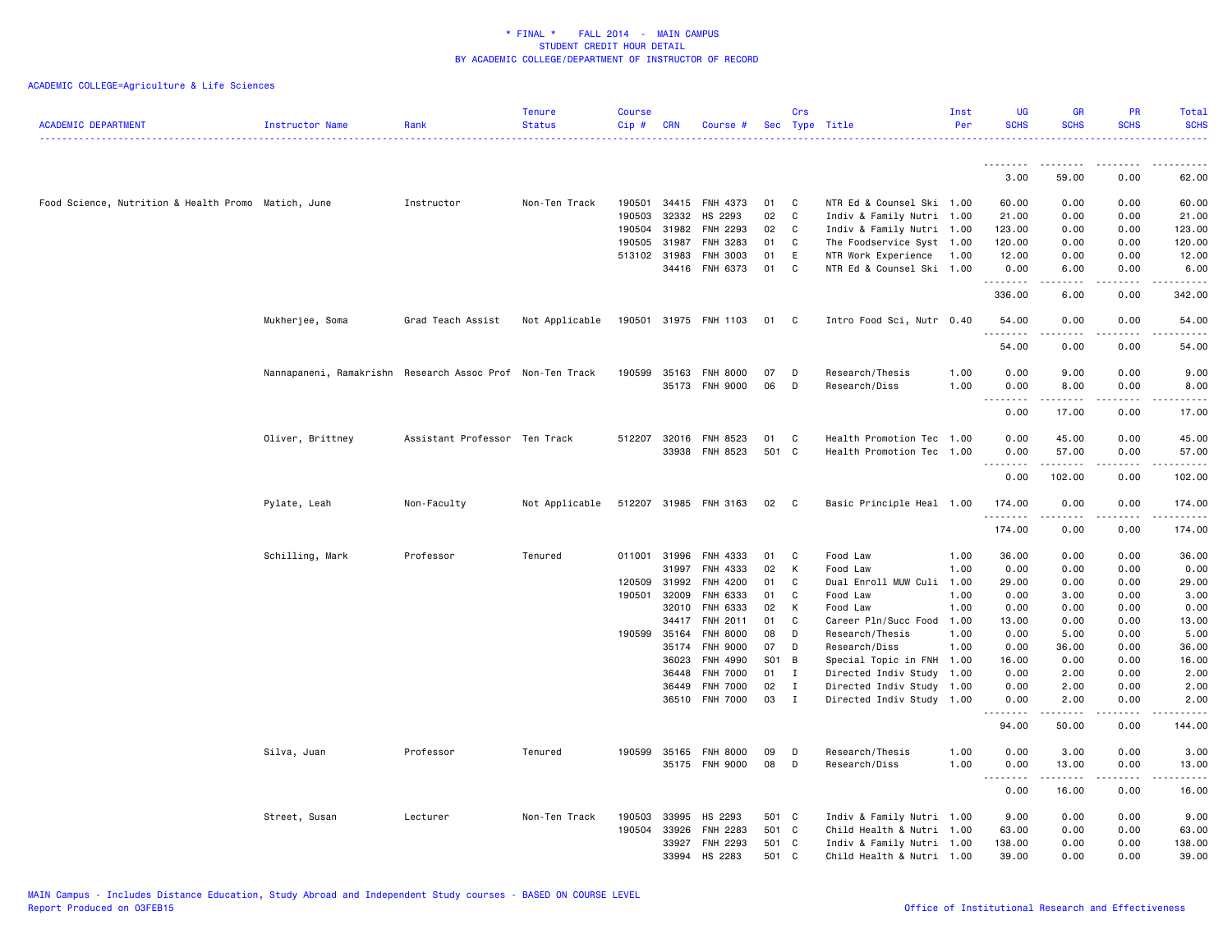| <b>ACADEMIC DEPARTMENT</b>                          | <b>Instructor Name</b>                                    | Rank                          | <b>Tenure</b><br><b>Status</b> | <b>Course</b><br>Cip# | <b>CRN</b>     | Course #              |           | Crs          | Sec Type Title                                         | Inst<br>Per | <b>UG</b><br><b>SCHS</b>  | <b>GR</b><br><b>SCHS</b> | <b>PR</b><br><b>SCHS</b> | Total<br><b>SCHS</b>                                                                                                               |
|-----------------------------------------------------|-----------------------------------------------------------|-------------------------------|--------------------------------|-----------------------|----------------|-----------------------|-----------|--------------|--------------------------------------------------------|-------------|---------------------------|--------------------------|--------------------------|------------------------------------------------------------------------------------------------------------------------------------|
|                                                     |                                                           |                               |                                |                       |                |                       |           |              |                                                        |             |                           |                          |                          |                                                                                                                                    |
|                                                     |                                                           |                               |                                |                       |                |                       |           |              |                                                        |             | 3.00                      | 59.00                    | 0.00                     | 62.00                                                                                                                              |
| Food Science, Nutrition & Health Promo Matich, June |                                                           | Instructor                    | Non-Ten Track                  | 190501                | 34415          | FNH 4373              | 01        | C            | NTR Ed & Counsel Ski 1.00                              |             | 60.00                     | 0.00                     | 0.00                     | 60.00                                                                                                                              |
|                                                     |                                                           |                               |                                | 190503                | 32332          | HS 2293               | 02        | C            | Indiv & Family Nutri 1.00                              |             | 21.00                     | 0.00                     | 0.00                     | 21.00                                                                                                                              |
|                                                     |                                                           |                               |                                | 190504                | 31982          | FNH 2293              | 02        | C            | Indiv & Family Nutri 1.00                              |             | 123.00                    | 0.00                     | 0.00                     | 123.00                                                                                                                             |
|                                                     |                                                           |                               |                                | 190505                | 31987          | FNH 3283              | 01        | C            | The Foodservice Syst 1.00                              |             | 120.00                    | 0.00                     | 0.00                     | 120.00                                                                                                                             |
|                                                     |                                                           |                               |                                | 513102 31983          |                | FNH 3003              | 01        | E            | NTR Work Experience                                    | 1.00        | 12.00                     | 0.00                     | 0.00                     | 12.00                                                                                                                              |
|                                                     |                                                           |                               |                                |                       |                | 34416 FNH 6373        | 01        | C            | NTR Ed & Counsel Ski 1.00                              |             | 0.00<br>.                 | 6.00<br>.                | 0.00<br>$- - - -$        | 6.00<br>.                                                                                                                          |
|                                                     |                                                           |                               |                                |                       |                |                       |           |              |                                                        |             | 336.00                    | 6.00                     | 0.00                     | 342.00                                                                                                                             |
|                                                     | Mukherjee, Soma                                           | Grad Teach Assist             | Not Applicable                 |                       |                | 190501 31975 FNH 1103 | 01 C      |              | Intro Food Sci, Nutr 0.40                              |             | 54.00<br><u>.</u>         | 0.00<br>.                | 0.00<br>. <b>.</b> .     | 54.00<br>$\frac{1}{2} \left( \frac{1}{2} \right) \left( \frac{1}{2} \right) \left( \frac{1}{2} \right) \left( \frac{1}{2} \right)$ |
|                                                     |                                                           |                               |                                |                       |                |                       |           |              |                                                        |             | 54.00                     | 0.00                     | 0.00                     | 54.00                                                                                                                              |
|                                                     | Nannapaneni, Ramakrishn Research Assoc Prof Non-Ten Track |                               |                                | 190599 35163          |                | <b>FNH 8000</b>       | 07        | D            | Research/Thesis                                        | 1.00        | 0.00                      | 9.00                     | 0.00                     | 9.00                                                                                                                               |
|                                                     |                                                           |                               |                                |                       | 35173          | <b>FNH 9000</b>       | 06        | D            | Research/Diss                                          | 1.00        | 0.00                      | 8.00                     | 0.00                     | 8.00                                                                                                                               |
|                                                     |                                                           |                               |                                |                       |                |                       |           |              |                                                        |             | $\sim$ $\sim$ $\sim$<br>. |                          |                          | $\omega$ is $\omega$ in .                                                                                                          |
|                                                     |                                                           |                               |                                |                       |                |                       |           |              |                                                        |             | 0.00                      | 17.00                    | 0.00                     | 17.00                                                                                                                              |
|                                                     | Oliver, Brittney                                          | Assistant Professor Ten Track |                                | 512207 32016          |                | FNH 8523              | 01        | C            | Health Promotion Tec 1.00                              |             | 0.00                      | 45.00                    | 0.00                     | 45.00                                                                                                                              |
|                                                     |                                                           |                               |                                |                       | 33938          | FNH 8523              | 501 C     |              | Health Promotion Tec 1.00                              |             | 0.00                      | 57.00                    | 0.00                     | 57.00                                                                                                                              |
|                                                     |                                                           |                               |                                |                       |                |                       |           |              |                                                        |             | .                         | $- - - - -$              | $- - - -$                | .                                                                                                                                  |
|                                                     |                                                           |                               |                                |                       |                |                       |           |              |                                                        |             | 0.00                      | 102.00                   | 0.00                     | 102.00                                                                                                                             |
|                                                     | Pylate, Leah                                              | Non-Faculty                   | Not Applicable                 |                       |                | 512207 31985 FNH 3163 | 02        | $\mathbf{C}$ | Basic Principle Heal 1.00                              |             | 174.00<br>. <b>.</b>      | 0.00<br>.                | 0.00<br>. <u>.</u> .     | 174.00<br>.                                                                                                                        |
|                                                     |                                                           |                               |                                |                       |                |                       |           |              |                                                        |             | 174.00                    | 0.00                     | 0.00                     | 174.00                                                                                                                             |
|                                                     | Schilling, Mark                                           | Professor                     | Tenured                        | 011001 31996          |                | FNH 4333              | 01        | C            | Food Law                                               | 1.00        | 36.00                     | 0.00                     | 0.00                     | 36.00                                                                                                                              |
|                                                     |                                                           |                               |                                |                       | 31997          | FNH 4333              | 02        | К            | Food Law                                               | 1.00        | 0.00                      | 0.00                     | 0.00                     | 0.00                                                                                                                               |
|                                                     |                                                           |                               |                                | 120509                | 31992          | FNH 4200              | 01        | C            | Dual Enroll MUW Culi 1.00                              |             | 29.00                     | 0.00                     | 0.00                     | 29.00                                                                                                                              |
|                                                     |                                                           |                               |                                | 190501                | 32009          | FNH 6333              | 01        | C            | Food Law                                               | 1.00        | 0.00                      | 3.00                     | 0.00                     | 3.00                                                                                                                               |
|                                                     |                                                           |                               |                                |                       | 32010          | FNH 6333              | 02        | К            | Food Law                                               | 1.00        | 0.00                      | 0.00                     | 0.00                     | 0.00                                                                                                                               |
|                                                     |                                                           |                               |                                |                       | 34417          | FNH 2011              | 01        | C            | Career Pln/Succ Food                                   | 1.00        | 13.00                     | 0.00                     | 0.00                     | 13.00                                                                                                                              |
|                                                     |                                                           |                               |                                | 190599                | 35164          | <b>FNH 8000</b>       | 08        | D            | Research/Thesis                                        | 1.00        | 0.00                      | 5.00                     | 0.00                     | 5.00                                                                                                                               |
|                                                     |                                                           |                               |                                |                       | 35174          | FNH 9000              | 07        | D            | Research/Diss                                          | 1.00        | 0.00                      | 36.00                    | 0.00                     | 36.00                                                                                                                              |
|                                                     |                                                           |                               |                                |                       | 36023<br>36448 | FNH 4990<br>FNH 7000  | S01<br>01 | B<br>Ι.      | Special Topic in FNH 1.00<br>Directed Indiv Study 1.00 |             | 16.00<br>0.00             | 0.00<br>2.00             | 0.00<br>0.00             | 16.00<br>2.00                                                                                                                      |
|                                                     |                                                           |                               |                                |                       | 36449          | <b>FNH 7000</b>       | 02        | $\mathbf I$  | Directed Indiv Study 1.00                              |             | 0.00                      | 2.00                     | 0.00                     | 2.00                                                                                                                               |
|                                                     |                                                           |                               |                                |                       | 36510          | <b>FNH 7000</b>       | 03        | $\mathbf{I}$ | Directed Indiv Study 1.00                              |             | 0.00                      | 2.00                     | 0.00                     | 2.00                                                                                                                               |
|                                                     |                                                           |                               |                                |                       |                |                       |           |              |                                                        |             | .<br>94.00                | . <u>.</u><br>50.00      | .<br>0.00                | .<br>144.00                                                                                                                        |
|                                                     | Silva, Juan                                               | Professor                     | Tenured                        | 190599                | 35165          | <b>FNH 8000</b>       | 09        | D            | Research/Thesis                                        | 1.00        | 0.00                      | 3.00                     | 0.00                     | 3.00                                                                                                                               |
|                                                     |                                                           |                               |                                |                       |                | 35175 FNH 9000        | 08        | D            | Research/Diss                                          | 1.00        | 0.00                      | 13.00                    | 0.00                     | 13.00                                                                                                                              |
|                                                     |                                                           |                               |                                |                       |                |                       |           |              |                                                        |             | .                         | .                        | .                        | .                                                                                                                                  |
|                                                     |                                                           |                               |                                |                       |                |                       |           |              |                                                        |             | 0.00                      | 16.00                    | 0.00                     | 16.00                                                                                                                              |
|                                                     | Street, Susan                                             | Lecturer                      | Non-Ten Track                  | 190503                | 33995          | HS 2293               | 501 C     |              | Indiv & Family Nutri 1.00                              |             | 9.00                      | 0.00                     | 0.00                     | 9.00                                                                                                                               |
|                                                     |                                                           |                               |                                | 190504                | 33926          | FNH 2283              | 501 C     |              | Child Health & Nutri 1.00                              |             | 63.00                     | 0.00                     | 0.00                     | 63.00                                                                                                                              |
|                                                     |                                                           |                               |                                |                       | 33927          | FNH 2293              | 501 C     |              | Indiv & Family Nutri 1.00                              |             | 138.00                    | 0.00                     | 0.00                     | 138.00                                                                                                                             |
|                                                     |                                                           |                               |                                |                       | 33994          | HS 2283               | 501 C     |              | Child Health & Nutri 1.00                              |             | 39.00                     | 0.00                     | 0.00                     | 39.00                                                                                                                              |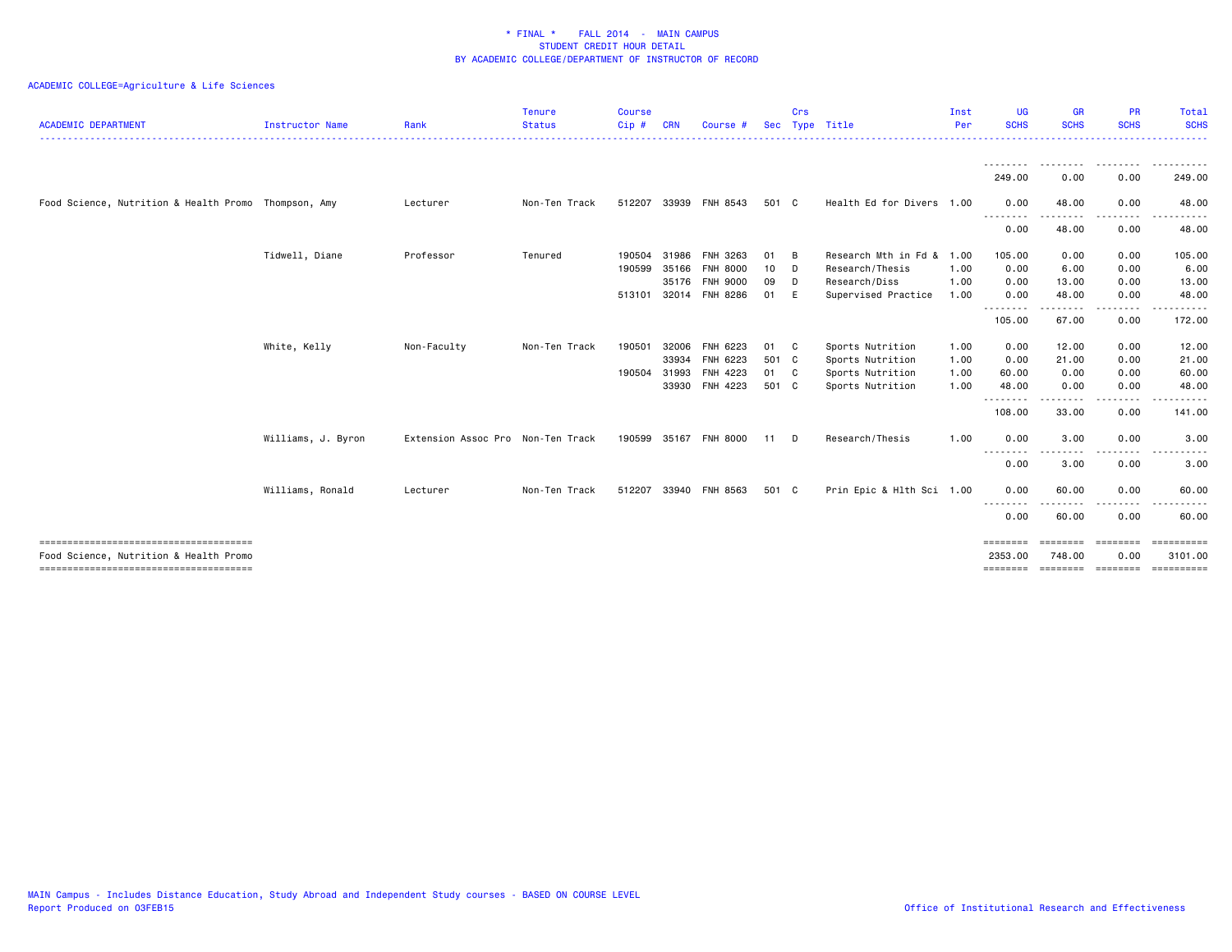| <b>ACADEMIC DEPARTMENT</b>                           | <b>Instructor Name</b> | Rank                              | <b>Tenure</b><br><b>Status</b> | <b>Course</b><br>Cip#  | <b>CRN</b>              | Course #                         | <b>Sec</b>        | Crs                | Type Title                                               | Inst<br>Per          | <b>UG</b><br><b>SCHS</b><br><u>.</u> | <b>GR</b><br><b>SCHS</b><br>. | <b>PR</b><br><b>SCHS</b> | Total<br><b>SCHS</b><br>$\frac{1}{2} \left( \frac{1}{2} \right) \left( \frac{1}{2} \right) \left( \frac{1}{2} \right) \left( \frac{1}{2} \right) \left( \frac{1}{2} \right) \left( \frac{1}{2} \right)$             |
|------------------------------------------------------|------------------------|-----------------------------------|--------------------------------|------------------------|-------------------------|----------------------------------|-------------------|--------------------|----------------------------------------------------------|----------------------|--------------------------------------|-------------------------------|--------------------------|---------------------------------------------------------------------------------------------------------------------------------------------------------------------------------------------------------------------|
|                                                      |                        |                                   |                                |                        |                         |                                  |                   |                    |                                                          |                      | --------<br>249.00                   | .<br>0.00                     | .<br>0.00                | .<br>249.00                                                                                                                                                                                                         |
| Food Science, Nutrition & Health Promo Thompson, Amy |                        | Lecturer                          | Non-Ten Track                  |                        |                         | 512207 33939 FNH 8543            | 501 C             |                    | Health Ed for Divers 1.00                                |                      | 0.00                                 | 48.00                         | 0.00                     | 48.00                                                                                                                                                                                                               |
|                                                      |                        |                                   |                                |                        |                         |                                  |                   |                    |                                                          |                      | .<br>0.00                            | .<br>48.00                    | .<br>0.00                | $\frac{1}{2} \left( \frac{1}{2} \right) \left( \frac{1}{2} \right) \left( \frac{1}{2} \right) \left( \frac{1}{2} \right) \left( \frac{1}{2} \right) \left( \frac{1}{2} \right) \left( \frac{1}{2} \right)$<br>48.00 |
|                                                      | Tidwell, Diane         | Professor                         | Tenured                        | 190504<br>190599 35166 | 31986                   | FNH 3263<br><b>FNH 8000</b>      | 01<br>10          | B<br>D             | Research Mth in Fd & 1.00<br>Research/Thesis             | 1.00                 | 105.00<br>0.00                       | 0.00<br>6.00                  | 0.00<br>0.00             | 105.00<br>6.00                                                                                                                                                                                                      |
|                                                      |                        |                                   |                                | 513101                 | 35176                   | FNH 9000<br>32014 FNH 8286       | 09<br>01          | D<br>E             | Research/Diss<br>Supervised Practice                     | 1.00<br>1.00         | 0.00<br>0.00                         | 13.00<br>48.00                | 0.00<br>0.00             | 13.00<br>48.00                                                                                                                                                                                                      |
|                                                      |                        |                                   |                                |                        |                         |                                  |                   |                    |                                                          |                      | --------<br>105.00                   | 67.00                         | .<br>0.00                | .<br>172.00                                                                                                                                                                                                         |
|                                                      | White, Kelly           | Non-Faculty                       | Non-Ten Track                  | 190501<br>190504       | 32006<br>33934<br>31993 | FNH 6223<br>FNH 6223<br>FNH 4223 | 01<br>501 C<br>01 | C.<br>$\mathbf{C}$ | Sports Nutrition<br>Sports Nutrition<br>Sports Nutrition | 1.00<br>1.00<br>1.00 | 0.00<br>0.00<br>60.00                | 12.00<br>21.00<br>0.00        | 0.00<br>0.00<br>0.00     | 12.00<br>21.00<br>60.00                                                                                                                                                                                             |
|                                                      |                        |                                   |                                |                        |                         | 33930 FNH 4223                   | 501 C             |                    | Sports Nutrition                                         | 1.00                 | 48.00<br>--------<br>108.00          | 0.00<br>.<br>33.00            | 0.00<br>----<br>0.00     | 48.00<br>. <u>.</u><br>141.00                                                                                                                                                                                       |
|                                                      | Williams, J. Byron     | Extension Assoc Pro Non-Ten Track |                                | 190599                 |                         | 35167 FNH 8000                   | 11                | D                  | Research/Thesis                                          | 1.00                 | 0.00                                 | 3.00                          | 0.00                     | 3.00                                                                                                                                                                                                                |
|                                                      |                        |                                   |                                |                        |                         |                                  |                   |                    |                                                          |                      | --------<br>0.00                     | . <b>.</b><br>3.00            | .<br>0.00                | -----<br>3.00                                                                                                                                                                                                       |
|                                                      | Williams, Ronald       | Lecturer                          | Non-Ten Track                  |                        |                         | 512207 33940 FNH 8563            | 501 C             |                    | Prin Epic & Hlth Sci 1.00                                |                      | 0.00<br>.                            | 60.00<br>.                    | 0.00<br>.                | 60,00<br><u>.</u>                                                                                                                                                                                                   |
|                                                      |                        |                                   |                                |                        |                         |                                  |                   |                    |                                                          |                      | 0.00                                 | 60.00                         | 0.00                     | 60.00                                                                                                                                                                                                               |
| Food Science, Nutrition & Health Promo               |                        |                                   |                                |                        |                         |                                  |                   |                    |                                                          |                      | ========<br>2353.00<br>========      | ========<br>748.00            | <b>ESSESSE</b><br>0.00   | $=$ = = = = = = = = = =<br>3101.00<br>stational accessor proportion                                                                                                                                                 |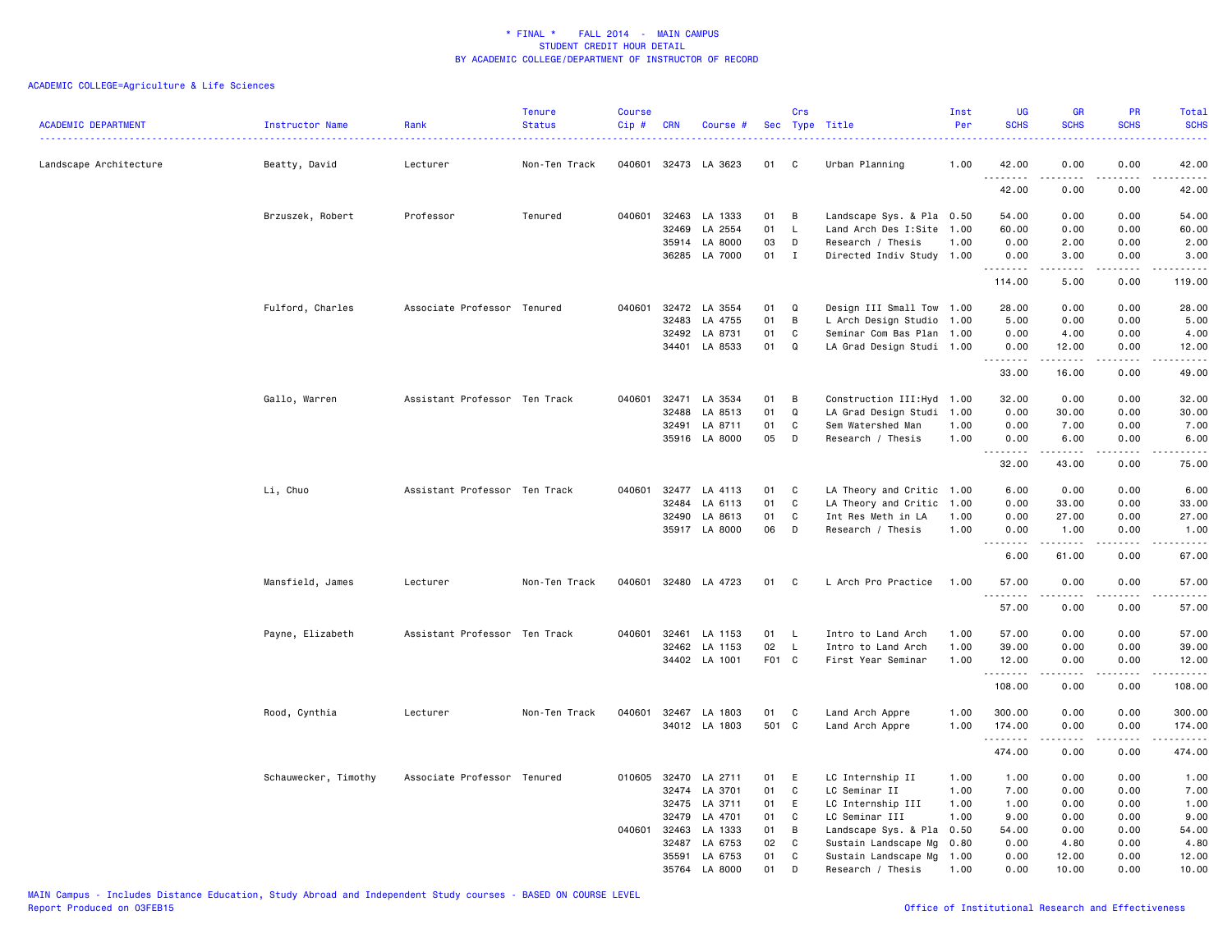| <b>ACADEMIC DEPARTMENT</b> | Instructor Name      | Rank                          | <b>Tenure</b><br><b>Status</b> | <b>Course</b><br>Cip# | <b>CRN</b> | Course #             |       | Crs          | Sec Type Title             | Inst<br>Per | <b>UG</b><br><b>SCHS</b>                                                                                                                                     | <b>GR</b><br><b>SCHS</b>                                                                                                                                     | <b>PR</b><br><b>SCHS</b> | Total<br><b>SCHS</b><br>$\omega$ and $\omega$ and |
|----------------------------|----------------------|-------------------------------|--------------------------------|-----------------------|------------|----------------------|-------|--------------|----------------------------|-------------|--------------------------------------------------------------------------------------------------------------------------------------------------------------|--------------------------------------------------------------------------------------------------------------------------------------------------------------|--------------------------|---------------------------------------------------|
| Landscape Architecture     | Beatty, David        | Lecturer                      | Non-Ten Track                  |                       |            | 040601 32473 LA 3623 | 01    | C            | Urban Planning             | 1.00        | 42.00<br>.                                                                                                                                                   | 0.00                                                                                                                                                         | 0.00                     | 42.00<br>.                                        |
|                            |                      |                               |                                |                       |            |                      |       |              |                            |             | 42.00                                                                                                                                                        | 0.00                                                                                                                                                         | 0.00                     | 42.00                                             |
|                            | Brzuszek, Robert     | Professor                     | Tenured                        | 040601                | 32463      | LA 1333              | 01    | B            | Landscape Sys. & Pla 0.50  |             | 54.00                                                                                                                                                        | 0.00                                                                                                                                                         | 0.00                     | 54.00                                             |
|                            |                      |                               |                                |                       | 32469      | LA 2554              | 01    | L            | Land Arch Des I:Site 1.00  |             | 60.00                                                                                                                                                        | 0.00                                                                                                                                                         | 0.00                     | 60.00                                             |
|                            |                      |                               |                                |                       | 35914      | LA 8000              | 03    | D            | Research / Thesis          | 1.00        | 0.00                                                                                                                                                         | 2.00                                                                                                                                                         | 0.00                     | 2.00                                              |
|                            |                      |                               |                                |                       | 36285      | LA 7000              | 01    | $\mathbf{I}$ | Directed Indiv Study 1.00  |             | 0.00<br>.                                                                                                                                                    | 3.00<br>$\frac{1}{2} \left( \frac{1}{2} \right) \left( \frac{1}{2} \right) \left( \frac{1}{2} \right) \left( \frac{1}{2} \right) \left( \frac{1}{2} \right)$ | 0.00<br>المستبدا         | 3.00<br>.                                         |
|                            |                      |                               |                                |                       |            |                      |       |              |                            |             | 114.00                                                                                                                                                       | 5.00                                                                                                                                                         | 0.00                     | 119.00                                            |
|                            | Fulford, Charles     | Associate Professor Tenured   |                                | 040601                |            | 32472 LA 3554        | 01    | Q            | Design III Small Tow 1.00  |             | 28.00                                                                                                                                                        | 0.00                                                                                                                                                         | 0.00                     | 28.00                                             |
|                            |                      |                               |                                |                       | 32483      | LA 4755              | 01    | B            | L Arch Design Studio 1.00  |             | 5.00                                                                                                                                                         | 0.00                                                                                                                                                         | 0.00                     | 5.00                                              |
|                            |                      |                               |                                |                       | 32492      | LA 8731              | 01    | C            | Seminar Com Bas Plan 1.00  |             | 0.00                                                                                                                                                         | 4.00                                                                                                                                                         | 0.00                     | 4.00                                              |
|                            |                      |                               |                                |                       | 34401      | LA 8533              | 01    | Q            | LA Grad Design Studi 1.00  |             | 0.00<br>$- - - - - - - - -$                                                                                                                                  | 12.00<br>.                                                                                                                                                   | 0.00<br>.                | 12.00<br>.                                        |
|                            |                      |                               |                                |                       |            |                      |       |              |                            |             | 33.00                                                                                                                                                        | 16.00                                                                                                                                                        | 0.00                     | 49.00                                             |
|                            | Gallo, Warren        | Assistant Professor Ten Track |                                | 040601                | 32471      | LA 3534              | 01    | B            | Construction III: Hyd 1.00 |             | 32.00                                                                                                                                                        | 0.00                                                                                                                                                         | 0.00                     | 32.00                                             |
|                            |                      |                               |                                |                       | 32488      | LA 8513              | 01    | Q            | LA Grad Design Studi 1.00  |             | 0.00                                                                                                                                                         | 30.00                                                                                                                                                        | 0.00                     | 30.00                                             |
|                            |                      |                               |                                |                       | 32491      | LA 8711              | 01    | C            | Sem Watershed Man          | 1.00        | 0.00                                                                                                                                                         | 7.00                                                                                                                                                         | 0.00                     | 7.00                                              |
|                            |                      |                               |                                |                       |            | 35916 LA 8000        | 05    | D            | Research / Thesis          | 1.00        | 0.00<br>$\frac{1}{2} \left( \frac{1}{2} \right) \left( \frac{1}{2} \right) \left( \frac{1}{2} \right) \left( \frac{1}{2} \right) \left( \frac{1}{2} \right)$ | 6.00                                                                                                                                                         | 0.00                     | 6.00<br>.                                         |
|                            |                      |                               |                                |                       |            |                      |       |              |                            |             | 32.00                                                                                                                                                        | 43.00                                                                                                                                                        | 0.00                     | 75.00                                             |
|                            | Li, Chuo             | Assistant Professor Ten Track |                                | 040601                |            | 32477 LA 4113        | 01    | C            | LA Theory and Critic 1.00  |             | 6.00                                                                                                                                                         | 0.00                                                                                                                                                         | 0.00                     | 6.00                                              |
|                            |                      |                               |                                |                       | 32484      | LA 6113              | 01    | C            | LA Theory and Critic 1.00  |             | 0.00                                                                                                                                                         | 33.00                                                                                                                                                        | 0.00                     | 33.00                                             |
|                            |                      |                               |                                |                       | 32490      | LA 8613              | 01    | C            | Int Res Meth in LA         | 1.00        | 0.00                                                                                                                                                         | 27.00                                                                                                                                                        | 0.00                     | 27.00                                             |
|                            |                      |                               |                                |                       |            | 35917 LA 8000        | 06    | D            | Research / Thesis          | 1.00        | 0.00<br>.                                                                                                                                                    | 1.00<br>.                                                                                                                                                    | 0.00<br>.                | 1.00<br>.                                         |
|                            |                      |                               |                                |                       |            |                      |       |              |                            |             | 6.00                                                                                                                                                         | 61.00                                                                                                                                                        | 0.00                     | 67.00                                             |
|                            | Mansfield, James     | Lecturer                      | Non-Ten Track                  |                       |            | 040601 32480 LA 4723 | 01    | C            | L Arch Pro Practice        | 1.00        | 57.00                                                                                                                                                        | 0.00                                                                                                                                                         | 0.00                     | 57.00                                             |
|                            |                      |                               |                                |                       |            |                      |       |              |                            |             | .<br>57.00                                                                                                                                                   | .<br>0.00                                                                                                                                                    | .<br>0.00                | .<br>57.00                                        |
|                            | Payne, Elizabeth     | Assistant Professor Ten Track |                                | 040601                | 32461      | LA 1153              | 01    | L.           | Intro to Land Arch         | 1.00        | 57.00                                                                                                                                                        | 0.00                                                                                                                                                         | 0.00                     | 57.00                                             |
|                            |                      |                               |                                |                       | 32462      | LA 1153              | 02    | L.           | Intro to Land Arch         | 1.00        | 39.00                                                                                                                                                        | 0.00                                                                                                                                                         | 0.00                     | 39.00                                             |
|                            |                      |                               |                                |                       |            | 34402 LA 1001        | F01 C |              | First Year Seminar         | 1.00        | 12.00                                                                                                                                                        | 0.00                                                                                                                                                         | 0.00                     | 12.00                                             |
|                            |                      |                               |                                |                       |            |                      |       |              |                            |             | .<br>108.00                                                                                                                                                  | .<br>0.00                                                                                                                                                    | بالمحامر<br>0.00         | .<br>108.00                                       |
|                            | Rood, Cynthia        | Lecturer                      | Non-Ten Track                  | 040601                | 32467      | LA 1803              | 01    | C            | Land Arch Appre            | 1.00        | 300.00                                                                                                                                                       | 0.00                                                                                                                                                         | 0.00                     | 300.00                                            |
|                            |                      |                               |                                |                       |            | 34012 LA 1803        | 501 C |              | Land Arch Appre            | 1.00        | 174.00                                                                                                                                                       | 0.00                                                                                                                                                         | 0.00                     | 174.00                                            |
|                            |                      |                               |                                |                       |            |                      |       |              |                            |             | .<br>474.00                                                                                                                                                  | 0.00                                                                                                                                                         | لأعاجب<br>0.00           | ------<br>474.00                                  |
|                            | Schauwecker, Timothy | Associate Professor Tenured   |                                |                       |            | 010605 32470 LA 2711 | 01    | E            | LC Internship II           | 1.00        | 1.00                                                                                                                                                         | 0.00                                                                                                                                                         | 0.00                     | 1.00                                              |
|                            |                      |                               |                                |                       |            | 32474 LA 3701        | 01    | C            | LC Seminar II              | 1.00        | 7.00                                                                                                                                                         | 0.00                                                                                                                                                         | 0.00                     | 7.00                                              |
|                            |                      |                               |                                |                       | 32475      | LA 3711              | 01    | E            | LC Internship III          | 1.00        | 1.00                                                                                                                                                         | 0.00                                                                                                                                                         | 0.00                     | 1.00                                              |
|                            |                      |                               |                                |                       | 32479      | LA 4701              | 01    | C            | LC Seminar III             | 1.00        | 9.00                                                                                                                                                         | 0.00                                                                                                                                                         | 0.00                     | 9.00                                              |
|                            |                      |                               |                                | 040601                | 32463      | LA 1333              | 01    | B            | Landscape Sys. & Pla 0.50  |             | 54.00                                                                                                                                                        | 0.00                                                                                                                                                         | 0.00                     | 54.00                                             |
|                            |                      |                               |                                |                       | 32487      | LA 6753              | 02    | C            | Sustain Landscape Mg       | 0.80        | 0.00                                                                                                                                                         | 4.80                                                                                                                                                         | 0.00                     | 4.80                                              |
|                            |                      |                               |                                |                       | 35591      | LA 6753              | 01    | C            | Sustain Landscape Mg 1.00  |             | 0.00                                                                                                                                                         | 12.00                                                                                                                                                        | 0.00                     | 12.00                                             |
|                            |                      |                               |                                |                       | 35764      | LA 8000              | 01    | D            | Research / Thesis          | 1.00        | 0.00                                                                                                                                                         | 10.00                                                                                                                                                        | 0.00                     | 10.00                                             |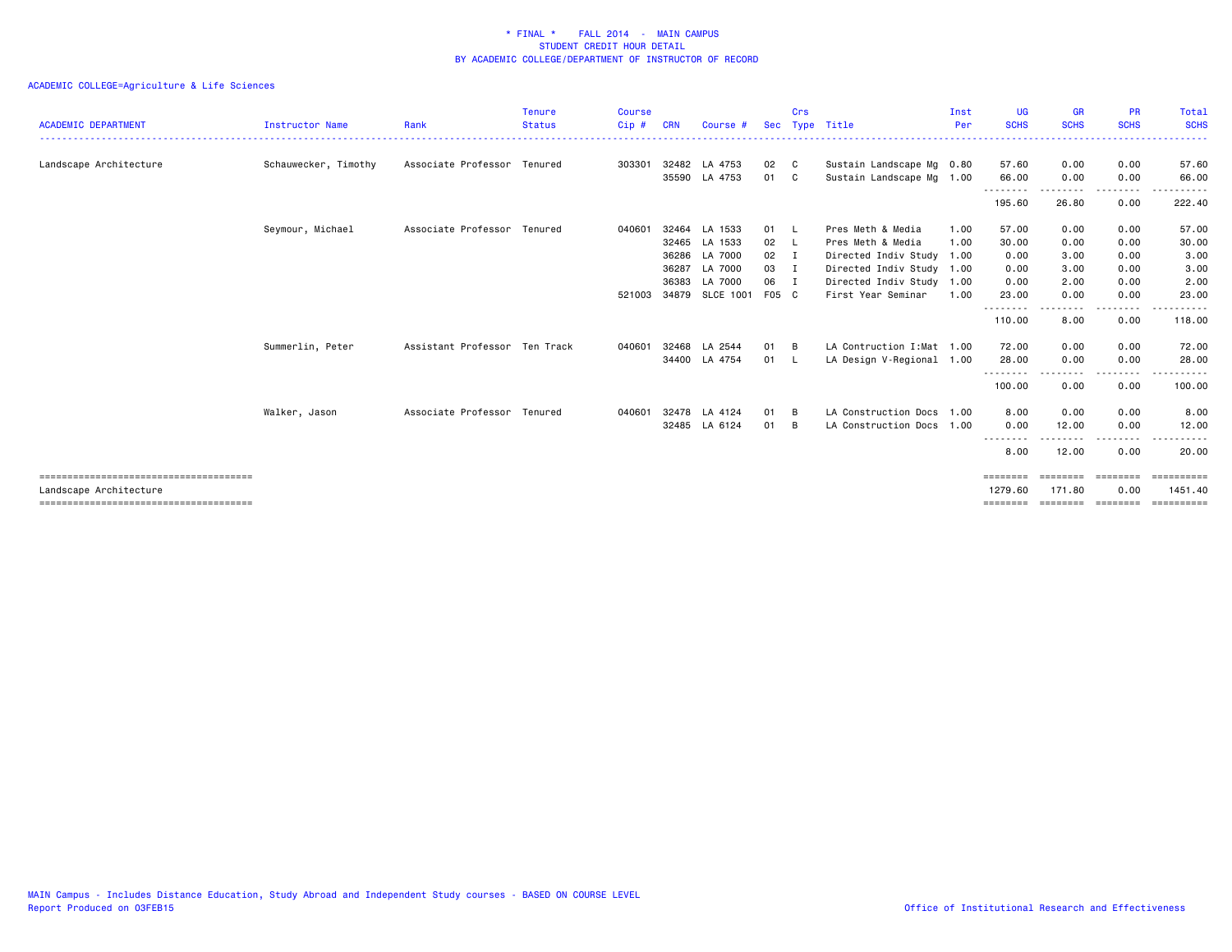| <b>ACADEMIC DEPARTMENT</b> | <b>Instructor Name</b> | Rank                          | <b>Tenure</b><br><b>Status</b> | <b>Course</b><br>$Cip$ # | <b>CRN</b> | Course #         | <b>Sec</b> | Crs            | Type Title                 | Inst<br>Per | <b>UG</b><br><b>SCHS</b> | <b>GR</b><br><b>SCHS</b> | <b>PR</b><br><b>SCHS</b>                                                                                                          | Total<br><b>SCHS</b>  |
|----------------------------|------------------------|-------------------------------|--------------------------------|--------------------------|------------|------------------|------------|----------------|----------------------------|-------------|--------------------------|--------------------------|-----------------------------------------------------------------------------------------------------------------------------------|-----------------------|
| Landscape Architecture     | Schauwecker, Timothy   | Associate Professor Tenured   |                                | 303301                   |            | 32482 LA 4753    | 02         | C.             | Sustain Landscape Mg 0.80  |             | 57.60                    | 0.00                     | 0.00                                                                                                                              | 57.60                 |
|                            |                        |                               |                                |                          | 35590      | LA 4753          | 01         | C.             | Sustain Landscape Mg 1.00  |             | 66.00                    | 0.00                     | 0.00                                                                                                                              | 66.00                 |
|                            |                        |                               |                                |                          |            |                  |            |                |                            |             | 195.60                   | 26.80                    | ----<br>0.00                                                                                                                      | 222.40                |
|                            | Seymour, Michael       | Associate Professor Tenured   |                                | 040601                   | 32464      | LA 1533          | 01         | - L            | Pres Meth & Media          | 1.00        | 57.00                    | 0.00                     | 0.00                                                                                                                              | 57.00                 |
|                            |                        |                               |                                |                          |            | 32465 LA 1533    | 02         | - L            | Pres Meth & Media          | 1.00        | 30.00                    | 0.00                     | 0.00                                                                                                                              | 30.00                 |
|                            |                        |                               |                                |                          | 36286      | LA 7000          | 02         | I              | Directed Indiv Study 1.00  |             | 0.00                     | 3.00                     | 0.00                                                                                                                              | 3.00                  |
|                            |                        |                               |                                |                          | 36287      | LA 7000          | 03         | $\blacksquare$ | Directed Indiv Study 1.00  |             | 0.00                     | 3.00                     | 0.00                                                                                                                              | 3.00                  |
|                            |                        |                               |                                |                          | 36383      | LA 7000          | 06         | $\blacksquare$ | Directed Indiv Study 1.00  |             | 0.00                     | 2.00                     | 0.00                                                                                                                              | 2.00                  |
|                            |                        |                               |                                | 521003                   | 34879      | <b>SLCE 1001</b> | F05 C      |                | First Year Seminar         | 1.00        | 23.00                    | 0.00                     | 0.00                                                                                                                              | 23.00                 |
|                            |                        |                               |                                |                          |            |                  |            |                |                            |             | --------<br>110.00       | 8.00                     | $\frac{1}{2} \left( \frac{1}{2} \right) \left( \frac{1}{2} \right) \left( \frac{1}{2} \right) \left( \frac{1}{2} \right)$<br>0.00 | 118.00                |
|                            | Summerlin, Peter       | Assistant Professor Ten Track |                                | 040601                   |            | 32468 LA 2544    | 01         | B              | LA Contruction I: Mat 1.00 |             | 72.00                    | 0.00                     | 0.00                                                                                                                              | 72.00                 |
|                            |                        |                               |                                |                          |            | 34400 LA 4754    | 01         | - L            | LA Design V-Regional 1.00  |             | 28.00                    | 0.00                     | 0.00                                                                                                                              | 28.00                 |
|                            |                        |                               |                                |                          |            |                  |            |                |                            |             | --------<br>100.00       | 0.00                     | ----<br>0.00                                                                                                                      | 100.00                |
|                            | Walker, Jason          | Associate Professor Tenured   |                                | 040601                   | 32478      | LA 4124          | 01         | B              | LA Construction Docs       | 1.00        | 8.00                     | 0.00                     | 0.00                                                                                                                              | 8.00                  |
|                            |                        |                               |                                |                          |            | 32485 LA 6124    | 01         | B              | LA Construction Docs 1.00  |             | 0.00                     | 12.00                    | 0.00                                                                                                                              | 12.00                 |
|                            |                        |                               |                                |                          |            |                  |            |                |                            |             | --------<br>8.00         | 12.00                    | 0.00                                                                                                                              | 20.00                 |
|                            |                        |                               |                                |                          |            |                  |            |                |                            |             |                          |                          |                                                                                                                                   | $=$ = = = = = = = = = |
| Landscape Architecture     |                        |                               |                                |                          |            |                  |            |                |                            |             | 1279.60                  | 171.80                   | 0.00                                                                                                                              | 1451.40               |
|                            |                        |                               |                                |                          |            |                  |            |                |                            |             | ========                 | ========                 | ========                                                                                                                          | ==========            |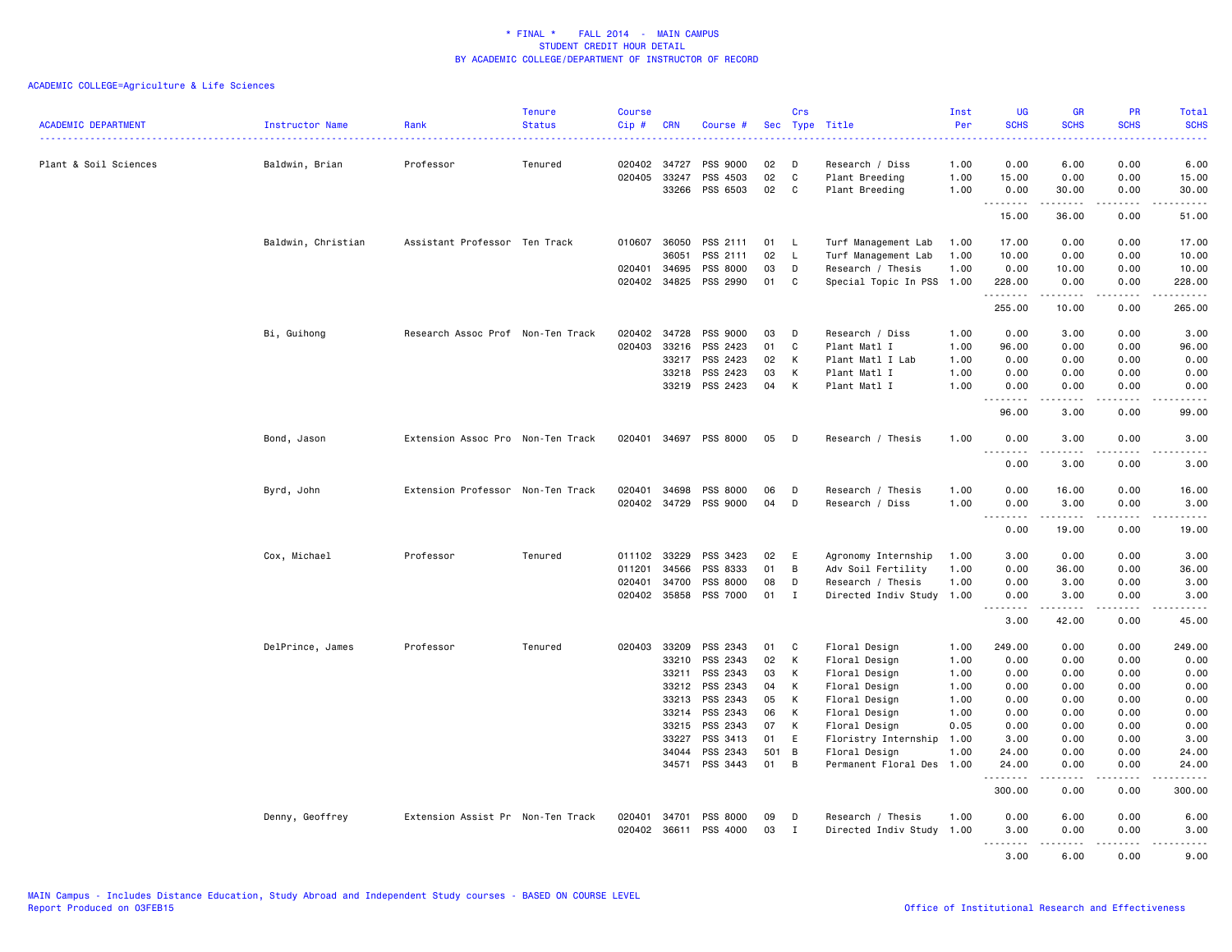| <b>ACADEMIC DEPARTMENT</b> | Instructor Name    | Rank                              | <b>Tenure</b><br><b>Status</b> | <b>Course</b><br>Cip# | <b>CRN</b>     | Course #              |          | Crs          | Sec Type Title                        | Inst<br>Per  | <b>UG</b><br><b>SCHS</b>              | <b>GR</b><br><b>SCHS</b>                                                                                                                                      | <b>PR</b><br><b>SCHS</b>                    | Total<br><b>SCHS</b><br>.                                                                                                                                                                 |
|----------------------------|--------------------|-----------------------------------|--------------------------------|-----------------------|----------------|-----------------------|----------|--------------|---------------------------------------|--------------|---------------------------------------|---------------------------------------------------------------------------------------------------------------------------------------------------------------|---------------------------------------------|-------------------------------------------------------------------------------------------------------------------------------------------------------------------------------------------|
| Plant & Soil Sciences      | Baldwin, Brian     | Professor                         | Tenured                        | 020402 34727          |                | PSS 9000              | 02       | D            | Research / Diss                       | 1.00         | 0.00                                  | 6.00                                                                                                                                                          | 0.00                                        | 6.00                                                                                                                                                                                      |
|                            |                    |                                   |                                | 020405                | 33247          | PSS 4503              | 02       | C            | Plant Breeding                        | 1.00         | 15.00                                 | 0.00                                                                                                                                                          | 0.00                                        | 15.00                                                                                                                                                                                     |
|                            |                    |                                   |                                |                       | 33266          | PSS 6503              | 02       | C            | Plant Breeding                        | 1.00         | 0.00<br>.                             | 30.00<br>$\begin{array}{cccccccccc} \bullet & \bullet & \bullet & \bullet & \bullet & \bullet & \bullet \end{array}$                                          | 0.00<br>$\omega$ $\omega$ $\omega$ $\omega$ | 30.00<br>.                                                                                                                                                                                |
|                            |                    |                                   |                                |                       |                |                       |          |              |                                       |              | 15.00                                 | 36.00                                                                                                                                                         | 0.00                                        | 51.00                                                                                                                                                                                     |
|                            | Baldwin, Christian | Assistant Professor Ten Track     |                                | 010607                | 36050          | PSS 2111              | 01       | - L          | Turf Management Lab                   | 1.00         | 17.00                                 | 0.00                                                                                                                                                          | 0.00                                        | 17.00                                                                                                                                                                                     |
|                            |                    |                                   |                                |                       | 36051          | PSS 2111              | 02       | L.           | Turf Management Lab                   | 1.00         | 10.00                                 | 0.00                                                                                                                                                          | 0.00                                        | 10.00                                                                                                                                                                                     |
|                            |                    |                                   |                                | 020401                | 34695          | PSS 8000              | 03       | D            | Research / Thesis                     | 1.00         | 0.00                                  | 10.00                                                                                                                                                         | 0.00                                        | 10.00                                                                                                                                                                                     |
|                            |                    |                                   |                                |                       | 020402 34825   | PSS 2990              | 01       | C            | Special Topic In PSS 1.00             |              | 228.00<br><u>.</u>                    | 0.00<br>د د د د د                                                                                                                                             | 0.00<br>.                                   | 228.00<br>$\frac{1}{2} \left( \frac{1}{2} \right) \left( \frac{1}{2} \right) \left( \frac{1}{2} \right) \left( \frac{1}{2} \right) \left( \frac{1}{2} \right) \left( \frac{1}{2} \right)$ |
|                            |                    |                                   |                                |                       |                |                       |          |              |                                       |              | 255.00                                | 10.00                                                                                                                                                         | 0.00                                        | 265.00                                                                                                                                                                                    |
|                            | Bi, Guihong        | Research Assoc Prof Non-Ten Track |                                | 020402                | 34728          | PSS 9000              | 03       | D            | Research / Diss                       | 1.00         | 0.00                                  | 3.00                                                                                                                                                          | 0.00                                        | 3.00                                                                                                                                                                                      |
|                            |                    |                                   |                                | 020403                | 33216          | PSS 2423              | 01       | C            | Plant Matl I                          | 1.00         | 96.00                                 | 0.00                                                                                                                                                          | 0.00                                        | 96.00                                                                                                                                                                                     |
|                            |                    |                                   |                                |                       | 33217          | PSS 2423              | 02       | К            | Plant Matl I Lab                      | 1.00         | 0.00                                  | 0.00                                                                                                                                                          | 0.00                                        | 0.00                                                                                                                                                                                      |
|                            |                    |                                   |                                |                       | 33218          | PSS 2423              | 03       | К            | Plant Matl I                          | 1.00         | 0.00                                  | 0.00                                                                                                                                                          | 0.00                                        | 0.00                                                                                                                                                                                      |
|                            |                    |                                   |                                |                       | 33219          | PSS 2423              | 04       | К            | Plant Matl I                          | 1.00         | 0.00<br>.                             | 0.00                                                                                                                                                          | 0.00                                        | 0.00<br>والمرابط المرابط                                                                                                                                                                  |
|                            |                    |                                   |                                |                       |                |                       |          |              |                                       |              | 96.00                                 | 3.00                                                                                                                                                          | 0.00                                        | 99.00                                                                                                                                                                                     |
|                            | Bond, Jason        | Extension Assoc Pro Non-Ten Track |                                |                       | 020401 34697   | PSS 8000              | 05       | D            | Research / Thesis                     | 1.00         | 0.00<br>$\sim$ $\sim$ $\sim$          | 3.00<br>.                                                                                                                                                     | 0.00<br>.                                   | 3.00<br>$- - - - -$                                                                                                                                                                       |
|                            |                    |                                   |                                |                       |                |                       |          |              |                                       |              | $\frac{1}{2}$<br>0.00                 | 3.00                                                                                                                                                          | 0.00                                        | 3.00                                                                                                                                                                                      |
|                            | Byrd, John         | Extension Professor Non-Ten Track |                                | 020401                | 34698          | PSS 8000              | 06       | D            | Research / Thesis                     | 1.00         | 0.00                                  | 16.00                                                                                                                                                         | 0.00                                        | 16.00                                                                                                                                                                                     |
|                            |                    |                                   |                                |                       |                | 020402 34729 PSS 9000 | 04       | D            | Research / Diss                       | 1.00         | 0.00                                  | 3.00                                                                                                                                                          | 0.00                                        | 3.00                                                                                                                                                                                      |
|                            |                    |                                   |                                |                       |                |                       |          |              |                                       |              | $\sim$ $\sim$ $\sim$<br>-----<br>0.00 | .<br>19.00                                                                                                                                                    | .<br>0.00                                   | .<br>19.00                                                                                                                                                                                |
|                            | Cox, Michael       | Professor                         | Tenured                        |                       | 011102 33229   | PSS 3423              | 02       | E            | Agronomy Internship                   | 1.00         | 3.00                                  | 0.00                                                                                                                                                          | 0.00                                        | 3.00                                                                                                                                                                                      |
|                            |                    |                                   |                                | 011201                | 34566          | PSS 8333              | 01       | B            | Adv Soil Fertility                    | 1.00         | 0.00                                  | 36.00                                                                                                                                                         | 0.00                                        | 36.00                                                                                                                                                                                     |
|                            |                    |                                   |                                |                       | 020401 34700   | PSS 8000              | 08       | D            | Research / Thesis                     | 1.00         | 0.00                                  | 3.00                                                                                                                                                          | 0.00                                        | 3.00                                                                                                                                                                                      |
|                            |                    |                                   |                                |                       |                | 020402 35858 PSS 7000 | 01       | I            | Directed Indiv Study 1.00             |              | 0.00                                  | 3.00                                                                                                                                                          | 0.00                                        | 3.00                                                                                                                                                                                      |
|                            |                    |                                   |                                |                       |                |                       |          |              |                                       |              | .<br>3.00                             | $\frac{1}{2} \left( \frac{1}{2} \right) \left( \frac{1}{2} \right) \left( \frac{1}{2} \right) \left( \frac{1}{2} \right) \left( \frac{1}{2} \right)$<br>42.00 | د د د د<br>0.00                             | والمستحدث<br>45.00                                                                                                                                                                        |
|                            |                    |                                   |                                |                       |                |                       |          |              |                                       |              |                                       |                                                                                                                                                               |                                             |                                                                                                                                                                                           |
|                            | DelPrince, James   | Professor                         | Tenured                        |                       | 020403 33209   | PSS 2343              | 01       | C            | Floral Design                         | 1.00         | 249.00                                | 0.00                                                                                                                                                          | 0.00                                        | 249.00                                                                                                                                                                                    |
|                            |                    |                                   |                                |                       | 33210          | PSS 2343              | 02       | К            | Floral Design                         | 1.00         | 0.00                                  | 0.00                                                                                                                                                          | 0.00                                        | 0.00                                                                                                                                                                                      |
|                            |                    |                                   |                                |                       | 33211          | PSS 2343              | 03       | К            | Floral Design                         | 1.00         | 0.00                                  | 0.00                                                                                                                                                          | 0.00                                        | 0.00                                                                                                                                                                                      |
|                            |                    |                                   |                                |                       | 33212<br>33213 | PSS 2343              | 04       | к            | Floral Design                         | 1.00         | 0.00                                  | 0.00                                                                                                                                                          | 0.00                                        | 0.00                                                                                                                                                                                      |
|                            |                    |                                   |                                |                       | 33214          | PSS 2343<br>PSS 2343  | 05<br>06 | К<br>Κ       | Floral Design<br>Floral Design        | 1.00<br>1.00 | 0.00<br>0.00                          | 0.00<br>0.00                                                                                                                                                  | 0.00<br>0.00                                | 0.00<br>0.00                                                                                                                                                                              |
|                            |                    |                                   |                                |                       |                | PSS 2343              |          | К            |                                       |              |                                       |                                                                                                                                                               |                                             | 0.00                                                                                                                                                                                      |
|                            |                    |                                   |                                |                       | 33215<br>33227 | PSS 3413              | 07<br>01 | E            | Floral Design<br>Floristry Internship | 0.05<br>1.00 | 0.00<br>3.00                          | 0.00<br>0.00                                                                                                                                                  | 0.00<br>0.00                                | 3.00                                                                                                                                                                                      |
|                            |                    |                                   |                                |                       | 34044          | PSS 2343              | 501      | B            | Floral Design                         | 1.00         | 24.00                                 | 0.00                                                                                                                                                          | 0.00                                        | 24.00                                                                                                                                                                                     |
|                            |                    |                                   |                                |                       |                | 34571 PSS 3443        | 01       | B            | Permanent Floral Des 1.00             |              | 24.00                                 | 0.00                                                                                                                                                          | 0.00                                        | 24.00                                                                                                                                                                                     |
|                            |                    |                                   |                                |                       |                |                       |          |              |                                       |              | .<br>300.00                           | د د د د د<br>0.00                                                                                                                                             | .<br>0.00                                   | ------<br>300.00                                                                                                                                                                          |
|                            | Denny, Geoffrey    | Extension Assist Pr Non-Ten Track |                                | 020401                | 34701          | PSS 8000              | 09       | D            | Research / Thesis                     | 1.00         | 0.00                                  | 6.00                                                                                                                                                          | 0.00                                        | 6.00                                                                                                                                                                                      |
|                            |                    |                                   |                                |                       |                | 020402 36611 PSS 4000 | 03       | $\mathbf{I}$ | Directed Indiv Study 1.00             |              | 3.00                                  | 0.00                                                                                                                                                          | 0.00                                        | 3.00                                                                                                                                                                                      |
|                            |                    |                                   |                                |                       |                |                       |          |              |                                       |              | .<br>3.00                             | $    -$<br>6.00                                                                                                                                               | .<br>0.00                                   | $- - - -$<br>9.00                                                                                                                                                                         |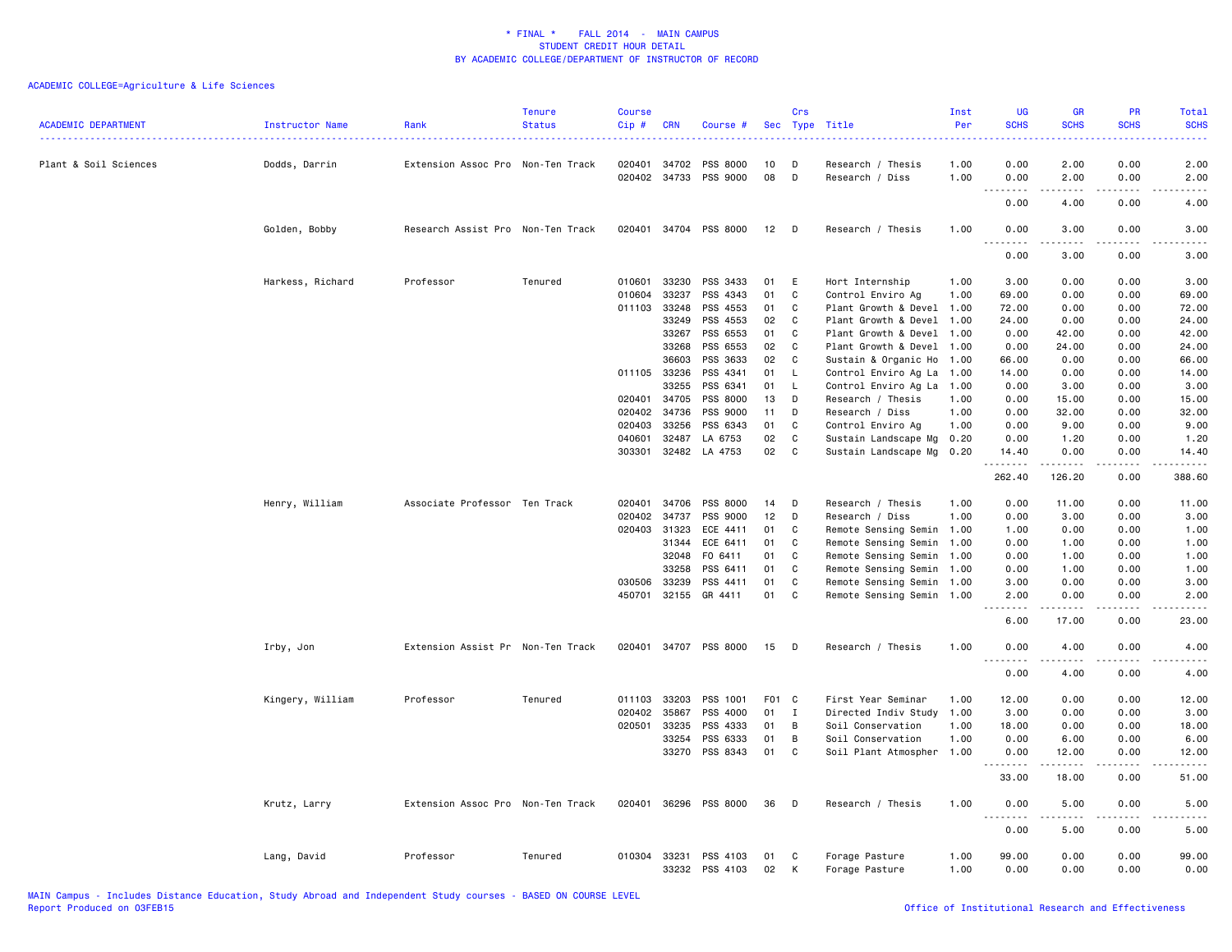| <b>ACADEMIC DEPARTMENT</b> | <b>Instructor Name</b> | Rank                              | <b>Tenure</b><br><b>Status</b> | <b>Course</b><br>Cip # | <b>CRN</b>            | Course #                    |                  | Crs          | Sec Type Title                       | Inst<br>Per  | <b>UG</b><br><b>SCHS</b>  | <b>GR</b><br><b>SCHS</b>                                                                                                                                     | PR<br><b>SCHS</b>                           | Total<br><b>SCHS</b><br>د د د د د                                                                                                                            |
|----------------------------|------------------------|-----------------------------------|--------------------------------|------------------------|-----------------------|-----------------------------|------------------|--------------|--------------------------------------|--------------|---------------------------|--------------------------------------------------------------------------------------------------------------------------------------------------------------|---------------------------------------------|--------------------------------------------------------------------------------------------------------------------------------------------------------------|
| Plant & Soil Sciences      | Dodds, Darrin          | Extension Assoc Pro Non-Ten Track |                                | 020401                 | 34702<br>020402 34733 | <b>PSS 8000</b><br>PSS 9000 | 10<br>08         | D<br>D       | Research / Thesis<br>Research / Diss | 1.00<br>1.00 | 0.00<br>0.00              | 2.00<br>2.00                                                                                                                                                 | 0.00<br>0.00                                | 2.00<br>2.00                                                                                                                                                 |
|                            |                        |                                   |                                |                        |                       |                             |                  |              |                                      |              | <u>.</u><br>0.00          | $\frac{1}{2} \left( \frac{1}{2} \right) \left( \frac{1}{2} \right) \left( \frac{1}{2} \right) \left( \frac{1}{2} \right) \left( \frac{1}{2} \right)$<br>4.00 | .<br>0.00                                   | -----<br>4.00                                                                                                                                                |
|                            | Golden, Bobby          | Research Assist Pro Non-Ten Track |                                |                        |                       | 020401 34704 PSS 8000       | 12               | $\mathsf{D}$ | Research / Thesis                    | 1.00         | 0.00                      | 3.00                                                                                                                                                         | 0.00                                        | 3.00                                                                                                                                                         |
|                            |                        |                                   |                                |                        |                       |                             |                  |              |                                      |              | <u>.</u><br>0.00          | $- - - - -$<br>3.00                                                                                                                                          | .<br>0.00                                   | $- - - - -$<br>3.00                                                                                                                                          |
|                            | Harkess, Richard       | Professor                         | Tenured                        | 010601                 | 33230                 | PSS 3433                    | 01               | E            | Hort Internship                      | 1.00         | 3.00                      | 0.00                                                                                                                                                         | 0.00                                        | 3.00                                                                                                                                                         |
|                            |                        |                                   |                                | 010604                 | 33237                 | PSS 4343                    | 01               | C            | Control Enviro Ag                    | 1.00         | 69.00                     | 0.00                                                                                                                                                         | 0.00                                        | 69.00                                                                                                                                                        |
|                            |                        |                                   |                                | 011103                 | 33248                 | PSS 4553                    | 01               | C            | Plant Growth & Devel                 | 1.00         | 72.00                     | 0.00                                                                                                                                                         | 0.00                                        | 72.00                                                                                                                                                        |
|                            |                        |                                   |                                |                        | 33249                 | PSS 4553                    | 02               | C            | Plant Growth & Devel                 | 1.00         | 24.00                     | 0.00                                                                                                                                                         | 0.00                                        | 24.00                                                                                                                                                        |
|                            |                        |                                   |                                |                        | 33267                 | PSS 6553                    | 01               | C            | Plant Growth & Devel                 | 1.00         | 0.00                      | 42.00                                                                                                                                                        | 0.00                                        | 42.00                                                                                                                                                        |
|                            |                        |                                   |                                |                        | 33268                 | PSS 6553                    | 02               | C            | Plant Growth & Devel                 | 1.00         | 0.00                      | 24.00                                                                                                                                                        | 0.00                                        | 24.00                                                                                                                                                        |
|                            |                        |                                   |                                |                        | 36603                 | PSS 3633                    | 02               | C            | Sustain & Organic Ho 1.00            |              | 66.00                     | 0.00                                                                                                                                                         | 0.00                                        | 66.00                                                                                                                                                        |
|                            |                        |                                   |                                |                        | 011105 33236          | PSS 4341                    | 01               | L.           | Control Enviro Ag La 1.00            |              | 14.00                     | 0.00                                                                                                                                                         | 0.00                                        | 14.00                                                                                                                                                        |
|                            |                        |                                   |                                |                        | 33255                 | PSS 6341                    | 01               | $\mathsf{L}$ | Control Enviro Ag La 1.00            |              | 0.00                      | 3.00                                                                                                                                                         | 0.00                                        | 3.00                                                                                                                                                         |
|                            |                        |                                   |                                | 020401                 | 34705                 | PSS 8000                    | 13               | D            | Research / Thesis                    | 1.00         | 0.00                      | 15.00                                                                                                                                                        | 0.00                                        | 15.00                                                                                                                                                        |
|                            |                        |                                   |                                | 020402                 | 34736                 | PSS 9000                    | 11               | D            | Research / Diss                      | 1.00         | 0.00                      | 32.00                                                                                                                                                        | 0.00                                        | 32.00                                                                                                                                                        |
|                            |                        |                                   |                                | 020403                 | 33256                 | PSS 6343                    | 01               | C            | Control Enviro Ag                    | 1.00         | 0.00                      | 9.00                                                                                                                                                         | 0.00                                        | 9.00                                                                                                                                                         |
|                            |                        |                                   |                                | 040601                 | 32487                 | LA 6753                     | 02               | C            | Sustain Landscape Mg 0.20            |              | 0.00                      | 1.20                                                                                                                                                         | 0.00                                        | 1.20                                                                                                                                                         |
|                            |                        |                                   |                                | 303301                 | 32482                 | LA 4753                     | 02               | C            | Sustain Landscape Mg                 | 0.20         | 14.40<br>.                | 0.00<br>$\frac{1}{2} \left( \frac{1}{2} \right) \left( \frac{1}{2} \right) \left( \frac{1}{2} \right) \left( \frac{1}{2} \right) \left( \frac{1}{2} \right)$ | 0.00<br>.                                   | 14.40<br>.                                                                                                                                                   |
|                            |                        |                                   |                                |                        |                       |                             |                  |              |                                      |              | 262.40                    | 126.20                                                                                                                                                       | 0.00                                        | 388.60                                                                                                                                                       |
|                            | Henry, William         | Associate Professor Ten Track     |                                | 020401                 | 34706                 | PSS 8000                    | 14               | D            | Research / Thesis                    | 1.00         | 0.00                      | 11.00                                                                                                                                                        | 0.00                                        | 11.00                                                                                                                                                        |
|                            |                        |                                   |                                | 020402                 | 34737                 | PSS 9000                    | 12               | D            | Research / Diss                      | 1.00         | 0.00                      | 3.00                                                                                                                                                         | 0.00                                        | 3.00                                                                                                                                                         |
|                            |                        |                                   |                                | 020403                 | 31323                 | ECE 4411                    | 01               | C            | Remote Sensing Semin 1.00            |              | 1.00                      | 0.00                                                                                                                                                         | 0.00                                        | 1.00                                                                                                                                                         |
|                            |                        |                                   |                                |                        | 31344                 | ECE 6411                    | 01               | C            | Remote Sensing Semin 1.00            |              | 0.00                      | 1.00                                                                                                                                                         | 0.00                                        | 1.00                                                                                                                                                         |
|                            |                        |                                   |                                |                        | 32048                 | F0 6411                     | 01               | C            | Remote Sensing Semin 1.00            |              | 0.00                      | 1.00                                                                                                                                                         | 0.00                                        | 1.00                                                                                                                                                         |
|                            |                        |                                   |                                |                        | 33258                 | PSS 6411                    | 01               | C            | Remote Sensing Semin 1.00            |              | 0.00                      | 1.00                                                                                                                                                         | 0.00                                        | 1.00                                                                                                                                                         |
|                            |                        |                                   |                                | 030506                 | 33239                 | PSS 4411                    | 01               | C            | Remote Sensing Semin 1.00            |              | 3.00                      | 0.00                                                                                                                                                         | 0.00                                        | 3.00                                                                                                                                                         |
|                            |                        |                                   |                                | 450701                 | 32155                 | GR 4411                     | 01               | C            | Remote Sensing Semin 1.00            |              | 2.00<br>.                 | 0.00<br>$\frac{1}{2} \left( \frac{1}{2} \right) \left( \frac{1}{2} \right) \left( \frac{1}{2} \right) \left( \frac{1}{2} \right) \left( \frac{1}{2} \right)$ | 0.00<br>$\omega$ $\omega$ $\omega$ $\omega$ | 2.00<br>-----                                                                                                                                                |
|                            |                        |                                   |                                |                        |                       |                             |                  |              |                                      |              | 6.00                      | 17.00                                                                                                                                                        | 0.00                                        | 23.00                                                                                                                                                        |
|                            | Irby, Jon              | Extension Assist Pr Non-Ten Track |                                |                        |                       | 020401 34707 PSS 8000       | 15               | D            | Research / Thesis                    | 1.00         | 0.00                      | 4.00                                                                                                                                                         | 0.00                                        | 4.00                                                                                                                                                         |
|                            |                        |                                   |                                |                        |                       |                             |                  |              |                                      |              | $  -$<br>.<br>0.00        | $- - - - -$<br>4.00                                                                                                                                          | المستبدا<br>0.00                            | $\frac{1}{2} \left( \frac{1}{2} \right) \left( \frac{1}{2} \right) \left( \frac{1}{2} \right) \left( \frac{1}{2} \right) \left( \frac{1}{2} \right)$<br>4.00 |
|                            | Kingery, William       | Professor                         | Tenured                        | 011103                 | 33203                 | PSS 1001                    | F <sub>0</sub> 1 | C            | First Year Seminar                   |              | 12.00                     | 0.00                                                                                                                                                         | 0.00                                        | 12.00                                                                                                                                                        |
|                            |                        |                                   |                                | 020402                 | 35867                 | PSS 4000                    | 01               | $\bf{I}$     | Directed Indiv Study                 | 1.00<br>1.00 | 3.00                      | 0.00                                                                                                                                                         | 0.00                                        | 3.00                                                                                                                                                         |
|                            |                        |                                   |                                | 020501                 | 33235                 | PSS 4333                    | 01               | B            | Soil Conservation                    | 1.00         | 18.00                     | 0.00                                                                                                                                                         | 0.00                                        | 18.00                                                                                                                                                        |
|                            |                        |                                   |                                |                        | 33254                 | PSS 6333                    | 01               | B            | Soil Conservation                    | 1.00         | 0.00                      | 6.00                                                                                                                                                         | 0.00                                        | 6.00                                                                                                                                                         |
|                            |                        |                                   |                                |                        | 33270                 | PSS 8343                    | 01               | C            |                                      | 1.00         | 0.00                      | 12.00                                                                                                                                                        | 0.00                                        | 12.00                                                                                                                                                        |
|                            |                        |                                   |                                |                        |                       |                             |                  |              | Soil Plant Atmospher                 |              | $\sim$ $\sim$ $\sim$<br>. | $- - - - -$                                                                                                                                                  | $\omega$ $\omega$ $\omega$ $\omega$         | <u>.</u>                                                                                                                                                     |
|                            |                        |                                   |                                |                        |                       |                             |                  |              |                                      |              | 33.00                     | 18.00                                                                                                                                                        | 0.00                                        | 51.00                                                                                                                                                        |
|                            | Krutz, Larry           | Extension Assoc Pro Non-Ten Track |                                | 020401                 | 36296                 | PSS 8000                    | 36               | D            | Research / Thesis                    | 1.00         | 0.00<br>.,                | 5.00                                                                                                                                                         | 0.00                                        | 5.00                                                                                                                                                         |
|                            |                        |                                   |                                |                        |                       |                             |                  |              |                                      |              | 0.00                      | 5.00                                                                                                                                                         | 0.00                                        | 5.00                                                                                                                                                         |
|                            | Lang, David            | Professor                         | Tenured                        |                        | 010304 33231<br>33232 | PSS 4103<br>PSS 4103        | 01<br>02         | C<br>к       | Forage Pasture<br>Forage Pasture     | 1.00<br>1.00 | 99.00<br>0.00             | 0.00<br>0.00                                                                                                                                                 | 0.00<br>0.00                                | 99.00<br>0.00                                                                                                                                                |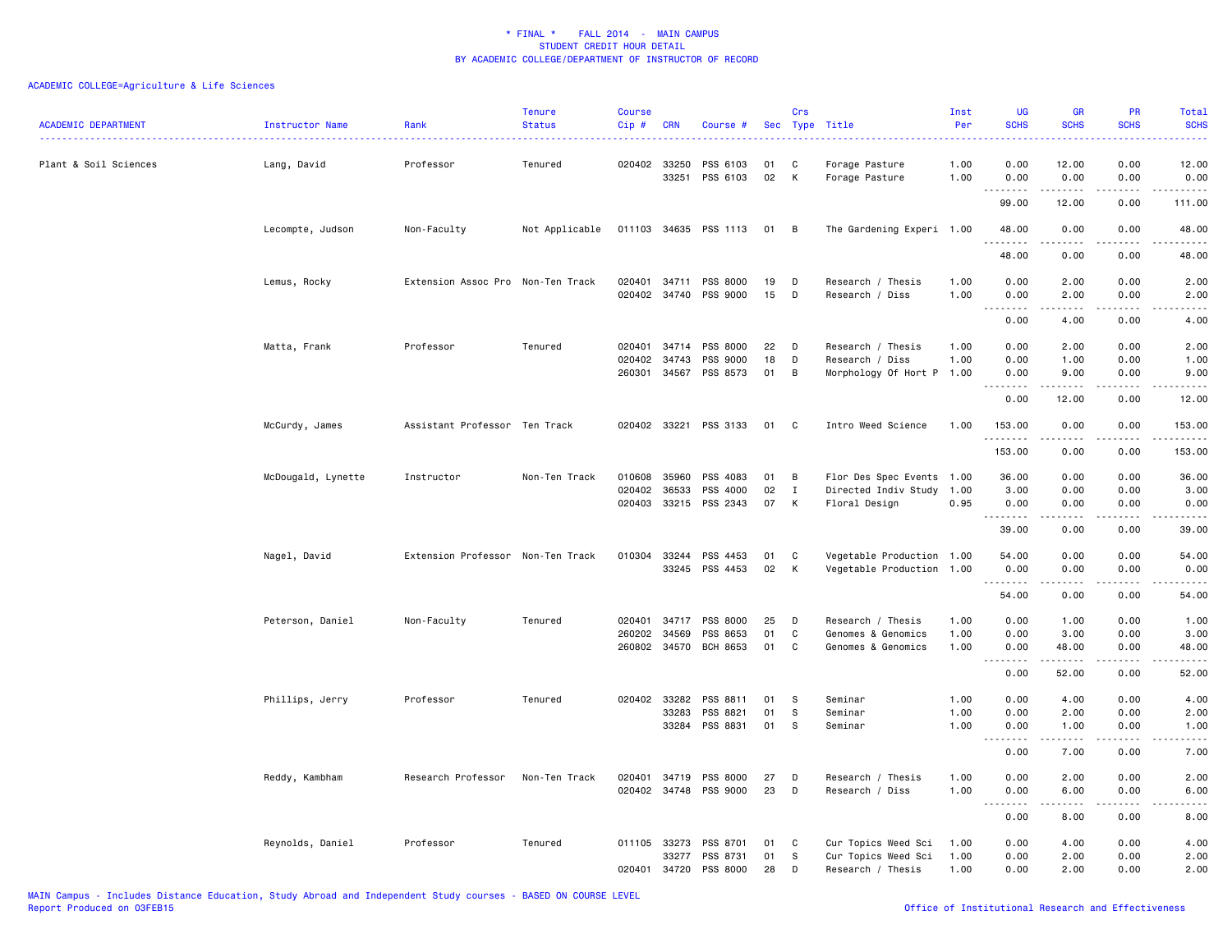| <b>ACADEMIC DEPARTMENT</b> | Instructor Name    | Rank                              | <b>Tenure</b><br><b>Status</b> | <b>Course</b><br>Cip# | <b>CRN</b>            | Course #              |          | Crs            | Sec Type Title                               | Inst<br>Per  | <b>UG</b><br><b>SCHS</b>     | <b>GR</b><br><b>SCHS</b>                   | PR<br><b>SCHS</b> | Total<br><b>SCHS</b>   |
|----------------------------|--------------------|-----------------------------------|--------------------------------|-----------------------|-----------------------|-----------------------|----------|----------------|----------------------------------------------|--------------|------------------------------|--------------------------------------------|-------------------|------------------------|
| Plant & Soil Sciences      | Lang, David        | Professor                         | Tenured                        |                       | 020402 33250<br>33251 | PSS 6103<br>PSS 6103  | 01<br>02 | C<br>K         | Forage Pasture<br>Forage Pasture             | 1.00<br>1.00 | 0.00<br>0.00                 | 12.00<br>0.00                              | 0.00<br>0.00      | 12.00<br>0.00          |
|                            |                    |                                   |                                |                       |                       |                       |          |                |                                              |              | .<br>99.00                   | .<br>12.00                                 | .<br>0.00         | 111.00                 |
|                            | Lecompte, Judson   | Non-Faculty                       | Not Applicable                 |                       |                       | 011103 34635 PSS 1113 | 01       | $\overline{B}$ | The Gardening Experi 1.00                    |              | 48.00<br>.                   | 0.00<br>2.2.2.2.2                          | 0.00<br>.         | 48.00<br>.             |
|                            |                    |                                   |                                |                       |                       |                       |          |                |                                              |              | 48.00                        | 0.00                                       | 0.00              | 48.00                  |
|                            | Lemus, Rocky       | Extension Assoc Pro Non-Ten Track |                                |                       |                       | 020401 34711 PSS 8000 | 19       | D              | Research / Thesis                            | 1.00         | 0.00                         | 2.00                                       | 0.00              | 2.00                   |
|                            |                    |                                   |                                |                       |                       | 020402 34740 PSS 9000 | 15       | D              | Research / Diss                              | 1.00         | 0.00<br><u>.</u>             | 2.00<br>$- - - - -$                        | 0.00<br>.         | 2.00<br>$- - - - -$    |
|                            |                    |                                   |                                |                       |                       |                       |          |                |                                              |              | 0.00                         | 4.00                                       | 0.00              | 4.00                   |
|                            | Matta, Frank       | Professor                         | Tenured                        |                       |                       | 020401 34714 PSS 8000 | 22       | D              | Research / Thesis                            | 1.00         | 0.00                         | 2.00                                       | 0.00              | 2.00                   |
|                            |                    |                                   |                                | 020402                | 34743<br>260301 34567 | PSS 9000<br>PSS 8573  | 18<br>01 | D<br>B         | Research / Diss<br>Morphology Of Hort P 1.00 | 1.00         | 0.00<br>0.00                 | 1.00<br>9.00                               | 0.00<br>0.00      | 1.00<br>9.00           |
|                            |                    |                                   |                                |                       |                       |                       |          |                |                                              |              | .                            | -----                                      | .                 | د د د د د              |
|                            |                    |                                   |                                |                       |                       |                       |          |                |                                              |              | 0.00                         | 12.00                                      | 0.00              | 12.00                  |
|                            | McCurdy, James     | Assistant Professor Ten Track     |                                |                       |                       | 020402 33221 PSS 3133 | 01       | C              | Intro Weed Science                           | 1.00         | 153.00<br>.                  | 0.00<br>$\sim$ $\sim$ $\sim$ $\sim$ $\sim$ | 0.00<br>.         | 153.00<br>------       |
|                            |                    |                                   |                                |                       |                       |                       |          |                |                                              |              | 153.00                       | 0.00                                       | 0.00              | 153.00                 |
|                            | McDougald, Lynette | Instructor                        | Non-Ten Track                  | 010608                | 35960                 | PSS 4083              | 01       | B              | Flor Des Spec Events 1.00                    |              | 36.00                        | 0.00                                       | 0.00              | 36.00                  |
|                            |                    |                                   |                                | 020402                | 36533                 | PSS 4000              | 02       | I              | Directed Indiv Study 1.00                    |              | 3.00                         | 0.00                                       | 0.00              | 3.00                   |
|                            |                    |                                   |                                |                       |                       | 020403 33215 PSS 2343 | 07       | K              | Floral Design                                | 0.95         | 0.00<br>.                    | 0.00<br>22222                              | 0.00<br>د د د د   | 0.00<br>د د د د د      |
|                            |                    |                                   |                                |                       |                       |                       |          |                |                                              |              | 39.00                        | 0.00                                       | 0.00              | 39.00                  |
|                            | Nagel, David       | Extension Professor Non-Ten Track |                                |                       |                       | 010304 33244 PSS 4453 | 01       | C              | Vegetable Production 1.00                    |              | 54.00                        | 0.00                                       | 0.00              | 54.00                  |
|                            |                    |                                   |                                |                       |                       | 33245 PSS 4453        | 02       | K              | Vegetable Production 1.00                    |              | 0.00<br>.                    | 0.00<br>.                                  | 0.00<br>.         | 0.00<br>.              |
|                            |                    |                                   |                                |                       |                       |                       |          |                |                                              |              | 54.00                        | 0.00                                       | 0.00              | 54.00                  |
|                            | Peterson, Daniel   | Non-Faculty                       | Tenured                        | 020401                | 34717                 | PSS 8000              | 25       | D              | Research / Thesis                            | 1.00         | 0.00                         | 1.00                                       | 0.00              | 1.00                   |
|                            |                    |                                   |                                | 260202                | 34569                 | PSS 8653              | 01       | C              | Genomes & Genomics                           | 1.00         | 0.00                         | 3.00                                       | 0.00              | 3.00                   |
|                            |                    |                                   |                                |                       |                       | 260802 34570 BCH 8653 | 01       | C              | Genomes & Genomics                           | 1.00         | 0.00<br>$- - - - -$<br>$  -$ | 48.00<br>.                                 | 0.00<br>.         | 48.00<br>$\frac{1}{2}$ |
|                            |                    |                                   |                                |                       |                       |                       |          |                |                                              |              | 0.00                         | 52.00                                      | 0.00              | 52.00                  |
|                            | Phillips, Jerry    | Professor                         | Tenured                        |                       | 020402 33282          | PSS 8811              | 01       | S              | Seminar                                      | 1.00         | 0.00                         | 4.00                                       | 0.00              | 4.00                   |
|                            |                    |                                   |                                |                       | 33283                 | PSS 8821              | 01       | S              | Seminar                                      | 1.00         | 0.00                         | 2.00                                       | 0.00              | 2.00                   |
|                            |                    |                                   |                                |                       | 33284                 | PSS 8831              | 01       | S              | Seminar                                      | 1.00         | 0.00<br>$\sim$ $\sim$ $\sim$ | 1.00                                       | 0.00              | 1.00<br>.              |
|                            |                    |                                   |                                |                       |                       |                       |          |                |                                              |              | 0.00                         | 7.00                                       | 0.00              | 7.00                   |
|                            | Reddy, Kambham     | Research Professor                | Non-Ten Track                  |                       | 020401 34719          | PSS 8000              | 27       | D              | Research / Thesis                            | 1.00         | 0.00                         | 2.00                                       | 0.00              | 2.00                   |
|                            |                    |                                   |                                |                       |                       | 020402 34748 PSS 9000 | 23       | D              | Research / Diss                              | 1.00         | 0.00<br>.                    | 6.00                                       | 0.00              | 6.00                   |
|                            |                    |                                   |                                |                       |                       |                       |          |                |                                              |              | 0.00                         | 8.00                                       | 0.00              | 8.00                   |
|                            | Reynolds, Daniel   | Professor                         | Tenured                        |                       | 011105 33273          | PSS 8701              | 01       | C              | Cur Topics Weed Sci                          | 1.00         | 0.00                         | 4.00                                       | 0.00              | 4.00                   |
|                            |                    |                                   |                                |                       | 33277<br>020401 34720 | PSS 8731<br>PSS 8000  | 01<br>28 | S<br>D         | Cur Topics Weed Sci<br>Research / Thesis     | 1.00<br>1.00 | 0.00<br>0.00                 | 2.00<br>2.00                               | 0.00<br>0.00      | 2.00<br>2.00           |
|                            |                    |                                   |                                |                       |                       |                       |          |                |                                              |              |                              |                                            |                   |                        |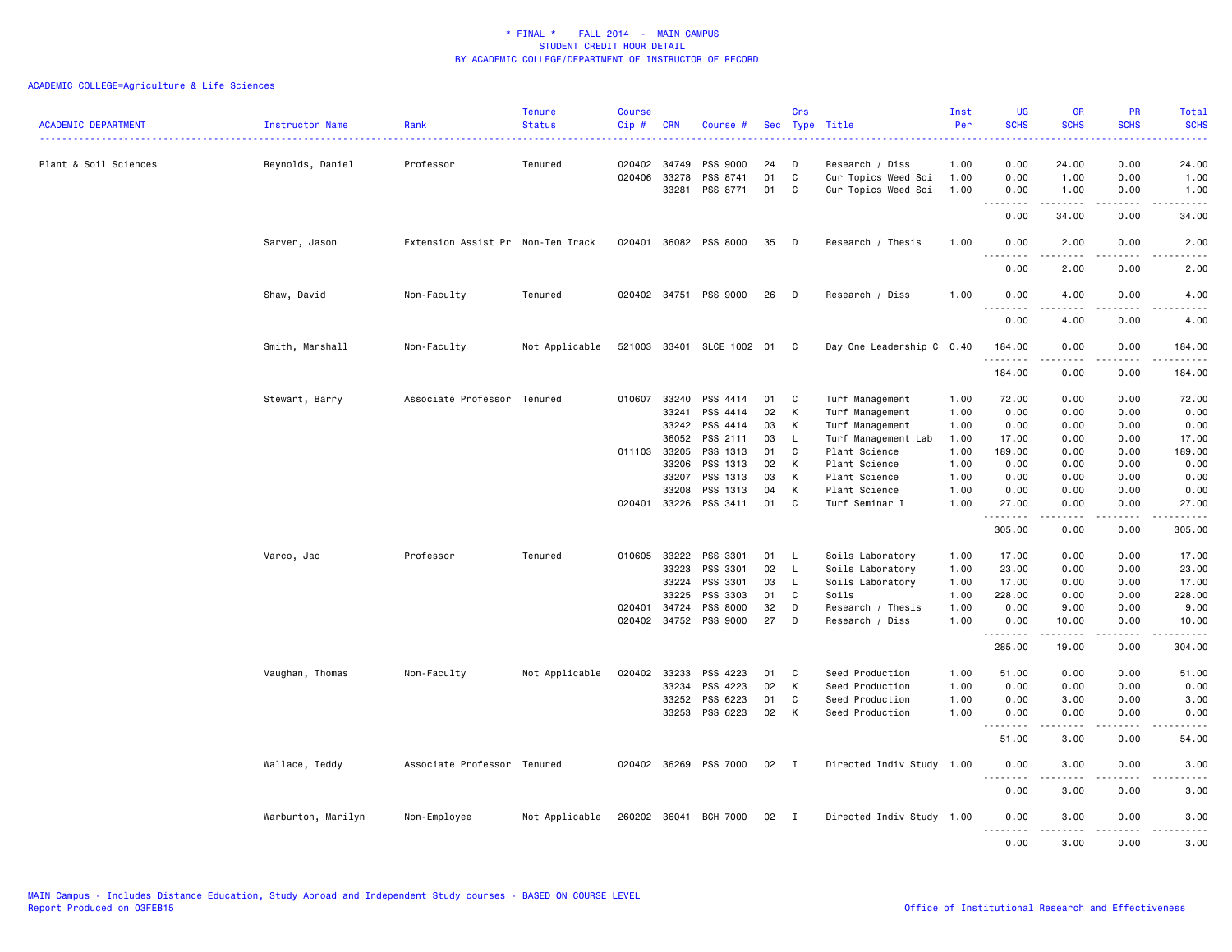| <b>ACADEMIC DEPARTMENT</b> | Instructor Name    | Rank                              | <b>Tenure</b><br><b>Status</b> | <b>Course</b><br>Cip# | <b>CRN</b>     | Course #                    |               | Crs               | Sec Type Title                       | Inst<br>Per  | <b>UG</b><br><b>SCHS</b>                             | <b>GR</b><br><b>SCHS</b> | PR<br><b>SCHS</b>            | <b>Total</b><br><b>SCHS</b> |
|----------------------------|--------------------|-----------------------------------|--------------------------------|-----------------------|----------------|-----------------------------|---------------|-------------------|--------------------------------------|--------------|------------------------------------------------------|--------------------------|------------------------------|-----------------------------|
| Plant & Soil Sciences      | Reynolds, Daniel   | Professor                         | Tenured                        | 020402                | 34749          | PSS 9000                    | 24            | Ð                 | Research / Diss                      | 1.00         | 0.00                                                 | 24.00                    | 0.00                         | 24.00                       |
|                            |                    |                                   |                                | 020406                | 33278          | PSS 8741                    | 01            | $\mathbb C$       | Cur Topics Weed Sci                  | 1.00         | 0.00                                                 | 1.00                     | 0.00                         | 1.00                        |
|                            |                    |                                   |                                |                       | 33281          | PSS 8771                    | 01            | C                 | Cur Topics Weed Sci                  | 1.00         | 0.00<br>.<br>$\sim$ $\sim$                           | 1.00<br>.                | 0.00<br>$\cdots$             | 1.00<br>$    -$             |
|                            |                    |                                   |                                |                       |                |                             |               |                   |                                      |              | 0.00                                                 | 34.00                    | 0.00                         | 34.00                       |
|                            | Sarver, Jason      | Extension Assist Pr Non-Ten Track |                                |                       |                | 020401 36082 PSS 8000       | 35            | D                 | Research / Thesis                    | 1.00         | 0.00<br>$\sim$ $\sim$<br>.                           | 2.00                     | 0.00                         | 2.00                        |
|                            |                    |                                   |                                |                       |                |                             |               |                   |                                      |              | 0.00                                                 | 2.00                     | 0.00                         | 2.00                        |
|                            | Shaw, David        | Non-Faculty                       | Tenured                        | 020402 34751          |                | PSS 9000                    | 26            | D                 | Research / Diss                      | 1.00         | 0.00<br>$\sim$ $\sim$ $\sim$                         | 4.00                     | 0.00                         | 4.00                        |
|                            |                    |                                   |                                |                       |                |                             |               |                   |                                      |              | 0.00                                                 | 4.00                     | 0.00                         | 4.00                        |
|                            | Smith, Marshall    | Non-Faculty                       | Not Applicable                 |                       |                | 521003 33401 SLCE 1002 01 C |               |                   | Day One Leadership C 0.40            |              | 184.00<br>.                                          | 0.00<br>.                | 0.00<br>.                    | 184.00<br>------            |
|                            |                    |                                   |                                |                       |                |                             |               |                   |                                      |              | 184.00                                               | 0.00                     | 0.00                         | 184.00                      |
|                            | Stewart, Barry     | Associate Professor Tenured       |                                | 010607                | 33240          | PSS 4414                    | 01            | C                 | Turf Management                      | 1.00         | 72.00                                                | 0.00                     | 0.00                         | 72.00                       |
|                            |                    |                                   |                                |                       | 33241          | PSS 4414                    | 02            | K                 | Turf Management                      | 1.00         | 0.00                                                 | 0.00                     | 0.00                         | 0.00                        |
|                            |                    |                                   |                                |                       | 33242          | PSS 4414                    | 03            | Κ                 | Turf Management                      | 1.00         | 0.00                                                 | 0.00                     | 0.00                         | 0.00                        |
|                            |                    |                                   |                                |                       | 36052          | PSS 2111                    | 03            | L                 | Turf Management Lab                  | 1.00         | 17.00                                                | 0.00                     | 0.00                         | 17.00                       |
|                            |                    |                                   |                                | 011103 33205          |                | PSS 1313                    | 01            | C                 | Plant Science                        | 1.00         | 189.00                                               | 0.00                     | 0.00                         | 189.00                      |
|                            |                    |                                   |                                |                       | 33206          | PSS 1313                    | 02            | K                 | Plant Science                        | 1.00         | 0.00                                                 | 0.00                     | 0.00                         | 0.00                        |
|                            |                    |                                   |                                |                       | 33207          | PSS 1313                    | 03            | К                 | Plant Science                        | 1.00         | 0.00                                                 | 0.00                     | 0.00                         | 0.00                        |
|                            |                    |                                   |                                | 020401                | 33208<br>33226 | PSS 1313<br>PSS 3411        | 04<br>01      | к<br>C            | Plant Science<br>Turf Seminar I      | 1.00<br>1.00 | 0.00<br>27.00                                        | 0.00<br>0.00             | 0.00<br>0.00                 | 0.00<br>27.00               |
|                            |                    |                                   |                                |                       |                |                             |               |                   |                                      |              | .                                                    | $\frac{1}{2}$            | $\frac{1}{2}$                | .                           |
|                            |                    |                                   |                                |                       |                |                             |               |                   |                                      |              | 305.00                                               | 0.00                     | 0.00                         | 305.00                      |
|                            | Varco, Jac         | Professor                         | Tenured                        | 010605 33222          | 33223          | PSS 3301<br>PSS 3301        | 01<br>02      | $\mathsf{L}$<br>L | Soils Laboratory<br>Soils Laboratory | 1.00         | 17.00<br>23.00                                       | 0.00<br>0.00             | 0.00<br>0.00                 | 17.00<br>23.00              |
|                            |                    |                                   |                                |                       | 33224          | PSS 3301                    | 03            | L                 | Soils Laboratory                     | 1.00<br>1.00 | 17.00                                                | 0.00                     | 0.00                         | 17.00                       |
|                            |                    |                                   |                                |                       | 33225          | PSS 3303                    | 01            | C                 | Soils                                | 1.00         | 228.00                                               | 0.00                     | 0.00                         | 228.00                      |
|                            |                    |                                   |                                | 020401                | 34724          | PSS 8000                    | 32            | D                 | Research / Thesis                    | 1.00         | 0.00                                                 | 9.00                     | 0.00                         | 9.00                        |
|                            |                    |                                   |                                | 020402 34752          |                | PSS 9000                    | 27            | D                 | Research / Diss                      | 1.00         | 0.00<br>.                                            | 10.00<br>.               | 0.00<br>$\sim$ $\sim$ $\sim$ | 10.00<br>.                  |
|                            |                    |                                   |                                |                       |                |                             |               |                   |                                      |              | 285.00                                               | 19.00                    | 0.00                         | 304.00                      |
|                            | Vaughan, Thomas    | Non-Faculty                       | Not Applicable                 | 020402                | 33233          | PSS 4223                    | 01            | C                 | Seed Production                      | 1.00         | 51.00                                                | 0.00                     | 0.00                         | 51.00                       |
|                            |                    |                                   |                                |                       | 33234          | PSS 4223                    | 02            | К                 | Seed Production                      | 1.00         | 0.00                                                 | 0.00                     | 0.00                         | 0.00                        |
|                            |                    |                                   |                                |                       | 33252          | PSS 6223                    | 01            | C                 | Seed Production                      | 1.00         | 0.00                                                 | 3.00                     | 0.00                         | 3.00                        |
|                            |                    |                                   |                                |                       | 33253          | PSS 6223                    | 02            | К                 | Seed Production                      | 1.00         | 0.00<br>$\sim$ $\sim$ $\sim$<br>.                    | 0.00                     | 0.00                         | 0.00                        |
|                            |                    |                                   |                                |                       |                |                             |               |                   |                                      |              | 51.00                                                | 3.00                     | 0.00                         | 54.00                       |
|                            | Wallace, Teddy     | Associate Professor Tenured       |                                |                       |                | 020402 36269 PSS 7000       | $02 \qquad I$ |                   | Directed Indiv Study 1.00            |              | 0.00<br>.                                            | 3.00                     | 0.00<br>د ما ما ما           | 3.00<br>----                |
|                            |                    |                                   |                                |                       |                |                             |               |                   |                                      |              | 0.00                                                 | 3.00                     | 0.00                         | 3.00                        |
|                            | Warburton, Marilyn | Non-Employee                      | Not Applicable                 | 260202 36041          |                | <b>BCH 7000</b>             | 02            | $\mathbf{I}$      | Directed Indiv Study 1.00            |              | 0.00<br>$\sim$ $\sim$ $\sim$<br>$\sim$ $\sim$ $\sim$ | 3.00                     | 0.00                         | 3.00                        |
|                            |                    |                                   |                                |                       |                |                             |               |                   |                                      |              | 0.00                                                 | 3.00                     | 0.00                         | 3.00                        |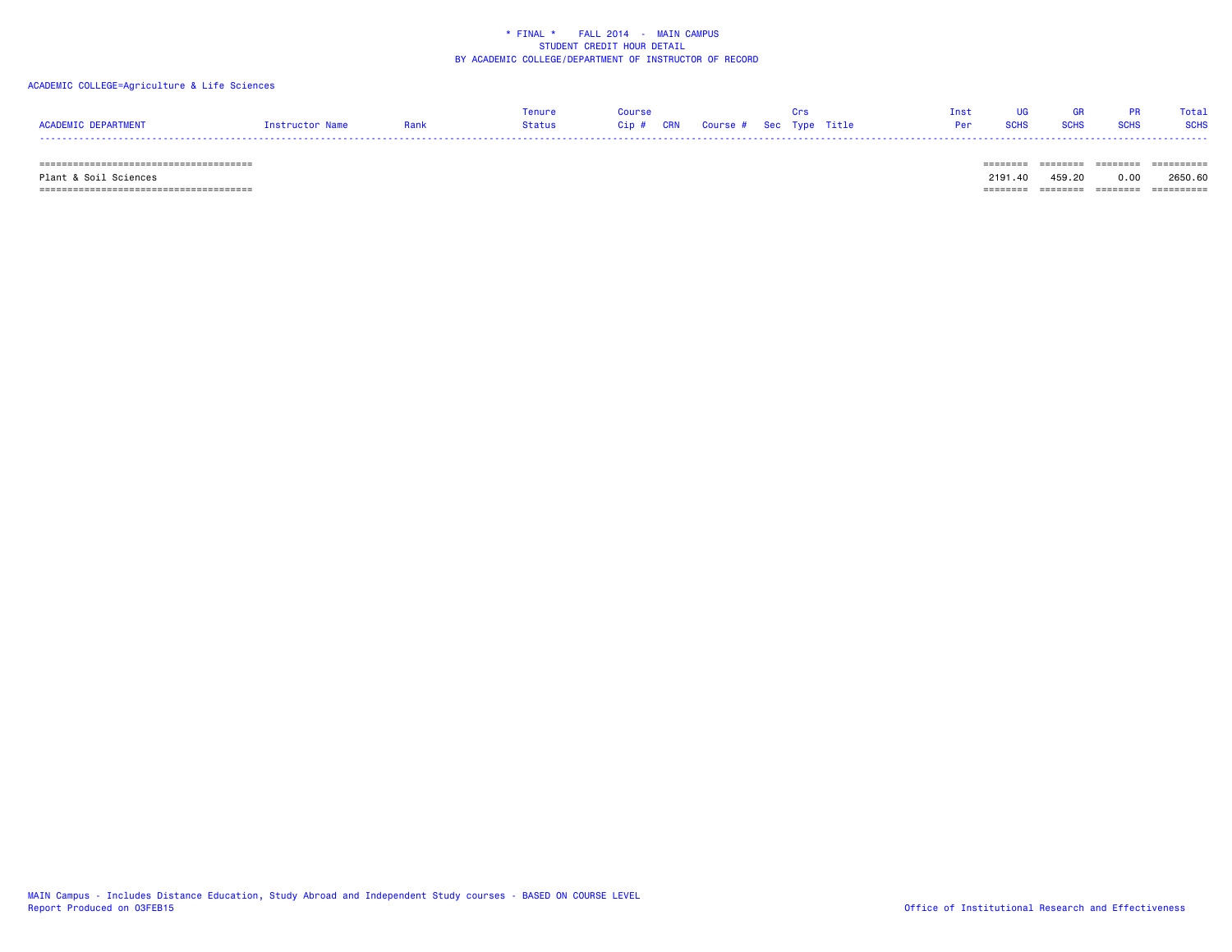### ACADEMIC COLLEGE=Agriculture & Life Sciences

|                            |                 |      | Tenure | Course | <u> 1986 - Crs</u> |                              |  | Inst UG GR PR Total |  |
|----------------------------|-----------------|------|--------|--------|--------------------|------------------------------|--|---------------------|--|
| <b>ACADEMIC DEPARTMENT</b> | Instructor Name | Rank |        |        |                    | Per SCHS SCHS SCHS SCHS SCHS |  |                     |  |
|                            |                 |      |        |        |                    |                              |  |                     |  |

====================================== ======== ======== ======== ==========

====================================== ======== ======== ======== ==========

Plant & Soil Sciences 2191.40 459.20 0.00 2650.60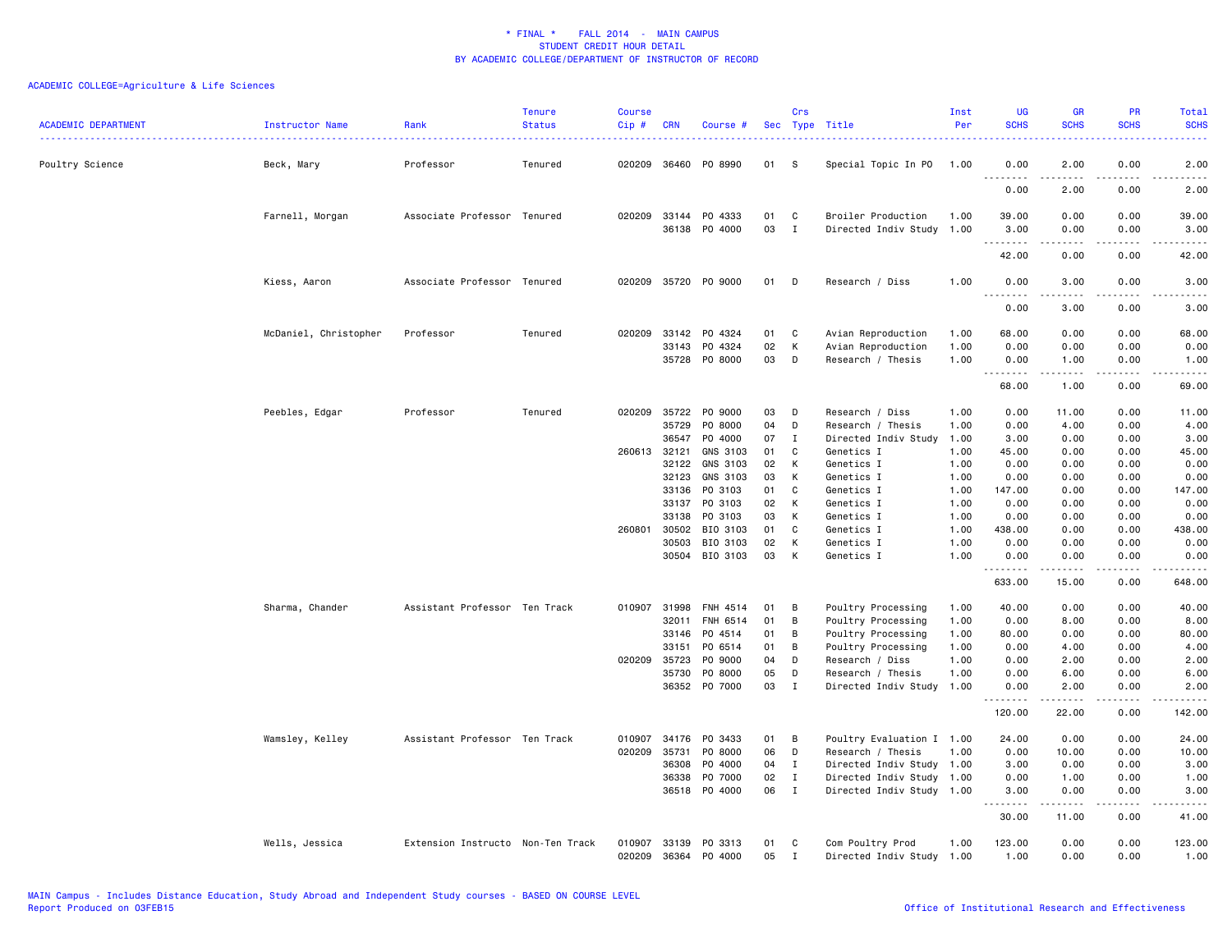| <b>ACADEMIC DEPARTMENT</b> | Instructor Name       | Rank                              | <b>Tenure</b><br><b>Status</b> | <b>Course</b><br>Cip# | <b>CRN</b>              | Course #                              |                | Crs                          | Sec Type Title                                                | Inst<br>Per          | UG<br><b>SCHS</b><br>.     | <b>GR</b><br><b>SCHS</b>                                                                                                                                     | PR<br><b>SCHS</b><br><u>.</u> | Total<br><b>SCHS</b><br><b>.</b>     |
|----------------------------|-----------------------|-----------------------------------|--------------------------------|-----------------------|-------------------------|---------------------------------------|----------------|------------------------------|---------------------------------------------------------------|----------------------|----------------------------|--------------------------------------------------------------------------------------------------------------------------------------------------------------|-------------------------------|--------------------------------------|
| Poultry Science            | Beck, Mary            | Professor                         | Tenured                        |                       |                         | 020209 36460 PO 8990                  | 01             | - S                          | Special Topic In PO                                           | 1.00                 | 0.00<br>.                  | 2.00                                                                                                                                                         | 0.00                          | 2.00                                 |
|                            |                       |                                   |                                |                       |                         |                                       |                |                              |                                                               |                      | 0.00                       | 2.00                                                                                                                                                         | 0.00                          | 2.00                                 |
|                            | Farnell, Morgan       | Associate Professor Tenured       |                                |                       |                         | 020209 33144 PO 4333<br>36138 PO 4000 | 01<br>03       | C<br>I                       | Broiler Production<br>Directed Indiv Study 1.00               | 1.00                 | 39.00<br>3.00              | 0.00<br>0.00                                                                                                                                                 | 0.00<br>0.00                  | 39.00<br>3.00                        |
|                            |                       |                                   |                                |                       |                         |                                       |                |                              |                                                               |                      | .<br>42.00                 | $\frac{1}{2} \left( \frac{1}{2} \right) \left( \frac{1}{2} \right) \left( \frac{1}{2} \right) \left( \frac{1}{2} \right) \left( \frac{1}{2} \right)$<br>0.00 | .<br>0.00                     | .<br>42.00                           |
|                            | Kiess, Aaron          | Associate Professor Tenured       |                                |                       |                         | 020209 35720 PO 9000                  | 01             | D                            | Research / Diss                                               | 1.00                 | 0.00<br>.                  | 3.00<br>$\frac{1}{2} \left( \frac{1}{2} \right) \left( \frac{1}{2} \right) \left( \frac{1}{2} \right) \left( \frac{1}{2} \right) \left( \frac{1}{2} \right)$ | 0.00<br>.                     | 3.00<br>$\sim$ $\sim$ $\sim$ $\sim$  |
|                            |                       |                                   |                                |                       |                         |                                       |                |                              |                                                               |                      | 0.00                       | 3.00                                                                                                                                                         | 0.00                          | 3.00                                 |
|                            | McDaniel, Christopher | Professor                         | Tenured                        | 020209                | 33142<br>33143          | PO 4324<br>PO 4324<br>35728 PO 8000   | 01<br>02<br>03 | C<br>K<br>D                  | Avian Reproduction<br>Avian Reproduction<br>Research / Thesis | 1.00<br>1.00<br>1.00 | 68.00<br>0.00<br>0.00<br>. | 0.00<br>0.00<br>1.00<br>.                                                                                                                                    | 0.00<br>0.00<br>0.00<br>.     | 68.00<br>0.00<br>1.00<br>$- - - - -$ |
|                            |                       |                                   |                                |                       |                         |                                       |                |                              |                                                               |                      | 68.00                      | 1.00                                                                                                                                                         | 0.00                          | 69.00                                |
|                            | Peebles, Edgar        | Professor                         | Tenured                        | 020209                | 35722<br>35729<br>36547 | PO 9000<br>P0 8000<br>P0 4000         | 03<br>04<br>07 | D<br>D<br>$\mathbf{I}$       | Research / Diss<br>Research / Thesis<br>Directed Indiv Study  | 1.00<br>1.00<br>1.00 | 0.00<br>0.00<br>3.00       | 11.00<br>4.00<br>0.00                                                                                                                                        | 0.00<br>0.00<br>0.00          | 11.00<br>4.00<br>3.00                |
|                            |                       |                                   |                                | 260613                | 32121                   | GNS 3103                              | 01             | C                            | Genetics I                                                    | 1.00                 | 45.00                      | 0.00                                                                                                                                                         | 0.00                          | 45.00                                |
|                            |                       |                                   |                                |                       | 32122<br>32123          | GNS 3103<br>GNS 3103                  | 02<br>03       | К<br>К                       | Genetics I<br>Genetics I                                      | 1.00<br>1.00         | 0.00<br>0.00               | 0.00<br>0.00                                                                                                                                                 | 0.00<br>0.00                  | 0.00<br>0.00                         |
|                            |                       |                                   |                                |                       | 33136                   | PO 3103                               | 01             | $\mathtt{C}$                 | Genetics I                                                    | 1.00                 | 147.00                     | 0.00                                                                                                                                                         | 0.00                          | 147.00                               |
|                            |                       |                                   |                                |                       | 33137<br>33138          | PO 3103<br>PO 3103                    | 02<br>03       | К<br>К                       | Genetics I<br>Genetics I                                      | 1.00<br>1.00         | 0.00<br>0.00               | 0.00<br>0.00                                                                                                                                                 | 0.00<br>0.00                  | 0.00<br>0.00                         |
|                            |                       |                                   |                                | 260801                | 30502                   | BIO 3103                              | 01             | C                            | Genetics I                                                    | 1.00                 | 438.00                     | 0.00                                                                                                                                                         | 0.00                          | 438.00                               |
|                            |                       |                                   |                                |                       | 30503                   | BIO 3103                              | 02             | K                            | Genetics I                                                    | 1.00                 | 0.00                       | 0.00                                                                                                                                                         | 0.00                          | 0.00                                 |
|                            |                       |                                   |                                |                       |                         | 30504 BIO 3103                        | 03             | K                            | Genetics I                                                    | 1.00                 | 0.00<br>.                  | 0.00<br>.                                                                                                                                                    | 0.00<br>-----                 | 0.00<br>.                            |
|                            |                       |                                   |                                |                       |                         |                                       |                |                              |                                                               |                      | 633.00                     | 15.00                                                                                                                                                        | 0.00                          | 648.00                               |
|                            | Sharma, Chander       | Assistant Professor Ten Track     |                                |                       |                         | 010907 31998 FNH 4514                 | 01             | B                            | Poultry Processing                                            | 1.00                 | 40.00                      | 0.00                                                                                                                                                         | 0.00                          | 40.00                                |
|                            |                       |                                   |                                |                       | 32011                   | FNH 6514                              | 01             | B                            | Poultry Processing                                            | 1.00                 | 0.00                       | 8.00                                                                                                                                                         | 0.00                          | 8.00                                 |
|                            |                       |                                   |                                |                       | 33146<br>33151          | PO 4514<br>PO 6514                    | 01<br>01       | B<br>B                       | Poultry Processing                                            | 1.00<br>1.00         | 80.00<br>0.00              | 0.00<br>4.00                                                                                                                                                 | 0.00<br>0.00                  | 80.00<br>4.00                        |
|                            |                       |                                   |                                | 020209                | 35723                   | P0 9000                               | 04             | D                            | Poultry Processing<br>Research / Diss                         | 1.00                 | 0.00                       | 2.00                                                                                                                                                         | 0.00                          | 2.00                                 |
|                            |                       |                                   |                                |                       | 35730                   | P0 8000                               | 05             | D                            | Research / Thesis                                             | 1.00                 | 0.00                       | 6.00                                                                                                                                                         | 0.00                          | 6.00                                 |
|                            |                       |                                   |                                |                       |                         | 36352 PO 7000                         | 03             | $\mathbf{I}$                 | Directed Indiv Study 1.00                                     |                      | 0.00<br>.                  | 2.00<br>. <b>.</b>                                                                                                                                           | 0.00<br>.                     | 2.00<br>.                            |
|                            |                       |                                   |                                |                       |                         |                                       |                |                              |                                                               |                      | 120.00                     | 22.00                                                                                                                                                        | 0.00                          | 142.00                               |
|                            | Wamsley, Kelley       | Assistant Professor Ten Track     |                                | 010907                | 34176                   | PO 3433                               | 01             | B                            | Poultry Evaluation I 1.00                                     |                      | 24.00                      | 0.00                                                                                                                                                         | 0.00                          | 24.00                                |
|                            |                       |                                   |                                | 020209                | 35731                   | PO 8000                               | 06             | D                            | Research / Thesis                                             | 1.00                 | 0.00                       | 10.00                                                                                                                                                        | 0.00                          | 10.00                                |
|                            |                       |                                   |                                |                       | 36308                   | P0 4000                               | 04             | $\mathbf{I}$                 | Directed Indiv Study 1.00                                     |                      | 3.00                       | 0.00                                                                                                                                                         | 0.00                          | 3.00                                 |
|                            |                       |                                   |                                |                       | 36338                   | P0 7000<br>36518 PO 4000              | 02<br>06       | $\mathbf{I}$<br>$\mathbf{I}$ | Directed Indiv Study 1.00<br>Directed Indiv Study 1.00        |                      | 0.00<br>3.00               | 1.00<br>0.00                                                                                                                                                 | 0.00<br>0.00                  | 1.00<br>3.00                         |
|                            |                       |                                   |                                |                       |                         |                                       |                |                              |                                                               |                      | .<br>30.00                 | .<br>11.00                                                                                                                                                   | .<br>0.00                     | .<br>41.00                           |
|                            |                       |                                   |                                |                       |                         |                                       |                |                              |                                                               |                      |                            |                                                                                                                                                              |                               |                                      |
|                            | Wells, Jessica        | Extension Instructo Non-Ten Track |                                | 010907<br>020209      | 33139<br>36364          | PO 3313<br>PO 4000                    | 01<br>05       | C<br>$\mathbf{I}$            | Com Poultry Prod<br>Directed Indiv Study 1.00                 | 1.00                 | 123.00<br>1.00             | 0.00<br>0.00                                                                                                                                                 | 0.00<br>0.00                  | 123.00<br>1.00                       |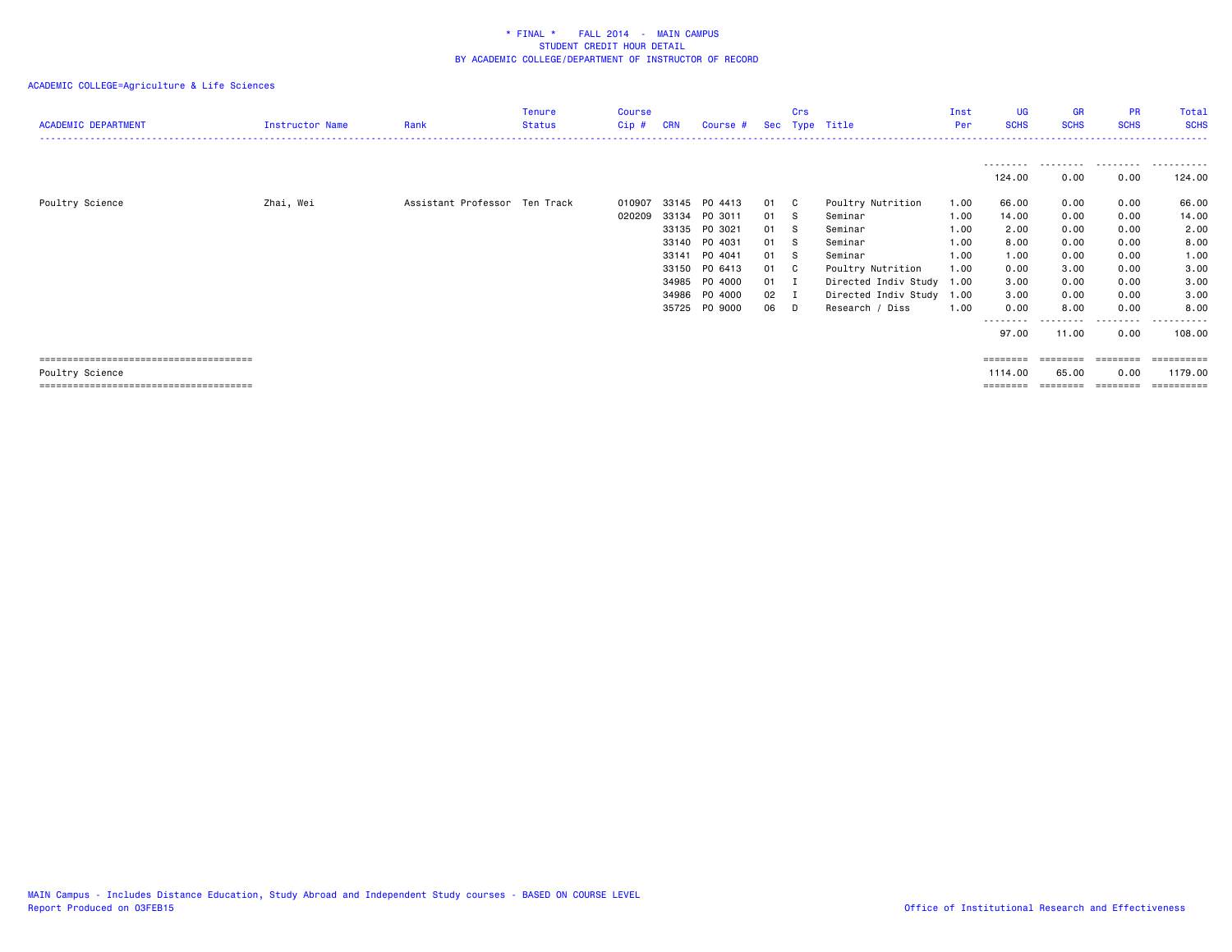| <b>ACADEMIC DEPARTMENT</b> | Instructor Name | Rank                          | Tenure<br><b>Status</b> | Course<br>Cip#   | <b>CRN</b>                                                  | Course #                                                                                                    |                                                      | <b>Crs</b>                                 | Sec Type Title                                                                                                                                             | Inst<br>Per                                                  | <b>UG</b><br><b>SCHS</b>                                                                    | <b>GR</b><br><b>SCHS</b>                                                      | <b>PR</b><br><b>SCHS</b>                                                          | Total<br><b>SCHS</b>                                                                  |
|----------------------------|-----------------|-------------------------------|-------------------------|------------------|-------------------------------------------------------------|-------------------------------------------------------------------------------------------------------------|------------------------------------------------------|--------------------------------------------|------------------------------------------------------------------------------------------------------------------------------------------------------------|--------------------------------------------------------------|---------------------------------------------------------------------------------------------|-------------------------------------------------------------------------------|-----------------------------------------------------------------------------------|---------------------------------------------------------------------------------------|
|                            |                 |                               |                         |                  |                                                             |                                                                                                             |                                                      |                                            |                                                                                                                                                            |                                                              | ---------<br>124.00                                                                         | .<br>0.00                                                                     | .<br>0.00                                                                         | .<br>124.00                                                                           |
| Poultry Science            | Zhai, Wei       | Assistant Professor Ten Track |                         | 010907<br>020209 | 33145<br>33134<br>33140<br>33141<br>33150<br>34986<br>35725 | PO 4413<br>PO 3011<br>33135 PO 3021<br>PO 4031<br>P0 4041<br>PO 6413<br>34985 PO 4000<br>P0 4000<br>PO 9000 | 01 C<br>01<br>01<br>01<br>01<br>01<br>01<br>02<br>06 | - S<br>S.<br>s<br>-S<br>C .<br>I<br>I<br>D | Poultry Nutrition<br>Seminar<br>Seminar<br>Seminar<br>Seminar<br>Poultry Nutrition<br>Directed Indiv Study 1.00<br>Directed Indiv Study<br>Research / Diss | 1.00<br>1.00<br>1.00<br>1.00<br>1.00<br>1.00<br>1.00<br>1.00 | 66.00<br>14.00<br>2.00<br>8.00<br>1.00<br>0.00<br>3.00<br>3.00<br>0.00<br>--------<br>97.00 | 0.00<br>0.00<br>0.00<br>0.00<br>0.00<br>3.00<br>0.00<br>0.00<br>8.00<br>11.00 | 0.00<br>0.00<br>0.00<br>0.00<br>0.00<br>0.00<br>0.00<br>0.00<br>0.00<br>.<br>0.00 | 66.00<br>14.00<br>2.00<br>8.00<br>1.00<br>3.00<br>3.00<br>3.00<br>8.00<br>.<br>108.00 |
| Poultry Science            |                 |                               |                         |                  |                                                             |                                                                                                             |                                                      |                                            |                                                                                                                                                            |                                                              | ========<br>1114.00<br>$=$ = = = = = = =                                                    | 65.00<br>=====                                                                | 0.00<br>========                                                                  | 1179.00                                                                               |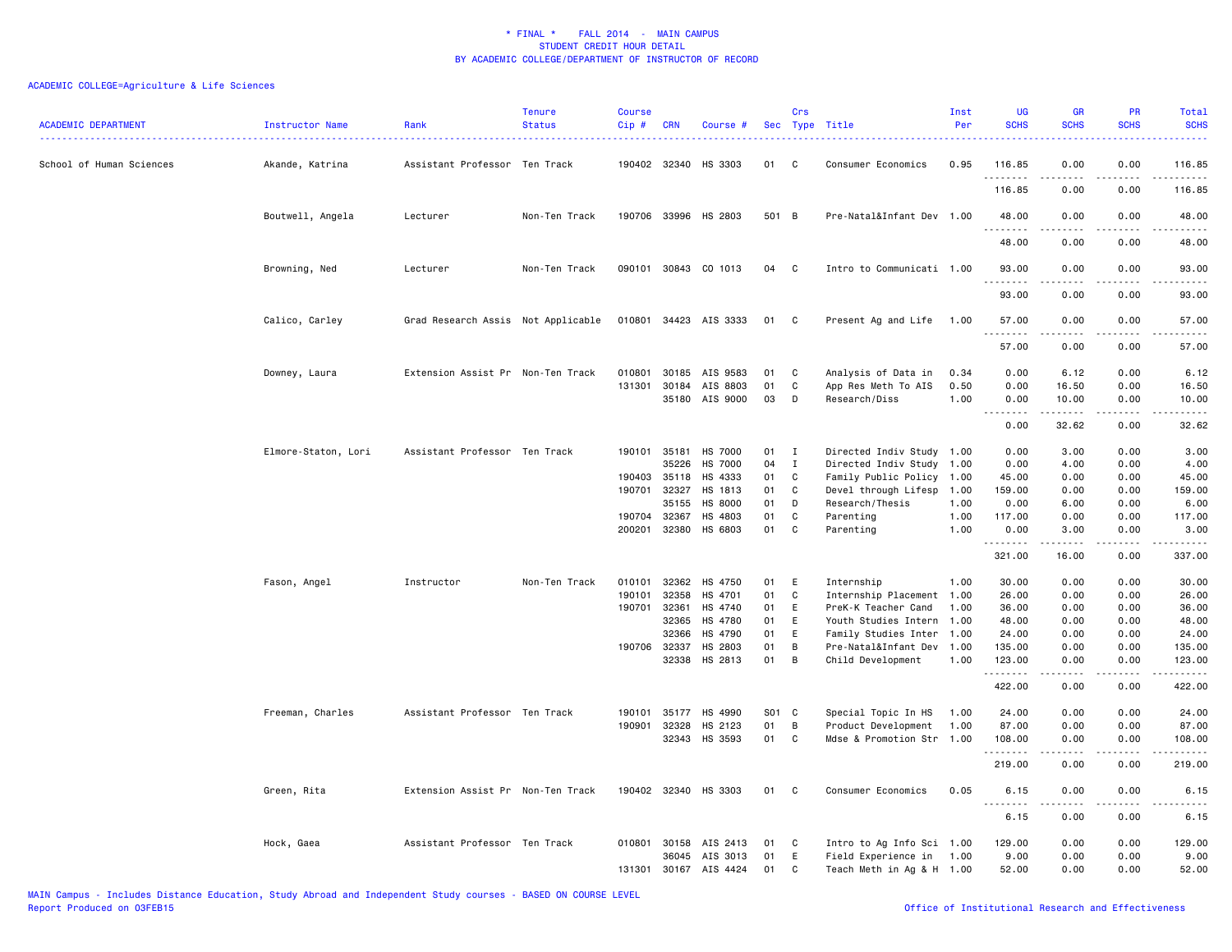| <b>ACADEMIC DEPARTMENT</b> | <b>Instructor Name</b> | Rank                               | <b>Tenure</b><br><b>Status</b> | Course<br>Cip# | <b>CRN</b>   | Course #              |       | Crs          | Sec Type Title            | Inst<br>Per | <b>UG</b><br><b>SCHS</b>            | GR<br><b>SCHS</b>     | PR<br><b>SCHS</b>     | Total<br><b>SCHS</b><br>.                   |
|----------------------------|------------------------|------------------------------------|--------------------------------|----------------|--------------|-----------------------|-------|--------------|---------------------------|-------------|-------------------------------------|-----------------------|-----------------------|---------------------------------------------|
| School of Human Sciences   | Akande, Katrina        | Assistant Professor Ten Track      |                                |                | 190402 32340 | HS 3303               | 01    | C            | Consumer Economics        | 0.95        | 116.85<br>. <u>.</u>                | 0.00                  | 0.00                  | 116.85<br>.                                 |
|                            |                        |                                    |                                |                |              |                       |       |              |                           |             | 116.85                              | 0.00                  | 0.00                  | 116.85                                      |
|                            | Boutwell, Angela       | Lecturer                           | Non-Ten Track                  |                |              | 190706 33996 HS 2803  | 501 B |              | Pre-Natal&Infant Dev 1.00 |             | 48.00<br>.                          | 0.00                  | 0.00                  | 48.00<br>$\sim$ $\sim$ $\sim$ $\sim$ $\sim$ |
|                            |                        |                                    |                                |                |              |                       |       |              |                           |             | 48.00                               | 0.00                  | 0.00                  | 48.00                                       |
|                            | Browning, Ned          | Lecturer                           | Non-Ten Track                  |                |              | 090101 30843 CO 1013  | 04    | C.           | Intro to Communicati 1.00 |             | 93.00<br>.                          | 0.00                  | 0.00                  | 93.00<br>.                                  |
|                            |                        |                                    |                                |                |              |                       |       |              |                           |             | 93.00                               | 0.00                  | 0.00                  | 93.00                                       |
|                            | Calico, Carley         | Grad Research Assis Not Applicable |                                |                |              | 010801 34423 AIS 3333 | 01 C  |              | Present Ag and Life       | 1.00        | 57.00<br>.                          | 0.00                  | 0.00<br>.             | 57.00<br>.                                  |
|                            |                        |                                    |                                |                |              |                       |       |              |                           |             | 57.00                               | 0.00                  | 0.00                  | 57.00                                       |
|                            | Downey, Laura          | Extension Assist Pr Non-Ten Track  |                                | 010801         | 30185        | AIS 9583              | 01    | C            | Analysis of Data in       | 0.34        | 0.00                                | 6.12                  | 0.00                  | 6.12                                        |
|                            |                        |                                    |                                | 131301         | 30184        | AIS 8803              | 01    | C            | App Res Meth To AIS       | 0.50        | 0.00                                | 16.50                 | 0.00                  | 16.50                                       |
|                            |                        |                                    |                                |                |              | 35180 AIS 9000        | 03    | D            | Research/Diss             | 1.00        | 0.00<br>.                           | 10.00<br>.            | 0.00<br>.             | 10.00<br>.                                  |
|                            |                        |                                    |                                |                |              |                       |       |              |                           |             | 0.00                                | 32.62                 | 0.00                  | 32.62                                       |
|                            | Elmore-Staton, Lori    | Assistant Professor Ten Track      |                                |                |              | 190101 35181 HS 7000  | 01    | $\mathbf{I}$ | Directed Indiv Study 1.00 |             | 0.00                                | 3.00                  | 0.00                  | 3.00                                        |
|                            |                        |                                    |                                |                | 35226        | <b>HS 7000</b>        | 04    | $\mathbf{I}$ | Directed Indiv Study 1.00 |             | 0.00                                | 4.00                  | 0.00                  | 4.00                                        |
|                            |                        |                                    |                                | 190403         | 35118        | HS 4333               | 01    | C            | Family Public Policy 1.00 |             | 45.00                               | 0.00                  | 0.00                  | 45.00                                       |
|                            |                        |                                    |                                |                | 190701 32327 | HS 1813               | 01    | C            | Devel through Lifesp      | 1.00        | 159.00                              | 0.00                  | 0.00                  | 159.00                                      |
|                            |                        |                                    |                                |                | 35155        | HS 8000               | 01    | D            | Research/Thesis           | 1.00        | 0.00                                | 6.00                  | 0.00                  | 6.00                                        |
|                            |                        |                                    |                                | 190704 32367   |              | HS 4803               | 01    | C            | Parenting                 | 1.00        | 117.00                              | 0.00                  | 0.00                  | 117.00                                      |
|                            |                        |                                    |                                |                | 200201 32380 | HS 6803               | 01    | C            | Parenting                 | 1.00        | 0.00<br>.                           | 3.00<br>$\frac{1}{2}$ | 0.00<br>.             | 3.00<br>.                                   |
|                            |                        |                                    |                                |                |              |                       |       |              |                           |             | 321.00                              | 16.00                 | 0.00                  | 337.00                                      |
|                            | Fason, Angel           | Instructor                         | Non-Ten Track                  | 010101         | 32362        | HS 4750               | 01    | E            | Internship                | 1.00        | 30.00                               | 0.00                  | 0.00                  | 30.00                                       |
|                            |                        |                                    |                                | 190101         | 32358        | HS 4701               | 01    | C            | Internship Placement 1.00 |             | 26.00                               | 0.00                  | 0.00                  | 26.00                                       |
|                            |                        |                                    |                                | 190701         | 32361        | HS 4740               | 01    | E            | PreK-K Teacher Cand       | 1.00        | 36.00                               | 0.00                  | 0.00                  | 36.00                                       |
|                            |                        |                                    |                                |                | 32365        | HS 4780               | 01    | E            | Youth Studies Intern 1.00 |             | 48.00                               | 0.00                  | 0.00                  | 48.00                                       |
|                            |                        |                                    |                                |                | 32366        | HS 4790               | 01    | E            | Family Studies Inter 1.00 |             | 24.00                               | 0.00                  | 0.00                  | 24.00                                       |
|                            |                        |                                    |                                | 190706 32337   |              | HS 2803               | 01    | B            | Pre-Natal&Infant Dev 1.00 |             | 135.00                              | 0.00                  | 0.00                  | 135.00                                      |
|                            |                        |                                    |                                |                | 32338        | HS 2813               | 01    | B            | Child Development         | 1.00        | 123.00                              | 0.00                  | 0.00                  | 123.00                                      |
|                            |                        |                                    |                                |                |              |                       |       |              |                           |             | .<br>422.00                         | .<br>0.00             | $\frac{1}{2}$<br>0.00 | .<br>422.00                                 |
|                            | Freeman, Charles       | Assistant Professor Ten Track      |                                | 190101         | 35177        | HS 4990               | S01   | C            | Special Topic In HS       | 1.00        | 24.00                               | 0.00                  | 0.00                  | 24.00                                       |
|                            |                        |                                    |                                | 190901         | 32328        | HS 2123               | 01    | B            | Product Development       | 1.00        | 87.00                               | 0.00                  | 0.00                  | 87.00                                       |
|                            |                        |                                    |                                |                |              | 32343 HS 3593         | 01    | C            | Mdse & Promotion Str 1.00 |             | 108.00<br>.                         | 0.00                  | 0.00                  | 108.00<br>.                                 |
|                            |                        |                                    |                                |                |              |                       |       |              |                           |             | 219.00                              | 0.00                  | 0.00                  | 219.00                                      |
|                            | Green, Rita            | Extension Assist Pr Non-Ten Track  |                                |                |              | 190402 32340 HS 3303  | 01    | C.           | Consumer Economics        | 0.05        | 6.15<br>$\sim$ $\sim$ .<br><u>.</u> | 0.00<br>-----         | 0.00<br>.             | 6.15<br>.                                   |
|                            |                        |                                    |                                |                |              |                       |       |              |                           |             | 6.15                                | 0.00                  | 0.00                  | 6.15                                        |
|                            | Hock, Gaea             | Assistant Professor Ten Track      |                                |                |              | 010801 30158 AIS 2413 | 01    | C            | Intro to Ag Info Sci 1.00 |             | 129.00                              | 0.00                  | 0.00                  | 129.00                                      |
|                            |                        |                                    |                                |                | 36045        | AIS 3013              | 01    | E            | Field Experience in       | 1.00        | 9.00                                | 0.00                  | 0.00                  | 9.00                                        |
|                            |                        |                                    |                                |                |              | 131301 30167 AIS 4424 | 01    | $\mathbf c$  | Teach Meth in Ag & H 1.00 |             | 52.00                               | 0.00                  | 0.00                  | 52.00                                       |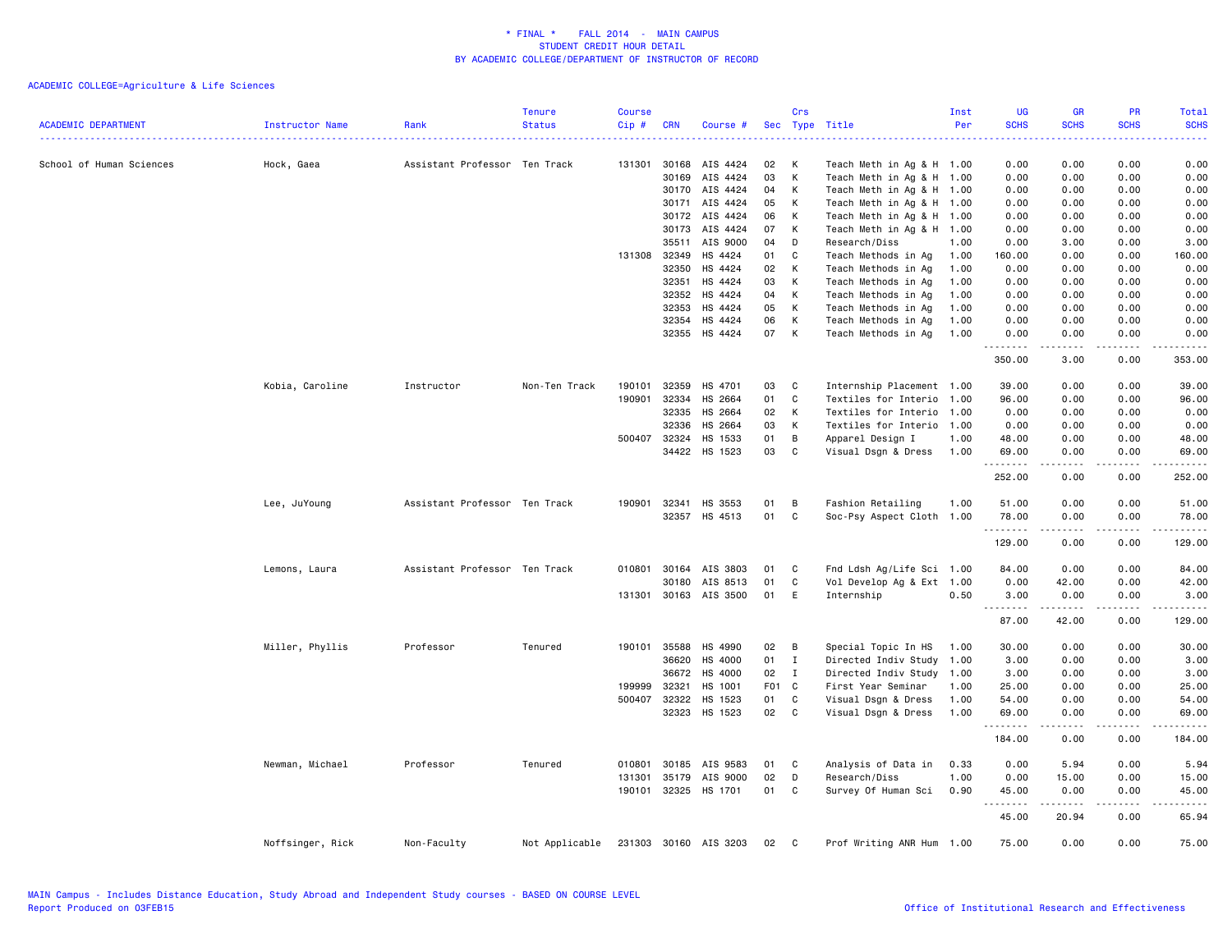| <b>ACADEMIC DEPARTMENT</b> | Instructor Name  | Rank                          | <b>Tenure</b><br><b>Status</b> | <b>Course</b><br>Cip# | <b>CRN</b>   | Course #                 | Sec      | Crs          | Type Title                | Inst<br>Per | <b>UG</b><br><b>SCHS</b> | <b>GR</b><br><b>SCHS</b>            | PR<br><b>SCHS</b> | <b>Total</b><br><b>SCHS</b> |
|----------------------------|------------------|-------------------------------|--------------------------------|-----------------------|--------------|--------------------------|----------|--------------|---------------------------|-------------|--------------------------|-------------------------------------|-------------------|-----------------------------|
| School of Human Sciences   | Hock, Gaea       | Assistant Professor Ten Track |                                |                       |              | 131301 30168 AIS 4424    | 02       | К            | Teach Meth in Ag & H 1.00 |             | 0.00                     | 0.00                                | 0.00              | 0.00                        |
|                            |                  |                               |                                |                       | 30169        | AIS 4424                 | 03       | К            | Teach Meth in Ag & H 1.00 |             | 0.00                     | 0.00                                | 0.00              | 0.00                        |
|                            |                  |                               |                                |                       |              | 30170 AIS 4424           | 04       | К            | Teach Meth in Ag & H 1.00 |             | 0.00                     | 0.00                                | 0.00              | 0.00                        |
|                            |                  |                               |                                |                       | 30171        | AIS 4424                 | 05       | К            | Teach Meth in Ag & H 1.00 |             | 0.00                     | 0.00                                | 0.00              | 0.00                        |
|                            |                  |                               |                                |                       |              | 30172 AIS 4424           | 06       | К            | Teach Meth in Ag & H 1.00 |             | 0.00                     | 0.00                                | 0.00              | 0.00                        |
|                            |                  |                               |                                |                       |              | 30173 AIS 4424           | 07       | К            | Teach Meth in Ag & H 1.00 |             | 0.00                     | 0.00                                | 0.00              | 0.00                        |
|                            |                  |                               |                                |                       | 35511        | AIS 9000                 | 04       | D            | Research/Diss             | 1.00        | 0.00                     | 3.00                                | 0.00              | 3.00                        |
|                            |                  |                               |                                |                       | 131308 32349 | HS 4424                  | 01       | C            | Teach Methods in Ag       | 1.00        | 160.00                   | 0.00                                | 0.00              | 160.00                      |
|                            |                  |                               |                                |                       | 32350        | HS 4424                  | 02       | К            | Teach Methods in Ag       | 1.00        | 0.00                     | 0.00                                | 0.00              | 0.00                        |
|                            |                  |                               |                                |                       | 32351        | HS 4424                  | 03       | К            | Teach Methods in Ag       | 1.00        | 0.00                     | 0.00                                | 0.00              | 0.00                        |
|                            |                  |                               |                                |                       | 32352        | HS 4424                  | 04       | К            | Teach Methods in Ag       | 1.00        | 0.00                     | 0.00                                | 0.00              | 0.00                        |
|                            |                  |                               |                                |                       | 32353        | HS 4424                  | 05       | К            | Teach Methods in Ag       | 1.00        | 0.00                     | 0.00                                | 0.00              | 0.00                        |
|                            |                  |                               |                                |                       | 32354        | HS 4424                  | 06       | К            | Teach Methods in Ag       | 1.00        | 0.00                     | 0.00                                | 0.00              | 0.00                        |
|                            |                  |                               |                                |                       |              | 32355 HS 4424            | 07       | К            | Teach Methods in Ag       | 1.00        | 0.00<br><u>.</u>         | 0.00<br>-----                       | 0.00<br>.         | 0.00<br>.                   |
|                            |                  |                               |                                |                       |              |                          |          |              |                           |             | 350.00                   | 3.00                                | 0.00              | 353.00                      |
|                            | Kobia, Caroline  | Instructor                    | Non-Ten Track                  | 190101                | 32359        | HS 4701                  | 03       | C            | Internship Placement 1.00 |             | 39.00                    | 0.00                                | 0.00              | 39.00                       |
|                            |                  |                               |                                | 190901                | 32334        | HS 2664                  | 01       | C            | Textiles for Interio 1.00 |             | 96.00                    | 0.00                                | 0.00              | 96.00                       |
|                            |                  |                               |                                |                       | 32335        | HS 2664                  | 02       | К            | Textiles for Interio 1.00 |             | 0.00                     | 0.00                                | 0.00              | 0.00                        |
|                            |                  |                               |                                |                       | 32336        | HS 2664                  | 03       | К            | Textiles for Interio 1.00 |             | 0.00                     | 0.00                                | 0.00              | 0.00                        |
|                            |                  |                               |                                |                       | 500407 32324 | HS 1533                  | 01       | B            | Apparel Design I          | 1.00        | 48.00                    | 0.00                                | 0.00              | 48.00                       |
|                            |                  |                               |                                |                       | 34422        | HS 1523                  | 03       | C            | Visual Dsgn & Dress       | 1.00        | 69.00                    | 0.00                                | 0.00              | 69.00                       |
|                            |                  |                               |                                |                       |              |                          |          |              |                           |             | .<br>252.00              | .<br>0.00                           | .<br>0.00         | .<br>252.00                 |
|                            |                  |                               |                                |                       |              |                          |          |              |                           |             |                          |                                     |                   |                             |
|                            | Lee, JuYoung     | Assistant Professor Ten Track |                                |                       | 190901 32341 | HS 3553<br>32357 HS 4513 | 01<br>01 | В<br>C       | Fashion Retailing         | 1.00        | 51.00                    | 0.00                                | 0.00<br>0.00      | 51.00<br>78.00              |
|                            |                  |                               |                                |                       |              |                          |          |              | Soc-Psy Aspect Cloth 1.00 |             | 78.00<br>.               | 0.00<br>.                           | .                 | .                           |
|                            |                  |                               |                                |                       |              |                          |          |              |                           |             | 129.00                   | 0.00                                | 0.00              | 129.00                      |
|                            | Lemons, Laura    | Assistant Professor Ten Track |                                |                       | 010801 30164 | AIS 3803                 | 01       | C            | Fnd Ldsh Ag/Life Sci 1.00 |             | 84.00                    | 0.00                                | 0.00              | 84.00                       |
|                            |                  |                               |                                |                       | 30180        | AIS 8513                 | 01       | C            | Vol Develop Ag & Ext 1.00 |             | 0.00                     | 42.00                               | 0.00              | 42.00                       |
|                            |                  |                               |                                |                       |              | 131301 30163 AIS 3500    | 01       | E            | Internship                | 0.50        | 3.00                     | 0.00<br>د د د د د                   | 0.00<br>.         | 3.00<br>.                   |
|                            |                  |                               |                                |                       |              |                          |          |              |                           |             | 87.00                    | 42.00                               | 0.00              | 129.00                      |
|                            | Miller, Phyllis  | Professor                     | Tenured                        |                       | 190101 35588 | HS 4990                  | 02       | В            | Special Topic In HS       | 1.00        | 30.00                    | 0.00                                | 0.00              | 30.00                       |
|                            |                  |                               |                                |                       | 36620        | HS 4000                  | 01       | $\mathbf I$  | Directed Indiv Study 1.00 |             | 3.00                     | 0.00                                | 0.00              | 3.00                        |
|                            |                  |                               |                                |                       | 36672        | HS 4000                  | 02       | Ι.           | Directed Indiv Study      | 1.00        | 3.00                     | 0.00                                | 0.00              | 3.00                        |
|                            |                  |                               |                                | 199999                | 32321        | HS 1001                  | F01 C    |              | First Year Seminar        | 1.00        | 25.00                    | 0.00                                | 0.00              | 25.00                       |
|                            |                  |                               |                                |                       | 500407 32322 | HS 1523                  | 01       | C            | Visual Dsgn & Dress       | 1.00        | 54.00                    | 0.00                                | 0.00              | 54.00                       |
|                            |                  |                               |                                |                       | 32323        | HS 1523                  | 02       | $\mathtt{C}$ | Visual Dsgn & Dress       | 1.00        | 69.00<br>.               | 0.00<br>$\sim$ $\sim$ $\sim$ $\sim$ | 0.00<br>.         | 69.00<br>.                  |
|                            |                  |                               |                                |                       |              |                          |          |              |                           |             | 184.00                   | 0.00                                | 0.00              | 184.00                      |
|                            | Newman, Michael  | Professor                     | Tenured                        | 010801                | 30185        | AIS 9583                 | 01       | C            | Analysis of Data in       | 0.33        | 0.00                     | 5.94                                | 0.00              | 5.94                        |
|                            |                  |                               |                                | 131301                | 35179        | AIS 9000                 | 02       | D            | Research/Diss             | 1.00        | 0.00                     | 15.00                               | 0.00              | 15.00                       |
|                            |                  |                               |                                |                       |              | 190101 32325 HS 1701     | 01       | C            | Survey Of Human Sci       | 0.90        | 45.00<br>.               | 0.00<br>.                           | 0.00<br>.         | 45.00<br>.                  |
|                            |                  |                               |                                |                       |              |                          |          |              |                           |             | 45.00                    | 20.94                               | 0.00              | 65.94                       |
|                            | Noffsinger, Rick | Non-Faculty                   | Not Applicable                 |                       |              | 231303 30160 AIS 3203    | 02       | C            | Prof Writing ANR Hum 1.00 |             | 75.00                    | 0.00                                | 0.00              | 75.00                       |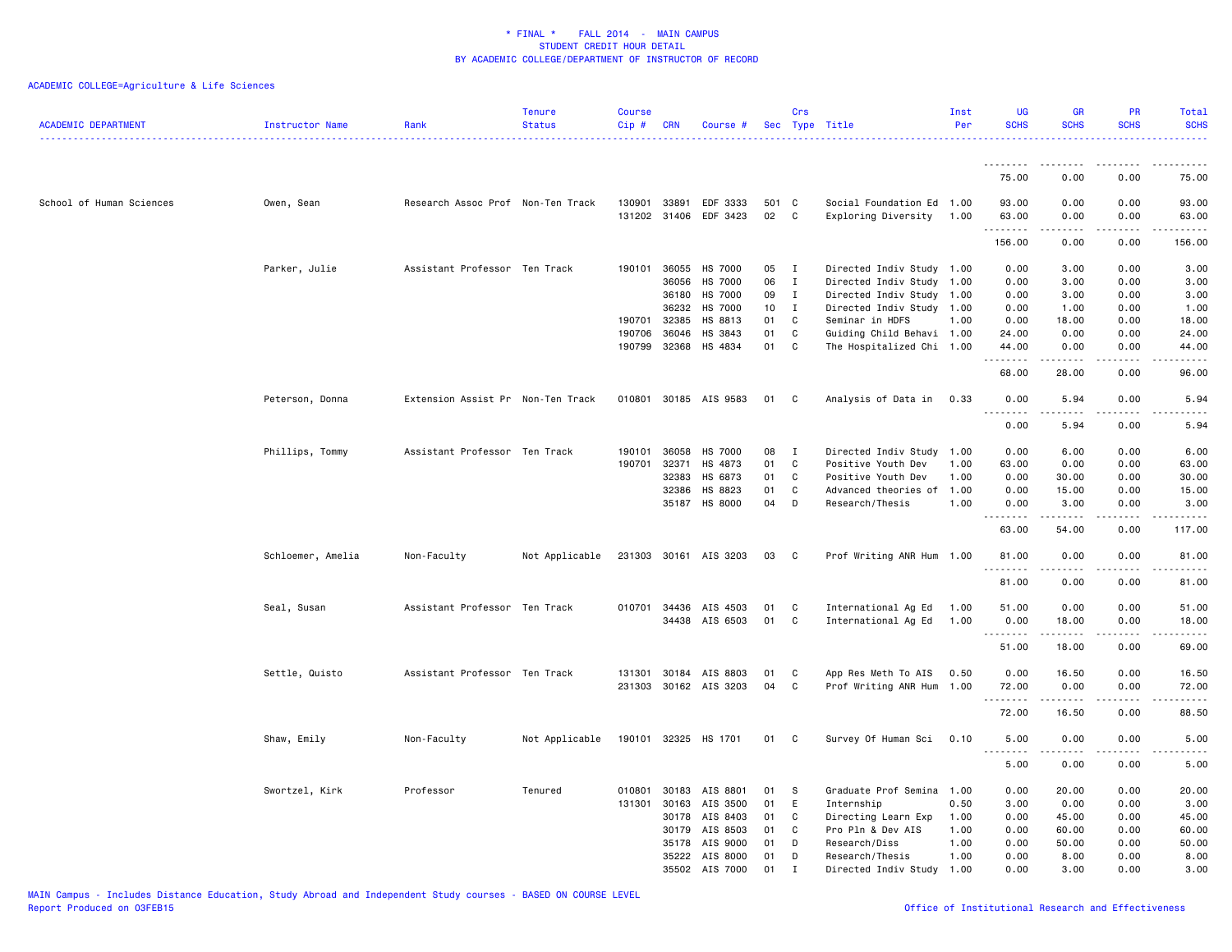| <b>ACADEMIC DEPARTMENT</b> | Instructor Name   | Rank                              | Tenure<br><b>Status</b> | Course<br>Cip# | <b>CRN</b> | Course #              | Sec   | Crs          | Type Title                | Inst<br>Per | <b>UG</b><br><b>SCHS</b>    | <b>GR</b><br><b>SCHS</b>                                                                                                                                      | <b>PR</b><br><b>SCHS</b>                                                                                                          | Total<br><b>SCHS</b><br>. |
|----------------------------|-------------------|-----------------------------------|-------------------------|----------------|------------|-----------------------|-------|--------------|---------------------------|-------------|-----------------------------|---------------------------------------------------------------------------------------------------------------------------------------------------------------|-----------------------------------------------------------------------------------------------------------------------------------|---------------------------|
|                            |                   |                                   |                         |                |            |                       |       |              |                           |             | .                           |                                                                                                                                                               | .                                                                                                                                 | .                         |
|                            |                   |                                   |                         |                |            |                       |       |              |                           |             | 75.00                       | 0.00                                                                                                                                                          | 0.00                                                                                                                              | 75.00                     |
| School of Human Sciences   | Owen, Sean        | Research Assoc Prof Non-Ten Track |                         | 130901         | 33891      | EDF 3333              | 501 C |              | Social Foundation Ed 1.00 |             | 93.00                       | 0.00                                                                                                                                                          | 0.00                                                                                                                              | 93.00                     |
|                            |                   |                                   |                         | 131202 31406   |            | EDF 3423              | 02    | $\mathbf{C}$ | Exploring Diversity       | 1.00        | 63.00<br>.                  | 0.00                                                                                                                                                          | 0.00<br>$\sim$ $\sim$ $\sim$                                                                                                      | 63.00<br>.                |
|                            |                   |                                   |                         |                |            |                       |       |              |                           |             | 156.00                      | 0.00                                                                                                                                                          | 0.00                                                                                                                              | 156.00                    |
|                            | Parker, Julie     | Assistant Professor Ten Track     |                         | 190101 36055   |            | <b>HS 7000</b>        | 05    | $\mathbf{I}$ | Directed Indiv Study 1.00 |             | 0.00                        | 3.00                                                                                                                                                          | 0.00                                                                                                                              | 3.00                      |
|                            |                   |                                   |                         |                | 36056      | <b>HS 7000</b>        | 06    | $\mathbf I$  | Directed Indiv Study 1.00 |             | 0.00                        | 3.00                                                                                                                                                          | 0.00                                                                                                                              | 3.00                      |
|                            |                   |                                   |                         |                | 36180      | HS 7000               | 09    | $\mathbf{I}$ | Directed Indiv Study 1.00 |             | 0.00                        | 3.00                                                                                                                                                          | 0.00                                                                                                                              | 3.00                      |
|                            |                   |                                   |                         |                | 36232      | HS 7000               | 10    | $\mathbf{I}$ | Directed Indiv Study 1.00 |             | 0.00                        | 1.00                                                                                                                                                          | 0.00                                                                                                                              | 1.00                      |
|                            |                   |                                   |                         | 190701         | 32385      | HS 8813               | 01    | $\mathbb{C}$ | Seminar in HDFS           | 1.00        | 0.00                        | 18.00                                                                                                                                                         | 0.00                                                                                                                              | 18.00                     |
|                            |                   |                                   |                         | 190706         | 36046      | HS 3843               | 01    | C            | Guiding Child Behavi 1.00 |             | 24.00                       | 0.00                                                                                                                                                          | 0.00                                                                                                                              | 24.00                     |
|                            |                   |                                   |                         | 190799         | 32368      | HS 4834               | 01    | C            | The Hospitalized Chi 1.00 |             | 44.00<br>.                  | 0.00<br>.                                                                                                                                                     | 0.00<br>.                                                                                                                         | 44.00<br>.                |
|                            |                   |                                   |                         |                |            |                       |       |              |                           |             | 68.00                       | 28.00                                                                                                                                                         | 0.00                                                                                                                              | 96.00                     |
|                            | Peterson, Donna   | Extension Assist Pr Non-Ten Track |                         |                |            | 010801 30185 AIS 9583 | 01    | C            | Analysis of Data in       | 0.33        | 0.00<br>. .<br>.            | 5.94<br>.                                                                                                                                                     | 0.00<br>.                                                                                                                         | 5.94<br>.                 |
|                            |                   |                                   |                         |                |            |                       |       |              |                           |             | 0.00                        | 5.94                                                                                                                                                          | 0.00                                                                                                                              | 5.94                      |
|                            | Phillips, Tommy   | Assistant Professor Ten Track     |                         | 190101         | 36058      | <b>HS 7000</b>        | 08    | $\mathbf{I}$ | Directed Indiv Study 1.00 |             | 0.00                        | 6.00                                                                                                                                                          | 0.00                                                                                                                              | 6.00                      |
|                            |                   |                                   |                         | 190701         | 32371      | HS 4873               | 01    | C            | Positive Youth Dev        | 1.00        | 63.00                       | 0.00                                                                                                                                                          | 0.00                                                                                                                              | 63.00                     |
|                            |                   |                                   |                         |                | 32383      | HS 6873               | 01    | C            | Positive Youth Dev        | 1.00        | 0.00                        | 30.00                                                                                                                                                         | 0.00                                                                                                                              | 30.00                     |
|                            |                   |                                   |                         |                | 32386      | HS 8823               | 01    | C            | Advanced theories of 1.00 |             | 0.00                        | 15.00                                                                                                                                                         | 0.00                                                                                                                              | 15.00                     |
|                            |                   |                                   |                         |                | 35187      | HS 8000               | 04    | D            | Research/Thesis           | 1.00        | 0.00                        | 3.00                                                                                                                                                          | 0.00                                                                                                                              | 3.00                      |
|                            |                   |                                   |                         |                |            |                       |       |              |                           |             | .<br>63.00                  | .<br>54.00                                                                                                                                                    | .<br>0.00                                                                                                                         | .<br>117.00               |
|                            | Schloemer, Amelia | Non-Faculty                       | Not Applicable          |                |            | 231303 30161 AIS 3203 | 03    | C            | Prof Writing ANR Hum 1.00 |             | 81.00                       | 0.00                                                                                                                                                          | 0.00                                                                                                                              | 81.00                     |
|                            |                   |                                   |                         |                |            |                       |       |              |                           |             | .<br>81.00                  | .<br>0.00                                                                                                                                                     | $\frac{1}{2}$<br>0.00                                                                                                             | .<br>81.00                |
|                            |                   |                                   |                         |                |            |                       |       |              |                           |             |                             |                                                                                                                                                               |                                                                                                                                   |                           |
|                            | Seal, Susan       | Assistant Professor Ten Track     |                         | 010701         | 34436      | AIS 4503              | 01    | C            | International Ag Ed       | 1.00        | 51.00                       | 0.00                                                                                                                                                          | 0.00                                                                                                                              | 51.00                     |
|                            |                   |                                   |                         |                | 34438      | AIS 6503              | 01    | C            | International Ag Ed       | 1.00        | 0.00                        | 18.00                                                                                                                                                         | 0.00                                                                                                                              | 18.00                     |
|                            |                   |                                   |                         |                |            |                       |       |              |                           |             | .<br>51.00                  | $\frac{1}{2} \left( \frac{1}{2} \right) \left( \frac{1}{2} \right) \left( \frac{1}{2} \right) \left( \frac{1}{2} \right) \left( \frac{1}{2} \right)$<br>18.00 | $- - - -$<br>0.00                                                                                                                 | .<br>69.00                |
|                            | Settle, Quisto    | Assistant Professor Ten Track     |                         | 131301 30184   |            | AIS 8803              | 01    | C            | App Res Meth To AIS       | 0.50        | 0.00                        | 16.50                                                                                                                                                         | 0.00                                                                                                                              | 16.50                     |
|                            |                   |                                   |                         |                |            | 231303 30162 AIS 3203 | 04    | C            | Prof Writing ANR Hum 1.00 |             | 72.00                       | 0.00                                                                                                                                                          | 0.00                                                                                                                              | 72.00                     |
|                            |                   |                                   |                         |                |            |                       |       |              |                           |             | $\sim$ $\sim$ $\sim$ $\sim$ |                                                                                                                                                               | $\sim$ $\sim$ $\sim$ $\sim$                                                                                                       | والمناصبات                |
|                            |                   |                                   |                         |                |            |                       |       |              |                           |             | 72.00                       | 16.50                                                                                                                                                         | 0.00                                                                                                                              | 88.50                     |
|                            | Shaw, Emily       | Non-Faculty                       | Not Applicable          |                |            | 190101 32325 HS 1701  | 01    | C            | Survey Of Human Sci       | 0.10        | 5.00<br>$\sim$ $\sim$<br>.  | 0.00<br>.                                                                                                                                                     | 0.00<br>$\frac{1}{2} \left( \frac{1}{2} \right) \left( \frac{1}{2} \right) \left( \frac{1}{2} \right) \left( \frac{1}{2} \right)$ | 5.00<br>.                 |
|                            |                   |                                   |                         |                |            |                       |       |              |                           |             | 5.00                        | 0.00                                                                                                                                                          | 0.00                                                                                                                              | 5.00                      |
|                            | Swortzel, Kirk    | Professor                         | Tenured                 | 010801         | 30183      | AIS 8801              | 01    | s            | Graduate Prof Semina 1.00 |             | 0.00                        | 20.00                                                                                                                                                         | 0.00                                                                                                                              | 20.00                     |
|                            |                   |                                   |                         | 131301         | 30163      | AIS 3500              | 01    | Ε            | Internship                | 0.50        | 3.00                        | 0.00                                                                                                                                                          | 0.00                                                                                                                              | 3.00                      |
|                            |                   |                                   |                         |                | 30178      | AIS 8403              | 01    | C            | Directing Learn Exp       | 1.00        | 0.00                        | 45.00                                                                                                                                                         | 0.00                                                                                                                              | 45.00                     |
|                            |                   |                                   |                         |                | 30179      | AIS 8503              | 01    | C            | Pro Pln & Dev AIS         | 1.00        | 0.00                        | 60.00                                                                                                                                                         | 0.00                                                                                                                              | 60.00                     |
|                            |                   |                                   |                         |                | 35178      | AIS 9000              | 01    | D            | Research/Diss             | 1.00        | 0.00                        | 50.00                                                                                                                                                         | 0.00                                                                                                                              | 50.00                     |
|                            |                   |                                   |                         |                | 35222      | AIS 8000              | 01    | D            | Research/Thesis           | 1.00        | 0.00                        | 8.00                                                                                                                                                          | 0.00                                                                                                                              | 8.00                      |
|                            |                   |                                   |                         |                | 35502      | AIS 7000              | 01    | $\mathbf I$  | Directed Indiv Study 1.00 |             | 0.00                        | 3.00                                                                                                                                                          | 0.00                                                                                                                              | 3.00                      |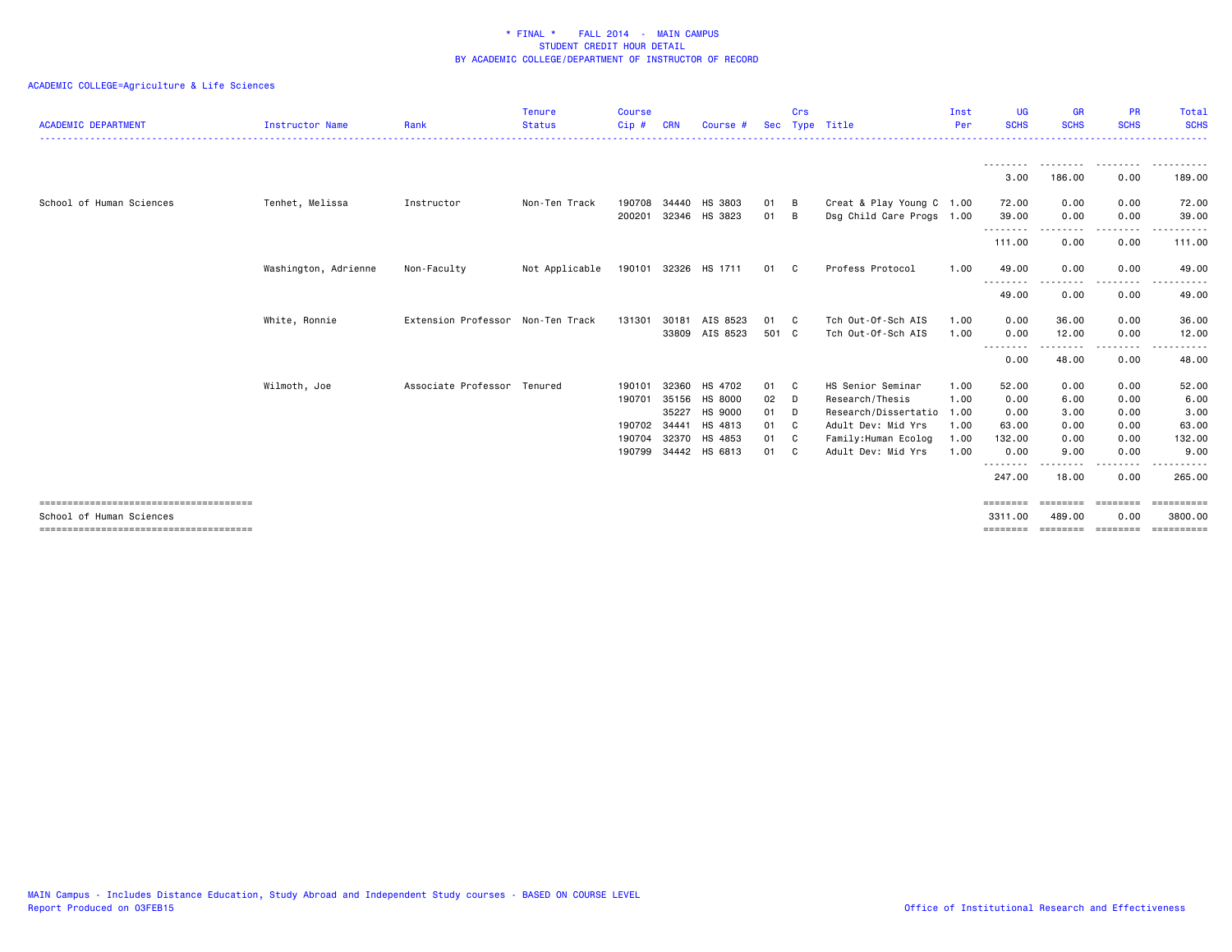| <b>ACADEMIC DEPARTMENT</b> | Instructor Name      | Rank                              | <b>Tenure</b><br><b>Status</b> | <b>Course</b><br>Cip# | CRN                     | Course #                       | <b>Sec</b>     | Crs          | Type Title                                                        | Inst<br>Per  | <b>UG</b><br><b>SCHS</b>   | <b>GR</b><br><b>SCHS</b>     | <b>PR</b><br><b>SCHS</b> | Total<br><b>SCHS</b>  |
|----------------------------|----------------------|-----------------------------------|--------------------------------|-----------------------|-------------------------|--------------------------------|----------------|--------------|-------------------------------------------------------------------|--------------|----------------------------|------------------------------|--------------------------|-----------------------|
|                            |                      |                                   |                                |                       |                         |                                |                |              |                                                                   |              | --------<br>3.00           | --------<br>186.00           | .<br>0.00                | .<br>189.00           |
| School of Human Sciences   | Tenhet, Melissa      | Instructor                        | Non-Ten Track                  | 190708<br>200201      |                         | 34440 HS 3803<br>32346 HS 3823 | 01<br>01       | B<br>B       | Creat & Play Young C 1.00<br>Dsg Child Care Progs 1.00            |              | 72.00<br>39.00             | 0.00<br>0.00                 | 0.00<br>0.00             | 72.00<br>39.00        |
|                            |                      |                                   |                                |                       |                         |                                |                |              |                                                                   |              | <u>.</u><br>111.00         | 0.00                         | .<br>0.00                | ------<br>111.00      |
|                            | Washington, Adrienne | Non-Faculty                       | Not Applicable                 |                       |                         | 190101 32326 HS 1711           | 01 C           |              | Profess Protocol                                                  | 1.00         | 49.00<br>.<br>. <u>.</u> . | 0.00                         | 0.00                     | 49.00                 |
|                            |                      |                                   |                                |                       |                         |                                |                |              |                                                                   |              | 49.00                      | 0.00                         | 0.00                     | 49.00                 |
|                            | White, Ronnie        | Extension Professor Non-Ten Track |                                | 131301                | 30181<br>33809          | AIS 8523<br>AIS 8523           | 01<br>501 C    | C.           | Tch Out-Of-Sch AIS<br>Tch Out-Of-Sch AIS                          | 1.00<br>1.00 | 0.00<br>0.00               | 36.00<br>12.00               | 0.00<br>0.00             | 36.00<br>12.00        |
|                            |                      |                                   |                                |                       |                         |                                |                |              |                                                                   |              | <u>.</u><br>0.00           | 48.00                        | 0.00                     | 48,00                 |
|                            | Wilmoth, Joe         | Associate Professor Tenured       |                                | 190101<br>190701      | 32360<br>35156<br>35227 | HS 4702<br>HS 8000<br>HS 9000  | 01<br>02<br>01 | C.<br>D<br>D | HS Senior Seminar<br>Research/Thesis<br>Research/Dissertatio 1.00 | 1.00<br>1.00 | 52.00<br>0.00<br>0.00      | 0.00<br>6.00<br>3.00         | 0.00<br>0.00<br>0.00     | 52.00<br>6.00<br>3.00 |
|                            |                      |                                   |                                | 190702<br>190704      | 34441                   | HS 4813<br>32370 HS 4853       | 01<br>01       | C<br>C       | Adult Dev: Mid Yrs<br>Family: Human Ecolog                        | 1.00<br>1.00 | 63.00<br>132.00            | 0.00<br>0.00                 | 0.00<br>0.00             | 63.00<br>132.00       |
|                            |                      |                                   |                                | 190799                |                         | 34442 HS 6813                  | 01             | C.           | Adult Dev: Mid Yrs                                                | 1.00         | 0.00<br>.<br>247.00        | 9.00<br>- - - - - -<br>18.00 | 0.00<br>.<br>0.00        | 9.00<br>.<br>265.00   |
|                            |                      |                                   |                                |                       |                         |                                |                |              |                                                                   |              | ========                   |                              |                          |                       |
| School of Human Sciences   |                      |                                   |                                |                       |                         |                                |                |              |                                                                   |              | 3311.00<br>========        | 489.00<br>========           | 0.00<br>---------        | 3800.00<br>========== |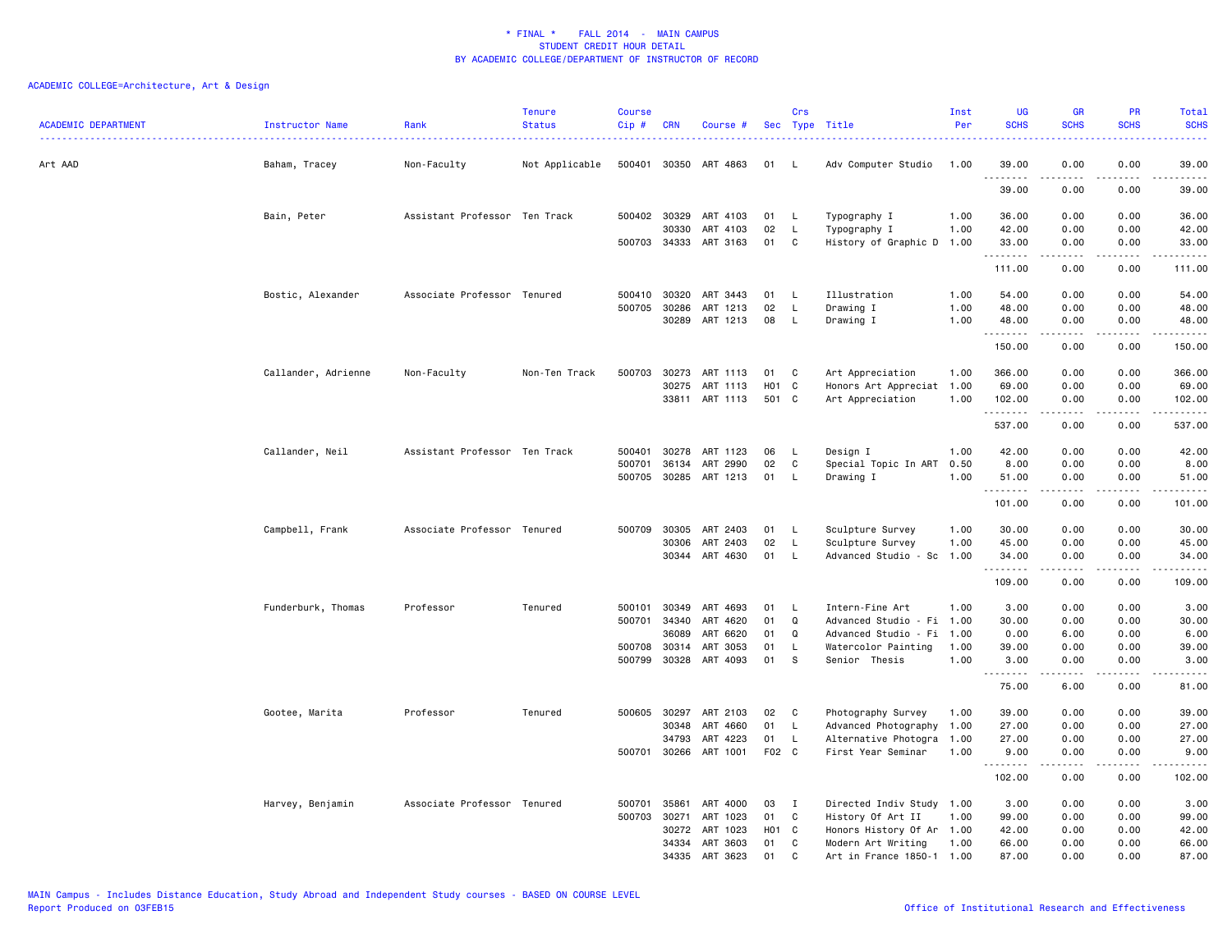| <b>ACADEMIC DEPARTMENT</b> | <b>Instructor Name</b> | Rank                          | <b>Tenure</b><br><b>Status</b> | <b>Course</b><br>Cip # | <b>CRN</b>            | Course #              |          | Crs               | Sec Type Title                       | Inst<br>Per  | UG<br><b>SCHS</b>                           | <b>GR</b><br><b>SCHS</b>                                                                                                                                     | PR<br><b>SCHS</b>                                                                                                                 | Total<br><b>SCHS</b>                                                                                                                                          |
|----------------------------|------------------------|-------------------------------|--------------------------------|------------------------|-----------------------|-----------------------|----------|-------------------|--------------------------------------|--------------|---------------------------------------------|--------------------------------------------------------------------------------------------------------------------------------------------------------------|-----------------------------------------------------------------------------------------------------------------------------------|---------------------------------------------------------------------------------------------------------------------------------------------------------------|
| Art AAD                    | Baham, Tracey          | Non-Faculty                   | Not Applicable                 |                        | 500401 30350          | ART 4863              | 01       | L.                | Adv Computer Studio                  | 1.00         | 39.00                                       | 0.00                                                                                                                                                         | 0.00                                                                                                                              | 39.00                                                                                                                                                         |
|                            |                        |                               |                                |                        |                       |                       |          |                   |                                      |              | .<br>39.00                                  | $\frac{1}{2} \left( \frac{1}{2} \right) \left( \frac{1}{2} \right) \left( \frac{1}{2} \right) \left( \frac{1}{2} \right) \left( \frac{1}{2} \right)$<br>0.00 | د د د د<br>0.00                                                                                                                   | .<br>39.00                                                                                                                                                    |
|                            | Bain, Peter            | Assistant Professor Ten Track |                                |                        | 500402 30329          | ART 4103              | 01       | L,                | Typography I                         | 1.00         | 36.00                                       | 0.00                                                                                                                                                         | 0.00                                                                                                                              | 36.00                                                                                                                                                         |
|                            |                        |                               |                                |                        | 30330                 | ART 4103              | 02       | L.                | Typography I                         | 1.00         | 42.00                                       | 0.00                                                                                                                                                         | 0.00                                                                                                                              | 42.00                                                                                                                                                         |
|                            |                        |                               |                                |                        | 500703 34333          | ART 3163              | 01       | C                 | History of Graphic D                 | 1.00         | 33.00<br>.                                  | 0.00<br>.                                                                                                                                                    | 0.00<br>.                                                                                                                         | 33.00<br>.                                                                                                                                                    |
|                            |                        |                               |                                |                        |                       |                       |          |                   |                                      |              | 111.00                                      | 0.00                                                                                                                                                         | 0.00                                                                                                                              | 111.00                                                                                                                                                        |
|                            | Bostic, Alexander      | Associate Professor Tenured   |                                | 500410                 | 30320                 | ART 3443              | 01       | L.                | Illustration                         | 1.00         | 54.00                                       | 0.00                                                                                                                                                         | 0.00                                                                                                                              | 54.00                                                                                                                                                         |
|                            |                        |                               |                                | 500705                 | 30286                 | ART 1213              | 02       | L                 | Drawing I                            | 1.00         | 48.00                                       | 0.00                                                                                                                                                         | 0.00                                                                                                                              | 48.00                                                                                                                                                         |
|                            |                        |                               |                                |                        | 30289                 | ART 1213              | 08       | L                 | Drawing I                            | 1.00         | 48.00<br>.                                  | 0.00<br><b>.</b>                                                                                                                                             | 0.00<br>د د د د                                                                                                                   | 48.00<br>.                                                                                                                                                    |
|                            |                        |                               |                                |                        |                       |                       |          |                   |                                      |              | 150.00                                      | 0.00                                                                                                                                                         | 0.00                                                                                                                              | 150.00                                                                                                                                                        |
|                            | Callander, Adrienne    | Non-Faculty                   | Non-Ten Track                  | 500703                 | 30273                 | ART 1113              | 01       | C                 | Art Appreciation                     | 1.00         | 366.00                                      | 0.00                                                                                                                                                         | 0.00                                                                                                                              | 366.00                                                                                                                                                        |
|                            |                        |                               |                                |                        | 30275                 | ART 1113              | H01      | C                 | Honors Art Appreciat 1.00            |              | 69.00                                       | 0.00                                                                                                                                                         | 0.00                                                                                                                              | 69.00                                                                                                                                                         |
|                            |                        |                               |                                |                        |                       | 33811 ART 1113        | 501 C    |                   | Art Appreciation                     | 1.00         | 102.00<br>. <b>.</b>                        | 0.00<br>.                                                                                                                                                    | 0.00<br>.                                                                                                                         | 102.00<br><u>.</u>                                                                                                                                            |
|                            |                        |                               |                                |                        |                       |                       |          |                   |                                      |              | 537.00                                      | 0.00                                                                                                                                                         | 0.00                                                                                                                              | 537.00                                                                                                                                                        |
|                            | Callander, Neil        | Assistant Professor Ten Track |                                | 500401                 | 30278                 | ART 1123              | 06       | L,                | Design I                             | 1.00         | 42.00                                       | 0.00                                                                                                                                                         | 0.00                                                                                                                              | 42.00                                                                                                                                                         |
|                            |                        |                               |                                | 500701                 | 36134                 | ART 2990              | 02       | C                 | Special Topic In ART                 | 0.50         | 8.00                                        | 0.00                                                                                                                                                         | 0.00                                                                                                                              | 8.00                                                                                                                                                          |
|                            |                        |                               |                                |                        |                       | 500705 30285 ART 1213 | 01       | L.                | Drawing I                            | 1.00         | 51.00<br>.                                  | 0.00                                                                                                                                                         | 0.00<br>$\frac{1}{2}$                                                                                                             | 51.00<br>.                                                                                                                                                    |
|                            |                        |                               |                                |                        |                       |                       |          |                   |                                      |              | 101.00                                      | 0.00                                                                                                                                                         | 0.00                                                                                                                              | 101.00                                                                                                                                                        |
|                            | Campbell, Frank        | Associate Professor Tenured   |                                | 500709                 | 30305                 | ART 2403              | 01       | - L               | Sculpture Survey                     | 1.00         | 30.00                                       | 0.00                                                                                                                                                         | 0.00                                                                                                                              | 30.00                                                                                                                                                         |
|                            |                        |                               |                                |                        | 30306                 | ART 2403              | 02       | L.                | Sculpture Survey                     | 1.00         | 45.00                                       | 0.00                                                                                                                                                         | 0.00                                                                                                                              | 45.00                                                                                                                                                         |
|                            |                        |                               |                                |                        |                       | 30344 ART 4630        | 01       | L.                | Advanced Studio - Sc 1.00            |              | 34.00<br>.                                  | 0.00<br>$\frac{1}{2} \left( \frac{1}{2} \right) \left( \frac{1}{2} \right) \left( \frac{1}{2} \right) \left( \frac{1}{2} \right) \left( \frac{1}{2} \right)$ | 0.00<br>.                                                                                                                         | 34.00<br>.                                                                                                                                                    |
|                            |                        |                               |                                |                        |                       |                       |          |                   |                                      |              | 109.00                                      | 0.00                                                                                                                                                         | 0.00                                                                                                                              | 109.00                                                                                                                                                        |
|                            | Funderburk, Thomas     | Professor                     | Tenured                        | 500101                 | 30349                 | ART 4693              | 01       | L,                | Intern-Fine Art                      | 1.00         | 3.00                                        | 0.00                                                                                                                                                         | 0.00                                                                                                                              | 3.00                                                                                                                                                          |
|                            |                        |                               |                                | 500701                 | 34340                 | ART 4620              | 01       | Q                 | Advanced Studio - Fi 1.00            |              | 30.00                                       | 0.00                                                                                                                                                         | 0.00                                                                                                                              | 30.00                                                                                                                                                         |
|                            |                        |                               |                                |                        | 36089                 | ART 6620              | 01       | Q                 | Advanced Studio - Fi                 | 1.00         | 0.00                                        | 6.00                                                                                                                                                         | 0.00                                                                                                                              | 6.00                                                                                                                                                          |
|                            |                        |                               |                                | 500708                 | 30314<br>500799 30328 | ART 3053<br>ART 4093  | 01<br>01 | L<br><sub>S</sub> | Watercolor Painting<br>Senior Thesis | 1.00<br>1.00 | 39.00<br>3.00                               | 0.00<br>0.00                                                                                                                                                 | 0.00<br>0.00                                                                                                                      | 39.00<br>3.00                                                                                                                                                 |
|                            |                        |                               |                                |                        |                       |                       |          |                   |                                      |              | $\sim$ $\sim$ $\sim$ $\sim$ $\sim$<br>75.00 | 6.00                                                                                                                                                         | $\frac{1}{2} \left( \frac{1}{2} \right) \left( \frac{1}{2} \right) \left( \frac{1}{2} \right) \left( \frac{1}{2} \right)$<br>0.00 | $\frac{1}{2} \left( \frac{1}{2} \right) \left( \frac{1}{2} \right) \left( \frac{1}{2} \right) \left( \frac{1}{2} \right) \left( \frac{1}{2} \right)$<br>81.00 |
|                            |                        | Professor                     | Tenured                        | 500605                 | 30297                 | ART 2103              | 02       | C                 | Photography Survey                   | 1.00         | 39.00                                       | 0.00                                                                                                                                                         | 0.00                                                                                                                              | 39.00                                                                                                                                                         |
|                            | Gootee, Marita         |                               |                                |                        | 30348                 | ART 4660              | 01       | $\mathsf{L}$      | Advanced Photography                 | 1.00         | 27.00                                       | 0.00                                                                                                                                                         | 0.00                                                                                                                              | 27.00                                                                                                                                                         |
|                            |                        |                               |                                |                        | 34793                 | ART 4223              | 01       | L.                | Alternative Photogra                 | 1.00         | 27.00                                       | 0.00                                                                                                                                                         | 0.00                                                                                                                              | 27.00                                                                                                                                                         |
|                            |                        |                               |                                | 500701                 | 30266                 | ART 1001              | F02 C    |                   | First Year Seminar                   | 1.00         | 9.00                                        | 0.00                                                                                                                                                         | 0.00                                                                                                                              | 9.00                                                                                                                                                          |
|                            |                        |                               |                                |                        |                       |                       |          |                   |                                      |              | .<br>102.00                                 | 0.00                                                                                                                                                         | $\frac{1}{2} \left( \frac{1}{2} \right) \left( \frac{1}{2} \right) \left( \frac{1}{2} \right) \left( \frac{1}{2} \right)$<br>0.00 | .<br>102.00                                                                                                                                                   |
|                            | Harvey, Benjamin       | Associate Professor Tenured   |                                | 500701                 | 35861                 | ART 4000              | 03       | $\mathbf{I}$      | Directed Indiv Study 1.00            |              | 3.00                                        | 0.00                                                                                                                                                         | 0.00                                                                                                                              | 3.00                                                                                                                                                          |
|                            |                        |                               |                                | 500703                 | 30271                 | ART 1023              | 01       | C                 | History Of Art II                    | 1.00         | 99.00                                       | 0.00                                                                                                                                                         | 0.00                                                                                                                              | 99.00                                                                                                                                                         |
|                            |                        |                               |                                |                        | 30272                 | ART 1023              | H01      | C                 | Honors History Of Ar 1.00            |              | 42.00                                       | 0.00                                                                                                                                                         | 0.00                                                                                                                              | 42.00                                                                                                                                                         |
|                            |                        |                               |                                |                        | 34334                 | ART 3603              | 01       | C                 | Modern Art Writing                   | 1.00         | 66.00                                       | 0.00                                                                                                                                                         | 0.00                                                                                                                              | 66.00                                                                                                                                                         |
|                            |                        |                               |                                |                        | 34335                 | ART 3623              | 01       | C                 | Art in France 1850-1 1.00            |              | 87.00                                       | 0.00                                                                                                                                                         | 0.00                                                                                                                              | 87.00                                                                                                                                                         |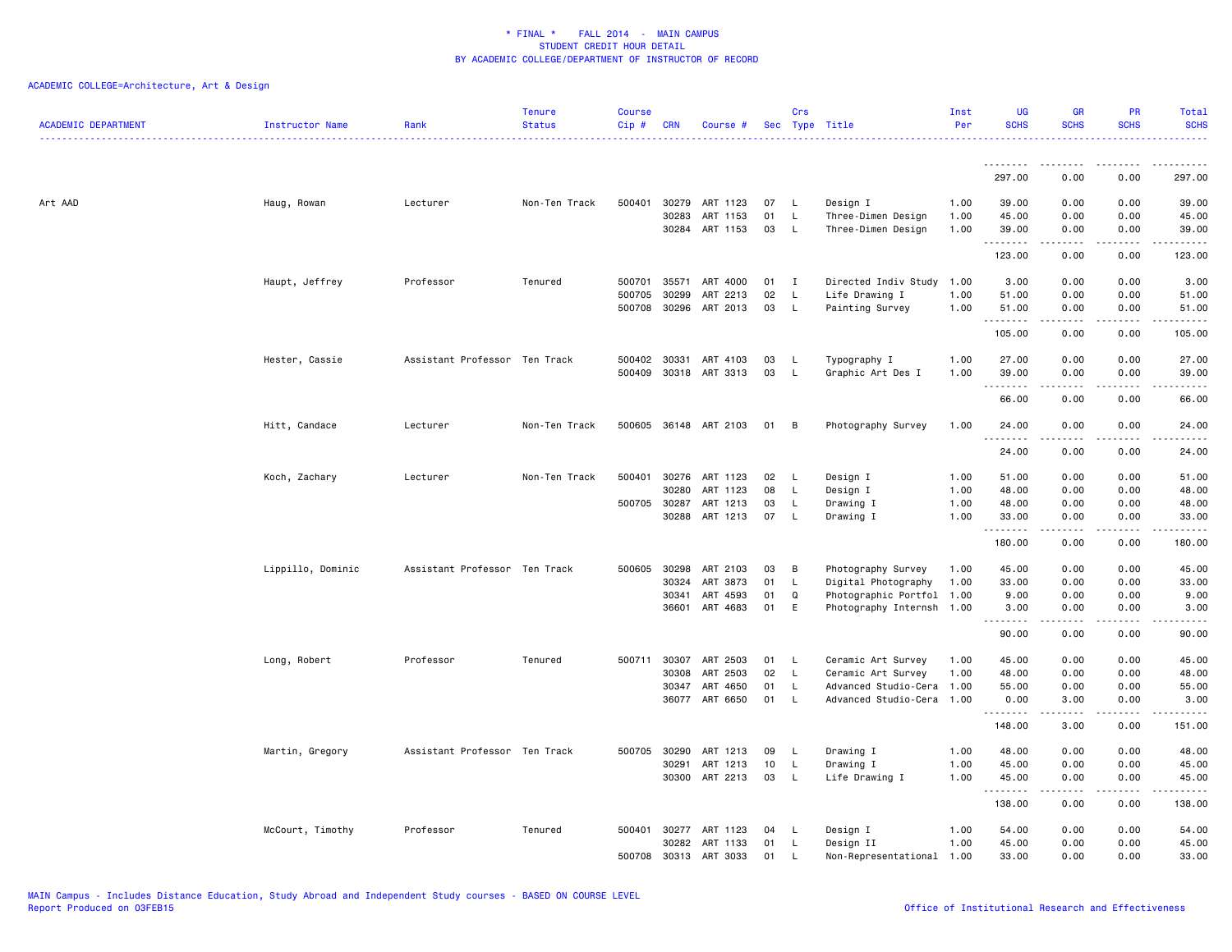| <b>ACADEMIC DEPARTMENT</b> | Instructor Name   | Rank                          | <b>Tenure</b><br><b>Status</b> | <b>Course</b><br>$Cip$ # | <b>CRN</b> | Course #              |    | Crs          | Sec Type Title            | Inst<br>Per | <b>UG</b><br><b>SCHS</b> | <b>GR</b><br><b>SCHS</b>            | <b>PR</b><br><b>SCHS</b>                                                                                                          | Total<br><b>SCHS</b> |
|----------------------------|-------------------|-------------------------------|--------------------------------|--------------------------|------------|-----------------------|----|--------------|---------------------------|-------------|--------------------------|-------------------------------------|-----------------------------------------------------------------------------------------------------------------------------------|----------------------|
|                            |                   |                               |                                |                          |            |                       |    |              |                           |             |                          |                                     |                                                                                                                                   |                      |
|                            |                   |                               |                                |                          |            |                       |    |              |                           |             | 297.00                   | 0.00                                | 0.00                                                                                                                              | 297.00               |
| Art AAD                    | Haug, Rowan       | Lecturer                      | Non-Ten Track                  | 500401                   |            | 30279 ART 1123        | 07 | L.           | Design I                  | 1.00        | 39.00                    | 0.00                                | 0.00                                                                                                                              | 39.00                |
|                            |                   |                               |                                |                          | 30283      | ART 1153              | 01 | L.           | Three-Dimen Design        | 1.00        | 45.00                    | 0.00                                | 0.00                                                                                                                              | 45.00                |
|                            |                   |                               |                                |                          |            | 30284 ART 1153        | 03 | L            | Three-Dimen Design        | 1.00        | 39.00                    | 0.00                                | 0.00                                                                                                                              | 39.00                |
|                            |                   |                               |                                |                          |            |                       |    |              |                           |             | .<br>123.00              | -----<br>0.00                       | .<br>0.00                                                                                                                         | .<br>123.00          |
|                            |                   |                               |                                |                          |            |                       |    |              |                           |             |                          |                                     |                                                                                                                                   |                      |
|                            | Haupt, Jeffrey    | Professor                     | Tenured                        | 500701                   | 35571      | ART 4000              | 01 | $\mathbf{I}$ | Directed Indiv Study 1.00 |             | 3.00                     | 0.00                                | 0.00                                                                                                                              | 3.00                 |
|                            |                   |                               |                                | 500705                   | 30299      | ART 2213              | 02 | L            | Life Drawing I            | 1.00        | 51.00                    | 0.00                                | 0.00                                                                                                                              | 51.00                |
|                            |                   |                               |                                | 500708 30296             |            | ART 2013              | 03 | L            | Painting Survey           | 1.00        | 51.00<br>.               | 0.00<br>$\frac{1}{2}$               | 0.00<br>$\frac{1}{2}$                                                                                                             | 51.00<br>.           |
|                            |                   |                               |                                |                          |            |                       |    |              |                           |             | 105.00                   | 0.00                                | 0.00                                                                                                                              | 105.00               |
|                            | Hester, Cassie    | Assistant Professor Ten Track |                                | 500402 30331             |            | ART 4103              | 03 | L            | Typography I              | 1.00        | 27.00                    | 0.00                                | 0.00                                                                                                                              | 27.00                |
|                            |                   |                               |                                | 500409                   | 30318      | ART 3313              | 03 | L.           | Graphic Art Des I         | 1.00        | 39.00                    | 0.00                                | 0.00                                                                                                                              | 39.00                |
|                            |                   |                               |                                |                          |            |                       |    |              |                           |             | .<br>66.00               | $\sim$ $\sim$ $\sim$ $\sim$<br>0.00 | $\sim$ $\sim$ $\sim$ $\sim$<br>0.00                                                                                               | .<br>66.00           |
|                            |                   |                               |                                |                          |            |                       |    |              |                           |             |                          |                                     |                                                                                                                                   |                      |
|                            | Hitt, Candace     | Lecturer                      | Non-Ten Track                  | 500605                   |            | 36148 ART 2103        | 01 | В            | Photography Survey        | 1.00        | 24.00<br>.               | 0.00                                | 0.00                                                                                                                              | 24.00                |
|                            |                   |                               |                                |                          |            |                       |    |              |                           |             | 24.00                    | 0.00                                | 0.00                                                                                                                              | 24.00                |
|                            | Koch, Zachary     | Lecturer                      | Non-Ten Track                  | 500401                   | 30276      | ART 1123              | 02 | L.           | Design I                  | 1.00        | 51.00                    | 0.00                                | 0.00                                                                                                                              | 51.00                |
|                            |                   |                               |                                |                          | 30280      | ART 1123              | 08 | L            | Design I                  | 1.00        | 48.00                    | 0.00                                | 0.00                                                                                                                              | 48.00                |
|                            |                   |                               |                                | 500705 30287             |            | ART 1213              | 03 | L.           | Drawing I                 | 1.00        | 48.00                    | 0.00                                | 0.00                                                                                                                              | 48.00                |
|                            |                   |                               |                                |                          | 30288      | ART 1213              | 07 | L            | Drawing I                 | 1.00        | 33.00<br>.               | 0.00<br>$\frac{1}{2}$               | 0.00<br>$\frac{1}{2} \left( \frac{1}{2} \right) \left( \frac{1}{2} \right) \left( \frac{1}{2} \right) \left( \frac{1}{2} \right)$ | 33.00<br>.           |
|                            |                   |                               |                                |                          |            |                       |    |              |                           |             | 180.00                   | 0.00                                | 0.00                                                                                                                              | 180.00               |
|                            | Lippillo, Dominic | Assistant Professor Ten Track |                                | 500605                   | 30298      | ART 2103              | 03 | в            | Photography Survey        | 1.00        | 45.00                    | 0.00                                | 0.00                                                                                                                              | 45.00                |
|                            |                   |                               |                                |                          | 30324      | ART 3873              | 01 | L            | Digital Photography       | 1.00        | 33.00                    | 0.00                                | 0.00                                                                                                                              | 33.00                |
|                            |                   |                               |                                |                          | 30341      | ART 4593              | 01 | Q            | Photographic Portfol 1.00 |             | 9.00                     | 0.00                                | 0.00                                                                                                                              | 9.00                 |
|                            |                   |                               |                                |                          | 36601      | ART 4683              | 01 | E            | Photography Internsh 1.00 |             | 3.00                     | 0.00                                | 0.00                                                                                                                              | 3.00                 |
|                            |                   |                               |                                |                          |            |                       |    |              |                           |             | .<br>90.00               | $\frac{1}{2}$<br>0.00               | $- - - -$<br>0.00                                                                                                                 | والمستحدث<br>90.00   |
|                            | Long, Robert      | Professor                     | Tenured                        | 500711                   | 30307      | ART 2503              | 01 | L            | Ceramic Art Survey        | 1.00        | 45.00                    | 0.00                                | 0.00                                                                                                                              | 45.00                |
|                            |                   |                               |                                |                          | 30308      | ART 2503              | 02 | L            | Ceramic Art Survey        | 1.00        | 48.00                    | 0.00                                | 0.00                                                                                                                              | 48.00                |
|                            |                   |                               |                                |                          | 30347      | ART 4650              | 01 | L            | Advanced Studio-Cera 1.00 |             | 55.00                    | 0.00                                | 0.00                                                                                                                              | 55.00                |
|                            |                   |                               |                                |                          |            | 36077 ART 6650        | 01 | L            | Advanced Studio-Cera 1.00 |             | 0.00                     | 3.00<br>.                           | 0.00<br>.                                                                                                                         | 3.00                 |
|                            |                   |                               |                                |                          |            |                       |    |              |                           |             | . <b>.</b><br>148.00     | 3.00                                | 0.00                                                                                                                              | .<br>151.00          |
|                            | Martin, Gregory   | Assistant Professor Ten Track |                                | 500705                   | 30290      | ART 1213              | 09 | L            | Drawing I                 | 1.00        | 48.00                    | 0.00                                | 0.00                                                                                                                              | 48.00                |
|                            |                   |                               |                                |                          | 30291      | ART 1213              | 10 | L            | Drawing I                 | 1.00        | 45.00                    | 0.00                                | 0.00                                                                                                                              | 45.00                |
|                            |                   |                               |                                |                          |            | 30300 ART 2213        | 03 | L.           | Life Drawing I            | 1.00        | 45.00                    | 0.00                                | 0.00                                                                                                                              | 45.00                |
|                            |                   |                               |                                |                          |            |                       |    |              |                           |             | .<br>138.00              | ----<br>0.00                        | $\sim$ $\sim$ $\sim$<br>0.00                                                                                                      | المتمامين<br>138.00  |
|                            | McCourt, Timothy  | Professor                     | Tenured                        |                          |            | 500401 30277 ART 1123 | 04 | L.           | Design I                  | 1.00        | 54.00                    | 0.00                                | 0.00                                                                                                                              | 54.00                |
|                            |                   |                               |                                |                          | 30282      | ART 1133              | 01 | L.           | Design II                 | 1.00        | 45.00                    | 0.00                                | 0.00                                                                                                                              | 45.00                |
|                            |                   |                               |                                | 500708                   |            | 30313 ART 3033        | 01 | L            | Non-Representational 1.00 |             | 33.00                    | 0.00                                | 0.00                                                                                                                              | 33.00                |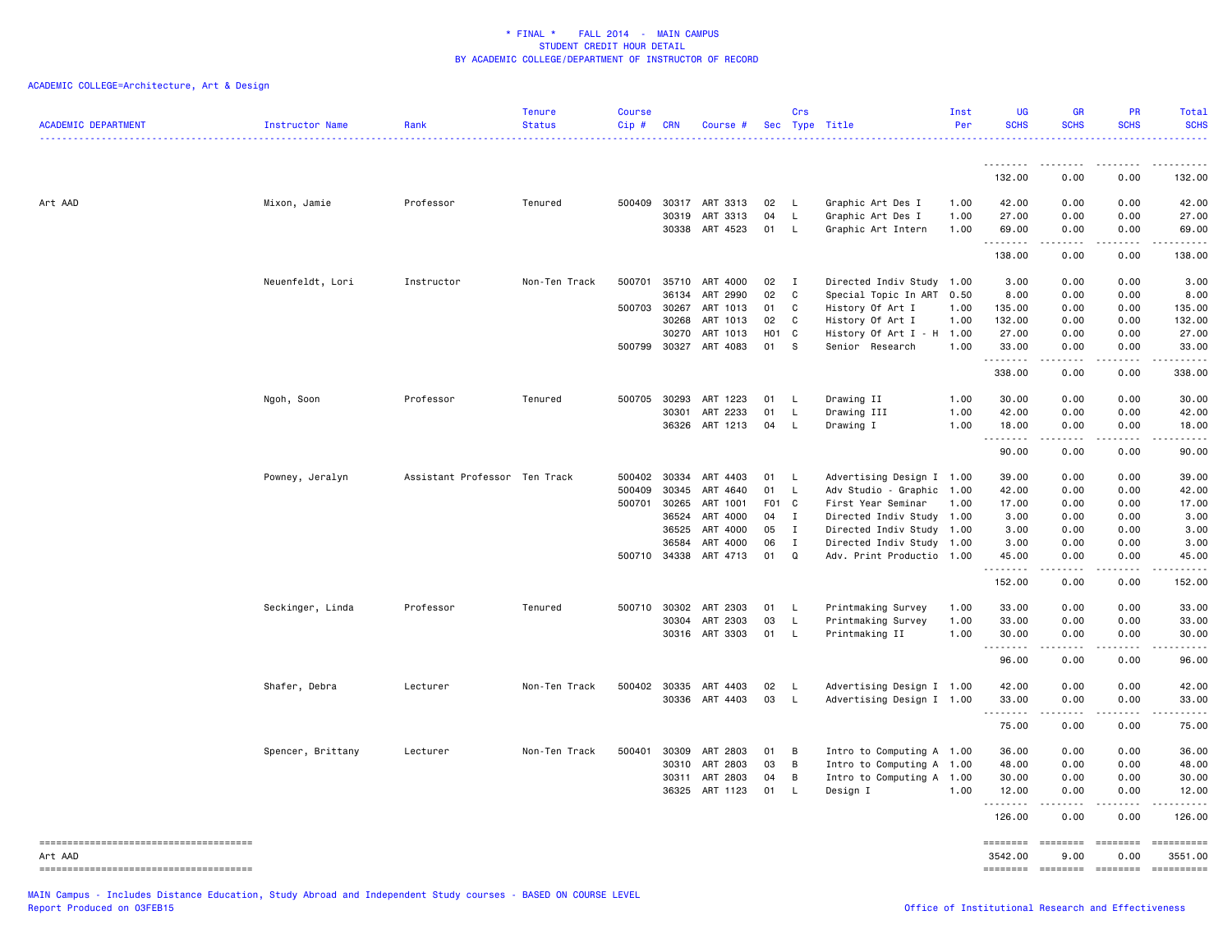| <b>ACADEMIC DEPARTMENT</b>             | Instructor Name   | Rank                          | <b>Tenure</b><br><b>Status</b> | <b>Course</b><br>$Cip \#$ | CRN          | Course #              |                  | Crs          | Sec Type Title            | Inst<br>Per | <b>UG</b><br><b>SCHS</b> | <b>GR</b><br><b>SCHS</b>                                                                                                                                                                                                                                                                                                                                                                                                                                                               | PR<br><b>SCHS</b>                                                                                                                                                                                                                                                                                                                                                                                                                                                                      | <b>Total</b><br><b>SCHS</b> |
|----------------------------------------|-------------------|-------------------------------|--------------------------------|---------------------------|--------------|-----------------------|------------------|--------------|---------------------------|-------------|--------------------------|----------------------------------------------------------------------------------------------------------------------------------------------------------------------------------------------------------------------------------------------------------------------------------------------------------------------------------------------------------------------------------------------------------------------------------------------------------------------------------------|----------------------------------------------------------------------------------------------------------------------------------------------------------------------------------------------------------------------------------------------------------------------------------------------------------------------------------------------------------------------------------------------------------------------------------------------------------------------------------------|-----------------------------|
|                                        |                   |                               |                                |                           |              |                       |                  |              |                           |             | .                        | .                                                                                                                                                                                                                                                                                                                                                                                                                                                                                      |                                                                                                                                                                                                                                                                                                                                                                                                                                                                                        |                             |
|                                        |                   |                               |                                |                           |              |                       |                  |              |                           |             | 132.00                   | 0.00                                                                                                                                                                                                                                                                                                                                                                                                                                                                                   | 0.00                                                                                                                                                                                                                                                                                                                                                                                                                                                                                   | 132.00                      |
| Art AAD                                | Mixon, Jamie      | Professor                     | Tenured                        |                           |              | 500409 30317 ART 3313 | 02               | - L          | Graphic Art Des I         | 1.00        | 42.00                    | 0.00                                                                                                                                                                                                                                                                                                                                                                                                                                                                                   | 0.00                                                                                                                                                                                                                                                                                                                                                                                                                                                                                   | 42.00                       |
|                                        |                   |                               |                                |                           | 30319        | ART 3313              | 04               | $\mathsf{L}$ | Graphic Art Des I         | 1.00        | 27.00                    | 0.00                                                                                                                                                                                                                                                                                                                                                                                                                                                                                   | 0.00                                                                                                                                                                                                                                                                                                                                                                                                                                                                                   | 27.00                       |
|                                        |                   |                               |                                |                           |              | 30338 ART 4523        | 01               | <b>L</b>     | Graphic Art Intern        | 1.00        | 69.00<br>.               | 0.00<br>.                                                                                                                                                                                                                                                                                                                                                                                                                                                                              | 0.00<br>.                                                                                                                                                                                                                                                                                                                                                                                                                                                                              | 69.00<br>.                  |
|                                        |                   |                               |                                |                           |              |                       |                  |              |                           |             | 138.00                   | 0.00                                                                                                                                                                                                                                                                                                                                                                                                                                                                                   | 0.00                                                                                                                                                                                                                                                                                                                                                                                                                                                                                   | 138.00                      |
|                                        | Neuenfeldt, Lori  | Instructor                    | Non-Ten Track                  | 500701 35710              |              | ART 4000              | 02               | $\mathbf{I}$ | Directed Indiv Study 1.00 |             | 3.00                     | 0.00                                                                                                                                                                                                                                                                                                                                                                                                                                                                                   | 0.00                                                                                                                                                                                                                                                                                                                                                                                                                                                                                   | 3.00                        |
|                                        |                   |                               |                                |                           | 36134        | ART 2990              | 02               | C            | Special Topic In ART 0.50 |             | 8.00                     | 0.00                                                                                                                                                                                                                                                                                                                                                                                                                                                                                   | 0.00                                                                                                                                                                                                                                                                                                                                                                                                                                                                                   | 8.00                        |
|                                        |                   |                               |                                | 500703 30267              |              | ART 1013              | 01               | C            | History Of Art I          | 1.00        | 135.00                   | 0.00                                                                                                                                                                                                                                                                                                                                                                                                                                                                                   | 0.00                                                                                                                                                                                                                                                                                                                                                                                                                                                                                   | 135.00                      |
|                                        |                   |                               |                                |                           | 30268        | ART 1013              | 02               | C            | History Of Art I          | 1.00        | 132.00                   | 0.00                                                                                                                                                                                                                                                                                                                                                                                                                                                                                   | 0.00                                                                                                                                                                                                                                                                                                                                                                                                                                                                                   | 132.00                      |
|                                        |                   |                               |                                |                           | 30270        | ART 1013              | H <sub>0</sub> 1 | C            | History Of Art I - H 1.00 |             | 27.00                    | 0.00                                                                                                                                                                                                                                                                                                                                                                                                                                                                                   | 0.00                                                                                                                                                                                                                                                                                                                                                                                                                                                                                   | 27.00                       |
|                                        |                   |                               |                                | 500799 30327              |              | ART 4083              | 01               | S.           | Senior Research           | 1.00        | 33.00                    | 0.00                                                                                                                                                                                                                                                                                                                                                                                                                                                                                   | 0.00                                                                                                                                                                                                                                                                                                                                                                                                                                                                                   | 33.00                       |
|                                        |                   |                               |                                |                           |              |                       |                  |              |                           |             | .<br>338.00              | .<br>0.00                                                                                                                                                                                                                                                                                                                                                                                                                                                                              | .<br>0.00                                                                                                                                                                                                                                                                                                                                                                                                                                                                              | <u>.</u><br>338.00          |
|                                        | Ngoh, Soon        | Professor                     | Tenured                        | 500705 30293              |              | ART 1223              | 01               | - L          | Drawing II                | 1.00        | 30.00                    | 0.00                                                                                                                                                                                                                                                                                                                                                                                                                                                                                   | 0.00                                                                                                                                                                                                                                                                                                                                                                                                                                                                                   | 30.00                       |
|                                        |                   |                               |                                |                           | 30301        | ART 2233              | 01               | L            | Drawing III               | 1.00        | 42.00                    | 0.00                                                                                                                                                                                                                                                                                                                                                                                                                                                                                   | 0.00                                                                                                                                                                                                                                                                                                                                                                                                                                                                                   | 42.00                       |
|                                        |                   |                               |                                |                           |              | 36326 ART 1213        | 04               | L.           | Drawing I                 | 1.00        | 18.00                    | 0.00                                                                                                                                                                                                                                                                                                                                                                                                                                                                                   | 0.00                                                                                                                                                                                                                                                                                                                                                                                                                                                                                   | 18.00                       |
|                                        |                   |                               |                                |                           |              |                       |                  |              |                           |             | . <b>.</b>               | .                                                                                                                                                                                                                                                                                                                                                                                                                                                                                      | .                                                                                                                                                                                                                                                                                                                                                                                                                                                                                      |                             |
|                                        |                   |                               |                                |                           |              |                       |                  |              |                           |             | 90.00                    | 0.00                                                                                                                                                                                                                                                                                                                                                                                                                                                                                   | 0.00                                                                                                                                                                                                                                                                                                                                                                                                                                                                                   | 90.00                       |
|                                        | Powney, Jeralyn   | Assistant Professor Ten Track |                                |                           | 500402 30334 | ART 4403              | 01               | <b>L</b>     | Advertising Design I 1.00 |             | 39.00                    | 0.00                                                                                                                                                                                                                                                                                                                                                                                                                                                                                   | 0.00                                                                                                                                                                                                                                                                                                                                                                                                                                                                                   | 39.00                       |
|                                        |                   |                               |                                | 500409                    | 30345        | ART 4640              | 01               | $\mathsf{L}$ | Adv Studio - Graphic 1.00 |             | 42.00                    | 0.00                                                                                                                                                                                                                                                                                                                                                                                                                                                                                   | 0.00                                                                                                                                                                                                                                                                                                                                                                                                                                                                                   | 42.00                       |
|                                        |                   |                               |                                | 500701 30265              |              | ART 1001              | F01 C            |              | First Year Seminar        | 1.00        | 17.00                    | 0.00                                                                                                                                                                                                                                                                                                                                                                                                                                                                                   | 0.00                                                                                                                                                                                                                                                                                                                                                                                                                                                                                   | 17.00                       |
|                                        |                   |                               |                                |                           | 36524        | ART 4000              | 04               | $\mathbf{I}$ | Directed Indiv Study 1.00 |             | 3.00                     | 0.00                                                                                                                                                                                                                                                                                                                                                                                                                                                                                   | 0.00                                                                                                                                                                                                                                                                                                                                                                                                                                                                                   | 3.00                        |
|                                        |                   |                               |                                |                           | 36525        | ART 4000              | 05               | $\mathbf{I}$ | Directed Indiv Study      | 1.00        | 3.00                     | 0.00                                                                                                                                                                                                                                                                                                                                                                                                                                                                                   | 0.00                                                                                                                                                                                                                                                                                                                                                                                                                                                                                   | 3,00                        |
|                                        |                   |                               |                                |                           | 36584        | ART 4000              | 06               | $\mathbf{I}$ | Directed Indiv Study 1.00 |             | 3.00                     | 0.00                                                                                                                                                                                                                                                                                                                                                                                                                                                                                   | 0.00                                                                                                                                                                                                                                                                                                                                                                                                                                                                                   | 3.00                        |
|                                        |                   |                               |                                |                           |              | 500710 34338 ART 4713 | 01               | $\Omega$     | Adv. Print Productio 1.00 |             | 45.00                    | 0.00                                                                                                                                                                                                                                                                                                                                                                                                                                                                                   | 0.00                                                                                                                                                                                                                                                                                                                                                                                                                                                                                   | 45.00                       |
|                                        |                   |                               |                                |                           |              |                       |                  |              |                           |             | .<br>152.00              | - - - -<br>0.00                                                                                                                                                                                                                                                                                                                                                                                                                                                                        | د د د د<br>0.00                                                                                                                                                                                                                                                                                                                                                                                                                                                                        | 152.00                      |
|                                        | Seckinger, Linda  | Professor                     | Tenured                        |                           | 500710 30302 | ART 2303              | 01               | -L           | Printmaking Survey        | 1.00        | 33.00                    | 0.00                                                                                                                                                                                                                                                                                                                                                                                                                                                                                   | 0.00                                                                                                                                                                                                                                                                                                                                                                                                                                                                                   | 33.00                       |
|                                        |                   |                               |                                |                           | 30304        | ART 2303              | 03               | $\mathsf{L}$ | Printmaking Survey        | 1.00        | 33.00                    | 0.00                                                                                                                                                                                                                                                                                                                                                                                                                                                                                   | 0.00                                                                                                                                                                                                                                                                                                                                                                                                                                                                                   | 33.00                       |
|                                        |                   |                               |                                |                           |              | 30316 ART 3303        | 01               | L.           | Printmaking II            | 1.00        | 30.00                    | 0.00                                                                                                                                                                                                                                                                                                                                                                                                                                                                                   | 0.00                                                                                                                                                                                                                                                                                                                                                                                                                                                                                   | 30.00                       |
|                                        |                   |                               |                                |                           |              |                       |                  |              |                           |             | --------<br>96.00        | .<br>0.00                                                                                                                                                                                                                                                                                                                                                                                                                                                                              | .<br>0.00                                                                                                                                                                                                                                                                                                                                                                                                                                                                              | .<br>96.00                  |
|                                        | Shafer, Debra     | Lecturer                      | Non-Ten Track                  |                           |              | 500402 30335 ART 4403 | 02               | <b>L</b>     | Advertising Design I 1.00 |             | 42.00                    | 0.00                                                                                                                                                                                                                                                                                                                                                                                                                                                                                   | 0.00                                                                                                                                                                                                                                                                                                                                                                                                                                                                                   | 42.00                       |
|                                        |                   |                               |                                |                           |              | 30336 ART 4403        | 03               | $\mathsf{L}$ | Advertising Design I 1.00 |             | 33.00                    | 0.00                                                                                                                                                                                                                                                                                                                                                                                                                                                                                   | 0.00                                                                                                                                                                                                                                                                                                                                                                                                                                                                                   | 33.00                       |
|                                        |                   |                               |                                |                           |              |                       |                  |              |                           |             | .                        | $- - - - -$                                                                                                                                                                                                                                                                                                                                                                                                                                                                            | .                                                                                                                                                                                                                                                                                                                                                                                                                                                                                      | .                           |
|                                        |                   |                               |                                |                           |              |                       |                  |              |                           |             | 75.00                    | 0.00                                                                                                                                                                                                                                                                                                                                                                                                                                                                                   | 0.00                                                                                                                                                                                                                                                                                                                                                                                                                                                                                   | 75.00                       |
|                                        | Spencer, Brittany | Lecturer                      | Non-Ten Track                  | 500401                    | 30309        | ART 2803              | 01               | B            | Intro to Computing A 1.00 |             | 36.00                    | 0.00                                                                                                                                                                                                                                                                                                                                                                                                                                                                                   | 0.00                                                                                                                                                                                                                                                                                                                                                                                                                                                                                   | 36.00                       |
|                                        |                   |                               |                                |                           | 30310        | ART 2803              | 03               | B            | Intro to Computing A 1.00 |             | 48.00                    | 0.00                                                                                                                                                                                                                                                                                                                                                                                                                                                                                   | 0.00                                                                                                                                                                                                                                                                                                                                                                                                                                                                                   | 48.00                       |
|                                        |                   |                               |                                |                           | 30311        | ART 2803              | 04               | B            | Intro to Computing A 1.00 |             | 30.00                    | 0.00                                                                                                                                                                                                                                                                                                                                                                                                                                                                                   | 0.00                                                                                                                                                                                                                                                                                                                                                                                                                                                                                   | 30.00                       |
|                                        |                   |                               |                                |                           | 36325        | ART 1123              | 01               | L            | Design I                  | 1.00        | 12.00<br>.               | 0.00<br>2.2.2.2.2                                                                                                                                                                                                                                                                                                                                                                                                                                                                      | 0.00<br>.                                                                                                                                                                                                                                                                                                                                                                                                                                                                              | 12.00<br>.                  |
|                                        |                   |                               |                                |                           |              |                       |                  |              |                           |             | 126.00                   | 0.00                                                                                                                                                                                                                                                                                                                                                                                                                                                                                   | 0.00                                                                                                                                                                                                                                                                                                                                                                                                                                                                                   | 126.00                      |
|                                        |                   |                               |                                |                           |              |                       |                  |              |                           |             | ========                 |                                                                                                                                                                                                                                                                                                                                                                                                                                                                                        | ========                                                                                                                                                                                                                                                                                                                                                                                                                                                                               | ==========                  |
| Art AAD                                |                   |                               |                                |                           |              |                       |                  |              |                           |             | 3542.00                  | 9.00                                                                                                                                                                                                                                                                                                                                                                                                                                                                                   | 0.00                                                                                                                                                                                                                                                                                                                                                                                                                                                                                   | 3551.00                     |
| -------------------------------------- |                   |                               |                                |                           |              |                       |                  |              |                           |             | ========                 | $\begin{array}{cccccccccc} \multicolumn{2}{c}{} & \multicolumn{2}{c}{} & \multicolumn{2}{c}{} & \multicolumn{2}{c}{} & \multicolumn{2}{c}{} & \multicolumn{2}{c}{} & \multicolumn{2}{c}{} & \multicolumn{2}{c}{} & \multicolumn{2}{c}{} & \multicolumn{2}{c}{} & \multicolumn{2}{c}{} & \multicolumn{2}{c}{} & \multicolumn{2}{c}{} & \multicolumn{2}{c}{} & \multicolumn{2}{c}{} & \multicolumn{2}{c}{} & \multicolumn{2}{c}{} & \multicolumn{2}{c}{} & \multicolumn{2}{c}{} & \mult$ | $\begin{array}{cccccccccc} \multicolumn{2}{c}{} & \multicolumn{2}{c}{} & \multicolumn{2}{c}{} & \multicolumn{2}{c}{} & \multicolumn{2}{c}{} & \multicolumn{2}{c}{} & \multicolumn{2}{c}{} & \multicolumn{2}{c}{} & \multicolumn{2}{c}{} & \multicolumn{2}{c}{} & \multicolumn{2}{c}{} & \multicolumn{2}{c}{} & \multicolumn{2}{c}{} & \multicolumn{2}{c}{} & \multicolumn{2}{c}{} & \multicolumn{2}{c}{} & \multicolumn{2}{c}{} & \multicolumn{2}{c}{} & \multicolumn{2}{c}{} & \mult$ | ==========                  |
|                                        |                   |                               |                                |                           |              |                       |                  |              |                           |             |                          |                                                                                                                                                                                                                                                                                                                                                                                                                                                                                        |                                                                                                                                                                                                                                                                                                                                                                                                                                                                                        |                             |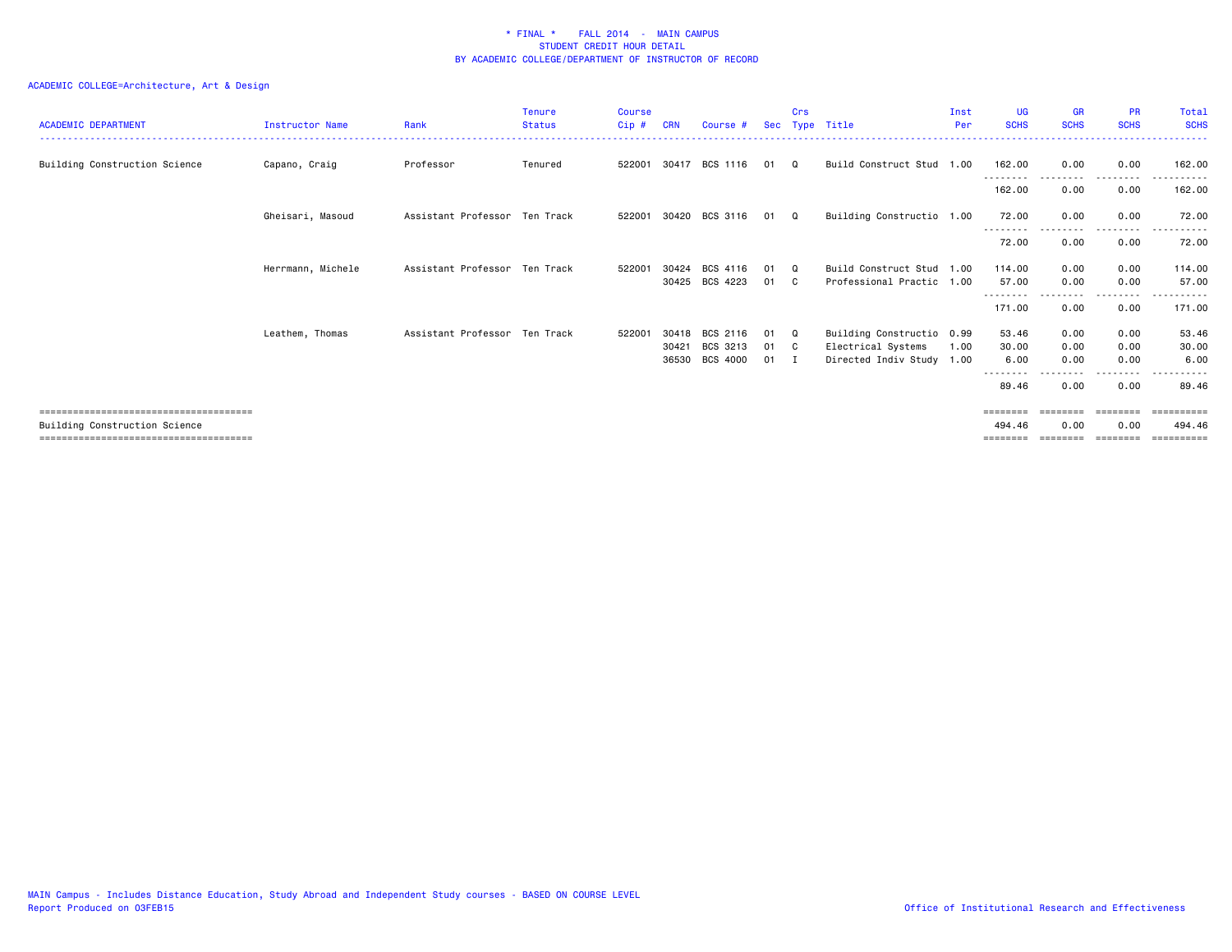| <b>ACADEMIC DEPARTMENT</b>    | <b>Instructor Name</b> | Rank                          | <b>Tenure</b><br><b>Status</b> | <b>Course</b><br>Cip # | <b>CRN</b> | Course #                   |              | Crs      | Sec Type Title                                  | Inst<br>Per | <b>UG</b><br><b>SCHS</b> | <b>GR</b><br><b>SCHS</b> | <b>PR</b><br><b>SCHS</b>                                                | Total<br><b>SCHS</b><br>------ |
|-------------------------------|------------------------|-------------------------------|--------------------------------|------------------------|------------|----------------------------|--------------|----------|-------------------------------------------------|-------------|--------------------------|--------------------------|-------------------------------------------------------------------------|--------------------------------|
| Building Construction Science | Capano, Craig          | Professor                     | Tenured                        |                        |            | 522001 30417 BCS 1116      | 01           | Q        | Build Construct Stud 1.00                       |             | 162.00                   | 0.00                     | 0.00                                                                    | 162.00                         |
|                               |                        |                               |                                |                        |            |                            |              |          |                                                 |             | --------<br>162.00       | ---------<br>0.00        | .<br>0.00                                                               | 162.00                         |
|                               | Gheisari, Masoud       | Assistant Professor Ten Track |                                |                        |            | 522001 30420 BCS 3116      | 01 Q         |          | Building Constructio 1.00                       |             | 72.00                    | 0.00                     | 0.00                                                                    | 72.00                          |
|                               |                        |                               |                                |                        |            |                            |              |          |                                                 |             | ---------<br>72.00       | 0.00                     | .<br>0.00                                                               | .<br>72.00                     |
|                               | Herrmann, Michele      | Assistant Professor Ten Track |                                | 522001                 | 30424      | BCS 4116                   | 01           | $\Omega$ | Build Construct Stud 1.00                       |             | 114.00                   | 0.00                     | 0.00                                                                    | 114.00                         |
|                               |                        |                               |                                |                        |            | 30425 BCS 4223             | 01           | C.       | Professional Practic 1.00                       |             | 57.00<br>---------       | 0.00                     | 0.00<br>-----                                                           | 57.00<br>------                |
|                               |                        |                               |                                |                        |            |                            |              |          |                                                 |             | 171.00                   | 0.00                     | 0.00                                                                    | 171.00                         |
|                               | Leathem, Thomas        | Assistant Professor Ten Track |                                | 522001                 | 30418      | BCS 2116                   | 01           | Q        | Building Constructio 0.99                       |             | 53.46                    | 0.00                     | 0.00                                                                    | 53.46                          |
|                               |                        |                               |                                |                        | 30421      | BCS 3213<br>36530 BCS 4000 | 01<br>$01$ I | C .      | Electrical Systems<br>Directed Indiv Study 1.00 | 1.00        | 30.00<br>6.00            | 0.00<br>0.00             | 0.00<br>0.00                                                            | 30.00<br>6.00                  |
|                               |                        |                               |                                |                        |            |                            |              |          |                                                 |             | 89.46                    | 0.00                     | ----<br>0.00                                                            | 89.46                          |
|                               |                        |                               |                                |                        |            |                            |              |          |                                                 |             | ========                 |                          | $\qquad \qquad \equiv \equiv \equiv \equiv \equiv \equiv \equiv \equiv$ | ==========                     |
| Building Construction Science |                        |                               |                                |                        |            |                            |              |          |                                                 |             | 494.46                   | 0.00                     | 0.00                                                                    | 494.46                         |
|                               |                        |                               |                                |                        |            |                            |              |          |                                                 |             |                          |                          |                                                                         |                                |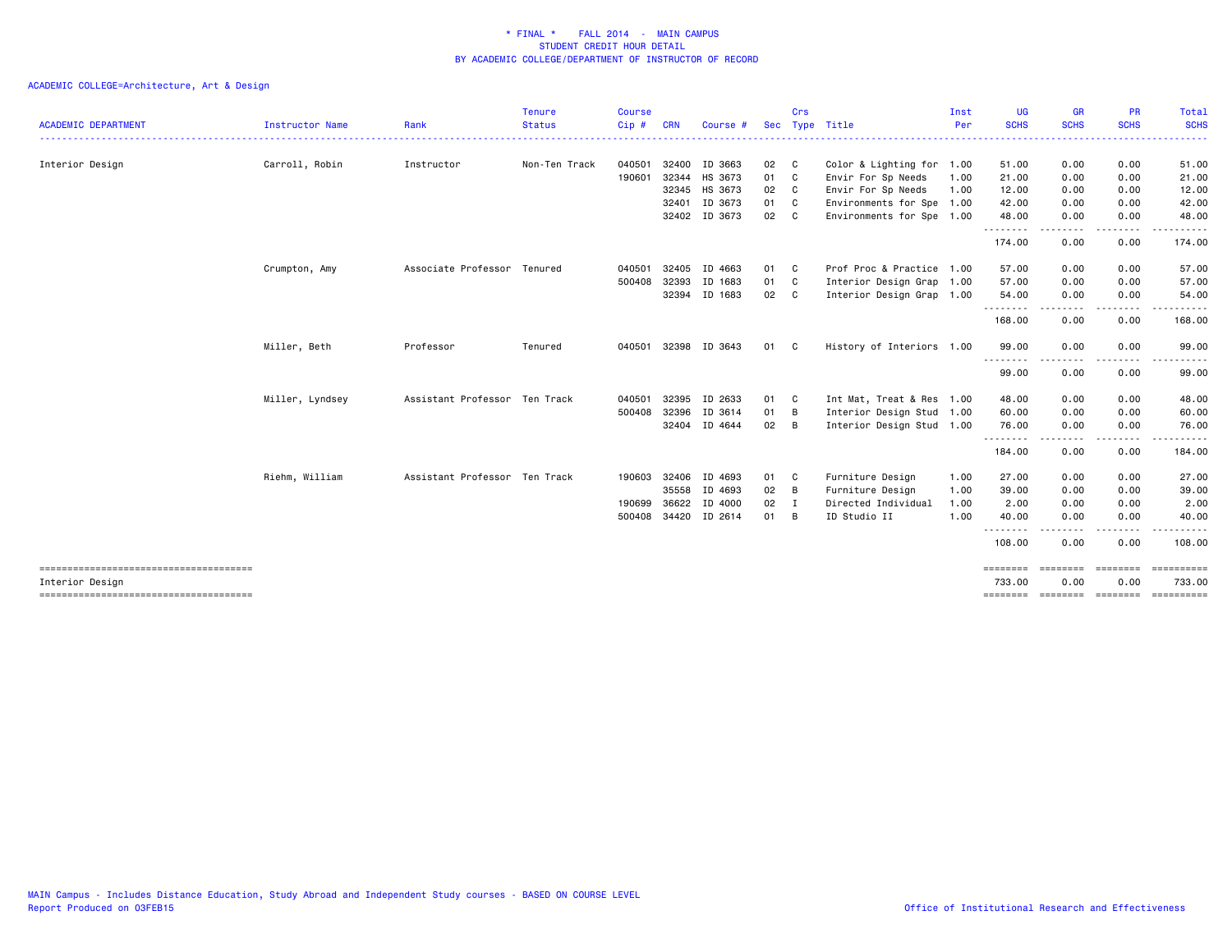|                                       |                 |                               | <b>Tenure</b> | <b>Course</b> |            |          |            | Crs          |                           | Inst | <b>UG</b>            | <b>GR</b>        | <b>PR</b>         | Total                                                                                                                                    |
|---------------------------------------|-----------------|-------------------------------|---------------|---------------|------------|----------|------------|--------------|---------------------------|------|----------------------|------------------|-------------------|------------------------------------------------------------------------------------------------------------------------------------------|
| <b>ACADEMIC DEPARTMENT</b>            | Instructor Name | Rank                          | <b>Status</b> | $Cip$ #       | <b>CRN</b> | Course # | <b>Sec</b> |              | Type Title                | Per  | <b>SCHS</b>          | <b>SCHS</b>      | <b>SCHS</b>       | <b>SCHS</b><br>$\frac{1}{2} \left( \frac{1}{2} \right) \left( \frac{1}{2} \right) \left( \frac{1}{2} \right) \left( \frac{1}{2} \right)$ |
| Interior Design                       | Carroll, Robin  | Instructor                    | Non-Ten Track | 040501        | 32400      | ID 3663  | 02         | $\mathbf{C}$ | Color & Lighting for 1.00 |      | 51.00                | 0.00             | 0.00              | 51.00                                                                                                                                    |
|                                       |                 |                               |               | 190601        | 32344      | HS 3673  | 01         | C            | Envir For Sp Needs        | 1.00 | 21.00                | 0.00             | 0.00              | 21.00                                                                                                                                    |
|                                       |                 |                               |               |               | 32345      | HS 3673  | 02         | C            | Envir For Sp Needs        | 1.00 | 12.00                | 0.00             | 0.00              | 12.00                                                                                                                                    |
|                                       |                 |                               |               |               | 32401      | ID 3673  | 01         | C            | Environments for Spe 1.00 |      | 42.00                | 0.00             | 0.00              | 42.00                                                                                                                                    |
|                                       |                 |                               |               |               | 32402      | ID 3673  | 02         | C.           | Environments for Spe 1.00 |      | 48.00<br>.           | 0.00<br>$\cdots$ | 0.00<br>$- - - -$ | 48.00<br>.                                                                                                                               |
|                                       |                 |                               |               |               |            |          |            |              |                           |      | 174.00               | 0.00             | 0.00              | 174.00                                                                                                                                   |
|                                       | Crumpton, Amy   | Associate Professor           | Tenured       | 040501        | 32405      | ID 4663  | 01         | C            | Prof Proc & Practice 1.00 |      | 57.00                | 0.00             | 0.00              | 57.00                                                                                                                                    |
|                                       |                 |                               |               | 500408        | 32393      | ID 1683  | 01         | C            | Interior Design Grap 1.00 |      | 57.00                | 0.00             | 0.00              | 57.00                                                                                                                                    |
|                                       |                 |                               |               |               | 32394      | ID 1683  | 02         | $\mathbf{C}$ | Interior Design Grap 1.00 |      | 54.00                | 0.00             | 0.00              | 54.00                                                                                                                                    |
|                                       |                 |                               |               |               |            |          |            |              |                           |      | 168.00               | .<br>0.00        | .<br>0.00         | .<br>168.00                                                                                                                              |
|                                       | Miller, Beth    | Professor                     | Tenured       | 040501 32398  |            | ID 3643  | 01         | C.           | History of Interiors 1.00 |      | 99.00                | 0.00             | 0.00              | 99.00                                                                                                                                    |
|                                       |                 |                               |               |               |            |          |            |              |                           |      | .<br>99.00           | 0.00             | ----<br>0.00      | $- - - - -$<br>99.00                                                                                                                     |
|                                       | Miller, Lyndsey | Assistant Professor Ten Track |               | 040501        | 32395      | ID 2633  | 01         | C            | Int Mat, Treat & Res 1.00 |      | 48.00                | 0.00             | 0.00              | 48.00                                                                                                                                    |
|                                       |                 |                               |               | 500408        | 32396      | ID 3614  | 01         | B            | Interior Design Stud 1.00 |      | 60.00                | 0.00             | 0.00              | 60.00                                                                                                                                    |
|                                       |                 |                               |               |               | 32404      | ID 4644  | 02         | B            | Interior Design Stud 1.00 |      | 76.00                | 0.00             | 0.00              | 76.00                                                                                                                                    |
|                                       |                 |                               |               |               |            |          |            |              |                           |      | .<br>184.00          | 0.00             | .<br>0.00         | .<br>184.00                                                                                                                              |
|                                       | Riehm, William  | Assistant Professor Ten Track |               | 190603        | 32406      | ID 4693  | 01         | C            | Furniture Design          | 1.00 | 27.00                | 0.00             | 0.00              | 27.00                                                                                                                                    |
|                                       |                 |                               |               |               | 35558      | ID 4693  | 02         | B            | Furniture Design          | 1.00 | 39.00                | 0.00             | 0.00              | 39.00                                                                                                                                    |
|                                       |                 |                               |               | 190699        | 36622      | ID 4000  | 02         | I            | Directed Individual       | 1.00 | 2.00                 | 0.00             | 0.00              | 2.00                                                                                                                                     |
|                                       |                 |                               |               | 500408 34420  |            | ID 2614  | 01         | В            | ID Studio II              | 1.00 | 40.00                | 0.00             | 0.00              | 40.00                                                                                                                                    |
|                                       |                 |                               |               |               |            |          |            |              |                           |      | - - -<br>.<br>108.00 | 0.00             | 0.00              | 108.00                                                                                                                                   |
| Interior Design                       |                 |                               |               |               |            |          |            |              |                           |      | ========<br>733.00   | .<br>0.00        | ========<br>0.00  | $=$ = = = = = = = = = =<br>733.00                                                                                                        |
| ------------------------------------- |                 |                               |               |               |            |          |            |              |                           |      | ========             |                  | --------- ------- |                                                                                                                                          |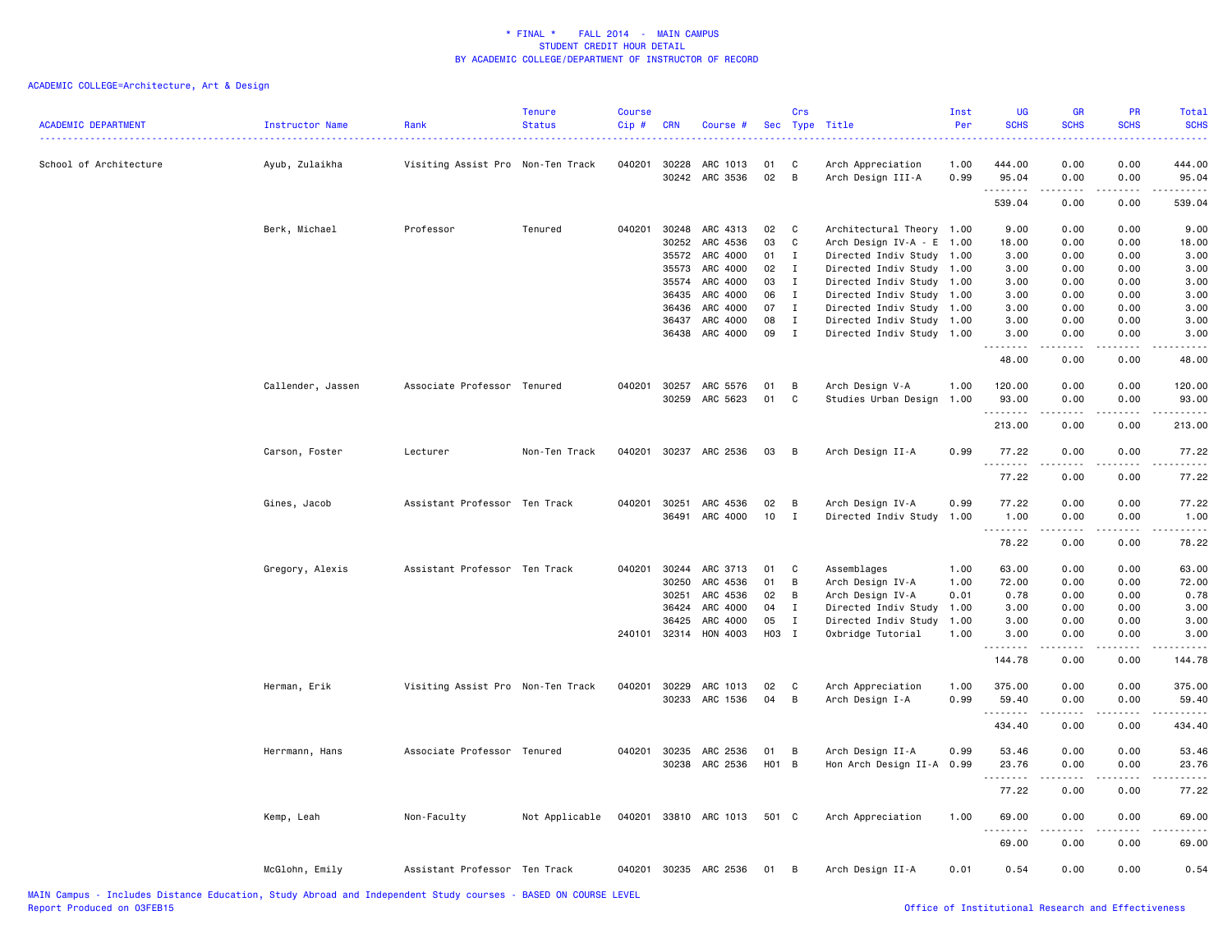| 040201<br>0.00<br>0.00<br>School of Architecture<br>Ayub, Zulaikha<br>Visiting Assist Pro Non-Ten Track<br>30228<br>ARC 1013<br>01<br>C<br>1.00<br>444.00<br>444.00<br>Arch Appreciation<br>30242<br>ARC 3536<br>02<br>B<br>0.99<br>0.00<br>0.00<br>Arch Design III-A<br>95.04<br>95.04<br>.<br>$\frac{1}{2}$<br>0.00<br>0.00<br>539.04<br>539.04<br>Berk, Michael<br>ARC 4313<br>Professor<br>Tenured<br>040201<br>30248<br>02<br>C<br>Architectural Theory 1.00<br>9.00<br>0.00<br>0.00<br>9.00<br>03<br>30252<br>ARC 4536<br>C<br>Arch Design IV-A - E<br>1.00<br>18.00<br>0.00<br>0.00<br>18.00<br>35572<br>ARC 4000<br>01<br>$\mathbf{I}$<br>Directed Indiv Study<br>1.00<br>3.00<br>0.00<br>0.00<br>3.00<br>ARC 4000<br>02<br>Directed Indiv Study<br>35573<br>$\mathbf{I}$<br>1.00<br>3.00<br>0.00<br>0.00<br>3.00<br>ARC 4000<br>35574<br>03<br>$\mathbf{I}$<br>Directed Indiv Study 1.00<br>3.00<br>0.00<br>0.00<br>3.00<br>36435<br>ARC 4000<br>06<br>Directed Indiv Study<br>0.00<br>0.00<br>3.00<br>$\mathbf{I}$<br>1.00<br>3.00<br>ARC 4000<br>07<br>36436<br>$\mathbf{I}$<br>Directed Indiv Study 1.00<br>3.00<br>0.00<br>0.00<br>3.00<br>ARC 4000<br>36437<br>08<br>$\mathbf{I}$<br>Directed Indiv Study<br>1.00<br>3.00<br>0.00<br>0.00<br>3.00<br>ARC 4000<br>09<br>36438<br>$\mathbf{I}$<br>Directed Indiv Study 1.00<br>3.00<br>0.00<br>0.00<br>3.00<br>48.00<br>0.00<br>0.00<br>48.00<br>Callender, Jassen<br>Associate Professor Tenured<br>040201 30257<br>ARC 5576<br>01<br>В<br>Arch Design V-A<br>1.00<br>120.00<br>0.00<br>0.00<br>120.00<br>30259 ARC 5623<br>01<br>C<br>93.00<br>0.00<br>Studies Urban Design<br>1.00<br>0.00<br>93.00<br>.<br>$\sim$ $\sim$ $\sim$ $\sim$<br>213.00<br>0.00<br>0.00<br>213.00<br>Carson, Foster<br>Lecturer<br>Non-Ten Track<br>040201 30237 ARC 2536<br>Arch Design II-A<br>0.99<br>77.22<br>0.00<br>0.00<br>77.22<br>03<br>B<br><u>.</u><br>$\frac{1}{2} \left( \frac{1}{2} \right) \left( \frac{1}{2} \right) \left( \frac{1}{2} \right) \left( \frac{1}{2} \right)$<br>.<br>0.00<br>77.22<br>0.00<br>77.22<br>Gines, Jacob<br>Assistant Professor Ten Track<br>040201<br>30251<br>ARC 4536<br>02<br>B<br>Arch Design IV-A<br>0.99<br>77.22<br>0.00<br>0.00<br>77.22<br>ARC 4000<br>10<br>36491<br>$\mathbf{I}$<br>Directed Indiv Study<br>1.00<br>1.00<br>0.00<br>0.00<br>1.00<br><u>.</u><br>.<br>.<br>.<br>78.22<br>0.00<br>0.00<br>78.22<br>Assistant Professor Ten Track<br>30244<br>ARC 3713<br>63.00<br>0.00<br>0.00<br>63.00<br>Gregory, Alexis<br>040201<br>01<br>C<br>Assemblages<br>1.00<br>30250<br>ARC 4536<br>01<br>B<br>Arch Design IV-A<br>72.00<br>0.00<br>0.00<br>72.00<br>1.00<br>30251<br>ARC 4536<br>02<br>Arch Design IV-A<br>0.01<br>0.78<br>0.00<br>0.00<br>0.78<br>В<br>ARC 4000<br>04<br>0.00<br>0.00<br>3.00<br>36424<br>$\mathbf{I}$<br>Directed Indiv Study 1.00<br>3.00<br>36425<br>ARC 4000<br>0.00<br>0.00<br>3.00<br>05<br>$\mathbf{I}$<br>Directed Indiv Study<br>1.00<br>3.00<br>HON 4003<br>H03 I<br>240101 32314<br>Oxbridge Tutorial<br>1.00<br>3.00<br>0.00<br>0.00<br>3.00<br>144.78<br>0.00<br>0.00<br>144.78<br>040201 30229<br>ARC 1013<br>375.00<br>0.00<br>0.00<br>375.00<br>Herman, Erik<br>Visiting Assist Pro Non-Ten Track<br>02<br>C<br>Arch Appreciation<br>1.00<br>30233<br>ARC 1536<br>04<br>В<br>Arch Design I-A<br>0.99<br>59.40<br>0.00<br>0.00<br>59.40<br>.<br>.<br>.<br>.<br>0.00<br>434.40<br>0.00<br>434.40<br>30235<br>ARC 2536<br>0.00<br>0.00<br>Herrmann, Hans<br>Associate Professor Tenured<br>040201<br>01<br>В<br>Arch Design II-A<br>0.99<br>53.46<br>53.46<br>H <sub>0</sub> 1<br>30238<br>ARC 2536<br>$\overline{B}$<br>0.00<br>Hon Arch Design II-A 0.99<br>23.76<br>0.00<br>23.76<br>$- - - - -$<br>- - - -<br>77.22<br>0.00<br>0.00<br>77.22<br>040201 33810 ARC 1013<br>Kemp, Leah<br>Non-Faculty<br>Not Applicable<br>501 C<br>Arch Appreciation<br>1.00<br>69.00<br>0.00<br>0.00<br>69.00<br>$\sim$ $\sim$ $\sim$ $\sim$<br>.<br>69.00<br>0.00<br>0.00<br>69.00<br>McGlohn, Emily<br>Assistant Professor Ten Track<br>040201 30235 ARC 2536<br>Arch Design II-A<br>0.01<br>0.54<br>0.00<br>0.00<br>0.54<br>01<br>B | <b>ACADEMIC DEPARTMENT</b> | Instructor Name | Rank | <b>Tenure</b><br><b>Status</b> | <b>Course</b><br>Cip# | <b>CRN</b> | Course # | Crs | Sec Type Title | Inst<br>Per | <b>UG</b><br><b>SCHS</b> | <b>GR</b><br><b>SCHS</b> | PR<br><b>SCHS</b> | <b>Total</b><br><b>SCHS</b> |
|------------------------------------------------------------------------------------------------------------------------------------------------------------------------------------------------------------------------------------------------------------------------------------------------------------------------------------------------------------------------------------------------------------------------------------------------------------------------------------------------------------------------------------------------------------------------------------------------------------------------------------------------------------------------------------------------------------------------------------------------------------------------------------------------------------------------------------------------------------------------------------------------------------------------------------------------------------------------------------------------------------------------------------------------------------------------------------------------------------------------------------------------------------------------------------------------------------------------------------------------------------------------------------------------------------------------------------------------------------------------------------------------------------------------------------------------------------------------------------------------------------------------------------------------------------------------------------------------------------------------------------------------------------------------------------------------------------------------------------------------------------------------------------------------------------------------------------------------------------------------------------------------------------------------------------------------------------------------------------------------------------------------------------------------------------------------------------------------------------------------------------------------------------------------------------------------------------------------------------------------------------------------------------------------------------------------------------------------------------------------------------------------------------------------------------------------------------------------------------------------------------------------------------------------------------------------------------------------------------------------------------------------------------------------------------------------------------------------------------------------------------------------------------------------------------------------------------------------------------------------------------------------------------------------------------------------------------------------------------------------------------------------------------------------------------------------------------------------------------------------------------------------------------------------------------------------------------------------------------------------------------------------------------------------------------------------------------------------------------------------------------------------------------------------------------------------------------------------------------------------------------------------------------------------------------------------------------------------------------------------------------------------------------------------------------------------------------------------------------------------------------------------------------------------------------------------------------------------------------------------------------------------------------------------------------------------------------------------------------------------------------------------------------------------------------------------------------------------------------------------------------------------------------------|----------------------------|-----------------|------|--------------------------------|-----------------------|------------|----------|-----|----------------|-------------|--------------------------|--------------------------|-------------------|-----------------------------|
|                                                                                                                                                                                                                                                                                                                                                                                                                                                                                                                                                                                                                                                                                                                                                                                                                                                                                                                                                                                                                                                                                                                                                                                                                                                                                                                                                                                                                                                                                                                                                                                                                                                                                                                                                                                                                                                                                                                                                                                                                                                                                                                                                                                                                                                                                                                                                                                                                                                                                                                                                                                                                                                                                                                                                                                                                                                                                                                                                                                                                                                                                                                                                                                                                                                                                                                                                                                                                                                                                                                                                                                                                                                                                                                                                                                                                                                                                                                                                                                                                                                                                                                                                                  |                            |                 |      |                                |                       |            |          |     |                |             |                          |                          |                   |                             |
|                                                                                                                                                                                                                                                                                                                                                                                                                                                                                                                                                                                                                                                                                                                                                                                                                                                                                                                                                                                                                                                                                                                                                                                                                                                                                                                                                                                                                                                                                                                                                                                                                                                                                                                                                                                                                                                                                                                                                                                                                                                                                                                                                                                                                                                                                                                                                                                                                                                                                                                                                                                                                                                                                                                                                                                                                                                                                                                                                                                                                                                                                                                                                                                                                                                                                                                                                                                                                                                                                                                                                                                                                                                                                                                                                                                                                                                                                                                                                                                                                                                                                                                                                                  |                            |                 |      |                                |                       |            |          |     |                |             |                          |                          |                   |                             |
|                                                                                                                                                                                                                                                                                                                                                                                                                                                                                                                                                                                                                                                                                                                                                                                                                                                                                                                                                                                                                                                                                                                                                                                                                                                                                                                                                                                                                                                                                                                                                                                                                                                                                                                                                                                                                                                                                                                                                                                                                                                                                                                                                                                                                                                                                                                                                                                                                                                                                                                                                                                                                                                                                                                                                                                                                                                                                                                                                                                                                                                                                                                                                                                                                                                                                                                                                                                                                                                                                                                                                                                                                                                                                                                                                                                                                                                                                                                                                                                                                                                                                                                                                                  |                            |                 |      |                                |                       |            |          |     |                |             |                          |                          |                   |                             |
|                                                                                                                                                                                                                                                                                                                                                                                                                                                                                                                                                                                                                                                                                                                                                                                                                                                                                                                                                                                                                                                                                                                                                                                                                                                                                                                                                                                                                                                                                                                                                                                                                                                                                                                                                                                                                                                                                                                                                                                                                                                                                                                                                                                                                                                                                                                                                                                                                                                                                                                                                                                                                                                                                                                                                                                                                                                                                                                                                                                                                                                                                                                                                                                                                                                                                                                                                                                                                                                                                                                                                                                                                                                                                                                                                                                                                                                                                                                                                                                                                                                                                                                                                                  |                            |                 |      |                                |                       |            |          |     |                |             |                          |                          |                   |                             |
|                                                                                                                                                                                                                                                                                                                                                                                                                                                                                                                                                                                                                                                                                                                                                                                                                                                                                                                                                                                                                                                                                                                                                                                                                                                                                                                                                                                                                                                                                                                                                                                                                                                                                                                                                                                                                                                                                                                                                                                                                                                                                                                                                                                                                                                                                                                                                                                                                                                                                                                                                                                                                                                                                                                                                                                                                                                                                                                                                                                                                                                                                                                                                                                                                                                                                                                                                                                                                                                                                                                                                                                                                                                                                                                                                                                                                                                                                                                                                                                                                                                                                                                                                                  |                            |                 |      |                                |                       |            |          |     |                |             |                          |                          |                   |                             |
|                                                                                                                                                                                                                                                                                                                                                                                                                                                                                                                                                                                                                                                                                                                                                                                                                                                                                                                                                                                                                                                                                                                                                                                                                                                                                                                                                                                                                                                                                                                                                                                                                                                                                                                                                                                                                                                                                                                                                                                                                                                                                                                                                                                                                                                                                                                                                                                                                                                                                                                                                                                                                                                                                                                                                                                                                                                                                                                                                                                                                                                                                                                                                                                                                                                                                                                                                                                                                                                                                                                                                                                                                                                                                                                                                                                                                                                                                                                                                                                                                                                                                                                                                                  |                            |                 |      |                                |                       |            |          |     |                |             |                          |                          |                   |                             |
|                                                                                                                                                                                                                                                                                                                                                                                                                                                                                                                                                                                                                                                                                                                                                                                                                                                                                                                                                                                                                                                                                                                                                                                                                                                                                                                                                                                                                                                                                                                                                                                                                                                                                                                                                                                                                                                                                                                                                                                                                                                                                                                                                                                                                                                                                                                                                                                                                                                                                                                                                                                                                                                                                                                                                                                                                                                                                                                                                                                                                                                                                                                                                                                                                                                                                                                                                                                                                                                                                                                                                                                                                                                                                                                                                                                                                                                                                                                                                                                                                                                                                                                                                                  |                            |                 |      |                                |                       |            |          |     |                |             |                          |                          |                   |                             |
|                                                                                                                                                                                                                                                                                                                                                                                                                                                                                                                                                                                                                                                                                                                                                                                                                                                                                                                                                                                                                                                                                                                                                                                                                                                                                                                                                                                                                                                                                                                                                                                                                                                                                                                                                                                                                                                                                                                                                                                                                                                                                                                                                                                                                                                                                                                                                                                                                                                                                                                                                                                                                                                                                                                                                                                                                                                                                                                                                                                                                                                                                                                                                                                                                                                                                                                                                                                                                                                                                                                                                                                                                                                                                                                                                                                                                                                                                                                                                                                                                                                                                                                                                                  |                            |                 |      |                                |                       |            |          |     |                |             |                          |                          |                   |                             |
|                                                                                                                                                                                                                                                                                                                                                                                                                                                                                                                                                                                                                                                                                                                                                                                                                                                                                                                                                                                                                                                                                                                                                                                                                                                                                                                                                                                                                                                                                                                                                                                                                                                                                                                                                                                                                                                                                                                                                                                                                                                                                                                                                                                                                                                                                                                                                                                                                                                                                                                                                                                                                                                                                                                                                                                                                                                                                                                                                                                                                                                                                                                                                                                                                                                                                                                                                                                                                                                                                                                                                                                                                                                                                                                                                                                                                                                                                                                                                                                                                                                                                                                                                                  |                            |                 |      |                                |                       |            |          |     |                |             |                          |                          |                   |                             |
|                                                                                                                                                                                                                                                                                                                                                                                                                                                                                                                                                                                                                                                                                                                                                                                                                                                                                                                                                                                                                                                                                                                                                                                                                                                                                                                                                                                                                                                                                                                                                                                                                                                                                                                                                                                                                                                                                                                                                                                                                                                                                                                                                                                                                                                                                                                                                                                                                                                                                                                                                                                                                                                                                                                                                                                                                                                                                                                                                                                                                                                                                                                                                                                                                                                                                                                                                                                                                                                                                                                                                                                                                                                                                                                                                                                                                                                                                                                                                                                                                                                                                                                                                                  |                            |                 |      |                                |                       |            |          |     |                |             |                          |                          |                   |                             |
|                                                                                                                                                                                                                                                                                                                                                                                                                                                                                                                                                                                                                                                                                                                                                                                                                                                                                                                                                                                                                                                                                                                                                                                                                                                                                                                                                                                                                                                                                                                                                                                                                                                                                                                                                                                                                                                                                                                                                                                                                                                                                                                                                                                                                                                                                                                                                                                                                                                                                                                                                                                                                                                                                                                                                                                                                                                                                                                                                                                                                                                                                                                                                                                                                                                                                                                                                                                                                                                                                                                                                                                                                                                                                                                                                                                                                                                                                                                                                                                                                                                                                                                                                                  |                            |                 |      |                                |                       |            |          |     |                |             |                          |                          |                   |                             |
|                                                                                                                                                                                                                                                                                                                                                                                                                                                                                                                                                                                                                                                                                                                                                                                                                                                                                                                                                                                                                                                                                                                                                                                                                                                                                                                                                                                                                                                                                                                                                                                                                                                                                                                                                                                                                                                                                                                                                                                                                                                                                                                                                                                                                                                                                                                                                                                                                                                                                                                                                                                                                                                                                                                                                                                                                                                                                                                                                                                                                                                                                                                                                                                                                                                                                                                                                                                                                                                                                                                                                                                                                                                                                                                                                                                                                                                                                                                                                                                                                                                                                                                                                                  |                            |                 |      |                                |                       |            |          |     |                |             |                          |                          |                   |                             |
|                                                                                                                                                                                                                                                                                                                                                                                                                                                                                                                                                                                                                                                                                                                                                                                                                                                                                                                                                                                                                                                                                                                                                                                                                                                                                                                                                                                                                                                                                                                                                                                                                                                                                                                                                                                                                                                                                                                                                                                                                                                                                                                                                                                                                                                                                                                                                                                                                                                                                                                                                                                                                                                                                                                                                                                                                                                                                                                                                                                                                                                                                                                                                                                                                                                                                                                                                                                                                                                                                                                                                                                                                                                                                                                                                                                                                                                                                                                                                                                                                                                                                                                                                                  |                            |                 |      |                                |                       |            |          |     |                |             |                          |                          |                   |                             |
|                                                                                                                                                                                                                                                                                                                                                                                                                                                                                                                                                                                                                                                                                                                                                                                                                                                                                                                                                                                                                                                                                                                                                                                                                                                                                                                                                                                                                                                                                                                                                                                                                                                                                                                                                                                                                                                                                                                                                                                                                                                                                                                                                                                                                                                                                                                                                                                                                                                                                                                                                                                                                                                                                                                                                                                                                                                                                                                                                                                                                                                                                                                                                                                                                                                                                                                                                                                                                                                                                                                                                                                                                                                                                                                                                                                                                                                                                                                                                                                                                                                                                                                                                                  |                            |                 |      |                                |                       |            |          |     |                |             |                          |                          |                   |                             |
|                                                                                                                                                                                                                                                                                                                                                                                                                                                                                                                                                                                                                                                                                                                                                                                                                                                                                                                                                                                                                                                                                                                                                                                                                                                                                                                                                                                                                                                                                                                                                                                                                                                                                                                                                                                                                                                                                                                                                                                                                                                                                                                                                                                                                                                                                                                                                                                                                                                                                                                                                                                                                                                                                                                                                                                                                                                                                                                                                                                                                                                                                                                                                                                                                                                                                                                                                                                                                                                                                                                                                                                                                                                                                                                                                                                                                                                                                                                                                                                                                                                                                                                                                                  |                            |                 |      |                                |                       |            |          |     |                |             |                          |                          |                   |                             |
|                                                                                                                                                                                                                                                                                                                                                                                                                                                                                                                                                                                                                                                                                                                                                                                                                                                                                                                                                                                                                                                                                                                                                                                                                                                                                                                                                                                                                                                                                                                                                                                                                                                                                                                                                                                                                                                                                                                                                                                                                                                                                                                                                                                                                                                                                                                                                                                                                                                                                                                                                                                                                                                                                                                                                                                                                                                                                                                                                                                                                                                                                                                                                                                                                                                                                                                                                                                                                                                                                                                                                                                                                                                                                                                                                                                                                                                                                                                                                                                                                                                                                                                                                                  |                            |                 |      |                                |                       |            |          |     |                |             |                          |                          |                   |                             |
|                                                                                                                                                                                                                                                                                                                                                                                                                                                                                                                                                                                                                                                                                                                                                                                                                                                                                                                                                                                                                                                                                                                                                                                                                                                                                                                                                                                                                                                                                                                                                                                                                                                                                                                                                                                                                                                                                                                                                                                                                                                                                                                                                                                                                                                                                                                                                                                                                                                                                                                                                                                                                                                                                                                                                                                                                                                                                                                                                                                                                                                                                                                                                                                                                                                                                                                                                                                                                                                                                                                                                                                                                                                                                                                                                                                                                                                                                                                                                                                                                                                                                                                                                                  |                            |                 |      |                                |                       |            |          |     |                |             |                          |                          |                   |                             |
|                                                                                                                                                                                                                                                                                                                                                                                                                                                                                                                                                                                                                                                                                                                                                                                                                                                                                                                                                                                                                                                                                                                                                                                                                                                                                                                                                                                                                                                                                                                                                                                                                                                                                                                                                                                                                                                                                                                                                                                                                                                                                                                                                                                                                                                                                                                                                                                                                                                                                                                                                                                                                                                                                                                                                                                                                                                                                                                                                                                                                                                                                                                                                                                                                                                                                                                                                                                                                                                                                                                                                                                                                                                                                                                                                                                                                                                                                                                                                                                                                                                                                                                                                                  |                            |                 |      |                                |                       |            |          |     |                |             |                          |                          |                   |                             |
|                                                                                                                                                                                                                                                                                                                                                                                                                                                                                                                                                                                                                                                                                                                                                                                                                                                                                                                                                                                                                                                                                                                                                                                                                                                                                                                                                                                                                                                                                                                                                                                                                                                                                                                                                                                                                                                                                                                                                                                                                                                                                                                                                                                                                                                                                                                                                                                                                                                                                                                                                                                                                                                                                                                                                                                                                                                                                                                                                                                                                                                                                                                                                                                                                                                                                                                                                                                                                                                                                                                                                                                                                                                                                                                                                                                                                                                                                                                                                                                                                                                                                                                                                                  |                            |                 |      |                                |                       |            |          |     |                |             |                          |                          |                   |                             |
|                                                                                                                                                                                                                                                                                                                                                                                                                                                                                                                                                                                                                                                                                                                                                                                                                                                                                                                                                                                                                                                                                                                                                                                                                                                                                                                                                                                                                                                                                                                                                                                                                                                                                                                                                                                                                                                                                                                                                                                                                                                                                                                                                                                                                                                                                                                                                                                                                                                                                                                                                                                                                                                                                                                                                                                                                                                                                                                                                                                                                                                                                                                                                                                                                                                                                                                                                                                                                                                                                                                                                                                                                                                                                                                                                                                                                                                                                                                                                                                                                                                                                                                                                                  |                            |                 |      |                                |                       |            |          |     |                |             |                          |                          |                   |                             |
|                                                                                                                                                                                                                                                                                                                                                                                                                                                                                                                                                                                                                                                                                                                                                                                                                                                                                                                                                                                                                                                                                                                                                                                                                                                                                                                                                                                                                                                                                                                                                                                                                                                                                                                                                                                                                                                                                                                                                                                                                                                                                                                                                                                                                                                                                                                                                                                                                                                                                                                                                                                                                                                                                                                                                                                                                                                                                                                                                                                                                                                                                                                                                                                                                                                                                                                                                                                                                                                                                                                                                                                                                                                                                                                                                                                                                                                                                                                                                                                                                                                                                                                                                                  |                            |                 |      |                                |                       |            |          |     |                |             |                          |                          |                   |                             |
|                                                                                                                                                                                                                                                                                                                                                                                                                                                                                                                                                                                                                                                                                                                                                                                                                                                                                                                                                                                                                                                                                                                                                                                                                                                                                                                                                                                                                                                                                                                                                                                                                                                                                                                                                                                                                                                                                                                                                                                                                                                                                                                                                                                                                                                                                                                                                                                                                                                                                                                                                                                                                                                                                                                                                                                                                                                                                                                                                                                                                                                                                                                                                                                                                                                                                                                                                                                                                                                                                                                                                                                                                                                                                                                                                                                                                                                                                                                                                                                                                                                                                                                                                                  |                            |                 |      |                                |                       |            |          |     |                |             |                          |                          |                   |                             |
|                                                                                                                                                                                                                                                                                                                                                                                                                                                                                                                                                                                                                                                                                                                                                                                                                                                                                                                                                                                                                                                                                                                                                                                                                                                                                                                                                                                                                                                                                                                                                                                                                                                                                                                                                                                                                                                                                                                                                                                                                                                                                                                                                                                                                                                                                                                                                                                                                                                                                                                                                                                                                                                                                                                                                                                                                                                                                                                                                                                                                                                                                                                                                                                                                                                                                                                                                                                                                                                                                                                                                                                                                                                                                                                                                                                                                                                                                                                                                                                                                                                                                                                                                                  |                            |                 |      |                                |                       |            |          |     |                |             |                          |                          |                   |                             |
|                                                                                                                                                                                                                                                                                                                                                                                                                                                                                                                                                                                                                                                                                                                                                                                                                                                                                                                                                                                                                                                                                                                                                                                                                                                                                                                                                                                                                                                                                                                                                                                                                                                                                                                                                                                                                                                                                                                                                                                                                                                                                                                                                                                                                                                                                                                                                                                                                                                                                                                                                                                                                                                                                                                                                                                                                                                                                                                                                                                                                                                                                                                                                                                                                                                                                                                                                                                                                                                                                                                                                                                                                                                                                                                                                                                                                                                                                                                                                                                                                                                                                                                                                                  |                            |                 |      |                                |                       |            |          |     |                |             |                          |                          |                   |                             |
|                                                                                                                                                                                                                                                                                                                                                                                                                                                                                                                                                                                                                                                                                                                                                                                                                                                                                                                                                                                                                                                                                                                                                                                                                                                                                                                                                                                                                                                                                                                                                                                                                                                                                                                                                                                                                                                                                                                                                                                                                                                                                                                                                                                                                                                                                                                                                                                                                                                                                                                                                                                                                                                                                                                                                                                                                                                                                                                                                                                                                                                                                                                                                                                                                                                                                                                                                                                                                                                                                                                                                                                                                                                                                                                                                                                                                                                                                                                                                                                                                                                                                                                                                                  |                            |                 |      |                                |                       |            |          |     |                |             |                          |                          |                   |                             |
|                                                                                                                                                                                                                                                                                                                                                                                                                                                                                                                                                                                                                                                                                                                                                                                                                                                                                                                                                                                                                                                                                                                                                                                                                                                                                                                                                                                                                                                                                                                                                                                                                                                                                                                                                                                                                                                                                                                                                                                                                                                                                                                                                                                                                                                                                                                                                                                                                                                                                                                                                                                                                                                                                                                                                                                                                                                                                                                                                                                                                                                                                                                                                                                                                                                                                                                                                                                                                                                                                                                                                                                                                                                                                                                                                                                                                                                                                                                                                                                                                                                                                                                                                                  |                            |                 |      |                                |                       |            |          |     |                |             |                          |                          |                   |                             |
|                                                                                                                                                                                                                                                                                                                                                                                                                                                                                                                                                                                                                                                                                                                                                                                                                                                                                                                                                                                                                                                                                                                                                                                                                                                                                                                                                                                                                                                                                                                                                                                                                                                                                                                                                                                                                                                                                                                                                                                                                                                                                                                                                                                                                                                                                                                                                                                                                                                                                                                                                                                                                                                                                                                                                                                                                                                                                                                                                                                                                                                                                                                                                                                                                                                                                                                                                                                                                                                                                                                                                                                                                                                                                                                                                                                                                                                                                                                                                                                                                                                                                                                                                                  |                            |                 |      |                                |                       |            |          |     |                |             |                          |                          |                   |                             |
|                                                                                                                                                                                                                                                                                                                                                                                                                                                                                                                                                                                                                                                                                                                                                                                                                                                                                                                                                                                                                                                                                                                                                                                                                                                                                                                                                                                                                                                                                                                                                                                                                                                                                                                                                                                                                                                                                                                                                                                                                                                                                                                                                                                                                                                                                                                                                                                                                                                                                                                                                                                                                                                                                                                                                                                                                                                                                                                                                                                                                                                                                                                                                                                                                                                                                                                                                                                                                                                                                                                                                                                                                                                                                                                                                                                                                                                                                                                                                                                                                                                                                                                                                                  |                            |                 |      |                                |                       |            |          |     |                |             |                          |                          |                   |                             |
|                                                                                                                                                                                                                                                                                                                                                                                                                                                                                                                                                                                                                                                                                                                                                                                                                                                                                                                                                                                                                                                                                                                                                                                                                                                                                                                                                                                                                                                                                                                                                                                                                                                                                                                                                                                                                                                                                                                                                                                                                                                                                                                                                                                                                                                                                                                                                                                                                                                                                                                                                                                                                                                                                                                                                                                                                                                                                                                                                                                                                                                                                                                                                                                                                                                                                                                                                                                                                                                                                                                                                                                                                                                                                                                                                                                                                                                                                                                                                                                                                                                                                                                                                                  |                            |                 |      |                                |                       |            |          |     |                |             |                          |                          |                   |                             |
|                                                                                                                                                                                                                                                                                                                                                                                                                                                                                                                                                                                                                                                                                                                                                                                                                                                                                                                                                                                                                                                                                                                                                                                                                                                                                                                                                                                                                                                                                                                                                                                                                                                                                                                                                                                                                                                                                                                                                                                                                                                                                                                                                                                                                                                                                                                                                                                                                                                                                                                                                                                                                                                                                                                                                                                                                                                                                                                                                                                                                                                                                                                                                                                                                                                                                                                                                                                                                                                                                                                                                                                                                                                                                                                                                                                                                                                                                                                                                                                                                                                                                                                                                                  |                            |                 |      |                                |                       |            |          |     |                |             |                          |                          |                   |                             |
|                                                                                                                                                                                                                                                                                                                                                                                                                                                                                                                                                                                                                                                                                                                                                                                                                                                                                                                                                                                                                                                                                                                                                                                                                                                                                                                                                                                                                                                                                                                                                                                                                                                                                                                                                                                                                                                                                                                                                                                                                                                                                                                                                                                                                                                                                                                                                                                                                                                                                                                                                                                                                                                                                                                                                                                                                                                                                                                                                                                                                                                                                                                                                                                                                                                                                                                                                                                                                                                                                                                                                                                                                                                                                                                                                                                                                                                                                                                                                                                                                                                                                                                                                                  |                            |                 |      |                                |                       |            |          |     |                |             |                          |                          |                   |                             |
|                                                                                                                                                                                                                                                                                                                                                                                                                                                                                                                                                                                                                                                                                                                                                                                                                                                                                                                                                                                                                                                                                                                                                                                                                                                                                                                                                                                                                                                                                                                                                                                                                                                                                                                                                                                                                                                                                                                                                                                                                                                                                                                                                                                                                                                                                                                                                                                                                                                                                                                                                                                                                                                                                                                                                                                                                                                                                                                                                                                                                                                                                                                                                                                                                                                                                                                                                                                                                                                                                                                                                                                                                                                                                                                                                                                                                                                                                                                                                                                                                                                                                                                                                                  |                            |                 |      |                                |                       |            |          |     |                |             |                          |                          |                   |                             |
|                                                                                                                                                                                                                                                                                                                                                                                                                                                                                                                                                                                                                                                                                                                                                                                                                                                                                                                                                                                                                                                                                                                                                                                                                                                                                                                                                                                                                                                                                                                                                                                                                                                                                                                                                                                                                                                                                                                                                                                                                                                                                                                                                                                                                                                                                                                                                                                                                                                                                                                                                                                                                                                                                                                                                                                                                                                                                                                                                                                                                                                                                                                                                                                                                                                                                                                                                                                                                                                                                                                                                                                                                                                                                                                                                                                                                                                                                                                                                                                                                                                                                                                                                                  |                            |                 |      |                                |                       |            |          |     |                |             |                          |                          |                   |                             |
|                                                                                                                                                                                                                                                                                                                                                                                                                                                                                                                                                                                                                                                                                                                                                                                                                                                                                                                                                                                                                                                                                                                                                                                                                                                                                                                                                                                                                                                                                                                                                                                                                                                                                                                                                                                                                                                                                                                                                                                                                                                                                                                                                                                                                                                                                                                                                                                                                                                                                                                                                                                                                                                                                                                                                                                                                                                                                                                                                                                                                                                                                                                                                                                                                                                                                                                                                                                                                                                                                                                                                                                                                                                                                                                                                                                                                                                                                                                                                                                                                                                                                                                                                                  |                            |                 |      |                                |                       |            |          |     |                |             |                          |                          |                   |                             |
|                                                                                                                                                                                                                                                                                                                                                                                                                                                                                                                                                                                                                                                                                                                                                                                                                                                                                                                                                                                                                                                                                                                                                                                                                                                                                                                                                                                                                                                                                                                                                                                                                                                                                                                                                                                                                                                                                                                                                                                                                                                                                                                                                                                                                                                                                                                                                                                                                                                                                                                                                                                                                                                                                                                                                                                                                                                                                                                                                                                                                                                                                                                                                                                                                                                                                                                                                                                                                                                                                                                                                                                                                                                                                                                                                                                                                                                                                                                                                                                                                                                                                                                                                                  |                            |                 |      |                                |                       |            |          |     |                |             |                          |                          |                   |                             |
|                                                                                                                                                                                                                                                                                                                                                                                                                                                                                                                                                                                                                                                                                                                                                                                                                                                                                                                                                                                                                                                                                                                                                                                                                                                                                                                                                                                                                                                                                                                                                                                                                                                                                                                                                                                                                                                                                                                                                                                                                                                                                                                                                                                                                                                                                                                                                                                                                                                                                                                                                                                                                                                                                                                                                                                                                                                                                                                                                                                                                                                                                                                                                                                                                                                                                                                                                                                                                                                                                                                                                                                                                                                                                                                                                                                                                                                                                                                                                                                                                                                                                                                                                                  |                            |                 |      |                                |                       |            |          |     |                |             |                          |                          |                   |                             |
|                                                                                                                                                                                                                                                                                                                                                                                                                                                                                                                                                                                                                                                                                                                                                                                                                                                                                                                                                                                                                                                                                                                                                                                                                                                                                                                                                                                                                                                                                                                                                                                                                                                                                                                                                                                                                                                                                                                                                                                                                                                                                                                                                                                                                                                                                                                                                                                                                                                                                                                                                                                                                                                                                                                                                                                                                                                                                                                                                                                                                                                                                                                                                                                                                                                                                                                                                                                                                                                                                                                                                                                                                                                                                                                                                                                                                                                                                                                                                                                                                                                                                                                                                                  |                            |                 |      |                                |                       |            |          |     |                |             |                          |                          |                   |                             |
|                                                                                                                                                                                                                                                                                                                                                                                                                                                                                                                                                                                                                                                                                                                                                                                                                                                                                                                                                                                                                                                                                                                                                                                                                                                                                                                                                                                                                                                                                                                                                                                                                                                                                                                                                                                                                                                                                                                                                                                                                                                                                                                                                                                                                                                                                                                                                                                                                                                                                                                                                                                                                                                                                                                                                                                                                                                                                                                                                                                                                                                                                                                                                                                                                                                                                                                                                                                                                                                                                                                                                                                                                                                                                                                                                                                                                                                                                                                                                                                                                                                                                                                                                                  |                            |                 |      |                                |                       |            |          |     |                |             |                          |                          |                   |                             |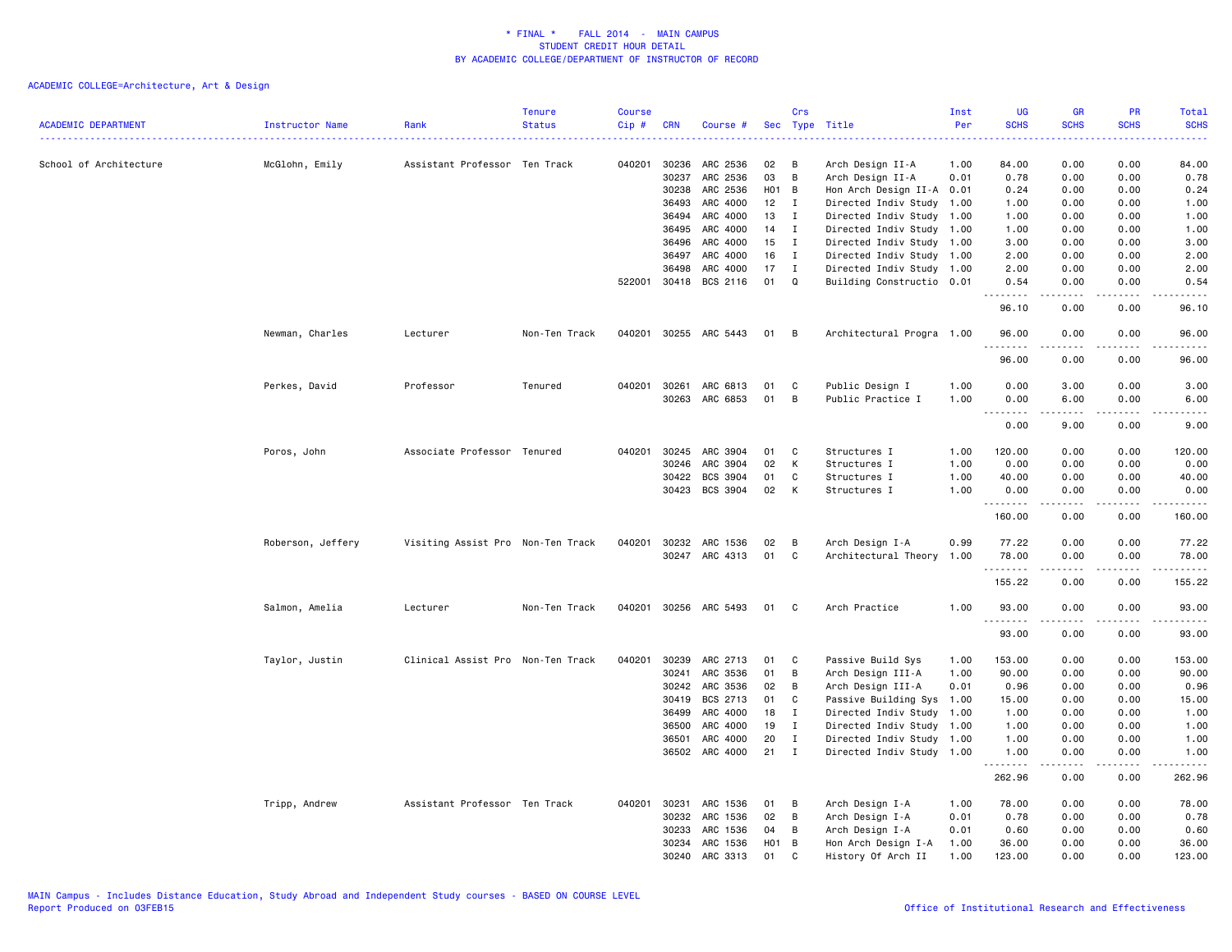| <b>ACADEMIC DEPARTMENT</b> | Instructor Name   | Rank                              | <b>Tenure</b><br><b>Status</b> | <b>Course</b><br>Cip# | <b>CRN</b>   | Course #              |       | Crs          | Sec Type Title            | Inst<br>Per | <b>UG</b><br><b>SCHS</b> | <b>GR</b><br><b>SCHS</b> | PR<br><b>SCHS</b>     | Total<br><b>SCHS</b><br>$\frac{1}{2} \left( \frac{1}{2} \right) \left( \frac{1}{2} \right) \left( \frac{1}{2} \right) \left( \frac{1}{2} \right)$ |
|----------------------------|-------------------|-----------------------------------|--------------------------------|-----------------------|--------------|-----------------------|-------|--------------|---------------------------|-------------|--------------------------|--------------------------|-----------------------|---------------------------------------------------------------------------------------------------------------------------------------------------|
| School of Architecture     | McGlohn, Emily    | Assistant Professor Ten Track     |                                | 040201                | 30236        | ARC 2536              | 02    | в            | Arch Design II-A          | 1.00        | 84.00                    | 0.00                     | 0.00                  | 84.00                                                                                                                                             |
|                            |                   |                                   |                                |                       | 30237        | ARC 2536              | 03    | B            | Arch Design II-A          | 0.01        | 0.78                     | 0.00                     | 0.00                  | 0.78                                                                                                                                              |
|                            |                   |                                   |                                |                       | 30238        | ARC 2536              | H01 B |              | Hon Arch Design II-A 0.01 |             | 0.24                     | 0.00                     | 0.00                  | 0.24                                                                                                                                              |
|                            |                   |                                   |                                |                       | 36493        | ARC 4000              | 12    | $\mathbf{I}$ | Directed Indiv Study 1.00 |             | 1.00                     | 0.00                     | 0.00                  | 1.00                                                                                                                                              |
|                            |                   |                                   |                                |                       | 36494        | ARC 4000              | 13    | $\mathbf{I}$ | Directed Indiv Study 1.00 |             | 1.00                     | 0.00                     | 0.00                  | 1.00                                                                                                                                              |
|                            |                   |                                   |                                |                       | 36495        | ARC 4000              | 14    | $\mathbf{I}$ | Directed Indiv Study 1.00 |             | 1.00                     | 0.00                     | 0.00                  | 1.00                                                                                                                                              |
|                            |                   |                                   |                                |                       | 36496        | ARC 4000              | 15    | $\mathbf I$  | Directed Indiv Study 1.00 |             | 3.00                     | 0.00                     | 0.00                  | 3.00                                                                                                                                              |
|                            |                   |                                   |                                |                       | 36497        | ARC 4000              | 16    | I            | Directed Indiv Study 1.00 |             | 2.00                     | 0.00                     | 0.00                  | 2.00                                                                                                                                              |
|                            |                   |                                   |                                |                       | 36498        | ARC 4000              | 17    | $\mathbf{I}$ | Directed Indiv Study 1.00 |             | 2.00                     | 0.00                     | 0.00                  | 2.00                                                                                                                                              |
|                            |                   |                                   |                                |                       | 522001 30418 | BCS 2116              | 01    | Q            | Building Constructio 0.01 |             | 0.54<br>.                | 0.00<br>.                | 0.00<br>$- - - -$     | 0.54<br>$\sim$ $\sim$ $\sim$ $\sim$                                                                                                               |
|                            |                   |                                   |                                |                       |              |                       |       |              |                           |             | 96.10                    | 0.00                     | 0.00                  | 96.10                                                                                                                                             |
|                            | Newman, Charles   | Lecturer                          | Non-Ten Track                  | 040201                |              | 30255 ARC 5443        | 01    | B            | Architectural Progra 1.00 |             | 96.00<br>.               | 0.00                     | 0.00                  | 96.00                                                                                                                                             |
|                            |                   |                                   |                                |                       |              |                       |       |              |                           |             | 96.00                    | 0.00                     | 0.00                  | 96.00                                                                                                                                             |
|                            | Perkes, David     | Professor                         | Tenured                        |                       | 040201 30261 | ARC 6813              | 01    | C            | Public Design I           | 1.00        | 0.00                     | 3.00                     | 0.00                  | 3.00                                                                                                                                              |
|                            |                   |                                   |                                |                       | 30263        | ARC 6853              | 01    | В            | Public Practice I         | 1.00        | 0.00                     | 6.00                     | 0.00                  | 6.00                                                                                                                                              |
|                            |                   |                                   |                                |                       |              |                       |       |              |                           |             | .<br>$ -$<br>0.00        | .<br>9.00                | $- - - -$<br>0.00     | .<br>9.00                                                                                                                                         |
|                            |                   |                                   |                                |                       |              |                       |       |              |                           |             |                          |                          |                       |                                                                                                                                                   |
|                            | Poros, John       | Associate Professor Tenured       |                                | 040201                | 30245        | ARC 3904              | 01    | C            | Structures I              | 1.00        | 120.00                   | 0.00                     | 0.00                  | 120.00                                                                                                                                            |
|                            |                   |                                   |                                |                       | 30246        | ARC 3904              | 02    | К            | Structures I              | 1.00        | 0.00                     | 0.00                     | 0.00                  | 0.00                                                                                                                                              |
|                            |                   |                                   |                                |                       | 30422        | BCS 3904              | 01    | C            | Structures I              | 1.00        | 40.00                    | 0.00                     | 0.00                  | 40.00                                                                                                                                             |
|                            |                   |                                   |                                |                       | 30423        | BCS 3904              | 02    | К            | Structures I              | 1.00        | 0.00<br>.                | 0.00                     | 0.00<br>$\frac{1}{2}$ | 0.00<br>.                                                                                                                                         |
|                            |                   |                                   |                                |                       |              |                       |       |              |                           |             | 160.00                   | 0.00                     | 0.00                  | 160.00                                                                                                                                            |
|                            | Roberson, Jeffery | Visiting Assist Pro Non-Ten Track |                                |                       |              | 040201 30232 ARC 1536 | 02    | В            | Arch Design I-A           | 0.99        | 77.22                    | 0.00                     | 0.00                  | 77.22                                                                                                                                             |
|                            |                   |                                   |                                |                       |              | 30247 ARC 4313        | 01    | C            | Architectural Theory 1.00 |             | 78.00                    | 0.00                     | 0.00                  | 78.00                                                                                                                                             |
|                            |                   |                                   |                                |                       |              |                       |       |              |                           |             | .                        | .<br>0.00                | .<br>0.00             | .<br>155.22                                                                                                                                       |
|                            |                   |                                   |                                |                       |              |                       |       |              |                           |             | 155.22                   |                          |                       |                                                                                                                                                   |
|                            | Salmon, Amelia    | Lecturer                          | Non-Ten Track                  |                       |              | 040201 30256 ARC 5493 | 01    | C            | Arch Practice             | 1.00        | 93.00<br>.               | 0.00                     | 0.00                  | 93.00                                                                                                                                             |
|                            |                   |                                   |                                |                       |              |                       |       |              |                           |             | 93.00                    | 0.00                     | 0.00                  | 93.00                                                                                                                                             |
|                            | Taylor, Justin    | Clinical Assist Pro Non-Ten Track |                                | 040201                | 30239        | ARC 2713              | 01    | C            | Passive Build Sys         | 1.00        | 153.00                   | 0.00                     | 0.00                  | 153.00                                                                                                                                            |
|                            |                   |                                   |                                |                       | 30241        | ARC 3536              | 01    | В            | Arch Design III-A         | 1.00        | 90.00                    | 0.00                     | 0.00                  | 90.00                                                                                                                                             |
|                            |                   |                                   |                                |                       | 30242        | ARC 3536              | 02    | В            | Arch Design III-A         | 0.01        | 0.96                     | 0.00                     | 0.00                  | 0.96                                                                                                                                              |
|                            |                   |                                   |                                |                       | 30419        | BCS 2713              | 01    | C            | Passive Building Sys 1.00 |             | 15.00                    | 0.00                     | 0.00                  | 15.00                                                                                                                                             |
|                            |                   |                                   |                                |                       | 36499        | ARC 4000              | 18    | $\mathbf{I}$ | Directed Indiv Study 1.00 |             | 1.00                     | 0.00                     | 0.00                  | 1.00                                                                                                                                              |
|                            |                   |                                   |                                |                       | 36500        | ARC 4000              | 19    | $\mathbf{I}$ | Directed Indiv Study 1.00 |             | 1.00                     | 0.00                     | 0.00                  | 1.00                                                                                                                                              |
|                            |                   |                                   |                                |                       | 36501        | ARC 4000              | 20    | $\mathbf I$  | Directed Indiv Study 1.00 |             | 1.00                     | 0.00                     | 0.00                  | 1.00                                                                                                                                              |
|                            |                   |                                   |                                |                       |              | 36502 ARC 4000        | 21    | $\mathbf I$  | Directed Indiv Study 1.00 |             | 1.00                     | 0.00                     | 0.00                  | 1.00                                                                                                                                              |
|                            |                   |                                   |                                |                       |              |                       |       |              |                           |             | 262.96                   | 0.00                     | 0.00                  | 262.96                                                                                                                                            |
|                            | Tripp, Andrew     | Assistant Professor Ten Track     |                                | 040201                | 30231        | ARC 1536              | 01    | В            | Arch Design I-A           | 1.00        | 78.00                    | 0.00                     | 0.00                  | 78.00                                                                                                                                             |
|                            |                   |                                   |                                |                       | 30232        | ARC 1536              | 02    | В            | Arch Design I-A           | 0.01        | 0.78                     | 0.00                     | 0.00                  | 0.78                                                                                                                                              |
|                            |                   |                                   |                                |                       | 30233        | ARC 1536              | 04    | В            | Arch Design I-A           | 0.01        | 0.60                     | 0.00                     | 0.00                  | 0.60                                                                                                                                              |
|                            |                   |                                   |                                |                       | 30234        | ARC 1536              | H01   | B            | Hon Arch Design I-A       | 1.00        | 36.00                    | 0.00                     | 0.00                  | 36.00                                                                                                                                             |
|                            |                   |                                   |                                |                       | 30240        | ARC 3313              | 01    | C            | History Of Arch II        | 1.00        | 123.00                   | 0.00                     | 0.00                  | 123.00                                                                                                                                            |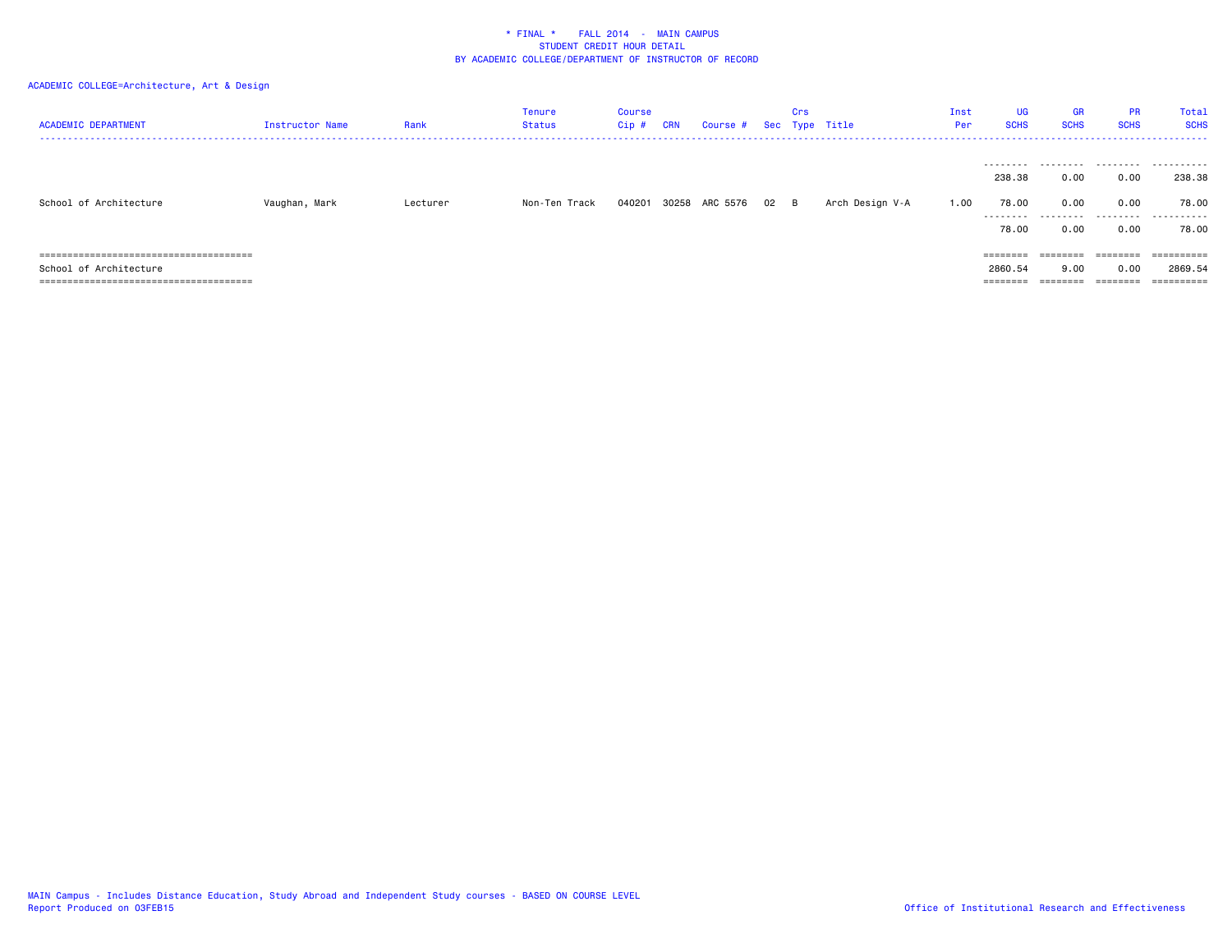| <b>ACADEMIC DEPARTMENT</b> | Instructor Name | Rank     | Tenure<br><b>Status</b> | Course<br>Cip# | <b>CRN</b> | Course # Sec Type Title |      | Crs |                 | Inst<br>Per | <b>UG</b><br><b>SCHS</b>      | GR<br><b>SCHS</b>         | <b>PR</b><br><b>SCHS</b>                                                | Total<br><b>SCHS</b>          |
|----------------------------|-----------------|----------|-------------------------|----------------|------------|-------------------------|------|-----|-----------------|-------------|-------------------------------|---------------------------|-------------------------------------------------------------------------|-------------------------------|
| School of Architecture     | Vaughan, Mark   | Lecturer | Non-Ten Track           | 040201         |            | 30258 ARC 5576          | 02 B |     | Arch Design V-A | 1.00        | 238.38<br>78.00<br>.<br>78.00 | 0.00<br>0.00<br>.<br>0.00 | 0.00<br>0.00<br>.<br>0.00                                               | 238.38<br>78.00<br>.<br>78.00 |
|                            |                 |          |                         |                |            |                         |      |     |                 |             | ========                      | $=$ = = = = = = =         | $\qquad \qquad \equiv \equiv \equiv \equiv \equiv \equiv \equiv \equiv$ |                               |
| School of Architecture     |                 |          |                         |                |            |                         |      |     |                 |             | 2860.54                       | 9.00                      | 0.00                                                                    | 2869.54                       |
|                            |                 |          |                         |                |            |                         |      |     |                 |             |                               | ----                      | ========                                                                |                               |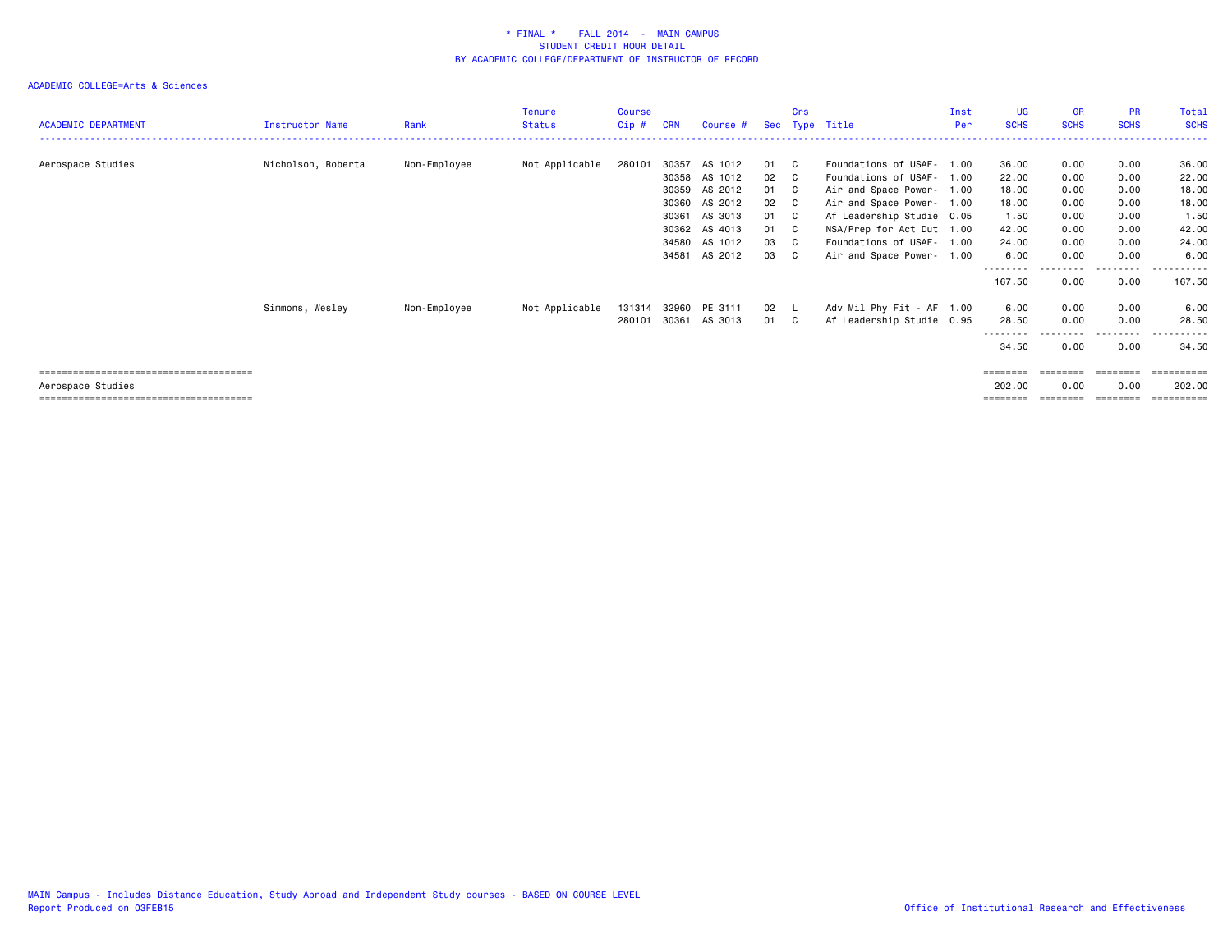| <b>ACADEMIC DEPARTMENT</b> | <b>Instructor Name</b> | Rank         | <b>Tenure</b><br><b>Status</b> | Course<br>$Cip$ # | <b>CRN</b> | Course #      | Sec | Crs | Type Title                | Inst<br>Per | UG<br><b>SCHS</b>  | GR<br><b>SCHS</b> | <b>PR</b><br><b>SCHS</b>                                                | Total<br><b>SCHS</b>   |
|----------------------------|------------------------|--------------|--------------------------------|-------------------|------------|---------------|-----|-----|---------------------------|-------------|--------------------|-------------------|-------------------------------------------------------------------------|------------------------|
|                            |                        |              |                                |                   |            |               |     |     |                           |             |                    |                   |                                                                         |                        |
| Aerospace Studies          | Nicholson, Roberta     | Non-Employee | Not Applicable                 | 280101            | 30357      | AS 1012       | 01  | C   | Foundations of USAF- 1.00 |             | 36.00              | 0.00              | 0.00                                                                    | 36.00                  |
|                            |                        |              |                                |                   | 30358      | AS 1012       | 02  | C.  | Foundations of USAF-      | 1.00        | 22.00              | 0.00              | 0.00                                                                    | 22.00                  |
|                            |                        |              |                                |                   | 30359      | AS 2012       | 01  | C.  | Air and Space Power- 1.00 |             | 18.00              | 0.00              | 0.00                                                                    | 18.00                  |
|                            |                        |              |                                |                   | 30360      | AS 2012       | 02  | C   | Air and Space Power- 1.00 |             | 18.00              | 0.00              | 0.00                                                                    | 18.00                  |
|                            |                        |              |                                |                   | 30361      | AS 3013       | 01  | C.  | Af Leadership Studie 0.05 |             | 1.50               | 0.00              | 0.00                                                                    | 1.50                   |
|                            |                        |              |                                |                   | 30362      | AS 4013       | 01  | C.  | NSA/Prep for Act Dut 1.00 |             | 42.00              | 0.00              | 0.00                                                                    | 42.00                  |
|                            |                        |              |                                |                   | 34580      | AS 1012       | 03  | C.  | Foundations of USAF- 1.00 |             | 24.00              | 0.00              | 0.00                                                                    | 24.00                  |
|                            |                        |              |                                |                   | 34581      | AS 2012       | 03  | C.  | Air and Space Power- 1.00 |             | 6.00               | 0.00              | 0.00                                                                    | 6.00                   |
|                            |                        |              |                                |                   |            |               |     |     |                           |             | --------<br>167.50 | 0.00              | .<br>0.00                                                               | . <b>.</b> .<br>167.50 |
|                            | Simmons, Wesley        | Non-Employee | Not Applicable                 | 131314            |            | 32960 PE 3111 | 02  | - L | Adv Mil Phy Fit - AF 1.00 |             | 6.00               | 0.00              | 0.00                                                                    | 6.00                   |
|                            |                        |              |                                | 280101            | 30361      | AS 3013       | 01  | C.  | Af Leadership Studie 0.95 |             | 28.50              | 0.00              | 0.00                                                                    | 28.50                  |
|                            |                        |              |                                |                   |            |               |     |     |                           |             | --------<br>34.50  | 0.00              | --------<br>0.00                                                        | . <b>.</b> .<br>34.50  |
|                            |                        |              |                                |                   |            |               |     |     |                           |             | ========           | $=$ = = = = = = = | $\qquad \qquad \equiv \equiv \equiv \equiv \equiv \equiv \equiv \equiv$ |                        |
| Aerospace Studies          |                        |              |                                |                   |            |               |     |     |                           |             | 202.00             | 0.00              | 0.00                                                                    | 202.00                 |
|                            |                        |              |                                |                   |            |               |     |     |                           |             |                    |                   |                                                                         | ==========             |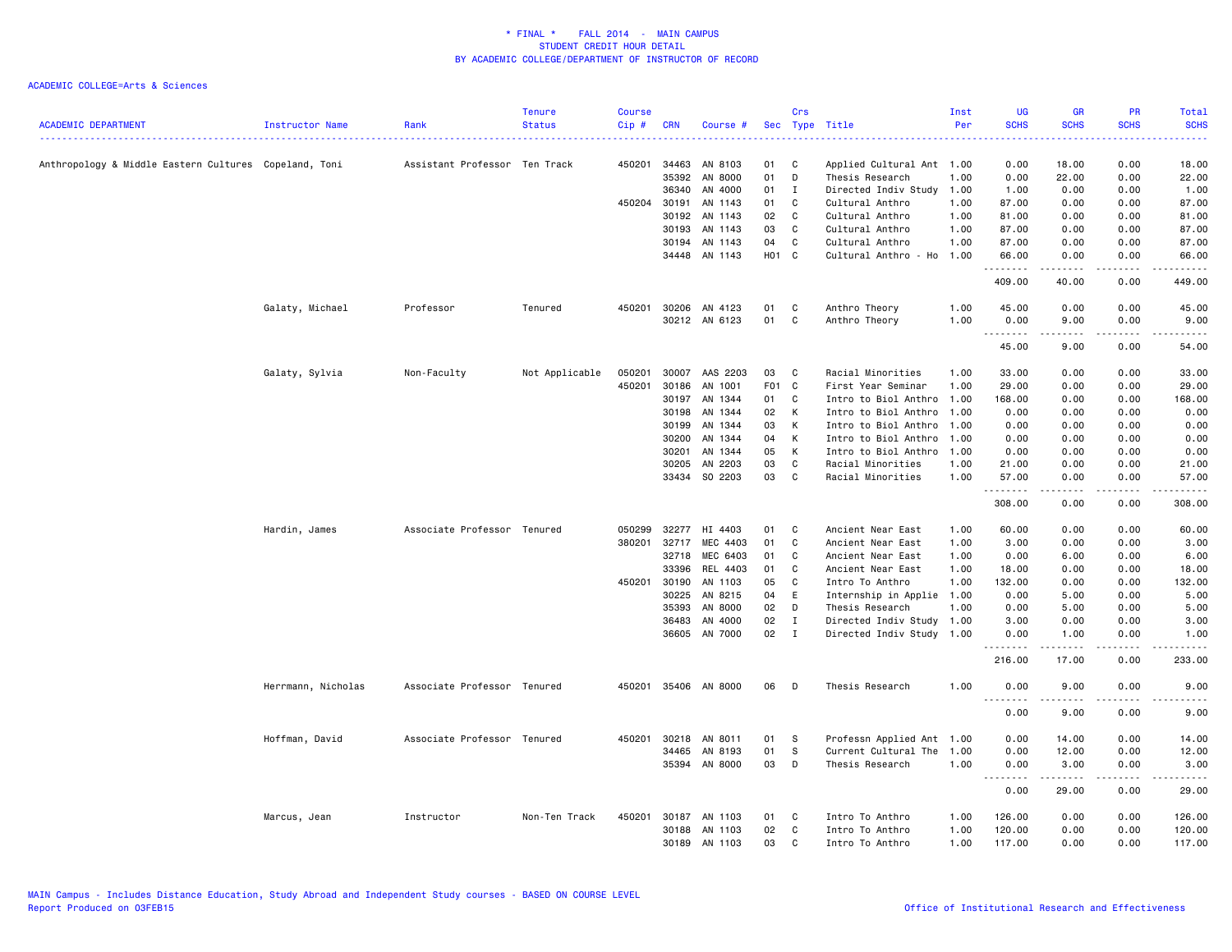| <b>ACADEMIC DEPARTMENT</b>                            | Instructor Name    | Rank                          | <b>Tenure</b><br><b>Status</b> | <b>Course</b><br>Cip# | <b>CRN</b> | Course #             | Sec             | Crs            | Type Title                | Inst<br>Per | <b>UG</b><br><b>SCHS</b>          | <b>GR</b><br><b>SCHS</b> | <b>PR</b><br><b>SCHS</b>                                                                                                          | Total<br><b>SCHS</b>      |
|-------------------------------------------------------|--------------------|-------------------------------|--------------------------------|-----------------------|------------|----------------------|-----------------|----------------|---------------------------|-------------|-----------------------------------|--------------------------|-----------------------------------------------------------------------------------------------------------------------------------|---------------------------|
| Anthropology & Middle Eastern Cultures Copeland, Toni |                    | Assistant Professor Ten Track |                                | 450201                | 34463      | AN 8103              | 01              | C              | Applied Cultural Ant 1.00 |             | 0.00                              | 18.00                    | 0.00                                                                                                                              | 18.00                     |
|                                                       |                    |                               |                                |                       | 35392      | AN 8000              | 01              | D              | Thesis Research           | 1.00        | 0.00                              | 22.00                    | 0.00                                                                                                                              | 22.00                     |
|                                                       |                    |                               |                                |                       | 36340      | AN 4000              | 01              | $\mathbf{I}$   | Directed Indiv Study      | 1.00        | 1.00                              | 0.00                     | 0.00                                                                                                                              | 1.00                      |
|                                                       |                    |                               |                                | 450204                | 30191      | AN 1143              | 01              | C              | Cultural Anthro           | 1.00        | 87.00                             | 0.00                     | 0.00                                                                                                                              | 87.00                     |
|                                                       |                    |                               |                                |                       | 30192      | AN 1143              | 02              | C              | Cultural Anthro           | 1.00        | 81.00                             | 0.00                     | 0.00                                                                                                                              | 81.00                     |
|                                                       |                    |                               |                                |                       | 30193      | AN 1143              | 03              | C              | Cultural Anthro           | 1.00        | 87.00                             | 0.00                     | 0.00                                                                                                                              | 87.00                     |
|                                                       |                    |                               |                                |                       | 30194      | AN 1143              | 04              | C              | Cultural Anthro           | 1.00        | 87.00                             | 0.00                     | 0.00                                                                                                                              | 87.00                     |
|                                                       |                    |                               |                                |                       |            | 34448 AN 1143        | <b>HO1</b>      | C <sub>1</sub> | Cultural Anthro - Ho 1.00 |             | 66.00<br>.                        | 0.00<br>.                | 0.00<br>$\frac{1}{2}$                                                                                                             | 66.00<br>.                |
|                                                       |                    |                               |                                |                       |            |                      |                 |                |                           |             | 409.00                            | 40.00                    | 0.00                                                                                                                              | 449.00                    |
|                                                       | Galaty, Michael    | Professor                     | Tenured                        | 450201                | 30206      | AN 4123              | 01              | C              | Anthro Theory             | 1.00        | 45.00                             | 0.00                     | 0.00                                                                                                                              | 45.00                     |
|                                                       |                    |                               |                                |                       |            | 30212 AN 6123        | 01              | C              | Anthro Theory             | 1.00        | 0.00                              | 9.00                     | 0.00                                                                                                                              | 9.00                      |
|                                                       |                    |                               |                                |                       |            |                      |                 |                |                           |             | .<br>45.00                        | 9.00                     | 0.00                                                                                                                              | 54.00                     |
|                                                       | Galaty, Sylvia     | Non-Faculty                   | Not Applicable                 | 050201                | 30007      | AAS 2203             | 03              | C              | Racial Minorities         | 1.00        | 33.00                             | 0.00                     | 0.00                                                                                                                              | 33.00                     |
|                                                       |                    |                               |                                | 450201                | 30186      | AN 1001              | F <sub>01</sub> | C              | First Year Seminar        | 1.00        | 29.00                             | 0.00                     | 0.00                                                                                                                              | 29.00                     |
|                                                       |                    |                               |                                |                       | 30197      | AN 1344              | 01              | C              | Intro to Biol Anthro      | 1.00        | 168.00                            | 0.00                     | 0.00                                                                                                                              | 168.00                    |
|                                                       |                    |                               |                                |                       | 30198      | AN 1344              | 02              | K              | Intro to Biol Anthro      | 1.00        | 0.00                              | 0.00                     | 0.00                                                                                                                              | 0.00                      |
|                                                       |                    |                               |                                |                       | 30199      | AN 1344              | 03              | K              | Intro to Biol Anthro      | 1.00        | 0.00                              | 0.00                     | 0.00                                                                                                                              | 0.00                      |
|                                                       |                    |                               |                                |                       | 30200      | AN 1344              | 04              | К              | Intro to Biol Anthro      | 1.00        | 0.00                              | 0.00                     | 0.00                                                                                                                              | 0.00                      |
|                                                       |                    |                               |                                |                       | 30201      | AN 1344              | 05              | K              | Intro to Biol Anthro      | 1.00        | 0.00                              | 0.00                     | 0.00                                                                                                                              | 0.00                      |
|                                                       |                    |                               |                                |                       | 30205      | AN 2203              | 03              | C              | Racial Minorities         | 1.00        | 21.00                             | 0.00                     | 0.00                                                                                                                              | 21.00                     |
|                                                       |                    |                               |                                |                       | 33434      | SO 2203              | 03              | C              | Racial Minorities         | 1.00        | 57.00                             | 0.00                     | 0.00                                                                                                                              | 57.00                     |
|                                                       |                    |                               |                                |                       |            |                      |                 |                |                           |             | .<br>308.00                       | .<br>0.00                | .<br>0.00                                                                                                                         | .<br>308.00               |
|                                                       | Hardin, James      | Associate Professor Tenured   |                                | 050299                | 32277      | HI 4403              | 01              | C              | Ancient Near East         | 1.00        | 60.00                             | 0.00                     | 0.00                                                                                                                              | 60.00                     |
|                                                       |                    |                               |                                | 380201                | 32717      | MEC 4403             | 01              | C              | Ancient Near East         | 1.00        | 3.00                              | 0.00                     | 0.00                                                                                                                              | 3.00                      |
|                                                       |                    |                               |                                |                       | 32718      | MEC 6403             | 01              | C              | Ancient Near East         | 1.00        | 0.00                              | 6.00                     | 0.00                                                                                                                              | 6.00                      |
|                                                       |                    |                               |                                |                       | 33396      | REL 4403             | 01              | C              | Ancient Near East         | 1.00        | 18.00                             | 0.00                     | 0.00                                                                                                                              | 18.00                     |
|                                                       |                    |                               |                                | 450201                | 30190      | AN 1103              | 05              | C              | Intro To Anthro           | 1.00        | 132.00                            | 0.00                     | 0.00                                                                                                                              | 132.00                    |
|                                                       |                    |                               |                                |                       | 30225      | AN 8215              | 04              | E              | Internship in Applie 1.00 |             | 0.00                              | 5.00                     | 0.00                                                                                                                              | 5.00                      |
|                                                       |                    |                               |                                |                       | 35393      | AN 8000              | 02              | D              | Thesis Research           | 1.00        | 0.00                              | 5.00                     | 0.00                                                                                                                              | 5.00                      |
|                                                       |                    |                               |                                |                       | 36483      | AN 4000              | 02              | I              | Directed Indiv Study 1.00 |             | 3.00                              | 0.00                     | 0.00                                                                                                                              | 3.00                      |
|                                                       |                    |                               |                                |                       |            | 36605 AN 7000        | 02              | $\mathbf{I}$   | Directed Indiv Study 1.00 |             | 0.00<br>.                         | 1.00<br>.                | 0.00<br>$\frac{1}{2} \left( \frac{1}{2} \right) \left( \frac{1}{2} \right) \left( \frac{1}{2} \right) \left( \frac{1}{2} \right)$ | 1.00<br>.                 |
|                                                       |                    |                               |                                |                       |            |                      |                 |                |                           |             | 216.00                            | 17.00                    | 0.00                                                                                                                              | 233.00                    |
|                                                       | Herrmann, Nicholas | Associate Professor Tenured   |                                |                       |            | 450201 35406 AN 8000 | 06              | D              | Thesis Research           | 1.00        | 0.00<br>$\sim$ $\sim$ $\sim$<br>. | 9.00<br>.                | 0.00<br>.                                                                                                                         | 9.00<br>المالم المالية ال |
|                                                       |                    |                               |                                |                       |            |                      |                 |                |                           |             | 0.00                              | 9.00                     | 0.00                                                                                                                              | 9.00                      |
|                                                       | Hoffman, David     | Associate Professor Tenured   |                                | 450201                | 30218      | AN 8011              | 01              | S              | Professn Applied Ant 1.00 |             | 0.00                              | 14.00                    | 0.00                                                                                                                              | 14.00                     |
|                                                       |                    |                               |                                |                       | 34465      | AN 8193              | 01              | -S             | Current Cultural The      | 1.00        | 0.00                              | 12.00                    | 0.00                                                                                                                              | 12.00                     |
|                                                       |                    |                               |                                |                       |            | 35394 AN 8000        | 03              | D              | Thesis Research           | 1.00        | 0.00<br>$\frac{1}{2}$<br>.        | 3.00<br>.                | 0.00<br>.                                                                                                                         | 3.00<br>.                 |
|                                                       |                    |                               |                                |                       |            |                      |                 |                |                           |             | 0.00                              | 29.00                    | 0.00                                                                                                                              | 29.00                     |
|                                                       | Marcus, Jean       | Instructor                    | Non-Ten Track                  | 450201                | 30187      | AN 1103              | 01              | C              | Intro To Anthro           | 1.00        | 126.00                            | 0.00                     | 0.00                                                                                                                              | 126.00                    |
|                                                       |                    |                               |                                |                       |            | 30188 AN 1103        | 02              | C              | Intro To Anthro           | 1.00        | 120.00                            | 0.00                     | 0.00                                                                                                                              | 120.00                    |
|                                                       |                    |                               |                                |                       | 30189      | AN 1103              | 03              | C.             | Intro To Anthro           | 1.00        | 117.00                            | 0.00                     | 0.00                                                                                                                              | 117.00                    |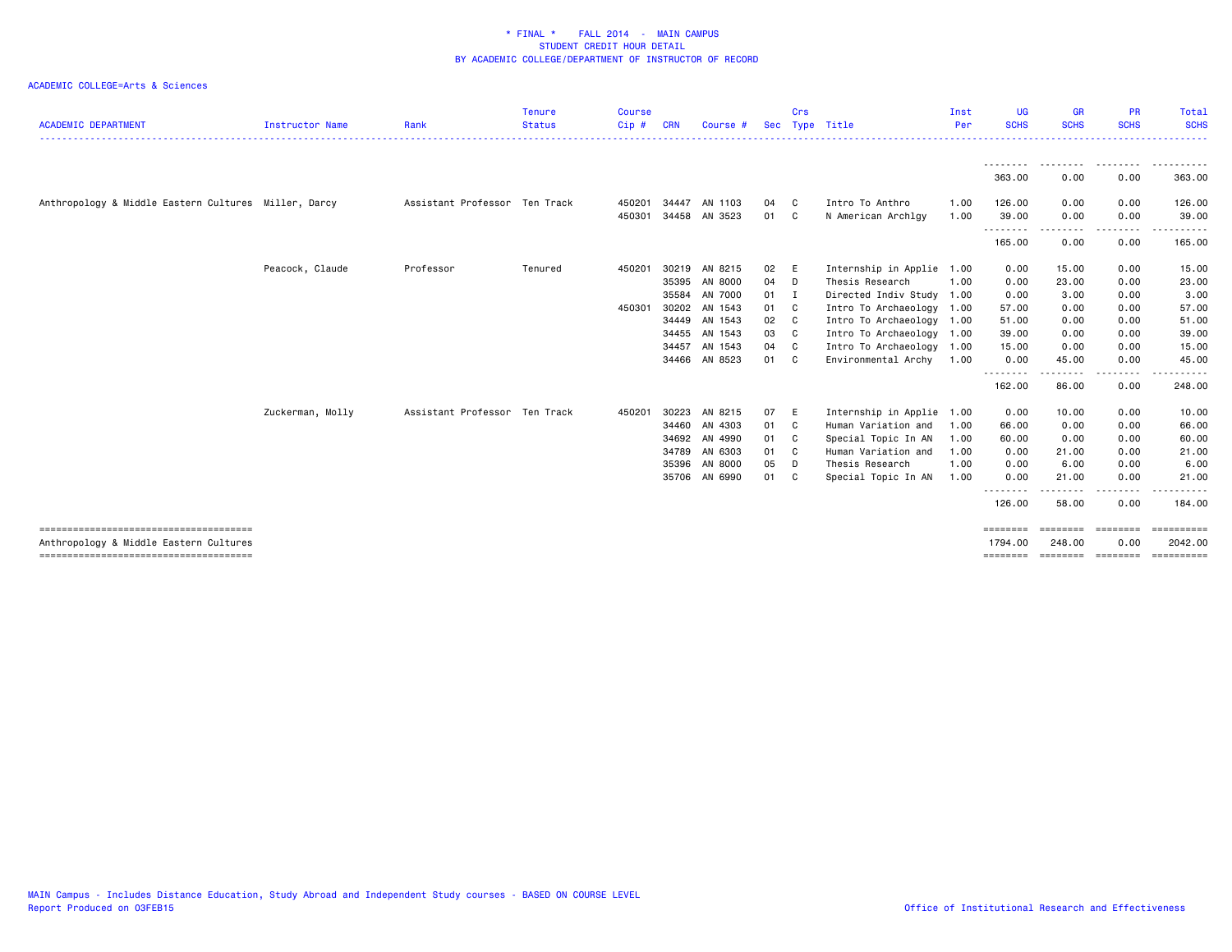| <b>ACADEMIC DEPARTMENT</b>                                                      | Instructor Name  | Rank                          | <b>Tenure</b><br><b>Status</b> | <b>Course</b><br>Cip# | <b>CRN</b>                       | Course #                                                                   | Sec                              | Crs                          | Type Title                                                                                                                               | Inst<br>Per                          | <b>UG</b><br><b>SCHS</b>                       | <b>GR</b><br><b>SCHS</b>                        | <b>PR</b><br><b>SCHS</b>                     | Total<br><b>SCHS</b>                              |
|---------------------------------------------------------------------------------|------------------|-------------------------------|--------------------------------|-----------------------|----------------------------------|----------------------------------------------------------------------------|----------------------------------|------------------------------|------------------------------------------------------------------------------------------------------------------------------------------|--------------------------------------|------------------------------------------------|-------------------------------------------------|----------------------------------------------|---------------------------------------------------|
|                                                                                 |                  |                               |                                |                       |                                  |                                                                            |                                  |                              |                                                                                                                                          |                                      | 363.00                                         | 0.00                                            | 0.00                                         | 363.00                                            |
| Anthropology & Middle Eastern Cultures Miller, Darcy                            |                  | Assistant Professor Ten Track |                                | 450201<br>450301      | 34447<br>34458                   | AN 1103<br>AN 3523                                                         | 04<br>01                         | C<br>C                       | Intro To Anthro<br>N American Archlgy                                                                                                    | 1.00<br>1.00                         | 126.00<br>39.00                                | 0.00<br>0.00                                    | 0.00<br>0.00                                 | 126.00<br>39.00                                   |
|                                                                                 |                  |                               |                                |                       |                                  |                                                                            |                                  |                              |                                                                                                                                          |                                      | .<br>165.00                                    | 0.00                                            | 0.00                                         | $\frac{1}{2}$<br>165.00                           |
|                                                                                 | Peacock, Claude  | Professor                     | Tenured                        | 450201                | 30219<br>35395<br>35584          | AN 8215<br>AN 8000<br>AN 7000                                              | 02<br>04<br>01                   | E<br>D<br>I                  | Internship in Applie 1.00<br>Thesis Research<br>Directed Indiv Study 1.00                                                                | 1.00                                 | 0.00<br>0.00<br>0.00                           | 15.00<br>23.00<br>3.00                          | 0.00<br>0.00<br>0.00                         | 15.00<br>23.00<br>3.00                            |
|                                                                                 |                  |                               |                                | 450301                | 30202<br>34455                   | AN 1543<br>34449 AN 1543<br>AN 1543                                        | 01<br>02<br>03                   | C.<br>C<br>C.                | Intro To Archaeology 1.00<br>Intro To Archaeology 1.00<br>Intro To Archaeology 1.00                                                      |                                      | 57.00<br>51.00<br>39.00                        | 0.00<br>0.00<br>0.00                            | 0.00<br>0.00<br>0.00                         | 57.00<br>51.00<br>39.00                           |
|                                                                                 |                  |                               |                                |                       | 34457                            | AN 1543<br>34466 AN 8523                                                   | 04<br>01                         | C<br>C.                      | Intro To Archaeology 1.00<br>Environmental Archy 1.00                                                                                    |                                      | 15.00<br>0.00<br>--------                      | 0.00<br>45.00<br>.                              | 0.00<br>0.00<br>-----                        | 15.00<br>45.00<br>.                               |
|                                                                                 |                  |                               |                                |                       |                                  |                                                                            |                                  |                              |                                                                                                                                          |                                      | 162.00                                         | 86.00                                           | 0.00                                         | 248.00                                            |
|                                                                                 | Zuckerman, Molly | Assistant Professor Ten Track |                                | 450201                | 30223<br>34460<br>34789<br>35396 | AN 8215<br>AN 4303<br>34692 AN 4990<br>AN 6303<br>AN 8000<br>35706 AN 6990 | 07<br>01<br>01<br>01<br>05<br>01 | E<br>C<br>C.<br>C.<br>D<br>C | Internship in Applie 1.00<br>Human Variation and<br>Special Topic In AN<br>Human Variation and<br>Thesis Research<br>Special Topic In AN | 1.00<br>1.00<br>1.00<br>1.00<br>1.00 | 0.00<br>66.00<br>60.00<br>0.00<br>0.00<br>0.00 | 10.00<br>0.00<br>0.00<br>21.00<br>6.00<br>21.00 | 0.00<br>0.00<br>0.00<br>0.00<br>0.00<br>0.00 | 10.00<br>66.00<br>60.00<br>21.00<br>6.00<br>21.00 |
|                                                                                 |                  |                               |                                |                       |                                  |                                                                            |                                  |                              |                                                                                                                                          |                                      | .<br>126.00                                    | 58.00                                           | . <b>.</b> .<br>0.00                         | . <b>.</b> .<br>184.00                            |
| Anthropology & Middle Eastern Cultures<br>------------------------------------- |                  |                               |                                |                       |                                  |                                                                            |                                  |                              |                                                                                                                                          |                                      | ========<br>1794.00<br>========                | ========<br>248.00<br><b>ESSESSED</b>           | ========<br>0.00<br>========                 | ==========<br>2042.00<br>==========               |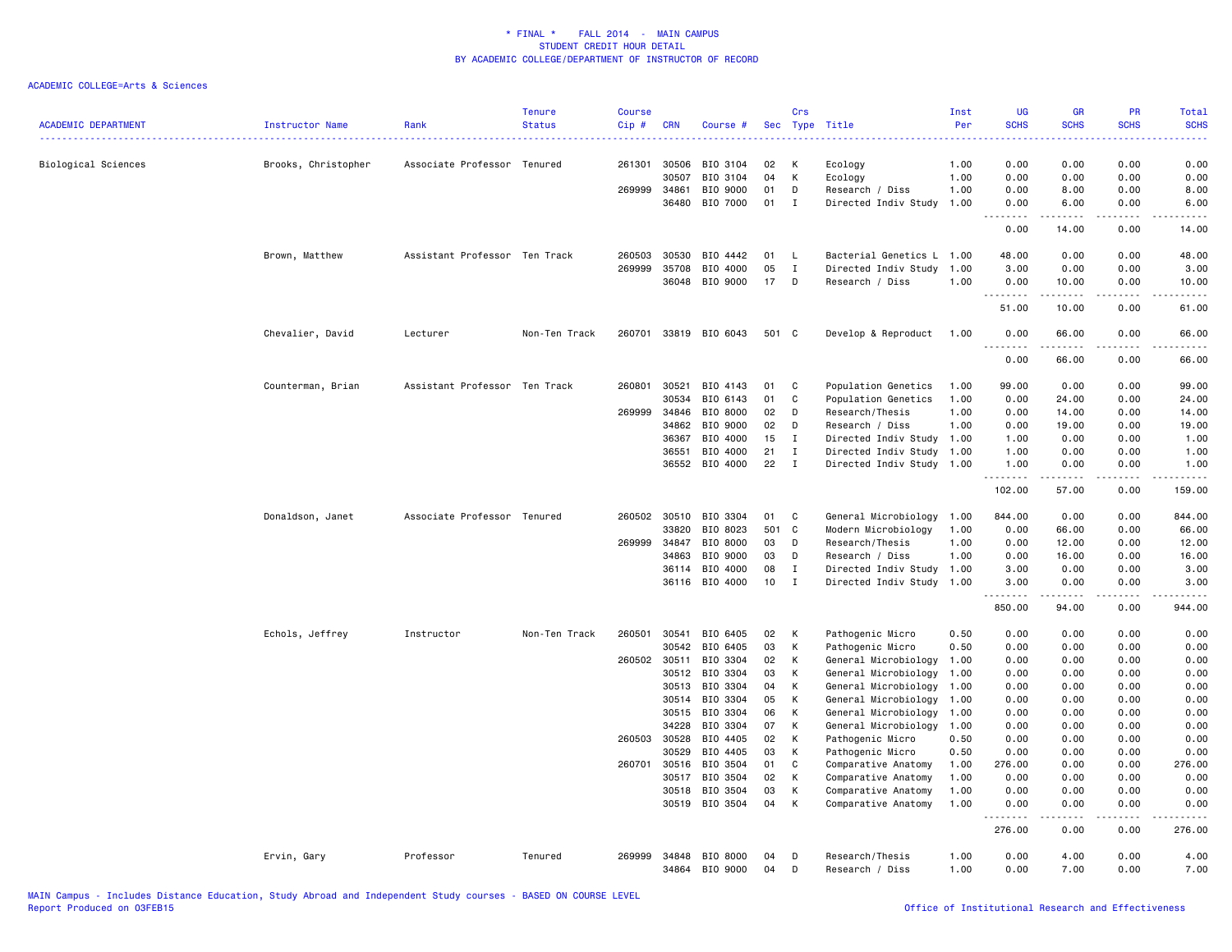| <b>ACADEMIC DEPARTMENT</b> | <b>Instructor Name</b> | Rank                          | <b>Tenure</b><br><b>Status</b> | <b>Course</b><br>$Cip$ # | <b>CRN</b>     | Course #             | Sec      | Crs<br>Type       | Title                                      | Inst<br>Per  | <b>UG</b><br><b>SCHS</b> | <b>GR</b><br><b>SCHS</b> | PR<br><b>SCHS</b>            | Total<br><b>SCHS</b>                                                                                                                                         |
|----------------------------|------------------------|-------------------------------|--------------------------------|--------------------------|----------------|----------------------|----------|-------------------|--------------------------------------------|--------------|--------------------------|--------------------------|------------------------------|--------------------------------------------------------------------------------------------------------------------------------------------------------------|
|                            |                        |                               |                                |                          |                |                      |          |                   |                                            |              | $  -$                    |                          |                              | <b>.</b> .                                                                                                                                                   |
| Biological Sciences        | Brooks, Christopher    | Associate Professor Tenured   |                                | 261301                   | 30506          | BIO 3104             | 02       | к                 | Ecology                                    | 1.00         | 0.00                     | 0.00                     | 0.00                         | 0.00                                                                                                                                                         |
|                            |                        |                               |                                |                          | 30507          | BIO 3104             | 04       | К                 | Ecology                                    | 1.00         | 0.00                     | 0.00                     | 0.00                         | 0.00                                                                                                                                                         |
|                            |                        |                               |                                | 269999                   | 34861          | BIO 9000             | 01       | D                 | Research / Diss                            | 1.00         | 0.00                     | 8.00                     | 0.00                         | 8.00                                                                                                                                                         |
|                            |                        |                               |                                |                          | 36480          | BIO 7000             | 01       | Ι                 | Directed Indiv Study                       | 1.00         | 0.00<br>.                | 6.00<br>.                | 0.00<br>.                    | 6.00<br>$\frac{1}{2} \left( \frac{1}{2} \right) \left( \frac{1}{2} \right) \left( \frac{1}{2} \right) \left( \frac{1}{2} \right) \left( \frac{1}{2} \right)$ |
|                            |                        |                               |                                |                          |                |                      |          |                   |                                            |              | 0.00                     | 14.00                    | 0.00                         | 14.00                                                                                                                                                        |
|                            | Brown, Matthew         | Assistant Professor           | Ten Track                      | 260503                   | 30530          | BIO 4442             | 01       | L.                | Bacterial Genetics L 1.00                  |              | 48.00                    | 0.00                     | 0.00                         | 48.00                                                                                                                                                        |
|                            |                        |                               |                                | 269999                   | 35708          | BIO 4000             | 05       | $\mathbf{I}$      | Directed Indiv Study                       | 1.00         | 3.00                     | 0.00                     | 0.00                         | 3.00                                                                                                                                                         |
|                            |                        |                               |                                |                          | 36048          | BIO 9000             | 17       | D                 | Research / Diss                            | 1.00         | 0.00<br>.                | 10.00<br>.               | 0.00<br>.                    | 10.00<br>.                                                                                                                                                   |
|                            |                        |                               |                                |                          |                |                      |          |                   |                                            |              | 51.00                    | 10.00                    | 0.00                         | 61.00                                                                                                                                                        |
|                            | Chevalier, David       | Lecturer                      | Non-Ten Track                  | 260701                   |                | 33819 BIO 6043       | 501 C    |                   | Develop & Reproduct                        | 1.00         | 0.00<br>.                | 66.00<br>د د د د د       | 0.00<br>$\sim$ $\sim$ $\sim$ | 66.00<br>د د د د د                                                                                                                                           |
|                            |                        |                               |                                |                          |                |                      |          |                   |                                            |              | 0.00                     | 66.00                    | 0.00                         | 66.00                                                                                                                                                        |
|                            | Counterman, Brian      | Assistant Professor Ten Track |                                | 260801                   | 30521          | BIO 4143             | 01       | C                 | Population Genetics                        | 1.00         | 99.00                    | 0.00                     | 0.00                         | 99.00                                                                                                                                                        |
|                            |                        |                               |                                |                          | 30534          | BIO 6143             | 01       | C                 | Population Genetics                        | 1.00         | 0.00                     | 24.00                    | 0.00                         | 24.00                                                                                                                                                        |
|                            |                        |                               |                                | 269999                   | 34846          | BIO 8000             | 02       | D                 | Research/Thesis                            | 1.00         | 0.00                     | 14.00                    | 0.00                         | 14.00                                                                                                                                                        |
|                            |                        |                               |                                |                          | 34862          | BIO 9000             | 02       | D                 | Research / Diss                            | 1.00         | 0.00                     | 19.00                    | 0.00                         | 19.00                                                                                                                                                        |
|                            |                        |                               |                                |                          | 36367          | BIO 4000             | 15       | $\mathbf{I}$      | Directed Indiv Study 1.00                  |              | 1.00                     | 0.00                     | 0.00                         | 1.00                                                                                                                                                         |
|                            |                        |                               |                                |                          | 36551          | BIO 4000             | 21       | $\mathbf{I}$      | Directed Indiv Study 1.00                  |              | 1.00                     | 0.00                     | 0.00                         | 1.00                                                                                                                                                         |
|                            |                        |                               |                                |                          |                | 36552 BIO 4000       | 22       | $\;$ I            | Directed Indiv Study 1.00                  |              | 1.00<br><u>.</u>         | 0.00<br>.                | 0.00<br>.                    | 1.00<br>. <u>.</u> .                                                                                                                                         |
|                            |                        |                               |                                |                          |                |                      |          |                   |                                            |              | 102.00                   | 57.00                    | 0.00                         | 159.00                                                                                                                                                       |
|                            | Donaldson, Janet       | Associate Professor           | Tenured                        |                          | 260502 30510   | BIO 3304             | 01       | C                 | General Microbiology                       | 1.00         | 844.00                   | 0.00                     | 0.00                         | 844.00                                                                                                                                                       |
|                            |                        |                               |                                |                          | 33820          | BIO 8023             | 501      | C                 | Modern Microbiology                        | 1.00         | 0.00                     | 66.00                    | 0.00                         | 66.00                                                                                                                                                        |
|                            |                        |                               |                                | 269999                   | 34847          | BIO 8000             | 03       | D                 | Research/Thesis                            | 1.00         | 0.00                     | 12.00                    | 0.00                         | 12.00                                                                                                                                                        |
|                            |                        |                               |                                |                          | 34863          | BIO 9000             | 03       | D                 | Research / Diss                            | 1.00         | 0.00                     | 16.00                    | 0.00                         | 16.00                                                                                                                                                        |
|                            |                        |                               |                                |                          | 36114          | BIO 4000             | 08       | $\mathbf I$       | Directed Indiv Study 1.00                  |              | 3.00                     | 0.00                     | 0.00                         | 3.00                                                                                                                                                         |
|                            |                        |                               |                                |                          |                | 36116 BIO 4000       | 10       | $\mathbf I$       | Directed Indiv Study 1.00                  |              | 3.00<br>.                | 0.00<br>.                | 0.00<br>.                    | 3,00<br>.                                                                                                                                                    |
|                            |                        |                               |                                |                          |                |                      |          |                   |                                            |              | 850.00                   | 94.00                    | 0.00                         | 944.00                                                                                                                                                       |
|                            | Echols, Jeffrey        | Instructor                    | Non-Ten Track                  | 260501                   | 30541          | BIO 6405             | 02       | к                 | Pathogenic Micro                           | 0.50         | 0.00                     | 0.00                     | 0.00                         | 0.00                                                                                                                                                         |
|                            |                        |                               |                                |                          | 30542          | BIO 6405             | 03       | К                 | Pathogenic Micro                           | 0.50         | 0.00                     | 0.00                     | 0.00                         | 0.00                                                                                                                                                         |
|                            |                        |                               |                                | 260502                   | 30511          | BIO 3304             | 02       | К                 | General Microbiology                       | 1.00         | 0.00                     | 0.00                     | 0.00                         | 0.00                                                                                                                                                         |
|                            |                        |                               |                                |                          | 30512          | BIO 3304             | 03       | К                 | General Microbiology                       | 1.00         | 0.00                     | 0.00                     | 0.00                         | 0.00                                                                                                                                                         |
|                            |                        |                               |                                |                          | 30513          | BIO 3304             | 04       | K                 | General Microbiology                       | 1.00         | 0.00                     | 0.00                     | 0.00                         | 0.00                                                                                                                                                         |
|                            |                        |                               |                                |                          | 30514          | BIO 3304             | 05       | К                 | General Microbiology                       | 1.00         | 0.00                     | 0.00                     | 0.00                         | 0.00                                                                                                                                                         |
|                            |                        |                               |                                |                          | 30515          | BIO 3304             | 06       | К                 | General Microbiology                       | 1.00         | 0.00                     | 0.00                     | 0.00                         | 0.00                                                                                                                                                         |
|                            |                        |                               |                                |                          | 34228          | BIO 3304             | 07       | K                 | General Microbiology                       | 1.00         | 0.00                     | 0.00                     | 0.00                         | 0.00                                                                                                                                                         |
|                            |                        |                               |                                | 260503                   | 30528          | BIO 4405             | 02       | К                 | Pathogenic Micro                           | 0.50         | 0.00                     | 0.00                     | 0.00                         | 0.00                                                                                                                                                         |
|                            |                        |                               |                                |                          | 30529          | BIO 4405             | 03       | K                 | Pathogenic Micro                           | 0.50         | 0.00                     | 0.00                     | 0.00                         | 0.00                                                                                                                                                         |
|                            |                        |                               |                                | 260701                   | 30516<br>30517 | BIO 3504<br>BIO 3504 | 01<br>02 | $\mathbb{C}$<br>Κ | Comparative Anatomy<br>Comparative Anatomy | 1.00<br>1.00 | 276.00<br>0.00           | 0.00<br>0.00             | 0.00<br>0.00                 | 276.00<br>0.00                                                                                                                                               |
|                            |                        |                               |                                |                          |                | BIO 3504             | 03       | К                 |                                            |              | 0.00                     | 0.00                     | 0.00                         |                                                                                                                                                              |
|                            |                        |                               |                                |                          | 30518<br>30519 | BIO 3504             | 04       | К                 | Comparative Anatomy<br>Comparative Anatomy | 1.00<br>1.00 | 0.00                     | 0.00                     | 0.00                         | 0.00<br>0.00                                                                                                                                                 |
|                            |                        |                               |                                |                          |                |                      |          |                   |                                            |              | .<br>276.00              | 0.00                     | 0.00                         | 276.00                                                                                                                                                       |
|                            | Ervin, Gary            | Professor                     | Tenured                        | 269999                   |                | 34848 BIO 8000       | 04       | D                 | Research/Thesis                            | 1.00         | 0.00                     | 4.00                     | 0.00                         | 4.00                                                                                                                                                         |
|                            |                        |                               |                                |                          | 34864          | BIO 9000             | 04       | D                 | Research / Diss                            | 1.00         | 0.00                     | 7.00                     | 0.00                         | 7.00                                                                                                                                                         |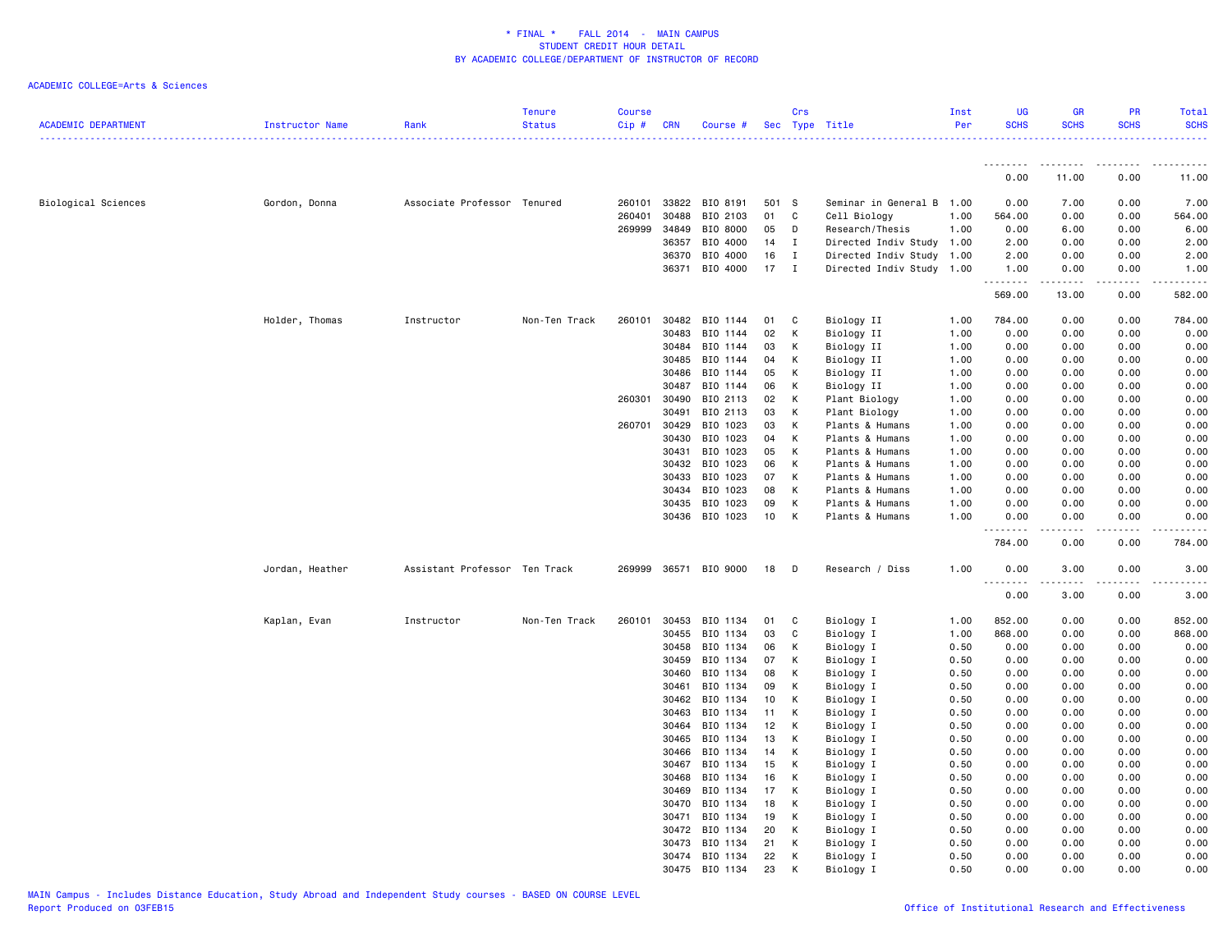| <b>ACADEMIC DEPARTMENT</b> | Instructor Name | Rank                          | <b>Tenure</b><br><b>Status</b> | Course<br>Cip# | <b>CRN</b>     | Course #             |          | Crs          | Sec Type Title                   | Inst<br>Per  | <b>UG</b><br><b>SCHS</b> | GR<br><b>SCHS</b>                                                                                                                                            | <b>PR</b><br><b>SCHS</b> | Total<br><b>SCHS</b><br>. <u>.</u> . |
|----------------------------|-----------------|-------------------------------|--------------------------------|----------------|----------------|----------------------|----------|--------------|----------------------------------|--------------|--------------------------|--------------------------------------------------------------------------------------------------------------------------------------------------------------|--------------------------|--------------------------------------|
|                            |                 |                               |                                |                |                |                      |          |              |                                  |              | --------                 | --------                                                                                                                                                     | --------                 | .                                    |
|                            |                 |                               |                                |                |                |                      |          |              |                                  |              | 0.00                     | 11.00                                                                                                                                                        | 0.00                     | 11.00                                |
| Biological Sciences        | Gordon, Donna   | Associate Professor Tenured   |                                | 260101         | 33822          | BIO 8191             | 501      | <b>S</b>     | Seminar in General B 1.00        |              | 0.00                     | 7.00                                                                                                                                                         | 0.00                     | 7.00                                 |
|                            |                 |                               |                                | 260401         | 30488          | BIO 2103             | 01       | C            | Cell Biology                     | 1.00         | 564.00                   | 0.00                                                                                                                                                         | 0.00                     | 564.00                               |
|                            |                 |                               |                                | 269999         | 34849          | BIO 8000             | 05       | D            | Research/Thesis                  | 1.00         | 0.00                     | 6.00                                                                                                                                                         | 0.00                     | 6.00                                 |
|                            |                 |                               |                                |                | 36357          | BIO 4000             | 14       | $\mathbf{I}$ | Directed Indiv Study 1.00        |              | 2.00                     | 0.00                                                                                                                                                         | 0.00                     | 2.00                                 |
|                            |                 |                               |                                |                | 36370          | BIO 4000             | 16       | $\mathbf{I}$ | Directed Indiv Study 1.00        |              | 2.00                     | 0.00                                                                                                                                                         | 0.00                     | 2.00                                 |
|                            |                 |                               |                                |                | 36371          | BIO 4000             | 17       | I            | Directed Indiv Study 1.00        |              | 1.00<br>.                | 0.00<br>$\frac{1}{2} \left( \frac{1}{2} \right) \left( \frac{1}{2} \right) \left( \frac{1}{2} \right) \left( \frac{1}{2} \right) \left( \frac{1}{2} \right)$ | 0.00<br>لأعاجب           | 1.00<br>------                       |
|                            |                 |                               |                                |                |                |                      |          |              |                                  |              | 569.00                   | 13.00                                                                                                                                                        | 0.00                     | 582.00                               |
|                            | Holder, Thomas  | Instructor                    | Non-Ten Track                  | 260101         | 30482          | BIO 1144             | 01       | C            | Biology II                       | 1.00         | 784.00                   | 0.00                                                                                                                                                         | 0.00                     | 784.00                               |
|                            |                 |                               |                                |                | 30483          | BIO 1144             | 02       | Κ            | Biology II                       | 1.00         | 0.00                     | 0.00                                                                                                                                                         | 0.00                     | 0.00                                 |
|                            |                 |                               |                                |                | 30484          | BIO 1144             | 03       | Κ            | Biology II                       | 1.00         | 0.00                     | 0.00                                                                                                                                                         | 0.00                     | 0.00                                 |
|                            |                 |                               |                                |                | 30485          | BIO 1144             | 04       | Κ            | Biology II                       | 1.00         | 0.00                     | 0.00                                                                                                                                                         | 0.00                     | 0.00                                 |
|                            |                 |                               |                                |                | 30486          | BIO 1144             | 05       | Κ            | Biology II                       | 1.00         | 0.00                     | 0.00                                                                                                                                                         | 0.00                     | 0.00                                 |
|                            |                 |                               |                                |                | 30487          | BIO 1144             | 06       | К            | Biology II                       | 1.00         | 0.00                     | 0.00                                                                                                                                                         | 0.00                     | 0.00                                 |
|                            |                 |                               |                                | 260301         | 30490          | BIO 2113             | 02       | Κ            | Plant Biology                    | 1.00         | 0.00                     | 0.00                                                                                                                                                         | 0.00                     | 0.00                                 |
|                            |                 |                               |                                | 260701         | 30491<br>30429 | BIO 2113<br>BIO 1023 | 03<br>03 | Κ<br>Κ       | Plant Biology<br>Plants & Humans | 1.00<br>1.00 | 0.00<br>0.00             | 0.00<br>0.00                                                                                                                                                 | 0.00<br>0.00             | 0.00<br>0.00                         |
|                            |                 |                               |                                |                | 30430          | BIO 1023             | 04       | K            | Plants & Humans                  | 1.00         | 0.00                     | 0.00                                                                                                                                                         | 0.00                     | 0.00                                 |
|                            |                 |                               |                                |                | 30431          | BIO 1023             | 05       | Κ            | Plants & Humans                  | 1.00         | 0.00                     | 0.00                                                                                                                                                         | 0.00                     | 0.00                                 |
|                            |                 |                               |                                |                | 30432          | BIO 1023             | 06       | К            | Plants & Humans                  | 1.00         | 0.00                     | 0.00                                                                                                                                                         | 0.00                     | 0.00                                 |
|                            |                 |                               |                                |                | 30433          | BIO 1023             | 07       | Κ            | Plants & Humans                  | 1.00         | 0.00                     | 0.00                                                                                                                                                         | 0.00                     | 0.00                                 |
|                            |                 |                               |                                |                | 30434          | BIO 1023             | 08       | Κ            | Plants & Humans                  | 1.00         | 0.00                     | 0.00                                                                                                                                                         | 0.00                     | 0.00                                 |
|                            |                 |                               |                                |                | 30435          | BIO 1023             | 09       | К            | Plants & Humans                  | 1.00         | 0.00                     | 0.00                                                                                                                                                         | 0.00                     | 0.00                                 |
|                            |                 |                               |                                |                |                | 30436 BIO 1023       | 10       | Κ            | Plants & Humans                  | 1.00         | 0.00                     | 0.00                                                                                                                                                         | 0.00                     | 0.00                                 |
|                            |                 |                               |                                |                |                |                      |          |              |                                  |              | .<br>784.00              | 0.00                                                                                                                                                         | 0.00                     | 784.00                               |
|                            | Jordan, Heather | Assistant Professor Ten Track |                                | 269999         |                | 36571 BIO 9000       | 18       | D            | Research / Diss                  | 1.00         | 0.00                     | 3.00                                                                                                                                                         | 0.00                     | 3.00                                 |
|                            |                 |                               |                                |                |                |                      |          |              |                                  |              | . <b>.</b><br>0.00       | .<br>3.00                                                                                                                                                    | . <u>.</u> .<br>0.00     | $- - - - -$<br>3.00                  |
|                            | Kaplan, Evan    | Instructor                    | Non-Ten Track                  | 260101         | 30453          | BIO 1134             | 01       | C            | Biology I                        | 1.00         | 852.00                   | 0.00                                                                                                                                                         | 0.00                     | 852.00                               |
|                            |                 |                               |                                |                | 30455          | BIO 1134             | 03       | C            | Biology I                        | 1.00         | 868.00                   | 0.00                                                                                                                                                         | 0.00                     | 868.00                               |
|                            |                 |                               |                                |                | 30458          | BIO 1134             | 06       | Κ            | Biology I                        | 0.50         | 0.00                     | 0.00                                                                                                                                                         | 0.00                     | 0.00                                 |
|                            |                 |                               |                                |                | 30459          | BIO 1134             | 07       | K            | Biology I                        | 0.50         | 0.00                     | 0.00                                                                                                                                                         | 0.00                     | 0.00                                 |
|                            |                 |                               |                                |                | 30460          | BIO 1134             | 08       | K            | Biology I                        | 0.50         | 0.00                     | 0.00                                                                                                                                                         | 0.00                     | 0.00                                 |
|                            |                 |                               |                                |                | 30461          | BIO 1134             | 09       | К            | Biology I                        | 0.50         | 0.00                     | 0.00                                                                                                                                                         | 0.00                     | 0.00                                 |
|                            |                 |                               |                                |                | 30462          | BIO 1134             | 10       | Κ            | Biology I                        | 0.50         | 0.00                     | 0.00                                                                                                                                                         | 0.00                     | 0.00                                 |
|                            |                 |                               |                                |                | 30463          | BIO 1134             | 11       | К            | Biology I                        | 0.50         | 0.00                     | 0.00                                                                                                                                                         | 0.00                     | 0.00                                 |
|                            |                 |                               |                                |                | 30464<br>30465 | BIO 1134             | 12       | к            | Biology I                        | 0.50<br>0.50 | 0.00                     | 0.00<br>0.00                                                                                                                                                 | 0.00<br>0.00             | 0.00                                 |
|                            |                 |                               |                                |                | 30466          | BIO 1134<br>BIO 1134 | 13<br>14 | Κ<br>Κ       | Biology I<br>Biology I           | 0.50         | 0.00<br>0.00             | 0.00                                                                                                                                                         | 0.00                     | 0.00<br>0.00                         |
|                            |                 |                               |                                |                | 30467          | BIO 1134             | 15       | Κ            | Biology I                        | 0.50         | 0.00                     | 0.00                                                                                                                                                         | 0.00                     | 0.00                                 |
|                            |                 |                               |                                |                | 30468          | BIO 1134             | 16       | Κ            | Biology I                        | 0.50         | 0.00                     | 0.00                                                                                                                                                         | 0.00                     | 0.00                                 |
|                            |                 |                               |                                |                | 30469          | BIO 1134             | 17       | Κ            | Biology I                        | 0.50         | 0.00                     | 0.00                                                                                                                                                         | 0.00                     | 0.00                                 |
|                            |                 |                               |                                |                | 30470          | BIO 1134             | 18       | К            | Biology I                        | 0.50         | 0.00                     | 0.00                                                                                                                                                         | 0.00                     | 0.00                                 |
|                            |                 |                               |                                |                | 30471          | BIO 1134             | 19       | Κ            | Biology I                        | 0.50         | 0.00                     | 0.00                                                                                                                                                         | 0.00                     | 0.00                                 |
|                            |                 |                               |                                |                | 30472          | BIO 1134             | 20       | К            | Biology I                        | 0.50         | 0.00                     | 0.00                                                                                                                                                         | 0.00                     | 0.00                                 |
|                            |                 |                               |                                |                | 30473          | BIO 1134             | 21       | Κ            | Biology I                        | 0.50         | 0.00                     | 0.00                                                                                                                                                         | 0.00                     | 0.00                                 |
|                            |                 |                               |                                |                |                | 30474 BIO 1134       | 22       | K            | Biology I                        | 0.50         | 0.00                     | 0.00                                                                                                                                                         | 0.00                     | 0.00                                 |
|                            |                 |                               |                                |                | 30475          | BIO 1134             | 23       |              | Biology I                        | 0.50         | 0.00                     | 0.00                                                                                                                                                         | 0.00                     | 0.00                                 |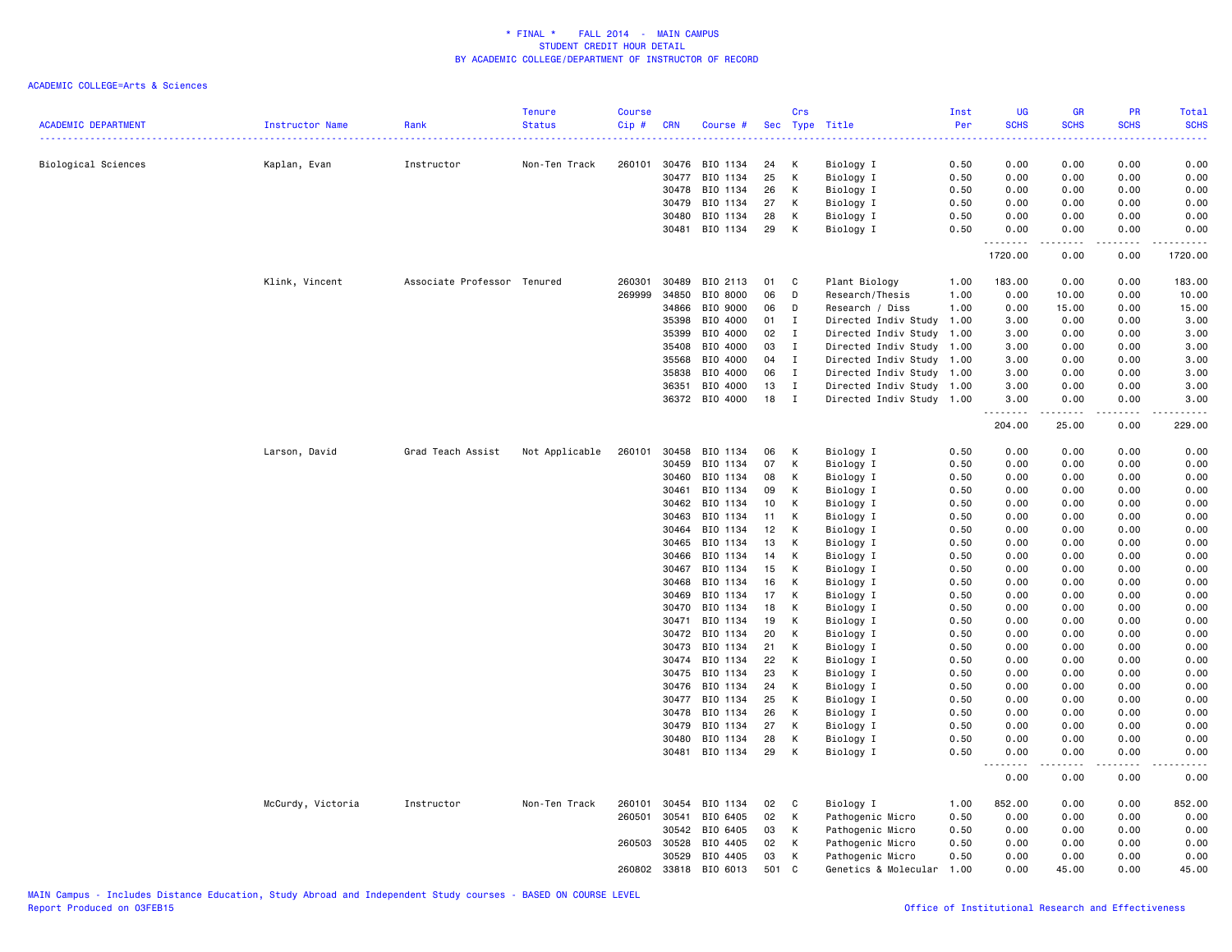| <b>ACADEMIC DEPARTMENT</b> | Instructor Name   | Rank                        | <b>Tenure</b><br><b>Status</b> | Course<br>Cip# | <b>CRN</b>     | Course #             | Sec      | Crs              | Type Title                                        | Inst<br>Per  | <b>UG</b><br><b>SCHS</b> | <b>GR</b><br><b>SCHS</b> | PR<br><b>SCHS</b> | <b>Total</b><br><b>SCHS</b> |
|----------------------------|-------------------|-----------------------------|--------------------------------|----------------|----------------|----------------------|----------|------------------|---------------------------------------------------|--------------|--------------------------|--------------------------|-------------------|-----------------------------|
| Biological Sciences        | Kaplan, Evan      | Instructor                  | Non-Ten Track                  | 260101         | 30476          | BIO 1134             | 24       | К                | Biology I                                         | 0.50         | 0.00                     | 0.00                     | 0.00              | 0.00                        |
|                            |                   |                             |                                |                | 30477          | BIO 1134             | 25       | К                | Biology I                                         | 0.50         | 0.00                     | 0.00                     | 0.00              | 0.00                        |
|                            |                   |                             |                                |                | 30478          | BIO 1134             | 26       | K                | Biology I                                         | 0.50         | 0.00                     | 0.00                     | 0.00              | 0.00                        |
|                            |                   |                             |                                |                | 30479          | BIO 1134             | 27       | К                | Biology I                                         | 0.50         | 0.00                     | 0.00                     | 0.00              | 0.00                        |
|                            |                   |                             |                                |                | 30480          | BIO 1134             | 28       | К                | Biology I                                         | 0.50         | 0.00                     | 0.00                     | 0.00              | 0.00                        |
|                            |                   |                             |                                |                |                | 30481 BIO 1134       | 29       | к                | Biology I                                         | 0.50         | 0.00<br>.                | 0.00<br>.                | 0.00<br>.         | 0.00<br>المستحدث            |
|                            |                   |                             |                                |                |                |                      |          |                  |                                                   |              | 1720.00                  | 0.00                     | 0.00              | 1720.00                     |
|                            | Klink, Vincent    | Associate Professor Tenured |                                | 260301         | 30489          | BIO 2113             | 01       | C                | Plant Biology                                     | 1.00         | 183.00                   | 0.00                     | 0.00              | 183.00                      |
|                            |                   |                             |                                | 269999         | 34850          | BIO 8000             | 06       | D                | Research/Thesis                                   | 1.00         | 0.00                     | 10.00                    | 0.00              | 10.00                       |
|                            |                   |                             |                                |                | 34866          | BIO 9000             | 06       | D                | Research / Diss                                   | 1.00         | 0.00                     | 15.00                    | 0.00              | 15.00                       |
|                            |                   |                             |                                |                | 35398          | BIO 4000             | 01       | I                | Directed Indiv Study                              | 1.00         | 3.00                     | 0.00                     | 0.00              | 3.00                        |
|                            |                   |                             |                                |                | 35399          | BIO 4000             | 02       | I                | Directed Indiv Study                              | 1.00         | 3.00                     | 0.00                     | 0.00              | 3.00                        |
|                            |                   |                             |                                |                | 35408          | BIO 4000             | 03       | I                | Directed Indiv Study                              | 1.00         | 3.00                     | 0.00                     | 0.00              | 3.00                        |
|                            |                   |                             |                                |                | 35568<br>35838 | BIO 4000<br>BIO 4000 | 04<br>06 | I<br>$\mathbf I$ | Directed Indiv Study<br>Directed Indiv Study 1.00 | 1.00         | 3.00<br>3.00             | 0.00<br>0.00             | 0.00<br>0.00      | 3.00<br>3.00                |
|                            |                   |                             |                                |                | 36351          | BIO 4000             | 13       | $\mathbf I$      | Directed Indiv Study 1.00                         |              | 3.00                     | 0.00                     | 0.00              | 3.00                        |
|                            |                   |                             |                                |                | 36372          | BIO 4000             | 18       | $\mathbf{I}$     | Directed Indiv Study 1.00                         |              | 3.00                     | 0.00                     | 0.00              | 3.00                        |
|                            |                   |                             |                                |                |                |                      |          |                  |                                                   |              | .<br>204.00              | .<br>25.00               | .<br>0.00         | .<br>229.00                 |
|                            | Larson, David     | Grad Teach Assist           | Not Applicable                 | 260101         | 30458          | BIO 1134             | 06       | к                | Biology I                                         | 0.50         | 0.00                     | 0.00                     | 0.00              | 0.00                        |
|                            |                   |                             |                                |                | 30459          | BIO 1134             | 07       | К                | Biology I                                         | 0.50         | 0.00                     | 0.00                     | 0.00              | 0.00                        |
|                            |                   |                             |                                |                | 30460          | BIO 1134             | 08       | K                | Biology I                                         | 0.50         | 0.00                     | 0.00                     | 0.00              | 0.00                        |
|                            |                   |                             |                                |                | 30461          | BIO 1134             | 09       | K                | Biology I                                         | 0.50         | 0.00                     | 0.00                     | 0.00              | 0.00                        |
|                            |                   |                             |                                |                | 30462          | BIO 1134             | 10       | К                | Biology I                                         | 0.50         | 0.00                     | 0.00                     | 0.00              | 0.00                        |
|                            |                   |                             |                                |                | 30463          | BIO 1134             | 11       | К                | Biology I                                         | 0.50         | 0.00                     | 0.00                     | 0.00              | 0.00                        |
|                            |                   |                             |                                |                | 30464          | BIO 1134             | 12       | К                | Biology I                                         | 0.50         | 0.00                     | 0.00                     | 0.00              | 0.00                        |
|                            |                   |                             |                                |                | 30465          | BIO 1134             | 13       | к                | Biology I                                         | 0.50         | 0.00                     | 0.00                     | 0.00              | 0.00                        |
|                            |                   |                             |                                |                | 30466          | BIO 1134             | 14       | К                | Biology I                                         | 0.50         | 0.00                     | 0.00                     | 0.00              | 0.00                        |
|                            |                   |                             |                                |                | 30467          | BIO 1134             | 15       | K                | Biology I                                         | 0.50         | 0.00                     | 0.00                     | 0.00              | 0.00                        |
|                            |                   |                             |                                |                | 30468          | BIO 1134             | 16       | K                | Biology I                                         | 0.50         | 0.00                     | 0.00                     | 0.00              | 0.00                        |
|                            |                   |                             |                                |                | 30469          | BIO 1134             | 17       | к                | Biology I                                         | 0.50         | 0.00                     | 0.00                     | 0.00              | 0.00                        |
|                            |                   |                             |                                |                | 30470          | BIO 1134             | 18       | К                | Biology I                                         | 0.50         | 0.00                     | 0.00                     | 0.00              | 0.00                        |
|                            |                   |                             |                                |                | 30471          | BIO 1134             | 19       | К                | Biology I                                         | 0.50         | 0.00                     | 0.00                     | 0.00              | 0.00                        |
|                            |                   |                             |                                |                | 30472          | BIO 1134             | 20       | К                | Biology I                                         | 0.50         | 0.00                     | 0.00                     | 0.00              | 0.00                        |
|                            |                   |                             |                                |                | 30473          | BIO 1134             | 21       | к                | Biology I                                         | 0.50         | 0.00                     | 0.00                     | 0.00              | 0.00                        |
|                            |                   |                             |                                |                | 30474<br>30475 | BIO 1134<br>BIO 1134 | 22<br>23 | К<br>K           | Biology I<br>Biology I                            | 0.50         | 0.00<br>0.00             | 0.00<br>0.00             | 0.00<br>0.00      | 0.00                        |
|                            |                   |                             |                                |                | 30476          | BIO 1134             | 24       | K                | Biology I                                         | 0.50<br>0.50 | 0.00                     | 0.00                     | 0.00              | 0.00<br>0.00                |
|                            |                   |                             |                                |                | 30477          | BIO 1134             | 25       | К                | Biology I                                         | 0.50         | 0.00                     | 0.00                     | 0.00              | 0.00                        |
|                            |                   |                             |                                |                | 30478          | BIO 1134             | 26       | К                | Biology I                                         | 0.50         | 0.00                     | 0.00                     | 0.00              | 0.00                        |
|                            |                   |                             |                                |                | 30479          | BIO 1134             | 27       | К                | Biology I                                         | 0.50         | 0.00                     | 0.00                     | 0.00              | 0.00                        |
|                            |                   |                             |                                |                | 30480          | BIO 1134             | 28       | к                | Biology I                                         | 0.50         | 0.00                     | 0.00                     | 0.00              | 0.00                        |
|                            |                   |                             |                                |                | 30481          | BIO 1134             | 29       | К                | Biology I                                         | 0.50         | 0.00                     | 0.00                     | 0.00              | 0.00                        |
|                            |                   |                             |                                |                |                |                      |          |                  |                                                   |              | $\sim$ $\sim$<br>0.00    | 0.00                     | 0.00              | 0.00                        |
|                            | McCurdy, Victoria | Instructor                  | Non-Ten Track                  | 260101         | 30454          | BIO 1134             | 02       | C                | Biology I                                         | 1.00         | 852.00                   | 0.00                     | 0.00              | 852.00                      |
|                            |                   |                             |                                | 260501         | 30541          | BIO 6405             | 02       | К                | Pathogenic Micro                                  | 0.50         | 0.00                     | 0.00                     | 0.00              | 0.00                        |
|                            |                   |                             |                                |                | 30542          | BIO 6405             | 03       | К                | Pathogenic Micro                                  | 0.50         | 0.00                     | 0.00                     | 0.00              | 0.00                        |
|                            |                   |                             |                                | 260503         | 30528          | BIO 4405             | 02       | к                | Pathogenic Micro                                  | 0.50         | 0.00                     | 0.00                     | 0.00              | 0.00                        |
|                            |                   |                             |                                |                | 30529          | BIO 4405             | 03       | К                | Pathogenic Micro                                  | 0.50         | 0.00                     | 0.00                     | 0.00              | 0.00                        |
|                            |                   |                             |                                | 260802 33818   |                | BIO 6013             | 501      | C                | Genetics & Molecular                              | 1.00         | 0.00                     | 45.00                    | 0.00              | 45.00                       |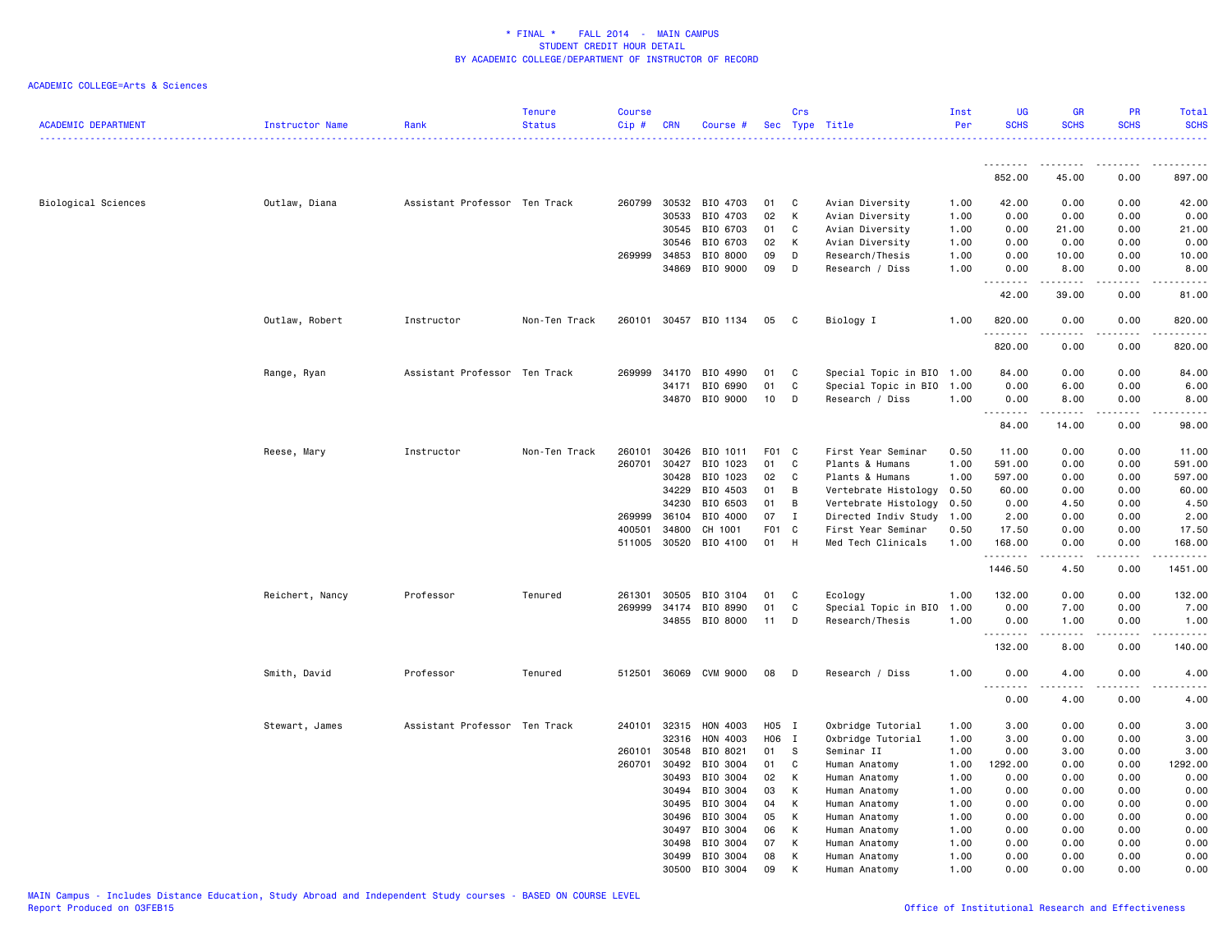| <b>ACADEMIC DEPARTMENT</b> | <b>Instructor Name</b> | Rank                          | <b>Tenure</b><br><b>Status</b> | <b>Course</b><br>Cip # | <b>CRN</b>     | Course #              |                  | Crs          | Sec Type Title                 | Inst<br>Per  | UG<br><b>SCHS</b>    | <b>GR</b><br><b>SCHS</b> | <b>PR</b><br><b>SCHS</b> | Total<br><b>SCHS</b> |
|----------------------------|------------------------|-------------------------------|--------------------------------|------------------------|----------------|-----------------------|------------------|--------------|--------------------------------|--------------|----------------------|--------------------------|--------------------------|----------------------|
|                            |                        |                               |                                |                        |                |                       |                  |              |                                |              | .                    |                          |                          |                      |
|                            |                        |                               |                                |                        |                |                       |                  |              |                                |              | 852.00               | 45.00                    | 0.00                     | 897.00               |
| Biological Sciences        | Outlaw, Diana          | Assistant Professor Ten Track |                                | 260799                 | 30532          | BIO 4703              | 01               | C            | Avian Diversity                | 1.00         | 42.00                | 0.00                     | 0.00                     | 42.00                |
|                            |                        |                               |                                |                        | 30533          | BIO 4703              | 02               | К            | Avian Diversity                | 1.00         | 0.00                 | 0.00                     | 0.00                     | 0.00                 |
|                            |                        |                               |                                |                        | 30545          | BIO 6703              | 01               | C            | Avian Diversity                | 1.00         | 0.00                 | 21.00                    | 0.00                     | 21.00                |
|                            |                        |                               |                                |                        | 30546          | BIO 6703              | 02               | К            | Avian Diversity                | 1.00         | 0.00                 | 0.00                     | 0.00                     | 0.00                 |
|                            |                        |                               |                                | 269999                 | 34853          | BIO 8000              | 09               | D            | Research/Thesis                | 1.00         | 0.00                 | 10.00                    | 0.00                     | 10.00                |
|                            |                        |                               |                                |                        | 34869          | BIO 9000              | 09               | D            | Research / Diss                | 1.00         | 0.00                 | 8.00                     | 0.00                     | 8.00<br>والمستحدث    |
|                            |                        |                               |                                |                        |                |                       |                  |              |                                |              | 42.00                | 39.00                    | 0.00                     | 81.00                |
|                            | Outlaw, Robert         | Instructor                    | Non-Ten Track                  |                        |                | 260101 30457 BIO 1134 | 05               | C            | Biology I                      | 1.00         | 820.00<br>. <u>.</u> | 0.00                     | 0.00<br>----             | 820.00<br><u>.</u>   |
|                            |                        |                               |                                |                        |                |                       |                  |              |                                |              | 820.00               | 0.00                     | 0.00                     | 820.00               |
|                            | Range, Ryan            | Assistant Professor Ten Track |                                | 269999                 | 34170          | BIO 4990              | 01               | C            | Special Topic in BIO 1.00      |              | 84.00                | 0.00                     | 0.00                     | 84.00                |
|                            |                        |                               |                                |                        | 34171          | BIO 6990              | 01               | C            | Special Topic in BIO 1.00      |              | 0.00                 | 6.00                     | 0.00                     | 6.00                 |
|                            |                        |                               |                                |                        | 34870          | BIO 9000              | 10               | D            | Research / Diss                | 1.00         | 0.00                 | 8.00                     | 0.00                     | 8.00                 |
|                            |                        |                               |                                |                        |                |                       |                  |              |                                |              | <u>.</u>             | $- - - - -$              | .                        | $- - - - -$          |
|                            |                        |                               |                                |                        |                |                       |                  |              |                                |              | 84.00                | 14.00                    | 0.00                     | 98.00                |
|                            | Reese, Mary            | Instructor                    | Non-Ten Track                  | 260101                 | 30426          | BIO 1011              | F01              | C            | First Year Seminar             | 0.50         | 11.00                | 0.00                     | 0.00                     | 11.00                |
|                            |                        |                               |                                | 260701                 | 30427          | BIO 1023              | 01               | C            | Plants & Humans                | 1.00         | 591.00               | 0.00                     | 0.00                     | 591.00               |
|                            |                        |                               |                                |                        | 30428          | BIO 1023              | 02               | C            | Plants & Humans                | 1.00         | 597.00               | 0.00                     | 0.00                     | 597.00               |
|                            |                        |                               |                                |                        | 34229          | BIO 4503              | 01               | B            | Vertebrate Histology           | 0.50         | 60.00                | 0.00                     | 0.00                     | 60.00                |
|                            |                        |                               |                                |                        | 34230          | BIO 6503              | 01               | B            | Vertebrate Histology           | 0.50         | 0.00                 | 4.50                     | 0.00                     | 4.50                 |
|                            |                        |                               |                                | 269999                 | 36104          | BIO 4000              | 07               | $\mathbf{I}$ | Directed Indiv Study 1.00      |              | 2.00                 | 0.00                     | 0.00                     | 2.00                 |
|                            |                        |                               |                                | 400501                 | 34800          | CH 1001               | F <sub>0</sub> 1 | C            | First Year Seminar             | 0.50         | 17.50                | 0.00                     | 0.00                     | 17.50                |
|                            |                        |                               |                                | 511005                 | 30520          | BIO 4100              | 01               | H            | Med Tech Clinicals             | 1.00         | 168.00<br>.          | 0.00<br>.                | 0.00<br>د د د د          | 168,00<br>.          |
|                            |                        |                               |                                |                        |                |                       |                  |              |                                |              | 1446.50              | 4.50                     | 0.00                     | 1451.00              |
|                            | Reichert, Nancy        | Professor                     | Tenured                        | 261301                 | 30505          | BIO 3104              | 01               | C            | Ecology                        | 1.00         | 132.00               | 0.00                     | 0.00                     | 132.00               |
|                            |                        |                               |                                | 269999                 | 34174          | BIO 8990              | 01               | C            | Special Topic in BIO           | 1.00         | 0.00                 | 7.00                     | 0.00                     | 7.00                 |
|                            |                        |                               |                                |                        |                | 34855 BIO 8000        | 11               | D            | Research/Thesis                | 1.00         | 0.00                 | 1.00                     | 0.00                     | 1.00                 |
|                            |                        |                               |                                |                        |                |                       |                  |              |                                |              | .                    |                          | $\sim$ $\sim$ $\sim$     | .                    |
|                            |                        |                               |                                |                        |                |                       |                  |              |                                |              | 132.00               | 8.00                     | 0.00                     | 140.00               |
|                            | Smith, David           | Professor                     | Tenured                        |                        |                | 512501 36069 CVM 9000 | 08               | D            | Research / Diss                | 1.00         | 0.00                 | 4.00                     | 0.00                     | 4.00                 |
|                            |                        |                               |                                |                        |                |                       |                  |              |                                |              | 0.00                 | 4.00                     | 0.00                     | 4.00                 |
|                            | Stewart, James         | Assistant Professor Ten Track |                                |                        | 240101 32315   | HON 4003              | H05 I            |              | Oxbridge Tutorial              | 1.00         | 3.00                 | 0.00                     | 0.00                     | 3.00                 |
|                            |                        |                               |                                |                        | 32316          | HON 4003              | H06              | $\bf{I}$     | Oxbridge Tutorial              | 1.00         | 3.00                 | 0.00                     | 0.00                     | 3.00                 |
|                            |                        |                               |                                | 260101                 | 30548          | BIO 8021              | 01               | s.           | Seminar II                     | 1.00         | 0.00                 | 3.00                     | 0.00                     | 3.00                 |
|                            |                        |                               |                                | 260701                 | 30492          | BIO 3004              | 01               | C            | Human Anatomy                  | 1.00         | 1292.00              | 0.00                     | 0.00                     | 1292.00              |
|                            |                        |                               |                                |                        | 30493          | BIO 3004              | 02               | К            | Human Anatomy                  | 1.00         | 0.00                 | 0.00                     | 0.00                     | 0.00                 |
|                            |                        |                               |                                |                        | 30494          | BIO 3004              | 03               | К            | Human Anatomy                  | 1.00         | 0.00                 | 0.00                     | 0.00                     | 0.00                 |
|                            |                        |                               |                                |                        | 30495          | BIO 3004              | 04               | К            | Human Anatomy                  | 1.00         | 0.00                 | 0.00                     | 0.00                     | 0.00                 |
|                            |                        |                               |                                |                        | 30496          | BIO 3004              | 05               | К            | Human Anatomy                  | 1.00         | 0.00                 | 0.00                     | 0.00                     | 0.00                 |
|                            |                        |                               |                                |                        | 30497          | BIO 3004              | 06               | К            | Human Anatomy                  | 1.00         | 0.00                 | 0.00                     | 0.00                     | 0.00                 |
|                            |                        |                               |                                |                        | 30498<br>30499 | BIO 3004<br>BIO 3004  | 07<br>08         | К<br>K       | Human Anatomy<br>Human Anatomy | 1.00<br>1.00 | 0.00<br>0.00         | 0.00<br>0.00             | 0.00<br>0.00             | 0.00<br>0.00         |
|                            |                        |                               |                                |                        | 30500          | BIO 3004              | 09               | K            | Human Anatomy                  | 1.00         | 0.00                 | 0.00                     | 0.00                     | 0.00                 |
|                            |                        |                               |                                |                        |                |                       |                  |              |                                |              |                      |                          |                          |                      |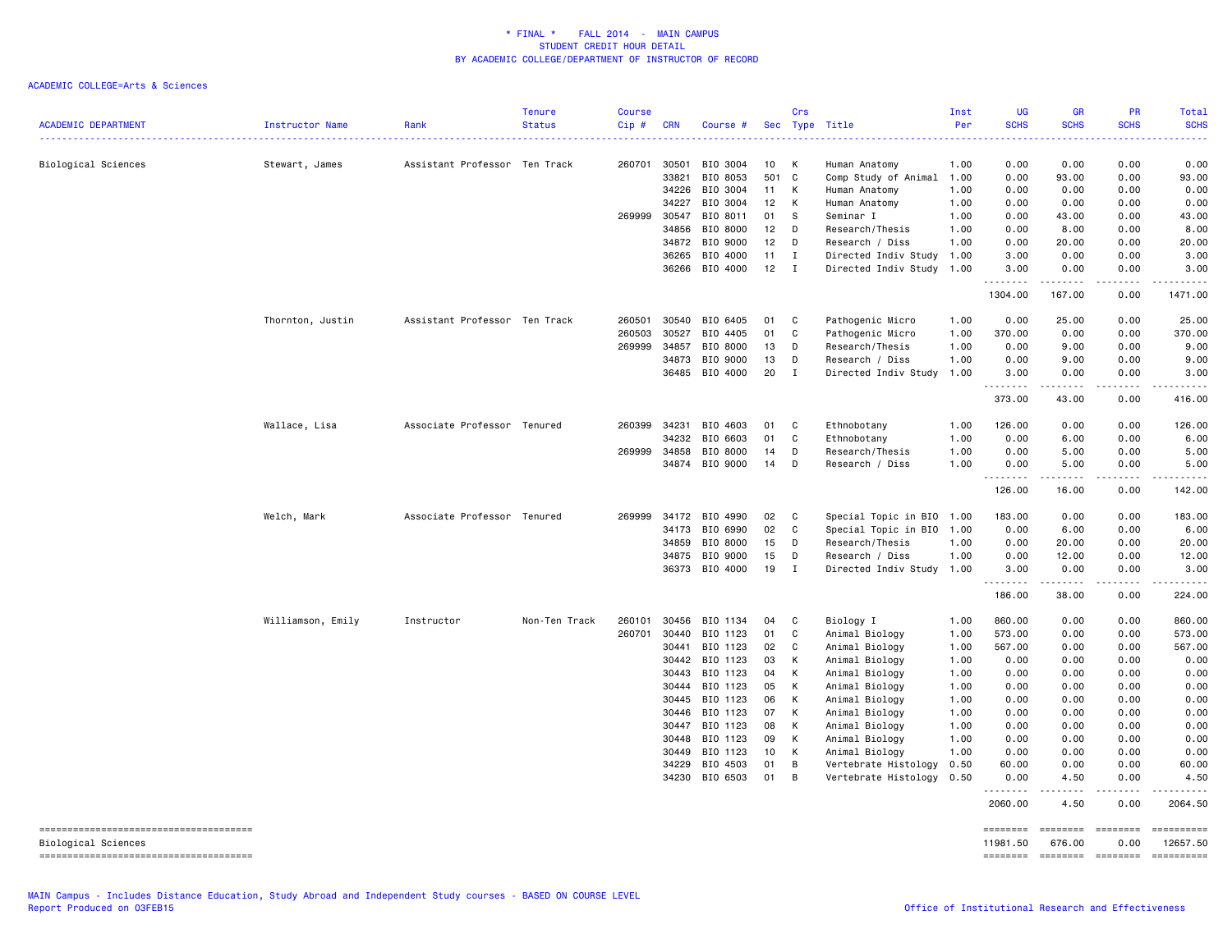| <b>ACADEMIC DEPARTMENT</b>            | <b>Instructor Name</b> | Rank                          | <b>Tenure</b><br><b>Status</b> | <b>Course</b><br>$Cip$ #<br>. | <b>CRN</b> | Course #                   |          | Crs          | Sec Type Title                               | Inst<br>Per  | UG<br><b>SCHS</b><br>الداعات | <b>GR</b><br><b>SCHS</b> | PR<br><b>SCHS</b><br>2222 | Total<br><b>SCHS</b><br>$\frac{1}{2} \left( \frac{1}{2} \right) \left( \frac{1}{2} \right) \left( \frac{1}{2} \right) \left( \frac{1}{2} \right)$ |
|---------------------------------------|------------------------|-------------------------------|--------------------------------|-------------------------------|------------|----------------------------|----------|--------------|----------------------------------------------|--------------|------------------------------|--------------------------|---------------------------|---------------------------------------------------------------------------------------------------------------------------------------------------|
| Biological Sciences                   | Stewart, James         | Assistant Professor Ten Track |                                | 260701                        | 30501      | BIO 3004                   | 10       | к            | Human Anatomy                                | 1.00         | 0.00                         | 0.00                     | 0.00                      | 0.00                                                                                                                                              |
|                                       |                        |                               |                                |                               | 33821      | BIO 8053                   | 501      | C            | Comp Study of Animal                         | 1.00         | 0.00                         | 93.00                    | 0.00                      | 93.00                                                                                                                                             |
|                                       |                        |                               |                                |                               | 34226      | BIO 3004                   | 11       | К            | Human Anatomy                                | 1.00         | 0.00                         | 0.00                     | 0.00                      | 0.00                                                                                                                                              |
|                                       |                        |                               |                                |                               | 34227      | BIO 3004                   | 12       | К            | Human Anatomy                                | 1.00         | 0.00                         | 0.00                     | 0.00                      | 0.00                                                                                                                                              |
|                                       |                        |                               |                                | 269999                        | 30547      | BIO 8011                   | 01       | s            | Seminar I                                    | 1.00         | 0.00                         | 43.00                    | 0.00                      | 43.00                                                                                                                                             |
|                                       |                        |                               |                                |                               | 34856      | BIO 8000                   | 12       | D            | Research/Thesis                              | 1.00         | 0.00                         | 8.00                     | 0.00                      | 8.00                                                                                                                                              |
|                                       |                        |                               |                                |                               | 34872      | BIO 9000                   | 12       | D            | Research / Diss                              | 1.00         | 0.00                         | 20.00                    | 0.00                      | 20.00                                                                                                                                             |
|                                       |                        |                               |                                |                               | 36265      | BIO 4000                   | 11       | $\mathbf{I}$ | Directed Indiv Study                         | 1.00         | 3.00                         | 0.00                     | 0.00                      | 3.00                                                                                                                                              |
|                                       |                        |                               |                                |                               |            | 36266 BIO 4000             | 12       | $\mathbf{I}$ | Directed Indiv Study 1.00                    |              | 3.00<br>.                    | 0.00<br>.                | 0.00<br>.                 | 3.00<br>.                                                                                                                                         |
|                                       |                        |                               |                                |                               |            |                            |          |              |                                              |              | 1304.00                      | 167.00                   | 0.00                      | 1471.00                                                                                                                                           |
|                                       | Thornton, Justin       | Assistant Professor Ten Track |                                | 260501                        | 30540      | BIO 6405                   | 01       | C            | Pathogenic Micro                             | 1.00         | 0.00                         | 25.00                    | 0.00                      | 25.00                                                                                                                                             |
|                                       |                        |                               |                                | 260503                        | 30527      | BIO 4405                   | 01       | C            | Pathogenic Micro                             | 1.00         | 370.00                       | 0.00                     | 0.00                      | 370.00                                                                                                                                            |
|                                       |                        |                               |                                | 269999                        | 34857      | BIO 8000                   | 13       | D            | Research/Thesis                              | 1.00         | 0.00                         | 9.00                     | 0.00                      | 9.00                                                                                                                                              |
|                                       |                        |                               |                                |                               | 34873      | BIO 9000                   | 13       | D            | Research / Diss                              | 1.00         | 0.00                         | 9.00                     | 0.00                      | 9.00                                                                                                                                              |
|                                       |                        |                               |                                |                               | 36485      | BIO 4000                   | 20       | $\mathbf I$  | Directed Indiv Study                         | 1.00         | 3.00<br>.                    | 0.00<br>المتمام المتحدة  | 0.00<br>المستبدا          | 3.00<br>.                                                                                                                                         |
|                                       |                        |                               |                                |                               |            |                            |          |              |                                              |              | 373.00                       | 43.00                    | 0.00                      | 416.00                                                                                                                                            |
|                                       | Wallace, Lisa          | Associate Professor Tenured   |                                | 260399                        | 34231      | BIO 4603                   | 01       | C            | Ethnobotany                                  | 1.00         | 126.00                       | 0.00                     | 0.00                      | 126.00                                                                                                                                            |
|                                       |                        |                               |                                |                               | 34232      | BIO 6603                   | 01       | C            | Ethnobotany                                  | 1.00         | 0.00                         | 6.00                     | 0.00                      | 6.00                                                                                                                                              |
|                                       |                        |                               |                                | 269999                        | 34858      | BIO 8000                   | 14       | D            | Research/Thesis                              | 1.00         | 0.00                         | 5.00                     | 0.00                      | 5.00                                                                                                                                              |
|                                       |                        |                               |                                |                               | 34874      | BIO 9000                   | 14       | D            | Research / Diss                              | 1.00         | 0.00<br>.                    | 5.00<br>المستبدا         | 0.00<br>.                 | 5.00<br>------                                                                                                                                    |
|                                       |                        |                               |                                |                               |            |                            |          |              |                                              |              | 126.00                       | 16.00                    | 0.00                      | 142.00                                                                                                                                            |
|                                       | Welch, Mark            | Associate Professor Tenured   |                                | 269999                        | 34172      | BIO 4990                   | 02       | C            | Special Topic in BIO 1.00                    |              | 183.00                       | 0.00                     | 0.00                      | 183.00                                                                                                                                            |
|                                       |                        |                               |                                |                               | 34173      | BIO 6990                   | 02       | C            | Special Topic in BIO 1.00                    |              | 0.00                         | 6.00                     | 0.00                      | 6.00                                                                                                                                              |
|                                       |                        |                               |                                |                               | 34859      | BIO 8000                   | 15       | D            | Research/Thesis                              | 1.00         | 0.00                         | 20.00                    | 0.00                      | 20.00                                                                                                                                             |
|                                       |                        |                               |                                |                               | 34875      | BIO 9000                   | 15       | D            | Research / Diss                              | 1.00         | 0.00                         | 12.00                    | 0.00                      | 12.00                                                                                                                                             |
|                                       |                        |                               |                                |                               | 36373      | BIO 4000                   | 19       | Ι.           | Directed Indiv Study 1.00                    |              | 3.00<br>.                    | 0.00                     | 0.00                      | 3.00<br>.                                                                                                                                         |
|                                       |                        |                               |                                |                               |            |                            |          |              |                                              |              | 186.00                       | 38.00                    | 0.00                      | 224.00                                                                                                                                            |
|                                       | Williamson, Emily      | Instructor                    | Non-Ten Track                  | 260101                        | 30456      | BIO 1134                   | 04       | C            | Biology I                                    | 1.00         | 860.00                       | 0.00                     | 0.00                      | 860.00                                                                                                                                            |
|                                       |                        |                               |                                | 260701                        | 30440      | BIO 1123                   | 01       | C            | Animal Biology                               | 1.00         | 573.00                       | 0.00                     | 0.00                      | 573.00                                                                                                                                            |
|                                       |                        |                               |                                |                               | 30441      | BIO 1123                   | 02       | C            | Animal Biology                               | 1.00         | 567.00                       | 0.00                     | 0.00                      | 567.00                                                                                                                                            |
|                                       |                        |                               |                                |                               | 30442      | BIO 1123                   | 03       | К            | Animal Biology                               | 1.00         | 0.00                         | 0.00                     | 0.00                      | 0.00                                                                                                                                              |
|                                       |                        |                               |                                |                               | 30443      | BIO 1123                   | 04       | К            | Animal Biology                               | 1.00         | 0.00                         | 0.00                     | 0.00                      | 0.00                                                                                                                                              |
|                                       |                        |                               |                                |                               | 30444      | BIO 1123                   | 05       | К            | Animal Biology                               | 1.00         | 0.00                         | 0.00                     | 0.00                      | 0.00                                                                                                                                              |
|                                       |                        |                               |                                |                               | 30445      | BIO 1123                   | 06       | К            | Animal Biology                               | 1.00         | 0.00                         | 0.00                     | 0.00                      | 0.00                                                                                                                                              |
|                                       |                        |                               |                                |                               | 30446      | BIO 1123                   | 07       | K            | Animal Biology                               | 1.00         | 0.00                         | 0.00                     | 0.00                      | 0.00                                                                                                                                              |
|                                       |                        |                               |                                |                               | 30447      | BIO 1123                   | 08       | К            | Animal Biology                               | 1.00         | 0.00                         | 0.00                     | 0.00                      | 0.00                                                                                                                                              |
|                                       |                        |                               |                                |                               | 30448      | BIO 1123                   | 09       | К            | Animal Biology                               | 1.00         | 0.00                         | 0.00                     | 0.00                      | 0.00                                                                                                                                              |
|                                       |                        |                               |                                |                               | 30449      | BIO 1123                   | 10       | к            | Animal Biology                               | 1.00         | 0.00                         | 0.00                     | 0.00                      | 0.00                                                                                                                                              |
|                                       |                        |                               |                                |                               | 34229      | BIO 4503<br>34230 BIO 6503 | 01<br>01 | B<br>B       | Vertebrate Histology<br>Vertebrate Histology | 0.50<br>0.50 | 60.00<br>0.00                | 0.00<br>4.50             | 0.00<br>0.00              | 60.00<br>4.50                                                                                                                                     |
|                                       |                        |                               |                                |                               |            |                            |          |              |                                              |              | .<br>2060.00                 | .<br>4.50                | .<br>0.00                 | .<br>2064.50                                                                                                                                      |
| ------------------------------------- |                        |                               |                                |                               |            |                            |          |              |                                              |              | ========                     | ========                 |                           | ==========                                                                                                                                        |
| Biological Sciences                   |                        |                               |                                |                               |            |                            |          |              |                                              |              | 11981.50                     | 676.00                   | 0.00                      | 12657.50                                                                                                                                          |
| ------------------------------------- |                        |                               |                                |                               |            |                            |          |              |                                              |              | ========                     | <b>SEEBEEBE</b>          | $= 222222222$             |                                                                                                                                                   |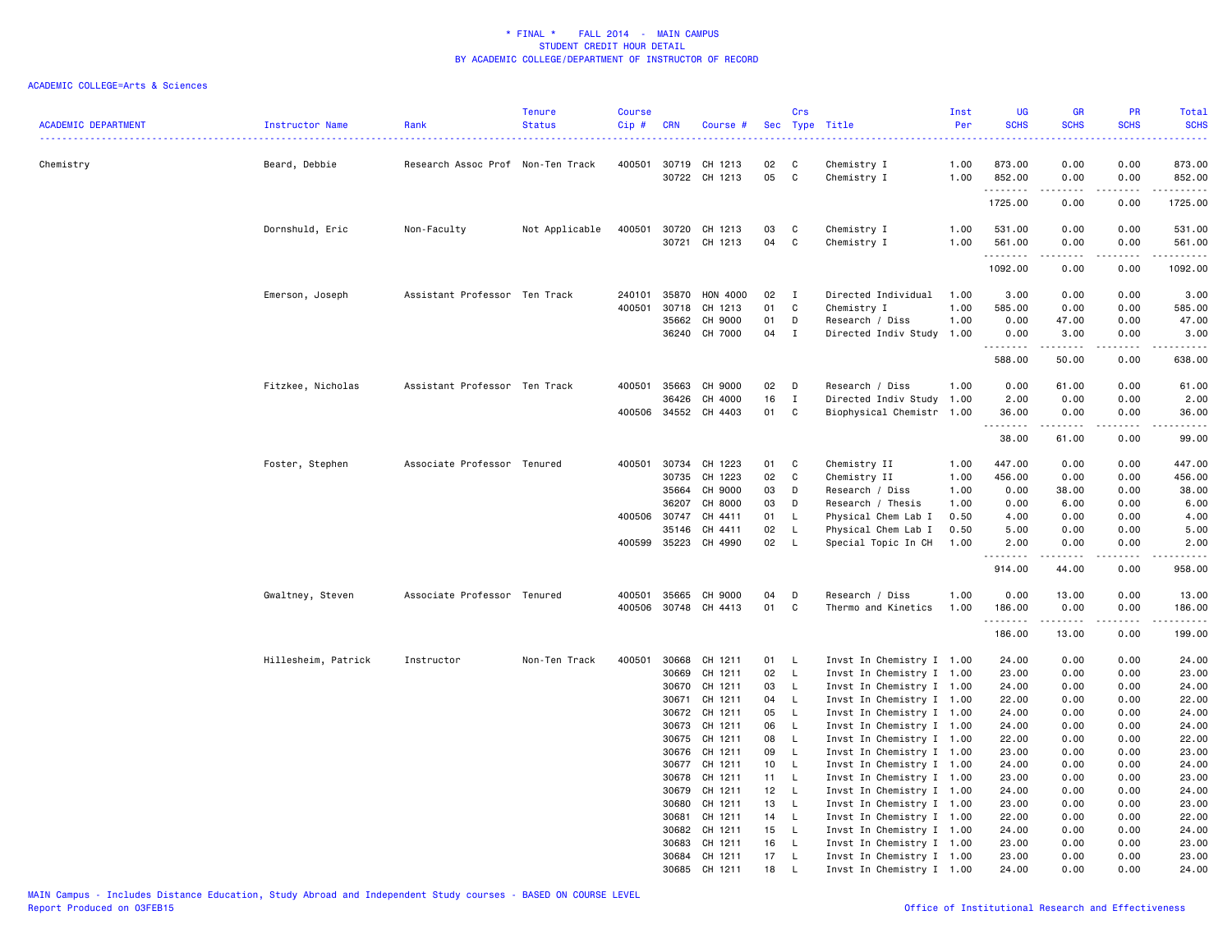| <b>ACADEMIC DEPARTMENT</b> | Instructor Name     | Rank                              | <b>Tenure</b><br><b>Status</b> | <b>Course</b><br>Cip# | <b>CRN</b>            | Course #             |          | Crs          | Sec Type Title                                         | Inst<br>Per  | <b>UG</b><br><b>SCHS</b> | <b>GR</b><br><b>SCHS</b> | <b>PR</b><br><b>SCHS</b> | Total<br><b>SCHS</b><br>.                                                                                                 |
|----------------------------|---------------------|-----------------------------------|--------------------------------|-----------------------|-----------------------|----------------------|----------|--------------|--------------------------------------------------------|--------------|--------------------------|--------------------------|--------------------------|---------------------------------------------------------------------------------------------------------------------------|
| Chemistry                  | Beard, Debbie       | Research Assoc Prof Non-Ten Track |                                | 400501                | 30719                 | CH 1213              | 02       | C            | Chemistry I                                            | 1.00         | 873.00                   | 0.00                     | 0.00                     | 873.00                                                                                                                    |
|                            |                     |                                   |                                |                       |                       | 30722 CH 1213        | 05       | C            | Chemistry I                                            | 1.00         | 852.00<br>.              | 0.00<br>.                | 0.00<br>د د د د          | 852.00<br>.                                                                                                               |
|                            |                     |                                   |                                |                       |                       |                      |          |              |                                                        |              | 1725.00                  | 0.00                     | 0.00                     | 1725.00                                                                                                                   |
|                            | Dornshuld, Eric     | Non-Faculty                       | Not Applicable                 | 400501                | 30720                 | CH 1213              | 03       | C            | Chemistry I                                            | 1.00         | 531.00                   | 0.00                     | 0.00                     | 531.00                                                                                                                    |
|                            |                     |                                   |                                |                       | 30721                 | CH 1213              | 04       | C            | Chemistry I                                            | 1.00         | 561.00                   | 0.00                     | 0.00                     | 561.00                                                                                                                    |
|                            |                     |                                   |                                |                       |                       |                      |          |              |                                                        |              | .<br>1092.00             | .<br>0.00                | .<br>0.00                | <u>.</u><br>1092.00                                                                                                       |
|                            | Emerson, Joseph     | Assistant Professor Ten Track     |                                | 240101                | 35870                 | <b>HON 4000</b>      | 02       | I            | Directed Individual                                    | 1.00         | 3.00                     | 0.00                     | 0.00                     | 3.00                                                                                                                      |
|                            |                     |                                   |                                | 400501                | 30718                 | CH 1213              | 01       | C            | Chemistry I                                            | 1.00         | 585.00                   | 0.00                     | 0.00                     | 585.00                                                                                                                    |
|                            |                     |                                   |                                |                       | 35662                 | CH 9000              | 01       | D            | Research / Diss                                        | 1.00         | 0.00                     | 47.00                    | 0.00                     | 47.00                                                                                                                     |
|                            |                     |                                   |                                |                       |                       | 36240 CH 7000        | 04       | $\mathbf I$  | Directed Indiv Study 1.00                              |              | 0.00<br>.                | 3.00<br>.                | 0.00<br><u>.</u>         | 3.00<br>.                                                                                                                 |
|                            |                     |                                   |                                |                       |                       |                      |          |              |                                                        |              | 588.00                   | 50.00                    | 0.00                     | 638.00                                                                                                                    |
|                            | Fitzkee, Nicholas   | Assistant Professor Ten Track     |                                | 400501                | 35663                 | CH 9000              | 02       | $\mathsf{D}$ | Research / Diss                                        | 1.00         | 0.00                     | 61.00                    | 0.00                     | 61.00                                                                                                                     |
|                            |                     |                                   |                                |                       | 36426                 | CH 4000              | 16       | Ι.           | Directed Indiv Study                                   | 1.00         | 2.00                     | 0.00                     | 0.00                     | 2.00                                                                                                                      |
|                            |                     |                                   |                                |                       | 400506 34552          | CH 4403              | 01       | C            | Biophysical Chemistr 1.00                              |              | 36.00<br>.               | 0.00<br>.                | 0.00<br>.                | 36.00<br>.                                                                                                                |
|                            |                     |                                   |                                |                       |                       |                      |          |              |                                                        |              | 38.00                    | 61.00                    | 0.00                     | 99.00                                                                                                                     |
|                            | Foster, Stephen     | Associate Professor Tenured       |                                | 400501                | 30734                 | CH 1223              | 01       | C            | Chemistry II                                           | 1.00         | 447.00                   | 0.00                     | 0.00                     | 447.00                                                                                                                    |
|                            |                     |                                   |                                |                       | 30735                 | CH 1223              | 02       | C            | Chemistry II                                           | 1.00         | 456.00                   | 0.00                     | 0.00                     | 456.00                                                                                                                    |
|                            |                     |                                   |                                |                       | 35664                 | CH 9000              | 03       | D            | Research / Diss                                        | 1.00         | 0.00                     | 38.00                    | 0.00                     | 38.00                                                                                                                     |
|                            |                     |                                   |                                |                       | 36207                 | CH 8000              | 03       | D<br>L.      | Research / Thesis                                      | 1.00         | 0.00                     | 6.00                     | 0.00                     | 6.00                                                                                                                      |
|                            |                     |                                   |                                |                       | 400506 30747<br>35146 | CH 4411<br>CH 4411   | 01<br>02 | L            | Physical Chem Lab I<br>Physical Chem Lab I             | 0.50<br>0.50 | 4.00<br>5.00             | 0.00<br>0.00             | 0.00<br>0.00             | 4.00<br>5.00                                                                                                              |
|                            |                     |                                   |                                |                       | 400599 35223          | CH 4990              | 02       | L            | Special Topic In CH                                    | 1.00         | 2.00                     | 0.00                     | 0.00                     | 2.00                                                                                                                      |
|                            |                     |                                   |                                |                       |                       |                      |          |              |                                                        |              | .<br>914.00              | .<br>44.00               | .<br>0.00                | .<br>958.00                                                                                                               |
|                            |                     | Associate Professor Tenured       |                                | 400501                | 35665                 | CH 9000              | 04       | D            | Research / Diss                                        | 1.00         | 0.00                     | 13.00                    | 0.00                     | 13.00                                                                                                                     |
|                            | Gwaltney, Steven    |                                   |                                |                       |                       | 400506 30748 CH 4413 | 01       | C            | Thermo and Kinetics                                    | 1.00         | 186.00                   | 0.00                     | 0.00                     | 186.00                                                                                                                    |
|                            |                     |                                   |                                |                       |                       |                      |          |              |                                                        |              | .                        | .                        | .                        | $\begin{array}{cccccccccccccc} \bullet & \bullet & \bullet & \bullet & \bullet & \bullet & \bullet & \bullet \end{array}$ |
|                            |                     |                                   |                                |                       |                       |                      |          |              |                                                        |              | 186.00                   | 13.00                    | 0.00                     | 199.00                                                                                                                    |
|                            | Hillesheim, Patrick | Instructor                        | Non-Ten Track                  | 400501                | 30668                 | CH 1211              | 01       | L.           | Invst In Chemistry I 1.00                              |              | 24.00                    | 0.00                     | 0.00                     | 24.00                                                                                                                     |
|                            |                     |                                   |                                |                       | 30669                 | CH 1211              | 02       | L.           | Invst In Chemistry I 1.00                              |              | 23.00                    | 0.00                     | 0.00                     | 23.00                                                                                                                     |
|                            |                     |                                   |                                |                       | 30670<br>30671        | CH 1211<br>CH 1211   | 03<br>04 | L.<br>L      | Invst In Chemistry I 1.00<br>Invst In Chemistry I 1.00 |              | 24.00<br>22.00           | 0.00<br>0.00             | 0.00<br>0.00             | 24.00<br>22.00                                                                                                            |
|                            |                     |                                   |                                |                       | 30672                 | CH 1211              | 05       | L            | Invst In Chemistry I 1.00                              |              | 24.00                    | 0.00                     | 0.00                     | 24.00                                                                                                                     |
|                            |                     |                                   |                                |                       | 30673                 | CH 1211              | 06       | $\mathsf L$  | Invst In Chemistry I 1.00                              |              | 24.00                    | 0.00                     | 0.00                     | 24.00                                                                                                                     |
|                            |                     |                                   |                                |                       | 30675                 | CH 1211              | 08       | L.           | Invst In Chemistry I 1.00                              |              | 22.00                    | 0.00                     | 0.00                     | 22.00                                                                                                                     |
|                            |                     |                                   |                                |                       |                       | 30676 CH 1211        | 09       | L            | Invst In Chemistry I 1.00                              |              | 23.00                    | 0.00                     | 0.00                     | 23.00                                                                                                                     |
|                            |                     |                                   |                                |                       | 30677                 | CH 1211              | 10       | L            | Invst In Chemistry I 1.00                              |              | 24.00                    | 0.00                     | 0.00                     | 24.00                                                                                                                     |
|                            |                     |                                   |                                |                       | 30678                 | CH 1211              | 11       | L            | Invst In Chemistry I 1.00                              |              | 23.00                    | 0.00                     | 0.00                     | 23.00                                                                                                                     |
|                            |                     |                                   |                                |                       | 30679                 | CH 1211              | 12       | L.           | Invst In Chemistry I 1.00                              |              | 24.00                    | 0.00                     | 0.00                     | 24.00                                                                                                                     |
|                            |                     |                                   |                                |                       | 30680<br>30681        | CH 1211<br>CH 1211   | 13       | L<br>L.      | Invst In Chemistry I 1.00<br>Invst In Chemistry I 1.00 |              | 23.00<br>22.00           | 0.00<br>0.00             | 0.00<br>0.00             | 23.00<br>22.00                                                                                                            |
|                            |                     |                                   |                                |                       | 30682                 | CH 1211              | 14<br>15 | L.           | Invst In Chemistry I 1.00                              |              | 24.00                    | 0.00                     | 0.00                     | 24.00                                                                                                                     |
|                            |                     |                                   |                                |                       | 30683                 | CH 1211              | 16       | L.           | Invst In Chemistry I 1.00                              |              | 23.00                    | 0.00                     | 0.00                     | 23.00                                                                                                                     |
|                            |                     |                                   |                                |                       | 30684                 | CH 1211              | 17       | L.           | Invst In Chemistry I 1.00                              |              | 23.00                    | 0.00                     | 0.00                     | 23.00                                                                                                                     |
|                            |                     |                                   |                                |                       | 30685                 | CH 1211              | 18       |              | Invst In Chemistry I 1.00                              |              | 24.00                    | 0.00                     | 0.00                     | 24,00                                                                                                                     |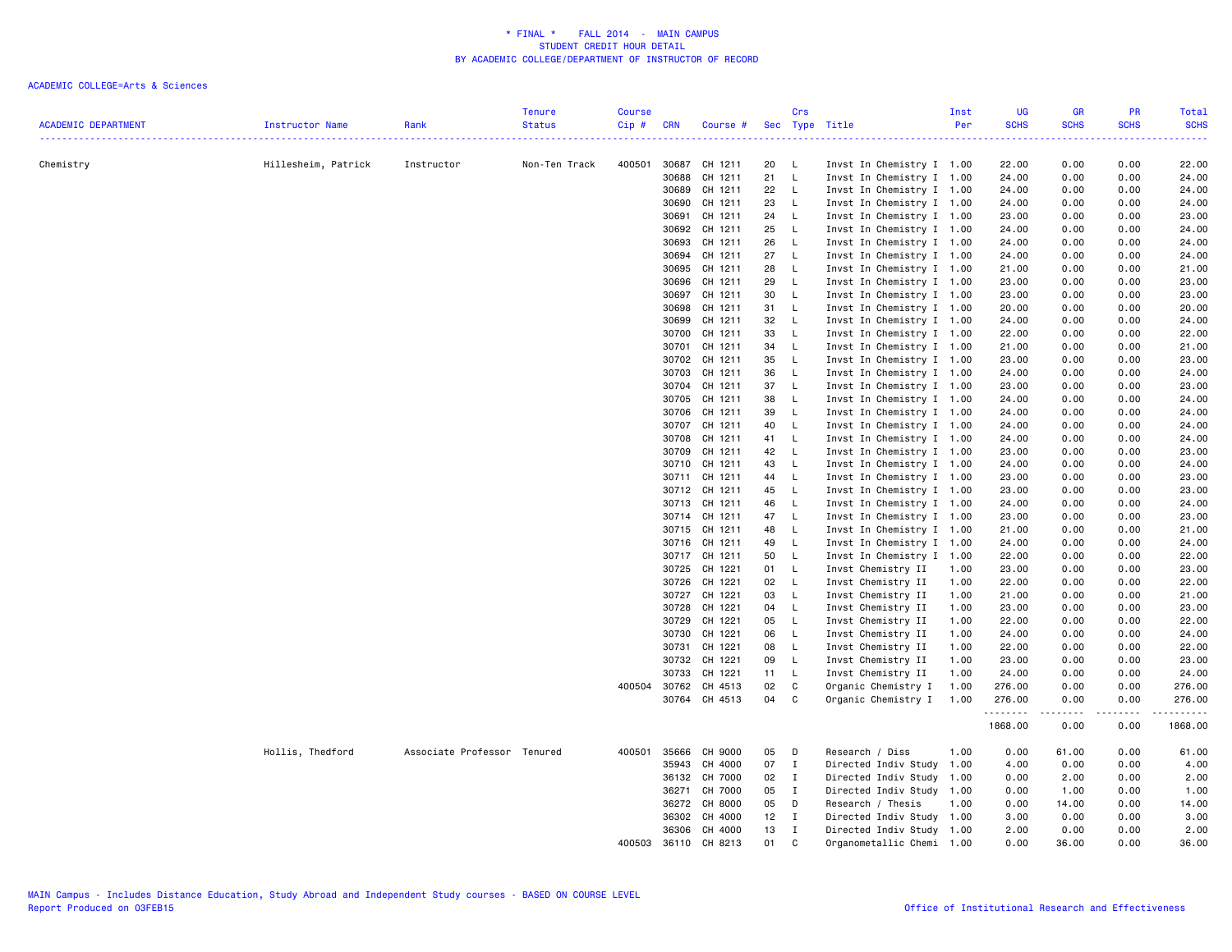| <b>ACADEMIC DEPARTMENT</b> | Instructor Name     | Rank                        | <b>Tenure</b><br><b>Status</b> | <b>Course</b><br>Cip# | <b>CRN</b>   | Course #                       |          | Crs          | Sec Type Title                                         | Inst<br>Per  | <b>UG</b><br><b>SCHS</b> | <b>GR</b><br><b>SCHS</b> | PR<br><b>SCHS</b> | Total<br><b>SCHS</b>                                                                                                                                 |
|----------------------------|---------------------|-----------------------------|--------------------------------|-----------------------|--------------|--------------------------------|----------|--------------|--------------------------------------------------------|--------------|--------------------------|--------------------------|-------------------|------------------------------------------------------------------------------------------------------------------------------------------------------|
|                            |                     |                             |                                |                       |              |                                |          |              |                                                        |              | 22222                    |                          | 2.2.2.2           | .                                                                                                                                                    |
| Chemistry                  | Hillesheim, Patrick | Instructor                  | Non-Ten Track                  | 400501                |              | 30687 CH 1211                  | 20       | L.           | Invst In Chemistry I 1.00                              |              | 22.00                    | 0.00                     | 0.00              | 22.00                                                                                                                                                |
|                            |                     |                             |                                |                       | 30688        | CH 1211                        | 21       | L.           | Invst In Chemistry I 1.00                              |              | 24.00                    | 0.00                     | 0.00              | 24.00                                                                                                                                                |
|                            |                     |                             |                                |                       | 30689        | CH 1211                        | 22       | L.           | Invst In Chemistry I 1.00                              |              | 24.00                    | 0.00                     | 0.00              | 24.00                                                                                                                                                |
|                            |                     |                             |                                |                       |              | 30690 CH 1211                  | 23       | L.           | Invst In Chemistry I 1.00                              |              | 24.00                    | 0.00                     | 0.00              | 24.00                                                                                                                                                |
|                            |                     |                             |                                |                       | 30691        | CH 1211                        | 24       | L.           | Invst In Chemistry I 1.00                              |              | 23.00                    | 0.00                     | 0.00              | 23.00                                                                                                                                                |
|                            |                     |                             |                                |                       | 30692        | CH 1211                        | 25       | L.           | Invst In Chemistry I 1.00                              |              | 24.00                    | 0.00                     | 0.00              | 24.00                                                                                                                                                |
|                            |                     |                             |                                |                       | 30693        | CH 1211                        | 26       | L.           | Invst In Chemistry I 1.00                              |              | 24.00                    | 0.00                     | 0.00              | 24.00                                                                                                                                                |
|                            |                     |                             |                                |                       | 30694        | CH 1211                        | 27       | $\mathsf{L}$ | Invst In Chemistry I 1.00                              |              | 24.00                    | 0.00                     | 0.00              | 24.00                                                                                                                                                |
|                            |                     |                             |                                |                       | 30695        | CH 1211                        | 28       | L.           | Invst In Chemistry I 1.00                              |              | 21.00                    | 0.00                     | 0.00              | 21.00                                                                                                                                                |
|                            |                     |                             |                                |                       | 30696        | CH 1211                        | 29       | L.           | Invst In Chemistry I 1.00                              |              | 23.00                    | 0.00                     | 0.00              | 23.00                                                                                                                                                |
|                            |                     |                             |                                |                       |              | 30697 CH 1211                  | 30       | L.           | Invst In Chemistry I 1.00                              |              | 23.00                    | 0.00                     | 0.00              | 23.00                                                                                                                                                |
|                            |                     |                             |                                |                       | 30698        | CH 1211                        | 31       | L.           | Invst In Chemistry I 1.00                              |              | 20.00                    | 0.00                     | 0.00              | 20.00                                                                                                                                                |
|                            |                     |                             |                                |                       | 30699        | CH 1211                        | 32       | L.           | Invst In Chemistry I 1.00                              |              | 24.00                    | 0.00                     | 0.00              | 24.00                                                                                                                                                |
|                            |                     |                             |                                |                       | 30700        | CH 1211                        | 33       | L.           | Invst In Chemistry I 1.00                              |              | 22.00                    | 0.00                     | 0.00              | 22.00                                                                                                                                                |
|                            |                     |                             |                                |                       | 30701        | CH 1211                        | 34       | $\mathsf{L}$ | Invst In Chemistry I 1.00                              |              | 21.00                    | 0.00                     | 0.00              | 21.00                                                                                                                                                |
|                            |                     |                             |                                |                       | 30702        | CH 1211                        | 35       | $\mathsf{L}$ | Invst In Chemistry I 1.00                              |              | 23.00                    | 0.00                     | 0.00              | 23.00                                                                                                                                                |
|                            |                     |                             |                                |                       | 30703        | CH 1211                        | 36       | L.           | Invst In Chemistry I 1.00                              |              | 24.00                    | 0.00                     | 0.00              | 24.00                                                                                                                                                |
|                            |                     |                             |                                |                       |              | 30704 CH 1211                  | 37       | $\mathsf{L}$ | Invst In Chemistry I 1.00                              |              | 23.00                    | 0.00                     | 0.00              | 23.00                                                                                                                                                |
|                            |                     |                             |                                |                       | 30705        | CH 1211                        | 38       | L.           | Invst In Chemistry I 1.00                              |              | 24.00                    | 0.00                     | 0.00              | 24.00                                                                                                                                                |
|                            |                     |                             |                                |                       |              | 30706 CH 1211                  | 39       | L            | Invst In Chemistry I 1.00                              |              | 24.00                    | 0.00                     | 0.00              | 24.00                                                                                                                                                |
|                            |                     |                             |                                |                       | 30707        | CH 1211                        | 40       | L            | Invst In Chemistry I 1.00                              |              | 24.00                    | 0.00                     | 0.00              | 24.00                                                                                                                                                |
|                            |                     |                             |                                |                       | 30708        | CH 1211                        | 41       | L.           | Invst In Chemistry I 1.00                              |              | 24.00                    | 0.00                     | 0.00              | 24.00                                                                                                                                                |
|                            |                     |                             |                                |                       |              | 30709 CH 1211                  | 42       | L.           | Invst In Chemistry I 1.00                              |              | 23.00                    | 0.00                     | 0.00              | 23.00                                                                                                                                                |
|                            |                     |                             |                                |                       | 30710        | CH 1211                        | 43       | $\mathsf{L}$ | Invst In Chemistry I 1.00                              |              | 24.00                    | 0.00                     | 0.00              | 24.00                                                                                                                                                |
|                            |                     |                             |                                |                       | 30711        | CH 1211                        | 44       | L.           | Invst In Chemistry I 1.00                              |              | 23.00                    | 0.00                     | 0.00              | 23.00                                                                                                                                                |
|                            |                     |                             |                                |                       |              | 30712 CH 1211                  | 45       | L.           | Invst In Chemistry I 1.00                              |              | 23.00                    | 0.00                     | 0.00              | 23.00                                                                                                                                                |
|                            |                     |                             |                                |                       |              | 30713 CH 1211                  | 46       | L.           | Invst In Chemistry I 1.00                              |              | 24.00                    | 0.00                     | 0.00              | 24.00                                                                                                                                                |
|                            |                     |                             |                                |                       |              | 30714 CH 1211                  | 47       | $\mathsf{L}$ | Invst In Chemistry I 1.00                              |              | 23.00                    | 0.00                     | 0.00              | 23.00                                                                                                                                                |
|                            |                     |                             |                                |                       |              | 30715 CH 1211                  | 48       | $\mathsf{L}$ | Invst In Chemistry I 1.00                              |              | 21.00                    | 0.00                     | 0.00              | 21.00                                                                                                                                                |
|                            |                     |                             |                                |                       |              | 30716 CH 1211<br>30717 CH 1211 | 49<br>50 | L.<br>L.     | Invst In Chemistry I 1.00<br>Invst In Chemistry I 1.00 |              | 24.00<br>22.00           | 0.00<br>0.00             | 0.00<br>0.00      | 24.00<br>22.00                                                                                                                                       |
|                            |                     |                             |                                |                       | 30725        | CH 1221                        | 01       | $\mathsf{L}$ | Invst Chemistry II                                     |              | 23.00                    | 0.00                     | 0.00              | 23.00                                                                                                                                                |
|                            |                     |                             |                                |                       |              |                                | 02       | L.           |                                                        | 1.00         |                          |                          |                   |                                                                                                                                                      |
|                            |                     |                             |                                |                       |              | 30726 CH 1221                  | 03       | L.           | Invst Chemistry II                                     | 1.00<br>1.00 | 22.00                    | 0.00<br>0.00             | 0.00<br>0.00      | 22.00                                                                                                                                                |
|                            |                     |                             |                                |                       |              | 30727 CH 1221<br>CH 1221       |          |              | Invst Chemistry II                                     |              | 21.00                    |                          |                   | 21.00                                                                                                                                                |
|                            |                     |                             |                                |                       | 30728        | 30729 CH 1221                  | 04<br>05 | L.<br>L      | Invst Chemistry II<br>Invst Chemistry II               | 1.00<br>1.00 | 23.00<br>22.00           | 0.00<br>0.00             | 0.00<br>0.00      | 23.00<br>22.00                                                                                                                                       |
|                            |                     |                             |                                |                       | 30730        | CH 1221                        | 06       | $\mathsf{L}$ | Invst Chemistry II                                     | 1.00         | 24.00                    | 0.00                     | 0.00              | 24.00                                                                                                                                                |
|                            |                     |                             |                                |                       | 30731        | CH 1221                        | 08       | L.           | Invst Chemistry II                                     | 1.00         | 22.00                    | 0.00                     | 0.00              | 22.00                                                                                                                                                |
|                            |                     |                             |                                |                       |              | 30732 CH 1221                  | 09       | L            | Invst Chemistry II                                     | 1.00         | 23.00                    | 0.00                     | 0.00              | 23.00                                                                                                                                                |
|                            |                     |                             |                                |                       | 30733        | CH 1221                        | 11       | L.           | Invst Chemistry II                                     | 1.00         | 24.00                    | 0.00                     | 0.00              | 24.00                                                                                                                                                |
|                            |                     |                             |                                |                       | 400504 30762 | CH 4513                        | 02       | C            | Organic Chemistry I                                    | 1.00         | 276.00                   | 0.00                     | 0.00              | 276.00                                                                                                                                               |
|                            |                     |                             |                                |                       |              | 30764 CH 4513                  | 04       | C            | Organic Chemistry I                                    | 1.00         | 276.00                   | 0.00                     | 0.00              | 276.00                                                                                                                                               |
|                            |                     |                             |                                |                       |              |                                |          |              |                                                        |              | .                        |                          |                   | $\frac{1}{2} \left( \frac{1}{2} \right) \left( \frac{1}{2} \right) \left( \frac{1}{2} \right) \left( \frac{1}{2} \right) \left( \frac{1}{2} \right)$ |
|                            |                     |                             |                                |                       |              |                                |          |              |                                                        |              | 1868.00                  | 0.00                     | 0.00              | 1868.00                                                                                                                                              |
|                            | Hollis, Thedford    | Associate Professor Tenured |                                | 400501                | 35666        | CH 9000                        | 05       | D            | Research / Diss                                        | 1.00         | 0.00                     | 61.00                    | 0.00              | 61.00                                                                                                                                                |
|                            |                     |                             |                                |                       | 35943        | CH 4000                        | 07       | $\mathbf{I}$ | Directed Indiv Study 1.00                              |              | 4.00                     | 0.00                     | 0.00              | 4.00                                                                                                                                                 |
|                            |                     |                             |                                |                       | 36132        | CH 7000                        | 02       | $\mathbf{I}$ | Directed Indiv Study 1.00                              |              | 0.00                     | 2.00                     | 0.00              | 2.00                                                                                                                                                 |
|                            |                     |                             |                                |                       | 36271        | CH 7000                        | 05       | $\mathbf{I}$ | Directed Indiv Study 1.00                              |              | 0.00                     | 1.00                     | 0.00              | 1.00                                                                                                                                                 |
|                            |                     |                             |                                |                       | 36272        | CH 8000                        | 05       | D            | Research / Thesis                                      | 1.00         | 0.00                     | 14.00                    | 0.00              | 14.00                                                                                                                                                |
|                            |                     |                             |                                |                       | 36302        | CH 4000                        | 12       | $\mathbf{I}$ | Directed Indiv Study 1.00                              |              | 3.00                     | 0.00                     | 0.00              | 3.00                                                                                                                                                 |
|                            |                     |                             |                                |                       |              | 36306 CH 4000                  | 13       | $\mathbf I$  | Directed Indiv Study 1.00                              |              | 2.00                     | 0.00                     | 0.00              | 2.00                                                                                                                                                 |
|                            |                     |                             |                                | 400503                | 36110        | CH 8213                        | 01       | C            | Organometallic Chemi 1.00                              |              | 0.00                     | 36.00                    | 0.00              | 36.00                                                                                                                                                |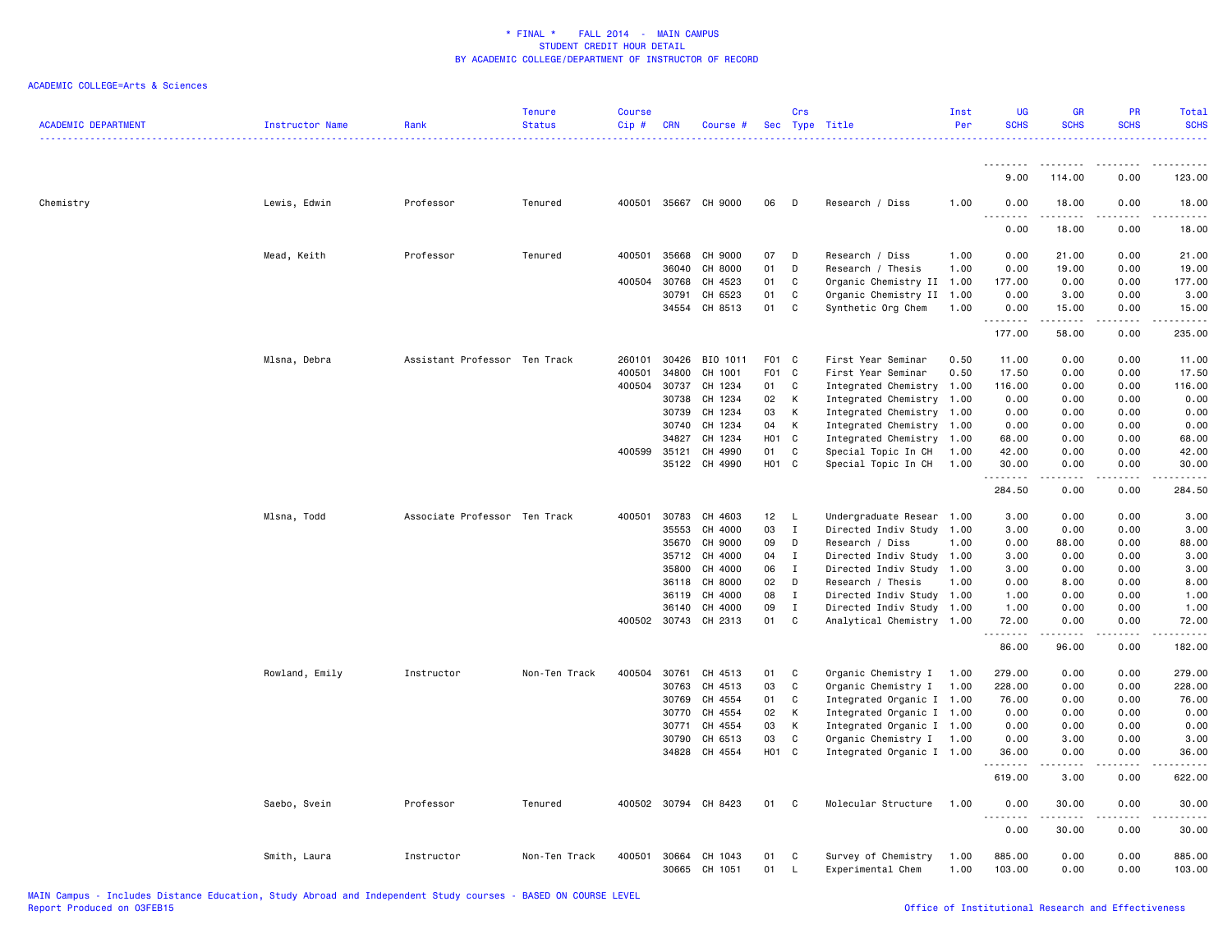| <b>ACADEMIC DEPARTMENT</b> | Instructor Name | Rank                          | <b>Tenure</b><br><b>Status</b> | <b>Course</b><br>Cip# | <b>CRN</b>     | Course #             |                  | Crs          | Sec Type Title                           | Inst<br>Per  | <b>UG</b><br><b>SCHS</b> | <b>GR</b><br><b>SCHS</b>                                                                                                                             | <b>PR</b><br><b>SCHS</b>     | Total<br><b>SCHS</b> |
|----------------------------|-----------------|-------------------------------|--------------------------------|-----------------------|----------------|----------------------|------------------|--------------|------------------------------------------|--------------|--------------------------|------------------------------------------------------------------------------------------------------------------------------------------------------|------------------------------|----------------------|
|                            |                 |                               |                                |                       |                |                      |                  |              |                                          |              |                          |                                                                                                                                                      |                              |                      |
|                            |                 |                               |                                |                       |                |                      |                  |              |                                          |              | 9.00                     | 114.00                                                                                                                                               | 0.00                         | 123.00               |
| Chemistry                  | Lewis, Edwin    | Professor                     | Tenured                        | 400501                |                | 35667 CH 9000        | 06               | D            | Research / Diss                          | 1.00         | 0.00<br>د د د د          | 18.00<br>.                                                                                                                                           | 0.00<br>$\sim$ $\sim$ $\sim$ | 18.00<br>.           |
|                            |                 |                               |                                |                       |                |                      |                  |              |                                          |              | 0.00                     | 18.00                                                                                                                                                | 0.00                         | 18.00                |
|                            | Mead, Keith     | Professor                     | Tenured                        | 400501                | 35668          | CH 9000              | 07               | D            | Research / Diss                          | 1.00         | 0.00                     | 21.00                                                                                                                                                | 0.00                         | 21.00                |
|                            |                 |                               |                                |                       | 36040          | CH 8000              | 01               | D            | Research / Thesis                        | 1.00         | 0.00                     | 19.00                                                                                                                                                | 0.00                         | 19.00                |
|                            |                 |                               |                                | 400504                | 30768          | CH 4523              | 01               | C            | Organic Chemistry II 1.00                |              | 177.00                   | 0.00                                                                                                                                                 | 0.00                         | 177.00               |
|                            |                 |                               |                                |                       | 30791          | CH 6523              | 01               | C            | Organic Chemistry II 1.00                |              | 0.00                     | 3.00                                                                                                                                                 | 0.00                         | 3.00                 |
|                            |                 |                               |                                |                       | 34554          | CH 8513              | 01               | C            | Synthetic Org Chem                       | 1.00         | 0.00<br>ه د د د د        | 15.00                                                                                                                                                | 0.00<br>$\sim$ $\sim$ $\sim$ | 15.00<br>والمناصبات  |
|                            |                 |                               |                                |                       |                |                      |                  |              |                                          |              | 177.00                   | 58.00                                                                                                                                                | 0.00                         | 235.00               |
|                            | Mlsna, Debra    | Assistant Professor Ten Track |                                | 260101                | 30426          | BIO 1011             | F01 C            |              | First Year Seminar                       | 0.50         | 11.00                    | 0.00                                                                                                                                                 | 0.00                         | 11.00                |
|                            |                 |                               |                                | 400501                | 34800          | CH 1001              | F <sub>0</sub> 1 | $\mathbf{C}$ | First Year Seminar                       | 0.50         | 17.50                    | 0.00                                                                                                                                                 | 0.00                         | 17.50                |
|                            |                 |                               |                                | 400504 30737          |                | CH 1234              | 01               | C            | Integrated Chemistry 1.00                |              | 116.00                   | 0.00                                                                                                                                                 | 0.00                         | 116.00               |
|                            |                 |                               |                                |                       | 30738          | CH 1234              | 02               | К            | Integrated Chemistry 1.00                |              | 0.00                     | 0.00                                                                                                                                                 | 0.00                         | 0.00                 |
|                            |                 |                               |                                |                       | 30739          | CH 1234              | 03               | К            | Integrated Chemistry 1.00                |              | 0.00                     | 0.00                                                                                                                                                 | 0.00                         | 0.00                 |
|                            |                 |                               |                                |                       | 30740          | CH 1234              | 04               | К            | Integrated Chemistry 1.00                |              | 0.00                     | 0.00                                                                                                                                                 | 0.00                         | 0.00                 |
|                            |                 |                               |                                |                       | 34827          | CH 1234              | H01              | C            | Integrated Chemistry 1.00                |              | 68.00                    | 0.00                                                                                                                                                 | 0.00                         | 68.00                |
|                            |                 |                               |                                | 400599                | 35121          | CH 4990              | 01               | C            | Special Topic In CH                      | 1.00         | 42.00                    | 0.00                                                                                                                                                 | 0.00                         | 42.00                |
|                            |                 |                               |                                |                       |                | 35122 CH 4990        | H01 C            |              | Special Topic In CH                      | 1.00         | 30.00                    | 0.00                                                                                                                                                 | 0.00                         | 30.00                |
|                            |                 |                               |                                |                       |                |                      |                  |              |                                          |              | .                        | $\frac{1}{2} \left( \frac{1}{2} \right) \left( \frac{1}{2} \right) \left( \frac{1}{2} \right) \left( \frac{1}{2} \right) \left( \frac{1}{2} \right)$ | .                            | .                    |
|                            |                 |                               |                                |                       |                |                      |                  |              |                                          |              | 284.50                   | 0.00                                                                                                                                                 | 0.00                         | 284.50               |
|                            | Mlsna, Todd     | Associate Professor Ten Track |                                | 400501                | 30783          | CH 4603              | 12               | L.           | Undergraduate Resear 1.00                |              | 3.00                     | 0.00                                                                                                                                                 | 0.00                         | 3.00                 |
|                            |                 |                               |                                |                       | 35553          | CH 4000              | 03               | $\mathbf I$  | Directed Indiv Study 1.00                |              | 3.00                     | 0.00                                                                                                                                                 | 0.00                         | 3.00                 |
|                            |                 |                               |                                |                       | 35670          | CH 9000              | 09               | D            | Research / Diss                          | 1.00         | 0.00                     | 88.00                                                                                                                                                | 0.00                         | 88.00                |
|                            |                 |                               |                                |                       | 35712          | CH 4000              | 04               | $\mathbf I$  | Directed Indiv Study 1.00                |              | 3.00                     | 0.00                                                                                                                                                 | 0.00                         | 3.00                 |
|                            |                 |                               |                                |                       | 35800          | CH 4000              | 06               | $\mathbf I$  | Directed Indiv Study 1.00                |              | 3.00                     | 0.00                                                                                                                                                 | 0.00                         | 3.00                 |
|                            |                 |                               |                                |                       | 36118          | CH 8000              | 02               | D            | Research / Thesis                        | 1.00         | 0.00                     | 8.00                                                                                                                                                 | 0.00                         | 8.00                 |
|                            |                 |                               |                                |                       | 36119          | CH 4000              | 08               | $\mathbf I$  | Directed Indiv Study 1.00                |              | 1.00                     | 0.00                                                                                                                                                 | 0.00                         | 1.00                 |
|                            |                 |                               |                                |                       | 36140          | CH 4000              | 09               | $\;$ I       | Directed Indiv Study 1.00                |              | 1.00                     | 0.00                                                                                                                                                 | 0.00                         | 1.00                 |
|                            |                 |                               |                                |                       | 400502 30743   | CH 2313              | 01               | $\mathbb{C}$ | Analytical Chemistry 1.00                |              | 72.00<br>.               | 0.00<br>د د د د د                                                                                                                                    | 0.00<br>$\sim$ $\sim$ $\sim$ | 72.00<br>.           |
|                            |                 |                               |                                |                       |                |                      |                  |              |                                          |              | 86.00                    | 96.00                                                                                                                                                | 0.00                         | 182.00               |
|                            | Rowland, Emily  | Instructor                    | Non-Ten Track                  | 400504                | 30761          | CH 4513              | 01               | C            | Organic Chemistry I 1.00                 |              | 279.00                   | 0.00                                                                                                                                                 | 0.00                         | 279.00               |
|                            |                 |                               |                                |                       | 30763          | CH 4513              | 03               | C            | Organic Chemistry I                      | 1.00         | 228.00                   | 0.00                                                                                                                                                 | 0.00                         | 228.00               |
|                            |                 |                               |                                |                       | 30769          | CH 4554              | 01               | C            | Integrated Organic I 1.00                |              | 76.00                    | 0.00                                                                                                                                                 | 0.00                         | 76.00                |
|                            |                 |                               |                                |                       | 30770          | CH 4554              | 02               | К            | Integrated Organic I 1.00                |              | 0.00                     | 0.00                                                                                                                                                 | 0.00                         | 0.00                 |
|                            |                 |                               |                                |                       | 30771          | CH 4554              | 03               | к            | Integrated Organic I 1.00                |              | 0.00                     | 0.00                                                                                                                                                 | 0.00                         | 0.00                 |
|                            |                 |                               |                                |                       | 30790          | CH 6513              | 03               | C            | Organic Chemistry I 1.00                 |              | 0.00                     | 3.00                                                                                                                                                 | 0.00                         | 3.00                 |
|                            |                 |                               |                                |                       |                | 34828 CH 4554        | H01 C            |              | Integrated Organic I 1.00                |              | 36.00<br>.               | 0.00                                                                                                                                                 | 0.00<br>. <u>.</u> .         | 36.00<br>.           |
|                            |                 |                               |                                |                       |                |                      |                  |              |                                          |              | 619.00                   | 3.00                                                                                                                                                 | 0.00                         | 622.00               |
|                            | Saebo, Svein    | Professor                     | Tenured                        |                       |                | 400502 30794 CH 8423 | 01               | C            | Molecular Structure                      | 1.00         | 0.00<br>.                | 30.00                                                                                                                                                | 0.00                         | 30.00<br>.           |
|                            |                 |                               |                                |                       |                |                      |                  |              |                                          |              | 0.00                     | 30.00                                                                                                                                                | 0.00                         | 30.00                |
|                            | Smith, Laura    | Instructor                    | Non-Ten Track                  | 400501                | 30664<br>30665 | CH 1043<br>CH 1051   | 01<br>01         | C            | Survey of Chemistry<br>Experimental Chem | 1.00<br>1.00 | 885.00<br>103.00         | 0.00<br>0.00                                                                                                                                         | 0.00<br>0.00                 | 885.00<br>103.00     |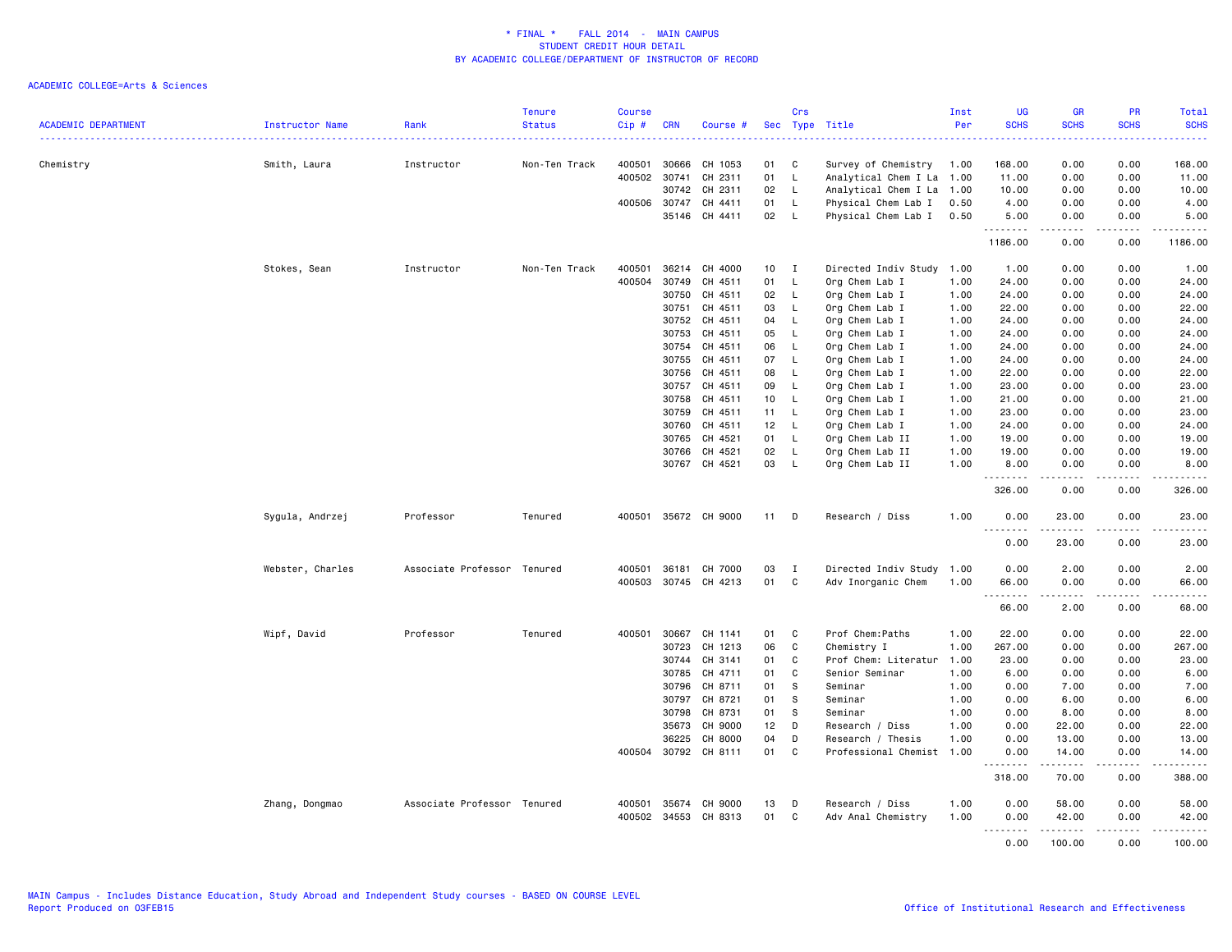|                            |                        |                             | <b>Tenure</b> | <b>Course</b> |              |                      |    | Crs          |                           | Inst | <b>UG</b>                                                                                                                                                               | <b>GR</b>        | PR          | Total                 |
|----------------------------|------------------------|-----------------------------|---------------|---------------|--------------|----------------------|----|--------------|---------------------------|------|-------------------------------------------------------------------------------------------------------------------------------------------------------------------------|------------------|-------------|-----------------------|
| <b>ACADEMIC DEPARTMENT</b> | <b>Instructor Name</b> | Rank                        | <b>Status</b> | Cip#          | <b>CRN</b>   | Course #             |    |              | Sec Type Title            | Per  | <b>SCHS</b>                                                                                                                                                             | <b>SCHS</b>      | <b>SCHS</b> | <b>SCHS</b><br>وتوتون |
| Chemistry                  | Smith, Laura           | Instructor                  | Non-Ten Track | 400501        | 30666        | CH 1053              | 01 | C            | Survey of Chemistry       | 1.00 | 168.00                                                                                                                                                                  | 0.00             | 0.00        | 168.00                |
|                            |                        |                             |               | 400502        | 30741        | CH 2311              | 01 | L            | Analytical Chem I La 1.00 |      | 11.00                                                                                                                                                                   | 0.00             | 0.00        | 11.00                 |
|                            |                        |                             |               |               |              | 30742 CH 2311        | 02 | L.           | Analytical Chem I La 1.00 |      | 10.00                                                                                                                                                                   | 0.00             | 0.00        | 10.00                 |
|                            |                        |                             |               |               | 400506 30747 | CH 4411              | 01 | L.           | Physical Chem Lab I       | 0.50 | 4.00                                                                                                                                                                    | 0.00             | 0.00        | 4.00                  |
|                            |                        |                             |               |               |              | 35146 CH 4411        | 02 | $\mathsf{L}$ | Physical Chem Lab I       | 0.50 | 5.00<br><u>.</u>                                                                                                                                                        | 0.00<br>.        | 0.00<br>.   | 5.00<br>.             |
|                            |                        |                             |               |               |              |                      |    |              |                           |      | 1186.00                                                                                                                                                                 | 0.00             | 0.00        | 1186.00               |
|                            | Stokes, Sean           | Instructor                  | Non-Ten Track | 400501        | 36214        | CH 4000              | 10 | $\mathbf{I}$ | Directed Indiv Study 1.00 |      | 1.00                                                                                                                                                                    | 0.00             | 0.00        | 1.00                  |
|                            |                        |                             |               | 400504        | 30749        | CH 4511              | 01 | L.           | Org Chem Lab I            | 1.00 | 24.00                                                                                                                                                                   | 0.00             | 0.00        | 24.00                 |
|                            |                        |                             |               |               | 30750        | CH 4511              | 02 | L            | Org Chem Lab I            | 1.00 | 24.00                                                                                                                                                                   | 0.00             | 0.00        | 24.00                 |
|                            |                        |                             |               |               | 30751        | CH 4511              | 03 | L.           | Org Chem Lab I            | 1.00 | 22.00                                                                                                                                                                   | 0.00             | 0.00        | 22.00                 |
|                            |                        |                             |               |               | 30752        | CH 4511              | 04 | L            | Org Chem Lab I            | 1.00 | 24.00                                                                                                                                                                   | 0.00             | 0.00        | 24.00                 |
|                            |                        |                             |               |               | 30753        | CH 4511              | 05 | <b>L</b>     | Org Chem Lab I            | 1.00 | 24.00                                                                                                                                                                   | 0.00             | 0.00        | 24.00                 |
|                            |                        |                             |               |               | 30754        | CH 4511              | 06 | L.           | Org Chem Lab I            | 1.00 | 24.00                                                                                                                                                                   | 0.00             | 0.00        | 24.00                 |
|                            |                        |                             |               |               | 30755        | CH 4511              | 07 | $\mathsf{L}$ | Org Chem Lab I            | 1.00 | 24.00                                                                                                                                                                   | 0.00             | 0.00        | 24.00                 |
|                            |                        |                             |               |               | 30756        | CH 4511              | 08 | L.           | Org Chem Lab I            | 1.00 | 22.00                                                                                                                                                                   | 0.00             | 0.00        | 22.00                 |
|                            |                        |                             |               |               | 30757        | CH 4511              | 09 | L.           | Org Chem Lab I            | 1.00 | 23.00                                                                                                                                                                   | 0.00             | 0.00        | 23.00                 |
|                            |                        |                             |               |               | 30758        | CH 4511              | 10 | $\mathsf{L}$ | Org Chem Lab I            | 1.00 | 21.00                                                                                                                                                                   | 0.00             | 0.00        | 21.00                 |
|                            |                        |                             |               |               | 30759        | CH 4511              | 11 | L.           | Org Chem Lab I            | 1.00 | 23.00                                                                                                                                                                   | 0.00             | 0.00        | 23.00                 |
|                            |                        |                             |               |               | 30760        | CH 4511              | 12 | $\mathsf{L}$ | Org Chem Lab I            | 1.00 | 24.00                                                                                                                                                                   | 0.00             | 0.00        | 24.00                 |
|                            |                        |                             |               |               | 30765        | CH 4521              | 01 | L.           | Org Chem Lab II           | 1.00 | 19.00                                                                                                                                                                   | 0.00             | 0.00        | 19.00                 |
|                            |                        |                             |               |               | 30766        | CH 4521              | 02 | L.           | Org Chem Lab II           | 1.00 | 19.00                                                                                                                                                                   | 0.00             | 0.00        | 19.00                 |
|                            |                        |                             |               |               |              | 30767 CH 4521        | 03 | L.           | Org Chem Lab II           | 1.00 | 8.00<br>.                                                                                                                                                               | 0.00<br>.        | 0.00<br>.   | 8.00<br><u>.</u>      |
|                            |                        |                             |               |               |              |                      |    |              |                           |      | 326.00                                                                                                                                                                  | 0.00             | 0.00        | 326.00                |
|                            | Sygula, Andrzej        | Professor                   | Tenured       |               |              | 400501 35672 CH 9000 | 11 | D            | Research / Diss           | 1.00 | 0.00<br>$\frac{1}{2} \left( \frac{1}{2} \right) \left( \frac{1}{2} \right) \left( \frac{1}{2} \right) \left( \frac{1}{2} \right) \left( \frac{1}{2} \right)$<br>$- - -$ | 23.00<br>.       | 0.00<br>.   | 23.00<br>.            |
|                            |                        |                             |               |               |              |                      |    |              |                           |      | 0.00                                                                                                                                                                    | 23.00            | 0.00        | 23.00                 |
|                            | Webster, Charles       | Associate Professor Tenured |               | 400501        | 36181        | CH 7000              | 03 | I            | Directed Indiv Study 1.00 |      | 0.00                                                                                                                                                                    | 2.00             | 0.00        | 2.00                  |
|                            |                        |                             |               |               |              | 400503 30745 CH 4213 | 01 | C            | Adv Inorganic Chem        | 1.00 | 66.00                                                                                                                                                                   | 0.00             | 0.00        | 66.00                 |
|                            |                        |                             |               |               |              |                      |    |              |                           |      | .<br>66.00                                                                                                                                                              | <b>.</b><br>2.00 | .<br>0.00   | .<br>68.00            |
|                            | Wipf, David            | Professor                   | Tenured       | 400501        | 30667        | CH 1141              | 01 | C            | Prof Chem: Paths          | 1.00 | 22.00                                                                                                                                                                   | 0.00             | 0.00        | 22.00                 |
|                            |                        |                             |               |               | 30723        | CH 1213              | 06 | C            | Chemistry I               | 1.00 | 267.00                                                                                                                                                                  | 0.00             | 0.00        | 267.00                |
|                            |                        |                             |               |               | 30744        | CH 3141              | 01 | C            | Prof Chem: Literatur      | 1.00 | 23.00                                                                                                                                                                   | 0.00             | 0.00        | 23.00                 |
|                            |                        |                             |               |               | 30785        | CH 4711              | 01 | C            | Senior Seminar            | 1.00 | 6.00                                                                                                                                                                    | 0.00             | 0.00        | 6.00                  |
|                            |                        |                             |               |               |              | 30796 CH 8711        | 01 | s            | Seminar                   | 1.00 | 0.00                                                                                                                                                                    | 7.00             | 0.00        | 7.00                  |
|                            |                        |                             |               |               | 30797        | CH 8721              | 01 | S            | Seminar                   | 1.00 | 0.00                                                                                                                                                                    | 6.00             | 0.00        | 6.00                  |
|                            |                        |                             |               |               | 30798        | CH 8731              | 01 | <sub>S</sub> | Seminar                   | 1.00 | 0.00                                                                                                                                                                    | 8.00             | 0.00        | 8.00                  |
|                            |                        |                             |               |               | 35673        | CH 9000              | 12 | D            | Research / Diss           | 1.00 | 0.00                                                                                                                                                                    | 22.00            | 0.00        | 22.00                 |
|                            |                        |                             |               |               | 36225        | CH 8000              | 04 | D            | Research / Thesis         | 1.00 | 0.00                                                                                                                                                                    | 13.00            | 0.00        | 13.00                 |
|                            |                        |                             |               |               |              | 400504 30792 CH 8111 | 01 | C            | Professional Chemist 1.00 |      | 0.00<br>.                                                                                                                                                               | 14.00<br>.       | 0.00<br>.   | 14.00<br>.            |
|                            |                        |                             |               |               |              |                      |    |              |                           |      | 318.00                                                                                                                                                                  | 70.00            | 0.00        | 388.00                |
|                            | Zhang, Dongmao         | Associate Professor Tenured |               | 400501        | 35674        | CH 9000              | 13 | D            | Research / Diss           | 1.00 | 0.00                                                                                                                                                                    | 58.00            | 0.00        | 58.00                 |
|                            |                        |                             |               |               | 400502 34553 | CH 8313              | 01 | C            | Adv Anal Chemistry        | 1.00 | 0.00                                                                                                                                                                    | 42.00            | 0.00        | 42.00                 |
|                            |                        |                             |               |               |              |                      |    |              |                           |      | .                                                                                                                                                                       | <u>.</u>         | .           | 2.2.2.2.2.2           |
|                            |                        |                             |               |               |              |                      |    |              |                           |      | 0.00                                                                                                                                                                    | 100.00           | 0.00        | 100.00                |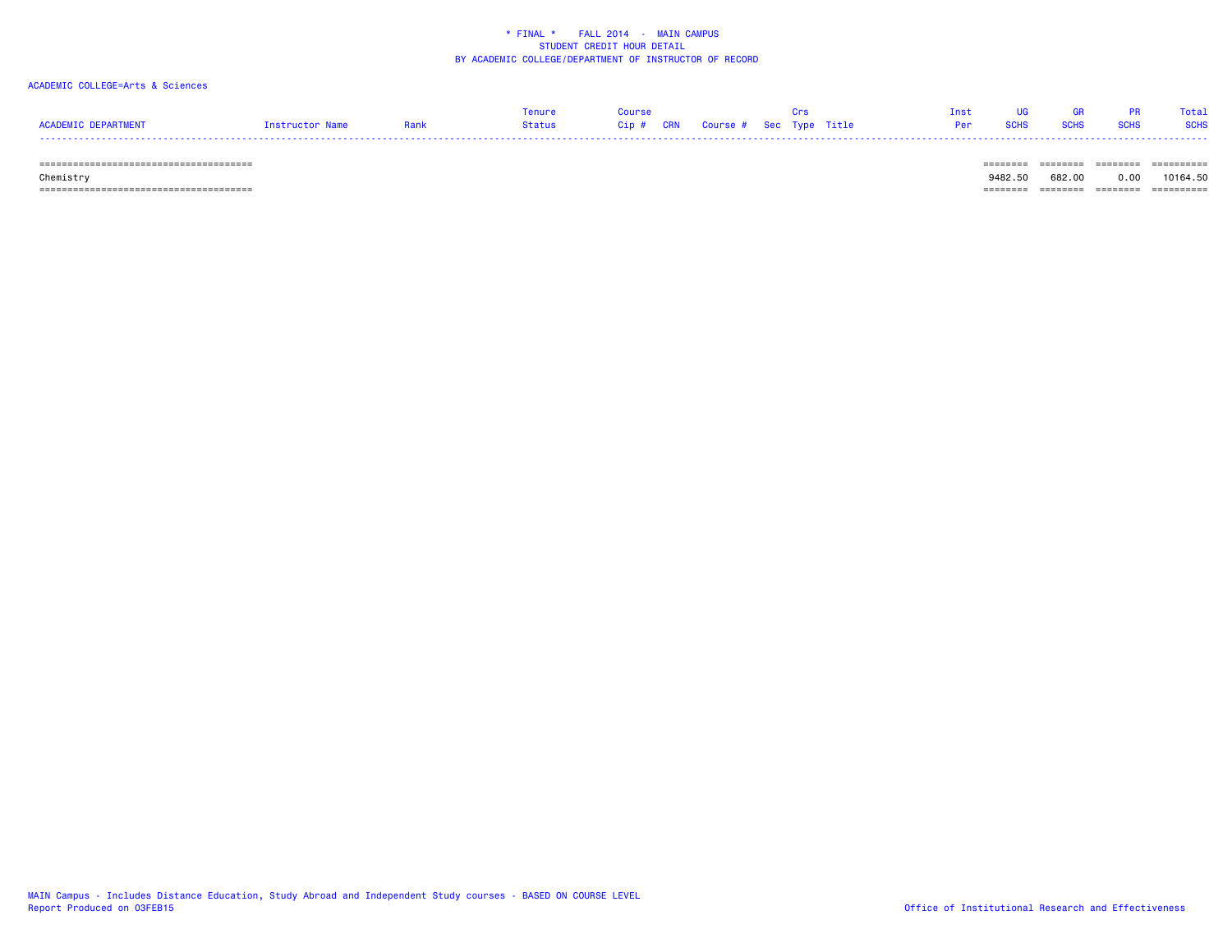# ACADEMIC COLLEGE=Arts & Sciences

|                            |                 | Tenure | Course |                                        |  | Inst | <b>IIG</b>    | - GR | <b>PR</b>   | Total       |
|----------------------------|-----------------|--------|--------|----------------------------------------|--|------|---------------|------|-------------|-------------|
| <b>ACADEMIC DEPARTMENT</b> | Instructor Name | Status |        | Cip # CRN   Course #  Sec  Type  Title |  |      | Per SCHS SCHS |      | <b>SCHS</b> | <b>SCHS</b> |
| -----                      |                 |        |        |                                        |  |      |               |      |             |             |

 ====================================== ======== ======== ======== ========== Chemistry 9482.50 682.00 0.00 10164.50 ====================================== ======== ======== ======== ==========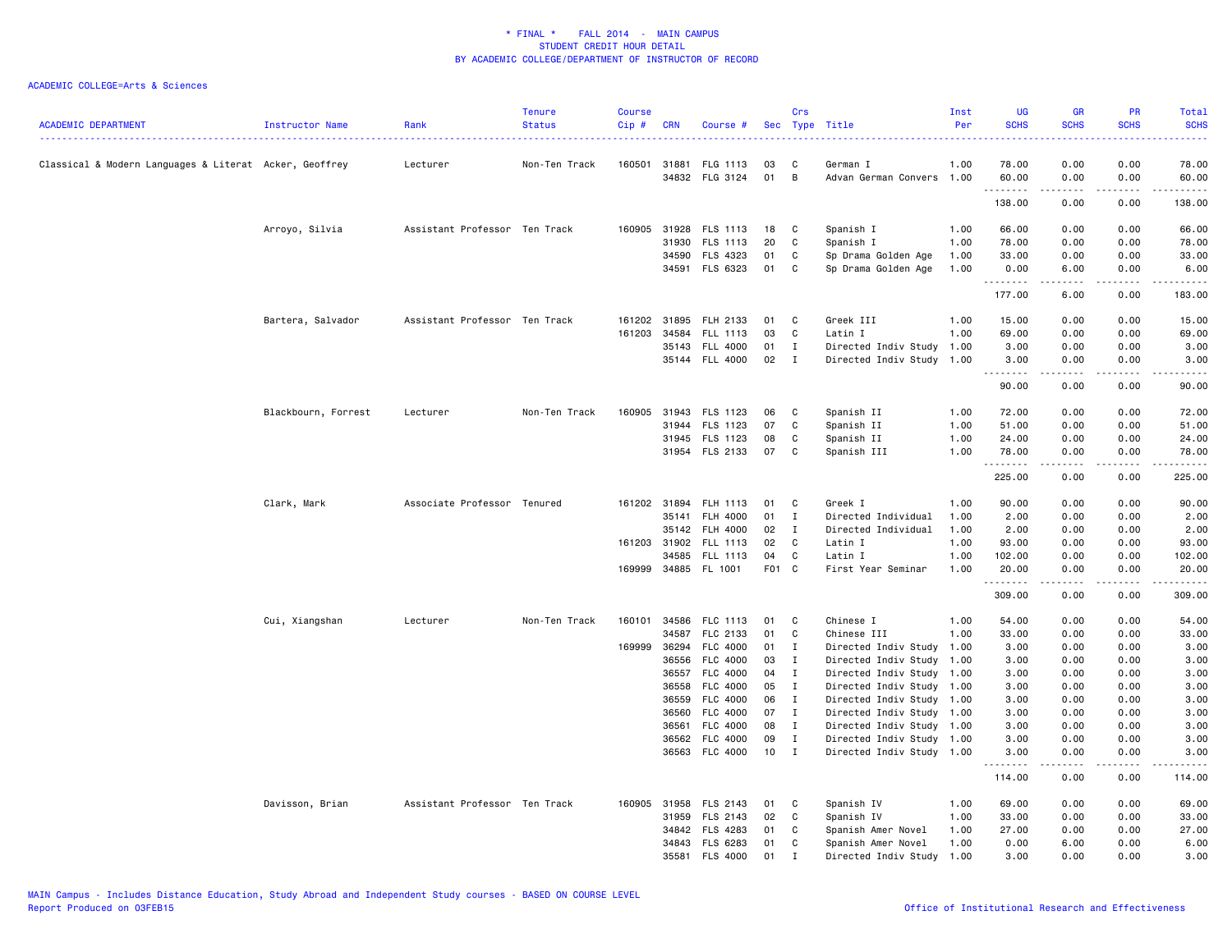| <b>ACADEMIC DEPARTMENT</b>                             | Instructor Name     | Rank                          | <b>Tenure</b><br><b>Status</b> | <b>Course</b><br>Cip # | <b>CRN</b>   | Course #                          |          | Crs                          | Sec Type Title                                         | Inst<br>Per  | <b>UG</b><br><b>SCHS</b>                                                                                                                                     | <b>GR</b><br><b>SCHS</b> | PR<br><b>SCHS</b>                   | Total<br><b>SCHS</b> |
|--------------------------------------------------------|---------------------|-------------------------------|--------------------------------|------------------------|--------------|-----------------------------------|----------|------------------------------|--------------------------------------------------------|--------------|--------------------------------------------------------------------------------------------------------------------------------------------------------------|--------------------------|-------------------------------------|----------------------|
| Classical & Modern Languages & Literat Acker, Geoffrey |                     | Lecturer                      | Non-Ten Track                  | 160501                 | 31881        | FLG 1113                          | 03       | C                            | German I                                               | 1.00         | 78.00                                                                                                                                                        | 0.00                     | 0.00                                | 78.00                |
|                                                        |                     |                               |                                |                        |              | 34832 FLG 3124                    | 01       | B                            | Advan German Convers 1.00                              |              | 60.00<br>. <b>.</b>                                                                                                                                          | 0.00<br>.                | 0.00<br>.                           | 60.00<br><u>.</u>    |
|                                                        |                     |                               |                                |                        |              |                                   |          |                              |                                                        |              | 138.00                                                                                                                                                       | 0.00                     | 0.00                                | 138.00               |
|                                                        | Arroyo, Silvia      | Assistant Professor Ten Track |                                | 160905                 |              | 31928 FLS 1113                    | 18       | C                            | Spanish I                                              | 1.00         | 66.00                                                                                                                                                        | 0.00                     | 0.00                                | 66.00                |
|                                                        |                     |                               |                                |                        | 31930        | <b>FLS 1113</b>                   | 20       | C                            | Spanish I                                              | 1.00         | 78.00                                                                                                                                                        | 0.00                     | 0.00                                | 78.00                |
|                                                        |                     |                               |                                |                        |              | 34590 FLS 4323                    | 01       | C                            | Sp Drama Golden Age                                    | 1.00         | 33.00                                                                                                                                                        | 0.00                     | 0.00                                | 33.00                |
|                                                        |                     |                               |                                |                        |              | 34591 FLS 6323                    | 01       | C                            | Sp Drama Golden Age                                    | 1.00         | 0.00<br>.                                                                                                                                                    | 6.00<br><u>.</u>         | 0.00<br>د د د د                     | 6.00<br>.            |
|                                                        |                     |                               |                                |                        |              |                                   |          |                              |                                                        |              | 177.00                                                                                                                                                       | 6.00                     | 0.00                                | 183.00               |
|                                                        | Bartera, Salvador   | Assistant Professor Ten Track |                                |                        |              | 161202 31895 FLH 2133             | 01       | C                            | Greek III                                              | 1.00         | 15.00                                                                                                                                                        | 0.00                     | 0.00                                | 15.00                |
|                                                        |                     |                               |                                | 161203                 | 34584        | FLL 1113                          | 03       | C                            | Latin I                                                | 1.00         | 69.00                                                                                                                                                        | 0.00                     | 0.00                                | 69.00                |
|                                                        |                     |                               |                                |                        |              | 35143 FLL 4000                    | 01       | $\mathbf{I}$                 | Directed Indiv Study 1.00                              |              | 3.00                                                                                                                                                         | 0.00                     | 0.00                                | 3.00                 |
|                                                        |                     |                               |                                |                        |              | 35144 FLL 4000                    | 02       | $\mathbf{I}$                 | Directed Indiv Study 1.00                              |              | 3.00<br>$\frac{1}{2} \left( \frac{1}{2} \right) \left( \frac{1}{2} \right) \left( \frac{1}{2} \right) \left( \frac{1}{2} \right) \left( \frac{1}{2} \right)$ | 0.00<br>.                | 0.00<br>$\sim$ $\sim$ $\sim$ $\sim$ | 3.00<br>-----        |
|                                                        |                     |                               |                                |                        |              |                                   |          |                              |                                                        |              | 90.00                                                                                                                                                        | 0.00                     | 0.00                                | 90.00                |
|                                                        | Blackbourn, Forrest | Lecturer                      | Non-Ten Track                  |                        | 160905 31943 | FLS 1123                          | 06       | C                            | Spanish II                                             | 1.00         | 72.00                                                                                                                                                        | 0.00                     | 0.00                                | 72.00                |
|                                                        |                     |                               |                                |                        |              | 31944 FLS 1123                    | 07       | C                            | Spanish II                                             | 1.00         | 51.00                                                                                                                                                        | 0.00                     | 0.00                                | 51.00                |
|                                                        |                     |                               |                                |                        |              | 31945 FLS 1123                    | 08       | C                            | Spanish II                                             | 1.00         | 24.00                                                                                                                                                        | 0.00                     | 0.00                                | 24.00                |
|                                                        |                     |                               |                                |                        |              | 31954 FLS 2133                    | 07       | C                            | Spanish III                                            | 1.00         | 78.00<br>.                                                                                                                                                   | 0.00<br>.                | 0.00<br>$\sim$ $\sim$ $\sim$        | 78.00<br>.           |
|                                                        |                     |                               |                                |                        |              |                                   |          |                              |                                                        |              | 225.00                                                                                                                                                       | 0.00                     | 0.00                                | 225.00               |
|                                                        | Clark, Mark         | Associate Professor Tenured   |                                |                        |              | 161202 31894 FLH 1113             | 01       | C                            | Greek I                                                | 1.00         | 90.00                                                                                                                                                        | 0.00                     | 0.00                                | 90.00                |
|                                                        |                     |                               |                                |                        | 35141        | FLH 4000                          | 01       | $\mathbf{I}$                 | Directed Individual                                    | 1.00         | 2.00                                                                                                                                                         | 0.00                     | 0.00                                | 2.00                 |
|                                                        |                     |                               |                                |                        | 35142        | <b>FLH 4000</b>                   | 02       | I                            | Directed Individual                                    | 1.00         | 2.00                                                                                                                                                         | 0.00                     | 0.00                                | 2.00                 |
|                                                        |                     |                               |                                |                        | 161203 31902 | FLL 1113                          | 02       | C                            | Latin I                                                | 1.00         | 93.00                                                                                                                                                        | 0.00                     | 0.00                                | 93.00                |
|                                                        |                     |                               |                                |                        | 34585        | FLL 1113                          | 04       | C                            | Latin I                                                | 1.00         | 102.00                                                                                                                                                       | 0.00                     | 0.00                                | 102.00               |
|                                                        |                     |                               |                                |                        |              | 169999 34885 FL 1001              | F01 C    |                              | First Year Seminar                                     | 1.00         | 20.00<br>.                                                                                                                                                   | 0.00                     | 0.00                                | 20.00<br>.           |
|                                                        |                     |                               |                                |                        |              |                                   |          |                              |                                                        |              | 309.00                                                                                                                                                       | 0.00                     | 0.00                                | 309.00               |
|                                                        | Cui, Xiangshan      | Lecturer                      | Non-Ten Track                  | 160101                 |              | 34586 FLC 1113                    | 01       | C                            | Chinese I                                              | 1.00         | 54.00                                                                                                                                                        | 0.00                     | 0.00                                | 54.00                |
|                                                        |                     |                               |                                |                        | 34587        | FLC 2133                          | 01       | C                            | Chinese III                                            | 1.00         | 33.00                                                                                                                                                        | 0.00                     | 0.00                                | 33.00                |
|                                                        |                     |                               |                                | 169999                 |              | 36294 FLC 4000                    | 01       | $\mathbf{I}$                 | Directed Indiv Study 1.00                              |              | 3.00                                                                                                                                                         | 0.00                     | 0.00                                | 3.00                 |
|                                                        |                     |                               |                                |                        |              | 36556 FLC 4000                    | 03       | $\mathbf{I}$                 | Directed Indiv Study 1.00                              |              | 3.00                                                                                                                                                         | 0.00                     | 0.00                                | 3.00                 |
|                                                        |                     |                               |                                |                        |              | 36557 FLC 4000                    | 04       | $\mathbf{I}$                 | Directed Indiv Study 1.00                              |              | 3.00                                                                                                                                                         | 0.00                     | 0.00                                | 3.00                 |
|                                                        |                     |                               |                                |                        |              | 36558 FLC 4000                    | 05       | $\mathbf{I}$                 | Directed Indiv Study 1.00                              |              | 3.00                                                                                                                                                         | 0.00                     | 0.00                                | 3.00                 |
|                                                        |                     |                               |                                |                        | 36559        | FLC 4000                          | 06       | $\mathbf{I}$                 | Directed Indiv Study 1.00                              |              | 3.00                                                                                                                                                         | 0.00                     | 0.00                                | 3.00                 |
|                                                        |                     |                               |                                |                        | 36560        | <b>FLC 4000</b>                   | 07       | $\bf{I}$                     | Directed Indiv Study 1.00                              |              | 3.00                                                                                                                                                         | 0.00                     | 0.00                                | 3.00                 |
|                                                        |                     |                               |                                |                        | 36561        | FLC 4000                          | 08       | $\mathbf{I}$                 | Directed Indiv Study 1.00                              |              | 3.00                                                                                                                                                         | 0.00                     | 0.00                                | 3.00                 |
|                                                        |                     |                               |                                |                        | 36562        | FLC 4000<br>36563 FLC 4000        | 09<br>10 | $\mathbf{I}$<br>$\mathbf{I}$ | Directed Indiv Study 1.00<br>Directed Indiv Study 1.00 |              | 3.00<br>3.00                                                                                                                                                 | 0.00<br>0.00             | 0.00<br>0.00                        | 3.00<br>3.00         |
|                                                        |                     |                               |                                |                        |              |                                   |          |                              |                                                        |              | 114.00                                                                                                                                                       | 0.00                     | 0.00                                | $- - - -$<br>114.00  |
|                                                        |                     |                               |                                |                        |              |                                   |          |                              |                                                        |              |                                                                                                                                                              |                          |                                     |                      |
|                                                        | Davisson, Brian     | Assistant Professor Ten Track |                                |                        |              | 160905 31958 FLS 2143             | 01       | C                            | Spanish IV                                             | 1.00         | 69.00                                                                                                                                                        | 0.00                     | 0.00                                | 69.00                |
|                                                        |                     |                               |                                |                        | 31959        | FLS 2143                          | 02       | C                            | Spanish IV                                             | 1.00         | 33.00                                                                                                                                                        | 0.00                     | 0.00                                | 33.00                |
|                                                        |                     |                               |                                |                        | 34842        | FLS 4283                          | 01       | C                            | Spanish Amer Novel                                     | 1.00         | 27.00                                                                                                                                                        | 0.00                     | 0.00                                | 27.00                |
|                                                        |                     |                               |                                |                        | 35581        | 34843 FLS 6283<br><b>FLS 4000</b> | 01<br>01 | C<br>$\mathbf{r}$            | Spanish Amer Novel<br>Directed Indiv Study             | 1.00<br>1.00 | 0.00<br>3.00                                                                                                                                                 | 6.00<br>0.00             | 0.00<br>0.00                        | 6.00<br>3.00         |
|                                                        |                     |                               |                                |                        |              |                                   |          |                              |                                                        |              |                                                                                                                                                              |                          |                                     |                      |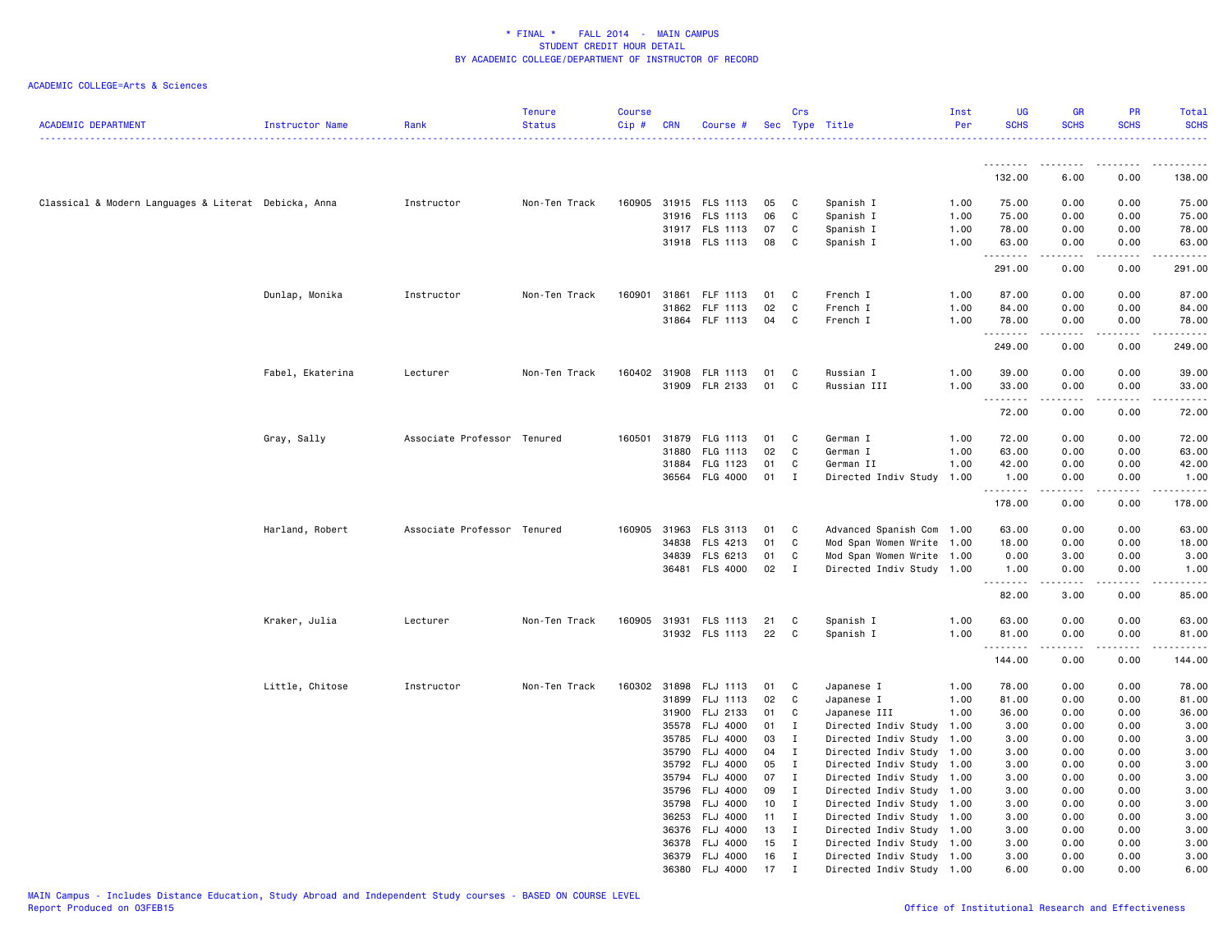| <b>ACADEMIC DEPARTMENT</b>                           | Instructor Name  | Rank                        | <b>Tenure</b><br><b>Status</b> | Course<br>$Cip \#$ | <b>CRN</b> | Course #                   |          | Crs                          | Sec Type Title                                         | Inst<br>Per | <b>UG</b><br><b>SCHS</b> | <b>GR</b><br><b>SCHS</b>                                                                                                                                                                | PR<br><b>SCHS</b> | Total<br><b>SCHS</b><br>د د د د د د د |
|------------------------------------------------------|------------------|-----------------------------|--------------------------------|--------------------|------------|----------------------------|----------|------------------------------|--------------------------------------------------------|-------------|--------------------------|-----------------------------------------------------------------------------------------------------------------------------------------------------------------------------------------|-------------------|---------------------------------------|
|                                                      |                  |                             |                                |                    |            |                            |          |                              |                                                        |             | .                        |                                                                                                                                                                                         |                   |                                       |
|                                                      |                  |                             |                                |                    |            |                            |          |                              |                                                        |             | 132.00                   | 6.00                                                                                                                                                                                    | 0.00              | 138.00                                |
| Classical & Modern Languages & Literat Debicka, Anna |                  | Instructor                  | Non-Ten Track                  | 160905             |            | 31915 FLS 1113             | 05       | C                            | Spanish I                                              | 1.00        | 75.00                    | 0.00                                                                                                                                                                                    | 0.00              | 75.00                                 |
|                                                      |                  |                             |                                |                    |            | 31916 FLS 1113             | 06       | C                            | Spanish I                                              | 1.00        | 75.00                    | 0.00                                                                                                                                                                                    | 0.00              | 75.00                                 |
|                                                      |                  |                             |                                |                    |            | 31917 FLS 1113             | 07       | C                            | Spanish I                                              | 1.00        | 78.00                    | 0.00                                                                                                                                                                                    | 0.00              | 78.00                                 |
|                                                      |                  |                             |                                |                    |            | 31918 FLS 1113             | 08       | C                            | Spanish I                                              | 1.00        | 63.00<br>.               | 0.00<br>$- - - - -$                                                                                                                                                                     | 0.00<br>.         | 63.00<br>.                            |
|                                                      |                  |                             |                                |                    |            |                            |          |                              |                                                        |             | 291.00                   | 0.00                                                                                                                                                                                    | 0.00              | 291.00                                |
|                                                      | Dunlap, Monika   | Instructor                  | Non-Ten Track                  | 160901             | 31861      | FLF 1113                   | 01       | C                            | French I                                               | 1.00        | 87.00                    | 0.00                                                                                                                                                                                    | 0.00              | 87.00                                 |
|                                                      |                  |                             |                                |                    | 31862      | FLF 1113                   | 02       | C                            | French I                                               | 1.00        | 84.00                    | 0.00                                                                                                                                                                                    | 0.00              | 84.00                                 |
|                                                      |                  |                             |                                |                    |            | 31864 FLF 1113             | 04       | C                            | French I                                               | 1.00        | 78.00<br>.               | 0.00<br>$\frac{1}{2} \left( \frac{1}{2} \right) \left( \frac{1}{2} \right) \left( \frac{1}{2} \right) \left( \frac{1}{2} \right) \left( \frac{1}{2} \right)$                            | 0.00<br>.         | 78.00<br>2.2.2.2.2.2                  |
|                                                      |                  |                             |                                |                    |            |                            |          |                              |                                                        |             | 249.00                   | 0.00                                                                                                                                                                                    | 0.00              | 249.00                                |
|                                                      | Fabel, Ekaterina | Lecturer                    | Non-Ten Track                  |                    |            | 160402 31908 FLR 1113      | 01       | C                            | Russian I                                              | 1.00        | 39.00                    | 0.00                                                                                                                                                                                    | 0.00              | 39.00                                 |
|                                                      |                  |                             |                                |                    |            | 31909 FLR 2133             | 01       | C                            | Russian III                                            | 1.00        | 33.00                    | 0.00                                                                                                                                                                                    | 0.00              | 33.00                                 |
|                                                      |                  |                             |                                |                    |            |                            |          |                              |                                                        |             | .<br>72.00               | $\frac{1}{2} \left( \frac{1}{2} \right) \left( \frac{1}{2} \right) \left( \frac{1}{2} \right) \left( \frac{1}{2} \right) \left( \frac{1}{2} \right) \left( \frac{1}{2} \right)$<br>0.00 | .<br>0.00         | .<br>72.00                            |
|                                                      |                  |                             |                                |                    | 31879      | FLG 1113                   |          |                              |                                                        | 1.00        |                          |                                                                                                                                                                                         |                   |                                       |
|                                                      | Gray, Sally      | Associate Professor Tenured |                                | 160501             | 31880      | FLG 1113                   | 01<br>02 | C<br>C                       | German I<br>German I                                   | 1.00        | 72.00<br>63.00           | 0.00<br>0.00                                                                                                                                                                            | 0.00<br>0.00      | 72.00<br>63.00                        |
|                                                      |                  |                             |                                |                    | 31884      | FLG 1123                   | 01       | C                            | German II                                              | 1.00        | 42.00                    | 0.00                                                                                                                                                                                    | 0.00              | 42.00                                 |
|                                                      |                  |                             |                                |                    |            | 36564 FLG 4000             | 01       | I                            | Directed Indiv Study 1.00                              |             | 1.00                     | 0.00                                                                                                                                                                                    | 0.00              | 1.00                                  |
|                                                      |                  |                             |                                |                    |            |                            |          |                              |                                                        |             | .<br>178.00              | 0.00                                                                                                                                                                                    | .<br>0.00         | .<br>178.00                           |
|                                                      | Harland, Robert  | Associate Professor Tenured |                                |                    |            | 160905 31963 FLS 3113      | 01       | C                            | Advanced Spanish Com 1.00                              |             | 63.00                    | 0.00                                                                                                                                                                                    | 0.00              | 63.00                                 |
|                                                      |                  |                             |                                |                    | 34838      | FLS 4213                   | 01       | C                            | Mod Span Women Write 1.00                              |             | 18.00                    | 0.00                                                                                                                                                                                    | 0.00              | 18.00                                 |
|                                                      |                  |                             |                                |                    | 34839      | FLS 6213                   | 01       | C                            | Mod Span Women Write 1.00                              |             | 0.00                     | 3.00                                                                                                                                                                                    | 0.00              | 3.00                                  |
|                                                      |                  |                             |                                |                    |            | 36481 FLS 4000             | 02       | $\mathbf{I}$                 | Directed Indiv Study 1.00                              |             | 1.00<br>.                | 0.00<br>$\frac{1}{2} \left( \frac{1}{2} \right) \left( \frac{1}{2} \right) \left( \frac{1}{2} \right) \left( \frac{1}{2} \right) \left( \frac{1}{2} \right)$                            | 0.00<br>.         | 1.00<br>.                             |
|                                                      |                  |                             |                                |                    |            |                            |          |                              |                                                        |             | 82.00                    | 3.00                                                                                                                                                                                    | 0.00              | 85.00                                 |
|                                                      | Kraker, Julia    | Lecturer                    | Non-Ten Track                  | 160905             | 31931      | FLS 1113                   | 21       | C                            | Spanish I                                              | 1.00        | 63.00                    | 0.00                                                                                                                                                                                    | 0.00              | 63.00                                 |
|                                                      |                  |                             |                                |                    |            | 31932 FLS 1113             | 22       | C                            | Spanish I                                              | 1.00        | 81.00                    | 0.00                                                                                                                                                                                    | 0.00              | 81.00                                 |
|                                                      |                  |                             |                                |                    |            |                            |          |                              |                                                        |             | .<br>144.00              | -----<br>0.00                                                                                                                                                                           | .<br>0.00         | .<br>144.00                           |
|                                                      | Little, Chitose  | Instructor                  | Non-Ten Track                  | 160302             | 31898      | FLJ 1113                   | 01       | C                            | Japanese I                                             | 1.00        | 78.00                    | 0.00                                                                                                                                                                                    | 0.00              | 78.00                                 |
|                                                      |                  |                             |                                |                    | 31899      | FLJ 1113                   | 02       | C                            | Japanese I                                             | 1.00        | 81.00                    | 0.00                                                                                                                                                                                    | 0.00              | 81.00                                 |
|                                                      |                  |                             |                                |                    | 31900      | FLJ 2133                   | 01       | C                            | Japanese III                                           | 1.00        | 36.00                    | 0.00                                                                                                                                                                                    | 0.00              | 36.00                                 |
|                                                      |                  |                             |                                |                    |            | 35578 FLJ 4000             | 01       | $\mathbf{I}$                 | Directed Indiv Study 1.00                              |             | 3.00                     | 0.00                                                                                                                                                                                    | 0.00              | 3.00                                  |
|                                                      |                  |                             |                                |                    | 35785      | <b>FLJ 4000</b>            | 03       | $\mathbf{I}$                 | Directed Indiv Study 1.00                              |             | 3.00                     | 0.00                                                                                                                                                                                    | 0.00              | 3.00                                  |
|                                                      |                  |                             |                                |                    |            | 35790 FLJ 4000             | 04       | $\mathbf I$                  | Directed Indiv Study 1.00                              |             | 3.00                     | 0.00                                                                                                                                                                                    | 0.00              | 3.00                                  |
|                                                      |                  |                             |                                |                    | 35792      | FLJ 4000<br>35794 FLJ 4000 | 05<br>07 | $\mathbf{I}$<br>$\mathbf{I}$ | Directed Indiv Study 1.00<br>Directed Indiv Study 1.00 |             | 3.00<br>3.00             | 0.00<br>0.00                                                                                                                                                                            | 0.00<br>0.00      | 3.00<br>3.00                          |
|                                                      |                  |                             |                                |                    | 35796      | FLJ 4000                   | 09       | $\mathbf{I}$                 | Directed Indiv Study 1.00                              |             | 3.00                     | 0.00                                                                                                                                                                                    | 0.00              | 3.00                                  |
|                                                      |                  |                             |                                |                    | 35798      | FLJ 4000                   | 10       | I                            | Directed Indiv Study 1.00                              |             | 3.00                     | 0.00                                                                                                                                                                                    | 0.00              | 3.00                                  |
|                                                      |                  |                             |                                |                    | 36253      | FLJ 4000                   | 11       | $\mathbf{I}$                 | Directed Indiv Study 1.00                              |             | 3.00                     | 0.00                                                                                                                                                                                    | 0.00              | 3.00                                  |
|                                                      |                  |                             |                                |                    | 36376      | FLJ 4000                   | 13       | I                            | Directed Indiv Study 1.00                              |             | 3.00                     | 0.00                                                                                                                                                                                    | 0.00              | 3.00                                  |
|                                                      |                  |                             |                                |                    | 36378      | FLJ 4000                   | 15       | I                            | Directed Indiv Study 1.00                              |             | 3.00                     | 0.00                                                                                                                                                                                    | 0.00              | 3.00                                  |
|                                                      |                  |                             |                                |                    |            | 36379 FLJ 4000             | 16       | $\mathbf I$                  | Directed Indiv Study 1.00                              |             | 3.00                     | 0.00                                                                                                                                                                                    | 0.00              | 3.00                                  |
|                                                      |                  |                             |                                |                    | 36380      | FLJ 4000                   | 17       | $\mathbf{r}$                 | Directed Indiv Study 1.00                              |             | 6.00                     | 0.00                                                                                                                                                                                    | 0.00              | 6.00                                  |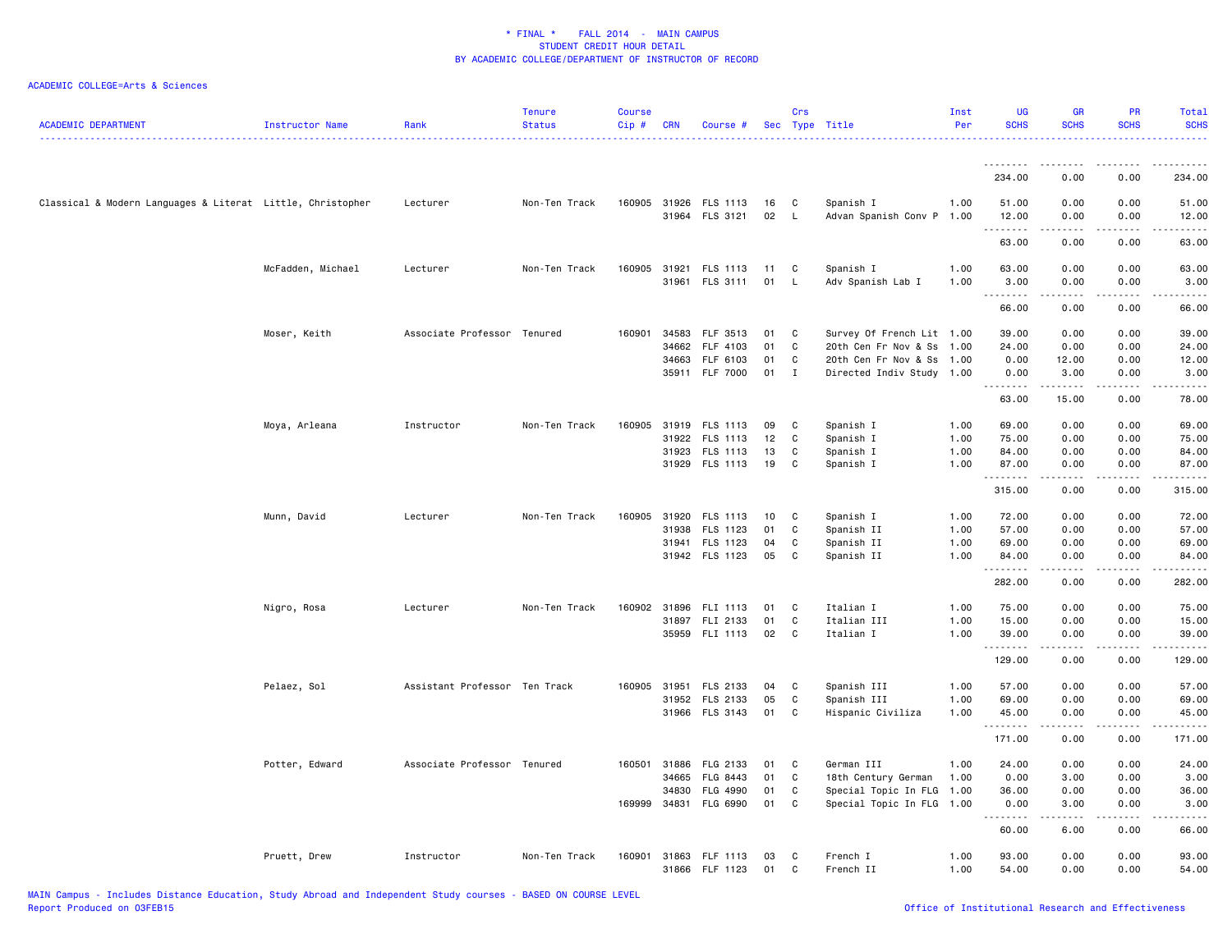| <b>ACADEMIC DEPARTMENT</b>                                 | Instructor Name   | Rank                          | <b>Tenure</b><br><b>Status</b> | <b>Course</b><br>Cip# | <b>CRN</b> | Course #                                |          | Crs           | Sec Type Title                         | Inst<br>Per | <b>UG</b><br><b>SCHS</b> | <b>GR</b><br><b>SCHS</b>                                                                                                                                     | <b>PR</b><br><b>SCHS</b>     | Total<br><b>SCHS</b>  |
|------------------------------------------------------------|-------------------|-------------------------------|--------------------------------|-----------------------|------------|-----------------------------------------|----------|---------------|----------------------------------------|-------------|--------------------------|--------------------------------------------------------------------------------------------------------------------------------------------------------------|------------------------------|-----------------------|
|                                                            |                   |                               |                                |                       |            |                                         |          |               |                                        |             | .                        |                                                                                                                                                              |                              |                       |
|                                                            |                   |                               |                                |                       |            |                                         |          |               |                                        |             | 234.00                   | 0.00                                                                                                                                                         | 0.00                         | 234.00                |
| Classical & Modern Languages & Literat Little, Christopher |                   | Lecturer                      | Non-Ten Track                  |                       |            | 160905 31926 FLS 1113<br>31964 FLS 3121 | 16<br>02 | C<br><b>L</b> | Spanish I<br>Advan Spanish Conv P 1.00 | 1.00        | 51.00<br>12.00           | 0.00<br>0.00                                                                                                                                                 | 0.00<br>0.00                 | 51.00<br>12.00        |
|                                                            |                   |                               |                                |                       |            |                                         |          |               |                                        |             | .<br>63.00               | 0.00                                                                                                                                                         | 0.00                         | .<br>63.00            |
|                                                            | McFadden, Michael | Lecturer                      | Non-Ten Track                  |                       |            | 160905 31921 FLS 1113                   | 11       | C             | Spanish I                              | 1.00        | 63.00                    | 0.00                                                                                                                                                         | 0.00                         | 63.00                 |
|                                                            |                   |                               |                                |                       |            | 31961 FLS 3111                          | 01       | L.            | Adv Spanish Lab I                      | 1.00        | 3.00<br>.                | 0.00<br>.                                                                                                                                                    | 0.00<br>$\frac{1}{2}$        | 3.00<br>$\frac{1}{2}$ |
|                                                            |                   |                               |                                |                       |            |                                         |          |               |                                        |             | 66.00                    | 0.00                                                                                                                                                         | 0.00                         | 66.00                 |
|                                                            | Moser, Keith      | Associate Professor Tenured   |                                | 160901                | 34583      | FLF 3513                                | 01       | C             | Survey Of French Lit 1.00              |             | 39.00                    | 0.00                                                                                                                                                         | 0.00                         | 39.00                 |
|                                                            |                   |                               |                                |                       | 34662      | FLF 4103                                | 01       | C             | 20th Cen Fr Nov & Ss 1.00              |             | 24.00                    | 0.00                                                                                                                                                         | 0.00                         | 24.00                 |
|                                                            |                   |                               |                                |                       | 34663      | FLF 6103                                | 01       | C             | 20th Cen Fr Nov & Ss 1.00              |             | 0.00                     | 12.00                                                                                                                                                        | 0.00                         | 12.00                 |
|                                                            |                   |                               |                                |                       |            | 35911 FLF 7000                          | 01       | $\mathbf{I}$  | Directed Indiv Study 1.00              |             | 0.00<br>.                | 3.00<br>.                                                                                                                                                    | 0.00<br>$\sim$ $\sim$ $\sim$ | 3.00<br>.             |
|                                                            |                   |                               |                                |                       |            |                                         |          |               |                                        |             | 63.00                    | 15.00                                                                                                                                                        | 0.00                         | 78.00                 |
|                                                            | Moya, Arleana     | Instructor                    | Non-Ten Track                  |                       |            | 160905 31919 FLS 1113                   | 09       | C             | Spanish I                              | 1.00        | 69.00                    | 0.00                                                                                                                                                         | 0.00                         | 69.00                 |
|                                                            |                   |                               |                                |                       | 31922      | FLS 1113                                | 12       | C             | Spanish I                              | 1.00        | 75.00                    | 0.00                                                                                                                                                         | 0.00                         | 75.00                 |
|                                                            |                   |                               |                                |                       | 31923      | FLS 1113                                | 13       | C             | Spanish I                              | 1.00        | 84.00                    | 0.00                                                                                                                                                         | 0.00                         | 84.00                 |
|                                                            |                   |                               |                                |                       |            | 31929 FLS 1113                          | 19       | C             | Spanish I                              | 1.00        | 87.00                    | 0.00                                                                                                                                                         | 0.00                         | 87.00                 |
|                                                            |                   |                               |                                |                       |            |                                         |          |               |                                        |             | .                        |                                                                                                                                                              |                              | .                     |
|                                                            |                   |                               |                                |                       |            |                                         |          |               |                                        |             | 315.00                   | 0.00                                                                                                                                                         | 0.00                         | 315.00                |
|                                                            | Munn, David       | Lecturer                      | Non-Ten Track                  | 160905                | 31920      | FLS 1113                                | 10       | C             | Spanish I                              | 1.00        | 72.00                    | 0.00                                                                                                                                                         | 0.00                         | 72.00                 |
|                                                            |                   |                               |                                |                       | 31938      | FLS 1123                                | 01       | C             | Spanish II                             | 1.00        | 57.00                    | 0.00                                                                                                                                                         | 0.00                         | 57.00                 |
|                                                            |                   |                               |                                |                       |            | 31941 FLS 1123                          | 04       | C             | Spanish II                             | 1.00        | 69.00                    | 0.00                                                                                                                                                         | 0.00                         | 69.00                 |
|                                                            |                   |                               |                                |                       |            | 31942 FLS 1123                          | 05       | C             | Spanish II                             | 1.00        | 84.00                    | 0.00                                                                                                                                                         | 0.00                         | 84.00                 |
|                                                            |                   |                               |                                |                       |            |                                         |          |               |                                        |             | .                        |                                                                                                                                                              | .                            | .                     |
|                                                            |                   |                               |                                |                       |            |                                         |          |               |                                        |             | 282.00                   | 0.00                                                                                                                                                         | 0.00                         | 282.00                |
|                                                            | Nigro, Rosa       | Lecturer                      | Non-Ten Track                  | 160902 31896          |            | FLI 1113                                | 01       | C             | Italian I                              | 1.00        | 75.00                    | 0.00                                                                                                                                                         | 0.00                         | 75.00                 |
|                                                            |                   |                               |                                |                       |            | 31897 FLI 2133                          | 01       | C             | Italian III                            | 1.00        | 15.00                    | 0.00                                                                                                                                                         | 0.00                         | 15.00                 |
|                                                            |                   |                               |                                |                       |            | 35959 FLI 1113                          | 02       | C.            | Italian I                              | 1.00        | 39.00<br>.               | 0.00<br>$\frac{1}{2} \left( \frac{1}{2} \right) \left( \frac{1}{2} \right) \left( \frac{1}{2} \right) \left( \frac{1}{2} \right) \left( \frac{1}{2} \right)$ | 0.00<br>.                    | 39.00<br>.            |
|                                                            |                   |                               |                                |                       |            |                                         |          |               |                                        |             | 129.00                   | 0.00                                                                                                                                                         | 0.00                         | 129.00                |
|                                                            | Pelaez, Sol       | Assistant Professor Ten Track |                                |                       |            | 160905 31951 FLS 2133                   | 04       | C             | Spanish III                            | 1.00        | 57.00                    | 0.00                                                                                                                                                         | 0.00                         | 57.00                 |
|                                                            |                   |                               |                                |                       | 31952      | FLS 2133                                | 05       | C             | Spanish III                            | 1.00        | 69.00                    | 0.00                                                                                                                                                         | 0.00                         | 69.00                 |
|                                                            |                   |                               |                                |                       |            | 31966 FLS 3143                          | 01       | C             | Hispanic Civiliza                      | 1.00        | 45.00                    | 0.00                                                                                                                                                         | 0.00                         | 45.00                 |
|                                                            |                   |                               |                                |                       |            |                                         |          |               |                                        |             | .                        | -----                                                                                                                                                        | .                            | ------                |
|                                                            |                   |                               |                                |                       |            |                                         |          |               |                                        |             | 171.00                   | 0.00                                                                                                                                                         | 0.00                         | 171.00                |
|                                                            | Potter, Edward    | Associate Professor Tenured   |                                | 160501                | 31886      | FLG 2133                                | 01       | C             | German III                             | 1.00        | 24.00                    | 0.00                                                                                                                                                         | 0.00                         | 24.00                 |
|                                                            |                   |                               |                                |                       | 34665      | FLG 8443                                | 01       | C             | 18th Century German                    | 1.00        | 0.00                     | 3.00                                                                                                                                                         | 0.00                         | 3.00                  |
|                                                            |                   |                               |                                |                       | 34830      | FLG 4990                                | 01       | C             | Special Topic In FLG 1.00              |             | 36.00                    | 0.00                                                                                                                                                         | 0.00                         | 36.00                 |
|                                                            |                   |                               |                                | 169999                | 34831      | FLG 6990                                | 01       | C             | Special Topic In FLG 1.00              |             | 0.00                     | 3.00                                                                                                                                                         | 0.00                         | 3.00                  |
|                                                            |                   |                               |                                |                       |            |                                         |          |               |                                        |             | .<br>60.00               | 6.00                                                                                                                                                         | 0.00                         | والمستحدث<br>66.00    |
|                                                            | Pruett, Drew      | Instructor                    | Non-Ten Track                  |                       |            | 160901 31863 FLF 1113                   | 03       | C             | French I                               | 1.00        | 93.00                    | 0.00                                                                                                                                                         | 0.00                         | 93.00                 |
|                                                            |                   |                               |                                |                       | 31866      | FLF 1123                                | 01       | C             | French II                              | 1.00        | 54.00                    | 0.00                                                                                                                                                         | 0.00                         | 54.00                 |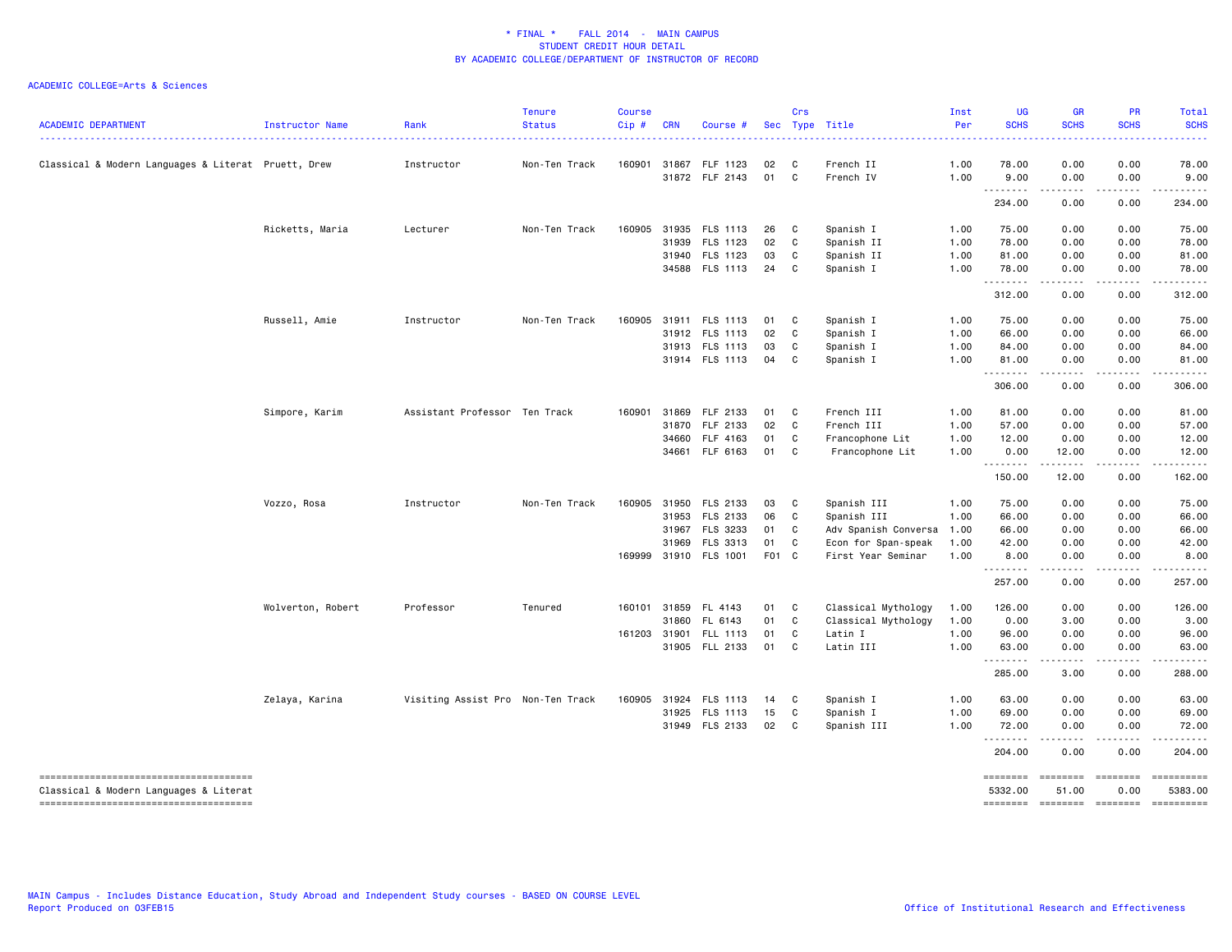| <b>ACADEMIC DEPARTMENT</b>                          | Instructor Name   | Rank                              | <b>Tenure</b><br><b>Status</b> | <b>Course</b><br>Cip# | <b>CRN</b>   | Course #                   |          | Crs    | Sec Type Title         | Inst<br>Per  | <b>UG</b><br><b>SCHS</b> | <b>GR</b><br><b>SCHS</b> | PR<br><b>SCHS</b>                                                                                                                                                                                                                                                                                                                                                                                                                                                                                                  | Total<br><b>SCHS</b>                                                                                                                                                                     |
|-----------------------------------------------------|-------------------|-----------------------------------|--------------------------------|-----------------------|--------------|----------------------------|----------|--------|------------------------|--------------|--------------------------|--------------------------|--------------------------------------------------------------------------------------------------------------------------------------------------------------------------------------------------------------------------------------------------------------------------------------------------------------------------------------------------------------------------------------------------------------------------------------------------------------------------------------------------------------------|------------------------------------------------------------------------------------------------------------------------------------------------------------------------------------------|
| Classical & Modern Languages & Literat Pruett, Drew |                   | Instructor                        | Non-Ten Track                  | 160901                | 31867        | FLF 1123<br>31872 FLF 2143 | 02<br>01 | C<br>C | French II<br>French IV | 1.00<br>1.00 | 78.00<br>9.00            | 0.00<br>0.00             | 0.00<br>0.00                                                                                                                                                                                                                                                                                                                                                                                                                                                                                                       | 78.00<br>9.00                                                                                                                                                                            |
|                                                     |                   |                                   |                                |                       |              |                            |          |        |                        |              | <u>.</u><br>234.00       | 0.00                     | 0.00                                                                                                                                                                                                                                                                                                                                                                                                                                                                                                               | 234.00                                                                                                                                                                                   |
|                                                     | Ricketts, Maria   | Lecturer                          | Non-Ten Track                  | 160905                | 31935        | FLS 1113                   | 26       | C      | Spanish I              | 1.00         | 75.00                    | 0.00                     | 0.00                                                                                                                                                                                                                                                                                                                                                                                                                                                                                                               | 75.00                                                                                                                                                                                    |
|                                                     |                   |                                   |                                |                       | 31939        | FLS 1123                   | 02       | C      | Spanish II             | 1.00         | 78.00                    | 0.00                     | 0.00                                                                                                                                                                                                                                                                                                                                                                                                                                                                                                               | 78.00                                                                                                                                                                                    |
|                                                     |                   |                                   |                                |                       | 31940        | FLS 1123                   | 03       | C      | Spanish II             | 1.00         | 81.00                    | 0.00                     | 0.00                                                                                                                                                                                                                                                                                                                                                                                                                                                                                                               | 81.00                                                                                                                                                                                    |
|                                                     |                   |                                   |                                |                       |              | 34588 FLS 1113             | 24       | C      | Spanish I              | 1.00         | 78.00<br>.               | 0.00<br>.                | 0.00<br>.                                                                                                                                                                                                                                                                                                                                                                                                                                                                                                          | 78.00<br>$\frac{1}{2} \left( \frac{1}{2} \right) \left( \frac{1}{2} \right) \left( \frac{1}{2} \right) \left( \frac{1}{2} \right) \left( \frac{1}{2} \right) \left( \frac{1}{2} \right)$ |
|                                                     |                   |                                   |                                |                       |              |                            |          |        |                        |              | 312.00                   | 0.00                     | 0.00                                                                                                                                                                                                                                                                                                                                                                                                                                                                                                               | 312.00                                                                                                                                                                                   |
|                                                     | Russell, Amie     | Instructor                        | Non-Ten Track                  | 160905                |              | 31911 FLS 1113             | 01       | C      | Spanish I              | 1.00         | 75.00                    | 0.00                     | 0.00                                                                                                                                                                                                                                                                                                                                                                                                                                                                                                               | 75.00                                                                                                                                                                                    |
|                                                     |                   |                                   |                                |                       | 31912        | FLS 1113                   | 02       | C      | Spanish I              | 1.00         | 66.00                    | 0.00                     | 0.00                                                                                                                                                                                                                                                                                                                                                                                                                                                                                                               | 66.00                                                                                                                                                                                    |
|                                                     |                   |                                   |                                |                       | 31913        | FLS 1113                   | 03       | C      | Spanish I              | 1.00         | 84.00                    | 0.00                     | 0.00                                                                                                                                                                                                                                                                                                                                                                                                                                                                                                               | 84.00                                                                                                                                                                                    |
|                                                     |                   |                                   |                                |                       |              | 31914 FLS 1113             | 04       | C      | Spanish I              | 1.00         | 81.00<br><u>.</u>        | 0.00<br>.                | 0.00<br>.                                                                                                                                                                                                                                                                                                                                                                                                                                                                                                          | 81.00<br>.                                                                                                                                                                               |
|                                                     |                   |                                   |                                |                       |              |                            |          |        |                        |              | 306.00                   | 0.00                     | 0.00                                                                                                                                                                                                                                                                                                                                                                                                                                                                                                               | 306.00                                                                                                                                                                                   |
|                                                     | Simpore, Karim    | Assistant Professor Ten Track     |                                | 160901                | 31869        | FLF 2133                   | 01       | C      | French III             | 1.00         | 81.00                    | 0.00                     | 0.00                                                                                                                                                                                                                                                                                                                                                                                                                                                                                                               | 81.00                                                                                                                                                                                    |
|                                                     |                   |                                   |                                |                       | 31870        | FLF 2133                   | 02       | C      | French III             | 1.00         | 57.00                    | 0.00                     | 0.00                                                                                                                                                                                                                                                                                                                                                                                                                                                                                                               | 57.00                                                                                                                                                                                    |
|                                                     |                   |                                   |                                |                       | 34660        | FLF 4163                   | 01       | C      | Francophone Lit        | 1.00         | 12.00                    | 0.00                     | 0.00                                                                                                                                                                                                                                                                                                                                                                                                                                                                                                               | 12.00                                                                                                                                                                                    |
|                                                     |                   |                                   |                                |                       | 34661        | FLF 6163                   | 01       | C      | Francophone Lit        | 1.00         | 0.00                     | 12.00                    | 0.00                                                                                                                                                                                                                                                                                                                                                                                                                                                                                                               | 12.00                                                                                                                                                                                    |
|                                                     |                   |                                   |                                |                       |              |                            |          |        |                        |              | .<br>150.00              | .<br>12.00               | -----<br>0.00                                                                                                                                                                                                                                                                                                                                                                                                                                                                                                      | .<br>162.00                                                                                                                                                                              |
|                                                     | Vozzo, Rosa       | Instructor                        | Non-Ten Track                  |                       | 160905 31950 | FLS 2133                   | 03       | C      | Spanish III            | 1.00         | 75.00                    | 0.00                     | 0.00                                                                                                                                                                                                                                                                                                                                                                                                                                                                                                               | 75.00                                                                                                                                                                                    |
|                                                     |                   |                                   |                                |                       | 31953        | FLS 2133                   | 06       | C      | Spanish III            | 1.00         | 66.00                    | 0.00                     | 0.00                                                                                                                                                                                                                                                                                                                                                                                                                                                                                                               | 66.00                                                                                                                                                                                    |
|                                                     |                   |                                   |                                |                       | 31967        | FLS 3233                   | 01       | C      | Adv Spanish Conversa   | 1.00         | 66.00                    | 0.00                     | 0.00                                                                                                                                                                                                                                                                                                                                                                                                                                                                                                               | 66.00                                                                                                                                                                                    |
|                                                     |                   |                                   |                                |                       | 31969        | FLS 3313                   | 01       | C      | Econ for Span-speak    | 1.00         | 42.00                    | 0.00                     | 0.00                                                                                                                                                                                                                                                                                                                                                                                                                                                                                                               | 42.00                                                                                                                                                                                    |
|                                                     |                   |                                   |                                |                       | 169999 31910 | <b>FLS 1001</b>            | F01 C    |        | First Year Seminar     | 1.00         | 8.00                     | 0.00                     | 0.00                                                                                                                                                                                                                                                                                                                                                                                                                                                                                                               | 8.00                                                                                                                                                                                     |
|                                                     |                   |                                   |                                |                       |              |                            |          |        |                        |              | 257.00                   | .<br>0.00                | .<br>0.00                                                                                                                                                                                                                                                                                                                                                                                                                                                                                                          | -----<br>257.00                                                                                                                                                                          |
|                                                     | Wolverton, Robert | Professor                         | Tenured                        |                       | 160101 31859 | FL 4143                    | 01       | C      | Classical Mythology    | 1.00         | 126.00                   | 0.00                     | 0.00                                                                                                                                                                                                                                                                                                                                                                                                                                                                                                               | 126.00                                                                                                                                                                                   |
|                                                     |                   |                                   |                                |                       | 31860        | FL 6143                    | 01       | C      | Classical Mythology    | 1.00         | 0.00                     | 3.00                     | 0.00                                                                                                                                                                                                                                                                                                                                                                                                                                                                                                               | 3.00                                                                                                                                                                                     |
|                                                     |                   |                                   |                                | 161203 31901          |              | FLL 1113                   | 01       | C      | Latin I                | 1.00         | 96.00                    | 0.00                     | 0.00                                                                                                                                                                                                                                                                                                                                                                                                                                                                                                               | 96.00                                                                                                                                                                                    |
|                                                     |                   |                                   |                                |                       |              | 31905 FLL 2133             | 01       | C      | Latin III              | 1.00         | 63.00                    | 0.00                     | 0.00                                                                                                                                                                                                                                                                                                                                                                                                                                                                                                               | 63.00                                                                                                                                                                                    |
|                                                     |                   |                                   |                                |                       |              |                            |          |        |                        |              | .<br>285.00              | .<br>3.00                | .<br>0.00                                                                                                                                                                                                                                                                                                                                                                                                                                                                                                          | .<br>288.00                                                                                                                                                                              |
|                                                     | Zelaya, Karina    | Visiting Assist Pro Non-Ten Track |                                |                       | 160905 31924 | FLS 1113                   | 14       | C      | Spanish I              | 1.00         | 63.00                    | 0.00                     | 0.00                                                                                                                                                                                                                                                                                                                                                                                                                                                                                                               | 63.00                                                                                                                                                                                    |
|                                                     |                   |                                   |                                |                       | 31925        | FLS 1113                   | 15       | C      | Spanish I              | 1.00         | 69.00                    | 0.00                     | 0.00                                                                                                                                                                                                                                                                                                                                                                                                                                                                                                               | 69.00                                                                                                                                                                                    |
|                                                     |                   |                                   |                                |                       |              | 31949 FLS 2133             | 02       | C      | Spanish III            | 1.00         | 72.00                    | 0.00                     | 0.00                                                                                                                                                                                                                                                                                                                                                                                                                                                                                                               | 72.00                                                                                                                                                                                    |
|                                                     |                   |                                   |                                |                       |              |                            |          |        |                        |              | .<br>204.00              | .<br>0.00                | .<br>0.00                                                                                                                                                                                                                                                                                                                                                                                                                                                                                                          | .<br>204.00                                                                                                                                                                              |
| -------------------------------------               |                   |                                   |                                |                       |              |                            |          |        |                        |              | ========                 | ========                 | ========                                                                                                                                                                                                                                                                                                                                                                                                                                                                                                           | ==========                                                                                                                                                                               |
| Classical & Modern Languages & Literat              |                   |                                   |                                |                       |              |                            |          |        |                        |              | 5332.00                  | 51.00                    | 0.00                                                                                                                                                                                                                                                                                                                                                                                                                                                                                                               | 5383.00                                                                                                                                                                                  |
| --------------------------------------              |                   |                                   |                                |                       |              |                            |          |        |                        |              | <b>EDESSER</b>           |                          | $\begin{array}{c} \multicolumn{3}{c} {\color{blue} \textbf{2}} & \multicolumn{3}{c} {\color{blue} \textbf{3}} & \multicolumn{3}{c} {\color{blue} \textbf{4}} \\ \multicolumn{3}{c} {\color{blue} \textbf{4}} & \multicolumn{3}{c} {\color{blue} \textbf{5}} & \multicolumn{3}{c} {\color{blue} \textbf{6}} & \multicolumn{3}{c} {\color{blue} \textbf{6}} \\ \multicolumn{3}{c} {\color{blue} \textbf{5}} & \multicolumn{3}{c} {\color{blue} \textbf{6}} & \multicolumn{3}{c} {\color{blue} \textbf{6}} & \multic$ | ==========                                                                                                                                                                               |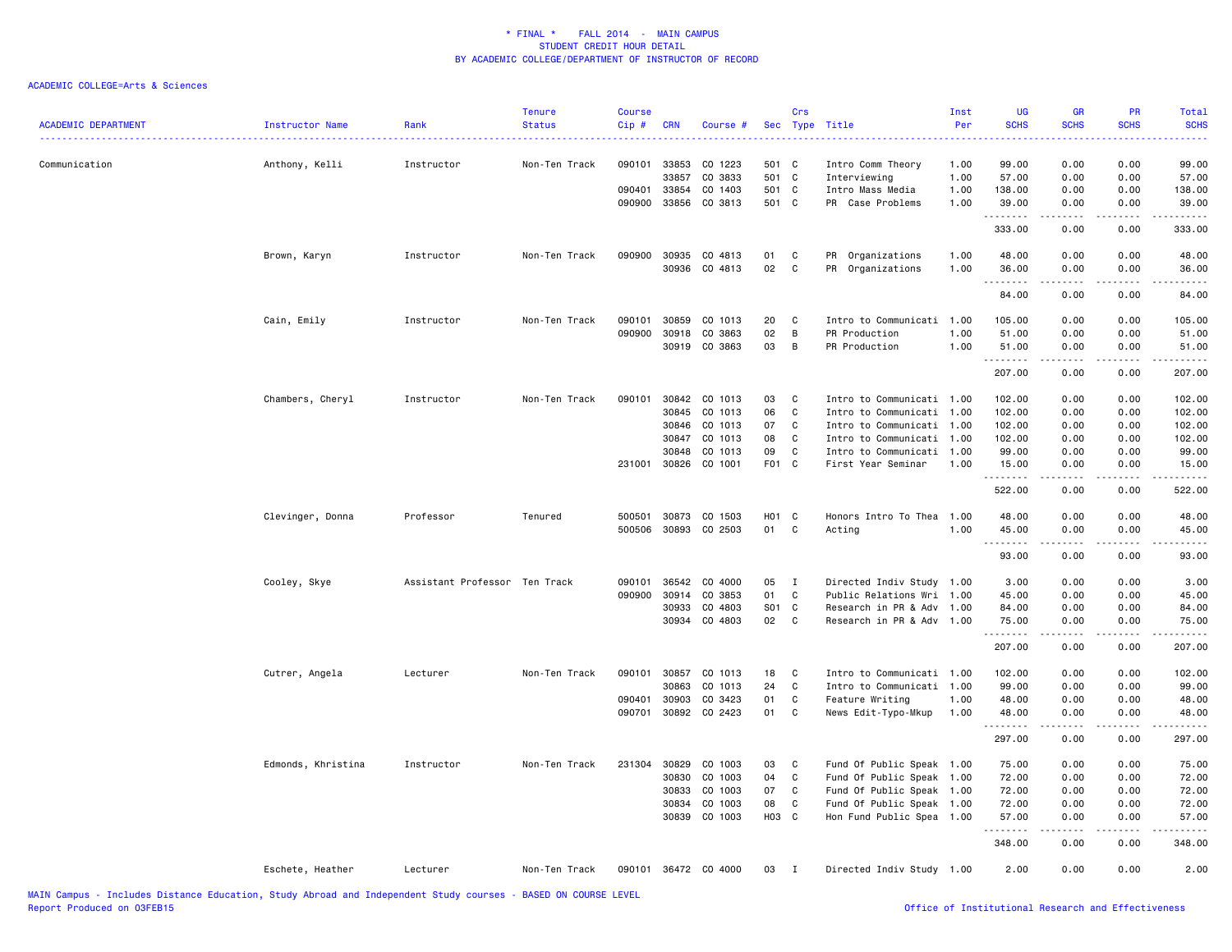|                            |                        |                               | <b>Tenure</b> | <b>Course</b> |            |                      |            | Crs          |                           | Inst | <b>UG</b>   | <b>GR</b>                                                                                                                                                                               | <b>PR</b><br><b>SCHS</b>            | Total                                                                                                                                                                                                                                                                                                                                                                                                                                                                                  |
|----------------------------|------------------------|-------------------------------|---------------|---------------|------------|----------------------|------------|--------------|---------------------------|------|-------------|-----------------------------------------------------------------------------------------------------------------------------------------------------------------------------------------|-------------------------------------|----------------------------------------------------------------------------------------------------------------------------------------------------------------------------------------------------------------------------------------------------------------------------------------------------------------------------------------------------------------------------------------------------------------------------------------------------------------------------------------|
| <b>ACADEMIC DEPARTMENT</b> | <b>Instructor Name</b> | Rank                          | <b>Status</b> | Cip#          | <b>CRN</b> | Course #             |            | Sec Type     | Title                     | Per  | <b>SCHS</b> | <b>SCHS</b>                                                                                                                                                                             |                                     | <b>SCHS</b><br>$\frac{1}{2} \left( \frac{1}{2} \right) \left( \frac{1}{2} \right) \left( \frac{1}{2} \right) \left( \frac{1}{2} \right)$                                                                                                                                                                                                                                                                                                                                               |
| Communication              | Anthony, Kelli         | Instructor                    | Non-Ten Track | 090101        | 33853      | CO 1223              | 501 C      |              | Intro Comm Theory         | 1.00 | 99.00       | 0.00                                                                                                                                                                                    | 0.00                                | 99.00                                                                                                                                                                                                                                                                                                                                                                                                                                                                                  |
|                            |                        |                               |               |               | 33857      | CO 3833              | 501 C      |              | Interviewing              | 1.00 | 57.00       | 0.00                                                                                                                                                                                    | 0.00                                | 57.00                                                                                                                                                                                                                                                                                                                                                                                                                                                                                  |
|                            |                        |                               |               | 090401        | 33854      | CO 1403              | 501 C      |              | Intro Mass Media          | 1.00 | 138.00      | 0.00                                                                                                                                                                                    | 0.00                                | 138.00                                                                                                                                                                                                                                                                                                                                                                                                                                                                                 |
|                            |                        |                               |               |               |            | 090900 33856 CO 3813 | 501 C      |              | PR Case Problems          | 1.00 | 39.00       | 0.00                                                                                                                                                                                    | 0.00                                | 39.00                                                                                                                                                                                                                                                                                                                                                                                                                                                                                  |
|                            |                        |                               |               |               |            |                      |            |              |                           |      | .           | <u>.</u>                                                                                                                                                                                | .                                   | $\begin{array}{cccccccccccccc} \multicolumn{2}{c}{} & \multicolumn{2}{c}{} & \multicolumn{2}{c}{} & \multicolumn{2}{c}{} & \multicolumn{2}{c}{} & \multicolumn{2}{c}{} & \multicolumn{2}{c}{} & \multicolumn{2}{c}{} & \multicolumn{2}{c}{} & \multicolumn{2}{c}{} & \multicolumn{2}{c}{} & \multicolumn{2}{c}{} & \multicolumn{2}{c}{} & \multicolumn{2}{c}{} & \multicolumn{2}{c}{} & \multicolumn{2}{c}{} & \multicolumn{2}{c}{} & \multicolumn{2}{c}{} & \multicolumn{2}{c}{} & \$ |
|                            |                        |                               |               |               |            |                      |            |              |                           |      | 333.00      | 0.00                                                                                                                                                                                    | 0.00                                | 333.00                                                                                                                                                                                                                                                                                                                                                                                                                                                                                 |
|                            | Brown, Karyn           | Instructor                    | Non-Ten Track | 090900        | 30935      | CO 4813              | 01         | C            | PR Organizations          | 1.00 | 48.00       | 0.00                                                                                                                                                                                    | 0.00                                | 48.00                                                                                                                                                                                                                                                                                                                                                                                                                                                                                  |
|                            |                        |                               |               |               | 30936      | CO 4813              | 02         | C            | PR Organizations          | 1.00 | 36.00<br>.  | 0.00<br>.                                                                                                                                                                               | 0.00<br>$\sim$ $\sim$ $\sim$ $\sim$ | 36.00<br>.                                                                                                                                                                                                                                                                                                                                                                                                                                                                             |
|                            |                        |                               |               |               |            |                      |            |              |                           |      | 84.00       | 0.00                                                                                                                                                                                    | 0.00                                | 84.00                                                                                                                                                                                                                                                                                                                                                                                                                                                                                  |
|                            | Cain, Emily            | Instructor                    | Non-Ten Track | 090101        | 30859      | CO 1013              | 20         | C            | Intro to Communicati 1.00 |      | 105.00      | 0.00                                                                                                                                                                                    | 0.00                                | 105.00                                                                                                                                                                                                                                                                                                                                                                                                                                                                                 |
|                            |                        |                               |               | 090900        | 30918      | CO 3863              | 02         | B            | PR Production             | 1.00 | 51.00       | 0.00                                                                                                                                                                                    | 0.00                                | 51.00                                                                                                                                                                                                                                                                                                                                                                                                                                                                                  |
|                            |                        |                               |               |               |            | 30919 CO 3863        | 03         | B            | PR Production             | 1.00 | 51.00       | 0.00                                                                                                                                                                                    | 0.00                                | 51.00                                                                                                                                                                                                                                                                                                                                                                                                                                                                                  |
|                            |                        |                               |               |               |            |                      |            |              |                           |      | .<br>207.00 | .<br>0.00                                                                                                                                                                               | .<br>0.00                           | 207.00                                                                                                                                                                                                                                                                                                                                                                                                                                                                                 |
|                            | Chambers, Cheryl       | Instructor                    | Non-Ten Track | 090101        | 30842      | CO 1013              | 03         | C            | Intro to Communicati 1.00 |      | 102.00      | 0.00                                                                                                                                                                                    | 0.00                                | 102.00                                                                                                                                                                                                                                                                                                                                                                                                                                                                                 |
|                            |                        |                               |               |               | 30845      | CO 1013              | 06         | C            | Intro to Communicati 1.00 |      | 102.00      | 0.00                                                                                                                                                                                    | 0.00                                | 102.00                                                                                                                                                                                                                                                                                                                                                                                                                                                                                 |
|                            |                        |                               |               |               | 30846      | CO 1013              | 07         | C            | Intro to Communicati 1.00 |      | 102.00      | 0.00                                                                                                                                                                                    | 0.00                                | 102.00                                                                                                                                                                                                                                                                                                                                                                                                                                                                                 |
|                            |                        |                               |               |               | 30847      | CO 1013              | 08         | C            | Intro to Communicati 1.00 |      | 102.00      | 0.00                                                                                                                                                                                    | 0.00                                | 102.00                                                                                                                                                                                                                                                                                                                                                                                                                                                                                 |
|                            |                        |                               |               |               | 30848      | CO 1013              | 09         | C            | Intro to Communicati 1.00 |      | 99.00       | 0.00                                                                                                                                                                                    | 0.00                                | 99.00                                                                                                                                                                                                                                                                                                                                                                                                                                                                                  |
|                            |                        |                               |               | 231001        | 30826      | CO 1001              | F01 C      |              | First Year Seminar        | 1.00 | 15.00       | 0.00                                                                                                                                                                                    | 0.00                                | 15.00                                                                                                                                                                                                                                                                                                                                                                                                                                                                                  |
|                            |                        |                               |               |               |            |                      |            |              |                           |      | .<br>522.00 | $\frac{1}{2} \left( \frac{1}{2} \right) \left( \frac{1}{2} \right) \left( \frac{1}{2} \right) \left( \frac{1}{2} \right) \left( \frac{1}{2} \right) \left( \frac{1}{2} \right)$<br>0.00 | .<br>0.00                           | $\begin{array}{cccccccccccccc} \bullet & \bullet & \bullet & \bullet & \bullet & \bullet & \bullet & \bullet \end{array}$<br>522.00                                                                                                                                                                                                                                                                                                                                                    |
|                            | Clevinger, Donna       | Professor                     | Tenured       | 500501        |            | 30873 CO 1503        | H01        | $\mathbf{C}$ | Honors Intro To Thea 1.00 |      | 48.00       | 0.00                                                                                                                                                                                    | 0.00                                | 48.00                                                                                                                                                                                                                                                                                                                                                                                                                                                                                  |
|                            |                        |                               |               | 500506        | 30893      | CO 2503              | 01         | C            | Acting                    | 1.00 | 45.00       | 0.00                                                                                                                                                                                    | 0.00                                | 45.00                                                                                                                                                                                                                                                                                                                                                                                                                                                                                  |
|                            |                        |                               |               |               |            |                      |            |              |                           |      | .<br>93.00  | .<br>0.00                                                                                                                                                                               | .<br>0.00                           | د د د د د<br>93.00                                                                                                                                                                                                                                                                                                                                                                                                                                                                     |
|                            | Cooley, Skye           | Assistant Professor Ten Track |               | 090101        | 36542      | CO 4000              | 05         | $\mathbf{I}$ | Directed Indiv Study 1.00 |      | 3.00        | 0.00                                                                                                                                                                                    | 0.00                                | 3.00                                                                                                                                                                                                                                                                                                                                                                                                                                                                                   |
|                            |                        |                               |               | 090900        | 30914      | CO 3853              | 01         | $\mathbf{C}$ | Public Relations Wri 1.00 |      | 45.00       | 0.00                                                                                                                                                                                    | 0.00                                | 45.00                                                                                                                                                                                                                                                                                                                                                                                                                                                                                  |
|                            |                        |                               |               |               | 30933      | CO 4803              | <b>S01</b> | C            | Research in PR & Adv 1.00 |      | 84.00       | 0.00                                                                                                                                                                                    | 0.00                                | 84.00                                                                                                                                                                                                                                                                                                                                                                                                                                                                                  |
|                            |                        |                               |               |               |            | 30934 CO 4803        | 02         | C            | Research in PR & Adv 1.00 |      | 75.00       | 0.00                                                                                                                                                                                    | 0.00                                | 75.00                                                                                                                                                                                                                                                                                                                                                                                                                                                                                  |
|                            |                        |                               |               |               |            |                      |            |              |                           |      | 207.00      | .<br>0.00                                                                                                                                                                               | .<br>0.00                           | .<br>207.00                                                                                                                                                                                                                                                                                                                                                                                                                                                                            |
|                            | Cutrer, Angela         | Lecturer                      | Non-Ten Track | 090101        | 30857      | CO 1013              | 18         | C            | Intro to Communicati 1.00 |      | 102.00      | 0.00                                                                                                                                                                                    | 0.00                                | 102.00                                                                                                                                                                                                                                                                                                                                                                                                                                                                                 |
|                            |                        |                               |               |               | 30863      | CO 1013              | 24         | $\mathbf{C}$ | Intro to Communicati 1.00 |      | 99.00       | 0.00                                                                                                                                                                                    | 0.00                                | 99.00                                                                                                                                                                                                                                                                                                                                                                                                                                                                                  |
|                            |                        |                               |               | 090401        | 30903      | CO 3423              | 01         | C            | Feature Writing           | 1.00 | 48.00       | 0.00                                                                                                                                                                                    | 0.00                                | 48.00                                                                                                                                                                                                                                                                                                                                                                                                                                                                                  |
|                            |                        |                               |               | 090701        | 30892      | CO 2423              | 01         | $\mathbf{C}$ | News Edit-Typo-Mkup       | 1.00 | 48.00       | 0.00                                                                                                                                                                                    | 0.00                                | 48.00                                                                                                                                                                                                                                                                                                                                                                                                                                                                                  |
|                            |                        |                               |               |               |            |                      |            |              |                           |      | .<br>297.00 | .<br>0.00                                                                                                                                                                               | $- - - -$<br>0.00                   | .<br>297.00                                                                                                                                                                                                                                                                                                                                                                                                                                                                            |
|                            | Edmonds, Khristina     | Instructor                    | Non-Ten Track | 231304        | 30829      | CO 1003              | 03         | C            | Fund Of Public Speak 1.00 |      | 75.00       | 0.00                                                                                                                                                                                    | 0.00                                | 75.00                                                                                                                                                                                                                                                                                                                                                                                                                                                                                  |
|                            |                        |                               |               |               | 30830      | CO 1003              | 04         | $\mathbf{C}$ | Fund Of Public Speak 1.00 |      | 72.00       | 0.00                                                                                                                                                                                    | 0.00                                | 72.00                                                                                                                                                                                                                                                                                                                                                                                                                                                                                  |
|                            |                        |                               |               |               | 30833      | CO 1003              | 07         | C            | Fund Of Public Speak 1.00 |      | 72.00       | 0.00                                                                                                                                                                                    | 0.00                                | 72.00                                                                                                                                                                                                                                                                                                                                                                                                                                                                                  |
|                            |                        |                               |               |               | 30834      | CO 1003              | 08         | C            | Fund Of Public Speak 1.00 |      | 72.00       | 0.00                                                                                                                                                                                    | 0.00                                | 72.00                                                                                                                                                                                                                                                                                                                                                                                                                                                                                  |
|                            |                        |                               |               |               | 30839      | CO 1003              | H03        | $\mathbf{C}$ | Hon Fund Public Spea 1.00 |      | 57.00<br>.  | 0.00                                                                                                                                                                                    | 0.00<br>.                           | 57.00<br>.                                                                                                                                                                                                                                                                                                                                                                                                                                                                             |
|                            |                        |                               |               |               |            |                      |            |              |                           |      | 348.00      | 0.00                                                                                                                                                                                    | 0.00                                | 348.00                                                                                                                                                                                                                                                                                                                                                                                                                                                                                 |
|                            | Eschete, Heather       | Lecturer                      | Non-Ten Track | 090101        |            | 36472 CO 4000        | 03         | $\mathbf{I}$ | Directed Indiv Study 1.00 |      | 2.00        | 0.00                                                                                                                                                                                    | 0.00                                | 2.00                                                                                                                                                                                                                                                                                                                                                                                                                                                                                   |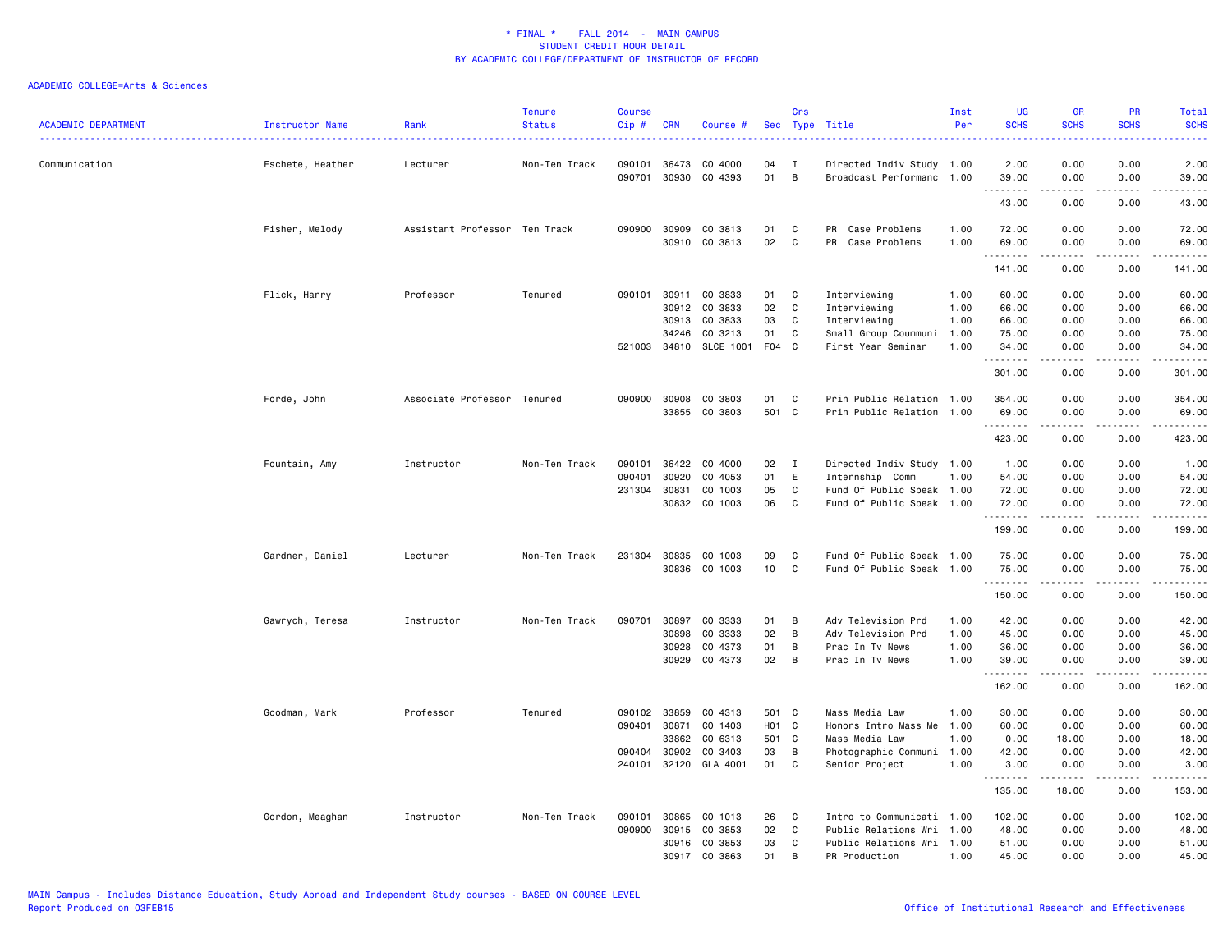| <b>ACADEMIC DEPARTMENT</b> | <b>Instructor Name</b> | Rank                          | <b>Tenure</b><br><b>Status</b> | <b>Course</b><br>Cip# | <b>CRN</b>     | Course #                          |                       | Crs          | Sec Type Title                                         | Inst<br>Per  | <b>UG</b><br><b>SCHS</b> | <b>GR</b><br><b>SCHS</b>                                                                                                                                     | PR<br><b>SCHS</b>                                                                                      | Total<br><b>SCHS</b><br>.                                                                                                                                     |
|----------------------------|------------------------|-------------------------------|--------------------------------|-----------------------|----------------|-----------------------------------|-----------------------|--------------|--------------------------------------------------------|--------------|--------------------------|--------------------------------------------------------------------------------------------------------------------------------------------------------------|--------------------------------------------------------------------------------------------------------|---------------------------------------------------------------------------------------------------------------------------------------------------------------|
| Communication              | Eschete, Heather       | Lecturer                      | Non-Ten Track                  | 090101<br>090701      | 36473<br>30930 | CO 4000<br>CO 4393                | 04<br>01              | I<br>B       | Directed Indiv Study 1.00<br>Broadcast Performanc 1.00 |              | 2.00<br>39.00            | 0.00<br>0.00                                                                                                                                                 | 0.00<br>0.00                                                                                           | 2.00<br>39.00                                                                                                                                                 |
|                            |                        |                               |                                |                       |                |                                   |                       |              |                                                        |              | .<br>43.00               | .<br>0.00                                                                                                                                                    | $\frac{1}{2} \left( \frac{1}{2} \right) \left( \frac{1}{2} \right) \left( \frac{1}{2} \right)$<br>0.00 | $\frac{1}{2} \left( \frac{1}{2} \right) \left( \frac{1}{2} \right) \left( \frac{1}{2} \right) \left( \frac{1}{2} \right) \left( \frac{1}{2} \right)$<br>43.00 |
|                            |                        |                               |                                |                       |                |                                   |                       |              |                                                        |              |                          |                                                                                                                                                              |                                                                                                        |                                                                                                                                                               |
|                            | Fisher, Melody         | Assistant Professor Ten Track |                                | 090900                | 30909<br>30910 | CO 3813<br>CO 3813                | 01<br>02              | C<br>C       | Case Problems<br>PR<br>PR<br>Case Problems             | 1.00<br>1.00 | 72.00<br>69.00           | 0.00<br>0.00                                                                                                                                                 | 0.00<br>0.00                                                                                           | 72.00<br>69.00                                                                                                                                                |
|                            |                        |                               |                                |                       |                |                                   |                       |              |                                                        |              | .                        | .                                                                                                                                                            | .                                                                                                      | .                                                                                                                                                             |
|                            |                        |                               |                                |                       |                |                                   |                       |              |                                                        |              | 141.00                   | 0.00                                                                                                                                                         | 0.00                                                                                                   | 141.00                                                                                                                                                        |
|                            | Flick, Harry           | Professor                     | Tenured                        | 090101                | 30911          | CO 3833                           | 01                    | C            | Interviewing                                           | 1.00         | 60.00                    | 0.00                                                                                                                                                         | 0.00                                                                                                   | 60.00                                                                                                                                                         |
|                            |                        |                               |                                |                       | 30912          | CO 3833                           | 02                    | C            | Interviewing                                           | 1.00         | 66.00                    | 0.00                                                                                                                                                         | 0.00                                                                                                   | 66.00                                                                                                                                                         |
|                            |                        |                               |                                |                       | 30913          | CO 3833                           | 03                    | C            | Interviewing                                           | 1.00         | 66.00                    | 0.00                                                                                                                                                         | 0.00                                                                                                   | 66.00                                                                                                                                                         |
|                            |                        |                               |                                |                       | 34246          | CO 3213<br>521003 34810 SLCE 1001 | 01<br>F <sub>04</sub> | C<br>C       | Small Group Coummuni<br>First Year Seminar             | 1.00<br>1.00 | 75.00<br>34.00           | 0.00<br>0.00                                                                                                                                                 | 0.00<br>0.00                                                                                           | 75.00<br>34.00                                                                                                                                                |
|                            |                        |                               |                                |                       |                |                                   |                       |              |                                                        |              | . <u>.</u> .<br>301.00   | 0.00                                                                                                                                                         | 0.00                                                                                                   | .<br>301.00                                                                                                                                                   |
|                            | Forde, John            | Associate Professor Tenured   |                                |                       | 090900 30908   | CO 3803                           | 01                    | C            | Prin Public Relation 1.00                              |              | 354.00                   | 0.00                                                                                                                                                         | 0.00                                                                                                   | 354.00                                                                                                                                                        |
|                            |                        |                               |                                |                       |                | 33855 CO 3803                     | 501 C                 |              | Prin Public Relation 1.00                              |              | 69.00                    | 0.00                                                                                                                                                         | 0.00                                                                                                   | 69.00                                                                                                                                                         |
|                            |                        |                               |                                |                       |                |                                   |                       |              |                                                        |              | .<br>423.00              | -----<br>0.00                                                                                                                                                | .<br>0.00                                                                                              | <u>.</u><br>423.00                                                                                                                                            |
|                            | Fountain, Amy          | Instructor                    | Non-Ten Track                  | 090101                | 36422          | CO 4000                           | 02                    | $\mathbf{I}$ | Directed Indiv Study 1.00                              |              | 1.00                     | 0.00                                                                                                                                                         | 0.00                                                                                                   | 1.00                                                                                                                                                          |
|                            |                        |                               |                                | 090401                | 30920          | CO 4053                           | 01                    | E            | Internship Comm                                        | 1.00         | 54.00                    | 0.00                                                                                                                                                         | 0.00                                                                                                   | 54.00                                                                                                                                                         |
|                            |                        |                               |                                |                       | 231304 30831   | CO 1003                           | 05                    | C            | Fund Of Public Speak 1.00                              |              | 72.00                    | 0.00                                                                                                                                                         | 0.00                                                                                                   | 72.00                                                                                                                                                         |
|                            |                        |                               |                                |                       |                | 30832 CO 1003                     | 06                    | C            | Fund Of Public Speak 1.00                              |              | 72.00<br>.               | 0.00<br>-----                                                                                                                                                | 0.00<br>.                                                                                              | 72.00<br>.                                                                                                                                                    |
|                            |                        |                               |                                |                       |                |                                   |                       |              |                                                        |              | 199.00                   | 0.00                                                                                                                                                         | 0.00                                                                                                   | 199.00                                                                                                                                                        |
|                            | Gardner, Daniel        | Lecturer                      | Non-Ten Track                  |                       | 231304 30835   | CO 1003                           | 09                    | C            | Fund Of Public Speak 1.00                              |              | 75.00                    | 0.00                                                                                                                                                         | 0.00                                                                                                   | 75.00                                                                                                                                                         |
|                            |                        |                               |                                |                       | 30836          | CO 1003                           | 10                    | C            | Fund Of Public Speak 1.00                              |              | 75.00<br>.               | 0.00                                                                                                                                                         | 0.00                                                                                                   | 75.00<br>.                                                                                                                                                    |
|                            |                        |                               |                                |                       |                |                                   |                       |              |                                                        |              | 150.00                   | 0.00                                                                                                                                                         | $\frac{1}{2} \left( \frac{1}{2} \right) \left( \frac{1}{2} \right) \left( \frac{1}{2} \right)$<br>0.00 | 150.00                                                                                                                                                        |
|                            | Gawrych, Teresa        | Instructor                    | Non-Ten Track                  | 090701                | 30897          | CO 3333                           | 01                    | B            | Adv Television Prd                                     | 1.00         | 42.00                    | 0.00                                                                                                                                                         | 0.00                                                                                                   | 42.00                                                                                                                                                         |
|                            |                        |                               |                                |                       | 30898          | CO 3333                           | 02                    | B            | Adv Television Prd                                     | 1.00         | 45.00                    | 0.00                                                                                                                                                         | 0.00                                                                                                   | 45.00                                                                                                                                                         |
|                            |                        |                               |                                |                       | 30928          | CO 4373                           | 01                    | В            | Prac In Tv News                                        | 1.00         | 36.00                    | 0.00                                                                                                                                                         | 0.00                                                                                                   | 36.00                                                                                                                                                         |
|                            |                        |                               |                                |                       | 30929          | CO 4373                           | 02                    | В            | Prac In Tv News                                        | 1.00         | 39.00<br>.               | 0.00                                                                                                                                                         | 0.00                                                                                                   | 39.00<br>.                                                                                                                                                    |
|                            |                        |                               |                                |                       |                |                                   |                       |              |                                                        |              | 162.00                   | 0.00                                                                                                                                                         | 0.00                                                                                                   | 162.00                                                                                                                                                        |
|                            | Goodman, Mark          | Professor                     | Tenured                        | 090102                | 33859          | CO 4313                           | 501                   | C            | Mass Media Law                                         | 1.00         | 30.00                    | 0.00                                                                                                                                                         | 0.00                                                                                                   | 30.00                                                                                                                                                         |
|                            |                        |                               |                                | 090401                | 30871          | CO 1403                           | H <sub>01</sub> C     |              | Honors Intro Mass Me                                   | 1.00         | 60.00                    | 0.00                                                                                                                                                         | 0.00                                                                                                   | 60.00                                                                                                                                                         |
|                            |                        |                               |                                |                       | 33862          | CO 6313                           | 501                   | C            | Mass Media Law                                         | 1.00         | 0.00                     | 18.00                                                                                                                                                        | 0.00                                                                                                   | 18.00                                                                                                                                                         |
|                            |                        |                               |                                | 090404                | 30902          | CO 3403                           | 03                    | B            | Photographic Communi                                   | 1.00         | 42.00                    | 0.00                                                                                                                                                         | 0.00                                                                                                   | 42.00                                                                                                                                                         |
|                            |                        |                               |                                |                       | 240101 32120   | GLA 4001                          | 01                    | C            | Senior Project                                         | 1.00         | 3.00<br>.                | 0.00<br>$\frac{1}{2} \left( \frac{1}{2} \right) \left( \frac{1}{2} \right) \left( \frac{1}{2} \right) \left( \frac{1}{2} \right) \left( \frac{1}{2} \right)$ | 0.00<br>د د د د                                                                                        | 3.00<br><u>.</u>                                                                                                                                              |
|                            |                        |                               |                                |                       |                |                                   |                       |              |                                                        |              | 135.00                   | 18.00                                                                                                                                                        | 0.00                                                                                                   | 153.00                                                                                                                                                        |
|                            | Gordon, Meaghan        | Instructor                    | Non-Ten Track                  | 090101                | 30865          | CO 1013                           | 26                    | C            | Intro to Communicati 1.00                              |              | 102.00                   | 0.00                                                                                                                                                         | 0.00                                                                                                   | 102.00                                                                                                                                                        |
|                            |                        |                               |                                | 090900                | 30915          | CO 3853                           | 02                    | C            | Public Relations Wri                                   | 1.00         | 48.00                    | 0.00                                                                                                                                                         | 0.00                                                                                                   | 48.00                                                                                                                                                         |
|                            |                        |                               |                                |                       | 30916          | CO 3853                           | 03                    | C            | Public Relations Wri                                   | 1.00         | 51.00                    | 0.00                                                                                                                                                         | 0.00                                                                                                   | 51.00                                                                                                                                                         |
|                            |                        |                               |                                |                       | 30917          | CO 3863                           | 01                    | B            | PR Production                                          | 1.00         | 45.00                    | 0.00                                                                                                                                                         | 0.00                                                                                                   | 45.00                                                                                                                                                         |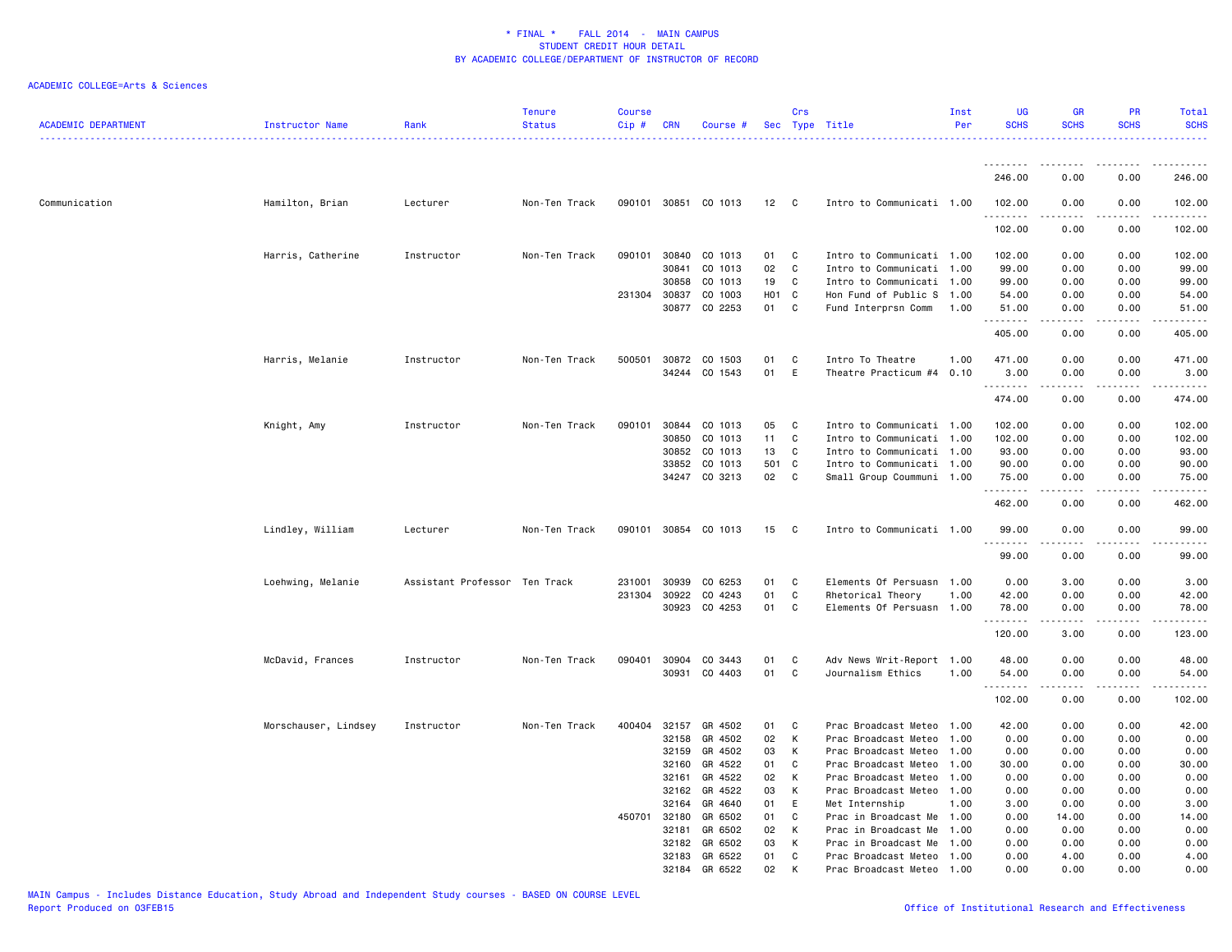| <b>ACADEMIC DEPARTMENT</b> | Instructor Name      | Rank                          | <b>Tenure</b><br><b>Status</b> | Course<br>Cip# | <b>CRN</b> | Course #             |      | Crs          | Sec Type Title            | Inst<br>Per | <b>UG</b><br><b>SCHS</b>  | <b>GR</b><br><b>SCHS</b> | <b>PR</b><br><b>SCHS</b>            | Total<br><b>SCHS</b> |
|----------------------------|----------------------|-------------------------------|--------------------------------|----------------|------------|----------------------|------|--------------|---------------------------|-------------|---------------------------|--------------------------|-------------------------------------|----------------------|
|                            |                      |                               |                                |                |            |                      |      |              |                           |             | .                         | .                        | $\cdots$                            | .                    |
|                            |                      |                               |                                |                |            |                      |      |              |                           |             | 246.00                    | 0.00                     | 0.00                                | 246.00               |
| Communication              | Hamilton, Brian      | Lecturer                      | Non-Ten Track                  |                |            | 090101 30851 CO 1013 | 12 C |              | Intro to Communicati 1.00 |             | 102.00<br>.               | 0.00                     | 0.00                                | 102.00               |
|                            |                      |                               |                                |                |            |                      |      |              |                           |             | 102.00                    | 0.00                     | 0.00                                | 102.00               |
|                            | Harris, Catherine    | Instructor                    | Non-Ten Track                  | 090101         | 30840      | CO 1013              | 01   | C            | Intro to Communicati 1.00 |             | 102.00                    | 0.00                     | 0.00                                | 102.00               |
|                            |                      |                               |                                |                | 30841      | CO 1013              | 02   | C            | Intro to Communicati 1.00 |             | 99.00                     | 0.00                     | 0.00                                | 99.00                |
|                            |                      |                               |                                |                | 30858      | CO 1013              | 19   | C            | Intro to Communicati 1.00 |             | 99.00                     | 0.00                     | 0.00                                | 99.00                |
|                            |                      |                               |                                | 231304 30837   |            | CO 1003              | H01  | $\mathbf{C}$ | Hon Fund of Public S 1.00 |             | 54.00                     | 0.00                     | 0.00                                | 54.00                |
|                            |                      |                               |                                |                | 30877      | CO 2253              | 01   | C.           | Fund Interprsn Comm       | 1.00        | 51.00<br>.                | 0.00                     | 0.00                                | 51.00<br>.           |
|                            |                      |                               |                                |                |            |                      |      |              |                           |             | 405.00                    | 0.00                     | 0.00                                | 405.00               |
|                            | Harris, Melanie      | Instructor                    | Non-Ten Track                  | 500501 30872   |            | CO 1503              | 01   | C            | Intro To Theatre          | 1.00        | 471.00                    | 0.00                     | 0.00                                | 471.00               |
|                            |                      |                               |                                |                | 34244      | CO 1543              | 01   | E            | Theatre Practicum #4      | 0.10        | 3.00                      | 0.00                     | 0.00                                | 3.00                 |
|                            |                      |                               |                                |                |            |                      |      |              |                           |             | .<br>474.00               | 0.00                     | $- - - -$<br>0.00                   | .<br>474.00          |
|                            |                      |                               |                                |                |            |                      |      |              |                           |             |                           |                          |                                     |                      |
|                            | Knight, Amy          | Instructor                    | Non-Ten Track                  | 090101         | 30844      | CO 1013              | 05   | C            | Intro to Communicati 1.00 |             | 102.00                    | 0.00                     | 0.00                                | 102.00               |
|                            |                      |                               |                                |                | 30850      | CO 1013              | 11   | C            | Intro to Communicati 1.00 |             | 102.00                    | 0.00                     | 0.00                                | 102.00               |
|                            |                      |                               |                                |                | 30852      | CO 1013              | 13   | C            | Intro to Communicati 1.00 |             | 93.00                     | 0.00                     | 0.00                                | 93.00                |
|                            |                      |                               |                                |                | 33852      | CO 1013              | 501  | $\mathbf{C}$ | Intro to Communicati 1.00 |             | 90.00                     | 0.00                     | 0.00                                | 90.00                |
|                            |                      |                               |                                |                |            | 34247 CO 3213        | 02   | $\mathbf{C}$ | Small Group Coummuni 1.00 |             | 75.00<br>.                | 0.00<br>.                | 0.00<br>.                           | 75.00<br>.           |
|                            |                      |                               |                                |                |            |                      |      |              |                           |             | 462.00                    | 0.00                     | 0.00                                | 462.00               |
|                            | Lindley, William     | Lecturer                      | Non-Ten Track                  |                |            | 090101 30854 CO 1013 | 15   | $\mathbf{C}$ | Intro to Communicati 1.00 |             | 99.00<br><u>.</u>         | 0.00<br>$\frac{1}{2}$    | 0.00<br>.                           | 99.00<br>.           |
|                            |                      |                               |                                |                |            |                      |      |              |                           |             | 99.00                     | 0.00                     | 0.00                                | 99.00                |
|                            | Loehwing, Melanie    | Assistant Professor Ten Track |                                | 231001         | 30939      | CO 6253              | 01   | C            | Elements Of Persuasn 1.00 |             | 0.00                      | 3.00                     | 0.00                                | 3.00                 |
|                            |                      |                               |                                | 231304         | 30922      | CO 4243              | 01   | C            | Rhetorical Theory         | 1.00        | 42.00                     | 0.00                     | 0.00                                | 42.00                |
|                            |                      |                               |                                |                | 30923      | CO 4253              | 01   | C            | Elements Of Persuasn 1.00 |             | 78.00                     | 0.00                     | 0.00                                | 78.00                |
|                            |                      |                               |                                |                |            |                      |      |              |                           |             | .<br>120.00               | 3.00                     | 0.00                                | .<br>123.00          |
|                            | McDavid, Frances     | Instructor                    | Non-Ten Track                  | 090401         | 30904      | CO 3443              | 01   | C            | Adv News Writ-Report 1.00 |             | 48.00                     | 0.00                     | 0.00                                | 48.00                |
|                            |                      |                               |                                |                |            | 30931 CO 4403        | 01   | C            | Journalism Ethics         | 1.00        | 54.00                     | 0.00                     | 0.00                                | 54.00                |
|                            |                      |                               |                                |                |            |                      |      |              |                           |             | - - - - - - - -<br>102.00 | 0.00                     | $\sim$ $\sim$ $\sim$ $\sim$<br>0.00 | .<br>102.00          |
|                            | Morschauser, Lindsey | Instructor                    | Non-Ten Track                  | 400404 32157   |            | GR 4502              | 01   | C            | Prac Broadcast Meteo 1.00 |             | 42.00                     | 0.00                     | 0.00                                | 42.00                |
|                            |                      |                               |                                |                | 32158      | GR 4502              | 02   | К            | Prac Broadcast Meteo 1.00 |             | 0.00                      | 0.00                     | 0.00                                | 0.00                 |
|                            |                      |                               |                                |                | 32159      | GR 4502              | 03   | К            | Prac Broadcast Meteo 1.00 |             | 0.00                      | 0.00                     | 0.00                                | 0.00                 |
|                            |                      |                               |                                |                | 32160      | GR 4522              | 01   | C            | Prac Broadcast Meteo 1.00 |             | 30.00                     | 0.00                     | 0.00                                | 30.00                |
|                            |                      |                               |                                |                | 32161      | GR 4522              | 02   | К            | Prac Broadcast Meteo 1.00 |             | 0.00                      | 0.00                     | 0.00                                | 0.00                 |
|                            |                      |                               |                                |                | 32162      | GR 4522              | 03   | К            | Prac Broadcast Meteo 1.00 |             | 0.00                      | 0.00                     | 0.00                                | 0.00                 |
|                            |                      |                               |                                |                | 32164      | GR 4640              | 01   | E            | Met Internship            | 1.00        | 3.00                      | 0.00                     | 0.00                                | 3.00                 |
|                            |                      |                               |                                | 450701 32180   |            | GR 6502              | 01   | C            | Prac in Broadcast Me 1.00 |             | 0.00                      | 14.00                    | 0.00                                | 14.00                |
|                            |                      |                               |                                |                | 32181      | GR 6502              | 02   | К            | Prac in Broadcast Me      | 1.00        | 0.00                      | 0.00                     | 0.00                                | 0.00                 |
|                            |                      |                               |                                |                | 32182      | GR 6502              | 03   | К            | Prac in Broadcast Me      | 1.00        | 0.00                      | 0.00                     | 0.00                                | 0.00                 |
|                            |                      |                               |                                |                | 32183      | GR 6522              | 01   | C            | Prac Broadcast Meteo 1.00 |             | 0.00                      | 4.00                     | 0.00                                | 4.00                 |
|                            |                      |                               |                                |                | 32184      | GR 6522              | 02   | к            | Prac Broadcast Meteo 1.00 |             | 0.00                      | 0.00                     | 0.00                                | 0.00                 |
|                            |                      |                               |                                |                |            |                      |      |              |                           |             |                           |                          |                                     |                      |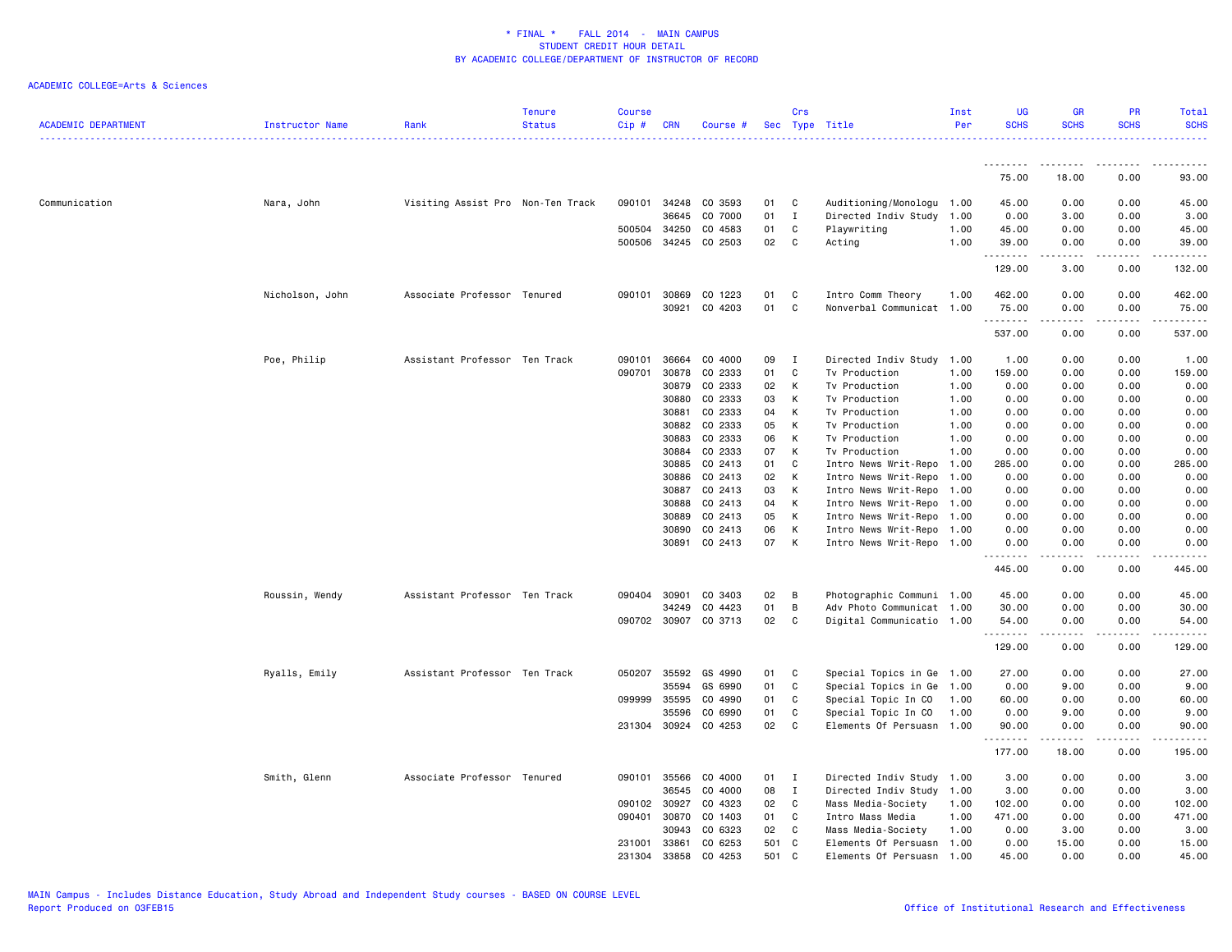| <b>ACADEMIC DEPARTMENT</b> | Instructor Name | Rank                              | <b>Tenure</b><br><b>Status</b> | <b>Course</b><br>Cip# | <b>CRN</b>   | Course #             |     | Crs         | Sec Type Title            | Inst<br>Per | <b>UG</b><br><b>SCHS</b> | <b>GR</b><br><b>SCHS</b> | <b>PR</b><br><b>SCHS</b>     | Total<br><b>SCHS</b>  |
|----------------------------|-----------------|-----------------------------------|--------------------------------|-----------------------|--------------|----------------------|-----|-------------|---------------------------|-------------|--------------------------|--------------------------|------------------------------|-----------------------|
|                            |                 |                                   |                                |                       |              |                      |     |             |                           |             |                          |                          |                              |                       |
|                            |                 |                                   |                                |                       |              |                      |     |             |                           |             | <u>.</u><br>75.00        | .<br>18.00               | $- - - -$<br>0.00            | . <u>.</u> .<br>93.00 |
| Communication              | Nara, John      | Visiting Assist Pro Non-Ten Track |                                |                       | 090101 34248 | CO 3593              | 01  | C           | Auditioning/Monologu 1.00 |             | 45.00                    | 0.00                     | 0.00                         | 45.00                 |
|                            |                 |                                   |                                |                       | 36645        | CO 7000              | 01  | $\mathbf I$ | Directed Indiv Study 1.00 |             | 0.00                     | 3.00                     | 0.00                         | 3.00                  |
|                            |                 |                                   |                                |                       | 500504 34250 | CO 4583              | 01  | C           | Playwriting               | 1.00        | 45.00                    | 0.00                     | 0.00                         | 45.00                 |
|                            |                 |                                   |                                | 500506                | 34245        | CO 2503              | 02  | C           | Acting                    | 1.00        | 39.00<br>.               | 0.00                     | 0.00<br>$\sim$ $\sim$ $\sim$ | 39.00<br>.            |
|                            |                 |                                   |                                |                       |              |                      |     |             |                           |             | 129.00                   | 3.00                     | 0.00                         | 132.00                |
|                            | Nicholson, John | Associate Professor Tenured       |                                | 090101                | 30869        | CO 1223              | 01  | C           | Intro Comm Theory         | 1.00        | 462.00                   | 0.00                     | 0.00                         | 462.00                |
|                            |                 |                                   |                                |                       | 30921        | CO 4203              | 01  | C           | Nonverbal Communicat 1.00 |             | 75.00<br>.               | 0.00<br>. <u>.</u> .     | 0.00<br>$\sim$ $\sim$ $\sim$ | 75.00<br>.            |
|                            |                 |                                   |                                |                       |              |                      |     |             |                           |             | 537.00                   | 0.00                     | 0.00                         | 537.00                |
|                            | Poe, Philip     | Assistant Professor Ten Track     |                                | 090101                | 36664        | CO 4000              | 09  | I           | Directed Indiv Study      | 1.00        | 1.00                     | 0.00                     | 0.00                         | 1.00                  |
|                            |                 |                                   |                                | 090701                | 30878        | CO 2333              | 01  | C           | Tv Production             | 1.00        | 159.00                   | 0.00                     | 0.00                         | 159.00                |
|                            |                 |                                   |                                |                       | 30879        | CO 2333              | 02  | К           | Tv Production             | 1.00        | 0.00                     | 0.00                     | 0.00                         | 0.00                  |
|                            |                 |                                   |                                |                       | 30880        | CO 2333              | 03  | К           | Tv Production             | 1.00        | 0.00                     | 0.00                     | 0.00                         | 0.00                  |
|                            |                 |                                   |                                |                       | 30881        | CO 2333              | 04  | К           | Tv Production             | 1.00        | 0.00                     | 0.00                     | 0.00                         | 0.00                  |
|                            |                 |                                   |                                |                       | 30882        | CO 2333              | 05  | К           | Tv Production             | 1.00        | 0.00                     | 0.00                     | 0.00                         | 0.00                  |
|                            |                 |                                   |                                |                       | 30883        | CO 2333              | 06  | K           | Tv Production             | 1.00        | 0.00                     | 0.00                     | 0.00                         | 0.00                  |
|                            |                 |                                   |                                |                       | 30884        | CO 2333              | 07  | К           | Tv Production             | 1.00        | 0.00                     | 0.00                     | 0.00                         | 0.00                  |
|                            |                 |                                   |                                |                       | 30885        | CO 2413              | 01  | C           | Intro News Writ-Repo 1.00 |             | 285.00                   | 0.00                     | 0.00                         | 285.00                |
|                            |                 |                                   |                                |                       | 30886        | CO 2413              | 02  | К           | Intro News Writ-Repo 1.00 |             | 0.00                     | 0.00                     | 0.00                         | 0.00                  |
|                            |                 |                                   |                                |                       | 30887        | CO 2413              | 03  | К           | Intro News Writ-Repo 1.00 |             | 0.00                     | 0.00                     | 0.00                         | 0.00                  |
|                            |                 |                                   |                                |                       | 30888        | CO 2413              | 04  | К           | Intro News Writ-Repo 1.00 |             | 0.00                     | 0.00                     | 0.00                         | 0.00                  |
|                            |                 |                                   |                                |                       | 30889        | CO 2413              | 05  | К           | Intro News Writ-Repo 1.00 |             | 0.00                     | 0.00                     | 0.00                         | 0.00                  |
|                            |                 |                                   |                                |                       | 30890        | CO 2413              | 06  | К           | Intro News Writ-Repo 1.00 |             | 0.00                     | 0.00                     | 0.00                         | 0.00                  |
|                            |                 |                                   |                                |                       | 30891        | CO 2413              | 07  | К           | Intro News Writ-Repo 1.00 |             | 0.00                     | 0.00                     | 0.00                         | 0.00                  |
|                            |                 |                                   |                                |                       |              |                      |     |             |                           |             | .<br>445.00              | -----<br>0.00            | .<br>0.00                    | .<br>445.00           |
|                            | Roussin, Wendy  | Assistant Professor Ten Track     |                                | 090404                | 30901        | CO 3403              | 02  | B           | Photographic Communi 1.00 |             | 45.00                    | 0.00                     | 0.00                         | 45.00                 |
|                            |                 |                                   |                                |                       | 34249        | CO 4423              | 01  | В           | Adv Photo Communicat 1.00 |             | 30.00                    | 0.00                     | 0.00                         | 30.00                 |
|                            |                 |                                   |                                |                       |              | 090702 30907 CO 3713 | 02  | C           | Digital Communicatio 1.00 |             | 54.00                    | 0.00                     | 0.00<br>$- - - -$            | 54.00<br>$    -$      |
|                            |                 |                                   |                                |                       |              |                      |     |             |                           |             | 129.00                   | 0.00                     | 0.00                         | 129.00                |
|                            | Ryalls, Emily   | Assistant Professor Ten Track     |                                |                       | 050207 35592 | GS 4990              | 01  | C           | Special Topics in Ge 1.00 |             | 27.00                    | 0.00                     | 0.00                         | 27.00                 |
|                            |                 |                                   |                                |                       | 35594        | GS 6990              | 01  | C           | Special Topics in Ge 1.00 |             | 0.00                     | 9.00                     | 0.00                         | 9.00                  |
|                            |                 |                                   |                                | 099999                | 35595        | CO 4990              | 01  | C           | Special Topic In CO       | 1.00        | 60.00                    | 0.00                     | 0.00                         | 60.00                 |
|                            |                 |                                   |                                |                       | 35596        | CO 6990              | 01  | C           | Special Topic In CO       | 1.00        | 0.00                     | 9.00                     | 0.00                         | 9.00                  |
|                            |                 |                                   |                                |                       | 231304 30924 | CO 4253              | 02  | C           | Elements Of Persuasn 1.00 |             | 90.00<br>.               | 0.00<br>د د د د د        | 0.00<br>.                    | 90.00<br>.            |
|                            |                 |                                   |                                |                       |              |                      |     |             |                           |             | 177.00                   | 18.00                    | 0.00                         | 195.00                |
|                            | Smith, Glenn    | Associate Professor Tenured       |                                | 090101                | 35566        | CO 4000              | 01  | I           | Directed Indiv Study 1.00 |             | 3.00                     | 0.00                     | 0.00                         | 3.00                  |
|                            |                 |                                   |                                |                       | 36545        | CO 4000              | 08  | $\mathbf I$ | Directed Indiv Study 1.00 |             | 3.00                     | 0.00                     | 0.00                         | 3.00                  |
|                            |                 |                                   |                                |                       | 090102 30927 | CO 4323              | 02  | C           | Mass Media-Society        | 1.00        | 102.00                   | 0.00                     | 0.00                         | 102.00                |
|                            |                 |                                   |                                | 090401                | 30870        | CO 1403              | 01  | C           | Intro Mass Media          | 1.00        | 471.00                   | 0.00                     | 0.00                         | 471.00                |
|                            |                 |                                   |                                |                       | 30943        | CO 6323              | 02  | C           | Mass Media-Society        | 1.00        | 0.00                     | 3.00                     | 0.00                         | 3.00                  |
|                            |                 |                                   |                                | 231001                | 33861        | CO 6253              | 501 | C           | Elements Of Persuasn 1.00 |             | 0.00                     | 15.00                    | 0.00                         | 15.00                 |
|                            |                 |                                   |                                |                       | 231304 33858 | CO 4253              | 501 | C.          | Flements Of Persuasn 1.00 |             | 45.00                    | 0.00                     | 0.00                         | 45.00                 |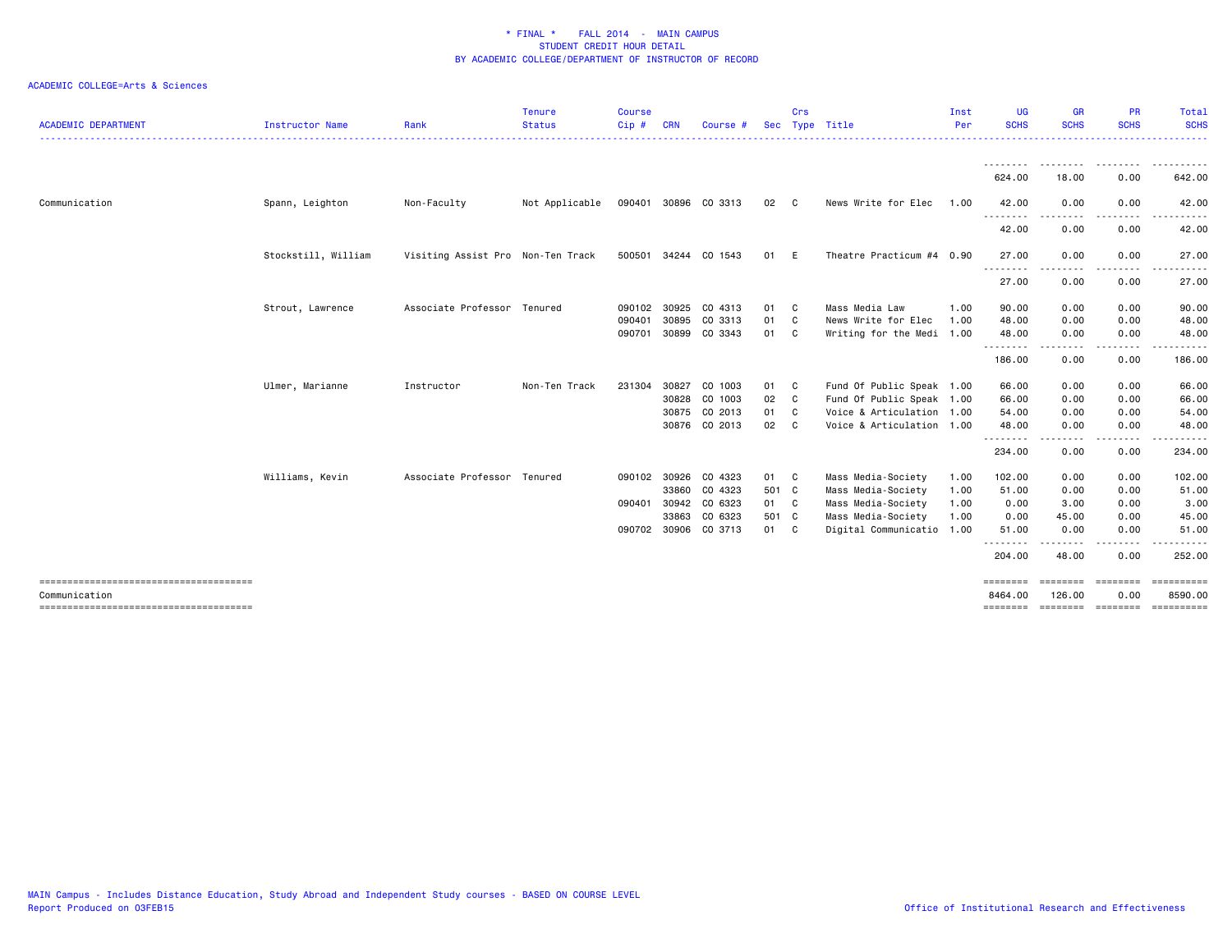| <b>ACADEMIC DEPARTMENT</b>            | Instructor Name     | Rank                              | <b>Tenure</b><br><b>Status</b> | <b>Course</b><br>Cip# | <b>CRN</b> | Course #             |       | Crs          | Sec Type Title            | Inst<br>Per | <b>UG</b><br><b>SCHS</b> | <b>GR</b><br><b>SCHS</b> | <b>PR</b><br><b>SCHS</b> | Total<br><b>SCHS</b><br><u>.</u> |
|---------------------------------------|---------------------|-----------------------------------|--------------------------------|-----------------------|------------|----------------------|-------|--------------|---------------------------|-------------|--------------------------|--------------------------|--------------------------|----------------------------------|
|                                       |                     |                                   |                                |                       |            |                      |       |              |                           |             | ---------                | .                        | .                        | .                                |
|                                       |                     |                                   |                                |                       |            |                      |       |              |                           |             | 624.00                   | 18.00                    | 0.00                     | 642.00                           |
| Communication                         | Spann, Leighton     | Non-Faculty                       | Not Applicable                 |                       |            | 090401 30896 CO 3313 | 02 C  |              | News Write for Elec       | 1.00        | 42.00                    | 0.00                     | 0.00                     | 42.00                            |
|                                       |                     |                                   |                                |                       |            |                      |       |              |                           |             | .<br>42.00               | ---------<br>0.00        | .<br>0.00                | .<br>42.00                       |
|                                       | Stockstill, William | Visiting Assist Pro Non-Ten Track |                                |                       |            | 500501 34244 CO 1543 | 01    | E            | Theatre Practicum #4 0.90 |             | 27.00                    | 0.00                     | 0.00                     | 27.00                            |
|                                       |                     |                                   |                                |                       |            |                      |       |              |                           |             | --------<br>27.00        | ----<br>0.00             | 0.00                     | 27.00                            |
|                                       | Strout, Lawrence    | Associate Professor Tenured       |                                | 090102 30925          |            | CO 4313              | 01    | C            | Mass Media Law            | 1.00        | 90.00                    | 0.00                     | 0.00                     | 90.00                            |
|                                       |                     |                                   |                                | 090401                | 30895      | CO 3313              | 01    | C            | News Write for Elec       | 1.00        | 48.00                    | 0.00                     | 0.00                     | 48.00                            |
|                                       |                     |                                   |                                | 090701 30899          |            | CO 3343              | 01    | $\mathbf{C}$ | Writing for the Medi 1.00 |             | 48.00<br>.               | 0.00                     | 0.00                     | 48.00                            |
|                                       |                     |                                   |                                |                       |            |                      |       |              |                           |             | 186.00                   | 0.00                     | 0.00                     | 186.00                           |
|                                       | Ulmer, Marianne     | Instructor                        | Non-Ten Track                  | 231304                | 30827      | CO 1003              | 01    | C            | Fund Of Public Speak 1.00 |             | 66.00                    | 0.00                     | 0.00                     | 66.00                            |
|                                       |                     |                                   |                                |                       | 30828      | CO 1003              | 02    | C            | Fund Of Public Speak 1.00 |             | 66.00                    | 0.00                     | 0.00                     | 66.00                            |
|                                       |                     |                                   |                                |                       | 30875      | CO 2013              | 01    | C            | Voice & Articulation 1.00 |             | 54.00                    | 0.00                     | 0.00                     | 54.00                            |
|                                       |                     |                                   |                                |                       |            | 30876 CO 2013        | 02    | C            | Voice & Articulation 1.00 |             | 48.00<br><u>.</u>        | 0.00                     | 0.00                     | 48.00                            |
|                                       |                     |                                   |                                |                       |            |                      |       |              |                           |             | 234.00                   | 0.00                     | 0.00                     | 234.00                           |
|                                       | Williams, Kevin     | Associate Professor Tenured       |                                | 090102 30926          |            | CO 4323              | 01    | $\mathbf{C}$ | Mass Media-Society        | 1.00        | 102.00                   | 0.00                     | 0.00                     | 102.00                           |
|                                       |                     |                                   |                                |                       | 33860      | CO 4323              | 501 C |              | Mass Media-Society        | 1.00        | 51.00                    | 0.00                     | 0.00                     | 51.00                            |
|                                       |                     |                                   |                                | 090401 30942          |            | CO 6323              | 01 C  |              | Mass Media-Society        | 1.00        | 0.00                     | 3.00                     | 0.00                     | 3.00                             |
|                                       |                     |                                   |                                |                       | 33863      | CO 6323              | 501 C |              | Mass Media-Society        | 1.00        | 0.00                     | 45.00                    | 0.00                     | 45.00                            |
|                                       |                     |                                   |                                | 090702 30906          |            | CO 3713              | 01    | $\mathbf{C}$ | Digital Communicatio 1.00 |             | 51.00<br>.               | 0.00<br>. <b>.</b>       | 0.00<br>.                | 51.00<br>.                       |
|                                       |                     |                                   |                                |                       |            |                      |       |              |                           |             | 204.00                   | 48.00                    | 0.00                     | 252,00                           |
| ------------------------------------- |                     |                                   |                                |                       |            |                      |       |              |                           |             | ========                 | ========                 | ========                 |                                  |
| Communication                         |                     |                                   |                                |                       |            |                      |       |              |                           |             | 8464.00                  | 126,00                   | 0.00                     | 8590.00<br><b>CONSESSED</b>      |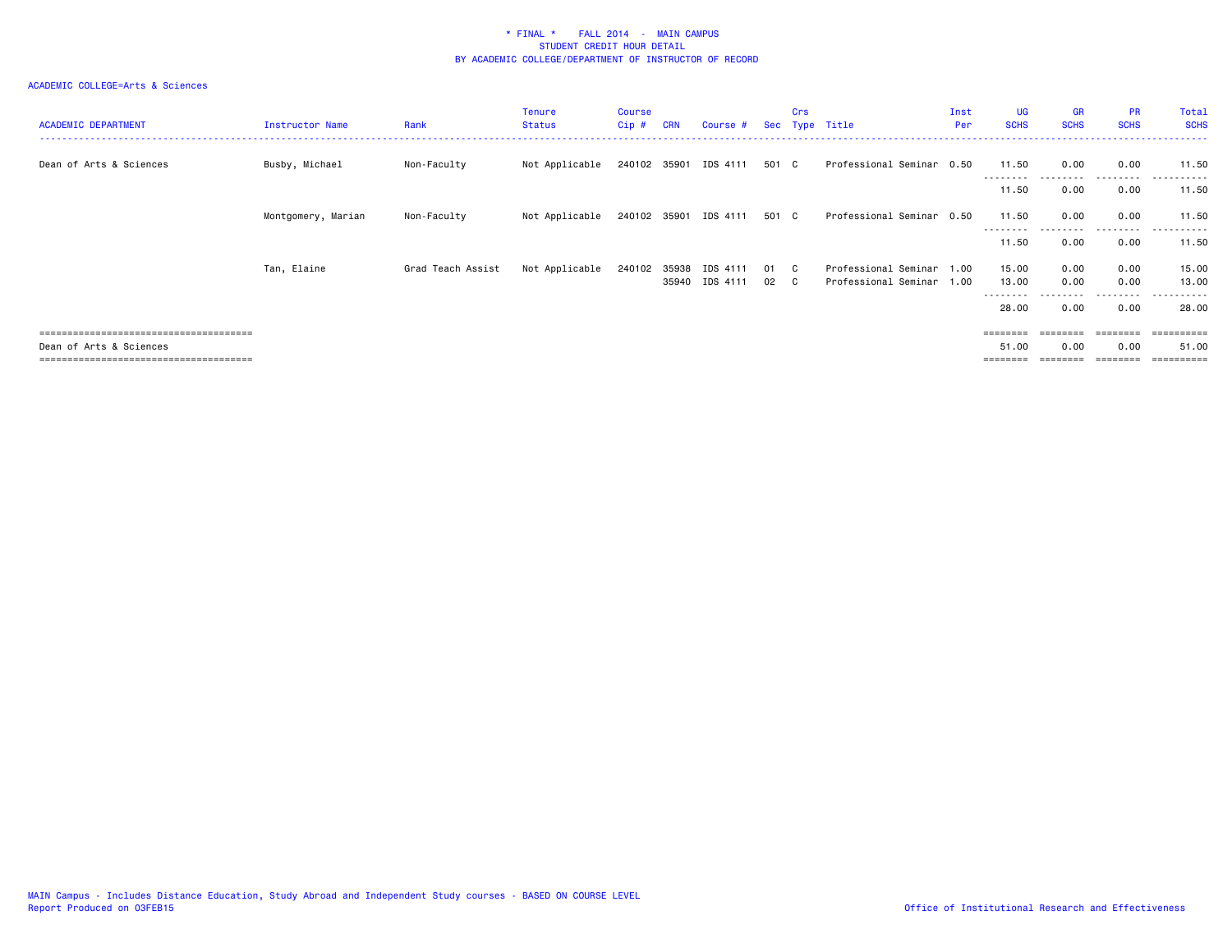| <b>ACADEMIC DEPARTMENT</b> | Instructor Name    | Rank              | Tenure<br><b>Status</b> | Course<br>$Cip$ # | <b>CRN</b> | Course #                                |            | <b>Crs</b>   | Sec Type Title                               | Inst<br>Per  | <b>UG</b><br><b>SCHS</b>          | <b>GR</b><br><b>SCHS</b> | <b>PR</b><br><b>SCHS</b> | Total<br><b>SCHS</b>     |
|----------------------------|--------------------|-------------------|-------------------------|-------------------|------------|-----------------------------------------|------------|--------------|----------------------------------------------|--------------|-----------------------------------|--------------------------|--------------------------|--------------------------|
| Dean of Arts & Sciences    | Busby, Michael     | Non-Faculty       | Not Applicable          |                   |            | 240102 35901 IDS 4111                   | 501 C      |              | Professional Seminar 0.50                    |              | 11.50<br>---------                | 0.00<br>.                | 0.00<br>.                | 11.50<br>.               |
|                            |                    |                   |                         |                   |            |                                         |            |              |                                              |              | 11.50                             | 0.00                     | 0.00                     | 11.50                    |
|                            | Montgomery, Marian | Non-Faculty       | Not Applicable          |                   |            | 240102 35901 IDS 4111                   | 501 C      |              | Professional Seminar 0.50                    |              | 11.50<br>--------                 | 0.00                     | 0.00<br>.                | 11.50<br>. <u>.</u> .    |
|                            |                    |                   |                         |                   |            |                                         |            |              |                                              |              | 11.50                             | 0.00                     | 0.00                     | 11.50                    |
|                            | Tan, Elaine        | Grad Teach Assist | Not Applicable          |                   |            | 240102 35938 IDS 4111<br>35940 IDS 4111 | 01 C<br>02 | $\mathbf{C}$ | Professional Seminar<br>Professional Seminar | 1.00<br>1.00 | 15.00<br>13.00<br>- - - - - - - - | 0.00<br>0.00             | 0.00<br>0.00<br>-----    | 15.00<br>13.00<br>------ |
|                            |                    |                   |                         |                   |            |                                         |            |              |                                              |              | 28.00                             | 0.00                     | 0.00                     | 28.00                    |
| Dean of Arts & Sciences    |                    |                   |                         |                   |            |                                         |            |              |                                              |              | =======<br>51.00                  | 0.00                     | ========<br>0.00         | 51.00                    |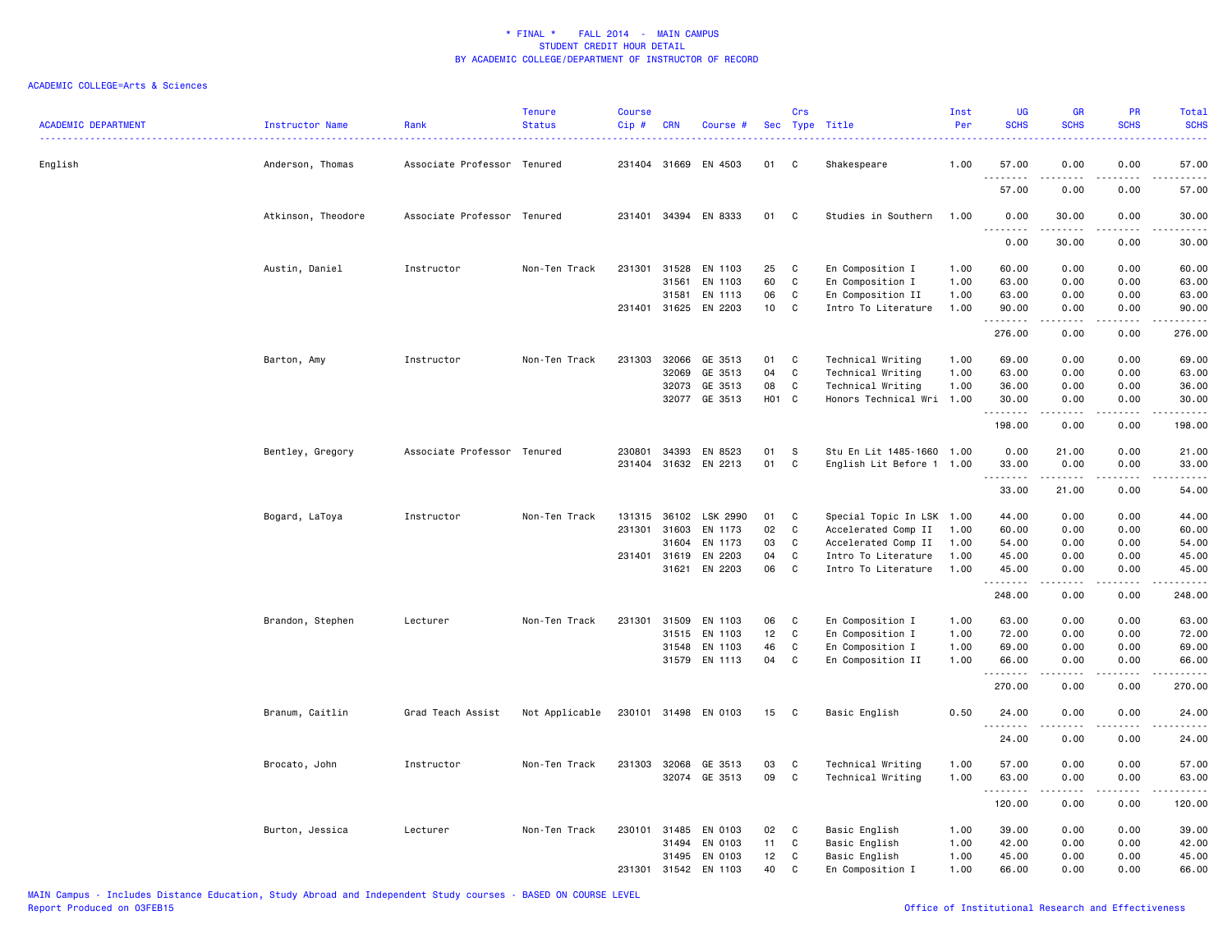| <b>ACADEMIC DEPARTMENT</b> | Instructor Name    | Rank                        | <b>Tenure</b><br><b>Status</b> | <b>Course</b><br>Cip# | <b>CRN</b>   | Course #             |       | Crs          | Sec Type Title            | Inst<br>Per | <b>UG</b><br><b>SCHS</b>                                                                                                                                      | <b>GR</b><br><b>SCHS</b>                                                                                                                                     | <b>PR</b><br><b>SCHS</b> | Total<br><b>SCHS</b>                                                                                                                                          |
|----------------------------|--------------------|-----------------------------|--------------------------------|-----------------------|--------------|----------------------|-------|--------------|---------------------------|-------------|---------------------------------------------------------------------------------------------------------------------------------------------------------------|--------------------------------------------------------------------------------------------------------------------------------------------------------------|--------------------------|---------------------------------------------------------------------------------------------------------------------------------------------------------------|
| English                    | Anderson, Thomas   | Associate Professor Tenured |                                |                       | 231404 31669 | EN 4503              | 01    | C            | Shakespeare               | 1.00        | 57.00                                                                                                                                                         | 0.00                                                                                                                                                         | 0.00                     | 57.00                                                                                                                                                         |
|                            |                    |                             |                                |                       |              |                      |       |              |                           |             | $\sim$ $\sim$ $\sim$<br>-----<br>57.00                                                                                                                        | 0.00                                                                                                                                                         | 0.00                     | والمستحدث<br>57.00                                                                                                                                            |
|                            | Atkinson, Theodore | Associate Professor         | Tenured                        |                       |              | 231401 34394 EN 8333 | 01    | C            | Studies in Southern       | 1.00        | 0.00                                                                                                                                                          | 30.00                                                                                                                                                        | 0.00                     | 30.00<br>$\frac{1}{2} \left( \frac{1}{2} \right) \left( \frac{1}{2} \right) \left( \frac{1}{2} \right) \left( \frac{1}{2} \right) \left( \frac{1}{2} \right)$ |
|                            |                    |                             |                                |                       |              |                      |       |              |                           |             | 0.00                                                                                                                                                          | 30.00                                                                                                                                                        | 0.00                     | 30.00                                                                                                                                                         |
|                            | Austin, Daniel     | Instructor                  | Non-Ten Track                  | 231301                | 31528        | EN 1103              | 25    | C            | En Composition I          | 1.00        | 60.00                                                                                                                                                         | 0.00                                                                                                                                                         | 0.00                     | 60.00                                                                                                                                                         |
|                            |                    |                             |                                |                       | 31561        | EN 1103              | 60    | $\mathtt{C}$ | En Composition I          | 1.00        | 63.00                                                                                                                                                         | 0.00                                                                                                                                                         | 0.00                     | 63.00                                                                                                                                                         |
|                            |                    |                             |                                |                       | 31581        | EN 1113              | 06    | C            | En Composition II         | 1.00        | 63.00                                                                                                                                                         | 0.00                                                                                                                                                         | 0.00                     | 63.00                                                                                                                                                         |
|                            |                    |                             |                                | 231401                | 31625        | EN 2203              | 10    | C            | Intro To Literature       | 1.00        | 90.00<br>.                                                                                                                                                    | 0.00<br>.                                                                                                                                                    | 0.00<br>د د د د          | 90.00<br>.                                                                                                                                                    |
|                            |                    |                             |                                |                       |              |                      |       |              |                           |             | 276.00                                                                                                                                                        | 0.00                                                                                                                                                         | 0.00                     | 276.00                                                                                                                                                        |
|                            | Barton, Amy        | Instructor                  | Non-Ten Track                  | 231303                | 32066        | GE 3513              | 01    | C            | Technical Writing         | 1.00        | 69.00                                                                                                                                                         | 0.00                                                                                                                                                         | 0.00                     | 69.00                                                                                                                                                         |
|                            |                    |                             |                                |                       | 32069        | GE 3513              | 04    | $\mathtt{C}$ | Technical Writing         | 1.00        | 63.00                                                                                                                                                         | 0.00                                                                                                                                                         | 0.00                     | 63.00                                                                                                                                                         |
|                            |                    |                             |                                |                       | 32073        | GE 3513              | 08    | C            | Technical Writing         | 1.00        | 36.00                                                                                                                                                         | 0.00                                                                                                                                                         | 0.00                     | 36.00                                                                                                                                                         |
|                            |                    |                             |                                |                       |              | 32077 GE 3513        | H01 C |              | Honors Technical Wri 1.00 |             | 30.00<br>.                                                                                                                                                    | 0.00<br>$\frac{1}{2} \left( \frac{1}{2} \right) \left( \frac{1}{2} \right) \left( \frac{1}{2} \right) \left( \frac{1}{2} \right) \left( \frac{1}{2} \right)$ | 0.00<br>.                | 30.00<br>.                                                                                                                                                    |
|                            |                    |                             |                                |                       |              |                      |       |              |                           |             | 198.00                                                                                                                                                        | 0.00                                                                                                                                                         | 0.00                     | 198.00                                                                                                                                                        |
|                            | Bentley, Gregory   | Associate Professor Tenured |                                | 230801                | 34393        | EN 8523              | 01    | S            | Stu En Lit 1485-1660 1.00 |             | 0.00                                                                                                                                                          | 21.00                                                                                                                                                        | 0.00                     | 21.00                                                                                                                                                         |
|                            |                    |                             |                                |                       |              | 231404 31632 EN 2213 | 01    | C            | English Lit Before 1 1.00 |             | 33.00                                                                                                                                                         | 0.00                                                                                                                                                         | 0.00                     | 33.00                                                                                                                                                         |
|                            |                    |                             |                                |                       |              |                      |       |              |                           |             | $\frac{1}{2} \left( \frac{1}{2} \right) \left( \frac{1}{2} \right) \left( \frac{1}{2} \right) \left( \frac{1}{2} \right) \left( \frac{1}{2} \right)$<br>33.00 | 21.00                                                                                                                                                        | 0.00                     | $    -$<br>54.00                                                                                                                                              |
|                            | Bogard, LaToya     | Instructor                  | Non-Ten Track                  | 131315                | 36102        | LSK 2990             | 01    | C            | Special Topic In LSK 1.00 |             | 44.00                                                                                                                                                         | 0.00                                                                                                                                                         | 0.00                     | 44.00                                                                                                                                                         |
|                            |                    |                             |                                | 231301                | 31603        | EN 1173              | 02    | C            | Accelerated Comp II       | 1.00        | 60.00                                                                                                                                                         | 0.00                                                                                                                                                         | 0.00                     | 60.00                                                                                                                                                         |
|                            |                    |                             |                                |                       | 31604        | EN 1173              | 03    | C            | Accelerated Comp II       | 1.00        | 54.00                                                                                                                                                         | 0.00                                                                                                                                                         | 0.00                     | 54.00                                                                                                                                                         |
|                            |                    |                             |                                |                       | 231401 31619 | EN 2203              | 04    | C            | Intro To Literature       | 1.00        | 45.00                                                                                                                                                         | 0.00                                                                                                                                                         | 0.00                     | 45.00                                                                                                                                                         |
|                            |                    |                             |                                |                       | 31621        | EN 2203              | 06    | C            | Intro To Literature       | 1.00        | 45.00<br><u>.</u>                                                                                                                                             | 0.00<br>$- - - - -$                                                                                                                                          | 0.00<br>.                | 45.00<br>.                                                                                                                                                    |
|                            |                    |                             |                                |                       |              |                      |       |              |                           |             | 248.00                                                                                                                                                        | 0.00                                                                                                                                                         | 0.00                     | 248.00                                                                                                                                                        |
|                            | Brandon, Stephen   | Lecturer                    | Non-Ten Track                  | 231301                | 31509        | EN 1103              | 06    | C            | En Composition I          | 1.00        | 63.00                                                                                                                                                         | 0.00                                                                                                                                                         | 0.00                     | 63.00                                                                                                                                                         |
|                            |                    |                             |                                |                       | 31515        | EN 1103              | 12    | $\mathtt{C}$ | En Composition I          | 1.00        | 72.00                                                                                                                                                         | 0.00                                                                                                                                                         | 0.00                     | 72.00                                                                                                                                                         |
|                            |                    |                             |                                |                       | 31548        | EN 1103              | 46    | $\mathtt{C}$ | En Composition I          | 1.00        | 69.00                                                                                                                                                         | 0.00                                                                                                                                                         | 0.00                     | 69.00                                                                                                                                                         |
|                            |                    |                             |                                |                       | 31579        | EN 1113              | 04    | C            | En Composition II         | 1.00        | 66.00                                                                                                                                                         | 0.00                                                                                                                                                         | 0.00                     | 66.00                                                                                                                                                         |
|                            |                    |                             |                                |                       |              |                      |       |              |                           |             | $\frac{1}{2}$<br>270.00                                                                                                                                       | 0.00                                                                                                                                                         | 0.00                     | $\frac{1}{2}$<br>270.00                                                                                                                                       |
|                            | Branum, Caitlin    | Grad Teach Assist           | Not Applicable                 |                       |              | 230101 31498 EN 0103 | 15    | C            | Basic English             | 0.50        | 24.00                                                                                                                                                         | 0.00                                                                                                                                                         | 0.00                     | 24.00                                                                                                                                                         |
|                            |                    |                             |                                |                       |              |                      |       |              |                           |             | $\sim$ $\sim$ $\sim$<br>24.00                                                                                                                                 | 0.00                                                                                                                                                         | 0.00                     | 24.00                                                                                                                                                         |
|                            | Brocato, John      | Instructor                  | Non-Ten Track                  | 231303                | 32068        | GE 3513              | 03    | C            | Technical Writing         | 1.00        | 57.00                                                                                                                                                         | 0.00                                                                                                                                                         | 0.00                     | 57.00                                                                                                                                                         |
|                            |                    |                             |                                |                       |              | 32074 GE 3513        | 09    | C            | Technical Writing         | 1.00        | 63.00                                                                                                                                                         | 0.00                                                                                                                                                         | 0.00                     | 63.00                                                                                                                                                         |
|                            |                    |                             |                                |                       |              |                      |       |              |                           |             | .<br>120.00                                                                                                                                                   | .<br>0.00                                                                                                                                                    | .<br>0.00                | .<br>120.00                                                                                                                                                   |
|                            | Burton, Jessica    | Lecturer                    | Non-Ten Track                  | 230101                | 31485        | EN 0103              | 02    | C            | Basic English             | 1.00        | 39.00                                                                                                                                                         | 0.00                                                                                                                                                         | 0.00                     | 39.00                                                                                                                                                         |
|                            |                    |                             |                                |                       | 31494        | EN 0103              | 11    | C            | Basic English             | 1.00        | 42.00                                                                                                                                                         | 0.00                                                                                                                                                         | 0.00                     | 42.00                                                                                                                                                         |
|                            |                    |                             |                                |                       | 31495        | EN 0103              | 12    | C            | Basic English             | 1.00        | 45.00                                                                                                                                                         | 0.00                                                                                                                                                         | 0.00                     | 45.00                                                                                                                                                         |
|                            |                    |                             |                                |                       | 231301 31542 | EN 1103              | 40    | C            | En Composition I          | 1.00        | 66.00                                                                                                                                                         | 0.00                                                                                                                                                         | 0.00                     | 66.00                                                                                                                                                         |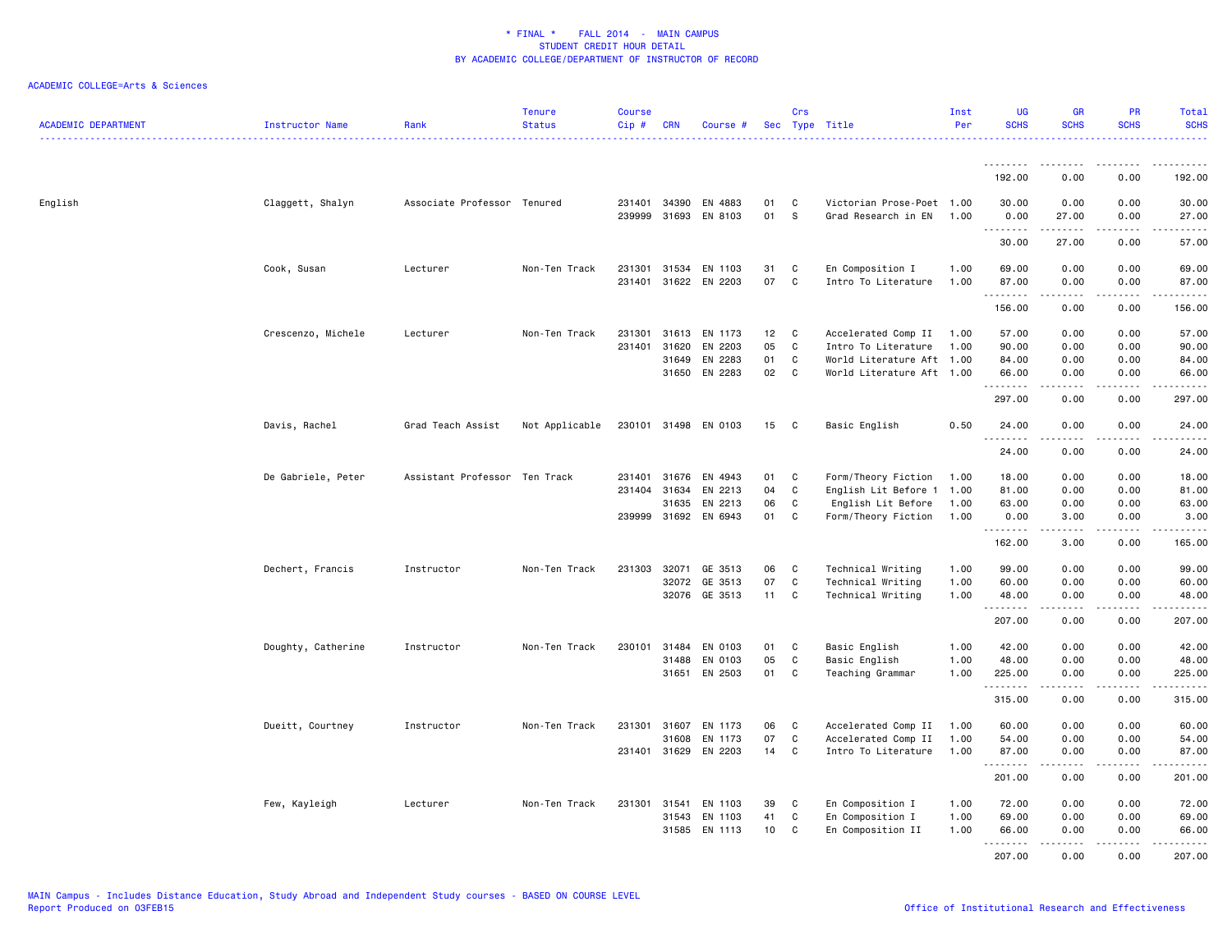| <b>ACADEMIC DEPARTMENT</b> | Instructor Name    | Rank                          | <b>Tenure</b><br><b>Status</b> | <b>Course</b><br>Cip# | <b>CRN</b>                            | Course #                                              |                      | Crs              | Sec Type Title                                                                                       | Inst<br>Per          | <b>UG</b><br><b>SCHS</b>             | <b>GR</b><br><b>SCHS</b>                                                                                                                                                                | <b>PR</b><br><b>SCHS</b>          | Total<br><b>SCHS</b><br><u>.</u>           |
|----------------------------|--------------------|-------------------------------|--------------------------------|-----------------------|---------------------------------------|-------------------------------------------------------|----------------------|------------------|------------------------------------------------------------------------------------------------------|----------------------|--------------------------------------|-----------------------------------------------------------------------------------------------------------------------------------------------------------------------------------------|-----------------------------------|--------------------------------------------|
|                            |                    |                               |                                |                       |                                       |                                                       |                      |                  |                                                                                                      |                      | .                                    | .                                                                                                                                                                                       | $\frac{1}{2}$                     | . <u>.</u> .                               |
|                            |                    |                               |                                |                       |                                       |                                                       |                      |                  |                                                                                                      |                      | 192.00                               | 0.00                                                                                                                                                                                    | 0.00                              | 192.00                                     |
| English                    | Claggett, Shalyn   | Associate Professor Tenured   |                                |                       | 231401 34390                          | EN 4883<br>239999 31693 EN 8103                       | 01<br>01             | C<br><b>S</b>    | Victorian Prose-Poet 1.00<br>Grad Research in EN 1.00                                                |                      | 30.00<br>0.00<br>.                   | 0.00<br>27.00<br>.                                                                                                                                                                      | 0.00<br>0.00<br>.                 | 30.00<br>27.00<br>.                        |
|                            |                    |                               |                                |                       |                                       |                                                       |                      |                  |                                                                                                      |                      | 30.00                                | 27.00                                                                                                                                                                                   | 0.00                              | 57.00                                      |
|                            | Cook, Susan        | Lecturer                      | Non-Ten Track                  | 231301                | 31534                                 | EN 1103<br>231401 31622 EN 2203                       | 31<br>07             | C<br>C           | En Composition I<br>Intro To Literature                                                              | 1.00<br>1.00         | 69.00<br>87.00                       | 0.00<br>0.00                                                                                                                                                                            | 0.00<br>0.00                      | 69.00<br>87.00<br>.                        |
|                            |                    |                               |                                |                       |                                       |                                                       |                      |                  |                                                                                                      |                      | .<br>156.00                          | $\frac{1}{2} \left( \frac{1}{2} \right) \left( \frac{1}{2} \right) \left( \frac{1}{2} \right) \left( \frac{1}{2} \right) \left( \frac{1}{2} \right) \left( \frac{1}{2} \right)$<br>0.00 | .<br>0.00                         | 156.00                                     |
|                            | Crescenzo, Michele | Lecturer                      | Non-Ten Track                  | 231301<br>231401      | 31613<br>31620<br>31649               | EN 1173<br>EN 2203<br>EN 2283<br>31650 EN 2283        | 12<br>05<br>01<br>02 | C<br>C<br>C<br>C | Accelerated Comp II<br>Intro To Literature<br>World Literature Aft 1.00<br>World Literature Aft 1.00 | 1.00<br>1.00         | 57.00<br>90.00<br>84.00<br>66.00     | 0.00<br>0.00<br>0.00<br>0.00                                                                                                                                                            | 0.00<br>0.00<br>0.00<br>0.00      | 57.00<br>90.00<br>84.00<br>66.00           |
|                            |                    |                               |                                |                       |                                       |                                                       |                      |                  |                                                                                                      |                      | .<br>297.00                          | <b></b><br>0.00                                                                                                                                                                         | .<br>0.00                         | .<br>297.00                                |
|                            | Davis, Rachel      | Grad Teach Assist             | Not Applicable                 |                       |                                       | 230101 31498 EN 0103                                  | 15                   | C                | Basic English                                                                                        | 0.50                 | 24.00                                | 0.00                                                                                                                                                                                    | 0.00                              | 24.00                                      |
|                            |                    |                               |                                |                       |                                       |                                                       |                      |                  |                                                                                                      |                      | .<br>24.00                           | 0.00                                                                                                                                                                                    | 0.00                              | .<br>24.00                                 |
|                            | De Gabriele, Peter | Assistant Professor Ten Track |                                |                       | 231401 31676<br>231404 31634<br>31635 | EN 4943<br>EN 2213<br>EN 2213<br>239999 31692 EN 6943 | 01<br>04<br>06<br>01 | C<br>C<br>C<br>C | Form/Theory Fiction<br>English Lit Before 1 1.00<br>English Lit Before<br>Form/Theory Fiction        | 1.00<br>1.00<br>1.00 | 18.00<br>81.00<br>63.00<br>0.00<br>. | 0.00<br>0.00<br>0.00<br>3.00<br>$- - - - -$                                                                                                                                             | 0.00<br>0.00<br>0.00<br>0.00<br>. | 18.00<br>81.00<br>63.00<br>3.00<br>.       |
|                            |                    |                               |                                |                       |                                       |                                                       |                      |                  |                                                                                                      |                      | 162.00                               | 3.00                                                                                                                                                                                    | 0.00                              | 165.00                                     |
|                            | Dechert, Francis   | Instructor                    | Non-Ten Track                  | 231303                | 32071                                 | GE 3513<br>32072 GE 3513<br>32076 GE 3513             | 06<br>07<br>11       | C<br>C<br>C      | Technical Writing<br>Technical Writing<br>Technical Writing                                          | 1.00<br>1.00<br>1.00 | 99.00<br>60.00<br>48.00<br>.         | 0.00<br>0.00<br>0.00<br>$\frac{1}{2} \left( \frac{1}{2} \right) \left( \frac{1}{2} \right) \left( \frac{1}{2} \right) \left( \frac{1}{2} \right) \left( \frac{1}{2} \right)$            | 0.00<br>0.00<br>0.00<br>.         | 99.00<br>60.00<br>48.00<br>.               |
|                            |                    |                               |                                |                       |                                       |                                                       |                      |                  |                                                                                                      |                      | 207.00                               | 0.00                                                                                                                                                                                    | 0.00                              | 207.00                                     |
|                            | Doughty, Catherine | Instructor                    | Non-Ten Track                  | 230101                | 31484<br>31488                        | EN 0103<br>EN 0103<br>31651 EN 2503                   | 01<br>05<br>01       | C<br>C<br>C      | Basic English<br>Basic English<br>Teaching Grammar                                                   | 1.00<br>1.00<br>1.00 | 42.00<br>48.00<br>225.00             | 0.00<br>0.00<br>0.00                                                                                                                                                                    | 0.00<br>0.00<br>0.00              | 42.00<br>48.00<br>225.00                   |
|                            |                    |                               |                                |                       |                                       |                                                       |                      |                  |                                                                                                      |                      | .<br>315.00                          | $- - - - -$<br>0.00                                                                                                                                                                     | .<br>0.00                         | .<br>315.00                                |
|                            | Dueitt, Courtney   | Instructor                    | Non-Ten Track                  |                       | 231301 31607<br>31608                 | EN 1173<br>EN 1173<br>231401 31629 EN 2203            | 06<br>07<br>14       | C<br>C<br>C      | Accelerated Comp II<br>Accelerated Comp II<br>Intro To Literature                                    | 1.00<br>1.00<br>1.00 | 60.00<br>54.00<br>87.00<br>.         | 0.00<br>0.00<br>0.00<br><b></b>                                                                                                                                                         | 0.00<br>0.00<br>0.00<br>.         | 60.00<br>54.00<br>87.00<br>$- - - - - - -$ |
|                            |                    |                               |                                |                       |                                       |                                                       |                      |                  |                                                                                                      |                      | 201.00                               | 0.00                                                                                                                                                                                    | 0.00                              | 201.00                                     |
|                            | Few, Kayleigh      | Lecturer                      | Non-Ten Track                  |                       | 231301 31541<br>31543                 | EN 1103<br>EN 1103<br>31585 EN 1113                   | 39<br>41<br>10       | C<br>C<br>C      | En Composition I<br>En Composition I<br>En Composition II                                            | 1.00<br>1.00<br>1.00 | 72.00<br>69.00<br>66.00              | 0.00<br>0.00<br>0.00                                                                                                                                                                    | 0.00<br>0.00<br>0.00              | 72.00<br>69.00<br>66.00                    |
|                            |                    |                               |                                |                       |                                       |                                                       |                      |                  |                                                                                                      |                      | .<br>207.00                          | .<br>0.00                                                                                                                                                                               | .<br>0.00                         | .<br>207.00                                |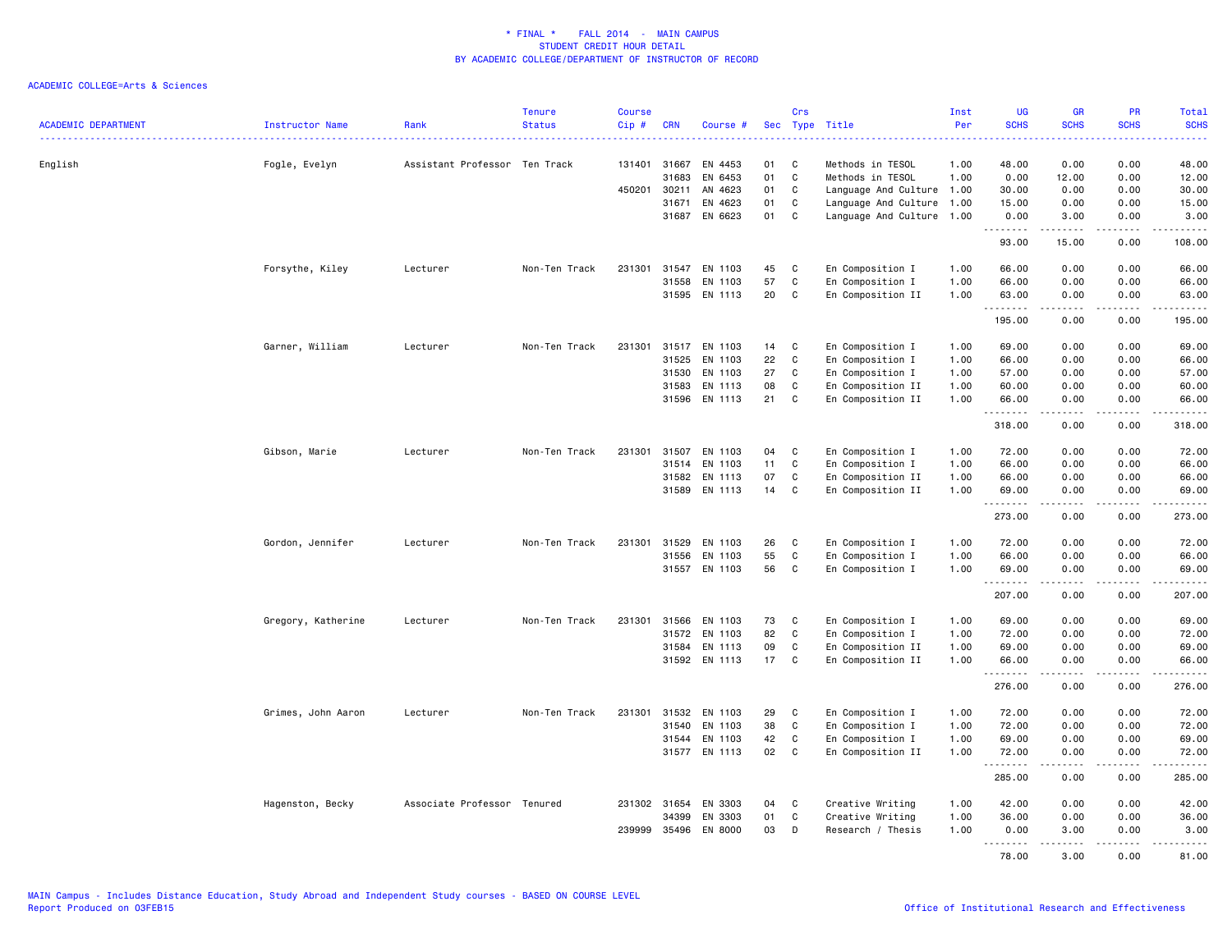| <b>ACADEMIC DEPARTMENT</b> | Instructor Name    | Rank                          | <b>Tenure</b><br><b>Status</b> | <b>Course</b><br>Cip# | <b>CRN</b> | Course #             |    | Crs          | Sec Type Title            | Inst<br>Per | <b>UG</b><br><b>SCHS</b> | <b>GR</b><br><b>SCHS</b> | PR<br><b>SCHS</b> | Total<br><b>SCHS</b>                                                                                                                                          |
|----------------------------|--------------------|-------------------------------|--------------------------------|-----------------------|------------|----------------------|----|--------------|---------------------------|-------------|--------------------------|--------------------------|-------------------|---------------------------------------------------------------------------------------------------------------------------------------------------------------|
| English                    | Fogle, Evelyn      | Assistant Professor Ten Track |                                | 131401                | 31667      | EN 4453              | 01 | C            | Methods in TESOL          | 1.00        | 48.00                    | 0.00                     | 0.00              | وساعات<br>48.00                                                                                                                                               |
|                            |                    |                               |                                |                       | 31683      | EN 6453              | 01 | $\mathbf C$  | Methods in TESOL          | 1.00        | 0.00                     | 12.00                    | 0.00              | 12.00                                                                                                                                                         |
|                            |                    |                               |                                | 450201                | 30211      | AN 4623              | 01 | C            | Language And Culture 1.00 |             | 30.00                    | 0.00                     | 0.00              | 30.00                                                                                                                                                         |
|                            |                    |                               |                                |                       | 31671      | EN 4623              | 01 | $\mathtt{C}$ | Language And Culture 1.00 |             | 15.00                    | 0.00                     | 0.00              | 15.00                                                                                                                                                         |
|                            |                    |                               |                                |                       | 31687      | EN 6623              | 01 | C            | Language And Culture 1.00 |             | 0.00<br>.                | 3.00<br>د د د د د        | 0.00<br>.         | 3.00                                                                                                                                                          |
|                            |                    |                               |                                |                       |            |                      |    |              |                           |             | 93.00                    | 15.00                    | 0.00              | 108.00                                                                                                                                                        |
|                            | Forsythe, Kiley    | Lecturer                      | Non-Ten Track                  | 231301                | 31547      | EN 1103              | 45 | C            | En Composition I          | 1.00        | 66.00                    | 0.00                     | 0.00              | 66.00                                                                                                                                                         |
|                            |                    |                               |                                |                       | 31558      | EN 1103              | 57 | $\mathtt{C}$ | En Composition I          | 1.00        | 66.00                    | 0.00                     | 0.00              | 66.00                                                                                                                                                         |
|                            |                    |                               |                                |                       |            | 31595 EN 1113        | 20 | C            | En Composition II         | 1.00        | 63.00<br>.               | 0.00                     | 0.00              | 63.00<br>$\frac{1}{2} \left( \frac{1}{2} \right) \left( \frac{1}{2} \right) \left( \frac{1}{2} \right) \left( \frac{1}{2} \right) \left( \frac{1}{2} \right)$ |
|                            |                    |                               |                                |                       |            |                      |    |              |                           |             | 195.00                   | 0.00                     | 0.00              | 195.00                                                                                                                                                        |
|                            | Garner, William    | Lecturer                      | Non-Ten Track                  | 231301                |            | 31517 EN 1103        | 14 | C            | En Composition I          | 1.00        | 69.00                    | 0.00                     | 0.00              | 69.00                                                                                                                                                         |
|                            |                    |                               |                                |                       | 31525      | EN 1103              | 22 | $\mathbf C$  | En Composition I          | 1.00        | 66.00                    | 0.00                     | 0.00              | 66.00                                                                                                                                                         |
|                            |                    |                               |                                |                       | 31530      | EN 1103              | 27 | C            | En Composition I          | 1.00        | 57.00                    | 0.00                     | 0.00              | 57.00                                                                                                                                                         |
|                            |                    |                               |                                |                       | 31583      | EN 1113              | 08 | C            | En Composition II         | 1.00        | 60.00                    | 0.00                     | 0.00              | 60.00                                                                                                                                                         |
|                            |                    |                               |                                |                       |            | 31596 EN 1113        | 21 | C            | En Composition II         | 1.00        | 66.00<br>.               | 0.00<br><u>.</u>         | 0.00<br>.         | 66.00<br>.                                                                                                                                                    |
|                            |                    |                               |                                |                       |            |                      |    |              |                           |             | 318.00                   | 0.00                     | 0.00              | 318.00                                                                                                                                                        |
|                            | Gibson, Marie      | Lecturer                      | Non-Ten Track                  | 231301                | 31507      | EN 1103              | 04 | C            | En Composition I          | 1.00        | 72.00                    | 0.00                     | 0.00              | 72.00                                                                                                                                                         |
|                            |                    |                               |                                |                       | 31514      | EN 1103              | 11 | C            | En Composition I          | 1.00        | 66.00                    | 0.00                     | 0.00              | 66.00                                                                                                                                                         |
|                            |                    |                               |                                |                       | 31582      | EN 1113              | 07 | C            | En Composition II         | 1.00        | 66.00                    | 0.00                     | 0.00              | 66.00                                                                                                                                                         |
|                            |                    |                               |                                |                       | 31589      | EN 1113              | 14 | C            | En Composition II         | 1.00        | 69.00<br>.               | 0.00<br><b>.</b>         | 0.00<br>.         | 69.00<br>2.2.2.2.2.2                                                                                                                                          |
|                            |                    |                               |                                |                       |            |                      |    |              |                           |             | 273.00                   | 0.00                     | 0.00              | 273.00                                                                                                                                                        |
|                            | Gordon, Jennifer   | Lecturer                      | Non-Ten Track                  | 231301                | 31529      | EN 1103              | 26 | C            | En Composition I          | 1.00        | 72.00                    | 0.00                     | 0.00              | 72.00                                                                                                                                                         |
|                            |                    |                               |                                |                       | 31556      | EN 1103              | 55 | C            | En Composition I          | 1.00        | 66.00                    | 0.00                     | 0.00              | 66.00                                                                                                                                                         |
|                            |                    |                               |                                |                       |            | 31557 EN 1103        | 56 | C            | En Composition I          | 1.00        | 69.00<br>.               | 0.00<br>.                | 0.00              | 69.00<br><u>.</u>                                                                                                                                             |
|                            |                    |                               |                                |                       |            |                      |    |              |                           |             | 207.00                   | 0.00                     | 0.00              | 207.00                                                                                                                                                        |
|                            | Gregory, Katherine | Lecturer                      | Non-Ten Track                  | 231301                | 31566      | EN 1103              | 73 | C            | En Composition I          | 1.00        | 69.00                    | 0.00                     | 0.00              | 69.00                                                                                                                                                         |
|                            |                    |                               |                                |                       | 31572      | EN 1103              | 82 | C            | En Composition I          | 1.00        | 72.00                    | 0.00                     | 0.00              | 72.00                                                                                                                                                         |
|                            |                    |                               |                                |                       | 31584      | EN 1113              | 09 | C            | En Composition II         | 1.00        | 69.00                    | 0.00                     | 0.00              | 69.00                                                                                                                                                         |
|                            |                    |                               |                                |                       |            | 31592 EN 1113        | 17 | C            | En Composition II         | 1.00        | 66.00<br><u>.</u>        | 0.00<br>-----            | 0.00              | 66.00<br>.                                                                                                                                                    |
|                            |                    |                               |                                |                       |            |                      |    |              |                           |             | 276.00                   | 0.00                     | 0.00              | 276.00                                                                                                                                                        |
|                            | Grimes, John Aaron | Lecturer                      | Non-Ten Track                  | 231301                | 31532      | EN 1103              | 29 | C            | En Composition I          | 1.00        | 72.00                    | 0.00                     | 0.00              | 72.00                                                                                                                                                         |
|                            |                    |                               |                                |                       | 31540      | EN 1103              | 38 | C            | En Composition I          | 1.00        | 72.00                    | 0.00                     | 0.00              | 72.00                                                                                                                                                         |
|                            |                    |                               |                                |                       | 31544      | EN 1103              | 42 | $\mathbf C$  | En Composition I          | 1.00        | 69.00                    | 0.00                     | 0.00              | 69.00                                                                                                                                                         |
|                            |                    |                               |                                |                       | 31577      | EN 1113              | 02 | C            | En Composition II         | 1.00        | 72.00<br>.               | 0.00                     | 0.00              | 72.00<br>.                                                                                                                                                    |
|                            |                    |                               |                                |                       |            |                      |    |              |                           |             | 285.00                   | 0.00                     | 0.00              | 285.00                                                                                                                                                        |
|                            | Hagenston, Becky   | Associate Professor Tenured   |                                |                       |            | 231302 31654 EN 3303 | 04 | C            | Creative Writing          | 1.00        | 42.00                    | 0.00                     | 0.00              | 42.00                                                                                                                                                         |
|                            |                    |                               |                                |                       | 34399      | EN 3303              | 01 | C            | Creative Writing          | 1.00        | 36.00                    | 0.00                     | 0.00              | 36.00                                                                                                                                                         |
|                            |                    |                               |                                | 239999                | 35496      | EN 8000              | 03 | D            | Research / Thesis         | 1.00        | 0.00                     | 3.00                     | 0.00              | 3.00                                                                                                                                                          |
|                            |                    |                               |                                |                       |            |                      |    |              |                           |             | .<br>78.00               | . <b>.</b><br>3.00       | .<br>0.00         | .<br>81.00                                                                                                                                                    |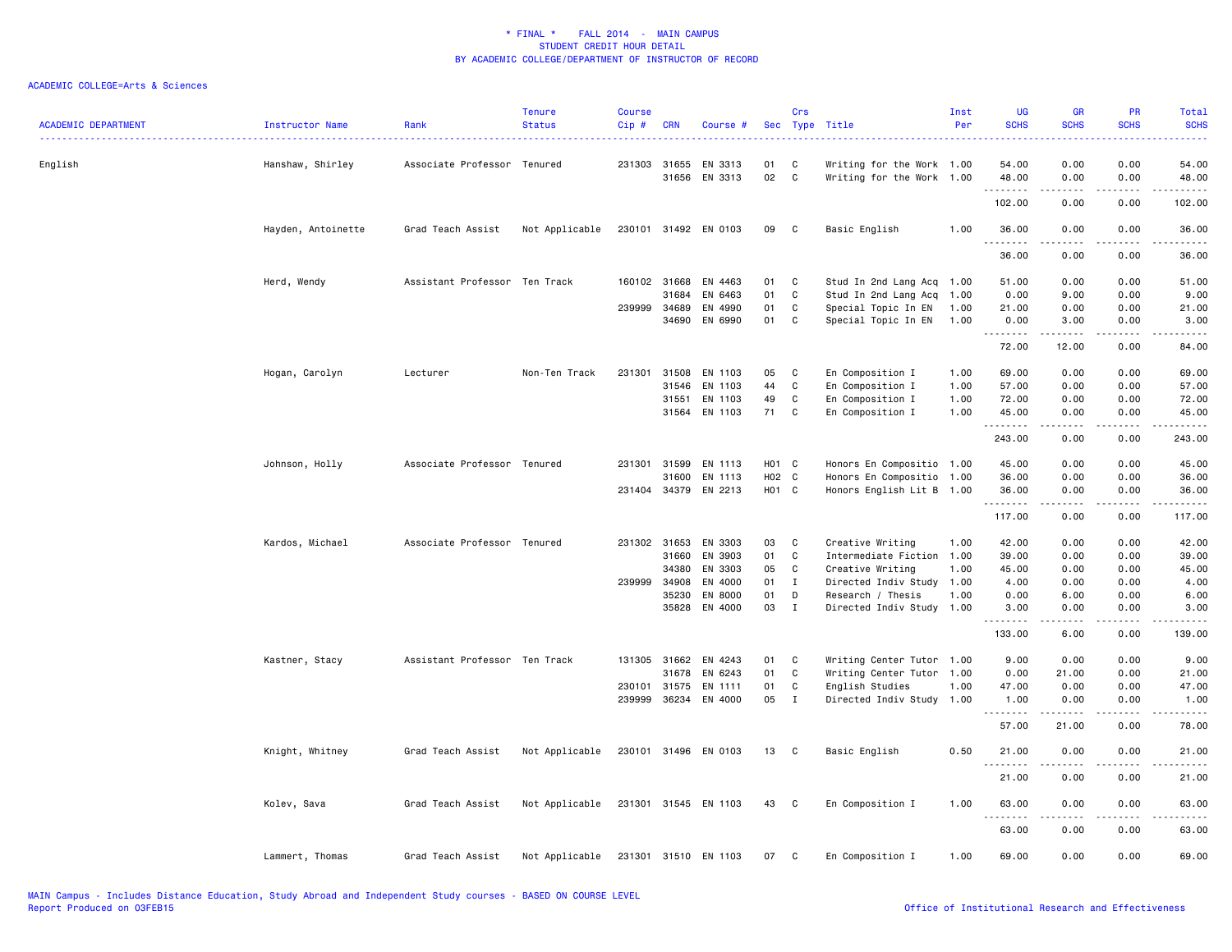| <b>ACADEMIC DEPARTMENT</b> | Instructor Name    | Rank                          | <b>Tenure</b><br><b>Status</b> | <b>Course</b><br>Cip# | <b>CRN</b>   | Course #             |       | Crs          | Sec Type Title            | Inst<br>Per | <b>UG</b><br><b>SCHS</b> | <b>GR</b><br><b>SCHS</b>                                                                                                                                                                | PR<br><b>SCHS</b>                           | Total<br><b>SCHS</b><br>2222. |
|----------------------------|--------------------|-------------------------------|--------------------------------|-----------------------|--------------|----------------------|-------|--------------|---------------------------|-------------|--------------------------|-----------------------------------------------------------------------------------------------------------------------------------------------------------------------------------------|---------------------------------------------|-------------------------------|
| English                    | Hanshaw, Shirley   | Associate Professor Tenured   |                                |                       | 231303 31655 | EN 3313              | 01    | C            | Writing for the Work 1.00 |             | 54.00                    | 0.00                                                                                                                                                                                    | 0.00                                        | 54.00                         |
|                            |                    |                               |                                |                       | 31656        | EN 3313              | 02    | C            | Writing for the Work 1.00 |             | 48.00<br>.               | 0.00<br>.                                                                                                                                                                               | 0.00<br>.                                   | 48.00<br>.                    |
|                            |                    |                               |                                |                       |              |                      |       |              |                           |             | 102.00                   | 0.00                                                                                                                                                                                    | 0.00                                        | 102.00                        |
|                            | Hayden, Antoinette | Grad Teach Assist             | Not Applicable                 |                       |              | 230101 31492 EN 0103 | 09    | C            | Basic English             | 1.00        | 36.00<br>. <b>.</b>      | 0.00<br>$\frac{1}{2} \left( \frac{1}{2} \right) \left( \frac{1}{2} \right) \left( \frac{1}{2} \right) \left( \frac{1}{2} \right) \left( \frac{1}{2} \right) \left( \frac{1}{2} \right)$ | 0.00<br>.                                   | 36.00<br>.                    |
|                            |                    |                               |                                |                       |              |                      |       |              |                           |             | 36.00                    | 0.00                                                                                                                                                                                    | 0.00                                        | 36.00                         |
|                            | Herd, Wendy        | Assistant Professor Ten Track |                                |                       | 160102 31668 | EN 4463              | 01    | C            | Stud In 2nd Lang Acq 1.00 |             | 51.00                    | 0.00                                                                                                                                                                                    | 0.00                                        | 51.00                         |
|                            |                    |                               |                                |                       | 31684        | EN 6463              | 01    | $\mathtt{C}$ | Stud In 2nd Lang Acq      | 1.00        | 0.00                     | 9.00                                                                                                                                                                                    | 0.00                                        | 9.00                          |
|                            |                    |                               |                                | 239999                | 34689        | EN 4990              | 01    | C            | Special Topic In EN       | 1.00        | 21.00                    | 0.00                                                                                                                                                                                    | 0.00                                        | 21.00                         |
|                            |                    |                               |                                |                       | 34690        | EN 6990              | 01    | C            | Special Topic In EN       | 1.00        | 0.00                     | 3.00                                                                                                                                                                                    | 0.00                                        | 3.00                          |
|                            |                    |                               |                                |                       |              |                      |       |              |                           |             | .<br>72.00               | $\frac{1}{2} \left( \frac{1}{2} \right) \left( \frac{1}{2} \right) \left( \frac{1}{2} \right) \left( \frac{1}{2} \right) \left( \frac{1}{2} \right)$<br>12.00                           | $\sim$ $\sim$ $\sim$<br>0.00                | والمستحدث<br>84.00            |
|                            | Hogan, Carolyn     | Lecturer                      | Non-Ten Track                  | 231301                | 31508        | EN 1103              | 05    | C            | En Composition I          | 1.00        | 69.00                    | 0.00                                                                                                                                                                                    | 0.00                                        | 69.00                         |
|                            |                    |                               |                                |                       | 31546        | EN 1103              | 44    | $\mathtt{C}$ | En Composition I          | 1.00        | 57.00                    | 0.00                                                                                                                                                                                    | 0.00                                        | 57.00                         |
|                            |                    |                               |                                |                       | 31551        | EN 1103              | 49    | C            | En Composition I          | 1.00        | 72.00                    | 0.00                                                                                                                                                                                    | 0.00                                        | 72.00                         |
|                            |                    |                               |                                |                       | 31564        | EN 1103              | 71    | C            | En Composition I          | 1.00        | 45.00                    | 0.00                                                                                                                                                                                    | 0.00                                        | 45.00                         |
|                            |                    |                               |                                |                       |              |                      |       |              |                           |             | .<br>243.00              | .<br>0.00                                                                                                                                                                               | $\sim$ $\sim$ $\sim$<br>0.00                | .<br>243.00                   |
|                            | Johnson, Holly     | Associate Professor Tenured   |                                |                       | 231301 31599 | EN 1113              | H01 C |              | Honors En Compositio 1.00 |             | 45.00                    | 0.00                                                                                                                                                                                    | 0.00                                        | 45.00                         |
|                            |                    |                               |                                |                       | 31600        | EN 1113              | H02 C |              | Honors En Compositio 1.00 |             | 36.00                    | 0.00                                                                                                                                                                                    | 0.00                                        | 36.00                         |
|                            |                    |                               |                                |                       | 231404 34379 | EN 2213              | H01 C |              | Honors English Lit B 1.00 |             | 36.00                    | 0.00                                                                                                                                                                                    | 0.00                                        | 36.00                         |
|                            |                    |                               |                                |                       |              |                      |       |              |                           |             | .<br>117.00              | 0.00                                                                                                                                                                                    | 0.00                                        | .<br>117.00                   |
|                            | Kardos, Michael    | Associate Professor Tenured   |                                |                       | 231302 31653 | EN 3303              | 03    | C            | Creative Writing          | 1.00        | 42.00                    | 0.00                                                                                                                                                                                    | 0.00                                        | 42.00                         |
|                            |                    |                               |                                |                       | 31660        | EN 3903              | 01    | C            | Intermediate Fiction 1.00 |             | 39.00                    | 0.00                                                                                                                                                                                    | 0.00                                        | 39.00                         |
|                            |                    |                               |                                |                       | 34380        | EN 3303              | 05    | C            | Creative Writing          | 1.00        | 45.00                    | 0.00                                                                                                                                                                                    | 0.00                                        | 45.00                         |
|                            |                    |                               |                                | 239999                | 34908        | EN 4000              | 01    | $\mathbf{I}$ | Directed Indiv Study 1.00 |             | 4.00                     | 0.00                                                                                                                                                                                    | 0.00                                        | 4.00                          |
|                            |                    |                               |                                |                       | 35230        | EN 8000              | 01    | D            | Research / Thesis         | 1.00        | 0.00                     | 6.00                                                                                                                                                                                    | 0.00                                        | 6.00                          |
|                            |                    |                               |                                |                       | 35828        | EN 4000              | 03    | $\;$ I       | Directed Indiv Study 1.00 |             | 3.00<br>.                | 0.00<br>المستمال                                                                                                                                                                        | 0.00<br>.                                   | 3.00<br>.                     |
|                            |                    |                               |                                |                       |              |                      |       |              |                           |             | 133.00                   | 6.00                                                                                                                                                                                    | 0.00                                        | 139.00                        |
|                            | Kastner, Stacy     | Assistant Professor Ten Track |                                | 131305                | 31662        | EN 4243              | 01    | C            | Writing Center Tutor 1.00 |             | 9.00                     | 0.00                                                                                                                                                                                    | 0.00                                        | 9.00                          |
|                            |                    |                               |                                |                       | 31678        | EN 6243              | 01    | C            | Writing Center Tutor 1.00 |             | 0.00                     | 21.00                                                                                                                                                                                   | 0.00                                        | 21.00                         |
|                            |                    |                               |                                |                       | 230101 31575 | EN 1111              | 01    | C            | English Studies           | 1.00        | 47.00                    | 0.00                                                                                                                                                                                    | 0.00                                        | 47.00                         |
|                            |                    |                               |                                | 239999                | 36234        | EN 4000              | 05    | $\mathbf{I}$ | Directed Indiv Study 1.00 |             | 1.00<br>.                | 0.00<br>. <u>.</u>                                                                                                                                                                      | 0.00<br>.                                   | 1.00<br>.                     |
|                            |                    |                               |                                |                       |              |                      |       |              |                           |             | 57.00                    | 21.00                                                                                                                                                                                   | 0.00                                        | 78.00                         |
|                            | Knight, Whitney    | Grad Teach Assist             | Not Applicable                 |                       | 230101 31496 | EN 0103              | 13    | C            | Basic English             | 0.50        | 21.00<br>.               | 0.00<br>.                                                                                                                                                                               | 0.00<br>$\omega$ $\omega$ $\omega$ $\omega$ | 21.00<br>$    -$              |
|                            |                    |                               |                                |                       |              |                      |       |              |                           |             | 21.00                    | 0.00                                                                                                                                                                                    | 0.00                                        | 21.00                         |
|                            | Kolev, Sava        | Grad Teach Assist             | Not Applicable                 |                       |              | 231301 31545 EN 1103 | 43 C  |              | En Composition I          | 1.00        | 63.00<br>.               | 0.00<br>.                                                                                                                                                                               | 0.00<br>.                                   | 63.00<br>.                    |
|                            |                    |                               |                                |                       |              |                      |       |              |                           |             | 63.00                    | 0.00                                                                                                                                                                                    | 0.00                                        | 63.00                         |
|                            | Lammert, Thomas    | Grad Teach Assist             | Not Applicable                 |                       |              | 231301 31510 EN 1103 | 07    | C            | En Composition I          | 1.00        | 69.00                    | 0.00                                                                                                                                                                                    | 0.00                                        | 69.00                         |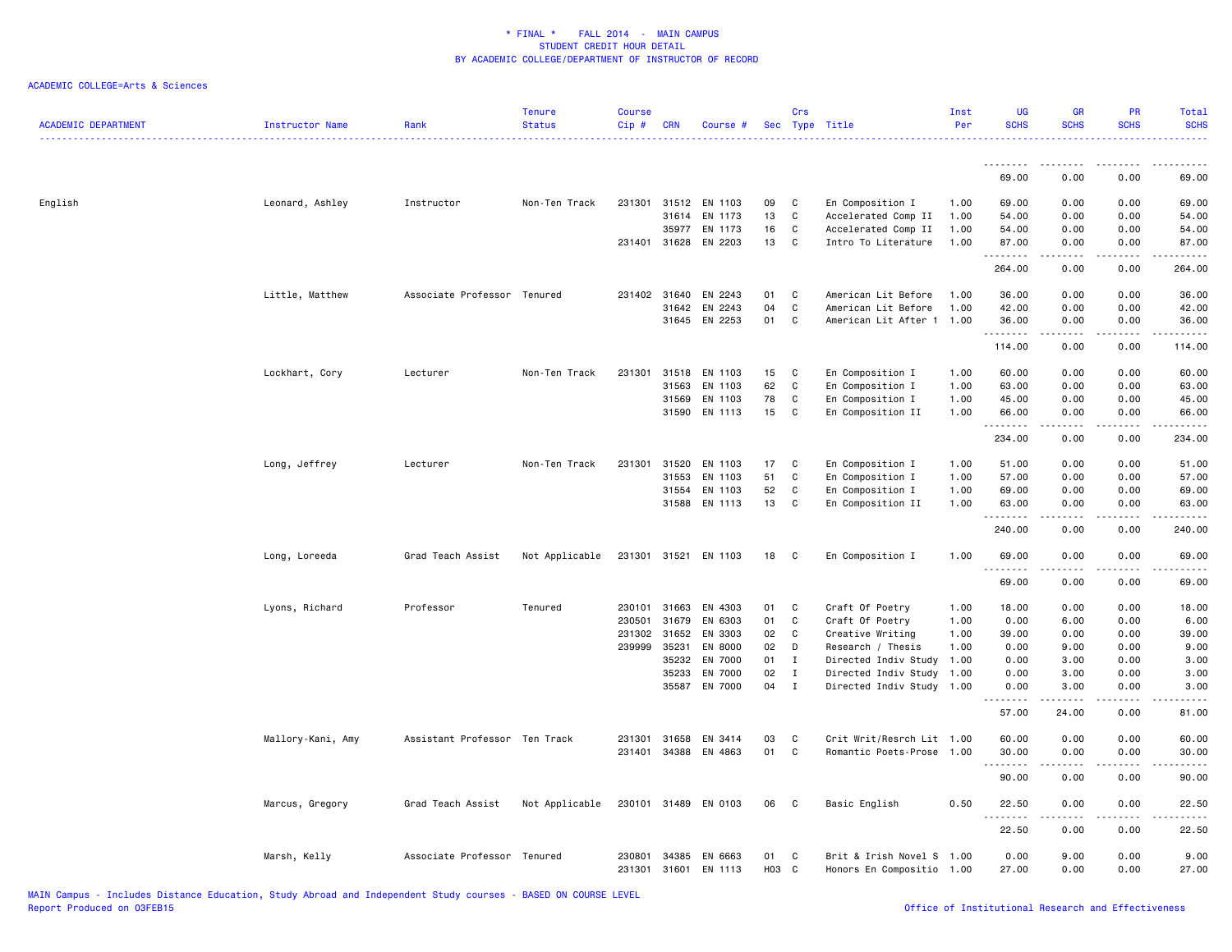| <b>ACADEMIC DEPARTMENT</b> | <b>Instructor Name</b> | Rank                          | <b>Tenure</b><br><b>Status</b> | <b>Course</b><br>Cip# | <b>CRN</b>   | Course #             |      | Crs          | Sec Type Title            | Inst<br>Per | <b>UG</b><br><b>SCHS</b> | <b>GR</b><br><b>SCHS</b> | PR<br><b>SCHS</b> | Total<br><b>SCHS</b>                |
|----------------------------|------------------------|-------------------------------|--------------------------------|-----------------------|--------------|----------------------|------|--------------|---------------------------|-------------|--------------------------|--------------------------|-------------------|-------------------------------------|
|                            |                        |                               |                                |                       |              |                      |      |              |                           |             | .                        | .                        | .                 | .                                   |
|                            |                        |                               |                                |                       |              |                      |      |              |                           |             | 69.00                    | 0.00                     | 0.00              | 69.00                               |
| English                    | Leonard, Ashley        | Instructor                    | Non-Ten Track                  | 231301                | 31512        | EN 1103              | 09   | C            | En Composition I          | 1.00        | 69.00                    | 0.00                     | 0.00              | 69.00                               |
|                            |                        |                               |                                |                       | 31614        | EN 1173              | 13   | C            | Accelerated Comp II       | 1.00        | 54.00                    | 0.00                     | 0.00              | 54.00                               |
|                            |                        |                               |                                |                       | 35977        | EN 1173              | 16   | C            | Accelerated Comp II       | 1.00        | 54.00                    | 0.00                     | 0.00              | 54.00                               |
|                            |                        |                               |                                |                       | 231401 31628 | EN 2203              | 13   | C            | Intro To Literature       | 1.00        | 87.00<br>.               | 0.00<br>المتمالين        | 0.00<br>.         | 87.00<br>.                          |
|                            |                        |                               |                                |                       |              |                      |      |              |                           |             | 264.00                   | 0.00                     | 0.00              | 264.00                              |
|                            | Little, Matthew        | Associate Professor Tenured   |                                |                       | 231402 31640 | EN 2243              | 01   | C            | American Lit Before       | 1.00        | 36.00                    | 0.00                     | 0.00              | 36.00                               |
|                            |                        |                               |                                |                       | 31642        | EN 2243              | 04   | C            | American Lit Before       | 1.00        | 42.00                    | 0.00                     | 0.00              | 42.00                               |
|                            |                        |                               |                                |                       |              | 31645 EN 2253        | 01   | C            | American Lit After 1 1.00 |             | 36.00<br>.               | 0.00<br>.                | 0.00<br>.         | 36.00<br>.                          |
|                            |                        |                               |                                |                       |              |                      |      |              |                           |             | 114.00                   | 0.00                     | 0.00              | 114.00                              |
|                            | Lockhart, Cory         | Lecturer                      | Non-Ten Track                  |                       | 231301 31518 | EN 1103              | 15   | C            | En Composition I          | 1.00        | 60.00                    | 0.00                     | 0.00              | 60.00                               |
|                            |                        |                               |                                |                       | 31563        | EN 1103              | 62   | C            | En Composition I          | 1.00        | 63.00                    | 0.00                     | 0.00              | 63.00                               |
|                            |                        |                               |                                |                       | 31569        | EN 1103              | 78   | C            | En Composition I          | 1.00        | 45.00                    | 0.00                     | 0.00              | 45.00                               |
|                            |                        |                               |                                |                       | 31590        | EN 1113              | 15   | C            | En Composition II         | 1.00        | 66.00                    | 0.00                     | 0.00              | 66.00                               |
|                            |                        |                               |                                |                       |              |                      |      |              |                           |             | 234.00                   | 0.00                     | 0.00              | 234.00                              |
|                            | Long, Jeffrey          | Lecturer                      | Non-Ten Track                  | 231301                | 31520        | EN 1103              | 17   | C            | En Composition I          | 1.00        | 51.00                    | 0.00                     | 0.00              | 51.00                               |
|                            |                        |                               |                                |                       | 31553        | EN 1103              | 51   | C            | En Composition I          | 1.00        | 57.00                    | 0.00                     | 0.00              | 57.00                               |
|                            |                        |                               |                                |                       | 31554        | EN 1103              | 52   | C            | En Composition I          | 1.00        | 69.00                    | 0.00                     | 0.00              | 69.00                               |
|                            |                        |                               |                                |                       |              | 31588 EN 1113        | 13   | C            | En Composition II         | 1.00        | 63.00                    | 0.00                     | 0.00              | 63.00                               |
|                            |                        |                               |                                |                       |              |                      |      |              |                           |             | 240.00                   | 0.00                     | 0.00              | 240.00                              |
|                            | Long, Loreeda          | Grad Teach Assist             | Not Applicable                 |                       |              | 231301 31521 EN 1103 | 18   | $\mathbf{C}$ | En Composition I          | 1.00        | 69.00                    | 0.00                     | 0.00              | 69.00                               |
|                            |                        |                               |                                |                       |              |                      |      |              |                           |             | .<br>69.00               | 0.00                     | 0.00              | 69.00                               |
|                            | Lyons, Richard         | Professor                     | Tenured                        |                       | 230101 31663 | EN 4303              | 01   | C            | Craft Of Poetry           | 1.00        | 18.00                    | 0.00                     | 0.00              | 18.00                               |
|                            |                        |                               |                                | 230501                | 31679        | EN 6303              | 01   | C            | Craft Of Poetry           | 1.00        | 0.00                     | 6.00                     | 0.00              | 6.00                                |
|                            |                        |                               |                                | 231302                | 31652        | EN 3303              | 02   | C            | Creative Writing          | 1.00        | 39.00                    | 0.00                     | 0.00              | 39.00                               |
|                            |                        |                               |                                | 239999                | 35231        | EN 8000              | 02   | D            | Research / Thesis         | 1.00        | 0.00                     | 9.00                     | 0.00              | 9.00                                |
|                            |                        |                               |                                |                       | 35232        | EN 7000              | 01   | $\mathbf I$  | Directed Indiv Study      | 1.00        | 0.00                     | 3.00                     | 0.00              | 3.00                                |
|                            |                        |                               |                                |                       | 35233        | EN 7000              | 02   | $\mathbf{I}$ | Directed Indiv Study      | 1.00        | 0.00                     | 3.00                     | 0.00              | 3.00                                |
|                            |                        |                               |                                |                       |              | 35587 EN 7000        | 04   | $\mathbf I$  | Directed Indiv Study 1.00 |             | 0.00<br>.                | 3.00<br>المتمام المتعاد  | 0.00<br>.         | 3.00<br>$\sim$ $\sim$ $\sim$ $\sim$ |
|                            |                        |                               |                                |                       |              |                      |      |              |                           |             | 57.00                    | 24.00                    | 0.00              | 81.00                               |
|                            | Mallory-Kani, Amy      | Assistant Professor Ten Track |                                |                       | 231301 31658 | EN 3414              | 03   | C            | Crit Writ/Resrch Lit 1.00 |             | 60.00                    | 0.00                     | 0.00              | 60.00                               |
|                            |                        |                               |                                |                       | 231401 34388 | EN 4863              | 01   | C            | Romantic Poets-Prose 1.00 |             | 30.00<br><b></b>         | 0.00                     | 0.00              | 30.00                               |
|                            |                        |                               |                                |                       |              |                      |      |              |                           |             | 90.00                    | 0.00                     | 0.00              | 90.00                               |
|                            | Marcus, Gregory        | Grad Teach Assist             | Not Applicable                 |                       |              | 230101 31489 EN 0103 | 06 C |              | Basic English             | 0.50        | 22.50<br><b></b>         | 0.00                     | 0.00              | 22.50                               |
|                            |                        |                               |                                |                       |              |                      |      |              |                           |             | 22.50                    | 0.00                     | 0.00              | 22.50                               |
|                            | Marsh, Kelly           | Associate Professor Tenured   |                                |                       |              | 230801 34385 EN 6663 | 01   | C            | Brit & Irish Novel S 1.00 |             | 0.00                     | 9.00                     | 0.00              | 9.00                                |
|                            |                        |                               |                                | 231301                | 31601        | EN 1113              | ноз  | C            | Honors En Compositio 1.00 |             | 27.00                    | 0.00                     | 0.00              | 27.00                               |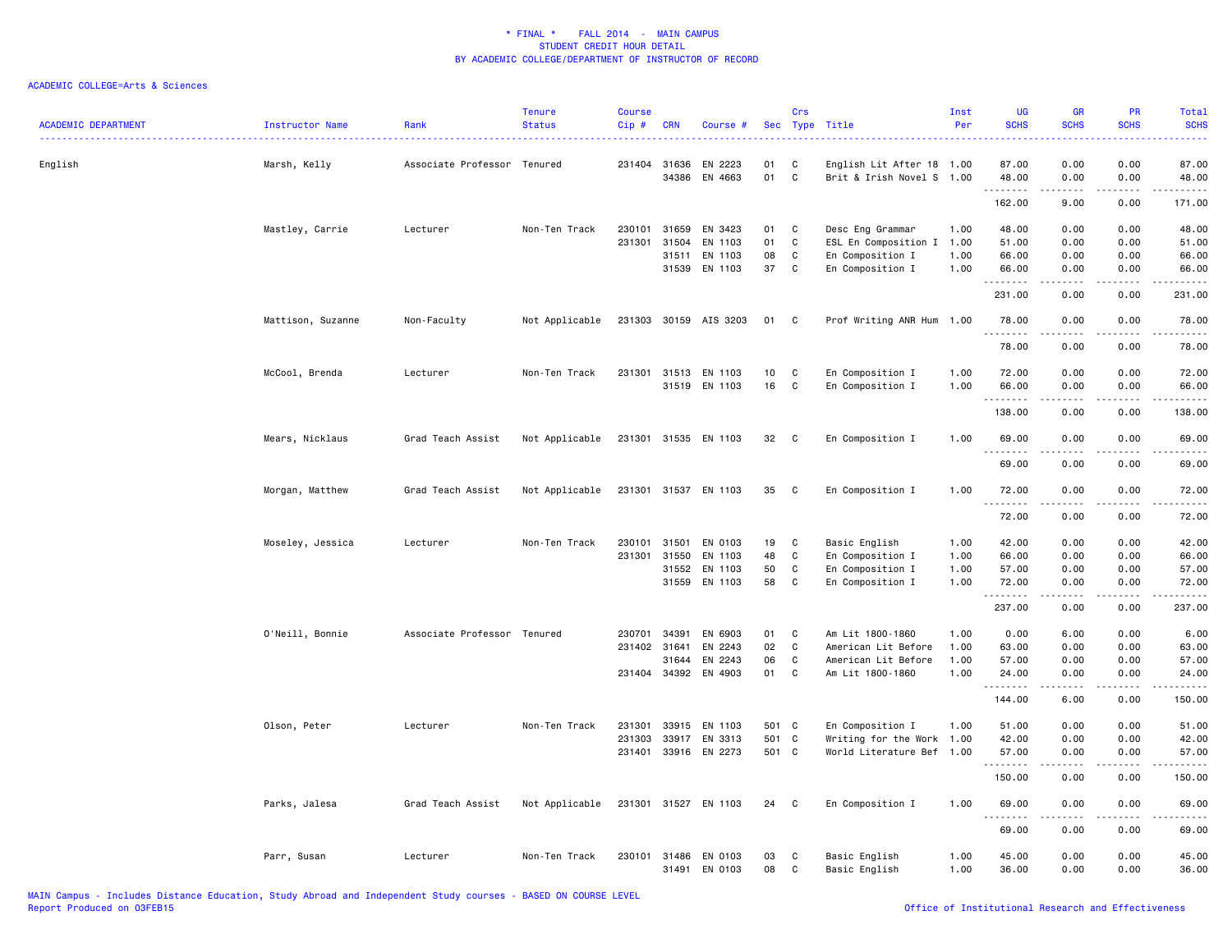|                            |                   |                             | Tenure         | Course  |              |                       |            | Crs          |                           | Inst | UG            | <b>GR</b>                                                                                                               | PR          | Total                                                                                                                                                         |
|----------------------------|-------------------|-----------------------------|----------------|---------|--------------|-----------------------|------------|--------------|---------------------------|------|---------------|-------------------------------------------------------------------------------------------------------------------------|-------------|---------------------------------------------------------------------------------------------------------------------------------------------------------------|
| <b>ACADEMIC DEPARTMENT</b> | Instructor Name   | Rank                        | <b>Status</b>  | $Cip$ # | <b>CRN</b>   | Course #              | <b>Sec</b> |              | Type Title                | Per  | <b>SCHS</b>   | <b>SCHS</b>                                                                                                             | <b>SCHS</b> | <b>SCHS</b><br>$\frac{1}{2} \left( \frac{1}{2} \right) \left( \frac{1}{2} \right) \left( \frac{1}{2} \right) \left( \frac{1}{2} \right)$                      |
| English                    | Marsh, Kelly      | Associate Professor Tenured |                |         | 231404 31636 | EN 2223               | 01         | C            | English Lit After 18 1.00 |      | 87.00         | 0.00                                                                                                                    | 0.00        | 87.00                                                                                                                                                         |
|                            |                   |                             |                |         | 34386        | EN 4663               | 01         | $\mathtt{C}$ | Brit & Irish Novel S 1.00 |      | 48.00<br>.    | 0.00                                                                                                                    | 0.00        | 48.00<br>.                                                                                                                                                    |
|                            |                   |                             |                |         |              |                       |            |              |                           |      | 162.00        | 9.00                                                                                                                    | 0.00        | 171.00                                                                                                                                                        |
|                            | Mastley, Carrie   | Lecturer                    | Non-Ten Track  | 230101  | 31659        | EN 3423               | 01         | C            | Desc Eng Grammar          | 1.00 | 48.00         | 0.00                                                                                                                    | 0.00        | 48.00                                                                                                                                                         |
|                            |                   |                             |                | 231301  | 31504        | EN 1103               | 01         | C            | ESL En Composition I 1.00 |      | 51.00         | 0.00                                                                                                                    | 0.00        | 51.00                                                                                                                                                         |
|                            |                   |                             |                |         | 31511        | EN 1103               | 08         | C            | En Composition I          | 1.00 | 66.00         | 0.00                                                                                                                    | 0.00        | 66.00                                                                                                                                                         |
|                            |                   |                             |                |         | 31539        | EN 1103               | 37         | C            | En Composition I          | 1.00 | 66.00<br>.    | 0.00                                                                                                                    | 0.00        | 66.00<br>.                                                                                                                                                    |
|                            |                   |                             |                |         |              |                       |            |              |                           |      | 231.00        | 0.00                                                                                                                    | 0.00        | 231.00                                                                                                                                                        |
|                            | Mattison, Suzanne | Non-Faculty                 | Not Applicable |         |              | 231303 30159 AIS 3203 | 01         | $\mathbf{C}$ | Prof Writing ANR Hum 1.00 |      | 78.00         | 0.00                                                                                                                    | 0.00        | 78.00                                                                                                                                                         |
|                            |                   |                             |                |         |              |                       |            |              |                           |      | .<br>78.00    | $\frac{1}{2}$<br>0.00                                                                                                   | .<br>0.00   | .<br>78.00                                                                                                                                                    |
|                            | McCool, Brenda    | Lecturer                    | Non-Ten Track  | 231301  | 31513        | EN 1103               | 10         | C            | En Composition I          | 1.00 | 72.00         | 0.00                                                                                                                    | 0.00        | 72.00                                                                                                                                                         |
|                            |                   |                             |                |         |              | 31519 EN 1103         | 16         | C            | En Composition I          | 1.00 | 66.00         | 0.00                                                                                                                    | 0.00        | 66.00                                                                                                                                                         |
|                            |                   |                             |                |         |              |                       |            |              |                           |      | .<br>138.00   | -----<br>0.00                                                                                                           | .<br>0.00   | .<br>138.00                                                                                                                                                   |
|                            | Mears, Nicklaus   | Grad Teach Assist           | Not Applicable |         |              | 231301 31535 EN 1103  | 32         | $\mathbf{C}$ | En Composition I          | 1.00 | 69.00         | 0.00                                                                                                                    | 0.00        | 69.00                                                                                                                                                         |
|                            |                   |                             |                |         |              |                       |            |              |                           |      | .             | $- - - - -$                                                                                                             | .           | .                                                                                                                                                             |
|                            |                   |                             |                |         |              |                       |            |              |                           |      | 69.00         | 0.00                                                                                                                    | 0.00        | 69.00                                                                                                                                                         |
|                            | Morgan, Matthew   | Grad Teach Assist           | Not Applicable |         |              | 231301 31537 EN 1103  | 35         | $\mathbf C$  | En Composition I          | 1.00 | 72.00<br>.    | 0.00<br><b>.</b>                                                                                                        | 0.00<br>.   | 72.00<br>.                                                                                                                                                    |
|                            |                   |                             |                |         |              |                       |            |              |                           |      | 72.00         | 0.00                                                                                                                    | 0.00        | 72.00                                                                                                                                                         |
|                            | Moseley, Jessica  | Lecturer                    | Non-Ten Track  | 230101  | 31501        | EN 0103               | 19         | C            | Basic English             | 1.00 | 42.00         | 0.00                                                                                                                    | 0.00        | 42.00                                                                                                                                                         |
|                            |                   |                             |                | 231301  | 31550        | EN 1103               | 48         | C            | En Composition I          | 1.00 | 66.00         | 0.00                                                                                                                    | 0.00        | 66.00                                                                                                                                                         |
|                            |                   |                             |                |         | 31552        | EN 1103               | 50         | C            | En Composition I          | 1.00 | 57.00         | 0.00                                                                                                                    | 0.00        | 57.00                                                                                                                                                         |
|                            |                   |                             |                |         |              | 31559 EN 1103         | 58         | C            | En Composition I          | 1.00 | 72.00<br>.    | 0.00<br>.                                                                                                               | 0.00<br>.   | 72.00<br>.                                                                                                                                                    |
|                            |                   |                             |                |         |              |                       |            |              |                           |      | 237.00        | 0.00                                                                                                                    | 0.00        | 237.00                                                                                                                                                        |
|                            | O'Neill, Bonnie   | Associate Professor Tenured |                | 230701  | 34391        | EN 6903               | 01         | C            | Am Lit 1800-1860          | 1.00 | 0.00          | 6.00                                                                                                                    | 0.00        | 6.00                                                                                                                                                          |
|                            |                   |                             |                | 231402  | 31641        | EN 2243               | 02         | C            | American Lit Before       | 1.00 | 63.00         | 0.00                                                                                                                    | 0.00        | 63.00                                                                                                                                                         |
|                            |                   |                             |                |         | 31644        | EN 2243               | 06         | C            | American Lit Before       | 1.00 | 57.00         | 0.00                                                                                                                    | 0.00        | 57.00                                                                                                                                                         |
|                            |                   |                             |                |         |              | 231404 34392 EN 4903  | 01         | C            | Am Lit 1800-1860          | 1.00 | 24.00<br>.    | 0.00                                                                                                                    | 0.00        | 24.00<br>$\frac{1}{2} \left( \frac{1}{2} \right) \left( \frac{1}{2} \right) \left( \frac{1}{2} \right) \left( \frac{1}{2} \right) \left( \frac{1}{2} \right)$ |
|                            |                   |                             |                |         |              |                       |            |              |                           |      | 144.00        | 6.00                                                                                                                    | 0.00        | 150.00                                                                                                                                                        |
|                            | Olson, Peter      | Lecturer                    | Non-Ten Track  | 231301  | 33915        | EN 1103               | 501 C      |              | En Composition I          | 1.00 | 51.00         | 0.00                                                                                                                    | 0.00        | 51.00                                                                                                                                                         |
|                            |                   |                             |                | 231303  | 33917        | EN 3313               | 501        | C            | Writing for the Work 1.00 |      | 42.00         | 0.00                                                                                                                    | 0.00        | 42.00                                                                                                                                                         |
|                            |                   |                             |                |         |              | 231401 33916 EN 2273  | 501 C      |              | World Literature Bef 1.00 |      | 57.00<br>.    | 0.00<br>$\begin{array}{cccccccccccccc} \bullet & \bullet & \bullet & \bullet & \bullet & \bullet & \bullet \end{array}$ | 0.00<br>.   | 57.00<br>.                                                                                                                                                    |
|                            |                   |                             |                |         |              |                       |            |              |                           |      | 150.00        | 0.00                                                                                                                    | 0.00        | 150.00                                                                                                                                                        |
|                            | Parks, Jalesa     | Grad Teach Assist           | Not Applicable |         | 231301 31527 | EN 1103               | 24         | C            | En Composition I          | 1.00 | 69.00<br>---- | 0.00                                                                                                                    | 0.00        | 69.00                                                                                                                                                         |
|                            |                   |                             |                |         |              |                       |            |              |                           |      | 69.00         | 0.00                                                                                                                    | 0.00        | 69.00                                                                                                                                                         |
|                            | Parr, Susan       | Lecturer                    | Non-Ten Track  |         |              | 230101 31486 EN 0103  | 03         | C            | Basic English             | 1.00 | 45.00         | 0.00                                                                                                                    | 0.00        | 45.00                                                                                                                                                         |
|                            |                   |                             |                |         | 31491        | EN 0103               | 08         | C            | Basic English             | 1.00 | 36.00         | 0.00                                                                                                                    | 0.00        | 36.00                                                                                                                                                         |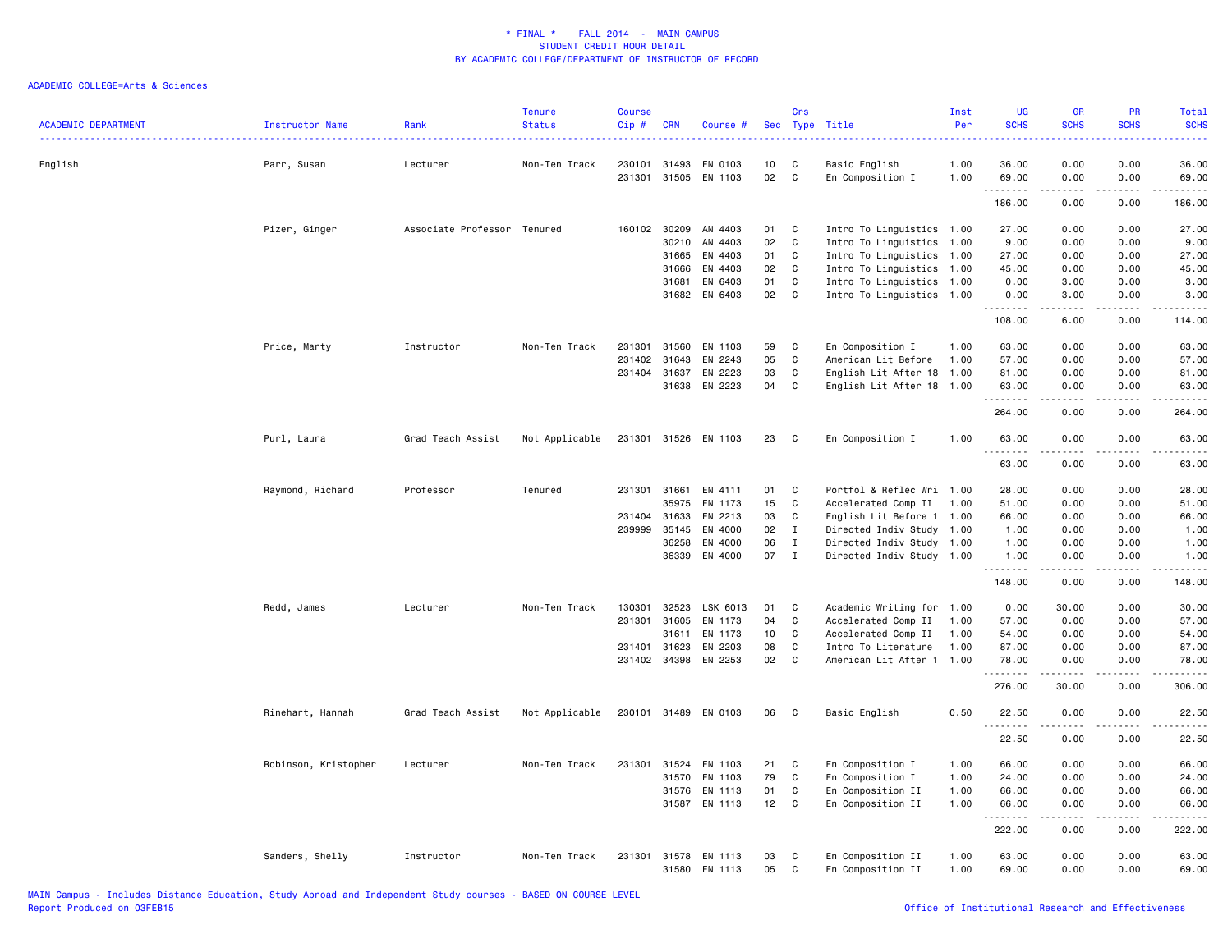| <b>ACADEMIC DEPARTMENT</b> | Instructor Name      | Rank                        | <b>Tenure</b><br><b>Status</b> | <b>Course</b><br>Cip# | <b>CRN</b>   | Course #             |    | Crs          | Sec Type Title            | Inst<br>Per | <b>UG</b><br><b>SCHS</b>          | <b>GR</b><br><b>SCHS</b>                                                                                                                                     | <b>PR</b><br><b>SCHS</b> | Total<br><b>SCHS</b>                                                                                                                                                                      |
|----------------------------|----------------------|-----------------------------|--------------------------------|-----------------------|--------------|----------------------|----|--------------|---------------------------|-------------|-----------------------------------|--------------------------------------------------------------------------------------------------------------------------------------------------------------|--------------------------|-------------------------------------------------------------------------------------------------------------------------------------------------------------------------------------------|
| English                    | Parr, Susan          | Lecturer                    | Non-Ten Track                  | 230101 31493          |              | EN 0103              | 10 | C            | Basic English             | 1.00        | 36.00                             | 0.00                                                                                                                                                         | 0.00                     | 36.00                                                                                                                                                                                     |
|                            |                      |                             |                                |                       |              | 231301 31505 EN 1103 | 02 | C            | En Composition I          | 1.00        | 69.00                             | 0.00                                                                                                                                                         | 0.00                     | 69.00                                                                                                                                                                                     |
|                            |                      |                             |                                |                       |              |                      |    |              |                           |             | .<br>186.00                       | $\frac{1}{2} \left( \frac{1}{2} \right) \left( \frac{1}{2} \right) \left( \frac{1}{2} \right) \left( \frac{1}{2} \right) \left( \frac{1}{2} \right)$<br>0.00 | .<br>0.00                | $\frac{1}{2} \left( \frac{1}{2} \right) \left( \frac{1}{2} \right) \left( \frac{1}{2} \right) \left( \frac{1}{2} \right) \left( \frac{1}{2} \right) \left( \frac{1}{2} \right)$<br>186.00 |
|                            | Pizer, Ginger        | Associate Professor Tenured |                                |                       | 160102 30209 | AN 4403              | 01 | C            | Intro To Linguistics 1.00 |             | 27.00                             | 0.00                                                                                                                                                         | 0.00                     | 27.00                                                                                                                                                                                     |
|                            |                      |                             |                                |                       | 30210        | AN 4403              | 02 | C            | Intro To Linguistics 1.00 |             | 9.00                              | 0.00                                                                                                                                                         | 0.00                     | 9.00                                                                                                                                                                                      |
|                            |                      |                             |                                |                       | 31665        | EN 4403              | 01 | C            | Intro To Linguistics 1.00 |             | 27.00                             | 0.00                                                                                                                                                         | 0.00                     | 27.00                                                                                                                                                                                     |
|                            |                      |                             |                                |                       | 31666        | EN 4403              | 02 | C            | Intro To Linguistics 1.00 |             | 45.00                             | 0.00                                                                                                                                                         | 0.00                     | 45.00                                                                                                                                                                                     |
|                            |                      |                             |                                |                       | 31681        | EN 6403              | 01 | C            | Intro To Linguistics 1.00 |             | 0.00                              | 3.00                                                                                                                                                         | 0.00                     | 3.00                                                                                                                                                                                      |
|                            |                      |                             |                                |                       | 31682        | EN 6403              | 02 | C            | Intro To Linguistics 1.00 |             | 0.00                              | 3.00                                                                                                                                                         | 0.00                     | 3.00                                                                                                                                                                                      |
|                            |                      |                             |                                |                       |              |                      |    |              |                           |             | بالأبال<br>108.00                 | المتمام<br>6.00                                                                                                                                              | .<br>0.00                | .<br>114.00                                                                                                                                                                               |
|                            | Price, Marty         | Instructor                  | Non-Ten Track                  | 231301                | 31560        | EN 1103              | 59 | C            | En Composition I          | 1.00        | 63.00                             | 0.00                                                                                                                                                         | 0.00                     | 63.00                                                                                                                                                                                     |
|                            |                      |                             |                                | 231402                | 31643        | EN 2243              | 05 | C            | American Lit Before       | 1.00        | 57.00                             | 0.00                                                                                                                                                         | 0.00                     | 57.00                                                                                                                                                                                     |
|                            |                      |                             |                                |                       | 231404 31637 | EN 2223              | 03 | C            | English Lit After 18 1.00 |             | 81.00                             | 0.00                                                                                                                                                         | 0.00                     | 81.00                                                                                                                                                                                     |
|                            |                      |                             |                                |                       |              | 31638 EN 2223        | 04 | C            | English Lit After 18 1.00 |             | 63.00                             | 0.00                                                                                                                                                         | 0.00                     | 63.00                                                                                                                                                                                     |
|                            |                      |                             |                                |                       |              |                      |    |              |                           |             | .<br>264.00                       | $- - - - -$<br>0.00                                                                                                                                          | .<br>0.00                | .<br>264.00                                                                                                                                                                               |
|                            | Purl, Laura          | Grad Teach Assist           | Not Applicable                 |                       |              | 231301 31526 EN 1103 | 23 | C            | En Composition I          | 1.00        | 63.00                             | 0.00                                                                                                                                                         | 0.00                     | 63.00                                                                                                                                                                                     |
|                            |                      |                             |                                |                       |              |                      |    |              |                           |             | <u>.</u><br>63.00                 | .<br>0.00                                                                                                                                                    | .<br>0.00                | .<br>63.00                                                                                                                                                                                |
|                            | Raymond, Richard     | Professor                   | Tenured                        |                       | 231301 31661 | EN 4111              | 01 | C            | Portfol & Reflec Wri 1.00 |             | 28.00                             | 0.00                                                                                                                                                         | 0.00                     | 28.00                                                                                                                                                                                     |
|                            |                      |                             |                                |                       | 35975        | EN 1173              | 15 | C            | Accelerated Comp II       | 1.00        | 51.00                             | 0.00                                                                                                                                                         | 0.00                     | 51.00                                                                                                                                                                                     |
|                            |                      |                             |                                | 231404 31633          |              | EN 2213              | 03 | C            | English Lit Before 1 1.00 |             | 66.00                             | 0.00                                                                                                                                                         | 0.00                     | 66.00                                                                                                                                                                                     |
|                            |                      |                             |                                |                       | 239999 35145 | EN 4000              | 02 | $\mathbf I$  | Directed Indiv Study 1.00 |             | 1.00                              | 0.00                                                                                                                                                         | 0.00                     | 1.00                                                                                                                                                                                      |
|                            |                      |                             |                                |                       | 36258        | EN 4000              | 06 | $\mathbf{I}$ | Directed Indiv Study 1.00 |             | 1.00                              | 0.00                                                                                                                                                         | 0.00                     | 1.00                                                                                                                                                                                      |
|                            |                      |                             |                                |                       | 36339        | EN 4000              | 07 | $\mathbf I$  | Directed Indiv Study 1.00 |             | 1.00                              | 0.00                                                                                                                                                         | 0.00                     | 1.00                                                                                                                                                                                      |
|                            |                      |                             |                                |                       |              |                      |    |              |                           |             | .<br>148.00                       | 0.00                                                                                                                                                         | $- - - -$<br>0.00        | .<br>148.00                                                                                                                                                                               |
|                            | Redd, James          | Lecturer                    | Non-Ten Track                  | 130301                | 32523        | LSK 6013             | 01 | C            | Academic Writing for 1.00 |             | 0.00                              | 30.00                                                                                                                                                        | 0.00                     | 30.00                                                                                                                                                                                     |
|                            |                      |                             |                                | 231301 31605          |              | EN 1173              | 04 | $\mathtt{C}$ | Accelerated Comp II       | 1.00        | 57.00                             | 0.00                                                                                                                                                         | 0.00                     | 57.00                                                                                                                                                                                     |
|                            |                      |                             |                                |                       | 31611        | EN 1173              | 10 | C            | Accelerated Comp II       | 1.00        | 54.00                             | 0.00                                                                                                                                                         | 0.00                     | 54.00                                                                                                                                                                                     |
|                            |                      |                             |                                | 231401                | 31623        | EN 2203              | 08 | C            | Intro To Literature       | 1.00        | 87.00                             | 0.00                                                                                                                                                         | 0.00                     | 87.00                                                                                                                                                                                     |
|                            |                      |                             |                                |                       | 231402 34398 | EN 2253              | 02 | C            | American Lit After 1 1.00 |             | 78.00                             | 0.00                                                                                                                                                         | 0.00                     | 78.00                                                                                                                                                                                     |
|                            |                      |                             |                                |                       |              |                      |    |              |                           |             | 276.00                            | 30.00                                                                                                                                                        | 0.00                     | 306.00                                                                                                                                                                                    |
|                            | Rinehart, Hannah     | Grad Teach Assist           | Not Applicable                 |                       |              | 230101 31489 EN 0103 | 06 | C            | Basic English             | 0.50        | 22.50                             | 0.00                                                                                                                                                         | 0.00                     | 22.50                                                                                                                                                                                     |
|                            |                      |                             |                                |                       |              |                      |    |              |                           |             | .<br>22.50                        | .<br>0.00                                                                                                                                                    | 0.00                     | .<br>22.50                                                                                                                                                                                |
|                            | Robinson, Kristopher | Lecturer                    | Non-Ten Track                  |                       | 231301 31524 | EN 1103              | 21 | C            | En Composition I          | 1.00        | 66.00                             | 0.00                                                                                                                                                         | 0.00                     | 66.00                                                                                                                                                                                     |
|                            |                      |                             |                                |                       |              | 31570 EN 1103        | 79 | C            | En Composition I          | 1.00        | 24.00                             | 0.00                                                                                                                                                         | 0.00                     | 24.00                                                                                                                                                                                     |
|                            |                      |                             |                                |                       | 31576        | EN 1113              | 01 | C            | En Composition II         | 1.00        | 66.00                             | 0.00                                                                                                                                                         | 0.00                     | 66.00                                                                                                                                                                                     |
|                            |                      |                             |                                |                       | 31587        | EN 1113              | 12 | $\mathtt{C}$ | En Composition II         | 1.00        | 66.00                             | 0.00                                                                                                                                                         | 0.00                     | 66.00                                                                                                                                                                                     |
|                            |                      |                             |                                |                       |              |                      |    |              |                           |             | <u> - - - - - - - -</u><br>222.00 | 0.00                                                                                                                                                         | 0.00                     | 222.00                                                                                                                                                                                    |
|                            | Sanders, Shelly      | Instructor                  | Non-Ten Track                  |                       |              | 231301 31578 EN 1113 | 03 | C            | En Composition II         | 1.00        | 63.00                             | 0.00                                                                                                                                                         | 0.00                     | 63.00                                                                                                                                                                                     |
|                            |                      |                             |                                |                       | 31580        | EN 1113              | 05 | C            | En Composition II         | 1.00        | 69.00                             | 0.00                                                                                                                                                         | 0.00                     | 69.00                                                                                                                                                                                     |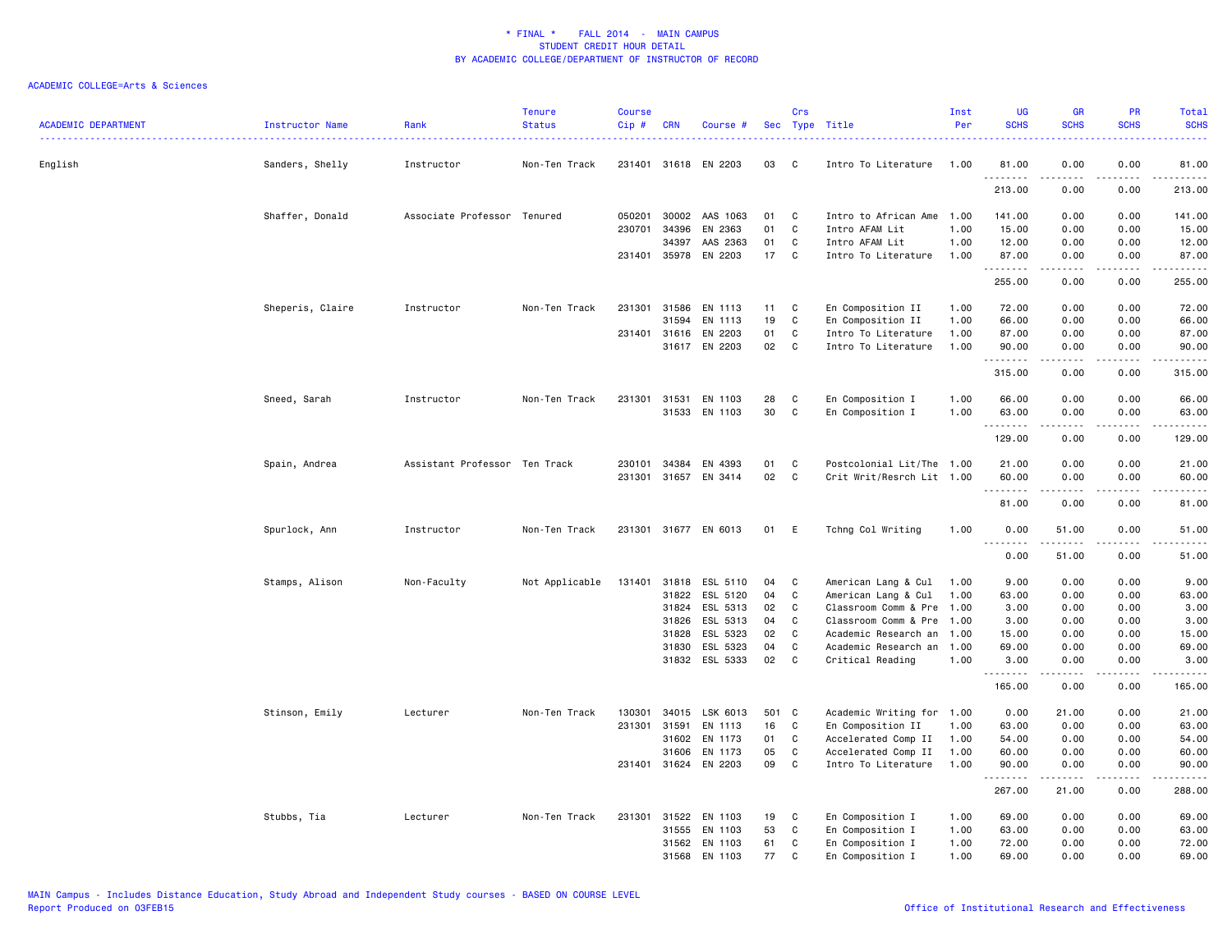| <b>ACADEMIC DEPARTMENT</b> | Instructor Name  | Rank                          | <b>Tenure</b><br><b>Status</b> | <b>Course</b><br>Cip# | <b>CRN</b>   | Course #              |     | Crs          | Sec Type Title            | Inst<br>Per | <b>UG</b><br><b>SCHS</b> | <b>GR</b><br><b>SCHS</b>                                                                                                                                     | <b>PR</b><br><b>SCHS</b> | Total<br><b>SCHS</b> |
|----------------------------|------------------|-------------------------------|--------------------------------|-----------------------|--------------|-----------------------|-----|--------------|---------------------------|-------------|--------------------------|--------------------------------------------------------------------------------------------------------------------------------------------------------------|--------------------------|----------------------|
| English                    | Sanders, Shelly  | Instructor                    | Non-Ten Track                  |                       |              | 231401 31618 EN 2203  | 03  | C.           | Intro To Literature       | 1.00        | 81.00                    | 0.00                                                                                                                                                         | 0.00                     | 81.00                |
|                            |                  |                               |                                |                       |              |                       |     |              |                           |             | <u>.</u><br>213.00       | د د د د د<br>0.00                                                                                                                                            | .<br>0.00                | 213.00               |
|                            | Shaffer, Donald  | Associate Professor Tenured   |                                | 050201                | 30002        | AAS 1063              | 01  | C            | Intro to African Ame 1.00 |             | 141.00                   | 0.00                                                                                                                                                         | 0.00                     | 141.00               |
|                            |                  |                               |                                |                       | 230701 34396 | EN 2363               | 01  | C            | Intro AFAM Lit            | 1.00        | 15.00                    | 0.00                                                                                                                                                         | 0.00                     | 15.00                |
|                            |                  |                               |                                |                       | 34397        | AAS 2363              | 01  | C            | Intro AFAM Lit            | 1.00        | 12.00                    | 0.00                                                                                                                                                         | 0.00                     | 12.00                |
|                            |                  |                               |                                |                       |              | 231401 35978 EN 2203  | 17  | C            | Intro To Literature       | 1.00        | 87.00<br>.               | 0.00<br>$\frac{1}{2} \left( \frac{1}{2} \right) \left( \frac{1}{2} \right) \left( \frac{1}{2} \right) \left( \frac{1}{2} \right) \left( \frac{1}{2} \right)$ | 0.00<br>.                | 87.00<br>.           |
|                            |                  |                               |                                |                       |              |                       |     |              |                           |             | 255.00                   | 0.00                                                                                                                                                         | 0.00                     | 255.00               |
|                            | Sheperis, Claire | Instructor                    | Non-Ten Track                  |                       | 231301 31586 | EN 1113               | 11  | C            | En Composition II         | 1.00        | 72.00                    | 0.00                                                                                                                                                         | 0.00                     | 72.00                |
|                            |                  |                               |                                |                       | 31594        | EN 1113               | 19  | C            | En Composition II         | 1.00        | 66.00                    | 0.00                                                                                                                                                         | 0.00                     | 66.00                |
|                            |                  |                               |                                |                       | 231401 31616 | EN 2203               | 01  | C            | Intro To Literature       | 1.00        | 87.00                    | 0.00                                                                                                                                                         | 0.00                     | 87.00                |
|                            |                  |                               |                                |                       |              | 31617 EN 2203         | 02  | $\mathtt{C}$ | Intro To Literature       | 1.00        | 90.00<br>.               | 0.00<br>22222                                                                                                                                                | 0.00<br>.                | 90.00<br>.           |
|                            |                  |                               |                                |                       |              |                       |     |              |                           |             | 315.00                   | 0.00                                                                                                                                                         | 0.00                     | 315.00               |
|                            | Sneed, Sarah     | Instructor                    | Non-Ten Track                  |                       | 231301 31531 | EN 1103               | 28  | C            | En Composition I          | 1.00        | 66.00                    | 0.00                                                                                                                                                         | 0.00                     | 66.00                |
|                            |                  |                               |                                |                       |              | 31533 EN 1103         | 30  | $\mathtt{C}$ | En Composition I          | 1.00        | 63.00                    | 0.00                                                                                                                                                         | 0.00                     | 63.00                |
|                            |                  |                               |                                |                       |              |                       |     |              |                           |             | .                        | .                                                                                                                                                            | $- - - - -$              | <u>.</u>             |
|                            |                  |                               |                                |                       |              |                       |     |              |                           |             | 129.00                   | 0.00                                                                                                                                                         | 0.00                     | 129.00               |
|                            | Spain, Andrea    | Assistant Professor Ten Track |                                |                       | 230101 34384 | EN 4393               | 01  | C            | Postcolonial Lit/The 1.00 |             | 21.00                    | 0.00                                                                                                                                                         | 0.00                     | 21.00                |
|                            |                  |                               |                                |                       |              | 231301 31657 EN 3414  | 02  | $\mathbf C$  | Crit Writ/Resrch Lit 1.00 |             | 60.00<br>.               | 0.00<br>$- - - - -$                                                                                                                                          | 0.00<br>.                | 60.00<br>.           |
|                            |                  |                               |                                |                       |              |                       |     |              |                           |             | 81.00                    | 0.00                                                                                                                                                         | 0.00                     | 81.00                |
|                            | Spurlock, Ann    | Instructor                    | Non-Ten Track                  |                       |              | 231301 31677 EN 6013  | 01  | E            | Tchng Col Writing         | 1.00        | 0.00                     | 51.00                                                                                                                                                        | 0.00                     | 51.00                |
|                            |                  |                               |                                |                       |              |                       |     |              |                           |             | 0.00                     | 51.00                                                                                                                                                        | 0.00                     | 51.00                |
|                            | Stamps, Alison   | Non-Faculty                   | Not Applicable                 |                       |              | 131401 31818 ESL 5110 | 04  | C            | American Lang & Cul       | 1.00        | 9.00                     | 0.00                                                                                                                                                         | 0.00                     | 9.00                 |
|                            |                  |                               |                                |                       | 31822        | ESL 5120              | 04  | C            | American Lang & Cul       | 1.00        | 63.00                    | 0.00                                                                                                                                                         | 0.00                     | 63.00                |
|                            |                  |                               |                                |                       | 31824        | ESL 5313              | 02  | C            | Classroom Comm & Pre      | 1.00        | 3.00                     | 0.00                                                                                                                                                         | 0.00                     | 3.00                 |
|                            |                  |                               |                                |                       |              | 31826 ESL 5313        | 04  | C            | Classroom Comm & Pre 1.00 |             | 3.00                     | 0.00                                                                                                                                                         | 0.00                     | 3.00                 |
|                            |                  |                               |                                |                       | 31828        | ESL 5323              | 02  | C            | Academic Research an 1.00 |             | 15.00                    | 0.00                                                                                                                                                         | 0.00                     | 15.00                |
|                            |                  |                               |                                |                       | 31830        | ESL 5323              | 04  | C            | Academic Research an 1.00 |             | 69.00                    | 0.00                                                                                                                                                         | 0.00                     | 69.00                |
|                            |                  |                               |                                |                       |              | 31832 ESL 5333        | 02  | C            | Critical Reading          | 1.00        | 3.00<br><u>.</u>         | 0.00                                                                                                                                                         | 0.00                     | 3.00<br>.            |
|                            |                  |                               |                                |                       |              |                       |     |              |                           |             | 165.00                   | 0.00                                                                                                                                                         | 0.00                     | 165.00               |
|                            | Stinson, Emily   | Lecturer                      | Non-Ten Track                  | 130301                | 34015        | LSK 6013              | 501 | $\mathbf{C}$ | Academic Writing for 1.00 |             | 0.00                     | 21.00                                                                                                                                                        | 0.00                     | 21.00                |
|                            |                  |                               |                                |                       | 231301 31591 | EN 1113               | 16  | C            | En Composition II         | 1.00        | 63.00                    | 0.00                                                                                                                                                         | 0.00                     | 63.00                |
|                            |                  |                               |                                |                       | 31602        | EN 1173               | 01  | C            | Accelerated Comp II       | 1.00        | 54.00                    | 0.00                                                                                                                                                         | 0.00                     | 54.00                |
|                            |                  |                               |                                |                       | 31606        | EN 1173               | 05  | C            | Accelerated Comp II       | 1.00        | 60.00                    | 0.00                                                                                                                                                         | 0.00                     | 60.00                |
|                            |                  |                               |                                |                       |              | 231401 31624 EN 2203  | 09  | C            | Intro To Literature       | 1.00        | 90.00<br>.               | 0.00<br>.                                                                                                                                                    | 0.00<br>.                | 90.00<br>.           |
|                            |                  |                               |                                |                       |              |                       |     |              |                           |             | 267.00                   | 21.00                                                                                                                                                        | 0.00                     | 288.00               |
|                            | Stubbs, Tia      | Lecturer                      | Non-Ten Track                  |                       |              | 231301 31522 EN 1103  | 19  | C            | En Composition I          | 1.00        | 69.00                    | 0.00                                                                                                                                                         | 0.00                     | 69.00                |
|                            |                  |                               |                                |                       | 31555        | EN 1103               | 53  | C            | En Composition I          | 1.00        | 63.00                    | 0.00                                                                                                                                                         | 0.00                     | 63.00                |
|                            |                  |                               |                                |                       |              | 31562 EN 1103         | 61  | C            | En Composition I          | 1.00        | 72.00                    | 0.00                                                                                                                                                         | 0.00                     | 72.00                |
|                            |                  |                               |                                |                       |              | 31568 EN 1103         | 77  | C            | En Composition I          | 1.00        | 69.00                    | 0.00                                                                                                                                                         | 0.00                     | 69.00                |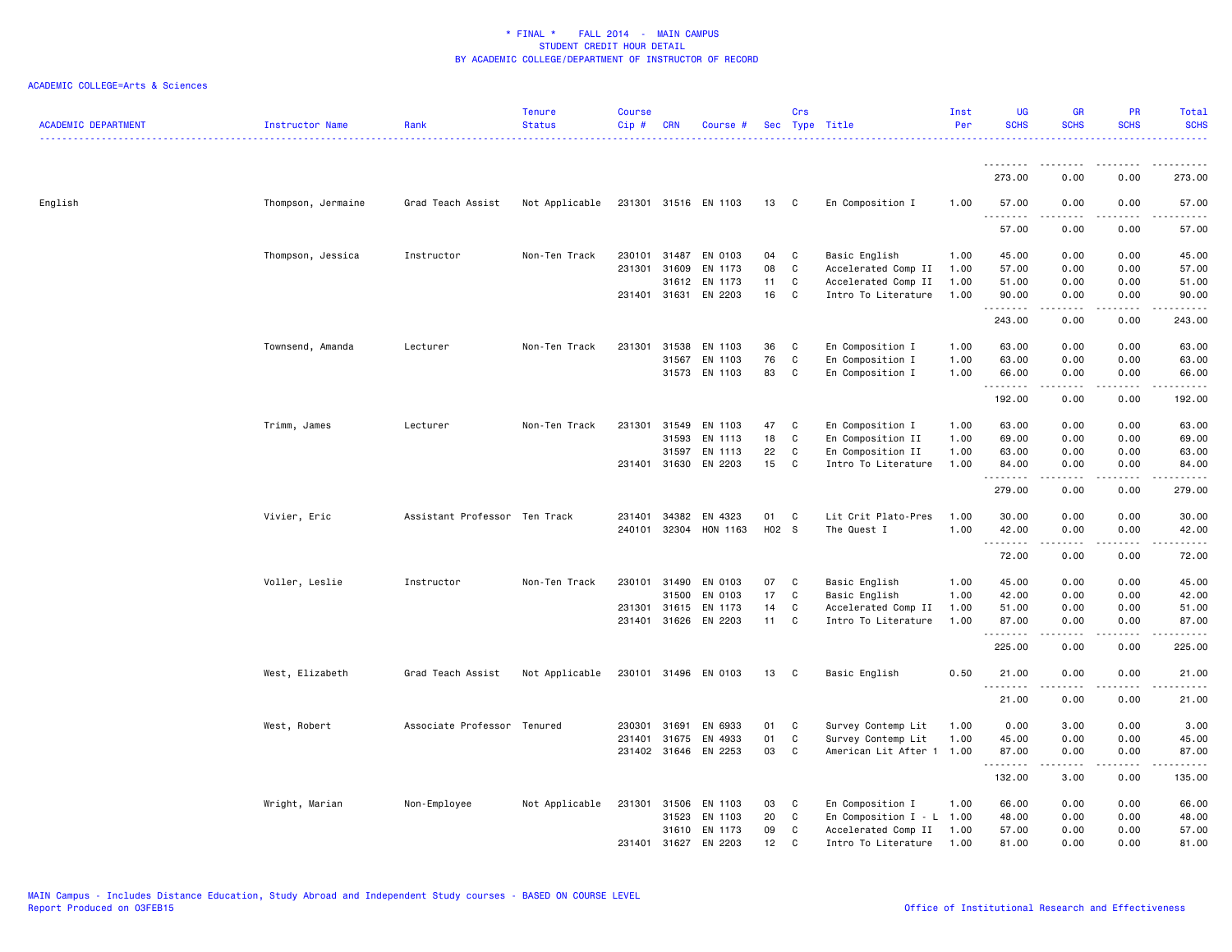| <b>ACADEMIC DEPARTMENT</b> | Instructor Name    | Rank                          | <b>Tenure</b><br><b>Status</b> | <b>Course</b><br>Cip# | <b>CRN</b>   | Course #              |                 | Crs          | Sec Type Title              | Inst<br>Per | <b>UG</b><br><b>SCHS</b> | GR<br><b>SCHS</b>     | PR<br><b>SCHS</b>            | Total<br><b>SCHS</b> |
|----------------------------|--------------------|-------------------------------|--------------------------------|-----------------------|--------------|-----------------------|-----------------|--------------|-----------------------------|-------------|--------------------------|-----------------------|------------------------------|----------------------|
|                            |                    |                               |                                |                       |              |                       |                 |              |                             |             | <u>.</u>                 |                       |                              |                      |
|                            |                    |                               |                                |                       |              |                       |                 |              |                             |             | 273.00                   | 0.00                  | 0.00                         | 273.00               |
| English                    | Thompson, Jermaine | Grad Teach Assist             | Not Applicable                 |                       |              | 231301 31516 EN 1103  | 13 C            |              | En Composition I            | 1.00        | 57.00<br><u>.</u>        | 0.00<br>.             | 0.00<br>.                    | 57.00<br>.           |
|                            |                    |                               |                                |                       |              |                       |                 |              |                             |             | 57.00                    | 0.00                  | 0.00                         | 57.00                |
|                            | Thompson, Jessica  | Instructor                    | Non-Ten Track                  |                       |              | 230101 31487 EN 0103  | 04              | C            | Basic English               | 1.00        | 45.00                    | 0.00                  | 0.00                         | 45.00                |
|                            |                    |                               |                                | 231301                | 31609        | EN 1173               | 08              | $\mathtt{C}$ | Accelerated Comp II         | 1.00        | 57.00                    | 0.00                  | 0.00                         | 57.00                |
|                            |                    |                               |                                |                       | 31612        | EN 1173               | 11              | C            | Accelerated Comp II         | 1.00        | 51.00                    | 0.00                  | 0.00                         | 51.00                |
|                            |                    |                               |                                |                       |              | 231401 31631 EN 2203  | 16              | C            | Intro To Literature         | 1.00        | 90.00<br><u>.</u>        | 0.00<br>.             | 0.00<br>.                    | 90.00<br>.           |
|                            |                    |                               |                                |                       |              |                       |                 |              |                             |             | 243.00                   | 0.00                  | 0.00                         | 243.00               |
|                            | Townsend, Amanda   | Lecturer                      | Non-Ten Track                  | 231301                | 31538        | EN 1103               | 36              | C            | En Composition I            | 1.00        | 63.00                    | 0.00                  | 0.00                         | 63.00                |
|                            |                    |                               |                                |                       | 31567        | EN 1103               | 76              | C            | En Composition I            | 1.00        | 63.00                    | 0.00                  | 0.00                         | 63.00                |
|                            |                    |                               |                                |                       |              | 31573 EN 1103         | 83              | C            | En Composition I            | 1.00        | 66.00<br>.               | 0.00<br>.             | 0.00<br>.                    | 66.00<br>.           |
|                            |                    |                               |                                |                       |              |                       |                 |              |                             |             | 192.00                   | 0.00                  | 0.00                         | 192.00               |
|                            | Trimm, James       | Lecturer                      | Non-Ten Track                  | 231301 31549          |              | EN 1103               | 47              | C            | En Composition I            | 1.00        | 63.00                    | 0.00                  | 0.00                         | 63.00                |
|                            |                    |                               |                                |                       | 31593        | EN 1113               | 18              | C            | En Composition II           | 1.00        | 69.00                    | 0.00                  | 0.00                         | 69.00                |
|                            |                    |                               |                                |                       | 31597        | EN 1113               | 22              | C            | En Composition II           | 1.00        | 63.00                    | 0.00                  | 0.00                         | 63.00                |
|                            |                    |                               |                                |                       |              | 231401 31630 EN 2203  | 15              | C            | Intro To Literature         | 1.00        | 84.00<br><u>.</u>        | 0.00<br>.             | 0.00<br>.                    | 84.00<br>.           |
|                            |                    |                               |                                |                       |              |                       |                 |              |                             |             | 279.00                   | 0.00                  | 0.00                         | 279.00               |
|                            | Vivier, Eric       | Assistant Professor Ten Track |                                | 231401                | 34382        | EN 4323               | 01              | C            | Lit Crit Plato-Pres         | 1.00        | 30.00                    | 0.00                  | 0.00                         | 30.00                |
|                            |                    |                               |                                |                       |              | 240101 32304 HON 1163 | H02 S           |              | The Quest I                 | 1.00        | 42.00                    | 0.00                  | 0.00                         | 42.00                |
|                            |                    |                               |                                |                       |              |                       |                 |              |                             |             | <u>.</u>                 |                       |                              | .                    |
|                            |                    |                               |                                |                       |              |                       |                 |              |                             |             | 72.00                    | 0.00                  | 0.00                         | 72.00                |
|                            | Voller, Leslie     | Instructor                    | Non-Ten Track                  | 230101 31490          |              | EN 0103               | 07              | C            | Basic English               | 1.00        | 45.00                    | 0.00                  | 0.00                         | 45.00                |
|                            |                    |                               |                                |                       | 31500        | EN 0103               | 17              | $\mathtt{C}$ | Basic English               | 1.00        | 42.00                    | 0.00                  | 0.00                         | 42.00                |
|                            |                    |                               |                                | 231301                | 31615        | EN 1173               | 14              | C            | Accelerated Comp II         | 1.00        | 51.00                    | 0.00                  | 0.00                         | 51.00                |
|                            |                    |                               |                                |                       | 231401 31626 | EN 2203               | 11              | C            | Intro To Literature         | 1.00        | 87.00<br>.               | 0.00<br>.             | 0.00<br>$\cdots$             | 87.00<br>.           |
|                            |                    |                               |                                |                       |              |                       |                 |              |                             |             | 225.00                   | 0.00                  | 0.00                         | 225.00               |
|                            | West, Elizabeth    | Grad Teach Assist             | Not Applicable                 |                       |              | 230101 31496 EN 0103  | 13              | C            | Basic English               | 0.50        | 21.00<br>.               | 0.00<br>----          | 0.00<br>$\sim$ $\sim$ $\sim$ | 21.00                |
|                            |                    |                               |                                |                       |              |                       |                 |              |                             |             | 21.00                    | 0.00                  | 0.00                         | 21.00                |
|                            | West, Robert       | Associate Professor           | Tenured                        | 230301                | 31691        | EN 6933               | 01              | C            | Survey Contemp Lit          | 1.00        | 0.00                     | 3.00                  | 0.00                         | 3.00                 |
|                            |                    |                               |                                | 231401                | 31675        | EN 4933               | 01              | C            | Survey Contemp Lit          | 1.00        | 45.00                    | 0.00                  | 0.00                         | 45.00                |
|                            |                    |                               |                                |                       |              | 231402 31646 EN 2253  | 03              | C            | American Lit After 1 1.00   |             | 87.00<br>.               | 0.00<br>$\frac{1}{2}$ | 0.00<br>$\cdots$             | 87.00<br>.           |
|                            |                    |                               |                                |                       |              |                       |                 |              |                             |             | 132.00                   | 3.00                  | 0.00                         | 135.00               |
|                            | Wright, Marian     | Non-Employee                  | Not Applicable                 | 231301 31506          |              | EN 1103               | 03              | C            | En Composition I            | 1.00        | 66.00                    | 0.00                  | 0.00                         | 66.00                |
|                            |                    |                               |                                |                       | 31523        | EN 1103               | 20              | C            | En Composition $I - L$ 1.00 |             | 48.00                    | 0.00                  | 0.00                         | 48.00                |
|                            |                    |                               |                                |                       |              | 31610 EN 1173         | 09              | C            | Accelerated Comp II         | 1.00        | 57.00                    | 0.00                  | 0.00                         | 57.00                |
|                            |                    |                               |                                | 231401                | 31627        | EN 2203               | 12 <sup>2</sup> | C            | Intro To Literature         | 1.00        | 81.00                    | 0.00                  | 0.00                         | 81.00                |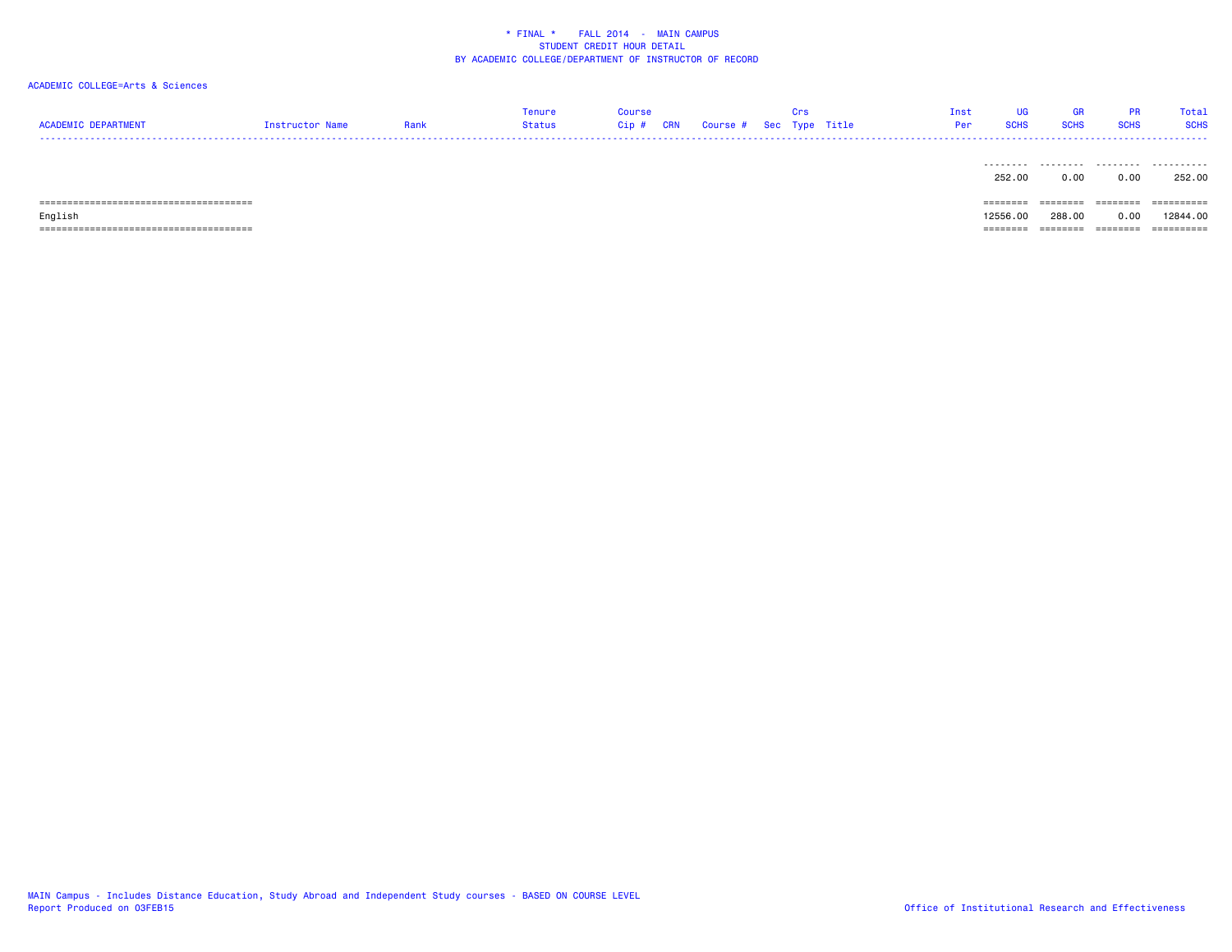# ACADEMIC COLLEGE=Arts & Sciences

| ACADEMIC DEPARTMENT | <b>Instructor Name</b> | Rank | Tenure<br><b>Status</b> | Course<br>$Cip$ # | <b>CRN</b> | Course # Sec Type Title | <b>Crs</b> | Inst<br>Per | <b>SCHS</b>         | <b>SCHS</b> | DD.<br><b>SCHS</b> | Total<br><b>SCHS</b> |
|---------------------|------------------------|------|-------------------------|-------------------|------------|-------------------------|------------|-------------|---------------------|-------------|--------------------|----------------------|
|                     |                        |      |                         |                   |            |                         |            |             | ---------<br>252.00 | 0.00        | 0.00               | ----------<br>252.00 |

====================================== ======== ======== ======== ==========

 ====================================== ======== ======== ======== ==========English 12556.00 288.00 0.00 12844.00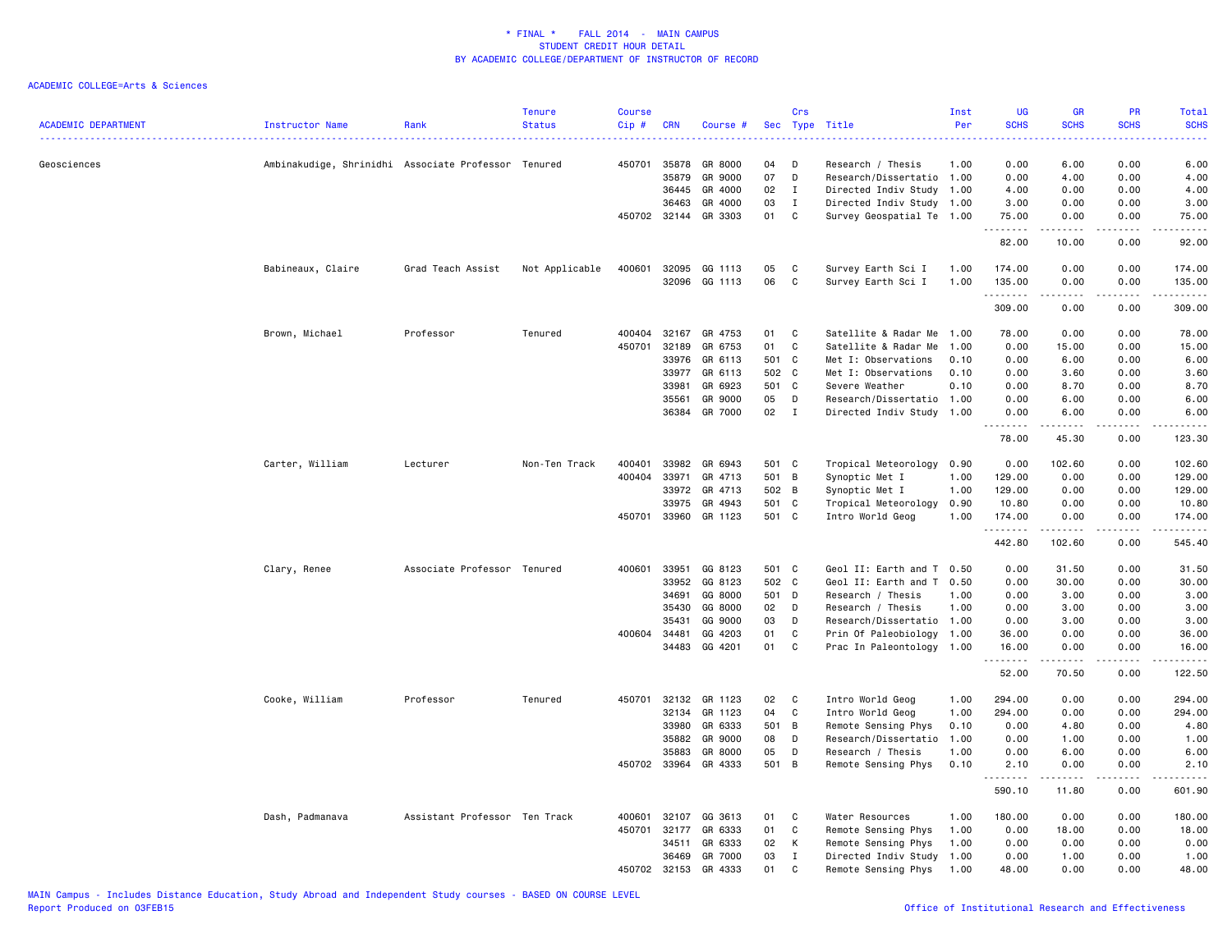| <b>ACADEMIC DEPARTMENT</b> | Instructor Name                                     | Rank                          | <b>Tenure</b><br><b>Status</b> | <b>Course</b><br>Cip# | <b>CRN</b>     | Course #             | Sec      | Crs          | Type Title                | Inst<br>Per | <b>UG</b><br><b>SCHS</b> | GR<br><b>SCHS</b> | PR<br><b>SCHS</b>                   | Total<br><b>SCHS</b> |
|----------------------------|-----------------------------------------------------|-------------------------------|--------------------------------|-----------------------|----------------|----------------------|----------|--------------|---------------------------|-------------|--------------------------|-------------------|-------------------------------------|----------------------|
| Geosciences                | Ambinakudige, Shrinidhi Associate Professor Tenured |                               |                                | 450701                | 35878          | GR 8000              | 04       | D            | Research / Thesis         | 1.00        | 0.00                     | 6.00              | 0.00                                | 6.00                 |
|                            |                                                     |                               |                                |                       | 35879          | GR 9000              | 07       | D            | Research/Dissertatio 1.00 |             | 0.00                     | 4.00              | 0.00                                | 4.00                 |
|                            |                                                     |                               |                                |                       | 36445          | GR 4000              | 02       | $\mathbf{I}$ | Directed Indiv Study 1.00 |             | 4.00                     | 0.00              | 0.00                                | 4.00                 |
|                            |                                                     |                               |                                |                       | 36463          | GR 4000              | 03       | $\mathbf{I}$ | Directed Indiv Study 1.00 |             | 3.00                     | 0.00              | 0.00                                | 3.00                 |
|                            |                                                     |                               |                                |                       |                | 450702 32144 GR 3303 | 01       | C            | Survey Geospatial Te 1.00 |             | 75.00<br>.               | 0.00              | 0.00<br>.                           | 75.00<br>22222       |
|                            |                                                     |                               |                                |                       |                |                      |          |              |                           |             | 82.00                    | 10.00             | 0.00                                | 92.00                |
|                            | Babineaux, Claire                                   | Grad Teach Assist             | Not Applicable                 | 400601                | 32095<br>32096 | GG 1113<br>GG 1113   | 05<br>06 | C<br>C       | Survey Earth Sci I        | 1.00        | 174.00                   | 0.00              | 0.00<br>0.00                        | 174.00<br>135.00     |
|                            |                                                     |                               |                                |                       |                |                      |          |              | Survey Earth Sci I        | 1.00        | 135.00<br>.              | 0.00<br>-----     | .                                   | .                    |
|                            |                                                     |                               |                                |                       |                |                      |          |              |                           |             | 309.00                   | 0.00              | 0.00                                | 309.00               |
|                            | Brown, Michael                                      | Professor                     | Tenured                        | 400404                | 32167          | GR 4753              | 01       | C            | Satellite & Radar Me      | 1.00        | 78.00                    | 0.00              | 0.00                                | 78.00                |
|                            |                                                     |                               |                                | 450701                | 32189          | GR 6753              | 01       | $\mathtt{C}$ | Satellite & Radar Me      | 1.00        | 0.00                     | 15.00             | 0.00                                | 15.00                |
|                            |                                                     |                               |                                |                       | 33976          | GR 6113              | 501      | C            | Met I: Observations       | 0.10        | 0.00                     | 6.00              | 0.00                                | 6.00                 |
|                            |                                                     |                               |                                |                       | 33977          | GR 6113              | 502      | C            | Met I: Observations       | 0.10        | 0.00                     | 3.60              | 0.00                                | 3.60                 |
|                            |                                                     |                               |                                |                       | 33981          | GR 6923              | 501      | C            | Severe Weather            | 0.10        | 0.00                     | 8.70              | 0.00                                | 8.70                 |
|                            |                                                     |                               |                                |                       | 35561          | GR 9000              | 05       | D            | Research/Dissertatio 1.00 |             | 0.00                     | 6.00              | 0.00                                | 6.00                 |
|                            |                                                     |                               |                                |                       | 36384          | GR 7000              | 02       | $\mathbf I$  | Directed Indiv Study 1.00 |             | 0.00<br>-----<br>$  -$   | 6.00<br><u>.</u>  | 0.00<br>$\sim$ $\sim$ $\sim$ $\sim$ | 6.00<br>د د د د د    |
|                            |                                                     |                               |                                |                       |                |                      |          |              |                           |             | 78.00                    | 45.30             | 0.00                                | 123.30               |
|                            | Carter, William                                     | Lecturer                      | Non-Ten Track                  | 400401                | 33982          | GR 6943              | 501 C    |              | Tropical Meteorology      | 0.90        | 0.00                     | 102.60            | 0.00                                | 102.60               |
|                            |                                                     |                               |                                | 400404                | 33971          | GR 4713              | 501 B    |              | Synoptic Met I            | 1.00        | 129.00                   | 0.00              | 0.00                                | 129.00               |
|                            |                                                     |                               |                                |                       |                | 33972 GR 4713        | 502 B    |              | Synoptic Met I            | 1.00        | 129.00                   | 0.00              | 0.00                                | 129.00               |
|                            |                                                     |                               |                                |                       | 33975          | GR 4943              | 501      | C            | Tropical Meteorology      | 0.90        | 10.80                    | 0.00              | 0.00                                | 10.80                |
|                            |                                                     |                               |                                | 450701                | 33960          | GR 1123              | 501 C    |              | Intro World Geog          | 1.00        | 174.00<br>.              | 0.00              | 0.00<br>.                           | 174.00<br>.          |
|                            |                                                     |                               |                                |                       |                |                      |          |              |                           |             | 442.80                   | 102.60            | 0.00                                | 545.40               |
|                            | Clary, Renee                                        | Associate Professor Tenured   |                                | 400601                | 33951          | GG 8123              | 501      | C            | Geol II: Earth and T 0.50 |             | 0.00                     | 31.50             | 0.00                                | 31.50                |
|                            |                                                     |                               |                                |                       | 33952          | GG 8123              | 502 C    |              | Geol II: Earth and T 0.50 |             | 0.00                     | 30.00             | 0.00                                | 30.00                |
|                            |                                                     |                               |                                |                       | 34691          | GG 8000              | 501      | D            | Research / Thesis         | 1.00        | 0.00                     | 3.00              | 0.00                                | 3.00                 |
|                            |                                                     |                               |                                |                       | 35430          | GG 8000              | 02       | D            | Research / Thesis         | 1.00        | 0.00                     | 3.00              | 0.00                                | 3.00                 |
|                            |                                                     |                               |                                |                       | 35431          | GG 9000              | 03       | D            | Research/Dissertatio 1.00 |             | 0.00                     | 3.00              | 0.00                                | 3.00                 |
|                            |                                                     |                               |                                | 400604                | 34481          | GG 4203              | 01       | $\mathtt{C}$ | Prin Of Paleobiology 1.00 |             | 36.00                    | 0.00              | 0.00                                | 36.00                |
|                            |                                                     |                               |                                |                       | 34483          | GG 4201              | 01       | $\mathbf C$  | Prac In Paleontology 1.00 |             | 16.00<br>.               | 0.00<br>.         | 0.00<br>.                           | 16.00<br>.           |
|                            |                                                     |                               |                                |                       |                |                      |          |              |                           |             | 52.00                    | 70.50             | 0.00                                | 122.50               |
|                            | Cooke, William                                      | Professor                     | Tenured                        | 450701                | 32132          | GR 1123              | 02       | C            | Intro World Geog          | 1.00        | 294.00                   | 0.00              | 0.00                                | 294.00               |
|                            |                                                     |                               |                                |                       | 32134          | GR 1123              | 04       | C            | Intro World Geog          | 1.00        | 294.00                   | 0.00              | 0.00                                | 294.00               |
|                            |                                                     |                               |                                |                       | 33980          | GR 6333              | 501      | B            | Remote Sensing Phys       | 0.10        | 0.00                     | 4.80              | 0.00                                | 4.80                 |
|                            |                                                     |                               |                                |                       | 35882          | GR 9000              | 08       | D            | Research/Dissertatio      | 1.00        | 0.00                     | 1.00              | 0.00                                | 1.00                 |
|                            |                                                     |                               |                                |                       | 35883          | GR 8000              | 05       | D            | Research / Thesis         | 1.00        | 0.00                     | 6.00              | 0.00                                | 6.00                 |
|                            |                                                     |                               |                                |                       | 450702 33964   | GR 4333              | 501      | B            | Remote Sensing Phys       | 0.10        | 2.10                     | 0.00              | 0.00                                | 2.10                 |
|                            |                                                     |                               |                                |                       |                |                      |          |              |                           |             | 590.10                   | 11.80             | 0.00                                | <u>.</u><br>601.90   |
|                            |                                                     |                               |                                |                       |                |                      |          |              |                           |             |                          |                   |                                     |                      |
|                            | Dash, Padmanava                                     | Assistant Professor Ten Track |                                | 400601                | 32107          | GG 3613              | 01       | C            | Water Resources           | 1.00        | 180.00                   | 0.00              | 0.00                                | 180.00               |
|                            |                                                     |                               |                                | 450701                | 32177          | GR 6333              | 01       | C            | Remote Sensing Phys       | 1.00        | 0.00                     | 18.00             | 0.00                                | 18.00                |
|                            |                                                     |                               |                                |                       | 34511          | GR 6333              | 02       | к            | Remote Sensing Phys       | 1.00        | 0.00                     | 0.00              | 0.00                                | 0.00                 |
|                            |                                                     |                               |                                |                       | 36469          | GR 7000              | 03       | $\mathbf I$  | Directed Indiv Study      | 1.00        | 0.00                     | 1.00              | 0.00                                | 1.00                 |
|                            |                                                     |                               |                                |                       | 450702 32153   | GR 4333              | 01       | $\mathbb{C}$ | Remote Sensing Phys       | 1.00        | 48.00                    | 0.00              | 0.00                                | 48.00                |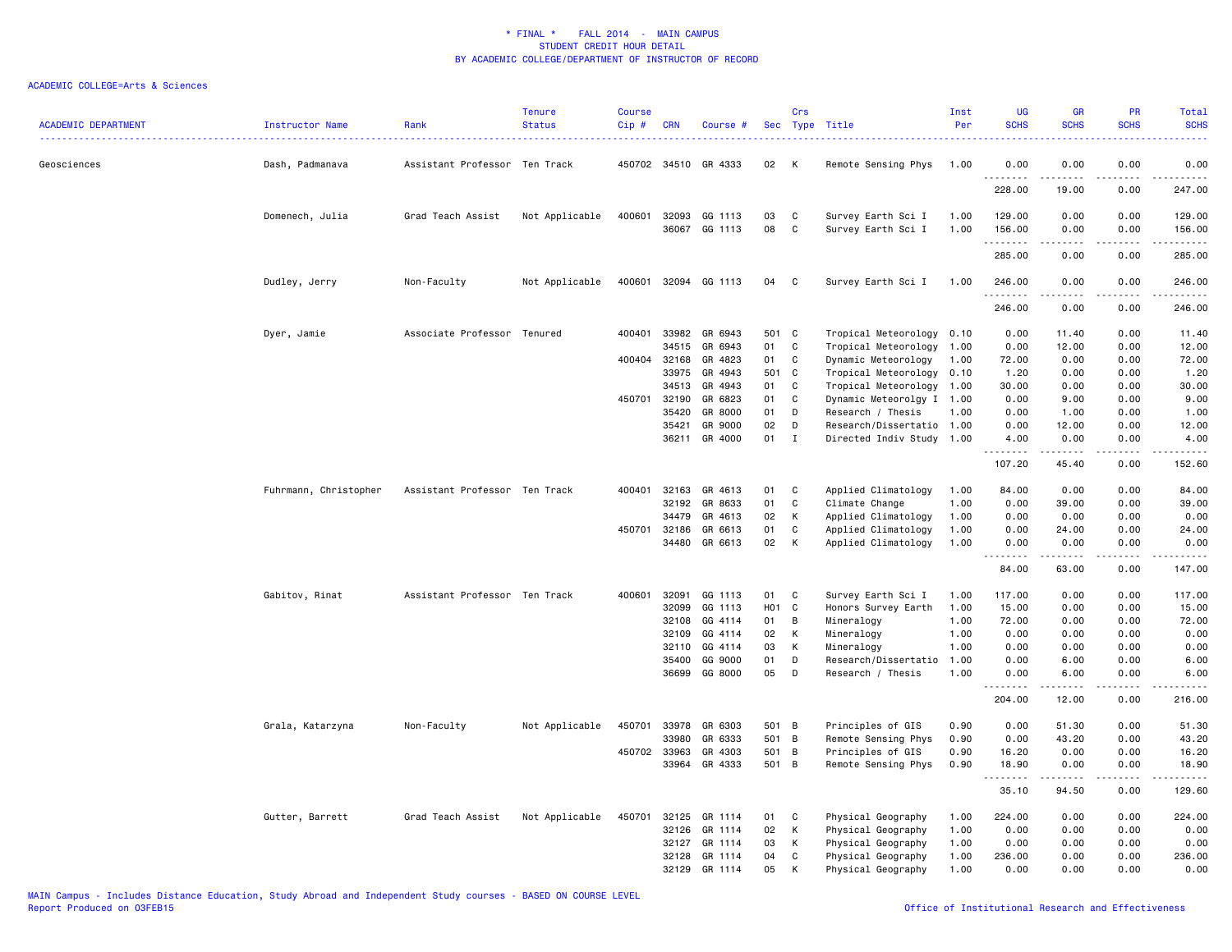| <b>ACADEMIC DEPARTMENT</b> | <b>Instructor Name</b> | Rank                          | <b>Tenure</b><br><b>Status</b> | <b>Course</b><br>Cip# | <b>CRN</b>     | Course #             |                  | Crs            | Sec Type Title                            | Inst<br>Per  | <b>UG</b><br><b>SCHS</b> | <b>GR</b><br><b>SCHS</b>                                                                                   | PR<br><b>SCHS</b>                   | Total<br><b>SCHS</b><br>. |
|----------------------------|------------------------|-------------------------------|--------------------------------|-----------------------|----------------|----------------------|------------------|----------------|-------------------------------------------|--------------|--------------------------|------------------------------------------------------------------------------------------------------------|-------------------------------------|---------------------------|
| Geosciences                | Dash, Padmanava        | Assistant Professor Ten Track |                                |                       |                | 450702 34510 GR 4333 | 02               | K              | Remote Sensing Phys                       | 1.00         | 0.00<br>.                | 0.00<br>$\frac{1}{2}$                                                                                      | 0.00<br>.                           | 0.00<br>.                 |
|                            |                        |                               |                                |                       |                |                      |                  |                |                                           |              | 228.00                   | 19.00                                                                                                      | 0.00                                | 247.00                    |
|                            | Domenech, Julia        | Grad Teach Assist             | Not Applicable                 | 400601                | 32093          | GG 1113              | 03               | C              | Survey Earth Sci I                        | 1.00         | 129.00                   | 0.00                                                                                                       | 0.00                                | 129.00                    |
|                            |                        |                               |                                |                       | 36067          | GG 1113              | 08               | $\mathbb C$    | Survey Earth Sci I                        | 1.00         | 156.00<br>.              | 0.00                                                                                                       | 0.00<br>$\sim$ $\sim$ $\sim$ $\sim$ | 156.00<br>.               |
|                            |                        |                               |                                |                       |                |                      |                  |                |                                           |              | 285.00                   | 0.00                                                                                                       | 0.00                                | 285.00                    |
|                            | Dudley, Jerry          | Non-Faculty                   | Not Applicable                 |                       |                | 400601 32094 GG 1113 | 04               | C              | Survey Earth Sci I                        | 1.00         | 246.00                   | 0.00                                                                                                       | 0.00                                | 246.00<br>.               |
|                            |                        |                               |                                |                       |                |                      |                  |                |                                           |              | 246.00                   | 0.00                                                                                                       | 0.00                                | 246.00                    |
|                            | Dyer, Jamie            | Associate Professor Tenured   |                                | 400401                | 33982          | GR 6943              | 501 C            |                | Tropical Meteorology 0.10                 |              | 0.00                     | 11.40                                                                                                      | 0.00                                | 11.40                     |
|                            |                        |                               |                                |                       | 34515          | GR 6943              | 01               | C              | Tropical Meteorology 1.00                 |              | 0.00                     | 12.00                                                                                                      | 0.00                                | 12.00                     |
|                            |                        |                               |                                | 400404 32168          |                | GR 4823              | 01               | C              | Dynamic Meteorology                       | 1.00         | 72.00                    | 0.00                                                                                                       | 0.00                                | 72.00                     |
|                            |                        |                               |                                |                       | 33975          | GR 4943              | 501              | C              | Tropical Meteorology 0.10                 |              | 1.20                     | 0.00                                                                                                       | 0.00                                | 1.20                      |
|                            |                        |                               |                                |                       | 34513          | GR 4943              | 01               | C              | Tropical Meteorology 1.00                 |              | 30.00                    | 0.00                                                                                                       | 0.00                                | 30.00                     |
|                            |                        |                               |                                | 450701                | 32190          | GR 6823              | 01               | C              | Dynamic Meteorolgy I 1.00                 |              | 0.00                     | 9.00                                                                                                       | 0.00                                | 9.00                      |
|                            |                        |                               |                                |                       | 35420          | GR 8000              | 01               | D              | Research / Thesis                         | 1.00         | 0.00                     | 1.00                                                                                                       | 0.00                                | 1.00                      |
|                            |                        |                               |                                |                       | 35421          | GR 9000              | 02               | D              | Research/Dissertatio 1.00                 |              | 0.00                     | 12.00                                                                                                      | 0.00                                | 12.00                     |
|                            |                        |                               |                                |                       | 36211          | GR 4000              | 01               | I              | Directed Indiv Study 1.00                 |              | 4.00                     | 0.00                                                                                                       | 0.00                                | 4.00                      |
|                            |                        |                               |                                |                       |                |                      |                  |                |                                           |              | .<br>107.20              | .<br>45.40                                                                                                 | .<br>0.00                           | .<br>152.60               |
|                            | Fuhrmann, Christopher  | Assistant Professor Ten Track |                                | 400401                |                | 32163 GR 4613        | 01               | C              | Applied Climatology                       | 1.00         | 84.00                    | 0.00                                                                                                       | 0.00                                | 84.00                     |
|                            |                        |                               |                                |                       | 32192          | GR 8633              | 01               | C              | Climate Change                            | 1.00         | 0.00                     | 39.00                                                                                                      | 0.00                                | 39.00                     |
|                            |                        |                               |                                |                       | 34479          | GR 4613              | 02               | к              | Applied Climatology                       | 1.00         | 0.00                     | 0.00                                                                                                       | 0.00                                | 0.00                      |
|                            |                        |                               |                                | 450701 32186          |                | GR 6613              | 01               | C              | Applied Climatology                       | 1.00         | 0.00                     | 24.00                                                                                                      | 0.00                                | 24.00                     |
|                            |                        |                               |                                |                       | 34480          | GR 6613              | 02               | K              | Applied Climatology                       | 1.00         | 0.00                     | 0.00                                                                                                       | 0.00                                | 0.00                      |
|                            |                        |                               |                                |                       |                |                      |                  |                |                                           |              | .<br>84.00               | $\begin{array}{cccccccccc} \bullet & \bullet & \bullet & \bullet & \bullet & \bullet \end{array}$<br>63.00 | د د د د<br>0.00                     | .<br>147.00               |
|                            |                        |                               |                                |                       |                |                      |                  |                |                                           |              |                          |                                                                                                            |                                     |                           |
|                            | Gabitov, Rinat         | Assistant Professor Ten Track |                                | 400601                | 32091          | GG 1113              | 01               | C              | Survey Earth Sci I                        | 1.00         | 117.00                   | 0.00                                                                                                       | 0.00                                | 117.00                    |
|                            |                        |                               |                                |                       | 32099          | GG 1113              | H <sub>0</sub> 1 | C              | Honors Survey Earth                       | 1.00         | 15.00                    | 0.00                                                                                                       | 0.00                                | 15.00                     |
|                            |                        |                               |                                |                       | 32108          | GG 4114              | 01               | B              | Mineralogy                                | 1.00         | 72.00                    | 0.00                                                                                                       | 0.00                                | 72.00                     |
|                            |                        |                               |                                |                       | 32109          | GG 4114              | 02               | К              | Mineralogy                                | 1.00         | 0.00                     | 0.00                                                                                                       | 0.00                                | 0.00                      |
|                            |                        |                               |                                |                       | 32110          | GG 4114              | 03               | К              | Mineralogy                                | 1.00         | 0.00                     | 0.00                                                                                                       | 0.00                                | 0.00                      |
|                            |                        |                               |                                |                       | 35400<br>36699 | GG 9000<br>GG 8000   | 01<br>05         | D<br>D         | Research/Dissertatio<br>Research / Thesis | 1.00<br>1.00 | 0.00<br>0.00             | 6.00<br>6.00                                                                                               | 0.00<br>0.00                        | 6.00<br>6.00              |
|                            |                        |                               |                                |                       |                |                      |                  |                |                                           |              | .                        | $    -$                                                                                                    | .                                   | .                         |
|                            |                        |                               |                                |                       |                |                      |                  |                |                                           |              | 204.00                   | 12.00                                                                                                      | 0.00                                | 216.00                    |
|                            | Grala, Katarzyna       | Non-Faculty                   | Not Applicable                 | 450701                | 33978          | GR 6303              | 501 B            |                | Principles of GIS                         | 0.90         | 0.00                     | 51.30                                                                                                      | 0.00                                | 51.30                     |
|                            |                        |                               |                                |                       | 33980          | GR 6333              | 501              | $\overline{B}$ | Remote Sensing Phys                       | 0.90         | 0.00                     | 43.20                                                                                                      | 0.00                                | 43.20                     |
|                            |                        |                               |                                | 450702                | 33963          | GR 4303              | 501              | $\overline{B}$ | Principles of GIS                         | 0.90         | 16.20                    | 0.00                                                                                                       | 0.00                                | 16.20                     |
|                            |                        |                               |                                |                       | 33964          | GR 4333              | 501 B            |                | Remote Sensing Phys                       | 0.90         | 18.90                    | 0.00                                                                                                       | 0.00                                | 18.90                     |
|                            |                        |                               |                                |                       |                |                      |                  |                |                                           |              | .<br>35.10               | 94.50                                                                                                      | 0.00                                | .<br>129.60               |
|                            | Gutter, Barrett        | Grad Teach Assist             | Not Applicable                 | 450701                | 32125          | GR 1114              | 01               | C              | Physical Geography                        | 1.00         | 224.00                   | 0.00                                                                                                       | 0.00                                | 224.00                    |
|                            |                        |                               |                                |                       | 32126          | GR 1114              | 02               | K              | Physical Geography                        | 1.00         | 0.00                     | 0.00                                                                                                       | 0.00                                | 0.00                      |
|                            |                        |                               |                                |                       | 32127          | GR 1114              | 03               | К              | Physical Geography                        | 1.00         | 0.00                     | 0.00                                                                                                       | 0.00                                | 0.00                      |
|                            |                        |                               |                                |                       | 32128          | GR 1114              | 04               | $\mathtt{C}$   | Physical Geography                        | 1.00         | 236.00                   | 0.00                                                                                                       | 0.00                                | 236.00                    |
|                            |                        |                               |                                |                       | 32129          | GR 1114              | 05               | K              | Physical Geography                        | 1.00         | 0.00                     | 0.00                                                                                                       | 0.00                                | 0.00                      |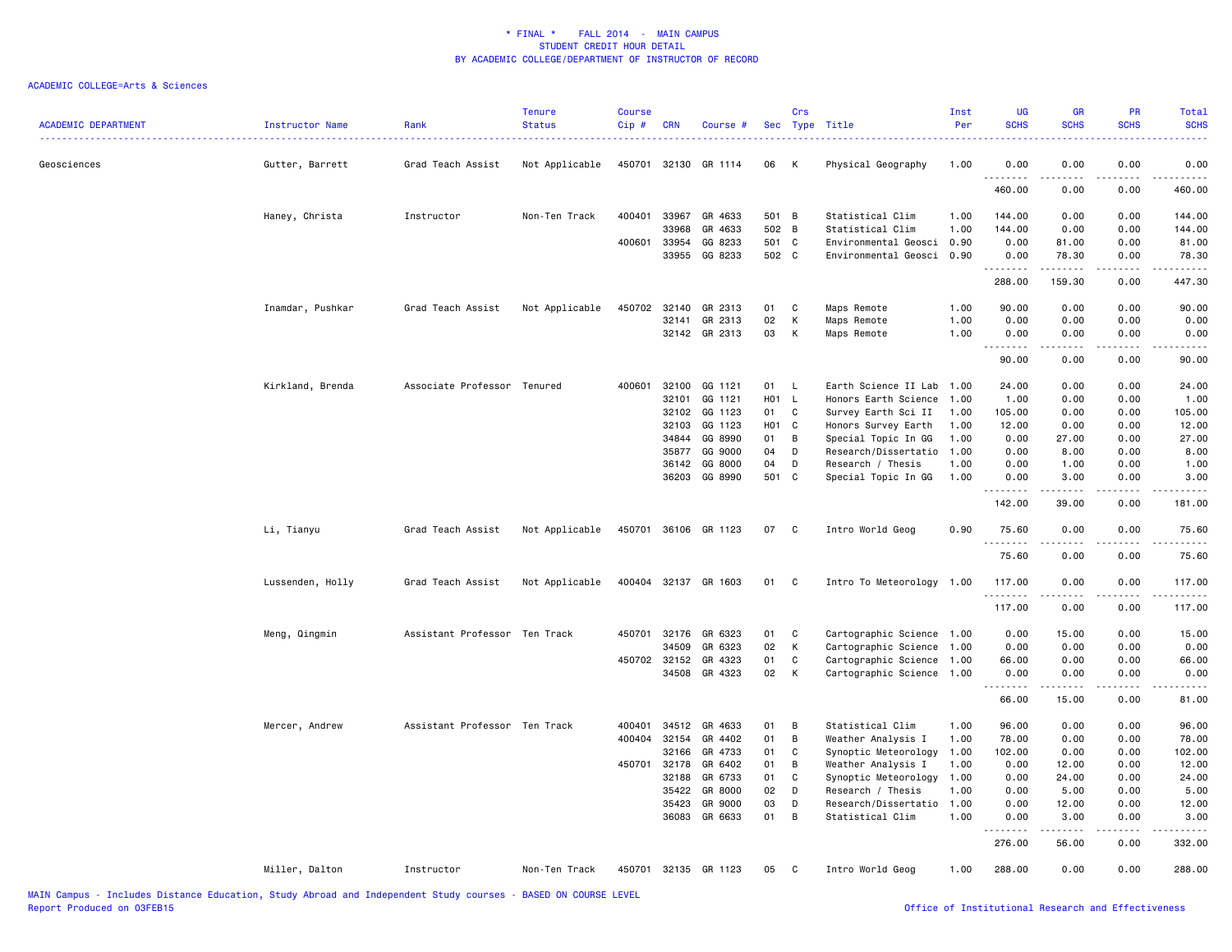| <b>ACADEMIC DEPARTMENT</b> | Instructor Name  | Rank                          | <b>Tenure</b><br><b>Status</b> | <b>Course</b><br>Cip# | <b>CRN</b>   | Course #             |                  | Crs          | Sec Type Title            | Inst<br>Per | <b>UG</b><br><b>SCHS</b> | <b>GR</b><br><b>SCHS</b> | <b>PR</b><br><b>SCHS</b>     | Total<br><b>SCHS</b>                                                                                                              |
|----------------------------|------------------|-------------------------------|--------------------------------|-----------------------|--------------|----------------------|------------------|--------------|---------------------------|-------------|--------------------------|--------------------------|------------------------------|-----------------------------------------------------------------------------------------------------------------------------------|
| Geosciences                | Gutter, Barrett  | Grad Teach Assist             | Not Applicable                 |                       | 450701 32130 | GR 1114              | 06               | К            | Physical Geography        | 1.00        | 0.00<br>.                | 0.00                     | 0.00                         | 0.00<br>$\sim$ $\sim$ $\sim$ $\sim$                                                                                               |
|                            |                  |                               |                                |                       |              |                      |                  |              |                           |             | 460.00                   | 0.00                     | 0.00                         | 460.00                                                                                                                            |
|                            | Haney, Christa   | Instructor                    | Non-Ten Track                  | 400401                | 33967        | GR 4633              | 501 B            |              | Statistical Clim          | 1.00        | 144.00                   | 0.00                     | 0.00                         | 144.00                                                                                                                            |
|                            |                  |                               |                                |                       | 33968        | GR 4633              | 502 B            |              | Statistical Clim          | 1.00        | 144.00                   | 0.00                     | 0.00                         | 144.00                                                                                                                            |
|                            |                  |                               |                                |                       | 400601 33954 | GG 8233              | 501 C            |              | Environmental Geosci 0.90 |             | 0.00                     | 81.00                    | 0.00                         | 81.00                                                                                                                             |
|                            |                  |                               |                                |                       | 33955        | GG 8233              | 502 C            |              | Environmental Geosci 0.90 |             | 0.00<br>.                | 78.30<br><u>.</u>        | 0.00<br>.                    | 78.30<br>.                                                                                                                        |
|                            |                  |                               |                                |                       |              |                      |                  |              |                           |             | 288.00                   | 159.30                   | 0.00                         | 447.30                                                                                                                            |
|                            | Inamdar, Pushkar | Grad Teach Assist             | Not Applicable                 | 450702                | 32140        | GR 2313              | 01               | C            | Maps Remote               | 1.00        | 90.00                    | 0.00                     | 0.00                         | 90.00                                                                                                                             |
|                            |                  |                               |                                |                       | 32141        | GR 2313              | 02               | К            | Maps Remote               | 1.00        | 0.00                     | 0.00                     | 0.00                         | 0.00                                                                                                                              |
|                            |                  |                               |                                |                       |              | 32142 GR 2313        | 03               | K            | Maps Remote               | 1.00        | 0.00<br>.                | 0.00<br>.                | 0.00<br>$\sim$ $\sim$ $\sim$ | 0.00<br>$\frac{1}{2} \left( \frac{1}{2} \right) \left( \frac{1}{2} \right) \left( \frac{1}{2} \right) \left( \frac{1}{2} \right)$ |
|                            |                  |                               |                                |                       |              |                      |                  |              |                           |             | 90.00                    | 0.00                     | 0.00                         | 90.00                                                                                                                             |
|                            | Kirkland, Brenda | Associate Professor Tenured   |                                | 400601                | 32100        | GG 1121              | 01               | L.           | Earth Science II Lab 1.00 |             | 24.00                    | 0.00                     | 0.00                         | 24.00                                                                                                                             |
|                            |                  |                               |                                |                       | 32101        | GG 1121              | H <sub>0</sub> 1 | $\mathsf{L}$ | Honors Earth Science      | 1.00        | 1.00                     | 0.00                     | 0.00                         | 1.00                                                                                                                              |
|                            |                  |                               |                                |                       | 32102        | GG 1123              | 01               | C            | Survey Earth Sci II       | 1.00        | 105.00                   | 0.00                     | 0.00                         | 105.00                                                                                                                            |
|                            |                  |                               |                                |                       | 32103        | GG 1123              | H01              | $\mathbf{C}$ | Honors Survey Earth       | 1.00        | 12.00                    | 0.00                     | 0.00                         | 12.00                                                                                                                             |
|                            |                  |                               |                                |                       | 34844        | GG 8990              | 01               | B            | Special Topic In GG       | 1.00        | 0.00                     | 27.00                    | 0.00                         | 27.00                                                                                                                             |
|                            |                  |                               |                                |                       | 35877        | GG 9000              | 04               | D            | Research/Dissertatio 1.00 |             | 0.00                     | 8.00                     | 0.00                         | 8.00                                                                                                                              |
|                            |                  |                               |                                |                       | 36142        | GG 8000              | 04               | D            | Research / Thesis         | 1.00        | 0.00                     | 1.00                     | 0.00                         | 1.00                                                                                                                              |
|                            |                  |                               |                                |                       | 36203        | GG 8990              | 501 C            |              | Special Topic In GG       | 1.00        | 0.00<br>.                | 3.00<br>$    -$          | 0.00<br>$- - - -$            | 3.00<br>.                                                                                                                         |
|                            |                  |                               |                                |                       |              |                      |                  |              |                           |             | 142.00                   | 39.00                    | 0.00                         | 181.00                                                                                                                            |
|                            | Li, Tianyu       | Grad Teach Assist             | Not Applicable                 |                       |              | 450701 36106 GR 1123 | 07               | C            | Intro World Geog          | 0.90        | 75.60<br><u>.</u>        | 0.00<br>.                | 0.00<br>$   -$               | 75.60<br>$\cdots$                                                                                                                 |
|                            |                  |                               |                                |                       |              |                      |                  |              |                           |             | 75.60                    | 0.00                     | 0.00                         | 75.60                                                                                                                             |
|                            | Lussenden, Holly | Grad Teach Assist             | Not Applicable                 |                       |              | 400404 32137 GR 1603 | 01               | C            | Intro To Meteorology 1.00 |             | 117.00<br>.              | 0.00                     | 0.00<br>- - - -              | 117.00<br>.                                                                                                                       |
|                            |                  |                               |                                |                       |              |                      |                  |              |                           |             | 117.00                   | 0.00                     | 0.00                         | 117.00                                                                                                                            |
|                            | Meng, Qingmin    | Assistant Professor Ten Track |                                | 450701                | 32176        | GR 6323              | 01               | C            | Cartographic Science 1.00 |             | 0.00                     | 15.00                    | 0.00                         | 15.00                                                                                                                             |
|                            |                  |                               |                                |                       | 34509        | GR 6323              | 02               | К            | Cartographic Science 1.00 |             | 0.00                     | 0.00                     | 0.00                         | 0.00                                                                                                                              |
|                            |                  |                               |                                |                       | 450702 32152 | GR 4323              | 01               | C            | Cartographic Science 1.00 |             | 66.00                    | 0.00                     | 0.00                         | 66.00                                                                                                                             |
|                            |                  |                               |                                |                       | 34508        | GR 4323              | 02               | К            | Cartographic Science 1.00 |             | 0.00<br>.                | 0.00<br>-----            | 0.00<br>.                    | 0.00<br>وبالمست                                                                                                                   |
|                            |                  |                               |                                |                       |              |                      |                  |              |                           |             | 66.00                    | 15.00                    | 0.00                         | 81.00                                                                                                                             |
|                            | Mercer, Andrew   | Assistant Professor Ten Track |                                | 400401                | 34512        | GR 4633              | 01               | B            | Statistical Clim          | 1.00        | 96.00                    | 0.00                     | 0.00                         | 96.00                                                                                                                             |
|                            |                  |                               |                                |                       | 400404 32154 | GR 4402              | 01               | В            | Weather Analysis I        | 1.00        | 78.00                    | 0.00                     | 0.00                         | 78.00                                                                                                                             |
|                            |                  |                               |                                |                       | 32166        | GR 4733              | 01               | C            | Synoptic Meteorology      | 1.00        | 102.00                   | 0.00                     | 0.00                         | 102.00                                                                                                                            |
|                            |                  |                               |                                | 450701                | 32178        | GR 6402              | 01               | B            | Weather Analysis I        | 1.00        | 0.00                     | 12.00                    | 0.00                         | 12.00                                                                                                                             |
|                            |                  |                               |                                |                       | 32188        | GR 6733              | 01               | C            | Synoptic Meteorology 1.00 |             | 0.00                     | 24.00                    | 0.00                         | 24.00                                                                                                                             |
|                            |                  |                               |                                |                       | 35422        | GR 8000              | 02               | D            | Research / Thesis         | 1.00        | 0.00                     | 5.00                     | 0.00                         | 5.00                                                                                                                              |
|                            |                  |                               |                                |                       | 35423        | GR 9000              | 03               | D            | Research/Dissertatio      | 1.00        | 0.00                     | 12.00                    | 0.00                         | 12.00                                                                                                                             |
|                            |                  |                               |                                |                       | 36083        | GR 6633              | 01               | B            | Statistical Clim          | 1.00        | 0.00                     | 3.00                     | 0.00                         | 3.00                                                                                                                              |
|                            |                  |                               |                                |                       |              |                      |                  |              |                           |             | 276.00                   | 56.00                    | 0.00                         | $    -$<br>332.00                                                                                                                 |
|                            | Miller, Dalton   | Instructor                    | Non-Ten Track                  |                       |              | 450701 32135 GR 1123 | 05               | C            | Intro World Geog          | 1.00        | 288.00                   | 0.00                     | 0.00                         | 288.00                                                                                                                            |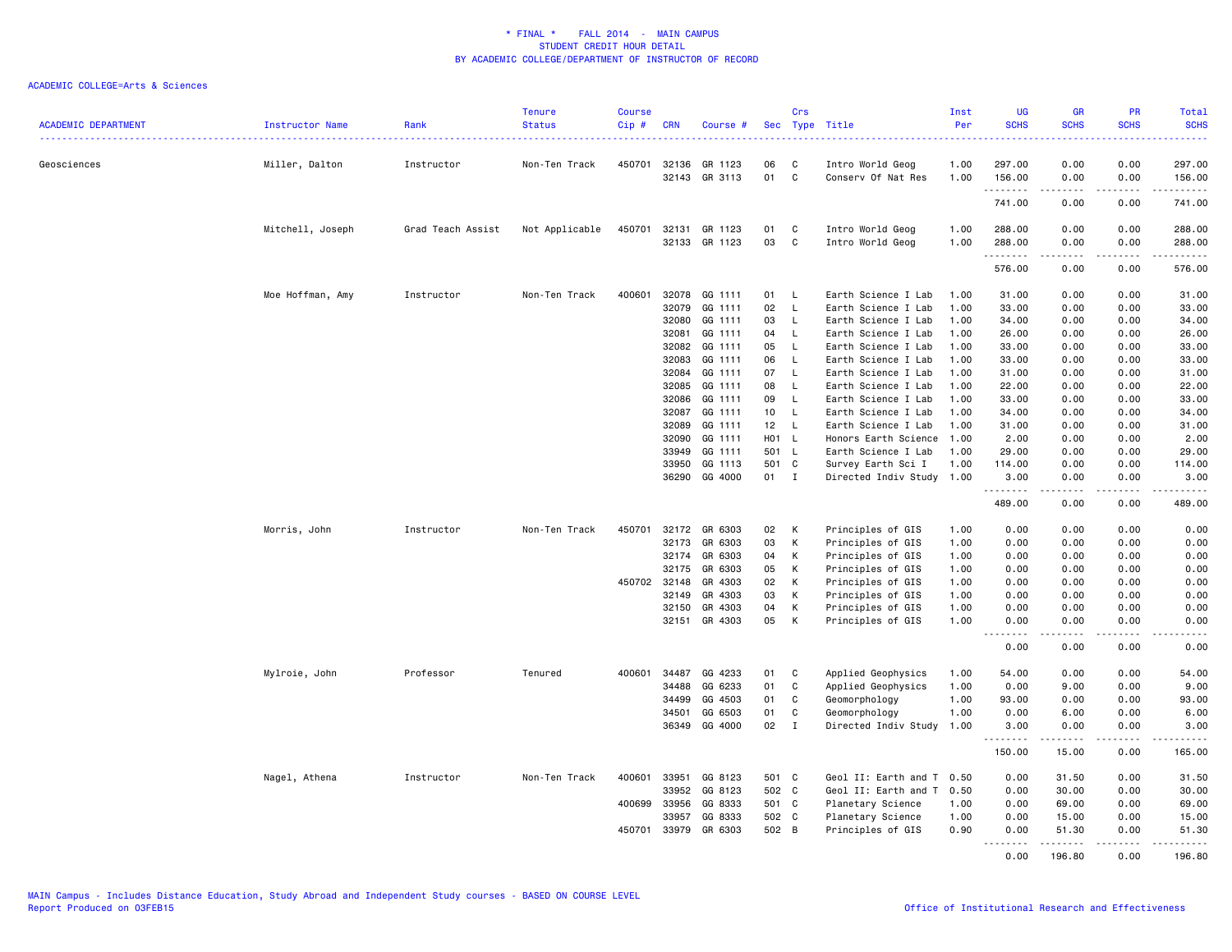| <b>ACADEMIC DEPARTMENT</b> | Instructor Name  | Rank              | <b>Tenure</b><br><b>Status</b> | <b>Course</b><br>Cip# | <b>CRN</b>     | Course #           | <b>Sec</b>  | Crs          | Type Title                                       | Inst<br>Per | <b>UG</b><br><b>SCHS</b>     | <b>GR</b><br><b>SCHS</b> | PR<br><b>SCHS</b><br>.       | <b>Total</b><br><b>SCHS</b><br>. |
|----------------------------|------------------|-------------------|--------------------------------|-----------------------|----------------|--------------------|-------------|--------------|--------------------------------------------------|-------------|------------------------------|--------------------------|------------------------------|----------------------------------|
| Geosciences                | Miller, Dalton   | Instructor        | Non-Ten Track                  | 450701                | 32136          | GR 1123            | 06          | C            | Intro World Geog                                 | 1.00        | 297.00                       | 0.00                     | 0.00                         | 297.00                           |
|                            |                  |                   |                                |                       | 32143          | GR 3113            | 01          | C            | Conserv Of Nat Res                               | 1.00        | 156.00<br>.                  | 0.00<br>.                | 0.00<br>.                    | 156.00<br>------                 |
|                            |                  |                   |                                |                       |                |                    |             |              |                                                  |             | 741.00                       | 0.00                     | 0.00                         | 741.00                           |
|                            | Mitchell, Joseph | Grad Teach Assist | Not Applicable                 | 450701                | 32131          | GR 1123            | 01          | C            | Intro World Geog                                 | 1.00        | 288.00                       | 0.00                     | 0.00                         | 288.00                           |
|                            |                  |                   |                                |                       | 32133          | GR 1123            | 03          | C            | Intro World Geog                                 | 1.00        | 288.00                       | 0.00                     | 0.00                         | 288.00                           |
|                            |                  |                   |                                |                       |                |                    |             |              |                                                  |             | .<br>576.00                  | 0.00                     | 0.00                         | .<br>576.00                      |
|                            | Moe Hoffman, Amy | Instructor        | Non-Ten Track                  | 400601                | 32078          | GG 1111            | 01          | L            | Earth Science I Lab                              | 1.00        | 31.00                        | 0.00                     | 0.00                         | 31.00                            |
|                            |                  |                   |                                |                       | 32079          | GG 1111            | 02          | L            | Earth Science I Lab                              | 1.00        | 33.00                        | 0.00                     | 0.00                         | 33.00                            |
|                            |                  |                   |                                |                       | 32080          | GG 1111            | 03          | L            | Earth Science I Lab                              | 1.00        | 34.00                        | 0.00                     | 0.00                         | 34.00                            |
|                            |                  |                   |                                |                       | 32081          | GG 1111            | 04          | L            | Earth Science I Lab                              | 1.00        | 26.00                        | 0.00                     | 0.00                         | 26.00                            |
|                            |                  |                   |                                |                       | 32082          | GG 1111            | 05          | $\mathsf{L}$ | Earth Science I Lab                              | 1.00        | 33.00                        | 0.00                     | 0.00                         | 33.00                            |
|                            |                  |                   |                                |                       | 32083          | GG 1111            | 06          | L            | Earth Science I Lab                              | 1.00        | 33.00                        | 0.00                     | 0.00                         | 33.00                            |
|                            |                  |                   |                                |                       | 32084          | GG 1111            | 07          | L            | Earth Science I Lab                              | 1.00        | 31.00                        | 0.00                     | 0.00                         | 31.00                            |
|                            |                  |                   |                                |                       | 32085          | GG 1111            | 08          | $\mathsf{L}$ | Earth Science I Lab                              | 1.00        | 22.00                        | 0.00                     | 0.00                         | 22.00                            |
|                            |                  |                   |                                |                       | 32086          | GG 1111            | 09          | L            | Earth Science I Lab                              | 1.00        | 33.00                        | 0.00                     | 0.00                         | 33.00                            |
|                            |                  |                   |                                |                       | 32087          | GG 1111            | 10          | L            | Earth Science I Lab                              | 1.00        | 34.00                        | 0.00                     | 0.00                         | 34.00                            |
|                            |                  |                   |                                |                       | 32089          | GG 1111            | 12<br>H01 L | L            | Earth Science I Lab<br>Honors Earth Science 1.00 | 1.00        | 31.00                        | 0.00                     | 0.00                         | 31.00<br>2.00                    |
|                            |                  |                   |                                |                       | 32090<br>33949 | GG 1111<br>GG 1111 | 501 L       |              | Earth Science I Lab                              | 1.00        | 2.00<br>29.00                | 0.00<br>0.00             | 0.00<br>0.00                 | 29.00                            |
|                            |                  |                   |                                |                       | 33950          | GG 1113            | 501         | C            | Survey Earth Sci I                               | 1.00        | 114.00                       | 0.00                     | 0.00                         | 114.00                           |
|                            |                  |                   |                                |                       | 36290          | GG 4000            | 01          | $\mathbf I$  | Directed Indiv Study 1.00                        |             | 3.00                         | 0.00                     | 0.00                         | 3.00                             |
|                            |                  |                   |                                |                       |                |                    |             |              |                                                  |             | .                            | .                        | .                            | .                                |
|                            |                  |                   |                                |                       |                |                    |             |              |                                                  |             | 489.00                       | 0.00                     | 0.00                         | 489.00                           |
|                            | Morris, John     | Instructor        | Non-Ten Track                  | 450701                | 32172          | GR 6303            | 02          | К            | Principles of GIS                                | 1.00        | 0.00                         | 0.00                     | 0.00                         | 0.00                             |
|                            |                  |                   |                                |                       | 32173          | GR 6303            | 03          | K            | Principles of GIS                                | 1.00        | 0.00                         | 0.00                     | 0.00                         | 0.00                             |
|                            |                  |                   |                                |                       | 32174          | GR 6303            | 04          | К            | Principles of GIS                                | 1.00        | 0.00                         | 0.00                     | 0.00                         | 0.00                             |
|                            |                  |                   |                                |                       | 32175          | GR 6303            | 05          | K            | Principles of GIS                                | 1.00        | 0.00                         | 0.00                     | 0.00                         | 0.00                             |
|                            |                  |                   |                                | 450702                | 32148          | GR 4303            | 02          | K            | Principles of GIS                                | 1.00        | 0.00                         | 0.00                     | 0.00                         | 0.00                             |
|                            |                  |                   |                                |                       | 32149          | GR 4303            | 03          | К            | Principles of GIS                                | 1.00        | 0.00                         | 0.00                     | 0.00                         | 0.00                             |
|                            |                  |                   |                                |                       | 32150          | GR 4303            | 04          | К            | Principles of GIS                                | 1.00        | 0.00                         | 0.00                     | 0.00                         | 0.00                             |
|                            |                  |                   |                                |                       | 32151          | GR 4303            | 05          | K            | Principles of GIS                                | 1.00        | 0.00<br>$\sim$ $\sim$ $\sim$ | 0.00                     | 0.00<br>$\sim$ $\sim$ $\sim$ | 0.00<br>.                        |
|                            |                  |                   |                                |                       |                |                    |             |              |                                                  |             | 0.00                         | 0.00                     | 0.00                         | 0.00                             |
|                            | Mylroie, John    | Professor         | Tenured                        | 400601                | 34487          | GG 4233            | 01          | C            | Applied Geophysics                               | 1.00        | 54.00                        | 0.00                     | 0.00                         | 54.00                            |
|                            |                  |                   |                                |                       | 34488          | GG 6233            | 01          | C            | Applied Geophysics                               | 1.00        | 0.00                         | 9.00                     | 0.00                         | 9.00                             |
|                            |                  |                   |                                |                       | 34499          | GG 4503            | 01          | C            | Geomorphology                                    | 1.00        | 93.00                        | 0.00                     | 0.00                         | 93.00                            |
|                            |                  |                   |                                |                       | 34501          | GG 6503            | 01          | C            | Geomorphology                                    | 1.00        | 0.00                         | 6.00                     | 0.00                         | 6.00                             |
|                            |                  |                   |                                |                       | 36349          | GG 4000            | 02          | $\mathbf I$  | Directed Indiv Study                             | 1.00        | 3.00                         | 0.00                     | 0.00                         | 3.00                             |
|                            |                  |                   |                                |                       |                |                    |             |              |                                                  |             | .                            | .                        | .                            | .                                |
|                            |                  |                   |                                |                       |                |                    |             |              |                                                  |             | 150.00                       | 15.00                    | 0.00                         | 165.00                           |
|                            | Nagel, Athena    | Instructor        | Non-Ten Track                  | 400601                | 33951          | GG 8123            | 501         | C            | Geol II: Earth and T 0.50                        |             | 0.00                         | 31.50                    | 0.00                         | 31.50                            |
|                            |                  |                   |                                |                       | 33952          | GG 8123            | 502 C       |              | Geol II: Earth and T                             | 0.50        | 0.00                         | 30.00                    | 0.00                         | 30.00                            |
|                            |                  |                   |                                | 400699                | 33956          | GG 8333            | 501 C       |              | Planetary Science                                | 1.00        | 0.00                         | 69.00                    | 0.00                         | 69.00                            |
|                            |                  |                   |                                |                       | 33957          | GG 8333            | 502 C       |              | Planetary Science                                | 1.00        | 0.00                         | 15.00                    | 0.00                         | 15.00                            |
|                            |                  |                   |                                | 450701                | 33979          | GR 6303            | 502 B       |              | Principles of GIS                                | 0.90        | 0.00<br>.                    | 51.30<br>.               | 0.00<br>.                    | 51.30                            |
|                            |                  |                   |                                |                       |                |                    |             |              |                                                  |             | 0.00                         | 196.80                   | 0.00                         | 196.80                           |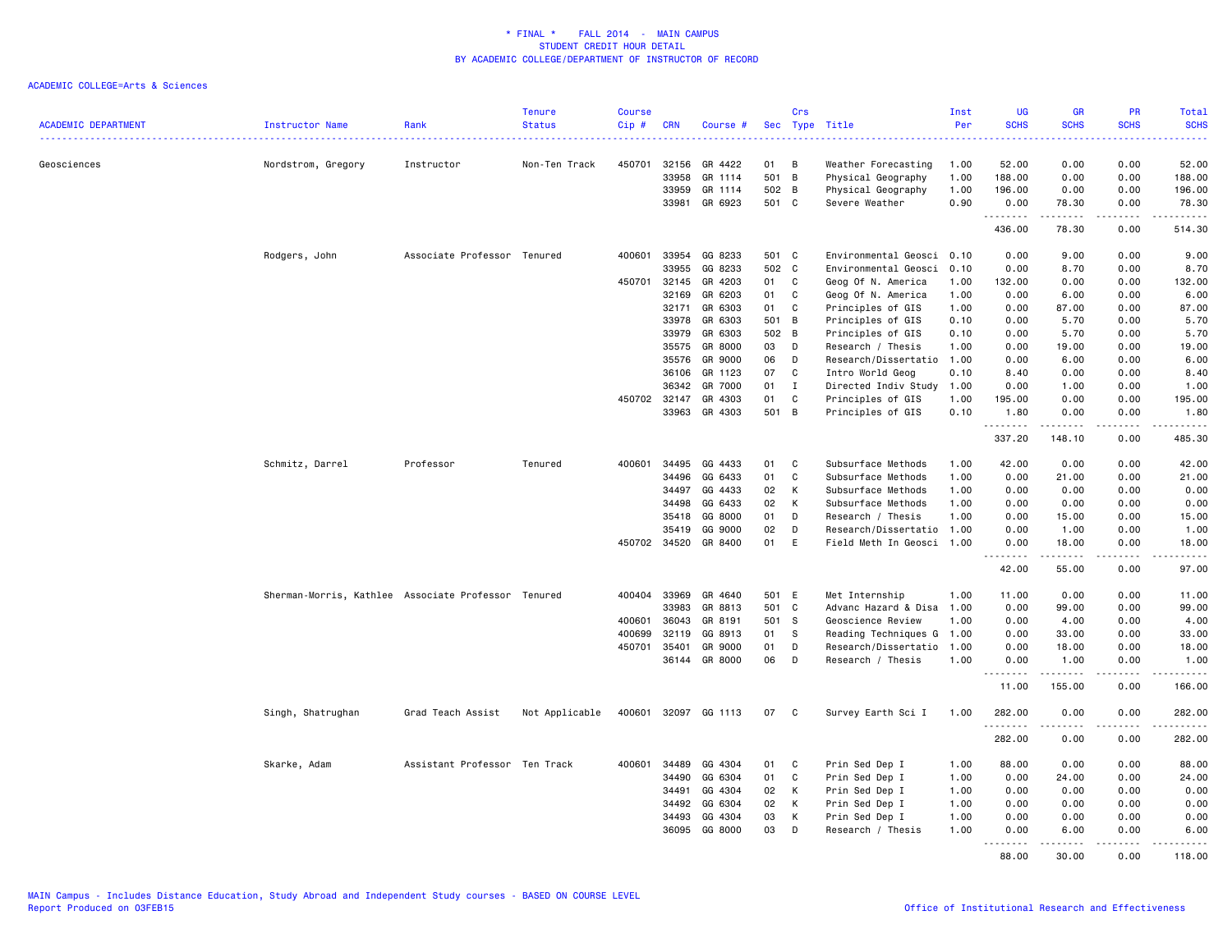| <b>ACADEMIC DEPARTMENT</b> | Instructor Name                                     | Rank                          | <b>Tenure</b><br><b>Status</b> | <b>Course</b><br>Cip# | <b>CRN</b>   | Course #             |       | Crs            | Sec Type Title            | Inst<br>Per | <b>UG</b><br><b>SCHS</b> | GR<br><b>SCHS</b>                                                                                                                                             | PR<br><b>SCHS</b> | <b>Total</b><br><b>SCHS</b>                                                                                                                                   |
|----------------------------|-----------------------------------------------------|-------------------------------|--------------------------------|-----------------------|--------------|----------------------|-------|----------------|---------------------------|-------------|--------------------------|---------------------------------------------------------------------------------------------------------------------------------------------------------------|-------------------|---------------------------------------------------------------------------------------------------------------------------------------------------------------|
|                            |                                                     |                               | .                              |                       |              |                      |       |                |                           |             |                          |                                                                                                                                                               | 2222)             | وبالمحام                                                                                                                                                      |
| Geosciences                | Nordstrom, Gregory                                  | Instructor                    | Non-Ten Track                  | 450701                | 32156        | GR 4422              | 01    | B              | Weather Forecasting       | 1.00        | 52.00                    | 0.00                                                                                                                                                          | 0.00              | 52.00                                                                                                                                                         |
|                            |                                                     |                               |                                |                       | 33958        | GR 1114              | 501   | B              | Physical Geography        | 1.00        | 188.00                   | 0.00                                                                                                                                                          | 0.00              | 188.00                                                                                                                                                        |
|                            |                                                     |                               |                                |                       | 33959        | GR 1114              | 502   | B              | Physical Geography        | 1.00        | 196.00                   | 0.00                                                                                                                                                          | 0.00              | 196.00                                                                                                                                                        |
|                            |                                                     |                               |                                |                       | 33981        | GR 6923              | 501 C |                | Severe Weather            | 0.90        | 0.00<br>.                | 78.30<br>$\frac{1}{2} \left( \frac{1}{2} \right) \left( \frac{1}{2} \right) \left( \frac{1}{2} \right) \left( \frac{1}{2} \right) \left( \frac{1}{2} \right)$ | 0.00<br>.         | 78.30<br>.                                                                                                                                                    |
|                            |                                                     |                               |                                |                       |              |                      |       |                |                           |             | 436.00                   | 78.30                                                                                                                                                         | 0.00              | 514.30                                                                                                                                                        |
|                            | Rodgers, John                                       | Associate Professor Tenured   |                                | 400601                | 33954        | GG 8233              | 501 C |                | Environmental Geosci 0.10 |             | 0.00                     | 9.00                                                                                                                                                          | 0.00              | 9.00                                                                                                                                                          |
|                            |                                                     |                               |                                |                       | 33955        | GG 8233              | 502 C |                | Environmental Geosci      | 0.10        | 0.00                     | 8.70                                                                                                                                                          | 0.00              | 8.70                                                                                                                                                          |
|                            |                                                     |                               |                                | 450701                | 32145        | GR 4203              | 01    | C              | Geog Of N. America        | 1.00        | 132.00                   | 0.00                                                                                                                                                          | 0.00              | 132.00                                                                                                                                                        |
|                            |                                                     |                               |                                |                       | 32169        | GR 6203              | 01    | C              | Geog Of N. America        | 1.00        | 0.00                     | 6.00                                                                                                                                                          | 0.00              | 6.00                                                                                                                                                          |
|                            |                                                     |                               |                                |                       | 32171        | GR 6303              | 01    | C              | Principles of GIS         | 1.00        | 0.00                     | 87.00                                                                                                                                                         | 0.00              | 87.00                                                                                                                                                         |
|                            |                                                     |                               |                                |                       | 33978        | GR 6303              | 501   | B              | Principles of GIS         | 0.10        | 0.00                     | 5.70                                                                                                                                                          | 0.00              | 5.70                                                                                                                                                          |
|                            |                                                     |                               |                                |                       | 33979        | GR 6303              | 502   | B              | Principles of GIS         | 0.10        | 0.00                     | 5.70                                                                                                                                                          | 0.00              | 5.70                                                                                                                                                          |
|                            |                                                     |                               |                                |                       | 35575        | GR 8000              | 03    | D              | Research / Thesis         | 1.00        | 0.00                     | 19.00                                                                                                                                                         | 0.00              | 19.00                                                                                                                                                         |
|                            |                                                     |                               |                                |                       | 35576        | GR 9000              | 06    | D              | Research/Dissertatio      | 1.00        | 0.00                     | 6.00                                                                                                                                                          | 0.00              | 6.00                                                                                                                                                          |
|                            |                                                     |                               |                                |                       | 36106        | GR 1123              | 07    | C              | Intro World Geog          | 0.10        | 8.40                     | 0.00                                                                                                                                                          | 0.00              | 8.40                                                                                                                                                          |
|                            |                                                     |                               |                                |                       | 36342        | GR 7000              | 01    | $\mathbf I$    | Directed Indiv Study      | 1.00        | 0.00                     | 1.00                                                                                                                                                          | 0.00              | 1.00                                                                                                                                                          |
|                            |                                                     |                               |                                | 450702                | 32147        | GR 4303              | 01    | C              | Principles of GIS         | 1.00        | 195.00                   | 0.00                                                                                                                                                          | 0.00              | 195.00                                                                                                                                                        |
|                            |                                                     |                               |                                |                       | 33963        | GR 4303              | 501   | $\overline{B}$ | Principles of GIS         | 0.10        | 1.80<br><u>.</u>         | 0.00<br>.                                                                                                                                                     | 0.00<br>.         | 1.80<br>.                                                                                                                                                     |
|                            |                                                     |                               |                                |                       |              |                      |       |                |                           |             | 337.20                   | 148.10                                                                                                                                                        | 0.00              | 485.30                                                                                                                                                        |
|                            | Schmitz, Darrel                                     | Professor                     | Tenured                        | 400601                | 34495        | GG 4433              | 01    | C              | Subsurface Methods        | 1.00        | 42.00                    | 0.00                                                                                                                                                          | 0.00              | 42.00                                                                                                                                                         |
|                            |                                                     |                               |                                |                       | 34496        | GG 6433              | 01    | C              | Subsurface Methods        | 1.00        | 0.00                     | 21.00                                                                                                                                                         | 0.00              | 21.00                                                                                                                                                         |
|                            |                                                     |                               |                                |                       | 34497        | GG 4433              | 02    | К              | Subsurface Methods        | 1.00        | 0.00                     | 0.00                                                                                                                                                          | 0.00              | 0.00                                                                                                                                                          |
|                            |                                                     |                               |                                |                       | 34498        | GG 6433              | 02    | K              | Subsurface Methods        | 1.00        | 0.00                     | 0.00                                                                                                                                                          | 0.00              | 0.00                                                                                                                                                          |
|                            |                                                     |                               |                                |                       | 35418        | GG 8000              | 01    | D              | Research / Thesis         | 1.00        | 0.00                     | 15.00                                                                                                                                                         | 0.00              | 15.00                                                                                                                                                         |
|                            |                                                     |                               |                                |                       | 35419        | GG 9000              | 02    | D              | Research/Dissertatio 1.00 |             | 0.00                     | 1.00                                                                                                                                                          | 0.00              | 1.00                                                                                                                                                          |
|                            |                                                     |                               |                                |                       | 450702 34520 | GR 8400              | 01    | E              | Field Meth In Geosci 1.00 |             | 0.00<br>.                | 18.00<br>$\frac{1}{2} \left( \frac{1}{2} \right) \left( \frac{1}{2} \right) \left( \frac{1}{2} \right) \left( \frac{1}{2} \right) \left( \frac{1}{2} \right)$ | 0.00<br>.         | 18,00<br>$\frac{1}{2} \left( \frac{1}{2} \right) \left( \frac{1}{2} \right) \left( \frac{1}{2} \right) \left( \frac{1}{2} \right) \left( \frac{1}{2} \right)$ |
|                            |                                                     |                               |                                |                       |              |                      |       |                |                           |             | 42.00                    | 55.00                                                                                                                                                         | 0.00              | 97.00                                                                                                                                                         |
|                            | Sherman-Morris, Kathlee Associate Professor Tenured |                               |                                | 400404                | 33969        | GR 4640              | 501   | E              | Met Internship            | 1.00        | 11.00                    | 0.00                                                                                                                                                          | 0.00              | 11.00                                                                                                                                                         |
|                            |                                                     |                               |                                |                       | 33983        | GR 8813              | 501   | C              | Advanc Hazard & Disa      | 1.00        | 0.00                     | 99.00                                                                                                                                                         | 0.00              | 99.00                                                                                                                                                         |
|                            |                                                     |                               |                                | 400601                | 36043        | GR 8191              | 501 S |                | Geoscience Review         | 1.00        | 0.00                     | 4.00                                                                                                                                                          | 0.00              | 4.00                                                                                                                                                          |
|                            |                                                     |                               |                                | 400699                | 32119        | GG 8913              | 01    | S              | Reading Techniques G 1.00 |             | 0.00                     | 33.00                                                                                                                                                         | 0.00              | 33.00                                                                                                                                                         |
|                            |                                                     |                               |                                | 450701                | 35401        | GR 9000              | 01    | D              | Research/Dissertatio 1.00 |             | 0.00                     | 18.00                                                                                                                                                         | 0.00              | 18.00                                                                                                                                                         |
|                            |                                                     |                               |                                |                       | 36144        | GR 8000              | 06    | D              | Research / Thesis         | 1.00        | 0.00<br>.                | 1.00<br>$- - - -$                                                                                                                                             | 0.00<br>.         | 1.00<br>$    -$                                                                                                                                               |
|                            |                                                     |                               |                                |                       |              |                      |       |                |                           |             | 11.00                    | 155.00                                                                                                                                                        | 0.00              | 166.00                                                                                                                                                        |
|                            | Singh, Shatrughan                                   | Grad Teach Assist             | Not Applicable                 |                       |              | 400601 32097 GG 1113 | 07    | C              | Survey Earth Sci I        | 1.00        | 282.00<br>.              | 0.00<br>.                                                                                                                                                     | 0.00<br>$- - - -$ | 282.00<br>.                                                                                                                                                   |
|                            |                                                     |                               |                                |                       |              |                      |       |                |                           |             | 282.00                   | 0.00                                                                                                                                                          | 0.00              | 282.00                                                                                                                                                        |
|                            | Skarke, Adam                                        | Assistant Professor Ten Track |                                | 400601                | 34489        | GG 4304              | 01    | C              | Prin Sed Dep I            | 1.00        | 88.00                    | 0.00                                                                                                                                                          | 0.00              | 88.00                                                                                                                                                         |
|                            |                                                     |                               |                                |                       | 34490        | GG 6304              | 01    | C              | Prin Sed Dep I            | 1.00        | 0.00                     | 24.00                                                                                                                                                         | 0.00              | 24.00                                                                                                                                                         |
|                            |                                                     |                               |                                |                       | 34491        | GG 4304              | 02    | К              | Prin Sed Dep I            | 1.00        | 0.00                     | 0.00                                                                                                                                                          | 0.00              | 0.00                                                                                                                                                          |
|                            |                                                     |                               |                                |                       | 34492        | GG 6304              | 02    | К              | Prin Sed Dep I            | 1.00        | 0.00                     | 0.00                                                                                                                                                          | 0.00              | 0.00                                                                                                                                                          |
|                            |                                                     |                               |                                |                       | 34493        | GG 4304              | 03    | K              | Prin Sed Dep I            | 1.00        | 0.00                     | 0.00                                                                                                                                                          | 0.00              | 0.00                                                                                                                                                          |
|                            |                                                     |                               |                                |                       | 36095        | GG 8000              | 03    | D              | Research / Thesis         | 1.00        | 0.00<br>.                | 6.00                                                                                                                                                          | 0.00<br>.         | 6.00<br>.                                                                                                                                                     |
|                            |                                                     |                               |                                |                       |              |                      |       |                |                           |             | 88.00                    | 30.00                                                                                                                                                         | 0.00              | 118,00                                                                                                                                                        |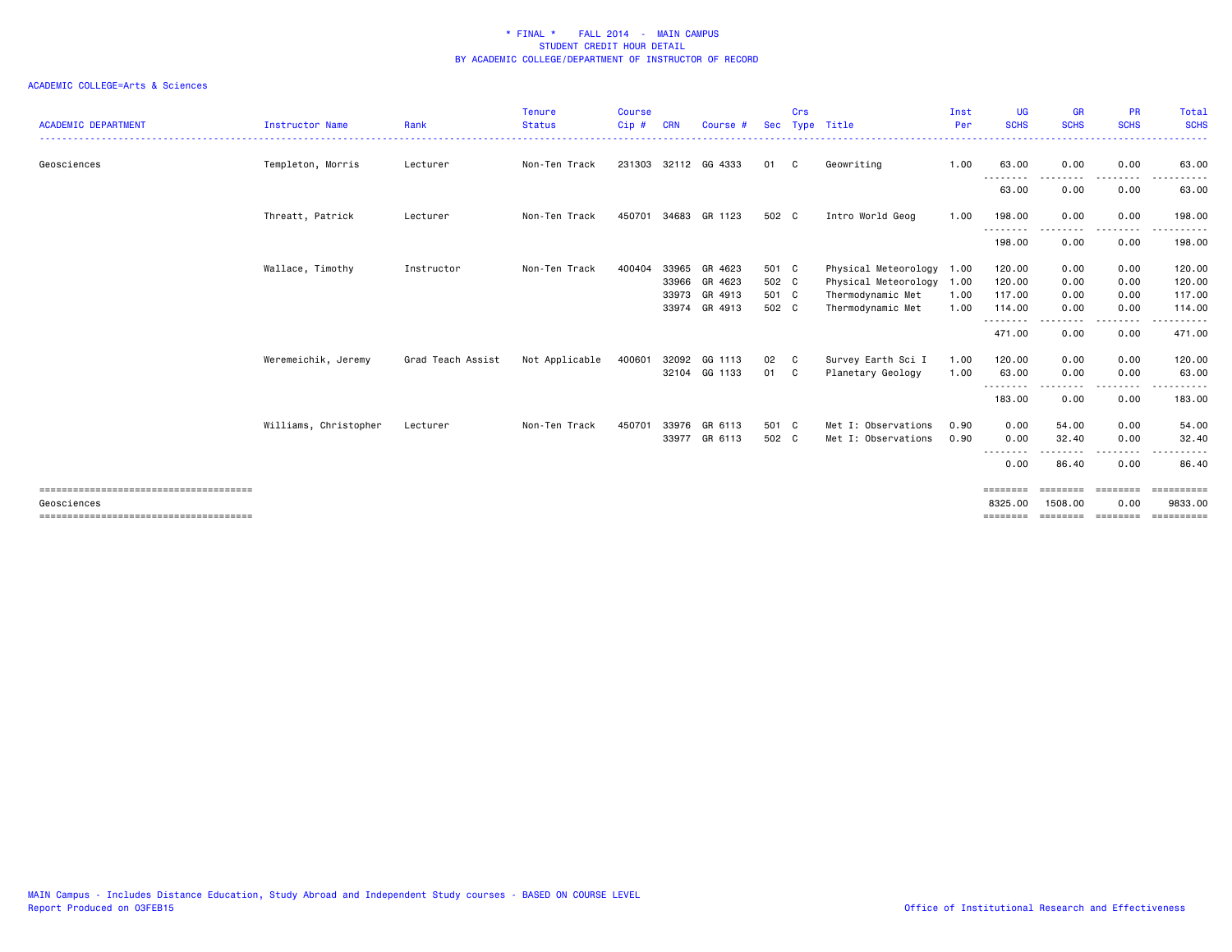| <b>ACADEMIC DEPARTMENT</b> | <b>Instructor Name</b> | Rank              | <b>Tenure</b><br><b>Status</b> | <b>Course</b><br>Cip # | <b>CRN</b> | Course #             | <b>Sec</b> | Crs | Type Title                | Inst<br>Per | <b>UG</b><br><b>SCHS</b>                                                                                                                                                                                                                                                                                                                                                                                  | <b>GR</b><br><b>SCHS</b> | <b>PR</b><br><b>SCHS</b> | Total<br><b>SCHS</b>  |
|----------------------------|------------------------|-------------------|--------------------------------|------------------------|------------|----------------------|------------|-----|---------------------------|-------------|-----------------------------------------------------------------------------------------------------------------------------------------------------------------------------------------------------------------------------------------------------------------------------------------------------------------------------------------------------------------------------------------------------------|--------------------------|--------------------------|-----------------------|
| Geosciences                | Templeton, Morris      | Lecturer          | Non-Ten Track                  |                        |            | 231303 32112 GG 4333 | 01         | C   | Geowriting                | 1.00        | 63.00                                                                                                                                                                                                                                                                                                                                                                                                     | 0.00                     | 0.00                     | 63,00                 |
|                            |                        |                   |                                |                        |            |                      |            |     |                           |             | --------<br>63.00                                                                                                                                                                                                                                                                                                                                                                                         | --------<br>0.00         | .<br>0.00                | .<br>63.00            |
|                            | Threatt, Patrick       | Lecturer          | Non-Ten Track                  | 450701 34683           |            | GR 1123              | 502 C      |     | Intro World Geog          | 1.00        | 198.00                                                                                                                                                                                                                                                                                                                                                                                                    | 0.00                     | 0.00                     | 198.00                |
|                            |                        |                   |                                |                        |            |                      |            |     |                           |             | --------<br>198.00                                                                                                                                                                                                                                                                                                                                                                                        | 0.00                     | $\cdots$<br>0.00         | ------<br>198.00      |
|                            | Wallace, Timothy       | Instructor        | Non-Ten Track                  | 400404                 | 33965      | GR 4623              | 501 C      |     | Physical Meteorology 1.00 |             | 120.00                                                                                                                                                                                                                                                                                                                                                                                                    | 0.00                     | 0.00                     | 120.00                |
|                            |                        |                   |                                |                        | 33966      | GR 4623              | 502 C      |     | Physical Meteorology 1.00 |             | 120.00                                                                                                                                                                                                                                                                                                                                                                                                    | 0.00                     | 0.00                     | 120.00                |
|                            |                        |                   |                                |                        | 33973      | GR 4913              | 501 C      |     | Thermodynamic Met         | 1.00        | 117.00                                                                                                                                                                                                                                                                                                                                                                                                    | 0.00                     | 0.00                     | 117.00                |
|                            |                        |                   |                                |                        | 33974      | GR 4913              | 502 C      |     | Thermodynamic Met         | 1.00        | 114.00                                                                                                                                                                                                                                                                                                                                                                                                    | 0.00                     | 0.00                     | 114.00                |
|                            |                        |                   |                                |                        |            |                      |            |     |                           |             | - - - - - - - -<br>471.00                                                                                                                                                                                                                                                                                                                                                                                 | .<br>0.00                | ----<br>0.00             | .<br>471.00           |
|                            | Weremeichik, Jeremy    | Grad Teach Assist | Not Applicable                 | 400601                 |            | 32092 GG 1113        | 02         | C   | Survey Earth Sci I        | 1.00        | 120.00                                                                                                                                                                                                                                                                                                                                                                                                    | 0.00                     | 0.00                     | 120.00                |
|                            |                        |                   |                                |                        |            | 32104 GG 1133        | 01         | C.  | Planetary Geology         | 1.00        | 63.00                                                                                                                                                                                                                                                                                                                                                                                                     | 0.00                     | 0.00                     | 63.00                 |
|                            |                        |                   |                                |                        |            |                      |            |     |                           |             | --------<br>183.00                                                                                                                                                                                                                                                                                                                                                                                        | 0.00                     | - - - -<br>0.00          | .<br>183.00           |
|                            | Williams, Christopher  | Lecturer          | Non-Ten Track                  | 450701                 | 33976      | GR 6113              | 501 C      |     | Met I: Observations       | 0.90        | 0.00                                                                                                                                                                                                                                                                                                                                                                                                      | 54.00                    | 0.00                     | 54.00                 |
|                            |                        |                   |                                |                        | 33977      | GR 6113              | 502 C      |     | Met I: Observations       | 0.90        | 0.00                                                                                                                                                                                                                                                                                                                                                                                                      | 32.40                    | 0.00                     | 32.40                 |
|                            |                        |                   |                                |                        |            |                      |            |     |                           |             | .<br>$\frac{1}{2} \frac{1}{2} \frac{1}{2} \frac{1}{2} \frac{1}{2} \frac{1}{2} \frac{1}{2} \frac{1}{2} \frac{1}{2} \frac{1}{2} \frac{1}{2} \frac{1}{2} \frac{1}{2} \frac{1}{2} \frac{1}{2} \frac{1}{2} \frac{1}{2} \frac{1}{2} \frac{1}{2} \frac{1}{2} \frac{1}{2} \frac{1}{2} \frac{1}{2} \frac{1}{2} \frac{1}{2} \frac{1}{2} \frac{1}{2} \frac{1}{2} \frac{1}{2} \frac{1}{2} \frac{1}{2} \frac{$<br>0.00 | 86.40                    | .<br>0.00                | .<br>86.40            |
|                            |                        |                   |                                |                        |            |                      |            |     |                           |             | ========                                                                                                                                                                                                                                                                                                                                                                                                  | $=$ = = = = = = =        | ========                 | $=$ ==========        |
| Geosciences                |                        |                   |                                |                        |            |                      |            |     |                           |             | 8325.00                                                                                                                                                                                                                                                                                                                                                                                                   | 1508.00                  | 0.00                     | 9833.00               |
|                            |                        |                   |                                |                        |            |                      |            |     |                           |             | ========                                                                                                                                                                                                                                                                                                                                                                                                  | SEERSEES SEERSEES        |                          | $=$ = = = = = = = = = |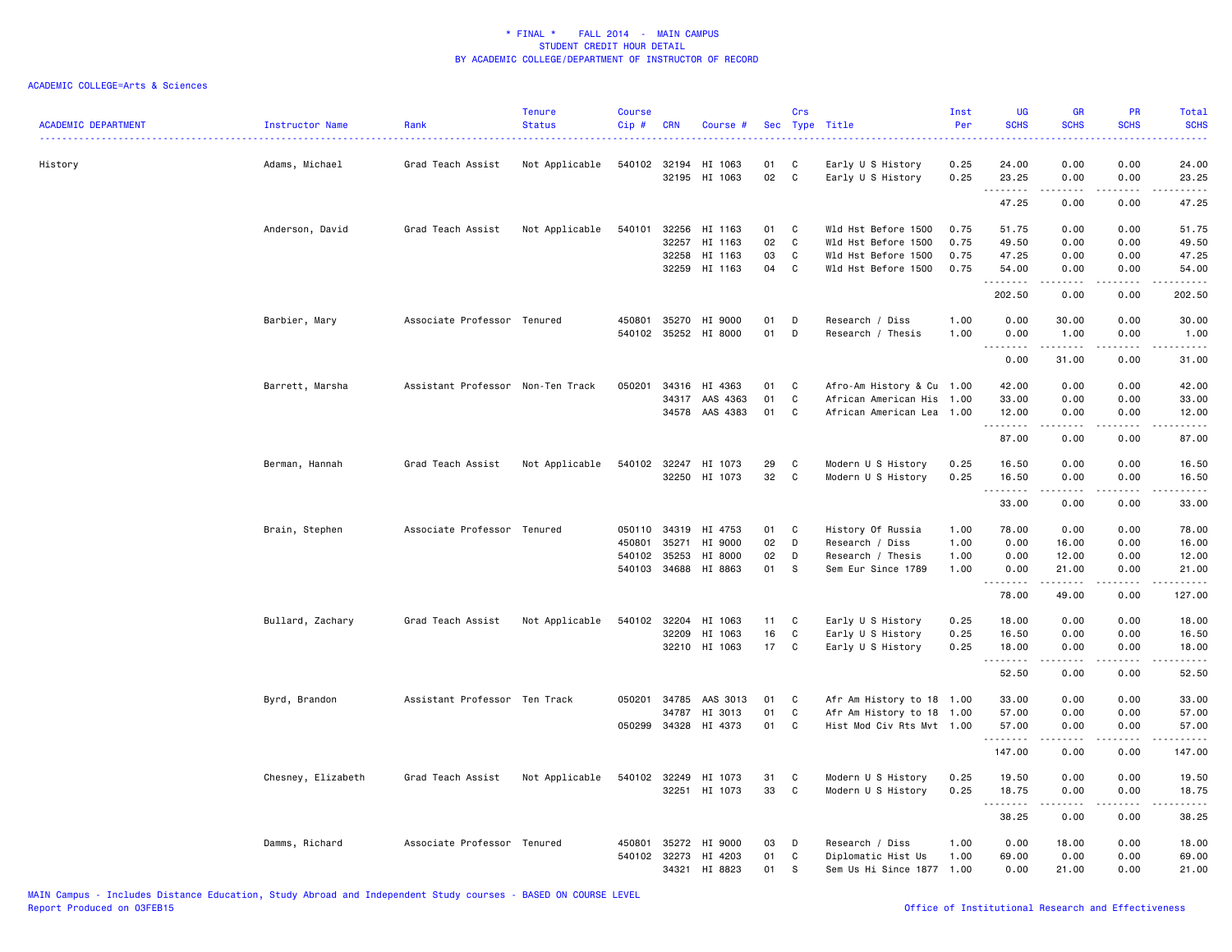| <b>ACADEMIC DEPARTMENT</b> | Instructor Name    | Rank                              | Tenure<br><b>Status</b> | Course<br>$Cip$ # | <b>CRN</b>            | Course #             | Sec      | Crs<br>Type | Title                                      | Inst<br>Per  | <b>UG</b><br><b>SCHS</b> | <b>GR</b><br><b>SCHS</b>                                                                          | PR<br><b>SCHS</b>           | Total<br><b>SCHS</b><br>$\frac{1}{2} \left( \frac{1}{2} \right) \left( \frac{1}{2} \right) \left( \frac{1}{2} \right) \left( \frac{1}{2} \right) \left( \frac{1}{2} \right)$ |
|----------------------------|--------------------|-----------------------------------|-------------------------|-------------------|-----------------------|----------------------|----------|-------------|--------------------------------------------|--------------|--------------------------|---------------------------------------------------------------------------------------------------|-----------------------------|------------------------------------------------------------------------------------------------------------------------------------------------------------------------------|
| History                    | Adams, Michael     | Grad Teach Assist                 | Not Applicable          |                   | 540102 32194<br>32195 | HI 1063<br>HI 1063   | 01<br>02 | C<br>C      | Early U S History<br>Early U S History     | 0.25<br>0.25 | 24.00<br>23.25           | 0.00<br>0.00                                                                                      | 0.00<br>0.00                | 24.00<br>23.25                                                                                                                                                               |
|                            |                    |                                   |                         |                   |                       |                      |          |             |                                            |              | .<br>47.25               | $\frac{1}{2}$<br>0.00                                                                             | .<br>0.00                   | .<br>47.25                                                                                                                                                                   |
|                            |                    |                                   |                         |                   |                       |                      |          |             |                                            |              |                          |                                                                                                   |                             |                                                                                                                                                                              |
|                            | Anderson, David    | Grad Teach Assist                 | Not Applicable          | 540101            | 32256                 | HI 1163              | 01       | C           | Wld Hst Before 1500                        | 0.75         | 51.75                    | 0.00                                                                                              | 0.00                        | 51.75                                                                                                                                                                        |
|                            |                    |                                   |                         |                   | 32257<br>32258        | HI 1163<br>HI 1163   | 02<br>03 | C<br>C      | Wld Hst Before 1500<br>Wld Hst Before 1500 | 0.75<br>0.75 | 49.50<br>47.25           | 0.00<br>0.00                                                                                      | 0.00<br>0.00                | 49.50<br>47.25                                                                                                                                                               |
|                            |                    |                                   |                         |                   |                       | 32259 HI 1163        | 04       | C           | Wld Hst Before 1500                        | 0.75         | 54.00                    | 0.00                                                                                              | 0.00                        | 54.00                                                                                                                                                                        |
|                            |                    |                                   |                         |                   |                       |                      |          |             |                                            |              | .                        |                                                                                                   | $\sim$ $\sim$ $\sim$ $\sim$ | $\sim$ $\sim$ $\sim$ $\sim$ $\sim$                                                                                                                                           |
|                            |                    |                                   |                         |                   |                       |                      |          |             |                                            |              | 202.50                   | 0.00                                                                                              | 0.00                        | 202.50                                                                                                                                                                       |
|                            | Barbier, Mary      | Associate Professor Tenured       |                         |                   | 450801 35270          | HI 9000              | 01       | D           | Research / Diss                            | 1.00         | 0.00                     | 30.00                                                                                             | 0.00                        | 30.00                                                                                                                                                                        |
|                            |                    |                                   |                         |                   |                       | 540102 35252 HI 8000 | 01       | D           | Research / Thesis                          | 1.00         | 0.00                     | 1.00                                                                                              | 0.00                        | 1.00                                                                                                                                                                         |
|                            |                    |                                   |                         |                   |                       |                      |          |             |                                            |              | .<br>0.00                | .<br>31.00                                                                                        | د د د د<br>0.00             | .<br>31.00                                                                                                                                                                   |
|                            | Barrett, Marsha    | Assistant Professor Non-Ten Track |                         | 050201            |                       | 34316 HI 4363        | 01       | C           | Afro-Am History & Cu 1.00                  |              | 42.00                    | 0.00                                                                                              | 0.00                        | 42.00                                                                                                                                                                        |
|                            |                    |                                   |                         |                   | 34317                 | AAS 4363             | 01       | C           | African American His                       | 1.00         | 33.00                    | 0.00                                                                                              | 0.00                        | 33.00                                                                                                                                                                        |
|                            |                    |                                   |                         |                   | 34578                 | AAS 4383             | 01       | C           | African American Lea                       | 1.00         | 12.00                    | 0.00                                                                                              | 0.00                        | 12.00                                                                                                                                                                        |
|                            |                    |                                   |                         |                   |                       |                      |          |             |                                            |              | .<br>87.00               | .<br>0.00                                                                                         | المستبدا<br>0.00            | .<br>87.00                                                                                                                                                                   |
|                            |                    |                                   |                         |                   |                       |                      |          |             |                                            |              |                          |                                                                                                   |                             |                                                                                                                                                                              |
|                            | Berman, Hannah     | Grad Teach Assist                 | Not Applicable          | 540102            | 32247                 | HI 1073              | 29       | C           | Modern U S History                         | 0.25         | 16.50                    | 0.00                                                                                              | 0.00                        | 16.50                                                                                                                                                                        |
|                            |                    |                                   |                         |                   |                       | 32250 HI 1073        | 32       | C           | Modern U S History                         | 0.25         | 16.50                    | 0.00                                                                                              | 0.00                        | 16.50                                                                                                                                                                        |
|                            |                    |                                   |                         |                   |                       |                      |          |             |                                            |              | .<br>33.00               | -----<br>0.00                                                                                     | 0.00                        | .<br>33.00                                                                                                                                                                   |
|                            | Brain, Stephen     | Associate Professor Tenured       |                         | 050110            | 34319                 | HI 4753              | 01       | C           | History Of Russia                          | 1.00         | 78.00                    | 0.00                                                                                              | 0.00                        | 78.00                                                                                                                                                                        |
|                            |                    |                                   |                         | 450801            | 35271                 | HI 9000              | 02       | D           | Research / Diss                            | 1.00         | 0.00                     | 16.00                                                                                             | 0.00                        | 16.00                                                                                                                                                                        |
|                            |                    |                                   |                         |                   | 540102 35253          | HI 8000              | 02       | D           | Research / Thesis                          | 1.00         | 0.00                     | 12.00                                                                                             | 0.00                        | 12.00                                                                                                                                                                        |
|                            |                    |                                   |                         |                   | 540103 34688          | HI 8863              | 01       | - S         | Sem Eur Since 1789                         | 1.00         | 0.00<br><u>.</u>         | 21.00<br>. <u>.</u>                                                                               | 0.00<br>.                   | 21.00<br>.                                                                                                                                                                   |
|                            |                    |                                   |                         |                   |                       |                      |          |             |                                            |              | 78.00                    | 49.00                                                                                             | 0.00                        | 127.00                                                                                                                                                                       |
|                            | Bullard, Zachary   | Grad Teach Assist                 | Not Applicable          | 540102            | 32204                 | HI 1063              | 11       | C           | Early U S History                          | 0.25         | 18.00                    | 0.00                                                                                              | 0.00                        | 18.00                                                                                                                                                                        |
|                            |                    |                                   |                         |                   | 32209                 | HI 1063              | 16       | C           | Early U S History                          | 0.25         | 16.50                    | 0.00                                                                                              | 0.00                        | 16.50                                                                                                                                                                        |
|                            |                    |                                   |                         |                   |                       | 32210 HI 1063        | 17       | C           | Early U S History                          | 0.25         | 18.00                    | 0.00                                                                                              | 0.00                        | 18.00                                                                                                                                                                        |
|                            |                    |                                   |                         |                   |                       |                      |          |             |                                            |              | .<br>52.50               | .<br>0.00                                                                                         | .<br>0.00                   | .<br>52.50                                                                                                                                                                   |
|                            | Byrd, Brandon      | Assistant Professor Ten Track     |                         | 050201            | 34785                 | AAS 3013             | 01       | C           | Afr Am History to 18 1.00                  |              | 33.00                    | 0.00                                                                                              | 0.00                        | 33.00                                                                                                                                                                        |
|                            |                    |                                   |                         |                   | 34787                 | HI 3013              | 01       | C           | Afr Am History to 18 1.00                  |              | 57.00                    | 0.00                                                                                              | 0.00                        | 57.00                                                                                                                                                                        |
|                            |                    |                                   |                         |                   | 050299 34328          | HI 4373              | 01       | C           | Hist Mod Civ Rts Mvt 1.00                  |              | 57.00                    | 0.00                                                                                              | 0.00                        | 57.00                                                                                                                                                                        |
|                            |                    |                                   |                         |                   |                       |                      |          |             |                                            |              | .                        | $\begin{array}{cccccccccc} \bullet & \bullet & \bullet & \bullet & \bullet & \bullet \end{array}$ | د د د د                     | .                                                                                                                                                                            |
|                            |                    |                                   |                         |                   |                       |                      |          |             |                                            |              | 147.00                   | 0.00                                                                                              | 0.00                        | 147.00                                                                                                                                                                       |
|                            | Chesney, Elizabeth | Grad Teach Assist                 | Not Applicable          |                   |                       | 540102 32249 HI 1073 | 31       | C           | Modern U S History                         | 0.25         | 19.50                    | 0.00                                                                                              | 0.00                        | 19.50                                                                                                                                                                        |
|                            |                    |                                   |                         |                   |                       | 32251 HI 1073        | 33       | C           | Modern U S History                         | 0.25         | 18.75<br>.               | 0.00<br>------                                                                                    | 0.00<br>-----               | 18.75<br>.                                                                                                                                                                   |
|                            |                    |                                   |                         |                   |                       |                      |          |             |                                            |              | 38.25                    | 0.00                                                                                              | 0.00                        | 38.25                                                                                                                                                                        |
|                            | Damms, Richard     | Associate Professor Tenured       |                         |                   | 450801 35272          | HI 9000              | 03       | D           | Research / Diss                            | 1.00         | 0.00                     | 18.00                                                                                             | 0.00                        | 18.00                                                                                                                                                                        |
|                            |                    |                                   |                         |                   | 540102 32273          | HI 4203              | 01       | C           | Diplomatic Hist Us                         | 1.00         | 69.00                    | 0.00                                                                                              | 0.00                        | 69.00                                                                                                                                                                        |
|                            |                    |                                   |                         |                   | 34321                 | HI 8823              | 01       | S           | Sem Us Hi Since 1877 1.00                  |              | 0.00                     | 21.00                                                                                             | 0.00                        | 21.00                                                                                                                                                                        |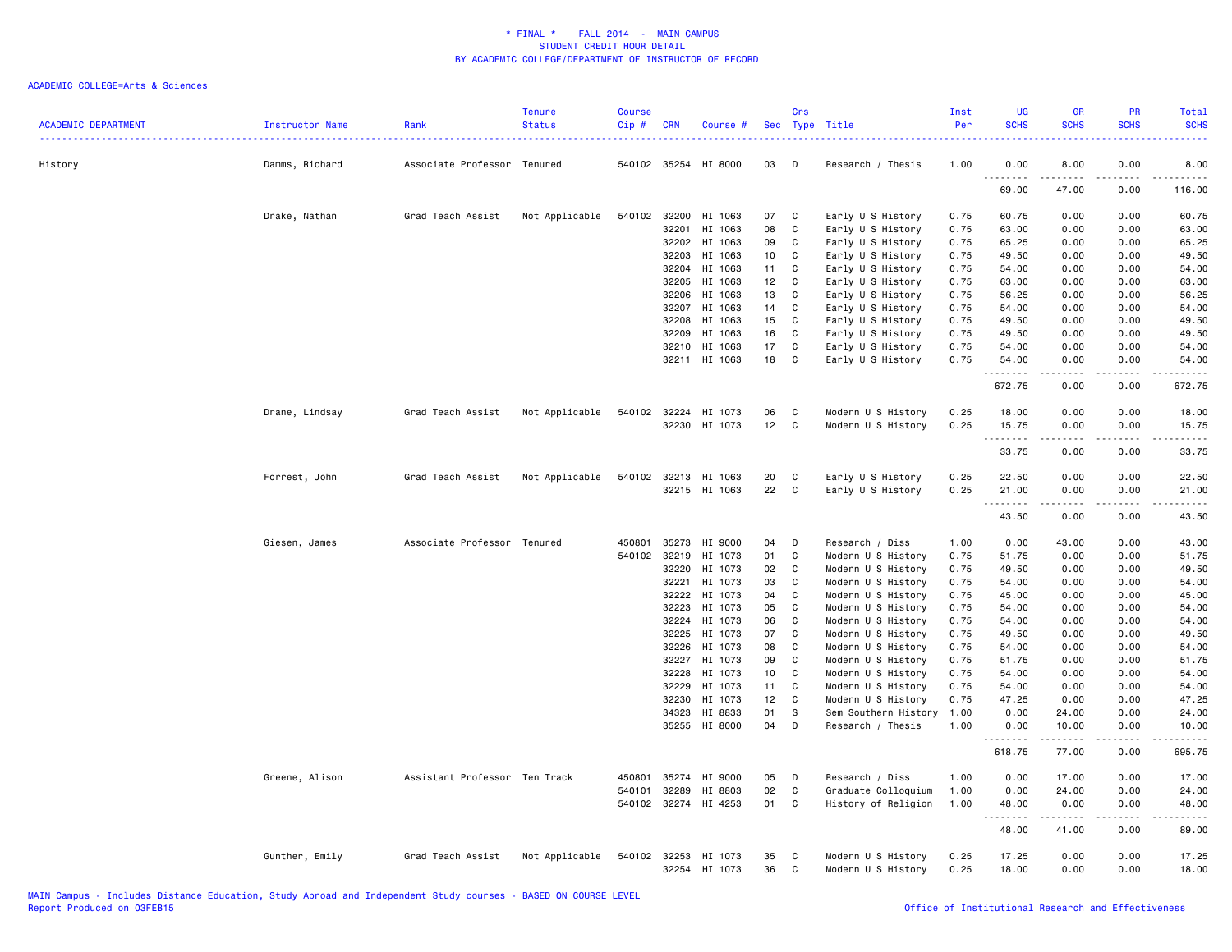| <b>ACADEMIC DEPARTMENT</b> | Instructor Name | Rank                          | <b>Tenure</b><br><b>Status</b> | <b>Course</b><br>Cip# | <b>CRN</b>     | Course #                        |          | Crs          | Sec Type Title                           | Inst<br>Per  | <b>UG</b><br><b>SCHS</b> | <b>GR</b><br><b>SCHS</b> | <b>PR</b><br><b>SCHS</b> | <b>Total</b><br><b>SCHS</b> |
|----------------------------|-----------------|-------------------------------|--------------------------------|-----------------------|----------------|---------------------------------|----------|--------------|------------------------------------------|--------------|--------------------------|--------------------------|--------------------------|-----------------------------|
| History                    | Damms, Richard  | Associate Professor Tenured   |                                |                       |                | 540102 35254 HI 8000            | 03       | D            | Research / Thesis                        | 1.00         | 0.00                     | 8.00                     | 0.00                     | 8.00                        |
|                            |                 |                               |                                |                       |                |                                 |          |              |                                          |              | .<br>69.00               | 47.00                    | 0.00                     | .<br>116.00                 |
|                            | Drake, Nathan   | Grad Teach Assist             | Not Applicable                 | 540102                | 32200          | HI 1063                         | 07       | C            | Early U S History                        | 0.75         | 60.75                    | 0.00                     | 0.00                     | 60.75                       |
|                            |                 |                               |                                |                       | 32201          | HI 1063                         | 08       | C            | Early U S History                        | 0.75         | 63.00                    | 0.00                     | 0.00                     | 63.00                       |
|                            |                 |                               |                                |                       | 32202          | HI 1063                         | 09       | C            | Early U S History                        | 0.75         | 65.25                    | 0.00                     | 0.00                     | 65.25                       |
|                            |                 |                               |                                |                       | 32203          | HI 1063                         | 10       | C            | Early U S History                        | 0.75         | 49.50                    | 0.00                     | 0.00                     | 49.50                       |
|                            |                 |                               |                                |                       | 32204          | HI 1063                         | 11       | C            | Early U S History                        | 0.75         | 54.00                    | 0.00                     | 0.00                     | 54.00                       |
|                            |                 |                               |                                |                       | 32205          | HI 1063                         | 12       | C            | Early U S History                        | 0.75         | 63.00                    | 0.00                     | 0.00                     | 63.00                       |
|                            |                 |                               |                                |                       | 32206          | HI 1063                         | 13       | C            | Early U S History                        | 0.75         | 56.25                    | 0.00                     | 0.00                     | 56.25                       |
|                            |                 |                               |                                |                       | 32207          | HI 1063                         | 14       | C<br>C       | Early U S History                        | 0.75         | 54.00                    | 0.00                     | 0.00                     | 54.00                       |
|                            |                 |                               |                                |                       | 32208          | HI 1063<br>HI 1063              | 15<br>16 | C            | Early U S History                        | 0.75         | 49.50                    | 0.00<br>0.00             | 0.00<br>0.00             | 49.50                       |
|                            |                 |                               |                                |                       | 32209<br>32210 | HI 1063                         | 17       | C            | Early U S History<br>Early U S History   | 0.75<br>0.75 | 49.50<br>54.00           | 0.00                     | 0.00                     | 49.50<br>54.00              |
|                            |                 |                               |                                |                       |                | 32211 HI 1063                   | 18       | C            | Early U S History                        | 0.75         | 54.00                    | 0.00                     | 0.00                     | 54.00                       |
|                            |                 |                               |                                |                       |                |                                 |          |              |                                          |              | .                        |                          |                          | .                           |
|                            |                 |                               |                                |                       |                |                                 |          |              |                                          |              | 672.75                   | 0.00                     | 0.00                     | 672.75                      |
|                            | Drane, Lindsay  | Grad Teach Assist             | Not Applicable                 |                       |                | 540102 32224 HI 1073            | 06       | C            | Modern U S History                       | 0.25         | 18.00                    | 0.00                     | 0.00                     | 18.00                       |
|                            |                 |                               |                                |                       |                | 32230 HI 1073                   | 12       | C            | Modern U S History                       | 0.25         | 15.75                    | 0.00                     | 0.00                     | 15.75                       |
|                            |                 |                               |                                |                       |                |                                 |          |              |                                          |              | .                        | $\frac{1}{2}$            | $- - - -$                | .                           |
|                            |                 |                               |                                |                       |                |                                 |          |              |                                          |              | 33.75                    | 0.00                     | 0.00                     | 33.75                       |
|                            | Forrest, John   | Grad Teach Assist             | Not Applicable                 |                       | 540102 32213   | HI 1063                         | 20       | C            | Early U S History                        | 0.25         | 22.50                    | 0.00                     | 0.00                     | 22.50                       |
|                            |                 |                               |                                |                       |                | 32215 HI 1063                   | 22       | C            | Early U S History                        | 0.25         | 21.00                    | 0.00                     | 0.00                     | 21.00                       |
|                            |                 |                               |                                |                       |                |                                 |          |              |                                          |              | .                        | 22222                    | .                        | .                           |
|                            |                 |                               |                                |                       |                |                                 |          |              |                                          |              | 43.50                    | 0.00                     | 0.00                     | 43.50                       |
|                            | Giesen, James   | Associate Professor Tenured   |                                | 450801                | 35273          | HI 9000                         | 04       | D            | Research / Diss                          | 1.00         | 0.00                     | 43.00                    | 0.00                     | 43.00                       |
|                            |                 |                               |                                | 540102 32219          |                | HI 1073                         | 01       | C            | Modern U S History                       | 0.75         | 51.75                    | 0.00                     | 0.00                     | 51.75                       |
|                            |                 |                               |                                |                       | 32220          | HI 1073                         | 02       | C            | Modern U S History                       | 0.75         | 49.50                    | 0.00                     | 0.00                     | 49.50                       |
|                            |                 |                               |                                |                       | 32221          | HI 1073                         | 03       | C            | Modern U S History                       | 0.75         | 54.00                    | 0.00                     | 0.00                     | 54.00                       |
|                            |                 |                               |                                |                       | 32222          | HI 1073                         | 04       | C            | Modern U S History                       | 0.75         | 45.00                    | 0.00                     | 0.00                     | 45.00                       |
|                            |                 |                               |                                |                       | 32223          | HI 1073                         | 05       | C            | Modern U S History                       | 0.75         | 54.00                    | 0.00                     | 0.00                     | 54.00                       |
|                            |                 |                               |                                |                       | 32224          | HI 1073                         | 06       | C            | Modern U S History                       | 0.75         | 54.00                    | 0.00                     | 0.00                     | 54.00                       |
|                            |                 |                               |                                |                       | 32225          | HI 1073                         | 07       | C            | Modern U S History                       | 0.75         | 49.50                    | 0.00                     | 0.00                     | 49.50                       |
|                            |                 |                               |                                |                       | 32226          | HI 1073                         | 08       | C            | Modern U S History                       | 0.75         | 54.00                    | 0.00                     | 0.00                     | 54.00                       |
|                            |                 |                               |                                |                       | 32227<br>32228 | HI 1073<br>HI 1073              | 09       | C<br>C       | Modern U S History                       | 0.75         | 51.75                    | 0.00                     | 0.00                     | 51.75                       |
|                            |                 |                               |                                |                       | 32229          | HI 1073                         | 10<br>11 | C            | Modern U S History<br>Modern U S History | 0.75<br>0.75 | 54.00<br>54.00           | 0.00<br>0.00             | 0.00<br>0.00             | 54.00<br>54.00              |
|                            |                 |                               |                                |                       | 32230          | HI 1073                         | 12       | C            | Modern U S History                       | 0.75         | 47.25                    | 0.00                     | 0.00                     | 47.25                       |
|                            |                 |                               |                                |                       | 34323          | HI 8833                         | 01       | S            | Sem Southern History                     | 1.00         | 0.00                     | 24.00                    | 0.00                     | 24.00                       |
|                            |                 |                               |                                |                       |                | 35255 HI 8000                   | 04       | D            | Research / Thesis                        | 1.00         | 0.00                     | 10.00                    | 0.00                     | 10.00                       |
|                            |                 |                               |                                |                       |                |                                 |          |              |                                          |              | .                        | .                        | .                        | .                           |
|                            |                 |                               |                                |                       |                |                                 |          |              |                                          |              | 618.75                   | 77.00                    | 0.00                     | 695.75                      |
|                            | Greene, Alison  | Assistant Professor Ten Track |                                | 450801                |                | 35274 HI 9000                   | 05       | D            | Research / Diss                          | 1.00         | 0.00                     | 17.00                    | 0.00                     | 17.00                       |
|                            |                 |                               |                                | 540101                | 32289          | HI 8803                         | 02       | $\mathtt{C}$ | Graduate Colloquium                      | 1.00         | 0.00                     | 24.00                    | 0.00                     | 24.00                       |
|                            |                 |                               |                                |                       | 540102 32274   | HI 4253                         | 01       | C            | History of Religion                      | 1.00         | 48.00<br>.               | 0.00                     | 0.00                     | 48.00<br>.                  |
|                            |                 |                               |                                |                       |                |                                 |          |              |                                          |              | 48.00                    | 41.00                    | 0.00                     | 89.00                       |
|                            | Gunther, Emily  | Grad Teach Assist             | Not Applicable                 |                       | 32254          | 540102 32253 HI 1073<br>HI 1073 | 35<br>36 | C<br>C       | Modern U S History<br>Modern U S History | 0.25<br>0.25 | 17.25<br>18.00           | 0.00<br>0.00             | 0.00<br>0.00             | 17.25<br>18.00              |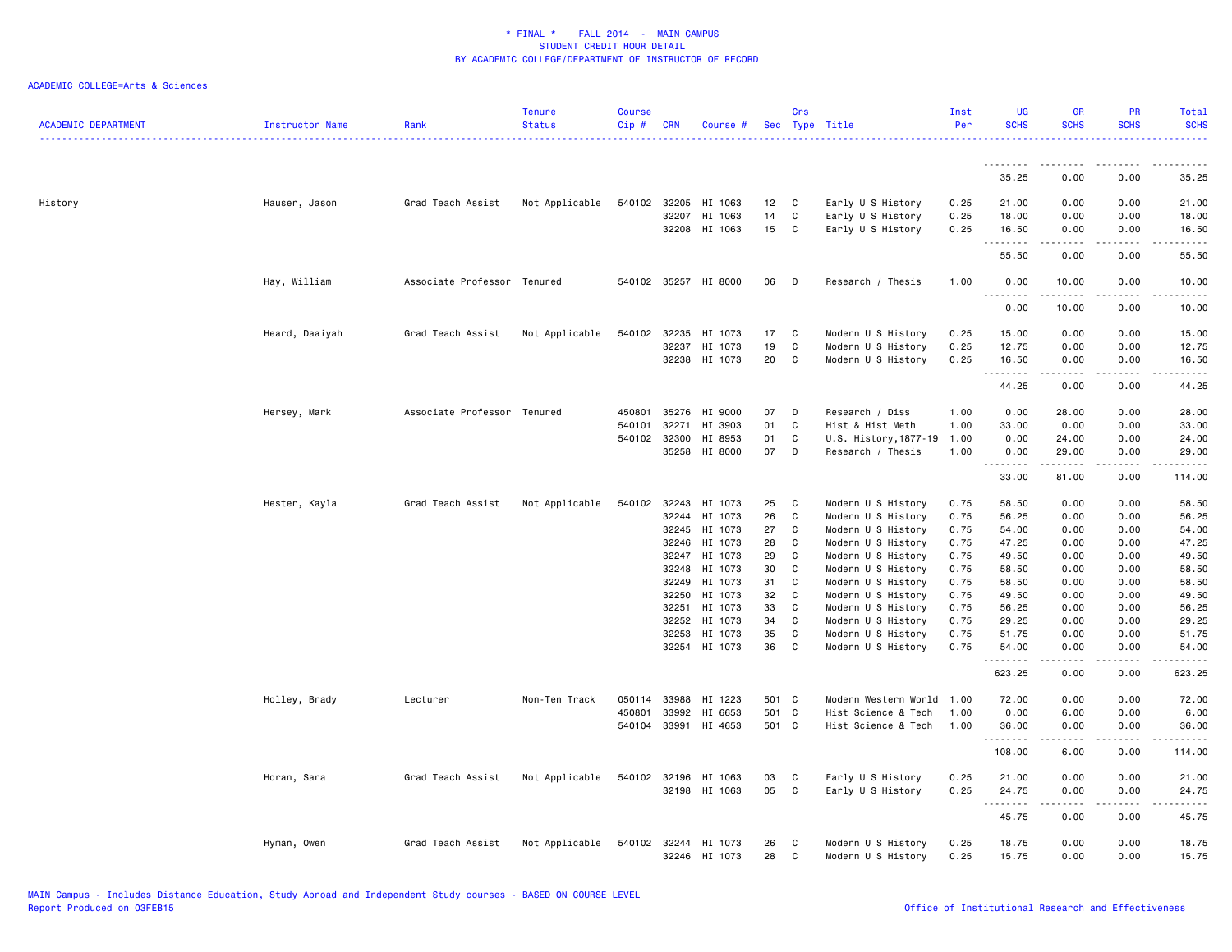| <b>ACADEMIC DEPARTMENT</b> | Instructor Name | Rank                        | <b>Tenure</b><br><b>Status</b> | <b>Course</b><br>Cip# | <b>CRN</b> | Course #             |       | Crs          | Sec Type Title        | Inst<br>Per | <b>UG</b><br><b>SCHS</b> | <b>GR</b><br><b>SCHS</b>                                                                                                                                      | <b>PR</b><br><b>SCHS</b> | Total<br><b>SCHS</b>                                                                                                                                          |
|----------------------------|-----------------|-----------------------------|--------------------------------|-----------------------|------------|----------------------|-------|--------------|-----------------------|-------------|--------------------------|---------------------------------------------------------------------------------------------------------------------------------------------------------------|--------------------------|---------------------------------------------------------------------------------------------------------------------------------------------------------------|
|                            |                 |                             |                                |                       |            |                      |       |              |                       |             | <u>.</u>                 | .                                                                                                                                                             | .                        | .                                                                                                                                                             |
|                            |                 |                             |                                |                       |            |                      |       |              |                       |             | 35.25                    | 0.00                                                                                                                                                          | 0.00                     | 35.25                                                                                                                                                         |
| History                    | Hauser, Jason   | Grad Teach Assist           | Not Applicable                 | 540102                | 32205      | HI 1063              | 12    | C            | Early U S History     | 0.25        | 21.00                    | 0.00                                                                                                                                                          | 0.00                     | 21.00                                                                                                                                                         |
|                            |                 |                             |                                |                       | 32207      | HI 1063              | 14    | C            | Early U S History     | 0.25        | 18.00                    | 0.00                                                                                                                                                          | 0.00                     | 18.00                                                                                                                                                         |
|                            |                 |                             |                                |                       |            | 32208 HI 1063        | 15    | C            | Early U S History     | 0.25        | 16.50<br>.               | 0.00<br>$- - - - -$                                                                                                                                           | 0.00<br>.                | 16.50<br>.                                                                                                                                                    |
|                            |                 |                             |                                |                       |            |                      |       |              |                       |             | 55.50                    | 0.00                                                                                                                                                          | 0.00                     | 55.50                                                                                                                                                         |
|                            | Hay, William    | Associate Professor Tenured |                                |                       |            | 540102 35257 HI 8000 | 06    | D            | Research / Thesis     | 1.00        | 0.00<br>.                | 10.00<br>------                                                                                                                                               | 0.00<br>-----            | 10.00<br>.                                                                                                                                                    |
|                            |                 |                             |                                |                       |            |                      |       |              |                       |             | 0.00                     | 10.00                                                                                                                                                         | 0.00                     | 10.00                                                                                                                                                         |
|                            | Heard, Daaiyah  | Grad Teach Assist           | Not Applicable                 | 540102                | 32235      | HI 1073              | 17    | C            | Modern U S History    | 0.25        | 15.00                    | 0.00                                                                                                                                                          | 0.00                     | 15.00                                                                                                                                                         |
|                            |                 |                             |                                |                       | 32237      | HI 1073              | 19    | C            | Modern U S History    | 0.25        | 12.75                    | 0.00                                                                                                                                                          | 0.00                     | 12.75                                                                                                                                                         |
|                            |                 |                             |                                |                       |            | 32238 HI 1073        | 20    | C            | Modern U S History    | 0.25        | 16.50                    | 0.00                                                                                                                                                          | 0.00                     | 16.50                                                                                                                                                         |
|                            |                 |                             |                                |                       |            |                      |       |              |                       |             | .<br>44.25               | $\frac{1}{2} \left( \frac{1}{2} \right) \left( \frac{1}{2} \right) \left( \frac{1}{2} \right) \left( \frac{1}{2} \right) \left( \frac{1}{2} \right)$<br>0.00  | .<br>0.00                | .<br>44.25                                                                                                                                                    |
|                            | Hersey, Mark    | Associate Professor Tenured |                                | 450801                | 35276      | HI 9000              | 07    | D            | Research / Diss       | 1.00        | 0.00                     | 28.00                                                                                                                                                         | 0.00                     | 28.00                                                                                                                                                         |
|                            |                 |                             |                                | 540101                | 32271      | HI 3903              | 01    | C            | Hist & Hist Meth      | 1.00        | 33.00                    | 0.00                                                                                                                                                          | 0.00                     | 33.00                                                                                                                                                         |
|                            |                 |                             |                                | 540102 32300          |            | HI 8953              | 01    | C            | U.S. History, 1877-19 | 1.00        | 0.00                     | 24.00                                                                                                                                                         | 0.00                     | 24.00                                                                                                                                                         |
|                            |                 |                             |                                |                       | 35258      | HI 8000              | 07    | D            | Research / Thesis     | 1.00        | 0.00                     | 29.00                                                                                                                                                         | 0.00                     | 29.00                                                                                                                                                         |
|                            |                 |                             |                                |                       |            |                      |       |              |                       |             | .<br>33.00               | $\frac{1}{2} \left( \frac{1}{2} \right) \left( \frac{1}{2} \right) \left( \frac{1}{2} \right) \left( \frac{1}{2} \right) \left( \frac{1}{2} \right)$<br>81.00 | $\frac{1}{2}$<br>0.00    | .<br>114.00                                                                                                                                                   |
|                            | Hester, Kayla   | Grad Teach Assist           | Not Applicable                 | 540102 32243          |            | HI 1073              | 25    | C            | Modern U S History    | 0.75        | 58.50                    | 0.00                                                                                                                                                          | 0.00                     | 58.50                                                                                                                                                         |
|                            |                 |                             |                                |                       | 32244      | HI 1073              | 26    | C            | Modern U S History    | 0.75        | 56.25                    | 0.00                                                                                                                                                          | 0.00                     | 56.25                                                                                                                                                         |
|                            |                 |                             |                                |                       | 32245      | HI 1073              | 27    | C            | Modern U S History    | 0.75        | 54.00                    | 0.00                                                                                                                                                          | 0.00                     | 54.00                                                                                                                                                         |
|                            |                 |                             |                                |                       | 32246      | HI 1073              | 28    | C            | Modern U S History    | 0.75        | 47.25                    | 0.00                                                                                                                                                          | 0.00                     | 47.25                                                                                                                                                         |
|                            |                 |                             |                                |                       | 32247      | HI 1073              | 29    | C            | Modern U S History    | 0.75        | 49.50                    | 0.00                                                                                                                                                          | 0.00                     | 49.50                                                                                                                                                         |
|                            |                 |                             |                                |                       | 32248      | HI 1073              | 30    | $\mathtt{C}$ | Modern U S History    | 0.75        | 58.50                    | 0.00                                                                                                                                                          | 0.00                     | 58.50                                                                                                                                                         |
|                            |                 |                             |                                |                       | 32249      | HI 1073              | 31    | C            | Modern U S History    | 0.75        | 58.50                    | 0.00                                                                                                                                                          | 0.00                     | 58.50                                                                                                                                                         |
|                            |                 |                             |                                |                       | 32250      | HI 1073              | 32    | C            | Modern U S History    | 0.75        | 49.50                    | 0.00                                                                                                                                                          | 0.00                     | 49.50                                                                                                                                                         |
|                            |                 |                             |                                |                       | 32251      | HI 1073              | 33    | C            | Modern U S History    | 0.75        | 56.25                    | 0.00                                                                                                                                                          | 0.00                     | 56.25                                                                                                                                                         |
|                            |                 |                             |                                |                       | 32252      | HI 1073              | 34    | C            | Modern U S History    | 0.75        | 29.25                    | 0.00                                                                                                                                                          | 0.00                     | 29.25                                                                                                                                                         |
|                            |                 |                             |                                |                       | 32253      | HI 1073              | 35    | C            | Modern U S History    | 0.75        | 51.75                    | 0.00                                                                                                                                                          | 0.00                     | 51.75                                                                                                                                                         |
|                            |                 |                             |                                |                       |            | 32254 HI 1073        | 36    | $\mathtt{C}$ | Modern U S History    | 0.75        | 54.00<br>.               | 0.00<br>.                                                                                                                                                     | 0.00<br>.                | 54.00<br>.                                                                                                                                                    |
|                            |                 |                             |                                |                       |            |                      |       |              |                       |             | 623.25                   | 0.00                                                                                                                                                          | 0.00                     | 623.25                                                                                                                                                        |
|                            | Holley, Brady   | Lecturer                    | Non-Ten Track                  | 050114                | 33988      | HI 1223              | 501 C |              | Modern Western World  | 1.00        | 72.00                    | 0.00                                                                                                                                                          | 0.00                     | 72.00                                                                                                                                                         |
|                            |                 |                             |                                | 450801                | 33992      | HI 6653              | 501 C |              | Hist Science & Tech   | 1.00        | 0.00                     | 6.00                                                                                                                                                          | 0.00                     | 6.00                                                                                                                                                          |
|                            |                 |                             |                                |                       |            | 540104 33991 HI 4653 | 501 C |              | Hist Science & Tech   | 1.00        | 36.00<br>.               | 0.00<br>-----                                                                                                                                                 | 0.00<br>.                | 36.00<br>$\frac{1}{2} \left( \frac{1}{2} \right) \left( \frac{1}{2} \right) \left( \frac{1}{2} \right) \left( \frac{1}{2} \right) \left( \frac{1}{2} \right)$ |
|                            |                 |                             |                                |                       |            |                      |       |              |                       |             | 108.00                   | 6.00                                                                                                                                                          | 0.00                     | 114.00                                                                                                                                                        |
|                            | Horan, Sara     | Grad Teach Assist           | Not Applicable                 | 540102 32196          |            | HI 1063              | 03    | C            | Early U S History     | 0.25        | 21.00                    | 0.00                                                                                                                                                          | 0.00                     | 21.00                                                                                                                                                         |
|                            |                 |                             |                                |                       |            | 32198 HI 1063        | 05    | C            | Early U S History     | 0.25        | 24.75<br>.               | 0.00<br>.                                                                                                                                                     | 0.00<br>.                | 24.75<br>.                                                                                                                                                    |
|                            |                 |                             |                                |                       |            |                      |       |              |                       |             | 45.75                    | 0.00                                                                                                                                                          | 0.00                     | 45.75                                                                                                                                                         |
|                            | Hyman, Owen     | Grad Teach Assist           | Not Applicable                 | 540102 32244          |            | HI 1073              | 26    | C            | Modern U S History    | 0.25        | 18.75                    | 0.00                                                                                                                                                          | 0.00                     | 18.75                                                                                                                                                         |
|                            |                 |                             |                                |                       |            | 32246 HI 1073        | 28    | C            | Modern U S History    | 0.25        | 15.75                    | 0.00                                                                                                                                                          | 0.00                     | 15.75                                                                                                                                                         |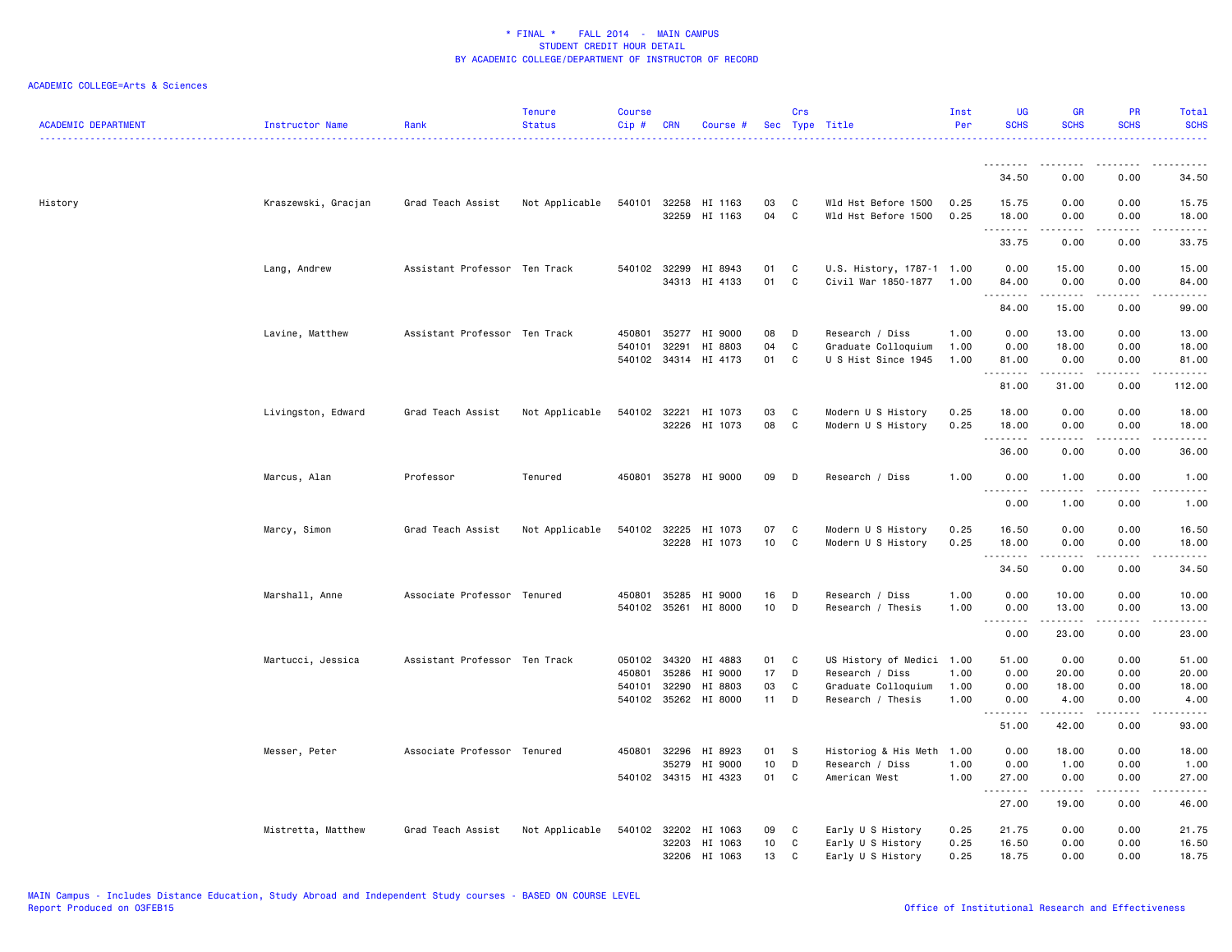| <b>ACADEMIC DEPARTMENT</b> | Instructor Name     | Rank                          | <b>Tenure</b><br><b>Status</b> | Course<br>$Cip$ # | <b>CRN</b>                     | Course #                                              |                       | Crs              | Sec Type Title                                                                           | Inst<br>Per          | UG<br><b>SCHS</b>             | <b>GR</b><br><b>SCHS</b>       | PR<br><b>SCHS</b>                           | Total<br><b>SCHS</b>                        |
|----------------------------|---------------------|-------------------------------|--------------------------------|-------------------|--------------------------------|-------------------------------------------------------|-----------------------|------------------|------------------------------------------------------------------------------------------|----------------------|-------------------------------|--------------------------------|---------------------------------------------|---------------------------------------------|
|                            |                     |                               |                                |                   |                                |                                                       |                       |                  |                                                                                          |                      |                               |                                |                                             |                                             |
|                            |                     |                               |                                |                   |                                |                                                       |                       |                  |                                                                                          |                      | 34.50                         | 0.00                           | 0.00                                        | 34.50                                       |
| History                    | Kraszewski, Gracjan | Grad Teach Assist             | Not Applicable                 |                   | 540101 32258<br>32259          | HI 1163<br>HI 1163                                    | 03<br>04              | C<br>C           | Wld Hst Before 1500<br>Wld Hst Before 1500                                               | 0.25<br>0.25         | 15.75<br>18.00<br>.           | 0.00<br>0.00<br>.              | 0.00<br>0.00<br>المستبدا                    | 15.75<br>18.00<br>.                         |
|                            |                     |                               |                                |                   |                                |                                                       |                       |                  |                                                                                          |                      | 33.75                         | 0.00                           | 0.00                                        | 33.75                                       |
|                            | Lang, Andrew        | Assistant Professor Ten Track |                                |                   | 540102 32299<br>34313          | HI 8943<br>HI 4133                                    | 01<br>01              | C<br>C           | U.S. History, 1787-1 1.00<br>Civil War 1850-1877                                         | 1.00                 | 0.00<br>84.00                 | 15.00<br>0.00                  | 0.00<br>0.00                                | 15.00<br>84.00                              |
|                            |                     |                               |                                |                   |                                |                                                       |                       |                  |                                                                                          |                      | .<br>84.00                    | .<br>15.00                     | .<br>0.00                                   | .<br>99.00                                  |
|                            | Lavine, Matthew     | Assistant Professor Ten Track |                                | 450801<br>540101  | 35277<br>32291                 | HI 9000<br>HI 8803<br>540102 34314 HI 4173            | 08<br>04<br>01        | D<br>C<br>C      | Research / Diss<br>Graduate Colloquium<br>U S Hist Since 1945                            | 1.00<br>1.00<br>1.00 | 0.00<br>0.00<br>81.00         | 13.00<br>18.00<br>0.00         | 0.00<br>0.00<br>0.00                        | 13.00<br>18.00<br>81.00                     |
|                            |                     |                               |                                |                   |                                |                                                       |                       |                  |                                                                                          |                      | .<br>81.00                    | .<br>31.00                     | .<br>0.00                                   | .<br>112.00                                 |
|                            | Livingston, Edward  | Grad Teach Assist             | Not Applicable                 |                   | 540102 32221<br>32226          | HI 1073<br>HI 1073                                    | 03<br>08              | C<br>C           | Modern U S History<br>Modern U S History                                                 | 0.25<br>0.25         | 18.00<br>18.00                | 0.00<br>0.00                   | 0.00<br>0.00                                | 18.00<br>18.00                              |
|                            |                     |                               |                                |                   |                                |                                                       |                       |                  |                                                                                          |                      | .<br>36.00                    | 0.00                           | 0.00                                        | $\sim$ $\sim$ $\sim$ $\sim$ $\sim$<br>36.00 |
|                            | Marcus, Alan        | Professor                     | Tenured                        |                   |                                | 450801 35278 HI 9000                                  | 09                    | D                | Research / Diss                                                                          | 1.00                 | 0.00<br>$  -$<br>.            | 1.00                           | 0.00                                        | 1.00<br>$\cdots$                            |
|                            |                     |                               |                                |                   |                                |                                                       |                       |                  |                                                                                          |                      | 0.00                          | 1.00                           | 0.00                                        | 1.00                                        |
|                            | Marcy, Simon        | Grad Teach Assist             | Not Applicable                 |                   | 540102 32225                   | HI 1073<br>32228 HI 1073                              | 07<br>10 <sub>1</sub> | C<br>C           | Modern U S History<br>Modern U S History                                                 | 0.25<br>0.25         | 16.50<br>18.00                | 0.00<br>0.00                   | 0.00<br>0.00<br>$\sim$ $\sim$ $\sim$ $\sim$ | 16.50<br>18.00                              |
|                            |                     |                               |                                |                   |                                |                                                       |                       |                  |                                                                                          |                      | .<br>34.50                    | 0.00                           | 0.00                                        | .<br>34.50                                  |
|                            | Marshall, Anne      | Associate Professor Tenured   |                                | 450801            | 35285<br>540102 35261          | HI 9000<br>HI 8000                                    | 16<br>10              | D<br>D           | Research / Diss<br>Research / Thesis                                                     | 1.00<br>1.00         | 0.00<br>0.00                  | 10.00<br>13.00                 | 0.00<br>0.00                                | 10.00<br>13.00                              |
|                            |                     |                               |                                |                   |                                |                                                       |                       |                  |                                                                                          |                      | .<br>$  -$<br>0.00            | $\frac{1}{2}$<br>23.00         | $  -$<br>0.00                               | .<br>23.00                                  |
|                            | Martucci, Jessica   | Assistant Professor Ten Track |                                | 450801<br>540101  | 050102 34320<br>35286<br>32290 | HI 4883<br>HI 9000<br>HI 8803<br>540102 35262 HI 8000 | 01<br>17<br>03<br>11  | C<br>D<br>C<br>D | US History of Medici 1.00<br>Research / Diss<br>Graduate Colloquium<br>Research / Thesis | 1.00<br>1.00<br>1.00 | 51.00<br>0.00<br>0.00<br>0.00 | 0.00<br>20.00<br>18.00<br>4.00 | 0.00<br>0.00<br>0.00<br>0.00                | 51.00<br>20.00<br>18.00<br>4.00             |
|                            |                     |                               |                                |                   |                                |                                                       |                       |                  |                                                                                          |                      | .<br>51.00                    | .<br>42.00                     | .<br>0.00                                   | .<br>93.00                                  |
|                            | Messer, Peter       | Associate Professor Tenured   |                                | 450801            | 32296                          | HI 8923                                               | 01                    | S                | Historiog & His Meth                                                                     | 1.00                 | 0.00                          | 18.00                          | 0.00                                        | 18.00                                       |
|                            |                     |                               |                                |                   | 35279                          | HI 9000                                               | 10                    | D                | Research / Diss                                                                          | 1.00                 | 0.00                          | 1.00                           | 0.00                                        | 1.00                                        |
|                            |                     |                               |                                |                   |                                | 540102 34315 HI 4323                                  | 01                    | C                | American West                                                                            | 1.00                 | 27.00<br>. <b>.</b>           | 0.00<br>.                      | 0.00<br>.                                   | 27.00<br>.                                  |
|                            |                     |                               |                                |                   |                                |                                                       |                       |                  |                                                                                          |                      | 27.00                         | 19.00                          | 0.00                                        | 46.00                                       |
|                            | Mistretta, Matthew  | Grad Teach Assist             | Not Applicable                 |                   | 540102 32202<br>32203          | HI 1063<br>HI 1063<br>32206 HI 1063                   | 09<br>10<br>13        | C<br>C<br>C      | Early U S History<br>Early U S History<br>Early U S History                              | 0.25<br>0.25<br>0.25 | 21.75<br>16.50<br>18.75       | 0.00<br>0.00<br>0.00           | 0.00<br>0.00<br>0.00                        | 21.75<br>16.50<br>18.75                     |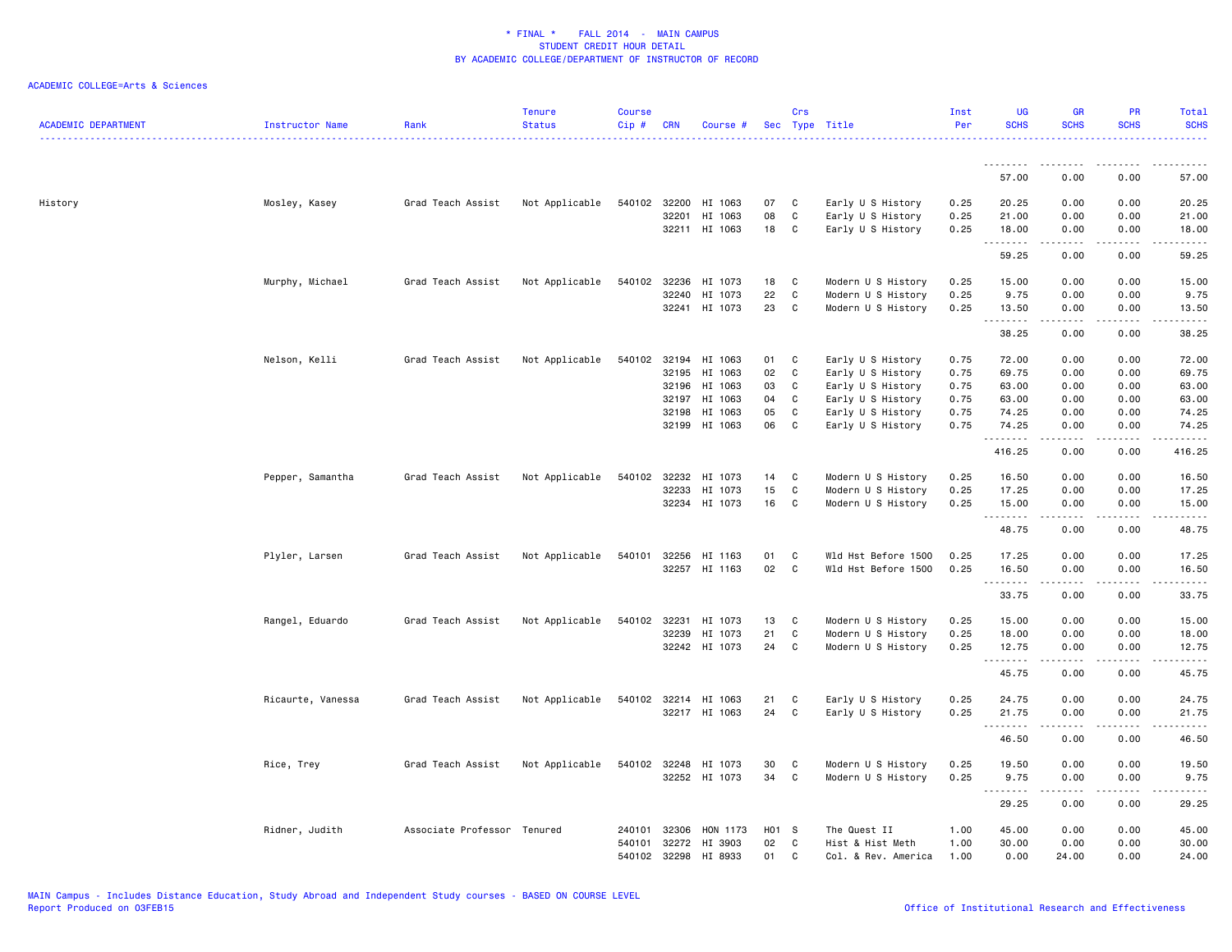| <b>ACADEMIC DEPARTMENT</b> | Instructor Name   | Rank                        | <b>Tenure</b><br><b>Status</b> | <b>Course</b><br>$Cip$ # | <b>CRN</b>   | Course #             |       | Crs         | Sec Type Title      | Inst<br>Per | UG<br><b>SCHS</b> | <b>GR</b><br><b>SCHS</b> | PR<br><b>SCHS</b> | Total<br><b>SCHS</b> |
|----------------------------|-------------------|-----------------------------|--------------------------------|--------------------------|--------------|----------------------|-------|-------------|---------------------|-------------|-------------------|--------------------------|-------------------|----------------------|
|                            |                   |                             |                                |                          |              |                      |       |             |                     |             |                   |                          |                   |                      |
|                            |                   |                             |                                |                          |              |                      |       |             |                     |             | 57.00             | 0.00                     | 0.00              | 57.00                |
| History                    | Mosley, Kasey     | Grad Teach Assist           | Not Applicable                 |                          |              | 540102 32200 HI 1063 | 07    | C           | Early U S History   | 0.25        | 20.25             | 0.00                     | 0.00              | 20.25                |
|                            |                   |                             |                                |                          | 32201        | HI 1063              | 08    | C           | Early U S History   | 0.25        | 21.00             | 0.00                     | 0.00              | 21.00                |
|                            |                   |                             |                                |                          |              | 32211 HI 1063        | 18    | C           | Early U S History   | 0.25        | 18.00<br>.        | 0.00<br>$- - - - -$      | 0.00<br>.         | 18.00<br>.           |
|                            |                   |                             |                                |                          |              |                      |       |             |                     |             | 59.25             | 0.00                     | 0.00              | 59.25                |
|                            | Murphy, Michael   | Grad Teach Assist           | Not Applicable                 | 540102                   | 32236        | HI 1073              | 18    | C           | Modern U S History  | 0.25        | 15.00             | 0.00                     | 0.00              | 15.00                |
|                            |                   |                             |                                |                          | 32240        | HI 1073              | 22    | C           | Modern U S History  | 0.25        | 9.75              | 0.00                     | 0.00              | 9.75                 |
|                            |                   |                             |                                |                          |              | 32241 HI 1073        | 23    | C           | Modern U S History  | 0.25        | 13.50<br>.        | 0.00<br>.                | 0.00<br>$- - - -$ | 13.50<br>$    -$     |
|                            |                   |                             |                                |                          |              |                      |       |             |                     |             | 38.25             | 0.00                     | 0.00              | 38.25                |
|                            | Nelson, Kelli     | Grad Teach Assist           | Not Applicable                 |                          |              | 540102 32194 HI 1063 | 01    | C           | Early U S History   | 0.75        | 72.00             | 0.00                     | 0.00              | 72.00                |
|                            |                   |                             |                                |                          | 32195        | HI 1063              | 02    | $\mathbf C$ | Early U S History   | 0.75        | 69.75             | 0.00                     | 0.00              | 69.75                |
|                            |                   |                             |                                |                          |              | 32196 HI 1063        | 03    | C           | Early U S History   | 0.75        | 63.00             | 0.00                     | 0.00              | 63.00                |
|                            |                   |                             |                                |                          | 32197        | HI 1063              | 04    | C           | Early U S History   | 0.75        | 63.00             | 0.00                     | 0.00              | 63.00                |
|                            |                   |                             |                                |                          | 32198        | HI 1063              | 05    | C           | Early U S History   | 0.75        | 74.25             | 0.00                     | 0.00              | 74.25                |
|                            |                   |                             |                                |                          | 32199        | HI 1063              | 06    | C           | Early U S History   | 0.75        | 74.25<br>.        | 0.00                     | 0.00<br>.         | 74.25<br>والمناصبات  |
|                            |                   |                             |                                |                          |              |                      |       |             |                     |             | 416.25            | 0.00                     | 0.00              | 416.25               |
|                            | Pepper, Samantha  | Grad Teach Assist           | Not Applicable                 |                          | 540102 32232 | HI 1073              | 14    | C           | Modern U S History  | 0.25        | 16.50             | 0.00                     | 0.00              | 16.50                |
|                            |                   |                             |                                |                          | 32233        | HI 1073              | 15    | C           | Modern U S History  | 0.25        | 17.25             | 0.00                     | 0.00              | 17.25                |
|                            |                   |                             |                                |                          |              | 32234 HI 1073        | 16    | C           | Modern U S History  | 0.25        | 15.00<br>.        | 0.00<br>.                | 0.00<br>.         | 15.00<br>.           |
|                            |                   |                             |                                |                          |              |                      |       |             |                     |             | 48.75             | 0.00                     | 0.00              | 48.75                |
|                            | Plyler, Larsen    | Grad Teach Assist           | Not Applicable                 | 540101                   | 32256        | HI 1163              | 01    | C           | Wld Hst Before 1500 | 0.25        | 17.25             | 0.00                     | 0.00              | 17.25                |
|                            |                   |                             |                                |                          |              | 32257 HI 1163        | 02    | C           | Wld Hst Before 1500 | 0.25        | 16.50             | 0.00                     | 0.00              | 16.50                |
|                            |                   |                             |                                |                          |              |                      |       |             |                     |             | .<br>33.75        | 0.00                     | 0.00              | .<br>33.75           |
|                            | Rangel, Eduardo   | Grad Teach Assist           | Not Applicable                 | 540102 32231             |              | HI 1073              | 13    | C           | Modern U S History  | 0.25        | 15.00             | 0.00                     | 0.00              | 15.00                |
|                            |                   |                             |                                |                          | 32239        | HI 1073              | 21    | C           | Modern U S History  | 0.25        | 18.00             | 0.00                     | 0.00              | 18.00                |
|                            |                   |                             |                                |                          | 32242        | HI 1073              | 24    | C           | Modern U S History  | 0.25        | 12.75             | 0.00                     | 0.00              | 12.75                |
|                            |                   |                             |                                |                          |              |                      |       |             |                     |             | .<br>45.75        | .<br>0.00                | الداعات<br>0.00   | .<br>45.75           |
|                            | Ricaurte, Vanessa | Grad Teach Assist           | Not Applicable                 | 540102                   |              | 32214 HI 1063        | 21    | C           | Early U S History   | 0.25        | 24.75             | 0.00                     | 0.00              | 24.75                |
|                            |                   |                             |                                |                          |              | 32217 HI 1063        | 24    | C           | Early U S History   | 0.25        | 21.75             | 0.00                     | 0.00              | 21.75                |
|                            |                   |                             |                                |                          |              |                      |       |             |                     |             | .                 | .                        |                   | والمناصبات           |
|                            |                   |                             |                                |                          |              |                      |       |             |                     |             | 46.50             | 0.00                     | 0.00              | 46.50                |
|                            | Rice, Trey        | Grad Teach Assist           | Not Applicable                 |                          | 540102 32248 | HI 1073              | 30    | C           | Modern U S History  | 0.25        | 19.50             | 0.00                     | 0.00              | 19.50                |
|                            |                   |                             |                                |                          |              | 32252 HI 1073        | 34    | C           | Modern U S History  | 0.25        | 9.75<br>.         | 0.00<br>$\frac{1}{2}$    | 0.00<br>.         | 9.75<br>.            |
|                            |                   |                             |                                |                          |              |                      |       |             |                     |             | 29.25             | 0.00                     | 0.00              | 29.25                |
|                            | Ridner, Judith    | Associate Professor Tenured |                                | 240101                   | 32306        | HON 1173             | H01 S |             | The Quest II        | 1.00        | 45.00             | 0.00                     | 0.00              | 45.00                |
|                            |                   |                             |                                | 540101                   | 32272        | HI 3903              | 02    | C           | Hist & Hist Meth    | 1.00        | 30.00             | 0.00                     | 0.00              | 30.00                |
|                            |                   |                             |                                |                          | 540102 32298 | HI 8933              | 01    | C.          | Col. & Rev. America | 1.00        | 0.00              | 24.00                    | 0.00              | 24.00                |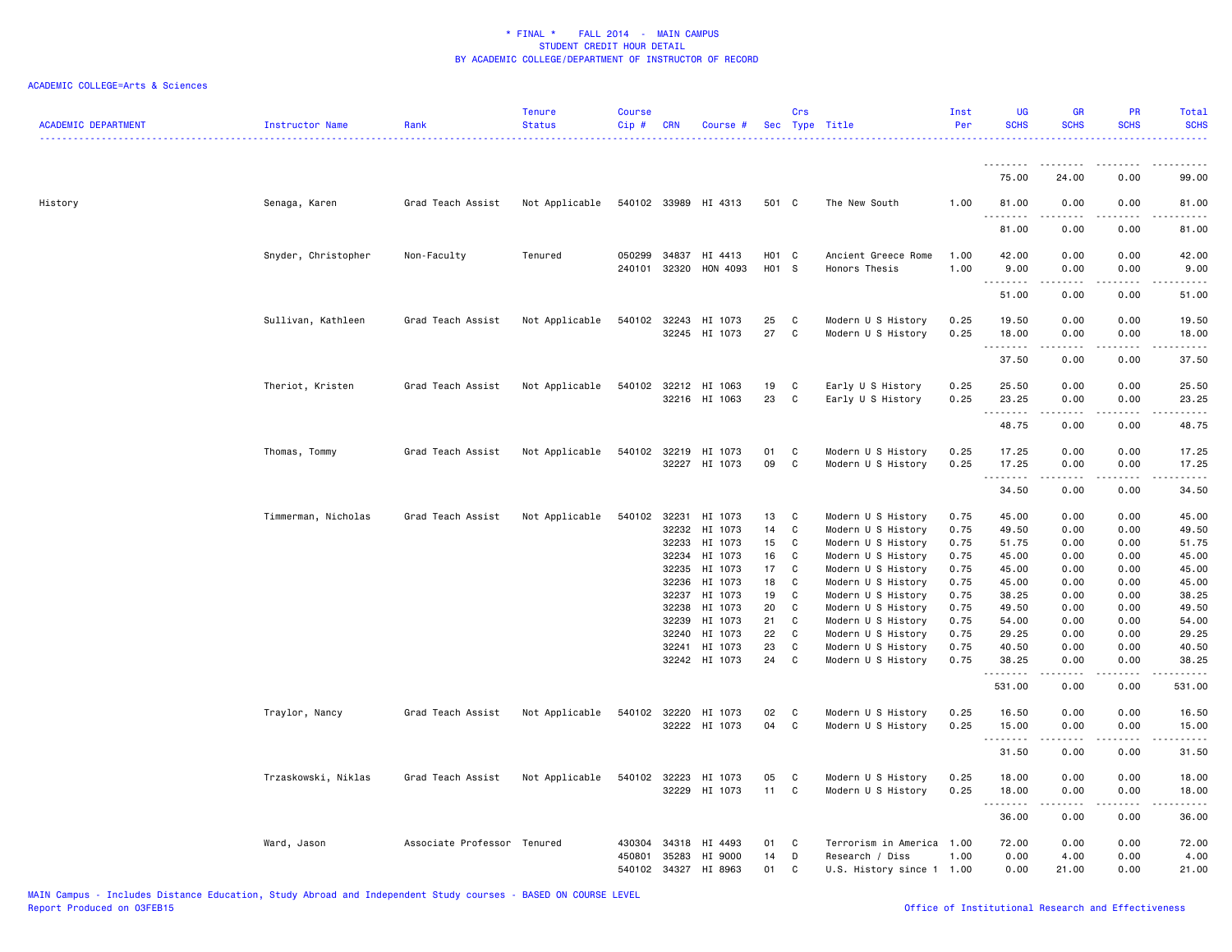| <b>ACADEMIC DEPARTMENT</b> | Instructor Name     | Rank                        | <b>Tenure</b><br><b>Status</b> | <b>Course</b><br>Cip# | <b>CRN</b>     | Course #                              |                   | Crs          | Sec Type Title                           | Inst<br>Per  | <b>UG</b><br><b>SCHS</b> | <b>GR</b><br><b>SCHS</b>                                                                                                                                                                | PR<br><b>SCHS</b> | Total<br><b>SCHS</b><br>. |
|----------------------------|---------------------|-----------------------------|--------------------------------|-----------------------|----------------|---------------------------------------|-------------------|--------------|------------------------------------------|--------------|--------------------------|-----------------------------------------------------------------------------------------------------------------------------------------------------------------------------------------|-------------------|---------------------------|
|                            |                     |                             |                                |                       |                |                                       |                   |              |                                          |              | .                        | .                                                                                                                                                                                       | $- - - -$         | .                         |
|                            |                     |                             |                                |                       |                |                                       |                   |              |                                          |              | 75.00                    | 24.00                                                                                                                                                                                   | 0.00              | 99.00                     |
| History                    | Senaga, Karen       | Grad Teach Assist           | Not Applicable                 |                       |                | 540102 33989 HI 4313                  | 501 C             |              | The New South                            | 1.00         | 81.00<br>.<br>.          | 0.00                                                                                                                                                                                    | 0.00<br>$   -$    | 81.00<br>.                |
|                            |                     |                             |                                |                       |                |                                       |                   |              |                                          |              | 81.00                    | 0.00                                                                                                                                                                                    | 0.00              | 81.00                     |
|                            | Snyder, Christopher | Non-Faculty                 | Tenured                        | 050299                | 34837          | HI 4413                               | H <sub>01</sub> C |              | Ancient Greece Rome                      | 1.00         | 42.00                    | 0.00                                                                                                                                                                                    | 0.00              | 42.00                     |
|                            |                     |                             |                                |                       | 240101 32320   | HON 4093                              | H01 S             |              | Honors Thesis                            | 1.00         | 9.00<br>. <b>.</b>       | 0.00                                                                                                                                                                                    | 0.00              | 9.00<br>ه د د د د         |
|                            |                     |                             |                                |                       |                |                                       |                   |              |                                          |              | 51.00                    | 0.00                                                                                                                                                                                    | 0.00              | 51.00                     |
|                            | Sullivan, Kathleen  | Grad Teach Assist           | Not Applicable                 |                       | 540102 32243   | HI 1073<br>32245 HI 1073              | 25<br>27          | C<br>C       | Modern U S History<br>Modern U S History | 0.25<br>0.25 | 19.50<br>18.00           | 0.00<br>0.00                                                                                                                                                                            | 0.00<br>0.00      | 19.50<br>18.00            |
|                            |                     |                             |                                |                       |                |                                       |                   |              |                                          |              | .<br>37.50               | <u>.</u><br>0.00                                                                                                                                                                        | .<br>0.00         | .<br>37.50                |
|                            |                     |                             |                                |                       |                |                                       |                   |              |                                          |              |                          |                                                                                                                                                                                         |                   |                           |
|                            | Theriot, Kristen    | Grad Teach Assist           | Not Applicable                 |                       |                | 540102 32212 HI 1063<br>32216 HI 1063 | 19<br>23          | C<br>C       | Early U S History<br>Early U S History   | 0.25<br>0.25 | 25.50<br>23.25           | 0.00<br>0.00                                                                                                                                                                            | 0.00<br>0.00      | 25.50<br>23.25            |
|                            |                     |                             |                                |                       |                |                                       |                   |              |                                          |              | .<br>48.75               | .<br>0.00                                                                                                                                                                               | .<br>0.00         | .<br>48.75                |
|                            | Thomas, Tommy       | Grad Teach Assist           | Not Applicable                 | 540102                | 32219          | HI 1073                               | 01                | C            | Modern U S History                       | 0.25         | 17.25                    | 0.00                                                                                                                                                                                    | 0.00              | 17.25                     |
|                            |                     |                             |                                |                       |                | 32227 HI 1073                         | 09                | $\mathtt{C}$ | Modern U S History                       | 0.25         | 17.25<br>.               | 0.00<br>$\frac{1}{2} \left( \frac{1}{2} \right) \left( \frac{1}{2} \right) \left( \frac{1}{2} \right) \left( \frac{1}{2} \right) \left( \frac{1}{2} \right) \left( \frac{1}{2} \right)$ | 0.00<br>.         | 17.25<br>.                |
|                            |                     |                             |                                |                       |                |                                       |                   |              |                                          |              | 34.50                    | 0.00                                                                                                                                                                                    | 0.00              | 34.50                     |
|                            | Timmerman, Nicholas | Grad Teach Assist           | Not Applicable                 | 540102                | 32231          | HI 1073                               | 13                | C            | Modern U S History                       | 0.75         | 45.00                    | 0.00                                                                                                                                                                                    | 0.00              | 45.00                     |
|                            |                     |                             |                                |                       | 32232<br>32233 | HI 1073<br>HI 1073                    | 14<br>15          | C<br>C       | Modern U S History<br>Modern U S History | 0.75<br>0.75 | 49.50<br>51.75           | 0.00<br>0.00                                                                                                                                                                            | 0.00<br>0.00      | 49.50<br>51.75            |
|                            |                     |                             |                                |                       | 32234          | HI 1073                               | 16                | C            | Modern U S History                       | 0.75         | 45.00                    | 0.00                                                                                                                                                                                    | 0.00              | 45.00                     |
|                            |                     |                             |                                |                       | 32235          | HI 1073                               | 17                | C            | Modern U S History                       | 0.75         | 45.00                    | 0.00                                                                                                                                                                                    | 0.00              | 45.00                     |
|                            |                     |                             |                                |                       | 32236          | HI 1073                               | 18                | C            | Modern U S History                       | 0.75         | 45.00                    | 0.00                                                                                                                                                                                    | 0.00              | 45.00                     |
|                            |                     |                             |                                |                       | 32237          | HI 1073                               | 19                | C            | Modern U S History                       | 0.75         | 38.25                    | 0.00                                                                                                                                                                                    | 0.00              | 38.25                     |
|                            |                     |                             |                                |                       | 32238          | HI 1073                               | 20                | C            | Modern U S History                       | 0.75         | 49.50                    | 0.00                                                                                                                                                                                    | 0.00              | 49.50                     |
|                            |                     |                             |                                |                       | 32239          | HI 1073                               | 21                | C            | Modern U S History                       | 0.75         | 54.00                    | 0.00                                                                                                                                                                                    | 0.00              | 54.00                     |
|                            |                     |                             |                                |                       | 32240          | HI 1073                               | 22                | C            | Modern U S History                       | 0.75         | 29.25                    | 0.00                                                                                                                                                                                    | 0.00              | 29.25                     |
|                            |                     |                             |                                |                       | 32241          | HI 1073                               | 23                | C            | Modern U S History                       | 0.75         | 40.50                    | 0.00                                                                                                                                                                                    | 0.00              | 40.50                     |
|                            |                     |                             |                                |                       |                | 32242 HI 1073                         | 24                | $\mathtt{C}$ | Modern U S History                       | 0.75         | 38.25<br>.               | 0.00                                                                                                                                                                                    | 0.00              | 38.25<br>.                |
|                            |                     |                             |                                |                       |                |                                       |                   |              |                                          |              | 531.00                   | 0.00                                                                                                                                                                                    | 0.00              | 531.00                    |
|                            | Traylor, Nancy      | Grad Teach Assist           | Not Applicable                 |                       | 540102 32220   | HI 1073                               | 02                | C            | Modern U S History                       | 0.25         | 16.50                    | 0.00                                                                                                                                                                                    | 0.00              | 16.50                     |
|                            |                     |                             |                                |                       |                | 32222 HI 1073                         | 04                | C            | Modern U S History                       | 0.25         | 15.00<br>.               | 0.00<br>$  -$                                                                                                                                                                           | 0.00<br>$  -$     | 15.00<br>.                |
|                            |                     |                             |                                |                       |                |                                       |                   |              |                                          |              | 31.50                    | 0.00                                                                                                                                                                                    | 0.00              | 31.50                     |
|                            | Trzaskowski, Niklas | Grad Teach Assist           | Not Applicable                 |                       | 540102 32223   | HI 1073                               | 05                | C            | Modern U S History                       | 0.25         | 18.00                    | 0.00                                                                                                                                                                                    | 0.00              | 18.00                     |
|                            |                     |                             |                                |                       | 32229          | HI 1073                               | 11                | C            | Modern U S History                       | 0.25         | 18.00<br>.               | 0.00<br>.                                                                                                                                                                               | 0.00<br>.         | 18.00<br>.                |
|                            |                     |                             |                                |                       |                |                                       |                   |              |                                          |              | 36.00                    | 0.00                                                                                                                                                                                    | 0.00              | 36.00                     |
|                            | Ward, Jason         | Associate Professor Tenured |                                | 430304                | 34318          | HI 4493                               | 01                | C            | Terrorism in America 1.00                |              | 72.00                    | 0.00                                                                                                                                                                                    | 0.00              | 72.00                     |
|                            |                     |                             |                                |                       | 450801 35283   | HI 9000                               | 14                | D            | Research / Diss                          | 1.00         | 0.00                     | 4.00                                                                                                                                                                                    | 0.00              | 4.00                      |
|                            |                     |                             |                                |                       | 540102 34327   | HI 8963                               | 01                | C            | U.S. History since 1 1.00                |              | 0.00                     | 21.00                                                                                                                                                                                   | 0.00              | 21.00                     |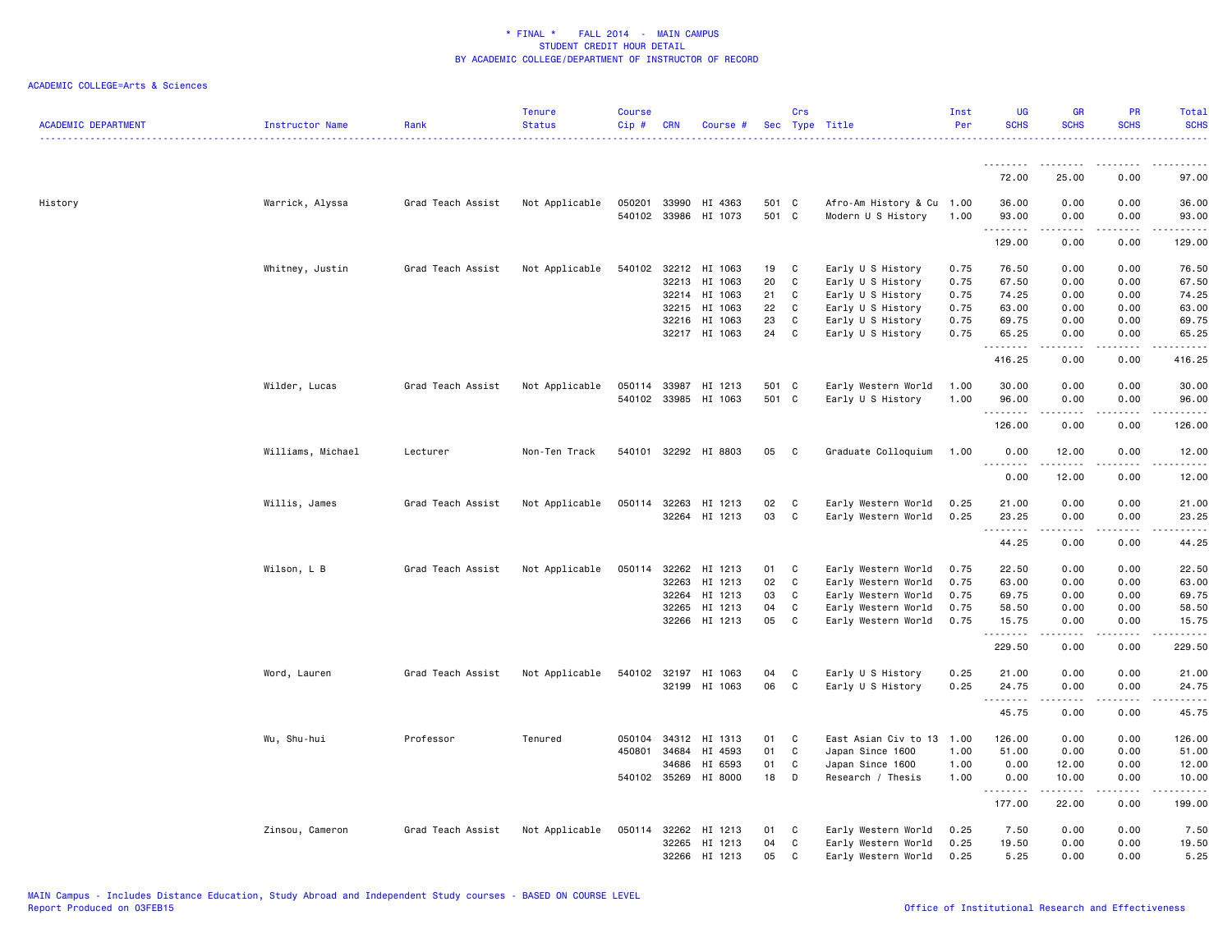| <b>ACADEMIC DEPARTMENT</b> | <b>Instructor Name</b> | Rank              | <b>Tenure</b><br><b>Status</b> | Course<br>$Cip \#$ | <b>CRN</b>   | Course #                                     |                | Crs          | Sec Type Title                                  | Inst<br>Per | <b>UG</b><br><b>SCHS</b>     | GR<br><b>SCHS</b>                   | PR<br><b>SCHS</b> | Total<br><b>SCHS</b>       |
|----------------------------|------------------------|-------------------|--------------------------------|--------------------|--------------|----------------------------------------------|----------------|--------------|-------------------------------------------------|-------------|------------------------------|-------------------------------------|-------------------|----------------------------|
|                            |                        |                   |                                |                    |              |                                              |                |              |                                                 |             |                              |                                     |                   |                            |
|                            |                        |                   |                                |                    |              |                                              |                |              |                                                 |             | 72.00                        | 25.00                               | 0.00              | 97.00                      |
| History                    | Warrick, Alyssa        | Grad Teach Assist | Not Applicable                 |                    |              | 050201 33990 HI 4363<br>540102 33986 HI 1073 | 501 C<br>501 C |              | Afro-Am History & Cu 1.00<br>Modern U S History | 1.00        | 36.00<br>93.00<br>.          | 0.00<br>0.00<br><u>.</u>            | 0.00<br>0.00<br>. | 36.00<br>93.00<br><u>.</u> |
|                            |                        |                   |                                |                    |              |                                              |                |              |                                                 |             | 129.00                       | 0.00                                | 0.00              | 129.00                     |
|                            | Whitney, Justin        | Grad Teach Assist | Not Applicable                 |                    |              | 540102 32212 HI 1063                         | 19             | C            | Early U S History                               | 0.75        | 76.50                        | 0.00                                | 0.00              | 76.50                      |
|                            |                        |                   |                                |                    | 32213        | HI 1063                                      | 20             | C            | Early U S History                               | 0.75        | 67.50                        | 0.00                                | 0.00              | 67.50                      |
|                            |                        |                   |                                |                    |              | 32214 HI 1063                                | 21             | C            | Early U S History                               | 0.75        | 74.25                        | 0.00                                | 0.00              | 74.25                      |
|                            |                        |                   |                                |                    | 32215        | HI 1063                                      | 22             | $\mathtt{C}$ | Early U S History                               | 0.75        | 63.00                        | 0.00                                | 0.00              | 63.00                      |
|                            |                        |                   |                                |                    | 32216        | HI 1063                                      | 23             | $\mathtt{C}$ | Early U S History                               | 0.75        | 69.75                        | 0.00                                | 0.00              | 69.75                      |
|                            |                        |                   |                                |                    |              | 32217 HI 1063                                | 24             | C            | Early U S History                               | 0.75        | 65.25<br><u>.</u>            | 0.00<br>$\omega$ is $\omega$ in     | 0.00<br>.         | 65.25<br>.                 |
|                            |                        |                   |                                |                    |              |                                              |                |              |                                                 |             | 416.25                       | 0.00                                | 0.00              | 416.25                     |
|                            | Wilder, Lucas          | Grad Teach Assist | Not Applicable                 |                    | 050114 33987 | HI 1213                                      | 501 C          |              | Early Western World                             | 1.00        | 30.00                        | 0.00                                | 0.00              | 30.00                      |
|                            |                        |                   |                                |                    |              | 540102 33985 HI 1063                         | 501 C          |              | Early U S History                               | 1.00        | 96.00<br><u>.</u>            | 0.00<br>.                           | 0.00<br>.         | 96.00<br>.                 |
|                            |                        |                   |                                |                    |              |                                              |                |              |                                                 |             | 126.00                       | 0.00                                | 0.00              | 126.00                     |
|                            | Williams, Michael      | Lecturer          | Non-Ten Track                  |                    |              | 540101 32292 HI 8803                         | 05             | C            | Graduate Colloquium                             | 1.00        | 0.00<br>$\sim$ $\sim$ $\sim$ | 12.00<br>د د د د د                  | 0.00<br>المستبدا  | 12.00<br>المتمامين         |
|                            |                        |                   |                                |                    |              |                                              |                |              |                                                 |             | 0.00                         | 12.00                               | 0.00              | 12.00                      |
|                            | Willis, James          | Grad Teach Assist | Not Applicable                 |                    | 050114 32263 | HI 1213                                      | 02             | C            | Early Western World                             | 0.25        | 21.00                        | 0.00                                | 0.00              | 21.00                      |
|                            |                        |                   |                                |                    | 32264        | HI 1213                                      | 03             | C            | Early Western World                             | 0.25        | 23.25<br><u>.</u>            | 0.00<br>$\sim$ $\sim$ $\sim$ $\sim$ | 0.00<br>.         | 23.25<br>.                 |
|                            |                        |                   |                                |                    |              |                                              |                |              |                                                 |             | 44.25                        | 0.00                                | 0.00              | 44.25                      |
|                            | Wilson, L B            | Grad Teach Assist | Not Applicable                 |                    |              | 050114 32262 HI 1213                         | 01             | C            | Early Western World                             | 0.75        | 22.50                        | 0.00                                | 0.00              | 22.50                      |
|                            |                        |                   |                                |                    | 32263        | HI 1213                                      | 02             | C            | Early Western World                             | 0.75        | 63.00                        | 0.00                                | 0.00              | 63.00                      |
|                            |                        |                   |                                |                    | 32264        | HI 1213                                      | 03             | C            | Early Western World                             | 0.75        | 69.75                        | 0.00                                | 0.00              | 69.75                      |
|                            |                        |                   |                                |                    | 32265        | HI 1213                                      | 04             | C            | Early Western World                             | 0.75        | 58.50                        | 0.00                                | 0.00              | 58.50                      |
|                            |                        |                   |                                |                    |              | 32266 HI 1213                                | 05             | C            | Early Western World                             | 0.75        | 15.75<br>.                   | 0.00<br>22222                       | 0.00<br>.         | 15.75<br>.                 |
|                            |                        |                   |                                |                    |              |                                              |                |              |                                                 |             | 229.50                       | 0.00                                | 0.00              | 229.50                     |
|                            | Word, Lauren           | Grad Teach Assist | Not Applicable                 |                    | 540102 32197 | HI 1063                                      | 04             | C            | Early U S History                               | 0.25        | 21.00                        | 0.00                                | 0.00              | 21.00                      |
|                            |                        |                   |                                |                    |              | 32199 HI 1063                                | 06             | C            | Early U S History                               | 0.25        | 24.75                        | 0.00                                | 0.00              | 24.75                      |
|                            |                        |                   |                                |                    |              |                                              |                |              |                                                 |             | <u>.</u><br>45.75            | -----<br>0.00                       | .<br>0.00         | .<br>45.75                 |
|                            | Wu, Shu-hui            | Professor         | Tenured                        |                    | 050104 34312 | HI 1313                                      | 01             | C            | East Asian Civ to 13                            | 1.00        | 126.00                       | 0.00                                | 0.00              | 126.00                     |
|                            |                        |                   |                                | 450801             | 34684        | HI 4593                                      | 01             | C            | Japan Since 1600                                | 1.00        | 51.00                        | 0.00                                | 0.00              | 51.00                      |
|                            |                        |                   |                                |                    | 34686        | HI 6593                                      | 01             | C            | Japan Since 1600                                | 1.00        | 0.00                         | 12.00                               | 0.00              | 12.00                      |
|                            |                        |                   |                                |                    |              | 540102 35269 HI 8000                         | 18             | D            | Research / Thesis                               | 1.00        | 0.00                         | 10.00                               | 0.00              | 10.00                      |
|                            |                        |                   |                                |                    |              |                                              |                |              |                                                 |             | <u>.</u><br>177.00           | . <b>.</b><br>22.00                 | .<br>0.00         | $- - - - - -$<br>199.00    |
|                            | Zinsou, Cameron        | Grad Teach Assist | Not Applicable                 |                    | 050114 32262 | HI 1213                                      | 01             | C            | Early Western World                             | 0.25        | 7.50                         | 0.00                                | 0.00              | 7.50                       |
|                            |                        |                   |                                |                    | 32265        | HI 1213                                      | 04             | C            | Early Western World                             | 0.25        | 19.50                        | 0.00                                | 0.00              | 19.50                      |
|                            |                        |                   |                                |                    |              | 32266 HI 1213                                | 05             | C            | Early Western World                             | 0.25        | 5.25                         | 0.00                                | 0.00              | 5.25                       |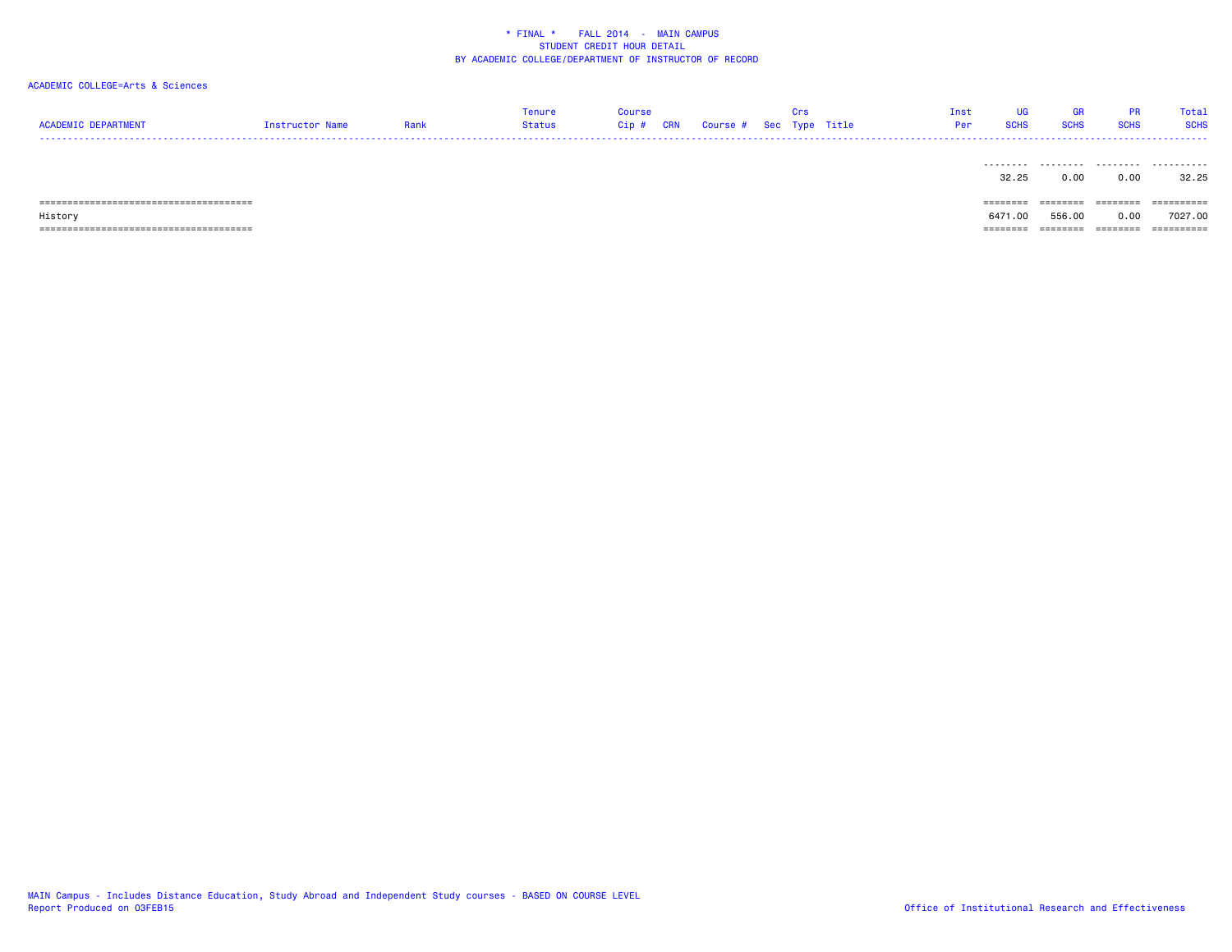# ACADEMIC COLLEGE=Arts & Sciences

| <b>ACADEMTC</b><br><b>DEDADTMENT</b> |                | Tenure | Course  |                                     |  | <b>Tnst</b> | UG          | GR | Total       |
|--------------------------------------|----------------|--------|---------|-------------------------------------|--|-------------|-------------|----|-------------|
|                                      | nstructor Name | Status | $Cip$ # | $\land$ CRN Course # Sec Type Title |  |             | <b>SCHS</b> |    | <b>SCHS</b> |
|                                      |                |        |         |                                     |  |             |             |    |             |

|         | .        |          | .       | .          |
|---------|----------|----------|---------|------------|
|         | 32.25    | 0.00     | 0.00    | 32.25      |
|         |          |          |         |            |
|         | -------- | ======== | ======= | ========== |
| History | 6471.00  | 556.00   | 0.00    | 7027.00    |
|         |          |          |         | ========== |

MAIN Campus - Includes Distance Education, Study Abroad and Independent Study courses - BASED ON COURSE LEVEL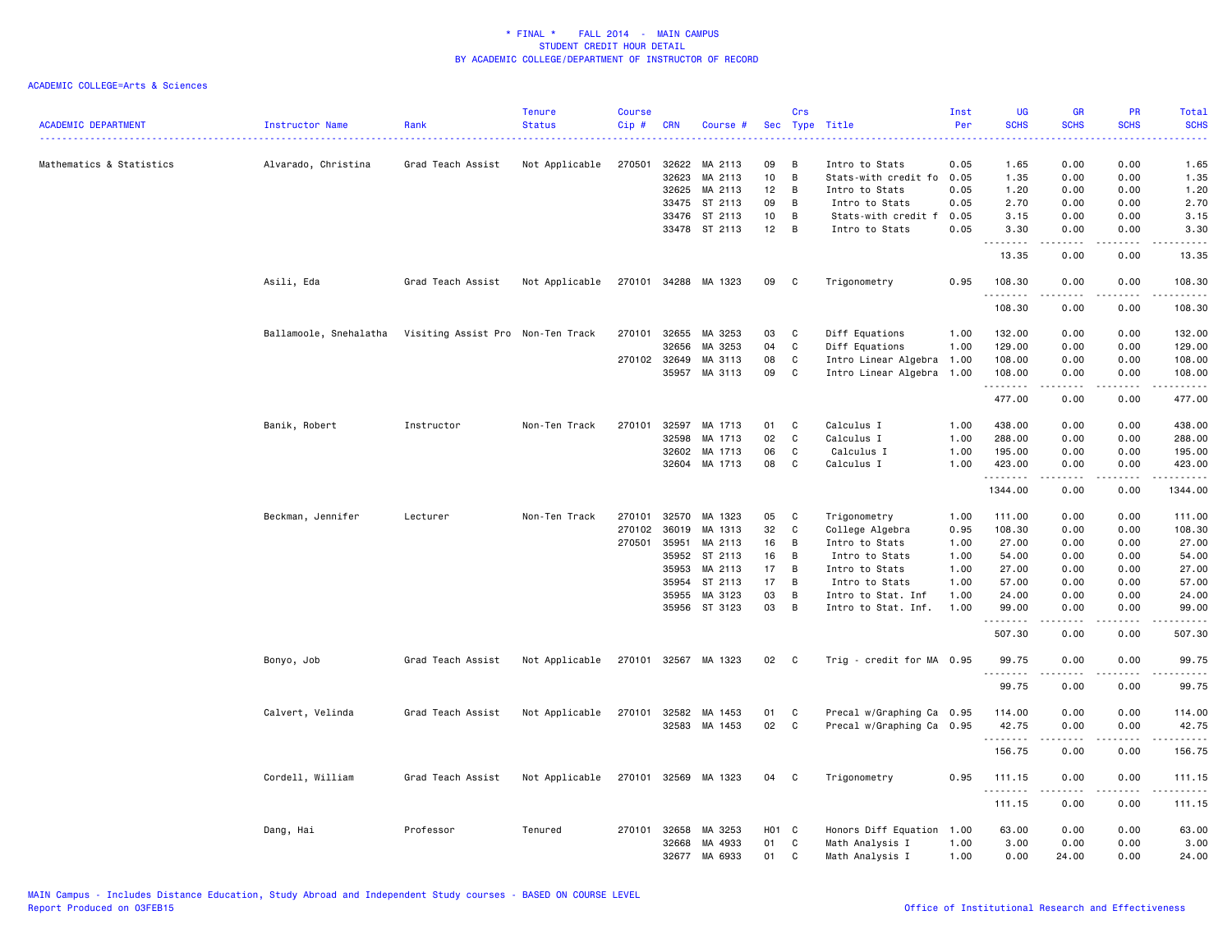| <b>ACADEMIC DEPARTMENT</b> | Instructor Name        | Rank                              | <b>Tenure</b><br><b>Status</b> | Course<br>Cip# | <b>CRN</b>   | Course #             | Sec        | Crs          | Type Title                | Inst<br>Per | <b>UG</b><br><b>SCHS</b> | <b>GR</b><br><b>SCHS</b>                                                                                                                                     | PR<br><b>SCHS</b>                   | Total<br><b>SCHS</b>                                                                                                  |
|----------------------------|------------------------|-----------------------------------|--------------------------------|----------------|--------------|----------------------|------------|--------------|---------------------------|-------------|--------------------------|--------------------------------------------------------------------------------------------------------------------------------------------------------------|-------------------------------------|-----------------------------------------------------------------------------------------------------------------------|
| Mathematics & Statistics   | Alvarado, Christina    | Grad Teach Assist                 | Not Applicable                 | 270501         | 32622        | MA 2113              | 09         | B            | Intro to Stats            | 0.05        | 1.65                     | 0.00                                                                                                                                                         | 0.00                                | 1.65                                                                                                                  |
|                            |                        |                                   |                                |                | 32623        | MA 2113              | 10         | B            | Stats-with credit fo 0.05 |             | 1.35                     | 0.00                                                                                                                                                         | 0.00                                | 1.35                                                                                                                  |
|                            |                        |                                   |                                |                | 32625        | MA 2113              | 12         | B            | Intro to Stats            | 0.05        | 1.20                     | 0.00                                                                                                                                                         | 0.00                                | 1.20                                                                                                                  |
|                            |                        |                                   |                                |                | 33475        | ST 2113              | 09         | B            | Intro to Stats            | 0.05        | 2.70                     | 0.00                                                                                                                                                         | 0.00                                | 2.70                                                                                                                  |
|                            |                        |                                   |                                |                | 33476        | ST 2113              | 10         | В            | Stats-with credit f 0.05  |             | 3.15                     | 0.00                                                                                                                                                         | 0.00                                | 3.15                                                                                                                  |
|                            |                        |                                   |                                |                |              | 33478 ST 2113        | 12         | B            | Intro to Stats            | 0.05        | 3.30<br>.                | 0.00<br>.                                                                                                                                                    | 0.00<br>$\sim$ $\sim$ $\sim$ $\sim$ | 3.30<br>والمناصبات                                                                                                    |
|                            |                        |                                   |                                |                |              |                      |            |              |                           |             | 13.35                    | 0.00                                                                                                                                                         | 0.00                                | 13.35                                                                                                                 |
|                            | Asili, Eda             | Grad Teach Assist                 | Not Applicable                 |                |              | 270101 34288 MA 1323 | 09         | C            | Trigonometry              | 0.95        | 108.30<br>.              | 0.00<br>.                                                                                                                                                    | 0.00<br>.                           | 108.30<br>.                                                                                                           |
|                            |                        |                                   |                                |                |              |                      |            |              |                           |             | 108.30                   | 0.00                                                                                                                                                         | 0.00                                | 108.30                                                                                                                |
|                            | Ballamoole, Snehalatha | Visiting Assist Pro Non-Ten Track |                                | 270101         | 32655        | MA 3253              | 03         | C            | Diff Equations            | 1.00        | 132.00                   | 0.00                                                                                                                                                         | 0.00                                | 132.00                                                                                                                |
|                            |                        |                                   |                                |                | 32656        | MA 3253              | 04         | C            | Diff Equations            | 1.00        | 129.00                   | 0.00                                                                                                                                                         | 0.00                                | 129.00                                                                                                                |
|                            |                        |                                   |                                | 270102 32649   |              | MA 3113              | 08         | C            | Intro Linear Algebra 1.00 |             | 108.00                   | 0.00                                                                                                                                                         | 0.00                                | 108.00                                                                                                                |
|                            |                        |                                   |                                |                | 35957        | MA 3113              | 09         | C            | Intro Linear Algebra 1.00 |             | 108.00<br>.              | 0.00<br>$\frac{1}{2} \left( \frac{1}{2} \right) \left( \frac{1}{2} \right) \left( \frac{1}{2} \right) \left( \frac{1}{2} \right) \left( \frac{1}{2} \right)$ | 0.00<br>.                           | 108.00<br>.                                                                                                           |
|                            |                        |                                   |                                |                |              |                      |            |              |                           |             | 477.00                   | 0.00                                                                                                                                                         | 0.00                                | 477.00                                                                                                                |
|                            | Banik, Robert          | Instructor                        | Non-Ten Track                  | 270101         | 32597        | MA 1713              | 01         | C            | Calculus I                | 1.00        | 438.00                   | 0.00                                                                                                                                                         | 0.00                                | 438.00                                                                                                                |
|                            |                        |                                   |                                |                | 32598        | MA 1713              | 02         | C            | Calculus I                | 1.00        | 288.00                   | 0.00                                                                                                                                                         | 0.00                                | 288.00                                                                                                                |
|                            |                        |                                   |                                |                | 32602        | MA 1713              | 06         | C            | Calculus I                | 1.00        | 195.00                   | 0.00                                                                                                                                                         | 0.00                                | 195.00                                                                                                                |
|                            |                        |                                   |                                |                | 32604        | MA 1713              | 08         | C            | Calculus I                | 1.00        | 423.00                   | 0.00                                                                                                                                                         | 0.00                                | 423.00                                                                                                                |
|                            |                        |                                   |                                |                |              |                      |            |              |                           |             | .                        | .                                                                                                                                                            | .                                   | .                                                                                                                     |
|                            |                        |                                   |                                |                |              |                      |            |              |                           |             | 1344.00                  | 0.00                                                                                                                                                         | 0.00                                | 1344.00                                                                                                               |
|                            | Beckman, Jennifer      | Lecturer                          | Non-Ten Track                  | 270101         | 32570        | MA 1323              | 05         | C            | Trigonometry              | 1.00        | 111.00                   | 0.00                                                                                                                                                         | 0.00                                | 111.00                                                                                                                |
|                            |                        |                                   |                                | 270102         | 36019        | MA 1313              | 32         | C            | College Algebra           | 0.95        | 108.30                   | 0.00                                                                                                                                                         | 0.00                                | 108.30                                                                                                                |
|                            |                        |                                   |                                | 270501         | 35951        | MA 2113              | 16         | В            | Intro to Stats            | 1.00        | 27.00                    | 0.00                                                                                                                                                         | 0.00                                | 27.00                                                                                                                 |
|                            |                        |                                   |                                |                | 35952        | ST 2113              | 16         | В            | Intro to Stats            | 1.00        | 54.00                    | 0.00                                                                                                                                                         | 0.00                                | 54.00                                                                                                                 |
|                            |                        |                                   |                                |                | 35953        | MA 2113              | 17         | B            | Intro to Stats            | 1.00        | 27.00                    | 0.00                                                                                                                                                         | 0.00                                | 27.00                                                                                                                 |
|                            |                        |                                   |                                |                | 35954        | ST 2113              | 17         | В            | Intro to Stats            | 1.00        | 57.00                    | 0.00                                                                                                                                                         | 0.00                                | 57.00                                                                                                                 |
|                            |                        |                                   |                                |                | 35955        | MA 3123              | 03         | B            | Intro to Stat. Inf        | 1.00        | 24.00                    | 0.00                                                                                                                                                         | 0.00                                | 24.00                                                                                                                 |
|                            |                        |                                   |                                |                | 35956        | ST 3123              | 03         | B            | Intro to Stat. Inf.       | 1.00        | 99.00<br>.               | 0.00<br>-----                                                                                                                                                | 0.00<br>.                           | 99.00<br>.                                                                                                            |
|                            |                        |                                   |                                |                |              |                      |            |              |                           |             | 507.30                   | 0.00                                                                                                                                                         | 0.00                                | 507.30                                                                                                                |
|                            | Bonyo, Job             | Grad Teach Assist                 | Not Applicable                 |                | 270101 32567 | MA 1323              | 02         | $\mathbf{C}$ | Trig - credit for MA 0.95 |             | 99.75<br>.               | 0.00                                                                                                                                                         | 0.00                                | 99.75<br>المستما                                                                                                      |
|                            |                        |                                   |                                |                |              |                      |            |              |                           |             | 99.75                    | 0.00                                                                                                                                                         | 0.00                                | 99.75                                                                                                                 |
|                            | Calvert, Velinda       | Grad Teach Assist                 | Not Applicable                 | 270101         | 32582        | MA 1453              | 01         | C            | Precal w/Graphing Ca 0.95 |             | 114.00                   | 0.00                                                                                                                                                         | 0.00                                | 114.00                                                                                                                |
|                            |                        |                                   |                                |                | 32583        | MA 1453              | 02         | C            | Precal w/Graphing Ca 0.95 |             | 42.75<br>.               | 0.00<br>.                                                                                                                                                    | 0.00<br>$\sim$ $\sim$ $\sim$        | 42.75<br>------                                                                                                       |
|                            |                        |                                   |                                |                |              |                      |            |              |                           |             | 156.75                   | 0.00                                                                                                                                                         | 0.00                                | 156.75                                                                                                                |
|                            | Cordell, William       | Grad Teach Assist                 | Not Applicable                 |                |              | 270101 32569 MA 1323 | 04 C       |              | Trigonometry              | 0.95        | 111.15                   | 0.00                                                                                                                                                         | 0.00                                | 111.15                                                                                                                |
|                            |                        |                                   |                                |                |              |                      |            |              |                           |             | .<br>111.15              | $- - - - -$<br>0.00                                                                                                                                          | -----<br>0.00                       | $\begin{array}{cccccccccc} \bullet & \bullet & \bullet & \bullet & \bullet & \bullet & \bullet \end{array}$<br>111.15 |
|                            | Dang, Hai              | Professor                         | Tenured                        | 270101 32658   |              | MA 3253              | <b>HO1</b> | $\mathbf{C}$ | Honors Diff Equation 1.00 |             | 63.00                    | 0.00                                                                                                                                                         | 0.00                                | 63.00                                                                                                                 |
|                            |                        |                                   |                                |                | 32668        | MA 4933              | 01         | C            | Math Analysis I           | 1.00        | 3.00                     | 0.00                                                                                                                                                         | 0.00                                | 3.00                                                                                                                  |
|                            |                        |                                   |                                |                | 32677        | MA 6933              | 01         | C            | Math Analysis I           | 1.00        | 0.00                     | 24.00                                                                                                                                                        | 0.00                                | 24.00                                                                                                                 |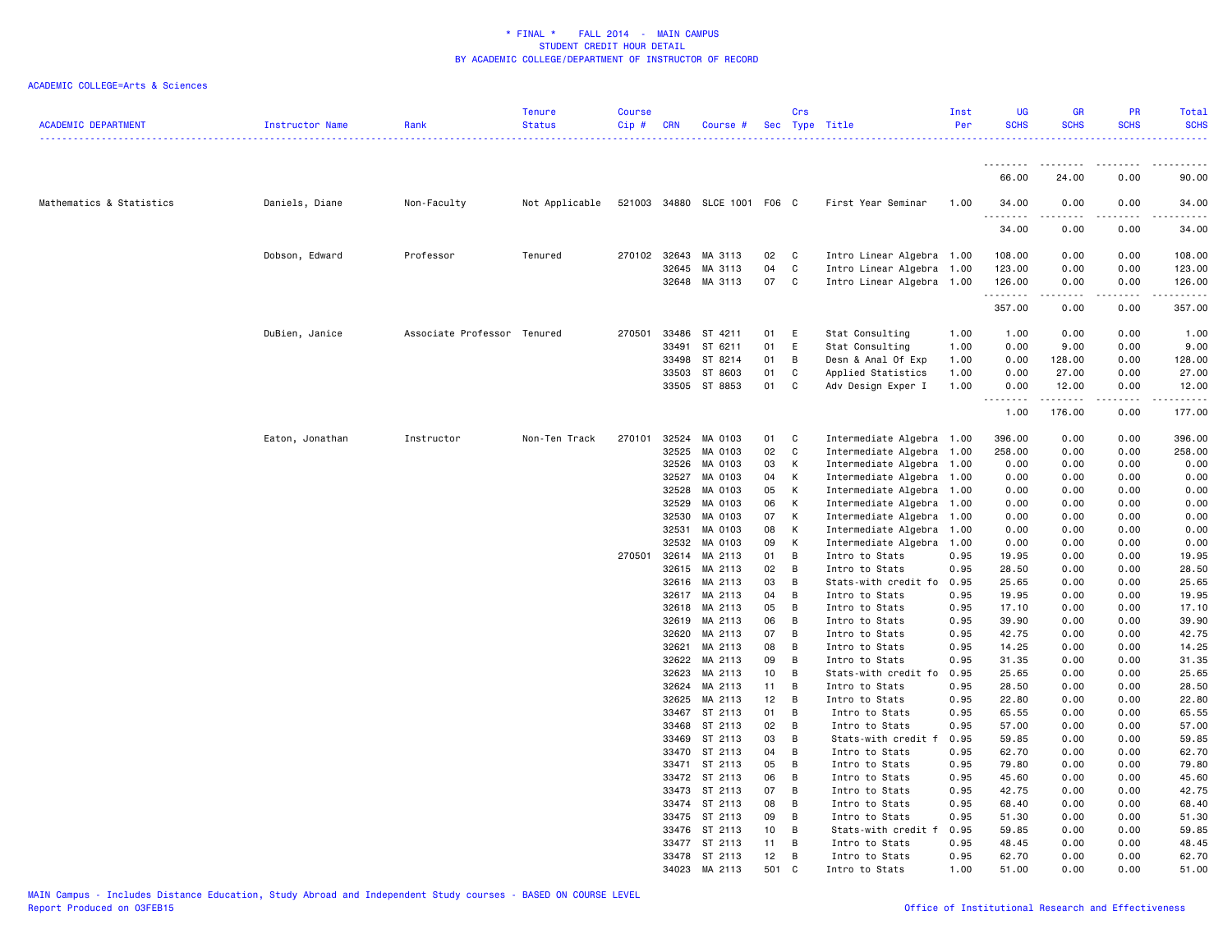| <b>ACADEMIC DEPARTMENT</b> | Instructor Name | Rank                        | <b>Tenure</b><br><b>Status</b> | <b>Course</b><br>Cip # | <b>CRN</b>     | Course #                     |          | Crs    | Sec Type Title                         | Inst<br>Per  | <b>UG</b><br><b>SCHS</b> | <b>GR</b><br><b>SCHS</b> | PR<br><b>SCHS</b> | <b>Total</b><br><b>SCHS</b> |
|----------------------------|-----------------|-----------------------------|--------------------------------|------------------------|----------------|------------------------------|----------|--------|----------------------------------------|--------------|--------------------------|--------------------------|-------------------|-----------------------------|
|                            |                 |                             |                                |                        |                |                              |          |        |                                        |              | <u>.</u>                 | .                        | $- - - - -$       | $- - - - - -$               |
|                            |                 |                             |                                |                        |                |                              |          |        |                                        |              | 66.00                    | 24.00                    | 0.00              | 90.00                       |
| Mathematics & Statistics   | Daniels, Diane  | Non-Faculty                 | Not Applicable                 |                        |                | 521003 34880 SLCE 1001 F06 C |          |        | First Year Seminar                     | 1.00         | 34.00<br>----            | 0.00                     | 0.00              | 34.00                       |
|                            |                 |                             |                                |                        |                |                              |          |        |                                        |              | 34.00                    | 0.00                     | 0.00              | 34.00                       |
|                            | Dobson, Edward  | Professor                   | Tenured                        | 270102                 | 32643          | MA 3113                      | 02       | C      | Intro Linear Algebra 1.00              |              | 108.00                   | 0.00                     | 0.00              | 108.00                      |
|                            |                 |                             |                                |                        | 32645          | MA 3113                      | 04       | C      | Intro Linear Algebra 1.00              |              | 123.00                   | 0.00                     | 0.00              | 123.00                      |
|                            |                 |                             |                                |                        | 32648          | MA 3113                      | 07       | C      | Intro Linear Algebra 1.00              |              | 126.00<br>.              | 0.00<br>.                | 0.00<br>.         | 126.00<br>. <u>.</u> .      |
|                            |                 |                             |                                |                        |                |                              |          |        |                                        |              | 357.00                   | 0.00                     | 0.00              | 357.00                      |
|                            | DuBien, Janice  | Associate Professor Tenured |                                | 270501                 | 33486          | ST 4211                      | 01       | E      | Stat Consulting                        | 1.00         | 1.00                     | 0.00                     | 0.00              | 1.00                        |
|                            |                 |                             |                                |                        | 33491          | ST 6211                      | 01       | E      | Stat Consulting                        | 1.00         | 0.00                     | 9.00                     | 0.00              | 9.00                        |
|                            |                 |                             |                                |                        | 33498          | ST 8214                      | 01       | В      | Desn & Anal Of Exp                     | 1.00         | 0.00                     | 128.00                   | 0.00              | 128.00                      |
|                            |                 |                             |                                |                        | 33503          | ST 8603                      | 01       | C      | Applied Statistics                     | 1.00         | 0.00                     | 27.00                    | 0.00              | 27.00                       |
|                            |                 |                             |                                |                        | 33505          | ST 8853                      | 01       | C      | Adv Design Exper I                     | 1.00         | 0.00<br><u>.</u>         | 12.00<br>.               | 0.00<br>.         | 12.00<br>.                  |
|                            |                 |                             |                                |                        |                |                              |          |        |                                        |              | 1.00                     | 176.00                   | 0.00              | 177.00                      |
|                            | Eaton, Jonathan | Instructor                  | Non-Ten Track                  | 270101                 | 32524          | MA 0103                      | 01       | C      | Intermediate Algebra 1.00              |              | 396.00                   | 0.00                     | 0.00              | 396.00                      |
|                            |                 |                             |                                |                        | 32525          | MA 0103                      | 02       | C      | Intermediate Algebra                   | 1.00         | 258.00                   | 0.00                     | 0.00              | 258.00                      |
|                            |                 |                             |                                |                        | 32526          | MA 0103                      | 03       | К      | Intermediate Algebra 1.00              |              | 0.00                     | 0.00                     | 0.00              | 0.00                        |
|                            |                 |                             |                                |                        | 32527          | MA 0103                      | 04       | К      | Intermediate Algebra 1.00              |              | 0.00                     | 0.00                     | 0.00              | 0.00                        |
|                            |                 |                             |                                |                        | 32528          | MA 0103                      | 05       | К      | Intermediate Algebra 1.00              |              | 0.00                     | 0.00                     | 0.00              | 0.00                        |
|                            |                 |                             |                                |                        | 32529          | MA 0103                      | 06       | К      | Intermediate Algebra 1.00              |              | 0.00                     | 0.00                     | 0.00              | 0.00                        |
|                            |                 |                             |                                |                        | 32530          | MA 0103                      | 07       | Κ      | Intermediate Algebra                   | 1.00         | 0.00                     | 0.00                     | 0.00              | 0.00                        |
|                            |                 |                             |                                |                        | 32531          | MA 0103                      | 08       | К      | Intermediate Algebra                   | 1.00         | 0.00                     | 0.00                     | 0.00              | 0.00                        |
|                            |                 |                             |                                |                        | 32532          | MA 0103                      | 09       | К      | Intermediate Algebra                   | 1.00         | 0.00                     | 0.00                     | 0.00              | 0.00                        |
|                            |                 |                             |                                | 270501                 | 32614          | MA 2113                      | 01       | В<br>B | Intro to Stats                         | 0.95         | 19.95                    | 0.00                     | 0.00              | 19.95                       |
|                            |                 |                             |                                |                        | 32615<br>32616 | MA 2113<br>MA 2113           | 02<br>03 | B      | Intro to Stats                         | 0.95<br>0.95 | 28.50<br>25.65           | 0.00<br>0.00             | 0.00<br>0.00      | 28.50<br>25.65              |
|                            |                 |                             |                                |                        | 32617          | MA 2113                      | 04       | B      | Stats-with credit fo<br>Intro to Stats | 0.95         | 19.95                    | 0.00                     | 0.00              | 19.95                       |
|                            |                 |                             |                                |                        | 32618          | MA 2113                      | 05       | B      | Intro to Stats                         | 0.95         | 17.10                    | 0.00                     | 0.00              | 17.10                       |
|                            |                 |                             |                                |                        | 32619          | MA 2113                      | 06       | B      | Intro to Stats                         | 0.95         | 39.90                    | 0.00                     | 0.00              | 39.90                       |
|                            |                 |                             |                                |                        | 32620          | MA 2113                      | 07       | B      | Intro to Stats                         | 0.95         | 42.75                    | 0.00                     | 0.00              | 42.75                       |
|                            |                 |                             |                                |                        | 32621          | MA 2113                      | 08       | B      | Intro to Stats                         | 0.95         | 14.25                    | 0.00                     | 0.00              | 14.25                       |
|                            |                 |                             |                                |                        | 32622          | MA 2113                      | 09       | В      | Intro to Stats                         | 0.95         | 31.35                    | 0.00                     | 0.00              | 31.35                       |
|                            |                 |                             |                                |                        | 32623          | MA 2113                      | 10       | B      | Stats-with credit fo                   | 0.95         | 25.65                    | 0.00                     | 0.00              | 25.65                       |
|                            |                 |                             |                                |                        | 32624          | MA 2113                      | 11       | В      | Intro to Stats                         | 0.95         | 28.50                    | 0.00                     | 0.00              | 28.50                       |
|                            |                 |                             |                                |                        | 32625          | MA 2113                      | 12       | B      | Intro to Stats                         | 0.95         | 22.80                    | 0.00                     | 0.00              | 22.80                       |
|                            |                 |                             |                                |                        | 33467          | ST 2113                      | 01       | В      | Intro to Stats                         | 0.95         | 65.55                    | 0.00                     | 0.00              | 65.55                       |
|                            |                 |                             |                                |                        | 33468          | ST 2113                      | 02       | B      | Intro to Stats                         | 0.95         | 57.00                    | 0.00                     | 0.00              | 57.00                       |
|                            |                 |                             |                                |                        | 33469          | ST 2113                      | 03       | В      | Stats-with credit f                    | 0.95         | 59.85                    | 0.00                     | 0.00              | 59.85                       |
|                            |                 |                             |                                |                        | 33470          | ST 2113                      | 04       | B      | Intro to Stats                         | 0.95         | 62.70                    | 0.00                     | 0.00              | 62.70                       |
|                            |                 |                             |                                |                        | 33471          | ST 2113                      | 05       | B      | Intro to Stats                         | 0.95         | 79.80                    | 0.00                     | 0.00              | 79.80                       |
|                            |                 |                             |                                |                        |                | 33472 ST 2113                | 06       | В      | Intro to Stats                         | 0.95         | 45.60                    | 0.00                     | 0.00              | 45.60                       |
|                            |                 |                             |                                |                        | 33473          | ST 2113                      | 07       | B      | Intro to Stats                         | 0.95         | 42.75                    | 0.00                     | 0.00              | 42.75                       |
|                            |                 |                             |                                |                        | 33475          | 33474 ST 2113<br>ST 2113     | 08<br>09 | В<br>B | Intro to Stats<br>Intro to Stats       | 0.95<br>0.95 | 68.40<br>51.30           | 0.00<br>0.00             | 0.00<br>0.00      | 68.40<br>51.30              |
|                            |                 |                             |                                |                        | 33476          | ST 2113                      | 10       | В      | Stats-with credit f                    | 0.95         | 59.85                    | 0.00                     | 0.00              | 59.85                       |
|                            |                 |                             |                                |                        |                | 33477 ST 2113                | 11       | В      | Intro to Stats                         | 0.95         | 48.45                    | 0.00                     | 0.00              | 48.45                       |
|                            |                 |                             |                                |                        |                | 33478 ST 2113                | 12       | В      | Intro to Stats                         | 0.95         | 62.70                    | 0.00                     | 0.00              | 62.70                       |
|                            |                 |                             |                                |                        |                | 34023 MA 2113                | 501      | C.     | Intro to Stats                         | 1.00         | 51.00                    | 0.00                     | 0.00              | 51.00                       |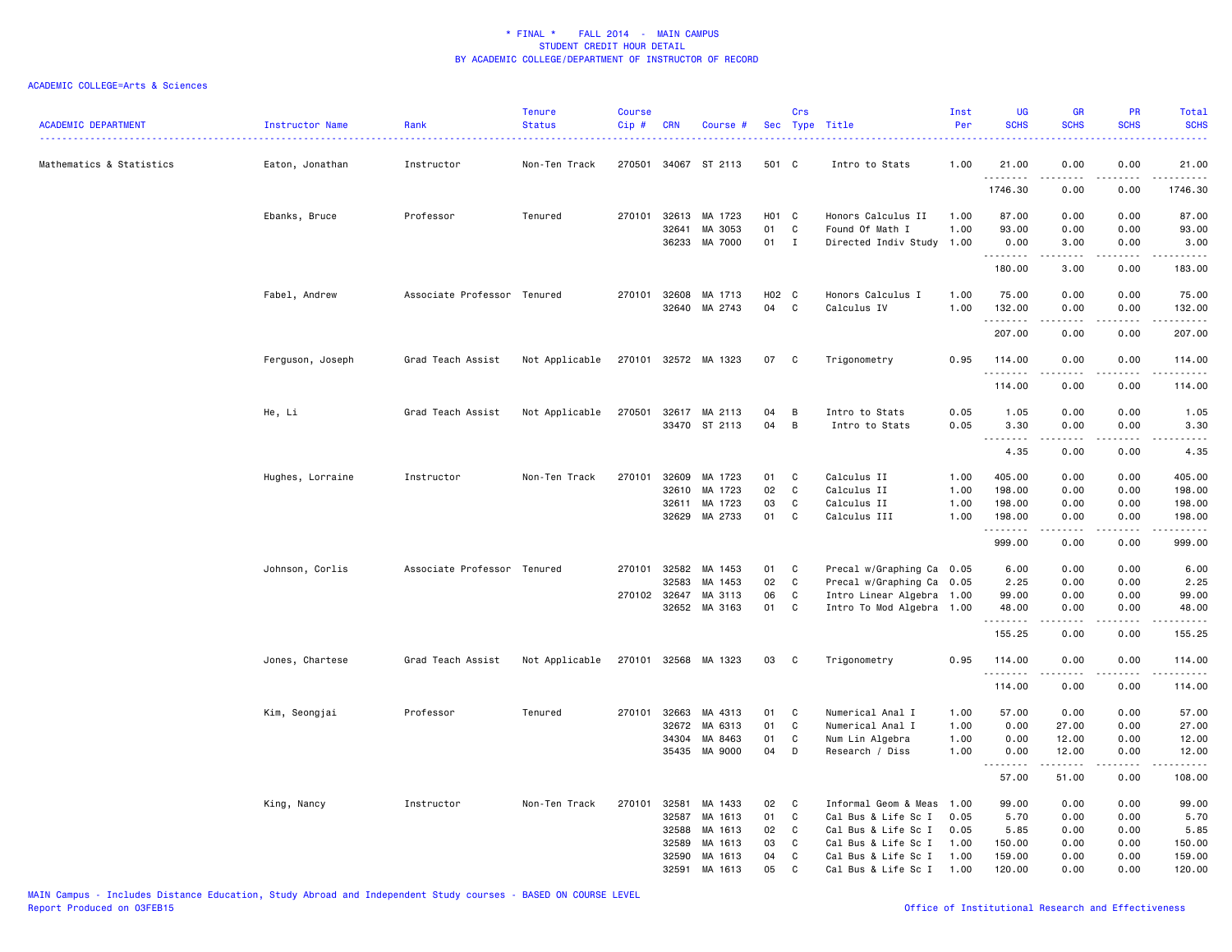| <b>ACADEMIC DEPARTMENT</b> | <b>Instructor Name</b> | Rank                        | <b>Tenure</b><br><b>Status</b> | <b>Course</b><br>Cip# | <b>CRN</b>     | Course #             |          | Crs          | Sec Type Title             | Inst<br>Per  | <b>UG</b><br><b>SCHS</b> | <b>GR</b><br><b>SCHS</b> | PR<br><b>SCHS</b> | Total<br><b>SCHS</b><br>$\frac{1}{2} \left( \frac{1}{2} \right) \left( \frac{1}{2} \right) \left( \frac{1}{2} \right) \left( \frac{1}{2} \right)$                                                                                                                                                                                            |
|----------------------------|------------------------|-----------------------------|--------------------------------|-----------------------|----------------|----------------------|----------|--------------|----------------------------|--------------|--------------------------|--------------------------|-------------------|----------------------------------------------------------------------------------------------------------------------------------------------------------------------------------------------------------------------------------------------------------------------------------------------------------------------------------------------|
| Mathematics & Statistics   | Eaton, Jonathan        | Instructor                  | Non-Ten Track                  |                       |                | 270501 34067 ST 2113 | 501 C    |              | Intro to Stats             | 1.00         | 21.00<br>.               | 0.00                     | 0.00              | 21.00<br>.                                                                                                                                                                                                                                                                                                                                   |
|                            |                        |                             |                                |                       |                |                      |          |              |                            |              | 1746.30                  | 0.00                     | 0.00              | 1746.30                                                                                                                                                                                                                                                                                                                                      |
|                            | Ebanks, Bruce          | Professor                   | Tenured                        | 270101                | 32613          | MA 1723              | H01      | C            | Honors Calculus II         | 1.00         | 87.00                    | 0.00                     | 0.00              | 87.00                                                                                                                                                                                                                                                                                                                                        |
|                            |                        |                             |                                |                       | 32641          | MA 3053              | 01       | C            | Found Of Math I            | 1.00         | 93.00                    | 0.00                     | 0.00              | 93.00                                                                                                                                                                                                                                                                                                                                        |
|                            |                        |                             |                                |                       | 36233          | MA 7000              | 01 I     |              | Directed Indiv Study 1.00  |              | 0.00<br>.                | 3.00<br>-----            | 0.00<br>.         | 3.00<br>.                                                                                                                                                                                                                                                                                                                                    |
|                            |                        |                             |                                |                       |                |                      |          |              |                            |              | 180.00                   | 3.00                     | 0.00              | 183.00                                                                                                                                                                                                                                                                                                                                       |
|                            | Fabel, Andrew          | Associate Professor Tenured |                                |                       | 270101 32608   | MA 1713              | H02 C    |              | Honors Calculus I          | 1.00         | 75.00                    | 0.00                     | 0.00              | 75.00                                                                                                                                                                                                                                                                                                                                        |
|                            |                        |                             |                                |                       | 32640          | MA 2743              | 04       | $\mathbf c$  | Calculus IV                | 1.00         | 132.00                   | 0.00                     | 0.00              | 132.00                                                                                                                                                                                                                                                                                                                                       |
|                            |                        |                             |                                |                       |                |                      |          |              |                            |              | .<br>207.00              | .<br>0.00                | .<br>0.00         | <u>.</u><br>207.00                                                                                                                                                                                                                                                                                                                           |
|                            | Ferguson, Joseph       | Grad Teach Assist           | Not Applicable                 | 270101                | 32572          | MA 1323              | 07       | C            | Trigonometry               | 0.95         | 114.00<br>.              | 0.00                     | 0.00              | 114.00<br>.                                                                                                                                                                                                                                                                                                                                  |
|                            |                        |                             |                                |                       |                |                      |          |              |                            |              | 114.00                   | 0.00                     | 0.00              | 114.00                                                                                                                                                                                                                                                                                                                                       |
|                            | He, Li                 | Grad Teach Assist           | Not Applicable                 | 270501                | 32617          | MA 2113              | 04       | B            | Intro to Stats             | 0.05         | 1.05                     | 0.00                     | 0.00              | 1.05                                                                                                                                                                                                                                                                                                                                         |
|                            |                        |                             |                                |                       |                | 33470 ST 2113        | 04       | B            | Intro to Stats             | 0.05         | 3.30                     | 0.00                     | 0.00              | 3.30                                                                                                                                                                                                                                                                                                                                         |
|                            |                        |                             |                                |                       |                |                      |          |              |                            |              | .<br>4.35                | .<br>0.00                | 0.00              | $\frac{1}{2} \left( \frac{1}{2} \right) \left( \frac{1}{2} \right) \left( \frac{1}{2} \right) \left( \frac{1}{2} \right) \left( \frac{1}{2} \right)$<br>4.35                                                                                                                                                                                 |
|                            |                        |                             |                                |                       |                |                      |          |              |                            |              |                          |                          |                   |                                                                                                                                                                                                                                                                                                                                              |
|                            | Hughes, Lorraine       | Instructor                  | Non-Ten Track                  | 270101                | 32609<br>32610 | MA 1723<br>MA 1723   | 01<br>02 | C<br>C       | Calculus II<br>Calculus II | 1.00<br>1.00 | 405.00<br>198.00         | 0.00<br>0.00             | 0.00<br>0.00      | 405.00<br>198.00                                                                                                                                                                                                                                                                                                                             |
|                            |                        |                             |                                |                       | 32611          | MA 1723              | 03       | C            | Calculus II                | 1.00         | 198.00                   | 0.00                     | 0.00              | 198.00                                                                                                                                                                                                                                                                                                                                       |
|                            |                        |                             |                                |                       | 32629          | MA 2733              | 01       | $\mathbb C$  | Calculus III               | 1.00         | 198.00                   | 0.00                     | 0.00              | 198.00                                                                                                                                                                                                                                                                                                                                       |
|                            |                        |                             |                                |                       |                |                      |          |              |                            |              | .<br>999.00              | .<br>0.00                | .<br>0.00         | $\frac{1}{2} \left( \begin{array}{ccc} 1 & 0 & 0 & 0 & 0 \\ 0 & 0 & 0 & 0 & 0 \\ 0 & 0 & 0 & 0 & 0 \\ 0 & 0 & 0 & 0 & 0 \\ 0 & 0 & 0 & 0 & 0 \\ 0 & 0 & 0 & 0 & 0 \\ 0 & 0 & 0 & 0 & 0 \\ 0 & 0 & 0 & 0 & 0 \\ 0 & 0 & 0 & 0 & 0 \\ 0 & 0 & 0 & 0 & 0 \\ 0 & 0 & 0 & 0 & 0 \\ 0 & 0 & 0 & 0 & 0 \\ 0 & 0 & 0 & 0 & 0 \\ 0 & 0 & 0$<br>999.00 |
|                            | Johnson, Corlis        | Associate Professor Tenured |                                |                       | 270101 32582   | MA 1453              | 01       | C            | Precal w/Graphing Ca 0.05  |              | 6.00                     | 0.00                     | 0.00              | 6.00                                                                                                                                                                                                                                                                                                                                         |
|                            |                        |                             |                                |                       | 32583          | MA 1453              | 02       | $\mathbf{C}$ | Precal w/Graphing Ca 0.05  |              | 2.25                     | 0.00                     | 0.00              | 2.25                                                                                                                                                                                                                                                                                                                                         |
|                            |                        |                             |                                |                       | 270102 32647   | MA 3113              | 06       | $\mathtt{C}$ | Intro Linear Algebra 1.00  |              | 99.00                    | 0.00                     | 0.00              | 99.00                                                                                                                                                                                                                                                                                                                                        |
|                            |                        |                             |                                |                       | 32652          | MA 3163              | 01       | C            | Intro To Mod Algebra 1.00  |              | 48.00                    | 0.00                     | 0.00              | 48.00                                                                                                                                                                                                                                                                                                                                        |
|                            |                        |                             |                                |                       |                |                      |          |              |                            |              | .<br>155.25              | .<br>0.00                | د د د د<br>0.00   | .<br>155.25                                                                                                                                                                                                                                                                                                                                  |
|                            | Jones, Chartese        | Grad Teach Assist           | Not Applicable                 |                       |                | 270101 32568 MA 1323 | 03       | C            | Trigonometry               | 0.95         | 114.00                   | 0.00                     | 0.00              | 114.00                                                                                                                                                                                                                                                                                                                                       |
|                            |                        |                             |                                |                       |                |                      |          |              |                            |              | .<br>114.00              | 0.00                     | 0.00              | .<br>114.00                                                                                                                                                                                                                                                                                                                                  |
|                            | Kim, Seongjai          | Professor                   | Tenured                        | 270101                | 32663          | MA 4313              | 01       | C            | Numerical Anal I           | 1.00         | 57.00                    | 0.00                     | 0.00              | 57.00                                                                                                                                                                                                                                                                                                                                        |
|                            |                        |                             |                                |                       | 32672          | MA 6313              | 01       | C            | Numerical Anal I           | 1.00         | 0.00                     | 27.00                    | 0.00              | 27.00                                                                                                                                                                                                                                                                                                                                        |
|                            |                        |                             |                                |                       | 34304          | MA 8463              | 01       | $\mathbf{C}$ | Num Lin Algebra            | 1.00         | 0.00                     | 12.00                    | 0.00              | 12.00                                                                                                                                                                                                                                                                                                                                        |
|                            |                        |                             |                                |                       | 35435          | MA 9000              | 04       | D            | Research / Diss            | 1.00         | 0.00<br>.                | 12.00<br>.               | 0.00<br>.         | 12.00<br>.                                                                                                                                                                                                                                                                                                                                   |
|                            |                        |                             |                                |                       |                |                      |          |              |                            |              | 57.00                    | 51.00                    | 0.00              | 108.00                                                                                                                                                                                                                                                                                                                                       |
|                            | King, Nancy            | Instructor                  | Non-Ten Track                  | 270101                | 32581          | MA 1433              | 02       | C            | Informal Geom & Meas       | 1.00         | 99.00                    | 0.00                     | 0.00              | 99.00                                                                                                                                                                                                                                                                                                                                        |
|                            |                        |                             |                                |                       | 32587          | MA 1613              | 01       | C            | Cal Bus & Life Sc I        | 0.05         | 5.70                     | 0.00                     | 0.00              | 5.70                                                                                                                                                                                                                                                                                                                                         |
|                            |                        |                             |                                |                       | 32588          | MA 1613              | 02       | C            | Cal Bus & Life Sc I        | 0.05         | 5.85                     | 0.00                     | 0.00              | 5.85                                                                                                                                                                                                                                                                                                                                         |
|                            |                        |                             |                                |                       | 32589          | MA 1613              | 03       | C            | Cal Bus & Life Sc I        | 1.00         | 150.00                   | 0.00                     | 0.00              | 150.00                                                                                                                                                                                                                                                                                                                                       |
|                            |                        |                             |                                |                       | 32590          | MA 1613              | 04       | C            | Cal Bus & Life Sc I        | 1.00         | 159.00                   | 0.00                     | 0.00              | 159.00                                                                                                                                                                                                                                                                                                                                       |
|                            |                        |                             |                                |                       | 32591          | MA 1613              | 05       | C            | Cal Bus & Life Sc I        | 1.00         | 120.00                   | 0.00                     | 0.00              | 120.00                                                                                                                                                                                                                                                                                                                                       |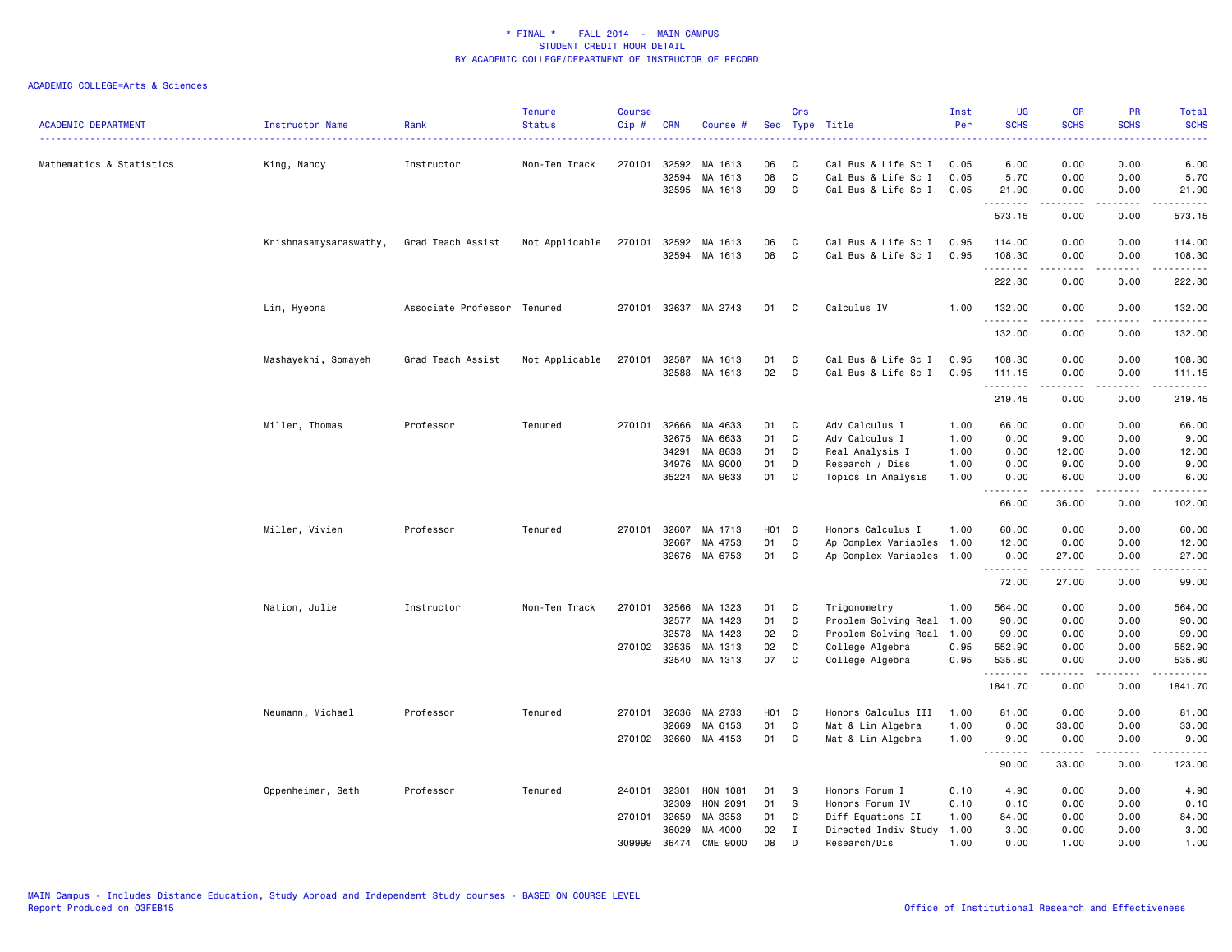| <b>ACADEMIC DEPARTMENT</b> | Instructor Name        | Rank<br>.           | <b>Tenure</b><br><b>Status</b> | <b>Course</b><br>Cip# | <b>CRN</b>                                       | Course #                                            | Sec                        | Crs                               | Type Title                                                                                              | Inst<br>Per                          | <b>UG</b><br><b>SCHS</b><br>الداعات عام      | <b>GR</b><br><b>SCHS</b>                                                                                                                                     | PR<br><b>SCHS</b><br>----            | <b>Total</b><br><b>SCHS</b><br>22222                                                                                  |
|----------------------------|------------------------|---------------------|--------------------------------|-----------------------|--------------------------------------------------|-----------------------------------------------------|----------------------------|-----------------------------------|---------------------------------------------------------------------------------------------------------|--------------------------------------|----------------------------------------------|--------------------------------------------------------------------------------------------------------------------------------------------------------------|--------------------------------------|-----------------------------------------------------------------------------------------------------------------------|
| Mathematics & Statistics   | King, Nancy            | Instructor          | Non-Ten Track                  | 270101                | 32592<br>32594<br>32595                          | MA 1613<br>MA 1613<br>MA 1613                       | 06<br>08<br>09             | C<br>C<br>C                       | Cal Bus & Life Sc I<br>Cal Bus & Life Sc I<br>Cal Bus & Life Sc I                                       | 0.05<br>0.05<br>0.05                 | 6.00<br>5.70<br>21.90                        | 0.00<br>0.00<br>0.00                                                                                                                                         | 0.00<br>0.00<br>0.00                 | 6.00<br>5.70<br>21.90                                                                                                 |
|                            |                        |                     |                                |                       |                                                  |                                                     |                            |                                   |                                                                                                         |                                      | .<br>573.15                                  | $\frac{1}{2} \left( \frac{1}{2} \right) \left( \frac{1}{2} \right) \left( \frac{1}{2} \right) \left( \frac{1}{2} \right) \left( \frac{1}{2} \right)$<br>0.00 | د د د د<br>0.00                      | .<br>573.15                                                                                                           |
|                            | Krishnasamysaraswathy, | Grad Teach Assist   | Not Applicable                 | 270101                | 32592                                            | MA 1613                                             | 06                         | C                                 | Cal Bus & Life Sc I                                                                                     | 0.95                                 | 114.00                                       | 0.00                                                                                                                                                         | 0.00                                 | 114.00                                                                                                                |
|                            |                        |                     |                                |                       | 32594                                            | MA 1613                                             | 08                         | $\mathbb{C}$                      | Cal Bus & Life Sc I                                                                                     | 0.95                                 | 108.30<br>.<br>222.30                        | 0.00<br>-----<br>0.00                                                                                                                                        | 0.00<br>.<br>0.00                    | 108.30<br>.<br>222.30                                                                                                 |
|                            | Lim, Hyeona            | Associate Professor | Tenured                        |                       | 270101 32637                                     | MA 2743                                             | 01                         | C                                 | Calculus IV                                                                                             | 1.00                                 | 132.00                                       | 0.00                                                                                                                                                         | 0.00                                 | 132.00                                                                                                                |
|                            |                        |                     |                                |                       |                                                  |                                                     |                            |                                   |                                                                                                         |                                      | .<br>132.00                                  | -----<br>0.00                                                                                                                                                | بالمحامر<br>0.00                     | $\begin{array}{cccccccccc} \bullet & \bullet & \bullet & \bullet & \bullet & \bullet & \bullet \end{array}$<br>132.00 |
|                            | Mashayekhi, Somayeh    | Grad Teach Assist   | Not Applicable                 | 270101                | 32587<br>32588                                   | MA 1613<br>MA 1613                                  | 01<br>02                   | C<br>C                            | Cal Bus & Life Sc I<br>Cal Bus & Life Sc I                                                              | 0.95<br>0.95                         | 108.30<br>111.15                             | 0.00<br>0.00                                                                                                                                                 | 0.00<br>0.00                         | 108.30<br>111.15                                                                                                      |
|                            |                        |                     |                                |                       |                                                  |                                                     |                            |                                   |                                                                                                         |                                      | .<br>219.45                                  | المتمام المتعاد<br>0.00                                                                                                                                      | .<br>0.00                            | د د د د د د<br>219.45                                                                                                 |
|                            | Miller, Thomas         | Professor           | Tenured                        | 270101                | 32666<br>32675<br>34291<br>34976<br>35224        | MA 4633<br>MA 6633<br>MA 8633<br>MA 9000<br>MA 9633 | 01<br>01<br>01<br>01<br>01 | C<br>C<br>C<br>D<br>C             | Adv Calculus I<br>Adv Calculus I<br>Real Analysis I<br>Research / Diss<br>Topics In Analysis            | 1.00<br>1.00<br>1.00<br>1.00<br>1.00 | 66.00<br>0.00<br>0.00<br>0.00<br>0.00        | 0.00<br>9.00<br>12.00<br>9.00<br>6.00                                                                                                                        | 0.00<br>0.00<br>0.00<br>0.00<br>0.00 | 66.00<br>9.00<br>12.00<br>9.00<br>6.00                                                                                |
|                            |                        |                     |                                |                       |                                                  |                                                     |                            |                                   |                                                                                                         |                                      | .<br>66.00                                   | .<br>36.00                                                                                                                                                   | .<br>0.00                            | .<br>102.00                                                                                                           |
|                            | Miller, Vivien         | Professor           | Tenured                        | 270101                | 32607<br>32667<br>32676                          | MA 1713<br>MA 4753<br>MA 6753                       | H01<br>01<br>01            | $\mathbf{C}$<br>C<br>C            | Honors Calculus I<br>Ap Complex Variables 1.00<br>Ap Complex Variables 1.00                             | 1.00                                 | 60.00<br>12.00<br>0.00<br>.                  | 0.00<br>0.00<br>27.00<br>.                                                                                                                                   | 0.00<br>0.00<br>0.00<br>.            | 60.00<br>12.00<br>27.00<br>.                                                                                          |
|                            |                        |                     |                                |                       |                                                  |                                                     |                            |                                   |                                                                                                         |                                      | 72.00                                        | 27.00                                                                                                                                                        | 0.00                                 | 99.00                                                                                                                 |
|                            | Nation, Julie          | Instructor          | Non-Ten Track                  | 270101                | 32566<br>32577<br>32578<br>270102 32535<br>32540 | MA 1323<br>MA 1423<br>MA 1423<br>MA 1313<br>MA 1313 | 01<br>01<br>02<br>02<br>07 | C<br>$\mathbb{C}$<br>C<br>C<br>C  | Trigonometry<br>Problem Solving Real<br>Problem Solving Real 1.00<br>College Algebra<br>College Algebra | 1.00<br>1.00<br>0.95<br>0.95         | 564.00<br>90.00<br>99.00<br>552.90<br>535.80 | 0.00<br>0.00<br>0.00<br>0.00<br>0.00                                                                                                                         | 0.00<br>0.00<br>0.00<br>0.00<br>0.00 | 564.00<br>90.00<br>99.00<br>552.90<br>535.80                                                                          |
|                            |                        |                     |                                |                       |                                                  |                                                     |                            |                                   |                                                                                                         |                                      | .<br>1841.70                                 | 0.00                                                                                                                                                         | 0.00                                 | ------<br>1841.70                                                                                                     |
|                            | Neumann, Michael       | Professor           | Tenured                        | 270101                | 32636<br>32669<br>270102 32660                   | MA 2733<br>MA 6153<br>MA 4153                       | <b>HO1</b><br>01<br>01     | $\mathbf{C}$<br>$\mathbb{C}$<br>C | Honors Calculus III<br>Mat & Lin Algebra<br>Mat & Lin Algebra                                           | 1.00<br>1.00<br>1.00                 | 81.00<br>0.00<br>9.00<br>.<br>90.00          | 0.00<br>33.00<br>0.00<br>33.00                                                                                                                               | 0.00<br>0.00<br>0.00<br>0.00         | 81.00<br>33.00<br>9.00<br>$\frac{1}{2}$<br>123.00                                                                     |
|                            | Oppenheimer, Seth      | Professor           | Tenured                        | 270101                | 240101 32301<br>32309<br>32659<br>36029          | HON 1081<br>HON 2091<br>MA 3353<br>MA 4000          | 01<br>01<br>01<br>02       | s<br>s<br>C<br>$\mathbf I$        | Honors Forum I<br>Honors Forum IV<br>Diff Equations II<br>Directed Indiv Study 1.00                     | 0.10<br>0.10<br>1.00                 | 4.90<br>0.10<br>84.00<br>3.00                | 0.00<br>0.00<br>0.00<br>0.00                                                                                                                                 | 0.00<br>0.00<br>0.00<br>0.00         | 4.90<br>0.10<br>84.00<br>3.00                                                                                         |
|                            |                        |                     |                                | 309999                | 36474                                            | <b>CME 9000</b>                                     | 08                         | <sub>D</sub>                      | Research/Dis                                                                                            | 1.00                                 | 0.00                                         | 1.00                                                                                                                                                         | 0.00                                 | 1.00                                                                                                                  |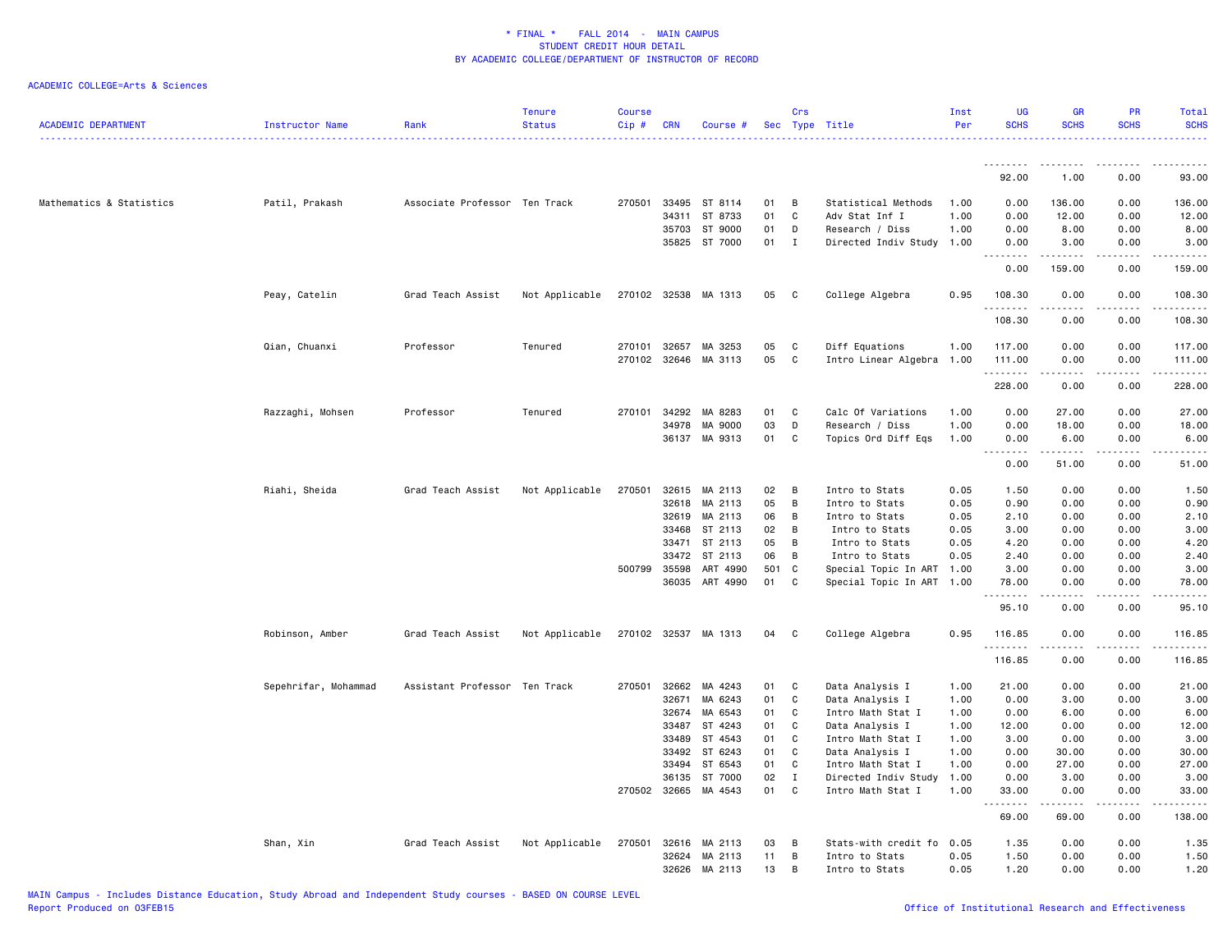| <b>ACADEMIC DEPARTMENT</b> | Instructor Name      | Rank                          | <b>Tenure</b><br><b>Status</b> | <b>Course</b><br>$Cip$ # | <b>CRN</b>   | Course #             | Sec  | Crs          | Type Title                | Inst<br>Per | UG<br><b>SCHS</b>                                    | <b>GR</b><br><b>SCHS</b>                                                                                                                                     | PR<br><b>SCHS</b>                   | Total<br><b>SCHS</b>                                                                                                                                                            |
|----------------------------|----------------------|-------------------------------|--------------------------------|--------------------------|--------------|----------------------|------|--------------|---------------------------|-------------|------------------------------------------------------|--------------------------------------------------------------------------------------------------------------------------------------------------------------|-------------------------------------|---------------------------------------------------------------------------------------------------------------------------------------------------------------------------------|
|                            |                      |                               |                                |                          |              |                      |      |              |                           |             | 92.00                                                | 1.00                                                                                                                                                         | $\sim$ $\sim$ $\sim$ $\sim$<br>0.00 | 93.00                                                                                                                                                                           |
|                            |                      |                               |                                |                          |              |                      |      |              |                           |             |                                                      |                                                                                                                                                              |                                     |                                                                                                                                                                                 |
| Mathematics & Statistics   | Patil, Prakash       | Associate Professor Ten Track |                                | 270501                   | 33495        | ST 8114              | 01   | B            | Statistical Methods       | 1.00        | 0.00                                                 | 136.00                                                                                                                                                       | 0.00                                | 136.00                                                                                                                                                                          |
|                            |                      |                               |                                |                          | 34311        | ST 8733              | 01   | C            | Adv Stat Inf I            | 1.00        | 0.00                                                 | 12.00                                                                                                                                                        | 0.00                                | 12.00                                                                                                                                                                           |
|                            |                      |                               |                                |                          | 35703        | ST 9000              | 01   | D            | Research / Diss           | 1.00        | 0.00                                                 | 8.00                                                                                                                                                         | 0.00                                | 8.00                                                                                                                                                                            |
|                            |                      |                               |                                |                          |              | 35825 ST 7000        | 01   | $\mathbf I$  | Directed Indiv Study 1.00 |             | 0.00<br>.<br>$\frac{1}{2}$                           | 3.00<br>--------                                                                                                                                             | 0.00<br>$\sim$ $\sim$ $\sim$        | 3.00<br>.                                                                                                                                                                       |
|                            |                      |                               |                                |                          |              |                      |      |              |                           |             | 0.00                                                 | 159.00                                                                                                                                                       | 0.00                                | 159.00                                                                                                                                                                          |
|                            | Peay, Catelin        | Grad Teach Assist             | Not Applicable                 |                          |              | 270102 32538 MA 1313 | 05 C |              | College Algebra           | 0.95        | 108.30                                               | 0.00<br>.                                                                                                                                                    | 0.00<br>.                           | 108.30<br>. <u>.</u> .                                                                                                                                                          |
|                            |                      |                               |                                |                          |              |                      |      |              |                           |             | .<br>108.30                                          | 0.00                                                                                                                                                         | 0.00                                | 108.30                                                                                                                                                                          |
|                            | Qian, Chuanxi        | Professor                     | Tenured                        |                          | 270101 32657 | MA 3253              | 05   | C            | Diff Equations            | 1.00        | 117.00                                               | 0.00                                                                                                                                                         | 0.00                                | 117.00                                                                                                                                                                          |
|                            |                      |                               |                                | 270102                   | 32646        | MA 3113              | 05   | C            | Intro Linear Algebra 1.00 |             | 111.00                                               | 0.00                                                                                                                                                         | 0.00                                | 111.00                                                                                                                                                                          |
|                            |                      |                               |                                |                          |              |                      |      |              |                           |             | .                                                    | .                                                                                                                                                            | $\sim$ $\sim$ $\sim$                | $\frac{1}{2} \left( \frac{1}{2} \right) \left( \frac{1}{2} \right) \left( \frac{1}{2} \right) \left( \frac{1}{2} \right) \left( \frac{1}{2} \right) \left( \frac{1}{2} \right)$ |
|                            |                      |                               |                                |                          |              |                      |      |              |                           |             | 228.00                                               | 0.00                                                                                                                                                         | 0.00                                | 228.00                                                                                                                                                                          |
|                            | Razzaghi, Mohsen     | Professor                     | Tenured                        | 270101                   | 34292        | MA 8283              | 01   | C            | Calc Of Variations        | 1.00        | 0.00                                                 | 27.00                                                                                                                                                        | 0.00                                | 27.00                                                                                                                                                                           |
|                            |                      |                               |                                |                          | 34978        | MA 9000              | 03   | D            | Research / Diss           | 1.00        | 0.00                                                 | 18.00                                                                                                                                                        | 0.00                                | 18.00                                                                                                                                                                           |
|                            |                      |                               |                                |                          | 36137        | MA 9313              | 01   | C            | Topics Ord Diff Eqs       | 1.00        | 0.00<br>$\sim$ $\sim$<br>$\sim$ $\sim$ $\sim$ $\sim$ | 6.00<br>$\frac{1}{2} \left( \frac{1}{2} \right) \left( \frac{1}{2} \right) \left( \frac{1}{2} \right) \left( \frac{1}{2} \right) \left( \frac{1}{2} \right)$ | 0.00<br>$\sim$ $\sim$ $\sim$        | 6.00<br>والمناصبات                                                                                                                                                              |
|                            |                      |                               |                                |                          |              |                      |      |              |                           |             | 0.00                                                 | 51.00                                                                                                                                                        | 0.00                                | 51.00                                                                                                                                                                           |
|                            | Riahi, Sheida        | Grad Teach Assist             | Not Applicable                 | 270501                   |              | 32615 MA 2113        | 02   | B            | Intro to Stats            | 0.05        | 1.50                                                 | 0.00                                                                                                                                                         | 0.00                                | 1.50                                                                                                                                                                            |
|                            |                      |                               |                                |                          | 32618        | MA 2113              | 05   | В            | Intro to Stats            | 0.05        | 0.90                                                 | 0.00                                                                                                                                                         | 0.00                                | 0.90                                                                                                                                                                            |
|                            |                      |                               |                                |                          | 32619        | MA 2113              | 06   | В            | Intro to Stats            | 0.05        | 2.10                                                 | 0.00                                                                                                                                                         | 0.00                                | 2.10                                                                                                                                                                            |
|                            |                      |                               |                                |                          | 33468        | ST 2113              | 02   | В            | Intro to Stats            | 0.05        | 3.00                                                 | 0.00                                                                                                                                                         | 0.00                                | 3.00                                                                                                                                                                            |
|                            |                      |                               |                                |                          | 33471        | ST 2113              | 05   | В            | Intro to Stats            | 0.05        | 4.20                                                 | 0.00                                                                                                                                                         | 0.00                                | 4.20                                                                                                                                                                            |
|                            |                      |                               |                                |                          | 33472        | ST 2113              | 06   | В            | Intro to Stats            | 0.05        | 2.40                                                 | 0.00                                                                                                                                                         | 0.00                                | 2.40                                                                                                                                                                            |
|                            |                      |                               |                                | 500799                   | 35598        | ART 4990             | 501  | $\mathbf c$  | Special Topic In ART 1.00 |             | 3.00                                                 | 0.00                                                                                                                                                         | 0.00                                | 3.00                                                                                                                                                                            |
|                            |                      |                               |                                |                          | 36035        | ART 4990             | 01   | C            | Special Topic In ART 1.00 |             | 78.00<br>.                                           | 0.00                                                                                                                                                         | 0.00                                | 78.00<br>$\sim$ $\sim$ $\sim$ $\sim$                                                                                                                                            |
|                            |                      |                               |                                |                          |              |                      |      |              |                           |             | 95.10                                                | 0.00                                                                                                                                                         | 0.00                                | 95.10                                                                                                                                                                           |
|                            | Robinson, Amber      | Grad Teach Assist             | Not Applicable                 |                          |              | 270102 32537 MA 1313 | 04   | C            | College Algebra           | 0.95        | 116.85                                               | 0.00                                                                                                                                                         | 0.00                                | 116.85                                                                                                                                                                          |
|                            |                      |                               |                                |                          |              |                      |      |              |                           |             | 116.85                                               | 0.00                                                                                                                                                         | 0.00                                | 116.85                                                                                                                                                                          |
|                            | Sepehrifar, Mohammad | Assistant Professor Ten Track |                                | 270501                   | 32662        | MA 4243              | 01   | C            | Data Analysis I           | 1.00        | 21.00                                                | 0.00                                                                                                                                                         | 0.00                                | 21.00                                                                                                                                                                           |
|                            |                      |                               |                                |                          | 32671        | MA 6243              | 01   | C            | Data Analysis I           | 1.00        | 0.00                                                 | 3.00                                                                                                                                                         | 0.00                                | 3.00                                                                                                                                                                            |
|                            |                      |                               |                                |                          | 32674        | MA 6543              | 01   | C            | Intro Math Stat I         | 1.00        | 0.00                                                 | 6.00                                                                                                                                                         | 0.00                                | 6.00                                                                                                                                                                            |
|                            |                      |                               |                                |                          | 33487        | ST 4243              | 01   | C            | Data Analysis I           | 1.00        | 12.00                                                | 0.00                                                                                                                                                         | 0.00                                | 12.00                                                                                                                                                                           |
|                            |                      |                               |                                |                          | 33489        | ST 4543              | 01   | $\mathbf C$  | Intro Math Stat I         | 1.00        | 3.00                                                 | 0.00                                                                                                                                                         | 0.00                                | 3.00                                                                                                                                                                            |
|                            |                      |                               |                                |                          | 33492        | ST 6243              | 01   | C            | Data Analysis I           | 1.00        | 0.00                                                 | 30.00                                                                                                                                                        | 0.00                                | 30.00                                                                                                                                                                           |
|                            |                      |                               |                                |                          | 33494        | ST 6543              | 01   | $\mathbb{C}$ | Intro Math Stat I         | 1.00        | 0.00                                                 | 27.00                                                                                                                                                        | 0.00                                | 27.00                                                                                                                                                                           |
|                            |                      |                               |                                |                          | 36135        | ST 7000              | 02   | Ι.           | Directed Indiv Study      | 1.00        | 0.00                                                 | 3.00                                                                                                                                                         | 0.00                                | 3.00                                                                                                                                                                            |
|                            |                      |                               |                                |                          | 270502 32665 | MA 4543              | 01   | C            | Intro Math Stat I         | 1.00        | 33.00<br>.                                           | 0.00<br>.                                                                                                                                                    | 0.00<br>.                           | 33.00<br>.                                                                                                                                                                      |
|                            |                      |                               |                                |                          |              |                      |      |              |                           |             | 69.00                                                | 69.00                                                                                                                                                        | 0.00                                | 138.00                                                                                                                                                                          |
|                            | Shan, Xin            | Grad Teach Assist             | Not Applicable                 | 270501                   | 32616        | MA 2113              | 03   | B            | Stats-with credit fo      | 0.05        | 1.35                                                 | 0.00                                                                                                                                                         | 0.00                                | 1.35                                                                                                                                                                            |
|                            |                      |                               |                                |                          | 32624        | MA 2113              | 11   | B            | Intro to Stats            | 0.05        | 1.50                                                 | 0.00                                                                                                                                                         | 0.00                                | 1.50                                                                                                                                                                            |
|                            |                      |                               |                                |                          | 32626        | MA 2113              | 13   | B            | Intro to Stats            | 0.05        | 1.20                                                 | 0.00                                                                                                                                                         | 0.00                                | 1.20                                                                                                                                                                            |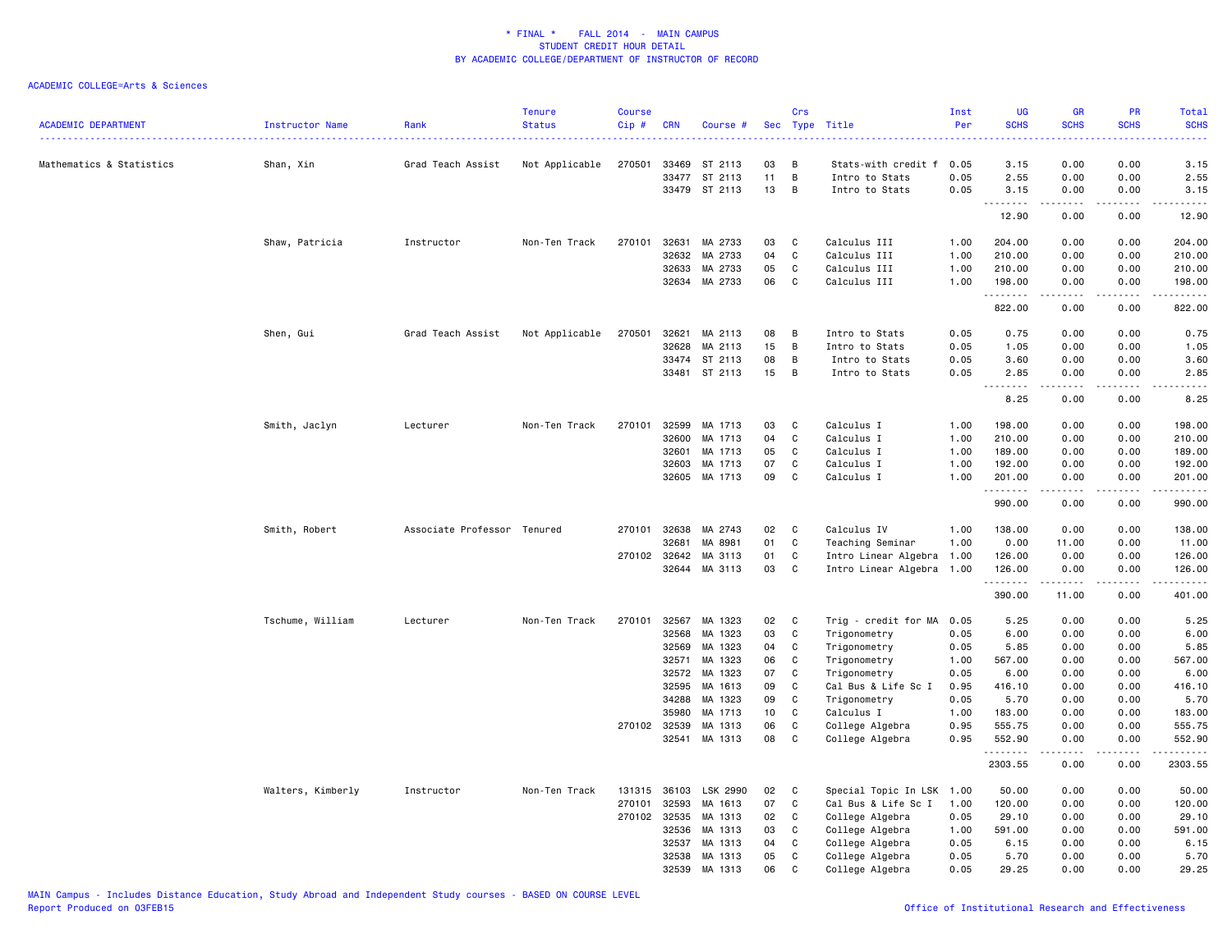| <b>ACADEMIC DEPARTMENT</b> | Instructor Name   | Rank                        | <b>Tenure</b><br><b>Status</b> | <b>Course</b><br>Cip # | <b>CRN</b>     | Course #           |          | Crs                          | Sec Type Title             | Inst<br>Per  | <b>UG</b><br><b>SCHS</b>     | GR<br><b>SCHS</b>                                                                                                                                            | PR<br><b>SCHS</b> | Total<br><b>SCHS</b>                                                                                                               |
|----------------------------|-------------------|-----------------------------|--------------------------------|------------------------|----------------|--------------------|----------|------------------------------|----------------------------|--------------|------------------------------|--------------------------------------------------------------------------------------------------------------------------------------------------------------|-------------------|------------------------------------------------------------------------------------------------------------------------------------|
| Mathematics & Statistics   | Shan, Xin         | Grad Teach Assist           | Not Applicable                 | 270501                 | 33469          | ST 2113            | 03       | B                            | Stats-with credit f        | 0.05         | 3.15                         | 0.00                                                                                                                                                         | 0.00              | 3.15                                                                                                                               |
|                            |                   |                             |                                |                        | 33477          | ST 2113            | 11       | В                            | Intro to Stats             | 0.05         | 2.55                         | 0.00                                                                                                                                                         | 0.00              | 2.55                                                                                                                               |
|                            |                   |                             |                                |                        |                | 33479 ST 2113      | 13       | B                            | Intro to Stats             | 0.05         | 3.15                         | 0.00                                                                                                                                                         | 0.00              | 3.15                                                                                                                               |
|                            |                   |                             |                                |                        |                |                    |          |                              |                            |              | .<br>12.90                   | .<br>0.00                                                                                                                                                    | .<br>0.00         | $\frac{1}{2} \left( \frac{1}{2} \right) \left( \frac{1}{2} \right) \left( \frac{1}{2} \right) \left( \frac{1}{2} \right)$<br>12.90 |
|                            | Shaw, Patricia    | Instructor                  | Non-Ten Track                  | 270101                 | 32631          | MA 2733            | 03       | C                            | Calculus III               | 1.00         | 204.00                       | 0.00                                                                                                                                                         | 0.00              | 204.00                                                                                                                             |
|                            |                   |                             |                                |                        | 32632          | MA 2733            | 04       | C                            | Calculus III               | 1.00         | 210.00                       | 0.00                                                                                                                                                         | 0.00              | 210.00                                                                                                                             |
|                            |                   |                             |                                |                        | 32633          | MA 2733            | 05       | C                            | Calculus III               | 1.00         | 210.00                       | 0.00                                                                                                                                                         | 0.00              | 210.00                                                                                                                             |
|                            |                   |                             |                                |                        | 32634          | MA 2733            | 06       | C                            | Calculus III               | 1.00         | 198.00<br>.                  | 0.00<br>المتمالين                                                                                                                                            | 0.00<br>.         | 198.00<br>.                                                                                                                        |
|                            |                   |                             |                                |                        |                |                    |          |                              |                            |              | 822.00                       | 0.00                                                                                                                                                         | 0.00              | 822.00                                                                                                                             |
|                            | Shen, Gui         | Grad Teach Assist           | Not Applicable                 | 270501                 | 32621          | MA 2113            | 08       | B                            | Intro to Stats             | 0.05         | 0.75                         | 0.00                                                                                                                                                         | 0.00              | 0.75                                                                                                                               |
|                            |                   |                             |                                |                        | 32628          | MA 2113            | 15       | B                            | Intro to Stats             | 0.05         | 1.05                         | 0.00                                                                                                                                                         | 0.00              | 1.05                                                                                                                               |
|                            |                   |                             |                                |                        | 33474          | ST 2113            | 08       | B                            | Intro to Stats             | 0.05         | 3.60                         | 0.00                                                                                                                                                         | 0.00              | 3.60                                                                                                                               |
|                            |                   |                             |                                |                        |                | 33481 ST 2113      | 15       | B                            | Intro to Stats             | 0.05         | 2.85<br>$\sim$ $\sim$ $\sim$ | 0.00                                                                                                                                                         | 0.00              | 2.85                                                                                                                               |
|                            |                   |                             |                                |                        |                |                    |          |                              |                            |              | 8.25                         | 0.00                                                                                                                                                         | 0.00              | 8.25                                                                                                                               |
|                            | Smith, Jaclyn     | Lecturer                    | Non-Ten Track                  | 270101                 | 32599          | MA 1713            | 03       | C                            | Calculus I                 | 1.00         | 198.00                       | 0.00                                                                                                                                                         | 0.00              | 198.00                                                                                                                             |
|                            |                   |                             |                                |                        | 32600          | MA 1713            | 04       | $\mathbb C$                  | Calculus I                 | 1.00         | 210.00                       | 0.00                                                                                                                                                         | 0.00              | 210.00                                                                                                                             |
|                            |                   |                             |                                |                        | 32601          | MA 1713            | 05       | C                            | Calculus I                 | 1.00         | 189.00                       | 0.00                                                                                                                                                         | 0.00              | 189.00                                                                                                                             |
|                            |                   |                             |                                |                        | 32603          | MA 1713            | 07       | C                            | Calculus I                 | 1.00         | 192.00                       | 0.00                                                                                                                                                         | 0.00              | 192.00                                                                                                                             |
|                            |                   |                             |                                |                        | 32605          | MA 1713            | 09       | C                            | Calculus I                 | 1.00         | 201.00<br>.                  | 0.00<br>$\frac{1}{2} \left( \frac{1}{2} \right) \left( \frac{1}{2} \right) \left( \frac{1}{2} \right) \left( \frac{1}{2} \right) \left( \frac{1}{2} \right)$ | 0.00<br>.         | 201.00<br>.                                                                                                                        |
|                            |                   |                             |                                |                        |                |                    |          |                              |                            |              | 990.00                       | 0.00                                                                                                                                                         | 0.00              | 990.00                                                                                                                             |
|                            | Smith, Robert     | Associate Professor Tenured |                                | 270101                 | 32638          | MA 2743            | 02       | C                            | Calculus IV                | 1.00         | 138.00                       | 0.00                                                                                                                                                         | 0.00              | 138.00                                                                                                                             |
|                            |                   |                             |                                |                        | 32681          | MA 8981            | 01       | $\mathtt{C}$                 | Teaching Seminar           | 1.00         | 0.00                         | 11.00                                                                                                                                                        | 0.00              | 11.00                                                                                                                              |
|                            |                   |                             |                                | 270102                 | 32642          | MA 3113            | 01       | C                            | Intro Linear Algebra 1.00  |              | 126.00                       | 0.00                                                                                                                                                         | 0.00              | 126.00                                                                                                                             |
|                            |                   |                             |                                |                        | 32644          | MA 3113            | 03       | C                            | Intro Linear Algebra 1.00  |              | 126.00<br>.                  | 0.00<br>.                                                                                                                                                    | 0.00<br>.         | 126.00<br>د د د د د د                                                                                                              |
|                            |                   |                             |                                |                        |                |                    |          |                              |                            |              | 390.00                       | 11.00                                                                                                                                                        | 0.00              | 401.00                                                                                                                             |
|                            | Tschume, William  | Lecturer                    | Non-Ten Track                  | 270101                 | 32567          | MA 1323            | 02       | C                            | Trig - credit for MA       | 0.05         | 5.25                         | 0.00                                                                                                                                                         | 0.00              | 5.25                                                                                                                               |
|                            |                   |                             |                                |                        | 32568          | MA 1323            | 03       | $\mathbb C$                  | Trigonometry               | 0.05         | 6.00                         | 0.00                                                                                                                                                         | 0.00              | 6.00                                                                                                                               |
|                            |                   |                             |                                |                        | 32569          | MA 1323            | 04       | $\mathbb C$                  | Trigonometry               | 0.05         | 5.85                         | 0.00                                                                                                                                                         | 0.00              | 5.85                                                                                                                               |
|                            |                   |                             |                                |                        | 32571          | MA 1323            | 06       | C                            | Trigonometry               | 1.00         | 567.00                       | 0.00                                                                                                                                                         | 0.00              | 567.00                                                                                                                             |
|                            |                   |                             |                                |                        | 32572          | MA 1323            | 07       | C                            | Trigonometry               | 0.05         | 6.00                         | 0.00                                                                                                                                                         | 0.00              | 6.00                                                                                                                               |
|                            |                   |                             |                                |                        | 32595          | MA 1613            | 09       | C                            | Cal Bus & Life Sc I        | 0.95         | 416.10                       | 0.00                                                                                                                                                         | 0.00              | 416.10                                                                                                                             |
|                            |                   |                             |                                |                        | 34288<br>35980 | MA 1323<br>MA 1713 | 09<br>10 | $\mathbf{C}$<br>$\mathbf{C}$ | Trigonometry<br>Calculus I | 0.05<br>1.00 | 5.70<br>183.00               | 0.00<br>0.00                                                                                                                                                 | 0.00<br>0.00      | 5.70<br>183.00                                                                                                                     |
|                            |                   |                             |                                | 270102                 | 32539          | MA 1313            | 06       | $\mathbb C$                  | College Algebra            | 0.95         | 555.75                       | 0.00                                                                                                                                                         | 0.00              | 555.75                                                                                                                             |
|                            |                   |                             |                                |                        | 32541          | MA 1313            | 08       | C                            | College Algebra            | 0.95         | 552.90                       | 0.00                                                                                                                                                         | 0.00              | 552.90                                                                                                                             |
|                            |                   |                             |                                |                        |                |                    |          |                              |                            |              | .                            | $\frac{1}{2} \left( \frac{1}{2} \right) \left( \frac{1}{2} \right) \left( \frac{1}{2} \right) \left( \frac{1}{2} \right) \left( \frac{1}{2} \right)$         | .                 | <u>.</u>                                                                                                                           |
|                            |                   |                             |                                |                        |                |                    |          |                              |                            |              | 2303.55                      | 0.00                                                                                                                                                         | 0.00              | 2303.55                                                                                                                            |
|                            | Walters, Kimberly | Instructor                  | Non-Ten Track                  | 131315                 | 36103          | LSK 2990           | 02       | C                            | Special Topic In LSK 1.00  |              | 50.00                        | 0.00                                                                                                                                                         | 0.00              | 50.00                                                                                                                              |
|                            |                   |                             |                                | 270101                 | 32593          | MA 1613            | 07       | C                            | Cal Bus & Life Sc I        | 1.00         | 120.00                       | 0.00                                                                                                                                                         | 0.00              | 120.00                                                                                                                             |
|                            |                   |                             |                                | 270102                 | 32535          | MA 1313            | 02       | C                            | College Algebra            | 0.05         | 29.10                        | 0.00                                                                                                                                                         | 0.00              | 29.10                                                                                                                              |
|                            |                   |                             |                                |                        | 32536          | MA 1313            | 03       | C                            | College Algebra            | 1.00         | 591.00                       | 0.00                                                                                                                                                         | 0.00              | 591.00                                                                                                                             |
|                            |                   |                             |                                |                        | 32537          | MA 1313            | 04       | C                            | College Algebra            | 0.05         | 6.15                         | 0.00                                                                                                                                                         | 0.00              | 6.15                                                                                                                               |
|                            |                   |                             |                                |                        | 32538          | MA 1313            | 05       | C                            | College Algebra            | 0.05         | 5.70                         | 0.00                                                                                                                                                         | 0.00              | 5.70                                                                                                                               |
|                            |                   |                             |                                |                        | 32539          | MA 1313            | 06       | C                            | College Algebra            | 0.05         | 29.25                        | 0.00                                                                                                                                                         | 0.00              | 29.25                                                                                                                              |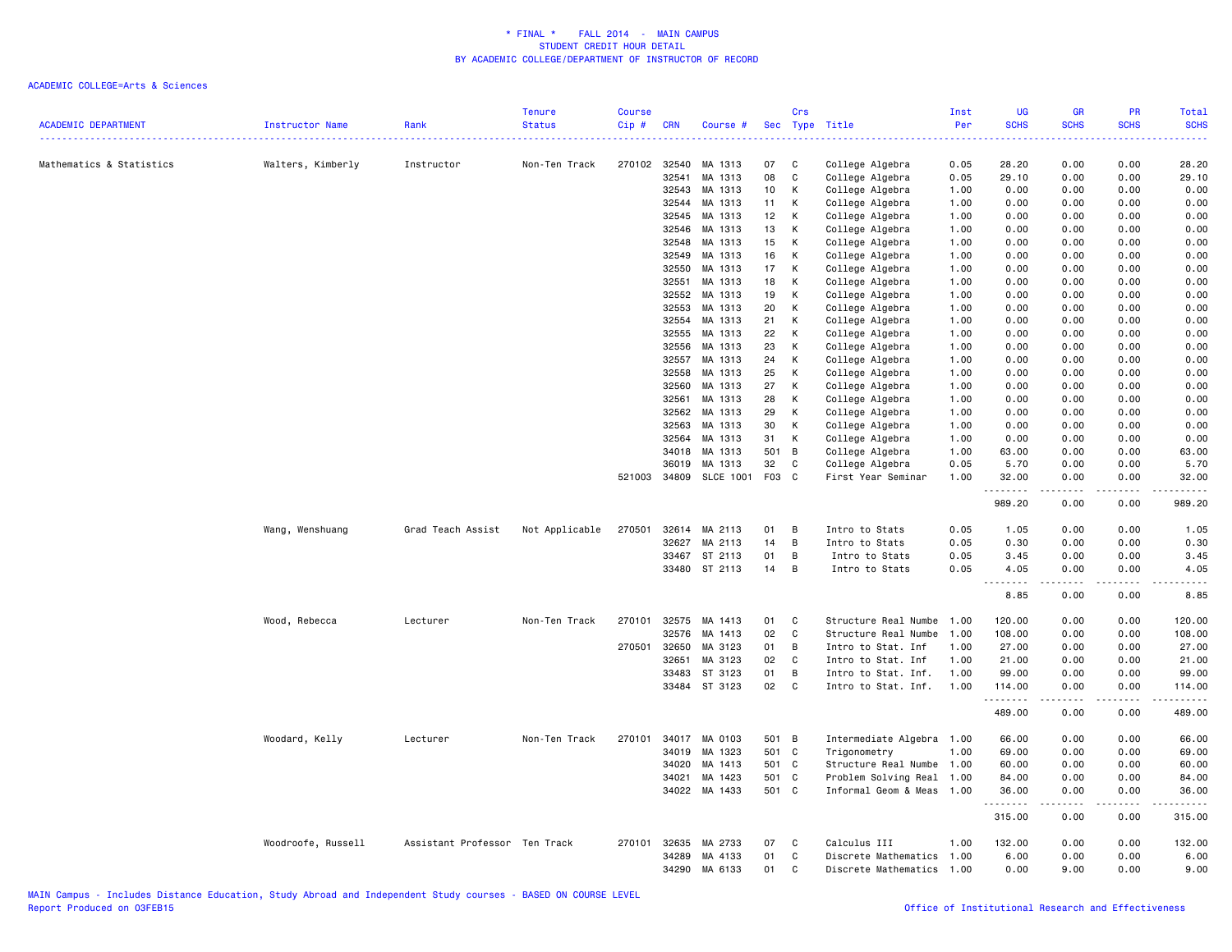|                            |                        |                               | <b>Tenure</b>  | <b>Course</b> |            |                  |       | Crs            |                           | Inst                   | <b>UG</b>           | <b>GR</b>             | PR                           | Total                                                                                                                                    |
|----------------------------|------------------------|-------------------------------|----------------|---------------|------------|------------------|-------|----------------|---------------------------|------------------------|---------------------|-----------------------|------------------------------|------------------------------------------------------------------------------------------------------------------------------------------|
| <b>ACADEMIC DEPARTMENT</b> | <b>Instructor Name</b> | Rank                          | <b>Status</b>  | $Cip$ #       | <b>CRN</b> | Course #         | Sec   | Type           | Title                     | Per<br>$- - - - - - -$ | <b>SCHS</b>         | <b>SCHS</b>           | <b>SCHS</b>                  | <b>SCHS</b><br>$\frac{1}{2} \left( \frac{1}{2} \right) \left( \frac{1}{2} \right) \left( \frac{1}{2} \right) \left( \frac{1}{2} \right)$ |
| Mathematics & Statistics   | Walters, Kimberly      | Instructor                    | Non-Ten Track  | 270102        | 32540      | MA 1313          | 07    | C              | College Algebra           | 0.05                   | 28.20               | 0.00                  | 0.00                         | 28.20                                                                                                                                    |
|                            |                        |                               |                |               | 32541      | MA 1313          | 08    | $\mathbb{C}$   | College Algebra           | 0.05                   | 29.10               | 0.00                  | 0.00                         | 29.10                                                                                                                                    |
|                            |                        |                               |                |               | 32543      | MA 1313          | 10    | К              | College Algebra           | 1.00                   | 0.00                | 0.00                  | 0.00                         | 0.00                                                                                                                                     |
|                            |                        |                               |                |               | 32544      | MA 1313          | 11    | Κ              | College Algebra           | 1.00                   | 0.00                | 0.00                  | 0.00                         | 0.00                                                                                                                                     |
|                            |                        |                               |                |               | 32545      | MA 1313          | 12    | Κ              | College Algebra           | 1.00                   | 0.00                | 0.00                  | 0.00                         | 0.00                                                                                                                                     |
|                            |                        |                               |                |               | 32546      | MA 1313          | 13    | К              | College Algebra           | 1.00                   | 0.00                | 0.00                  | 0.00                         | 0.00                                                                                                                                     |
|                            |                        |                               |                |               | 32548      | MA 1313          | 15    | К              | College Algebra           | 1.00                   | 0.00                | 0.00                  | 0.00                         | 0.00                                                                                                                                     |
|                            |                        |                               |                |               | 32549      | MA 1313          | 16    | К              | College Algebra           | 1.00                   | 0.00                | 0.00                  | 0.00                         | 0.00                                                                                                                                     |
|                            |                        |                               |                |               | 32550      | MA 1313          | 17    | К              | College Algebra           | 1.00                   | 0.00                | 0.00                  | 0.00                         | 0.00                                                                                                                                     |
|                            |                        |                               |                |               | 32551      | MA 1313          | 18    | К              | College Algebra           | 1.00                   | 0.00                | 0.00                  | 0.00                         | 0.00                                                                                                                                     |
|                            |                        |                               |                |               | 32552      | MA 1313          | 19    | К              | College Algebra           | 1.00                   | 0.00                | 0.00                  | 0.00                         | 0.00                                                                                                                                     |
|                            |                        |                               |                |               | 32553      | MA 1313          | 20    | Κ              | College Algebra           | 1.00                   | 0.00                | 0.00                  | 0.00                         | 0.00                                                                                                                                     |
|                            |                        |                               |                |               | 32554      | MA 1313          | 21    | Κ              | College Algebra           | 1.00                   | 0.00                | 0.00                  | 0.00                         | 0.00                                                                                                                                     |
|                            |                        |                               |                |               | 32555      | MA 1313          | 22    | К              | College Algebra           | 1.00                   | 0.00                | 0.00                  | 0.00                         | 0.00                                                                                                                                     |
|                            |                        |                               |                |               | 32556      | MA 1313          | 23    | К              | College Algebra           | 1.00                   | 0.00                | 0.00                  | 0.00                         | 0.00                                                                                                                                     |
|                            |                        |                               |                |               | 32557      | MA 1313          | 24    | Κ              | College Algebra           | 1.00                   | 0.00                | 0.00                  | 0.00                         | 0.00                                                                                                                                     |
|                            |                        |                               |                |               | 32558      | MA 1313          | 25    | K              | College Algebra           | 1.00                   | 0.00                | 0.00                  | 0.00                         | 0.00                                                                                                                                     |
|                            |                        |                               |                |               | 32560      | MA 1313          | 27    | К              | College Algebra           | 1.00                   | 0.00                | 0.00                  | 0.00                         | 0.00                                                                                                                                     |
|                            |                        |                               |                |               | 32561      | MA 1313          | 28    | K              | College Algebra           | 1.00                   | 0.00                | 0.00                  | 0.00                         | 0.00                                                                                                                                     |
|                            |                        |                               |                |               | 32562      | MA 1313          | 29    | Κ              | College Algebra           | 1.00                   | 0.00                | 0.00                  | 0.00                         | 0.00                                                                                                                                     |
|                            |                        |                               |                |               | 32563      | MA 1313          | 30    | К              | College Algebra           | 1.00                   | 0.00                | 0.00                  | 0.00                         | 0.00                                                                                                                                     |
|                            |                        |                               |                |               | 32564      | MA 1313          | 31    | К              | College Algebra           | 1.00                   | 0.00                | 0.00                  | 0.00                         | 0.00                                                                                                                                     |
|                            |                        |                               |                |               | 34018      | MA 1313          | 501   | B              | College Algebra           | 1.00                   | 63.00               | 0.00                  | 0.00                         | 63.00                                                                                                                                    |
|                            |                        |                               |                |               | 36019      | MA 1313          | 32    | C              | College Algebra           | 0.05                   | 5.70                | 0.00                  | 0.00                         | 5.70                                                                                                                                     |
|                            |                        |                               |                | 521003        | 34809      | <b>SLCE 1001</b> | F03   | C <sub>c</sub> | First Year Seminar        | 1.00                   | 32.00               | 0.00                  | 0.00                         | 32.00                                                                                                                                    |
|                            |                        |                               |                |               |            |                  |       |                |                           |                        | .<br>989.20         | .<br>0.00             | $\sim$ $\sim$ $\sim$<br>0.00 | .<br>989.20                                                                                                                              |
|                            | Wang, Wenshuang        | Grad Teach Assist             | Not Applicable | 270501        | 32614      | MA 2113          | 01    | В              | Intro to Stats            | 0.05                   | 1.05                | 0.00                  | 0.00                         | 1.05                                                                                                                                     |
|                            |                        |                               |                |               | 32627      | MA 2113          | 14    | B              | Intro to Stats            | 0.05                   | 0.30                | 0.00                  | 0.00                         | 0.30                                                                                                                                     |
|                            |                        |                               |                |               | 33467      | ST 2113          | 01    | В              | Intro to Stats            | 0.05                   | 3.45                | 0.00                  | 0.00                         | 3.45                                                                                                                                     |
|                            |                        |                               |                |               |            | 33480 ST 2113    | 14    | B              | Intro to Stats            | 0.05                   | 4.05<br>$-$<br>---- | 0.00                  | 0.00                         | 4.05                                                                                                                                     |
|                            |                        |                               |                |               |            |                  |       |                |                           |                        | 8.85                | 0.00                  | 0.00                         | 8.85                                                                                                                                     |
|                            | Wood, Rebecca          | Lecturer                      | Non-Ten Track  | 270101        | 32575      | MA 1413          | 01    | C              | Structure Real Numbe      | 1.00                   | 120.00              | 0.00                  | 0.00                         | 120.00                                                                                                                                   |
|                            |                        |                               |                |               | 32576      | MA 1413          | 02    | $\mathbb{C}$   | Structure Real Numbe      | 1.00                   | 108.00              | 0.00                  | 0.00                         | 108.00                                                                                                                                   |
|                            |                        |                               |                | 270501        | 32650      | MA 3123          | 01    | В              | Intro to Stat. Inf        | 1.00                   | 27.00               | 0.00                  | 0.00                         | 27.00                                                                                                                                    |
|                            |                        |                               |                |               | 32651      | MA 3123          | 02    | C              | Intro to Stat. Inf        | 1.00                   | 21.00               | 0.00                  | 0.00                         | 21.00                                                                                                                                    |
|                            |                        |                               |                |               | 33483      | ST 3123          | 01    | В              | Intro to Stat. Inf.       | 1.00                   | 99.00               | 0.00                  | 0.00                         | 99.00                                                                                                                                    |
|                            |                        |                               |                |               |            | 33484 ST 3123    | 02    | C              | Intro to Stat. Inf.       | 1.00                   | 114.00<br>.         | 0.00<br>$- - - - -$   | 0.00<br>.                    | 114.00<br>.                                                                                                                              |
|                            |                        |                               |                |               |            |                  |       |                |                           |                        | 489.00              | 0.00                  | 0.00                         | 489.00                                                                                                                                   |
|                            | Woodard, Kelly         | Lecturer                      | Non-Ten Track  | 270101        | 34017      | MA 0103          | 501 B |                | Intermediate Algebra 1.00 |                        | 66.00               | 0.00                  | 0.00                         | 66.00                                                                                                                                    |
|                            |                        |                               |                |               | 34019      | MA 1323          | 501   | $\mathbf{C}$   | Trigonometry              | 1.00                   | 69.00               | 0.00                  | 0.00                         | 69.00                                                                                                                                    |
|                            |                        |                               |                |               | 34020      | MA 1413          | 501   | $\mathbf{C}$   | Structure Real Numbe 1.00 |                        | 60.00               | 0.00                  | 0.00                         | 60.00                                                                                                                                    |
|                            |                        |                               |                |               | 34021      | MA 1423          | 501   | C              | Problem Solving Real      | 1.00                   | 84.00               | 0.00                  | 0.00                         | 84.00                                                                                                                                    |
|                            |                        |                               |                |               | 34022      | MA 1433          | 501 C |                | Informal Geom & Meas 1.00 |                        | 36.00<br>.          | 0.00<br>$\frac{1}{2}$ | 0.00<br>.                    | 36.00<br>.                                                                                                                               |
|                            |                        |                               |                |               |            |                  |       |                |                           |                        | 315.00              | 0.00                  | 0.00                         | 315.00                                                                                                                                   |
|                            | Woodroofe, Russell     | Assistant Professor Ten Track |                | 270101        | 32635      | MA 2733          | 07    | C              | Calculus III              | 1.00                   | 132.00              | 0.00                  | 0.00                         | 132.00                                                                                                                                   |
|                            |                        |                               |                |               | 34289      | MA 4133          | 01    | C              | Discrete Mathematics 1.00 |                        | 6.00                | 0.00                  | 0.00                         | 6.00                                                                                                                                     |
|                            |                        |                               |                |               | 34290      | MA 6133          | 01    | C              | Discrete Mathematics 1.00 |                        | 0.00                | 9.00                  | 0.00                         | 9.00                                                                                                                                     |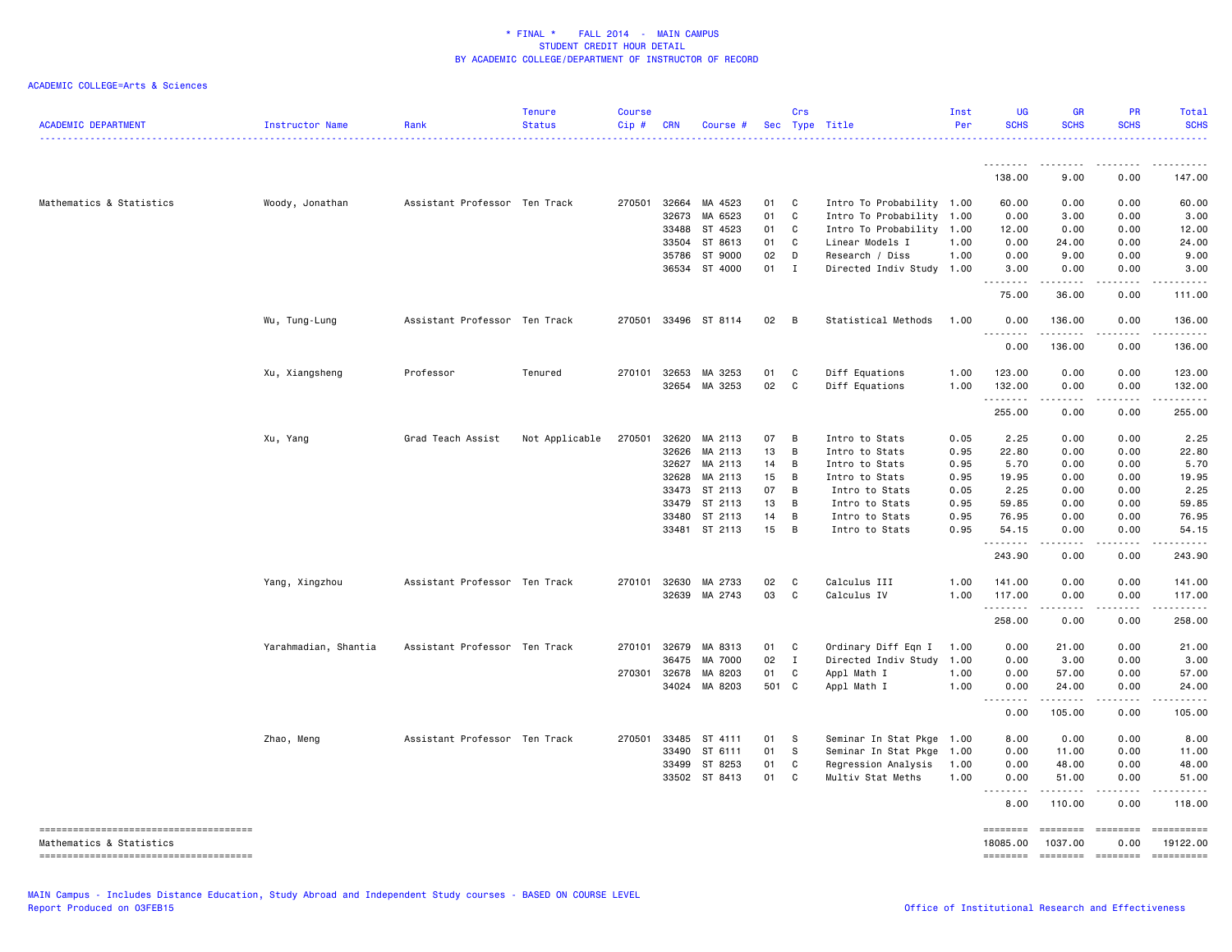| <b>ACADEMIC DEPARTMENT</b> | <b>Instructor Name</b> | Rank                          | <b>Tenure</b><br><b>Status</b> | <b>Course</b><br>$Cip \#$ | <b>CRN</b>   | Course #             |      | Crs          | Sec Type Title            | Inst<br>Per | <b>UG</b><br><b>SCHS</b>                                                                                                                                                 | <b>GR</b><br><b>SCHS</b>           | PR<br><b>SCHS</b>                                                                                                                                            | Total<br><b>SCHS</b>                                                                                                                                                                      |
|----------------------------|------------------------|-------------------------------|--------------------------------|---------------------------|--------------|----------------------|------|--------------|---------------------------|-------------|--------------------------------------------------------------------------------------------------------------------------------------------------------------------------|------------------------------------|--------------------------------------------------------------------------------------------------------------------------------------------------------------|-------------------------------------------------------------------------------------------------------------------------------------------------------------------------------------------|
|                            |                        |                               |                                |                           |              |                      |      |              |                           |             | 138.00                                                                                                                                                                   | 9.00                               | 0.00                                                                                                                                                         | 147.00                                                                                                                                                                                    |
|                            |                        |                               |                                |                           |              |                      |      |              |                           |             |                                                                                                                                                                          |                                    |                                                                                                                                                              |                                                                                                                                                                                           |
| Mathematics & Statistics   | Woody, Jonathan        | Assistant Professor Ten Track |                                |                           | 270501 32664 | MA 4523              | 01   | C            | Intro To Probability 1.00 |             | 60.00                                                                                                                                                                    | 0.00                               | 0.00                                                                                                                                                         | 60.00                                                                                                                                                                                     |
|                            |                        |                               |                                |                           | 32673        | MA 6523              | 01   | C            | Intro To Probability 1.00 |             | 0.00                                                                                                                                                                     | 3.00                               | 0.00                                                                                                                                                         | 3.00                                                                                                                                                                                      |
|                            |                        |                               |                                |                           | 33488        | ST 4523              | 01   | C            | Intro To Probability 1.00 |             | 12.00                                                                                                                                                                    | 0.00                               | 0.00                                                                                                                                                         | 12.00                                                                                                                                                                                     |
|                            |                        |                               |                                |                           | 33504        | ST 8613              | 01   | C            | Linear Models I           | 1.00        | 0.00                                                                                                                                                                     | 24.00                              | 0.00                                                                                                                                                         | 24.00                                                                                                                                                                                     |
|                            |                        |                               |                                |                           | 35786        | ST 9000              | 02   | D            | Research / Diss           | 1.00        | 0.00                                                                                                                                                                     | 9.00                               | 0.00                                                                                                                                                         | 9.00                                                                                                                                                                                      |
|                            |                        |                               |                                |                           |              | 36534 ST 4000        | 01 I |              | Directed Indiv Study 1.00 |             | 3.00<br>-----                                                                                                                                                            | 0.00<br>$- - - - - - -$            | 0.00<br>.                                                                                                                                                    | 3.00<br>.                                                                                                                                                                                 |
|                            |                        |                               |                                |                           |              |                      |      |              |                           |             | 75.00                                                                                                                                                                    | 36.00                              | 0.00                                                                                                                                                         | 111.00                                                                                                                                                                                    |
|                            | Wu, Tung-Lung          | Assistant Professor Ten Track |                                |                           |              | 270501 33496 ST 8114 | 02   | B            | Statistical Methods       | 1.00        | 0.00<br>.                                                                                                                                                                | 136.00<br>.                        | 0.00<br>.                                                                                                                                                    | 136.00<br>.                                                                                                                                                                               |
|                            |                        |                               |                                |                           |              |                      |      |              |                           |             | 0.00                                                                                                                                                                     | 136.00                             | 0.00                                                                                                                                                         | 136.00                                                                                                                                                                                    |
|                            | Xu, Xiangsheng         | Professor                     | Tenured                        | 270101                    | 32653        | MA 3253              | 01   | C            | Diff Equations            | 1.00        | 123.00                                                                                                                                                                   | 0.00                               | 0.00                                                                                                                                                         | 123.00                                                                                                                                                                                    |
|                            |                        |                               |                                |                           | 32654        | MA 3253              | 02   | C            | Diff Equations            | 1.00        | 132.00                                                                                                                                                                   | 0.00                               | 0.00                                                                                                                                                         | 132.00                                                                                                                                                                                    |
|                            |                        |                               |                                |                           |              |                      |      |              |                           |             | .                                                                                                                                                                        | .                                  | .                                                                                                                                                            | .                                                                                                                                                                                         |
|                            |                        |                               |                                |                           |              |                      |      |              |                           |             | 255.00                                                                                                                                                                   | 0.00                               | 0.00                                                                                                                                                         | 255.00                                                                                                                                                                                    |
|                            | Xu, Yang               | Grad Teach Assist             | Not Applicable                 | 270501                    | 32620        | MA 2113              | 07   | B            | Intro to Stats            | 0.05        | 2.25                                                                                                                                                                     | 0.00                               | 0.00                                                                                                                                                         | 2.25                                                                                                                                                                                      |
|                            |                        |                               |                                |                           | 32626        | MA 2113              | 13   | B            | Intro to Stats            | 0.95        | 22.80                                                                                                                                                                    | 0.00                               | 0.00                                                                                                                                                         | 22.80                                                                                                                                                                                     |
|                            |                        |                               |                                |                           | 32627        | MA 2113              | 14   | B            | Intro to Stats            | 0.95        | 5.70                                                                                                                                                                     | 0.00                               | 0.00                                                                                                                                                         | 5.70                                                                                                                                                                                      |
|                            |                        |                               |                                |                           | 32628        | MA 2113              | 15   | B            | Intro to Stats            | 0.95        | 19.95                                                                                                                                                                    | 0.00                               | 0.00                                                                                                                                                         | 19.95                                                                                                                                                                                     |
|                            |                        |                               |                                |                           | 33473        | ST 2113              | 07   | B            | Intro to Stats            | 0.05        | 2.25                                                                                                                                                                     | 0.00                               | 0.00                                                                                                                                                         | 2.25                                                                                                                                                                                      |
|                            |                        |                               |                                |                           | 33479        | ST 2113              | 13   | B            | Intro to Stats            | 0.95        | 59.85                                                                                                                                                                    | 0.00                               | 0.00                                                                                                                                                         | 59.85                                                                                                                                                                                     |
|                            |                        |                               |                                |                           | 33480        | ST 2113              | 14   | В            | Intro to Stats            | 0.95        | 76.95                                                                                                                                                                    | 0.00                               | 0.00                                                                                                                                                         | 76.95                                                                                                                                                                                     |
|                            |                        |                               |                                |                           |              | 33481 ST 2113        | 15   | B            | Intro to Stats            | 0.95        | 54.15<br><u>.</u>                                                                                                                                                        | 0.00<br>.                          | 0.00                                                                                                                                                         | 54.15<br>.                                                                                                                                                                                |
|                            |                        |                               |                                |                           |              |                      |      |              |                           |             | 243.90                                                                                                                                                                   | 0.00                               | $\cdots$<br>0.00                                                                                                                                             | 243.90                                                                                                                                                                                    |
|                            | Yang, Xingzhou         | Assistant Professor Ten Track |                                |                           | 270101 32630 | MA 2733              | 02   | C            | Calculus III              | 1.00        | 141.00                                                                                                                                                                   | 0.00                               | 0.00                                                                                                                                                         | 141.00                                                                                                                                                                                    |
|                            |                        |                               |                                |                           | 32639        | MA 2743              | 03   | C            | Calculus IV               | 1.00        | 117.00                                                                                                                                                                   | 0.00                               | 0.00                                                                                                                                                         | 117.00                                                                                                                                                                                    |
|                            |                        |                               |                                |                           |              |                      |      |              |                           |             | .<br>258.00                                                                                                                                                              | $\omega = \omega = \omega$<br>0.00 | $\frac{1}{2} \left( \frac{1}{2} \right) \left( \frac{1}{2} \right) \left( \frac{1}{2} \right) \left( \frac{1}{2} \right) \left( \frac{1}{2} \right)$<br>0.00 | .<br>258.00                                                                                                                                                                               |
|                            | Yarahmadian, Shantia   | Assistant Professor Ten Track |                                | 270101                    | 32679        | MA 8313              | 01   | C            | Ordinary Diff Eqn I       | 1.00        | 0.00                                                                                                                                                                     | 21.00                              | 0.00                                                                                                                                                         | 21.00                                                                                                                                                                                     |
|                            |                        |                               |                                |                           | 36475        | MA 7000              | 02   | $\mathbf{I}$ | Directed Indiv Study      | 1.00        | 0.00                                                                                                                                                                     | 3.00                               | 0.00                                                                                                                                                         | 3.00                                                                                                                                                                                      |
|                            |                        |                               |                                | 270301                    | 32678        | MA 8203              | 01   | C            | Appl Math I               | 1.00        | 0.00                                                                                                                                                                     | 57.00                              | 0.00                                                                                                                                                         | 57.00                                                                                                                                                                                     |
|                            |                        |                               |                                |                           | 34024        | MA 8203              | 501  | $\mathbf{C}$ | Appl Math I               | 1.00        | 0.00                                                                                                                                                                     | 24.00                              | 0.00                                                                                                                                                         | 24.00                                                                                                                                                                                     |
|                            |                        |                               |                                |                           |              |                      |      |              |                           |             | 0.00                                                                                                                                                                     | .<br>105.00                        | .<br>0.00                                                                                                                                                    | $\frac{1}{2} \left( \frac{1}{2} \right) \left( \frac{1}{2} \right) \left( \frac{1}{2} \right) \left( \frac{1}{2} \right) \left( \frac{1}{2} \right) \left( \frac{1}{2} \right)$<br>105.00 |
|                            |                        |                               |                                |                           |              |                      |      |              |                           |             |                                                                                                                                                                          |                                    |                                                                                                                                                              |                                                                                                                                                                                           |
|                            | Zhao, Meng             | Assistant Professor Ten Track |                                | 270501                    | 33485        | ST 4111              | 01   | -S           | Seminar In Stat Pkge 1.00 |             | 8.00                                                                                                                                                                     | 0.00                               | 0.00                                                                                                                                                         | 8.00                                                                                                                                                                                      |
|                            |                        |                               |                                |                           | 33490        | ST 6111              | 01   | S.           | Seminar In Stat Pkge 1.00 |             | 0.00                                                                                                                                                                     | 11.00                              | 0.00                                                                                                                                                         | 11.00                                                                                                                                                                                     |
|                            |                        |                               |                                |                           | 33499        | ST 8253              | 01   | C            | Regression Analysis       | 1.00        | 0.00                                                                                                                                                                     | 48.00                              | 0.00                                                                                                                                                         | 48.00                                                                                                                                                                                     |
|                            |                        |                               |                                |                           |              | 33502 ST 8413        | 01   | C            | Multiv Stat Meths         | 1.00        | 0.00<br>$\frac{1}{2} \left( \frac{1}{2} \right) \left( \frac{1}{2} \right) \left( \frac{1}{2} \right) \left( \frac{1}{2} \right) \left( \frac{1}{2} \right)$<br>$\cdots$ | 51.00<br>.                         | 0.00<br>$\frac{1}{2} \left( \frac{1}{2} \right) \left( \frac{1}{2} \right) \left( \frac{1}{2} \right) \left( \frac{1}{2} \right) \left( \frac{1}{2} \right)$ | 51.00<br>.                                                                                                                                                                                |
|                            |                        |                               |                                |                           |              |                      |      |              |                           |             | 8.00                                                                                                                                                                     | 110.00                             | 0.00                                                                                                                                                         | 118.00                                                                                                                                                                                    |
| Mathematics & Statistics   |                        |                               |                                |                           |              |                      |      |              |                           |             | 18085.00                                                                                                                                                                 | ========<br>1037.00                | ========<br>0.00                                                                                                                                             | ==========<br>19122.00                                                                                                                                                                    |
|                            |                        |                               |                                |                           |              |                      |      |              |                           |             |                                                                                                                                                                          | ======== =======                   |                                                                                                                                                              | ==========                                                                                                                                                                                |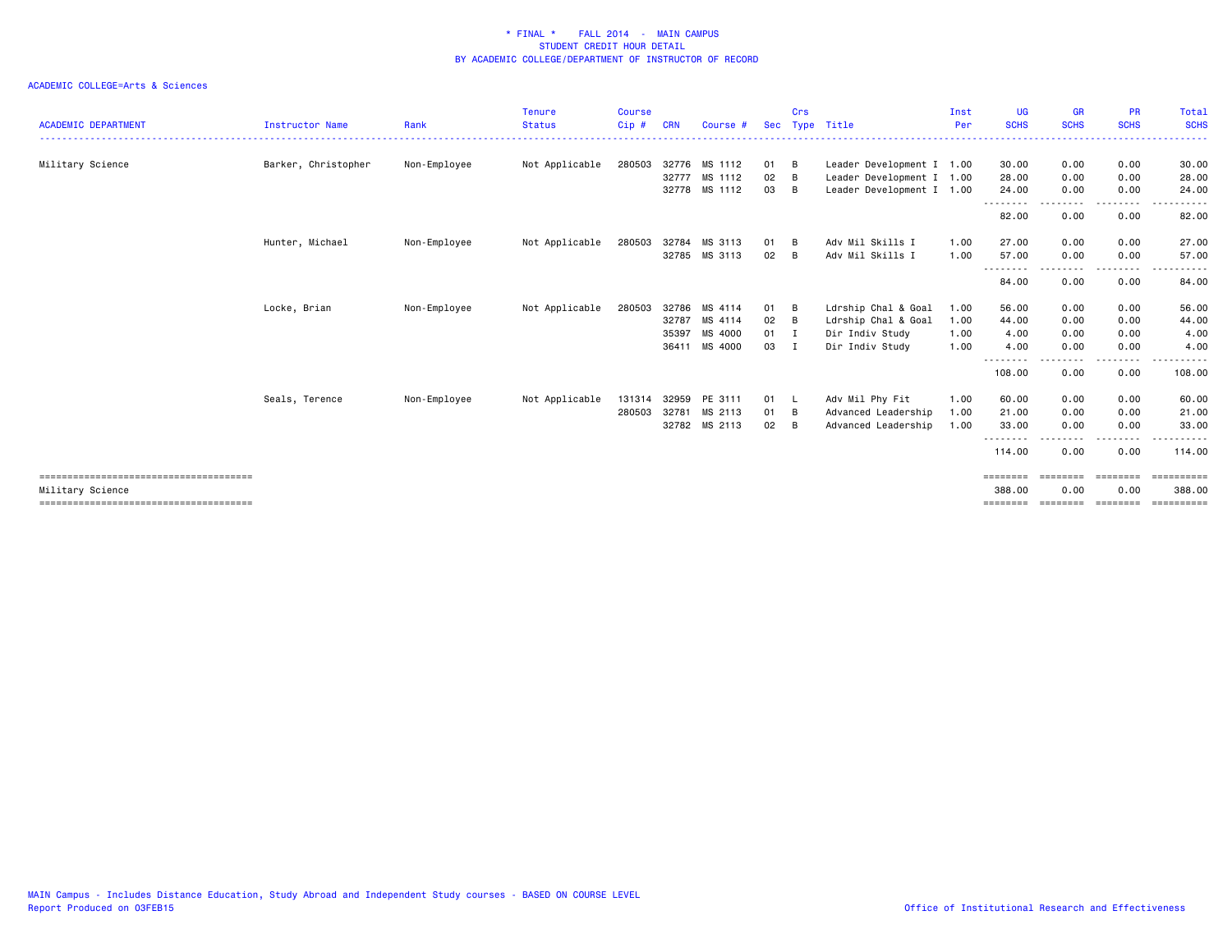| <b>ACADEMIC DEPARTMENT</b> | <b>Instructor Name</b> | Rank         | <b>Tenure</b><br><b>Status</b> | <b>Course</b><br>$Cip$ # | <b>CRN</b> | Course #      | Sec | Crs            | Type Title                | Inst<br>Per | <b>UG</b><br><b>SCHS</b> | <b>GR</b><br><b>SCHS</b> | <b>PR</b><br><b>SCHS</b> | Total<br><b>SCHS</b> |
|----------------------------|------------------------|--------------|--------------------------------|--------------------------|------------|---------------|-----|----------------|---------------------------|-------------|--------------------------|--------------------------|--------------------------|----------------------|
|                            |                        |              |                                |                          |            |               |     |                |                           |             |                          |                          |                          |                      |
| Military Science           | Barker, Christopher    | Non-Employee | Not Applicable                 | 280503                   |            | 32776 MS 1112 | 01  | B              | Leader Development I 1.00 |             | 30.00                    | 0.00                     | 0.00                     | 30.00                |
|                            |                        |              |                                |                          | 32777      | MS 1112       | 02  | B              | Leader Development I 1.00 |             | 28.00                    | 0.00                     | 0.00                     | 28.00                |
|                            |                        |              |                                |                          |            | 32778 MS 1112 | 03  | B              | Leader Development I 1.00 |             | 24.00<br>--------        | 0.00<br>--------         | 0.00<br>--------         | 24.00<br>------      |
|                            |                        |              |                                |                          |            |               |     |                |                           |             | 82.00                    | 0.00                     | 0.00                     | 82.00                |
|                            | Hunter, Michael        | Non-Employee | Not Applicable                 | 280503                   | 32784      | MS 3113       | 01  | B              | Adv Mil Skills I          | 1.00        | 27.00                    | 0.00                     | 0.00                     | 27.00                |
|                            |                        |              |                                |                          |            | 32785 MS 3113 | 02  | B              | Adv Mil Skills I          | 1.00        | 57.00                    | 0.00                     | 0.00                     | 57.00                |
|                            |                        |              |                                |                          |            |               |     |                |                           |             | $- - -$<br>84.00         | 0.00                     | ----<br>0.00             | 84.00                |
|                            | Locke, Brian           | Non-Employee | Not Applicable                 | 280503                   | 32786      | MS 4114       | 01  | B              | Ldrship Chal & Goal       | 1.00        | 56.00                    | 0.00                     | 0.00                     | 56.00                |
|                            |                        |              |                                |                          | 32787      | MS 4114       | 02  | B              | Ldrship Chal & Goal       | 1.00        | 44.00                    | 0.00                     | 0.00                     | 44.00                |
|                            |                        |              |                                |                          | 35397      | MS 4000       | 01  | I              | Dir Indiv Study           | 1.00        | 4.00                     | 0.00                     | 0.00                     | 4.00                 |
|                            |                        |              |                                |                          | 36411      | MS 4000       | 03  | I              | Dir Indiv Study           | 1.00        | 4.00                     | 0.00                     | 0.00                     | 4.00                 |
|                            |                        |              |                                |                          |            |               |     |                |                           |             | --------<br>108.00       | 0.00                     | 0.00                     | 108.00               |
|                            | Seals, Terence         | Non-Employee | Not Applicable                 | 131314                   | 32959      | PE 3111       | 01  | - L            | Adv Mil Phy Fit           | 1.00        | 60.00                    | 0.00                     | 0.00                     | 60.00                |
|                            |                        |              |                                | 280503                   | 32781      | MS 2113       | 01  | B              | Advanced Leadership       | 1.00        | 21.00                    | 0.00                     | 0.00                     | 21.00                |
|                            |                        |              |                                |                          |            | 32782 MS 2113 | 02  | $\overline{B}$ | Advanced Leadership       | 1.00        | 33.00                    | 0.00                     | 0.00                     | 33.00                |
|                            |                        |              |                                |                          |            |               |     |                |                           |             | ---------<br>114.00      | - - - - -<br>0.00        | .<br>0.00                | ------<br>114.00     |
|                            |                        |              |                                |                          |            |               |     |                |                           |             | ========                 | $=$ = = = = = = =        | ========                 | ==========           |
| Military Science           |                        |              |                                |                          |            |               |     |                |                           |             | 388.00                   | 0.00                     | 0.00                     | 388,00               |
|                            |                        |              |                                |                          |            |               |     |                |                           |             | ========                 | ---------                | ========                 | -----------          |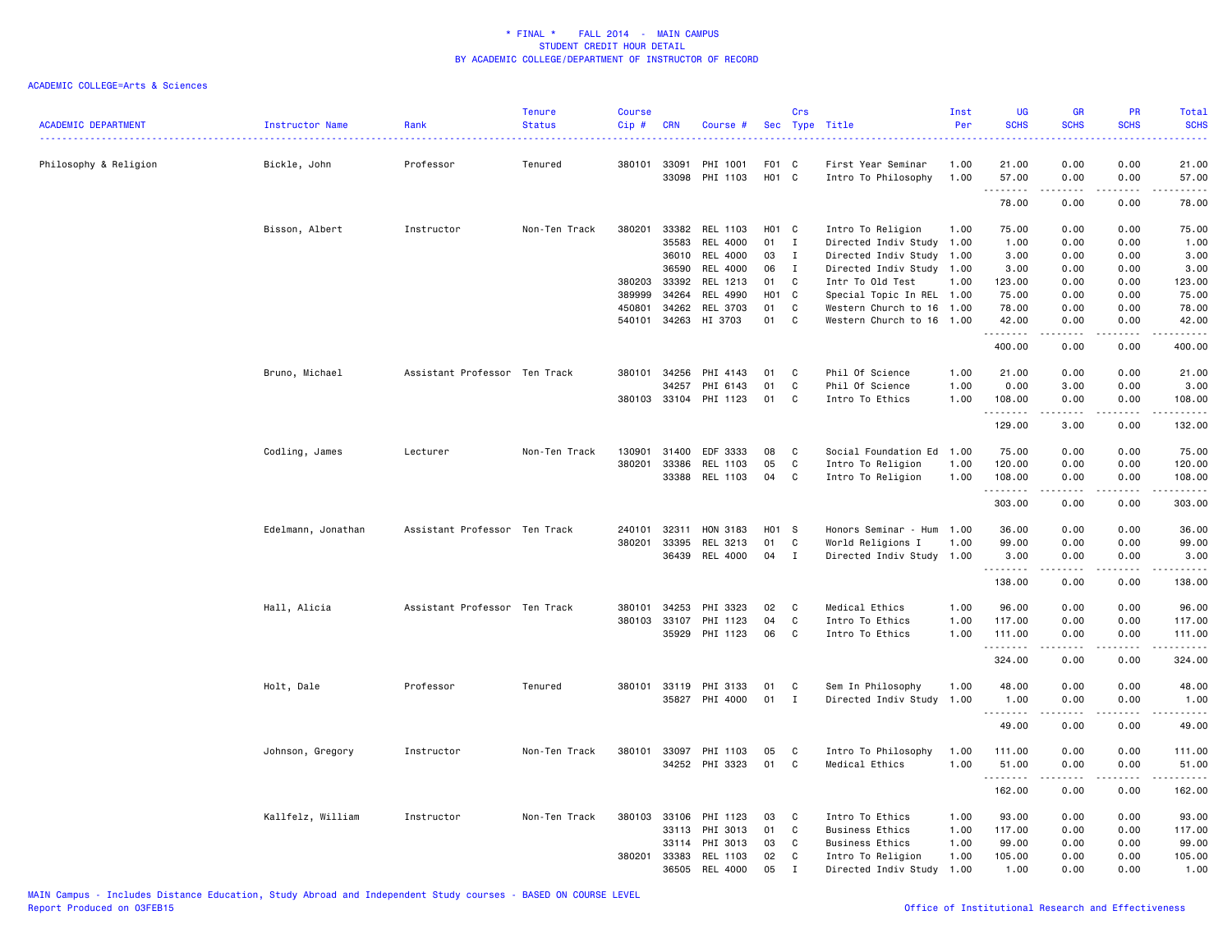|                            |                    |                               | <b>Tenure</b> | <b>Course</b> |              |                       |                   | Crs          |                           | Inst | <b>UG</b>                           | GR                    | PR                    | Total                                                                                                                     |
|----------------------------|--------------------|-------------------------------|---------------|---------------|--------------|-----------------------|-------------------|--------------|---------------------------|------|-------------------------------------|-----------------------|-----------------------|---------------------------------------------------------------------------------------------------------------------------|
| <b>ACADEMIC DEPARTMENT</b> | Instructor Name    | Rank                          | <b>Status</b> | Cip#          | <b>CRN</b>   | Course #              | Sec               | Type         | Title                     | Per  | <b>SCHS</b>                         | <b>SCHS</b>           | <b>SCHS</b>           | <b>SCHS</b>                                                                                                               |
| Philosophy & Religion      | Bickle, John       | Professor                     | Tenured       | 380101        | 33091        | PHI 1001              | F01 C             |              | First Year Seminar        | 1.00 | 21.00                               | 0.00                  | 0.00                  | 21.00                                                                                                                     |
|                            |                    |                               |               |               | 33098        | PHI 1103              | H <sub>01</sub> C |              | Intro To Philosophy       | 1.00 | 57.00                               | 0.00                  | 0.00                  | 57.00                                                                                                                     |
|                            |                    |                               |               |               |              |                       |                   |              |                           |      | .<br>78.00                          | 0.00                  | 0.00                  | .<br>78.00                                                                                                                |
|                            | Bisson, Albert     | Instructor                    | Non-Ten Track | 380201        | 33382        | REL 1103              | H <sub>01</sub> C |              | Intro To Religion         | 1.00 | 75.00                               | 0.00                  | 0.00                  | 75.00                                                                                                                     |
|                            |                    |                               |               |               | 35583        | REL 4000              | 01                | $\mathbf{I}$ | Directed Indiv Study 1.00 |      | 1.00                                | 0.00                  | 0.00                  | 1.00                                                                                                                      |
|                            |                    |                               |               |               | 36010        | REL 4000              | 03                | $\mathbf{I}$ | Directed Indiv Study 1.00 |      | 3.00                                | 0.00                  | 0.00                  | 3.00                                                                                                                      |
|                            |                    |                               |               |               | 36590        | REL 4000              | 06                | $\mathbf I$  | Directed Indiv Study 1.00 |      | 3.00                                | 0.00                  | 0.00                  | 3.00                                                                                                                      |
|                            |                    |                               |               | 380203        | 33392        | REL 1213              | 01                | C            | Intr To Old Test          | 1.00 | 123.00                              | 0.00                  | 0.00                  | 123.00                                                                                                                    |
|                            |                    |                               |               | 389999        | 34264        | REL 4990              | H01 C             |              | Special Topic In REL 1.00 |      | 75.00                               | 0.00                  | 0.00                  | 75.00                                                                                                                     |
|                            |                    |                               |               |               |              |                       |                   |              |                           |      |                                     |                       |                       |                                                                                                                           |
|                            |                    |                               |               | 450801        | 34262        | REL 3703              | 01                | C            | Western Church to 16 1.00 |      | 78.00                               | 0.00                  | 0.00                  | 78.00                                                                                                                     |
|                            |                    |                               |               | 540101        | 34263        | HI 3703               | 01                | C            | Western Church to 16 1.00 |      | 42.00<br>.                          | 0.00                  | 0.00                  | 42.00<br>.                                                                                                                |
|                            |                    |                               |               |               |              |                       |                   |              |                           |      | 400.00                              | 0.00                  | 0.00                  | 400.00                                                                                                                    |
|                            | Bruno, Michael     | Assistant Professor Ten Track |               | 380101        | 34256        | PHI 4143              | 01                | C            | Phil Of Science           | 1.00 | 21.00                               | 0.00                  | 0.00                  | 21.00                                                                                                                     |
|                            |                    |                               |               |               | 34257        | PHI 6143              | 01                | C            | Phil Of Science           | 1.00 | 0.00                                | 3.00                  | 0.00                  | 3.00                                                                                                                      |
|                            |                    |                               |               |               |              | 380103 33104 PHI 1123 | 01                | C            | Intro To Ethics           | 1.00 | 108.00                              | 0.00                  | 0.00                  | 108.00                                                                                                                    |
|                            |                    |                               |               |               |              |                       |                   |              |                           |      | .                                   | .                     | .                     | .                                                                                                                         |
|                            |                    |                               |               |               |              |                       |                   |              |                           |      | 129.00                              | 3.00                  | 0.00                  | 132.00                                                                                                                    |
|                            | Codling, James     | Lecturer                      | Non-Ten Track | 130901        | 31400        | EDF 3333              | 08                | C            | Social Foundation Ed      | 1.00 | 75.00                               | 0.00                  | 0.00                  | 75.00                                                                                                                     |
|                            |                    |                               |               | 380201        | 33386        | REL 1103              | 05                | C            | Intro To Religion         | 1.00 | 120.00                              | 0.00                  | 0.00                  | 120.00                                                                                                                    |
|                            |                    |                               |               |               | 33388        | REL 1103              | 04                | C            | Intro To Religion         | 1.00 | 108.00                              | 0.00                  | 0.00                  | 108.00                                                                                                                    |
|                            |                    |                               |               |               |              |                       |                   |              |                           |      | .<br>303.00                         | .<br>0.00             | $\frac{1}{2}$<br>0.00 | .<br>303.00                                                                                                               |
|                            | Edelmann, Jonathan | Assistant Professor Ten Track |               | 240101        | 32311        | HON 3183              | H01 S             |              | Honors Seminar - Hum 1.00 |      | 36.00                               | 0.00                  | 0.00                  | 36.00                                                                                                                     |
|                            |                    |                               |               | 380201        | 33395        | REL 3213              | 01                | C            | World Religions I         | 1.00 | 99.00                               | 0.00                  | 0.00                  | 99.00                                                                                                                     |
|                            |                    |                               |               |               | 36439        | REL 4000              | 04                | I            | Directed Indiv Study 1.00 |      | 3.00                                | 0.00                  | 0.00                  | 3.00                                                                                                                      |
|                            |                    |                               |               |               |              |                       |                   |              |                           |      | .                                   |                       |                       | .                                                                                                                         |
|                            |                    |                               |               |               |              |                       |                   |              |                           |      | 138.00                              | 0.00                  | 0.00                  | 138.00                                                                                                                    |
|                            | Hall, Alicia       | Assistant Professor Ten Track |               | 380101        | 34253        | PHI 3323              | 02                | C.           | Medical Ethics            | 1.00 | 96.00                               | 0.00                  | 0.00                  | 96.00                                                                                                                     |
|                            |                    |                               |               | 380103        | 33107        | PHI 1123              | 04                | C            | Intro To Ethics           | 1.00 | 117.00                              | 0.00                  | 0.00                  | 117.00                                                                                                                    |
|                            |                    |                               |               |               | 35929        | PHI 1123              | 06                | C            | Intro To Ethics           | 1.00 | 111.00                              | 0.00                  | 0.00                  | 111.00                                                                                                                    |
|                            |                    |                               |               |               |              |                       |                   |              |                           |      | .<br>324.00                         | $\frac{1}{2}$<br>0.00 | .<br>0.00             | .<br>324.00                                                                                                               |
|                            |                    |                               |               |               |              |                       |                   |              |                           |      |                                     |                       |                       |                                                                                                                           |
|                            | Holt, Dale         | Professor                     | Tenured       |               | 380101 33119 | PHI 3133              | 01                | C            | Sem In Philosophy         | 1.00 | 48.00                               | 0.00                  | 0.00                  | 48.00                                                                                                                     |
|                            |                    |                               |               |               | 35827        | PHI 4000              | 01                | Ι.           | Directed Indiv Study      | 1.00 | 1.00<br>$-$<br>$\sim$ $\sim$ $\sim$ | 0.00                  | 0.00                  | 1.00<br>.                                                                                                                 |
|                            |                    |                               |               |               |              |                       |                   |              |                           |      | 49.00                               | 0.00                  | 0.00                  | 49.00                                                                                                                     |
|                            | Johnson, Gregory   | Instructor                    | Non-Ten Track | 380101        | 33097        | PHI 1103              | 05                | C            | Intro To Philosophy       | 1.00 | 111.00                              | 0.00                  | 0.00                  | 111.00                                                                                                                    |
|                            |                    |                               |               |               |              | 34252 PHI 3323        | 01                | C            | Medical Ethics            | 1.00 | 51.00                               | 0.00                  | 0.00                  | 51.00                                                                                                                     |
|                            |                    |                               |               |               |              |                       |                   |              |                           |      | .                                   | .                     |                       | $\begin{array}{cccccccccccccc} \bullet & \bullet & \bullet & \bullet & \bullet & \bullet & \bullet & \bullet \end{array}$ |
|                            |                    |                               |               |               |              |                       |                   |              |                           |      | 162.00                              | 0.00                  | 0.00                  | 162.00                                                                                                                    |
|                            | Kallfelz, William  | Instructor                    | Non-Ten Track | 380103        | 33106        | PHI 1123              | 03                | C            | Intro To Ethics           | 1.00 | 93.00                               | 0.00                  | 0.00                  | 93.00                                                                                                                     |
|                            |                    |                               |               |               | 33113        | PHI 3013              | 01                | C            | <b>Business Ethics</b>    | 1.00 | 117.00                              | 0.00                  | 0.00                  | 117.00                                                                                                                    |
|                            |                    |                               |               |               | 33114        | PHI 3013              | 03                | C            | Business Ethics           | 1.00 | 99.00                               | 0.00                  | 0.00                  | 99.00                                                                                                                     |
|                            |                    |                               |               | 380201        | 33383        | REL 1103              | 02                | C            | Intro To Religion         | 1.00 | 105.00                              | 0.00                  | 0.00                  | 105.00                                                                                                                    |
|                            |                    |                               |               |               | 36505        | REL 4000              | 05                | $\mathsf{T}$ | Directed Indiv Study      | 1.00 | 1.00                                | 0.00                  | 0.00                  | 1.00                                                                                                                      |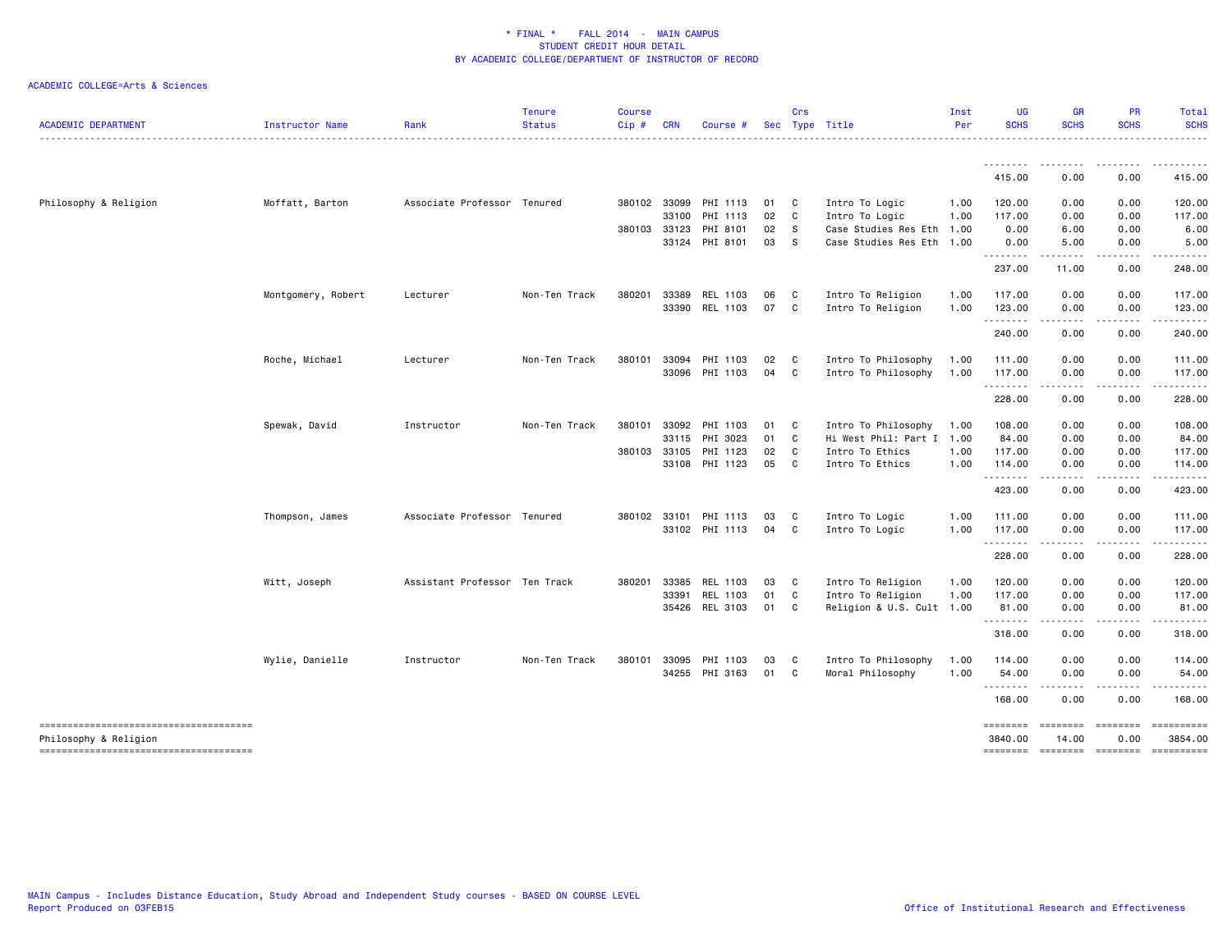| <b>ACADEMIC DEPARTMENT</b>                                      | Instructor Name    | Rank                          | <b>Tenure</b><br><b>Status</b> | <b>Course</b><br>$Cip \#$ | <b>CRN</b>   | Course #              |    | Crs          | Sec Type Title            | Inst<br>Per | <b>UG</b><br><b>SCHS</b>  | <b>GR</b><br><b>SCHS</b> | <b>PR</b><br><b>SCHS</b> | Total<br><b>SCHS</b>      |
|-----------------------------------------------------------------|--------------------|-------------------------------|--------------------------------|---------------------------|--------------|-----------------------|----|--------------|---------------------------|-------------|---------------------------|--------------------------|--------------------------|---------------------------|
|                                                                 |                    |                               |                                |                           |              |                       |    |              |                           |             |                           |                          |                          | .                         |
|                                                                 |                    |                               |                                |                           |              |                       |    |              |                           |             | <u>.</u><br>415.00        | ---------<br>0.00        | -----<br>0.00            | .<br>415.00               |
| Philosophy & Religion                                           | Moffatt, Barton    | Associate Professor Tenured   |                                |                           | 380102 33099 | PHI 1113              | 01 | C            | Intro To Logic            | 1.00        | 120.00                    | 0.00                     | 0.00                     | 120.00                    |
|                                                                 |                    |                               |                                |                           | 33100        | PHI 1113              | 02 | C            | Intro To Logic            | 1.00        | 117.00                    | 0.00                     | 0.00                     | 117.00                    |
|                                                                 |                    |                               |                                | 380103 33123              |              | PHI 8101              | 02 | $\mathbf{s}$ | Case Studies Res Eth 1.00 |             | 0.00                      | 6.00                     | 0.00                     | 6.00                      |
|                                                                 |                    |                               |                                |                           |              | 33124 PHI 8101        | 03 | S.           | Case Studies Res Eth 1.00 |             | 0.00<br>.                 | 5.00<br>.                | 0.00<br>.                | 5.00                      |
|                                                                 |                    |                               |                                |                           |              |                       |    |              |                           |             | 237.00                    | 11.00                    | 0.00                     | 248.00                    |
|                                                                 | Montgomery, Robert | Lecturer                      | Non-Ten Track                  | 380201                    | 33389        | REL 1103              | 06 | C            | Intro To Religion         | 1.00        | 117.00                    | 0.00                     | 0.00                     | 117.00                    |
|                                                                 |                    |                               |                                |                           | 33390        | REL 1103              | 07 | C            | Intro To Religion         | 1.00        | 123.00                    | 0.00                     | 0.00                     | 123.00                    |
|                                                                 |                    |                               |                                |                           |              |                       |    |              |                           |             | .<br>240.00               | .<br>0.00                | $- - - -$<br>0.00        | <u>.</u><br>240.00        |
|                                                                 | Roche, Michael     | Lecturer                      | Non-Ten Track                  | 380101                    | 33094        | PHI 1103              | 02 | C            | Intro To Philosophy       | 1.00        | 111.00                    | 0.00                     | 0.00                     | 111.00                    |
|                                                                 |                    |                               |                                |                           |              | 33096 PHI 1103        | 04 | C            | Intro To Philosophy       | 1.00        | 117.00                    | 0.00                     | 0.00                     | 117.00                    |
|                                                                 |                    |                               |                                |                           |              |                       |    |              |                           |             | .                         | $- - - -$                | .                        | .                         |
|                                                                 |                    |                               |                                |                           |              |                       |    |              |                           |             | 228.00                    | 0.00                     | 0.00                     | 228.00                    |
|                                                                 | Spewak, David      | Instructor                    | Non-Ten Track                  | 380101                    | 33092        | PHI 1103              | 01 | C            | Intro To Philosophy       | 1.00        | 108.00                    | 0.00                     | 0.00                     | 108.00                    |
|                                                                 |                    |                               |                                |                           | 33115        | PHI 3023              | 01 | C            | Hi West Phil: Part I 1.00 |             | 84.00                     | 0.00                     | 0.00                     | 84.00                     |
|                                                                 |                    |                               |                                |                           | 380103 33105 | PHI 1123              | 02 | C            | Intro To Ethics           | 1.00        | 117.00                    | 0.00                     | 0.00                     | 117.00                    |
|                                                                 |                    |                               |                                |                           |              | 33108 PHI 1123        | 05 | $\mathbf{C}$ | Intro To Ethics           | 1.00        | 114.00<br>.               | 0.00<br>.                | 0.00<br>.                | 114.00<br>$- - - - - - -$ |
|                                                                 |                    |                               |                                |                           |              |                       |    |              |                           |             | 423.00                    | 0.00                     | 0.00                     | 423.00                    |
|                                                                 | Thompson, James    | Associate Professor Tenured   |                                |                           |              | 380102 33101 PHI 1113 | 03 | C            | Intro To Logic            | 1.00        | 111.00                    | 0.00                     | 0.00                     | 111.00                    |
|                                                                 |                    |                               |                                |                           |              | 33102 PHI 1113        | 04 | C            | Intro To Logic            | 1.00        | 117.00                    | 0.00                     | 0.00                     | 117.00                    |
|                                                                 |                    |                               |                                |                           |              |                       |    |              |                           |             | .<br>228.00               | -----<br>0.00            | .<br>0.00                | .<br>228.00               |
|                                                                 | Witt, Joseph       | Assistant Professor Ten Track |                                | 380201                    | 33385        | REL 1103              | 03 | C.           | Intro To Religion         | 1.00        | 120.00                    | 0.00                     | 0.00                     | 120.00                    |
|                                                                 |                    |                               |                                |                           | 33391        | REL 1103              | 01 | C            | Intro To Religion         | 1.00        | 117.00                    | 0.00                     | 0.00                     | 117.00                    |
|                                                                 |                    |                               |                                |                           | 35426        | REL 3103              | 01 | C            | Religion & U.S. Cult 1.00 |             | 81.00                     | 0.00                     | 0.00                     | 81.00                     |
|                                                                 |                    |                               |                                |                           |              |                       |    |              |                           |             | .<br>318.00               | .<br>0.00                | 0.00                     | .<br>318.00               |
|                                                                 | Wylie, Danielle    | Instructor                    | Non-Ten Track                  | 380101                    | 33095        | PHI 1103              | 03 | C            | Intro To Philosophy       | 1.00        | 114.00                    | 0.00                     | 0.00                     | 114.00                    |
|                                                                 |                    |                               |                                |                           |              | 34255 PHI 3163        | 01 | C            | Moral Philosophy          | 1.00        | 54.00                     | 0.00                     | 0.00                     | 54.00                     |
|                                                                 |                    |                               |                                |                           |              |                       |    |              |                           |             | .<br>168.00               | -----<br>0.00            | .<br>0.00                | .<br>168.00               |
| --------------------------------------<br>Philosophy & Religion |                    |                               |                                |                           |              |                       |    |              |                           |             | <b>EDESSEE</b><br>3840.00 | ========<br>14.00        | ========<br>0.00         | ==========<br>3854.00     |
| --------------------------------------                          |                    |                               |                                |                           |              |                       |    |              |                           |             | ========                  | ========                 | <b>ENSEREE</b>           |                           |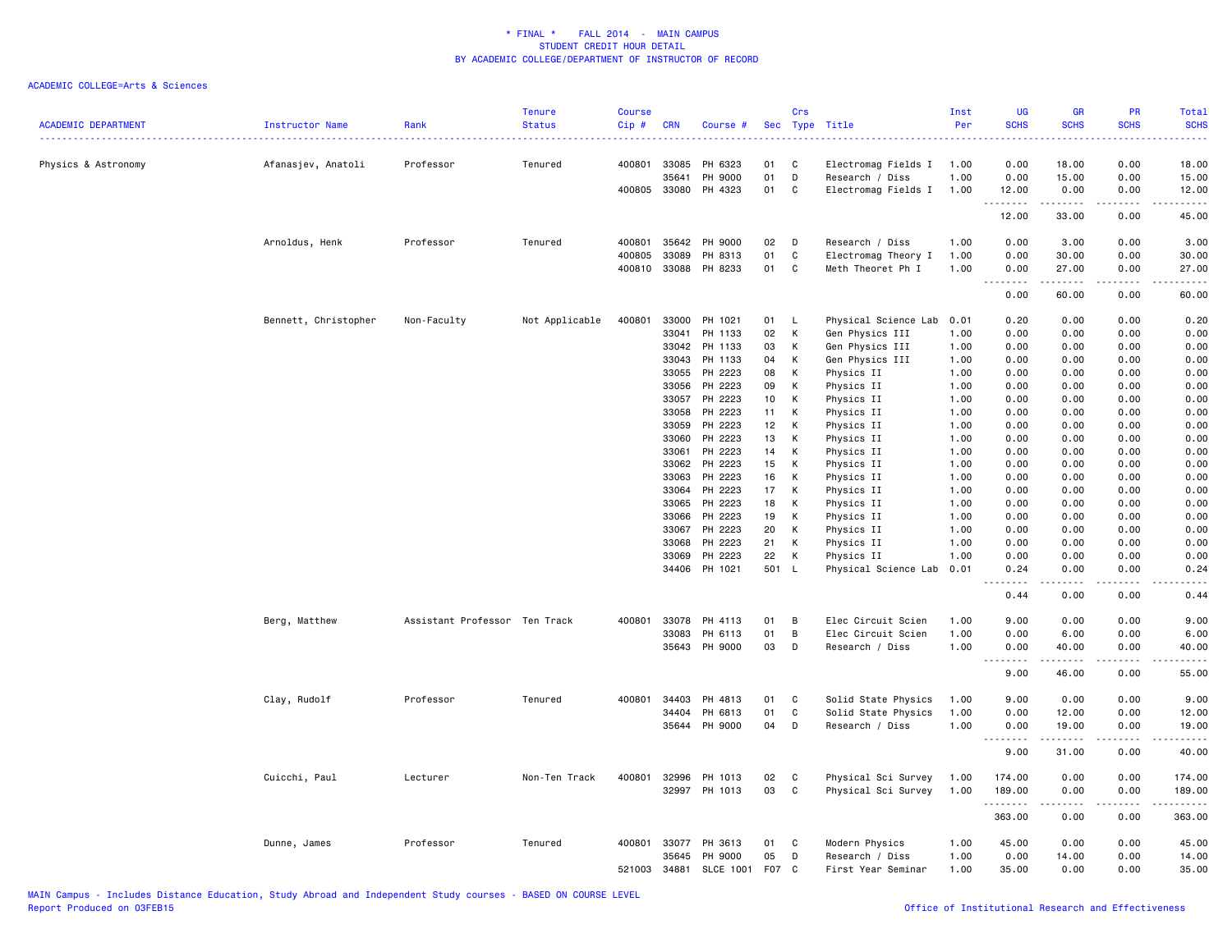| <b>ACADEMIC DEPARTMENT</b> | Instructor Name      | Rank                          | <b>Tenure</b><br><b>Status</b> | Course<br>Cip#   | <b>CRN</b>     | Course #           |          | Crs          | Sec Type Title                           | Inst<br>Per  | UG<br><b>SCHS</b>                       | GR<br><b>SCHS</b>                                                                                                                                             | PR<br><b>SCHS</b>                   | Total<br><b>SCHS</b><br>22223                                                                                                                                 |
|----------------------------|----------------------|-------------------------------|--------------------------------|------------------|----------------|--------------------|----------|--------------|------------------------------------------|--------------|-----------------------------------------|---------------------------------------------------------------------------------------------------------------------------------------------------------------|-------------------------------------|---------------------------------------------------------------------------------------------------------------------------------------------------------------|
| Physics & Astronomy        | Afanasjev, Anatoli   | Professor                     | Tenured                        | 400801           | 33085          | PH 6323            | 01       | C            | Electromag Fields I                      | 1.00         | 0.00                                    | 18.00                                                                                                                                                         | 0.00                                | 18.00                                                                                                                                                         |
|                            |                      |                               |                                | 400805           | 35641<br>33080 | PH 9000<br>PH 4323 | 01<br>01 | D<br>C       | Research / Diss<br>Electromag Fields I   | 1.00<br>1.00 | 0.00<br>12.00                           | 15.00<br>0.00                                                                                                                                                 | 0.00<br>0.00                        | 15.00<br>12.00                                                                                                                                                |
|                            |                      |                               |                                |                  |                |                    |          |              |                                          |              | 12.00                                   | $\frac{1}{2} \left( \frac{1}{2} \right) \left( \frac{1}{2} \right) \left( \frac{1}{2} \right) \left( \frac{1}{2} \right) \left( \frac{1}{2} \right)$<br>33.00 | $\sim$ $\sim$ $\sim$ $\sim$<br>0.00 | $\omega$ is $\omega$ in .<br>45.00                                                                                                                            |
|                            | Arnoldus, Henk       | Professor                     | Tenured                        | 400801           | 35642          | PH 9000            | 02       | D            | Research / Diss                          | 1.00         | 0.00                                    | 3.00                                                                                                                                                          | 0.00                                | 3.00                                                                                                                                                          |
|                            |                      |                               |                                | 400805<br>400810 | 33089<br>33088 | PH 8313<br>PH 8233 | 01<br>01 | C<br>C       | Electromag Theory I<br>Meth Theoret Ph I | 1.00<br>1.00 | 0.00<br>0.00                            | 30.00<br>27.00                                                                                                                                                | 0.00<br>0.00                        | 30.00<br>27.00                                                                                                                                                |
|                            |                      |                               |                                |                  |                |                    |          |              |                                          |              | .                                       | $\frac{1}{2} \left( \frac{1}{2} \right) \left( \frac{1}{2} \right) \left( \frac{1}{2} \right) \left( \frac{1}{2} \right) \left( \frac{1}{2} \right)$          | .                                   | $\frac{1}{2} \left( \frac{1}{2} \right) \left( \frac{1}{2} \right) \left( \frac{1}{2} \right) \left( \frac{1}{2} \right) \left( \frac{1}{2} \right)$          |
|                            |                      |                               |                                |                  |                |                    |          |              |                                          |              | 0.00                                    | 60.00                                                                                                                                                         | 0.00                                | 60.00                                                                                                                                                         |
|                            | Bennett, Christopher | Non-Faculty                   | Not Applicable                 | 400801           | 33000          | PH 1021            | 01       | L            | Physical Science Lab 0.01                |              | 0.20                                    | 0.00                                                                                                                                                          | 0.00                                | 0.20                                                                                                                                                          |
|                            |                      |                               |                                |                  | 33041          | PH 1133            | 02       | К            | Gen Physics III                          | 1.00         | 0.00                                    | 0.00                                                                                                                                                          | 0.00                                | 0.00                                                                                                                                                          |
|                            |                      |                               |                                |                  | 33042          | PH 1133            | 03       | К            | Gen Physics III                          | 1.00         | 0.00                                    | 0.00                                                                                                                                                          | 0.00                                | 0.00                                                                                                                                                          |
|                            |                      |                               |                                |                  | 33043          | PH 1133            | 04       | К            | Gen Physics III                          | 1.00         | 0.00                                    | 0.00                                                                                                                                                          | 0.00                                | 0.00                                                                                                                                                          |
|                            |                      |                               |                                |                  | 33055<br>33056 | PH 2223<br>PH 2223 | 08<br>09 | K<br>K       | Physics II<br>Physics II                 | 1.00<br>1.00 | 0.00<br>0.00                            | 0.00<br>0.00                                                                                                                                                  | 0.00<br>0.00                        | 0.00<br>0.00                                                                                                                                                  |
|                            |                      |                               |                                |                  | 33057          | PH 2223            | 10       | К            | Physics II                               | 1.00         | 0.00                                    | 0.00                                                                                                                                                          | 0.00                                | 0.00                                                                                                                                                          |
|                            |                      |                               |                                |                  | 33058          | PH 2223            | 11       | К            | Physics II                               | 1.00         | 0.00                                    | 0.00                                                                                                                                                          | 0.00                                | 0.00                                                                                                                                                          |
|                            |                      |                               |                                |                  | 33059          | PH 2223            | 12       | К            | Physics II                               | 1.00         | 0.00                                    | 0.00                                                                                                                                                          | 0.00                                | 0.00                                                                                                                                                          |
|                            |                      |                               |                                |                  | 33060          | PH 2223            | 13       | K            | Physics II                               | 1.00         | 0.00                                    | 0.00                                                                                                                                                          | 0.00                                | 0.00                                                                                                                                                          |
|                            |                      |                               |                                |                  | 33061          | PH 2223            | 14       | К            | Physics II                               | 1.00         | 0.00                                    | 0.00                                                                                                                                                          | 0.00                                | 0.00                                                                                                                                                          |
|                            |                      |                               |                                |                  | 33062          | PH 2223            | 15       | К            | Physics II                               | 1.00         | 0.00                                    | 0.00                                                                                                                                                          | 0.00                                | 0.00                                                                                                                                                          |
|                            |                      |                               |                                |                  | 33063          | PH 2223            | 16       | K            | Physics II                               | 1.00         | 0.00                                    | 0.00                                                                                                                                                          | 0.00                                | 0.00                                                                                                                                                          |
|                            |                      |                               |                                |                  | 33064          | PH 2223            | 17       | К            | Physics II                               | 1.00         | 0.00                                    | 0.00                                                                                                                                                          | 0.00                                | 0.00                                                                                                                                                          |
|                            |                      |                               |                                |                  | 33065          | PH 2223            | 18       | К            | Physics II                               | 1.00         | 0.00                                    | 0.00                                                                                                                                                          | 0.00                                | 0.00                                                                                                                                                          |
|                            |                      |                               |                                |                  | 33066          | PH 2223            | 19       | Κ<br>K       | Physics II                               | 1.00         | 0.00                                    | 0.00                                                                                                                                                          | 0.00                                | 0.00                                                                                                                                                          |
|                            |                      |                               |                                |                  | 33067<br>33068 | PH 2223<br>PH 2223 | 20<br>21 | К            | Physics II                               | 1.00<br>1.00 | 0.00<br>0.00                            | 0.00<br>0.00                                                                                                                                                  | 0.00<br>0.00                        | 0.00<br>0.00                                                                                                                                                  |
|                            |                      |                               |                                |                  | 33069          | PH 2223            | 22       | К            | Physics II<br>Physics II                 | 1.00         | 0.00                                    | 0.00                                                                                                                                                          | 0.00                                | 0.00                                                                                                                                                          |
|                            |                      |                               |                                |                  |                | 34406 PH 1021      | 501      | L            | Physical Science Lab                     | 0.01         | 0.24                                    | 0.00                                                                                                                                                          | 0.00                                | 0.24                                                                                                                                                          |
|                            |                      |                               |                                |                  |                |                    |          |              |                                          |              | د د د د<br>$\sim$ $\sim$ $\sim$<br>0.44 | .<br>0.00                                                                                                                                                     | $\sim$ $\sim$ $\sim$<br>0.00        | .<br>0.44                                                                                                                                                     |
|                            |                      |                               |                                |                  |                |                    |          |              |                                          |              |                                         |                                                                                                                                                               |                                     |                                                                                                                                                               |
|                            | Berg, Matthew        | Assistant Professor Ten Track |                                | 400801           | 33078          | PH 4113            | 01       | B            | Elec Circuit Scien                       | 1.00         | 9.00                                    | 0.00                                                                                                                                                          | 0.00                                | 9.00                                                                                                                                                          |
|                            |                      |                               |                                |                  | 33083          | PH 6113            | 01       | B            | Elec Circuit Scien                       | 1.00         | 0.00                                    | 6.00                                                                                                                                                          | 0.00                                | 6.00                                                                                                                                                          |
|                            |                      |                               |                                |                  |                | 35643 PH 9000      | 03       | D            | Research / Diss                          | 1.00         | 0.00<br>.                               | 40.00<br>.                                                                                                                                                    | 0.00<br>.                           | 40.00<br>$\frac{1}{2} \left( \frac{1}{2} \right) \left( \frac{1}{2} \right) \left( \frac{1}{2} \right) \left( \frac{1}{2} \right) \left( \frac{1}{2} \right)$ |
|                            |                      |                               |                                |                  |                |                    |          |              |                                          |              | 9.00                                    | 46.00                                                                                                                                                         | 0.00                                | 55.00                                                                                                                                                         |
|                            | Clay, Rudolf         | Professor                     | Tenured                        | 400801           | 34403          | PH 4813            | 01       | C            | Solid State Physics                      | 1.00         | 9.00                                    | 0.00                                                                                                                                                          | 0.00                                | 9.00                                                                                                                                                          |
|                            |                      |                               |                                |                  | 34404          | PH 6813            | 01       | $\mathtt{C}$ | Solid State Physics                      | 1.00         | 0.00                                    | 12.00                                                                                                                                                         | 0.00                                | 12.00                                                                                                                                                         |
|                            |                      |                               |                                |                  | 35644          | PH 9000            | 04       | D            | Research / Diss                          | 1.00         | 0.00                                    | 19.00                                                                                                                                                         | 0.00                                | 19.00                                                                                                                                                         |
|                            |                      |                               |                                |                  |                |                    |          |              |                                          |              | .<br>9.00                               | 31.00                                                                                                                                                         | 0.00                                | $\frac{1}{2}$<br>40.00                                                                                                                                        |
|                            | Cuicchi, Paul        | Lecturer                      | Non-Ten Track                  | 400801           | 32996          | PH 1013            | 02       | C            | Physical Sci Survey                      | 1.00         | 174.00                                  | 0.00                                                                                                                                                          | 0.00                                | 174.00                                                                                                                                                        |
|                            |                      |                               |                                |                  |                | 32997 PH 1013      | 03       | C            | Physical Sci Survey                      | 1.00         | 189.00                                  | 0.00                                                                                                                                                          | 0.00                                | 189.00                                                                                                                                                        |
|                            |                      |                               |                                |                  |                |                    |          |              |                                          |              | . <b>.</b>                              |                                                                                                                                                               | $\sim$ $\sim$ $\sim$ $\sim$         | .                                                                                                                                                             |
|                            |                      |                               |                                |                  |                |                    |          |              |                                          |              | 363.00                                  | 0.00                                                                                                                                                          | 0.00                                | 363.00                                                                                                                                                        |
|                            | Dunne, James         | Professor                     | Tenured                        | 400801           | 33077          | PH 3613            | 01       | C            | Modern Physics                           | 1.00         | 45.00                                   | 0.00                                                                                                                                                          | 0.00                                | 45.00                                                                                                                                                         |
|                            |                      |                               |                                |                  | 35645          | PH 9000            | 05       | D            | Research / Diss                          | 1.00         | 0.00                                    | 14.00                                                                                                                                                         | 0.00                                | 14.00                                                                                                                                                         |
|                            |                      |                               |                                | 521003           | 34881          | <b>SLCE 1001</b>   | F07      | C.           | First Year Seminar                       | 1.00         | 35.00                                   | 0.00                                                                                                                                                          | 0.00                                | 35.00                                                                                                                                                         |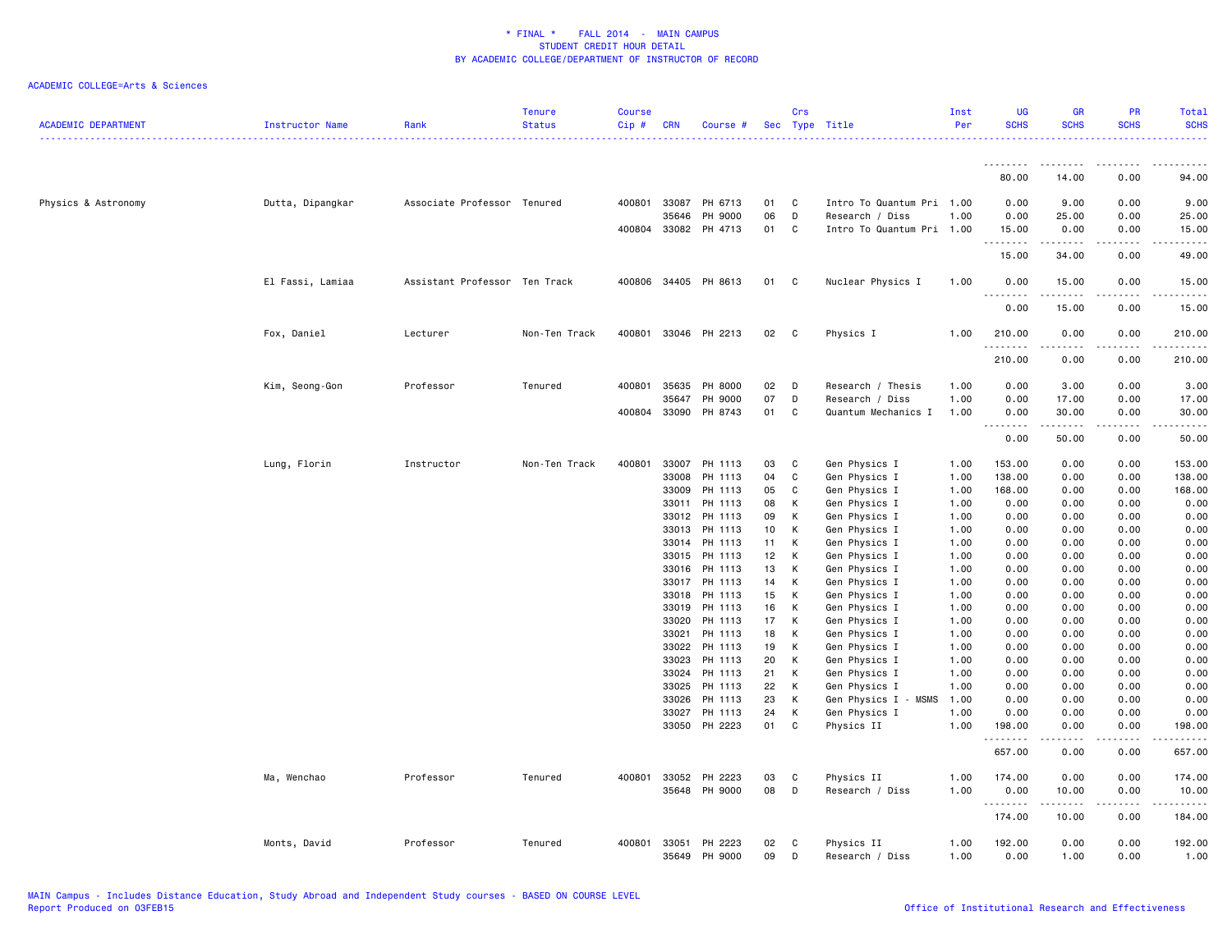| <b>ACADEMIC DEPARTMENT</b> | Instructor Name  | Rank                          | <b>Tenure</b><br><b>Status</b> | <b>Course</b><br>$Cip \#$ | <b>CRN</b>   | Course #                 |          | Crs    | Sec Type Title                 | Inst<br>Per  | <b>UG</b><br><b>SCHS</b> | <b>GR</b><br><b>SCHS</b>                                                                                                                                      | PR<br><b>SCHS</b>                                                                                                                       | <b>Total</b><br><b>SCHS</b> |
|----------------------------|------------------|-------------------------------|--------------------------------|---------------------------|--------------|--------------------------|----------|--------|--------------------------------|--------------|--------------------------|---------------------------------------------------------------------------------------------------------------------------------------------------------------|-----------------------------------------------------------------------------------------------------------------------------------------|-----------------------------|
|                            |                  |                               |                                |                           |              |                          |          |        |                                |              | .                        | .                                                                                                                                                             | .                                                                                                                                       |                             |
|                            |                  |                               |                                |                           |              |                          |          |        |                                |              | 80.00                    | 14.00                                                                                                                                                         | 0.00                                                                                                                                    | 94.00                       |
| Physics & Astronomy        | Dutta, Dipangkar | Associate Professor Tenured   |                                |                           | 400801 33087 | PH 6713                  | 01       | C      | Intro To Quantum Pri 1.00      |              | 0.00                     | 9.00                                                                                                                                                          | 0.00                                                                                                                                    | 9.00                        |
|                            |                  |                               |                                |                           | 35646        | PH 9000                  | 06       | D      | Research / Diss                | 1.00         | 0.00                     | 25.00                                                                                                                                                         | 0.00                                                                                                                                    | 25.00                       |
|                            |                  |                               |                                |                           |              | 400804 33082 PH 4713     | 01       | C      | Intro To Quantum Pri 1.00      |              | 15.00<br>.               | 0.00<br>.                                                                                                                                                     | 0.00<br>$- - - - -$                                                                                                                     | 15.00<br>.                  |
|                            |                  |                               |                                |                           |              |                          |          |        |                                |              | 15.00                    | 34.00                                                                                                                                                         | 0.00                                                                                                                                    | 49.00                       |
|                            | El Fassi, Lamiaa | Assistant Professor Ten Track |                                |                           |              | 400806 34405 PH 8613     | 01       | C      | Nuclear Physics I              | 1.00         | 0.00<br>.                | 15.00<br>د د د د د                                                                                                                                            | 0.00<br>.                                                                                                                               | 15.00                       |
|                            |                  |                               |                                |                           |              |                          |          |        |                                |              | 0.00                     | 15.00                                                                                                                                                         | 0.00                                                                                                                                    | 15.00                       |
|                            | Fox, Daniel      | Lecturer                      | Non-Ten Track                  | 400801                    |              | 33046 PH 2213            | 02       | C      | Physics I                      | 1.00         | 210.00<br>.              | 0.00<br>2.2.2.2.2                                                                                                                                             | 0.00<br>$\mathcal{L}^{\mathcal{L}}\mathcal{L}^{\mathcal{L}}\mathcal{L}^{\mathcal{L}}\mathcal{L}^{\mathcal{L}}\mathcal{L}^{\mathcal{L}}$ | 210.00<br>.                 |
|                            |                  |                               |                                |                           |              |                          |          |        |                                |              | 210.00                   | 0.00                                                                                                                                                          | 0.00                                                                                                                                    | 210.00                      |
|                            | Kim, Seong-Gon   | Professor                     | Tenured                        | 400801                    | 35635        | PH 8000                  | 02       | D      | Research / Thesis              | 1.00         | 0.00                     | 3.00                                                                                                                                                          | 0.00                                                                                                                                    | 3.00                        |
|                            |                  |                               |                                |                           | 35647        | PH 9000                  | 07       | D      | Research / Diss                | 1.00         | 0.00                     | 17.00                                                                                                                                                         | 0.00                                                                                                                                    | 17.00                       |
|                            |                  |                               |                                |                           |              | 400804 33090 PH 8743     | 01       | C      | Quantum Mechanics I            | 1.00         | 0.00<br>.                | 30.00<br><b>.</b>                                                                                                                                             | 0.00                                                                                                                                    | 30.00                       |
|                            |                  |                               |                                |                           |              |                          |          |        |                                |              | 0.00                     | 50.00                                                                                                                                                         | 0.00                                                                                                                                    | 50.00                       |
|                            | Lung, Florin     | Instructor                    | Non-Ten Track                  |                           |              | 400801 33007 PH 1113     | 03       | C      | Gen Physics I                  | 1.00         | 153.00                   | 0.00                                                                                                                                                          | 0.00                                                                                                                                    | 153.00                      |
|                            |                  |                               |                                |                           | 33008        | PH 1113                  | 04       | C      | Gen Physics I                  | 1.00         | 138.00                   | 0.00                                                                                                                                                          | 0.00                                                                                                                                    | 138.00                      |
|                            |                  |                               |                                |                           | 33009        | PH 1113                  | 05       | C      | Gen Physics I                  | 1.00         | 168.00                   | 0.00                                                                                                                                                          | 0.00                                                                                                                                    | 168.00                      |
|                            |                  |                               |                                |                           | 33011        | PH 1113                  | 08       | К      | Gen Physics I                  | 1.00         | 0.00                     | 0.00                                                                                                                                                          | 0.00                                                                                                                                    | 0.00                        |
|                            |                  |                               |                                |                           |              | 33012 PH 1113            | 09       | К      | Gen Physics I                  | 1.00         | 0.00                     | 0.00                                                                                                                                                          | 0.00                                                                                                                                    | 0.00                        |
|                            |                  |                               |                                |                           | 33013        | PH 1113                  | 10       | К      | Gen Physics I                  | 1.00         | 0.00                     | 0.00                                                                                                                                                          | 0.00                                                                                                                                    | 0.00                        |
|                            |                  |                               |                                |                           |              | 33014 PH 1113            | 11       | К      | Gen Physics I                  | 1.00         | 0.00                     | 0.00                                                                                                                                                          | 0.00                                                                                                                                    | 0.00                        |
|                            |                  |                               |                                |                           |              | 33015 PH 1113            | 12<br>13 | К      | Gen Physics I                  | 1.00         | 0.00                     | 0.00                                                                                                                                                          | 0.00                                                                                                                                    | 0.00                        |
|                            |                  |                               |                                |                           | 33016        | PH 1113<br>33017 PH 1113 | 14       | K<br>K | Gen Physics I<br>Gen Physics I | 1.00<br>1.00 | 0.00<br>0.00             | 0.00<br>0.00                                                                                                                                                  | 0.00<br>0.00                                                                                                                            | 0.00<br>0.00                |
|                            |                  |                               |                                |                           | 33018        | PH 1113                  | 15       | К      | Gen Physics I                  | 1.00         | 0.00                     | 0.00                                                                                                                                                          | 0.00                                                                                                                                    | 0.00                        |
|                            |                  |                               |                                |                           |              | 33019 PH 1113            | 16       | К      | Gen Physics I                  | 1.00         | 0.00                     | 0.00                                                                                                                                                          | 0.00                                                                                                                                    | 0.00                        |
|                            |                  |                               |                                |                           | 33020        | PH 1113                  | 17       | К      | Gen Physics I                  | 1.00         | 0.00                     | 0.00                                                                                                                                                          | 0.00                                                                                                                                    | 0.00                        |
|                            |                  |                               |                                |                           | 33021        | PH 1113                  | 18       | К      | Gen Physics I                  | 1.00         | 0.00                     | 0.00                                                                                                                                                          | 0.00                                                                                                                                    | 0.00                        |
|                            |                  |                               |                                |                           | 33022        | PH 1113                  | 19       | К      | Gen Physics I                  | 1.00         | 0.00                     | 0.00                                                                                                                                                          | 0.00                                                                                                                                    | 0.00                        |
|                            |                  |                               |                                |                           | 33023        | PH 1113                  | 20       | K      | Gen Physics I                  | 1.00         | 0.00                     | 0.00                                                                                                                                                          | 0.00                                                                                                                                    | 0.00                        |
|                            |                  |                               |                                |                           |              | 33024 PH 1113            | 21       | K      | Gen Physics I                  | 1.00         | 0.00                     | 0.00                                                                                                                                                          | 0.00                                                                                                                                    | 0.00                        |
|                            |                  |                               |                                |                           | 33025        | PH 1113                  | 22       | К      | Gen Physics I                  | 1.00         | 0.00                     | 0.00                                                                                                                                                          | 0.00                                                                                                                                    | 0.00                        |
|                            |                  |                               |                                |                           | 33026        | PH 1113                  | 23       | К      | Gen Physics I - MSMS           | 1.00         | 0.00                     | 0.00                                                                                                                                                          | 0.00                                                                                                                                    | 0.00                        |
|                            |                  |                               |                                |                           | 33027        | PH 1113                  | 24       | К      | Gen Physics I                  | 1.00         | 0.00                     | 0.00                                                                                                                                                          | 0.00                                                                                                                                    | 0.00                        |
|                            |                  |                               |                                |                           |              | 33050 PH 2223            | 01       | C      | Physics II                     | 1.00         | 198.00<br>.              | 0.00<br>.                                                                                                                                                     | 0.00<br>.                                                                                                                               | 198.00                      |
|                            |                  |                               |                                |                           |              |                          |          |        |                                |              | 657.00                   | 0.00                                                                                                                                                          | 0.00                                                                                                                                    | 657.00                      |
|                            | Ma, Wenchao      | Professor                     | Tenured                        |                           | 400801 33052 | PH 2223                  | 03       | C      | Physics II                     | 1.00         | 174.00                   | 0.00                                                                                                                                                          | 0.00                                                                                                                                    | 174.00                      |
|                            |                  |                               |                                |                           |              | 35648 PH 9000            | 08       | D      | Research / Diss                | 1.00         | 0.00<br>.                | 10.00<br>$\frac{1}{2} \left( \frac{1}{2} \right) \left( \frac{1}{2} \right) \left( \frac{1}{2} \right) \left( \frac{1}{2} \right) \left( \frac{1}{2} \right)$ | 0.00<br>.                                                                                                                               | 10.00                       |
|                            |                  |                               |                                |                           |              |                          |          |        |                                |              | 174.00                   | 10.00                                                                                                                                                         | 0.00                                                                                                                                    | 184.00                      |
|                            | Monts, David     | Professor                     | Tenured                        |                           | 400801 33051 | PH 2223                  | 02       | C.     | Physics II                     | 1.00         | 192.00                   | 0.00                                                                                                                                                          | 0.00                                                                                                                                    | 192.00                      |
|                            |                  |                               |                                |                           | 35649        | PH 9000                  | 09       | D      | Research / Diss                | 1.00         | 0.00                     | 1.00                                                                                                                                                          | 0.00                                                                                                                                    | 1.00                        |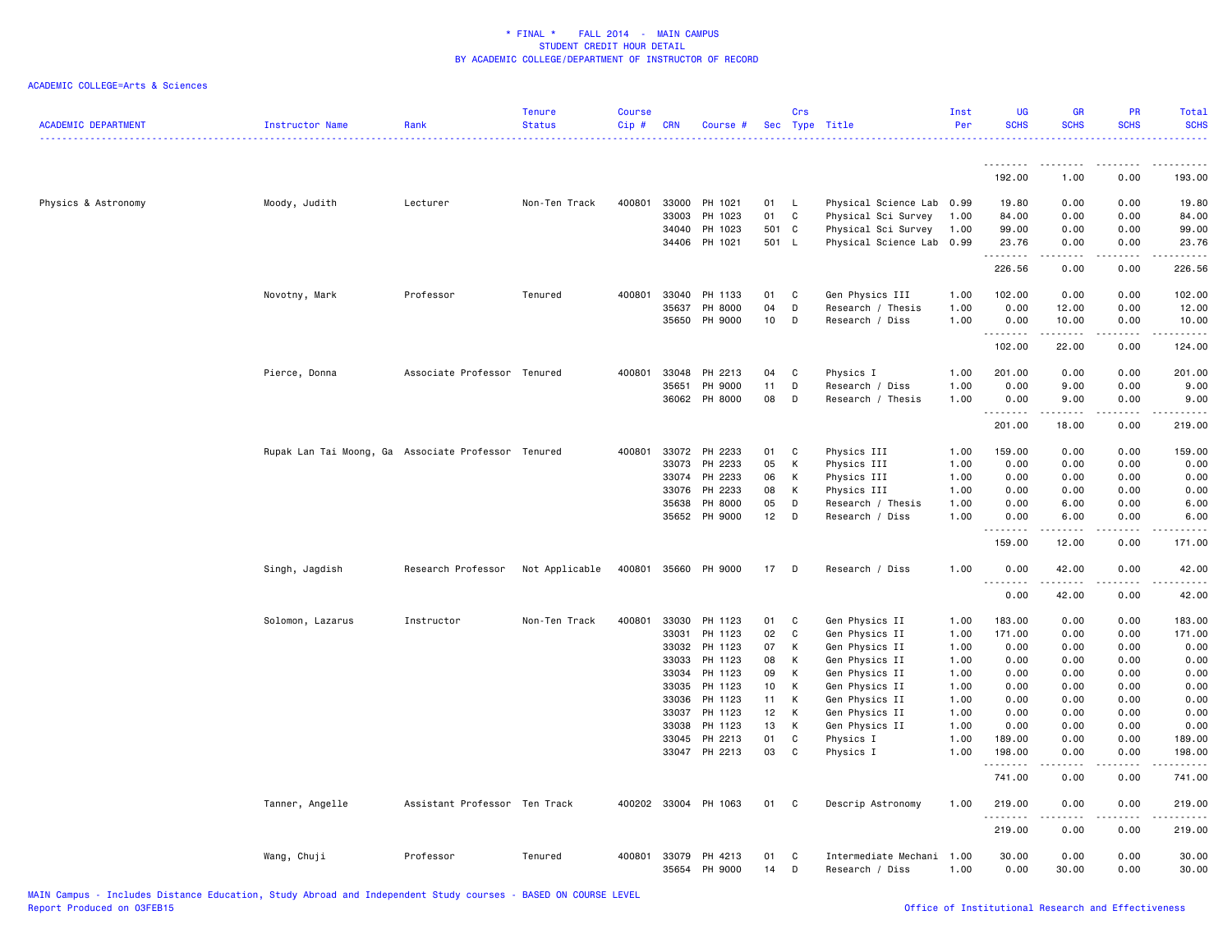| <b>ACADEMIC DEPARTMENT</b> | Instructor Name                                     | Rank                          | <b>Tenure</b><br><b>Status</b> | <b>Course</b><br>Cip# | <b>CRN</b>            | Course #             |          | Crs          | Sec Type Title                               | Inst<br>Per  | <b>UG</b><br><b>SCHS</b> | <b>GR</b><br><b>SCHS</b>                                                                                                                                      | PR<br><b>SCHS</b>            | Total<br><b>SCHS</b> |
|----------------------------|-----------------------------------------------------|-------------------------------|--------------------------------|-----------------------|-----------------------|----------------------|----------|--------------|----------------------------------------------|--------------|--------------------------|---------------------------------------------------------------------------------------------------------------------------------------------------------------|------------------------------|----------------------|
|                            |                                                     |                               |                                |                       |                       |                      |          |              |                                              |              | .                        |                                                                                                                                                               | . <u>.</u> .                 |                      |
|                            |                                                     |                               |                                |                       |                       |                      |          |              |                                              |              | 192.00                   | 1.00                                                                                                                                                          | 0.00                         | 193.00               |
| Physics & Astronomy        | Moody, Judith                                       | Lecturer                      | Non-Ten Track                  | 400801                | 33000                 | PH 1021              | 01       | $\mathsf{L}$ | Physical Science Lab 0.99                    |              | 19.80                    | 0.00                                                                                                                                                          | 0.00                         | 19.80                |
|                            |                                                     |                               |                                |                       | 33003                 | PH 1023              | 01       | C            | Physical Sci Survey                          | 1.00         | 84.00                    | 0.00                                                                                                                                                          | 0.00                         | 84.00                |
|                            |                                                     |                               |                                |                       | 34040                 | PH 1023              | 501 C    |              | Physical Sci Survey                          | 1.00         | 99.00                    | 0.00                                                                                                                                                          | 0.00                         | 99.00                |
|                            |                                                     |                               |                                |                       |                       | 34406 PH 1021        | 501 L    |              | Physical Science Lab 0.99                    |              | 23.76<br>.               | 0.00<br>-----                                                                                                                                                 | 0.00<br>.                    | 23.76<br>.           |
|                            |                                                     |                               |                                |                       |                       |                      |          |              |                                              |              | 226.56                   | 0.00                                                                                                                                                          | 0.00                         | 226.56               |
|                            | Novotny, Mark                                       | Professor                     | Tenured                        | 400801                | 33040                 | PH 1133              | 01       | C            | Gen Physics III                              | 1.00         | 102.00                   | 0.00                                                                                                                                                          | 0.00                         | 102.00               |
|                            |                                                     |                               |                                |                       | 35637                 | PH 8000              | 04       | D            | Research / Thesis                            | 1.00         | 0.00                     | 12.00                                                                                                                                                         | 0.00                         | 12.00                |
|                            |                                                     |                               |                                |                       | 35650                 | PH 9000              | 10       | D            | Research / Diss                              | 1.00         | 0.00<br>.                | 10.00<br>-----                                                                                                                                                | 0.00<br>.                    | 10.00<br>.           |
|                            |                                                     |                               |                                |                       |                       |                      |          |              |                                              |              | 102.00                   | 22.00                                                                                                                                                         | 0.00                         | 124.00               |
|                            | Pierce, Donna                                       | Associate Professor Tenured   |                                | 400801                | 33048                 | PH 2213              | 04       | C            | Physics I                                    | 1.00         | 201.00                   | 0.00                                                                                                                                                          | 0.00                         | 201.00               |
|                            |                                                     |                               |                                |                       | 35651                 | PH 9000              | 11       | D            | Research / Diss                              | 1.00         | 0.00                     | 9.00                                                                                                                                                          | 0.00                         | 9.00                 |
|                            |                                                     |                               |                                |                       | 36062                 | PH 8000              | 08       | D            | Research / Thesis                            | 1.00         | 0.00                     | 9.00                                                                                                                                                          | 0.00                         | 9.00                 |
|                            |                                                     |                               |                                |                       |                       |                      |          |              |                                              |              | .<br>201.00              | $\frac{1}{2} \left( \frac{1}{2} \right) \left( \frac{1}{2} \right) \left( \frac{1}{2} \right) \left( \frac{1}{2} \right) \left( \frac{1}{2} \right)$<br>18.00 | د د د د<br>0.00              | $    -$<br>219.00    |
|                            |                                                     |                               |                                |                       |                       |                      |          |              |                                              |              |                          |                                                                                                                                                               |                              |                      |
|                            | Rupak Lan Tai Moong, Ga Associate Professor Tenured |                               |                                | 400801                | 33072                 | PH 2233              | 01       | C            | Physics III                                  | 1.00         | 159.00                   | 0.00                                                                                                                                                          | 0.00                         | 159.00               |
|                            |                                                     |                               |                                |                       | 33073                 | PH 2233              | 05       | К            | Physics III                                  | 1.00         | 0.00                     | 0.00                                                                                                                                                          | 0.00                         | 0.00                 |
|                            |                                                     |                               |                                |                       | 33074                 | PH 2233              | 06       | Κ            | Physics III                                  | 1.00         | 0.00                     | 0.00                                                                                                                                                          | 0.00                         | 0.00                 |
|                            |                                                     |                               |                                |                       | 33076                 | PH 2233              | 08       | К            | Physics III                                  | 1.00         | 0.00                     | 0.00                                                                                                                                                          | 0.00                         | 0.00                 |
|                            |                                                     |                               |                                |                       | 35638<br>35652        | PH 8000<br>PH 9000   | 05<br>12 | D<br>D       | Research / Thesis<br>Research / Diss         | 1.00<br>1.00 | 0.00<br>0.00             | 6.00<br>6.00                                                                                                                                                  | 0.00<br>0.00                 | 6.00<br>6.00         |
|                            |                                                     |                               |                                |                       |                       |                      |          |              |                                              |              | .                        |                                                                                                                                                               |                              | .                    |
|                            |                                                     |                               |                                |                       |                       |                      |          |              |                                              |              | 159.00                   | 12.00                                                                                                                                                         | 0.00                         | 171.00               |
|                            | Singh, Jagdish                                      | Research Professor            | Not Applicable                 |                       | 400801 35660          | PH 9000              | 17       | D            | Research / Diss                              | 1.00         | 0.00<br>.                | 42.00<br>.                                                                                                                                                    | 0.00<br>.                    | 42.00<br>.           |
|                            |                                                     |                               |                                |                       |                       |                      |          |              |                                              |              | 0.00                     | 42.00                                                                                                                                                         | 0.00                         | 42.00                |
|                            | Solomon, Lazarus                                    | Instructor                    | Non-Ten Track                  | 400801                | 33030                 | PH 1123              | 01       | C            | Gen Physics II                               | 1.00         | 183.00                   | 0.00                                                                                                                                                          | 0.00                         | 183.00               |
|                            |                                                     |                               |                                |                       | 33031                 | PH 1123              | 02       | C            | Gen Physics II                               | 1.00         | 171.00                   | 0.00                                                                                                                                                          | 0.00                         | 171.00               |
|                            |                                                     |                               |                                |                       | 33032                 | PH 1123              | 07       | Κ            | Gen Physics II                               | 1.00         | 0.00                     | 0.00                                                                                                                                                          | 0.00                         | 0.00                 |
|                            |                                                     |                               |                                |                       | 33033                 | PH 1123              | 08       | К            | Gen Physics II                               | 1.00         | 0.00                     | 0.00                                                                                                                                                          | 0.00                         | 0.00                 |
|                            |                                                     |                               |                                |                       | 33034                 | PH 1123              | 09       | Κ            | Gen Physics II                               | 1.00         | 0.00                     | 0.00                                                                                                                                                          | 0.00                         | 0.00                 |
|                            |                                                     |                               |                                |                       | 33035                 | PH 1123              | 10       | К            | Gen Physics II                               | 1.00         | 0.00                     | 0.00                                                                                                                                                          | 0.00                         | 0.00                 |
|                            |                                                     |                               |                                |                       | 33036                 | PH 1123              | 11       | К            | Gen Physics II                               | 1.00         | 0.00                     | 0.00                                                                                                                                                          | 0.00                         | 0.00                 |
|                            |                                                     |                               |                                |                       | 33037                 | PH 1123              | 12       | К            | Gen Physics II                               | 1.00         | 0.00                     | 0.00                                                                                                                                                          | 0.00                         | 0.00                 |
|                            |                                                     |                               |                                |                       | 33038                 | PH 1123              | 13       | К            | Gen Physics II                               | 1.00         | 0.00                     | 0.00                                                                                                                                                          | 0.00                         | 0.00                 |
|                            |                                                     |                               |                                |                       | 33045                 | PH 2213              | 01       | $\mathtt{C}$ | Physics I                                    | 1.00         | 189.00                   | 0.00                                                                                                                                                          | 0.00                         | 189.00               |
|                            |                                                     |                               |                                |                       | 33047                 | PH 2213              | 03       | C            | Physics I                                    | 1.00         | 198.00<br>.              | 0.00                                                                                                                                                          | 0.00<br>$\sim$ $\sim$ $\sim$ | 198.00<br>.          |
|                            |                                                     |                               |                                |                       |                       |                      |          |              |                                              |              | 741.00                   | 0.00                                                                                                                                                          | 0.00                         | 741.00               |
|                            | Tanner, Angelle                                     | Assistant Professor Ten Track |                                |                       |                       | 400202 33004 PH 1063 | 01       | C            | Descrip Astronomy                            | 1.00         | 219.00<br>.              | 0.00                                                                                                                                                          | 0.00                         | 219.00               |
|                            |                                                     |                               |                                |                       |                       |                      |          |              |                                              |              | 219.00                   | 0.00                                                                                                                                                          | 0.00                         | 219.00               |
|                            | Wang, Chuji                                         | Professor                     | Tenured                        |                       | 400801 33079<br>35654 | PH 4213<br>PH 9000   | 01<br>14 | C<br>D       | Intermediate Mechani 1.00<br>Research / Diss | 1.00         | 30.00<br>0.00            | 0.00<br>30.00                                                                                                                                                 | 0.00<br>0.00                 | 30.00<br>30.00       |
|                            |                                                     |                               |                                |                       |                       |                      |          |              |                                              |              |                          |                                                                                                                                                               |                              |                      |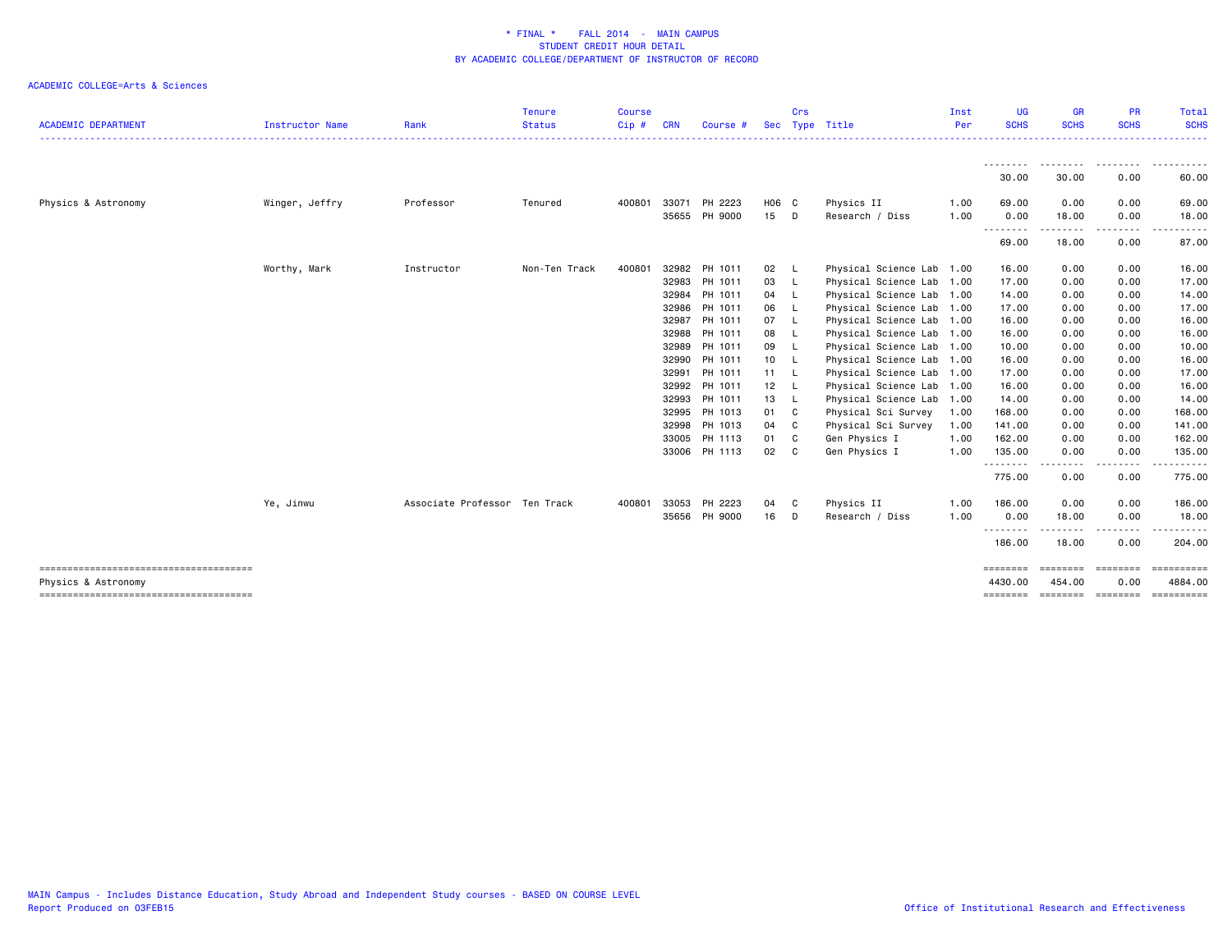| <b>ACADEMIC DEPARTMENT</b> | <b>Instructor Name</b> | Rank                          | <b>Tenure</b><br><b>Status</b> | <b>Course</b><br>Cip# | <b>CRN</b>     | Course #           | <b>Sec</b> | Crs              | Type Title                                             | Inst<br>Per | <b>UG</b><br><b>SCHS</b> | <b>GR</b><br><b>SCHS</b> | <b>PR</b><br><b>SCHS</b>                                                                                                          | <b>Total</b><br><b>SCHS</b><br>. |
|----------------------------|------------------------|-------------------------------|--------------------------------|-----------------------|----------------|--------------------|------------|------------------|--------------------------------------------------------|-------------|--------------------------|--------------------------|-----------------------------------------------------------------------------------------------------------------------------------|----------------------------------|
|                            |                        |                               |                                |                       |                |                    |            |                  |                                                        |             | 30.00                    | 30.00                    | 0.00                                                                                                                              | 60.00                            |
| Physics & Astronomy        | Winger, Jeffry         | Professor                     | Tenured                        | 400801                | 33071          | PH 2223            | H06 C      |                  | Physics II                                             | 1.00        | 69.00                    | 0.00                     | 0.00                                                                                                                              | 69.00                            |
|                            |                        |                               |                                |                       | 35655          | PH 9000            | 15         | D                | Research / Diss                                        | 1.00        | 0.00<br>.                | 18.00<br>------          | 0.00<br>.                                                                                                                         | 18.00<br>.                       |
|                            |                        |                               |                                |                       |                |                    |            |                  |                                                        |             | 69.00                    | 18.00                    | 0.00                                                                                                                              | 87.00                            |
|                            | Worthy, Mark           | Instructor                    | Non-Ten Track                  | 400801                | 32982          | PH 1011            | 02         | - L              | Physical Science Lab 1.00                              |             | 16.00                    | 0.00                     | 0.00                                                                                                                              | 16.00                            |
|                            |                        |                               |                                |                       | 32983          | PH 1011            | 03         | - L              | Physical Science Lab 1.00                              |             | 17.00                    | 0.00                     | 0.00                                                                                                                              | 17.00                            |
|                            |                        |                               |                                |                       | 32984          | PH 1011            | 04         | - L              | Physical Science Lab 1.00                              |             | 14.00                    | 0.00                     | 0.00                                                                                                                              | 14.00                            |
|                            |                        |                               |                                |                       | 32986          | PH 1011            | 06         | - L              | Physical Science Lab 1.00                              |             | 17.00                    | 0.00                     | 0.00                                                                                                                              | 17.00                            |
|                            |                        |                               |                                |                       | 32987          | PH 1011            | 07         | - L              | Physical Science Lab 1.00                              |             | 16.00                    | 0.00                     | 0.00                                                                                                                              | 16.00                            |
|                            |                        |                               |                                |                       | 32988          | PH 1011            | 08         | - L              | Physical Science Lab 1.00                              |             | 16.00                    | 0.00                     | 0.00                                                                                                                              | 16.00                            |
|                            |                        |                               |                                |                       | 32989<br>32990 | PH 1011<br>PH 1011 | 09         | - L              | Physical Science Lab 1.00                              |             | 10.00<br>16.00           | 0.00<br>0.00             | 0.00<br>0.00                                                                                                                      | 10.00<br>16.00                   |
|                            |                        |                               |                                |                       |                | PH 1011            | 10 L       |                  | Physical Science Lab 1.00                              |             |                          |                          | 0.00                                                                                                                              | 17.00                            |
|                            |                        |                               |                                |                       | 32991<br>32992 | PH 1011            | 11 L<br>12 |                  | Physical Science Lab 1.00<br>Physical Science Lab 1.00 |             | 17.00                    | 0.00                     | 0.00                                                                                                                              | 16.00                            |
|                            |                        |                               |                                |                       | 32993          | PH 1011            | 13         | $\lfloor$<br>- L | Physical Science Lab 1.00                              |             | 16.00<br>14.00           | 0.00<br>0.00             | 0.00                                                                                                                              | 14.00                            |
|                            |                        |                               |                                |                       | 32995          | PH 1013            | 01         | C                | Physical Sci Survey                                    | 1.00        | 168.00                   | 0.00                     | 0.00                                                                                                                              | 168.00                           |
|                            |                        |                               |                                |                       | 32998          | PH 1013            | 04         | C                | Physical Sci Survey                                    | 1.00        | 141.00                   | 0.00                     | 0.00                                                                                                                              | 141.00                           |
|                            |                        |                               |                                |                       | 33005          | PH 1113            | 01         | C                | Gen Physics I                                          | 1.00        | 162.00                   | 0.00                     | 0.00                                                                                                                              | 162.00                           |
|                            |                        |                               |                                |                       |                | 33006 PH 1113      | 02         | C                | Gen Physics I                                          | 1.00        | 135.00                   | 0.00                     | 0.00                                                                                                                              | 135.00                           |
|                            |                        |                               |                                |                       |                |                    |            |                  |                                                        |             | --------<br>775.00       | .<br>0.00                | ----<br>0.00                                                                                                                      | .<br>775.00                      |
|                            | Ye, Jinwu              | Associate Professor Ten Track |                                | 400801                | 33053          | PH 2223            | 04         | C                | Physics II                                             | 1.00        | 186.00                   | 0.00                     | 0.00                                                                                                                              | 186.00                           |
|                            |                        |                               |                                |                       | 35656          | PH 9000            | 16         | D                | Research / Diss                                        | 1.00        | 0.00<br>.                | 18.00                    | 0.00<br>$\frac{1}{2} \left( \frac{1}{2} \right) \left( \frac{1}{2} \right) \left( \frac{1}{2} \right) \left( \frac{1}{2} \right)$ | 18.00                            |
|                            |                        |                               |                                |                       |                |                    |            |                  |                                                        |             | 186.00                   | 18.00                    | 0.00                                                                                                                              | 204.00                           |
| Physics & Astronomy        |                        |                               |                                |                       |                |                    |            |                  |                                                        |             | ========<br>4430.00      | ========<br>454,00       | ========<br>0.00                                                                                                                  | ==========<br>4884.00            |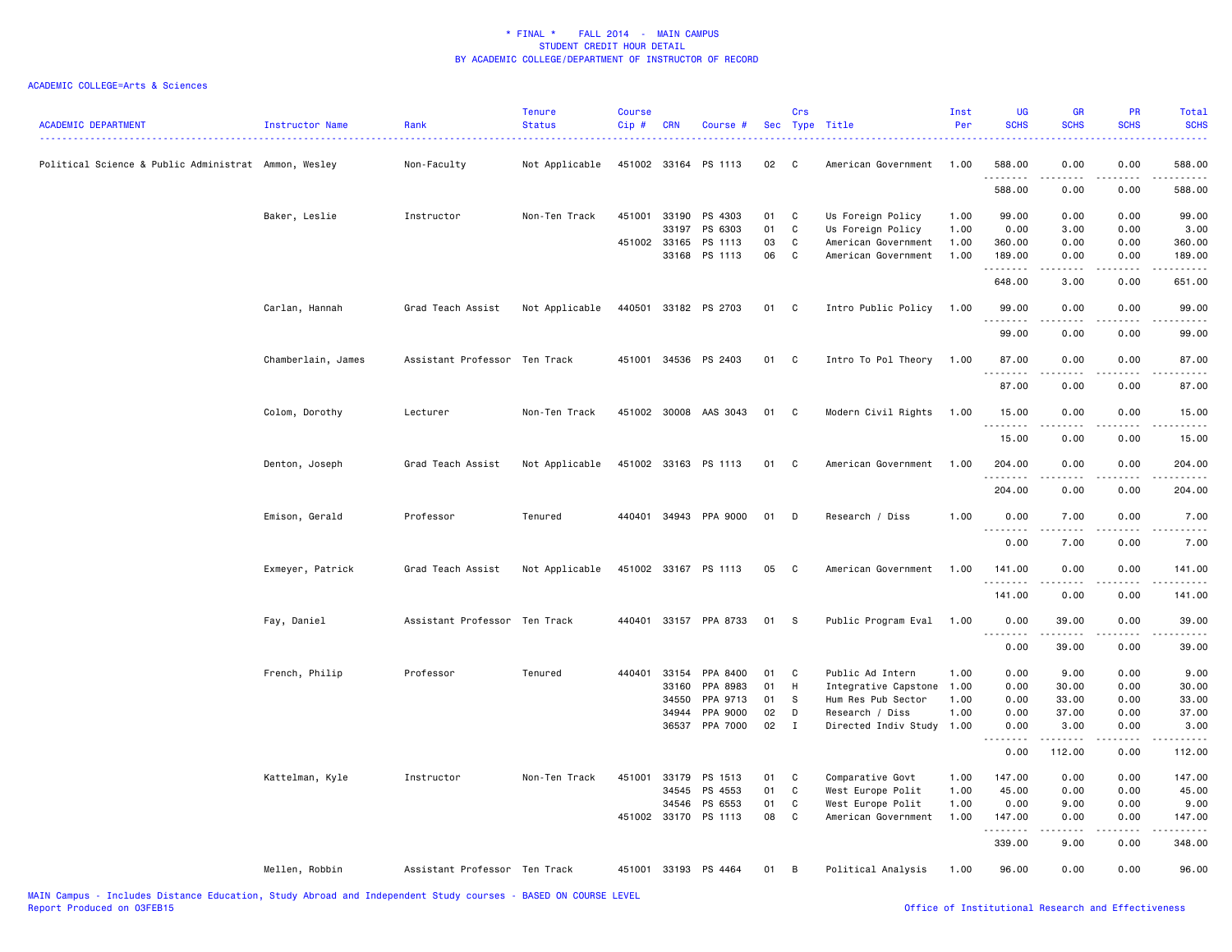| <b>ACADEMIC DEPARTMENT</b>                           | Instructor Name    | Rank                          | <b>Tenure</b><br><b>Status</b> | <b>Course</b><br>Cip# | <b>CRN</b> | Course #              |    | Crs | Sec Type Title       | Inst<br>Per | <b>UG</b><br><b>SCHS</b>          | <b>GR</b><br><b>SCHS</b> | <b>PR</b><br><b>SCHS</b> | <b>Total</b><br><b>SCHS</b>                                                                                                                                                               |
|------------------------------------------------------|--------------------|-------------------------------|--------------------------------|-----------------------|------------|-----------------------|----|-----|----------------------|-------------|-----------------------------------|--------------------------|--------------------------|-------------------------------------------------------------------------------------------------------------------------------------------------------------------------------------------|
| Political Science & Public Administrat Ammon, Wesley |                    | Non-Faculty                   | Not Applicable                 | 451002 33164          |            | PS 1113               | 02 | - C | American Government  | 1.00        | 588.00<br>.                       | 0.00                     | 0.00                     | 588.00                                                                                                                                                                                    |
|                                                      |                    |                               |                                |                       |            |                       |    |     |                      |             | 588.00                            | 0.00                     | 0.00                     | 588.00                                                                                                                                                                                    |
|                                                      | Baker, Leslie      | Instructor                    | Non-Ten Track                  | 451001                | 33190      | PS 4303               | 01 | C   | Us Foreign Policy    | 1.00        | 99.00                             | 0.00                     | 0.00                     | 99.00                                                                                                                                                                                     |
|                                                      |                    |                               |                                |                       | 33197      | PS 6303               | 01 | C   | Us Foreign Policy    | 1.00        | 0.00                              | 3.00                     | 0.00                     | 3.00                                                                                                                                                                                      |
|                                                      |                    |                               |                                | 451002 33165          |            | PS 1113               | 03 | C   | American Government  | 1.00        | 360.00                            | 0.00                     | 0.00                     | 360.00                                                                                                                                                                                    |
|                                                      |                    |                               |                                |                       | 33168      | PS 1113               | 06 | C   | American Government  | 1.00        | 189.00<br>.                       | 0.00<br>-----            | 0.00<br>.                | 189.00<br>$\frac{1}{2} \left( \frac{1}{2} \right) \left( \frac{1}{2} \right) \left( \frac{1}{2} \right) \left( \frac{1}{2} \right) \left( \frac{1}{2} \right) \left( \frac{1}{2} \right)$ |
|                                                      |                    |                               |                                |                       |            |                       |    |     |                      |             | 648.00                            | 3.00                     | 0.00                     | 651.00                                                                                                                                                                                    |
|                                                      | Carlan, Hannah     | Grad Teach Assist             | Not Applicable                 |                       |            | 440501 33182 PS 2703  | 01 | C   | Intro Public Policy  | 1.00        | 99.00<br>.                        | 0.00                     | 0.00                     | 99.00<br>الدعاء المالية                                                                                                                                                                   |
|                                                      |                    |                               |                                |                       |            |                       |    |     |                      |             | 99.00                             | 0.00                     | 0.00                     | 99.00                                                                                                                                                                                     |
|                                                      | Chamberlain, James | Assistant Professor Ten Track |                                | 451001                |            | 34536 PS 2403         | 01 | C   | Intro To Pol Theory  | 1.00        | 87.00<br>.                        | 0.00<br>$\frac{1}{2}$    | 0.00<br>$- - - -$        | 87.00<br>.                                                                                                                                                                                |
|                                                      |                    |                               |                                |                       |            |                       |    |     |                      |             | 87.00                             | 0.00                     | 0.00                     | 87.00                                                                                                                                                                                     |
|                                                      | Colom, Dorothy     | Lecturer                      | Non-Ten Track                  |                       |            | 451002 30008 AAS 3043 | 01 | C   | Modern Civil Rights  | 1.00        | 15.00                             | 0.00                     | 0.00                     | 15.00                                                                                                                                                                                     |
|                                                      |                    |                               |                                |                       |            |                       |    |     |                      |             | .<br>15.00                        | .<br>0.00                | $\frac{1}{2}$<br>0.00    | .<br>15.00                                                                                                                                                                                |
|                                                      | Denton, Joseph     | Grad Teach Assist             | Not Applicable                 |                       |            | 451002 33163 PS 1113  | 01 | C   | American Government  | 1.00        | 204.00                            | 0.00                     | 0.00                     | 204.00                                                                                                                                                                                    |
|                                                      |                    |                               |                                |                       |            |                       |    |     |                      |             | .<br>204.00                       | $\frac{1}{2}$<br>0.00    | $\cdots$<br>0.00         | <u>.</u><br>204.00                                                                                                                                                                        |
|                                                      | Emison, Gerald     | Professor                     | Tenured                        |                       |            | 440401 34943 PPA 9000 | 01 | D   | Research / Diss      | 1.00        | 0.00                              | 7.00                     | 0.00                     | 7.00                                                                                                                                                                                      |
|                                                      |                    |                               |                                |                       |            |                       |    |     |                      |             | .<br>$\sim$ $\sim$ $\sim$<br>0.00 | .<br>7.00                | $- - - -$<br>0.00        | $\frac{1}{2} \left( \frac{1}{2} \right) \left( \frac{1}{2} \right) \left( \frac{1}{2} \right) \left( \frac{1}{2} \right)$<br>7.00                                                         |
|                                                      |                    |                               |                                |                       |            |                       |    |     |                      |             |                                   |                          |                          |                                                                                                                                                                                           |
|                                                      | Exmeyer, Patrick   | Grad Teach Assist             | Not Applicable                 | 451002 33167          |            | PS 1113               | 05 | C   | American Government  | 1.00        | 141.00<br><u>.</u>                | 0.00<br>----             | 0.00<br>$\cdots$         | 141.00<br>.                                                                                                                                                                               |
|                                                      |                    |                               |                                |                       |            |                       |    |     |                      |             | 141.00                            | 0.00                     | 0.00                     | 141.00                                                                                                                                                                                    |
|                                                      | Fay, Daniel        | Assistant Professor Ten Track |                                | 440401                |            | 33157 PPA 8733        | 01 | -S  | Public Program Eval  | 1.00        | 0.00<br>.<br>$\sim$ $\sim$ $\sim$ | 39.00                    | 0.00                     | 39.00<br>.                                                                                                                                                                                |
|                                                      |                    |                               |                                |                       |            |                       |    |     |                      |             | 0.00                              | 39.00                    | 0.00                     | 39.00                                                                                                                                                                                     |
|                                                      | French, Philip     | Professor                     | Tenured                        | 440401                | 33154      | PPA 8400              | 01 | C   | Public Ad Intern     | 1.00        | 0.00                              | 9.00                     | 0.00                     | 9.00                                                                                                                                                                                      |
|                                                      |                    |                               |                                |                       | 33160      | PPA 8983              | 01 | H   | Integrative Capstone | 1.00        | 0.00                              | 30.00                    | 0.00                     | 30.00                                                                                                                                                                                     |
|                                                      |                    |                               |                                |                       | 34550      | PPA 9713              | 01 | S   | Hum Res Pub Sector   | 1.00        | 0.00                              | 33.00                    | 0.00                     | 33.00                                                                                                                                                                                     |
|                                                      |                    |                               |                                |                       | 34944      | PPA 9000              | 02 | D   | Research / Diss      | 1.00        | 0.00                              | 37.00                    | 0.00                     | 37.00                                                                                                                                                                                     |
|                                                      |                    |                               |                                |                       | 36537      | PPA 7000              | 02 | Ι.  | Directed Indiv Study | 1.00        | 0.00<br>.<br>$\sim$ $\sim$ $\sim$ | 3.00<br>.                | 0.00<br>$\frac{1}{2}$    | 3.00<br>.                                                                                                                                                                                 |
|                                                      |                    |                               |                                |                       |            |                       |    |     |                      |             | 0.00                              | 112.00                   | 0.00                     | 112.00                                                                                                                                                                                    |
|                                                      | Kattelman, Kyle    | Instructor                    | Non-Ten Track                  | 451001                | 33179      | PS 1513               | 01 | C   | Comparative Govt     | 1.00        | 147.00                            | 0.00                     | 0.00                     | 147.00                                                                                                                                                                                    |
|                                                      |                    |                               |                                |                       | 34545      | PS 4553               | 01 | C   | West Europe Polit    | 1.00        | 45.00                             | 0.00                     | 0.00                     | 45.00                                                                                                                                                                                     |
|                                                      |                    |                               |                                |                       | 34546      | PS 6553               | 01 | C   | West Europe Polit    | 1.00        | 0.00                              | 9.00                     | 0.00                     | 9.00                                                                                                                                                                                      |
|                                                      |                    |                               |                                | 451002 33170          |            | PS 1113               | 08 | C   | American Government  | 1.00        | 147.00                            | 0.00                     | 0.00                     | 147.00                                                                                                                                                                                    |
|                                                      |                    |                               |                                |                       |            |                       |    |     |                      |             | .<br>339.00                       | المتمالين<br>9.00        | .<br>0.00                | ------<br>348.00                                                                                                                                                                          |
|                                                      | Mellen, Robbin     | Assistant Professor Ten Track |                                |                       |            | 451001 33193 PS 4464  | 01 | B   | Political Analysis   | 1.00        | 96.00                             | 0.00                     | 0.00                     | 96.00                                                                                                                                                                                     |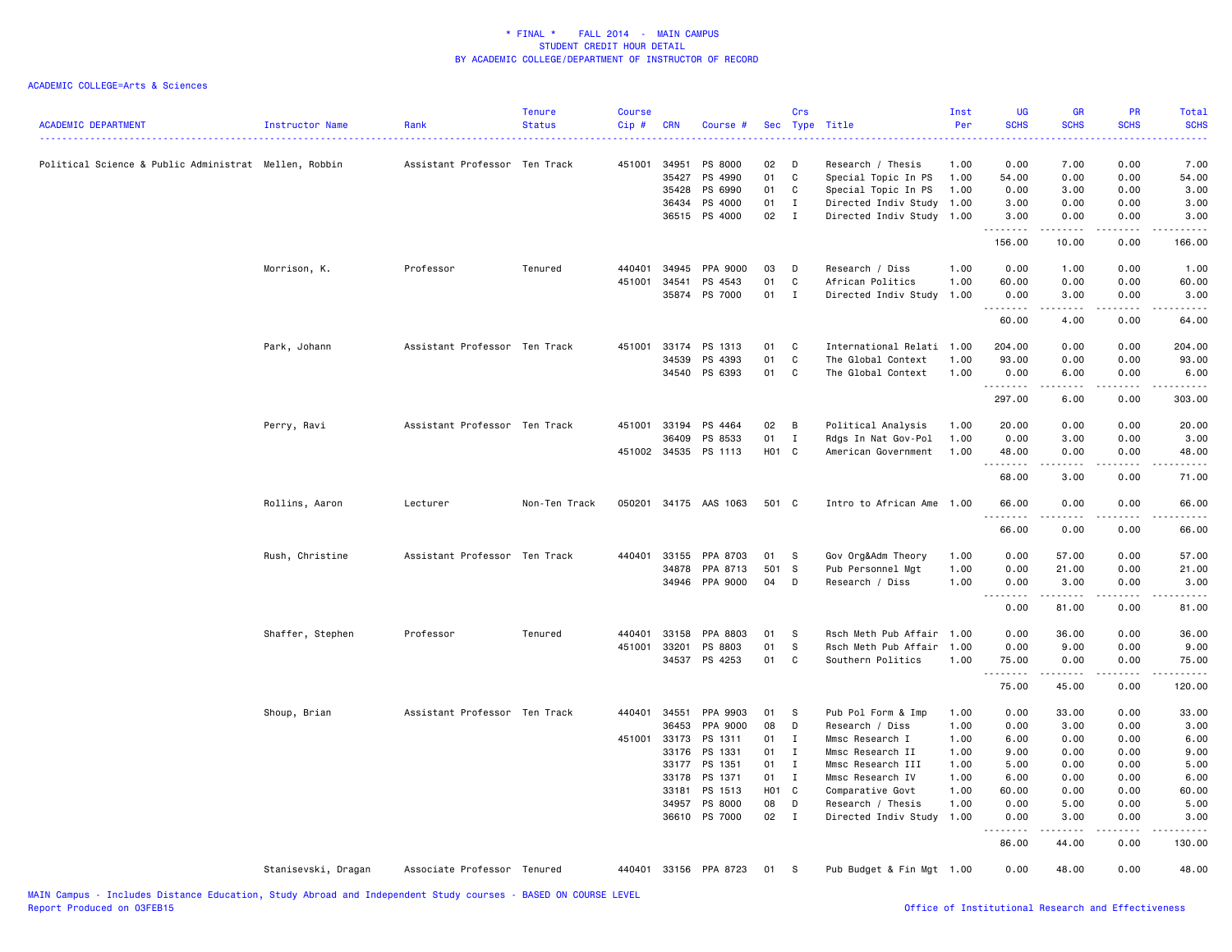| <b>ACADEMIC DEPARTMENT</b>                            | Instructor Name     | Rank                          | <b>Tenure</b><br><b>Status</b> | <b>Course</b><br>Cip# | <b>CRN</b>   | Course #              | Sec        | Crs          | Type Title                | Inst<br>Per | <b>UG</b><br><b>SCHS</b>   | <b>GR</b><br><b>SCHS</b>                                                                                                                                      | <b>PR</b><br><b>SCHS</b>            | Total<br><b>SCHS</b> |
|-------------------------------------------------------|---------------------|-------------------------------|--------------------------------|-----------------------|--------------|-----------------------|------------|--------------|---------------------------|-------------|----------------------------|---------------------------------------------------------------------------------------------------------------------------------------------------------------|-------------------------------------|----------------------|
| Political Science & Public Administrat Mellen, Robbin |                     | Assistant Professor Ten Track |                                | 451001                | 34951        | PS 8000               | 02         | D            | Research / Thesis         | 1.00        | 0.00                       | 7.00                                                                                                                                                          | 0.00                                | 7.00                 |
|                                                       |                     |                               |                                |                       | 35427        | PS 4990               | 01         | C            | Special Topic In PS       | 1.00        | 54.00                      | 0.00                                                                                                                                                          | 0.00                                | 54.00                |
|                                                       |                     |                               |                                |                       | 35428        | PS 6990               | 01         | C            | Special Topic In PS       | 1.00        | 0.00                       | 3.00                                                                                                                                                          | 0.00                                | 3.00                 |
|                                                       |                     |                               |                                |                       | 36434        | PS 4000               | 01         | I            | Directed Indiv Study 1.00 |             | 3.00                       | 0.00                                                                                                                                                          | 0.00                                | 3.00                 |
|                                                       |                     |                               |                                |                       |              | 36515 PS 4000         | 02         | $\mathbf{I}$ | Directed Indiv Study 1.00 |             | 3.00<br>.                  | 0.00                                                                                                                                                          | 0.00                                | 3.00                 |
|                                                       |                     |                               |                                |                       |              |                       |            |              |                           |             | 156.00                     | 10.00                                                                                                                                                         | 0.00                                | 166.00               |
|                                                       | Morrison, K.        | Professor                     | Tenured                        | 440401                | 34945        | PPA 9000              | 03         | D            | Research / Diss           | 1.00        | 0.00                       | 1.00                                                                                                                                                          | 0.00                                | 1.00                 |
|                                                       |                     |                               |                                | 451001                | 34541        | PS 4543               | 01         | C            | African Politics          | 1.00        | 60.00                      | 0.00                                                                                                                                                          | 0.00                                | 60.00                |
|                                                       |                     |                               |                                |                       |              | 35874 PS 7000         | 01         | $\mathbf I$  | Directed Indiv Study 1.00 |             | 0.00<br>.                  | 3.00<br>$\frac{1}{2} \left( \frac{1}{2} \right) \left( \frac{1}{2} \right) \left( \frac{1}{2} \right) \left( \frac{1}{2} \right) \left( \frac{1}{2} \right)$  | 0.00<br>.                           | 3.00<br>.            |
|                                                       |                     |                               |                                |                       |              |                       |            |              |                           |             | 60.00                      | 4.00                                                                                                                                                          | 0.00                                | 64.00                |
|                                                       | Park, Johann        | Assistant Professor Ten Track |                                |                       |              | 451001 33174 PS 1313  | 01         | C            | International Relati 1.00 |             | 204.00                     | 0.00                                                                                                                                                          | 0.00                                | 204.00               |
|                                                       |                     |                               |                                |                       | 34539        | PS 4393               | 01         | C            | The Global Context        | 1.00        | 93.00                      | 0.00                                                                                                                                                          | 0.00                                | 93.00                |
|                                                       |                     |                               |                                |                       | 34540        | PS 6393               | 01         | C            | The Global Context        | 1.00        | 0.00                       | 6.00                                                                                                                                                          | 0.00                                | 6.00<br>.            |
|                                                       |                     |                               |                                |                       |              |                       |            |              |                           |             | .<br>297.00                | 6.00                                                                                                                                                          | 0.00                                | 303.00               |
|                                                       | Perry, Ravi         | Assistant Professor Ten Track |                                |                       | 451001 33194 | PS 4464               | 02         | B            | Political Analysis        | 1.00        | 20.00                      | 0.00                                                                                                                                                          | 0.00                                | 20.00                |
|                                                       |                     |                               |                                |                       | 36409        | PS 8533               | 01         | Ι.           | Rdgs In Nat Gov-Pol       | 1.00        | 0.00                       | 3.00                                                                                                                                                          | 0.00                                | 3.00                 |
|                                                       |                     |                               |                                |                       | 451002 34535 | PS 1113               | H01 C      |              | American Government       | 1.00        | 48.00                      | 0.00                                                                                                                                                          | 0.00                                | 48.00                |
|                                                       |                     |                               |                                |                       |              |                       |            |              |                           |             | .<br>68.00                 | $\frac{1}{2} \left( \frac{1}{2} \right) \left( \frac{1}{2} \right) \left( \frac{1}{2} \right) \left( \frac{1}{2} \right) \left( \frac{1}{2} \right)$<br>3.00  | .<br>0.00                           | .<br>71.00           |
|                                                       | Rollins, Aaron      | Lecturer                      | Non-Ten Track                  |                       |              | 050201 34175 AAS 1063 | 501 C      |              | Intro to African Ame 1.00 |             | 66.00<br>.                 | 0.00<br>.                                                                                                                                                     | 0.00<br>.                           | 66.00<br>.           |
|                                                       |                     |                               |                                |                       |              |                       |            |              |                           |             | 66.00                      | 0.00                                                                                                                                                          | 0.00                                | 66.00                |
|                                                       | Rush, Christine     | Assistant Professor Ten Track |                                | 440401                | 33155        | PPA 8703              | 01         | - S          | Gov Org&Adm Theory        | 1.00        | 0.00                       | 57.00                                                                                                                                                         | 0.00                                | 57.00                |
|                                                       |                     |                               |                                |                       | 34878        | PPA 8713              | 501        | s            | Pub Personnel Mgt         | 1.00        | 0.00                       | 21.00                                                                                                                                                         | 0.00                                | 21.00                |
|                                                       |                     |                               |                                |                       | 34946        | PPA 9000              | 04         | D            | Research / Diss           | 1.00        | 0.00                       | 3.00                                                                                                                                                          | 0.00                                | 3.00                 |
|                                                       |                     |                               |                                |                       |              |                       |            |              |                           |             | .<br>0.00                  | 222222<br>81.00                                                                                                                                               | $\sim$ $\sim$ $\sim$ $\sim$<br>0.00 | .<br>81.00           |
|                                                       | Shaffer, Stephen    | Professor                     | Tenured                        | 440401                | 33158        | PPA 8803              | 01         | S            | Rsch Meth Pub Affair 1.00 |             | 0.00                       | 36.00                                                                                                                                                         | 0.00                                | 36.00                |
|                                                       |                     |                               |                                | 451001 33201          |              | PS 8803               | 01         | s            | Rsch Meth Pub Affair 1.00 |             | 0.00                       | 9.00                                                                                                                                                          | 0.00                                | 9.00                 |
|                                                       |                     |                               |                                |                       | 34537        | PS 4253               | 01         | C            | Southern Politics         | 1.00        | 75.00                      | 0.00                                                                                                                                                          | 0.00                                | 75.00                |
|                                                       |                     |                               |                                |                       |              |                       |            |              |                           |             | .<br>75.00                 | .<br>45.00                                                                                                                                                    | .<br>0.00                           | .<br>120.00          |
|                                                       | Shoup, Brian        | Assistant Professor Ten Track |                                | 440401                | 34551        | PPA 9903              | 01         | - S          | Pub Pol Form & Imp        | 1.00        | 0.00                       | 33.00                                                                                                                                                         | 0.00                                | 33.00                |
|                                                       |                     |                               |                                |                       | 36453        | PPA 9000              | 08         | D            | Research / Diss           | 1.00        | 0.00                       | 3.00                                                                                                                                                          | 0.00                                | 3.00                 |
|                                                       |                     |                               |                                |                       | 451001 33173 | PS 1311               | 01         | I            | Mmsc Research I           | 1.00        | 6.00                       | 0.00                                                                                                                                                          | 0.00                                | 6.00                 |
|                                                       |                     |                               |                                |                       | 33176        | PS 1331               | 01         | $\mathbf{I}$ | Mmsc Research II          | 1.00        | 9.00                       | 0.00                                                                                                                                                          | 0.00                                | 9.00                 |
|                                                       |                     |                               |                                |                       | 33177        | PS 1351               | 01         | $\mathbf{I}$ | Mmsc Research III         | 1.00        | 5.00                       | 0.00                                                                                                                                                          | 0.00                                | 5.00                 |
|                                                       |                     |                               |                                |                       | 33178        | PS 1371               | 01         | $\mathbf{I}$ | Mmsc Research IV          | 1.00        | 6.00                       | 0.00                                                                                                                                                          | 0.00                                | 6.00                 |
|                                                       |                     |                               |                                |                       | 33181        | PS 1513               | <b>HO1</b> | $\mathbf{C}$ | Comparative Govt          | 1.00        | 60.00                      | 0.00                                                                                                                                                          | 0.00                                | 60.00                |
|                                                       |                     |                               |                                |                       | 34957        | PS 8000               | 08         | D            | Research / Thesis         | 1.00        | 0.00                       | 5.00                                                                                                                                                          | 0.00                                | 5.00                 |
|                                                       |                     |                               |                                |                       | 36610        | PS 7000               | 02         | $\mathbf{I}$ | Directed Indiv Study 1.00 |             | 0.00                       | 3.00                                                                                                                                                          | 0.00                                | 3.00                 |
|                                                       |                     |                               |                                |                       |              |                       |            |              |                           |             | $- - - -$<br>$ -$<br>86.00 | $\frac{1}{2} \left( \frac{1}{2} \right) \left( \frac{1}{2} \right) \left( \frac{1}{2} \right) \left( \frac{1}{2} \right) \left( \frac{1}{2} \right)$<br>44.00 | .<br>0.00                           | .<br>130.00          |
|                                                       | Stanisevski, Dragan | Associate Professor Tenured   |                                |                       |              | 440401 33156 PPA 8723 | 01         | - S          | Pub Budget & Fin Mgt 1.00 |             | 0.00                       | 48.00                                                                                                                                                         | 0.00                                | 48.00                |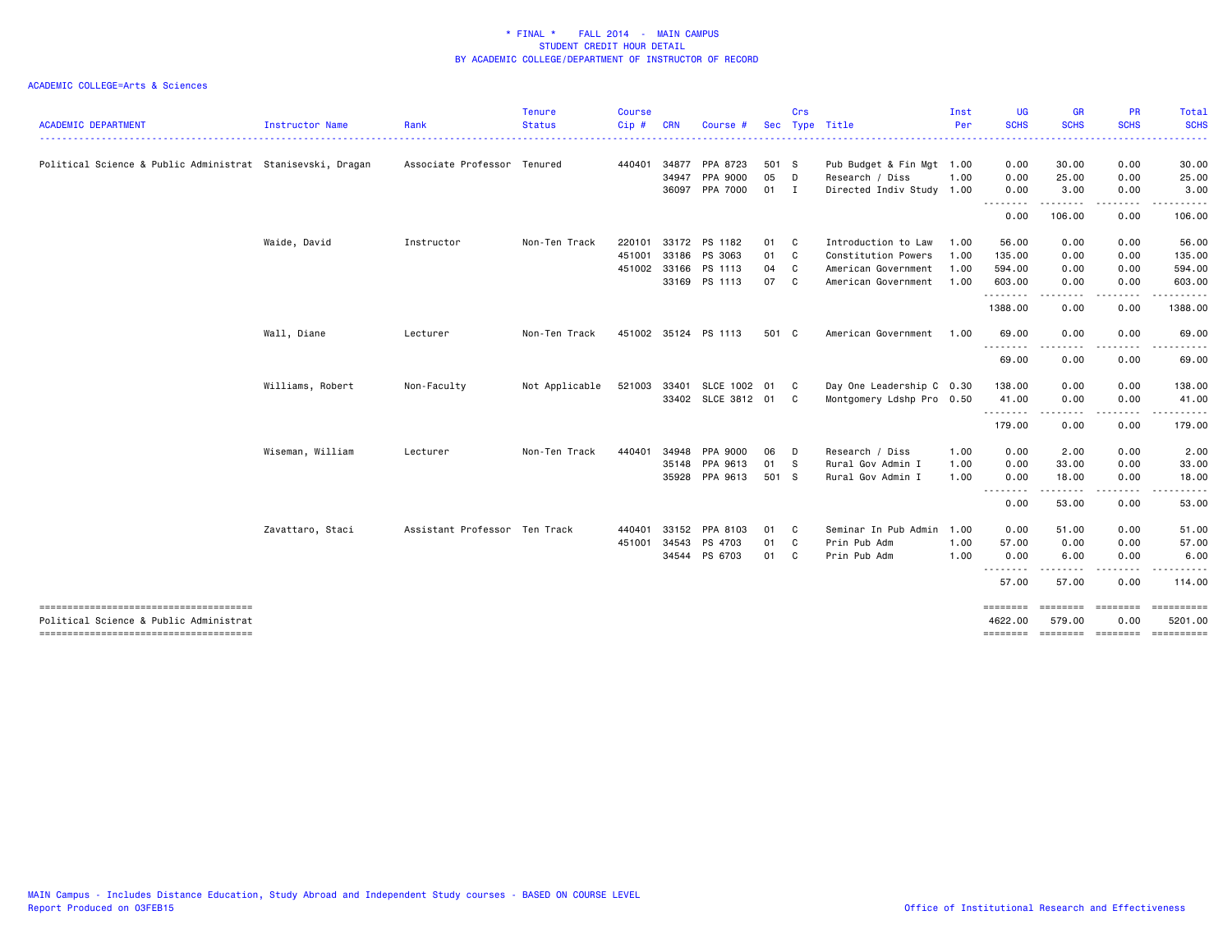|                                                            |                  |                               | <b>Tenure</b>  | <b>Course</b> |            |                      |            | Crs          |                           | Inst | <b>UG</b>                       | <b>GR</b>          | <b>PR</b>                 | Total                 |
|------------------------------------------------------------|------------------|-------------------------------|----------------|---------------|------------|----------------------|------------|--------------|---------------------------|------|---------------------------------|--------------------|---------------------------|-----------------------|
| <b>ACADEMIC DEPARTMENT</b>                                 | Instructor Name  | Rank                          | <b>Status</b>  | Cip#          | <b>CRN</b> | Course #             | <b>Sec</b> |              | Type Title                | Per  | <b>SCHS</b>                     | <b>SCHS</b>        | <b>SCHS</b>               | <b>SCHS</b>           |
| Political Science & Public Administrat Stanisevski, Dragan |                  | Associate Professor Tenured   |                | 440401 34877  |            | PPA 8723             | 501 S      |              | Pub Budget & Fin Mgt 1.00 |      | 0.00                            | 30.00              | 0.00                      | 30.00                 |
|                                                            |                  |                               |                |               | 34947      | PPA 9000             | 05         | D            | Research / Diss           | 1.00 | 0.00                            | 25.00              | 0.00                      | 25.00                 |
|                                                            |                  |                               |                |               | 36097      | PPA 7000             | 01         | $\mathbf{I}$ | Directed Indiv Study 1.00 |      | 0.00<br><u>.</u>                | 3.00<br>. <u>.</u> | 0.00<br>. <b>.</b>        | 3.00<br>. <b>.</b>    |
|                                                            |                  |                               |                |               |            |                      |            |              |                           |      | 0.00                            | 106.00             | 0.00                      | 106.00                |
|                                                            | Waide, David     | Instructor                    | Non-Ten Track  | 220101        |            | 33172 PS 1182        | 01         | C            | Introduction to Law       | 1.00 | 56.00                           | 0.00               | 0.00                      | 56.00                 |
|                                                            |                  |                               |                | 451001        | 33186      | PS 3063              | 01         | C            | Constitution Powers       | 1.00 | 135.00                          | 0.00               | 0.00                      | 135.00                |
|                                                            |                  |                               |                | 451002 33166  |            | PS 1113              | 04         | C            | American Government       | 1.00 | 594.00                          | 0.00               | 0.00                      | 594.00                |
|                                                            |                  |                               |                |               |            | 33169 PS 1113        | 07         | C            | American Government       | 1.00 | 603.00<br>.                     | 0.00<br>.          | 0.00<br><u>.</u>          | 603.00<br>.           |
|                                                            |                  |                               |                |               |            |                      |            |              |                           |      | 1388.00                         | 0.00               | 0.00                      | 1388.00               |
|                                                            | Wall, Diane      | Lecturer                      | Non-Ten Track  |               |            | 451002 35124 PS 1113 | 501 C      |              | American Government       | 1.00 | 69.00                           | 0.00               | 0.00                      | 69.00                 |
|                                                            |                  |                               |                |               |            |                      |            |              |                           |      | .<br>69.00                      | . <b>.</b><br>0.00 | .<br>0.00                 | 69.00                 |
|                                                            | Williams, Robert | Non-Faculty                   | Not Applicable | 521003 33401  |            | SLCE 1002 01         |            | C.           | Day One Leadership C 0.30 |      | 138.00                          | 0.00               | 0.00                      | 138.00                |
|                                                            |                  |                               |                |               |            | 33402 SLCE 3812 01   |            | C.           | Montgomery Ldshp Pro 0.50 |      | 41.00                           | 0.00               | 0.00                      | 41.00                 |
|                                                            |                  |                               |                |               |            |                      |            |              |                           |      | --------<br>179.00              | -----<br>0.00      | .<br>0.00                 | .<br>179.00           |
|                                                            | Wiseman, William | Lecturer                      | Non-Ten Track  | 440401        | 34948      | PPA 9000             | 06         | D            | Research / Diss           | 1.00 | 0.00                            | 2.00               | 0.00                      | 2.00                  |
|                                                            |                  |                               |                |               | 35148      | PPA 9613             | 01         | - S          | Rural Gov Admin I         | 1.00 | 0.00                            | 33.00              | 0.00                      | 33.00                 |
|                                                            |                  |                               |                |               |            | 35928 PPA 9613       | 501 S      |              | Rural Gov Admin I         | 1.00 | 0.00<br>--------                | 18.00              | 0.00                      | 18.00                 |
|                                                            |                  |                               |                |               |            |                      |            |              |                           |      | 0.00                            | 53.00              | 0.00                      | 53.00                 |
|                                                            | Zavattaro, Staci | Assistant Professor Ten Track |                | 440401        | 33152      | PPA 8103             | 01         | C            | Seminar In Pub Admin      | 1.00 | 0.00                            | 51.00              | 0.00                      | 51.00                 |
|                                                            |                  |                               |                | 451001 34543  |            | PS 4703              | 01         | C            | Prin Pub Adm              | 1.00 | 57.00                           | 0.00               | 0.00                      | 57.00                 |
|                                                            |                  |                               |                |               |            | 34544 PS 6703        | 01         | C            | Prin Pub Adm              | 1.00 | 0.00<br><u> - - - - - - - -</u> | 6.00               | 0.00                      | 6.00<br>.             |
|                                                            |                  |                               |                |               |            |                      |            |              |                           |      | 57.00                           | 57.00              | 0.00                      | 114.00                |
|                                                            |                  |                               |                |               |            |                      |            |              |                           |      | ========                        | --------           | $= 10000000000$           | ==========            |
| Political Science & Public Administrat                     |                  |                               |                |               |            |                      |            |              |                           |      | 4622.00<br>========             | 579.00             | 0.00<br>======== ======== | 5201.00<br>========== |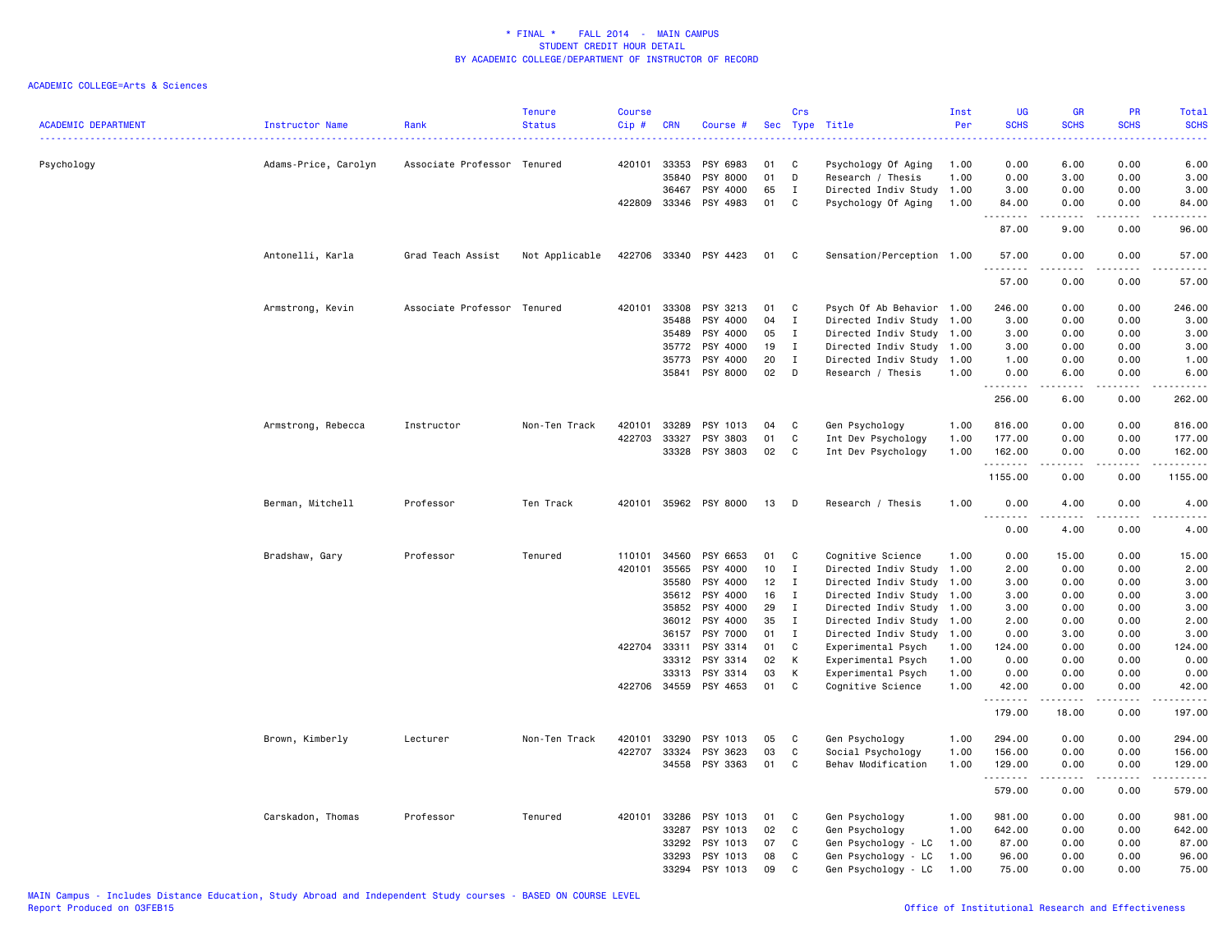| <b>ACADEMIC DEPARTMENT</b> | Instructor Name      | Rank                        | <b>Tenure</b><br><b>Status</b> | <b>Course</b><br>Cip# | <b>CRN</b>                                                                                                    | Course #                                                                                                                         | Sec                                                            | Crs<br>Type                                                                                               | Title                                                                                                                                                                                                                                                                                  | Inst<br>Per                          | <b>UG</b><br><b>SCHS</b>                                                                     | GR<br><b>SCHS</b>                                                                                                                                                                    | PR<br><b>SCHS</b>                                                                    | Total<br><b>SCHS</b>                                                                                                                                          |
|----------------------------|----------------------|-----------------------------|--------------------------------|-----------------------|---------------------------------------------------------------------------------------------------------------|----------------------------------------------------------------------------------------------------------------------------------|----------------------------------------------------------------|-----------------------------------------------------------------------------------------------------------|----------------------------------------------------------------------------------------------------------------------------------------------------------------------------------------------------------------------------------------------------------------------------------------|--------------------------------------|----------------------------------------------------------------------------------------------|--------------------------------------------------------------------------------------------------------------------------------------------------------------------------------------|--------------------------------------------------------------------------------------|---------------------------------------------------------------------------------------------------------------------------------------------------------------|
| Psychology                 | Adams-Price, Carolyn | Associate Professor Tenured |                                | 420101                | 33353<br>35840<br>36467<br>422809 33346                                                                       | PSY 6983<br>PSY 8000<br>PSY 4000<br>PSY 4983                                                                                     | 01<br>01<br>65<br>01                                           | C<br>D<br>I<br>C                                                                                          | Psychology Of Aging<br>Research / Thesis<br>Directed Indiv Study<br>Psychology Of Aging                                                                                                                                                                                                | 1.00<br>1.00<br>1.00<br>1.00         | 0.00<br>0.00<br>3.00<br>84.00                                                                | 6.00<br>3.00<br>0.00<br>0.00                                                                                                                                                         | 0.00<br>0.00<br>0.00<br>0.00                                                         | 6.00<br>3.00<br>3.00<br>84.00                                                                                                                                 |
|                            |                      |                             |                                |                       |                                                                                                               |                                                                                                                                  |                                                                |                                                                                                           |                                                                                                                                                                                                                                                                                        |                                      | .<br>87.00                                                                                   | .<br>9.00                                                                                                                                                                            | .<br>0.00                                                                            | $\frac{1}{2} \left( \frac{1}{2} \right) \left( \frac{1}{2} \right) \left( \frac{1}{2} \right) \left( \frac{1}{2} \right) \left( \frac{1}{2} \right)$<br>96.00 |
|                            | Antonelli, Karla     | Grad Teach Assist           | Not Applicable                 |                       | 422706 33340                                                                                                  | PSY 4423                                                                                                                         | 01                                                             | C                                                                                                         | Sensation/Perception 1.00                                                                                                                                                                                                                                                              |                                      | 57.00                                                                                        | 0.00                                                                                                                                                                                 | 0.00                                                                                 | 57.00                                                                                                                                                         |
|                            |                      |                             |                                |                       |                                                                                                               |                                                                                                                                  |                                                                |                                                                                                           |                                                                                                                                                                                                                                                                                        |                                      | .<br>57.00                                                                                   | .<br>0.00                                                                                                                                                                            | $\sim$ $\sim$ $\sim$<br>0.00                                                         | .<br>57.00                                                                                                                                                    |
|                            | Armstrong, Kevin     | Associate Professor Tenured |                                | 420101                | 33308<br>35488<br>35489<br>35772<br>35773<br>35841                                                            | PSY 3213<br>PSY 4000<br>PSY 4000<br>PSY 4000<br>PSY 4000<br>PSY 8000                                                             | 01<br>04<br>05<br>19<br>20<br>02                               | C<br>I<br>$\mathbf I$<br>$\mathbf I$<br>$\mathbf{I}$<br>D                                                 | Psych Of Ab Behavior 1.00<br>Directed Indiv Study 1.00<br>Directed Indiv Study 1.00<br>Directed Indiv Study 1.00<br>Directed Indiv Study 1.00<br>Research / Thesis                                                                                                                     | 1.00                                 | 246.00<br>3.00<br>3.00<br>3.00<br>1.00<br>0.00<br>256.00                                     | 0.00<br>0.00<br>0.00<br>0.00<br>0.00<br>6.00<br>6.00                                                                                                                                 | 0.00<br>0.00<br>0.00<br>0.00<br>0.00<br>0.00<br>0.00                                 | 246.00<br>3.00<br>3.00<br>3.00<br>1.00<br>6.00<br>$\frac{1}{2}$<br>262.00                                                                                     |
|                            | Armstrong, Rebecca   | Instructor                  | Non-Ten Track                  | 420101<br>422703      | 33289<br>33327<br>33328                                                                                       | PSY 1013<br>PSY 3803<br>PSY 3803                                                                                                 | 04<br>01<br>02                                                 | C<br>$\mathbf c$<br>C                                                                                     | Gen Psychology<br>Int Dev Psychology<br>Int Dev Psychology                                                                                                                                                                                                                             | 1.00<br>1.00<br>1.00                 | 816.00<br>177.00<br>162.00<br>.<br>1155.00                                                   | 0.00<br>0.00<br>0.00<br>$\frac{1}{2} \left( \frac{1}{2} \right) \left( \frac{1}{2} \right) \left( \frac{1}{2} \right) \left( \frac{1}{2} \right) \left( \frac{1}{2} \right)$<br>0.00 | 0.00<br>0.00<br>0.00<br>.<br>0.00                                                    | 816.00<br>177.00<br>162.00<br>.<br>1155.00                                                                                                                    |
|                            | Berman, Mitchell     | Professor                   | Ten Track                      | 420101                |                                                                                                               | 35962 PSY 8000                                                                                                                   | 13                                                             | D                                                                                                         | Research / Thesis                                                                                                                                                                                                                                                                      | 1.00                                 | 0.00                                                                                         | 4.00                                                                                                                                                                                 | 0.00<br>$- - - -$                                                                    | 4.00<br>$\frac{1}{2} \left( \frac{1}{2} \right) \left( \frac{1}{2} \right) \left( \frac{1}{2} \right) \left( \frac{1}{2} \right) \left( \frac{1}{2} \right)$  |
|                            |                      |                             |                                |                       |                                                                                                               |                                                                                                                                  |                                                                |                                                                                                           |                                                                                                                                                                                                                                                                                        |                                      | 0.00                                                                                         | 4.00                                                                                                                                                                                 | 0.00                                                                                 | 4.00                                                                                                                                                          |
|                            | Bradshaw, Gary       | Professor                   | Tenured                        | 110101<br>420101      | 34560<br>35565<br>35580<br>35612<br>35852<br>36012<br>36157<br>422704 33311<br>33312<br>33313<br>422706 34559 | PSY 6653<br>PSY 4000<br>PSY 4000<br>PSY 4000<br>PSY 4000<br>PSY 4000<br>PSY 7000<br>PSY 3314<br>PSY 3314<br>PSY 3314<br>PSY 4653 | 01<br>10<br>12<br>16<br>29<br>35<br>01<br>01<br>02<br>03<br>01 | C<br>I<br>I<br>$\mathbf{I}$<br>$\mathbf{I}$<br>$\mathbf I$<br>$\mathbf{I}$<br>C<br>К<br>К<br>$\mathbf{C}$ | Cognitive Science<br>Directed Indiv Study 1.00<br>Directed Indiv Study 1.00<br>Directed Indiv Study 1.00<br>Directed Indiv Study 1.00<br>Directed Indiv Study 1.00<br>Directed Indiv Study 1.00<br>Experimental Psych<br>Experimental Psych<br>Experimental Psych<br>Cognitive Science | 1.00<br>1.00<br>1.00<br>1.00<br>1.00 | 0.00<br>2.00<br>3.00<br>3.00<br>3.00<br>2.00<br>0.00<br>124.00<br>0.00<br>0.00<br>42.00<br>. | 15.00<br>0.00<br>0.00<br>0.00<br>0.00<br>0.00<br>3.00<br>0.00<br>0.00<br>0.00<br>0.00                                                                                                | 0.00<br>0.00<br>0.00<br>0.00<br>0.00<br>0.00<br>0.00<br>0.00<br>0.00<br>0.00<br>0.00 | 15.00<br>2.00<br>3.00<br>3.00<br>3.00<br>2.00<br>3.00<br>124.00<br>0.00<br>0.00<br>42.00<br>.                                                                 |
|                            |                      |                             |                                |                       |                                                                                                               |                                                                                                                                  |                                                                |                                                                                                           |                                                                                                                                                                                                                                                                                        |                                      | 179.00                                                                                       | 18.00                                                                                                                                                                                | 0.00                                                                                 | 197.00                                                                                                                                                        |
|                            | Brown, Kimberly      | Lecturer                    | Non-Ten Track                  | 420101<br>422707      | 33290<br>33324<br>34558                                                                                       | PSY 1013<br>PSY 3623<br>PSY 3363                                                                                                 | 05<br>03<br>01                                                 | C<br>$\mathtt{C}$<br>C                                                                                    | Gen Psychology<br>Social Psychology<br>Behav Modification                                                                                                                                                                                                                              | 1.00<br>1.00<br>1.00                 | 294.00<br>156.00<br>129.00<br>.<br>579.00                                                    | 0.00<br>0.00<br>0.00<br>0.00                                                                                                                                                         | 0.00<br>0.00<br>0.00<br>0.00                                                         | 294.00<br>156.00<br>129.00<br>.<br>579.00                                                                                                                     |
|                            | Carskadon, Thomas    | Professor                   | Tenured                        | 420101                | 33286<br>33287<br>33292<br>33293                                                                              | PSY 1013<br>PSY 1013<br>PSY 1013<br>PSY 1013<br>33294 PSY 1013                                                                   | 01<br>02<br>07<br>08<br>09                                     | C<br>C<br>C<br>C<br>C                                                                                     | Gen Psychology<br>Gen Psychology<br>Gen Psychology - LC<br>Gen Psychology - LC<br>Gen Psychology - LC                                                                                                                                                                                  | 1.00<br>1.00<br>1.00<br>1.00<br>1.00 | 981.00<br>642.00<br>87.00<br>96.00<br>75.00                                                  | 0.00<br>0.00<br>0.00<br>0.00<br>0.00                                                                                                                                                 | 0.00<br>0.00<br>0.00<br>0.00<br>0.00                                                 | 981.00<br>642.00<br>87.00<br>96.00<br>75.00                                                                                                                   |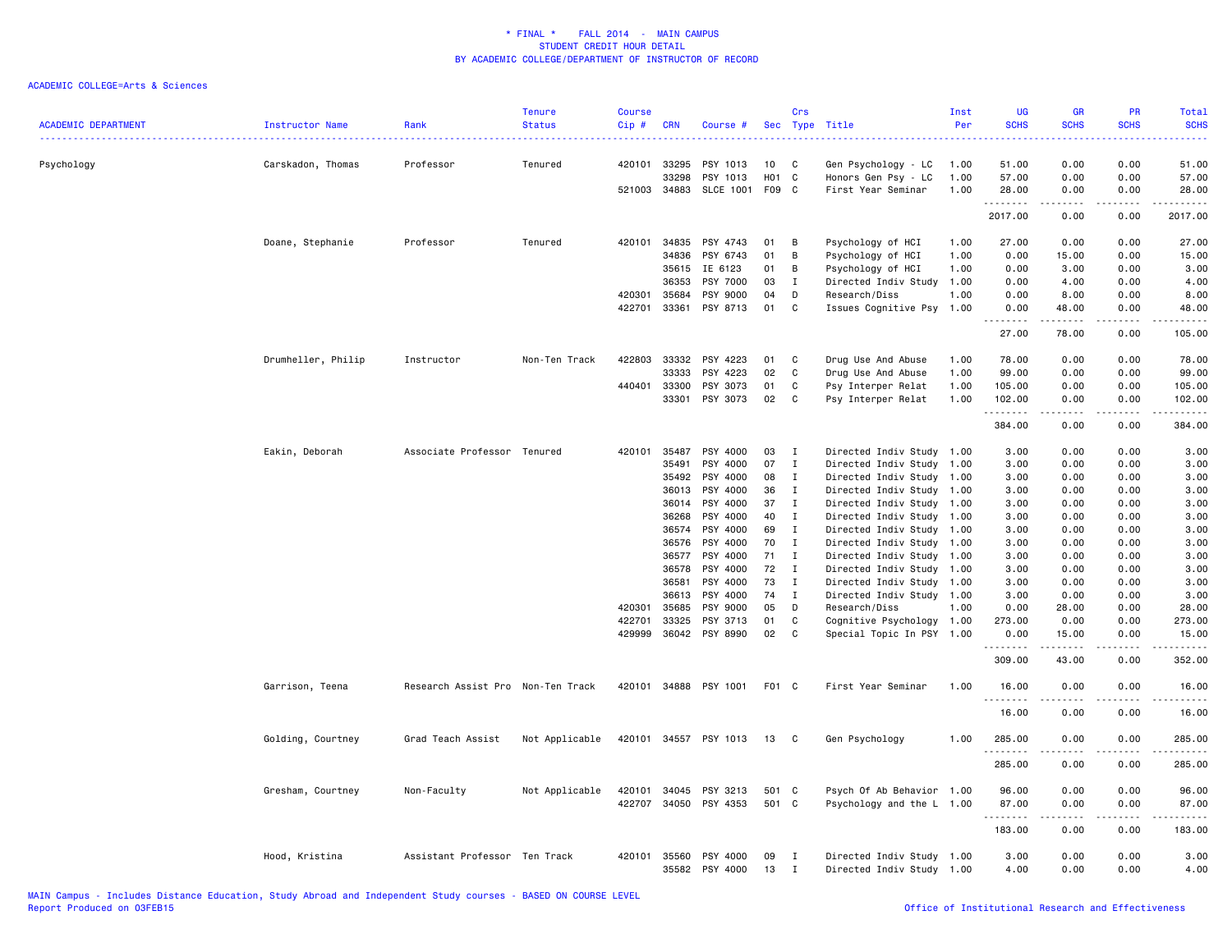| 0.00<br>Psychology<br>Carskadon, Thomas<br>Professor<br>420101<br>33295<br>PSY 1013<br>C<br>51.00<br>0.00<br>51.00<br>Tenured<br>10<br>Gen Psychology - LC<br>1.00<br>H01<br>C<br>0.00<br>57.00<br>33298<br>PSY 1013<br>Honors Gen Psy - LC<br>1.00<br>57.00<br>0.00<br><b>SLCE 1001</b><br>F09 C<br>521003 34883<br>First Year Seminar<br>1.00<br>28.00<br>0.00<br>0.00<br>28.00<br>.<br>.<br>$- - -$<br>2017.00<br>0.00<br>0.00<br>2017.00<br>Doane, Stephanie<br>PSY 4743<br>Professor<br>Tenured<br>420101 34835<br>01<br>В<br>Psychology of HCI<br>1.00<br>27.00<br>0.00<br>0.00<br>27.00<br>PSY 6743<br>Psychology of HCI<br>34836<br>01<br>В<br>1.00<br>0.00<br>15.00<br>0.00<br>15.00<br>35615<br>IE 6123<br>01<br>В<br>Psychology of HCI<br>1.00<br>0.00<br>3.00<br>0.00<br>3.00<br>36353<br>PSY 7000<br>03<br>$\mathbf{I}$<br>Directed Indiv Study 1.00<br>0.00<br>4.00<br>0.00<br>4.00<br>420301<br>35684<br>PSY 9000<br>04<br>D<br>Research/Diss<br>1.00<br>0.00<br>8.00<br>0.00<br>8.00<br>422701<br>33361<br>PSY 8713<br>01<br>C<br>Issues Cognitive Psy 1.00<br>0.00<br>48.00<br>0.00<br>48.00<br>.<br>.<br>.<br>.<br>27.00<br>78.00<br>0.00<br>105.00<br>422803<br>33332<br>PSY 4223<br>78.00<br>Drumheller, Philip<br>Instructor<br>Non-Ten Track<br>01<br>C<br>Drug Use And Abuse<br>1.00<br>0.00<br>0.00<br>78.00<br>PSY 4223<br>99.00<br>33333<br>02<br>C<br>Drug Use And Abuse<br>1.00<br>99.00<br>0.00<br>0.00<br>440401<br>PSY 3073<br>33300<br>01<br>C<br>Psy Interper Relat<br>1.00<br>105.00<br>0.00<br>0.00<br>105.00<br>33301<br>PSY 3073<br>02<br>C<br>Psy Interper Relat<br>1.00<br>102.00<br>0.00<br>0.00<br>102.00<br>$\frac{1}{2} \left( \frac{1}{2} \right) \left( \frac{1}{2} \right) \left( \frac{1}{2} \right) \left( \frac{1}{2} \right) \left( \frac{1}{2} \right) \left( \frac{1}{2} \right)$<br>.<br>.<br>د د د د<br>384.00<br>0.00<br>0.00<br>384.00<br>Eakin, Deborah<br>PSY 4000<br>Associate Professor Tenured<br>420101<br>35487<br>03<br>$\mathbf{I}$<br>Directed Indiv Study 1.00<br>3.00<br>0.00<br>0.00<br>3.00<br>35491<br>PSY 4000<br>07<br>$\mathbf{I}$<br>Directed Indiv Study 1.00<br>3.00<br>0.00<br>0.00<br>3.00<br>35492<br>PSY 4000<br>08<br>$\mathbf{I}$<br>Directed Indiv Study 1.00<br>3.00<br>0.00<br>0.00<br>3.00<br>36013<br>PSY 4000<br>36<br>$\mathbf{I}$<br>Directed Indiv Study 1.00<br>3.00<br>0.00<br>0.00<br>3.00<br>PSY 4000<br>36014<br>37<br>$\mathbf{I}$<br>Directed Indiv Study 1.00<br>3.00<br>0.00<br>0.00<br>3.00<br>PSY 4000<br>36268<br>40<br>$\mathbf{I}$<br>Directed Indiv Study 1.00<br>3.00<br>0.00<br>0.00<br>3.00<br>PSY 4000<br>36574<br>69<br>$\mathbf I$<br>Directed Indiv Study 1.00<br>3.00<br>0.00<br>0.00<br>3.00<br>PSY 4000<br>70<br>0.00<br>36576<br>I<br>Directed Indiv Study 1.00<br>3.00<br>0.00<br>3.00<br>PSY 4000<br>36577<br>71<br>$\bf{I}$<br>Directed Indiv Study 1.00<br>3.00<br>0.00<br>0.00<br>3.00<br>PSY 4000<br>72<br>3.00<br>36578<br>$\mathbf I$<br>Directed Indiv Study 1.00<br>3.00<br>0.00<br>0.00<br>PSY 4000<br>73<br>36581<br>I<br>Directed Indiv Study 1.00<br>3.00<br>0.00<br>0.00<br>3.00<br>36613<br>PSY 4000<br>74<br>$\mathbf{I}$<br>Directed Indiv Study 1.00<br>3.00<br>0.00<br>0.00<br>3.00<br>420301<br>35685<br>PSY 9000<br>05<br>D<br>Research/Diss<br>1.00<br>0.00<br>28,00<br>0.00<br>28.00<br>422701<br>33325<br>PSY 3713<br>01<br>C<br>Cognitive Psychology 1.00<br>273.00<br>0.00<br>0.00<br>273.00<br>429999<br>36042 PSY 8990<br>02<br>C<br>Special Topic In PSY 1.00<br>0.00<br>15.00<br>0.00<br>15.00<br>.<br>.<br>.<br>.<br>309.00<br>43.00<br>0.00<br>352.00<br>Research Assist Pro Non-Ten Track<br>420101 34888 PSY 1001<br>F01 C<br>First Year Seminar<br>1.00<br>16.00<br>0.00<br>0.00<br>Garrison, Teena<br>16.00<br>.<br>.<br>.<br>$\frac{1}{2}$<br>16.00<br>0.00<br>0.00<br>16.00<br>Golding, Courtney<br>Grad Teach Assist<br>Not Applicable<br>420101 34557<br>PSY 1013<br>Gen Psychology<br>285.00<br>13<br>C<br>1.00<br>0.00<br>0.00<br>285.00<br>.<br>.<br>.<br>285.00<br>0.00<br>0.00<br>285.00<br>Psych Of Ab Behavior 1.00<br>0.00<br>0.00<br>Gresham, Courtney<br>Non-Faculty<br>Not Applicable<br>420101<br>34045<br>PSY 3213<br>501 C<br>96.00<br>96.00<br>422707<br>34050<br>PSY 4353<br>501<br>C.<br>87.00<br>0.00<br>87.00<br>Psychology and the L 1.00<br>0.00<br>.<br>183.00<br>0.00<br>0.00<br>183.00<br>PSY 4000<br>3.00<br>0.00<br>3.00<br>Hood, Kristina<br>Assistant Professor Ten Track<br>420101<br>35560<br>09<br>Directed Indiv Study 1.00<br>0.00<br>I<br>35582<br>PSY 4000<br>13<br>Directed Indiv Study 1.00<br>4.00<br>0.00<br>0.00<br>4.00<br>Ι | <b>ACADEMIC DEPARTMENT</b> | Instructor Name | Rank | <b>Tenure</b><br><b>Status</b> | <b>Course</b><br>$Cip$ # | <b>CRN</b> | Course # | Sec | Crs<br>Type | Title | Inst<br>Per | UG<br><b>SCHS</b> | <b>GR</b><br><b>SCHS</b> | PR<br><b>SCHS</b> | Total<br><b>SCHS</b> |
|--------------------------------------------------------------------------------------------------------------------------------------------------------------------------------------------------------------------------------------------------------------------------------------------------------------------------------------------------------------------------------------------------------------------------------------------------------------------------------------------------------------------------------------------------------------------------------------------------------------------------------------------------------------------------------------------------------------------------------------------------------------------------------------------------------------------------------------------------------------------------------------------------------------------------------------------------------------------------------------------------------------------------------------------------------------------------------------------------------------------------------------------------------------------------------------------------------------------------------------------------------------------------------------------------------------------------------------------------------------------------------------------------------------------------------------------------------------------------------------------------------------------------------------------------------------------------------------------------------------------------------------------------------------------------------------------------------------------------------------------------------------------------------------------------------------------------------------------------------------------------------------------------------------------------------------------------------------------------------------------------------------------------------------------------------------------------------------------------------------------------------------------------------------------------------------------------------------------------------------------------------------------------------------------------------------------------------------------------------------------------------------------------------------------------------------------------------------------------------------------------------------------------------------------------------------------------------------------------------------------------------------------------------------------------------------------------------------------------------------------------------------------------------------------------------------------------------------------------------------------------------------------------------------------------------------------------------------------------------------------------------------------------------------------------------------------------------------------------------------------------------------------------------------------------------------------------------------------------------------------------------------------------------------------------------------------------------------------------------------------------------------------------------------------------------------------------------------------------------------------------------------------------------------------------------------------------------------------------------------------------------------------------------------------------------------------------------------------------------------------------------------------------------------------------------------------------------------------------------------------------------------------------------------------------------------------------------------------------------------------------------------------------------------------------------------------------------------------------------------------------------------------------------------------------------------------------------------------------------------------------------------------------------------------------------------------------------------------------------------------------------------------------------------------------------------------------------------------------------------------------------------------------------------------------------------------------------------------------------------------------------------|----------------------------|-----------------|------|--------------------------------|--------------------------|------------|----------|-----|-------------|-------|-------------|-------------------|--------------------------|-------------------|----------------------|
|                                                                                                                                                                                                                                                                                                                                                                                                                                                                                                                                                                                                                                                                                                                                                                                                                                                                                                                                                                                                                                                                                                                                                                                                                                                                                                                                                                                                                                                                                                                                                                                                                                                                                                                                                                                                                                                                                                                                                                                                                                                                                                                                                                                                                                                                                                                                                                                                                                                                                                                                                                                                                                                                                                                                                                                                                                                                                                                                                                                                                                                                                                                                                                                                                                                                                                                                                                                                                                                                                                                                                                                                                                                                                                                                                                                                                                                                                                                                                                                                                                                                                                                                                                                                                                                                                                                                                                                                                                                                                                                                                                                                                                      |                            |                 |      |                                |                          |            |          |     |             |       |             |                   |                          |                   |                      |
|                                                                                                                                                                                                                                                                                                                                                                                                                                                                                                                                                                                                                                                                                                                                                                                                                                                                                                                                                                                                                                                                                                                                                                                                                                                                                                                                                                                                                                                                                                                                                                                                                                                                                                                                                                                                                                                                                                                                                                                                                                                                                                                                                                                                                                                                                                                                                                                                                                                                                                                                                                                                                                                                                                                                                                                                                                                                                                                                                                                                                                                                                                                                                                                                                                                                                                                                                                                                                                                                                                                                                                                                                                                                                                                                                                                                                                                                                                                                                                                                                                                                                                                                                                                                                                                                                                                                                                                                                                                                                                                                                                                                                                      |                            |                 |      |                                |                          |            |          |     |             |       |             |                   |                          |                   |                      |
|                                                                                                                                                                                                                                                                                                                                                                                                                                                                                                                                                                                                                                                                                                                                                                                                                                                                                                                                                                                                                                                                                                                                                                                                                                                                                                                                                                                                                                                                                                                                                                                                                                                                                                                                                                                                                                                                                                                                                                                                                                                                                                                                                                                                                                                                                                                                                                                                                                                                                                                                                                                                                                                                                                                                                                                                                                                                                                                                                                                                                                                                                                                                                                                                                                                                                                                                                                                                                                                                                                                                                                                                                                                                                                                                                                                                                                                                                                                                                                                                                                                                                                                                                                                                                                                                                                                                                                                                                                                                                                                                                                                                                                      |                            |                 |      |                                |                          |            |          |     |             |       |             |                   |                          |                   |                      |
|                                                                                                                                                                                                                                                                                                                                                                                                                                                                                                                                                                                                                                                                                                                                                                                                                                                                                                                                                                                                                                                                                                                                                                                                                                                                                                                                                                                                                                                                                                                                                                                                                                                                                                                                                                                                                                                                                                                                                                                                                                                                                                                                                                                                                                                                                                                                                                                                                                                                                                                                                                                                                                                                                                                                                                                                                                                                                                                                                                                                                                                                                                                                                                                                                                                                                                                                                                                                                                                                                                                                                                                                                                                                                                                                                                                                                                                                                                                                                                                                                                                                                                                                                                                                                                                                                                                                                                                                                                                                                                                                                                                                                                      |                            |                 |      |                                |                          |            |          |     |             |       |             |                   |                          |                   |                      |
|                                                                                                                                                                                                                                                                                                                                                                                                                                                                                                                                                                                                                                                                                                                                                                                                                                                                                                                                                                                                                                                                                                                                                                                                                                                                                                                                                                                                                                                                                                                                                                                                                                                                                                                                                                                                                                                                                                                                                                                                                                                                                                                                                                                                                                                                                                                                                                                                                                                                                                                                                                                                                                                                                                                                                                                                                                                                                                                                                                                                                                                                                                                                                                                                                                                                                                                                                                                                                                                                                                                                                                                                                                                                                                                                                                                                                                                                                                                                                                                                                                                                                                                                                                                                                                                                                                                                                                                                                                                                                                                                                                                                                                      |                            |                 |      |                                |                          |            |          |     |             |       |             |                   |                          |                   |                      |
|                                                                                                                                                                                                                                                                                                                                                                                                                                                                                                                                                                                                                                                                                                                                                                                                                                                                                                                                                                                                                                                                                                                                                                                                                                                                                                                                                                                                                                                                                                                                                                                                                                                                                                                                                                                                                                                                                                                                                                                                                                                                                                                                                                                                                                                                                                                                                                                                                                                                                                                                                                                                                                                                                                                                                                                                                                                                                                                                                                                                                                                                                                                                                                                                                                                                                                                                                                                                                                                                                                                                                                                                                                                                                                                                                                                                                                                                                                                                                                                                                                                                                                                                                                                                                                                                                                                                                                                                                                                                                                                                                                                                                                      |                            |                 |      |                                |                          |            |          |     |             |       |             |                   |                          |                   |                      |
|                                                                                                                                                                                                                                                                                                                                                                                                                                                                                                                                                                                                                                                                                                                                                                                                                                                                                                                                                                                                                                                                                                                                                                                                                                                                                                                                                                                                                                                                                                                                                                                                                                                                                                                                                                                                                                                                                                                                                                                                                                                                                                                                                                                                                                                                                                                                                                                                                                                                                                                                                                                                                                                                                                                                                                                                                                                                                                                                                                                                                                                                                                                                                                                                                                                                                                                                                                                                                                                                                                                                                                                                                                                                                                                                                                                                                                                                                                                                                                                                                                                                                                                                                                                                                                                                                                                                                                                                                                                                                                                                                                                                                                      |                            |                 |      |                                |                          |            |          |     |             |       |             |                   |                          |                   |                      |
|                                                                                                                                                                                                                                                                                                                                                                                                                                                                                                                                                                                                                                                                                                                                                                                                                                                                                                                                                                                                                                                                                                                                                                                                                                                                                                                                                                                                                                                                                                                                                                                                                                                                                                                                                                                                                                                                                                                                                                                                                                                                                                                                                                                                                                                                                                                                                                                                                                                                                                                                                                                                                                                                                                                                                                                                                                                                                                                                                                                                                                                                                                                                                                                                                                                                                                                                                                                                                                                                                                                                                                                                                                                                                                                                                                                                                                                                                                                                                                                                                                                                                                                                                                                                                                                                                                                                                                                                                                                                                                                                                                                                                                      |                            |                 |      |                                |                          |            |          |     |             |       |             |                   |                          |                   |                      |
|                                                                                                                                                                                                                                                                                                                                                                                                                                                                                                                                                                                                                                                                                                                                                                                                                                                                                                                                                                                                                                                                                                                                                                                                                                                                                                                                                                                                                                                                                                                                                                                                                                                                                                                                                                                                                                                                                                                                                                                                                                                                                                                                                                                                                                                                                                                                                                                                                                                                                                                                                                                                                                                                                                                                                                                                                                                                                                                                                                                                                                                                                                                                                                                                                                                                                                                                                                                                                                                                                                                                                                                                                                                                                                                                                                                                                                                                                                                                                                                                                                                                                                                                                                                                                                                                                                                                                                                                                                                                                                                                                                                                                                      |                            |                 |      |                                |                          |            |          |     |             |       |             |                   |                          |                   |                      |
|                                                                                                                                                                                                                                                                                                                                                                                                                                                                                                                                                                                                                                                                                                                                                                                                                                                                                                                                                                                                                                                                                                                                                                                                                                                                                                                                                                                                                                                                                                                                                                                                                                                                                                                                                                                                                                                                                                                                                                                                                                                                                                                                                                                                                                                                                                                                                                                                                                                                                                                                                                                                                                                                                                                                                                                                                                                                                                                                                                                                                                                                                                                                                                                                                                                                                                                                                                                                                                                                                                                                                                                                                                                                                                                                                                                                                                                                                                                                                                                                                                                                                                                                                                                                                                                                                                                                                                                                                                                                                                                                                                                                                                      |                            |                 |      |                                |                          |            |          |     |             |       |             |                   |                          |                   |                      |
|                                                                                                                                                                                                                                                                                                                                                                                                                                                                                                                                                                                                                                                                                                                                                                                                                                                                                                                                                                                                                                                                                                                                                                                                                                                                                                                                                                                                                                                                                                                                                                                                                                                                                                                                                                                                                                                                                                                                                                                                                                                                                                                                                                                                                                                                                                                                                                                                                                                                                                                                                                                                                                                                                                                                                                                                                                                                                                                                                                                                                                                                                                                                                                                                                                                                                                                                                                                                                                                                                                                                                                                                                                                                                                                                                                                                                                                                                                                                                                                                                                                                                                                                                                                                                                                                                                                                                                                                                                                                                                                                                                                                                                      |                            |                 |      |                                |                          |            |          |     |             |       |             |                   |                          |                   |                      |
|                                                                                                                                                                                                                                                                                                                                                                                                                                                                                                                                                                                                                                                                                                                                                                                                                                                                                                                                                                                                                                                                                                                                                                                                                                                                                                                                                                                                                                                                                                                                                                                                                                                                                                                                                                                                                                                                                                                                                                                                                                                                                                                                                                                                                                                                                                                                                                                                                                                                                                                                                                                                                                                                                                                                                                                                                                                                                                                                                                                                                                                                                                                                                                                                                                                                                                                                                                                                                                                                                                                                                                                                                                                                                                                                                                                                                                                                                                                                                                                                                                                                                                                                                                                                                                                                                                                                                                                                                                                                                                                                                                                                                                      |                            |                 |      |                                |                          |            |          |     |             |       |             |                   |                          |                   |                      |
|                                                                                                                                                                                                                                                                                                                                                                                                                                                                                                                                                                                                                                                                                                                                                                                                                                                                                                                                                                                                                                                                                                                                                                                                                                                                                                                                                                                                                                                                                                                                                                                                                                                                                                                                                                                                                                                                                                                                                                                                                                                                                                                                                                                                                                                                                                                                                                                                                                                                                                                                                                                                                                                                                                                                                                                                                                                                                                                                                                                                                                                                                                                                                                                                                                                                                                                                                                                                                                                                                                                                                                                                                                                                                                                                                                                                                                                                                                                                                                                                                                                                                                                                                                                                                                                                                                                                                                                                                                                                                                                                                                                                                                      |                            |                 |      |                                |                          |            |          |     |             |       |             |                   |                          |                   |                      |
|                                                                                                                                                                                                                                                                                                                                                                                                                                                                                                                                                                                                                                                                                                                                                                                                                                                                                                                                                                                                                                                                                                                                                                                                                                                                                                                                                                                                                                                                                                                                                                                                                                                                                                                                                                                                                                                                                                                                                                                                                                                                                                                                                                                                                                                                                                                                                                                                                                                                                                                                                                                                                                                                                                                                                                                                                                                                                                                                                                                                                                                                                                                                                                                                                                                                                                                                                                                                                                                                                                                                                                                                                                                                                                                                                                                                                                                                                                                                                                                                                                                                                                                                                                                                                                                                                                                                                                                                                                                                                                                                                                                                                                      |                            |                 |      |                                |                          |            |          |     |             |       |             |                   |                          |                   |                      |
|                                                                                                                                                                                                                                                                                                                                                                                                                                                                                                                                                                                                                                                                                                                                                                                                                                                                                                                                                                                                                                                                                                                                                                                                                                                                                                                                                                                                                                                                                                                                                                                                                                                                                                                                                                                                                                                                                                                                                                                                                                                                                                                                                                                                                                                                                                                                                                                                                                                                                                                                                                                                                                                                                                                                                                                                                                                                                                                                                                                                                                                                                                                                                                                                                                                                                                                                                                                                                                                                                                                                                                                                                                                                                                                                                                                                                                                                                                                                                                                                                                                                                                                                                                                                                                                                                                                                                                                                                                                                                                                                                                                                                                      |                            |                 |      |                                |                          |            |          |     |             |       |             |                   |                          |                   |                      |
|                                                                                                                                                                                                                                                                                                                                                                                                                                                                                                                                                                                                                                                                                                                                                                                                                                                                                                                                                                                                                                                                                                                                                                                                                                                                                                                                                                                                                                                                                                                                                                                                                                                                                                                                                                                                                                                                                                                                                                                                                                                                                                                                                                                                                                                                                                                                                                                                                                                                                                                                                                                                                                                                                                                                                                                                                                                                                                                                                                                                                                                                                                                                                                                                                                                                                                                                                                                                                                                                                                                                                                                                                                                                                                                                                                                                                                                                                                                                                                                                                                                                                                                                                                                                                                                                                                                                                                                                                                                                                                                                                                                                                                      |                            |                 |      |                                |                          |            |          |     |             |       |             |                   |                          |                   |                      |
|                                                                                                                                                                                                                                                                                                                                                                                                                                                                                                                                                                                                                                                                                                                                                                                                                                                                                                                                                                                                                                                                                                                                                                                                                                                                                                                                                                                                                                                                                                                                                                                                                                                                                                                                                                                                                                                                                                                                                                                                                                                                                                                                                                                                                                                                                                                                                                                                                                                                                                                                                                                                                                                                                                                                                                                                                                                                                                                                                                                                                                                                                                                                                                                                                                                                                                                                                                                                                                                                                                                                                                                                                                                                                                                                                                                                                                                                                                                                                                                                                                                                                                                                                                                                                                                                                                                                                                                                                                                                                                                                                                                                                                      |                            |                 |      |                                |                          |            |          |     |             |       |             |                   |                          |                   |                      |
|                                                                                                                                                                                                                                                                                                                                                                                                                                                                                                                                                                                                                                                                                                                                                                                                                                                                                                                                                                                                                                                                                                                                                                                                                                                                                                                                                                                                                                                                                                                                                                                                                                                                                                                                                                                                                                                                                                                                                                                                                                                                                                                                                                                                                                                                                                                                                                                                                                                                                                                                                                                                                                                                                                                                                                                                                                                                                                                                                                                                                                                                                                                                                                                                                                                                                                                                                                                                                                                                                                                                                                                                                                                                                                                                                                                                                                                                                                                                                                                                                                                                                                                                                                                                                                                                                                                                                                                                                                                                                                                                                                                                                                      |                            |                 |      |                                |                          |            |          |     |             |       |             |                   |                          |                   |                      |
|                                                                                                                                                                                                                                                                                                                                                                                                                                                                                                                                                                                                                                                                                                                                                                                                                                                                                                                                                                                                                                                                                                                                                                                                                                                                                                                                                                                                                                                                                                                                                                                                                                                                                                                                                                                                                                                                                                                                                                                                                                                                                                                                                                                                                                                                                                                                                                                                                                                                                                                                                                                                                                                                                                                                                                                                                                                                                                                                                                                                                                                                                                                                                                                                                                                                                                                                                                                                                                                                                                                                                                                                                                                                                                                                                                                                                                                                                                                                                                                                                                                                                                                                                                                                                                                                                                                                                                                                                                                                                                                                                                                                                                      |                            |                 |      |                                |                          |            |          |     |             |       |             |                   |                          |                   |                      |
|                                                                                                                                                                                                                                                                                                                                                                                                                                                                                                                                                                                                                                                                                                                                                                                                                                                                                                                                                                                                                                                                                                                                                                                                                                                                                                                                                                                                                                                                                                                                                                                                                                                                                                                                                                                                                                                                                                                                                                                                                                                                                                                                                                                                                                                                                                                                                                                                                                                                                                                                                                                                                                                                                                                                                                                                                                                                                                                                                                                                                                                                                                                                                                                                                                                                                                                                                                                                                                                                                                                                                                                                                                                                                                                                                                                                                                                                                                                                                                                                                                                                                                                                                                                                                                                                                                                                                                                                                                                                                                                                                                                                                                      |                            |                 |      |                                |                          |            |          |     |             |       |             |                   |                          |                   |                      |
|                                                                                                                                                                                                                                                                                                                                                                                                                                                                                                                                                                                                                                                                                                                                                                                                                                                                                                                                                                                                                                                                                                                                                                                                                                                                                                                                                                                                                                                                                                                                                                                                                                                                                                                                                                                                                                                                                                                                                                                                                                                                                                                                                                                                                                                                                                                                                                                                                                                                                                                                                                                                                                                                                                                                                                                                                                                                                                                                                                                                                                                                                                                                                                                                                                                                                                                                                                                                                                                                                                                                                                                                                                                                                                                                                                                                                                                                                                                                                                                                                                                                                                                                                                                                                                                                                                                                                                                                                                                                                                                                                                                                                                      |                            |                 |      |                                |                          |            |          |     |             |       |             |                   |                          |                   |                      |
|                                                                                                                                                                                                                                                                                                                                                                                                                                                                                                                                                                                                                                                                                                                                                                                                                                                                                                                                                                                                                                                                                                                                                                                                                                                                                                                                                                                                                                                                                                                                                                                                                                                                                                                                                                                                                                                                                                                                                                                                                                                                                                                                                                                                                                                                                                                                                                                                                                                                                                                                                                                                                                                                                                                                                                                                                                                                                                                                                                                                                                                                                                                                                                                                                                                                                                                                                                                                                                                                                                                                                                                                                                                                                                                                                                                                                                                                                                                                                                                                                                                                                                                                                                                                                                                                                                                                                                                                                                                                                                                                                                                                                                      |                            |                 |      |                                |                          |            |          |     |             |       |             |                   |                          |                   |                      |
|                                                                                                                                                                                                                                                                                                                                                                                                                                                                                                                                                                                                                                                                                                                                                                                                                                                                                                                                                                                                                                                                                                                                                                                                                                                                                                                                                                                                                                                                                                                                                                                                                                                                                                                                                                                                                                                                                                                                                                                                                                                                                                                                                                                                                                                                                                                                                                                                                                                                                                                                                                                                                                                                                                                                                                                                                                                                                                                                                                                                                                                                                                                                                                                                                                                                                                                                                                                                                                                                                                                                                                                                                                                                                                                                                                                                                                                                                                                                                                                                                                                                                                                                                                                                                                                                                                                                                                                                                                                                                                                                                                                                                                      |                            |                 |      |                                |                          |            |          |     |             |       |             |                   |                          |                   |                      |
|                                                                                                                                                                                                                                                                                                                                                                                                                                                                                                                                                                                                                                                                                                                                                                                                                                                                                                                                                                                                                                                                                                                                                                                                                                                                                                                                                                                                                                                                                                                                                                                                                                                                                                                                                                                                                                                                                                                                                                                                                                                                                                                                                                                                                                                                                                                                                                                                                                                                                                                                                                                                                                                                                                                                                                                                                                                                                                                                                                                                                                                                                                                                                                                                                                                                                                                                                                                                                                                                                                                                                                                                                                                                                                                                                                                                                                                                                                                                                                                                                                                                                                                                                                                                                                                                                                                                                                                                                                                                                                                                                                                                                                      |                            |                 |      |                                |                          |            |          |     |             |       |             |                   |                          |                   |                      |
|                                                                                                                                                                                                                                                                                                                                                                                                                                                                                                                                                                                                                                                                                                                                                                                                                                                                                                                                                                                                                                                                                                                                                                                                                                                                                                                                                                                                                                                                                                                                                                                                                                                                                                                                                                                                                                                                                                                                                                                                                                                                                                                                                                                                                                                                                                                                                                                                                                                                                                                                                                                                                                                                                                                                                                                                                                                                                                                                                                                                                                                                                                                                                                                                                                                                                                                                                                                                                                                                                                                                                                                                                                                                                                                                                                                                                                                                                                                                                                                                                                                                                                                                                                                                                                                                                                                                                                                                                                                                                                                                                                                                                                      |                            |                 |      |                                |                          |            |          |     |             |       |             |                   |                          |                   |                      |
|                                                                                                                                                                                                                                                                                                                                                                                                                                                                                                                                                                                                                                                                                                                                                                                                                                                                                                                                                                                                                                                                                                                                                                                                                                                                                                                                                                                                                                                                                                                                                                                                                                                                                                                                                                                                                                                                                                                                                                                                                                                                                                                                                                                                                                                                                                                                                                                                                                                                                                                                                                                                                                                                                                                                                                                                                                                                                                                                                                                                                                                                                                                                                                                                                                                                                                                                                                                                                                                                                                                                                                                                                                                                                                                                                                                                                                                                                                                                                                                                                                                                                                                                                                                                                                                                                                                                                                                                                                                                                                                                                                                                                                      |                            |                 |      |                                |                          |            |          |     |             |       |             |                   |                          |                   |                      |
|                                                                                                                                                                                                                                                                                                                                                                                                                                                                                                                                                                                                                                                                                                                                                                                                                                                                                                                                                                                                                                                                                                                                                                                                                                                                                                                                                                                                                                                                                                                                                                                                                                                                                                                                                                                                                                                                                                                                                                                                                                                                                                                                                                                                                                                                                                                                                                                                                                                                                                                                                                                                                                                                                                                                                                                                                                                                                                                                                                                                                                                                                                                                                                                                                                                                                                                                                                                                                                                                                                                                                                                                                                                                                                                                                                                                                                                                                                                                                                                                                                                                                                                                                                                                                                                                                                                                                                                                                                                                                                                                                                                                                                      |                            |                 |      |                                |                          |            |          |     |             |       |             |                   |                          |                   |                      |
|                                                                                                                                                                                                                                                                                                                                                                                                                                                                                                                                                                                                                                                                                                                                                                                                                                                                                                                                                                                                                                                                                                                                                                                                                                                                                                                                                                                                                                                                                                                                                                                                                                                                                                                                                                                                                                                                                                                                                                                                                                                                                                                                                                                                                                                                                                                                                                                                                                                                                                                                                                                                                                                                                                                                                                                                                                                                                                                                                                                                                                                                                                                                                                                                                                                                                                                                                                                                                                                                                                                                                                                                                                                                                                                                                                                                                                                                                                                                                                                                                                                                                                                                                                                                                                                                                                                                                                                                                                                                                                                                                                                                                                      |                            |                 |      |                                |                          |            |          |     |             |       |             |                   |                          |                   |                      |
|                                                                                                                                                                                                                                                                                                                                                                                                                                                                                                                                                                                                                                                                                                                                                                                                                                                                                                                                                                                                                                                                                                                                                                                                                                                                                                                                                                                                                                                                                                                                                                                                                                                                                                                                                                                                                                                                                                                                                                                                                                                                                                                                                                                                                                                                                                                                                                                                                                                                                                                                                                                                                                                                                                                                                                                                                                                                                                                                                                                                                                                                                                                                                                                                                                                                                                                                                                                                                                                                                                                                                                                                                                                                                                                                                                                                                                                                                                                                                                                                                                                                                                                                                                                                                                                                                                                                                                                                                                                                                                                                                                                                                                      |                            |                 |      |                                |                          |            |          |     |             |       |             |                   |                          |                   |                      |
|                                                                                                                                                                                                                                                                                                                                                                                                                                                                                                                                                                                                                                                                                                                                                                                                                                                                                                                                                                                                                                                                                                                                                                                                                                                                                                                                                                                                                                                                                                                                                                                                                                                                                                                                                                                                                                                                                                                                                                                                                                                                                                                                                                                                                                                                                                                                                                                                                                                                                                                                                                                                                                                                                                                                                                                                                                                                                                                                                                                                                                                                                                                                                                                                                                                                                                                                                                                                                                                                                                                                                                                                                                                                                                                                                                                                                                                                                                                                                                                                                                                                                                                                                                                                                                                                                                                                                                                                                                                                                                                                                                                                                                      |                            |                 |      |                                |                          |            |          |     |             |       |             |                   |                          |                   |                      |
|                                                                                                                                                                                                                                                                                                                                                                                                                                                                                                                                                                                                                                                                                                                                                                                                                                                                                                                                                                                                                                                                                                                                                                                                                                                                                                                                                                                                                                                                                                                                                                                                                                                                                                                                                                                                                                                                                                                                                                                                                                                                                                                                                                                                                                                                                                                                                                                                                                                                                                                                                                                                                                                                                                                                                                                                                                                                                                                                                                                                                                                                                                                                                                                                                                                                                                                                                                                                                                                                                                                                                                                                                                                                                                                                                                                                                                                                                                                                                                                                                                                                                                                                                                                                                                                                                                                                                                                                                                                                                                                                                                                                                                      |                            |                 |      |                                |                          |            |          |     |             |       |             |                   |                          |                   |                      |
|                                                                                                                                                                                                                                                                                                                                                                                                                                                                                                                                                                                                                                                                                                                                                                                                                                                                                                                                                                                                                                                                                                                                                                                                                                                                                                                                                                                                                                                                                                                                                                                                                                                                                                                                                                                                                                                                                                                                                                                                                                                                                                                                                                                                                                                                                                                                                                                                                                                                                                                                                                                                                                                                                                                                                                                                                                                                                                                                                                                                                                                                                                                                                                                                                                                                                                                                                                                                                                                                                                                                                                                                                                                                                                                                                                                                                                                                                                                                                                                                                                                                                                                                                                                                                                                                                                                                                                                                                                                                                                                                                                                                                                      |                            |                 |      |                                |                          |            |          |     |             |       |             |                   |                          |                   |                      |
|                                                                                                                                                                                                                                                                                                                                                                                                                                                                                                                                                                                                                                                                                                                                                                                                                                                                                                                                                                                                                                                                                                                                                                                                                                                                                                                                                                                                                                                                                                                                                                                                                                                                                                                                                                                                                                                                                                                                                                                                                                                                                                                                                                                                                                                                                                                                                                                                                                                                                                                                                                                                                                                                                                                                                                                                                                                                                                                                                                                                                                                                                                                                                                                                                                                                                                                                                                                                                                                                                                                                                                                                                                                                                                                                                                                                                                                                                                                                                                                                                                                                                                                                                                                                                                                                                                                                                                                                                                                                                                                                                                                                                                      |                            |                 |      |                                |                          |            |          |     |             |       |             |                   |                          |                   |                      |
|                                                                                                                                                                                                                                                                                                                                                                                                                                                                                                                                                                                                                                                                                                                                                                                                                                                                                                                                                                                                                                                                                                                                                                                                                                                                                                                                                                                                                                                                                                                                                                                                                                                                                                                                                                                                                                                                                                                                                                                                                                                                                                                                                                                                                                                                                                                                                                                                                                                                                                                                                                                                                                                                                                                                                                                                                                                                                                                                                                                                                                                                                                                                                                                                                                                                                                                                                                                                                                                                                                                                                                                                                                                                                                                                                                                                                                                                                                                                                                                                                                                                                                                                                                                                                                                                                                                                                                                                                                                                                                                                                                                                                                      |                            |                 |      |                                |                          |            |          |     |             |       |             |                   |                          |                   |                      |
|                                                                                                                                                                                                                                                                                                                                                                                                                                                                                                                                                                                                                                                                                                                                                                                                                                                                                                                                                                                                                                                                                                                                                                                                                                                                                                                                                                                                                                                                                                                                                                                                                                                                                                                                                                                                                                                                                                                                                                                                                                                                                                                                                                                                                                                                                                                                                                                                                                                                                                                                                                                                                                                                                                                                                                                                                                                                                                                                                                                                                                                                                                                                                                                                                                                                                                                                                                                                                                                                                                                                                                                                                                                                                                                                                                                                                                                                                                                                                                                                                                                                                                                                                                                                                                                                                                                                                                                                                                                                                                                                                                                                                                      |                            |                 |      |                                |                          |            |          |     |             |       |             |                   |                          |                   |                      |
|                                                                                                                                                                                                                                                                                                                                                                                                                                                                                                                                                                                                                                                                                                                                                                                                                                                                                                                                                                                                                                                                                                                                                                                                                                                                                                                                                                                                                                                                                                                                                                                                                                                                                                                                                                                                                                                                                                                                                                                                                                                                                                                                                                                                                                                                                                                                                                                                                                                                                                                                                                                                                                                                                                                                                                                                                                                                                                                                                                                                                                                                                                                                                                                                                                                                                                                                                                                                                                                                                                                                                                                                                                                                                                                                                                                                                                                                                                                                                                                                                                                                                                                                                                                                                                                                                                                                                                                                                                                                                                                                                                                                                                      |                            |                 |      |                                |                          |            |          |     |             |       |             |                   |                          |                   |                      |
|                                                                                                                                                                                                                                                                                                                                                                                                                                                                                                                                                                                                                                                                                                                                                                                                                                                                                                                                                                                                                                                                                                                                                                                                                                                                                                                                                                                                                                                                                                                                                                                                                                                                                                                                                                                                                                                                                                                                                                                                                                                                                                                                                                                                                                                                                                                                                                                                                                                                                                                                                                                                                                                                                                                                                                                                                                                                                                                                                                                                                                                                                                                                                                                                                                                                                                                                                                                                                                                                                                                                                                                                                                                                                                                                                                                                                                                                                                                                                                                                                                                                                                                                                                                                                                                                                                                                                                                                                                                                                                                                                                                                                                      |                            |                 |      |                                |                          |            |          |     |             |       |             |                   |                          |                   |                      |
|                                                                                                                                                                                                                                                                                                                                                                                                                                                                                                                                                                                                                                                                                                                                                                                                                                                                                                                                                                                                                                                                                                                                                                                                                                                                                                                                                                                                                                                                                                                                                                                                                                                                                                                                                                                                                                                                                                                                                                                                                                                                                                                                                                                                                                                                                                                                                                                                                                                                                                                                                                                                                                                                                                                                                                                                                                                                                                                                                                                                                                                                                                                                                                                                                                                                                                                                                                                                                                                                                                                                                                                                                                                                                                                                                                                                                                                                                                                                                                                                                                                                                                                                                                                                                                                                                                                                                                                                                                                                                                                                                                                                                                      |                            |                 |      |                                |                          |            |          |     |             |       |             |                   |                          |                   |                      |
|                                                                                                                                                                                                                                                                                                                                                                                                                                                                                                                                                                                                                                                                                                                                                                                                                                                                                                                                                                                                                                                                                                                                                                                                                                                                                                                                                                                                                                                                                                                                                                                                                                                                                                                                                                                                                                                                                                                                                                                                                                                                                                                                                                                                                                                                                                                                                                                                                                                                                                                                                                                                                                                                                                                                                                                                                                                                                                                                                                                                                                                                                                                                                                                                                                                                                                                                                                                                                                                                                                                                                                                                                                                                                                                                                                                                                                                                                                                                                                                                                                                                                                                                                                                                                                                                                                                                                                                                                                                                                                                                                                                                                                      |                            |                 |      |                                |                          |            |          |     |             |       |             |                   |                          |                   |                      |
|                                                                                                                                                                                                                                                                                                                                                                                                                                                                                                                                                                                                                                                                                                                                                                                                                                                                                                                                                                                                                                                                                                                                                                                                                                                                                                                                                                                                                                                                                                                                                                                                                                                                                                                                                                                                                                                                                                                                                                                                                                                                                                                                                                                                                                                                                                                                                                                                                                                                                                                                                                                                                                                                                                                                                                                                                                                                                                                                                                                                                                                                                                                                                                                                                                                                                                                                                                                                                                                                                                                                                                                                                                                                                                                                                                                                                                                                                                                                                                                                                                                                                                                                                                                                                                                                                                                                                                                                                                                                                                                                                                                                                                      |                            |                 |      |                                |                          |            |          |     |             |       |             |                   |                          |                   |                      |
|                                                                                                                                                                                                                                                                                                                                                                                                                                                                                                                                                                                                                                                                                                                                                                                                                                                                                                                                                                                                                                                                                                                                                                                                                                                                                                                                                                                                                                                                                                                                                                                                                                                                                                                                                                                                                                                                                                                                                                                                                                                                                                                                                                                                                                                                                                                                                                                                                                                                                                                                                                                                                                                                                                                                                                                                                                                                                                                                                                                                                                                                                                                                                                                                                                                                                                                                                                                                                                                                                                                                                                                                                                                                                                                                                                                                                                                                                                                                                                                                                                                                                                                                                                                                                                                                                                                                                                                                                                                                                                                                                                                                                                      |                            |                 |      |                                |                          |            |          |     |             |       |             |                   |                          |                   |                      |
|                                                                                                                                                                                                                                                                                                                                                                                                                                                                                                                                                                                                                                                                                                                                                                                                                                                                                                                                                                                                                                                                                                                                                                                                                                                                                                                                                                                                                                                                                                                                                                                                                                                                                                                                                                                                                                                                                                                                                                                                                                                                                                                                                                                                                                                                                                                                                                                                                                                                                                                                                                                                                                                                                                                                                                                                                                                                                                                                                                                                                                                                                                                                                                                                                                                                                                                                                                                                                                                                                                                                                                                                                                                                                                                                                                                                                                                                                                                                                                                                                                                                                                                                                                                                                                                                                                                                                                                                                                                                                                                                                                                                                                      |                            |                 |      |                                |                          |            |          |     |             |       |             |                   |                          |                   |                      |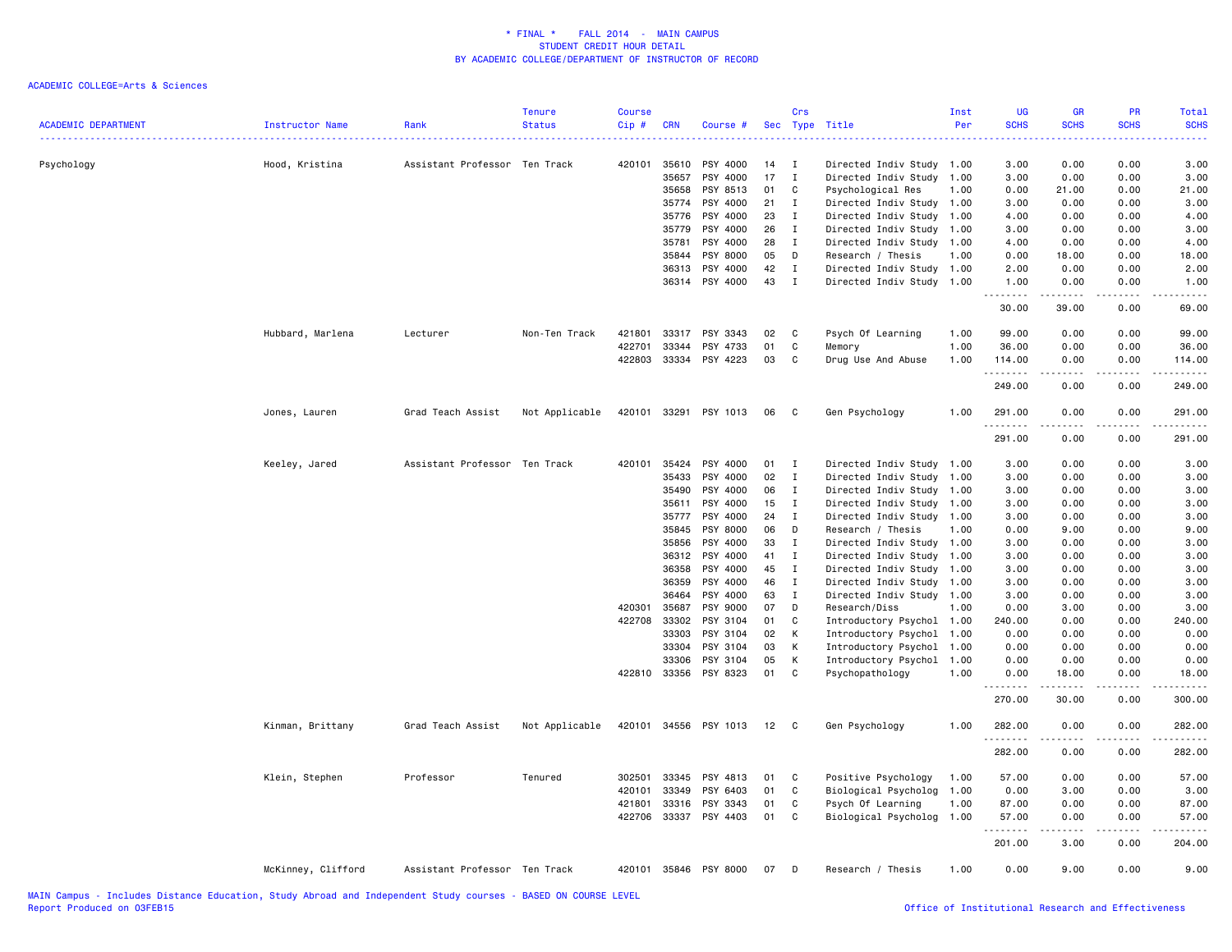| <b>ACADEMIC DEPARTMENT</b> | <b>Instructor Name</b> | Rank                          | <b>Tenure</b><br><b>Status</b> | <b>Course</b><br>Cip# | <b>CRN</b>     | Course #              | Sec | Crs<br>Type  | Title                     | Inst<br>Per | <b>UG</b><br><b>SCHS</b><br>$\frac{1}{2} \left( \frac{1}{2} \right) \left( \frac{1}{2} \right) \left( \frac{1}{2} \right)$ | GR<br><b>SCHS</b>                                                                                                                                            | PR<br><b>SCHS</b> | Total<br><b>SCHS</b>                                                                                                                |
|----------------------------|------------------------|-------------------------------|--------------------------------|-----------------------|----------------|-----------------------|-----|--------------|---------------------------|-------------|----------------------------------------------------------------------------------------------------------------------------|--------------------------------------------------------------------------------------------------------------------------------------------------------------|-------------------|-------------------------------------------------------------------------------------------------------------------------------------|
| Psychology                 | Hood, Kristina         | Assistant Professor Ten Track |                                | 420101                | 35610          | PSY 4000              | 14  | $\mathbf I$  | Directed Indiv Study 1.00 |             | 3.00                                                                                                                       | 0.00                                                                                                                                                         | 0.00              | 3.00                                                                                                                                |
|                            |                        |                               |                                |                       | 35657          | PSY 4000              | 17  | $\mathbf I$  | Directed Indiv Study 1.00 |             | 3.00                                                                                                                       | 0.00                                                                                                                                                         | 0.00              | 3.00                                                                                                                                |
|                            |                        |                               |                                |                       | 35658          | PSY 8513              | 01  | C            | Psychological Res         | 1.00        | 0.00                                                                                                                       | 21.00                                                                                                                                                        | 0.00              | 21.00                                                                                                                               |
|                            |                        |                               |                                |                       | 35774          | PSY 4000              | 21  | I            | Directed Indiv Study 1.00 |             | 3.00                                                                                                                       | 0.00                                                                                                                                                         | 0.00              | 3.00                                                                                                                                |
|                            |                        |                               |                                |                       | 35776          | PSY 4000              | 23  | I            | Directed Indiv Study      | 1.00        | 4.00                                                                                                                       | 0.00                                                                                                                                                         | 0.00              | 4.00                                                                                                                                |
|                            |                        |                               |                                |                       | 35779          | PSY 4000              | 26  | I            | Directed Indiv Study 1.00 |             | 3.00                                                                                                                       | 0.00                                                                                                                                                         | 0.00              | 3.00                                                                                                                                |
|                            |                        |                               |                                |                       | 35781          | PSY 4000              | 28  | $\mathbf I$  | Directed Indiv Study      | 1.00        | 4.00                                                                                                                       | 0.00                                                                                                                                                         | 0.00              | 4.00                                                                                                                                |
|                            |                        |                               |                                |                       | 35844          | PSY 8000              | 05  | D            | Research / Thesis         | 1.00        | 0.00                                                                                                                       | 18.00                                                                                                                                                        | 0.00              | 18.00                                                                                                                               |
|                            |                        |                               |                                |                       | 36313          | PSY 4000              | 42  | $\bf{I}$     | Directed Indiv Study      | 1.00        | 2.00                                                                                                                       | 0.00                                                                                                                                                         | 0.00              | 2.00                                                                                                                                |
|                            |                        |                               |                                |                       | 36314          | PSY 4000              | 43  | $\mathbf{I}$ | Directed Indiv Study 1.00 |             | 1.00<br>.                                                                                                                  | 0.00<br>$\frac{1}{2} \left( \frac{1}{2} \right) \left( \frac{1}{2} \right) \left( \frac{1}{2} \right) \left( \frac{1}{2} \right) \left( \frac{1}{2} \right)$ | 0.00<br>.         | 1.00<br>د د د د د                                                                                                                   |
|                            |                        |                               |                                |                       |                |                       |     |              |                           |             | 30.00                                                                                                                      | 39.00                                                                                                                                                        | 0.00              | 69.00                                                                                                                               |
|                            | Hubbard, Marlena       | Lecturer                      | Non-Ten Track                  | 421801                | 33317          | PSY 3343              | 02  | C            | Psych Of Learning         | 1.00        | 99.00                                                                                                                      | 0.00                                                                                                                                                         | 0.00              | 99.00                                                                                                                               |
|                            |                        |                               |                                | 422701                | 33344          | PSY 4733              | 01  | C            | Memory                    | 1.00        | 36.00                                                                                                                      | 0.00                                                                                                                                                         | 0.00              | 36.00                                                                                                                               |
|                            |                        |                               |                                | 422803                | 33334          | PSY 4223              | 03  | C            | Drug Use And Abuse        | 1.00        | 114.00                                                                                                                     | 0.00                                                                                                                                                         | 0.00              | 114.00                                                                                                                              |
|                            |                        |                               |                                |                       |                |                       |     |              |                           |             | .<br>249.00                                                                                                                | .<br>0.00                                                                                                                                                    | بالأباد<br>0.00   | .<br>249.00                                                                                                                         |
|                            | Jones, Lauren          | Grad Teach Assist             | Not Applicable                 | 420101                | 33291          | PSY 1013              | 06  | C            | Gen Psychology            | 1.00        | 291.00                                                                                                                     | 0.00                                                                                                                                                         | 0.00              | 291.00                                                                                                                              |
|                            |                        |                               |                                |                       |                |                       |     |              |                           |             | .                                                                                                                          |                                                                                                                                                              | لأعاجب            |                                                                                                                                     |
|                            |                        |                               |                                |                       |                |                       |     |              |                           |             | 291.00                                                                                                                     | 0.00                                                                                                                                                         | 0.00              | 291.00                                                                                                                              |
|                            | Keeley, Jared          | Assistant Professor           | Ten Track                      | 420101                | 35424          | PSY 4000              | 01  | $\mathbf{I}$ | Directed Indiv Study 1.00 |             | 3.00                                                                                                                       | 0.00                                                                                                                                                         | 0.00              | 3.00                                                                                                                                |
|                            |                        |                               |                                |                       | 35433          | PSY 4000              | 02  | I            | Directed Indiv Study      | 1.00        | 3.00                                                                                                                       | 0.00                                                                                                                                                         | 0.00              | 3.00                                                                                                                                |
|                            |                        |                               |                                |                       | 35490          | PSY 4000              | 06  | $\mathbf{I}$ | Directed Indiv Study 1.00 |             | 3.00                                                                                                                       | 0.00                                                                                                                                                         | 0.00              | 3.00                                                                                                                                |
|                            |                        |                               |                                |                       | 35611          | PSY 4000              | 15  | $\mathbf{I}$ | Directed Indiv Study 1.00 |             | 3.00                                                                                                                       | 0.00                                                                                                                                                         | 0.00              | 3.00                                                                                                                                |
|                            |                        |                               |                                |                       | 35777          | PSY 4000              | 24  | $\mathbf{I}$ | Directed Indiv Study 1.00 |             | 3.00                                                                                                                       | 0.00                                                                                                                                                         | 0.00              | 3.00                                                                                                                                |
|                            |                        |                               |                                |                       | 35845          | PSY 8000              | 06  | D            | Research / Thesis         | 1.00        | 0.00                                                                                                                       | 9.00                                                                                                                                                         | 0.00              | 9.00                                                                                                                                |
|                            |                        |                               |                                |                       | 35856          | PSY 4000              | 33  | I            | Directed Indiv Study 1.00 |             | 3.00                                                                                                                       | 0.00                                                                                                                                                         | 0.00              | 3.00                                                                                                                                |
|                            |                        |                               |                                |                       | 36312          | PSY 4000              | 41  | $\mathbf{I}$ | Directed Indiv Study 1.00 |             | 3.00                                                                                                                       | 0.00                                                                                                                                                         | 0.00              | 3.00                                                                                                                                |
|                            |                        |                               |                                |                       | 36358          | PSY 4000              | 45  | $\mathbf{I}$ | Directed Indiv Study 1.00 |             | 3.00                                                                                                                       | 0.00                                                                                                                                                         | 0.00              | 3.00                                                                                                                                |
|                            |                        |                               |                                |                       | 36359          | PSY 4000              | 46  | $\mathbf{I}$ | Directed Indiv Study 1.00 |             | 3.00                                                                                                                       | 0.00                                                                                                                                                         | 0.00              | 3.00                                                                                                                                |
|                            |                        |                               |                                |                       | 36464          | PSY 4000              | 63  | $\mathbf{I}$ | Directed Indiv Study 1.00 |             | 3.00                                                                                                                       | 0.00                                                                                                                                                         | 0.00              | 3.00                                                                                                                                |
|                            |                        |                               |                                | 420301                | 35687          | PSY 9000              | 07  | D            | Research/Diss             | 1.00        | 0.00                                                                                                                       | 3.00                                                                                                                                                         | 0.00              | 3.00                                                                                                                                |
|                            |                        |                               |                                | 422708                | 33302          | PSY 3104              | 01  | C            | Introductory Psychol 1.00 |             | 240.00                                                                                                                     | 0.00                                                                                                                                                         | 0.00              | 240.00                                                                                                                              |
|                            |                        |                               |                                |                       | 33303          | PSY 3104              | 02  | К            | Introductory Psychol 1.00 |             | 0.00                                                                                                                       | 0.00                                                                                                                                                         | 0.00              | 0.00                                                                                                                                |
|                            |                        |                               |                                |                       | 33304          | PSY 3104              | 03  | К            | Introductory Psychol 1.00 |             | 0.00                                                                                                                       | 0.00                                                                                                                                                         | 0.00              | 0.00                                                                                                                                |
|                            |                        |                               |                                |                       | 33306          | PSY 3104              | 05  | К            | Introductory Psychol 1.00 |             | 0.00                                                                                                                       | 0.00                                                                                                                                                         | 0.00              | 0.00                                                                                                                                |
|                            |                        |                               |                                | 422810 33356          |                | PSY 8323              | 01  | C            | Psychopathology           | 1.00        | 0.00                                                                                                                       | 18.00<br>.                                                                                                                                                   | 0.00<br>.         | 18.00<br>.                                                                                                                          |
|                            |                        |                               |                                |                       |                |                       |     |              |                           |             | .<br>270.00                                                                                                                | 30.00                                                                                                                                                        | 0.00              | 300.00                                                                                                                              |
|                            | Kinman, Brittany       | Grad Teach Assist             | Not Applicable                 | 420101                | 34556          | PSY 1013              | 12  | C.           | Gen Psychology            | 1.00        | 282.00                                                                                                                     | 0.00                                                                                                                                                         | 0.00              | 282.00                                                                                                                              |
|                            |                        |                               |                                |                       |                |                       |     |              |                           |             | .<br>282.00                                                                                                                | .<br>0.00                                                                                                                                                    | د د د د<br>0.00   | $\begin{array}{cccccccccccccc} \bullet & \bullet & \bullet & \bullet & \bullet & \bullet & \bullet & \bullet \end{array}$<br>282.00 |
|                            |                        |                               |                                |                       | 33345          |                       |     |              |                           |             |                                                                                                                            |                                                                                                                                                              |                   |                                                                                                                                     |
|                            | Klein, Stephen         | Professor                     | Tenured                        | 302501                |                | PSY 4813              | 01  | C            | Positive Psychology       | 1.00        | 57.00                                                                                                                      | 0.00                                                                                                                                                         | 0.00              | 57.00                                                                                                                               |
|                            |                        |                               |                                | 420101                | 33349<br>33316 | PSY 6403              | 01  | C            | Biological Psycholog 1.00 |             | 0.00                                                                                                                       | 3.00                                                                                                                                                         | 0.00              | 3.00                                                                                                                                |
|                            |                        |                               |                                | 421801                |                | PSY 3343              | 01  | C<br>C       | Psych Of Learning         | 1.00        | 87.00                                                                                                                      | 0.00                                                                                                                                                         | 0.00              | 87.00                                                                                                                               |
|                            |                        |                               |                                |                       |                | 422706 33337 PSY 4403 | 01  |              | Biological Psycholog 1.00 |             | 57.00<br>.                                                                                                                 | 0.00<br>$    -$                                                                                                                                              | 0.00<br>.         | 57.00<br>.                                                                                                                          |
|                            |                        |                               |                                |                       |                |                       |     |              |                           |             | 201.00                                                                                                                     | 3.00                                                                                                                                                         | 0.00              | 204.00                                                                                                                              |
|                            | McKinney, Clifford     | Assistant Professor Ten Track |                                |                       |                | 420101 35846 PSY 8000 | 07  | D            | Research / Thesis         | 1.00        | 0.00                                                                                                                       | 9.00                                                                                                                                                         | 0.00              | 9.00                                                                                                                                |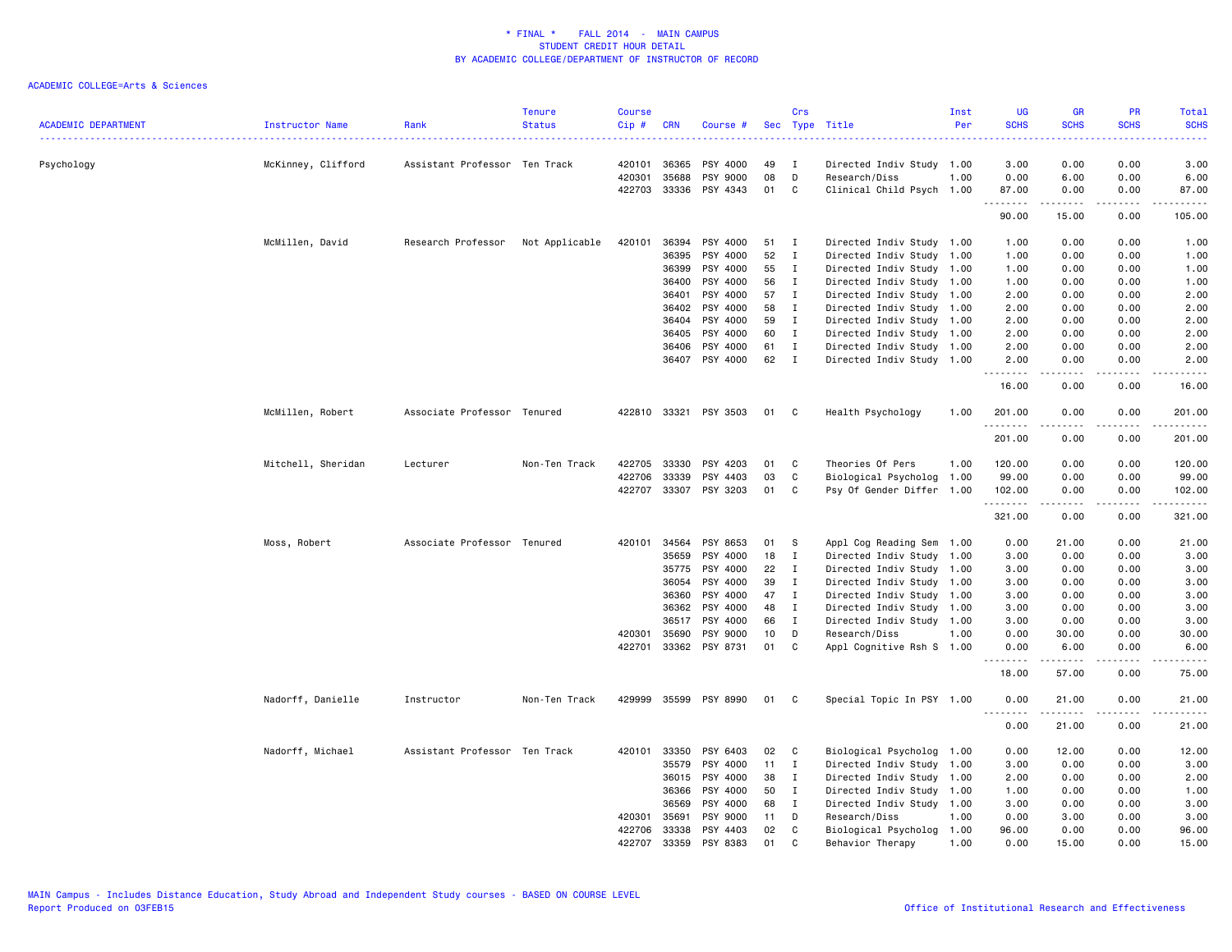|                            |                    |                               | <b>Tenure</b>  | <b>Course</b>    |                |                            |          | Crs          |                                            | Inst | <b>UG</b>                                         | <b>GR</b>                                                                                                                                            | PR                                  | Total                                                                                                                                                                                                                                                                                                                                                                                                                                                                                            |
|----------------------------|--------------------|-------------------------------|----------------|------------------|----------------|----------------------------|----------|--------------|--------------------------------------------|------|---------------------------------------------------|------------------------------------------------------------------------------------------------------------------------------------------------------|-------------------------------------|--------------------------------------------------------------------------------------------------------------------------------------------------------------------------------------------------------------------------------------------------------------------------------------------------------------------------------------------------------------------------------------------------------------------------------------------------------------------------------------------------|
| <b>ACADEMIC DEPARTMENT</b> | Instructor Name    | Rank                          | <b>Status</b>  | Cip #            | <b>CRN</b>     | Course #                   |          |              | Sec Type Title                             | Per  | <b>SCHS</b><br>$\sim$ $\sim$ $\sim$ $\sim$ $\sim$ | <b>SCHS</b>                                                                                                                                          | <b>SCHS</b><br>.                    | <b>SCHS</b><br>.                                                                                                                                                                                                                                                                                                                                                                                                                                                                                 |
| Psychology                 | McKinney, Clifford | Assistant Professor Ten Track |                | 420101           | 36365          | PSY 4000                   | 49       | <b>I</b>     | Directed Indiv Study 1.00                  |      | 3.00                                              | 0.00                                                                                                                                                 | 0.00                                | 3.00                                                                                                                                                                                                                                                                                                                                                                                                                                                                                             |
|                            |                    |                               |                | 420301           | 35688          | PSY 9000                   | 08       | D            | Research/Diss                              | 1.00 | 0.00                                              | 6.00                                                                                                                                                 | 0.00                                | 6.00                                                                                                                                                                                                                                                                                                                                                                                                                                                                                             |
|                            |                    |                               |                |                  | 422703 33336   | PSY 4343                   | 01       | C            | Clinical Child Psych 1.00                  |      | 87.00                                             | 0.00                                                                                                                                                 | 0.00                                | 87.00                                                                                                                                                                                                                                                                                                                                                                                                                                                                                            |
|                            |                    |                               |                |                  |                |                            |          |              |                                            |      | .<br>90.00                                        | $- - - - -$<br>15.00                                                                                                                                 | $\sim$ $\sim$ $\sim$ $\sim$<br>0.00 | .<br>105.00                                                                                                                                                                                                                                                                                                                                                                                                                                                                                      |
|                            | McMillen, David    | Research Professor            | Not Applicable | 420101           | 36394          | PSY 4000                   | 51       | I            | Directed Indiv Study 1.00                  |      | 1.00                                              | 0.00                                                                                                                                                 | 0.00                                | 1.00                                                                                                                                                                                                                                                                                                                                                                                                                                                                                             |
|                            |                    |                               |                |                  | 36395          | PSY 4000                   | 52       | $\mathbf{I}$ | Directed Indiv Study 1.00                  |      | 1.00                                              | 0.00                                                                                                                                                 | 0.00                                | 1.00                                                                                                                                                                                                                                                                                                                                                                                                                                                                                             |
|                            |                    |                               |                |                  | 36399          | PSY 4000                   | 55       | $\bf{I}$     | Directed Indiv Study 1.00                  |      | 1.00                                              | 0.00                                                                                                                                                 | 0.00                                | 1.00                                                                                                                                                                                                                                                                                                                                                                                                                                                                                             |
|                            |                    |                               |                |                  | 36400          | PSY 4000                   | 56       | $\mathbf{I}$ | Directed Indiv Study 1.00                  |      | 1.00                                              | 0.00                                                                                                                                                 | 0.00                                | 1.00                                                                                                                                                                                                                                                                                                                                                                                                                                                                                             |
|                            |                    |                               |                |                  | 36401          | PSY 4000                   | 57       | $\mathbf{I}$ | Directed Indiv Study 1.00                  |      | 2.00                                              | 0.00                                                                                                                                                 | 0.00                                | 2.00                                                                                                                                                                                                                                                                                                                                                                                                                                                                                             |
|                            |                    |                               |                |                  | 36402          | PSY 4000                   | 58       | $\mathbf{I}$ | Directed Indiv Study 1.00                  |      | 2.00                                              | 0.00                                                                                                                                                 | 0.00                                | 2.00                                                                                                                                                                                                                                                                                                                                                                                                                                                                                             |
|                            |                    |                               |                |                  | 36404          | PSY 4000                   | 59       | $\mathbf{I}$ | Directed Indiv Study 1.00                  |      | 2.00                                              | 0.00                                                                                                                                                 | 0.00                                | 2.00                                                                                                                                                                                                                                                                                                                                                                                                                                                                                             |
|                            |                    |                               |                |                  | 36405          | PSY 4000                   | 60       | $\mathbf{I}$ | Directed Indiv Study 1.00                  |      | 2.00                                              | 0.00                                                                                                                                                 | 0.00                                | 2.00                                                                                                                                                                                                                                                                                                                                                                                                                                                                                             |
|                            |                    |                               |                |                  | 36406          | PSY 4000                   | 61       | $\mathbf{I}$ | Directed Indiv Study 1.00                  |      | 2.00                                              | 0.00                                                                                                                                                 | 0.00                                | 2.00                                                                                                                                                                                                                                                                                                                                                                                                                                                                                             |
|                            |                    |                               |                |                  | 36407          | PSY 4000                   | 62       | $\mathbf{I}$ | Directed Indiv Study 1.00                  |      | 2.00<br>.                                         | 0.00                                                                                                                                                 | 0.00<br>$\sim$ $\sim$ $\sim$        | 2.00<br>$\frac{1}{2} \left( \frac{1}{2} \right) \left( \frac{1}{2} \right) \left( \frac{1}{2} \right) \left( \frac{1}{2} \right)$                                                                                                                                                                                                                                                                                                                                                                |
|                            |                    |                               |                |                  |                |                            |          |              |                                            |      | 16.00                                             | 0.00                                                                                                                                                 | 0.00                                | 16.00                                                                                                                                                                                                                                                                                                                                                                                                                                                                                            |
|                            | McMillen, Robert   | Associate Professor Tenured   |                |                  | 422810 33321   | PSY 3503                   | 01       | C            | Health Psychology                          | 1.00 | 201.00<br>. <b>.</b>                              | 0.00                                                                                                                                                 | 0.00                                | 201.00<br>$\begin{array}{cccccccccccccc} \multicolumn{2}{c}{} & \multicolumn{2}{c}{} & \multicolumn{2}{c}{} & \multicolumn{2}{c}{} & \multicolumn{2}{c}{} & \multicolumn{2}{c}{} & \multicolumn{2}{c}{} & \multicolumn{2}{c}{} & \multicolumn{2}{c}{} & \multicolumn{2}{c}{} & \multicolumn{2}{c}{} & \multicolumn{2}{c}{} & \multicolumn{2}{c}{} & \multicolumn{2}{c}{} & \multicolumn{2}{c}{} & \multicolumn{2}{c}{} & \multicolumn{2}{c}{} & \multicolumn{2}{c}{} & \multicolumn{2}{c}{} & \$ |
|                            |                    |                               |                |                  |                |                            |          |              |                                            |      | 201.00                                            | 0.00                                                                                                                                                 | 0.00                                | 201.00                                                                                                                                                                                                                                                                                                                                                                                                                                                                                           |
|                            | Mitchell, Sheridan | Lecturer                      | Non-Ten Track  | 422705           | 33330          | PSY 4203                   | 01       | C            | Theories Of Pers                           | 1.00 | 120.00                                            | 0.00                                                                                                                                                 | 0.00                                | 120.00                                                                                                                                                                                                                                                                                                                                                                                                                                                                                           |
|                            |                    |                               |                | 422706           | 33339          | PSY 4403                   | 03       | C            | Biological Psycholog 1.00                  |      | 99.00                                             | 0.00                                                                                                                                                 | 0.00                                | 99.00                                                                                                                                                                                                                                                                                                                                                                                                                                                                                            |
|                            |                    |                               |                |                  |                | 422707 33307 PSY 3203      | 01       | C            | Psy Of Gender Differ 1.00                  |      | 102.00<br>. <b>.</b>                              | 0.00<br>$- - - - -$                                                                                                                                  | 0.00<br>.                           | 102.00                                                                                                                                                                                                                                                                                                                                                                                                                                                                                           |
|                            |                    |                               |                |                  |                |                            |          |              |                                            |      | 321.00                                            | 0.00                                                                                                                                                 | 0.00                                | 321.00                                                                                                                                                                                                                                                                                                                                                                                                                                                                                           |
|                            | Moss, Robert       | Associate Professor Tenured   |                | 420101           | 34564          | PSY 8653                   | 01       | s            | Appl Cog Reading Sem 1.00                  |      | 0.00                                              | 21.00                                                                                                                                                | 0.00                                | 21.00                                                                                                                                                                                                                                                                                                                                                                                                                                                                                            |
|                            |                    |                               |                |                  | 35659          | PSY 4000                   | 18       | $\mathbf{I}$ | Directed Indiv Study 1.00                  |      | 3.00                                              | 0.00                                                                                                                                                 | 0.00                                | 3.00                                                                                                                                                                                                                                                                                                                                                                                                                                                                                             |
|                            |                    |                               |                |                  | 35775          | PSY 4000                   | 22       | $\mathbf{I}$ | Directed Indiv Study 1.00                  |      | 3.00                                              | 0.00                                                                                                                                                 | 0.00                                | 3.00                                                                                                                                                                                                                                                                                                                                                                                                                                                                                             |
|                            |                    |                               |                |                  | 36054          | PSY 4000                   | 39       | $\mathbf{I}$ | Directed Indiv Study 1.00                  |      | 3.00                                              | 0.00                                                                                                                                                 | 0.00                                | 3.00                                                                                                                                                                                                                                                                                                                                                                                                                                                                                             |
|                            |                    |                               |                |                  | 36360          | PSY 4000                   | 47       | $\mathbf{I}$ | Directed Indiv Study 1.00                  |      | 3.00                                              | 0.00                                                                                                                                                 | 0.00                                | 3.00                                                                                                                                                                                                                                                                                                                                                                                                                                                                                             |
|                            |                    |                               |                |                  | 36362          | PSY 4000                   | 48       | $\mathbf{I}$ | Directed Indiv Study 1.00                  |      | 3.00                                              | 0.00                                                                                                                                                 | 0.00                                | 3.00                                                                                                                                                                                                                                                                                                                                                                                                                                                                                             |
|                            |                    |                               |                |                  | 36517          | PSY 4000                   | 66       | $\mathbf{I}$ | Directed Indiv Study 1.00                  |      | 3.00                                              | 0.00                                                                                                                                                 | 0.00                                | 3.00                                                                                                                                                                                                                                                                                                                                                                                                                                                                                             |
|                            |                    |                               |                | 420301<br>422701 | 35690          | PSY 9000<br>33362 PSY 8731 | 10<br>01 | D<br>C       | Research/Diss<br>Appl Cognitive Rsh S 1.00 | 1.00 | 0.00<br>0.00                                      | 30.00<br>6.00                                                                                                                                        | 0.00<br>0.00                        | 30.00<br>6.00                                                                                                                                                                                                                                                                                                                                                                                                                                                                                    |
|                            |                    |                               |                |                  |                |                            |          |              |                                            |      | .                                                 | $\frac{1}{2} \left( \frac{1}{2} \right) \left( \frac{1}{2} \right) \left( \frac{1}{2} \right) \left( \frac{1}{2} \right) \left( \frac{1}{2} \right)$ | $\frac{1}{2}$                       | -----                                                                                                                                                                                                                                                                                                                                                                                                                                                                                            |
|                            |                    |                               |                |                  |                |                            |          |              |                                            |      | 18.00                                             | 57.00                                                                                                                                                | 0.00                                | 75.00                                                                                                                                                                                                                                                                                                                                                                                                                                                                                            |
|                            | Nadorff, Danielle  | Instructor                    | Non-Ten Track  |                  |                | 429999 35599 PSY 8990      | 01       | C.           | Special Topic In PSY 1.00                  |      | 0.00<br><u>.</u>                                  | 21.00                                                                                                                                                | 0.00                                | 21.00<br>$\frac{1}{2}$                                                                                                                                                                                                                                                                                                                                                                                                                                                                           |
|                            |                    |                               |                |                  |                |                            |          |              |                                            |      | 0.00                                              | 21.00                                                                                                                                                | 0.00                                | 21.00                                                                                                                                                                                                                                                                                                                                                                                                                                                                                            |
|                            | Nadorff, Michael   | Assistant Professor Ten Track |                | 420101           | 33350          | PSY 6403                   | 02       | C            | Biological Psycholog 1.00                  |      | 0.00                                              | 12.00                                                                                                                                                | 0.00                                | 12.00                                                                                                                                                                                                                                                                                                                                                                                                                                                                                            |
|                            |                    |                               |                |                  | 35579          | PSY 4000                   | 11       | $\mathbf{I}$ | Directed Indiv Study 1.00                  |      | 3.00                                              | 0.00                                                                                                                                                 | 0.00                                | 3.00                                                                                                                                                                                                                                                                                                                                                                                                                                                                                             |
|                            |                    |                               |                |                  | 36015          | PSY 4000                   | 38       | $\mathbf{I}$ | Directed Indiv Study 1.00                  |      | 2.00                                              | 0.00                                                                                                                                                 | 0.00                                | 2.00                                                                                                                                                                                                                                                                                                                                                                                                                                                                                             |
|                            |                    |                               |                |                  | 36366          | PSY 4000                   | 50       | $\mathbf{I}$ | Directed Indiv Study 1.00                  |      | 1.00                                              | 0.00                                                                                                                                                 | 0.00                                | 1.00                                                                                                                                                                                                                                                                                                                                                                                                                                                                                             |
|                            |                    |                               |                |                  | 36569          | PSY 4000                   | 68       | $\mathbf{I}$ | Directed Indiv Study 1.00                  |      | 3.00                                              | 0.00                                                                                                                                                 | 0.00                                | 3.00                                                                                                                                                                                                                                                                                                                                                                                                                                                                                             |
|                            |                    |                               |                | 420301           | 35691          | PSY 9000                   | 11       | D            | Research/Diss                              | 1.00 | 0.00                                              | 3.00                                                                                                                                                 | 0.00                                | 3.00                                                                                                                                                                                                                                                                                                                                                                                                                                                                                             |
|                            |                    |                               |                | 422706<br>422707 | 33338<br>33359 | PSY 4403<br>PSY 8383       | 02<br>01 | C<br>C       | Biological Psycholog 1.00                  | 1.00 | 96.00<br>0.00                                     | 0.00<br>15.00                                                                                                                                        | 0.00<br>0.00                        | 96.00<br>15.00                                                                                                                                                                                                                                                                                                                                                                                                                                                                                   |
|                            |                    |                               |                |                  |                |                            |          |              | Behavior Therapy                           |      |                                                   |                                                                                                                                                      |                                     |                                                                                                                                                                                                                                                                                                                                                                                                                                                                                                  |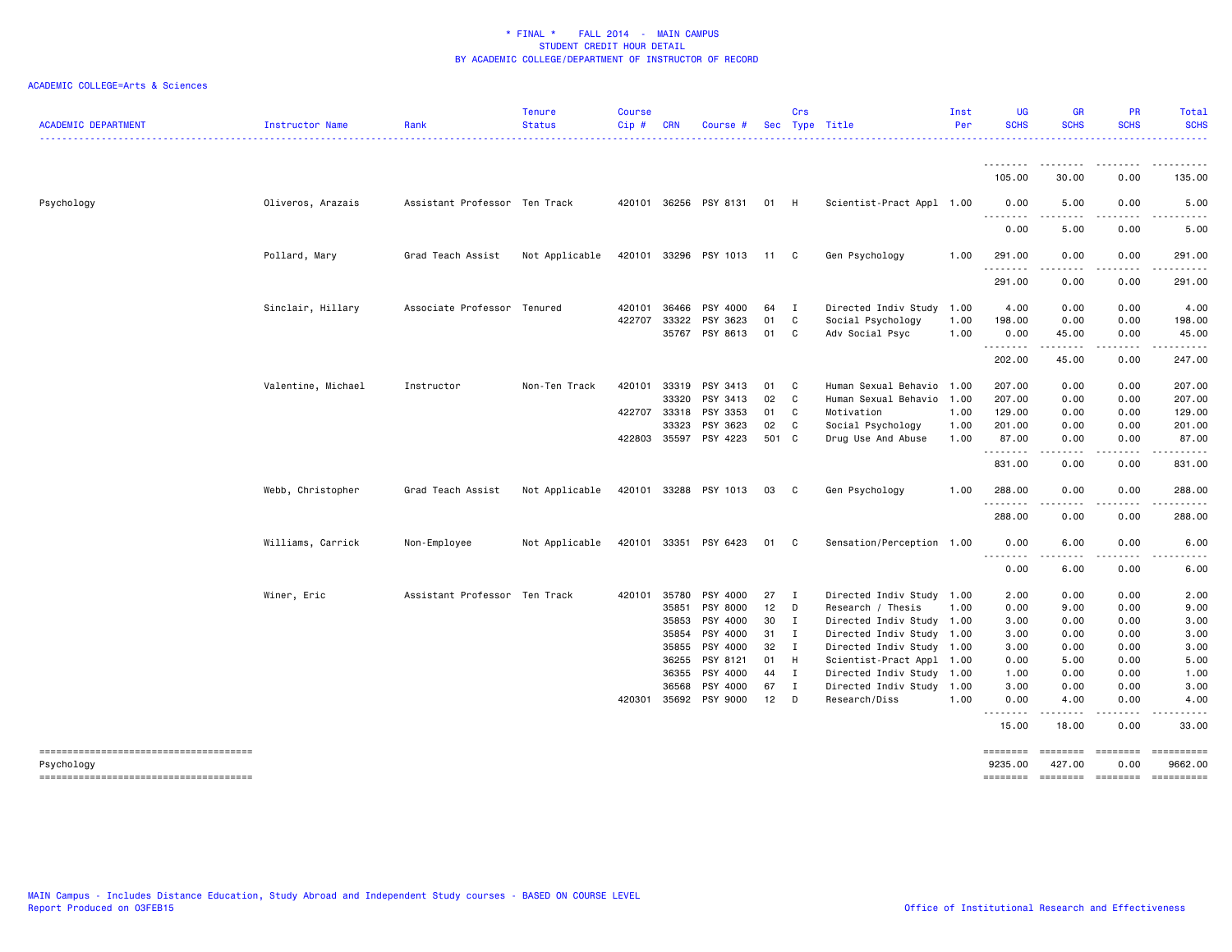| <b>ACADEMIC DEPARTMENT</b>                           | Instructor Name    | Rank                          | <b>Tenure</b><br><b>Status</b> | Course<br>Cip# | <b>CRN</b>   | Course #              |       | Crs          | Sec Type Title            | Inst<br>Per | <b>UG</b><br><b>SCHS</b> | <b>GR</b><br><b>SCHS</b>                                                                                                          | PR<br><b>SCHS</b>       | <b>Total</b><br><b>SCHS</b>                                                                                                                                                               |
|------------------------------------------------------|--------------------|-------------------------------|--------------------------------|----------------|--------------|-----------------------|-------|--------------|---------------------------|-------------|--------------------------|-----------------------------------------------------------------------------------------------------------------------------------|-------------------------|-------------------------------------------------------------------------------------------------------------------------------------------------------------------------------------------|
|                                                      |                    |                               |                                |                |              |                       |       |              |                           |             | --------                 | .                                                                                                                                 | -----                   | .                                                                                                                                                                                         |
|                                                      |                    |                               |                                |                |              |                       |       |              |                           |             | 105.00                   | 30.00                                                                                                                             | 0.00                    | 135.00                                                                                                                                                                                    |
| Psychology                                           | Oliveros, Arazais  | Assistant Professor Ten Track |                                |                |              | 420101 36256 PSY 8131 | 01 H  |              | Scientist-Pract Appl 1.00 |             | 0.00<br>--------         | 5.00<br>$\frac{1}{2} \left( \frac{1}{2} \right) \left( \frac{1}{2} \right) \left( \frac{1}{2} \right) \left( \frac{1}{2} \right)$ | 0.00<br>.               | 5.00                                                                                                                                                                                      |
|                                                      |                    |                               |                                |                |              |                       |       |              |                           |             | 0.00                     | 5.00                                                                                                                              | 0.00                    | 5.00                                                                                                                                                                                      |
|                                                      | Pollard, Mary      | Grad Teach Assist             | Not Applicable                 |                |              | 420101 33296 PSY 1013 | 11    | C.           | Gen Psychology            | 1.00        | 291.00<br>.              | 0.00<br>.                                                                                                                         | 0.00<br>.               | 291.00<br>$\frac{1}{2} \left( \frac{1}{2} \right) \left( \frac{1}{2} \right) \left( \frac{1}{2} \right) \left( \frac{1}{2} \right) \left( \frac{1}{2} \right) \left( \frac{1}{2} \right)$ |
|                                                      |                    |                               |                                |                |              |                       |       |              |                           |             | 291.00                   | 0.00                                                                                                                              | 0.00                    | 291.00                                                                                                                                                                                    |
|                                                      | Sinclair, Hillary  | Associate Professor Tenured   |                                | 420101         | 36466        | PSY 4000              | 64    | $\mathbf{I}$ | Directed Indiv Study      | 1.00        | 4.00                     | 0.00                                                                                                                              | 0.00                    | 4.00                                                                                                                                                                                      |
|                                                      |                    |                               |                                | 422707         | 33322        | PSY 3623              | 01    | C            | Social Psychology         | 1.00        | 198.00                   | 0.00                                                                                                                              | 0.00                    | 198.00                                                                                                                                                                                    |
|                                                      |                    |                               |                                |                | 35767        | PSY 8613              | 01    | C            | Adv Social Psyc           | 1.00        | 0.00<br>. <b>.</b>       | 45.00<br>.                                                                                                                        | 0.00                    | 45.00                                                                                                                                                                                     |
|                                                      |                    |                               |                                |                |              |                       |       |              |                           |             | 202.00                   | 45.00                                                                                                                             | 0.00                    | 247.00                                                                                                                                                                                    |
|                                                      | Valentine, Michael | Instructor                    | Non-Ten Track                  | 420101         | 33319        | PSY 3413              | 01 C  |              | Human Sexual Behavio      | 1.00        | 207.00                   | 0.00                                                                                                                              | 0.00                    | 207.00                                                                                                                                                                                    |
|                                                      |                    |                               |                                |                | 33320        | PSY 3413              | 02    | C            | Human Sexual Behavio      | 1.00        | 207.00                   | 0.00                                                                                                                              | 0.00                    | 207.00                                                                                                                                                                                    |
|                                                      |                    |                               |                                |                | 422707 33318 | PSY 3353              | 01    | C            | Motivation                | 1.00        | 129.00                   | 0.00                                                                                                                              | 0.00                    | 129.00                                                                                                                                                                                    |
|                                                      |                    |                               |                                |                | 33323        | PSY 3623              | 02    | C            | Social Psychology         | 1.00        | 201.00                   | 0.00                                                                                                                              | 0.00                    | 201.00                                                                                                                                                                                    |
|                                                      |                    |                               |                                |                |              | 422803 35597 PSY 4223 | 501 C |              | Drug Use And Abuse        | 1.00        | 87.00                    | 0.00                                                                                                                              | 0.00                    | 87.00                                                                                                                                                                                     |
|                                                      |                    |                               |                                |                |              |                       |       |              |                           |             | <u>.</u><br>831.00       | ----<br>0.00                                                                                                                      | .<br>0.00               | $\frac{1}{2}$<br>831.00                                                                                                                                                                   |
|                                                      | Webb, Christopher  | Grad Teach Assist             | Not Applicable                 |                |              | 420101 33288 PSY 1013 | 03    | C            | Gen Psychology            | 1.00        | 288.00                   | 0.00                                                                                                                              | 0.00                    | 288.00                                                                                                                                                                                    |
|                                                      |                    |                               |                                |                |              |                       |       |              |                           |             | . <b>.</b><br>288.00     | 0.00                                                                                                                              | 0.00                    | 288.00                                                                                                                                                                                    |
|                                                      | Williams, Carrick  | Non-Employee                  | Not Applicable                 |                |              | 420101 33351 PSY 6423 | 01    | C            | Sensation/Perception 1.00 |             | 0.00                     | 6.00                                                                                                                              | 0.00                    | 6.00                                                                                                                                                                                      |
|                                                      |                    |                               |                                |                |              |                       |       |              |                           |             | <u>.</u><br>0.00         | .<br>6.00                                                                                                                         | .<br>0.00               | 6.00                                                                                                                                                                                      |
|                                                      | Winer, Eric        | Assistant Professor Ten Track |                                |                | 420101 35780 | PSY 4000              | 27    | I            | Directed Indiv Study      | 1.00        | 2.00                     | 0.00                                                                                                                              | 0.00                    | 2.00                                                                                                                                                                                      |
|                                                      |                    |                               |                                |                | 35851        | PSY 8000              | 12    | D            | Research / Thesis         | 1.00        | 0.00                     | 9.00                                                                                                                              | 0.00                    | 9.00                                                                                                                                                                                      |
|                                                      |                    |                               |                                |                | 35853        | PSY 4000              | 30    | $\mathbf{I}$ | Directed Indiv Study 1.00 |             | 3.00                     | 0.00                                                                                                                              | 0.00                    | 3.00                                                                                                                                                                                      |
|                                                      |                    |                               |                                |                | 35854        | PSY 4000              | 31    | $\mathbf{I}$ | Directed Indiv Study 1.00 |             | 3.00                     | 0.00                                                                                                                              | 0.00                    | 3.00                                                                                                                                                                                      |
|                                                      |                    |                               |                                |                | 35855        | PSY 4000              | 32    | $\mathbf{I}$ | Directed Indiv Study 1.00 |             | 3.00                     | 0.00                                                                                                                              | 0.00                    | 3.00                                                                                                                                                                                      |
|                                                      |                    |                               |                                |                | 36255        | PSY 8121              | 01    | H            | Scientist-Pract Appl 1.00 |             | 0.00                     | 5.00                                                                                                                              | 0.00                    | 5.00                                                                                                                                                                                      |
|                                                      |                    |                               |                                |                | 36355        | PSY 4000              | 44    | $\mathbf{I}$ | Directed Indiv Study 1.00 |             | 1.00                     | 0.00                                                                                                                              | 0.00                    | 1.00                                                                                                                                                                                      |
|                                                      |                    |                               |                                |                | 36568        | PSY 4000              | 67    | $\mathbf{I}$ | Directed Indiv Study 1.00 |             | 3.00                     | 0.00                                                                                                                              | 0.00                    | 3.00                                                                                                                                                                                      |
|                                                      |                    |                               |                                | 420301         | 35692        | PSY 9000              | 12    | D            | Research/Diss             | 1.00        | 0.00                     | 4.00                                                                                                                              | 0.00                    | 4.00                                                                                                                                                                                      |
|                                                      |                    |                               |                                |                |              |                       |       |              |                           |             | <u>.</u><br>15.00        | 18.00                                                                                                                             | 0.00                    | 33.00                                                                                                                                                                                     |
| --------------------------------------<br>Psychology |                    |                               |                                |                |              |                       |       |              |                           |             | ========<br>9235.00      | ========<br>427.00                                                                                                                | <b>EDESSERS</b><br>0.00 | 9662.00                                                                                                                                                                                   |
| --------------------------------------               |                    |                               |                                |                |              |                       |       |              |                           |             | ========                 | ========                                                                                                                          | ========                | ==========                                                                                                                                                                                |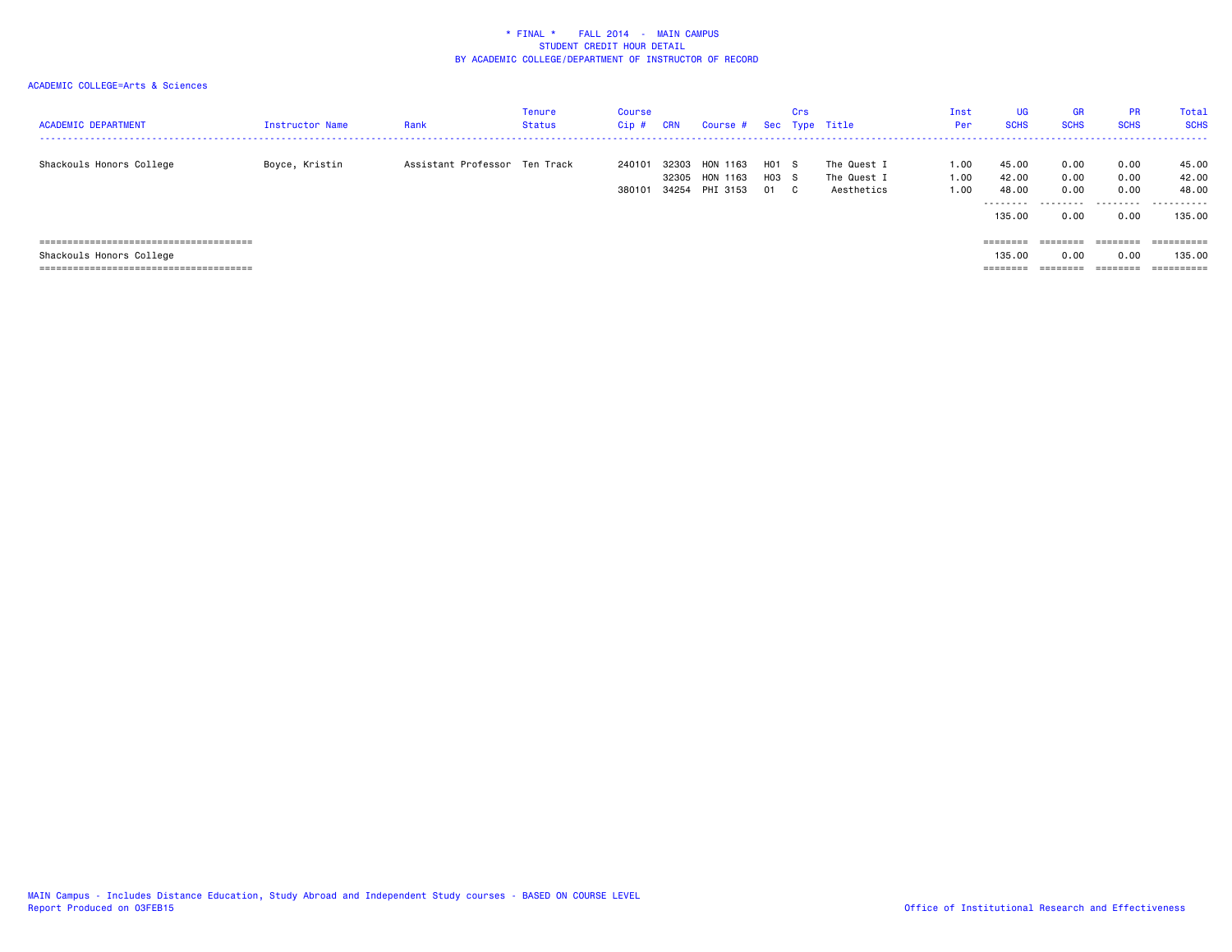| <b>ACADEMIC DEPARTMENT</b> | <b>Instructor Name</b> | Rank                          | Tenure<br>Status | Course<br>Cip#   | CRN   | Course # Sec Type Title                      |                      | Crs             |                                          | Inst<br>Per          | <b>UG</b><br><b>SCHS</b>             | <b>GR</b><br><b>SCHS</b>  | <b>PR</b><br><b>SCHS</b>  | Total<br><b>SCHS</b>         |
|----------------------------|------------------------|-------------------------------|------------------|------------------|-------|----------------------------------------------|----------------------|-----------------|------------------------------------------|----------------------|--------------------------------------|---------------------------|---------------------------|------------------------------|
| Shackouls Honors College   | Boyce, Kristin         | Assistant Professor Ten Track |                  | 240101<br>380101 | 34254 | 32303 HON 1163<br>32305 HON 1163<br>PHI 3153 | H01<br>$H03$ S<br>01 | <b>S</b><br>C . | The Quest I<br>The Quest I<br>Aesthetics | 1.00<br>1.00<br>1.00 | 45.00<br>42.00<br>48.00<br>--------- | 0.00<br>0.00<br>0.00<br>. | 0.00<br>0.00<br>0.00<br>. | 45.00<br>42.00<br>48.00<br>. |
|                            |                        |                               |                  |                  |       |                                              |                      |                 |                                          |                      | 135.00                               | 0.00                      | 0.00                      | 135.00                       |
|                            |                        |                               |                  |                  |       |                                              |                      |                 |                                          |                      | ========                             | ========                  | ========                  |                              |
| Shackouls Honors College   |                        |                               |                  |                  |       |                                              |                      |                 |                                          |                      | 135.00                               | 0.00                      | 0.00                      | 135.00                       |
|                            |                        |                               |                  |                  |       |                                              |                      |                 |                                          |                      |                                      |                           | $=$ = = = = = = =         | ==========                   |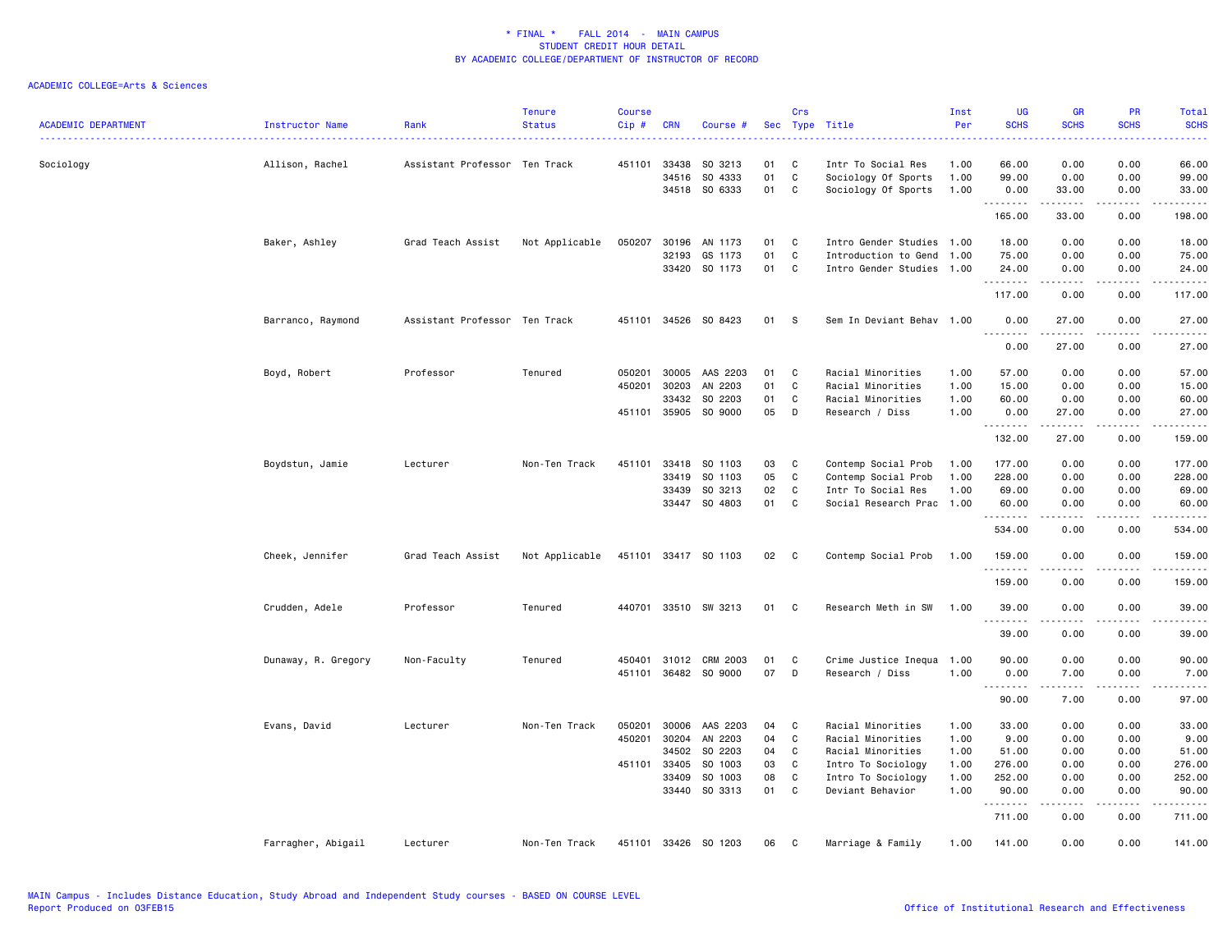| <b>ACADEMIC DEPARTMENT</b> | Instructor Name     | Rank                          | <b>Tenure</b><br><b>Status</b> | <b>Course</b><br>Cip# | <b>CRN</b>              | Course #                      | Sec            | Crs                    | Type Title                                                       | Inst<br>Per          | <b>UG</b><br><b>SCHS</b> | GR<br><b>SCHS</b>                                                                                                                                                                        | PR<br><b>SCHS</b>                   | <b>Total</b><br><b>SCHS</b><br>2222)                                                                                                                         |
|----------------------------|---------------------|-------------------------------|--------------------------------|-----------------------|-------------------------|-------------------------------|----------------|------------------------|------------------------------------------------------------------|----------------------|--------------------------|------------------------------------------------------------------------------------------------------------------------------------------------------------------------------------------|-------------------------------------|--------------------------------------------------------------------------------------------------------------------------------------------------------------|
| Sociology                  | Allison, Rachel     | Assistant Professor Ten Track |                                | 451101                | 33438<br>34516<br>34518 | SO 3213<br>SO 4333<br>SO 6333 | 01<br>01<br>01 | C<br>$\mathbf{C}$<br>C | Intr To Social Res<br>Sociology Of Sports<br>Sociology Of Sports | 1.00<br>1.00<br>1.00 | 66.00<br>99.00<br>0.00   | 0.00<br>0.00<br>33.00                                                                                                                                                                    | 0.00<br>0.00<br>0.00                | 66.00<br>99.00<br>33.00                                                                                                                                      |
|                            |                     |                               |                                |                       |                         |                               |                |                        |                                                                  |                      | .<br>165.00              | المتمامين<br>33.00                                                                                                                                                                       | .<br>0.00                           | .<br>198.00                                                                                                                                                  |
|                            | Baker, Ashley       | Grad Teach Assist             | Not Applicable                 | 050207                | 30196                   | AN 1173<br>GS 1173            | 01<br>01       | C<br>C                 | Intro Gender Studies 1.00<br>Introduction to Gend 1.00           |                      | 18.00<br>75.00           | 0.00                                                                                                                                                                                     | 0.00                                | 18.00                                                                                                                                                        |
|                            |                     |                               |                                |                       | 32193                   | 33420 SO 1173                 | 01             | C                      | Intro Gender Studies 1.00                                        |                      | 24.00<br>.               | 0.00<br>0.00<br>$- - - - -$                                                                                                                                                              | 0.00<br>0.00<br>.                   | 75.00<br>24.00<br>.                                                                                                                                          |
|                            |                     |                               |                                |                       |                         |                               |                |                        |                                                                  |                      | 117.00                   | 0.00                                                                                                                                                                                     | 0.00                                | 117.00                                                                                                                                                       |
|                            | Barranco, Raymond   | Assistant Professor Ten Track |                                | 451101                |                         | 34526 SO 8423                 | 01             | s                      | Sem In Deviant Behav 1.00                                        |                      | 0.00<br>.                | 27.00<br>$\frac{1}{2} \left( \frac{1}{2} \right) \left( \frac{1}{2} \right) \left( \frac{1}{2} \right) \left( \frac{1}{2} \right) \left( \frac{1}{2} \right) \left( \frac{1}{2} \right)$ | 0.00<br>$\sim$ $\sim$ $\sim$ $\sim$ | 27.00<br>.                                                                                                                                                   |
|                            | Boyd, Robert        | Professor                     | Tenured                        | 050201                | 30005                   | AAS 2203                      | 01             | C                      | Racial Minorities                                                | 1.00                 | 0.00<br>57.00            | 27.00<br>0.00                                                                                                                                                                            | 0.00<br>0.00                        | 27.00<br>57.00                                                                                                                                               |
|                            |                     |                               |                                | 450201                | 30203                   | AN 2203                       | 01             | C                      | Racial Minorities                                                | 1.00                 | 15.00                    | 0.00                                                                                                                                                                                     | 0.00                                | 15.00                                                                                                                                                        |
|                            |                     |                               |                                |                       | 33432                   | SO 2203                       | 01             | C                      | Racial Minorities                                                | 1.00                 | 60.00                    | 0.00                                                                                                                                                                                     | 0.00                                | 60.00                                                                                                                                                        |
|                            |                     |                               |                                |                       | 451101 35905            | SO 9000                       | 05             | D                      | Research / Diss                                                  | 1.00                 | 0.00<br>.                | 27.00<br>$\frac{1}{2} \left( \frac{1}{2} \right) \left( \frac{1}{2} \right) \left( \frac{1}{2} \right) \left( \frac{1}{2} \right) \left( \frac{1}{2} \right)$                            | 0.00<br>.                           | 27.00<br>.                                                                                                                                                   |
|                            |                     |                               |                                |                       |                         |                               |                |                        |                                                                  |                      | 132.00                   | 27.00                                                                                                                                                                                    | 0.00                                | 159.00                                                                                                                                                       |
|                            | Boydstun, Jamie     | Lecturer                      | Non-Ten Track                  | 451101                | 33418                   | SO 1103                       | 03             | C                      | Contemp Social Prob                                              | 1.00                 | 177.00                   | 0.00                                                                                                                                                                                     | 0.00                                | 177.00                                                                                                                                                       |
|                            |                     |                               |                                |                       | 33419                   | SO 1103                       | 05             | C                      | Contemp Social Prob                                              | 1.00                 | 228.00                   | 0.00                                                                                                                                                                                     | 0.00                                | 228.00                                                                                                                                                       |
|                            |                     |                               |                                |                       | 33439                   | SO 3213                       | 02             | C                      | Intr To Social Res                                               | 1.00                 | 69.00                    | 0.00                                                                                                                                                                                     | 0.00                                | 69.00                                                                                                                                                        |
|                            |                     |                               |                                |                       | 33447                   | SO 4803                       | 01             | C                      | Social Research Prac 1.00                                        |                      | 60.00<br>.               | 0.00                                                                                                                                                                                     | 0.00<br>$-$ - $-$ -                 | 60.00<br>.                                                                                                                                                   |
|                            |                     |                               |                                |                       |                         |                               |                |                        |                                                                  |                      | 534.00                   | 0.00                                                                                                                                                                                     | 0.00                                | 534.00                                                                                                                                                       |
|                            | Cheek, Jennifer     | Grad Teach Assist             | Not Applicable                 |                       |                         | 451101 33417 SO 1103          | 02             | $\mathbf{C}$           | Contemp Social Prob                                              | 1.00                 | 159.00<br>.              | 0.00<br>.                                                                                                                                                                                | 0.00<br>$\sim$ $\sim$ $\sim$        | 159.00<br>2.2.2.2.2.2                                                                                                                                        |
|                            |                     |                               |                                |                       |                         |                               |                |                        |                                                                  |                      | 159.00                   | 0.00                                                                                                                                                                                     | 0.00                                | 159.00                                                                                                                                                       |
|                            | Crudden, Adele      | Professor                     | Tenured                        | 440701                |                         | 33510 SW 3213                 | 01             | C                      | Research Meth in SW                                              | 1.00                 | 39.00<br>.               | 0.00                                                                                                                                                                                     | 0.00                                | 39.00<br>$- - - - -$                                                                                                                                         |
|                            |                     |                               |                                |                       |                         |                               |                |                        |                                                                  |                      | 39.00                    | 0.00                                                                                                                                                                                     | 0.00                                | 39.00                                                                                                                                                        |
|                            | Dunaway, R. Gregory | Non-Faculty                   | Tenured                        | 450401                |                         | 31012 CRM 2003                | 01             | C                      | Crime Justice Inequa 1.00                                        |                      | 90.00                    | 0.00                                                                                                                                                                                     | 0.00                                | 90.00                                                                                                                                                        |
|                            |                     |                               |                                | 451101                | 36482                   | SO 9000                       | 07             | D                      | Research / Diss                                                  | 1.00                 | 0.00<br>.                | 7.00                                                                                                                                                                                     | 0.00<br>.                           | 7.00<br>$\frac{1}{2} \left( \frac{1}{2} \right) \left( \frac{1}{2} \right) \left( \frac{1}{2} \right) \left( \frac{1}{2} \right) \left( \frac{1}{2} \right)$ |
|                            |                     |                               |                                |                       |                         |                               |                |                        |                                                                  |                      | 90.00                    | 7.00                                                                                                                                                                                     | 0.00                                | 97.00                                                                                                                                                        |
|                            | Evans, David        | Lecturer                      | Non-Ten Track                  | 050201                | 30006                   | AAS 2203                      | 04             | C                      | Racial Minorities                                                | 1.00                 | 33.00                    | 0.00                                                                                                                                                                                     | 0.00                                | 33.00                                                                                                                                                        |
|                            |                     |                               |                                | 450201                | 30204                   | AN 2203                       | 04             | C                      | Racial Minorities                                                | 1.00                 | 9.00                     | 0.00                                                                                                                                                                                     | 0.00                                | 9.00                                                                                                                                                         |
|                            |                     |                               |                                |                       | 34502                   | SO 2203                       | 04             | C                      | Racial Minorities                                                | 1.00                 | 51.00                    | 0.00                                                                                                                                                                                     | 0.00                                | 51.00                                                                                                                                                        |
|                            |                     |                               |                                | 451101                | 33405                   | SO 1003                       | 03             | C                      | Intro To Sociology                                               | 1.00                 | 276.00                   | 0.00                                                                                                                                                                                     | 0.00                                | 276.00                                                                                                                                                       |
|                            |                     |                               |                                |                       | 33409                   | SO 1003                       | 08             | C                      | Intro To Sociology                                               | 1.00                 | 252.00                   | 0.00                                                                                                                                                                                     | 0.00                                | 252.00                                                                                                                                                       |
|                            |                     |                               |                                |                       | 33440                   | SO 3313                       | 01             | C                      | Deviant Behavior                                                 | 1.00                 | 90.00<br>.               | 0.00<br>.                                                                                                                                                                                | 0.00<br>.                           | 90.00<br>.                                                                                                                                                   |
|                            |                     |                               |                                |                       |                         |                               |                |                        |                                                                  |                      | 711.00                   | 0.00                                                                                                                                                                                     | 0.00                                | 711.00                                                                                                                                                       |
|                            | Farragher, Abigail  | Lecturer                      | Non-Ten Track                  | 451101                | 33426                   | SO 1203                       | 06             | C                      | Marriage & Family                                                | 1.00                 | 141.00                   | 0.00                                                                                                                                                                                     | 0.00                                | 141.00                                                                                                                                                       |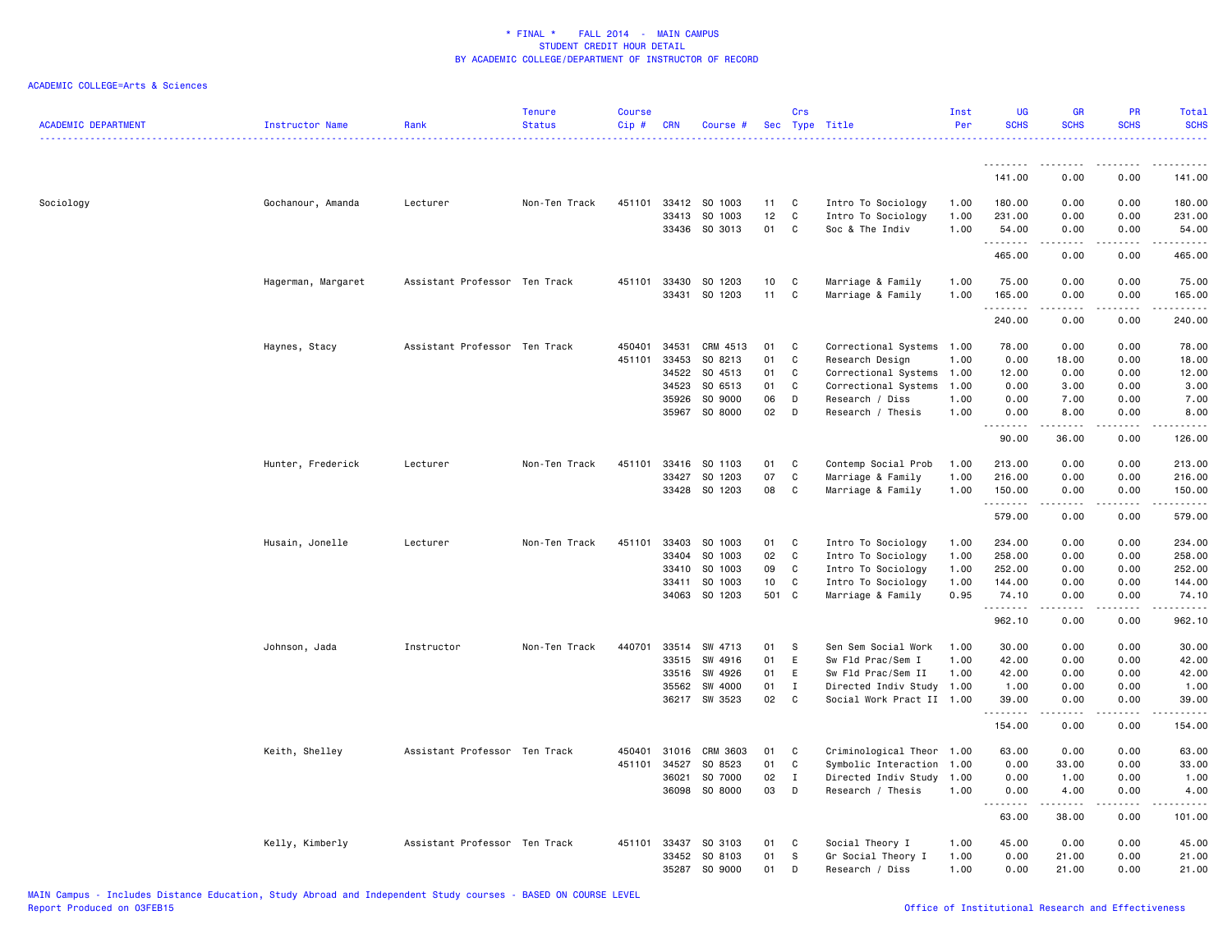| <b>ACADEMIC DEPARTMENT</b> | <b>Instructor Name</b> | Rank                          | <b>Tenure</b><br><b>Status</b> | <b>Course</b><br>Cip# | <b>CRN</b> | Course #      |     | Crs          | Sec Type Title            | Inst<br>Per | <b>UG</b><br><b>SCHS</b> | <b>GR</b><br><b>SCHS</b>                                                                                                                                     | <b>PR</b><br><b>SCHS</b> | Total<br><b>SCHS</b> |
|----------------------------|------------------------|-------------------------------|--------------------------------|-----------------------|------------|---------------|-----|--------------|---------------------------|-------------|--------------------------|--------------------------------------------------------------------------------------------------------------------------------------------------------------|--------------------------|----------------------|
|                            |                        |                               |                                |                       |            |               |     |              |                           |             | .                        |                                                                                                                                                              |                          |                      |
|                            |                        |                               |                                |                       |            |               |     |              |                           |             | 141.00                   | 0.00                                                                                                                                                         | 0.00                     | 141.00               |
| Sociology                  | Gochanour, Amanda      | Lecturer                      | Non-Ten Track                  | 451101                |            | 33412 SO 1003 | 11  | C            | Intro To Sociology        | 1.00        | 180.00                   | 0.00                                                                                                                                                         | 0.00                     | 180.00               |
|                            |                        |                               |                                |                       | 33413      | SO 1003       | 12  | C            | Intro To Sociology        | 1.00        | 231.00                   | 0.00                                                                                                                                                         | 0.00                     | 231.00               |
|                            |                        |                               |                                |                       |            | 33436 SO 3013 | 01  | C            | Soc & The Indiv           | 1.00        | 54.00<br>.               | 0.00<br>$\frac{1}{2} \left( \frac{1}{2} \right) \left( \frac{1}{2} \right) \left( \frac{1}{2} \right) \left( \frac{1}{2} \right) \left( \frac{1}{2} \right)$ | 0.00<br>.                | 54.00                |
|                            |                        |                               |                                |                       |            |               |     |              |                           |             | 465.00                   | 0.00                                                                                                                                                         | 0.00                     | 465.00               |
|                            | Hagerman, Margaret     | Assistant Professor Ten Track |                                | 451101                | 33430      | SO 1203       | 10  | C            | Marriage & Family         | 1.00        | 75.00                    | 0.00                                                                                                                                                         | 0.00                     | 75.00                |
|                            |                        |                               |                                |                       | 33431      | SO 1203       | 11  | C            | Marriage & Family         | 1.00        | 165.00                   | 0.00                                                                                                                                                         | 0.00                     | 165.00               |
|                            |                        |                               |                                |                       |            |               |     |              |                           |             | .                        | .                                                                                                                                                            | .                        | ------               |
|                            |                        |                               |                                |                       |            |               |     |              |                           |             | 240.00                   | 0.00                                                                                                                                                         | 0.00                     | 240.00               |
|                            | Haynes, Stacy          | Assistant Professor Ten Track |                                | 450401                | 34531      | CRM 4513      | 01  | C            | Correctional Systems 1.00 |             | 78.00                    | 0.00                                                                                                                                                         | 0.00                     | 78.00                |
|                            |                        |                               |                                | 451101                | 33453      | SO 8213       | 01  | C            | Research Design           | 1.00        | 0.00                     | 18.00                                                                                                                                                        | 0.00                     | 18.00                |
|                            |                        |                               |                                |                       | 34522      | SO 4513       | 01  | C            | Correctional Systems 1.00 |             | 12.00                    | 0.00                                                                                                                                                         | 0.00                     | 12.00                |
|                            |                        |                               |                                |                       | 34523      | SO 6513       | 01  | C            | Correctional Systems 1.00 |             | 0.00                     | 3.00                                                                                                                                                         | 0.00                     | 3.00                 |
|                            |                        |                               |                                |                       | 35926      | SO 9000       | 06  | D            | Research / Diss           | 1.00        | 0.00                     | 7.00                                                                                                                                                         | 0.00                     | 7.00                 |
|                            |                        |                               |                                |                       | 35967      | SO 8000       | 02  | D            | Research / Thesis         | 1.00        | 0.00<br>.                | 8.00                                                                                                                                                         | 0.00                     | 8.00<br>.            |
|                            |                        |                               |                                |                       |            |               |     |              |                           |             | 90.00                    | 36.00                                                                                                                                                        | 0.00                     | 126.00               |
|                            | Hunter, Frederick      | Lecturer                      | Non-Ten Track                  | 451101                | 33416      | SO 1103       | 01  | C            | Contemp Social Prob       | 1.00        | 213.00                   | 0.00                                                                                                                                                         | 0.00                     | 213.00               |
|                            |                        |                               |                                |                       | 33427      | SO 1203       | 07  | $\mathtt{C}$ | Marriage & Family         | 1.00        | 216.00                   | 0.00                                                                                                                                                         | 0.00                     | 216.00               |
|                            |                        |                               |                                |                       | 33428      | SO 1203       | 08  | C            | Marriage & Family         | 1.00        | 150.00                   | 0.00                                                                                                                                                         | 0.00                     | 150.00               |
|                            |                        |                               |                                |                       |            |               |     |              |                           |             | .<br>579.00              | $\frac{1}{2} \left( \frac{1}{2} \right) \left( \frac{1}{2} \right) \left( \frac{1}{2} \right) \left( \frac{1}{2} \right) \left( \frac{1}{2} \right)$<br>0.00 | .<br>0.00                | .<br>579.00          |
|                            | Husain, Jonelle        | Lecturer                      | Non-Ten Track                  | 451101                | 33403      | SO 1003       | 01  | C            | Intro To Sociology        | 1.00        | 234.00                   | 0.00                                                                                                                                                         | 0.00                     | 234.00               |
|                            |                        |                               |                                |                       | 33404      | SO 1003       | 02  | C            | Intro To Sociology        | 1.00        | 258.00                   | 0.00                                                                                                                                                         | 0.00                     | 258.00               |
|                            |                        |                               |                                |                       | 33410      | SO 1003       | 09  | C            | Intro To Sociology        | 1.00        | 252.00                   | 0.00                                                                                                                                                         | 0.00                     | 252.00               |
|                            |                        |                               |                                |                       | 33411      | SO 1003       | 10  | C            | Intro To Sociology        | 1.00        | 144.00                   | 0.00                                                                                                                                                         | 0.00                     | 144.00               |
|                            |                        |                               |                                |                       | 34063      | SO 1203       | 501 | C.           | Marriage & Family         | 0.95        | 74.10<br>.               | 0.00<br>$\begin{array}{cccccccccc} \bullet & \bullet & \bullet & \bullet & \bullet & \bullet & \bullet \end{array}$                                          | 0.00<br>.                | 74.10                |
|                            |                        |                               |                                |                       |            |               |     |              |                           |             | 962.10                   | 0.00                                                                                                                                                         | 0.00                     | 962.10               |
|                            | Johnson, Jada          | Instructor                    | Non-Ten Track                  | 440701                | 33514      | SW 4713       | 01  | s            | Sen Sem Social Work       | 1.00        | 30.00                    | 0.00                                                                                                                                                         | 0.00                     | 30.00                |
|                            |                        |                               |                                |                       | 33515      | SW 4916       | 01  | E            | Sw Fld Prac/Sem I         | 1.00        | 42.00                    | 0.00                                                                                                                                                         | 0.00                     | 42.00                |
|                            |                        |                               |                                |                       | 33516      | SW 4926       | 01  | Ε            | Sw Fld Prac/Sem II        | 1.00        | 42.00                    | 0.00                                                                                                                                                         | 0.00                     | 42.00                |
|                            |                        |                               |                                |                       | 35562      | SW 4000       | 01  | $\mathbf I$  | Directed Indiv Study 1.00 |             | 1.00                     | 0.00                                                                                                                                                         | 0.00                     | 1.00                 |
|                            |                        |                               |                                |                       | 36217      | SW 3523       | 02  | C            | Social Work Pract II 1.00 |             | 39.00<br>.               | 0.00                                                                                                                                                         | 0.00<br>.                | 39.00<br>$    -$     |
|                            |                        |                               |                                |                       |            |               |     |              |                           |             | 154.00                   | 0.00                                                                                                                                                         | 0.00                     | 154.00               |
|                            | Keith, Shelley         | Assistant Professor Ten Track |                                | 450401                | 31016      | CRM 3603      | 01  | C            | Criminological Theor 1.00 |             | 63.00                    | 0.00                                                                                                                                                         | 0.00                     | 63.00                |
|                            |                        |                               |                                | 451101                | 34527      | SO 8523       | 01  | C            | Symbolic Interaction 1.00 |             | 0.00                     | 33.00                                                                                                                                                        | 0.00                     | 33.00                |
|                            |                        |                               |                                |                       | 36021      | SO 7000       | 02  | $\mathbf{I}$ | Directed Indiv Study 1.00 |             | 0.00                     | 1.00                                                                                                                                                         | 0.00                     | 1.00                 |
|                            |                        |                               |                                |                       | 36098      | SO 8000       | 03  | D            | Research / Thesis         | 1.00        | 0.00                     | 4.00                                                                                                                                                         | 0.00                     | 4.00                 |
|                            |                        |                               |                                |                       |            |               |     |              |                           |             | .<br>63.00               | .<br>38.00                                                                                                                                                   | .<br>0.00                | .<br>101.00          |
|                            | Kelly, Kimberly        | Assistant Professor Ten Track |                                | 451101                | 33437      | SO 3103       | 01  | C            | Social Theory I           | 1.00        | 45.00                    | 0.00                                                                                                                                                         | 0.00                     | 45.00                |
|                            |                        |                               |                                |                       | 33452      | SO 8103       | 01  | S            | Gr Social Theory I        | 1.00        | 0.00                     | 21.00                                                                                                                                                        | 0.00                     | 21.00                |
|                            |                        |                               |                                |                       | 35287      | SO 9000       | 01  | D            | Research / Diss           | 1.00        | 0.00                     | 21.00                                                                                                                                                        | 0.00                     | 21.00                |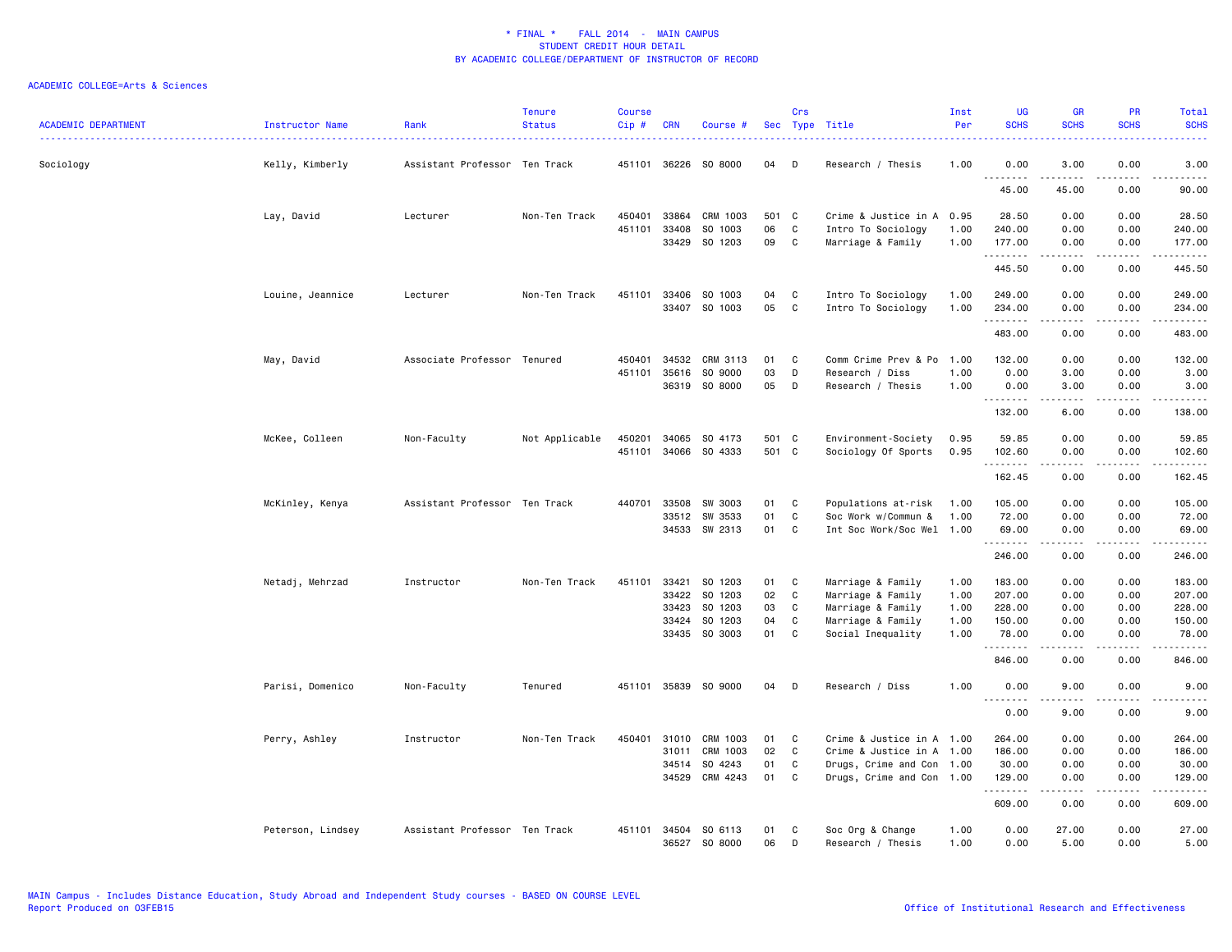| <b>ACADEMIC DEPARTMENT</b> | Instructor Name   | Rank                          | <b>Tenure</b><br><b>Status</b> | <b>Course</b><br>Cip# | <b>CRN</b>     | Course #                 |          | Crs          | Sec Type Title                           | Inst<br>Per  | <b>UG</b><br><b>SCHS</b> | <b>GR</b><br><b>SCHS</b>                                                                                            | PR<br><b>SCHS</b>                   | <b>Total</b><br><b>SCHS</b>                                                                                           |
|----------------------------|-------------------|-------------------------------|--------------------------------|-----------------------|----------------|--------------------------|----------|--------------|------------------------------------------|--------------|--------------------------|---------------------------------------------------------------------------------------------------------------------|-------------------------------------|-----------------------------------------------------------------------------------------------------------------------|
| Sociology                  | Kelly, Kimberly   | Assistant Professor Ten Track |                                |                       | 451101 36226   | SO 8000                  | 04       | D            | Research / Thesis                        | 1.00         | 0.00<br>.                | 3.00<br><u>.</u>                                                                                                    | 0.00<br>$- - - -$                   | 3.00<br>$\frac{1}{2}$                                                                                                 |
|                            |                   |                               |                                |                       |                |                          |          |              |                                          |              | 45.00                    | 45.00                                                                                                               | 0.00                                | 90.00                                                                                                                 |
|                            | Lay, David        | Lecturer                      | Non-Ten Track                  | 450401                | 33864          | CRM 1003                 | 501 C    |              | Crime & Justice in A 0.95                |              | 28.50                    | 0.00                                                                                                                | 0.00                                | 28.50                                                                                                                 |
|                            |                   |                               |                                | 451101                | 33408<br>33429 | SO 1003<br>SO 1203       | 06<br>09 | C<br>C       | Intro To Sociology<br>Marriage & Family  | 1.00<br>1.00 | 240.00<br>177.00         | 0.00<br>0.00                                                                                                        | 0.00<br>0.00                        | 240.00<br>177.00                                                                                                      |
|                            |                   |                               |                                |                       |                |                          |          |              |                                          |              | .                        | .                                                                                                                   | .                                   | دددددد                                                                                                                |
|                            |                   |                               |                                |                       |                |                          |          |              |                                          |              | 445.50                   | 0.00                                                                                                                | 0.00                                | 445.50                                                                                                                |
|                            | Louine, Jeannice  | Lecturer                      | Non-Ten Track                  | 451101                | 33406<br>33407 | SO 1003<br>SO 1003       | 04<br>05 | C<br>C       | Intro To Sociology<br>Intro To Sociology | 1.00<br>1.00 | 249.00<br>234.00         | 0.00<br>0.00                                                                                                        | 0.00<br>0.00                        | 249.00<br>234.00                                                                                                      |
|                            |                   |                               |                                |                       |                |                          |          |              |                                          |              | .                        | <b>.</b>                                                                                                            | د د د د                             | $\begin{array}{cccccccccc} \bullet & \bullet & \bullet & \bullet & \bullet & \bullet & \bullet & \bullet \end{array}$ |
|                            |                   |                               |                                |                       |                |                          |          |              |                                          |              | 483.00                   | 0.00                                                                                                                | 0.00                                | 483.00                                                                                                                |
|                            | May, David        | Associate Professor Tenured   |                                | 450401                | 34532          | CRM 3113                 | 01       | C            | Comm Crime Prev & Po                     | 1.00         | 132.00                   | 0.00                                                                                                                | 0.00                                | 132.00                                                                                                                |
|                            |                   |                               |                                | 451101                | 35616          | SO 9000<br>36319 SO 8000 | 03<br>05 | D<br>D       | Research / Diss<br>Research / Thesis     | 1.00<br>1.00 | 0.00<br>0.00             | 3.00<br>3.00                                                                                                        | 0.00<br>0.00                        | 3.00<br>3.00                                                                                                          |
|                            |                   |                               |                                |                       |                |                          |          |              |                                          |              | .                        | .                                                                                                                   | .                                   | .                                                                                                                     |
|                            |                   |                               |                                |                       |                |                          |          |              |                                          |              | 132.00                   | 6.00                                                                                                                | 0.00                                | 138.00                                                                                                                |
|                            | McKee, Colleen    | Non-Faculty                   | Not Applicable                 | 450201                | 34065          | SO 4173                  | 501 C    |              | Environment-Society                      | 0.95         | 59.85                    | 0.00                                                                                                                | 0.00                                | 59.85                                                                                                                 |
|                            |                   |                               |                                |                       | 451101 34066   | SO 4333                  | 501 C    |              | Sociology Of Sports                      | 0.95         | 102.60<br>.              | 0.00<br>د د د د د                                                                                                   | 0.00<br>.                           | 102.60<br>------                                                                                                      |
|                            |                   |                               |                                |                       |                |                          |          |              |                                          |              | 162.45                   | 0.00                                                                                                                | 0.00                                | 162.45                                                                                                                |
|                            | McKinley, Kenya   | Assistant Professor           | Ten Track                      | 440701                | 33508          | SW 3003                  | 01       | C            | Populations at-risk                      | 1.00         | 105.00                   | 0.00                                                                                                                | 0.00                                | 105.00                                                                                                                |
|                            |                   |                               |                                |                       | 33512          | SW 3533                  | 01       | C<br>C       | Soc Work w/Commun &                      | 1.00         | 72.00                    | 0.00                                                                                                                | 0.00                                | 72.00                                                                                                                 |
|                            |                   |                               |                                |                       | 34533          | SW 2313                  | 01       |              | Int Soc Work/Soc Wel 1.00                |              | 69.00<br>.               | 0.00<br>.                                                                                                           | 0.00<br>$\sim$ $\sim$ $\sim$ $\sim$ | 69.00<br>.                                                                                                            |
|                            |                   |                               |                                |                       |                |                          |          |              |                                          |              | 246.00                   | 0.00                                                                                                                | 0.00                                | 246.00                                                                                                                |
|                            | Netadj, Mehrzad   | Instructor                    | Non-Ten Track                  | 451101                | 33421          | SO 1203                  | 01       | C            | Marriage & Family                        | 1.00         | 183.00                   | 0.00                                                                                                                | 0.00                                | 183.00                                                                                                                |
|                            |                   |                               |                                |                       | 33422          | SO 1203                  | 02       | $\mathtt{C}$ | Marriage & Family                        | 1.00         | 207.00                   | 0.00                                                                                                                | 0.00                                | 207.00                                                                                                                |
|                            |                   |                               |                                |                       | 33423          | SO 1203                  | 03       | C            | Marriage & Family                        | 1.00         | 228.00                   | 0.00                                                                                                                | 0.00                                | 228.00                                                                                                                |
|                            |                   |                               |                                |                       | 33424          | SO 1203                  | 04       | C            | Marriage & Family                        | 1.00         | 150.00                   | 0.00                                                                                                                | 0.00                                | 150.00                                                                                                                |
|                            |                   |                               |                                |                       |                | 33435 SO 3003            | 01       | C            | Social Inequality                        | 1.00         | 78.00<br>.               | 0.00<br>.                                                                                                           | 0.00<br>$\frac{1}{2}$               | 78.00<br>.                                                                                                            |
|                            |                   |                               |                                |                       |                |                          |          |              |                                          |              | 846.00                   | 0.00                                                                                                                | 0.00                                | 846.00                                                                                                                |
|                            | Parisi, Domenico  | Non-Faculty                   | Tenured                        |                       |                | 451101 35839 SO 9000     | 04       | D            | Research / Diss                          | 1.00         | 0.00<br><u>.</u>         | 9.00<br>.                                                                                                           | 0.00<br>.                           | 9.00<br>$\frac{1}{2}$                                                                                                 |
|                            |                   |                               |                                |                       |                |                          |          |              |                                          |              | 0.00                     | 9.00                                                                                                                | 0.00                                | 9.00                                                                                                                  |
|                            | Perry, Ashley     | Instructor                    | Non-Ten Track                  | 450401                | 31010          | CRM 1003                 | 01       | C            | Crime & Justice in A 1.00                |              | 264.00                   | 0.00                                                                                                                | 0.00                                | 264.00                                                                                                                |
|                            |                   |                               |                                |                       | 31011          | CRM 1003                 | 02       | C            | Crime & Justice in A 1.00                |              | 186.00                   | 0.00                                                                                                                | 0.00                                | 186.00                                                                                                                |
|                            |                   |                               |                                |                       | 34514          | SO 4243                  | 01       | C            | Drugs, Crime and Con 1.00                |              | 30.00                    | 0.00                                                                                                                | 0.00                                | 30.00                                                                                                                 |
|                            |                   |                               |                                |                       | 34529          | CRM 4243                 | 01       | C            | Drugs, Crime and Con 1.00                |              | 129.00<br>.              | 0.00<br>$\begin{array}{cccccccccc} \bullet & \bullet & \bullet & \bullet & \bullet & \bullet & \bullet \end{array}$ | 0.00<br>.                           | 129.00                                                                                                                |
|                            |                   |                               |                                |                       |                |                          |          |              |                                          |              | 609.00                   | 0.00                                                                                                                | 0.00                                | 609.00                                                                                                                |
|                            | Peterson, Lindsey | Assistant Professor Ten Track |                                | 451101                | 34504<br>36527 | SO 6113<br>SO 8000       | 01<br>06 | C<br>D       | Soc Org & Change<br>Research / Thesis    | 1.00<br>1.00 | 0.00<br>0.00             | 27.00<br>5.00                                                                                                       | 0.00<br>0.00                        | 27.00<br>5.00                                                                                                         |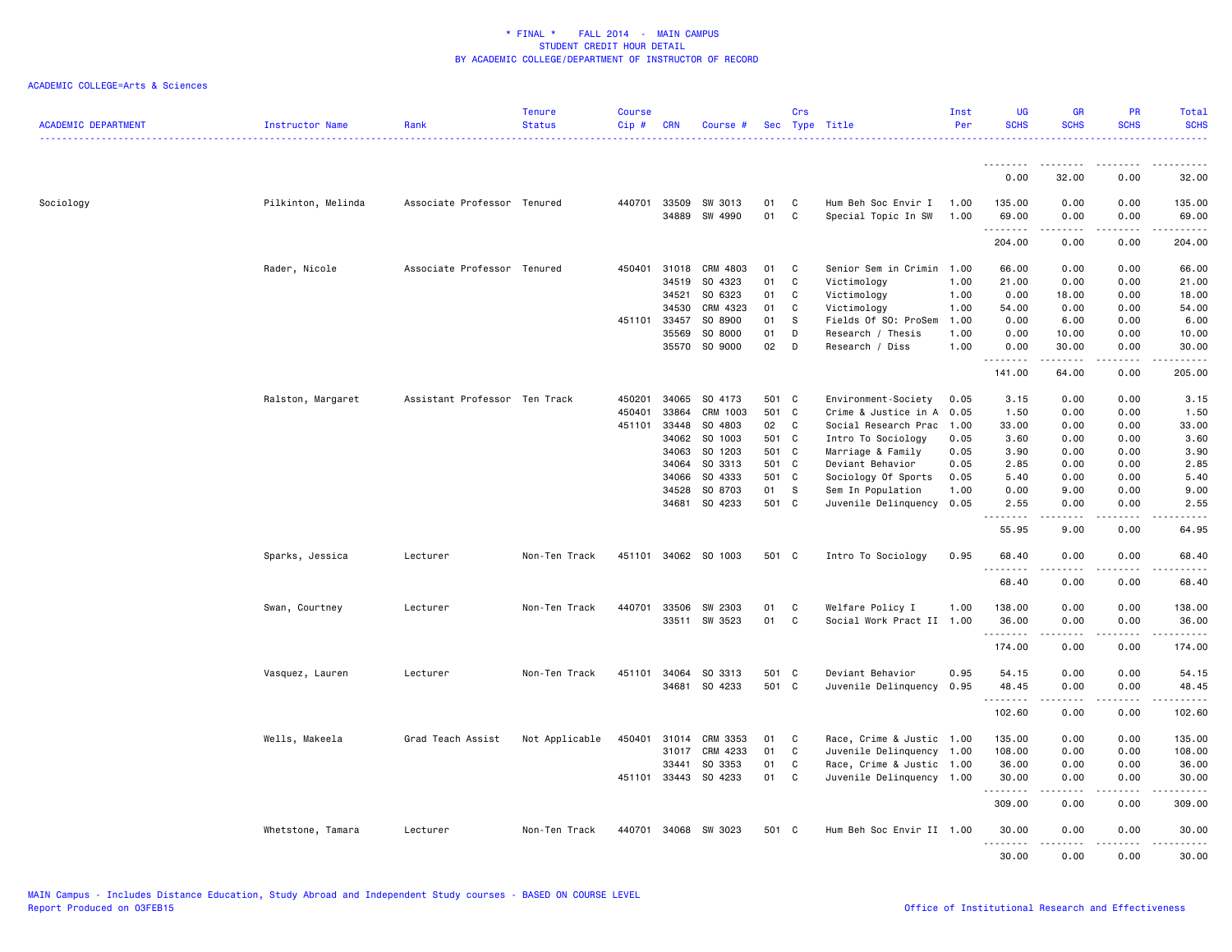| <b>ACADEMIC DEPARTMENT</b> | Instructor Name    | Rank                          | <b>Tenure</b><br><b>Status</b> | Course<br>Cip# | <b>CRN</b>     | Course #             |          | Crs              | Sec Type Title                             | Inst<br>Per  | <b>UG</b><br><b>SCHS</b>                                                                                                                                       | <b>GR</b><br><b>SCHS</b>                                                                                                                             | PR<br><b>SCHS</b>                   | Total<br><b>SCHS</b>                                                                                                                         |
|----------------------------|--------------------|-------------------------------|--------------------------------|----------------|----------------|----------------------|----------|------------------|--------------------------------------------|--------------|----------------------------------------------------------------------------------------------------------------------------------------------------------------|------------------------------------------------------------------------------------------------------------------------------------------------------|-------------------------------------|----------------------------------------------------------------------------------------------------------------------------------------------|
|                            |                    |                               |                                |                |                |                      |          |                  |                                            |              | .                                                                                                                                                              | $\frac{1}{2} \left( \frac{1}{2} \right) \left( \frac{1}{2} \right) \left( \frac{1}{2} \right) \left( \frac{1}{2} \right) \left( \frac{1}{2} \right)$ |                                     |                                                                                                                                              |
|                            |                    |                               |                                |                |                |                      |          |                  |                                            |              | 0.00                                                                                                                                                           | 32.00                                                                                                                                                | 0.00                                | 32.00                                                                                                                                        |
| Sociology                  | Pilkinton, Melinda | Associate Professor Tenured   |                                | 440701         | 33509<br>34889 | SW 3013<br>SW 4990   | 01<br>01 | C<br>$\mathbf c$ | Hum Beh Soc Envir I<br>Special Topic In SW | 1.00<br>1.00 | 135.00<br>69.00<br>.                                                                                                                                           | 0.00<br>0.00<br>-----                                                                                                                                | 0.00<br>0.00<br>.                   | 135.00<br>69.00<br>$\begin{array}{cccccccccccccc} \bullet & \bullet & \bullet & \bullet & \bullet & \bullet & \bullet & \bullet \end{array}$ |
|                            |                    |                               |                                |                |                |                      |          |                  |                                            |              | 204.00                                                                                                                                                         | 0.00                                                                                                                                                 | 0.00                                | 204.00                                                                                                                                       |
|                            | Rader, Nicole      | Associate Professor Tenured   |                                | 450401         | 31018          | CRM 4803             | 01       | C                | Senior Sem in Crimin                       | 1.00         | 66.00                                                                                                                                                          | 0.00                                                                                                                                                 | 0.00                                | 66.00                                                                                                                                        |
|                            |                    |                               |                                |                | 34519          | SO 4323              | 01       | C                | Victimology                                | 1.00         | 21.00                                                                                                                                                          | 0.00                                                                                                                                                 | 0.00                                | 21.00                                                                                                                                        |
|                            |                    |                               |                                |                | 34521          | SO 6323              | 01       | C                | Victimology                                | 1.00         | 0.00                                                                                                                                                           | 18.00                                                                                                                                                | 0.00                                | 18.00                                                                                                                                        |
|                            |                    |                               |                                |                | 34530          | CRM 4323             | 01       | C                | Victimology                                | 1.00         | 54.00                                                                                                                                                          | 0.00                                                                                                                                                 | 0.00                                | 54.00                                                                                                                                        |
|                            |                    |                               |                                | 451101         | 33457          | SO 8900              | 01       | ${\tt S}$        | Fields Of SO: ProSem                       | 1.00         | 0.00                                                                                                                                                           | 6.00                                                                                                                                                 | 0.00                                | 6.00                                                                                                                                         |
|                            |                    |                               |                                |                | 35569          | SO 8000              | 01       | D                | Research / Thesis                          | 1.00         | 0.00                                                                                                                                                           | 10.00                                                                                                                                                | 0.00                                | 10.00                                                                                                                                        |
|                            |                    |                               |                                |                | 35570          | SO 9000              | 02       | D                | Research / Diss                            | 1.00         | 0.00<br>.                                                                                                                                                      | 30.00                                                                                                                                                | 0.00<br>$\sim$ $\sim$ $\sim$        | 30.00<br>.                                                                                                                                   |
|                            |                    |                               |                                |                |                |                      |          |                  |                                            |              | 141.00                                                                                                                                                         | 64.00                                                                                                                                                | 0.00                                | 205.00                                                                                                                                       |
|                            | Ralston, Margaret  | Assistant Professor Ten Track |                                | 450201         | 34065          | SO 4173              | 501 C    |                  | Environment-Society                        | 0.05         | 3.15                                                                                                                                                           | 0.00                                                                                                                                                 | 0.00                                | 3.15                                                                                                                                         |
|                            |                    |                               |                                | 450401         | 33864          | CRM 1003             | 501      | C                | Crime & Justice in A                       | 0.05         | 1.50                                                                                                                                                           | 0.00                                                                                                                                                 | 0.00                                | 1.50                                                                                                                                         |
|                            |                    |                               |                                | 451101         | 33448          | SO 4803              | 02       | C                | Social Research Prac 1.00                  |              | 33.00                                                                                                                                                          | 0.00                                                                                                                                                 | 0.00                                | 33.00                                                                                                                                        |
|                            |                    |                               |                                |                | 34062          | SO 1003              | 501      | C                | Intro To Sociology                         | 0.05         | 3.60                                                                                                                                                           | 0.00                                                                                                                                                 | 0.00                                | 3.60                                                                                                                                         |
|                            |                    |                               |                                |                | 34063          | SO 1203              | 501 C    |                  | Marriage & Family                          | 0.05         | 3.90                                                                                                                                                           | 0.00                                                                                                                                                 | 0.00                                | 3.90                                                                                                                                         |
|                            |                    |                               |                                |                | 34064          | SO 3313              | 501 C    |                  | Deviant Behavior                           | 0.05         | 2.85                                                                                                                                                           | 0.00                                                                                                                                                 | 0.00                                | 2.85                                                                                                                                         |
|                            |                    |                               |                                |                | 34066          | SO 4333              | 501      | $\mathbf{C}$     | Sociology Of Sports                        | 0.05         | 5.40                                                                                                                                                           | 0.00                                                                                                                                                 | 0.00                                | 5.40                                                                                                                                         |
|                            |                    |                               |                                |                | 34528          | SO 8703              | 01       | s                | Sem In Population                          | 1.00         | 0.00                                                                                                                                                           | 9.00                                                                                                                                                 | 0.00                                | 9.00                                                                                                                                         |
|                            |                    |                               |                                |                | 34681          | SO 4233              | 501 C    |                  | Juvenile Delinquency                       | 0.05         | 2.55                                                                                                                                                           | 0.00                                                                                                                                                 | 0.00                                | 2.55                                                                                                                                         |
|                            |                    |                               |                                |                |                |                      |          |                  |                                            |              | 55.95                                                                                                                                                          | 9.00                                                                                                                                                 | 0.00                                | 64.95                                                                                                                                        |
|                            | Sparks, Jessica    | Lecturer                      | Non-Ten Track                  |                |                | 451101 34062 SO 1003 | 501 C    |                  | Intro To Sociology                         | 0.95         | 68.40<br><u>.</u>                                                                                                                                              | 0.00<br>.                                                                                                                                            | 0.00<br>.                           | 68.40<br>. <u>.</u> .                                                                                                                        |
|                            |                    |                               |                                |                |                |                      |          |                  |                                            |              | 68.40                                                                                                                                                          | 0.00                                                                                                                                                 | 0.00                                | 68.40                                                                                                                                        |
|                            | Swan, Courtney     | Lecturer                      | Non-Ten Track                  | 440701         | 33506          | SW 2303              | 01       | C                | Welfare Policy I                           | 1.00         | 138.00                                                                                                                                                         | 0.00                                                                                                                                                 | 0.00                                | 138.00                                                                                                                                       |
|                            |                    |                               |                                |                |                | 33511 SW 3523        | 01       | C                | Social Work Pract II 1.00                  |              | 36.00                                                                                                                                                          | 0.00                                                                                                                                                 | 0.00                                | 36.00                                                                                                                                        |
|                            |                    |                               |                                |                |                |                      |          |                  |                                            |              | .<br>174.00                                                                                                                                                    | 0.00                                                                                                                                                 | $\cdots$<br>0.00                    | .<br>174.00                                                                                                                                  |
|                            | Vasquez, Lauren    | Lecturer                      | Non-Ten Track                  | 451101         | 34064          | SO 3313              | 501 C    |                  | Deviant Behavior                           | 0.95         | 54.15                                                                                                                                                          | 0.00                                                                                                                                                 | 0.00                                | 54.15                                                                                                                                        |
|                            |                    |                               |                                |                | 34681          | SO 4233              | 501 C    |                  | Juvenile Delinquency                       | 0.95         | 48.45                                                                                                                                                          | 0.00                                                                                                                                                 | 0.00                                | 48.45                                                                                                                                        |
|                            |                    |                               |                                |                |                |                      |          |                  |                                            |              | $\frac{1}{2} \left( \frac{1}{2} \right) \left( \frac{1}{2} \right) \left( \frac{1}{2} \right) \left( \frac{1}{2} \right) \left( \frac{1}{2} \right)$<br>102.60 | 0.00                                                                                                                                                 | 0.00                                | ه د د د د<br>102.60                                                                                                                          |
|                            |                    |                               |                                |                |                |                      |          |                  |                                            |              |                                                                                                                                                                |                                                                                                                                                      |                                     |                                                                                                                                              |
|                            | Wells, Makeela     | Grad Teach Assist             | Not Applicable                 | 450401         |                | 31014 CRM 3353       | 01       | C                | Race, Crime & Justic 1.00                  |              | 135.00                                                                                                                                                         | 0.00                                                                                                                                                 | 0.00                                | 135.00                                                                                                                                       |
|                            |                    |                               |                                |                | 31017          | CRM 4233             | 01       | C                | Juvenile Delinquency 1.00                  |              | 108.00                                                                                                                                                         | 0.00                                                                                                                                                 | 0.00                                | 108.00                                                                                                                                       |
|                            |                    |                               |                                |                | 33441          | SO 3353              | 01       | C                | Race, Crime & Justic 1.00                  |              | 36.00                                                                                                                                                          | 0.00                                                                                                                                                 | 0.00                                | 36.00                                                                                                                                        |
|                            |                    |                               |                                | 451101         | 33443          | SO 4233              | 01       | C                | Juvenile Delinquency 1.00                  |              | 30.00<br>.                                                                                                                                                     | 0.00                                                                                                                                                 | 0.00<br>$\sim$ $\sim$ $\sim$ $\sim$ | 30.00<br>ه د د د د                                                                                                                           |
|                            |                    |                               |                                |                |                |                      |          |                  |                                            |              | 309.00                                                                                                                                                         | 0.00                                                                                                                                                 | 0.00                                | 309.00                                                                                                                                       |
|                            | Whetstone, Tamara  | Lecturer                      | Non-Ten Track                  |                |                | 440701 34068 SW 3023 | 501 C    |                  | Hum Beh Soc Envir II 1.00                  |              | 30.00<br>.                                                                                                                                                     | 0.00                                                                                                                                                 | 0.00<br>.                           | 30.00<br>.                                                                                                                                   |
|                            |                    |                               |                                |                |                |                      |          |                  |                                            |              | 30.00                                                                                                                                                          | 0.00                                                                                                                                                 | 0.00                                | 30.00                                                                                                                                        |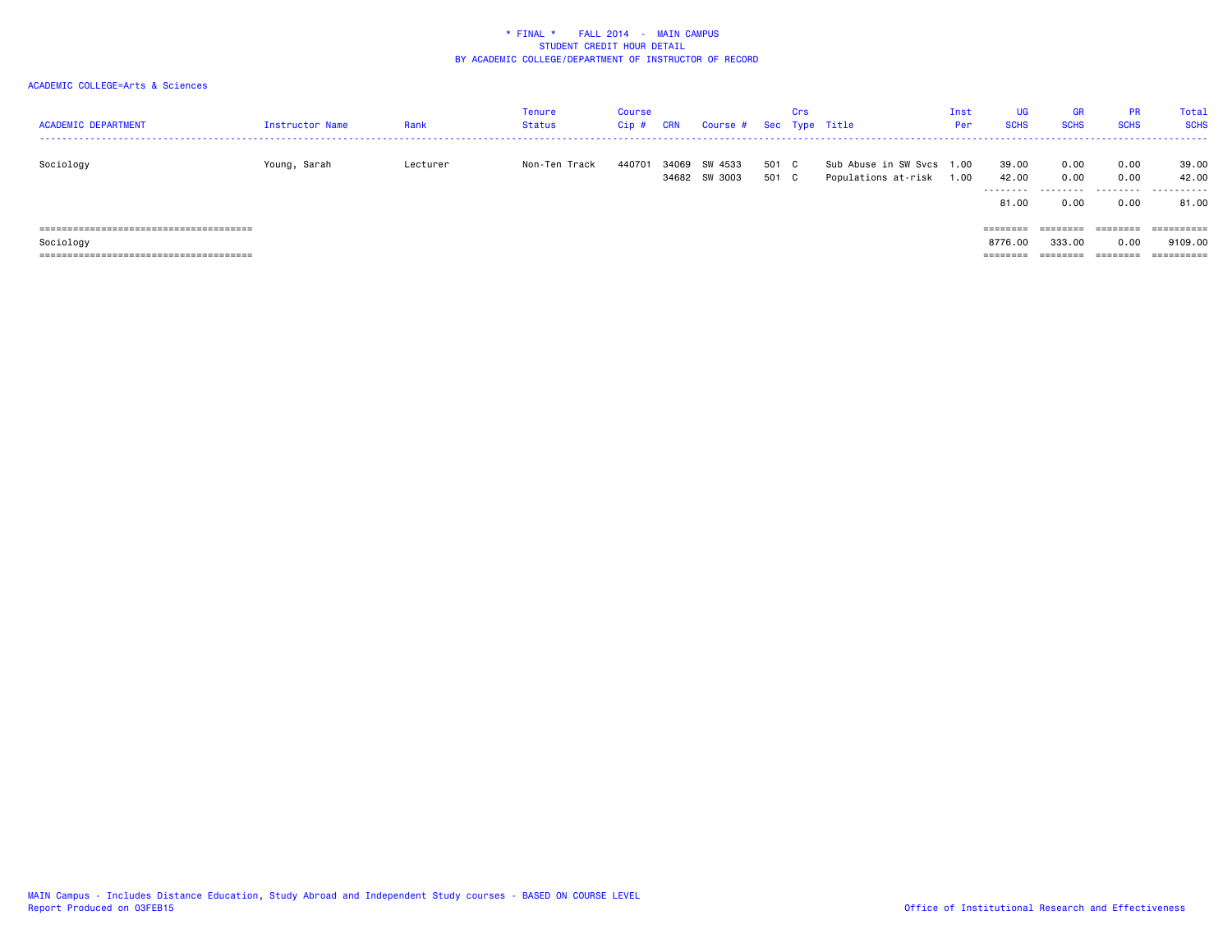| <b>ACADEMIC DEPARTMENT</b> | Instructor Name | Rank     | Tenure<br><b>Status</b> | Course<br>$Cip$ # | <b>CRN</b> | Course # Sec Type Title  |                | Crs |                                                  | Inst<br>Per | <b>UG</b><br><b>SCHS</b>             | <b>GR</b><br><b>SCHS</b>  | <b>PR</b><br><b>SCHS</b> | Total<br><b>SCHS</b>         |
|----------------------------|-----------------|----------|-------------------------|-------------------|------------|--------------------------|----------------|-----|--------------------------------------------------|-------------|--------------------------------------|---------------------------|--------------------------|------------------------------|
| Sociology                  | Young, Sarah    | Lecturer | Non-Ten Track           | 440701            | 34069      | SW 4533<br>34682 SW 3003 | 501 C<br>501 C |     | Sub Abuse in SW Svcs 1.00<br>Populations at-risk | 1.00        | 39.00<br>42.00<br>---------<br>81.00 | 0.00<br>0.00<br>.<br>0.00 | 0.00<br>0.00<br>0.00     | 39.00<br>42.00<br>.<br>81.00 |
|                            |                 |          |                         |                   |            |                          |                |     |                                                  |             | ========                             | ========                  | ========                 | ==========                   |
| Sociology                  |                 |          |                         |                   |            |                          |                |     |                                                  |             | 8776.00                              | 333.00                    | 0.00                     | 9109.00                      |
|                            |                 |          |                         |                   |            |                          |                |     |                                                  |             | ========                             | -------                   | $=$ = = = = = = =        |                              |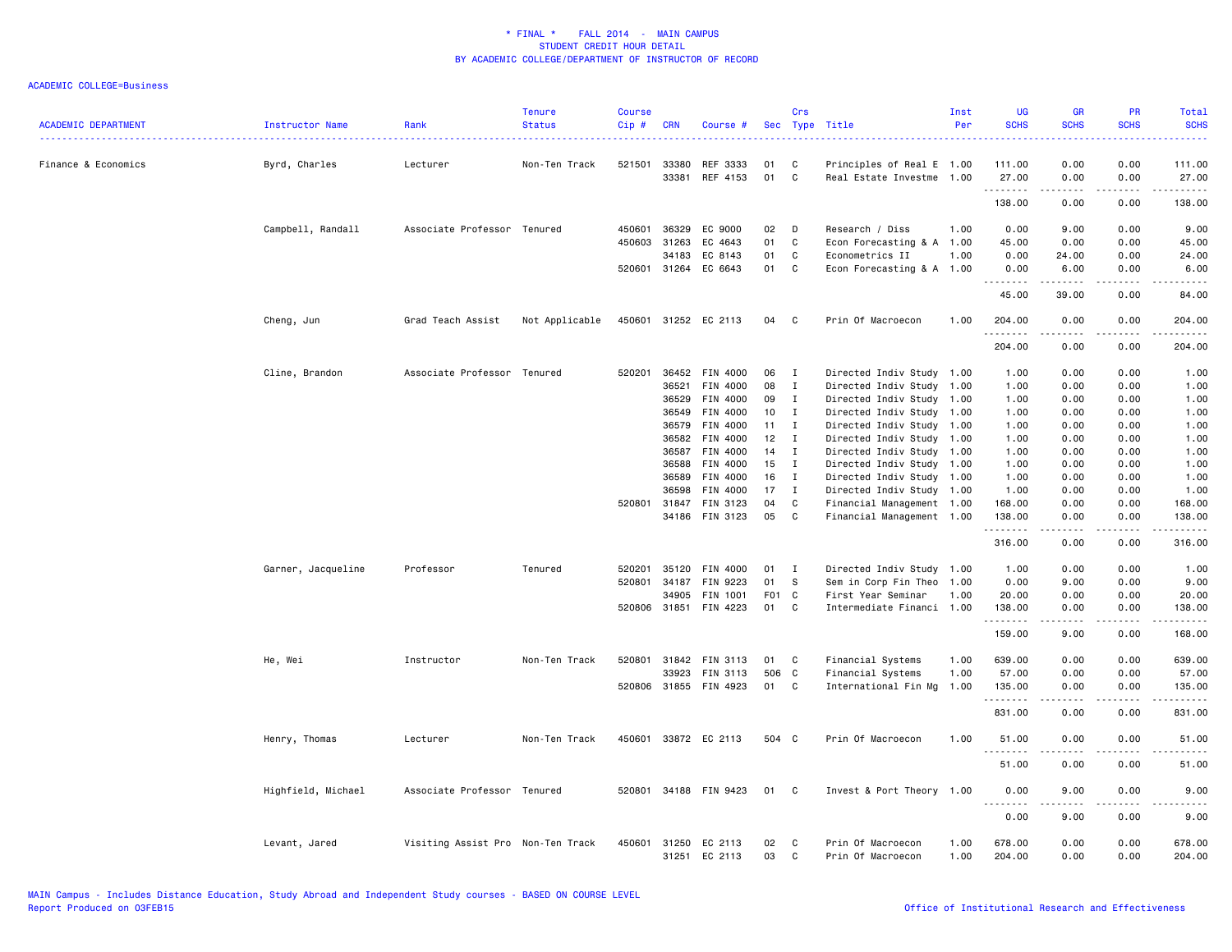|                            |                    |                                   | <b>Tenure</b>  | <b>Course</b> |              |                          |          | Crs          |                                        | Inst         | <b>UG</b>            | <b>GR</b>             | <b>PR</b>             | Total                   |
|----------------------------|--------------------|-----------------------------------|----------------|---------------|--------------|--------------------------|----------|--------------|----------------------------------------|--------------|----------------------|-----------------------|-----------------------|-------------------------|
| <b>ACADEMIC DEPARTMENT</b> | Instructor Name    | Rank                              | <b>Status</b>  | Cip#          | <b>CRN</b>   | Course #                 | Sec      |              | Type Title                             | Per          | <b>SCHS</b>          | <b>SCHS</b>           | <b>SCHS</b>           | <b>SCHS</b>             |
| Finance & Economics        | Byrd, Charles      | Lecturer                          | Non-Ten Track  | 521501        | 33380        | REF 3333                 | 01       | C            | Principles of Real E                   | 1.00         | 111.00               | 0.00                  | 0.00                  | 111.00                  |
|                            |                    |                                   |                |               | 33381        | REF 4153                 | 01       | C            | Real Estate Investme 1.00              |              | 27.00                | 0.00                  | 0.00                  | 27.00                   |
|                            |                    |                                   |                |               |              |                          |          |              |                                        |              | .<br>138.00          | .<br>0.00             | 0.00                  | -----<br>138.00         |
|                            |                    |                                   |                |               |              |                          |          |              |                                        |              |                      |                       |                       |                         |
|                            | Campbell, Randall  | Associate Professor Tenured       |                | 450601        | 36329        | EC 9000                  | 02       | D            | Research / Diss                        | 1.00         | 0.00                 | 9.00                  | 0.00                  | 9.00                    |
|                            |                    |                                   |                |               | 450603 31263 | EC 4643                  | 01       | $\mathtt{C}$ | Econ Forecasting & A 1.00              |              | 45.00                | 0.00                  | 0.00                  | 45.00                   |
|                            |                    |                                   |                |               | 34183        | EC 8143                  | 01       | C            | Econometrics II                        | 1.00         | 0.00                 | 24.00                 | 0.00                  | 24.00                   |
|                            |                    |                                   |                |               | 520601 31264 | EC 6643                  | 01       | C            | Econ Forecasting & A 1.00              |              | 0.00                 | 6.00                  | 0.00                  | 6.00                    |
|                            |                    |                                   |                |               |              |                          |          |              |                                        |              | 45.00                | 39.00                 | 0.00                  | 84.00                   |
|                            | Cheng, Jun         | Grad Teach Assist                 | Not Applicable |               |              | 450601 31252 EC 2113     | 04       | C            | Prin Of Macroecon                      | 1.00         | 204.00<br>.          | 0.00<br>.             | 0.00<br>.             | 204.00<br>. <b>.</b>    |
|                            |                    |                                   |                |               |              |                          |          |              |                                        |              | 204.00               | 0.00                  | 0.00                  | 204.00                  |
|                            | Cline, Brandon     | Associate Professor Tenured       |                | 520201        |              | 36452 FIN 4000           | 06       | $\mathbf I$  | Directed Indiv Study 1.00              |              | 1.00                 | 0.00                  | 0.00                  | 1.00                    |
|                            |                    |                                   |                |               | 36521        | <b>FIN 4000</b>          | 08       | $\mathbf{I}$ | Directed Indiv Study 1.00              |              | 1.00                 | 0.00                  | 0.00                  | 1.00                    |
|                            |                    |                                   |                |               |              | 36529 FIN 4000           | 09       | I            | Directed Indiv Study 1.00              |              | 1.00                 | 0.00                  | 0.00                  | 1.00                    |
|                            |                    |                                   |                |               |              | 36549 FIN 4000           | 10       | $\mathbf{I}$ | Directed Indiv Study 1.00              |              | 1.00                 | 0.00                  | 0.00                  | 1.00                    |
|                            |                    |                                   |                |               |              | 36579 FIN 4000           | 11       | $\mathbf{I}$ | Directed Indiv Study 1.00              |              | 1.00                 | 0.00                  | 0.00                  | 1.00                    |
|                            |                    |                                   |                |               | 36582        | FIN 4000                 | 12       | I            | Directed Indiv Study 1.00              |              | 1.00                 | 0.00                  | 0.00                  | 1.00                    |
|                            |                    |                                   |                |               |              | 36587 FIN 4000           | 14       | Ι            | Directed Indiv Study 1.00              |              | 1.00                 | 0.00                  | 0.00                  | 1.00                    |
|                            |                    |                                   |                |               | 36588        | FIN 4000                 | 15       | $\mathbf I$  | Directed Indiv Study 1.00              |              | 1.00                 | 0.00                  | 0.00                  | 1.00                    |
|                            |                    |                                   |                |               | 36589        | FIN 4000                 | 16       | $\mathbf{I}$ | Directed Indiv Study 1.00              |              | 1.00                 | 0.00                  | 0.00                  | 1.00                    |
|                            |                    |                                   |                |               | 36598        | FIN 4000                 | 17       | I            | Directed Indiv Study 1.00              |              | 1.00                 | 0.00                  | 0.00                  | 1.00                    |
|                            |                    |                                   |                |               | 520801 31847 | FIN 3123                 | 04       | C            | Financial Management 1.00              |              | 168.00               | 0.00                  | 0.00                  | 168.00                  |
|                            |                    |                                   |                |               |              | 34186 FIN 3123           | 05       | C            | Financial Management 1.00              |              | 138.00               | 0.00                  | 0.00                  | 138.00                  |
|                            |                    |                                   |                |               |              |                          |          |              |                                        |              | .<br>316.00          | .<br>0.00             | .<br>0.00             | $\frac{1}{2}$<br>316.00 |
|                            | Garner, Jacqueline | Professor                         | Tenured        | 520201        |              | 35120 FIN 4000           | 01       | $\mathbf{I}$ | Directed Indiv Study 1.00              |              | 1.00                 | 0.00                  | 0.00                  | 1.00                    |
|                            |                    |                                   |                | 520801        | 34187        | FIN 9223                 | 01       | s            | Sem in Corp Fin Theo                   | 1.00         | 0.00                 | 9.00                  | 0.00                  | 9.00                    |
|                            |                    |                                   |                |               | 34905        | FIN 1001                 | F01 C    |              | First Year Seminar                     | 1.00         | 20.00                | 0.00                  | 0.00                  | 20.00                   |
|                            |                    |                                   |                |               |              | 520806 31851 FIN 4223    | 01       | C            | Intermediate Financi 1.00              |              | 138.00               | 0.00                  | 0.00                  | 138.00                  |
|                            |                    |                                   |                |               |              |                          |          |              |                                        |              | .<br>159.00          | .<br>9.00             | .<br>0.00             | .<br>168.00             |
|                            | He, Wei            | Instructor                        | Non-Ten Track  | 520801        | 31842        | FIN 3113                 | 01       | C            | Financial Systems                      | 1.00         | 639.00               | 0.00                  | 0.00                  | 639.00                  |
|                            |                    |                                   |                |               | 33923        | <b>FIN 3113</b>          | 506      | $\mathbf{C}$ | Financial Systems                      | 1.00         | 57.00                | 0.00                  | 0.00                  | 57.00                   |
|                            |                    |                                   |                |               |              | 520806 31855 FIN 4923    | 01       | C            | International Fin Mg 1.00              |              | 135.00               | 0.00                  | 0.00                  | 135.00                  |
|                            |                    |                                   |                |               |              |                          |          |              |                                        |              | . <b>.</b><br>831.00 | $- - - -$<br>0.00     | $\frac{1}{2}$<br>0.00 | .<br>831.00             |
|                            | Henry, Thomas      | Lecturer                          | Non-Ten Track  |               |              | 450601 33872 EC 2113     | 504 C    |              | Prin Of Macroecon                      | 1.00         | 51.00                | 0.00                  | 0.00                  | 51.00                   |
|                            |                    |                                   |                |               |              |                          |          |              |                                        |              | .<br>51.00           | .<br>0.00             | .<br>0.00             | 51.00                   |
|                            | Highfield, Michael | Associate Professor Tenured       |                |               |              | 520801 34188 FIN 9423    | 01       | C            | Invest & Port Theory 1.00              |              | 0.00                 | 9.00                  | 0.00                  | 9.00                    |
|                            |                    |                                   |                |               |              |                          |          |              |                                        |              | . <u>.</u> .<br>0.00 | $\frac{1}{2}$<br>9.00 | . <u>.</u> .<br>0.00  | 9.00                    |
|                            |                    |                                   |                |               |              |                          |          |              |                                        |              |                      |                       |                       |                         |
|                            | Levant, Jared      | Visiting Assist Pro Non-Ten Track |                | 450601        | 31250        | EC 2113<br>31251 EC 2113 | 02<br>03 | C<br>C       | Prin Of Macroecon<br>Prin Of Macroecon | 1.00<br>1.00 | 678.00<br>204.00     | 0.00<br>0.00          | 0.00<br>0.00          | 678.00<br>204.00        |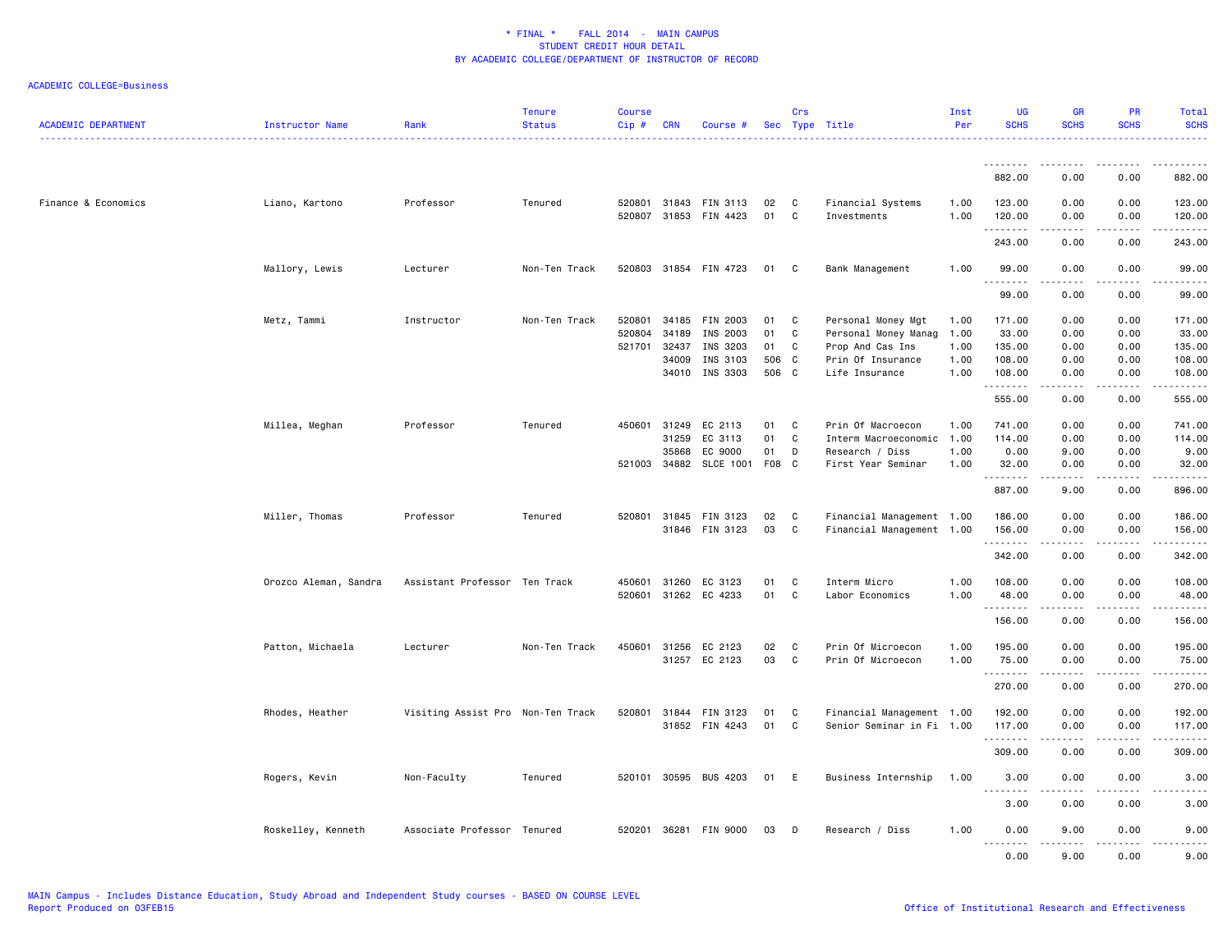| <b>ACADEMIC DEPARTMENT</b> | <b>Instructor Name</b> | Rank                              | <b>Tenure</b><br><b>Status</b> | <b>Course</b><br>Cip# | <b>CRN</b> | Course #                                       |          | Crs         | Sec Type Title                   | Inst<br>Per  | <b>UG</b><br><b>SCHS</b> | <b>GR</b><br><b>SCHS</b> | PR<br><b>SCHS</b>            | Total<br><b>SCHS</b>                                                                                                                          |
|----------------------------|------------------------|-----------------------------------|--------------------------------|-----------------------|------------|------------------------------------------------|----------|-------------|----------------------------------|--------------|--------------------------|--------------------------|------------------------------|-----------------------------------------------------------------------------------------------------------------------------------------------|
|                            |                        |                                   |                                |                       |            |                                                |          |             |                                  |              | .                        |                          |                              |                                                                                                                                               |
|                            |                        |                                   |                                |                       |            |                                                |          |             |                                  |              | 882.00                   | 0.00                     | 0.00                         | 882.00                                                                                                                                        |
| Finance & Economics        | Liano, Kartono         | Professor                         | Tenured                        |                       |            | 520801 31843 FIN 3113<br>520807 31853 FIN 4423 | 02<br>01 | C<br>C      | Financial Systems<br>Investments | 1.00<br>1.00 | 123.00<br>120.00<br>.    | 0.00<br>0.00             | 0.00<br>0.00<br>. <u>.</u> . | 123.00<br>120.00<br>$\begin{array}{cccccccccccccc} \bullet & \bullet & \bullet & \bullet & \bullet & \bullet & \bullet & \bullet \end{array}$ |
|                            |                        |                                   |                                |                       |            |                                                |          |             |                                  |              | 243.00                   | 0.00                     | 0.00                         | 243.00                                                                                                                                        |
|                            | Mallory, Lewis         | Lecturer                          | Non-Ten Track                  |                       |            | 520803 31854 FIN 4723                          | 01       | C           | Bank Management                  | 1.00         | 99.00<br>.               | 0.00<br>.                | 0.00<br>$\sim$ $\sim$ $\sim$ | 99.00<br>.                                                                                                                                    |
|                            |                        |                                   |                                |                       |            |                                                |          |             |                                  |              | 99.00                    | 0.00                     | 0.00                         | 99.00                                                                                                                                         |
|                            | Metz, Tammi            | Instructor                        | Non-Ten Track                  | 520801                |            | 34185 FIN 2003                                 | 01       | C           | Personal Money Mgt               | 1.00         | 171.00                   | 0.00                     | 0.00                         | 171.00                                                                                                                                        |
|                            |                        |                                   |                                | 520804                | 34189      | INS 2003                                       | 01       | C           | Personal Money Manag             | 1.00         | 33.00                    | 0.00                     | 0.00                         | 33.00                                                                                                                                         |
|                            |                        |                                   |                                | 521701                | 32437      | INS 3203                                       | 01       | C           | Prop And Cas Ins                 | 1.00         | 135.00                   | 0.00                     | 0.00                         | 135.00                                                                                                                                        |
|                            |                        |                                   |                                |                       | 34009      | INS 3103                                       | 506      | C           | Prin Of Insurance                | 1.00         | 108.00                   | 0.00                     | 0.00                         | 108.00                                                                                                                                        |
|                            |                        |                                   |                                |                       |            | 34010 INS 3303                                 | 506 C    |             | Life Insurance                   | 1.00         | 108.00<br>.              | 0.00<br>-----            | 0.00<br>د د د د              | 108.00<br>د د د د د د                                                                                                                         |
|                            |                        |                                   |                                |                       |            |                                                |          |             |                                  |              | 555.00                   | 0.00                     | 0.00                         | 555.00                                                                                                                                        |
|                            | Millea, Meghan         | Professor                         | Tenured                        |                       |            | 450601 31249 EC 2113                           | 01       | C           | Prin Of Macroecon                | 1.00         | 741.00                   | 0.00                     | 0.00                         | 741.00                                                                                                                                        |
|                            |                        |                                   |                                |                       | 31259      | EC 3113                                        | 01       | C           | Interm Macroeconomic             | 1.00         | 114.00                   | 0.00                     | 0.00                         | 114.00                                                                                                                                        |
|                            |                        |                                   |                                |                       | 35868      | EC 9000                                        | 01       | D           | Research / Diss                  | 1.00         | 0.00                     | 9.00                     | 0.00                         | 9.00                                                                                                                                          |
|                            |                        |                                   |                                |                       |            | 521003 34882 SLCE 1001                         | F08 C    |             | First Year Seminar               | 1.00         | 32.00                    | 0.00                     | 0.00                         | 32.00                                                                                                                                         |
|                            |                        |                                   |                                |                       |            |                                                |          |             |                                  |              | . <u>.</u>               | .                        | .                            | .                                                                                                                                             |
|                            |                        |                                   |                                |                       |            |                                                |          |             |                                  |              | 887.00                   | 9.00                     | 0.00                         | 896.00                                                                                                                                        |
|                            | Miller, Thomas         | Professor                         | Tenured                        |                       |            | 520801 31845 FIN 3123                          | 02       | C           | Financial Management 1.00        |              | 186.00                   | 0.00                     | 0.00                         | 186.00                                                                                                                                        |
|                            |                        |                                   |                                |                       |            | 31846 FIN 3123                                 | 03       | $\mathbf c$ | Financial Management 1.00        |              | 156.00<br>.              | 0.00                     | 0.00<br>.                    | 156.00<br><u>.</u>                                                                                                                            |
|                            |                        |                                   |                                |                       |            |                                                |          |             |                                  |              | 342.00                   | 0.00                     | 0.00                         | 342.00                                                                                                                                        |
|                            | Orozco Aleman, Sandra  | Assistant Professor Ten Track     |                                | 450601                | 31260      | EC 3123                                        | 01       | C           | Interm Micro                     | 1.00         | 108.00                   | 0.00                     | 0.00                         | 108.00                                                                                                                                        |
|                            |                        |                                   |                                |                       |            | 520601 31262 EC 4233                           | 01       | C           | Labor Economics                  | 1.00         | 48.00                    | 0.00                     | 0.00                         | 48.00                                                                                                                                         |
|                            |                        |                                   |                                |                       |            |                                                |          |             |                                  |              | .                        | -----                    | .                            | 2.2.2.2.2.2                                                                                                                                   |
|                            |                        |                                   |                                |                       |            |                                                |          |             |                                  |              | 156.00                   | 0.00                     | 0.00                         | 156.00                                                                                                                                        |
|                            | Patton, Michaela       | Lecturer                          | Non-Ten Track                  |                       |            | 450601 31256 EC 2123                           | 02       | C           | Prin Of Microecon                | 1.00         | 195.00                   | 0.00                     | 0.00                         | 195.00                                                                                                                                        |
|                            |                        |                                   |                                |                       |            | 31257 EC 2123                                  | 03       | C           | Prin Of Microecon                | 1.00         | 75.00<br>.               | 0.00<br>$- - - - -$      | 0.00<br>د د د د              | 75.00<br>.                                                                                                                                    |
|                            |                        |                                   |                                |                       |            |                                                |          |             |                                  |              | 270.00                   | 0.00                     | 0.00                         | 270.00                                                                                                                                        |
|                            | Rhodes, Heather        | Visiting Assist Pro Non-Ten Track |                                | 520801                |            | 31844 FIN 3123                                 | 01       | C           | Financial Management 1.00        |              | 192.00                   | 0.00                     | 0.00                         | 192.00                                                                                                                                        |
|                            |                        |                                   |                                |                       |            |                                                |          | C           |                                  |              |                          |                          |                              |                                                                                                                                               |
|                            |                        |                                   |                                |                       |            | 31852 FIN 4243                                 | 01       |             | Senior Seminar in Fi 1.00        |              | 117.00<br>.              | 0.00                     | 0.00                         | 117.00<br>$\begin{array}{cccccccccccccc} \bullet & \bullet & \bullet & \bullet & \bullet & \bullet & \bullet & \bullet \end{array}$           |
|                            |                        |                                   |                                |                       |            |                                                |          |             |                                  |              | 309.00                   | 0.00                     | 0.00                         | 309.00                                                                                                                                        |
|                            | Rogers, Kevin          | Non-Faculty                       | Tenured                        |                       |            | 520101 30595 BUS 4203                          | 01       | E           | Business Internship              | 1.00         | 3.00<br>.                | 0.00<br>.                | 0.00<br>.                    | 3.00<br>$- - - - -$                                                                                                                           |
|                            |                        |                                   |                                |                       |            |                                                |          |             |                                  |              | 3.00                     | 0.00                     | 0.00                         | 3.00                                                                                                                                          |
|                            | Roskelley, Kenneth     | Associate Professor Tenured       |                                |                       |            | 520201 36281 FIN 9000                          | 03       | D           | Research / Diss                  | 1.00         | 0.00<br>$- - -$<br>.     | 9.00<br>.                | 0.00<br>----                 | 9.00<br>.                                                                                                                                     |
|                            |                        |                                   |                                |                       |            |                                                |          |             |                                  |              | 0.00                     | 9.00                     | 0.00                         | 9.00                                                                                                                                          |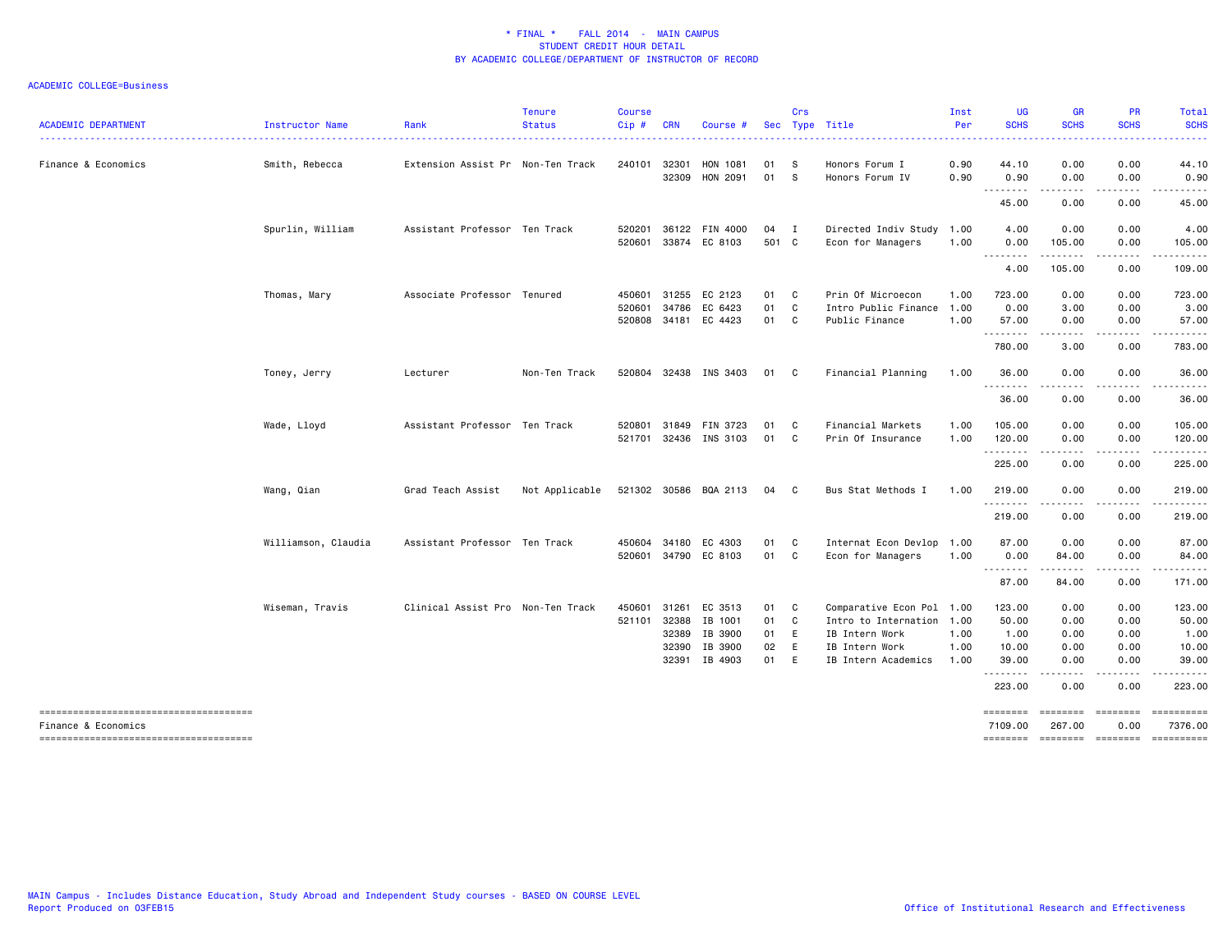| <b>ACADEMIC DEPARTMENT</b>                                   | Instructor Name     | Rank                              | <b>Tenure</b><br><b>Status</b> | <b>Course</b><br>Cip# | <b>CRN</b>     | Course #              |          | Crs          | Sec Type Title                        | Inst<br>Per  | <b>UG</b><br><b>SCHS</b> | <b>GR</b><br><b>SCHS</b>                                                                                                          | <b>PR</b><br><b>SCHS</b> | Total<br><b>SCHS</b>                                                                                                                |
|--------------------------------------------------------------|---------------------|-----------------------------------|--------------------------------|-----------------------|----------------|-----------------------|----------|--------------|---------------------------------------|--------------|--------------------------|-----------------------------------------------------------------------------------------------------------------------------------|--------------------------|-------------------------------------------------------------------------------------------------------------------------------------|
| Finance & Economics                                          | Smith, Rebecca      | Extension Assist Pr Non-Ten Track |                                | 240101 32301          |                | HON 1081              | 01       | -S           | Honors Forum I                        | 0.90         | 44.10                    | 0.00                                                                                                                              | 0.00                     | .<br>44.10                                                                                                                          |
|                                                              |                     |                                   |                                |                       | 32309          | HON 2091              | 01       | -S           | Honors Forum IV                       | 0.90         | 0.90                     | 0.00                                                                                                                              | 0.00                     | 0.90                                                                                                                                |
|                                                              |                     |                                   |                                |                       |                |                       |          |              |                                       |              | .<br>45.00               | -----<br>0.00                                                                                                                     | .<br>0.00                | .<br>45.00                                                                                                                          |
|                                                              | Spurlin, William    | Assistant Professor Ten Track     |                                | 520201                |                | 36122 FIN 4000        | 04       | $\mathbf{I}$ | Directed Indiv Study 1.00             |              | 4.00                     | 0.00                                                                                                                              | 0.00                     | 4.00                                                                                                                                |
|                                                              |                     |                                   |                                |                       |                | 520601 33874 EC 8103  | 501 C    |              | Econ for Managers                     | 1.00         | 0.00<br>.                | 105.00<br>.                                                                                                                       | 0.00<br>-----            | 105.00<br>$\begin{array}{cccccccccccccc} \bullet & \bullet & \bullet & \bullet & \bullet & \bullet & \bullet & \bullet \end{array}$ |
|                                                              |                     |                                   |                                |                       |                |                       |          |              |                                       |              | 4.00                     | 105.00                                                                                                                            | 0.00                     | 109.00                                                                                                                              |
|                                                              | Thomas, Mary        | Associate Professor Tenured       |                                | 450601                | 31255          | EC 2123               | 01       | C            | Prin Of Microecon                     | 1.00         | 723.00                   | 0.00                                                                                                                              | 0.00                     | 723.00                                                                                                                              |
|                                                              |                     |                                   |                                | 520601                | 34786          | EC 6423               | 01       | C            | Intro Public Finance 1.00             |              | 0.00                     | 3.00                                                                                                                              | 0.00                     | 3.00                                                                                                                                |
|                                                              |                     |                                   |                                |                       |                | 520808 34181 EC 4423  | 01       | C            | Public Finance                        | 1.00         | 57.00<br>.               | 0.00<br>.                                                                                                                         | 0.00<br>$- - - -$        | 57.00<br>.                                                                                                                          |
|                                                              |                     |                                   |                                |                       |                |                       |          |              |                                       |              | 780.00                   | 3.00                                                                                                                              | 0.00                     | 783.00                                                                                                                              |
|                                                              | Toney, Jerry        | Lecturer                          | Non-Ten Track                  |                       |                | 520804 32438 INS 3403 | 01       | C            | Financial Planning                    | 1.00         | 36.00<br><u>.</u>        | 0.00                                                                                                                              | 0.00                     | 36.00                                                                                                                               |
|                                                              |                     |                                   |                                |                       |                |                       |          |              |                                       |              | 36.00                    | 0.00                                                                                                                              | 0.00                     | 36.00                                                                                                                               |
|                                                              | Wade, Lloyd         | Assistant Professor Ten Track     |                                | 520801                |                | 31849 FIN 3723        | 01       | C            | Financial Markets                     | 1.00         | 105.00                   | 0.00                                                                                                                              | 0.00                     | 105.00                                                                                                                              |
|                                                              |                     |                                   |                                |                       |                | 521701 32436 INS 3103 | 01       | C            | Prin Of Insurance                     | 1.00         | 120.00                   | 0.00<br>. <b>.</b>                                                                                                                | 0.00<br>.                | 120.00<br>$- - - - - - -$                                                                                                           |
|                                                              |                     |                                   |                                |                       |                |                       |          |              |                                       |              | 225.00                   | 0.00                                                                                                                              | 0.00                     | 225.00                                                                                                                              |
|                                                              | Wang, Qian          | Grad Teach Assist                 | Not Applicable                 |                       |                | 521302 30586 BQA 2113 | 04       | C.           | Bus Stat Methods I                    | 1.00         | 219.00                   | 0.00                                                                                                                              | 0.00                     | 219.00                                                                                                                              |
|                                                              |                     |                                   |                                |                       |                |                       |          |              |                                       |              | .<br>219.00              | .<br>0.00                                                                                                                         | .<br>0.00                | 219.00                                                                                                                              |
|                                                              | Williamson, Claudia | Assistant Professor Ten Track     |                                |                       |                | 450604 34180 EC 4303  | 01       | C            | Internat Econ Devlop                  | 1.00         | 87.00                    | 0.00                                                                                                                              | 0.00                     | 87.00                                                                                                                               |
|                                                              |                     |                                   |                                |                       |                | 520601 34790 EC 8103  | 01       | C            | Econ for Managers                     | 1.00         | 0.00<br>.                | 84.00<br>------                                                                                                                   | 0.00<br>.                | 84.00                                                                                                                               |
|                                                              |                     |                                   |                                |                       |                |                       |          |              |                                       |              | 87.00                    | 84.00                                                                                                                             | 0.00                     | 171.00                                                                                                                              |
|                                                              | Wiseman, Travis     | Clinical Assist Pro Non-Ten Track |                                | 450601                |                | 31261 EC 3513         | 01       | C            | Comparative Econ Pol 1.00             |              | 123.00                   | 0.00                                                                                                                              | 0.00                     | 123.00                                                                                                                              |
|                                                              |                     |                                   |                                |                       |                | 521101 32388 IB 1001  | 01       | C            | Intro to Internation 1.00             |              | 50.00                    | 0.00                                                                                                                              | 0.00                     | 50.00                                                                                                                               |
|                                                              |                     |                                   |                                |                       | 32389          | IB 3900               | 01       | E            | IB Intern Work                        | 1.00         | 1.00                     | 0.00                                                                                                                              | 0.00                     | 1.00                                                                                                                                |
|                                                              |                     |                                   |                                |                       | 32390<br>32391 | IB 3900<br>IB 4903    | 02<br>01 | E<br>E       | IB Intern Work<br>IB Intern Academics | 1.00<br>1.00 | 10.00<br>39.00           | 0.00<br>0.00                                                                                                                      | 0.00<br>0.00             | 10.00<br>39.00                                                                                                                      |
|                                                              |                     |                                   |                                |                       |                |                       |          |              |                                       |              | .<br>223.00              | $\frac{1}{2} \left( \frac{1}{2} \right) \left( \frac{1}{2} \right) \left( \frac{1}{2} \right) \left( \frac{1}{2} \right)$<br>0.00 | .<br>0.00                | .<br>223.00                                                                                                                         |
| -------------------------------------                        |                     |                                   |                                |                       |                |                       |          |              |                                       |              | ========                 | ========                                                                                                                          | <b>ESSESSE</b>           |                                                                                                                                     |
| Finance & Economics<br>------------------------------------- |                     |                                   |                                |                       |                |                       |          |              |                                       |              | 7109.00<br>========      | 267.00<br>--------- --------                                                                                                      | 0.00                     | 7376.00                                                                                                                             |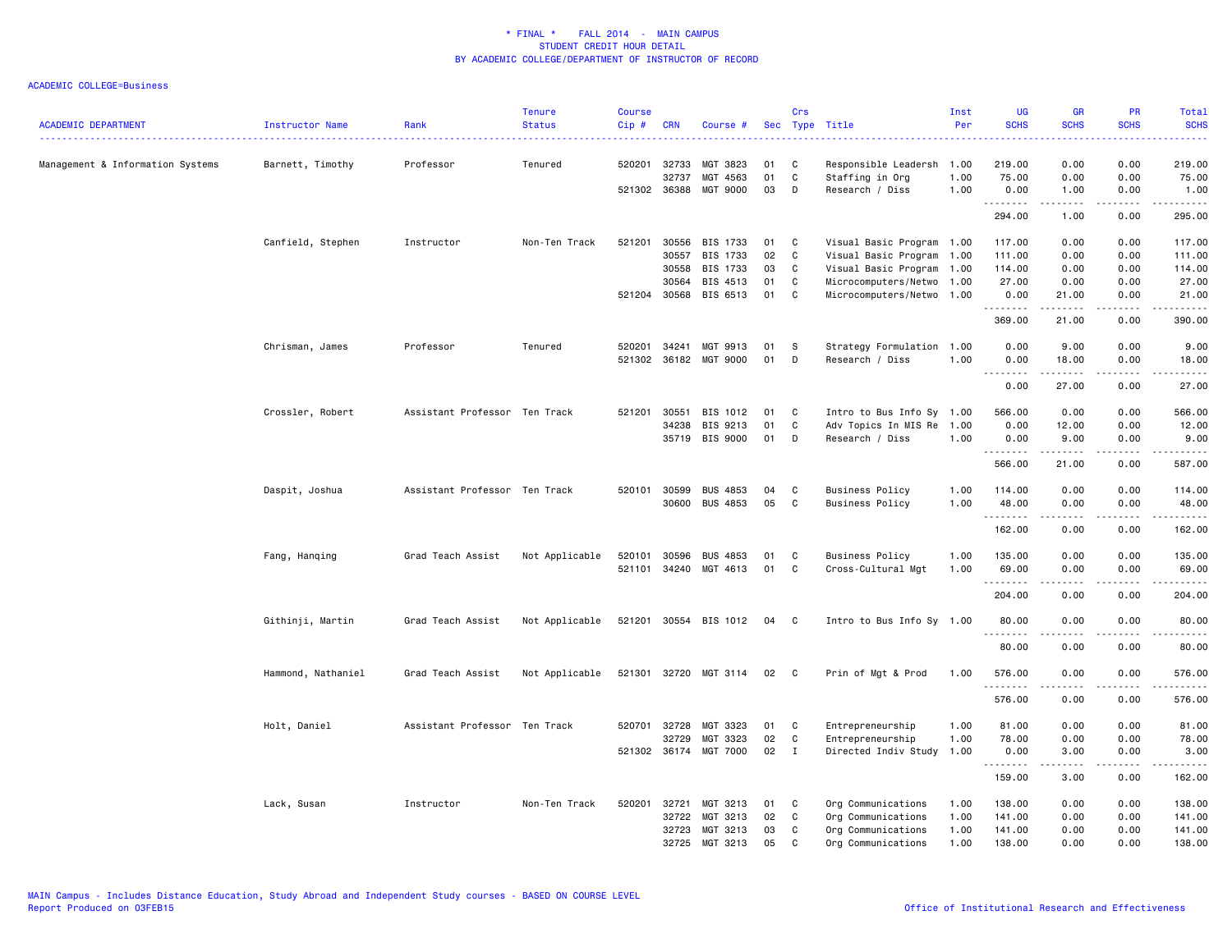| <b>ACADEMIC DEPARTMENT</b>       | Instructor Name    | Rank                          | <b>Tenure</b><br><b>Status</b> | <b>Course</b><br>$Cip \#$ | <b>CRN</b>   | Course #                   |          | Crs          | Sec Type Title                               | Inst<br>Per | <b>UG</b><br><b>SCHS</b> | <b>GR</b><br><b>SCHS</b>                                                                                                                                      | PR<br><b>SCHS</b>                                                                                                         | Total<br><b>SCHS</b><br>بالأبالات |
|----------------------------------|--------------------|-------------------------------|--------------------------------|---------------------------|--------------|----------------------------|----------|--------------|----------------------------------------------|-------------|--------------------------|---------------------------------------------------------------------------------------------------------------------------------------------------------------|---------------------------------------------------------------------------------------------------------------------------|-----------------------------------|
| Management & Information Systems | Barnett, Timothy   | Professor                     | Tenured                        |                           | 520201 32733 | MGT 3823                   | 01       | C            | Responsible Leadersh 1.00                    |             | 219.00                   | 0.00                                                                                                                                                          | 0.00                                                                                                                      | 219.00                            |
|                                  |                    |                               |                                |                           | 32737        | MGT 4563                   | 01       | C            | Staffing in Org                              | 1.00        | 75.00                    | 0.00                                                                                                                                                          | 0.00                                                                                                                      | 75.00                             |
|                                  |                    |                               |                                |                           | 521302 36388 | MGT 9000                   | 03       | D            | Research / Diss                              | 1.00        | 0.00<br>.                | 1.00<br>$\begin{array}{cccccccccc} \bullet & \bullet & \bullet & \bullet & \bullet & \bullet & \bullet \end{array}$                                           | 0.00<br>.                                                                                                                 | 1.00<br>.                         |
|                                  |                    |                               |                                |                           |              |                            |          |              |                                              |             | 294.00                   | 1.00                                                                                                                                                          | 0.00                                                                                                                      | 295.00                            |
|                                  | Canfield, Stephen  | Instructor                    | Non-Ten Track                  | 521201                    | 30556        | BIS 1733                   | 01       | C            | Visual Basic Program 1.00                    |             | 117.00                   | 0.00                                                                                                                                                          | 0.00                                                                                                                      | 117.00                            |
|                                  |                    |                               |                                |                           | 30557        | BIS 1733                   | 02       | C            | Visual Basic Program 1.00                    |             | 111.00                   | 0.00                                                                                                                                                          | 0.00                                                                                                                      | 111.00                            |
|                                  |                    |                               |                                |                           | 30558        | BIS 1733                   | 03       | C            | Visual Basic Program 1.00                    |             | 114.00                   | 0.00                                                                                                                                                          | 0.00                                                                                                                      | 114.00                            |
|                                  |                    |                               |                                |                           | 30564        | BIS 4513                   | 01       | C            | Microcomputers/Netwo 1.00                    |             | 27.00                    | 0.00                                                                                                                                                          | 0.00                                                                                                                      | 27.00                             |
|                                  |                    |                               |                                |                           | 521204 30568 | BIS 6513                   | 01       | C            | Microcomputers/Netwo 1.00                    |             | 0.00<br>.                | 21.00<br>$\frac{1}{2} \left( \frac{1}{2} \right) \left( \frac{1}{2} \right) \left( \frac{1}{2} \right) \left( \frac{1}{2} \right) \left( \frac{1}{2} \right)$ | 0.00<br>$- - - -$                                                                                                         | 21.00<br>.                        |
|                                  |                    |                               |                                |                           |              |                            |          |              |                                              |             | 369.00                   | 21.00                                                                                                                                                         | 0.00                                                                                                                      | 390.00                            |
|                                  | Chrisman, James    | Professor                     | Tenured                        | 520201                    | 34241        | MGT 9913                   | 01       | S            | Strategy Formulation 1.00                    |             | 0.00                     | 9.00                                                                                                                                                          | 0.00                                                                                                                      | 9.00                              |
|                                  |                    |                               |                                |                           |              | 521302 36182 MGT 9000      | 01       | Ð            | Research / Diss                              | 1.00        | 0.00                     | 18.00                                                                                                                                                         | 0.00                                                                                                                      | 18.00                             |
|                                  |                    |                               |                                |                           |              |                            |          |              |                                              |             | 1.1.1.1.1.1.1<br>0.00    | المتمامين<br>27.00                                                                                                                                            | .<br>0.00                                                                                                                 | المتمالين<br>27.00                |
|                                  |                    |                               |                                |                           |              |                            |          |              |                                              |             |                          |                                                                                                                                                               |                                                                                                                           |                                   |
|                                  | Crossler, Robert   | Assistant Professor Ten Track |                                | 521201                    | 30551        | BIS 1012                   | 01<br>01 | C<br>C       | Intro to Bus Info Sy 1.00                    |             | 566.00                   | 0.00                                                                                                                                                          | 0.00                                                                                                                      | 566.00<br>12.00                   |
|                                  |                    |                               |                                |                           | 34238        | BIS 9213<br>35719 BIS 9000 | 01       | D            | Adv Topics In MIS Re 1.00<br>Research / Diss | 1.00        | 0.00<br>0.00             | 12.00<br>9.00                                                                                                                                                 | 0.00<br>0.00                                                                                                              | 9.00                              |
|                                  |                    |                               |                                |                           |              |                            |          |              |                                              |             | .                        | .                                                                                                                                                             | .                                                                                                                         | .                                 |
|                                  |                    |                               |                                |                           |              |                            |          |              |                                              |             | 566.00                   | 21.00                                                                                                                                                         | 0.00                                                                                                                      | 587.00                            |
|                                  | Daspit, Joshua     | Assistant Professor Ten Track |                                | 520101                    | 30599        | <b>BUS 4853</b>            | 04       | C            | <b>Business Policy</b>                       | 1.00        | 114.00                   | 0.00                                                                                                                                                          | 0.00                                                                                                                      | 114.00                            |
|                                  |                    |                               |                                |                           | 30600        | <b>BUS 4853</b>            | 05       | C            | <b>Business Policy</b>                       | 1.00        | 48.00                    | 0.00                                                                                                                                                          | 0.00                                                                                                                      | 48.00                             |
|                                  |                    |                               |                                |                           |              |                            |          |              |                                              |             | .<br>162.00              | -----<br>0.00                                                                                                                                                 | .<br>0.00                                                                                                                 | 162.00                            |
|                                  |                    |                               |                                |                           |              |                            |          |              |                                              |             |                          |                                                                                                                                                               |                                                                                                                           |                                   |
|                                  | Fang, Hanging      | Grad Teach Assist             | Not Applicable                 | 520101                    | 30596        | <b>BUS 4853</b>            | 01       | C            | <b>Business Policy</b>                       | 1.00        | 135.00                   | 0.00                                                                                                                                                          | 0.00                                                                                                                      | 135.00                            |
|                                  |                    |                               |                                |                           | 521101 34240 | MGT 4613                   | 01       | C            | Cross-Cultural Mgt                           | 1.00        | 69.00                    | 0.00                                                                                                                                                          | 0.00                                                                                                                      | 69.00                             |
|                                  |                    |                               |                                |                           |              |                            |          |              |                                              |             | .<br>204.00              | $\frac{1}{2} \left( \frac{1}{2} \right) \left( \frac{1}{2} \right) \left( \frac{1}{2} \right) \left( \frac{1}{2} \right) \left( \frac{1}{2} \right)$<br>0.00  | .<br>0.00                                                                                                                 | 204.00                            |
|                                  | Githinji, Martin   | Grad Teach Assist             | Not Applicable                 |                           | 521201 30554 | BIS 1012                   | 04       | C.           | Intro to Bus Info Sy 1.00                    |             | 80.00                    | 0.00                                                                                                                                                          | 0.00                                                                                                                      | 80.00                             |
|                                  |                    |                               |                                |                           |              |                            |          |              |                                              |             | .                        |                                                                                                                                                               | $\frac{1}{2} \left( \frac{1}{2} \right) \left( \frac{1}{2} \right) \left( \frac{1}{2} \right) \left( \frac{1}{2} \right)$ | .                                 |
|                                  |                    |                               |                                |                           |              |                            |          |              |                                              |             | 80.00                    | 0.00                                                                                                                                                          | 0.00                                                                                                                      | 80.00                             |
|                                  | Hammond, Nathaniel | Grad Teach Assist             | Not Applicable                 |                           |              | 521301 32720 MGT 3114      | 02       | C.           | Prin of Mgt & Prod                           | 1.00        | 576.00<br>.              | 0.00                                                                                                                                                          | 0.00                                                                                                                      | 576.00                            |
|                                  |                    |                               |                                |                           |              |                            |          |              |                                              |             | 576.00                   | 0.00                                                                                                                                                          | 0.00                                                                                                                      | 576.00                            |
|                                  | Holt, Daniel       | Assistant Professor Ten Track |                                | 520701                    | 32728        | MGT 3323                   | 01       | C            | Entrepreneurship                             | 1.00        | 81.00                    | 0.00                                                                                                                                                          | 0.00                                                                                                                      | 81.00                             |
|                                  |                    |                               |                                |                           | 32729        | MGT 3323                   | 02       | C            | Entrepreneurship                             | 1.00        | 78.00                    | 0.00                                                                                                                                                          | 0.00                                                                                                                      | 78.00                             |
|                                  |                    |                               |                                |                           |              | 521302 36174 MGT 7000      | 02       | $\mathbf{I}$ | Directed Indiv Study                         | 1.00        | 0.00<br>.                | 3.00<br>-----                                                                                                                                                 | 0.00<br>$\cdots$                                                                                                          | 3.00<br>.                         |
|                                  |                    |                               |                                |                           |              |                            |          |              |                                              |             | 159.00                   | 3.00                                                                                                                                                          | 0.00                                                                                                                      | 162.00                            |
|                                  | Lack, Susan        | Instructor                    | Non-Ten Track                  | 520201                    | 32721        | MGT 3213                   | 01       | C            | Org Communications                           | 1.00        | 138.00                   | 0.00                                                                                                                                                          | 0.00                                                                                                                      | 138.00                            |
|                                  |                    |                               |                                |                           | 32722        | MGT 3213                   | 02       | C            | Org Communications                           | 1.00        | 141.00                   | 0.00                                                                                                                                                          | 0.00                                                                                                                      | 141.00                            |
|                                  |                    |                               |                                |                           | 32723        | MGT 3213                   | 03       | C            | Org Communications                           | 1.00        | 141.00                   | 0.00                                                                                                                                                          | 0.00                                                                                                                      | 141.00                            |
|                                  |                    |                               |                                |                           | 32725        | MGT 3213                   | 05       | C            | Org Communications                           | 1.00        | 138.00                   | 0.00                                                                                                                                                          | 0.00                                                                                                                      | 138.00                            |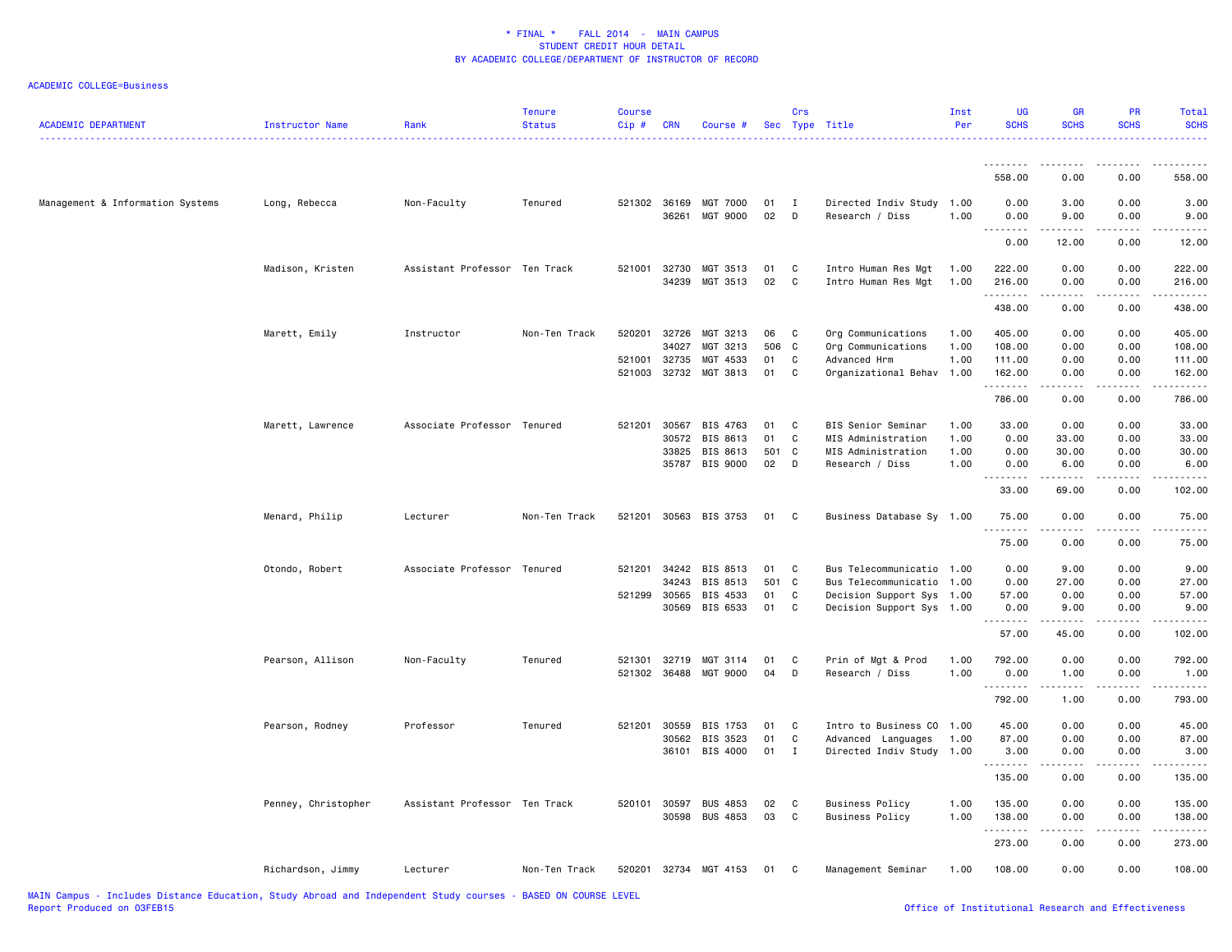| <b>ACADEMIC DEPARTMENT</b>       | Instructor Name     | Rank                          | <b>Tenure</b><br><b>Status</b> | <b>Course</b><br>Cip#  | <b>CRN</b>              | Course #                                           |                       | Crs                         | Sec Type Title                                                                                                   | Inst<br>Per                  | UG<br><b>SCHS</b>                         | <b>GR</b><br><b>SCHS</b>                                                                                                                                             | <b>PR</b><br><b>SCHS</b>                             | Total<br><b>SCHS</b>                 |
|----------------------------------|---------------------|-------------------------------|--------------------------------|------------------------|-------------------------|----------------------------------------------------|-----------------------|-----------------------------|------------------------------------------------------------------------------------------------------------------|------------------------------|-------------------------------------------|----------------------------------------------------------------------------------------------------------------------------------------------------------------------|------------------------------------------------------|--------------------------------------|
|                                  |                     |                               |                                |                        |                         |                                                    |                       |                             |                                                                                                                  |                              |                                           |                                                                                                                                                                      |                                                      |                                      |
|                                  |                     |                               |                                |                        |                         |                                                    |                       |                             |                                                                                                                  |                              | 558.00                                    | 0.00                                                                                                                                                                 | 0.00                                                 | 558.00                               |
| Management & Information Systems | Long, Rebecca       | Non-Faculty                   | Tenured                        | 521302 36169           | 36261                   | MGT 7000<br>MGT 9000                               | 01<br>02              | I<br>D                      | Directed Indiv Study 1.00<br>Research / Diss                                                                     | 1.00                         | 0.00<br>0.00                              | 3.00<br>9.00                                                                                                                                                         | 0.00<br>0.00                                         | 3.00<br>9.00                         |
|                                  |                     |                               |                                |                        |                         |                                                    |                       |                             |                                                                                                                  |                              | .,<br>$\sim$ $\sim$ $\sim$ $\sim$<br>0.00 | 12.00                                                                                                                                                                | 0.00                                                 | 12.00                                |
|                                  | Madison, Kristen    | Assistant Professor Ten Track |                                | 521001 32730           | 34239                   | MGT 3513<br>MGT 3513                               | 01<br>02              | C<br>C                      | Intro Human Res Mgt<br>Intro Human Res Mgt                                                                       | 1.00<br>1.00                 | 222.00<br>216.00<br>.                     | 0.00<br>0.00<br>$\frac{1}{2} \left( \frac{1}{2} \right) \left( \frac{1}{2} \right) \left( \frac{1}{2} \right) \left( \frac{1}{2} \right) \left( \frac{1}{2} \right)$ | 0.00<br>0.00<br>.                                    | 222.00<br>216.00<br>.                |
|                                  |                     |                               |                                |                        |                         |                                                    |                       |                             |                                                                                                                  |                              | 438.00                                    | 0.00                                                                                                                                                                 | 0.00                                                 | 438.00                               |
|                                  | Marett, Emily       | Instructor                    | Non-Ten Track                  | 520201<br>521001       | 32726<br>34027<br>32735 | MGT 3213<br>MGT 3213<br>MGT 4533                   | 06<br>506<br>01       | C<br>C<br>C                 | Org Communications<br>Org Communications<br>Advanced Hrm                                                         | 1.00<br>1.00<br>1.00         | 405.00<br>108.00<br>111.00                | 0.00<br>0.00<br>0.00                                                                                                                                                 | 0.00<br>0.00<br>0.00                                 | 405.00<br>108.00<br>111.00           |
|                                  |                     |                               |                                | 521003 32732           |                         | MGT 3813                                           | 01                    | $\mathbf c$                 | Organizational Behav 1.00                                                                                        |                              | 162.00<br>.                               | 0.00                                                                                                                                                                 | 0.00                                                 | 162.00<br>$- - - - - -$              |
|                                  |                     |                               |                                |                        |                         |                                                    |                       |                             |                                                                                                                  |                              | 786.00                                    | 0.00                                                                                                                                                                 | 0.00                                                 | 786.00                               |
|                                  | Marett, Lawrence    | Associate Professor Tenured   |                                | 521201 30567           | 30572<br>33825          | BIS 4763<br>BIS 8613<br>BIS 8613<br>35787 BIS 9000 | 01<br>01<br>501<br>02 | C<br>C<br>C<br>D            | BIS Senior Seminar<br>MIS Administration<br>MIS Administration<br>Research / Diss                                | 1.00<br>1.00<br>1.00<br>1.00 | 33.00<br>0.00<br>0.00<br>0.00<br>.        | 0.00<br>33.00<br>30.00<br>6.00<br>$\frac{1}{2}$                                                                                                                      | 0.00<br>0.00<br>0.00<br>0.00<br>$\sim$ $\sim$ $\sim$ | 33.00<br>33.00<br>30.00<br>6.00<br>. |
|                                  |                     |                               |                                |                        |                         |                                                    |                       |                             |                                                                                                                  |                              | 33.00                                     | 69.00                                                                                                                                                                | 0.00                                                 | 102.00                               |
|                                  | Menard, Philip      | Lecturer                      | Non-Ten Track                  | 521201                 |                         | 30563 BIS 3753                                     | 01                    | C                           | Business Database Sy 1.00                                                                                        |                              | 75.00<br>د د د د د                        | 0.00                                                                                                                                                                 | 0.00<br>.                                            | 75.00                                |
|                                  |                     |                               |                                |                        |                         |                                                    |                       |                             |                                                                                                                  |                              | 75.00                                     | 0.00                                                                                                                                                                 | 0.00                                                 | 75.00                                |
|                                  | Otondo, Robert      | Associate Professor Tenured   |                                | 521201<br>521299 30565 | 34242<br>34243<br>30569 | BIS 8513<br>BIS 8513<br>BIS 4533<br>BIS 6533       | 01<br>501<br>01<br>01 | C<br>$\mathbf{C}$<br>C<br>C | Bus Telecommunicatio 1.00<br>Bus Telecommunicatio 1.00<br>Decision Support Sys 1.00<br>Decision Support Sys 1.00 |                              | 0.00<br>0.00<br>57.00<br>0.00             | 9.00<br>27.00<br>0.00<br>9.00                                                                                                                                        | 0.00<br>0.00<br>0.00<br>0.00                         | 9.00<br>27.00<br>57.00<br>9.00       |
|                                  |                     |                               |                                |                        |                         |                                                    |                       |                             |                                                                                                                  |                              | .<br>57.00                                | د د د د د<br>45.00                                                                                                                                                   | .<br>0.00                                            | .<br>102.00                          |
|                                  | Pearson, Allison    | Non-Faculty                   | Tenured                        | 521301                 | 32719                   | MGT 3114<br>521302 36488 MGT 9000                  | 01<br>04              | C<br>D                      | Prin of Mgt & Prod<br>Research / Diss                                                                            | 1.00<br>1.00                 | 792.00<br>0.00<br>.                       | 0.00<br>1.00<br>.                                                                                                                                                    | 0.00<br>0.00                                         | 792.00<br>1.00<br>.                  |
|                                  |                     |                               |                                |                        |                         |                                                    |                       |                             |                                                                                                                  |                              | 792.00                                    | 1.00                                                                                                                                                                 | 0.00                                                 | 793.00                               |
|                                  | Pearson, Rodney     | Professor                     | Tenured                        | 521201                 | 30559<br>30562          | BIS 1753<br>BIS 3523<br>36101 BIS 4000             | 01<br>01<br>01        | C<br>C<br>$\mathbf{I}$      | Intro to Business CO 1.00<br>Advanced Languages<br>Directed Indiv Study 1.00                                     | 1.00                         | 45.00<br>87.00<br>3.00                    | 0.00<br>0.00<br>0.00                                                                                                                                                 | 0.00<br>0.00<br>0.00                                 | 45.00<br>87.00<br>3.00               |
|                                  |                     |                               |                                |                        |                         |                                                    |                       |                             |                                                                                                                  |                              | .<br>135.00                               | $- - - - -$<br>0.00                                                                                                                                                  | .<br>0.00                                            | .<br>135.00                          |
|                                  | Penney, Christopher | Assistant Professor Ten Track |                                |                        | 30598                   | 520101 30597 BUS 4853<br><b>BUS 4853</b>           | 02<br>03              | C<br>C                      | <b>Business Policy</b><br><b>Business Policy</b>                                                                 | 1.00<br>1.00                 | 135.00<br>138.00                          | 0.00<br>0.00                                                                                                                                                         | 0.00<br>0.00                                         | 135.00<br>138.00                     |
|                                  |                     |                               |                                |                        |                         |                                                    |                       |                             |                                                                                                                  |                              | .<br>273.00                               | .<br>0.00                                                                                                                                                            | .<br>0.00                                            | $- - - - - - -$<br>273.00            |
|                                  | Richardson, Jimmy   | Lecturer                      | Non-Ten Track                  | 520201                 |                         | 32734 MGT 4153                                     | 01                    | C                           | Management Seminar                                                                                               | 1.00                         | 108.00                                    | 0.00                                                                                                                                                                 | 0.00                                                 | 108.00                               |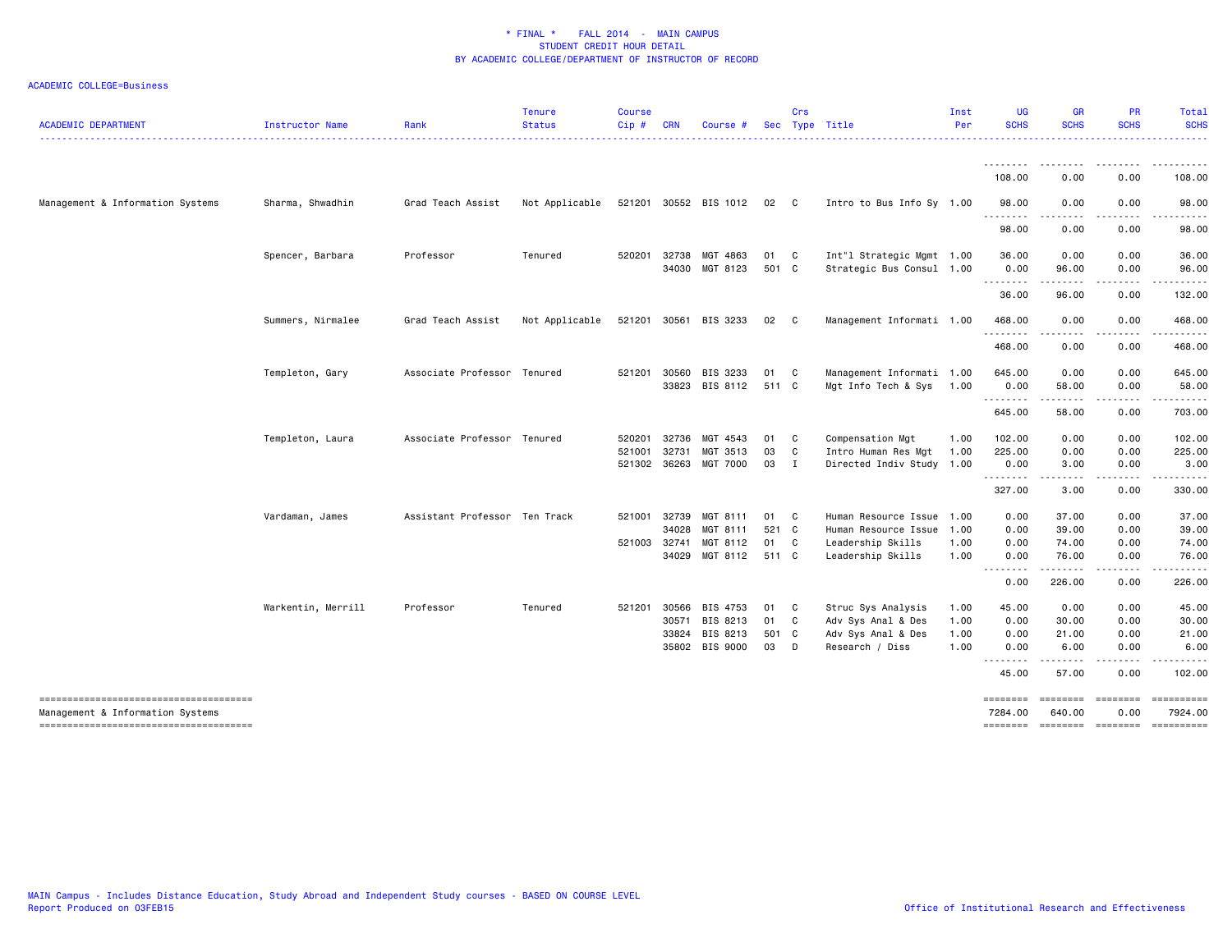| <b>ACADEMIC DEPARTMENT</b>                                                | Instructor Name    | Rank                          | <b>Tenure</b><br><b>Status</b> | <b>Course</b><br>Cip# | <b>CRN</b> | Course #              | Sec   | Crs            | Type Title                | Inst<br>Per | <b>UG</b><br><b>SCHS</b> | <b>GR</b><br><b>SCHS</b>   | <b>PR</b><br><b>SCHS</b>                                                                                                                                                                                                                                                                                                                                                                                                                   | Total<br><b>SCHS</b>    |
|---------------------------------------------------------------------------|--------------------|-------------------------------|--------------------------------|-----------------------|------------|-----------------------|-------|----------------|---------------------------|-------------|--------------------------|----------------------------|--------------------------------------------------------------------------------------------------------------------------------------------------------------------------------------------------------------------------------------------------------------------------------------------------------------------------------------------------------------------------------------------------------------------------------------------|-------------------------|
|                                                                           |                    |                               |                                |                       |            |                       |       |                |                           |             | .                        |                            |                                                                                                                                                                                                                                                                                                                                                                                                                                            |                         |
|                                                                           |                    |                               |                                |                       |            |                       |       |                |                           |             | 108.00                   | 0.00                       | 0.00                                                                                                                                                                                                                                                                                                                                                                                                                                       | 108.00                  |
| Management & Information Systems                                          | Sharma, Shwadhin   | Grad Teach Assist             | Not Applicable                 |                       |            | 521201 30552 BIS 1012 | 02 C  |                | Intro to Bus Info Sy 1.00 |             | 98.00<br>.               | 0.00<br>.                  | 0.00<br>$\frac{1}{2} \left( \frac{1}{2} \right) \left( \frac{1}{2} \right) \left( \frac{1}{2} \right) \left( \frac{1}{2} \right) \left( \frac{1}{2} \right)$                                                                                                                                                                                                                                                                               | 98.00<br>.              |
|                                                                           |                    |                               |                                |                       |            |                       |       |                |                           |             | 98.00                    | 0.00                       | 0.00                                                                                                                                                                                                                                                                                                                                                                                                                                       | 98.00                   |
|                                                                           | Spencer, Barbara   | Professor                     | Tenured                        | 520201                | 32738      | MGT 4863              | 01    | C              | Int"l Strategic Mgmt 1.00 |             | 36.00                    | 0.00                       | 0.00                                                                                                                                                                                                                                                                                                                                                                                                                                       | 36.00                   |
|                                                                           |                    |                               |                                |                       | 34030      | MGT 8123              | 501 C |                | Strategic Bus Consul 1.00 |             | 0.00<br>.                | 96.00<br>-----             | 0.00                                                                                                                                                                                                                                                                                                                                                                                                                                       | 96.00                   |
|                                                                           |                    |                               |                                |                       |            |                       |       |                |                           |             | 36.00                    | 96.00                      | 0.00                                                                                                                                                                                                                                                                                                                                                                                                                                       | 132.00                  |
|                                                                           | Summers, Nirmalee  | Grad Teach Assist             | Not Applicable                 | 521201 30561          |            | BIS 3233              | 02    | C              | Management Informati 1.00 |             | 468.00<br>.              | 0.00<br>.                  | 0.00<br>.                                                                                                                                                                                                                                                                                                                                                                                                                                  | 468.00<br>.             |
|                                                                           |                    |                               |                                |                       |            |                       |       |                |                           |             | 468.00                   | 0.00                       | 0.00                                                                                                                                                                                                                                                                                                                                                                                                                                       | 468.00                  |
|                                                                           | Templeton, Gary    | Associate Professor Tenured   |                                | 521201                | 30560      | BIS 3233              | 01    | C              | Management Informati 1.00 |             | 645.00                   | 0.00                       | 0.00                                                                                                                                                                                                                                                                                                                                                                                                                                       | 645.00                  |
|                                                                           |                    |                               |                                |                       | 33823      | BIS 8112              | 511 C |                | Mgt Info Tech & Sys       | 1.00        | 0.00                     | 58.00                      | 0.00                                                                                                                                                                                                                                                                                                                                                                                                                                       | 58.00                   |
|                                                                           |                    |                               |                                |                       |            |                       |       |                |                           |             | .<br>645.00              | .<br>58.00                 | 0.00                                                                                                                                                                                                                                                                                                                                                                                                                                       | $\frac{1}{2}$<br>703.00 |
|                                                                           | Templeton, Laura   | Associate Professor Tenured   |                                | 520201                | 32736      | MGT 4543              | 01    | C              | Compensation Mgt          | 1.00        | 102.00                   | 0.00                       | 0.00                                                                                                                                                                                                                                                                                                                                                                                                                                       | 102.00                  |
|                                                                           |                    |                               |                                | 521001                | 32731      | MGT 3513              | 03    | C              | Intro Human Res Mgt       | 1.00        | 225.00                   | 0.00                       | 0.00                                                                                                                                                                                                                                                                                                                                                                                                                                       | 225.00                  |
|                                                                           |                    |                               |                                | 521302 36263          |            | MGT 7000              | 03    | $\blacksquare$ | Directed Indiv Study 1.00 |             | 0.00<br>--------         | 3.00                       | 0.00<br>-----                                                                                                                                                                                                                                                                                                                                                                                                                              | 3.00<br>.               |
|                                                                           |                    |                               |                                |                       |            |                       |       |                |                           |             | 327.00                   | 3.00                       | 0.00                                                                                                                                                                                                                                                                                                                                                                                                                                       | 330.00                  |
|                                                                           | Vardaman, James    | Assistant Professor Ten Track |                                | 521001                | 32739      | MGT 8111              | 01    | $\mathbf{C}$   | Human Resource Issue 1.00 |             | 0.00                     | 37.00                      | 0.00                                                                                                                                                                                                                                                                                                                                                                                                                                       | 37.00                   |
|                                                                           |                    |                               |                                |                       | 34028      | MGT 8111              | 521 C |                | Human Resource Issue      | 1.00        | 0.00                     | 39.00                      | 0.00                                                                                                                                                                                                                                                                                                                                                                                                                                       | 39.00                   |
|                                                                           |                    |                               |                                | 521003 32741          |            | MGT 8112              | 01    | C              | Leadership Skills         | 1.00        | 0.00                     | 74.00                      | 0.00                                                                                                                                                                                                                                                                                                                                                                                                                                       | 74.00                   |
|                                                                           |                    |                               |                                |                       | 34029      | MGT 8112              | 511 C |                | Leadership Skills         | 1.00        | 0.00<br>.                | 76.00<br><u>.</u>          | 0.00<br>.                                                                                                                                                                                                                                                                                                                                                                                                                                  | 76.00<br>.              |
|                                                                           |                    |                               |                                |                       |            |                       |       |                |                           |             | 0.00                     | 226.00                     | 0.00                                                                                                                                                                                                                                                                                                                                                                                                                                       | 226.00                  |
|                                                                           | Warkentin, Merrill | Professor                     | Tenured                        | 521201                | 30566      | BIS 4753              | 01    | C.             | Struc Sys Analysis        | 1.00        | 45.00                    | 0.00                       | 0.00                                                                                                                                                                                                                                                                                                                                                                                                                                       | 45.00                   |
|                                                                           |                    |                               |                                |                       | 30571      | BIS 8213              | 01    | C              | Adv Sys Anal & Des        | 1.00        | 0.00                     | 30.00                      | 0.00                                                                                                                                                                                                                                                                                                                                                                                                                                       | 30.00                   |
|                                                                           |                    |                               |                                |                       | 33824      | BIS 8213              | 501 C |                | Adv Sys Anal & Des        | 1.00        | 0.00                     | 21.00                      | 0.00                                                                                                                                                                                                                                                                                                                                                                                                                                       | 21.00                   |
|                                                                           |                    |                               |                                |                       |            | 35802 BIS 9000        | 03    | D              | Research / Diss           | 1.00        | 0.00<br>.                | 6.00<br>------             | 0.00<br>-----                                                                                                                                                                                                                                                                                                                                                                                                                              | 6.00<br>.               |
|                                                                           |                    |                               |                                |                       |            |                       |       |                |                           |             | 45.00                    | 57.00                      | 0.00                                                                                                                                                                                                                                                                                                                                                                                                                                       | 102.00                  |
| -------------------------------------<br>Management & Information Systems |                    |                               |                                |                       |            |                       |       |                |                           |             | ========<br>7284.00      | <b>ESSESSE</b><br>640.00   | $\begin{array}{ccc}\n \texttt{m} & \texttt{m} & \texttt{m} & \texttt{m} & \texttt{m} & \texttt{m} & \texttt{m} & \texttt{m} & \texttt{m} & \texttt{m} & \texttt{m} & \texttt{m} & \texttt{m} & \texttt{m} & \texttt{m} & \texttt{m} & \texttt{m} & \texttt{m} & \texttt{m} & \texttt{m} & \texttt{m} & \texttt{m} & \texttt{m} & \texttt{m} & \texttt{m} & \texttt{m} & \texttt{m} & \texttt{m} & \texttt{m} & \texttt{m} & \text$<br>0.00 | 7924.00                 |
| --------------------------------------                                    |                    |                               |                                |                       |            |                       |       |                |                           |             |                          | ======== ======== ======== |                                                                                                                                                                                                                                                                                                                                                                                                                                            | ==========              |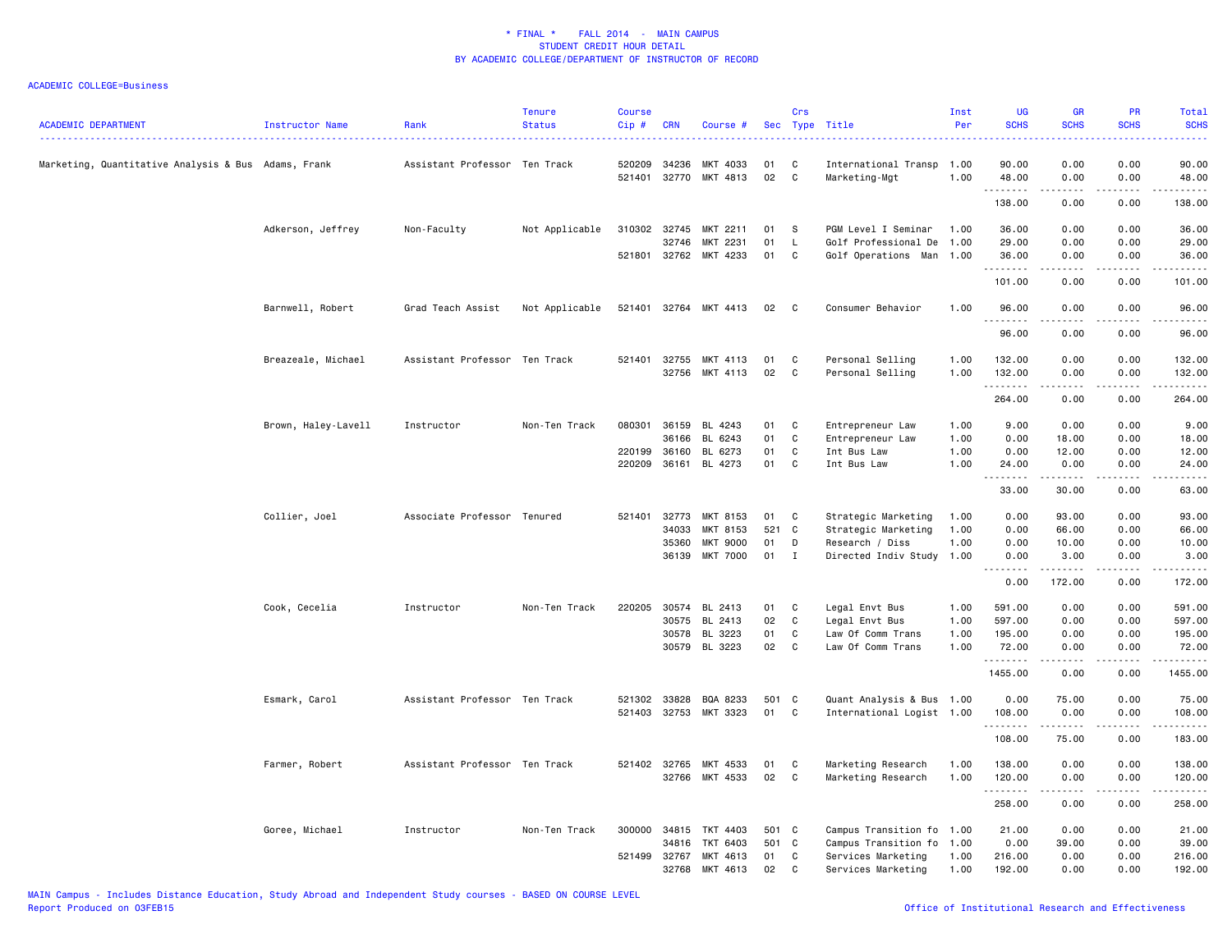| <b>ACADEMIC DEPARTMENT</b>                          | <b>Instructor Name</b> | Rank                          | <b>Tenure</b><br><b>Status</b> | <b>Course</b><br>Cip# | <b>CRN</b>            | Course #              |          | Crs          | Sec Type Title                        | Inst<br>Per  | <b>UG</b><br><b>SCHS</b>        | <b>GR</b><br><b>SCHS</b>                                                                                                                                     | <b>PR</b><br><b>SCHS</b>     | Total<br><b>SCHS</b><br>. |
|-----------------------------------------------------|------------------------|-------------------------------|--------------------------------|-----------------------|-----------------------|-----------------------|----------|--------------|---------------------------------------|--------------|---------------------------------|--------------------------------------------------------------------------------------------------------------------------------------------------------------|------------------------------|---------------------------|
| Marketing, Quantitative Analysis & Bus Adams, Frank |                        | Assistant Professor Ten Track |                                | 520209                | 34236<br>521401 32770 | MKT 4033<br>MKT 4813  | 01<br>02 | C<br>C       | International Transp<br>Marketing-Mgt | 1.00<br>1.00 | 90.00<br>48.00                  | 0.00<br>0.00                                                                                                                                                 | 0.00<br>0.00                 | 90.00<br>48.00            |
|                                                     |                        |                               |                                |                       |                       |                       |          |              |                                       |              | .<br>138.00                     | $\frac{1}{2} \left( \frac{1}{2} \right) \left( \frac{1}{2} \right) \left( \frac{1}{2} \right) \left( \frac{1}{2} \right) \left( \frac{1}{2} \right)$<br>0.00 | .<br>0.00                    | ------<br>138.00          |
|                                                     | Adkerson, Jeffrey      | Non-Faculty                   | Not Applicable                 | 310302 32745          |                       | MKT 2211              | 01       | <b>S</b>     | PGM Level I Seminar                   | 1.00         | 36.00                           | 0.00                                                                                                                                                         | 0.00                         | 36.00                     |
|                                                     |                        |                               |                                |                       | 32746                 | MKT 2231              | 01       | L            | Golf Professional De 1.00             |              | 29.00                           | 0.00                                                                                                                                                         | 0.00                         | 29.00                     |
|                                                     |                        |                               |                                |                       |                       | 521801 32762 MKT 4233 | 01       | C            | Golf Operations Man 1.00              |              | 36.00<br>.                      | 0.00<br>.                                                                                                                                                    | 0.00<br>$\frac{1}{2}$        | 36.00<br>.                |
|                                                     |                        |                               |                                |                       |                       |                       |          |              |                                       |              | 101.00                          | 0.00                                                                                                                                                         | 0.00                         | 101.00                    |
|                                                     | Barnwell, Robert       | Grad Teach Assist             | Not Applicable                 | 521401                | 32764                 | MKT 4413              | 02       | C            | Consumer Behavior                     | 1.00         | 96.00                           | 0.00<br>. <u>.</u> .                                                                                                                                         | 0.00<br>$\sim$ $\sim$ $\sim$ | 96.00<br>.                |
|                                                     |                        |                               |                                |                       |                       |                       |          |              |                                       |              | .<br>96.00                      | 0.00                                                                                                                                                         | 0.00                         | 96.00                     |
|                                                     | Breazeale, Michael     | Assistant Professor Ten Track |                                | 521401                | 32755                 | MKT 4113              | 01       | C            | Personal Selling                      | 1.00         | 132.00                          | 0.00                                                                                                                                                         | 0.00                         | 132.00                    |
|                                                     |                        |                               |                                |                       | 32756                 | MKT 4113              | 02       | C            | Personal Selling                      | 1.00         | 132.00                          | 0.00                                                                                                                                                         | 0.00                         | 132.00                    |
|                                                     |                        |                               |                                |                       |                       |                       |          |              |                                       |              | .<br>264.00                     | 0.00                                                                                                                                                         | 0.00                         | ------<br>264.00          |
|                                                     | Brown, Haley-Lavell    | Instructor                    | Non-Ten Track                  | 080301                | 36159                 | BL 4243               | 01       | C            | Entrepreneur Law                      | 1.00         | 9.00                            | 0.00                                                                                                                                                         | 0.00                         | 9.00                      |
|                                                     |                        |                               |                                |                       | 36166                 | BL 6243               | 01       | C            | Entrepreneur Law                      | 1.00         | 0.00                            | 18.00                                                                                                                                                        | 0.00                         | 18.00                     |
|                                                     |                        |                               |                                | 220199                | 36160                 | BL 6273               | 01       | C            | Int Bus Law                           | 1.00         | 0.00                            | 12.00                                                                                                                                                        | 0.00                         | 12.00                     |
|                                                     |                        |                               |                                |                       |                       | 220209 36161 BL 4273  | 01       | C            | Int Bus Law                           | 1.00         | 24.00                           | 0.00                                                                                                                                                         | 0.00                         | 24.00                     |
|                                                     |                        |                               |                                |                       |                       |                       |          |              |                                       |              | .<br>33.00                      | $- - - - -$<br>30.00                                                                                                                                         | . <b>.</b><br>0.00           | .<br>63.00                |
|                                                     | Collier, Joel          | Associate Professor Tenured   |                                | 521401                | 32773                 | MKT 8153              | 01       | C            | Strategic Marketing                   | 1.00         | 0.00                            | 93.00                                                                                                                                                        | 0.00                         | 93.00                     |
|                                                     |                        |                               |                                |                       | 34033                 | MKT 8153              | 521      | C            | Strategic Marketing                   | 1.00         | 0.00                            | 66.00                                                                                                                                                        | 0.00                         | 66.00                     |
|                                                     |                        |                               |                                |                       | 35360                 | MKT 9000              | 01       | D            | Research / Diss                       | 1.00         | 0.00                            | 10.00                                                                                                                                                        | 0.00                         | 10.00                     |
|                                                     |                        |                               |                                |                       | 36139                 | <b>MKT 7000</b>       | 01       | $\mathbf{I}$ | Directed Indiv Study 1.00             |              | 0.00<br><u> - - - - - - - -</u> | 3.00<br>.                                                                                                                                                    | 0.00<br>المستبدا             | 3.00<br>.                 |
|                                                     |                        |                               |                                |                       |                       |                       |          |              |                                       |              | 0.00                            | 172.00                                                                                                                                                       | 0.00                         | 172.00                    |
|                                                     | Cook, Cecelia          | Instructor                    | Non-Ten Track                  | 220205                | 30574                 | BL 2413               | 01       | C            | Legal Envt Bus                        | 1.00         | 591.00                          | 0.00                                                                                                                                                         | 0.00                         | 591.00                    |
|                                                     |                        |                               |                                |                       | 30575                 | BL 2413               | 02       | C            | Legal Envt Bus                        | 1.00         | 597.00                          | 0.00                                                                                                                                                         | 0.00                         | 597.00                    |
|                                                     |                        |                               |                                |                       | 30578                 | BL 3223               | 01       | C            | Law Of Comm Trans                     | 1.00         | 195.00                          | 0.00                                                                                                                                                         | 0.00                         | 195.00                    |
|                                                     |                        |                               |                                |                       |                       | 30579 BL 3223         | 02       | C            | Law Of Comm Trans                     | 1.00         | 72.00<br>.                      | 0.00<br>$\frac{1}{2} \left( \frac{1}{2} \right) \left( \frac{1}{2} \right) \left( \frac{1}{2} \right) \left( \frac{1}{2} \right) \left( \frac{1}{2} \right)$ | 0.00<br>د د د د              | 72.00<br>.                |
|                                                     |                        |                               |                                |                       |                       |                       |          |              |                                       |              | 1455.00                         | 0.00                                                                                                                                                         | 0.00                         | 1455.00                   |
|                                                     | Esmark, Carol          | Assistant Professor Ten Track |                                |                       | 521302 33828          | BQA 8233              | 501 C    |              | Quant Analysis & Bus 1.00             |              | 0.00                            | 75.00                                                                                                                                                        | 0.00                         | 75.00                     |
|                                                     |                        |                               |                                |                       |                       | 521403 32753 MKT 3323 | 01       | C            | International Logist 1.00             |              | 108.00                          | 0.00                                                                                                                                                         | 0.00                         | 108.00                    |
|                                                     |                        |                               |                                |                       |                       |                       |          |              |                                       |              | .                               | $\cdots$                                                                                                                                                     | .                            | <u>.</u>                  |
|                                                     |                        |                               |                                |                       |                       |                       |          |              |                                       |              | 108.00                          | 75.00                                                                                                                                                        | 0.00                         | 183.00                    |
|                                                     | Farmer, Robert         | Assistant Professor Ten Track |                                |                       | 521402 32765          | MKT 4533              | 01       | C            | Marketing Research                    | 1.00         | 138.00                          | 0.00                                                                                                                                                         | 0.00                         | 138.00                    |
|                                                     |                        |                               |                                |                       |                       | 32766 MKT 4533        | 02       | C            | Marketing Research                    | 1.00         | 120.00<br>.                     | 0.00<br>$- - - - -$                                                                                                                                          | 0.00<br>.                    | 120.00<br>.               |
|                                                     |                        |                               |                                |                       |                       |                       |          |              |                                       |              | 258.00                          | 0.00                                                                                                                                                         | 0.00                         | 258.00                    |
|                                                     | Goree, Michael         | Instructor                    | Non-Ten Track                  | 300000                | 34815                 | TKT 4403              | 501      | C            | Campus Transition fo 1.00             |              | 21.00                           | 0.00                                                                                                                                                         | 0.00                         | 21.00                     |
|                                                     |                        |                               |                                |                       | 34816                 | TKT 6403              | 501      | C            | Campus Transition fo 1.00             |              | 0.00                            | 39.00                                                                                                                                                        | 0.00                         | 39.00                     |
|                                                     |                        |                               |                                | 521499                | 32767                 | MKT 4613              | 01       | C            | Services Marketing                    | 1.00         | 216.00                          | 0.00                                                                                                                                                         | 0.00                         | 216.00                    |
|                                                     |                        |                               |                                |                       | 32768                 | MKT 4613              | 02       | C            | Services Marketing                    | 1.00         | 192.00                          | 0.00                                                                                                                                                         | 0.00                         | 192.00                    |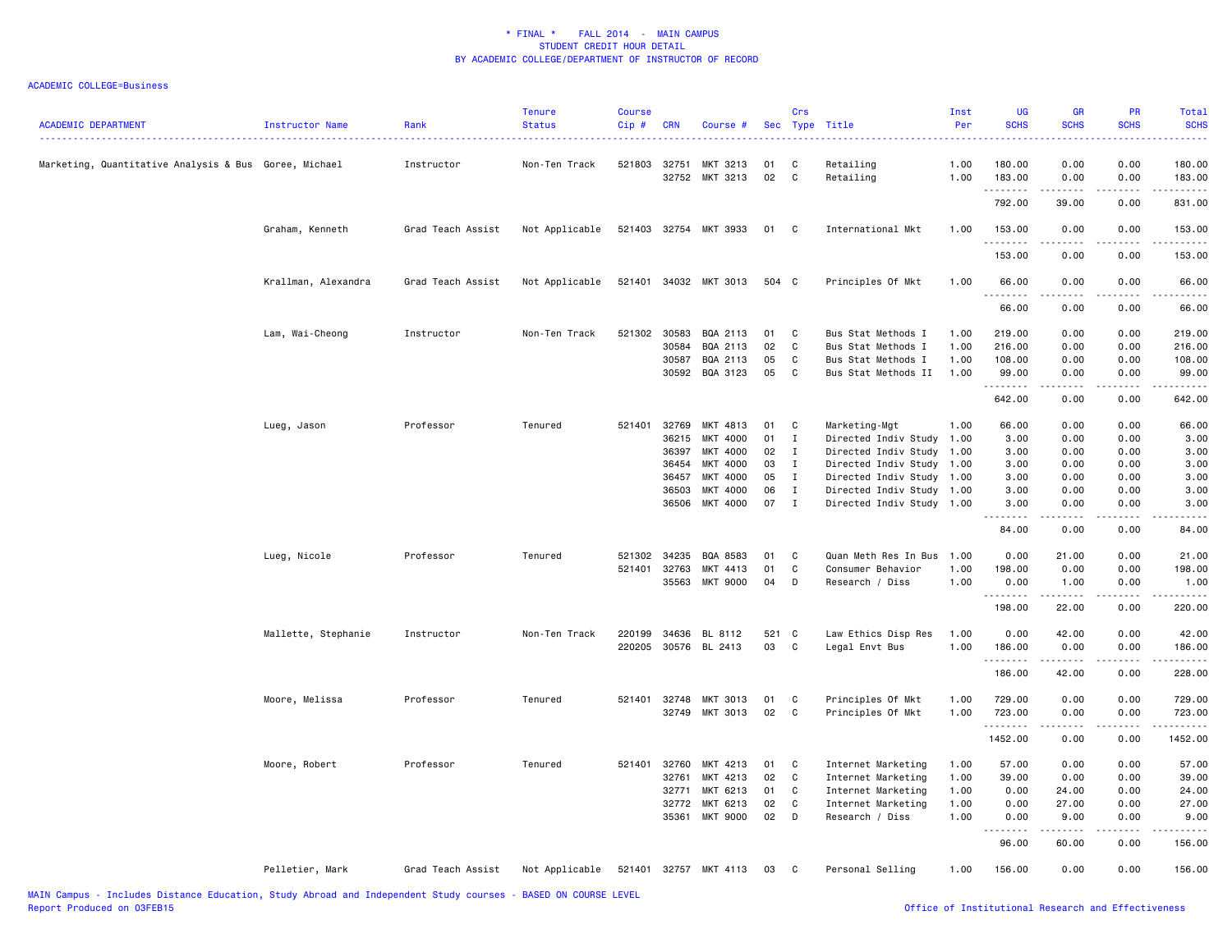| <b>ACADEMIC DEPARTMENT</b>                            | Instructor Name     | Rank              | <b>Tenure</b><br><b>Status</b> | <b>Course</b><br>Cip# | <b>CRN</b>     | Course #                                           |                      | Crs                          | Sec Type Title                                                                        | Inst<br>Per                  | <b>UG</b><br><b>SCHS</b>            | GR<br><b>SCHS</b>                                                                                                                                             | <b>PR</b><br><b>SCHS</b>                                                                                                          | Total<br><b>SCHS</b><br>وعاعات               |
|-------------------------------------------------------|---------------------|-------------------|--------------------------------|-----------------------|----------------|----------------------------------------------------|----------------------|------------------------------|---------------------------------------------------------------------------------------|------------------------------|-------------------------------------|---------------------------------------------------------------------------------------------------------------------------------------------------------------|-----------------------------------------------------------------------------------------------------------------------------------|----------------------------------------------|
| Marketing, Quantitative Analysis & Bus Goree, Michael |                     | Instructor        | Non-Ten Track                  | 521803                | 32751<br>32752 | MKT 3213<br>MKT 3213                               | 01<br>02             | C<br>C                       | Retailing<br>Retailing                                                                | 1.00<br>1.00                 | 180.00<br>183.00                    | 0.00<br>0.00                                                                                                                                                  | 0.00<br>0.00                                                                                                                      | 180.00<br>183.00                             |
|                                                       |                     |                   |                                |                       |                |                                                    |                      |                              |                                                                                       |                              | .<br>792.00                         | $\frac{1}{2} \left( \frac{1}{2} \right) \left( \frac{1}{2} \right) \left( \frac{1}{2} \right) \left( \frac{1}{2} \right) \left( \frac{1}{2} \right)$<br>39.00 | .<br>0.00                                                                                                                         | .<br>831.00                                  |
|                                                       | Graham, Kenneth     | Grad Teach Assist | Not Applicable                 |                       |                | 521403 32754 MKT 3933                              | 01                   | C                            | International Mkt                                                                     | 1.00                         | 153.00                              | 0.00                                                                                                                                                          | 0.00                                                                                                                              | 153.00                                       |
|                                                       |                     |                   |                                |                       |                |                                                    |                      |                              |                                                                                       |                              | .<br>153.00                         | 0.00                                                                                                                                                          | $   -$<br>0.00                                                                                                                    | $\omega$ is a $\omega$ in $\omega$<br>153.00 |
|                                                       | Krallman, Alexandra | Grad Teach Assist | Not Applicable                 |                       |                | 521401 34032 MKT 3013                              | 504 C                |                              | Principles Of Mkt                                                                     | 1.00                         | 66.00<br>.                          | 0.00                                                                                                                                                          | 0.00<br>$\frac{1}{2} \left( \frac{1}{2} \right) \left( \frac{1}{2} \right) \left( \frac{1}{2} \right) \left( \frac{1}{2} \right)$ | 66.00<br>.                                   |
|                                                       |                     |                   |                                |                       |                |                                                    |                      |                              |                                                                                       |                              | 66.00                               | 0.00                                                                                                                                                          | 0.00                                                                                                                              | 66.00                                        |
|                                                       | Lam, Wai-Cheong     | Instructor        | Non-Ten Track                  | 521302 30583          | 30584<br>30587 | BQA 2113<br>BQA 2113<br>BQA 2113<br>30592 BQA 3123 | 01<br>02<br>05<br>05 | C<br>C<br>C<br>C             | Bus Stat Methods I<br>Bus Stat Methods I<br>Bus Stat Methods I<br>Bus Stat Methods II | 1.00<br>1.00<br>1.00<br>1.00 | 219.00<br>216.00<br>108.00<br>99.00 | 0.00<br>0.00<br>0.00<br>0.00                                                                                                                                  | 0.00<br>0.00<br>0.00<br>0.00                                                                                                      | 219.00<br>216.00<br>108.00<br>99.00          |
|                                                       |                     |                   |                                |                       |                |                                                    |                      |                              |                                                                                       |                              | .<br>642.00                         | 0.00                                                                                                                                                          | 0.00                                                                                                                              | .<br>642.00                                  |
|                                                       | Lueg, Jason         | Professor         | Tenured                        | 521401                | 32769          | MKT 4813                                           | 01                   | C                            | Marketing-Mgt                                                                         | 1.00                         | 66.00                               | 0.00                                                                                                                                                          | 0.00                                                                                                                              | 66.00                                        |
|                                                       |                     |                   |                                |                       | 36215<br>36397 | MKT 4000<br>MKT 4000                               | 01<br>02             | $\mathbf{I}$<br>$\mathbf{I}$ | Directed Indiv Study 1.00<br>Directed Indiv Study 1.00                                |                              | 3.00<br>3.00                        | 0.00<br>0.00                                                                                                                                                  | 0.00<br>0.00                                                                                                                      | 3.00<br>3.00                                 |
|                                                       |                     |                   |                                |                       | 36454          | MKT 4000                                           | 03                   | $\bf{I}$                     | Directed Indiv Study 1.00                                                             |                              | 3.00                                | 0.00                                                                                                                                                          | 0.00                                                                                                                              | 3.00                                         |
|                                                       |                     |                   |                                |                       | 36457          | MKT 4000                                           | 05                   | $\mathbf{I}$                 | Directed Indiv Study 1.00                                                             |                              | 3.00                                | 0.00                                                                                                                                                          | 0.00                                                                                                                              | 3.00                                         |
|                                                       |                     |                   |                                |                       | 36503          | MKT 4000                                           | 06                   | $\mathbf{I}$                 | Directed Indiv Study 1.00                                                             |                              | 3.00                                | 0.00                                                                                                                                                          | 0.00                                                                                                                              | 3.00                                         |
|                                                       |                     |                   |                                |                       | 36506          | MKT 4000                                           | 07                   | $\mathbf{I}$                 | Directed Indiv Study 1.00                                                             |                              | 3.00<br>.                           | 0.00<br><u>.</u>                                                                                                                                              | 0.00<br>.                                                                                                                         | 3.00<br>$\frac{1}{2}$                        |
|                                                       |                     |                   |                                |                       |                |                                                    |                      |                              |                                                                                       |                              | 84.00                               | 0.00                                                                                                                                                          | 0.00                                                                                                                              | 84.00                                        |
|                                                       | Lueg, Nicole        | Professor         | Tenured                        | 521302                | 34235          | BQA 8583                                           | 01                   | C                            | Quan Meth Res In Bus                                                                  | 1.00                         | 0.00                                | 21.00                                                                                                                                                         | 0.00                                                                                                                              | 21.00                                        |
|                                                       |                     |                   |                                | 521401                | 32763          | MKT 4413                                           | 01                   | C                            | Consumer Behavior                                                                     | 1.00                         | 198.00                              | 0.00                                                                                                                                                          | 0.00                                                                                                                              | 198.00                                       |
|                                                       |                     |                   |                                |                       | 35563          | MKT 9000                                           | 04                   | D                            | Research / Diss                                                                       | 1.00                         | 0.00<br><u> - - - - - - -</u>       | 1.00<br>$\frac{1}{2} \left( \frac{1}{2} \right) \left( \frac{1}{2} \right) \left( \frac{1}{2} \right) \left( \frac{1}{2} \right) \left( \frac{1}{2} \right)$  | 0.00<br>.                                                                                                                         | 1.00<br>.                                    |
|                                                       |                     |                   |                                |                       |                |                                                    |                      |                              |                                                                                       |                              | 198.00                              | 22.00                                                                                                                                                         | 0.00                                                                                                                              | 220.00                                       |
|                                                       | Mallette, Stephanie | Instructor        | Non-Ten Track                  |                       |                | 220199 34636 BL 8112                               | 521                  | C                            | Law Ethics Disp Res                                                                   | 1.00                         | 0.00                                | 42.00                                                                                                                                                         | 0.00                                                                                                                              | 42.00                                        |
|                                                       |                     |                   |                                |                       |                | 220205 30576 BL 2413                               | 03                   | C                            | Legal Envt Bus                                                                        | 1.00                         | 186.00<br>.                         | 0.00<br>$\frac{1}{2} \left( \frac{1}{2} \right) \left( \frac{1}{2} \right) \left( \frac{1}{2} \right) \left( \frac{1}{2} \right) \left( \frac{1}{2} \right)$  | 0.00<br>.                                                                                                                         | 186.00<br>.                                  |
|                                                       |                     |                   |                                |                       |                |                                                    |                      |                              |                                                                                       |                              | 186.00                              | 42.00                                                                                                                                                         | 0.00                                                                                                                              | 228.00                                       |
|                                                       | Moore, Melissa      | Professor         | Tenured                        |                       | 521401 32748   | MKT 3013                                           | 01                   | C.                           | Principles Of Mkt                                                                     | 1.00                         | 729.00                              | 0.00                                                                                                                                                          | 0.00                                                                                                                              | 729.00                                       |
|                                                       |                     |                   |                                |                       | 32749          | MKT 3013                                           | 02                   | C                            | Principles Of Mkt                                                                     | 1.00                         | 723.00                              | 0.00                                                                                                                                                          | 0.00                                                                                                                              | 723.00                                       |
|                                                       |                     |                   |                                |                       |                |                                                    |                      |                              |                                                                                       |                              | .<br>1452.00                        | $\frac{1}{2} \left( \frac{1}{2} \right) \left( \frac{1}{2} \right) \left( \frac{1}{2} \right) \left( \frac{1}{2} \right) \left( \frac{1}{2} \right)$<br>0.00  | .<br>0.00                                                                                                                         | .<br>1452.00                                 |
|                                                       | Moore, Robert       | Professor         | Tenured                        | 521401                | 32760          | MKT 4213                                           | 01                   | C                            | Internet Marketing                                                                    | 1.00                         | 57.00                               | 0.00                                                                                                                                                          | 0.00                                                                                                                              | 57.00                                        |
|                                                       |                     |                   |                                |                       | 32761          | MKT 4213                                           | 02                   | C                            | Internet Marketing                                                                    | 1.00                         | 39.00                               | 0.00                                                                                                                                                          | 0.00                                                                                                                              | 39.00                                        |
|                                                       |                     |                   |                                |                       | 32771<br>32772 | MKT 6213<br>MKT 6213                               | 01<br>02             | C<br>C                       | Internet Marketing<br>Internet Marketing                                              | 1.00<br>1.00                 | 0.00<br>0.00                        | 24.00<br>27.00                                                                                                                                                | 0.00<br>0.00                                                                                                                      | 24.00<br>27.00                               |
|                                                       |                     |                   |                                |                       | 35361          | MKT 9000                                           | 02                   | D                            | Research / Diss                                                                       | 1.00                         | 0.00                                | 9.00                                                                                                                                                          | 0.00                                                                                                                              | 9.00                                         |
|                                                       |                     |                   |                                |                       |                |                                                    |                      |                              |                                                                                       |                              | .<br>96.00                          | .<br>60.00                                                                                                                                                    | .<br>0.00                                                                                                                         | .<br>156.00                                  |
|                                                       | Pelletier, Mark     | Grad Teach Assist | Not Applicable                 |                       |                | 521401 32757 MKT 4113                              | 03                   | C                            | Personal Selling                                                                      | 1.00                         | 156.00                              | 0.00                                                                                                                                                          | 0.00                                                                                                                              | 156.00                                       |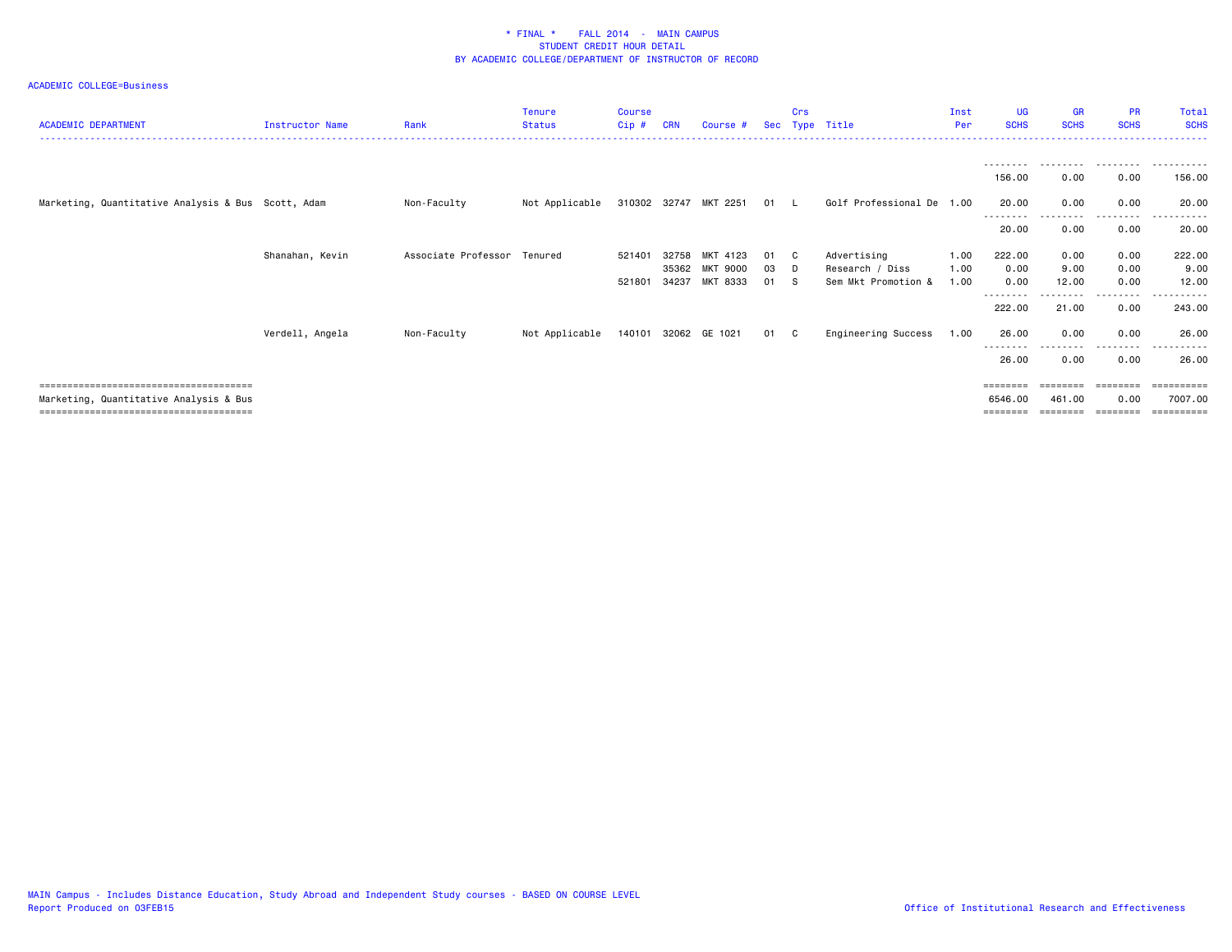| <b>ACADEMIC DEPARTMENT</b>                         | Instructor Name | Rank                        | <b>Tenure</b><br><b>Status</b> | <b>Course</b><br>Cip # | CRN            | Course #              | <b>Sec</b> | Crs<br>Type | Title                                  | Inst<br>Per  | <b>UG</b><br><b>SCHS</b>  | <b>GR</b><br><b>SCHS</b> | <b>PR</b><br><b>SCHS</b> | Total<br><b>SCHS</b>  |
|----------------------------------------------------|-----------------|-----------------------------|--------------------------------|------------------------|----------------|-----------------------|------------|-------------|----------------------------------------|--------------|---------------------------|--------------------------|--------------------------|-----------------------|
|                                                    |                 |                             |                                |                        |                |                       |            |             |                                        |              | --------<br>156.00        | --------<br>0.00         | .<br>0.00                | 156.00                |
| Marketing, Quantitative Analysis & Bus Scott, Adam |                 | Non-Faculty                 | Not Applicable                 |                        |                | 310302 32747 MKT 2251 | 01 L       |             | Golf Professional De 1.00              |              | 20.00<br>--------         | 0.00                     | 0.00<br>. <u>.</u> .     | 20.00                 |
|                                                    |                 |                             |                                |                        |                |                       |            |             |                                        |              | 20.00                     | 0.00                     | 0.00                     | 20.00                 |
|                                                    | Shanahan, Kevin | Associate Professor Tenured |                                | 521401                 | 32758          | MKT 4123              | 01         | C.          | Advertising                            | 1.00         | 222.00                    | 0.00                     | 0.00                     | 222.00                |
|                                                    |                 |                             |                                | 521801                 | 35362<br>34237 | MKT 9000<br>MKT 8333  | 03<br>01   | D<br>-S     | Research / Diss<br>Sem Mkt Promotion & | 1.00<br>1.00 | 0.00<br>0.00              | 9.00<br>12.00            | 0.00<br>0.00             | 9.00<br>12.00         |
|                                                    |                 |                             |                                |                        |                |                       |            |             |                                        |              | - - - - - - - -<br>222.00 | 21.00                    | . <u>.</u> .<br>0.00     | ------<br>243.00      |
|                                                    | Verdell, Angela | Non-Faculty                 | Not Applicable                 |                        |                | 140101 32062 GE 1021  | 01         | C C         | Engineering Success                    | 1.00         | 26.00                     | 0.00                     | 0.00                     | 26.00                 |
|                                                    |                 |                             |                                |                        |                |                       |            |             |                                        |              | -------<br>26.00          | 0.00                     | 0.00                     | 26.00                 |
|                                                    |                 |                             |                                |                        |                |                       |            |             |                                        |              | ========                  |                          | ========                 | ==========            |
| Marketing, Quantitative Analysis & Bus             |                 |                             |                                |                        |                |                       |            |             |                                        |              | 6546.00                   | 461.00                   | 0.00<br>========         | 7007.00<br>========== |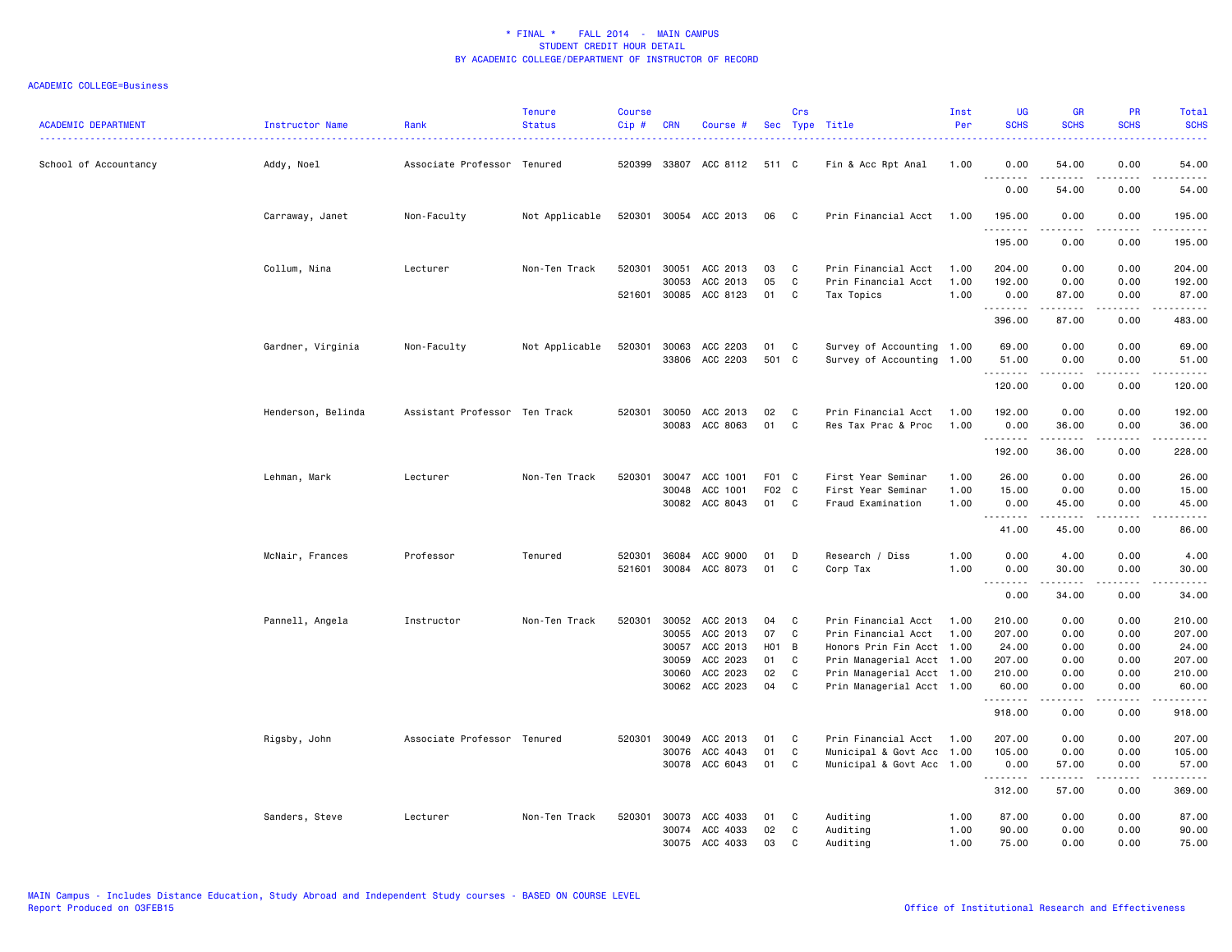| <b>ACADEMIC DEPARTMENT</b> | Instructor Name    | Rank                          | <b>Tenure</b><br><b>Status</b> | Course<br>$Cip \#$ | <b>CRN</b> | Course #              |       | Crs          | Sec Type Title            | Inst<br>Per | <b>UG</b><br><b>SCHS</b> | <b>GR</b><br><b>SCHS</b>                                                                                                                                      | PR<br><b>SCHS</b>                   | Total<br><b>SCHS</b>                                                                                                                                                                      |
|----------------------------|--------------------|-------------------------------|--------------------------------|--------------------|------------|-----------------------|-------|--------------|---------------------------|-------------|--------------------------|---------------------------------------------------------------------------------------------------------------------------------------------------------------|-------------------------------------|-------------------------------------------------------------------------------------------------------------------------------------------------------------------------------------------|
| School of Accountancy      | Addy, Noel         | Associate Professor Tenured   |                                |                    |            | 520399 33807 ACC 8112 | 511 C |              | Fin & Acc Rpt Anal        | 1.00        | 0.00                     | 54.00<br>-----                                                                                                                                                | 0.00<br>$- - - -$                   | 54.00<br>$\frac{1}{2}$                                                                                                                                                                    |
|                            |                    |                               |                                |                    |            |                       |       |              |                           |             | .<br>0.00                | 54.00                                                                                                                                                         | 0.00                                | 54.00                                                                                                                                                                                     |
|                            | Carraway, Janet    | Non-Faculty                   | Not Applicable                 |                    |            | 520301 30054 ACC 2013 | 06 C  |              | Prin Financial Acct       | 1.00        | 195.00<br>.              | 0.00<br>.                                                                                                                                                     | 0.00<br>.                           | 195.00<br>$- - - - - - -$                                                                                                                                                                 |
|                            |                    |                               |                                |                    |            |                       |       |              |                           |             | 195.00                   | 0.00                                                                                                                                                          | 0.00                                | 195.00                                                                                                                                                                                    |
|                            | Collum, Nina       | Lecturer                      | Non-Ten Track                  | 520301             | 30051      | ACC 2013              | 03    | C            | Prin Financial Acct       | 1.00        | 204.00                   | 0.00                                                                                                                                                          | 0.00                                | 204.00                                                                                                                                                                                    |
|                            |                    |                               |                                |                    | 30053      | ACC 2013              | 05    | C            | Prin Financial Acct       | 1.00        | 192.00                   | 0.00                                                                                                                                                          | 0.00                                | 192.00                                                                                                                                                                                    |
|                            |                    |                               |                                | 521601             | 30085      | ACC 8123              | 01    | C            | Tax Topics                | 1.00        | 0.00<br>.                | 87.00<br>$\frac{1}{2} \left( \frac{1}{2} \right) \left( \frac{1}{2} \right) \left( \frac{1}{2} \right) \left( \frac{1}{2} \right) \left( \frac{1}{2} \right)$ | 0.00<br>$\sim$ $\sim$ $\sim$        | 87.00<br>.                                                                                                                                                                                |
|                            |                    |                               |                                |                    |            |                       |       |              |                           |             | 396.00                   | 87.00                                                                                                                                                         | 0.00                                | 483.00                                                                                                                                                                                    |
|                            | Gardner, Virginia  | Non-Faculty                   | Not Applicable                 | 520301             | 30063      | ACC 2203              | 01    | C            | Survey of Accounting 1.00 |             | 69.00                    | 0.00                                                                                                                                                          | 0.00                                | 69.00                                                                                                                                                                                     |
|                            |                    |                               |                                |                    | 33806      | ACC 2203              | 501 C |              | Survey of Accounting 1.00 |             | 51.00<br>.               | 0.00                                                                                                                                                          | 0.00<br>.                           | 51.00<br>.                                                                                                                                                                                |
|                            |                    |                               |                                |                    |            |                       |       |              |                           |             | 120.00                   | 0.00                                                                                                                                                          | 0.00                                | 120.00                                                                                                                                                                                    |
|                            | Henderson, Belinda | Assistant Professor Ten Track |                                | 520301             | 30050      | ACC 2013              | 02    | C            | Prin Financial Acct       | 1.00        | 192.00                   | 0.00                                                                                                                                                          | 0.00                                | 192.00                                                                                                                                                                                    |
|                            |                    |                               |                                |                    |            | 30083 ACC 8063        | 01    | C            | Res Tax Prac & Proc       | 1.00        | 0.00                     | 36.00                                                                                                                                                         | 0.00                                | 36.00                                                                                                                                                                                     |
|                            |                    |                               |                                |                    |            |                       |       |              |                           |             | 192.00                   | .<br>36.00                                                                                                                                                    | .<br>0.00                           | $\frac{1}{2} \left( \frac{1}{2} \right) \left( \frac{1}{2} \right) \left( \frac{1}{2} \right) \left( \frac{1}{2} \right) \left( \frac{1}{2} \right) \left( \frac{1}{2} \right)$<br>228.00 |
|                            | Lehman, Mark       | Lecturer                      | Non-Ten Track                  | 520301             | 30047      | ACC 1001              | F01 C |              | First Year Seminar        | 1.00        | 26.00                    | 0.00                                                                                                                                                          | 0.00                                | 26.00                                                                                                                                                                                     |
|                            |                    |                               |                                |                    | 30048      | ACC 1001              | F02   | $\mathbf{C}$ | First Year Seminar        | 1.00        | 15.00                    | 0.00                                                                                                                                                          | 0.00                                | 15.00                                                                                                                                                                                     |
|                            |                    |                               |                                |                    | 30082      | ACC 8043              | 01    | C            | Fraud Examination         | 1.00        | 0.00<br>.                | 45.00<br>-----                                                                                                                                                | 0.00<br>$- - - -$                   | 45.00<br>$\frac{1}{2}$                                                                                                                                                                    |
|                            |                    |                               |                                |                    |            |                       |       |              |                           |             | 41.00                    | 45.00                                                                                                                                                         | 0.00                                | 86.00                                                                                                                                                                                     |
|                            | McNair, Frances    | Professor                     | Tenured                        | 520301             |            | 36084 ACC 9000        | 01    | D            | Research / Diss           | 1.00        | 0.00                     | 4.00                                                                                                                                                          | 0.00                                | 4.00                                                                                                                                                                                      |
|                            |                    |                               |                                | 521601             |            | 30084 ACC 8073        | 01    | C            | Corp Tax                  | 1.00        | 0.00                     | 30.00                                                                                                                                                         | 0.00                                | 30.00                                                                                                                                                                                     |
|                            |                    |                               |                                |                    |            |                       |       |              |                           |             | .<br>0.00                | 34.00                                                                                                                                                         | .<br>0.00                           | $\frac{1}{2} \left( \frac{1}{2} \right) \left( \frac{1}{2} \right) \left( \frac{1}{2} \right) \left( \frac{1}{2} \right) \left( \frac{1}{2} \right)$<br>34.00                             |
|                            | Pannell, Angela    | Instructor                    | Non-Ten Track                  | 520301             |            | 30052 ACC 2013        | 04    | C            | Prin Financial Acct       | 1.00        | 210.00                   | 0.00                                                                                                                                                          | 0.00                                | 210.00                                                                                                                                                                                    |
|                            |                    |                               |                                |                    | 30055      | ACC 2013              | 07    | C            | Prin Financial Acct       | 1.00        | 207.00                   | 0.00                                                                                                                                                          | 0.00                                | 207.00                                                                                                                                                                                    |
|                            |                    |                               |                                |                    | 30057      | ACC 2013              | H01 B |              | Honors Prin Fin Acct 1.00 |             | 24.00                    | 0.00                                                                                                                                                          | 0.00                                | 24.00                                                                                                                                                                                     |
|                            |                    |                               |                                |                    | 30059      | ACC 2023              | 01    | C            | Prin Managerial Acct 1.00 |             | 207.00                   | 0.00                                                                                                                                                          | 0.00                                | 207.00                                                                                                                                                                                    |
|                            |                    |                               |                                |                    | 30060      | ACC 2023              | 02    | C            | Prin Managerial Acct 1.00 |             | 210.00                   | 0.00                                                                                                                                                          | 0.00                                | 210.00                                                                                                                                                                                    |
|                            |                    |                               |                                |                    | 30062      | ACC 2023              | 04    | C            | Prin Managerial Acct 1.00 |             | 60.00<br>.               | 0.00<br>.                                                                                                                                                     | 0.00<br>$\sim$ $\sim$ $\sim$ $\sim$ | 60.00<br>$\frac{1}{2} \left( \frac{1}{2} \right) \left( \frac{1}{2} \right) \left( \frac{1}{2} \right) \left( \frac{1}{2} \right) \left( \frac{1}{2} \right) \left( \frac{1}{2} \right)$  |
|                            |                    |                               |                                |                    |            |                       |       |              |                           |             | 918.00                   | 0.00                                                                                                                                                          | 0.00                                | 918.00                                                                                                                                                                                    |
|                            | Rigsby, John       | Associate Professor Tenured   |                                | 520301             | 30049      | ACC 2013              | 01    | C            | Prin Financial Acct       | 1.00        | 207.00                   | 0.00                                                                                                                                                          | 0.00                                | 207.00                                                                                                                                                                                    |
|                            |                    |                               |                                |                    | 30076      | ACC 4043              | 01    | C            | Municipal & Govt Acc 1.00 |             | 105.00                   | 0.00                                                                                                                                                          | 0.00                                | 105.00                                                                                                                                                                                    |
|                            |                    |                               |                                |                    |            | 30078 ACC 6043        | 01    | C            | Municipal & Govt Acc 1.00 |             | 0.00<br>.                | 57.00<br>.                                                                                                                                                    | 0.00<br>.                           | 57.00                                                                                                                                                                                     |
|                            |                    |                               |                                |                    |            |                       |       |              |                           |             | 312.00                   | 57.00                                                                                                                                                         | 0.00                                | 369.00                                                                                                                                                                                    |
|                            | Sanders, Steve     | Lecturer                      | Non-Ten Track                  | 520301             | 30073      | ACC 4033              | 01    | C            | Auditing                  | 1.00        | 87.00                    | 0.00                                                                                                                                                          | 0.00                                | 87.00                                                                                                                                                                                     |
|                            |                    |                               |                                |                    |            | 30074 ACC 4033        | 02    | C            | Auditing                  | 1.00        | 90.00                    | 0.00                                                                                                                                                          | 0.00                                | 90.00                                                                                                                                                                                     |
|                            |                    |                               |                                |                    | 30075      | ACC 4033              | 03    | C            | Auditing                  | 1.00        | 75.00                    | 0.00                                                                                                                                                          | 0.00                                | 75.00                                                                                                                                                                                     |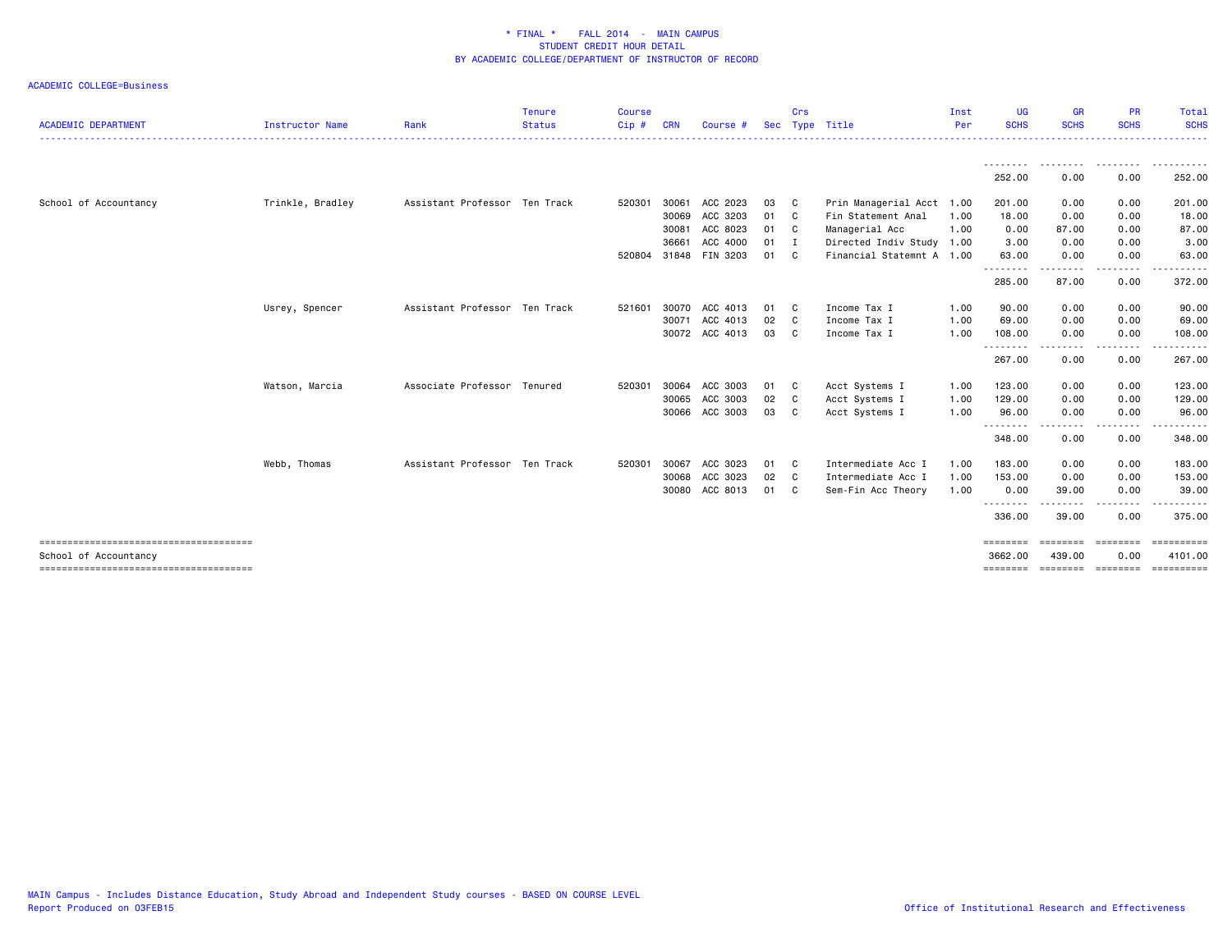|                            |                  |                               | <b>Tenure</b> | <b>Course</b> |            |                       |            | Crs |                           | Inst | <b>UG</b>                         | <b>GR</b>                                                                                                                         | <b>PR</b>     | Total                                                                                                                                                                                                                                                                                                                                                                                                                                                                                  |
|----------------------------|------------------|-------------------------------|---------------|---------------|------------|-----------------------|------------|-----|---------------------------|------|-----------------------------------|-----------------------------------------------------------------------------------------------------------------------------------|---------------|----------------------------------------------------------------------------------------------------------------------------------------------------------------------------------------------------------------------------------------------------------------------------------------------------------------------------------------------------------------------------------------------------------------------------------------------------------------------------------------|
| <b>ACADEMIC DEPARTMENT</b> | Instructor Name  | Rank                          | <b>Status</b> | $Cip$ #       | <b>CRN</b> | Course #              | <b>Sec</b> |     | Type Title                | Per  | <b>SCHS</b>                       | <b>SCHS</b>                                                                                                                       | <b>SCHS</b>   | <b>SCHS</b>                                                                                                                                                                                                                                                                                                                                                                                                                                                                            |
|                            |                  |                               |               |               |            |                       |            |     |                           |      | <u>.</u>                          |                                                                                                                                   |               |                                                                                                                                                                                                                                                                                                                                                                                                                                                                                        |
|                            |                  |                               |               |               |            |                       |            |     |                           |      | 252.00                            | 0.00                                                                                                                              | 0.00          | 252.00                                                                                                                                                                                                                                                                                                                                                                                                                                                                                 |
| School of Accountancy      | Trinkle, Bradley | Assistant Professor Ten Track |               | 520301        | 30061      | ACC 2023              | 03         | C.  | Prin Managerial Acct 1.00 |      | 201.00                            | 0.00                                                                                                                              | 0.00          | 201.00                                                                                                                                                                                                                                                                                                                                                                                                                                                                                 |
|                            |                  |                               |               |               | 30069      | ACC 3203              | 01         | C   | Fin Statement Anal        | 1.00 | 18.00                             | 0.00                                                                                                                              | 0.00          | 18.00                                                                                                                                                                                                                                                                                                                                                                                                                                                                                  |
|                            |                  |                               |               |               | 30081      | ACC 8023              | 01         | C.  | Managerial Acc            | 1.00 | 0.00                              | 87.00                                                                                                                             | 0.00          | 87.00                                                                                                                                                                                                                                                                                                                                                                                                                                                                                  |
|                            |                  |                               |               |               | 36661      | ACC 4000              | 01         | I   | Directed Indiv Study 1.00 |      | 3.00                              | 0.00                                                                                                                              | 0.00          | 3.00                                                                                                                                                                                                                                                                                                                                                                                                                                                                                   |
|                            |                  |                               |               |               |            | 520804 31848 FIN 3203 | 01         | C   | Financial Statemnt A 1.00 |      | 63.00<br>.                        | 0.00<br>.                                                                                                                         | 0.00<br>.     | 63.00<br>. <b>.</b> .                                                                                                                                                                                                                                                                                                                                                                                                                                                                  |
|                            |                  |                               |               |               |            |                       |            |     |                           |      | 285.00                            | 87.00                                                                                                                             | 0.00          | 372.00                                                                                                                                                                                                                                                                                                                                                                                                                                                                                 |
|                            | Usrey, Spencer   | Assistant Professor Ten Track |               | 521601        |            | 30070 ACC 4013        | 01         | C.  | Income Tax I              | 1.00 | 90.00                             | 0.00                                                                                                                              | 0.00          | 90.00                                                                                                                                                                                                                                                                                                                                                                                                                                                                                  |
|                            |                  |                               |               |               | 30071      | ACC 4013              | 02         | C   | Income Tax I              | 1.00 | 69.00                             | 0.00                                                                                                                              | 0.00          | 69.00                                                                                                                                                                                                                                                                                                                                                                                                                                                                                  |
|                            |                  |                               |               |               |            | 30072 ACC 4013        | 03         | C   | Income Tax I              | 1.00 | 108.00<br>--------                | 0.00<br>--------                                                                                                                  | 0.00<br>.     | 108.00<br>.                                                                                                                                                                                                                                                                                                                                                                                                                                                                            |
|                            |                  |                               |               |               |            |                       |            |     |                           |      | 267.00                            | 0.00                                                                                                                              | 0.00          | 267.00                                                                                                                                                                                                                                                                                                                                                                                                                                                                                 |
|                            | Watson, Marcia   | Associate Professor Tenured   |               | 520301        | 30064      | ACC 3003              | 01         | C.  | Acct Systems I            | 1.00 | 123.00                            | 0.00                                                                                                                              | 0.00          | 123.00                                                                                                                                                                                                                                                                                                                                                                                                                                                                                 |
|                            |                  |                               |               |               | 30065      | ACC 3003              | 02         | C   | Acct Systems I            | 1.00 | 129.00                            | 0.00                                                                                                                              | 0.00          | 129.00                                                                                                                                                                                                                                                                                                                                                                                                                                                                                 |
|                            |                  |                               |               |               | 30066      | ACC 3003              | 03         | C   | Acct Systems I            | 1.00 | 96.00<br>.                        | 0.00<br>$\begin{array}{cccccccccccccc} \bullet & \bullet & \bullet & \bullet & \bullet & \bullet & \bullet & \bullet \end{array}$ | 0.00<br>----- | 96.00<br>.                                                                                                                                                                                                                                                                                                                                                                                                                                                                             |
|                            |                  |                               |               |               |            |                       |            |     |                           |      | 348.00                            | 0.00                                                                                                                              | 0.00          | 348.00                                                                                                                                                                                                                                                                                                                                                                                                                                                                                 |
|                            | Webb, Thomas     | Assistant Professor Ten Track |               | 520301        | 30067      | ACC 3023              | 01         | C   | Intermediate Acc I        | 1.00 | 183.00                            | 0.00                                                                                                                              | 0.00          | 183.00                                                                                                                                                                                                                                                                                                                                                                                                                                                                                 |
|                            |                  |                               |               |               | 30068      | ACC 3023              | 02         | C   | Intermediate Acc I        | 1.00 | 153.00                            | 0.00                                                                                                                              | 0.00          | 153.00                                                                                                                                                                                                                                                                                                                                                                                                                                                                                 |
|                            |                  |                               |               |               | 30080      | ACC 8013              | 01         | C   | Sem-Fin Acc Theory        | 1.00 | 0.00                              | 39.00                                                                                                                             | 0.00          | 39.00                                                                                                                                                                                                                                                                                                                                                                                                                                                                                  |
|                            |                  |                               |               |               |            |                       |            |     |                           |      | <u> - - - - - - - -</u><br>336.00 | 39.00                                                                                                                             | .<br>0.00     | 375.00                                                                                                                                                                                                                                                                                                                                                                                                                                                                                 |
|                            |                  |                               |               |               |            |                       |            |     |                           |      | ========                          | ========                                                                                                                          | ========      | $\begin{array}{cccccccccc} \multicolumn{2}{c}{} & \multicolumn{2}{c}{} & \multicolumn{2}{c}{} & \multicolumn{2}{c}{} & \multicolumn{2}{c}{} & \multicolumn{2}{c}{} & \multicolumn{2}{c}{} & \multicolumn{2}{c}{} & \multicolumn{2}{c}{} & \multicolumn{2}{c}{} & \multicolumn{2}{c}{} & \multicolumn{2}{c}{} & \multicolumn{2}{c}{} & \multicolumn{2}{c}{} & \multicolumn{2}{c}{} & \multicolumn{2}{c}{} & \multicolumn{2}{c}{} & \multicolumn{2}{c}{} & \multicolumn{2}{c}{} & \mult$ |
| School of Accountancy      |                  |                               |               |               |            |                       |            |     |                           |      | 3662.00                           | 439.00                                                                                                                            | 0.00          | 4101.00                                                                                                                                                                                                                                                                                                                                                                                                                                                                                |
|                            |                  |                               |               |               |            |                       |            |     |                           |      | ========                          | ========                                                                                                                          | ========      | ==========                                                                                                                                                                                                                                                                                                                                                                                                                                                                             |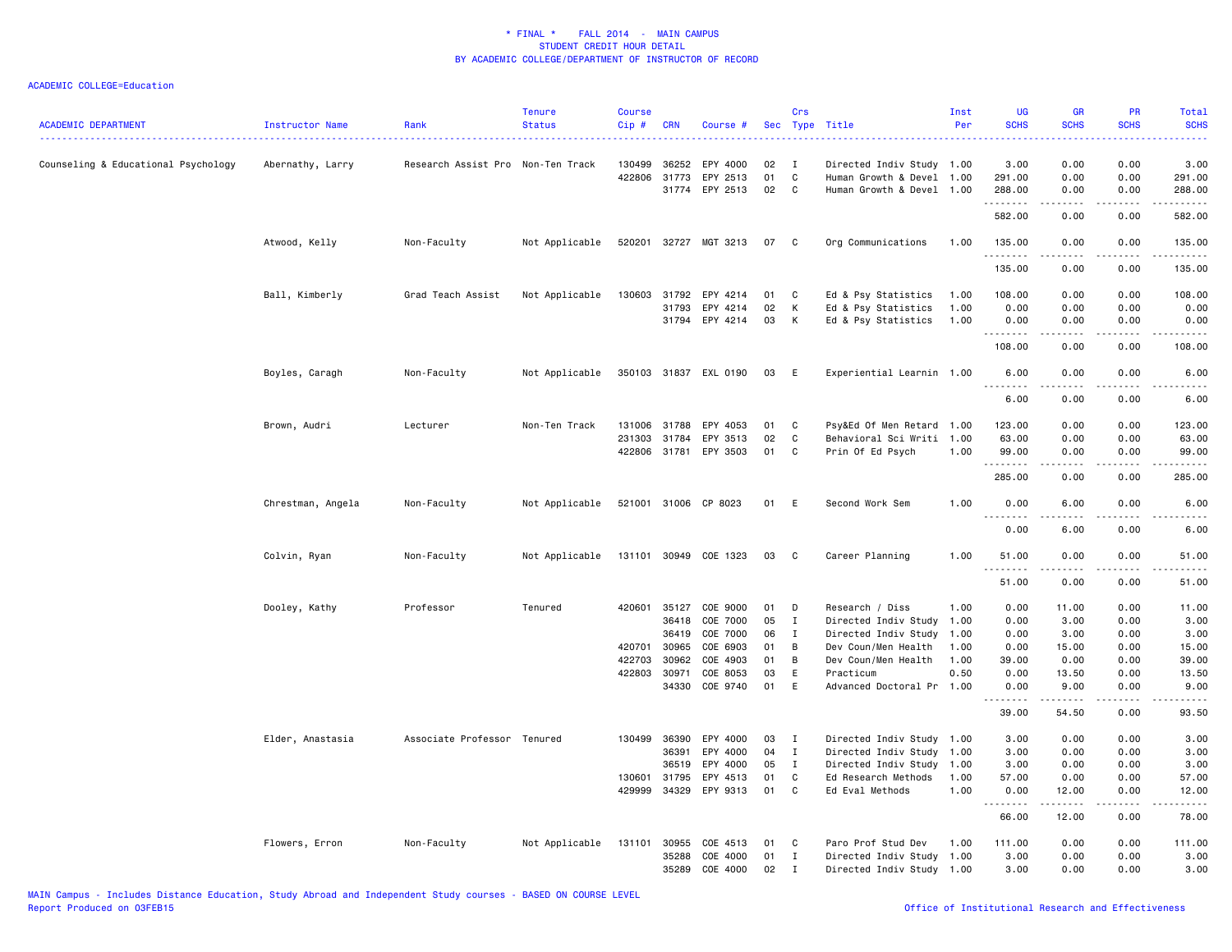| <b>ACADEMIC DEPARTMENT</b>          | <b>Instructor Name</b> | Rank                              | <b>Tenure</b><br><b>Status</b> | Course<br>$Cip$ #      | <b>CRN</b>     | Course #                               | Sec            | Crs<br>Type                      | Title                                                  | Inst<br>Per  | UG<br><b>SCHS</b>                                                                                                                                             | <b>GR</b><br><b>SCHS</b>                                                                                                                                                                                                                                                                                                                     | PR<br><b>SCHS</b>             | Total<br><b>SCHS</b><br>$\frac{1}{2} \left( \frac{1}{2} \right) \left( \frac{1}{2} \right) \left( \frac{1}{2} \right) \left( \frac{1}{2} \right)$ |
|-------------------------------------|------------------------|-----------------------------------|--------------------------------|------------------------|----------------|----------------------------------------|----------------|----------------------------------|--------------------------------------------------------|--------------|---------------------------------------------------------------------------------------------------------------------------------------------------------------|----------------------------------------------------------------------------------------------------------------------------------------------------------------------------------------------------------------------------------------------------------------------------------------------------------------------------------------------|-------------------------------|---------------------------------------------------------------------------------------------------------------------------------------------------|
| Counseling & Educational Psychology | Abernathy, Larry       | Research Assist Pro Non-Ten Track |                                | 130499<br>422806       | 36252<br>31773 | EPY 4000<br>EPY 2513<br>31774 EPY 2513 | 02<br>01<br>02 | $\mathbf{I}$<br>C<br>$\mathbf c$ | Directed Indiv Study 1.00<br>Human Growth & Devel 1.00 |              | 3.00<br>291.00                                                                                                                                                | 0.00<br>0.00                                                                                                                                                                                                                                                                                                                                 | 0.00<br>0.00                  | 3.00<br>291.00                                                                                                                                    |
|                                     |                        |                                   |                                |                        |                |                                        |                |                                  | Human Growth & Devel 1.00                              |              | 288.00<br>.<br>582.00                                                                                                                                         | 0.00<br>.<br>0.00                                                                                                                                                                                                                                                                                                                            | 0.00<br>$\frac{1}{2}$<br>0.00 | 288.00<br>.<br>582.00                                                                                                                             |
|                                     | Atwood, Kelly          | Non-Faculty                       | Not Applicable                 |                        |                | 520201 32727 MGT 3213                  | 07 C           |                                  | Org Communications                                     | 1.00         | 135.00                                                                                                                                                        | 0.00                                                                                                                                                                                                                                                                                                                                         | 0.00                          | 135.00                                                                                                                                            |
|                                     |                        |                                   |                                |                        |                |                                        |                |                                  |                                                        |              | .<br>135.00                                                                                                                                                   | 0.00                                                                                                                                                                                                                                                                                                                                         | 0.00                          | .<br>135.00                                                                                                                                       |
|                                     | Ball, Kimberly         | Grad Teach Assist                 | Not Applicable                 | 130603                 | 31792          | EPY 4214                               | 01             | C                                | Ed & Psy Statistics                                    | 1.00         | 108.00                                                                                                                                                        | 0.00                                                                                                                                                                                                                                                                                                                                         | 0.00                          | 108.00                                                                                                                                            |
|                                     |                        |                                   |                                |                        | 31793          | EPY 4214                               | 02             | Κ                                | Ed & Psy Statistics                                    | 1.00         | 0.00                                                                                                                                                          | 0.00                                                                                                                                                                                                                                                                                                                                         | 0.00                          | 0.00                                                                                                                                              |
|                                     |                        |                                   |                                |                        |                | 31794 EPY 4214                         | 03             | к                                | Ed & Psy Statistics                                    | 1.00         | 0.00<br>.                                                                                                                                                     | 0.00                                                                                                                                                                                                                                                                                                                                         | 0.00<br>$\frac{1}{2}$         | 0.00<br>.                                                                                                                                         |
|                                     |                        |                                   |                                |                        |                |                                        |                |                                  |                                                        |              | 108.00                                                                                                                                                        | 0.00                                                                                                                                                                                                                                                                                                                                         | 0.00                          | 108.00                                                                                                                                            |
|                                     | Boyles, Caragh         | Non-Faculty                       | Not Applicable                 |                        |                | 350103 31837 EXL 0190                  | 03             | E                                | Experiential Learnin 1.00                              |              | 6.00<br>$\sim$ $\sim$ $\sim$                                                                                                                                  | 0.00                                                                                                                                                                                                                                                                                                                                         | 0.00                          | 6.00                                                                                                                                              |
|                                     |                        |                                   |                                |                        |                |                                        |                |                                  |                                                        |              | 6.00                                                                                                                                                          | 0.00                                                                                                                                                                                                                                                                                                                                         | 0.00                          | 6.00                                                                                                                                              |
|                                     | Brown, Audri           | Lecturer                          | Non-Ten Track                  | 131006                 | 31788          | EPY 4053                               | 01             | C                                | Psy&Ed Of Men Retard 1.00                              |              | 123.00                                                                                                                                                        | 0.00                                                                                                                                                                                                                                                                                                                                         | 0.00                          | 123.00                                                                                                                                            |
|                                     |                        |                                   |                                | 231303                 | 31784          | EPY 3513                               | 02             | C                                | Behavioral Sci Writi 1.00                              |              | 63.00                                                                                                                                                         | 0.00                                                                                                                                                                                                                                                                                                                                         | 0.00                          | 63.00                                                                                                                                             |
|                                     |                        |                                   |                                | 422806 31781           |                | EPY 3503                               | 01             | C                                | Prin Of Ed Psych                                       | 1.00         | 99.00<br>.                                                                                                                                                    | 0.00<br>$\frac{1}{2} \left( \begin{array}{ccc} 1 & 0 & 0 & 0 \\ 0 & 0 & 0 & 0 \\ 0 & 0 & 0 & 0 \\ 0 & 0 & 0 & 0 \\ 0 & 0 & 0 & 0 \\ 0 & 0 & 0 & 0 \\ 0 & 0 & 0 & 0 \\ 0 & 0 & 0 & 0 \\ 0 & 0 & 0 & 0 \\ 0 & 0 & 0 & 0 \\ 0 & 0 & 0 & 0 & 0 \\ 0 & 0 & 0 & 0 & 0 \\ 0 & 0 & 0 & 0 & 0 \\ 0 & 0 & 0 & 0 & 0 \\ 0 & 0 & 0 & 0 & 0 \\ 0 & 0 & 0$ | 0.00<br>بالمحامر              | 99.00<br>.                                                                                                                                        |
|                                     |                        |                                   |                                |                        |                |                                        |                |                                  |                                                        |              | 285.00                                                                                                                                                        | 0.00                                                                                                                                                                                                                                                                                                                                         | 0.00                          | 285.00                                                                                                                                            |
|                                     | Chrestman, Angela      | Non-Faculty                       | Not Applicable                 |                        |                | 521001 31006 CP 8023                   | 01             | E                                | Second Work Sem                                        | 1.00         | 0.00<br>$\overline{a}$                                                                                                                                        | 6.00                                                                                                                                                                                                                                                                                                                                         | 0.00                          | 6.00<br>.                                                                                                                                         |
|                                     |                        |                                   |                                |                        |                |                                        |                |                                  |                                                        |              | 0.00                                                                                                                                                          | 6.00                                                                                                                                                                                                                                                                                                                                         | 0.00                          | 6.00                                                                                                                                              |
|                                     | Colvin, Ryan           | Non-Faculty                       | Not Applicable                 |                        |                | 131101 30949 COE 1323                  | 03             | C                                | Career Planning                                        | 1.00         | 51.00<br>$\frac{1}{2} \left( \frac{1}{2} \right) \left( \frac{1}{2} \right) \left( \frac{1}{2} \right) \left( \frac{1}{2} \right) \left( \frac{1}{2} \right)$ | 0.00<br><u>.</u>                                                                                                                                                                                                                                                                                                                             | 0.00<br>$\frac{1}{2}$         | 51.00<br>$    -$                                                                                                                                  |
|                                     |                        |                                   |                                |                        |                |                                        |                |                                  |                                                        |              | 51.00                                                                                                                                                         | 0.00                                                                                                                                                                                                                                                                                                                                         | 0.00                          | 51.00                                                                                                                                             |
|                                     | Dooley, Kathy          | Professor                         | Tenured                        | 420601                 | 35127          | COE 9000                               | 01             | D                                | Research / Diss                                        | 1.00         | 0.00                                                                                                                                                          | 11.00                                                                                                                                                                                                                                                                                                                                        | 0.00                          | 11.00                                                                                                                                             |
|                                     |                        |                                   |                                |                        | 36418          | COE 7000                               | 05             | $\mathbf{I}$                     | Directed Indiv Study 1.00                              |              | 0.00                                                                                                                                                          | 3.00                                                                                                                                                                                                                                                                                                                                         | 0.00                          | 3.00                                                                                                                                              |
|                                     |                        |                                   |                                |                        | 36419          | COE 7000                               | 06             | I                                | Directed Indiv Study                                   | 1.00         | 0.00                                                                                                                                                          | 3.00                                                                                                                                                                                                                                                                                                                                         | 0.00                          | 3.00                                                                                                                                              |
|                                     |                        |                                   |                                | 420701                 | 30965          | COE 6903                               | 01             | В                                | Dev Coun/Men Health                                    | 1.00         | 0.00                                                                                                                                                          | 15.00                                                                                                                                                                                                                                                                                                                                        | 0.00                          | 15.00                                                                                                                                             |
|                                     |                        |                                   |                                | 422703<br>422803 30971 | 30962          | COE 4903<br>COE 8053                   | 01<br>03       | В<br>Ε                           | Dev Coun/Men Health<br>Practicum                       | 1.00<br>0.50 | 39.00<br>0.00                                                                                                                                                 | 0.00<br>13.50                                                                                                                                                                                                                                                                                                                                | 0.00<br>0.00                  | 39.00<br>13.50                                                                                                                                    |
|                                     |                        |                                   |                                |                        |                | 34330 COE 9740                         | 01             | E                                | Advanced Doctoral Pr 1.00                              |              | 0.00                                                                                                                                                          | 9.00                                                                                                                                                                                                                                                                                                                                         | 0.00                          | 9.00                                                                                                                                              |
|                                     |                        |                                   |                                |                        |                |                                        |                |                                  |                                                        |              | .<br>39.00                                                                                                                                                    | 54.50                                                                                                                                                                                                                                                                                                                                        | 0.00                          | 93.50                                                                                                                                             |
|                                     | Elder, Anastasia       | Associate Professor Tenured       |                                | 130499                 | 36390          | EPY 4000                               | 03             | $\mathbf{I}$                     | Directed Indiv Study 1.00                              |              | 3.00                                                                                                                                                          | 0.00                                                                                                                                                                                                                                                                                                                                         | 0.00                          | 3.00                                                                                                                                              |
|                                     |                        |                                   |                                |                        | 36391          | EPY 4000                               | 04             | $\mathbf{I}$                     | Directed Indiv Study 1.00                              |              | 3.00                                                                                                                                                          | 0.00                                                                                                                                                                                                                                                                                                                                         | 0.00                          | 3.00                                                                                                                                              |
|                                     |                        |                                   |                                |                        | 36519          | EPY 4000                               | 05             | $\mathbf{I}$                     | Directed Indiv Study 1.00                              |              | 3.00                                                                                                                                                          | 0.00                                                                                                                                                                                                                                                                                                                                         | 0.00                          | 3.00                                                                                                                                              |
|                                     |                        |                                   |                                | 130601                 | 31795          | EPY 4513                               | 01             | C                                | Ed Research Methods                                    | 1.00         | 57.00                                                                                                                                                         | 0.00                                                                                                                                                                                                                                                                                                                                         | 0.00                          | 57.00                                                                                                                                             |
|                                     |                        |                                   |                                | 429999                 | 34329          | EPY 9313                               | 01             | $\mathbb{C}$                     | Ed Eval Methods                                        | 1.00         | 0.00<br>.                                                                                                                                                     | 12.00<br>------                                                                                                                                                                                                                                                                                                                              | 0.00<br>.                     | 12.00<br>.                                                                                                                                        |
|                                     |                        |                                   |                                |                        |                |                                        |                |                                  |                                                        |              | 66.00                                                                                                                                                         | 12.00                                                                                                                                                                                                                                                                                                                                        | 0.00                          | 78.00                                                                                                                                             |
|                                     | Flowers, Erron         | Non-Faculty                       | Not Applicable                 | 131101                 | 30955          | COE 4513                               | 01             | C                                | Paro Prof Stud Dev                                     | 1.00         | 111.00                                                                                                                                                        | 0.00                                                                                                                                                                                                                                                                                                                                         | 0.00                          | 111.00                                                                                                                                            |
|                                     |                        |                                   |                                |                        | 35288          | COE 4000                               | 01             | $\mathbf{I}$                     | Directed Indiv Study 1.00                              |              | 3.00                                                                                                                                                          | 0.00                                                                                                                                                                                                                                                                                                                                         | 0.00                          | 3.00                                                                                                                                              |
|                                     |                        |                                   |                                |                        | 35289          | COE 4000                               | 02             | $\mathbf{I}$                     | Directed Indiv Study 1.00                              |              | 3.00                                                                                                                                                          | 0.00                                                                                                                                                                                                                                                                                                                                         | 0.00                          | 3.00                                                                                                                                              |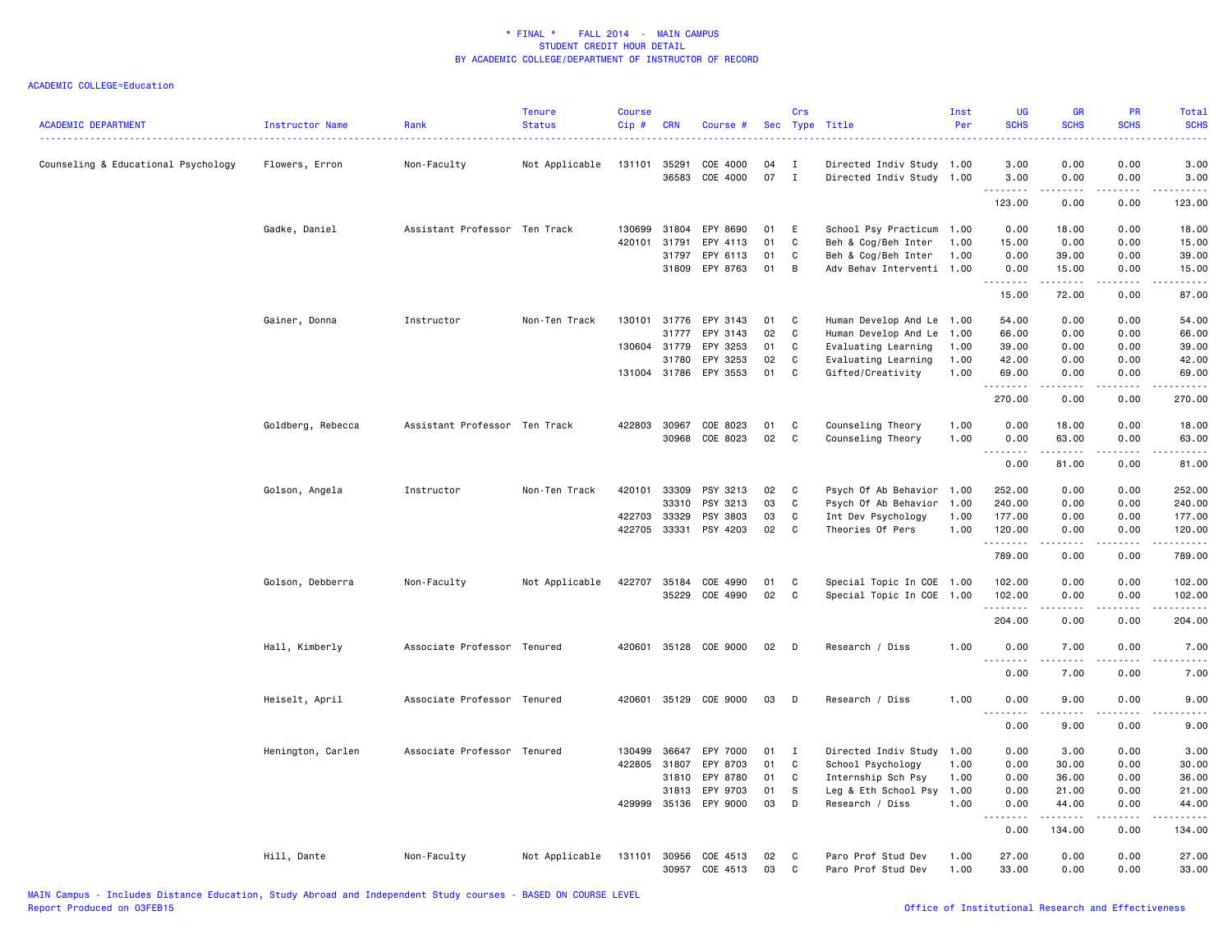| <b>ACADEMIC DEPARTMENT</b>          | Instructor Name   | Rank                          | <b>Tenure</b><br><b>Status</b> | Course<br>$Cip$ # | <b>CRN</b>   | Course #                   | Sec      | Crs          | Type Title                               | Inst<br>Per  | <b>UG</b><br><b>SCHS</b>  | <b>GR</b><br><b>SCHS</b>                                                                                                                                      | PR<br><b>SCHS</b>            | Total<br><b>SCHS</b>                        |
|-------------------------------------|-------------------|-------------------------------|--------------------------------|-------------------|--------------|----------------------------|----------|--------------|------------------------------------------|--------------|---------------------------|---------------------------------------------------------------------------------------------------------------------------------------------------------------|------------------------------|---------------------------------------------|
|                                     |                   |                               |                                |                   |              |                            |          |              |                                          |              |                           |                                                                                                                                                               |                              |                                             |
| Counseling & Educational Psychology | Flowers, Erron    | Non-Faculty                   | Not Applicable                 | 131101            | 35291        | COE 4000                   | 04       | I            | Directed Indiv Study 1.00                |              | 3.00                      | 0.00                                                                                                                                                          | 0.00                         | 3.00                                        |
|                                     |                   |                               |                                |                   | 36583        | COE 4000                   | 07       | $\mathbf{I}$ | Directed Indiv Study 1.00                |              | 3.00                      | 0.00                                                                                                                                                          | 0.00                         | 3.00                                        |
|                                     |                   |                               |                                |                   |              |                            |          |              |                                          |              | <u>.</u><br>123.00        | 0.00                                                                                                                                                          | 0.00                         | .<br>123.00                                 |
|                                     | Gadke, Daniel     | Assistant Professor Ten Track |                                | 130699            | 31804        | EPY 8690                   | 01       | Ε            | School Psy Practicum 1.00                |              | 0.00                      | 18.00                                                                                                                                                         | 0.00                         | 18.00                                       |
|                                     |                   |                               |                                | 420101            | 31791        | EPY 4113                   | 01       | C            | Beh & Cog/Beh Inter                      | 1.00         | 15.00                     | 0.00                                                                                                                                                          | 0.00                         | 15.00                                       |
|                                     |                   |                               |                                |                   | 31797        | EPY 6113                   | 01       | C            | Beh & Cog/Beh Inter                      | 1.00         | 0.00                      | 39.00                                                                                                                                                         | 0.00                         | 39.00                                       |
|                                     |                   |                               |                                |                   | 31809        | EPY 8763                   | 01       | В            | Adv Behav Interventi 1.00                |              | 0.00                      | 15.00                                                                                                                                                         | 0.00                         | 15.00                                       |
|                                     |                   |                               |                                |                   |              |                            |          |              |                                          |              | .<br>15.00                | $\frac{1}{2} \left( \frac{1}{2} \right) \left( \frac{1}{2} \right) \left( \frac{1}{2} \right) \left( \frac{1}{2} \right) \left( \frac{1}{2} \right)$<br>72.00 | $\sim$ $\sim$ $\sim$<br>0.00 | $\sim$ $\sim$ $\sim$ $\sim$ $\sim$<br>87.00 |
|                                     | Gainer, Donna     | Instructor                    | Non-Ten Track                  | 130101            | 31776        | EPY 3143                   | 01       | C            | Human Develop And Le 1.00                |              | 54.00                     | 0.00                                                                                                                                                          | 0.00                         | 54.00                                       |
|                                     |                   |                               |                                |                   | 31777        | EPY 3143                   | 02       | C            | Human Develop And Le                     | 1.00         | 66.00                     | 0.00                                                                                                                                                          | 0.00                         | 66.00                                       |
|                                     |                   |                               |                                | 130604 31779      |              | EPY 3253                   | 01       | C            | Evaluating Learning                      | 1.00         | 39.00                     | 0.00                                                                                                                                                          | 0.00                         | 39.00                                       |
|                                     |                   |                               |                                |                   | 31780        | EPY 3253                   | 02       | C            | Evaluating Learning                      | 1.00         | 42.00                     | 0.00                                                                                                                                                          | 0.00                         | 42.00                                       |
|                                     |                   |                               |                                |                   |              | 131004 31786 EPY 3553      | 01       | C            | Gifted/Creativity                        | 1.00         | 69.00                     | 0.00                                                                                                                                                          | 0.00                         | 69.00                                       |
|                                     |                   |                               |                                |                   |              |                            |          |              |                                          |              | .<br>270.00               | 0.00                                                                                                                                                          | 0.00                         | 270.00                                      |
|                                     | Goldberg, Rebecca | Assistant Professor Ten Track |                                | 422803 30967      |              | COE 8023                   | 01       | C            | Counseling Theory                        | 1.00         | 0.00                      | 18.00                                                                                                                                                         | 0.00                         | 18.00                                       |
|                                     |                   |                               |                                |                   | 30968        | COE 8023                   | 02       | C            | Counseling Theory                        | 1.00         | 0.00                      | 63.00                                                                                                                                                         | 0.00                         | 63.00                                       |
|                                     |                   |                               |                                |                   |              |                            |          |              |                                          |              | .<br>0.00                 | .<br>81.00                                                                                                                                                    | .<br>0.00                    | .<br>81.00                                  |
|                                     |                   |                               |                                |                   |              |                            |          |              |                                          |              |                           |                                                                                                                                                               |                              |                                             |
|                                     | Golson, Angela    | Instructor                    | Non-Ten Track                  | 420101            | 33309        | PSY 3213                   | 02       | C            | Psych Of Ab Behavior 1.00                |              | 252.00                    | 0.00                                                                                                                                                          | 0.00                         | 252.00                                      |
|                                     |                   |                               |                                |                   | 33310        | PSY 3213                   | 03       | C            | Psych Of Ab Behavior                     | 1.00         | 240.00                    | 0.00                                                                                                                                                          | 0.00                         | 240.00                                      |
|                                     |                   |                               |                                | 422703            | 33329        | PSY 3803                   | 03       | C            | Int Dev Psychology                       | 1.00         | 177.00                    | 0.00                                                                                                                                                          | 0.00                         | 177.00                                      |
|                                     |                   |                               |                                |                   | 422705 33331 | PSY 4203                   | 02       | C            | Theories Of Pers                         | 1.00         | 120.00<br>.               | 0.00<br>-----                                                                                                                                                 | 0.00                         | 120.00<br>.                                 |
|                                     |                   |                               |                                |                   |              |                            |          |              |                                          |              | 789.00                    | 0.00                                                                                                                                                          | 0.00                         | 789.00                                      |
|                                     | Golson, Debberra  | Non-Faculty                   | Not Applicable                 | 422707            | 35184        | COE 4990                   | 01       | C            | Special Topic In COE 1.00                |              | 102.00                    | 0.00                                                                                                                                                          | 0.00                         | 102.00                                      |
|                                     |                   |                               |                                |                   | 35229        | COE 4990                   | 02       | $\mathbf{C}$ | Special Topic In COE 1.00                |              | 102.00                    | 0.00                                                                                                                                                          | 0.00                         | 102.00                                      |
|                                     |                   |                               |                                |                   |              |                            |          |              |                                          |              | .<br>204.00               | .<br>0.00                                                                                                                                                     | .<br>0.00                    | <u>.</u><br>204.00                          |
|                                     | Hall, Kimberly    | Associate Professor Tenured   |                                |                   |              | 420601 35128 COE 9000      | 02 D     |              | Research / Diss                          | 1.00         | 0.00                      | 7.00                                                                                                                                                          | 0.00                         | 7.00                                        |
|                                     |                   |                               |                                |                   |              |                            |          |              |                                          |              | .<br>0.00                 | <u>.</u><br>7.00                                                                                                                                              | .<br>0.00                    | $    -$<br>7.00                             |
|                                     | Heiselt, April    | Associate Professor Tenured   |                                |                   |              | 420601 35129 COE 9000      | 03       | D            | Research / Diss                          | 1.00         | 0.00                      | 9.00                                                                                                                                                          | 0.00                         | 9.00                                        |
|                                     |                   |                               |                                |                   |              |                            |          |              |                                          |              | $\sim$ $\sim$ $\sim$<br>. | <u>.</u>                                                                                                                                                      | .                            | $\frac{1}{2}$                               |
|                                     |                   |                               |                                |                   |              |                            |          |              |                                          |              | 0.00                      | 9.00                                                                                                                                                          | 0.00                         | 9.00                                        |
|                                     | Henington, Carlen | Associate Professor Tenured   |                                | 130499            | 36647        | EPY 7000                   | 01       | I            | Directed Indiv Study 1.00                |              | 0.00                      | 3.00                                                                                                                                                          | 0.00                         | 3.00                                        |
|                                     |                   |                               |                                | 422805            | 31807        | EPY 8703                   | 01       | C            | School Psychology                        | 1.00         | 0.00                      | 30.00                                                                                                                                                         | 0.00                         | 30.00                                       |
|                                     |                   |                               |                                |                   | 31810        | EPY 8780                   | 01       | C            | Internship Sch Psy                       | 1.00         | 0.00                      | 36.00                                                                                                                                                         | 0.00                         | 36.00                                       |
|                                     |                   |                               |                                |                   | 31813        | EPY 9703                   | 01       | s            | Leg & Eth School Psy                     | 1.00         | 0.00                      | 21.00                                                                                                                                                         | 0.00                         | 21.00                                       |
|                                     |                   |                               |                                | 429999 35136      |              | EPY 9000                   | 03       | D            | Research / Diss                          | 1.00         | 0.00                      | 44.00                                                                                                                                                         | 0.00                         | 44.00                                       |
|                                     |                   |                               |                                |                   |              |                            |          |              |                                          |              | -----<br>$  -$<br>0.00    | .<br>134.00                                                                                                                                                   | .<br>0.00                    | .<br>134.00                                 |
|                                     | Hill, Dante       | Non-Faculty                   | Not Applicable                 | 131101            | 30956        | COE 4513<br>30957 COE 4513 | 02<br>03 | C<br>C       | Paro Prof Stud Dev<br>Paro Prof Stud Dev | 1.00<br>1.00 | 27.00<br>33.00            | 0.00<br>0.00                                                                                                                                                  | 0.00<br>0.00                 | 27.00<br>33.00                              |
|                                     |                   |                               |                                |                   |              |                            |          |              |                                          |              |                           |                                                                                                                                                               |                              |                                             |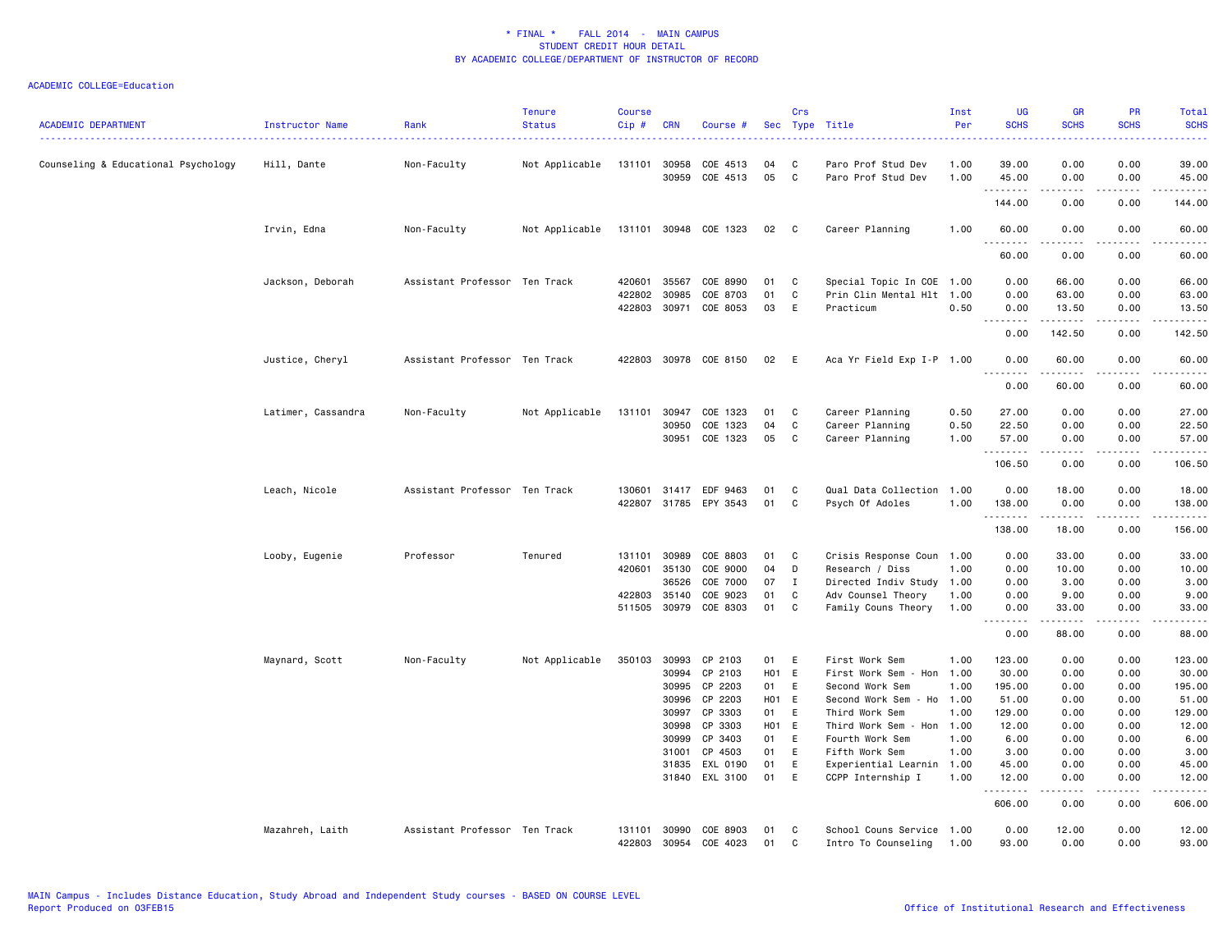| <b>ACADEMIC DEPARTMENT</b>          | Instructor Name    | Rank                          | <b>Tenure</b><br><b>Status</b> | <b>Course</b><br>Cip# | <b>CRN</b>                                                                    | Course #                                                                                                           | Sec                                                                  | Crs                                       | Type Title                                                                                                                                                                                                                   | Inst<br>Per                                          | <b>UG</b><br><b>SCHS</b>                                                                               | <b>GR</b><br><b>SCHS</b>                                                                  | <b>PR</b><br><b>SCHS</b>                                                                        | Total<br><b>SCHS</b><br>2222)                                                                          |
|-------------------------------------|--------------------|-------------------------------|--------------------------------|-----------------------|-------------------------------------------------------------------------------|--------------------------------------------------------------------------------------------------------------------|----------------------------------------------------------------------|-------------------------------------------|------------------------------------------------------------------------------------------------------------------------------------------------------------------------------------------------------------------------------|------------------------------------------------------|--------------------------------------------------------------------------------------------------------|-------------------------------------------------------------------------------------------|-------------------------------------------------------------------------------------------------|--------------------------------------------------------------------------------------------------------|
| Counseling & Educational Psychology | Hill, Dante        | Non-Faculty                   | Not Applicable                 |                       | 131101 30958<br>30959                                                         | COE 4513<br>COE 4513                                                                                               | 04<br>05                                                             | C<br>C                                    | Paro Prof Stud Dev<br>Paro Prof Stud Dev                                                                                                                                                                                     | 1.00<br>1.00                                         | 39.00<br>45.00                                                                                         | 0.00<br>0.00                                                                              | 0.00<br>0.00                                                                                    | 39.00<br>45.00                                                                                         |
|                                     |                    |                               |                                |                       |                                                                               |                                                                                                                    |                                                                      |                                           |                                                                                                                                                                                                                              |                                                      | .<br>144.00                                                                                            | 0.00                                                                                      | $\sim$ $\sim$ $\sim$ $\sim$<br>0.00                                                             | .<br>144.00                                                                                            |
|                                     | Irvin, Edna        | Non-Faculty                   | Not Applicable                 |                       |                                                                               | 131101 30948 COE 1323                                                                                              | 02 C                                                                 |                                           | Career Planning                                                                                                                                                                                                              | 1.00                                                 | 60.00                                                                                                  | 0.00                                                                                      | 0.00                                                                                            | 60.00                                                                                                  |
|                                     |                    |                               |                                |                       |                                                                               |                                                                                                                    |                                                                      |                                           |                                                                                                                                                                                                                              |                                                      | .<br>60.00                                                                                             | د د د د د<br>0.00                                                                         | .<br>0.00                                                                                       | .<br>60.00                                                                                             |
|                                     | Jackson, Deborah   | Assistant Professor Ten Track |                                | 420601<br>422802      | 35567<br>30985                                                                | COE 8990<br>COE 8703                                                                                               | 01<br>01                                                             | C<br>C                                    | Special Topic In COE 1.00<br>Prin Clin Mental Hlt 1.00                                                                                                                                                                       |                                                      | 0.00<br>0.00                                                                                           | 66.00<br>63.00                                                                            | 0.00<br>0.00                                                                                    | 66.00<br>63.00                                                                                         |
|                                     |                    |                               |                                |                       |                                                                               | 422803 30971 COE 8053                                                                                              | 03                                                                   | E                                         | Practicum                                                                                                                                                                                                                    | 0.50                                                 | 0.00                                                                                                   | 13.50                                                                                     | 0.00                                                                                            | 13.50<br>.                                                                                             |
|                                     |                    |                               |                                |                       |                                                                               |                                                                                                                    |                                                                      |                                           |                                                                                                                                                                                                                              |                                                      | .<br>0.00                                                                                              | 142.50                                                                                    | -----<br>0.00                                                                                   | 142.50                                                                                                 |
|                                     | Justice, Cheryl    | Assistant Professor Ten Track |                                |                       |                                                                               | 422803 30978 COE 8150                                                                                              | 02                                                                   | E                                         | Aca Yr Field Exp I-P 1.00                                                                                                                                                                                                    |                                                      | 0.00<br>.                                                                                              | 60.00<br>.                                                                                | 0.00<br>.                                                                                       | 60.00<br>.                                                                                             |
|                                     |                    |                               |                                |                       |                                                                               |                                                                                                                    |                                                                      |                                           |                                                                                                                                                                                                                              |                                                      | 0.00                                                                                                   | 60.00                                                                                     | 0.00                                                                                            | 60.00                                                                                                  |
|                                     | Latimer, Cassandra | Non-Faculty                   | Not Applicable                 | 131101                | 30947<br>30950<br>30951                                                       | COE 1323<br>COE 1323<br>COE 1323                                                                                   | 01<br>04<br>05                                                       | C<br>C<br>C                               | Career Planning<br>Career Planning<br>Career Planning                                                                                                                                                                        | 0.50<br>0.50<br>1.00                                 | 27.00<br>22.50<br>57.00                                                                                | 0.00<br>0.00<br>0.00                                                                      | 0.00<br>0.00<br>0.00                                                                            | 27.00<br>22.50<br>57.00                                                                                |
|                                     |                    |                               |                                |                       |                                                                               |                                                                                                                    |                                                                      |                                           |                                                                                                                                                                                                                              |                                                      | .<br>106.50                                                                                            | .<br>0.00                                                                                 | .<br>0.00                                                                                       | .<br>106.50                                                                                            |
|                                     | Leach, Nicole      | Assistant Professor Ten Track |                                | 130601                | 31417<br>422807 31785                                                         | EDF 9463<br>EPY 3543                                                                                               | 01<br>01                                                             | C<br>C                                    | Qual Data Collection<br>Psych Of Adoles                                                                                                                                                                                      | 1.00<br>1.00                                         | 0.00<br>138.00                                                                                         | 18.00<br>0.00                                                                             | 0.00<br>0.00                                                                                    | 18.00<br>138.00                                                                                        |
|                                     |                    |                               |                                |                       |                                                                               |                                                                                                                    |                                                                      |                                           |                                                                                                                                                                                                                              |                                                      | 138.00                                                                                                 | 18.00                                                                                     | 0.00                                                                                            | 156.00                                                                                                 |
|                                     | Looby, Eugenie     | Professor                     | Tenured                        | 131101<br>420601      | 30989<br>35130<br>36526                                                       | COE 8803<br>COE 9000<br>COE 7000                                                                                   | 01<br>04<br>07                                                       | C<br>D<br>T                               | Crisis Response Coun 1.00<br>Research / Diss<br>Directed Indiv Study 1.00                                                                                                                                                    | 1.00                                                 | 0.00<br>0.00<br>0.00                                                                                   | 33.00<br>10.00<br>3.00                                                                    | 0.00<br>0.00<br>0.00                                                                            | 33.00<br>10.00<br>3.00                                                                                 |
|                                     |                    |                               |                                | 422803                | 35140<br>511505 30979                                                         | COE 9023<br>COE 8303                                                                                               | 01<br>01                                                             | C<br>C                                    | Adv Counsel Theory<br>Family Couns Theory                                                                                                                                                                                    | 1.00<br>1.00                                         | 0.00<br>0.00                                                                                           | 9.00<br>33.00<br>.                                                                        | 0.00<br>0.00<br>.                                                                               | 9.00<br>33.00<br>.                                                                                     |
|                                     |                    |                               |                                |                       |                                                                               |                                                                                                                    |                                                                      |                                           |                                                                                                                                                                                                                              |                                                      | . <b>.</b><br>0.00                                                                                     | 88.00                                                                                     | 0.00                                                                                            | 88.00                                                                                                  |
|                                     | Maynard, Scott     | Non-Faculty                   | Not Applicable                 | 350103                | 30993<br>30994<br>30995<br>30996<br>30997<br>30998<br>30999<br>31001<br>31835 | CP 2103<br>CP 2103<br>CP 2203<br>CP 2203<br>CP 3303<br>CP 3303<br>CP 3403<br>CP 4503<br>EXL 0190<br>31840 EXL 3100 | 01<br><b>H01</b><br>01<br>H01 E<br>01<br>H01<br>01<br>01<br>01<br>01 | Ε<br>E<br>Ε<br>E<br>E<br>E<br>Ε<br>E<br>E | First Work Sem<br>First Work Sem - Hon<br>Second Work Sem<br>Second Work Sem - Ho 1.00<br>Third Work Sem<br>Third Work Sem - Hon 1.00<br>Fourth Work Sem<br>Fifth Work Sem<br>Experiential Learnin 1.00<br>CCPP Internship I | 1.00<br>1.00<br>1.00<br>1.00<br>1.00<br>1.00<br>1.00 | 123.00<br>30.00<br>195.00<br>51.00<br>129.00<br>12.00<br>6.00<br>3.00<br>45.00<br>12.00<br>.<br>606.00 | 0.00<br>0.00<br>0.00<br>0.00<br>0.00<br>0.00<br>0.00<br>0.00<br>0.00<br>0.00<br>.<br>0.00 | 0.00<br>0.00<br>0.00<br>0.00<br>0.00<br>0.00<br>0.00<br>0.00<br>0.00<br>0.00<br>د د د د<br>0.00 | 123.00<br>30.00<br>195.00<br>51.00<br>129.00<br>12.00<br>6.00<br>3.00<br>45.00<br>12.00<br>.<br>606.00 |
|                                     | Mazahreh, Laith    | Assistant Professor Ten Track |                                | 131101<br>422803      | 30990<br>30954                                                                | COE 8903<br>COE 4023                                                                                               | 01<br>01                                                             | C<br>C                                    | School Couns Service 1.00<br>Intro To Counseling                                                                                                                                                                             | 1.00                                                 | 0.00<br>93.00                                                                                          | 12.00<br>0.00                                                                             | 0.00<br>0.00                                                                                    | 12.00<br>93.00                                                                                         |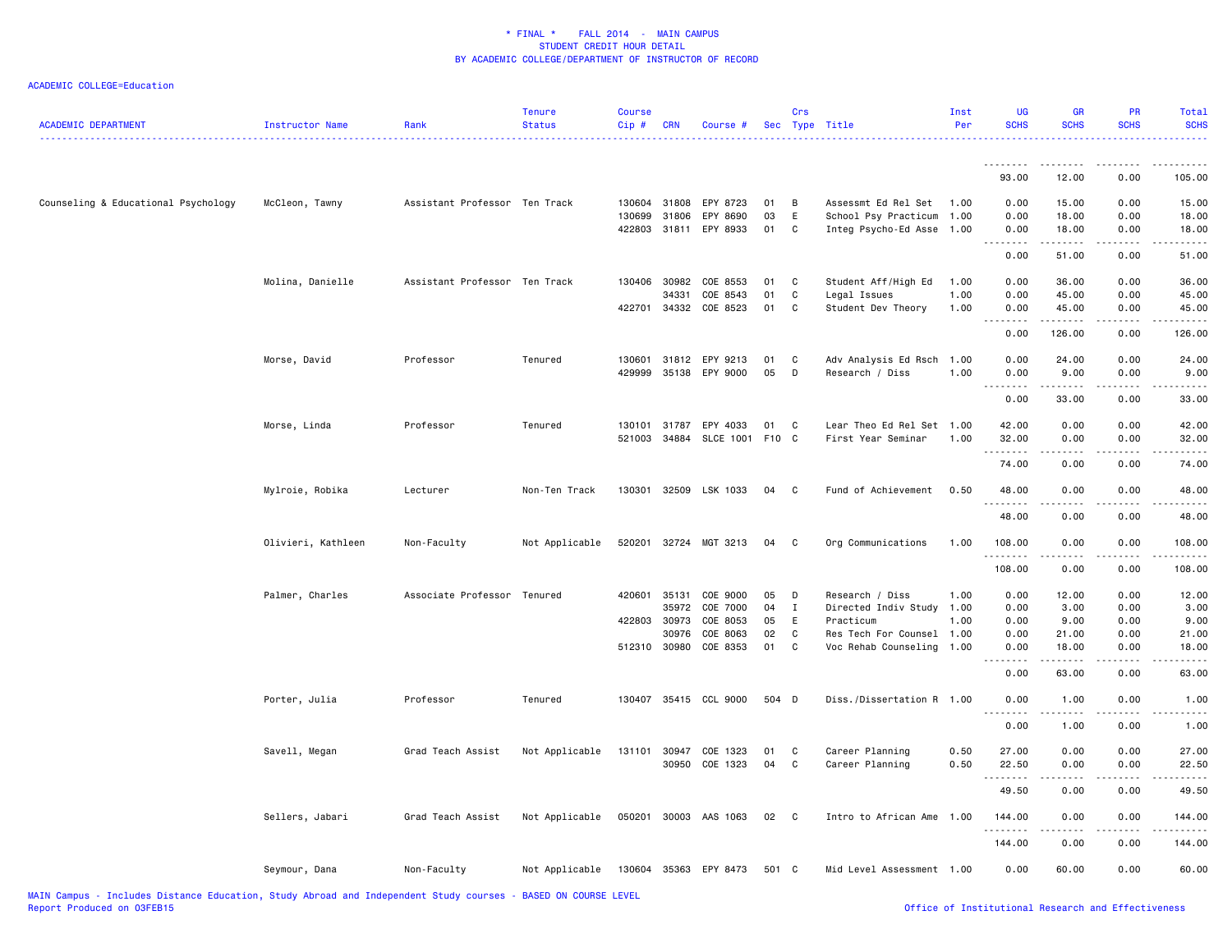| <b>ACADEMIC DEPARTMENT</b>          | Instructor Name    | Rank                          | <b>Tenure</b><br><b>Status</b> | <b>Course</b><br>$Cip \#$ | <b>CRN</b>   | Course #              |       | <b>Crs</b>   | Sec Type Title            | Inst<br>Per | <b>UG</b><br><b>SCHS</b> | <b>GR</b><br><b>SCHS</b>                                                                                                                                      | <b>PR</b><br><b>SCHS</b>                                                                                                          | Total<br><b>SCHS</b> |
|-------------------------------------|--------------------|-------------------------------|--------------------------------|---------------------------|--------------|-----------------------|-------|--------------|---------------------------|-------------|--------------------------|---------------------------------------------------------------------------------------------------------------------------------------------------------------|-----------------------------------------------------------------------------------------------------------------------------------|----------------------|
|                                     |                    |                               |                                |                           |              |                       |       |              |                           |             | .                        | .                                                                                                                                                             |                                                                                                                                   |                      |
|                                     |                    |                               |                                |                           |              |                       |       |              |                           |             | 93.00                    | 12.00                                                                                                                                                         | 0.00                                                                                                                              | 105.00               |
| Counseling & Educational Psychology | McCleon, Tawny     | Assistant Professor Ten Track |                                |                           | 130604 31808 | EPY 8723              | 01    | B            | Assessmt Ed Rel Set       | 1.00        | 0.00                     | 15.00                                                                                                                                                         | 0.00                                                                                                                              | 15.00                |
|                                     |                    |                               |                                | 130699                    | 31806        | EPY 8690              | 03    | E            | School Psy Practicum      | 1.00        | 0.00                     | 18.00                                                                                                                                                         | 0.00                                                                                                                              | 18.00                |
|                                     |                    |                               |                                |                           | 422803 31811 | EPY 8933              | 01    | C            | Integ Psycho-Ed Asse 1.00 |             | 0.00<br><u>.</u>         | 18.00<br>.                                                                                                                                                    | 0.00<br>.                                                                                                                         | 18.00                |
|                                     |                    |                               |                                |                           |              |                       |       |              |                           |             | 0.00                     | 51.00                                                                                                                                                         | 0.00                                                                                                                              | 51.00                |
|                                     | Molina, Danielle   | Assistant Professor Ten Track |                                |                           | 130406 30982 | COE 8553              | 01    | C            | Student Aff/High Ed       | 1.00        | 0.00                     | 36.00                                                                                                                                                         | 0.00                                                                                                                              | 36.00                |
|                                     |                    |                               |                                |                           | 34331        | COE 8543              | 01    | C            | Legal Issues              | 1.00        | 0.00                     | 45.00                                                                                                                                                         | 0.00                                                                                                                              | 45.00                |
|                                     |                    |                               |                                | 422701                    | 34332        | COE 8523              | 01    | C            | Student Dev Theory        | 1.00        | 0.00<br>.                | 45.00<br>.                                                                                                                                                    | 0.00<br>.                                                                                                                         | 45.00<br>.           |
|                                     |                    |                               |                                |                           |              |                       |       |              |                           |             | 0.00                     | 126.00                                                                                                                                                        | 0.00                                                                                                                              | 126.00               |
|                                     | Morse, David       | Professor                     | Tenured                        | 130601                    | 31812        | EPY 9213              | 01    | C            | Adv Analysis Ed Rsch 1.00 |             | 0.00                     | 24.00                                                                                                                                                         | 0.00                                                                                                                              | 24.00                |
|                                     |                    |                               |                                | 429999                    | 35138        | EPY 9000              | 05    | D            | Research / Diss           | 1.00        | 0.00                     | 9.00                                                                                                                                                          | 0.00                                                                                                                              | 9.00                 |
|                                     |                    |                               |                                |                           |              |                       |       |              |                           |             | 0.00                     | 33.00                                                                                                                                                         | 0.00                                                                                                                              | 33.00                |
|                                     | Morse, Linda       | Professor                     | Tenured                        | 130101                    | 31787        | EPY 4033              | 01    | $\mathbf{C}$ | Lear Theo Ed Rel Set 1.00 |             | 42.00                    | 0.00                                                                                                                                                          | 0.00                                                                                                                              | 42.00                |
|                                     |                    |                               |                                | 521003                    |              | 34884 SLCE 1001 F10 C |       |              | First Year Seminar        | 1.00        | 32.00                    | 0.00                                                                                                                                                          | 0.00                                                                                                                              | 32.00                |
|                                     |                    |                               |                                |                           |              |                       |       |              |                           |             | --------<br>74.00        | - - - -<br>0.00                                                                                                                                               | 0.00                                                                                                                              | 74.00                |
|                                     | Mylroie, Robika    | Lecturer                      | Non-Ten Track                  | 130301                    |              | 32509 LSK 1033        | 04    | $\mathbf{C}$ | Fund of Achievement       | 0.50        | 48.00                    | 0.00                                                                                                                                                          | 0.00                                                                                                                              | 48.00                |
|                                     |                    |                               |                                |                           |              |                       |       |              |                           |             | 48.00                    | 0.00                                                                                                                                                          | 0.00                                                                                                                              | 48.00                |
|                                     | Olivieri, Kathleen | Non-Faculty                   | Not Applicable                 | 520201                    |              | 32724 MGT 3213        | 04    | $\mathbf{C}$ | Org Communications        | 1.00        | 108.00                   | 0.00                                                                                                                                                          | 0.00                                                                                                                              | 108.00               |
|                                     |                    |                               |                                |                           |              |                       |       |              |                           |             | <u>.</u><br>108.00       | $- - -$<br>0.00                                                                                                                                               | 0.00                                                                                                                              | 108.00               |
|                                     | Palmer, Charles    | Associate Professor Tenured   |                                |                           | 420601 35131 | COE 9000              | 05    | D            | Research / Diss           | 1.00        | 0.00                     | 12.00                                                                                                                                                         | 0.00                                                                                                                              | 12.00                |
|                                     |                    |                               |                                |                           | 35972        | COE 7000              | 04    | $\mathbf{I}$ | Directed Indiv Study      | 1.00        | 0.00                     | 3.00                                                                                                                                                          | 0.00                                                                                                                              | 3.00                 |
|                                     |                    |                               |                                | 422803                    | 30973        | COE 8053              | 05    | E            | Practicum                 | 1.00        | 0.00                     | 9.00                                                                                                                                                          | 0.00                                                                                                                              | 9.00                 |
|                                     |                    |                               |                                |                           | 30976        | COE 8063              | 02    | C            | Res Tech For Counsel 1.00 |             | 0.00                     | 21.00                                                                                                                                                         | 0.00                                                                                                                              | 21.00                |
|                                     |                    |                               |                                |                           | 512310 30980 | COE 8353              | 01    | $\mathbf{C}$ | Voc Rehab Counseling      | 1.00        | 0.00<br>.                | 18.00<br>$\frac{1}{2} \left( \frac{1}{2} \right) \left( \frac{1}{2} \right) \left( \frac{1}{2} \right) \left( \frac{1}{2} \right) \left( \frac{1}{2} \right)$ | 0.00                                                                                                                              | 18.00                |
|                                     |                    |                               |                                |                           |              |                       |       |              |                           |             | 0.00                     | 63.00                                                                                                                                                         | 0.00                                                                                                                              | 63.00                |
|                                     | Porter, Julia      | Professor                     | Tenured                        |                           |              | 130407 35415 CCL 9000 | 504 D |              | Diss./Dissertation R 1.00 |             | 0.00<br>.                | 1.00<br>$\frac{1}{2} \left( \frac{1}{2} \right) \left( \frac{1}{2} \right) \left( \frac{1}{2} \right) \left( \frac{1}{2} \right)$                             | 0.00                                                                                                                              | 1.00                 |
|                                     |                    |                               |                                |                           |              |                       |       |              |                           |             | 0.00                     | 1.00                                                                                                                                                          | 0.00                                                                                                                              | 1.00                 |
|                                     | Savell, Megan      | Grad Teach Assist             | Not Applicable                 |                           | 131101 30947 | COE 1323              | 01    | C            | Career Planning           | 0.50        | 27.00                    | 0.00                                                                                                                                                          | 0.00                                                                                                                              | 27.00                |
|                                     |                    |                               |                                |                           | 30950        | COE 1323              | 04    | C            | Career Planning           | 0.50        | 22.50                    | 0.00                                                                                                                                                          | 0.00                                                                                                                              | 22.50                |
|                                     |                    |                               |                                |                           |              |                       |       |              |                           |             | .<br>49.50               | المتمام<br>0.00                                                                                                                                               | $\frac{1}{2} \left( \frac{1}{2} \right) \left( \frac{1}{2} \right) \left( \frac{1}{2} \right) \left( \frac{1}{2} \right)$<br>0.00 | 49.50                |
|                                     | Sellers, Jabari    | Grad Teach Assist             | Not Applicable                 |                           |              | 050201 30003 AAS 1063 | 02    | $\mathbf{C}$ | Intro to African Ame 1.00 |             | 144.00                   | 0.00                                                                                                                                                          | 0.00                                                                                                                              | 144.00               |
|                                     |                    |                               |                                |                           |              |                       |       |              |                           |             | .<br>144.00              | .<br>0.00                                                                                                                                                     | .<br>0.00                                                                                                                         | 144.00               |
|                                     | Seymour, Dana      | Non-Faculty                   | Not Applicable                 |                           |              | 130604 35363 EPY 8473 | 501 C |              | Mid Level Assessment 1.00 |             | 0.00                     | 60.00                                                                                                                                                         | 0.00                                                                                                                              | 60.00                |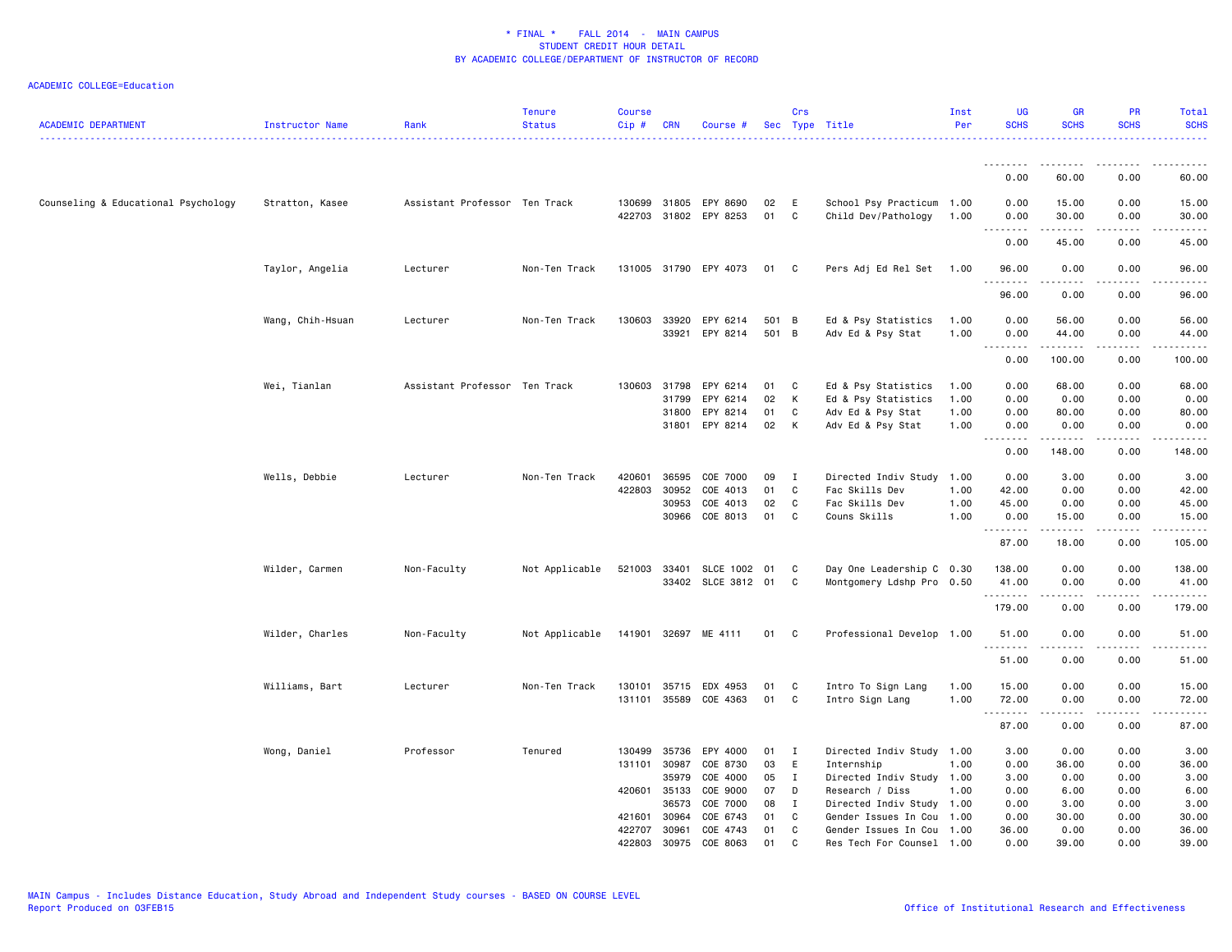| <b>ACADEMIC DEPARTMENT</b>          | <b>Instructor Name</b> | Rank                          | <b>Tenure</b><br><b>Status</b> | <b>Course</b><br>Cip # | <b>CRN</b>   | Course #                                       |          | Crs          | Sec Type Title                                   | Inst<br>Per | <b>UG</b><br><b>SCHS</b>             | <b>GR</b><br><b>SCHS</b>                                                                                                                                     | PR<br><b>SCHS</b> | Total<br><b>SCHS</b><br>.                                                                                             |
|-------------------------------------|------------------------|-------------------------------|--------------------------------|------------------------|--------------|------------------------------------------------|----------|--------------|--------------------------------------------------|-------------|--------------------------------------|--------------------------------------------------------------------------------------------------------------------------------------------------------------|-------------------|-----------------------------------------------------------------------------------------------------------------------|
|                                     |                        |                               |                                |                        |              |                                                |          |              | .                                                |             | <u>.</u>                             |                                                                                                                                                              |                   |                                                                                                                       |
|                                     |                        |                               |                                |                        |              |                                                |          |              |                                                  |             | 0.00                                 | 60.00                                                                                                                                                        | 0.00              | 60.00                                                                                                                 |
| Counseling & Educational Psychology | Stratton, Kasee        | Assistant Professor Ten Track |                                |                        |              | 130699 31805 EPY 8690<br>422703 31802 EPY 8253 | 02<br>01 | E<br>C       | School Psy Practicum 1.00<br>Child Dev/Pathology | 1.00        | 0.00<br>0.00<br>.<br>$\sim$ $\sim$ . | 15.00<br>30.00<br>-----                                                                                                                                      | 0.00<br>0.00<br>. | 15.00<br>30.00<br>والمستحدث                                                                                           |
|                                     |                        |                               |                                |                        |              |                                                |          |              |                                                  |             | 0.00                                 | 45.00                                                                                                                                                        | 0.00              | 45.00                                                                                                                 |
|                                     | Taylor, Angelia        | Lecturer                      | Non-Ten Track                  |                        |              | 131005 31790 EPY 4073                          | 01       | C            | Pers Adj Ed Rel Set                              | 1.00        | 96.00<br>.                           | 0.00<br>$\frac{1}{2} \left( \frac{1}{2} \right) \left( \frac{1}{2} \right) \left( \frac{1}{2} \right) \left( \frac{1}{2} \right) \left( \frac{1}{2} \right)$ | 0.00<br>د د د د   | 96.00<br>.                                                                                                            |
|                                     |                        |                               |                                |                        |              |                                                |          |              |                                                  |             | 96.00                                | 0.00                                                                                                                                                         | 0.00              | 96.00                                                                                                                 |
|                                     | Wang, Chih-Hsuan       | Lecturer                      | Non-Ten Track                  | 130603                 | 33920        | EPY 6214                                       | 501 B    |              | Ed & Psy Statistics                              | 1.00        | 0.00                                 | 56.00                                                                                                                                                        | 0.00              | 56.00                                                                                                                 |
|                                     |                        |                               |                                |                        |              | 33921 EPY 8214                                 | 501 B    |              | Adv Ed & Psy Stat                                | 1.00        | 0.00<br>.                            | 44.00                                                                                                                                                        | 0.00<br>.         | 44.00<br><u>.</u>                                                                                                     |
|                                     |                        |                               |                                |                        |              |                                                |          |              |                                                  |             | 0.00                                 | 100.00                                                                                                                                                       | 0.00              | 100.00                                                                                                                |
|                                     | Wei, Tianlan           | Assistant Professor Ten Track |                                | 130603                 | 31798        | EPY 6214                                       | 01       | C            | Ed & Psy Statistics                              | 1.00        | 0.00                                 | 68.00                                                                                                                                                        | 0.00              | 68.00                                                                                                                 |
|                                     |                        |                               |                                |                        | 31799        | EPY 6214                                       | 02       | К            | Ed & Psy Statistics                              | 1.00        | 0.00                                 | 0.00                                                                                                                                                         | 0.00              | 0.00                                                                                                                  |
|                                     |                        |                               |                                |                        | 31800        | EPY 8214                                       | 01       | C            | Adv Ed & Psy Stat                                | 1.00        | 0.00                                 | 80.00                                                                                                                                                        | 0.00              | 80.00                                                                                                                 |
|                                     |                        |                               |                                |                        |              | 31801 EPY 8214                                 | 02       | K            | Adv Ed & Psy Stat                                | 1.00        | 0.00<br>.                            | 0.00<br>.                                                                                                                                                    | 0.00<br>.         | 0.00<br>.                                                                                                             |
|                                     |                        |                               |                                |                        |              |                                                |          |              |                                                  |             | 0.00                                 | 148.00                                                                                                                                                       | 0.00              | 148.00                                                                                                                |
|                                     | Wells, Debbie          | Lecturer                      | Non-Ten Track                  | 420601                 | 36595        | COE 7000                                       | 09       | $\bf{I}$     | Directed Indiv Study                             | 1.00        | 0.00                                 | 3.00                                                                                                                                                         | 0.00              | 3.00                                                                                                                  |
|                                     |                        |                               |                                | 422803                 | 30952        | COE 4013                                       | 01       | C            | Fac Skills Dev                                   | 1.00        | 42.00                                | 0.00                                                                                                                                                         | 0.00              | 42.00                                                                                                                 |
|                                     |                        |                               |                                |                        | 30953        | COE 4013                                       | 02       | C            | Fac Skills Dev                                   | 1.00        | 45.00                                | 0.00                                                                                                                                                         | 0.00              | 45.00                                                                                                                 |
|                                     |                        |                               |                                |                        | 30966        | COE 8013                                       | 01       | C            | Couns Skills                                     | 1.00        | 0.00                                 | 15.00                                                                                                                                                        | 0.00              | 15.00                                                                                                                 |
|                                     |                        |                               |                                |                        |              |                                                |          |              |                                                  |             | .<br>87.00                           | $\begin{array}{cccccccccc} \bullet & \bullet & \bullet & \bullet & \bullet & \bullet & \bullet \end{array}$<br>18.00                                         | د د د د<br>0.00   | <u>.</u><br>105.00                                                                                                    |
|                                     | Wilder, Carmen         | Non-Faculty                   | Not Applicable                 | 521003                 | 33401        | SLCE 1002                                      | 01       | C            | Day One Leadership C 0.30                        |             | 138.00                               | 0.00                                                                                                                                                         | 0.00              | 138.00                                                                                                                |
|                                     |                        |                               |                                |                        |              | 33402 SLCE 3812 01                             |          | C            | Montgomery Ldshp Pro 0.50                        |             | 41.00                                | 0.00                                                                                                                                                         | 0.00              | 41.00                                                                                                                 |
|                                     |                        |                               |                                |                        |              |                                                |          |              |                                                  |             | .<br>179.00                          | <b>.</b><br>0.00                                                                                                                                             | .<br>0.00         | $\begin{array}{cccccccccc} \bullet & \bullet & \bullet & \bullet & \bullet & \bullet & \bullet \end{array}$<br>179.00 |
|                                     | Wilder, Charles        | Non-Faculty                   | Not Applicable                 |                        |              | 141901 32697 ME 4111                           | 01       | C.           | Professional Develop 1.00                        |             | 51.00                                | 0.00                                                                                                                                                         | 0.00              | 51.00                                                                                                                 |
|                                     |                        |                               |                                |                        |              |                                                |          |              |                                                  |             | .<br>51.00                           | -----<br>0.00                                                                                                                                                | .<br>0.00         | .<br>51.00                                                                                                            |
|                                     | Williams, Bart         | Lecturer                      | Non-Ten Track                  |                        |              | 130101 35715 EDX 4953                          | 01       | C            | Intro To Sign Lang                               | 1.00        | 15.00                                | 0.00                                                                                                                                                         | 0.00              | 15.00                                                                                                                 |
|                                     |                        |                               |                                |                        | 131101 35589 | COE 4363                                       | 01       | C            | Intro Sign Lang                                  | 1.00        | 72.00                                | 0.00                                                                                                                                                         | 0.00              | 72.00                                                                                                                 |
|                                     |                        |                               |                                |                        |              |                                                |          |              |                                                  |             | <u>.</u><br>87.00                    | 0.00                                                                                                                                                         | 0.00              | $- - - - -$<br>87.00                                                                                                  |
|                                     | Wong, Daniel           | Professor                     | Tenured                        | 130499                 | 35736        | EPY 4000                                       | 01       | $\mathbf{I}$ | Directed Indiv Study 1.00                        |             | 3.00                                 | 0.00                                                                                                                                                         | 0.00              | 3.00                                                                                                                  |
|                                     |                        |                               |                                | 131101                 | 30987        | COE 8730                                       | 03       | E            | Internship                                       | 1.00        | 0.00                                 | 36.00                                                                                                                                                        | 0.00              | 36.00                                                                                                                 |
|                                     |                        |                               |                                |                        | 35979        | COE 4000                                       | 05       | $\mathbf{I}$ | Directed Indiv Study 1.00                        |             | 3.00                                 | 0.00                                                                                                                                                         | 0.00              | 3.00                                                                                                                  |
|                                     |                        |                               |                                |                        | 420601 35133 | COE 9000                                       | 07       | D            | Research / Diss                                  | 1.00        | 0.00                                 | 6.00                                                                                                                                                         | 0.00              | 6.00                                                                                                                  |
|                                     |                        |                               |                                |                        | 36573        | COE 7000                                       | 08       | $\mathbf{I}$ | Directed Indiv Study 1.00                        |             | 0.00                                 | 3.00                                                                                                                                                         | 0.00              | 3.00                                                                                                                  |
|                                     |                        |                               |                                | 421601                 | 30964        | COE 6743                                       | 01       | C            | Gender Issues In Cou 1.00                        |             | 0.00                                 | 30.00                                                                                                                                                        | 0.00              | 30.00                                                                                                                 |
|                                     |                        |                               |                                |                        | 422707 30961 | COE 4743                                       | 01       | C            | Gender Issues In Cou 1.00                        |             | 36.00                                | 0.00                                                                                                                                                         | 0.00              | 36.00                                                                                                                 |
|                                     |                        |                               |                                | 422803                 | 30975        | COE 8063                                       | 01       | C            | Res Tech For Counsel 1.00                        |             | 0.00                                 | 39,00                                                                                                                                                        | 0.00              | 39.00                                                                                                                 |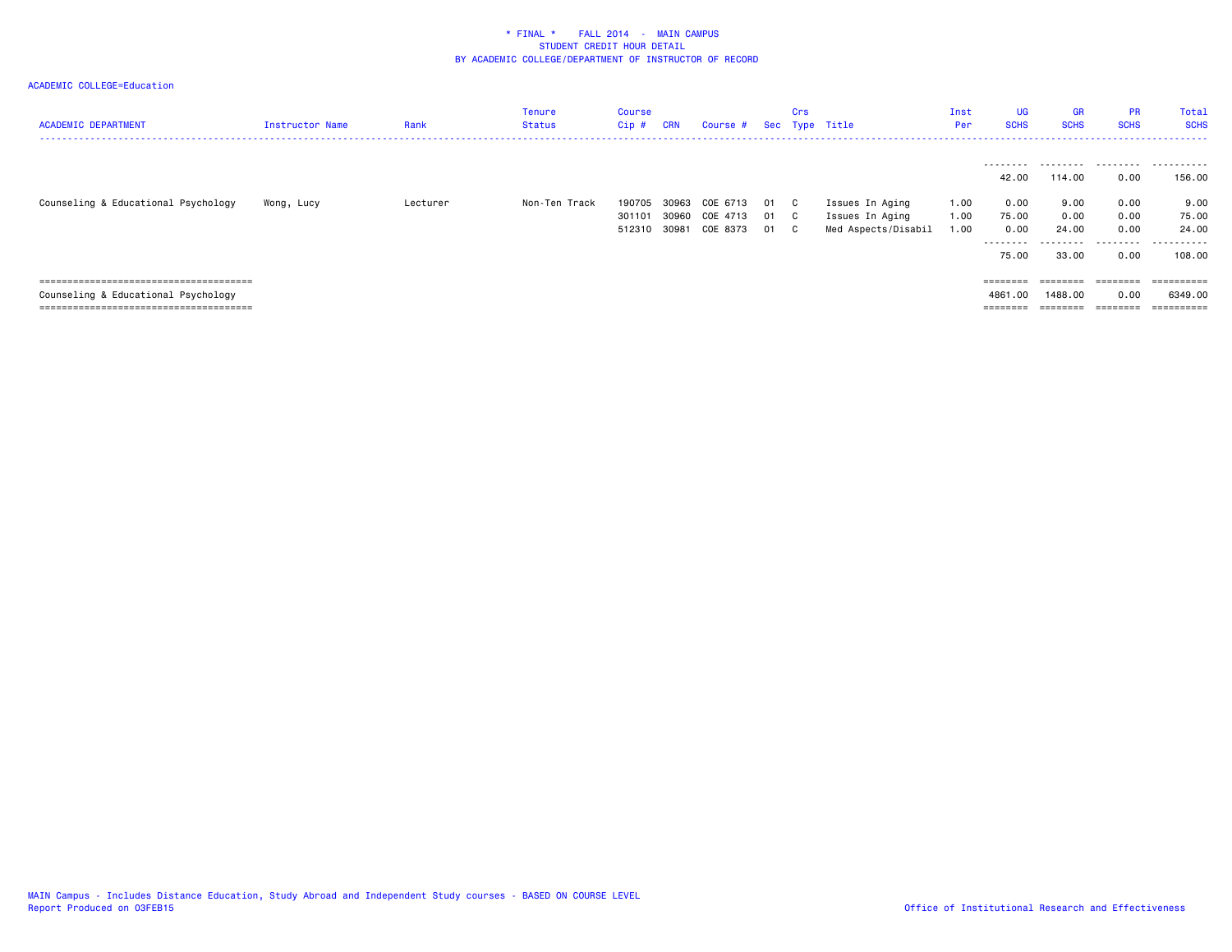| <b>ACADEMIC DEPARTMENT</b>          | Instructor Name | Rank     | Tenure<br>Status | <b>Course</b><br>Cip# | <b>CRN</b> | Course # Sec Type Title |      | Crs |                     | Inst<br>Per | <b>UG</b><br><b>SCHS</b> | <b>GR</b><br><b>SCHS</b> | <b>PR</b><br><b>SCHS</b> | Total<br><b>SCHS</b> |
|-------------------------------------|-----------------|----------|------------------|-----------------------|------------|-------------------------|------|-----|---------------------|-------------|--------------------------|--------------------------|--------------------------|----------------------|
|                                     |                 |          |                  |                       |            |                         |      |     |                     |             | ---------                |                          |                          |                      |
|                                     |                 |          |                  |                       |            |                         |      |     |                     |             | 42.00                    | 114.00                   | 0.00                     | 156.00               |
| Counseling & Educational Psychology | Wong, Lucy      | Lecturer | Non-Ten Track    | 190705                |            | 30963 COE 6713          | 01 C |     | Issues In Aging     | 1.00        | 0.00                     | 9.00                     | 0.00                     | 9.00                 |
|                                     |                 |          |                  | 301101                | 30960      | COE 4713                | 01   | C . | Issues In Aging     | 1.00        | 75.00                    | 0.00                     | 0.00                     | 75.00                |
|                                     |                 |          |                  | 512310                | 30981      | COE 8373                | 01 C |     | Med Aspects/Disabil | 1.00        | 0.00                     | 24.00                    | 0.00                     | 24.00                |
|                                     |                 |          |                  |                       |            |                         |      |     |                     |             | ---------                | .                        | .                        | . <u>.</u><br>.      |
|                                     |                 |          |                  |                       |            |                         |      |     |                     |             | 75.00                    | 33,00                    | 0.00                     | 108.00               |
|                                     |                 |          |                  |                       |            |                         |      |     |                     |             |                          |                          |                          |                      |
|                                     |                 |          |                  |                       |            |                         |      |     |                     |             | $=$ = = = = = = =        | ========                 | ========                 | ==========           |
| Counseling & Educational Psychology |                 |          |                  |                       |            |                         |      |     |                     |             | 4861,00                  | 1488.00                  | 0.00                     | 6349,00              |
|                                     |                 |          |                  |                       |            |                         |      |     |                     |             |                          | $=$ = = = = = = =        | ========                 |                      |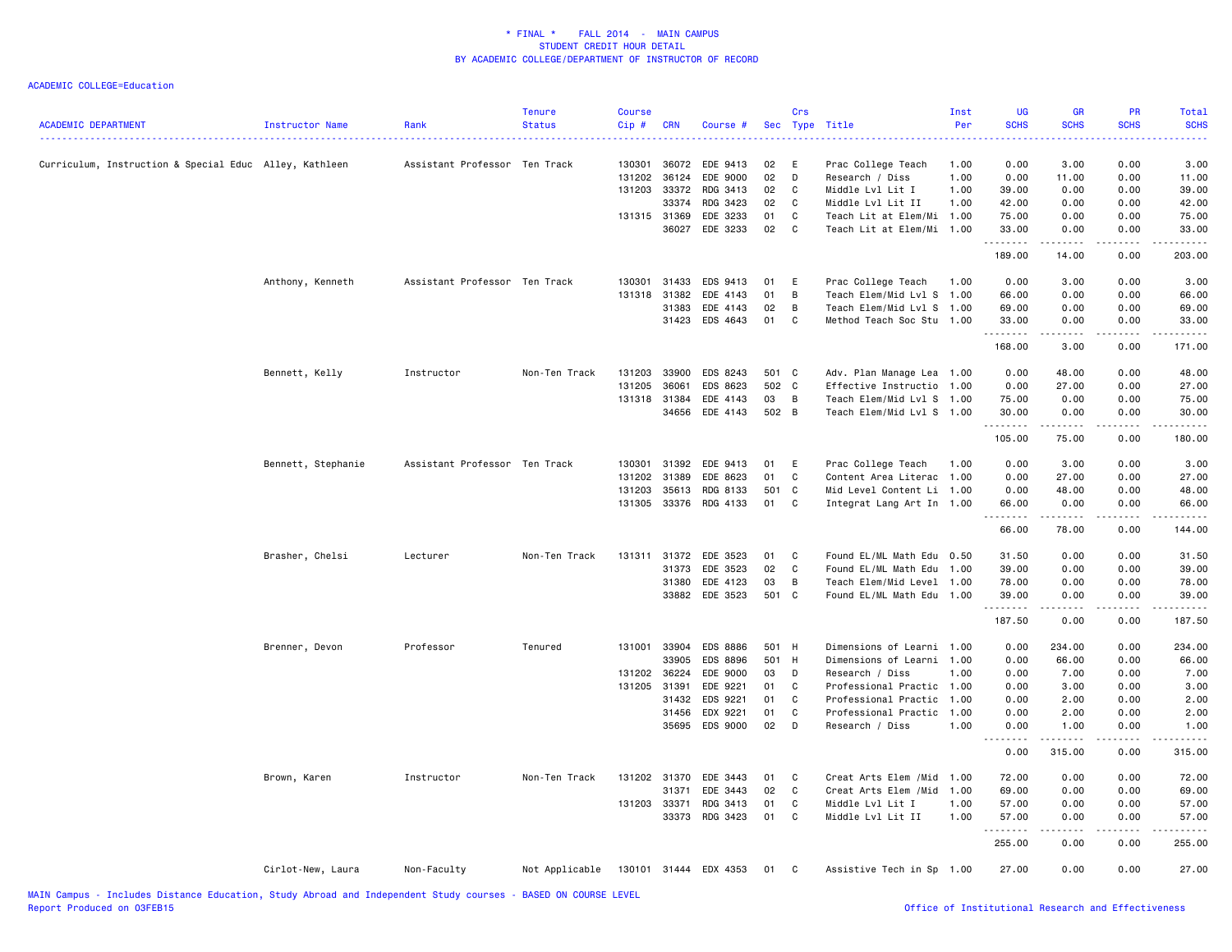| <b>ACADEMIC DEPARTMENT</b>                             | Instructor Name    | Rank                          | <b>Tenure</b><br><b>Status</b> | <b>Course</b><br>Cip# | <b>CRN</b>   | Course #              | Sec   | Crs          | Type Title                 | Inst<br>Per | <b>UG</b><br><b>SCHS</b> | <b>GR</b><br><b>SCHS</b>                                                                                                                                     | <b>PR</b><br><b>SCHS</b>            | Total<br><b>SCHS</b>                                                                                                                                                                     |
|--------------------------------------------------------|--------------------|-------------------------------|--------------------------------|-----------------------|--------------|-----------------------|-------|--------------|----------------------------|-------------|--------------------------|--------------------------------------------------------------------------------------------------------------------------------------------------------------|-------------------------------------|------------------------------------------------------------------------------------------------------------------------------------------------------------------------------------------|
| Curriculum, Instruction & Special Educ Alley, Kathleen |                    | Assistant Professor Ten Track |                                | 130301                | 36072        | EDE 9413              | 02    | E            | Prac College Teach         | 1.00        | 0.00                     | 3.00                                                                                                                                                         | 0.00                                | 3.00                                                                                                                                                                                     |
|                                                        |                    |                               |                                | 131202                | 36124        | EDE 9000              | 02    | D            | Research / Diss            | 1.00        | 0.00                     | 11.00                                                                                                                                                        | 0.00                                | 11.00                                                                                                                                                                                    |
|                                                        |                    |                               |                                | 131203                | 33372        | RDG 3413              | 02    | C            | Middle Lvl Lit I           | 1.00        | 39.00                    | 0.00                                                                                                                                                         | 0.00                                | 39.00                                                                                                                                                                                    |
|                                                        |                    |                               |                                |                       | 33374        | RDG 3423              | 02    | C            | Middle Lvl Lit II          | 1.00        | 42.00                    | 0.00                                                                                                                                                         | 0.00                                | 42.00                                                                                                                                                                                    |
|                                                        |                    |                               |                                |                       | 131315 31369 | EDE 3233              | 01    | C            | Teach Lit at Elem/Mi 1.00  |             | 75.00                    | 0.00                                                                                                                                                         | 0.00                                | 75.00                                                                                                                                                                                    |
|                                                        |                    |                               |                                |                       | 36027        | EDE 3233              | 02    | C            | Teach Lit at Elem/Mi 1.00  |             | 33.00<br>.               | 0.00<br>.                                                                                                                                                    | 0.00<br>$\sim$ $\sim$ $\sim$ $\sim$ | 33.00<br>.                                                                                                                                                                               |
|                                                        |                    |                               |                                |                       |              |                       |       |              |                            |             | 189.00                   | 14.00                                                                                                                                                        | 0.00                                | 203.00                                                                                                                                                                                   |
|                                                        | Anthony, Kenneth   | Assistant Professor Ten Track |                                | 130301                | 31433        | EDS 9413              | 01    | E            | Prac College Teach         | 1.00        | 0.00                     | 3.00                                                                                                                                                         | 0.00                                | 3.00                                                                                                                                                                                     |
|                                                        |                    |                               |                                | 131318                | 31382        | EDE 4143              | 01    | В            | Teach Elem/Mid Lvl S 1.00  |             | 66.00                    | 0.00                                                                                                                                                         | 0.00                                | 66.00                                                                                                                                                                                    |
|                                                        |                    |                               |                                |                       | 31383        | EDE 4143              | 02    | B            | Teach Elem/Mid Lvl S 1.00  |             | 69.00                    | 0.00                                                                                                                                                         | 0.00                                | 69.00                                                                                                                                                                                    |
|                                                        |                    |                               |                                |                       | 31423        | EDS 4643              | 01    | C            | Method Teach Soc Stu 1.00  |             | 33.00                    | 0.00                                                                                                                                                         | 0.00                                | 33.00                                                                                                                                                                                    |
|                                                        |                    |                               |                                |                       |              |                       |       |              |                            |             | .<br>168.00              | 3.00                                                                                                                                                         | $\sim$ $\sim$ $\sim$<br>0.00        | .<br>171.00                                                                                                                                                                              |
|                                                        | Bennett, Kelly     | Instructor                    | Non-Ten Track                  | 131203                | 33900        | EDS 8243              | 501 C |              | Adv. Plan Manage Lea 1.00  |             | 0.00                     | 48.00                                                                                                                                                        | 0.00                                | 48.00                                                                                                                                                                                    |
|                                                        |                    |                               |                                | 131205                | 36061        | EDS 8623              | 502   | $\mathbf{C}$ | Effective Instructio 1.00  |             | 0.00                     | 27.00                                                                                                                                                        | 0.00                                | 27.00                                                                                                                                                                                    |
|                                                        |                    |                               |                                |                       | 131318 31384 | EDE 4143              | 03    | B            | Teach Elem/Mid Lvl S 1.00  |             | 75.00                    | 0.00                                                                                                                                                         | 0.00                                | 75.00                                                                                                                                                                                    |
|                                                        |                    |                               |                                |                       | 34656        | EDE 4143              | 502 B |              | Teach Elem/Mid Lvl S 1.00  |             | 30.00                    | 0.00                                                                                                                                                         | 0.00                                | 30.00                                                                                                                                                                                    |
|                                                        |                    |                               |                                |                       |              |                       |       |              |                            |             | .<br>105.00              | .<br>75.00                                                                                                                                                   | $\sim$ $\sim$ $\sim$ $\sim$<br>0.00 | .<br>180.00                                                                                                                                                                              |
|                                                        | Bennett, Stephanie | Assistant Professor Ten Track |                                | 130301                | 31392        | EDE 9413              | 01    | E            | Prac College Teach         | 1.00        | 0.00                     | 3.00                                                                                                                                                         | 0.00                                | 3.00                                                                                                                                                                                     |
|                                                        |                    |                               |                                | 131202                | 31389        | EDE 8623              | 01    | C            | Content Area Literac 1.00  |             | 0.00                     | 27.00                                                                                                                                                        | 0.00                                | 27.00                                                                                                                                                                                    |
|                                                        |                    |                               |                                | 131203                | 35613        | RDG 8133              | 501   | $\mathbf{C}$ | Mid Level Content Li 1.00  |             | 0.00                     | 48.00                                                                                                                                                        | 0.00                                | 48.00                                                                                                                                                                                    |
|                                                        |                    |                               |                                |                       |              | 131305 33376 RDG 4133 | 01    | C            | Integrat Lang Art In 1.00  |             | 66.00                    | 0.00                                                                                                                                                         | 0.00                                | 66.00                                                                                                                                                                                    |
|                                                        |                    |                               |                                |                       |              |                       |       |              |                            |             | .                        | .                                                                                                                                                            | .                                   | .                                                                                                                                                                                        |
|                                                        |                    |                               |                                |                       |              |                       |       |              |                            |             | 66.00                    | 78.00                                                                                                                                                        | 0.00                                | 144.00                                                                                                                                                                                   |
|                                                        | Brasher, Chelsi    | Lecturer                      | Non-Ten Track                  |                       |              | 131311 31372 EDE 3523 | 01    | C            | Found EL/ML Math Edu 0.50  |             | 31.50                    | 0.00                                                                                                                                                         | 0.00                                | 31.50                                                                                                                                                                                    |
|                                                        |                    |                               |                                |                       | 31373        | EDE 3523              | 02    | C            | Found EL/ML Math Edu       | 1.00        | 39.00                    | 0.00                                                                                                                                                         | 0.00                                | 39.00                                                                                                                                                                                    |
|                                                        |                    |                               |                                |                       | 31380        | EDE 4123              | 03    | B            | Teach Elem/Mid Level 1.00  |             | 78.00                    | 0.00                                                                                                                                                         | 0.00                                | 78.00                                                                                                                                                                                    |
|                                                        |                    |                               |                                |                       |              | 33882 EDE 3523        | 501 C |              | Found EL/ML Math Edu 1.00  |             | 39.00<br>.               | 0.00<br>.                                                                                                                                                    | 0.00<br>.                           | 39.00<br>$\frac{1}{2} \left( \frac{1}{2} \right) \left( \frac{1}{2} \right) \left( \frac{1}{2} \right) \left( \frac{1}{2} \right) \left( \frac{1}{2} \right) \left( \frac{1}{2} \right)$ |
|                                                        |                    |                               |                                |                       |              |                       |       |              |                            |             | 187.50                   | 0.00                                                                                                                                                         | 0.00                                | 187.50                                                                                                                                                                                   |
|                                                        | Brenner, Devon     | Professor                     | Tenured                        |                       | 131001 33904 | EDS 8886              | 501 H |              | Dimensions of Learni 1.00  |             | 0.00                     | 234.00                                                                                                                                                       | 0.00                                | 234.00                                                                                                                                                                                   |
|                                                        |                    |                               |                                |                       | 33905        | EDS 8896              | 501   | H            | Dimensions of Learni 1.00  |             | 0.00                     | 66.00                                                                                                                                                        | 0.00                                | 66.00                                                                                                                                                                                    |
|                                                        |                    |                               |                                | 131202 36224          |              | EDE 9000              | 03    | D            | Research / Diss            | 1.00        | 0.00                     | 7.00                                                                                                                                                         | 0.00                                | 7.00                                                                                                                                                                                     |
|                                                        |                    |                               |                                | 131205 31391          |              | EDE 9221              | 01    | C            | Professional Practic 1.00  |             | 0.00                     | 3.00                                                                                                                                                         | 0.00                                | 3.00                                                                                                                                                                                     |
|                                                        |                    |                               |                                |                       | 31432        | EDS 9221              | 01    | C            | Professional Practic 1.00  |             | 0.00                     | 2.00                                                                                                                                                         | 0.00                                | 2.00                                                                                                                                                                                     |
|                                                        |                    |                               |                                |                       | 31456        | EDX 9221              | 01    | C            | Professional Practic 1.00  |             | 0.00                     | 2.00                                                                                                                                                         | 0.00                                | 2.00                                                                                                                                                                                     |
|                                                        |                    |                               |                                |                       | 35695        | EDS 9000              | 02    | D            | Research / Diss            | 1.00        | 0.00                     | 1.00                                                                                                                                                         | 0.00                                | 1.00                                                                                                                                                                                     |
|                                                        |                    |                               |                                |                       |              |                       |       |              |                            |             | 0.00                     | .<br>315.00                                                                                                                                                  | $\sim$ $\sim$ $\sim$ $\sim$<br>0.00 | .<br>315.00                                                                                                                                                                              |
|                                                        | Brown, Karen       | Instructor                    | Non-Ten Track                  |                       | 131202 31370 | EDE 3443              | 01    | C            | Creat Arts Elem / Mid 1.00 |             | 72.00                    | 0.00                                                                                                                                                         | 0.00                                | 72.00                                                                                                                                                                                    |
|                                                        |                    |                               |                                |                       | 31371        | EDE 3443              | 02    | C            | Creat Arts Elem / Mid 1.00 |             | 69.00                    | 0.00                                                                                                                                                         | 0.00                                | 69.00                                                                                                                                                                                    |
|                                                        |                    |                               |                                | 131203 33371          |              | RDG 3413              | 01    | C            | Middle Lvl Lit I           | 1.00        | 57.00                    | 0.00                                                                                                                                                         | 0.00                                | 57.00                                                                                                                                                                                    |
|                                                        |                    |                               |                                |                       |              | 33373 RDG 3423        | 01    | C            | Middle Lvl Lit II          | 1.00        | 57.00                    | 0.00                                                                                                                                                         | 0.00                                | 57.00                                                                                                                                                                                    |
|                                                        |                    |                               |                                |                       |              |                       |       |              |                            |             | .<br>255.00              | $\frac{1}{2} \left( \frac{1}{2} \right) \left( \frac{1}{2} \right) \left( \frac{1}{2} \right) \left( \frac{1}{2} \right) \left( \frac{1}{2} \right)$<br>0.00 | .<br>0.00                           | .<br>255.00                                                                                                                                                                              |
|                                                        | Cirlot-New, Laura  | Non-Faculty                   | Not Applicable                 |                       |              | 130101 31444 EDX 4353 | 01    | C            | Assistive Tech in Sp 1.00  |             | 27.00                    | 0.00                                                                                                                                                         | 0.00                                | 27.00                                                                                                                                                                                    |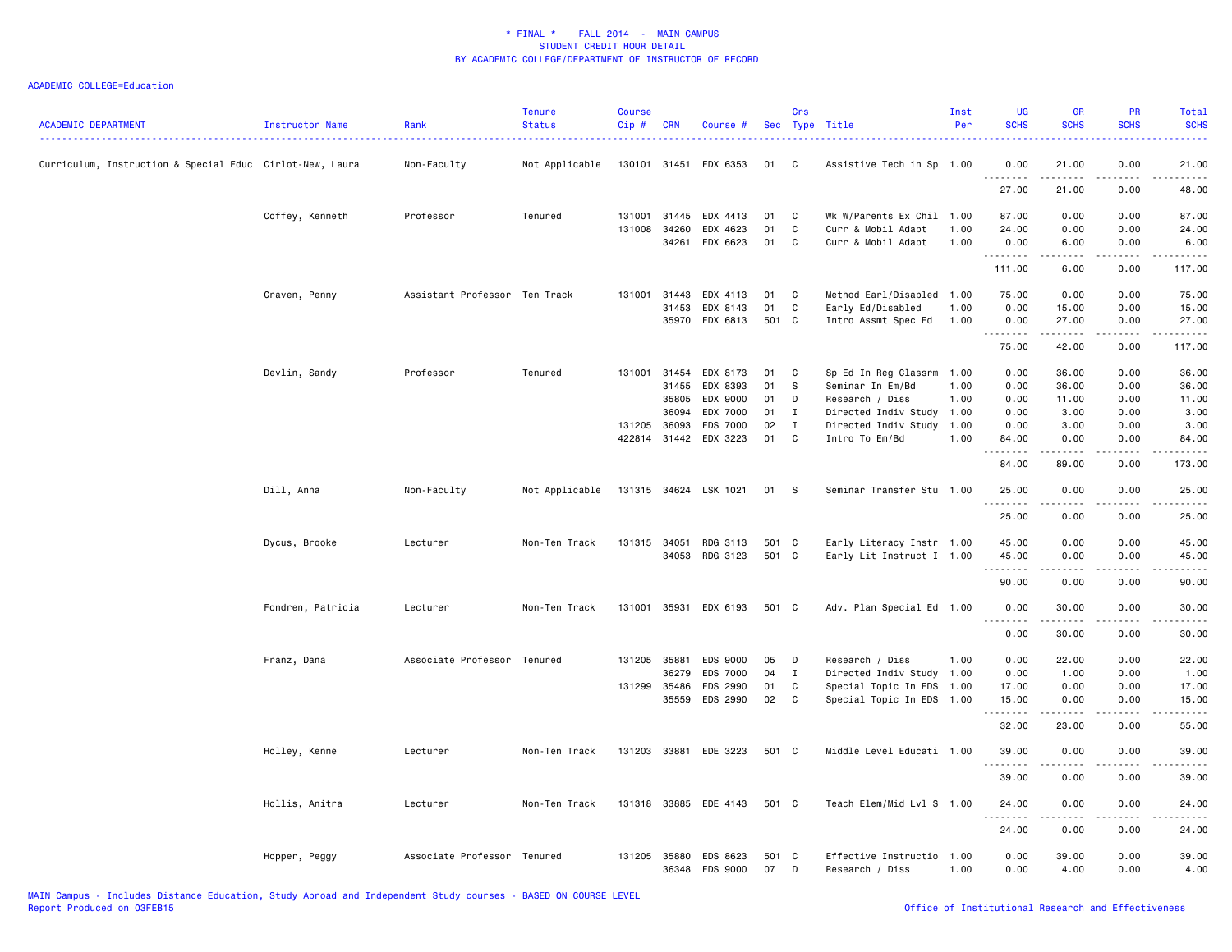| <b>ACADEMIC DEPARTMENT</b>                               | Instructor Name   | Rank                          | <b>Tenure</b><br><b>Status</b> | <b>Course</b><br>Cip# | <b>CRN</b>   | Course #              |       | Crs          | Sec Type Title            | Inst<br>Per | <b>UG</b><br><b>SCHS</b>                                                                                                                                                                                                                                                                                                                                                                                                                                                                        | GR<br><b>SCHS</b>     | <b>PR</b><br><b>SCHS</b> | Total<br><b>SCHS</b> |
|----------------------------------------------------------|-------------------|-------------------------------|--------------------------------|-----------------------|--------------|-----------------------|-------|--------------|---------------------------|-------------|-------------------------------------------------------------------------------------------------------------------------------------------------------------------------------------------------------------------------------------------------------------------------------------------------------------------------------------------------------------------------------------------------------------------------------------------------------------------------------------------------|-----------------------|--------------------------|----------------------|
| Curriculum, Instruction & Special Educ Cirlot-New, Laura |                   | Non-Faculty                   | Not Applicable                 | 130101 31451          |              | EDX 6353              | 01    | C            | Assistive Tech in Sp      | 1.00        | 0.00                                                                                                                                                                                                                                                                                                                                                                                                                                                                                            | 21.00                 | 0.00                     | 21.00                |
|                                                          |                   |                               |                                |                       |              |                       |       |              |                           |             | $\sim$ $\sim$ $\sim$<br>.<br>27.00                                                                                                                                                                                                                                                                                                                                                                                                                                                              | 21.00                 | 0.00                     | 48.00                |
|                                                          | Coffey, Kenneth   | Professor                     | Tenured                        | 131001                | 31445        | EDX 4413              | 01    | C            | Wk W/Parents Ex Chil 1.00 |             | 87.00                                                                                                                                                                                                                                                                                                                                                                                                                                                                                           | 0.00                  | 0.00                     | 87.00                |
|                                                          |                   |                               |                                | 131008                | 34260        | EDX 4623              | 01    | C            | Curr & Mobil Adapt        | 1.00        | 24.00                                                                                                                                                                                                                                                                                                                                                                                                                                                                                           | 0.00                  | 0.00                     | 24.00                |
|                                                          |                   |                               |                                |                       | 34261        | EDX 6623              | 01    | $\mathbf C$  | Curr & Mobil Adapt        | 1.00        | 0.00<br><b></b>                                                                                                                                                                                                                                                                                                                                                                                                                                                                                 | 6.00<br>.             | 0.00<br>.                | 6.00<br>.            |
|                                                          |                   |                               |                                |                       |              |                       |       |              |                           |             | 111.00                                                                                                                                                                                                                                                                                                                                                                                                                                                                                          | 6.00                  | 0.00                     | 117.00               |
|                                                          | Craven, Penny     | Assistant Professor Ten Track |                                | 131001                | 31443        | EDX 4113              | 01    | C            | Method Earl/Disabled 1.00 |             | 75.00                                                                                                                                                                                                                                                                                                                                                                                                                                                                                           | 0.00                  | 0.00                     | 75.00                |
|                                                          |                   |                               |                                |                       | 31453        | EDX 8143              | 01    | C            | Early Ed/Disabled         | 1.00        | 0.00                                                                                                                                                                                                                                                                                                                                                                                                                                                                                            | 15.00                 | 0.00                     | 15.00                |
|                                                          |                   |                               |                                |                       | 35970        | EDX 6813              | 501 C |              | Intro Assmt Spec Ed       | 1.00        | 0.00                                                                                                                                                                                                                                                                                                                                                                                                                                                                                            | 27.00<br>.            | 0.00                     | 27.00<br>.           |
|                                                          |                   |                               |                                |                       |              |                       |       |              |                           |             | 75.00                                                                                                                                                                                                                                                                                                                                                                                                                                                                                           | 42.00                 | 0.00                     | 117.00               |
|                                                          | Devlin, Sandy     | Professor                     | Tenured                        | 131001                | 31454        | EDX 8173              | 01    | C            | Sp Ed In Reg Classrm      | 1.00        | 0.00                                                                                                                                                                                                                                                                                                                                                                                                                                                                                            | 36.00                 | 0.00                     | 36.00                |
|                                                          |                   |                               |                                |                       | 31455        | EDX 8393              | 01    | S            | Seminar In Em/Bd          | 1.00        | 0.00                                                                                                                                                                                                                                                                                                                                                                                                                                                                                            | 36.00                 | 0.00                     | 36.00                |
|                                                          |                   |                               |                                |                       | 35805        | EDX 9000              | 01    | D            | Research / Diss           | 1.00        | 0.00                                                                                                                                                                                                                                                                                                                                                                                                                                                                                            | 11.00                 | 0.00                     | 11.00                |
|                                                          |                   |                               |                                |                       | 36094        | EDX 7000              | 01    | I            | Directed Indiv Study 1.00 |             | 0.00                                                                                                                                                                                                                                                                                                                                                                                                                                                                                            | 3.00                  | 0.00                     | 3.00                 |
|                                                          |                   |                               |                                |                       | 131205 36093 | EDS 7000              | 02    | $\mathbf{I}$ | Directed Indiv Study 1.00 |             | 0.00                                                                                                                                                                                                                                                                                                                                                                                                                                                                                            | 3.00                  | 0.00                     | 3.00                 |
|                                                          |                   |                               |                                |                       |              | 422814 31442 EDX 3223 | 01    | C            | Intro To Em/Bd            | 1.00        | 84.00<br>.                                                                                                                                                                                                                                                                                                                                                                                                                                                                                      | 0.00<br>.             | 0.00<br>.                | 84.00<br>.           |
|                                                          |                   |                               |                                |                       |              |                       |       |              |                           |             | 84.00                                                                                                                                                                                                                                                                                                                                                                                                                                                                                           | 89.00                 | 0.00                     | 173.00               |
|                                                          | Dill, Anna        | Non-Faculty                   | Not Applicable                 |                       |              | 131315 34624 LSK 1021 | 01    | -S           | Seminar Transfer Stu 1.00 |             | 25.00<br>.                                                                                                                                                                                                                                                                                                                                                                                                                                                                                      | 0.00<br>$\frac{1}{2}$ | 0.00<br>.                | 25.00<br>.           |
|                                                          |                   |                               |                                |                       |              |                       |       |              |                           |             | 25.00                                                                                                                                                                                                                                                                                                                                                                                                                                                                                           | 0.00                  | 0.00                     | 25.00                |
|                                                          | Dycus, Brooke     | Lecturer                      | Non-Ten Track                  | 131315 34051          |              | RDG 3113              | 501 C |              | Early Literacy Instr 1.00 |             | 45.00                                                                                                                                                                                                                                                                                                                                                                                                                                                                                           | 0.00                  | 0.00                     | 45.00                |
|                                                          |                   |                               |                                |                       | 34053        | RDG 3123              | 501   | C            | Early Lit Instruct I 1.00 |             | 45.00                                                                                                                                                                                                                                                                                                                                                                                                                                                                                           | 0.00                  | 0.00                     | 45.00                |
|                                                          |                   |                               |                                |                       |              |                       |       |              |                           |             | -----<br>90.00                                                                                                                                                                                                                                                                                                                                                                                                                                                                                  | 0.00                  | 0.00                     | 90.00                |
|                                                          | Fondren, Patricia | Lecturer                      | Non-Ten Track                  | 131001                | 35931        | EDX 6193              | 501 C |              | Adv. Plan Special Ed 1.00 |             | 0.00                                                                                                                                                                                                                                                                                                                                                                                                                                                                                            | 30.00                 | 0.00                     | 30.00                |
|                                                          |                   |                               |                                |                       |              |                       |       |              |                           |             | 0.00                                                                                                                                                                                                                                                                                                                                                                                                                                                                                            | 30.00                 | 0.00                     | 30.00                |
|                                                          |                   |                               |                                |                       |              |                       |       |              |                           |             |                                                                                                                                                                                                                                                                                                                                                                                                                                                                                                 |                       |                          |                      |
|                                                          | Franz, Dana       | Associate Professor           | Tenured                        |                       | 131205 35881 | EDS 9000              | 05    | D            | Research / Diss           | 1.00        | 0.00                                                                                                                                                                                                                                                                                                                                                                                                                                                                                            | 22.00                 | 0.00                     | 22.00                |
|                                                          |                   |                               |                                |                       | 36279        | EDS 7000              | 04    | $\mathbf I$  | Directed Indiv Study 1.00 |             | 0.00                                                                                                                                                                                                                                                                                                                                                                                                                                                                                            | 1.00                  | 0.00                     | 1.00                 |
|                                                          |                   |                               |                                |                       | 131299 35486 | EDS 2990              | 01    | C            | Special Topic In EDS 1.00 |             | 17.00                                                                                                                                                                                                                                                                                                                                                                                                                                                                                           | 0.00                  | 0.00                     | 17.00                |
|                                                          |                   |                               |                                |                       | 35559        | EDS 2990              | 02    | C            | Special Topic In EDS 1.00 |             | 15.00<br>$\begin{array}{cccccccccccccc} \multicolumn{2}{c}{} & \multicolumn{2}{c}{} & \multicolumn{2}{c}{} & \multicolumn{2}{c}{} & \multicolumn{2}{c}{} & \multicolumn{2}{c}{} & \multicolumn{2}{c}{} & \multicolumn{2}{c}{} & \multicolumn{2}{c}{} & \multicolumn{2}{c}{} & \multicolumn{2}{c}{} & \multicolumn{2}{c}{} & \multicolumn{2}{c}{} & \multicolumn{2}{c}{} & \multicolumn{2}{c}{} & \multicolumn{2}{c}{} & \multicolumn{2}{c}{} & \multicolumn{2}{c}{} & \multicolumn{2}{c}{} & \$ | 0.00<br>.             | 0.00<br>.                | 15.00<br>.           |
|                                                          |                   |                               |                                |                       |              |                       |       |              |                           |             | 32.00                                                                                                                                                                                                                                                                                                                                                                                                                                                                                           | 23.00                 | 0.00                     | 55.00                |
|                                                          | Holley, Kenne     | Lecturer                      | Non-Ten Track                  | 131203                | 33881        | EDE 3223              | 501 C |              | Middle Level Educati 1.00 |             | 39.00<br>.                                                                                                                                                                                                                                                                                                                                                                                                                                                                                      | 0.00                  | 0.00                     | 39.00                |
|                                                          |                   |                               |                                |                       |              |                       |       |              |                           |             | 39.00                                                                                                                                                                                                                                                                                                                                                                                                                                                                                           | 0.00                  | 0.00                     | 39.00                |
|                                                          | Hollis, Anitra    | Lecturer                      | Non-Ten Track                  |                       |              | 131318 33885 EDE 4143 | 501 C |              | Teach Elem/Mid Lvl S      | 1.00        | 24.00                                                                                                                                                                                                                                                                                                                                                                                                                                                                                           | 0.00                  | 0.00                     | 24.00                |
|                                                          |                   |                               |                                |                       |              |                       |       |              |                           |             | 24.00                                                                                                                                                                                                                                                                                                                                                                                                                                                                                           | 0.00                  | 0.00                     | 24.00                |
|                                                          | Hopper, Peggy     | Associate Professor Tenured   |                                |                       | 131205 35880 | EDS 8623              | 501   | $\mathbf{C}$ | Effective Instructio      | 1.00        | 0.00                                                                                                                                                                                                                                                                                                                                                                                                                                                                                            | 39.00                 | 0.00                     | 39.00                |
|                                                          |                   |                               |                                |                       | 36348        | EDS 9000              | 07    | D            | Research / Diss           | 1.00        | 0.00                                                                                                                                                                                                                                                                                                                                                                                                                                                                                            | 4.00                  | 0.00                     | 4.00                 |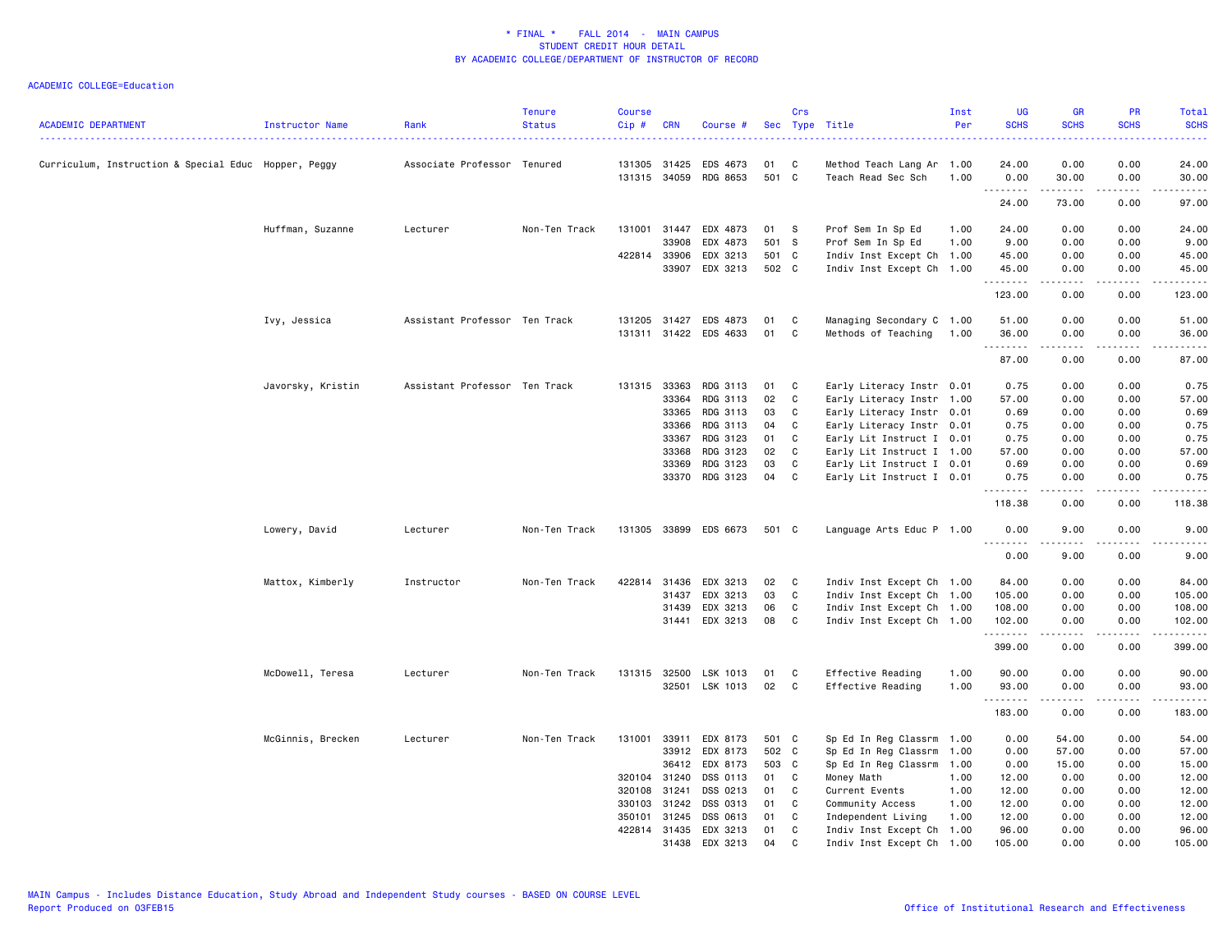|                                                      |                        |                               | <b>Tenure</b> | <b>Course</b> |            |                       |       | Crs          |                           | Inst | UG                                | <b>GR</b>                                                                                                                                                    | <b>PR</b>                           | Total                                                                                                                               |
|------------------------------------------------------|------------------------|-------------------------------|---------------|---------------|------------|-----------------------|-------|--------------|---------------------------|------|-----------------------------------|--------------------------------------------------------------------------------------------------------------------------------------------------------------|-------------------------------------|-------------------------------------------------------------------------------------------------------------------------------------|
| <b>ACADEMIC DEPARTMENT</b>                           | <b>Instructor Name</b> | Rank                          | <b>Status</b> | Cip#          | <b>CRN</b> | Course #              |       |              | Sec Type Title            | Per  | <b>SCHS</b>                       | <b>SCHS</b>                                                                                                                                                  | <b>SCHS</b>                         | <b>SCHS</b><br>2222.                                                                                                                |
| Curriculum, Instruction & Special Educ Hopper, Peggy |                        | Associate Professor Tenured   |               | 131305 31425  |            | EDS 4673              | 01    | C            | Method Teach Lang Ar 1.00 |      | 24.00                             | 0.00                                                                                                                                                         | 0.00                                | 24.00                                                                                                                               |
|                                                      |                        |                               |               | 131315 34059  |            | RDG 8653              | 501 C |              | Teach Read Sec Sch        | 1.00 | 0.00                              | 30.00                                                                                                                                                        | 0.00                                | 30.00                                                                                                                               |
|                                                      |                        |                               |               |               |            |                       |       |              |                           |      | .<br>24.00                        | 73.00                                                                                                                                                        | $\sim$ $\sim$ $\sim$ $\sim$<br>0.00 | والمناصبات<br>97.00                                                                                                                 |
|                                                      | Huffman, Suzanne       | Lecturer                      | Non-Ten Track | 131001 31447  |            | EDX 4873              | 01    | -S           | Prof Sem In Sp Ed         | 1.00 | 24.00                             | 0.00                                                                                                                                                         | 0.00                                | 24.00                                                                                                                               |
|                                                      |                        |                               |               |               | 33908      |                       | 501 S |              |                           | 1.00 |                                   |                                                                                                                                                              | 0.00                                |                                                                                                                                     |
|                                                      |                        |                               |               | 422814 33906  |            | EDX 4873              |       |              | Prof Sem In Sp Ed         |      | 9.00                              | 0.00                                                                                                                                                         |                                     | 9.00                                                                                                                                |
|                                                      |                        |                               |               |               |            | EDX 3213              | 501 C |              | Indiv Inst Except Ch 1.00 |      | 45.00                             | 0.00                                                                                                                                                         | 0.00                                | 45.00                                                                                                                               |
|                                                      |                        |                               |               |               | 33907      | EDX 3213              | 502 C |              | Indiv Inst Except Ch 1.00 |      | 45.00<br>.                        | 0.00<br>$\frac{1}{2} \left( \frac{1}{2} \right) \left( \frac{1}{2} \right) \left( \frac{1}{2} \right) \left( \frac{1}{2} \right) \left( \frac{1}{2} \right)$ | 0.00<br>.                           | 45.00<br>.                                                                                                                          |
|                                                      |                        |                               |               |               |            |                       |       |              |                           |      | 123.00                            | 0.00                                                                                                                                                         | 0.00                                | 123.00                                                                                                                              |
|                                                      | Ivy, Jessica           | Assistant Professor Ten Track |               | 131205 31427  |            | EDS 4873              | 01    | C            | Managing Secondary C 1.00 |      | 51.00                             | 0.00                                                                                                                                                         | 0.00                                | 51.00                                                                                                                               |
|                                                      |                        |                               |               |               |            | 131311 31422 EDS 4633 | 01    | C            | Methods of Teaching       | 1.00 | 36.00                             | 0.00                                                                                                                                                         | 0.00                                | 36.00                                                                                                                               |
|                                                      |                        |                               |               |               |            |                       |       |              |                           |      | .<br>87.00                        | .<br>0.00                                                                                                                                                    | -----<br>0.00                       | .<br>87.00                                                                                                                          |
|                                                      | Javorsky, Kristin      | Assistant Professor Ten Track |               | 131315 33363  |            | RDG 3113              | 01    | C            | Early Literacy Instr 0.01 |      | 0.75                              | 0.00                                                                                                                                                         | 0.00                                | 0.75                                                                                                                                |
|                                                      |                        |                               |               |               | 33364      | RDG 3113              | 02    | C            | Early Literacy Instr 1.00 |      | 57.00                             | 0.00                                                                                                                                                         | 0.00                                | 57.00                                                                                                                               |
|                                                      |                        |                               |               |               | 33365      | RDG 3113              | 03    | C            | Early Literacy Instr 0.01 |      | 0.69                              | 0.00                                                                                                                                                         | 0.00                                | 0.69                                                                                                                                |
|                                                      |                        |                               |               |               | 33366      | RDG 3113              | 04    | C            | Early Literacy Instr 0.01 |      | 0.75                              | 0.00                                                                                                                                                         | 0.00                                | 0.75                                                                                                                                |
|                                                      |                        |                               |               |               | 33367      | RDG 3123              | 01    | C            | Early Lit Instruct I 0.01 |      | 0.75                              | 0.00                                                                                                                                                         | 0.00                                | 0.75                                                                                                                                |
|                                                      |                        |                               |               |               | 33368      | RDG 3123              | 02    | C            | Early Lit Instruct I 1.00 |      | 57.00                             | 0.00                                                                                                                                                         | 0.00                                | 57.00                                                                                                                               |
|                                                      |                        |                               |               |               | 33369      | RDG 3123              | 03    | C            | Early Lit Instruct I 0.01 |      | 0.69                              | 0.00                                                                                                                                                         | 0.00                                | 0.69                                                                                                                                |
|                                                      |                        |                               |               |               |            | 33370 RDG 3123        | 04    | $\mathbb{C}$ | Early Lit Instruct I 0.01 |      | 0.75                              | 0.00                                                                                                                                                         | 0.00                                | 0.75                                                                                                                                |
|                                                      |                        |                               |               |               |            |                       |       |              |                           |      | .<br>118.38                       | -----<br>0.00                                                                                                                                                | .<br>0.00                           | .<br>118.38                                                                                                                         |
|                                                      | Lowery, David          | Lecturer                      | Non-Ten Track |               |            | 131305 33899 EDS 6673 | 501 C |              | Language Arts Educ P 1.00 |      | 0.00                              | 9.00                                                                                                                                                         | 0.00                                | 9.00                                                                                                                                |
|                                                      |                        |                               |               |               |            |                       |       |              |                           |      | $\sim$ $\sim$ $\sim$<br>.<br>0.00 | 9.00                                                                                                                                                         | 0.00                                | $\frac{1}{2} \left( \frac{1}{2} \right) \left( \frac{1}{2} \right) \left( \frac{1}{2} \right) \left( \frac{1}{2} \right)$<br>9.00   |
|                                                      | Mattox, Kimberly       | Instructor                    | Non-Ten Track | 422814 31436  |            | EDX 3213              | 02    | C            | Indiv Inst Except Ch 1.00 |      | 84.00                             | 0.00                                                                                                                                                         | 0.00                                | 84.00                                                                                                                               |
|                                                      |                        |                               |               |               | 31437      | EDX 3213              | 03    | C            | Indiv Inst Except Ch 1.00 |      | 105.00                            | 0.00                                                                                                                                                         | 0.00                                | 105.00                                                                                                                              |
|                                                      |                        |                               |               |               | 31439      | EDX 3213              | 06    | C            | Indiv Inst Except Ch 1.00 |      | 108.00                            | 0.00                                                                                                                                                         | 0.00                                | 108.00                                                                                                                              |
|                                                      |                        |                               |               |               |            | 31441 EDX 3213        | 08    | C            | Indiv Inst Except Ch 1.00 |      | 102.00                            | 0.00                                                                                                                                                         | 0.00                                | 102.00                                                                                                                              |
|                                                      |                        |                               |               |               |            |                       |       |              |                           |      | .<br>399.00                       | .<br>0.00                                                                                                                                                    | $- - - -$<br>0.00                   | $\begin{array}{cccccccccccccc} \bullet & \bullet & \bullet & \bullet & \bullet & \bullet & \bullet & \bullet \end{array}$<br>399.00 |
|                                                      | McDowell, Teresa       | Lecturer                      | Non-Ten Track | 131315 32500  |            | LSK 1013              | 01    | C            | Effective Reading         | 1.00 | 90.00                             | 0.00                                                                                                                                                         | 0.00                                | 90.00                                                                                                                               |
|                                                      |                        |                               |               |               |            | 32501 LSK 1013        | 02    | C            | Effective Reading         | 1.00 | 93.00                             | 0.00                                                                                                                                                         | 0.00                                | 93.00                                                                                                                               |
|                                                      |                        |                               |               |               |            |                       |       |              |                           |      | .<br>183.00                       | .<br>0.00                                                                                                                                                    | -----<br>0.00                       | .<br>183.00                                                                                                                         |
|                                                      | McGinnis, Brecken      | Lecturer                      | Non-Ten Track | 131001        | 33911      | EDX 8173              | 501 C |              | Sp Ed In Reg Classrm 1.00 |      | 0.00                              | 54.00                                                                                                                                                        | 0.00                                | 54.00                                                                                                                               |
|                                                      |                        |                               |               |               | 33912      | EDX 8173              | 502 C |              | Sp Ed In Reg Classrm 1.00 |      | 0.00                              | 57.00                                                                                                                                                        | 0.00                                | 57.00                                                                                                                               |
|                                                      |                        |                               |               |               | 36412      | EDX 8173              | 503 C |              | Sp Ed In Reg Classrm 1.00 |      | 0.00                              | 15.00                                                                                                                                                        | 0.00                                | 15.00                                                                                                                               |
|                                                      |                        |                               |               | 320104 31240  |            | DSS 0113              | 01    | C            | Money Math                | 1.00 | 12.00                             | 0.00                                                                                                                                                         | 0.00                                | 12.00                                                                                                                               |
|                                                      |                        |                               |               | 320108 31241  |            | DSS 0213              | 01    | C            | Current Events            | 1.00 | 12.00                             | 0.00                                                                                                                                                         | 0.00                                | 12.00                                                                                                                               |
|                                                      |                        |                               |               | 330103 31242  |            | DSS 0313              | 01    | C            | Community Access          | 1.00 | 12.00                             | 0.00                                                                                                                                                         | 0.00                                | 12.00                                                                                                                               |
|                                                      |                        |                               |               | 350101        | 31245      | DSS 0613              | 01    | C            | Independent Living        | 1.00 | 12.00                             | 0.00                                                                                                                                                         | 0.00                                | 12.00                                                                                                                               |
|                                                      |                        |                               |               | 422814 31435  |            | EDX 3213              | 01    | C            | Indiv Inst Except Ch 1.00 |      | 96.00                             | 0.00                                                                                                                                                         | 0.00                                | 96.00                                                                                                                               |
|                                                      |                        |                               |               |               | 31438      | EDX 3213              | 04    | C            | Indiv Inst Except Ch 1.00 |      | 105.00                            | 0.00                                                                                                                                                         | 0.00                                | 105.00                                                                                                                              |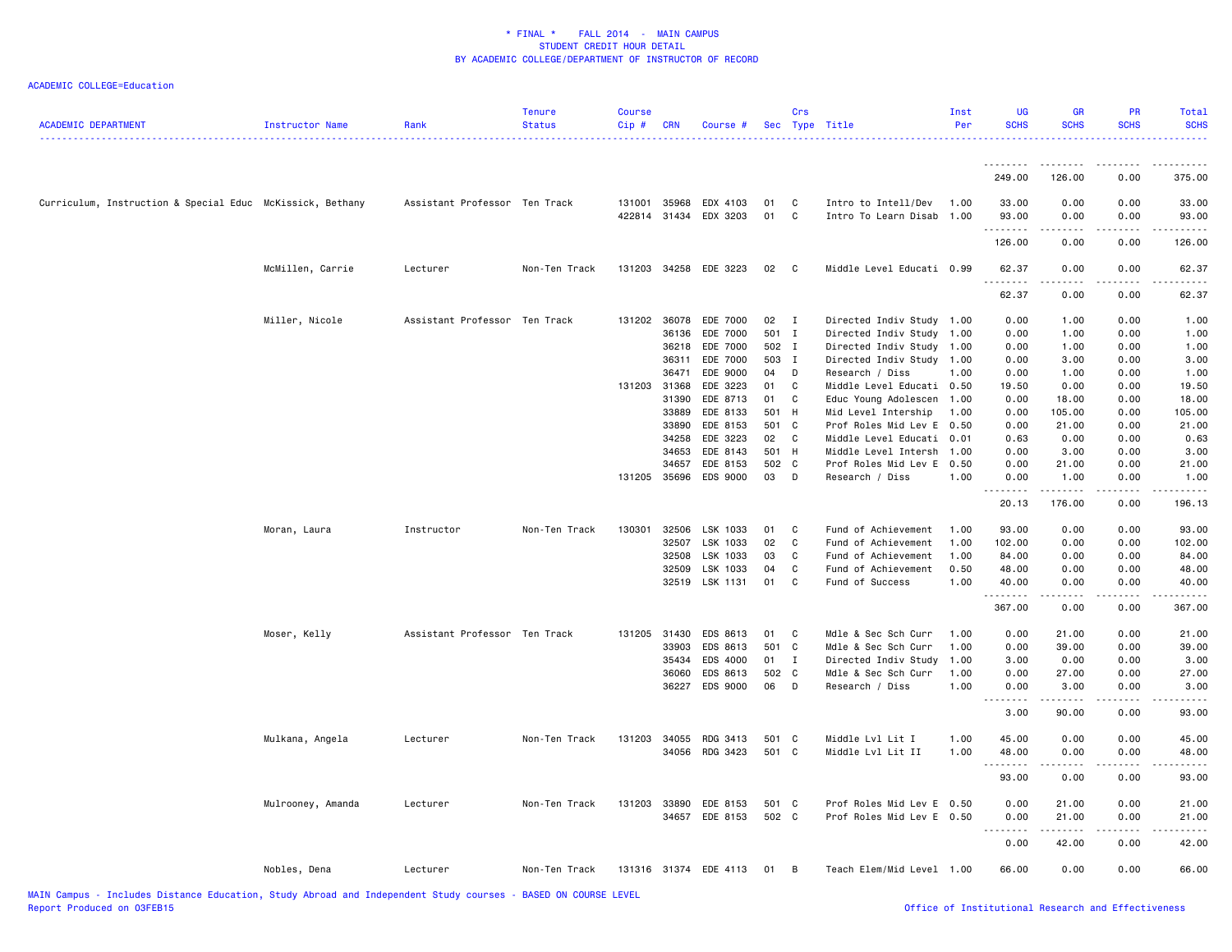| <b>ACADEMIC DEPARTMENT</b>                                | Instructor Name   | Rank                          | <b>Tenure</b><br><b>Status</b> | <b>Course</b><br>Cip# | <b>CRN</b> | Course #              |       | Crs          | Sec Type Title            | Inst<br>Per | <b>UG</b><br><b>SCHS</b> | <b>GR</b><br><b>SCHS</b> | <b>PR</b><br><b>SCHS</b> | Total<br><b>SCHS</b><br>.                                                                                                                                                               |
|-----------------------------------------------------------|-------------------|-------------------------------|--------------------------------|-----------------------|------------|-----------------------|-------|--------------|---------------------------|-------------|--------------------------|--------------------------|--------------------------|-----------------------------------------------------------------------------------------------------------------------------------------------------------------------------------------|
|                                                           |                   |                               |                                |                       |            |                       |       |              |                           |             |                          | --------                 | -----                    |                                                                                                                                                                                         |
|                                                           |                   |                               |                                |                       |            |                       |       |              |                           |             | 249.00                   | 126.00                   | 0.00                     | 375.00                                                                                                                                                                                  |
| Curriculum, Instruction & Special Educ McKissick, Bethany |                   | Assistant Professor Ten Track |                                |                       |            | 131001 35968 EDX 4103 | 01    | C            | Intro to Intell/Dev       | 1.00        | 33.00                    | 0.00                     | 0.00                     | 33.00                                                                                                                                                                                   |
|                                                           |                   |                               |                                |                       |            | 422814 31434 EDX 3203 | 01    | C            | Intro To Learn Disab      | 1.00        | 93.00                    | 0.00                     | 0.00                     | 93.00                                                                                                                                                                                   |
|                                                           |                   |                               |                                |                       |            |                       |       |              |                           |             | <u>.</u><br>126.00       | 0.00                     | 0.00                     | 126.00                                                                                                                                                                                  |
|                                                           | McMillen, Carrie  | Lecturer                      | Non-Ten Track                  |                       |            | 131203 34258 EDE 3223 | 02    | $\mathbf{C}$ | Middle Level Educati 0.99 |             | 62.37<br>.               | 0.00                     | 0.00                     | 62.37                                                                                                                                                                                   |
|                                                           |                   |                               |                                |                       |            |                       |       |              |                           |             | 62.37                    | 0.00                     | 0.00                     | 62.37                                                                                                                                                                                   |
|                                                           | Miller, Nicole    | Assistant Professor Ten Track |                                |                       |            | 131202 36078 EDE 7000 | 02    | $\mathbf{I}$ | Directed Indiv Study 1.00 |             | 0.00                     | 1.00                     | 0.00                     | 1.00                                                                                                                                                                                    |
|                                                           |                   |                               |                                |                       | 36136      | EDE 7000              | 501   | $\mathbf{I}$ | Directed Indiv Study 1.00 |             | 0.00                     | 1.00                     | 0.00                     | 1.00                                                                                                                                                                                    |
|                                                           |                   |                               |                                |                       | 36218      | EDE 7000              | 502   | $\mathbf{I}$ | Directed Indiv Study 1.00 |             | 0.00                     | 1.00                     | 0.00                     | 1.00                                                                                                                                                                                    |
|                                                           |                   |                               |                                |                       | 36311      | EDE 7000              | 503   | $\mathbf{I}$ | Directed Indiv Study 1.00 |             | 0.00                     | 3.00                     | 0.00                     | 3.00                                                                                                                                                                                    |
|                                                           |                   |                               |                                |                       | 36471      | EDE 9000              | 04    | D            | Research / Diss           | 1.00        | 0.00                     | 1.00                     | 0.00                     | 1.00                                                                                                                                                                                    |
|                                                           |                   |                               |                                | 131203 31368          |            | EDE 3223              | 01    | C            | Middle Level Educati 0.50 |             | 19.50                    | 0.00                     | 0.00                     | 19.50                                                                                                                                                                                   |
|                                                           |                   |                               |                                |                       | 31390      | EDE 8713              | 01    | C            | Educ Young Adolescen 1.00 |             | 0.00                     | 18.00                    | 0.00                     | 18.00                                                                                                                                                                                   |
|                                                           |                   |                               |                                |                       | 33889      | EDE 8133              | 501   | H            | Mid Level Intership       | 1.00        | 0.00                     | 105.00                   | 0.00                     | 105.00                                                                                                                                                                                  |
|                                                           |                   |                               |                                |                       | 33890      | EDE 8153              | 501   | $\mathbf{C}$ | Prof Roles Mid Lev E 0.50 |             | 0.00                     | 21.00                    | 0.00                     | 21.00                                                                                                                                                                                   |
|                                                           |                   |                               |                                |                       | 34258      | EDE 3223              | 02    | C            | Middle Level Educati 0.01 |             | 0.63                     | 0.00                     | 0.00                     | 0.63                                                                                                                                                                                    |
|                                                           |                   |                               |                                |                       | 34653      | EDE 8143              | 501 H |              | Middle Level Intersh      | 1.00        | 0.00                     | 3.00                     | 0.00                     | 3.00                                                                                                                                                                                    |
|                                                           |                   |                               |                                |                       | 34657      | EDE 8153              | 502   | $\mathbf{C}$ | Prof Roles Mid Lev E      | 0.50        | 0.00                     | 21.00                    | 0.00                     | 21.00                                                                                                                                                                                   |
|                                                           |                   |                               |                                |                       |            | 131205 35696 EDS 9000 | 03    | D            | Research / Diss           | 1.00        | 0.00<br>.                | 1.00<br>.                | 0.00<br>.                | 1.00<br>$\frac{1}{2} \left( \frac{1}{2} \right) \left( \frac{1}{2} \right) \left( \frac{1}{2} \right) \left( \frac{1}{2} \right) \left( \frac{1}{2} \right) \left( \frac{1}{2} \right)$ |
|                                                           |                   |                               |                                |                       |            |                       |       |              |                           |             | 20.13                    | 176.00                   | 0.00                     | 196.13                                                                                                                                                                                  |
|                                                           | Moran, Laura      | Instructor                    | Non-Ten Track                  | 130301                | 32506      | LSK 1033              | 01    | C            | Fund of Achievement       | 1.00        | 93.00                    | 0.00                     | 0.00                     | 93.00                                                                                                                                                                                   |
|                                                           |                   |                               |                                |                       | 32507      | LSK 1033              | 02    | C            | Fund of Achievement       | 1.00        | 102.00                   | 0.00                     | 0.00                     | 102.00                                                                                                                                                                                  |
|                                                           |                   |                               |                                |                       | 32508      | LSK 1033              | 03    | C            | Fund of Achievement       | 1.00        | 84.00                    | 0.00                     | 0.00                     | 84.00                                                                                                                                                                                   |
|                                                           |                   |                               |                                |                       | 32509      | LSK 1033              | 04    | C            | Fund of Achievement       | 0.50        | 48.00                    | 0.00                     | 0.00                     | 48.00                                                                                                                                                                                   |
|                                                           |                   |                               |                                |                       |            | 32519 LSK 1131        | 01    | C            | Fund of Success           | 1.00        | 40.00<br>.               | 0.00                     | 0.00                     | 40.00<br>.                                                                                                                                                                              |
|                                                           |                   |                               |                                |                       |            |                       |       |              |                           |             | 367.00                   | 0.00                     | 0.00                     | 367.00                                                                                                                                                                                  |
|                                                           | Moser, Kelly      | Assistant Professor Ten Track |                                | 131205 31430          |            | EDS 8613              | 01    | C            | Mdle & Sec Sch Curr       | 1.00        | 0.00                     | 21.00                    | 0.00                     | 21.00                                                                                                                                                                                   |
|                                                           |                   |                               |                                |                       | 33903      | EDS 8613              | 501   | $\mathbf{C}$ | Mdle & Sec Sch Curr       | 1.00        | 0.00                     | 39.00                    | 0.00                     | 39.00                                                                                                                                                                                   |
|                                                           |                   |                               |                                |                       | 35434      | EDS 4000              | 01    | $\mathbf{I}$ | Directed Indiv Study      | 1.00        | 3.00                     | 0.00                     | 0.00                     | 3.00                                                                                                                                                                                    |
|                                                           |                   |                               |                                |                       | 36060      | EDS 8613              | 502   | $\mathbf{C}$ | Mdle & Sec Sch Curr       | 1.00        | 0.00                     | 27.00                    | 0.00                     | 27.00                                                                                                                                                                                   |
|                                                           |                   |                               |                                |                       |            | 36227 EDS 9000        | 06    | D            | Research / Diss           | 1.00        | 0.00                     | 3.00                     | 0.00                     | 3.00                                                                                                                                                                                    |
|                                                           |                   |                               |                                |                       |            |                       |       |              |                           |             | <u>.</u><br>3.00         | .<br>90.00               | .<br>0.00                | .<br>93.00                                                                                                                                                                              |
|                                                           |                   |                               |                                |                       |            |                       |       |              |                           |             |                          |                          |                          |                                                                                                                                                                                         |
|                                                           | Mulkana, Angela   | Lecturer                      | Non-Ten Track                  |                       |            | 131203 34055 RDG 3413 | 501 C |              | Middle Lvl Lit I          | 1.00        | 45.00                    | 0.00                     | 0.00<br>0.00             | 45.00                                                                                                                                                                                   |
|                                                           |                   |                               |                                |                       |            | 34056 RDG 3423        | 501 C |              | Middle Lvl Lit II         | 1.00        | 48.00<br>.               | 0.00<br>.                | -----                    | 48.00<br>.                                                                                                                                                                              |
|                                                           |                   |                               |                                |                       |            |                       |       |              |                           |             | 93.00                    | 0.00                     | 0.00                     | 93.00                                                                                                                                                                                   |
|                                                           | Mulrooney, Amanda | Lecturer                      | Non-Ten Track                  |                       |            | 131203 33890 EDE 8153 | 501 C |              | Prof Roles Mid Lev E 0.50 |             | 0.00                     | 21.00                    | 0.00                     | 21.00                                                                                                                                                                                   |
|                                                           |                   |                               |                                |                       | 34657      | EDE 8153              | 502 C |              | Prof Roles Mid Lev E 0.50 |             | 0.00                     | 21.00                    | 0.00                     | 21.00                                                                                                                                                                                   |
|                                                           |                   |                               |                                |                       |            |                       |       |              |                           |             | .<br>$\sim$ $\sim$       | .                        | .                        | .                                                                                                                                                                                       |
|                                                           |                   |                               |                                |                       |            |                       |       |              |                           |             | 0.00                     | 42.00                    | 0.00                     | 42.00                                                                                                                                                                                   |
|                                                           | Nobles, Dena      | Lecturer                      | Non-Ten Track                  |                       |            | 131316 31374 EDE 4113 | 01    | в            | Teach Elem/Mid Level 1.00 |             | 66.00                    | 0.00                     | 0.00                     | 66.00                                                                                                                                                                                   |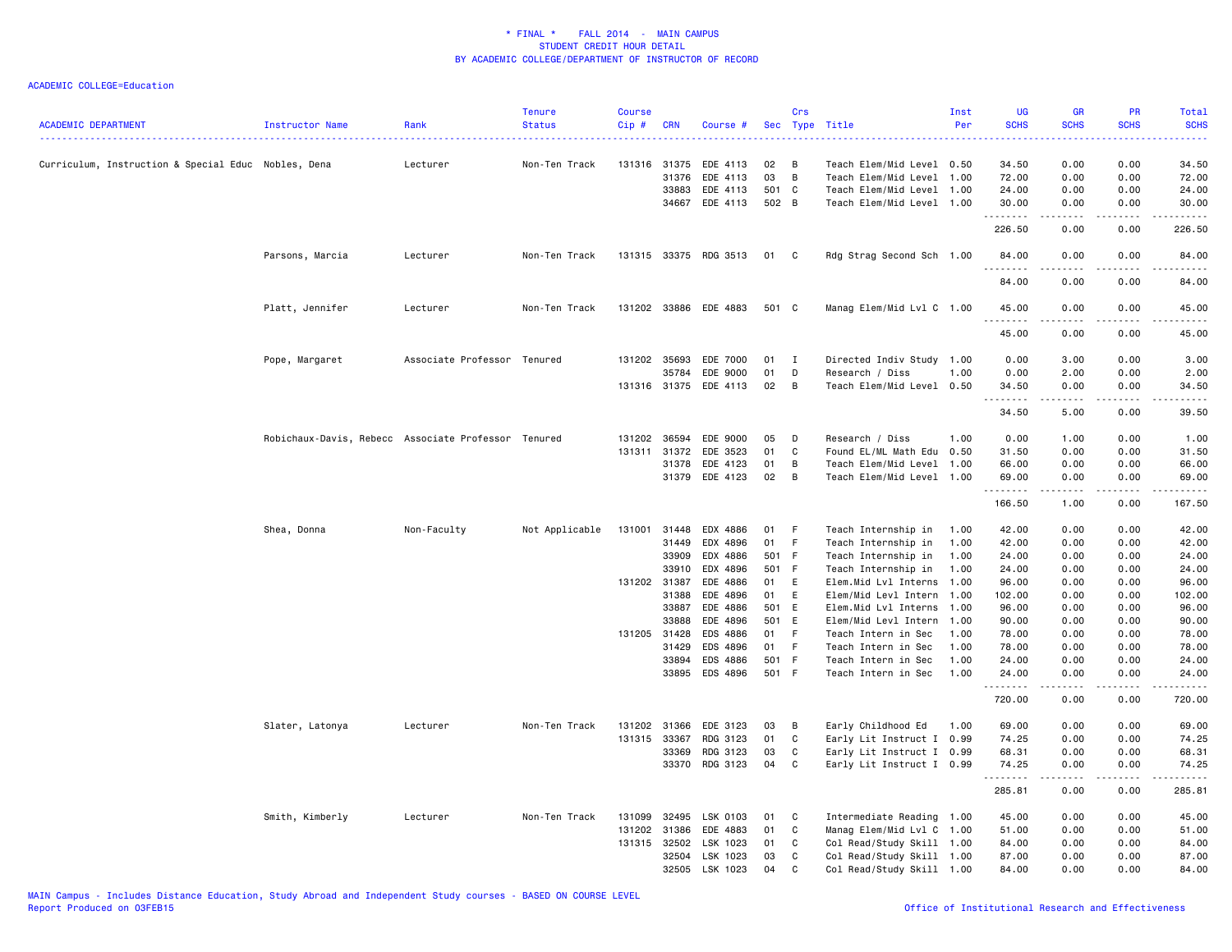| <b>ACADEMIC DEPARTMENT</b>                          | <b>Instructor Name</b>                              | Rank                | <b>Tenure</b><br><b>Status</b> | <b>Course</b><br>$Cip$ # | <b>CRN</b>     | Course #              | Sec          | Crs<br>Type    | Title                                      | Inst<br>Per  | <b>UG</b><br><b>SCHS</b> | <b>GR</b><br><b>SCHS</b>                                                                                                                                     | PR<br><b>SCHS</b>                   | Total<br><b>SCHS</b>                                                                                                                                          |
|-----------------------------------------------------|-----------------------------------------------------|---------------------|--------------------------------|--------------------------|----------------|-----------------------|--------------|----------------|--------------------------------------------|--------------|--------------------------|--------------------------------------------------------------------------------------------------------------------------------------------------------------|-------------------------------------|---------------------------------------------------------------------------------------------------------------------------------------------------------------|
| Curriculum, Instruction & Special Educ Nobles, Dena |                                                     | Lecturer            | Non-Ten Track                  | 131316                   | 31375          | EDE 4113              | 02           | В              | Teach Elem/Mid Level 0.50                  |              | 34.50                    | 0.00                                                                                                                                                         | 0.00                                | .<br>34.50                                                                                                                                                    |
|                                                     |                                                     |                     |                                |                          | 31376          | EDE 4113              | 03           | B              | Teach Elem/Mid Level 1.00                  |              | 72.00                    | 0.00                                                                                                                                                         | 0.00                                | 72.00                                                                                                                                                         |
|                                                     |                                                     |                     |                                |                          | 33883          | EDE 4113              | 501          | $\mathbf{C}$   | Teach Elem/Mid Level 1.00                  |              | 24.00                    | 0.00                                                                                                                                                         | 0.00                                | 24.00                                                                                                                                                         |
|                                                     |                                                     |                     |                                |                          | 34667          | EDE 4113              | 502 B        |                | Teach Elem/Mid Level 1.00                  |              | 30.00<br>.               | 0.00<br>$\frac{1}{2} \left( \frac{1}{2} \right) \left( \frac{1}{2} \right) \left( \frac{1}{2} \right) \left( \frac{1}{2} \right) \left( \frac{1}{2} \right)$ | 0.00<br>.                           | 30.00<br>.                                                                                                                                                    |
|                                                     |                                                     |                     |                                |                          |                |                       |              |                |                                            |              | 226.50                   | 0.00                                                                                                                                                         | 0.00                                | 226.50                                                                                                                                                        |
|                                                     | Parsons, Marcia                                     | Lecturer            | Non-Ten Track                  |                          |                | 131315 33375 RDG 3513 | 01           | <b>C</b>       | Rdg Strag Second Sch 1.00                  |              | 84.00<br>.               | 0.00<br><b>.</b>                                                                                                                                             | 0.00<br>.                           | 84.00<br>.                                                                                                                                                    |
|                                                     |                                                     |                     |                                |                          |                |                       |              |                |                                            |              | 84.00                    | 0.00                                                                                                                                                         | 0.00                                | 84.00                                                                                                                                                         |
|                                                     | Platt, Jennifer                                     | Lecturer            | Non-Ten Track                  |                          |                | 131202 33886 EDE 4883 | 501 C        |                | Manag Elem/Mid Lvl C 1.00                  |              | 45.00<br>.               | 0.00<br><b>.</b>                                                                                                                                             | 0.00<br>د د د د                     | 45.00<br>.                                                                                                                                                    |
|                                                     |                                                     |                     |                                |                          |                |                       |              |                |                                            |              | 45.00                    | 0.00                                                                                                                                                         | 0.00                                | 45.00                                                                                                                                                         |
|                                                     | Pope, Margaret                                      | Associate Professor | Tenured                        | 131202                   | 35693          | EDE 7000              | 01           | $\mathbf{I}$   | Directed Indiv Study 1.00                  |              | 0.00                     | 3.00                                                                                                                                                         | 0.00                                | 3.00                                                                                                                                                          |
|                                                     |                                                     |                     |                                |                          | 35784          | EDE 9000              | 01           | D              | Research / Diss                            | 1.00         | 0.00                     | 2.00                                                                                                                                                         | 0.00                                | 2.00                                                                                                                                                          |
|                                                     |                                                     |                     |                                |                          | 131316 31375   | EDE 4113              | 02           | B              | Teach Elem/Mid Level 0.50                  |              | 34.50<br>----            | 0.00                                                                                                                                                         | 0.00<br>$\sim$ $\sim$ $\sim$ $\sim$ | 34.50<br>$\frac{1}{2} \left( \frac{1}{2} \right) \left( \frac{1}{2} \right) \left( \frac{1}{2} \right) \left( \frac{1}{2} \right) \left( \frac{1}{2} \right)$ |
|                                                     |                                                     |                     |                                |                          |                |                       |              |                |                                            |              | 34.50                    | 5.00                                                                                                                                                         | 0.00                                | 39.50                                                                                                                                                         |
|                                                     | Robichaux-Davis, Rebecc Associate Professor Tenured |                     |                                | 131202 36594             |                | EDE 9000              | 05           | D              | Research / Diss                            | 1.00         | 0.00                     | 1.00                                                                                                                                                         | 0.00                                | 1.00                                                                                                                                                          |
|                                                     |                                                     |                     |                                | 131311 31372             |                | EDE 3523              | 01           | C              | Found EL/ML Math Edu 0.50                  |              | 31.50                    | 0.00                                                                                                                                                         | 0.00                                | 31.50                                                                                                                                                         |
|                                                     |                                                     |                     |                                |                          | 31378          | EDE 4123              | 01           | B              | Teach Elem/Mid Level 1.00                  |              | 66.00                    | 0.00                                                                                                                                                         | 0.00                                | 66.00                                                                                                                                                         |
|                                                     |                                                     |                     |                                |                          | 31379          | EDE 4123              | 02           | $\overline{B}$ | Teach Elem/Mid Level 1.00                  |              | 69.00<br>.               | 0.00<br><b>.</b>                                                                                                                                             | 0.00<br>.                           | 69.00<br>.                                                                                                                                                    |
|                                                     |                                                     |                     |                                |                          |                |                       |              |                |                                            |              | 166.50                   | 1.00                                                                                                                                                         | 0.00                                | 167.50                                                                                                                                                        |
|                                                     | Shea, Donna                                         | Non-Faculty         | Not Applicable                 | 131001                   | 31448          | EDX 4886              | 01           | F              | Teach Internship in                        | 1.00         | 42.00                    | 0.00                                                                                                                                                         | 0.00                                | 42.00                                                                                                                                                         |
|                                                     |                                                     |                     |                                |                          | 31449          | EDX 4896              | 01           | F              | Teach Internship in                        | 1.00         | 42.00                    | 0.00                                                                                                                                                         | 0.00                                | 42.00                                                                                                                                                         |
|                                                     |                                                     |                     |                                |                          | 33909          | EDX 4886              | 501          | - F            | Teach Internship in                        | 1.00         | 24.00                    | 0.00                                                                                                                                                         | 0.00                                | 24.00                                                                                                                                                         |
|                                                     |                                                     |                     |                                |                          | 33910          | EDX 4896              | 501          | -F             | Teach Internship in                        | 1.00         | 24.00                    | 0.00                                                                                                                                                         | 0.00                                | 24.00                                                                                                                                                         |
|                                                     |                                                     |                     |                                | 131202 31387             |                | EDE 4886              | 01           | E              | Elem.Mid Lvl Interns 1.00                  |              | 96.00                    | 0.00                                                                                                                                                         | 0.00                                | 96.00                                                                                                                                                         |
|                                                     |                                                     |                     |                                |                          | 31388          | EDE 4896              | 01           | E              | Elem/Mid Levl Intern 1.00                  |              | 102.00                   | 0.00                                                                                                                                                         | 0.00                                | 102.00                                                                                                                                                        |
|                                                     |                                                     |                     |                                |                          | 33887          | EDE 4886              | 501          | E              | Elem.Mid Lvl Interns                       | 1.00         | 96.00                    | 0.00                                                                                                                                                         | 0.00                                | 96.00                                                                                                                                                         |
|                                                     |                                                     |                     |                                |                          | 33888          | EDE 4896              | 501          | E              | Elem/Mid Levl Intern 1.00                  |              | 90.00                    | 0.00                                                                                                                                                         | 0.00                                | 90.00                                                                                                                                                         |
|                                                     |                                                     |                     |                                | 131205 31428             |                | EDS 4886              | 01           | F              | Teach Intern in Sec                        | 1.00         | 78.00                    | 0.00                                                                                                                                                         | 0.00                                | 78.00                                                                                                                                                         |
|                                                     |                                                     |                     |                                |                          | 31429          | EDS 4896              | 01           | F.             | Teach Intern in Sec                        | 1.00         | 78.00                    | 0.00                                                                                                                                                         | 0.00                                | 78.00                                                                                                                                                         |
|                                                     |                                                     |                     |                                |                          | 33894<br>33895 | EDS 4886<br>EDS 4896  | 501<br>501 F | - F            | Teach Intern in Sec<br>Teach Intern in Sec | 1.00<br>1.00 | 24.00<br>24.00           | 0.00<br>0.00                                                                                                                                                 | 0.00<br>0.00                        | 24.00<br>24.00                                                                                                                                                |
|                                                     |                                                     |                     |                                |                          |                |                       |              |                |                                            |              | .<br>720.00              | المتمام المتحدة<br>0.00                                                                                                                                      | د د د د<br>0.00                     | .<br>720.00                                                                                                                                                   |
|                                                     | Slater, Latonya                                     | Lecturer            | Non-Ten Track                  | 131202                   | 31366          | EDE 3123              | 03           | В              | Early Childhood Ed                         | 1.00         | 69.00                    | 0.00                                                                                                                                                         | 0.00                                | 69.00                                                                                                                                                         |
|                                                     |                                                     |                     |                                | 131315 33367             |                | RDG 3123              | 01           | C              | Early Lit Instruct I 0.99                  |              | 74.25                    | 0.00                                                                                                                                                         | 0.00                                | 74.25                                                                                                                                                         |
|                                                     |                                                     |                     |                                |                          | 33369          | RDG 3123              | 03           | C              | Early Lit Instruct I 0.99                  |              | 68.31                    | 0.00                                                                                                                                                         | 0.00                                | 68.31                                                                                                                                                         |
|                                                     |                                                     |                     |                                |                          | 33370          | RDG 3123              | 04           | C              | Early Lit Instruct I 0.99                  |              | 74.25<br>.               | 0.00                                                                                                                                                         | 0.00                                | 74.25<br>.                                                                                                                                                    |
|                                                     |                                                     |                     |                                |                          |                |                       |              |                |                                            |              | 285.81                   | 0.00                                                                                                                                                         | 0.00                                | 285.81                                                                                                                                                        |
|                                                     | Smith, Kimberly                                     | Lecturer            | Non-Ten Track                  | 131099                   | 32495          | LSK 0103              | 01           | C              | Intermediate Reading 1.00                  |              | 45.00                    | 0.00                                                                                                                                                         | 0.00                                | 45.00                                                                                                                                                         |
|                                                     |                                                     |                     |                                | 131202 31386             |                | EDE 4883              | 01           | C              | Manag Elem/Mid Lvl C 1.00                  |              | 51.00                    | 0.00                                                                                                                                                         | 0.00                                | 51.00                                                                                                                                                         |
|                                                     |                                                     |                     |                                | 131315 32502             |                | LSK 1023              | 01           | C              | Col Read/Study Skill 1.00                  |              | 84.00                    | 0.00                                                                                                                                                         | 0.00                                | 84.00                                                                                                                                                         |
|                                                     |                                                     |                     |                                |                          | 32504          | LSK 1023              | 03           | C              | Col Read/Study Skill 1.00                  |              | 87.00                    | 0.00                                                                                                                                                         | 0.00                                | 87.00                                                                                                                                                         |
|                                                     |                                                     |                     |                                |                          | 32505          | LSK 1023              | 04           | C              | Col Read/Study Skill 1.00                  |              | 84.00                    | 0.00                                                                                                                                                         | 0.00                                | 84.00                                                                                                                                                         |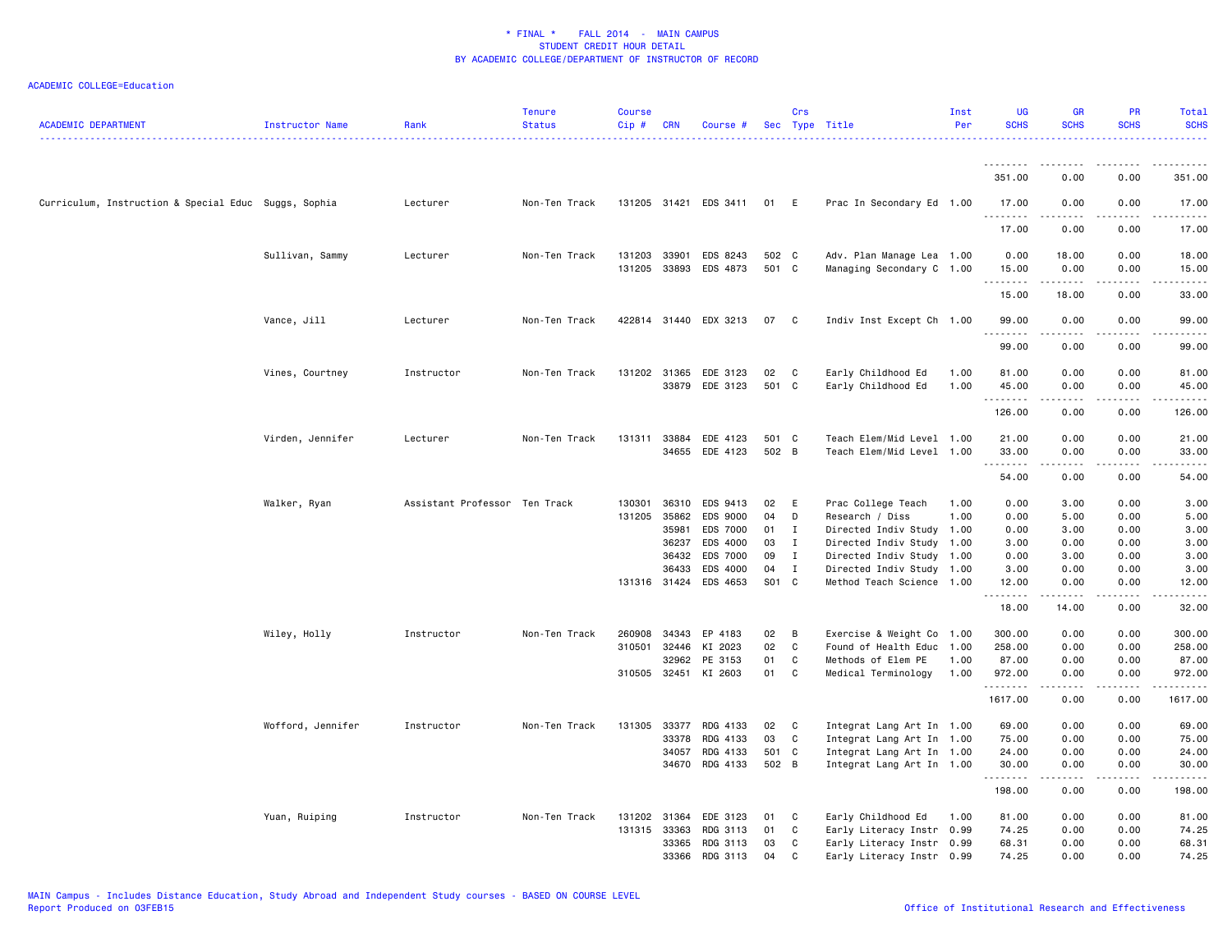| <b>ACADEMIC DEPARTMENT</b>                           | Instructor Name   | Rank                          | <b>Tenure</b><br><b>Status</b> | Course<br>Cip# | <b>CRN</b>     | Course #              |                | Crs          | Sec Type Title                                         | Inst<br>Per | <b>UG</b><br><b>SCHS</b> | <b>GR</b><br><b>SCHS</b>            | <b>PR</b><br><b>SCHS</b>     | Total<br><b>SCHS</b><br>. |
|------------------------------------------------------|-------------------|-------------------------------|--------------------------------|----------------|----------------|-----------------------|----------------|--------------|--------------------------------------------------------|-------------|--------------------------|-------------------------------------|------------------------------|---------------------------|
|                                                      |                   |                               |                                |                |                |                       |                |              |                                                        |             | --------                 | --------                            | -----                        | $- - - - - - -$           |
|                                                      |                   |                               |                                |                |                |                       |                |              |                                                        |             | 351.00                   | 0.00                                | 0.00                         | 351.00                    |
| Curriculum, Instruction & Special Educ Suggs, Sophia |                   | Lecturer                      | Non-Ten Track                  |                |                | 131205 31421 EDS 3411 | 01             | E            | Prac In Secondary Ed 1.00                              |             | 17.00                    | 0.00                                | 0.00                         | 17.00                     |
|                                                      |                   |                               |                                |                |                |                       |                |              |                                                        |             | .<br>17.00               | 0.00                                | 0.00                         | .<br>17.00                |
|                                                      | Sullivan, Sammy   | Lecturer                      | Non-Ten Track                  | 131203 33901   |                | EDS 8243              | 502 C          |              | Adv. Plan Manage Lea 1.00                              |             | 0.00                     | 18.00                               | 0.00                         | 18.00                     |
|                                                      |                   |                               |                                | 131205 33893   |                | EDS 4873              | 501 C          |              | Managing Secondary C 1.00                              |             | 15.00<br>.               | 0.00<br>$\frac{1}{2}$               | 0.00<br>$\sim$ $\sim$ $\sim$ | 15.00<br>د د د د د        |
|                                                      |                   |                               |                                |                |                |                       |                |              |                                                        |             | 15.00                    | 18.00                               | 0.00                         | 33.00                     |
|                                                      | Vance, Jill       | Lecturer                      | Non-Ten Track                  |                |                | 422814 31440 EDX 3213 | 07 C           |              | Indiv Inst Except Ch 1.00                              |             | 99.00<br><u>.</u>        | 0.00<br>-----                       | 0.00<br>.                    | 99.00<br>.                |
|                                                      |                   |                               |                                |                |                |                       |                |              |                                                        |             | 99.00                    | 0.00                                | 0.00                         | 99.00                     |
|                                                      | Vines, Courtney   | Instructor                    | Non-Ten Track                  | 131202 31365   |                | EDE 3123              | 02             | C            | Early Childhood Ed                                     | 1.00        | 81.00                    | 0.00                                | 0.00                         | 81.00                     |
|                                                      |                   |                               |                                |                | 33879          | EDE 3123              | 501 C          |              | Early Childhood Ed                                     | 1.00        | 45.00<br>.               | 0.00                                | 0.00                         | 45.00                     |
|                                                      |                   |                               |                                |                |                |                       |                |              |                                                        |             | 126.00                   | 0.00                                | 0.00                         | 126.00                    |
|                                                      | Virden, Jennifer  | Lecturer                      | Non-Ten Track                  | 131311 33884   |                | EDE 4123              | 501 C          |              | Teach Elem/Mid Level 1.00                              |             | 21.00                    | 0.00                                | 0.00                         | 21.00                     |
|                                                      |                   |                               |                                |                |                | 34655 EDE 4123        | 502 B          |              | Teach Elem/Mid Level 1.00                              |             | 33.00<br>.               | 0.00<br>$\sim$ $\sim$ $\sim$ $\sim$ | 0.00<br>$\sim$ $\sim$ $\sim$ | 33.00                     |
|                                                      |                   |                               |                                |                |                |                       |                |              |                                                        |             | 54.00                    | 0.00                                | 0.00                         | 54.00                     |
|                                                      | Walker, Ryan      | Assistant Professor Ten Track |                                | 130301         |                | 36310 EDS 9413        | 02             | E            | Prac College Teach                                     | 1.00        | 0.00                     | 3.00                                | 0.00                         | 3.00                      |
|                                                      |                   |                               |                                | 131205         | 35862          | EDS 9000              | 04             | D            | Research / Diss                                        | 1.00        | 0.00                     | 5.00                                | 0.00                         | 5.00                      |
|                                                      |                   |                               |                                |                | 35981<br>36237 | EDS 7000<br>EDS 4000  | 01<br>03       | I<br>T       | Directed Indiv Study 1.00<br>Directed Indiv Study 1.00 |             | 0.00<br>3.00             | 3.00<br>0.00                        | 0.00<br>0.00                 | 3.00<br>3.00              |
|                                                      |                   |                               |                                |                | 36432          | EDS 7000              | 09             | $\mathbf{I}$ | Directed Indiv Study 1.00                              |             | 0.00                     | 3.00                                | 0.00                         | 3.00                      |
|                                                      |                   |                               |                                |                | 36433          | EDS 4000              | 04             | $\mathbf{I}$ | Directed Indiv Study 1.00                              |             | 3.00                     | 0.00                                | 0.00                         | 3.00                      |
|                                                      |                   |                               |                                |                |                | 131316 31424 EDS 4653 | S01 C          |              | Method Teach Science 1.00                              |             | 12.00                    | 0.00                                | 0.00                         | 12.00                     |
|                                                      |                   |                               |                                |                |                |                       |                |              |                                                        |             | .<br>18.00               | .<br>14.00                          | $- - - -$<br>0.00            | د د د د د<br>32.00        |
|                                                      | Wiley, Holly      | Instructor                    | Non-Ten Track                  | 260908         | 34343          | EP 4183               | 02             | B            | Exercise & Weight Co 1.00                              |             | 300.00                   | 0.00                                | 0.00                         | 300.00                    |
|                                                      |                   |                               |                                | 310501         | 32446          | KI 2023               | 02             | C            | Found of Health Educ 1.00                              |             | 258.00                   | 0.00                                | 0.00                         | 258.00                    |
|                                                      |                   |                               |                                |                | 32962          | PE 3153               | 01             | C            | Methods of Elem PE                                     | 1.00        | 87.00                    | 0.00                                | 0.00                         | 87.00                     |
|                                                      |                   |                               |                                | 310505 32451   |                | KI 2603               | 01             | C            | Medical Terminology                                    | 1.00        | 972.00<br>.              | 0.00<br>.                           | 0.00<br>$- - - -$            | 972.00<br>$- - - - - - -$ |
|                                                      |                   |                               |                                |                |                |                       |                |              |                                                        |             | 1617.00                  | 0.00                                | 0.00                         | 1617.00                   |
|                                                      | Wofford, Jennifer | Instructor                    | Non-Ten Track                  |                |                | 131305 33377 RDG 4133 | 02             | $\mathbf{C}$ | Integrat Lang Art In 1.00                              |             | 69.00                    | 0.00                                | 0.00                         | 69.00                     |
|                                                      |                   |                               |                                |                | 33378          | RDG 4133              | 03             | C            | Integrat Lang Art In 1.00                              |             | 75.00                    | 0.00                                | 0.00                         | 75.00                     |
|                                                      |                   |                               |                                |                | 34057<br>34670 | RDG 4133<br>RDG 4133  | 501 C<br>502 B |              | Integrat Lang Art In 1.00<br>Integrat Lang Art In 1.00 |             | 24.00<br>30.00           | 0.00<br>0.00                        | 0.00<br>0.00                 | 24.00<br>30.00            |
|                                                      |                   |                               |                                |                |                |                       |                |              |                                                        |             | .<br>198.00              | .<br>0.00                           | $- - - -$<br>0.00            | . <u>.</u> .<br>198.00    |
|                                                      | Yuan, Ruiping     | Instructor                    | Non-Ten Track                  | 131202 31364   |                | EDE 3123              | 01             | C            | Early Childhood Ed                                     | 1.00        | 81.00                    | 0.00                                | 0.00                         | 81.00                     |
|                                                      |                   |                               |                                | 131315 33363   |                | RDG 3113              | 01             | C            | Early Literacy Instr 0.99                              |             | 74.25                    | 0.00                                | 0.00                         | 74.25                     |
|                                                      |                   |                               |                                |                | 33365          | RDG 3113              | 03             | C            | Early Literacy Instr 0.99                              |             | 68.31                    | 0.00                                | 0.00                         | 68.31                     |
|                                                      |                   |                               |                                |                | 33366          | RDG 3113              | 04             | C            | Early Literacy Instr 0.99                              |             | 74.25                    | 0.00                                | 0.00                         | 74.25                     |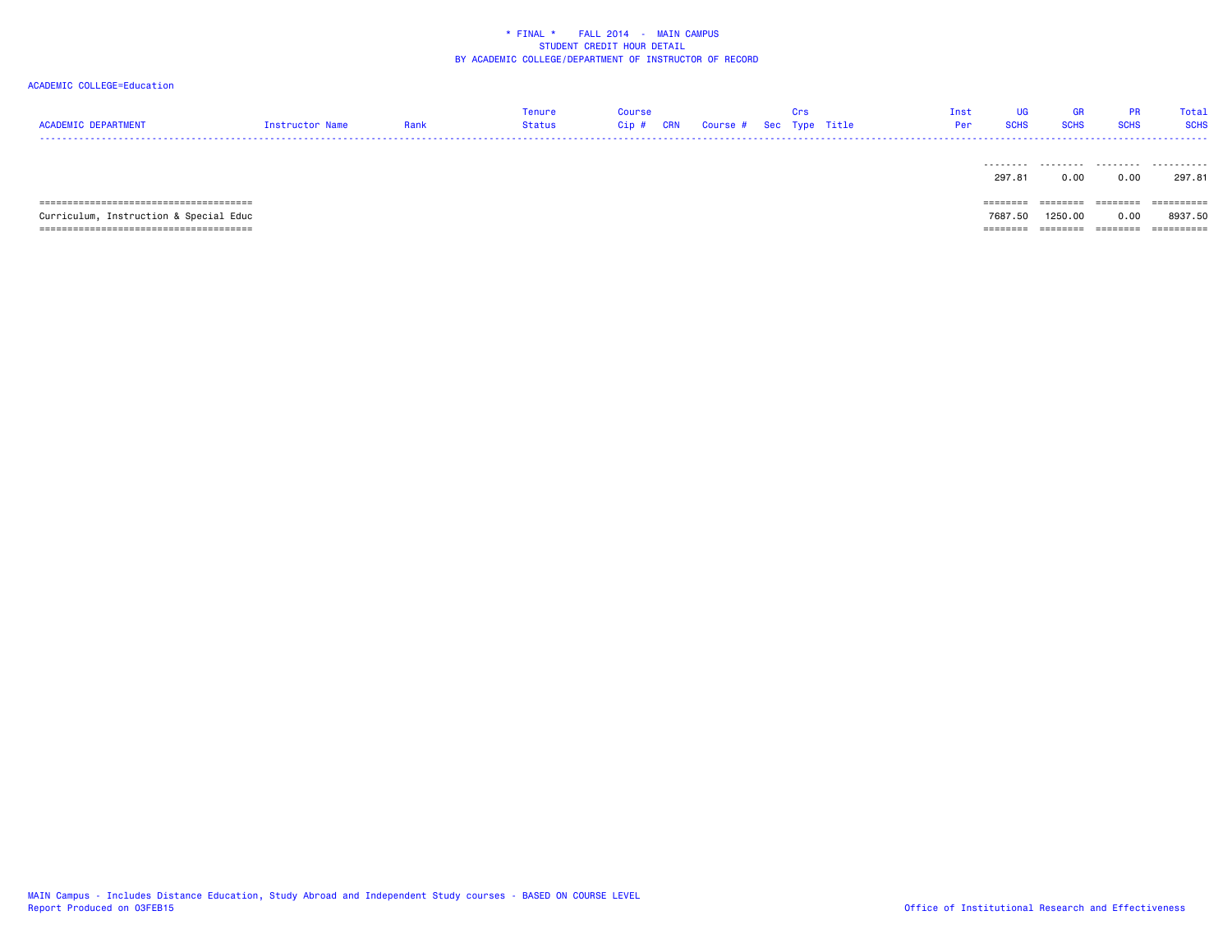| ACADEMIC DEPARTMENT | Instructor Name | Tenure<br>Status | Course | Cip # CRN Course # Sec Type Title |  | Inst<br>Per | <b>SCHS</b> |  | Total<br><b>SCHS</b> |
|---------------------|-----------------|------------------|--------|-----------------------------------|--|-------------|-------------|--|----------------------|
| ----                |                 |                  |        |                                   |  |             |             |  |                      |

|                                        | 297.81    | 0.00     | 0.00                 | 297.81     |
|----------------------------------------|-----------|----------|----------------------|------------|
|                                        | --------- | ________ | --------<br>-------- | ========== |
| Curriculum, Instruction & Special Educ | 7687.50   | 1250.00  | 0.00                 | 8937.50    |
|                                        |           |          | --------             | ========== |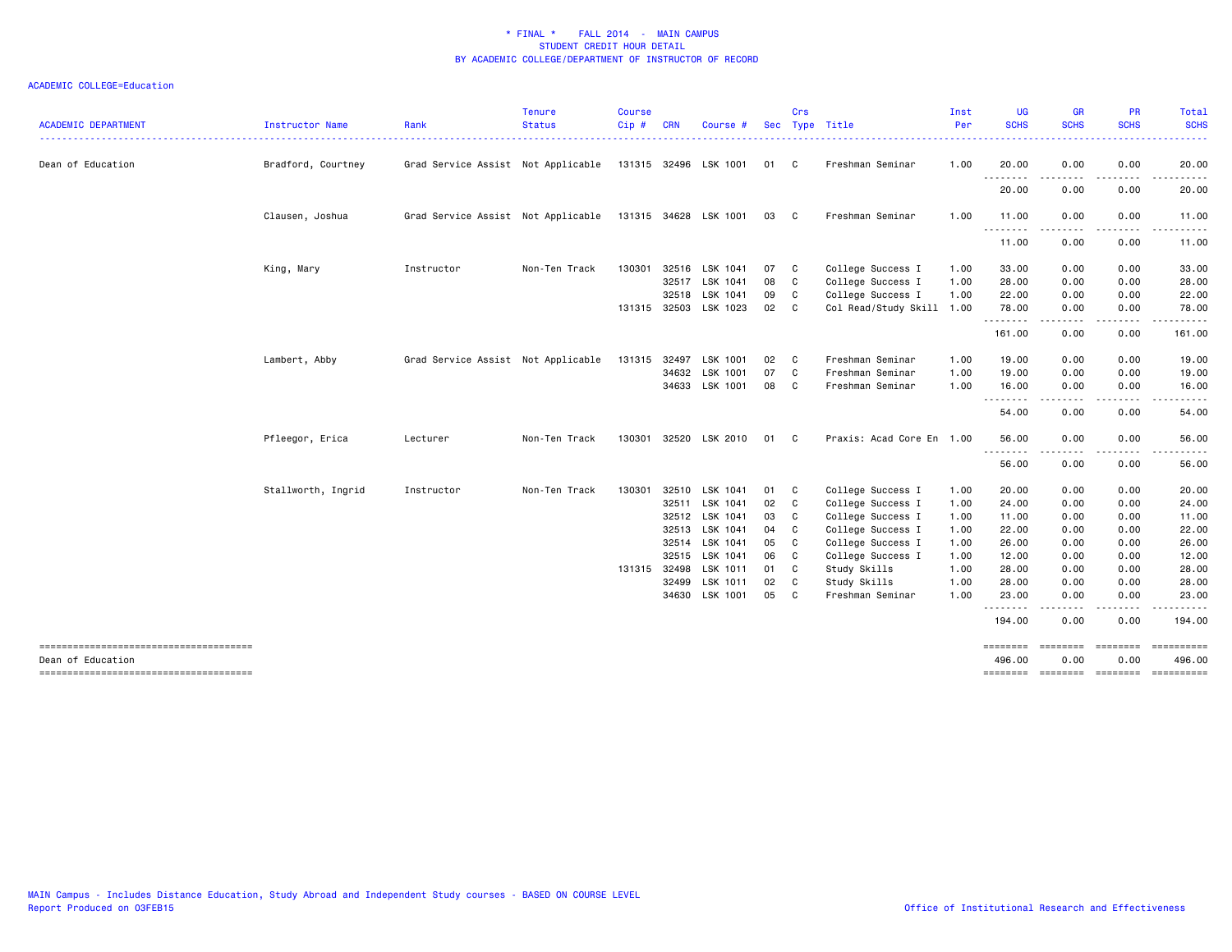| <b>ACADEMIC DEPARTMENT</b>            | <b>Instructor Name</b> | Rank                               | <b>Tenure</b><br><b>Status</b> | <b>Course</b><br>Cip# | <b>CRN</b> | Course #              | <b>Sec</b> | Crs          | Type Title                | Inst<br>Per | <b>UG</b><br><b>SCHS</b> | <b>GR</b><br><b>SCHS</b>                                                                                                          | <b>PR</b><br><b>SCHS</b> | <b>Total</b><br><b>SCHS</b>                                                                                                        |
|---------------------------------------|------------------------|------------------------------------|--------------------------------|-----------------------|------------|-----------------------|------------|--------------|---------------------------|-------------|--------------------------|-----------------------------------------------------------------------------------------------------------------------------------|--------------------------|------------------------------------------------------------------------------------------------------------------------------------|
| Dean of Education                     | Bradford, Courtney     | Grad Service Assist Not Applicable |                                |                       |            | 131315 32496 LSK 1001 | 01         | C.           | Freshman Seminar          | 1.00        | 20.00                    | 0.00                                                                                                                              | 0.00                     | 20.00                                                                                                                              |
|                                       |                        |                                    |                                |                       |            |                       |            |              |                           |             | 20.00                    | ----<br>0.00                                                                                                                      | .<br>0.00                | . <b>.</b><br>20.00                                                                                                                |
|                                       | Clausen, Joshua        | Grad Service Assist Not Applicable |                                |                       |            | 131315 34628 LSK 1001 | 03         | $\mathbf{C}$ | Freshman Seminar          | 1.00        | 11.00                    | 0.00                                                                                                                              | 0.00                     | 11.00                                                                                                                              |
|                                       |                        |                                    |                                |                       |            |                       |            |              |                           |             | .<br>11.00               | .<br>0.00                                                                                                                         | -----<br>0.00            | $\begin{array}{cccccccccccccc} \bullet & \bullet & \bullet & \bullet & \bullet & \bullet & \bullet & \bullet \end{array}$<br>11.00 |
|                                       | King, Mary             | Instructor                         | Non-Ten Track                  | 130301                |            | 32516 LSK 1041        | 07         | C            | College Success I         | 1.00        | 33.00                    | 0.00                                                                                                                              | 0.00                     | 33.00                                                                                                                              |
|                                       |                        |                                    |                                |                       | 32517      | LSK 1041              | 08         | C.           | College Success I         | 1.00        | 28.00                    | 0.00                                                                                                                              | 0.00                     | 28.00                                                                                                                              |
|                                       |                        |                                    |                                |                       | 32518      | LSK 1041              | 09         | C            | College Success I         | 1.00        | 22.00                    | 0.00                                                                                                                              | 0.00                     | 22.00                                                                                                                              |
|                                       |                        |                                    |                                | 131315 32503          |            | LSK 1023              | 02         | C            | Col Read/Study Skill 1.00 |             | 78.00<br>.               | 0.00<br>$\frac{1}{2} \left( \frac{1}{2} \right) \left( \frac{1}{2} \right) \left( \frac{1}{2} \right) \left( \frac{1}{2} \right)$ | 0.00<br>.                | 78.00<br>.                                                                                                                         |
|                                       |                        |                                    |                                |                       |            |                       |            |              |                           |             | 161.00                   | 0.00                                                                                                                              | 0.00                     | 161.00                                                                                                                             |
|                                       | Lambert, Abby          | Grad Service Assist Not Applicable |                                | 131315 32497          |            | LSK 1001              | 02         | C            | Freshman Seminar          | 1.00        | 19.00                    | 0.00                                                                                                                              | 0.00                     | 19.00                                                                                                                              |
|                                       |                        |                                    |                                |                       | 34632      | LSK 1001              | 07         | C            | Freshman Seminar          | 1.00        | 19.00                    | 0.00                                                                                                                              | 0.00                     | 19.00                                                                                                                              |
|                                       |                        |                                    |                                |                       |            | 34633 LSK 1001        | 08         | C            | Freshman Seminar          | 1.00        | 16.00                    | 0.00                                                                                                                              | 0.00                     | 16.00                                                                                                                              |
|                                       |                        |                                    |                                |                       |            |                       |            |              |                           |             | .<br>54.00               | $\sim$ $\sim$ $\sim$<br>0.00                                                                                                      | 0.00                     | 54.00                                                                                                                              |
|                                       | Pfleegor, Erica        | Lecturer                           | Non-Ten Track                  | 130301                |            | 32520 LSK 2010        | 01         | C            | Praxis: Acad Core En 1.00 |             | 56.00                    | 0.00                                                                                                                              | 0.00                     | 56.00                                                                                                                              |
|                                       |                        |                                    |                                |                       |            |                       |            |              |                           |             | 56.00                    | . <b>. .</b> .<br>0.00                                                                                                            | 0.00                     | . <b>.</b> .<br>56.00                                                                                                              |
|                                       | Stallworth, Ingrid     | Instructor                         | Non-Ten Track                  | 130301                | 32510      | LSK 1041              | 01         | C            | College Success I         | 1.00        | 20.00                    | 0.00                                                                                                                              | 0.00                     | 20.00                                                                                                                              |
|                                       |                        |                                    |                                |                       | 32511      | LSK 1041              | 02         | C            | College Success I         | 1.00        | 24.00                    | 0.00                                                                                                                              | 0.00                     | 24.00                                                                                                                              |
|                                       |                        |                                    |                                |                       | 32512      | LSK 1041              | 03         | C            | College Success I         | 1.00        | 11.00                    | 0.00                                                                                                                              | 0.00                     | 11.00                                                                                                                              |
|                                       |                        |                                    |                                |                       | 32513      | LSK 1041              | 04         | C.           | College Success I         | 1.00        | 22.00                    | 0.00                                                                                                                              | 0.00                     | 22.00                                                                                                                              |
|                                       |                        |                                    |                                |                       | 32514      | LSK 1041              | 05         | C.           | College Success I         | 1.00        | 26.00                    | 0.00                                                                                                                              | 0.00                     | 26.00                                                                                                                              |
|                                       |                        |                                    |                                |                       | 32515      | LSK 1041              | 06         | C            | College Success I         | 1.00        | 12.00                    | 0.00                                                                                                                              | 0.00                     | 12.00                                                                                                                              |
|                                       |                        |                                    |                                | 131315 32498          |            | LSK 1011              | 01         | C.           | Study Skills              | 1.00        | 28.00                    | 0.00                                                                                                                              | 0.00                     | 28.00                                                                                                                              |
|                                       |                        |                                    |                                |                       | 32499      | LSK 1011              | 02         | C            | Study Skills              | 1.00        | 28.00                    | 0.00                                                                                                                              | 0.00                     | 28.00                                                                                                                              |
|                                       |                        |                                    |                                |                       | 34630      | LSK 1001              | 05         | C            | Freshman Seminar          | 1.00        | 23.00                    | 0.00                                                                                                                              | 0.00                     | 23.00                                                                                                                              |
|                                       |                        |                                    |                                |                       |            |                       |            |              |                           |             | <u>.</u><br>194.00       | .<br>0.00                                                                                                                         | . <b>.</b><br>0.00       | .<br>194.00                                                                                                                        |
| Dean of Education                     |                        |                                    |                                |                       |            |                       |            |              |                           |             | 496.00                   | eeeeeee<br>0.00                                                                                                                   | ========<br>0.00         | 496.00                                                                                                                             |
| ------------------------------------- |                        |                                    |                                |                       |            |                       |            |              |                           |             | -------- -------         |                                                                                                                                   |                          | ======== =========                                                                                                                 |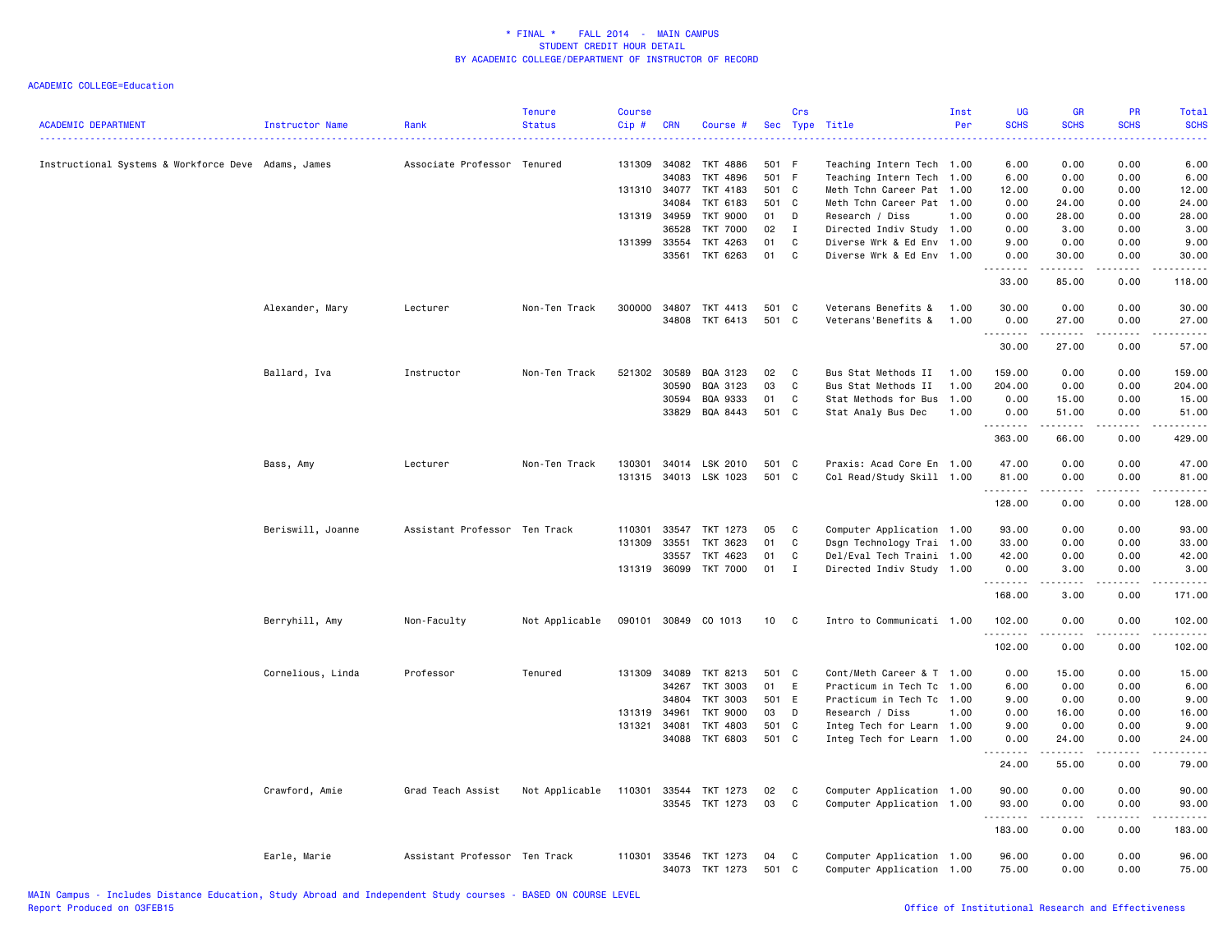| <b>ACADEMIC DEPARTMENT</b>                          | Instructor Name   | Rank                          | <b>Tenure</b><br><b>Status</b> | Course<br>Cip# | <b>CRN</b>   | Course #              | Sec   | Crs          | Type Title                | Inst<br>Per | <b>UG</b><br><b>SCHS</b><br>. | GR<br><b>SCHS</b>                                                                                                                                    | PR<br><b>SCHS</b>    | Total<br><b>SCHS</b><br>.            |
|-----------------------------------------------------|-------------------|-------------------------------|--------------------------------|----------------|--------------|-----------------------|-------|--------------|---------------------------|-------------|-------------------------------|------------------------------------------------------------------------------------------------------------------------------------------------------|----------------------|--------------------------------------|
| Instructional Systems & Workforce Deve Adams, James |                   | Associate Professor Tenured   |                                | 131309         | 34082        | TKT 4886              | 501   | - F          | Teaching Intern Tech 1.00 |             | 6.00                          | 0.00                                                                                                                                                 | 0.00                 | 6.00                                 |
|                                                     |                   |                               |                                |                | 34083        | TKT 4896              | 501 F |              | Teaching Intern Tech 1.00 |             | 6.00                          | 0.00                                                                                                                                                 | 0.00                 | 6.00                                 |
|                                                     |                   |                               |                                |                | 131310 34077 | TKT 4183              | 501 C |              | Meth Tchn Career Pat 1.00 |             | 12.00                         | 0.00                                                                                                                                                 | 0.00                 | 12.00                                |
|                                                     |                   |                               |                                |                | 34084        | TKT 6183              | 501   | C            | Meth Tchn Career Pat 1.00 |             | 0.00                          | 24.00                                                                                                                                                | 0.00                 | 24.00                                |
|                                                     |                   |                               |                                | 131319         | 34959        | <b>TKT 9000</b>       | 01    | D            | Research / Diss           | 1.00        | 0.00                          | 28.00                                                                                                                                                | 0.00                 | 28.00                                |
|                                                     |                   |                               |                                |                | 36528        | <b>TKT 7000</b>       | 02    | $\mathbf{I}$ | Directed Indiv Study 1.00 |             | 0.00                          | 3.00                                                                                                                                                 | 0.00                 | 3.00                                 |
|                                                     |                   |                               |                                |                | 131399 33554 | TKT 4263              | 01    | C            | Diverse Wrk & Ed Env 1.00 |             | 9.00                          | 0.00                                                                                                                                                 | 0.00                 | 9.00                                 |
|                                                     |                   |                               |                                |                | 33561        | TKT 6263              | 01    | C            | Diverse Wrk & Ed Env 1.00 |             | 0.00<br>.                     | 30.00<br>.                                                                                                                                           | 0.00<br>.            | 30.00<br>.                           |
|                                                     |                   |                               |                                |                |              |                       |       |              |                           |             | 33.00                         | 85.00                                                                                                                                                | 0.00                 | 118.00                               |
|                                                     | Alexander, Mary   | Lecturer                      | Non-Ten Track                  | 300000         | 34807        | TKT 4413              | 501   | C            | Veterans Benefits &       | 1.00        | 30.00                         | 0.00                                                                                                                                                 | 0.00                 | 30.00                                |
|                                                     |                   |                               |                                |                |              | 34808 TKT 6413        | 501 C |              | Veterans'Benefits &       | 1.00        | 0.00                          | 27.00                                                                                                                                                | 0.00                 | 27.00                                |
|                                                     |                   |                               |                                |                |              |                       |       |              |                           |             | .                             | .                                                                                                                                                    | .                    | .                                    |
|                                                     |                   |                               |                                |                |              |                       |       |              |                           |             | 30.00                         | 27.00                                                                                                                                                | 0.00                 | 57.00                                |
|                                                     | Ballard, Iva      | Instructor                    | Non-Ten Track                  | 521302         | 30589        | BQA 3123              | 02    | C            | Bus Stat Methods II       | 1.00        | 159.00                        | 0.00                                                                                                                                                 | 0.00                 | 159.00                               |
|                                                     |                   |                               |                                |                | 30590        | BQA 3123              | 03    | C            | Bus Stat Methods II       | 1.00        | 204.00                        | 0.00                                                                                                                                                 | 0.00                 | 204.00                               |
|                                                     |                   |                               |                                |                | 30594        | BQA 9333              | 01    | C            | Stat Methods for Bus 1.00 |             | 0.00                          | 15.00                                                                                                                                                | 0.00                 | 15.00                                |
|                                                     |                   |                               |                                |                | 33829        | BQA 8443              | 501 C |              | Stat Analy Bus Dec        | 1.00        | 0.00                          | 51.00                                                                                                                                                | 0.00                 | 51.00                                |
|                                                     |                   |                               |                                |                |              |                       |       |              |                           |             | .<br>363.00                   | 66.00                                                                                                                                                | . <u>.</u> .<br>0.00 | .<br>429.00                          |
|                                                     | Bass, Amy         | Lecturer                      | Non-Ten Track                  | 130301         |              | 34014 LSK 2010        | 501 C |              | Praxis: Acad Core En 1.00 |             | 47.00                         | 0.00                                                                                                                                                 | 0.00                 | 47.00                                |
|                                                     |                   |                               |                                |                |              | 131315 34013 LSK 1023 | 501 C |              | Col Read/Study Skill 1.00 |             | 81.00                         | 0.00                                                                                                                                                 | 0.00                 | 81.00                                |
|                                                     |                   |                               |                                |                |              |                       |       |              |                           |             | .                             | $\frac{1}{2} \left( \frac{1}{2} \right) \left( \frac{1}{2} \right) \left( \frac{1}{2} \right) \left( \frac{1}{2} \right) \left( \frac{1}{2} \right)$ | .                    | .                                    |
|                                                     |                   |                               |                                |                |              |                       |       |              |                           |             | 128.00                        | 0.00                                                                                                                                                 | 0.00                 | 128.00                               |
|                                                     | Beriswill, Joanne | Assistant Professor Ten Track |                                | 110301         | 33547        | TKT 1273              | 05    | C            | Computer Application 1.00 |             | 93.00                         | 0.00                                                                                                                                                 | 0.00                 | 93.00                                |
|                                                     |                   |                               |                                | 131309         | 33551        | TKT 3623              | 01    | C            | Dsgn Technology Trai 1.00 |             | 33.00                         | 0.00                                                                                                                                                 | 0.00                 | 33.00                                |
|                                                     |                   |                               |                                |                | 33557        | TKT 4623              | 01    | C            | Del/Eval Tech Traini 1.00 |             | 42.00                         | 0.00                                                                                                                                                 | 0.00                 | 42.00                                |
|                                                     |                   |                               |                                |                |              | 131319 36099 TKT 7000 | 01    | $\mathbf{I}$ | Directed Indiv Study 1.00 |             | 0.00<br>.                     | 3.00<br><b><i><u>.</u></i></b>                                                                                                                       | 0.00<br>.            | 3.00<br><u>.</u>                     |
|                                                     |                   |                               |                                |                |              |                       |       |              |                           |             | 168.00                        | 3.00                                                                                                                                                 | 0.00                 | 171.00                               |
|                                                     | Berryhill, Amy    | Non-Faculty                   | Not Applicable                 |                | 090101 30849 | CO 1013               | 10    | C            | Intro to Communicati 1.00 |             | 102.00                        | 0.00                                                                                                                                                 | 0.00                 | 102.00                               |
|                                                     |                   |                               |                                |                |              |                       |       |              |                           |             | .<br>102.00                   | ------<br>0.00                                                                                                                                       | .<br>0.00            | 102.00                               |
|                                                     | Cornelious, Linda | Professor                     | Tenured                        | 131309         | 34089        | TKT 8213              | 501   | $\mathbf{C}$ | Cont/Meth Career & T 1.00 |             | 0.00                          | 15.00                                                                                                                                                | 0.00                 | 15.00                                |
|                                                     |                   |                               |                                |                | 34267        | TKT 3003              | 01    | E            | Practicum in Tech Tc 1.00 |             | 6.00                          | 0.00                                                                                                                                                 | 0.00                 | 6.00                                 |
|                                                     |                   |                               |                                |                | 34804        | TKT 3003              | 501   | E            | Practicum in Tech Tc 1.00 |             | 9.00                          | 0.00                                                                                                                                                 | 0.00                 | 9.00                                 |
|                                                     |                   |                               |                                | 131319         | 34961        | <b>TKT 9000</b>       | 03    | D            | Research / Diss           | 1.00        | 0.00                          | 16.00                                                                                                                                                | 0.00                 | 16.00                                |
|                                                     |                   |                               |                                | 131321         | 34081        | TKT 4803              | 501   | $\mathbf{C}$ | Integ Tech for Learn 1.00 |             | 9.00                          | 0.00                                                                                                                                                 | 0.00                 | 9.00                                 |
|                                                     |                   |                               |                                |                | 34088        | TKT 6803              | 501 C |              | Integ Tech for Learn 1.00 |             | 0.00                          | 24.00                                                                                                                                                | 0.00                 | 24.00                                |
|                                                     |                   |                               |                                |                |              |                       |       |              |                           |             | -----<br>24.00                | المستبدات<br>55.00                                                                                                                                   | بالمحامر<br>0.00     | $\sim$ $\sim$ $\sim$ $\sim$<br>79.00 |
|                                                     | Crawford, Amie    | Grad Teach Assist             | Not Applicable                 | 110301         | 33544        | TKT 1273              | 02    | C            | Computer Application 1.00 |             | 90.00                         | 0.00                                                                                                                                                 | 0.00                 | 90.00                                |
|                                                     |                   |                               |                                |                |              | 33545 TKT 1273        | 03    | C            | Computer Application 1.00 |             | 93.00                         | 0.00                                                                                                                                                 | 0.00                 | 93.00                                |
|                                                     |                   |                               |                                |                |              |                       |       |              |                           |             | .                             |                                                                                                                                                      |                      | . <u>.</u> .                         |
|                                                     |                   |                               |                                |                |              |                       |       |              |                           |             | 183.00                        | 0.00                                                                                                                                                 | 0.00                 | 183.00                               |
|                                                     | Earle, Marie      | Assistant Professor Ten Track |                                |                |              | 110301 33546 TKT 1273 | 04    | C            | Computer Application 1.00 |             | 96.00                         | 0.00                                                                                                                                                 | 0.00                 | 96.00                                |
|                                                     |                   |                               |                                |                | 34073        | TKT 1273              | 501   | C            | Computer Application 1.00 |             | 75.00                         | 0.00                                                                                                                                                 | 0.00                 | 75.00                                |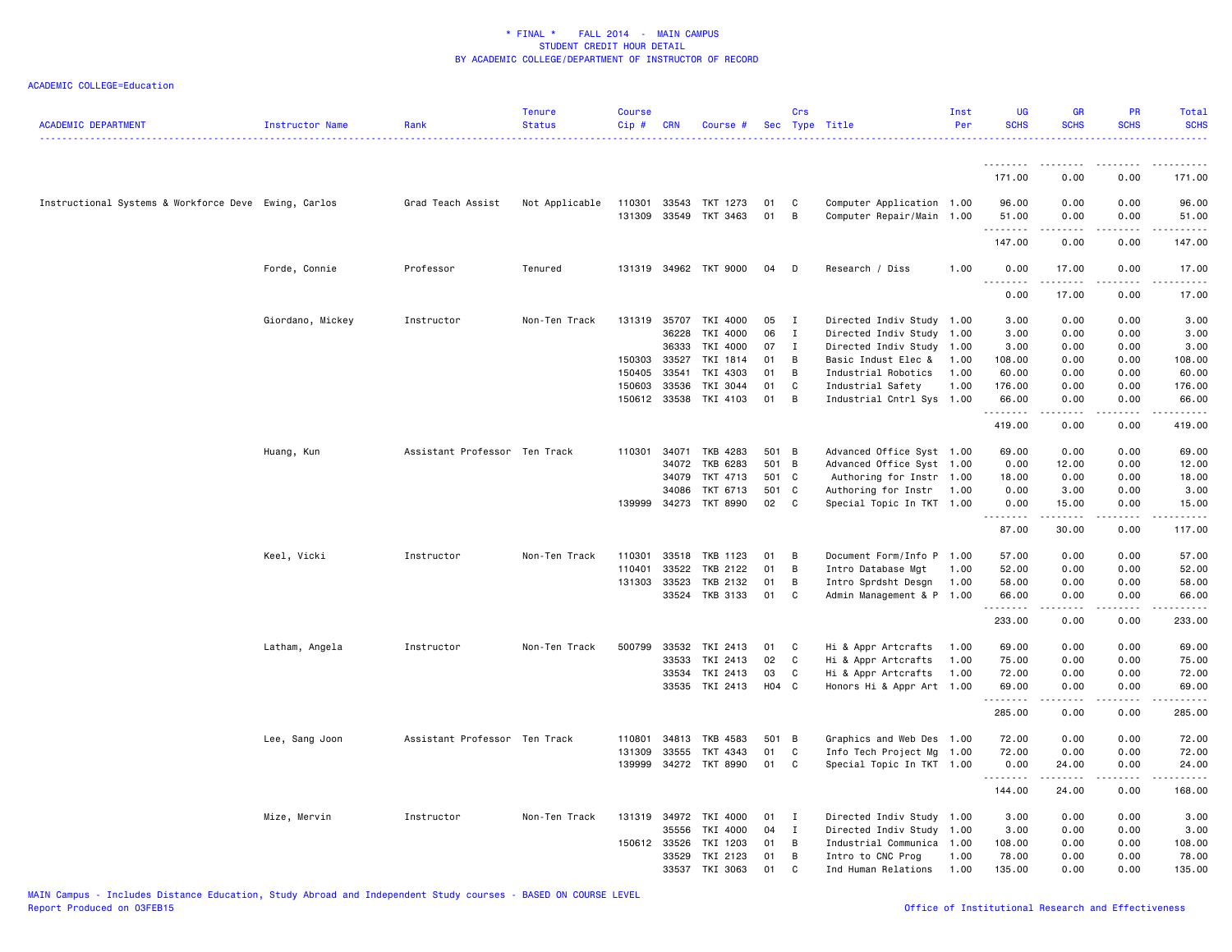| <b>ACADEMIC DEPARTMENT</b>                           | Instructor Name  | Rank                          | <b>Tenure</b><br><b>Status</b> | <b>Course</b><br>$Cip \#$ | <b>CRN</b>   | Course #                                |          | Crs          | Sec Type Title                                         | Inst<br>Per | <b>UG</b><br><b>SCHS</b> | <b>GR</b><br><b>SCHS</b>                                                                                                                                     | <b>PR</b><br><b>SCHS</b>            | <b>Total</b><br><b>SCHS</b> |
|------------------------------------------------------|------------------|-------------------------------|--------------------------------|---------------------------|--------------|-----------------------------------------|----------|--------------|--------------------------------------------------------|-------------|--------------------------|--------------------------------------------------------------------------------------------------------------------------------------------------------------|-------------------------------------|-----------------------------|
|                                                      |                  |                               |                                |                           |              |                                         |          |              |                                                        |             |                          |                                                                                                                                                              |                                     |                             |
|                                                      |                  |                               |                                |                           |              |                                         |          |              |                                                        |             | 171.00                   | 0.00                                                                                                                                                         | 0.00                                | 171.00                      |
| Instructional Systems & Workforce Deve Ewing, Carlos |                  | Grad Teach Assist             | Not Applicable                 | 110301                    |              | 33543 TKT 1273<br>131309 33549 TKT 3463 | 01<br>01 | C<br>B       | Computer Application 1.00<br>Computer Repair/Main 1.00 |             | 96.00<br>51.00           | 0.00<br>0.00                                                                                                                                                 | 0.00<br>0.00                        | 96.00<br>51.00              |
|                                                      |                  |                               |                                |                           |              |                                         |          |              |                                                        |             | .                        |                                                                                                                                                              |                                     | .                           |
|                                                      |                  |                               |                                |                           |              |                                         |          |              |                                                        |             | 147.00                   | 0.00                                                                                                                                                         | 0.00                                | 147.00                      |
|                                                      | Forde, Connie    | Professor                     | Tenured                        |                           |              | 131319 34962 TKT 9000                   | 04       | D            | Research / Diss                                        | 1.00        | 0.00<br>$\sim$ $\sim$    | 17.00                                                                                                                                                        | 0.00                                | 17.00                       |
|                                                      |                  |                               |                                |                           |              |                                         |          |              |                                                        |             | 0.00                     | 17.00                                                                                                                                                        | 0.00                                | 17.00                       |
|                                                      | Giordano, Mickey | Instructor                    | Non-Ten Track                  |                           |              | 131319 35707 TKI 4000                   | 05       | I            | Directed Indiv Study 1.00                              |             | 3.00                     | 0.00                                                                                                                                                         | 0.00                                | 3.00                        |
|                                                      |                  |                               |                                |                           | 36228        | TKI 4000                                | 06       | $\mathbf{I}$ | Directed Indiv Study 1.00                              |             | 3.00                     | 0.00                                                                                                                                                         | 0.00                                | 3.00                        |
|                                                      |                  |                               |                                |                           | 36333        | TKI 4000                                | 07       | $\mathbf{I}$ | Directed Indiv Study 1.00                              |             | 3.00                     | 0.00                                                                                                                                                         | 0.00                                | 3.00                        |
|                                                      |                  |                               |                                | 150303                    | 33527        | TKI 1814                                | 01       | B            | Basic Indust Elec &                                    | 1.00        | 108.00                   | 0.00                                                                                                                                                         | 0.00                                | 108.00                      |
|                                                      |                  |                               |                                | 150405                    | 33541        | TKI 4303                                | 01       | B            | Industrial Robotics                                    | 1.00        | 60.00                    | 0.00                                                                                                                                                         | 0.00                                | 60.00                       |
|                                                      |                  |                               |                                | 150603                    | 33536        | TKI 3044                                | 01       | C            | Industrial Safety                                      | 1.00        | 176.00                   | 0.00                                                                                                                                                         | 0.00                                | 176.00                      |
|                                                      |                  |                               |                                |                           |              | 150612 33538 TKI 4103                   | 01       | B            | Industrial Cntrl Sys 1.00                              |             | 66.00<br>.               | 0.00<br>.                                                                                                                                                    | 0.00<br>.                           | 66.00<br><u>.</u>           |
|                                                      |                  |                               |                                |                           |              |                                         |          |              |                                                        |             | 419.00                   | 0.00                                                                                                                                                         | 0.00                                | 419.00                      |
|                                                      | Huang, Kun       | Assistant Professor Ten Track |                                | 110301                    | 34071        | TKB 4283                                | 501      | B            | Advanced Office Syst 1.00                              |             | 69.00                    | 0.00                                                                                                                                                         | 0.00                                | 69.00                       |
|                                                      |                  |                               |                                |                           | 34072        | TKB 6283                                | 501      | B            | Advanced Office Syst 1.00                              |             | 0.00                     | 12.00                                                                                                                                                        | 0.00                                | 12.00                       |
|                                                      |                  |                               |                                |                           | 34079        | TKT 4713                                | 501      | C            | Authoring for Instr 1.00                               |             | 18.00                    | 0.00                                                                                                                                                         | 0.00                                | 18.00                       |
|                                                      |                  |                               |                                |                           | 34086        | TKT 6713                                | 501      | C            | Authoring for Instr                                    | 1.00        | 0.00                     | 3.00                                                                                                                                                         | 0.00                                | 3.00                        |
|                                                      |                  |                               |                                |                           | 139999 34273 | TKT 8990                                | 02       | C            | Special Topic In TKT 1.00                              |             | 0.00<br>.                | 15.00<br>$\frac{1}{2}$                                                                                                                                       | 0.00<br>$- - - -$                   | 15.00<br>.                  |
|                                                      |                  |                               |                                |                           |              |                                         |          |              |                                                        |             | 87.00                    | 30.00                                                                                                                                                        | 0.00                                | 117.00                      |
|                                                      | Keel, Vicki      | Instructor                    | Non-Ten Track                  | 110301                    | 33518        | TKB 1123                                | 01       | B            | Document Form/Info P 1.00                              |             | 57.00                    | 0.00                                                                                                                                                         | 0.00                                | 57.00                       |
|                                                      |                  |                               |                                | 110401                    | 33522        | TKB 2122                                | 01       | B            | Intro Database Mgt                                     | 1.00        | 52.00                    | 0.00                                                                                                                                                         | 0.00                                | 52.00                       |
|                                                      |                  |                               |                                | 131303 33523              |              | TKB 2132                                | 01       | B            | Intro Sprdsht Desgn                                    | 1.00        | 58.00                    | 0.00                                                                                                                                                         | 0.00                                | 58.00                       |
|                                                      |                  |                               |                                |                           | 33524        | TKB 3133                                | 01       | C            | Admin Management & P 1.00                              |             | 66.00<br>.               | 0.00<br>المتمامين                                                                                                                                            | 0.00<br>$\sim$ $\sim$ $\sim$ $\sim$ | 66.00<br>.                  |
|                                                      |                  |                               |                                |                           |              |                                         |          |              |                                                        |             | 233.00                   | 0.00                                                                                                                                                         | 0.00                                | 233.00                      |
|                                                      | Latham, Angela   | Instructor                    | Non-Ten Track                  | 500799                    | 33532        | TKI 2413                                | 01       | C            | Hi & Appr Artcrafts                                    | 1.00        | 69.00                    | 0.00                                                                                                                                                         | 0.00                                | 69.00                       |
|                                                      |                  |                               |                                |                           | 33533        | TKI 2413                                | 02       | C            | Hi & Appr Artcrafts                                    | 1.00        | 75.00                    | 0.00                                                                                                                                                         | 0.00                                | 75.00                       |
|                                                      |                  |                               |                                |                           | 33534        | TKI 2413                                | 03       | C            | Hi & Appr Artcrafts                                    | 1.00        | 72.00                    | 0.00                                                                                                                                                         | 0.00                                | 72.00                       |
|                                                      |                  |                               |                                |                           |              | 33535 TKI 2413                          | H04 C    |              | Honors Hi & Appr Art 1.00                              |             | 69.00<br>.               | 0.00<br>$\frac{1}{2} \left( \frac{1}{2} \right) \left( \frac{1}{2} \right) \left( \frac{1}{2} \right) \left( \frac{1}{2} \right) \left( \frac{1}{2} \right)$ | 0.00<br>.                           | 69.00<br>.                  |
|                                                      |                  |                               |                                |                           |              |                                         |          |              |                                                        |             | 285.00                   | 0.00                                                                                                                                                         | 0.00                                | 285.00                      |
|                                                      | Lee, Sang Joon   | Assistant Professor Ten Track |                                | 110801                    | 34813        | TKB 4583                                | 501      | B            | Graphics and Web Des 1.00                              |             | 72.00                    | 0.00                                                                                                                                                         | 0.00                                | 72.00                       |
|                                                      |                  |                               |                                | 131309                    | 33555        | TKT 4343                                | 01       | C            | Info Tech Project Mg 1.00                              |             | 72.00                    | 0.00                                                                                                                                                         | 0.00                                | 72.00                       |
|                                                      |                  |                               |                                |                           |              | 139999 34272 TKT 8990                   | 01       | C            | Special Topic In TKT 1.00                              |             | 0.00<br>.                | 24.00<br>.                                                                                                                                                   | 0.00                                | 24.00<br>.                  |
|                                                      |                  |                               |                                |                           |              |                                         |          |              |                                                        |             | 144.00                   | 24.00                                                                                                                                                        | 0.00                                | 168.00                      |
|                                                      | Mize, Mervin     | Instructor                    | Non-Ten Track                  |                           |              | 131319 34972 TKI 4000                   | 01       | I            | Directed Indiv Study 1.00                              |             | 3.00                     | 0.00                                                                                                                                                         | 0.00                                | 3.00                        |
|                                                      |                  |                               |                                |                           | 35556        | TKI 4000                                | 04       | $\mathbf{I}$ | Directed Indiv Study 1.00                              |             | 3.00                     | 0.00                                                                                                                                                         | 0.00                                | 3.00                        |
|                                                      |                  |                               |                                | 150612 33526              |              | TKI 1203                                | 01       | B            | Industrial Communica 1.00                              |             | 108.00                   | 0.00                                                                                                                                                         | 0.00                                | 108.00                      |
|                                                      |                  |                               |                                |                           |              | 33529 TKI 2123                          | 01       | B            | Intro to CNC Prog                                      | 1.00        | 78.00                    | 0.00                                                                                                                                                         | 0.00                                | 78.00                       |
|                                                      |                  |                               |                                |                           |              | 33537 TKI 3063                          | 01       | C.           | Ind Human Relations                                    | 1.00        | 135.00                   | 0.00                                                                                                                                                         | 0.00                                | 135.00                      |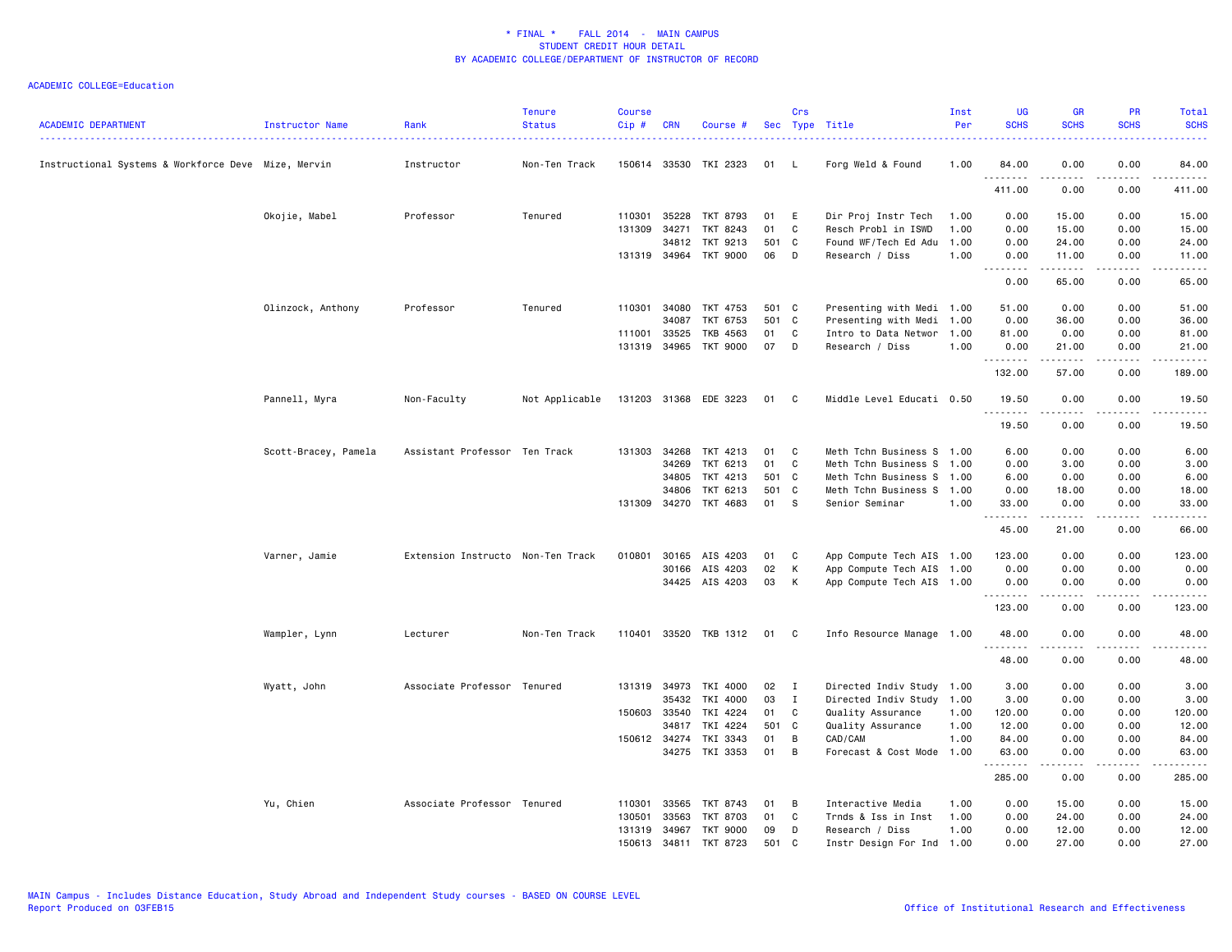| <b>ACADEMIC DEPARTMENT</b>                          | Instructor Name      | Rank                              | <b>Tenure</b><br><b>Status</b> | Course<br>Cip# | <b>CRN</b>   | Course #              |       | Crs          | Sec Type Title            | Inst<br>Per | <b>UG</b><br><b>SCHS</b>     | <b>GR</b><br><b>SCHS</b> | <b>PR</b><br><b>SCHS</b>     | Total<br><b>SCHS</b>                                                                                                               |
|-----------------------------------------------------|----------------------|-----------------------------------|--------------------------------|----------------|--------------|-----------------------|-------|--------------|---------------------------|-------------|------------------------------|--------------------------|------------------------------|------------------------------------------------------------------------------------------------------------------------------------|
| Instructional Systems & Workforce Deve Mize, Mervin |                      | Instructor                        | Non-Ten Track                  |                |              | 150614 33530 TKI 2323 | 01    | L.           | Forg Weld & Found         | 1.00        | 84.00<br>.                   | 0.00                     | 0.00<br>.                    | 84.00<br>$\begin{array}{cccccccccccccc} \bullet & \bullet & \bullet & \bullet & \bullet & \bullet & \bullet & \bullet \end{array}$ |
|                                                     |                      |                                   |                                |                |              |                       |       |              |                           |             | 411.00                       | 0.00                     | 0.00                         | 411.00                                                                                                                             |
|                                                     | Okojie, Mabel        | Professor                         | Tenured                        | 110301         | 35228        | TKT 8793              | 01    | E            | Dir Proj Instr Tech       | 1.00        | 0.00                         | 15.00                    | 0.00                         | 15.00                                                                                                                              |
|                                                     |                      |                                   |                                | 131309         | 34271        | TKT 8243              | 01    | C            | Resch Probl in ISWD       | 1.00        | 0.00                         | 15.00                    | 0.00                         | 15.00                                                                                                                              |
|                                                     |                      |                                   |                                |                | 34812        | TKT 9213              | 501   | $\mathbf{C}$ | Found WF/Tech Ed Adu      | 1.00        | 0.00                         | 24.00                    | 0.00                         | 24.00                                                                                                                              |
|                                                     |                      |                                   |                                |                |              | 131319 34964 TKT 9000 | 06    | D            | Research / Diss           | 1.00        | 0.00<br>$\sim$ $\sim$ $\sim$ | 11.00<br>.               | 0.00<br>.                    | 11.00<br>والمناصبات                                                                                                                |
|                                                     |                      |                                   |                                |                |              |                       |       |              |                           |             | 0.00                         | 65.00                    | 0.00                         | 65.00                                                                                                                              |
|                                                     | Olinzock, Anthony    | Professor                         | Tenured                        | 110301         | 34080        | TKT 4753              | 501 C |              | Presenting with Medi 1.00 |             | 51.00                        | 0.00                     | 0.00                         | 51.00                                                                                                                              |
|                                                     |                      |                                   |                                |                | 34087        | TKT 6753              | 501   | $\mathbf{C}$ | Presenting with Medi 1.00 |             | 0.00                         | 36.00                    | 0.00                         | 36.00                                                                                                                              |
|                                                     |                      |                                   |                                | 111001         | 33525        | TKB 4563              | 01    | C            | Intro to Data Networ 1.00 |             | 81.00                        | 0.00                     | 0.00                         | 81.00                                                                                                                              |
|                                                     |                      |                                   |                                |                | 131319 34965 | TKT 9000              | 07    | D            | Research / Diss           | 1.00        | 0.00<br>.                    | 21.00<br>.               | 0.00<br>.                    | 21.00<br>.                                                                                                                         |
|                                                     |                      |                                   |                                |                |              |                       |       |              |                           |             | 132.00                       | 57.00                    | 0.00                         | 189.00                                                                                                                             |
|                                                     | Pannell, Myra        | Non-Faculty                       | Not Applicable                 |                | 131203 31368 | EDE 3223              | 01    | C            | Middle Level Educati 0.50 |             | 19.50                        | 0.00                     | 0.00                         | 19.50                                                                                                                              |
|                                                     |                      |                                   |                                |                |              |                       |       |              |                           |             | .<br>19.50                   | .<br>0.00                | $- - - -$<br>0.00            | .<br>19.50                                                                                                                         |
|                                                     | Scott-Bracey, Pamela | Assistant Professor Ten Track     |                                |                | 131303 34268 | TKT 4213              | 01    | C            | Meth Tchn Business S 1.00 |             | 6.00                         | 0.00                     | 0.00                         | 6.00                                                                                                                               |
|                                                     |                      |                                   |                                |                | 34269        | TKT 6213              | 01    | C            | Meth Tchn Business S 1.00 |             | 0.00                         | 3.00                     | 0.00                         | 3.00                                                                                                                               |
|                                                     |                      |                                   |                                |                | 34805        | TKT 4213              | 501 C |              | Meth Tchn Business S 1.00 |             | 6.00                         | 0.00                     | 0.00                         | 6.00                                                                                                                               |
|                                                     |                      |                                   |                                |                | 34806        | TKT 6213              | 501   | $\mathbf{C}$ | Meth Tchn Business S 1.00 |             | 0.00                         | 18.00                    | 0.00                         | 18.00                                                                                                                              |
|                                                     |                      |                                   |                                |                | 131309 34270 | TKT 4683              | 01    | -S           | Senior Seminar            | 1.00        | 33.00                        | 0.00                     | 0.00                         | 33.00                                                                                                                              |
|                                                     |                      |                                   |                                |                |              |                       |       |              |                           |             | .                            | $    -$                  | $- - - -$                    | $    -$                                                                                                                            |
|                                                     |                      |                                   |                                |                |              |                       |       |              |                           |             | 45.00                        | 21.00                    | 0.00                         | 66.00                                                                                                                              |
|                                                     | Varner, Jamie        | Extension Instructo Non-Ten Track |                                | 010801         |              | 30165 AIS 4203        | 01    | $\mathbf{C}$ | App Compute Tech AIS 1.00 |             | 123.00                       | 0.00                     | 0.00                         | 123.00                                                                                                                             |
|                                                     |                      |                                   |                                |                | 30166        | AIS 4203              | 02    | К            | App Compute Tech AIS 1.00 |             | 0.00                         | 0.00                     | 0.00                         | 0.00                                                                                                                               |
|                                                     |                      |                                   |                                |                |              | 34425 AIS 4203        | 03    | K            | App Compute Tech AIS 1.00 |             | 0.00                         | 0.00                     | 0.00                         | 0.00                                                                                                                               |
|                                                     |                      |                                   |                                |                |              |                       |       |              |                           |             | .<br>123.00                  | <u>.</u><br>0.00         | .<br>0.00                    | .<br>123.00                                                                                                                        |
|                                                     | Wampler, Lynn        | Lecturer                          | Non-Ten Track                  |                |              | 110401 33520 TKB 1312 | 01    | C            | Info Resource Manage 1.00 |             | 48.00                        | 0.00                     | 0.00                         | 48.00                                                                                                                              |
|                                                     |                      |                                   |                                |                |              |                       |       |              |                           |             | .<br>48.00                   | 0.00                     | $\sim$ $\sim$ $\sim$<br>0.00 | .<br>48.00                                                                                                                         |
|                                                     | Wyatt, John          | Associate Professor Tenured       |                                |                | 131319 34973 | TKI 4000              | 02    | $\mathbf{I}$ | Directed Indiv Study 1.00 |             | 3.00                         | 0.00                     | 0.00                         | 3.00                                                                                                                               |
|                                                     |                      |                                   |                                |                | 35432        | TKI 4000              | 03    | I            | Directed Indiv Study 1.00 |             | 3.00                         | 0.00                     | 0.00                         | 3.00                                                                                                                               |
|                                                     |                      |                                   |                                |                | 150603 33540 | TKI 4224              | 01    | C            | Quality Assurance         | 1.00        | 120.00                       | 0.00                     | 0.00                         | 120.00                                                                                                                             |
|                                                     |                      |                                   |                                |                | 34817        | TKI 4224              | 501   | C            | Quality Assurance         | 1.00        | 12.00                        | 0.00                     | 0.00                         | 12.00                                                                                                                              |
|                                                     |                      |                                   |                                |                | 150612 34274 | TKI 3343              | 01    | В            | CAD/CAM                   | 1.00        | 84.00                        | 0.00                     | 0.00                         | 84.00                                                                                                                              |
|                                                     |                      |                                   |                                |                |              | 34275 TKI 3353        | 01    | B            | Forecast & Cost Mode 1.00 |             | 63.00                        | 0.00                     | 0.00                         | 63.00                                                                                                                              |
|                                                     |                      |                                   |                                |                |              |                       |       |              |                           |             | .<br>285.00                  | .<br>0.00                | .<br>0.00                    | .<br>285.00                                                                                                                        |
|                                                     | Yu, Chien            | Associate Professor Tenured       |                                | 110301         | 33565        | TKT 8743              | 01    | B            | Interactive Media         | 1.00        | 0.00                         | 15.00                    | 0.00                         | 15.00                                                                                                                              |
|                                                     |                      |                                   |                                | 130501         | 33563        | TKT 8703              | 01    | C            | Trnds & Iss in Inst       | 1.00        | 0.00                         | 24.00                    | 0.00                         | 24.00                                                                                                                              |
|                                                     |                      |                                   |                                |                | 131319 34967 | TKT 9000              | 09    | D            | Research / Diss           | 1.00        | 0.00                         | 12.00                    | 0.00                         | 12.00                                                                                                                              |
|                                                     |                      |                                   |                                | 150613         | 34811        | TKT 8723              | 501   | C            | Instr Design For Ind 1.00 |             | 0.00                         | 27.00                    | 0.00                         | 27.00                                                                                                                              |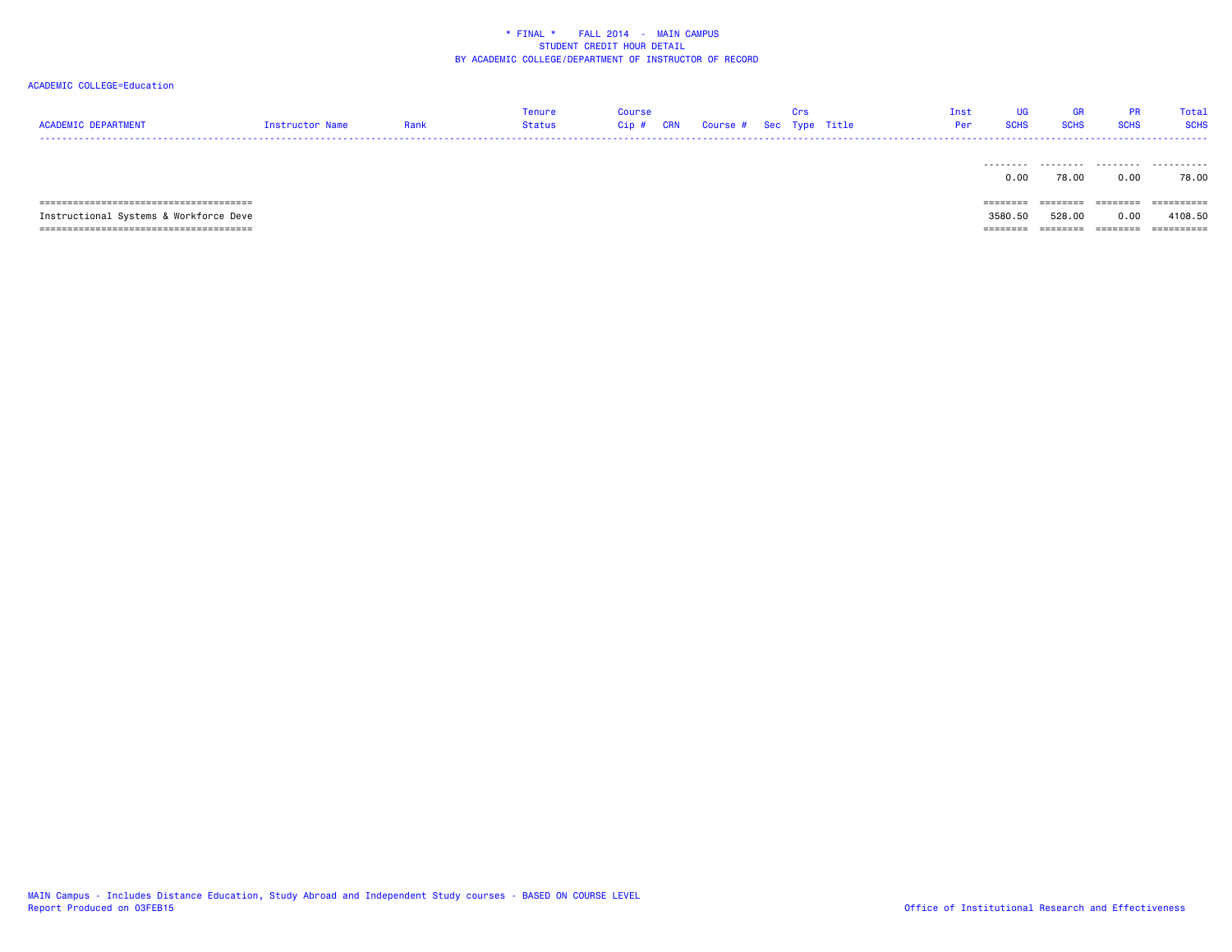### ACADEMIC COLLEGE=Education

| ACADEMIC DEPARTMENT | Instructor Name | Rank | Tenure<br>Status | Course<br>Cip # CRN Course # Sec Type Title |  | Tnst<br>Per | UG.<br><b>SCHS</b> | <b>GR</b><br><b>SCHS</b> | <b>SCHS</b> | Total<br><b>SCHS</b> |
|---------------------|-----------------|------|------------------|---------------------------------------------|--|-------------|--------------------|--------------------------|-------------|----------------------|
|                     |                 |      |                  |                                             |  |             |                    |                          |             |                      |

|                                        | 0.00      | 78.00    | 0.00                 | 78.00            |
|----------------------------------------|-----------|----------|----------------------|------------------|
|                                        | --------- | ________ | ---------            | <b>EEEEEEEEE</b> |
|                                        | --------  |          | -------              |                  |
| Instructional Systems & Workforce Deve | 3580.50   | 528,00   | 0.00                 | 4108.50          |
| ---------------------------------      | ________  | ________ | ---------<br>_______ | ==========       |

MAIN Campus - Includes Distance Education, Study Abroad and Independent Study courses - BASED ON COURSE LEVEL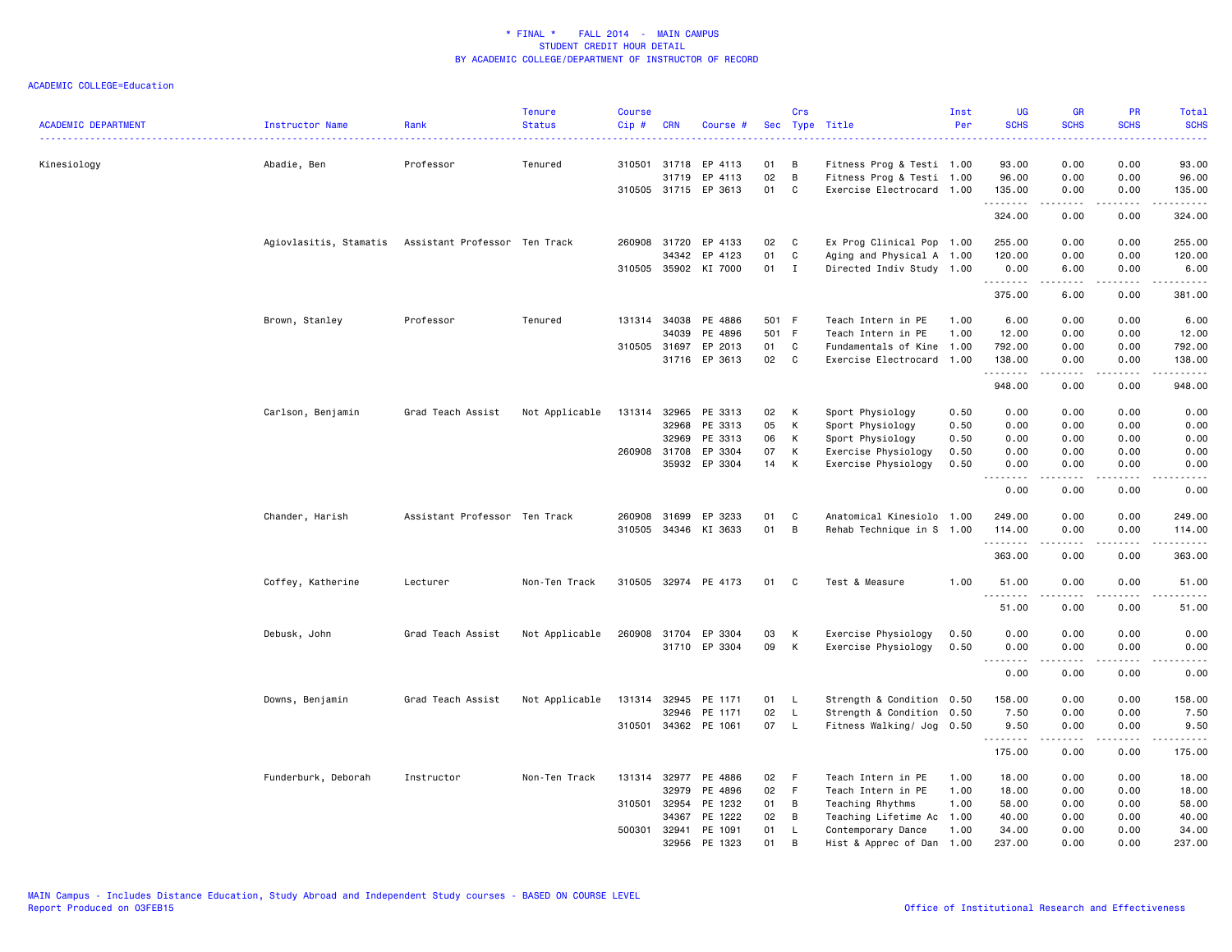| 0.00<br>Kinesiology<br>Abadie, Ben<br>Professor<br>Tenured<br>310501 31718<br>EP 4113<br>01<br>В<br>Fitness Prog & Testi 1.00<br>93.00<br>0.00<br>93.00<br>02<br>B<br>0.00<br>0.00<br>96.00<br>31719<br>EP 4113<br>Fitness Prog & Testi 1.00<br>96.00<br>310505 31715 EP 3613<br>01<br>C<br>0.00<br>135.00<br>Exercise Electrocard 1.00<br>135.00<br>0.00<br>.<br>.<br>$\frac{1}{2}$<br>$\sim$ $\sim$ $\sim$<br>324.00<br>0.00<br>0.00<br>324.00<br>260908 31720<br>EP 4133<br>C<br>Ex Prog Clinical Pop 1.00<br>0.00<br>0.00<br>255.00<br>Agiovlasitis, Stamatis Assistant Professor Ten Track<br>02<br>255.00<br>34342<br>EP 4123<br>01<br>C<br>Aging and Physical A 1.00<br>120.00<br>0.00<br>0.00<br>120.00<br>310505 35902 KI 7000<br>01<br>I<br>Directed Indiv Study 1.00<br>0.00<br>6.00<br>0.00<br>6.00<br>.<br>$- - - - -$<br>د د د د<br>.<br>375.00<br>6.00<br>0.00<br>381.00<br>Brown, Stanley<br>131314 34038<br>PE 4886<br>501 F<br>Teach Intern in PE<br>6.00<br>0.00<br>0.00<br>6.00<br>Professor<br>Tenured<br>1.00<br>PE 4896<br>501 F<br>Teach Intern in PE<br>1.00<br>12.00<br>0.00<br>0.00<br>12.00<br>34039<br>C<br>310505 31697<br>EP 2013<br>01<br>Fundamentals of Kine 1.00<br>792.00<br>0.00<br>0.00<br>792.00<br>EP 3613<br>02<br>C<br>31716<br>Exercise Electrocard 1.00<br>138.00<br>0.00<br>0.00<br>138.00<br>.<br>$\sim$ $\sim$ $\sim$ $\sim$<br>.<br>948.00<br>0.00<br>0.00<br>948.00<br>0.00<br>Grad Teach Assist<br>Not Applicable<br>131314<br>32965<br>PE 3313<br>02<br>Κ<br>Sport Physiology<br>0.50<br>0.00<br>0.00<br>0.00<br>Carlson, Benjamin<br>05<br>Κ<br>Sport Physiology<br>0.00<br>32968<br>PE 3313<br>0.50<br>0.00<br>0.00<br>0.00<br>32969<br>PE 3313<br>06<br>К<br>Sport Physiology<br>0.50<br>0.00<br>0.00<br>0.00<br>0.00<br>260908 31708<br>EP 3304<br>07<br>Exercise Physiology<br>0.00<br>0.00<br>0.00<br>Κ<br>0.50<br>0.00<br>EP 3304<br>К<br>35932<br>14<br>Exercise Physiology<br>0.50<br>0.00<br>0.00<br>0.00<br>0.00<br>$\sim$ $\sim$ $\sim$<br>.<br>.<br>$\sim$ $\sim$ $\sim$<br>.<br>0.00<br>0.00<br>0.00<br>0.00<br>Chander, Harish<br>Assistant Professor Ten Track<br>260908 31699<br>EP 3233<br>01<br>C<br>Anatomical Kinesiolo 1.00<br>249.00<br>0.00<br>0.00<br>249.00<br>01<br>В<br>310505 34346<br>KI 3633<br>Rehab Technique in S 1.00<br>114.00<br>0.00<br>0.00<br>114.00<br>.<br>.<br>$\sim$ $\sim$ $\sim$ $\sim$<br>363.00<br>0.00<br>0.00<br>363.00<br>310505 32974 PE 4173<br>Coffey, Katherine<br>Non-Ten Track<br>01<br>C<br>Test & Measure<br>1.00<br>51.00<br>0.00<br>0.00<br>51.00<br>Lecturer<br>.<br>.<br>.<br>51.00<br>0.00<br>0.00<br>51.00<br>Debusk, John<br>Grad Teach Assist<br>Not Applicable<br>260908 31704<br>EP 3304<br>03<br>К<br>Exercise Physiology<br>0.50<br>0.00<br>0.00<br>0.00<br>0.00<br>31710 EP 3304<br>09<br>K<br>Exercise Physiology<br>0.50<br>0.00<br>0.00<br>0.00<br>0.00<br>.<br>$\begin{array}{cccccccccc} \bullet & \bullet & \bullet & \bullet & \bullet & \bullet \end{array}$<br>.<br>$\frac{1}{2} \left( \frac{1}{2} \right) \left( \frac{1}{2} \right) \left( \frac{1}{2} \right) \left( \frac{1}{2} \right) \left( \frac{1}{2} \right)$<br>0.00<br>0.00<br>0.00<br>0.00<br>Downs, Benjamin<br>Grad Teach Assist<br>Not Applicable<br>PE 1171<br>Strength & Condition 0.50<br>0.00<br>158.00<br>131314<br>32945<br>01<br>L<br>158.00<br>0.00<br>02<br>0.00<br>7.50<br>32946<br>PE 1171<br>L<br>Strength & Condition 0.50<br>7.50<br>0.00<br>310501 34362 PE 1061<br>07<br>L.<br>Fitness Walking/ Jog 0.50<br>9.50<br>0.00<br>0.00<br>9.50<br><u>.</u><br>$\frac{1}{2} \left( \frac{1}{2} \right) \left( \frac{1}{2} \right) \left( \frac{1}{2} \right) \left( \frac{1}{2} \right) \left( \frac{1}{2} \right)$<br>.<br>.<br>175.00<br>0.00<br>175.00<br>0.00<br>Funderburk, Deborah<br>Instructor<br>Non-Ten Track<br>131314<br>PE 4886<br>02<br>Teach Intern in PE<br>18.00<br>0.00<br>0.00<br>32977<br>-F<br>1.00<br>18.00<br>32979<br>PE 4896<br>02<br>F.<br>18.00<br>0.00<br>Teach Intern in PE<br>1.00<br>0.00<br>18.00<br>310501<br>32954<br>PE 1232<br>В<br>1.00<br>58.00<br>0.00<br>0.00<br>58.00<br>01<br>Teaching Rhythms<br>34367<br>PE 1222<br>02<br>В<br>40.00<br>0.00<br>0.00<br>40.00<br>Teaching Lifetime Ac 1.00<br>500301<br>32941<br>PE 1091<br>01<br>Contemporary Dance<br>34.00<br>0.00<br>0.00<br>34.00<br>L<br>1.00<br>01<br>32956<br>PE 1323<br>B<br>Hist & Apprec of Dan 1.00<br>237.00<br>0.00<br>0.00<br>237.00 | <b>ACADEMIC DEPARTMENT</b> | Instructor Name | Rank | <b>Tenure</b><br><b>Status</b> | <b>Course</b><br>$Cip$ # | <b>CRN</b> | Course # | Sec | Crs | Type Title | Inst<br>Per | <b>UG</b><br><b>SCHS</b> | <b>GR</b><br><b>SCHS</b> | PR<br><b>SCHS</b> | Total<br><b>SCHS</b><br><u>.</u> |
|---------------------------------------------------------------------------------------------------------------------------------------------------------------------------------------------------------------------------------------------------------------------------------------------------------------------------------------------------------------------------------------------------------------------------------------------------------------------------------------------------------------------------------------------------------------------------------------------------------------------------------------------------------------------------------------------------------------------------------------------------------------------------------------------------------------------------------------------------------------------------------------------------------------------------------------------------------------------------------------------------------------------------------------------------------------------------------------------------------------------------------------------------------------------------------------------------------------------------------------------------------------------------------------------------------------------------------------------------------------------------------------------------------------------------------------------------------------------------------------------------------------------------------------------------------------------------------------------------------------------------------------------------------------------------------------------------------------------------------------------------------------------------------------------------------------------------------------------------------------------------------------------------------------------------------------------------------------------------------------------------------------------------------------------------------------------------------------------------------------------------------------------------------------------------------------------------------------------------------------------------------------------------------------------------------------------------------------------------------------------------------------------------------------------------------------------------------------------------------------------------------------------------------------------------------------------------------------------------------------------------------------------------------------------------------------------------------------------------------------------------------------------------------------------------------------------------------------------------------------------------------------------------------------------------------------------------------------------------------------------------------------------------------------------------------------------------------------------------------------------------------------------------------------------------------------------------------------------------------------------------------------------------------------------------------------------------------------------------------------------------------------------------------------------------------------------------------------------------------------------------------------------------------------------------------------------------------------------------------------------------------------------------------------------------------------------------------------------------------------------------------------------------------------------------------------------------------------------------------------------------------------------------------------------------------------------------------------------------------------------------------------------------------------------------------------------------------------------------------------------------------------------------------------------------------------------------------------------------------------------------------------------------------------------------------------------------------------------------------------------------------------------------------------------------------------------------------------|----------------------------|-----------------|------|--------------------------------|--------------------------|------------|----------|-----|-----|------------|-------------|--------------------------|--------------------------|-------------------|----------------------------------|
|                                                                                                                                                                                                                                                                                                                                                                                                                                                                                                                                                                                                                                                                                                                                                                                                                                                                                                                                                                                                                                                                                                                                                                                                                                                                                                                                                                                                                                                                                                                                                                                                                                                                                                                                                                                                                                                                                                                                                                                                                                                                                                                                                                                                                                                                                                                                                                                                                                                                                                                                                                                                                                                                                                                                                                                                                                                                                                                                                                                                                                                                                                                                                                                                                                                                                                                                                                                                                                                                                                                                                                                                                                                                                                                                                                                                                                                                                                                                                                                                                                                                                                                                                                                                                                                                                                                                                                                                                                                               |                            |                 |      |                                |                          |            |          |     |     |            |             |                          |                          |                   |                                  |
|                                                                                                                                                                                                                                                                                                                                                                                                                                                                                                                                                                                                                                                                                                                                                                                                                                                                                                                                                                                                                                                                                                                                                                                                                                                                                                                                                                                                                                                                                                                                                                                                                                                                                                                                                                                                                                                                                                                                                                                                                                                                                                                                                                                                                                                                                                                                                                                                                                                                                                                                                                                                                                                                                                                                                                                                                                                                                                                                                                                                                                                                                                                                                                                                                                                                                                                                                                                                                                                                                                                                                                                                                                                                                                                                                                                                                                                                                                                                                                                                                                                                                                                                                                                                                                                                                                                                                                                                                                                               |                            |                 |      |                                |                          |            |          |     |     |            |             |                          |                          |                   |                                  |
|                                                                                                                                                                                                                                                                                                                                                                                                                                                                                                                                                                                                                                                                                                                                                                                                                                                                                                                                                                                                                                                                                                                                                                                                                                                                                                                                                                                                                                                                                                                                                                                                                                                                                                                                                                                                                                                                                                                                                                                                                                                                                                                                                                                                                                                                                                                                                                                                                                                                                                                                                                                                                                                                                                                                                                                                                                                                                                                                                                                                                                                                                                                                                                                                                                                                                                                                                                                                                                                                                                                                                                                                                                                                                                                                                                                                                                                                                                                                                                                                                                                                                                                                                                                                                                                                                                                                                                                                                                                               |                            |                 |      |                                |                          |            |          |     |     |            |             |                          |                          |                   |                                  |
|                                                                                                                                                                                                                                                                                                                                                                                                                                                                                                                                                                                                                                                                                                                                                                                                                                                                                                                                                                                                                                                                                                                                                                                                                                                                                                                                                                                                                                                                                                                                                                                                                                                                                                                                                                                                                                                                                                                                                                                                                                                                                                                                                                                                                                                                                                                                                                                                                                                                                                                                                                                                                                                                                                                                                                                                                                                                                                                                                                                                                                                                                                                                                                                                                                                                                                                                                                                                                                                                                                                                                                                                                                                                                                                                                                                                                                                                                                                                                                                                                                                                                                                                                                                                                                                                                                                                                                                                                                                               |                            |                 |      |                                |                          |            |          |     |     |            |             |                          |                          |                   |                                  |
|                                                                                                                                                                                                                                                                                                                                                                                                                                                                                                                                                                                                                                                                                                                                                                                                                                                                                                                                                                                                                                                                                                                                                                                                                                                                                                                                                                                                                                                                                                                                                                                                                                                                                                                                                                                                                                                                                                                                                                                                                                                                                                                                                                                                                                                                                                                                                                                                                                                                                                                                                                                                                                                                                                                                                                                                                                                                                                                                                                                                                                                                                                                                                                                                                                                                                                                                                                                                                                                                                                                                                                                                                                                                                                                                                                                                                                                                                                                                                                                                                                                                                                                                                                                                                                                                                                                                                                                                                                                               |                            |                 |      |                                |                          |            |          |     |     |            |             |                          |                          |                   |                                  |
|                                                                                                                                                                                                                                                                                                                                                                                                                                                                                                                                                                                                                                                                                                                                                                                                                                                                                                                                                                                                                                                                                                                                                                                                                                                                                                                                                                                                                                                                                                                                                                                                                                                                                                                                                                                                                                                                                                                                                                                                                                                                                                                                                                                                                                                                                                                                                                                                                                                                                                                                                                                                                                                                                                                                                                                                                                                                                                                                                                                                                                                                                                                                                                                                                                                                                                                                                                                                                                                                                                                                                                                                                                                                                                                                                                                                                                                                                                                                                                                                                                                                                                                                                                                                                                                                                                                                                                                                                                                               |                            |                 |      |                                |                          |            |          |     |     |            |             |                          |                          |                   |                                  |
|                                                                                                                                                                                                                                                                                                                                                                                                                                                                                                                                                                                                                                                                                                                                                                                                                                                                                                                                                                                                                                                                                                                                                                                                                                                                                                                                                                                                                                                                                                                                                                                                                                                                                                                                                                                                                                                                                                                                                                                                                                                                                                                                                                                                                                                                                                                                                                                                                                                                                                                                                                                                                                                                                                                                                                                                                                                                                                                                                                                                                                                                                                                                                                                                                                                                                                                                                                                                                                                                                                                                                                                                                                                                                                                                                                                                                                                                                                                                                                                                                                                                                                                                                                                                                                                                                                                                                                                                                                                               |                            |                 |      |                                |                          |            |          |     |     |            |             |                          |                          |                   |                                  |
|                                                                                                                                                                                                                                                                                                                                                                                                                                                                                                                                                                                                                                                                                                                                                                                                                                                                                                                                                                                                                                                                                                                                                                                                                                                                                                                                                                                                                                                                                                                                                                                                                                                                                                                                                                                                                                                                                                                                                                                                                                                                                                                                                                                                                                                                                                                                                                                                                                                                                                                                                                                                                                                                                                                                                                                                                                                                                                                                                                                                                                                                                                                                                                                                                                                                                                                                                                                                                                                                                                                                                                                                                                                                                                                                                                                                                                                                                                                                                                                                                                                                                                                                                                                                                                                                                                                                                                                                                                                               |                            |                 |      |                                |                          |            |          |     |     |            |             |                          |                          |                   |                                  |
|                                                                                                                                                                                                                                                                                                                                                                                                                                                                                                                                                                                                                                                                                                                                                                                                                                                                                                                                                                                                                                                                                                                                                                                                                                                                                                                                                                                                                                                                                                                                                                                                                                                                                                                                                                                                                                                                                                                                                                                                                                                                                                                                                                                                                                                                                                                                                                                                                                                                                                                                                                                                                                                                                                                                                                                                                                                                                                                                                                                                                                                                                                                                                                                                                                                                                                                                                                                                                                                                                                                                                                                                                                                                                                                                                                                                                                                                                                                                                                                                                                                                                                                                                                                                                                                                                                                                                                                                                                                               |                            |                 |      |                                |                          |            |          |     |     |            |             |                          |                          |                   |                                  |
|                                                                                                                                                                                                                                                                                                                                                                                                                                                                                                                                                                                                                                                                                                                                                                                                                                                                                                                                                                                                                                                                                                                                                                                                                                                                                                                                                                                                                                                                                                                                                                                                                                                                                                                                                                                                                                                                                                                                                                                                                                                                                                                                                                                                                                                                                                                                                                                                                                                                                                                                                                                                                                                                                                                                                                                                                                                                                                                                                                                                                                                                                                                                                                                                                                                                                                                                                                                                                                                                                                                                                                                                                                                                                                                                                                                                                                                                                                                                                                                                                                                                                                                                                                                                                                                                                                                                                                                                                                                               |                            |                 |      |                                |                          |            |          |     |     |            |             |                          |                          |                   |                                  |
|                                                                                                                                                                                                                                                                                                                                                                                                                                                                                                                                                                                                                                                                                                                                                                                                                                                                                                                                                                                                                                                                                                                                                                                                                                                                                                                                                                                                                                                                                                                                                                                                                                                                                                                                                                                                                                                                                                                                                                                                                                                                                                                                                                                                                                                                                                                                                                                                                                                                                                                                                                                                                                                                                                                                                                                                                                                                                                                                                                                                                                                                                                                                                                                                                                                                                                                                                                                                                                                                                                                                                                                                                                                                                                                                                                                                                                                                                                                                                                                                                                                                                                                                                                                                                                                                                                                                                                                                                                                               |                            |                 |      |                                |                          |            |          |     |     |            |             |                          |                          |                   |                                  |
|                                                                                                                                                                                                                                                                                                                                                                                                                                                                                                                                                                                                                                                                                                                                                                                                                                                                                                                                                                                                                                                                                                                                                                                                                                                                                                                                                                                                                                                                                                                                                                                                                                                                                                                                                                                                                                                                                                                                                                                                                                                                                                                                                                                                                                                                                                                                                                                                                                                                                                                                                                                                                                                                                                                                                                                                                                                                                                                                                                                                                                                                                                                                                                                                                                                                                                                                                                                                                                                                                                                                                                                                                                                                                                                                                                                                                                                                                                                                                                                                                                                                                                                                                                                                                                                                                                                                                                                                                                                               |                            |                 |      |                                |                          |            |          |     |     |            |             |                          |                          |                   |                                  |
|                                                                                                                                                                                                                                                                                                                                                                                                                                                                                                                                                                                                                                                                                                                                                                                                                                                                                                                                                                                                                                                                                                                                                                                                                                                                                                                                                                                                                                                                                                                                                                                                                                                                                                                                                                                                                                                                                                                                                                                                                                                                                                                                                                                                                                                                                                                                                                                                                                                                                                                                                                                                                                                                                                                                                                                                                                                                                                                                                                                                                                                                                                                                                                                                                                                                                                                                                                                                                                                                                                                                                                                                                                                                                                                                                                                                                                                                                                                                                                                                                                                                                                                                                                                                                                                                                                                                                                                                                                                               |                            |                 |      |                                |                          |            |          |     |     |            |             |                          |                          |                   |                                  |
|                                                                                                                                                                                                                                                                                                                                                                                                                                                                                                                                                                                                                                                                                                                                                                                                                                                                                                                                                                                                                                                                                                                                                                                                                                                                                                                                                                                                                                                                                                                                                                                                                                                                                                                                                                                                                                                                                                                                                                                                                                                                                                                                                                                                                                                                                                                                                                                                                                                                                                                                                                                                                                                                                                                                                                                                                                                                                                                                                                                                                                                                                                                                                                                                                                                                                                                                                                                                                                                                                                                                                                                                                                                                                                                                                                                                                                                                                                                                                                                                                                                                                                                                                                                                                                                                                                                                                                                                                                                               |                            |                 |      |                                |                          |            |          |     |     |            |             |                          |                          |                   |                                  |
|                                                                                                                                                                                                                                                                                                                                                                                                                                                                                                                                                                                                                                                                                                                                                                                                                                                                                                                                                                                                                                                                                                                                                                                                                                                                                                                                                                                                                                                                                                                                                                                                                                                                                                                                                                                                                                                                                                                                                                                                                                                                                                                                                                                                                                                                                                                                                                                                                                                                                                                                                                                                                                                                                                                                                                                                                                                                                                                                                                                                                                                                                                                                                                                                                                                                                                                                                                                                                                                                                                                                                                                                                                                                                                                                                                                                                                                                                                                                                                                                                                                                                                                                                                                                                                                                                                                                                                                                                                                               |                            |                 |      |                                |                          |            |          |     |     |            |             |                          |                          |                   |                                  |
|                                                                                                                                                                                                                                                                                                                                                                                                                                                                                                                                                                                                                                                                                                                                                                                                                                                                                                                                                                                                                                                                                                                                                                                                                                                                                                                                                                                                                                                                                                                                                                                                                                                                                                                                                                                                                                                                                                                                                                                                                                                                                                                                                                                                                                                                                                                                                                                                                                                                                                                                                                                                                                                                                                                                                                                                                                                                                                                                                                                                                                                                                                                                                                                                                                                                                                                                                                                                                                                                                                                                                                                                                                                                                                                                                                                                                                                                                                                                                                                                                                                                                                                                                                                                                                                                                                                                                                                                                                                               |                            |                 |      |                                |                          |            |          |     |     |            |             |                          |                          |                   |                                  |
|                                                                                                                                                                                                                                                                                                                                                                                                                                                                                                                                                                                                                                                                                                                                                                                                                                                                                                                                                                                                                                                                                                                                                                                                                                                                                                                                                                                                                                                                                                                                                                                                                                                                                                                                                                                                                                                                                                                                                                                                                                                                                                                                                                                                                                                                                                                                                                                                                                                                                                                                                                                                                                                                                                                                                                                                                                                                                                                                                                                                                                                                                                                                                                                                                                                                                                                                                                                                                                                                                                                                                                                                                                                                                                                                                                                                                                                                                                                                                                                                                                                                                                                                                                                                                                                                                                                                                                                                                                                               |                            |                 |      |                                |                          |            |          |     |     |            |             |                          |                          |                   |                                  |
|                                                                                                                                                                                                                                                                                                                                                                                                                                                                                                                                                                                                                                                                                                                                                                                                                                                                                                                                                                                                                                                                                                                                                                                                                                                                                                                                                                                                                                                                                                                                                                                                                                                                                                                                                                                                                                                                                                                                                                                                                                                                                                                                                                                                                                                                                                                                                                                                                                                                                                                                                                                                                                                                                                                                                                                                                                                                                                                                                                                                                                                                                                                                                                                                                                                                                                                                                                                                                                                                                                                                                                                                                                                                                                                                                                                                                                                                                                                                                                                                                                                                                                                                                                                                                                                                                                                                                                                                                                                               |                            |                 |      |                                |                          |            |          |     |     |            |             |                          |                          |                   |                                  |
|                                                                                                                                                                                                                                                                                                                                                                                                                                                                                                                                                                                                                                                                                                                                                                                                                                                                                                                                                                                                                                                                                                                                                                                                                                                                                                                                                                                                                                                                                                                                                                                                                                                                                                                                                                                                                                                                                                                                                                                                                                                                                                                                                                                                                                                                                                                                                                                                                                                                                                                                                                                                                                                                                                                                                                                                                                                                                                                                                                                                                                                                                                                                                                                                                                                                                                                                                                                                                                                                                                                                                                                                                                                                                                                                                                                                                                                                                                                                                                                                                                                                                                                                                                                                                                                                                                                                                                                                                                                               |                            |                 |      |                                |                          |            |          |     |     |            |             |                          |                          |                   |                                  |
|                                                                                                                                                                                                                                                                                                                                                                                                                                                                                                                                                                                                                                                                                                                                                                                                                                                                                                                                                                                                                                                                                                                                                                                                                                                                                                                                                                                                                                                                                                                                                                                                                                                                                                                                                                                                                                                                                                                                                                                                                                                                                                                                                                                                                                                                                                                                                                                                                                                                                                                                                                                                                                                                                                                                                                                                                                                                                                                                                                                                                                                                                                                                                                                                                                                                                                                                                                                                                                                                                                                                                                                                                                                                                                                                                                                                                                                                                                                                                                                                                                                                                                                                                                                                                                                                                                                                                                                                                                                               |                            |                 |      |                                |                          |            |          |     |     |            |             |                          |                          |                   |                                  |
|                                                                                                                                                                                                                                                                                                                                                                                                                                                                                                                                                                                                                                                                                                                                                                                                                                                                                                                                                                                                                                                                                                                                                                                                                                                                                                                                                                                                                                                                                                                                                                                                                                                                                                                                                                                                                                                                                                                                                                                                                                                                                                                                                                                                                                                                                                                                                                                                                                                                                                                                                                                                                                                                                                                                                                                                                                                                                                                                                                                                                                                                                                                                                                                                                                                                                                                                                                                                                                                                                                                                                                                                                                                                                                                                                                                                                                                                                                                                                                                                                                                                                                                                                                                                                                                                                                                                                                                                                                                               |                            |                 |      |                                |                          |            |          |     |     |            |             |                          |                          |                   |                                  |
|                                                                                                                                                                                                                                                                                                                                                                                                                                                                                                                                                                                                                                                                                                                                                                                                                                                                                                                                                                                                                                                                                                                                                                                                                                                                                                                                                                                                                                                                                                                                                                                                                                                                                                                                                                                                                                                                                                                                                                                                                                                                                                                                                                                                                                                                                                                                                                                                                                                                                                                                                                                                                                                                                                                                                                                                                                                                                                                                                                                                                                                                                                                                                                                                                                                                                                                                                                                                                                                                                                                                                                                                                                                                                                                                                                                                                                                                                                                                                                                                                                                                                                                                                                                                                                                                                                                                                                                                                                                               |                            |                 |      |                                |                          |            |          |     |     |            |             |                          |                          |                   |                                  |
|                                                                                                                                                                                                                                                                                                                                                                                                                                                                                                                                                                                                                                                                                                                                                                                                                                                                                                                                                                                                                                                                                                                                                                                                                                                                                                                                                                                                                                                                                                                                                                                                                                                                                                                                                                                                                                                                                                                                                                                                                                                                                                                                                                                                                                                                                                                                                                                                                                                                                                                                                                                                                                                                                                                                                                                                                                                                                                                                                                                                                                                                                                                                                                                                                                                                                                                                                                                                                                                                                                                                                                                                                                                                                                                                                                                                                                                                                                                                                                                                                                                                                                                                                                                                                                                                                                                                                                                                                                                               |                            |                 |      |                                |                          |            |          |     |     |            |             |                          |                          |                   |                                  |
|                                                                                                                                                                                                                                                                                                                                                                                                                                                                                                                                                                                                                                                                                                                                                                                                                                                                                                                                                                                                                                                                                                                                                                                                                                                                                                                                                                                                                                                                                                                                                                                                                                                                                                                                                                                                                                                                                                                                                                                                                                                                                                                                                                                                                                                                                                                                                                                                                                                                                                                                                                                                                                                                                                                                                                                                                                                                                                                                                                                                                                                                                                                                                                                                                                                                                                                                                                                                                                                                                                                                                                                                                                                                                                                                                                                                                                                                                                                                                                                                                                                                                                                                                                                                                                                                                                                                                                                                                                                               |                            |                 |      |                                |                          |            |          |     |     |            |             |                          |                          |                   |                                  |
|                                                                                                                                                                                                                                                                                                                                                                                                                                                                                                                                                                                                                                                                                                                                                                                                                                                                                                                                                                                                                                                                                                                                                                                                                                                                                                                                                                                                                                                                                                                                                                                                                                                                                                                                                                                                                                                                                                                                                                                                                                                                                                                                                                                                                                                                                                                                                                                                                                                                                                                                                                                                                                                                                                                                                                                                                                                                                                                                                                                                                                                                                                                                                                                                                                                                                                                                                                                                                                                                                                                                                                                                                                                                                                                                                                                                                                                                                                                                                                                                                                                                                                                                                                                                                                                                                                                                                                                                                                                               |                            |                 |      |                                |                          |            |          |     |     |            |             |                          |                          |                   |                                  |
|                                                                                                                                                                                                                                                                                                                                                                                                                                                                                                                                                                                                                                                                                                                                                                                                                                                                                                                                                                                                                                                                                                                                                                                                                                                                                                                                                                                                                                                                                                                                                                                                                                                                                                                                                                                                                                                                                                                                                                                                                                                                                                                                                                                                                                                                                                                                                                                                                                                                                                                                                                                                                                                                                                                                                                                                                                                                                                                                                                                                                                                                                                                                                                                                                                                                                                                                                                                                                                                                                                                                                                                                                                                                                                                                                                                                                                                                                                                                                                                                                                                                                                                                                                                                                                                                                                                                                                                                                                                               |                            |                 |      |                                |                          |            |          |     |     |            |             |                          |                          |                   |                                  |
|                                                                                                                                                                                                                                                                                                                                                                                                                                                                                                                                                                                                                                                                                                                                                                                                                                                                                                                                                                                                                                                                                                                                                                                                                                                                                                                                                                                                                                                                                                                                                                                                                                                                                                                                                                                                                                                                                                                                                                                                                                                                                                                                                                                                                                                                                                                                                                                                                                                                                                                                                                                                                                                                                                                                                                                                                                                                                                                                                                                                                                                                                                                                                                                                                                                                                                                                                                                                                                                                                                                                                                                                                                                                                                                                                                                                                                                                                                                                                                                                                                                                                                                                                                                                                                                                                                                                                                                                                                                               |                            |                 |      |                                |                          |            |          |     |     |            |             |                          |                          |                   |                                  |
|                                                                                                                                                                                                                                                                                                                                                                                                                                                                                                                                                                                                                                                                                                                                                                                                                                                                                                                                                                                                                                                                                                                                                                                                                                                                                                                                                                                                                                                                                                                                                                                                                                                                                                                                                                                                                                                                                                                                                                                                                                                                                                                                                                                                                                                                                                                                                                                                                                                                                                                                                                                                                                                                                                                                                                                                                                                                                                                                                                                                                                                                                                                                                                                                                                                                                                                                                                                                                                                                                                                                                                                                                                                                                                                                                                                                                                                                                                                                                                                                                                                                                                                                                                                                                                                                                                                                                                                                                                                               |                            |                 |      |                                |                          |            |          |     |     |            |             |                          |                          |                   |                                  |
|                                                                                                                                                                                                                                                                                                                                                                                                                                                                                                                                                                                                                                                                                                                                                                                                                                                                                                                                                                                                                                                                                                                                                                                                                                                                                                                                                                                                                                                                                                                                                                                                                                                                                                                                                                                                                                                                                                                                                                                                                                                                                                                                                                                                                                                                                                                                                                                                                                                                                                                                                                                                                                                                                                                                                                                                                                                                                                                                                                                                                                                                                                                                                                                                                                                                                                                                                                                                                                                                                                                                                                                                                                                                                                                                                                                                                                                                                                                                                                                                                                                                                                                                                                                                                                                                                                                                                                                                                                                               |                            |                 |      |                                |                          |            |          |     |     |            |             |                          |                          |                   |                                  |
|                                                                                                                                                                                                                                                                                                                                                                                                                                                                                                                                                                                                                                                                                                                                                                                                                                                                                                                                                                                                                                                                                                                                                                                                                                                                                                                                                                                                                                                                                                                                                                                                                                                                                                                                                                                                                                                                                                                                                                                                                                                                                                                                                                                                                                                                                                                                                                                                                                                                                                                                                                                                                                                                                                                                                                                                                                                                                                                                                                                                                                                                                                                                                                                                                                                                                                                                                                                                                                                                                                                                                                                                                                                                                                                                                                                                                                                                                                                                                                                                                                                                                                                                                                                                                                                                                                                                                                                                                                                               |                            |                 |      |                                |                          |            |          |     |     |            |             |                          |                          |                   |                                  |
|                                                                                                                                                                                                                                                                                                                                                                                                                                                                                                                                                                                                                                                                                                                                                                                                                                                                                                                                                                                                                                                                                                                                                                                                                                                                                                                                                                                                                                                                                                                                                                                                                                                                                                                                                                                                                                                                                                                                                                                                                                                                                                                                                                                                                                                                                                                                                                                                                                                                                                                                                                                                                                                                                                                                                                                                                                                                                                                                                                                                                                                                                                                                                                                                                                                                                                                                                                                                                                                                                                                                                                                                                                                                                                                                                                                                                                                                                                                                                                                                                                                                                                                                                                                                                                                                                                                                                                                                                                                               |                            |                 |      |                                |                          |            |          |     |     |            |             |                          |                          |                   |                                  |
|                                                                                                                                                                                                                                                                                                                                                                                                                                                                                                                                                                                                                                                                                                                                                                                                                                                                                                                                                                                                                                                                                                                                                                                                                                                                                                                                                                                                                                                                                                                                                                                                                                                                                                                                                                                                                                                                                                                                                                                                                                                                                                                                                                                                                                                                                                                                                                                                                                                                                                                                                                                                                                                                                                                                                                                                                                                                                                                                                                                                                                                                                                                                                                                                                                                                                                                                                                                                                                                                                                                                                                                                                                                                                                                                                                                                                                                                                                                                                                                                                                                                                                                                                                                                                                                                                                                                                                                                                                                               |                            |                 |      |                                |                          |            |          |     |     |            |             |                          |                          |                   |                                  |
|                                                                                                                                                                                                                                                                                                                                                                                                                                                                                                                                                                                                                                                                                                                                                                                                                                                                                                                                                                                                                                                                                                                                                                                                                                                                                                                                                                                                                                                                                                                                                                                                                                                                                                                                                                                                                                                                                                                                                                                                                                                                                                                                                                                                                                                                                                                                                                                                                                                                                                                                                                                                                                                                                                                                                                                                                                                                                                                                                                                                                                                                                                                                                                                                                                                                                                                                                                                                                                                                                                                                                                                                                                                                                                                                                                                                                                                                                                                                                                                                                                                                                                                                                                                                                                                                                                                                                                                                                                                               |                            |                 |      |                                |                          |            |          |     |     |            |             |                          |                          |                   |                                  |
|                                                                                                                                                                                                                                                                                                                                                                                                                                                                                                                                                                                                                                                                                                                                                                                                                                                                                                                                                                                                                                                                                                                                                                                                                                                                                                                                                                                                                                                                                                                                                                                                                                                                                                                                                                                                                                                                                                                                                                                                                                                                                                                                                                                                                                                                                                                                                                                                                                                                                                                                                                                                                                                                                                                                                                                                                                                                                                                                                                                                                                                                                                                                                                                                                                                                                                                                                                                                                                                                                                                                                                                                                                                                                                                                                                                                                                                                                                                                                                                                                                                                                                                                                                                                                                                                                                                                                                                                                                                               |                            |                 |      |                                |                          |            |          |     |     |            |             |                          |                          |                   |                                  |
|                                                                                                                                                                                                                                                                                                                                                                                                                                                                                                                                                                                                                                                                                                                                                                                                                                                                                                                                                                                                                                                                                                                                                                                                                                                                                                                                                                                                                                                                                                                                                                                                                                                                                                                                                                                                                                                                                                                                                                                                                                                                                                                                                                                                                                                                                                                                                                                                                                                                                                                                                                                                                                                                                                                                                                                                                                                                                                                                                                                                                                                                                                                                                                                                                                                                                                                                                                                                                                                                                                                                                                                                                                                                                                                                                                                                                                                                                                                                                                                                                                                                                                                                                                                                                                                                                                                                                                                                                                                               |                            |                 |      |                                |                          |            |          |     |     |            |             |                          |                          |                   |                                  |
|                                                                                                                                                                                                                                                                                                                                                                                                                                                                                                                                                                                                                                                                                                                                                                                                                                                                                                                                                                                                                                                                                                                                                                                                                                                                                                                                                                                                                                                                                                                                                                                                                                                                                                                                                                                                                                                                                                                                                                                                                                                                                                                                                                                                                                                                                                                                                                                                                                                                                                                                                                                                                                                                                                                                                                                                                                                                                                                                                                                                                                                                                                                                                                                                                                                                                                                                                                                                                                                                                                                                                                                                                                                                                                                                                                                                                                                                                                                                                                                                                                                                                                                                                                                                                                                                                                                                                                                                                                                               |                            |                 |      |                                |                          |            |          |     |     |            |             |                          |                          |                   |                                  |
|                                                                                                                                                                                                                                                                                                                                                                                                                                                                                                                                                                                                                                                                                                                                                                                                                                                                                                                                                                                                                                                                                                                                                                                                                                                                                                                                                                                                                                                                                                                                                                                                                                                                                                                                                                                                                                                                                                                                                                                                                                                                                                                                                                                                                                                                                                                                                                                                                                                                                                                                                                                                                                                                                                                                                                                                                                                                                                                                                                                                                                                                                                                                                                                                                                                                                                                                                                                                                                                                                                                                                                                                                                                                                                                                                                                                                                                                                                                                                                                                                                                                                                                                                                                                                                                                                                                                                                                                                                                               |                            |                 |      |                                |                          |            |          |     |     |            |             |                          |                          |                   |                                  |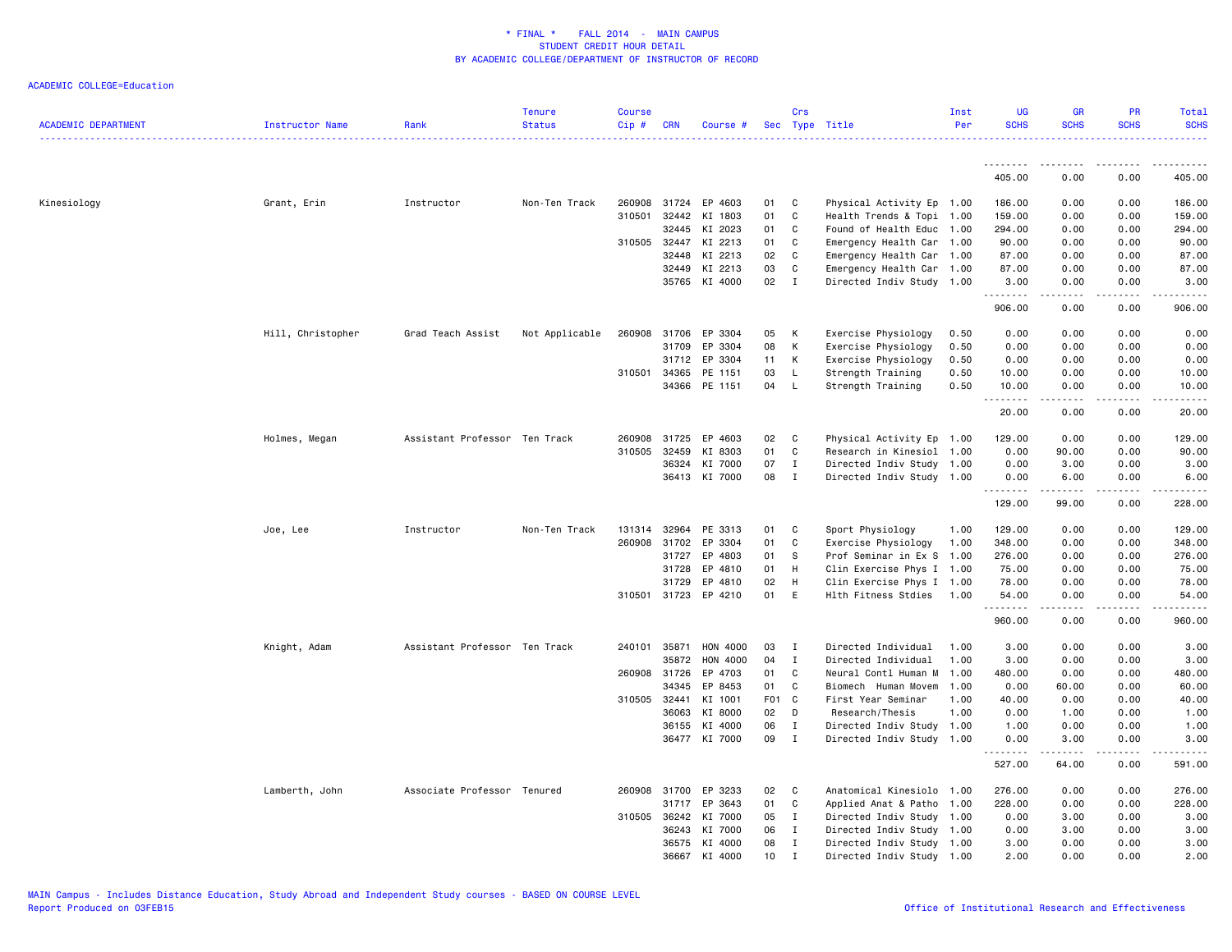| <b>ACADEMIC DEPARTMENT</b> | Instructor Name   | Rank                          | <b>Tenure</b><br><b>Status</b> | Course<br>Cip# | <b>CRN</b>   | Course #             |                 | Crs          | Sec Type Title            | Inst<br>Per | <b>UG</b><br><b>SCHS</b> | <b>GR</b><br><b>SCHS</b> | <b>PR</b><br><b>SCHS</b> | Total<br><b>SCHS</b> |
|----------------------------|-------------------|-------------------------------|--------------------------------|----------------|--------------|----------------------|-----------------|--------------|---------------------------|-------------|--------------------------|--------------------------|--------------------------|----------------------|
|                            |                   |                               |                                |                |              |                      |                 |              |                           |             |                          |                          |                          | <u>.</u>             |
|                            |                   |                               |                                |                |              |                      |                 |              |                           |             | <u>.</u><br>405.00       | .<br>0.00                | <u>.</u><br>0.00         | .<br>405.00          |
| Kinesiology                | Grant, Erin       | Instructor                    | Non-Ten Track                  |                |              | 260908 31724 EP 4603 | 01              | C            | Physical Activity Ep 1.00 |             | 186.00                   | 0.00                     | 0.00                     | 186.00               |
|                            |                   |                               |                                | 310501         | 32442        | KI 1803              | 01              | C            | Health Trends & Topi 1.00 |             | 159.00                   | 0.00                     | 0.00                     | 159.00               |
|                            |                   |                               |                                |                | 32445        | KI 2023              | 01              | C            | Found of Health Educ 1.00 |             | 294.00                   | 0.00                     | 0.00                     | 294.00               |
|                            |                   |                               |                                | 310505         | 32447        | KI 2213              | 01              | C            | Emergency Health Car 1.00 |             | 90.00                    | 0.00                     | 0.00                     | 90.00                |
|                            |                   |                               |                                |                | 32448        | KI 2213              | 02              | C            | Emergency Health Car 1.00 |             | 87.00                    | 0.00                     | 0.00                     | 87.00                |
|                            |                   |                               |                                |                | 32449        | KI 2213              | 03              | C            | Emergency Health Car 1.00 |             | 87.00                    | 0.00                     | 0.00                     | 87.00                |
|                            |                   |                               |                                |                | 35765        | KI 4000              | 02              | $\mathbf{I}$ | Directed Indiv Study 1.00 |             | 3.00<br>.                | 0.00<br>.                | 0.00<br>.                | 3.00<br>.            |
|                            |                   |                               |                                |                |              |                      |                 |              |                           |             | 906.00                   | 0.00                     | 0.00                     | 906.00               |
|                            | Hill, Christopher | Grad Teach Assist             | Not Applicable                 | 260908         | 31706        | EP 3304              | 05              | К            | Exercise Physiology       | 0.50        | 0.00                     | 0.00                     | 0.00                     | 0.00                 |
|                            |                   |                               |                                |                | 31709        | EP 3304              | 08              | К            | Exercise Physiology       | 0.50        | 0.00                     | 0.00                     | 0.00                     | 0.00                 |
|                            |                   |                               |                                |                | 31712        | EP 3304              | 11              | К            | Exercise Physiology       | 0.50        | 0.00                     | 0.00                     | 0.00                     | 0.00                 |
|                            |                   |                               |                                |                | 310501 34365 | PE 1151              | 03              | L.           | Strength Training         | 0.50        | 10.00                    | 0.00                     | 0.00                     | 10.00                |
|                            |                   |                               |                                |                |              | 34366 PE 1151        | 04              | L            | Strength Training         | 0.50        | 10.00                    | 0.00                     | 0.00                     | 10.00                |
|                            |                   |                               |                                |                |              |                      |                 |              |                           |             | 20.00                    | 0.00                     | 0.00                     | 20.00                |
|                            | Holmes, Megan     | Assistant Professor Ten Track |                                |                | 260908 31725 | EP 4603              | 02              | C            | Physical Activity Ep 1.00 |             | 129.00                   | 0.00                     | 0.00                     | 129.00               |
|                            |                   |                               |                                |                | 310505 32459 | KI 8303              | 01              | C            | Research in Kinesiol 1.00 |             | 0.00                     | 90.00                    | 0.00                     | 90.00                |
|                            |                   |                               |                                |                | 36324        | KI 7000              | 07              | Ι.           | Directed Indiv Study 1.00 |             | 0.00                     | 3.00                     | 0.00                     | 3.00                 |
|                            |                   |                               |                                |                |              | 36413 KI 7000        | 08              | $\mathbf{I}$ | Directed Indiv Study 1.00 |             | 0.00<br>. <b>.</b>       | 6.00                     | 0.00                     | 6.00<br>.            |
|                            |                   |                               |                                |                |              |                      |                 |              |                           |             | 129.00                   | 99.00                    | 0.00                     | 228.00               |
|                            | Joe, Lee          | Instructor                    | Non-Ten Track                  |                | 131314 32964 | PE 3313              | 01              | C            | Sport Physiology          | 1.00        | 129.00                   | 0.00                     | 0.00                     | 129.00               |
|                            |                   |                               |                                |                | 260908 31702 | EP 3304              | 01              | C            | Exercise Physiology       | 1.00        | 348.00                   | 0.00                     | 0.00                     | 348.00               |
|                            |                   |                               |                                |                | 31727        | EP 4803              | 01              | S            | Prof Seminar in Ex S 1.00 |             | 276.00                   | 0.00                     | 0.00                     | 276.00               |
|                            |                   |                               |                                |                | 31728        | EP 4810              | 01              | H            | Clin Exercise Phys I 1.00 |             | 75.00                    | 0.00                     | 0.00                     | 75.00                |
|                            |                   |                               |                                |                | 31729        | EP 4810              | 02              | H            | Clin Exercise Phys I 1.00 |             | 78.00                    | 0.00                     | 0.00                     | 78.00                |
|                            |                   |                               |                                |                |              | 310501 31723 EP 4210 | 01              | E            | Hlth Fitness Stdies       | 1.00        | 54.00<br>.               | 0.00<br>2.2.2.2.2        | 0.00<br>.                | 54.00<br>.           |
|                            |                   |                               |                                |                |              |                      |                 |              |                           |             | 960.00                   | 0.00                     | 0.00                     | 960.00               |
|                            | Knight, Adam      | Assistant Professor Ten Track |                                | 240101         | 35871        | HON 4000             | 03              | Ι            | Directed Individual       | 1.00        | 3.00                     | 0.00                     | 0.00                     | 3.00                 |
|                            |                   |                               |                                |                | 35872        | HON 4000             | 04              | I            | Directed Individual       | 1.00        | 3.00                     | 0.00                     | 0.00                     | 3.00                 |
|                            |                   |                               |                                |                | 260908 31726 | EP 4703              | 01              | C            | Neural Contl Human M      | 1.00        | 480.00                   | 0.00                     | 0.00                     | 480.00               |
|                            |                   |                               |                                |                | 34345        | EP 8453              | 01              | C            | Biomech Human Movem       | 1.00        | 0.00                     | 60.00                    | 0.00                     | 60.00                |
|                            |                   |                               |                                |                | 310505 32441 | KI 1001              | F <sub>01</sub> | $\mathbf{C}$ | First Year Seminar        | 1.00        | 40.00                    | 0.00                     | 0.00                     | 40.00                |
|                            |                   |                               |                                |                | 36063        | KI 8000              | 02              | D            | Research/Thesis           | 1.00        | 0.00                     | 1.00                     | 0.00                     | 1.00                 |
|                            |                   |                               |                                |                | 36155        | KI 4000              | 06              | $\;$ I       | Directed Indiv Study 1.00 |             | 1.00                     | 0.00                     | 0.00                     | 1.00                 |
|                            |                   |                               |                                |                |              | 36477 KI 7000        | 09              | $\mathbf I$  | Directed Indiv Study 1.00 |             | 0.00<br>.                | 3.00<br><u>.</u>         | 0.00<br>المستبدا         | 3.00<br>.            |
|                            |                   |                               |                                |                |              |                      |                 |              |                           |             | 527.00                   | 64.00                    | 0.00                     | 591.00               |
|                            | Lamberth, John    | Associate Professor Tenured   |                                |                | 260908 31700 | EP 3233              | 02              | C            | Anatomical Kinesiolo      | 1.00        | 276.00                   | 0.00                     | 0.00                     | 276.00               |
|                            |                   |                               |                                |                | 31717        | EP 3643              | 01              | C            | Applied Anat & Patho 1.00 |             | 228.00                   | 0.00                     | 0.00                     | 228.00               |
|                            |                   |                               |                                |                |              | 310505 36242 KI 7000 | 05              | I            | Directed Indiv Study 1.00 |             | 0.00                     | 3.00                     | 0.00                     | 3.00                 |
|                            |                   |                               |                                |                | 36243        | KI 7000              | 06              | I            | Directed Indiv Study 1.00 |             | 0.00                     | 3.00                     | 0.00                     | 3.00                 |
|                            |                   |                               |                                |                |              | 36575 KI 4000        | 08              | $\mathbf I$  | Directed Indiv Study 1.00 |             | 3.00                     | 0.00                     | 0.00                     | 3.00                 |
|                            |                   |                               |                                |                | 36667        | KI 4000              | 10 <sup>1</sup> | $\mathsf{T}$ | Directed Indiv Study 1.00 |             | 2.00                     | 0.00                     | 0.00                     | 2.00                 |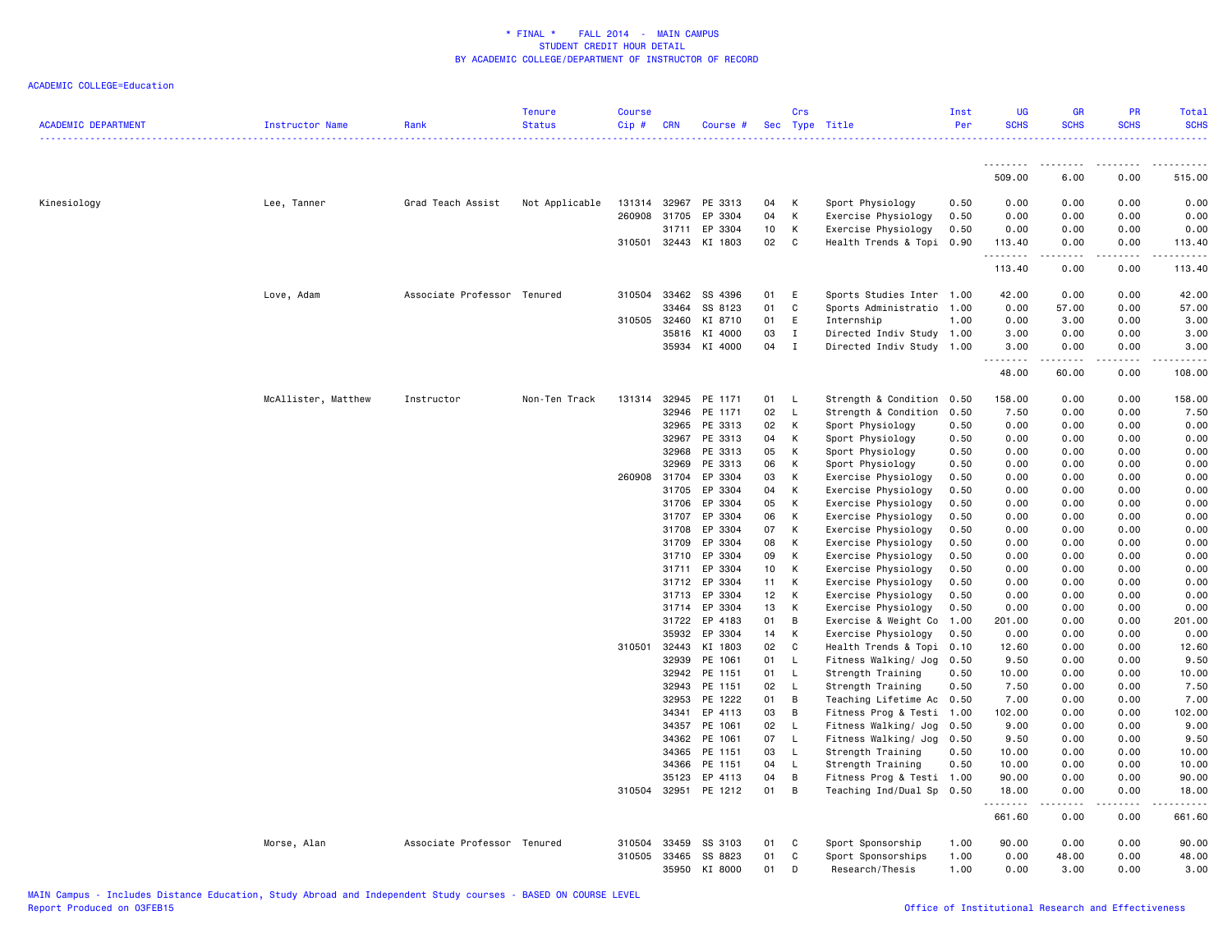| <b>ACADEMIC DEPARTMENT</b> | Instructor Name     | Rank                        | <b>Tenure</b><br><b>Status</b> | <b>Course</b><br>Cip # | <b>CRN</b>            | Course #           |          | Crs          | Sec Type Title                                         | Inst<br>Per | <b>UG</b><br><b>SCHS</b> | <b>GR</b><br><b>SCHS</b>        | <b>PR</b><br><b>SCHS</b> | Total<br><b>SCHS</b> |
|----------------------------|---------------------|-----------------------------|--------------------------------|------------------------|-----------------------|--------------------|----------|--------------|--------------------------------------------------------|-------------|--------------------------|---------------------------------|--------------------------|----------------------|
|                            |                     |                             |                                |                        |                       |                    |          |              |                                                        |             | .                        | د د د د                         |                          |                      |
|                            |                     |                             |                                |                        |                       |                    |          |              |                                                        |             | 509.00                   | 6.00                            | 0.00                     | 515.00               |
| Kinesiology                | Lee, Tanner         | Grad Teach Assist           | Not Applicable                 | 131314                 | 32967                 | PE 3313            | 04       | Κ            | Sport Physiology                                       | 0.50        | 0.00                     | 0.00                            | 0.00                     | 0.00                 |
|                            |                     |                             |                                | 260908                 | 31705                 | EP 3304            | 04       | К            | Exercise Physiology                                    | 0.50        | 0.00                     | 0.00                            | 0.00                     | 0.00                 |
|                            |                     |                             |                                |                        | 31711                 | EP 3304            | 10       | Κ            | Exercise Physiology                                    | 0.50        | 0.00                     | 0.00                            | 0.00                     | 0.00                 |
|                            |                     |                             |                                |                        | 310501 32443          | KI 1803            | 02       | $\mathtt{C}$ | Health Trends & Topi                                   | 0.90        | 113.40<br>.              | 0.00<br>د د د د                 | 0.00<br><u>.</u>         | 113.40<br>. <b>.</b> |
|                            |                     |                             |                                |                        |                       |                    |          |              |                                                        |             | 113.40                   | 0.00                            | 0.00                     | 113.40               |
|                            | Love, Adam          | Associate Professor Tenured |                                |                        | 310504 33462          | SS 4396            | 01       | E            | Sports Studies Inter                                   | 1.00        | 42.00                    | 0.00                            | 0.00                     | 42.00                |
|                            |                     |                             |                                |                        | 33464                 | SS 8123            | 01       | C            | Sports Administratio                                   | 1.00        | 0.00                     | 57.00                           | 0.00                     | 57.00                |
|                            |                     |                             |                                | 310505                 | 32460                 | KI 8710            | 01       | E            | Internship                                             | 1.00        | 0.00                     | 3.00                            | 0.00                     | 3.00                 |
|                            |                     |                             |                                |                        | 35816                 | KI 4000            | 03       | $\mathbf{I}$ | Directed Indiv Study 1.00                              |             | 3.00                     | 0.00                            | 0.00                     | 3.00                 |
|                            |                     |                             |                                |                        | 35934                 | KI 4000            | 04       | $\mathbf{I}$ | Directed Indiv Study                                   | 1.00        | 3.00<br>.                | 0.00<br>.                       | 0.00<br>.                | 3.00<br>.            |
|                            |                     |                             |                                |                        |                       |                    |          |              |                                                        |             | 48.00                    | 60.00                           | 0.00                     | 108.00               |
|                            | McAllister, Matthew | Instructor                  | Non-Ten Track                  | 131314                 | 32945                 | PE 1171            | 01       | L.           | Strength & Condition                                   | 0.50        | 158.00                   | 0.00                            | 0.00                     | 158.00               |
|                            |                     |                             |                                |                        | 32946                 | PE 1171            | 02       | L            | Strength & Condition                                   | 0.50        | 7.50                     | 0.00                            | 0.00                     | 7.50                 |
|                            |                     |                             |                                |                        | 32965                 | PE 3313            | 02       | Κ            | Sport Physiology                                       | 0.50        | 0.00                     | 0.00                            | 0.00                     | 0.00                 |
|                            |                     |                             |                                |                        | 32967                 | PE 3313            | 04       | К            | Sport Physiology                                       | 0.50        | 0.00                     | 0.00                            | 0.00                     | 0.00                 |
|                            |                     |                             |                                |                        | 32968                 | PE 3313            | 05       | Κ            | Sport Physiology                                       | 0.50        | 0.00                     | 0.00                            | 0.00                     | 0.00                 |
|                            |                     |                             |                                |                        | 32969                 | PE 3313            | 06       | К            | Sport Physiology                                       | 0.50        | 0.00                     | 0.00                            | 0.00                     | 0.00                 |
|                            |                     |                             |                                |                        | 260908 31704          | EP 3304            | 03       | К            | Exercise Physiology                                    | 0.50        | 0.00                     | 0.00                            | 0.00                     | 0.00                 |
|                            |                     |                             |                                |                        | 31705                 | EP 3304            | 04       | К            | Exercise Physiology                                    | 0.50        | 0.00                     | 0.00                            | 0.00                     | 0.00                 |
|                            |                     |                             |                                |                        | 31706                 | EP 3304            | 05       | К            | Exercise Physiology                                    | 0.50        | 0.00                     | 0.00                            | 0.00                     | 0.00                 |
|                            |                     |                             |                                |                        | 31707                 | EP 3304            | 06       | К            | Exercise Physiology                                    | 0.50        | 0.00                     | 0.00                            | 0.00                     | 0.00                 |
|                            |                     |                             |                                |                        | 31708                 | EP 3304            | 07       | К            | Exercise Physiology                                    | 0.50        | 0.00                     | 0.00                            | 0.00                     | 0.00                 |
|                            |                     |                             |                                |                        | 31709                 | EP 3304            | 08       | К            | Exercise Physiology                                    | 0.50        | 0.00                     | 0.00                            | 0.00                     | 0.00                 |
|                            |                     |                             |                                |                        | 31710                 | EP 3304            | 09       | Κ            | Exercise Physiology                                    | 0.50        | 0.00                     | 0.00                            | 0.00                     | 0.00                 |
|                            |                     |                             |                                |                        | 31711                 | EP 3304            | 10       | K            | Exercise Physiology                                    | 0.50        | 0.00                     | 0.00                            | 0.00                     | 0.00                 |
|                            |                     |                             |                                |                        | 31712                 | EP 3304            | 11       | Κ            | Exercise Physiology                                    | 0.50        | 0.00                     | 0.00                            | 0.00                     | 0.00                 |
|                            |                     |                             |                                |                        | 31713                 | EP 3304            | 12       | К            | Exercise Physiology                                    | 0.50        | 0.00                     | 0.00                            | 0.00                     | 0.00                 |
|                            |                     |                             |                                |                        | 31714                 | EP 3304            | 13       | Κ            | Exercise Physiology                                    | 0.50        | 0.00                     | 0.00                            | 0.00                     | 0.00                 |
|                            |                     |                             |                                |                        | 31722                 | EP 4183            | 01       | В            | Exercise & Weight Co                                   | 1.00        | 201.00                   | 0.00                            | 0.00                     | 201.00               |
|                            |                     |                             |                                |                        | 35932                 | EP 3304            | 14       | К            | Exercise Physiology                                    | 0.50        | 0.00                     | 0.00                            | 0.00                     | 0.00                 |
|                            |                     |                             |                                |                        | 310501 32443          | KI 1803            | 02       | C            | Health Trends & Topi                                   | 0.10        | 12.60                    | 0.00                            | 0.00                     | 12.60                |
|                            |                     |                             |                                |                        | 32939                 | PE 1061            | 01       | L            | Fitness Walking/ Jog                                   | 0.50        | 9.50                     | 0.00                            | 0.00                     | 9.50                 |
|                            |                     |                             |                                |                        | 32942                 | PE 1151            | 01       | L            | Strength Training                                      | 0.50        | 10.00                    | 0.00                            | 0.00                     | 10.00                |
|                            |                     |                             |                                |                        | 32943                 | PE 1151            | 02       | $\mathsf{L}$ | Strength Training                                      | 0.50        | 7.50                     | 0.00                            | 0.00                     | 7.50                 |
|                            |                     |                             |                                |                        | 32953                 | PE 1222            | 01       | В            | Teaching Lifetime Ac                                   | 0.50        | 7.00                     | 0.00                            | 0.00                     | 7.00                 |
|                            |                     |                             |                                |                        | 34341                 | EP 4113            | 03       | В            | Fitness Prog & Testi                                   | 1.00        | 102.00                   | 0.00                            | 0.00                     | 102.00               |
|                            |                     |                             |                                |                        | 34357                 | PE 1061            | 02       | L            | Fitness Walking/ Jog                                   | 0.50        | 9.00                     | 0.00                            | 0.00                     | 9.00                 |
|                            |                     |                             |                                |                        | 34362                 | PE 1061            | 07       | L            | Fitness Walking/ Jog                                   | 0.50        | 9.50                     | 0.00                            | 0.00                     | 9.50                 |
|                            |                     |                             |                                |                        | 34365                 | PE 1151            | 03       | L.           | Strength Training                                      | 0.50        | 10.00                    | 0.00                            | 0.00                     | 10.00                |
|                            |                     |                             |                                |                        | 34366                 | PE 1151            | 04       | L            | Strength Training                                      | 0.50        | 10.00                    | 0.00                            | 0.00                     | 10.00                |
|                            |                     |                             |                                |                        | 35123<br>310504 32951 | EP 4113<br>PE 1212 | 04<br>01 | В<br>В       | Fitness Prog & Testi 1.00<br>Teaching Ind/Dual Sp 0.50 |             | 90.00<br>18.00           | 0.00<br>0.00                    | 0.00<br>0.00             | 90.00<br>18.00       |
|                            |                     |                             |                                |                        |                       |                    |          |              |                                                        |             | .<br>661.60              | $\omega$ is $\omega$ in<br>0.00 | -----<br>0.00            | 661.60               |
|                            |                     |                             |                                |                        |                       |                    |          |              |                                                        |             |                          |                                 |                          |                      |
|                            | Morse, Alan         | Associate Professor Tenured |                                | 310504                 | 33459                 | SS 3103            | 01       | C            | Sport Sponsorship                                      | 1.00        | 90.00                    | 0.00                            | 0.00                     | 90.00                |
|                            |                     |                             |                                | 310505                 | 33465                 | SS 8823            | 01       | C            | Sport Sponsorships                                     | 1.00        | 0.00                     | 48.00                           | 0.00                     | 48.00                |
|                            |                     |                             |                                |                        | 35950                 | KI 8000            | 01       | D            | Research/Thesis                                        | 1.00        | 0.00                     | 3.00                            | 0.00                     | 3.00                 |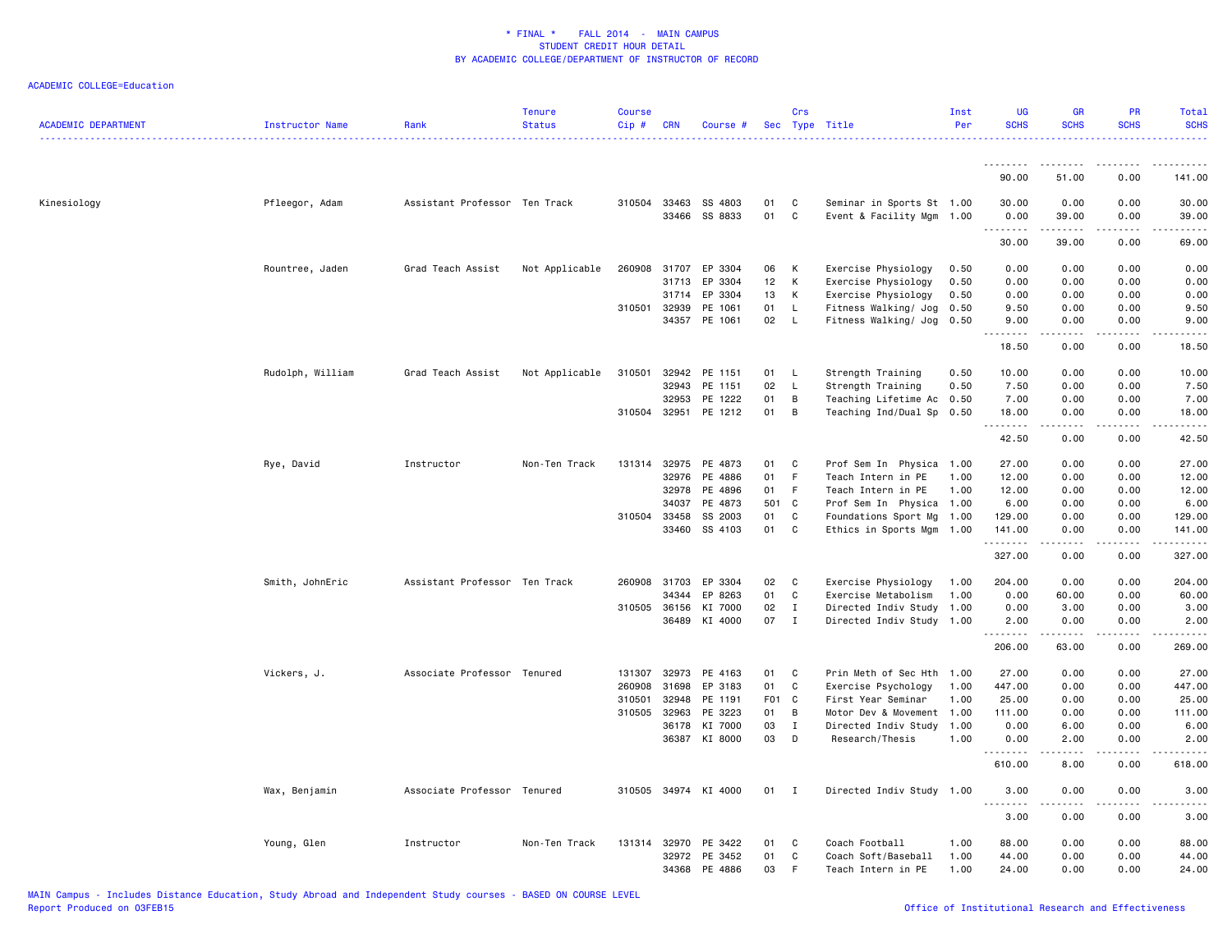| <b>ACADEMIC DEPARTMENT</b> | Instructor Name  | Rank                          | <b>Tenure</b><br><b>Status</b> | <b>Course</b><br>Cip# | <b>CRN</b>   | Course #             |                 | Crs          | Sec Type Title            | Inst<br>Per | <b>UG</b><br><b>SCHS</b> | <b>GR</b><br><b>SCHS</b>                                                                                                                                     | <b>PR</b><br><b>SCHS</b> | Total<br><b>SCHS</b> |
|----------------------------|------------------|-------------------------------|--------------------------------|-----------------------|--------------|----------------------|-----------------|--------------|---------------------------|-------------|--------------------------|--------------------------------------------------------------------------------------------------------------------------------------------------------------|--------------------------|----------------------|
|                            |                  |                               |                                |                       |              |                      |                 |              |                           |             |                          |                                                                                                                                                              |                          |                      |
|                            |                  |                               |                                |                       |              |                      |                 |              |                           |             | 90.00                    | 51.00                                                                                                                                                        | 0.00                     | 141.00               |
| Kinesiology                | Pfleegor, Adam   | Assistant Professor Ten Track |                                |                       | 310504 33463 | SS 4803              | 01              | C            | Seminar in Sports St 1.00 |             | 30.00                    | 0.00                                                                                                                                                         | 0.00                     | 30.00                |
|                            |                  |                               |                                |                       |              | 33466 SS 8833        | 01              | $\mathtt{C}$ | Event & Facility Mgm      | 1.00        | 0.00<br>.                | 39.00                                                                                                                                                        | 0.00                     | 39.00                |
|                            |                  |                               |                                |                       |              |                      |                 |              |                           |             | 30.00                    | 39.00                                                                                                                                                        | 0.00                     | 69.00                |
|                            | Rountree, Jaden  | Grad Teach Assist             | Not Applicable                 | 260908                | 31707        | EP 3304              | 06              | К            | Exercise Physiology       | 0.50        | 0.00                     | 0.00                                                                                                                                                         | 0.00                     | 0.00                 |
|                            |                  |                               |                                |                       | 31713        | EP 3304              | 12              | К            | Exercise Physiology       | 0.50        | 0.00                     | 0.00                                                                                                                                                         | 0.00                     | 0.00                 |
|                            |                  |                               |                                |                       | 31714        | EP 3304              | 13              | К            | Exercise Physiology       | 0.50        | 0.00                     | 0.00                                                                                                                                                         | 0.00                     | 0.00                 |
|                            |                  |                               |                                |                       | 310501 32939 | PE 1061              | 01              | L            | Fitness Walking/ Jog      | 0.50        | 9.50                     | 0.00                                                                                                                                                         | 0.00                     | 9.50                 |
|                            |                  |                               |                                |                       |              | 34357 PE 1061        | 02              | - L          | Fitness Walking/ Jog      | 0.50        | 9.00<br>.                | 0.00<br>$\frac{1}{2} \left( \frac{1}{2} \right) \left( \frac{1}{2} \right) \left( \frac{1}{2} \right) \left( \frac{1}{2} \right) \left( \frac{1}{2} \right)$ | 0.00<br>.                | 9.00<br>.            |
|                            |                  |                               |                                |                       |              |                      |                 |              |                           |             | 18.50                    | 0.00                                                                                                                                                         | 0.00                     | 18.50                |
|                            | Rudolph, William | Grad Teach Assist             | Not Applicable                 | 310501                | 32942        | PE 1151              | 01              | L.           | Strength Training         | 0.50        | 10.00                    | 0.00                                                                                                                                                         | 0.00                     | 10.00                |
|                            |                  |                               |                                |                       | 32943        | PE 1151              | 02              | $\mathsf{L}$ | Strength Training         | 0.50        | 7.50                     | 0.00                                                                                                                                                         | 0.00                     | 7.50                 |
|                            |                  |                               |                                |                       | 32953        | PE 1222              | 01              | B            | Teaching Lifetime Ac 0.50 |             | 7.00                     | 0.00                                                                                                                                                         | 0.00                     | 7.00                 |
|                            |                  |                               |                                |                       |              | 310504 32951 PE 1212 | 01              | B            | Teaching Ind/Dual Sp 0.50 |             | 18.00<br>.               | 0.00                                                                                                                                                         | 0.00                     | 18.00<br>.           |
|                            |                  |                               |                                |                       |              |                      |                 |              |                           |             | 42.50                    | 0.00                                                                                                                                                         | 0.00                     | 42.50                |
|                            | Rye, David       | Instructor                    | Non-Ten Track                  |                       |              | 131314 32975 PE 4873 | 01              | C            | Prof Sem In Physica 1.00  |             | 27.00                    | 0.00                                                                                                                                                         | 0.00                     | 27.00                |
|                            |                  |                               |                                |                       | 32976        | PE 4886              | 01              | F.           | Teach Intern in PE        | 1.00        | 12.00                    | 0.00                                                                                                                                                         | 0.00                     | 12.00                |
|                            |                  |                               |                                |                       | 32978        | PE 4896              | 01              | F            | Teach Intern in PE        | 1.00        | 12.00                    | 0.00                                                                                                                                                         | 0.00                     | 12.00                |
|                            |                  |                               |                                |                       | 34037        | PE 4873              | 501             | $\mathbf{C}$ | Prof Sem In Physica 1.00  |             | 6.00                     | 0.00                                                                                                                                                         | 0.00                     | 6.00                 |
|                            |                  |                               |                                | 310504 33458          |              | SS 2003              | 01              | C            | Foundations Sport Mg 1.00 |             | 129.00                   | 0.00                                                                                                                                                         | 0.00                     | 129.00               |
|                            |                  |                               |                                |                       |              | 33460 SS 4103        | 01              | C            | Ethics in Sports Mgm 1.00 |             | 141.00                   | 0.00                                                                                                                                                         | 0.00                     | 141.00               |
|                            |                  |                               |                                |                       |              |                      |                 |              |                           |             | 327.00                   | .<br>0.00                                                                                                                                                    | لأعامل<br>0.00           | -----<br>327.00      |
|                            | Smith, JohnEric  | Assistant Professor Ten Track |                                |                       | 260908 31703 | EP 3304              | 02              | C            | Exercise Physiology       | 1.00        | 204.00                   | 0.00                                                                                                                                                         | 0.00                     | 204.00               |
|                            |                  |                               |                                |                       | 34344        | EP 8263              | 01              | $\mathtt{C}$ | Exercise Metabolism       | 1.00        | 0.00                     | 60.00                                                                                                                                                        | 0.00                     | 60.00                |
|                            |                  |                               |                                | 310505 36156          |              | KI 7000              | 02              | $\mathbf{I}$ | Directed Indiv Study 1.00 |             | 0.00                     | 3.00                                                                                                                                                         | 0.00                     | 3.00                 |
|                            |                  |                               |                                |                       | 36489        | KI 4000              | 07              | $\;$ I       | Directed Indiv Study 1.00 |             | 2.00                     | 0.00                                                                                                                                                         | 0.00<br>.                | 2.00<br><u>.</u>     |
|                            |                  |                               |                                |                       |              |                      |                 |              |                           |             | .<br>206.00              | د د د د د<br>63.00                                                                                                                                           | 0.00                     | 269.00               |
|                            | Vickers, J.      | Associate Professor Tenured   |                                | 131307                | 32973        | PE 4163              | 01              | C            | Prin Meth of Sec Hth 1.00 |             | 27.00                    | 0.00                                                                                                                                                         | 0.00                     | 27.00                |
|                            |                  |                               |                                | 260908                | 31698        | EP 3183              | 01              | C            | Exercise Psychology       | 1.00        | 447.00                   | 0.00                                                                                                                                                         | 0.00                     | 447.00               |
|                            |                  |                               |                                | 310501                | 32948        | PE 1191              | F <sub>01</sub> | $\mathbf{C}$ | First Year Seminar        | 1.00        | 25.00                    | 0.00                                                                                                                                                         | 0.00                     | 25.00                |
|                            |                  |                               |                                | 310505 32963          |              | PE 3223              | 01              | B            | Motor Dev & Movement 1.00 |             | 111.00                   | 0.00                                                                                                                                                         | 0.00                     | 111.00               |
|                            |                  |                               |                                |                       | 36178        | KI 7000              | 03              | Ι.           | Directed Indiv Study 1.00 |             | 0.00                     | 6.00                                                                                                                                                         | 0.00                     | 6.00                 |
|                            |                  |                               |                                |                       | 36387        | KI 8000              | 03              | D            | Research/Thesis           | 1.00        | 0.00<br>.                | 2.00<br>.                                                                                                                                                    | 0.00<br>د د د د          | 2.00<br>.            |
|                            |                  |                               |                                |                       |              |                      |                 |              |                           |             | 610.00                   | 8.00                                                                                                                                                         | 0.00                     | 618.00               |
|                            | Wax, Benjamin    | Associate Professor Tenured   |                                |                       |              | 310505 34974 KI 4000 | 01              | $\mathbf{I}$ | Directed Indiv Study 1.00 |             | 3.00<br><u>.</u>         | 0.00<br>.                                                                                                                                                    | 0.00<br>.                | 3.00<br>. <u>.</u> . |
|                            |                  |                               |                                |                       |              |                      |                 |              |                           |             | 3.00                     | 0.00                                                                                                                                                         | 0.00                     | 3.00                 |
|                            | Young, Glen      | Instructor                    | Non-Ten Track                  | 131314 32970          |              | PE 3422              | 01              | C            | Coach Football            | 1.00        | 88.00                    | 0.00                                                                                                                                                         | 0.00                     | 88.00                |
|                            |                  |                               |                                |                       |              | 32972 PE 3452        | 01              | C            | Coach Soft/Baseball       | 1.00        | 44.00                    | 0.00                                                                                                                                                         | 0.00                     | 44.00                |
|                            |                  |                               |                                |                       | 34368        | PE 4886              | 03              | E            | Teach Intern in PE        | 1.00        | 24.00                    | 0.00                                                                                                                                                         | 0.00                     | 24.00                |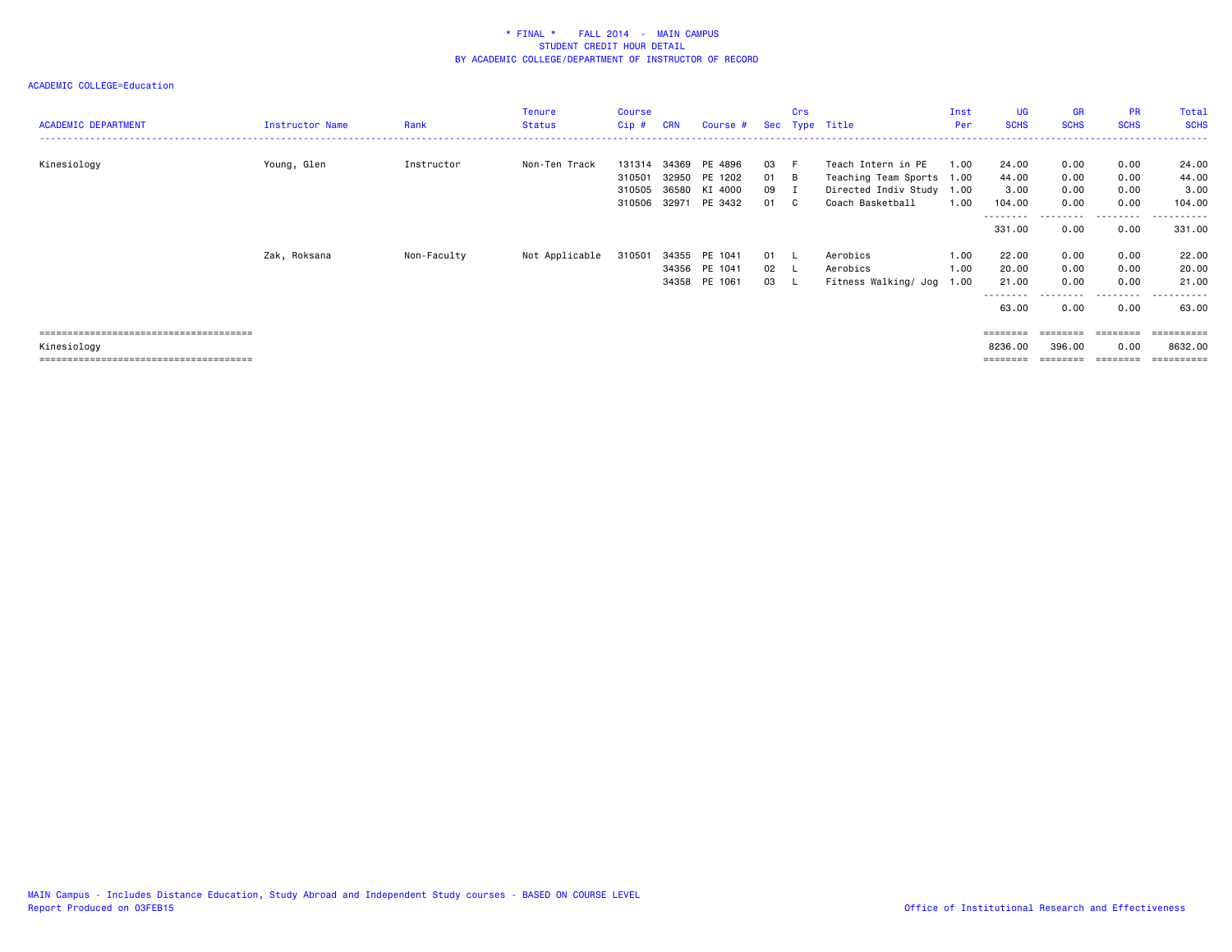| <b>ACADEMIC DEPARTMENT</b> | <b>Instructor Name</b> | Rank        | Tenure<br><b>Status</b> | <b>Course</b><br>$Cip$ # | <b>CRN</b>     | Course #                                        |                      | Crs | Sec Type Title                                    | Inst<br>Per  | <b>UG</b><br><b>SCHS</b>                 | <b>GR</b><br><b>SCHS</b>                        | <b>PR</b><br><b>SCHS</b>             | Total<br><b>SCHS</b>                         |
|----------------------------|------------------------|-------------|-------------------------|--------------------------|----------------|-------------------------------------------------|----------------------|-----|---------------------------------------------------|--------------|------------------------------------------|-------------------------------------------------|--------------------------------------|----------------------------------------------|
| Kinesiology                | Young, Glen            | Instructor  | Non-Ten Track           | 131314<br>310501         | 34369<br>32950 | PE 4896<br>PE 1202                              | 03 F<br>01 B         |     | Teach Intern in PE<br>Teaching Team Sports 1.00   | 1.00         | 24.00<br>44.00                           | 0.00<br>0.00                                    | 0.00<br>0.00                         | 24.00<br>44.00                               |
|                            |                        |             |                         | 310505<br>310506 32971   |                | 36580 KI 4000<br>PE 3432                        | 09 I<br>01 C         |     | Directed Indiv Study 1.00<br>Coach Basketball     | 1.00         | 3.00<br>104.00                           | 0.00<br>0.00                                    | 0.00<br>0.00                         | 3.00<br>104.00                               |
|                            |                        |             |                         |                          |                |                                                 |                      |     |                                                   |              | ---------<br>331.00                      | 0.00                                            | --------<br>0.00                     | .<br>331.00                                  |
|                            | Zak, Roksana           | Non-Faculty | Not Applicable          | 310501                   |                | 34355 PE 1041<br>34356 PE 1041<br>34358 PE 1061 | 01 L<br>02 L<br>03 L |     | Aerobics<br>Aerobics<br>Fitness Walking/ Jog 1.00 | 1.00<br>1.00 | 22.00<br>20.00<br>21.00<br>--------      | 0.00<br>0.00<br>0.00<br>.                       | 0.00<br>0.00<br>0.00<br>.            | 22.00<br>20.00<br>21.00<br>.<br>$\cdots$     |
| Kinesiology                |                        |             |                         |                          |                |                                                 |                      |     |                                                   |              | 63.00<br>========<br>8236.00<br>======== | 0.00<br>$=$ = = = = = = =<br>396.00<br>======== | 0.00<br>========<br>0.00<br>======== | 63.00<br>==========<br>8632.00<br>========== |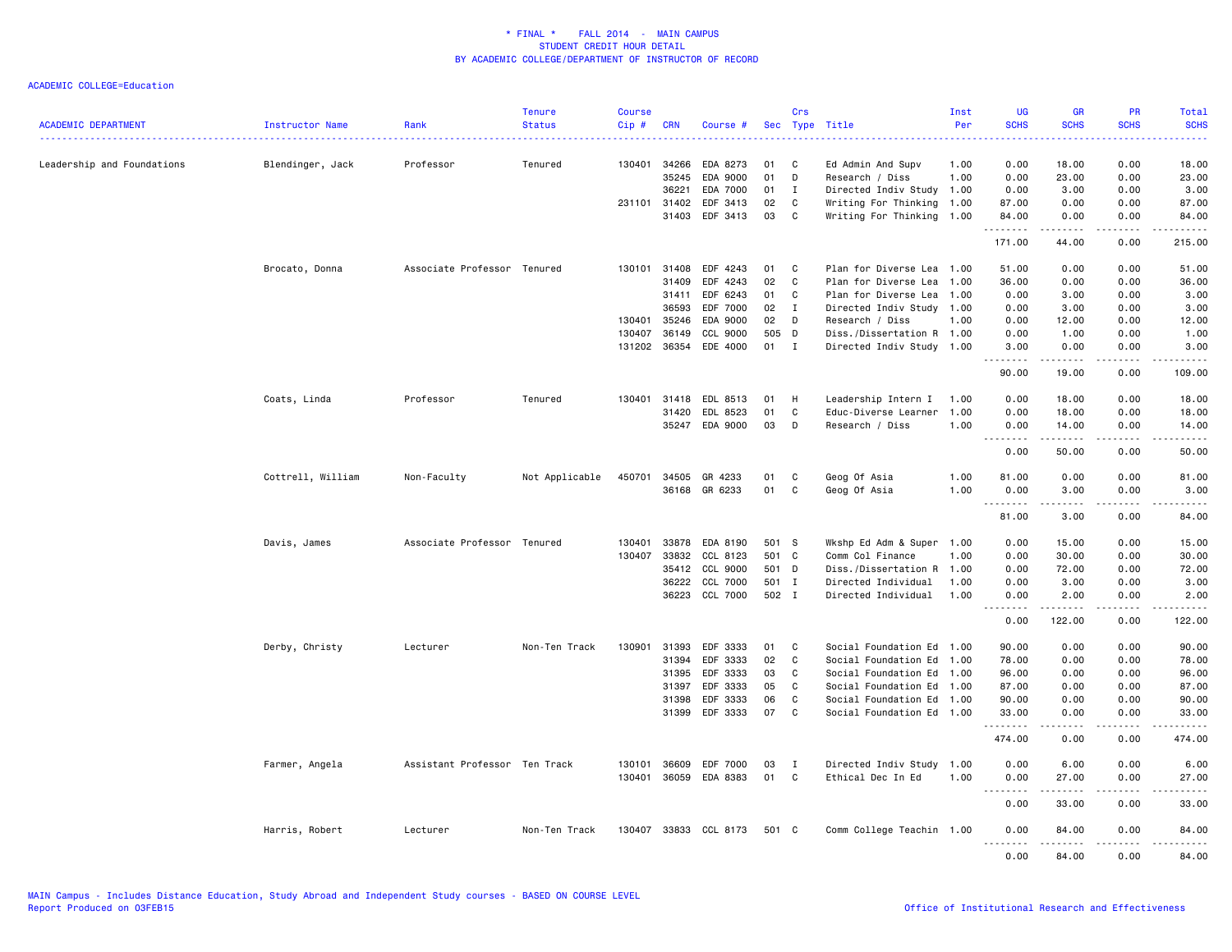| <b>ACADEMIC DEPARTMENT</b> | Instructor Name   | Rank                          | <b>Tenure</b><br><b>Status</b> | <b>Course</b><br>Cip# | <b>CRN</b>     | Course #              | Sec      | Crs          | Type Title                           | Inst<br>Per  | <b>UG</b><br><b>SCHS</b>                                                                                                                                     | <b>GR</b><br><b>SCHS</b>                                                                                                                                      | PR<br><b>SCHS</b>                   | Total<br><b>SCHS</b>                                                                                                              |
|----------------------------|-------------------|-------------------------------|--------------------------------|-----------------------|----------------|-----------------------|----------|--------------|--------------------------------------|--------------|--------------------------------------------------------------------------------------------------------------------------------------------------------------|---------------------------------------------------------------------------------------------------------------------------------------------------------------|-------------------------------------|-----------------------------------------------------------------------------------------------------------------------------------|
| Leadership and Foundations | Blendinger, Jack  | Professor                     | Tenured                        | 130401                | 34266<br>35245 | EDA 8273<br>EDA 9000  | 01<br>01 | C<br>D       | Ed Admin And Supv<br>Research / Diss | 1.00<br>1.00 | 0.00<br>0.00                                                                                                                                                 | 18.00<br>23.00                                                                                                                                                | 0.00<br>0.00                        | 18.00<br>23.00                                                                                                                    |
|                            |                   |                               |                                |                       | 36221          | EDA 7000              | 01       | $\mathbf{I}$ | Directed Indiv Study 1.00            |              | 0.00                                                                                                                                                         | 3.00                                                                                                                                                          | 0.00                                | 3.00                                                                                                                              |
|                            |                   |                               |                                | 231101 31402          |                | EDF 3413              | 02       | C            | Writing For Thinking 1.00            |              | 87.00                                                                                                                                                        | 0.00                                                                                                                                                          | 0.00                                | 87.00                                                                                                                             |
|                            |                   |                               |                                |                       | 31403          | EDF 3413              | 03       | C            | Writing For Thinking 1.00            |              | 84.00<br>. <u>.</u>                                                                                                                                          | 0.00<br>-----                                                                                                                                                 | 0.00<br>.                           | 84.00<br>.                                                                                                                        |
|                            |                   |                               |                                |                       |                |                       |          |              |                                      |              | 171.00                                                                                                                                                       | 44.00                                                                                                                                                         | 0.00                                | 215.00                                                                                                                            |
|                            | Brocato, Donna    | Associate Professor Tenured   |                                |                       | 130101 31408   | EDF 4243              | 01       | C            | Plan for Diverse Lea 1.00            |              | 51.00                                                                                                                                                        | 0.00                                                                                                                                                          | 0.00                                | 51.00                                                                                                                             |
|                            |                   |                               |                                |                       | 31409          | EDF 4243              | 02       | C            | Plan for Diverse Lea                 | 1.00         | 36.00                                                                                                                                                        | 0.00                                                                                                                                                          | 0.00                                | 36.00                                                                                                                             |
|                            |                   |                               |                                |                       | 31411          | EDF 6243              | 01       | C            | Plan for Diverse Lea                 | 1.00         | 0.00                                                                                                                                                         | 3.00                                                                                                                                                          | 0.00                                | 3.00                                                                                                                              |
|                            |                   |                               |                                |                       | 36593          | EDF 7000              | 02       | $\mathbf{I}$ | Directed Indiv Study 1.00            |              | 0.00                                                                                                                                                         | 3.00                                                                                                                                                          | 0.00                                | 3.00                                                                                                                              |
|                            |                   |                               |                                | 130401                | 35246          | EDA 9000              | 02       | D            | Research / Diss                      | 1.00         | 0.00                                                                                                                                                         | 12.00                                                                                                                                                         | 0.00                                | 12.00                                                                                                                             |
|                            |                   |                               |                                | 130407                | 36149          | CCL 9000              | 505      | D            | Diss./Dissertation R 1.00            |              | 0.00                                                                                                                                                         | 1.00                                                                                                                                                          | 0.00                                | 1.00                                                                                                                              |
|                            |                   |                               |                                |                       | 131202 36354   | EDE 4000              | 01       | I            | Directed Indiv Study 1.00            |              | 3.00<br>$\frac{1}{2} \left( \frac{1}{2} \right) \left( \frac{1}{2} \right) \left( \frac{1}{2} \right) \left( \frac{1}{2} \right) \left( \frac{1}{2} \right)$ | 0.00<br>.                                                                                                                                                     | 0.00<br>$\sim$ $\sim$ $\sim$        | 3.00<br>$\frac{1}{2} \left( \frac{1}{2} \right) \left( \frac{1}{2} \right) \left( \frac{1}{2} \right) \left( \frac{1}{2} \right)$ |
|                            |                   |                               |                                |                       |                |                       |          |              |                                      |              | 90.00                                                                                                                                                        | 19.00                                                                                                                                                         | 0.00                                | 109.00                                                                                                                            |
|                            | Coats, Linda      | Professor                     | Tenured                        | 130401                | 31418          | EDL 8513              | 01       | H            | Leadership Intern I                  | 1.00         | 0.00                                                                                                                                                         | 18.00                                                                                                                                                         | 0.00                                | 18.00                                                                                                                             |
|                            |                   |                               |                                |                       | 31420          | EDL 8523              | 01       | $\mathbf{C}$ | Educ-Diverse Learner                 | 1.00         | 0.00                                                                                                                                                         | 18.00                                                                                                                                                         | 0.00                                | 18.00                                                                                                                             |
|                            |                   |                               |                                |                       | 35247          | EDA 9000              | 03       | D            | Research / Diss                      | 1.00         | 0.00                                                                                                                                                         | 14.00                                                                                                                                                         | 0.00                                | 14.00                                                                                                                             |
|                            |                   |                               |                                |                       |                |                       |          |              |                                      |              | .                                                                                                                                                            | .                                                                                                                                                             | .                                   | .                                                                                                                                 |
|                            |                   |                               |                                |                       |                |                       |          |              |                                      |              | 0.00                                                                                                                                                         | 50.00                                                                                                                                                         | 0.00                                | 50.00                                                                                                                             |
|                            | Cottrell, William | Non-Faculty                   | Not Applicable                 | 450701                | 34505          | GR 4233               | 01       | C            | Geog Of Asia                         | 1.00         | 81.00                                                                                                                                                        | 0.00                                                                                                                                                          | 0.00                                | 81.00                                                                                                                             |
|                            |                   |                               |                                |                       |                | 36168 GR 6233         | 01       | C            | Geog Of Asia                         | 1.00         | 0.00<br>.                                                                                                                                                    | 3.00                                                                                                                                                          | 0.00<br>$   -$                      | 3.00<br>-----                                                                                                                     |
|                            |                   |                               |                                |                       |                |                       |          |              |                                      |              | 81.00                                                                                                                                                        | 3.00                                                                                                                                                          | 0.00                                | 84.00                                                                                                                             |
|                            | Davis, James      | Associate Professor Tenured   |                                | 130401                | 33878          | EDA 8190              | 501 S    |              | Wkshp Ed Adm & Super 1.00            |              | 0.00                                                                                                                                                         | 15.00                                                                                                                                                         | 0.00                                | 15.00                                                                                                                             |
|                            |                   |                               |                                | 130407                | 33832          | CCL 8123              | 501 C    |              | Comm Col Finance                     | 1.00         | 0.00                                                                                                                                                         | 30.00                                                                                                                                                         | 0.00                                | 30.00                                                                                                                             |
|                            |                   |                               |                                |                       | 35412          | CCL 9000              | 501 D    |              | Diss./Dissertation R 1.00            |              | 0.00                                                                                                                                                         | 72.00                                                                                                                                                         | 0.00                                | 72.00                                                                                                                             |
|                            |                   |                               |                                |                       | 36222          | CCL 7000              | 501 I    |              | Directed Individual                  | 1.00         | 0.00                                                                                                                                                         | 3.00                                                                                                                                                          | 0.00                                | 3.00                                                                                                                              |
|                            |                   |                               |                                |                       | 36223          | CCL 7000              | 502 I    |              | Directed Individual                  | 1.00         | 0.00                                                                                                                                                         | 2.00                                                                                                                                                          | 0.00                                | 2.00                                                                                                                              |
|                            |                   |                               |                                |                       |                |                       |          |              |                                      |              | .<br>0.00                                                                                                                                                    | ------<br>122.00                                                                                                                                              | .<br>0.00                           | .<br>122.00                                                                                                                       |
|                            | Derby, Christy    | Lecturer                      | Non-Ten Track                  | 130901                | 31393          | EDF 3333              | 01       | C            | Social Foundation Ed 1.00            |              | 90.00                                                                                                                                                        | 0.00                                                                                                                                                          | 0.00                                | 90.00                                                                                                                             |
|                            |                   |                               |                                |                       | 31394          | EDF 3333              | 02       | C            | Social Foundation Ed 1.00            |              | 78.00                                                                                                                                                        | 0.00                                                                                                                                                          | 0.00                                | 78.00                                                                                                                             |
|                            |                   |                               |                                |                       | 31395          | EDF 3333              | 03       | C            | Social Foundation Ed 1.00            |              | 96.00                                                                                                                                                        | 0.00                                                                                                                                                          | 0.00                                | 96.00                                                                                                                             |
|                            |                   |                               |                                |                       | 31397          | EDF 3333              | 05       | C            | Social Foundation Ed 1.00            |              | 87.00                                                                                                                                                        | 0.00                                                                                                                                                          | 0.00                                | 87.00                                                                                                                             |
|                            |                   |                               |                                |                       | 31398          | EDF 3333              | 06       | C            | Social Foundation Ed 1.00            |              | 90.00                                                                                                                                                        | 0.00                                                                                                                                                          | 0.00                                | 90.00                                                                                                                             |
|                            |                   |                               |                                |                       | 31399          | EDF 3333              | 07       | C            | Social Foundation Ed 1.00            |              | 33.00<br>.                                                                                                                                                   | 0.00<br>.                                                                                                                                                     | 0.00<br>$\sim$ $\sim$ $\sim$ $\sim$ | 33.00<br>.                                                                                                                        |
|                            |                   |                               |                                |                       |                |                       |          |              |                                      |              | 474.00                                                                                                                                                       | 0.00                                                                                                                                                          | 0.00                                | 474.00                                                                                                                            |
|                            | Farmer, Angela    | Assistant Professor Ten Track |                                | 130101                | 36609          | EDF 7000              | 03       | Ι.           | Directed Indiv Study 1.00            |              | 0.00                                                                                                                                                         | 6.00                                                                                                                                                          | 0.00                                | 6.00                                                                                                                              |
|                            |                   |                               |                                |                       | 130401 36059   | EDA 8383              | 01       | C            | Ethical Dec In Ed                    | 1.00         | 0.00<br>$\sim$ $\sim$ $\sim$<br>-----                                                                                                                        | 27.00<br>$\frac{1}{2} \left( \frac{1}{2} \right) \left( \frac{1}{2} \right) \left( \frac{1}{2} \right) \left( \frac{1}{2} \right) \left( \frac{1}{2} \right)$ | 0.00<br>.                           | 27.00<br>.                                                                                                                        |
|                            |                   |                               |                                |                       |                |                       |          |              |                                      |              | 0.00                                                                                                                                                         | 33.00                                                                                                                                                         | 0.00                                | 33.00                                                                                                                             |
|                            | Harris, Robert    | Lecturer                      | Non-Ten Track                  |                       |                | 130407 33833 CCL 8173 | 501 C    |              | Comm College Teachin 1.00            |              | 0.00<br>$ -$<br>.                                                                                                                                            | 84.00<br>$- - - - -$                                                                                                                                          | 0.00<br>$- - -$                     | 84.00<br>.                                                                                                                        |
|                            |                   |                               |                                |                       |                |                       |          |              |                                      |              | 0.00                                                                                                                                                         | 84.00                                                                                                                                                         | 0.00                                | 84.00                                                                                                                             |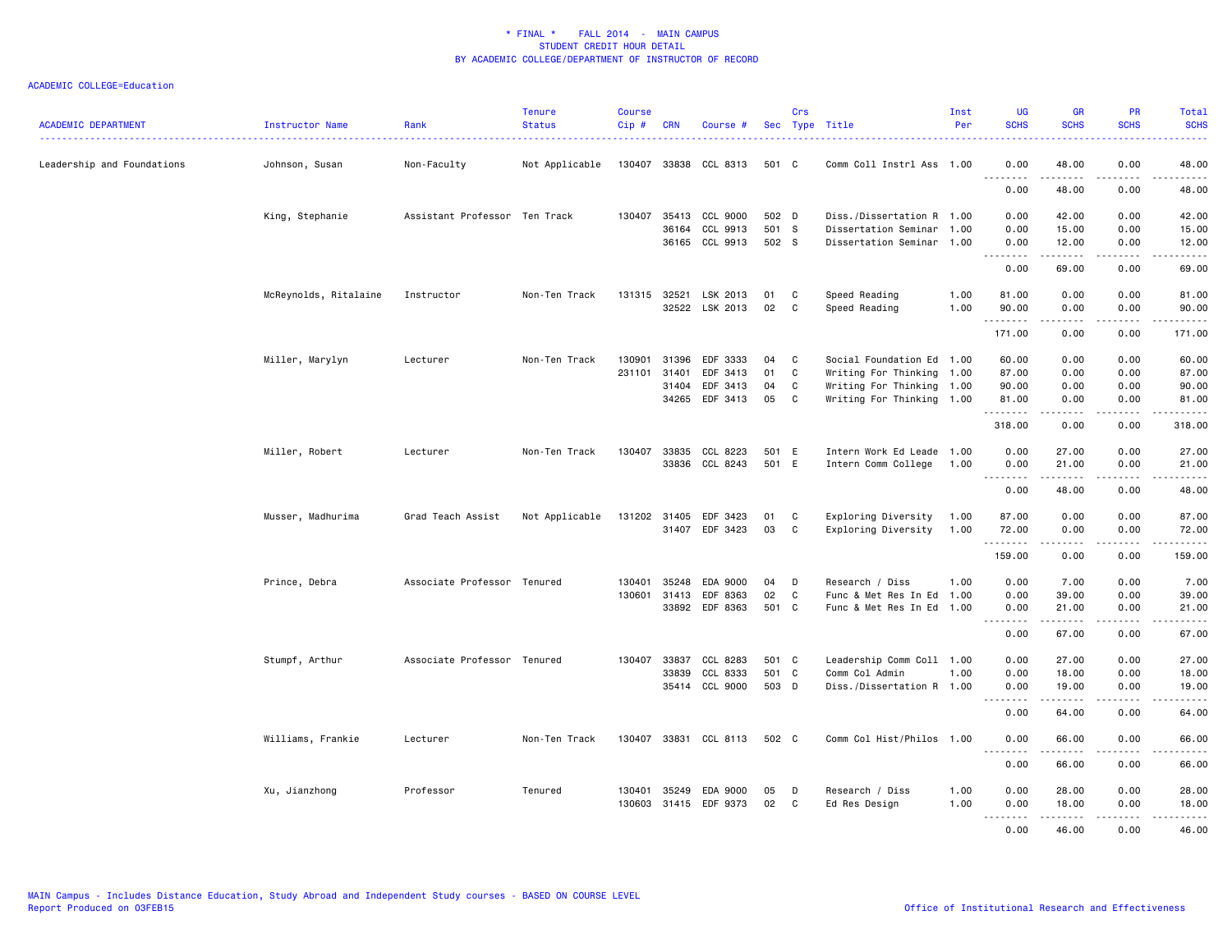| <b>ACADEMIC DEPARTMENT</b> | Instructor Name       | Rank                          | <b>Tenure</b><br><b>Status</b> | <b>Course</b><br>$Cip$ # | CRN            | Course #              |           | Crs               | Sec Type Title                                         | Inst<br>Per | <b>UG</b><br><b>SCHS</b>     | <b>GR</b><br><b>SCHS</b>                                                                                                                                                                 | <b>PR</b><br><b>SCHS</b>                                                                                                          | <b>Total</b><br><b>SCHS</b>          |
|----------------------------|-----------------------|-------------------------------|--------------------------------|--------------------------|----------------|-----------------------|-----------|-------------------|--------------------------------------------------------|-------------|------------------------------|------------------------------------------------------------------------------------------------------------------------------------------------------------------------------------------|-----------------------------------------------------------------------------------------------------------------------------------|--------------------------------------|
| Leadership and Foundations | Johnson, Susan        | Non-Faculty                   | Not Applicable                 |                          |                | 130407 33838 CCL 8313 | 501 C     |                   | Comm Coll Instrl Ass 1.00                              |             | 0.00<br>$\sim$ $\sim$ $\sim$ | 48.00                                                                                                                                                                                    | 0.00                                                                                                                              | 48.00                                |
|                            |                       |                               |                                |                          |                |                       |           |                   |                                                        |             | .<br>0.00                    | .<br>48.00                                                                                                                                                                               | .<br>0.00                                                                                                                         | .<br>48.00                           |
|                            | King, Stephanie       | Assistant Professor Ten Track |                                | 130407                   |                | 35413 CCL 9000        | 502 D     |                   | Diss./Dissertation R 1.00                              |             | 0.00                         | 42.00                                                                                                                                                                                    | 0.00                                                                                                                              | 42.00                                |
|                            |                       |                               |                                |                          | 36164          | CCL 9913              | 501 S     |                   | Dissertation Seminar 1.00                              |             | 0.00                         | 15.00                                                                                                                                                                                    | 0.00                                                                                                                              | 15.00                                |
|                            |                       |                               |                                |                          |                | 36165 CCL 9913        | 502 S     |                   | Dissertation Seminar 1.00                              |             | 0.00<br>د د د د              | 12.00<br>$\frac{1}{2} \left( \frac{1}{2} \right) \left( \frac{1}{2} \right) \left( \frac{1}{2} \right) \left( \frac{1}{2} \right) \left( \frac{1}{2} \right) \left( \frac{1}{2} \right)$ | 0.00<br>$\frac{1}{2} \left( \frac{1}{2} \right) \left( \frac{1}{2} \right) \left( \frac{1}{2} \right) \left( \frac{1}{2} \right)$ | 12.00<br>والمناصبات                  |
|                            |                       |                               |                                |                          |                |                       |           |                   |                                                        |             | 0.00                         | 69.00                                                                                                                                                                                    | 0.00                                                                                                                              | 69.00                                |
|                            | McReynolds, Ritalaine | Instructor                    | Non-Ten Track                  |                          | 131315 32521   | LSK 2013              | 01        | C                 | Speed Reading                                          | 1.00        | 81.00                        | 0.00                                                                                                                                                                                     | 0.00                                                                                                                              | 81.00                                |
|                            |                       |                               |                                |                          |                | 32522 LSK 2013        | 02        | C                 | Speed Reading                                          | 1.00        | 90.00<br>.                   | 0.00                                                                                                                                                                                     | 0.00                                                                                                                              | 90.00<br>.                           |
|                            |                       |                               |                                |                          |                |                       |           |                   |                                                        |             | 171.00                       | 0.00                                                                                                                                                                                     | 0.00                                                                                                                              | 171.00                               |
|                            | Miller, Marylyn       | Lecturer                      | Non-Ten Track                  | 130901                   | 31396          | EDF 3333              | 04        | C                 | Social Foundation Ed 1.00                              |             | 60.00                        | 0.00                                                                                                                                                                                     | 0.00                                                                                                                              | 60.00                                |
|                            |                       |                               |                                | 231101                   | 31401          | EDF 3413              | 01        | $\mathbb{C}$      | Writing For Thinking 1.00                              |             | 87.00                        | 0.00                                                                                                                                                                                     | 0.00                                                                                                                              | 87.00                                |
|                            |                       |                               |                                |                          | 31404          | EDF 3413              | 04        | C                 | Writing For Thinking 1.00                              |             | 90.00                        | 0.00                                                                                                                                                                                     | 0.00                                                                                                                              | 90.00                                |
|                            |                       |                               |                                |                          | 34265          | EDF 3413              | 05        | C                 | Writing For Thinking 1.00                              |             | 81.00<br>.                   | 0.00                                                                                                                                                                                     | 0.00                                                                                                                              | 81.00<br>$\sim$ $\sim$ $\sim$ $\sim$ |
|                            |                       |                               |                                |                          |                |                       |           |                   |                                                        |             | 318.00                       | 0.00                                                                                                                                                                                     | 0.00                                                                                                                              | 318.00                               |
|                            | Miller, Robert        | Lecturer                      | Non-Ten Track                  | 130407                   | 33835          | CCL 8223              | 501 E     |                   | Intern Work Ed Leade 1.00                              |             | 0.00                         | 27.00                                                                                                                                                                                    | 0.00                                                                                                                              | 27.00                                |
|                            |                       |                               |                                |                          |                | 33836 CCL 8243        | 501 E     |                   | Intern Comm College                                    | 1.00        | 0.00<br>.                    | 21.00                                                                                                                                                                                    | 0.00                                                                                                                              | 21.00                                |
|                            |                       |                               |                                |                          |                |                       |           |                   |                                                        |             | $ -$<br>0.00                 | . <b>.</b><br>48.00                                                                                                                                                                      | 0.00                                                                                                                              | .<br>48.00                           |
|                            | Musser, Madhurima     | Grad Teach Assist             | Not Applicable                 |                          | 131202 31405   | EDF 3423              | 01        | C                 | Exploring Diversity                                    | 1.00        | 87.00                        | 0.00                                                                                                                                                                                     | 0.00                                                                                                                              | 87.00                                |
|                            |                       |                               |                                |                          | 31407          | EDF 3423              | 03        | C                 | Exploring Diversity                                    | 1.00        | 72.00                        | 0.00                                                                                                                                                                                     | 0.00                                                                                                                              | 72.00                                |
|                            |                       |                               |                                |                          |                |                       |           |                   |                                                        |             | .<br>159.00                  | .<br>0.00                                                                                                                                                                                | $\sim$ $\sim$ $\sim$ $\sim$<br>0.00                                                                                               | .<br>159.00                          |
|                            |                       |                               |                                |                          |                |                       |           |                   |                                                        |             |                              |                                                                                                                                                                                          |                                                                                                                                   |                                      |
|                            | Prince, Debra         | Associate Professor Tenured   |                                | 130401                   | 35248          | EDA 9000              | 04        | D                 | Research / Diss                                        | 1.00        | 0.00                         | 7.00                                                                                                                                                                                     | 0.00                                                                                                                              | 7.00                                 |
|                            |                       |                               |                                | 130601                   | 31413<br>33892 | EDF 8363<br>EDF 8363  | 02<br>501 | $\mathbf{C}$<br>C | Func & Met Res In Ed 1.00<br>Func & Met Res In Ed 1.00 |             | 0.00<br>0.00                 | 39.00<br>21.00                                                                                                                                                                           | 0.00<br>0.00                                                                                                                      | 39.00                                |
|                            |                       |                               |                                |                          |                |                       |           |                   |                                                        |             | .<br>$\sim$ $\sim$ $\sim$    | .                                                                                                                                                                                        | .                                                                                                                                 | 21.00<br>.                           |
|                            |                       |                               |                                |                          |                |                       |           |                   |                                                        |             | 0.00                         | 67.00                                                                                                                                                                                    | 0.00                                                                                                                              | 67.00                                |
|                            | Stumpf, Arthur        | Associate Professor Tenured   |                                | 130407                   | 33837          | CCL 8283              | 501 C     |                   | Leadership Comm Coll 1.00                              |             | 0.00                         | 27.00                                                                                                                                                                                    | 0.00                                                                                                                              | 27.00                                |
|                            |                       |                               |                                |                          | 33839          | CCL 8333              | 501 C     |                   | Comm Col Admin                                         | 1.00        | 0.00                         | 18.00                                                                                                                                                                                    | 0.00                                                                                                                              | 18.00                                |
|                            |                       |                               |                                |                          | 35414          | CCL 9000              | 503 D     |                   | Diss./Dissertation R 1.00                              |             | 0.00<br>.                    | 19.00<br>.                                                                                                                                                                               | 0.00<br>.                                                                                                                         | 19.00<br>.                           |
|                            |                       |                               |                                |                          |                |                       |           |                   |                                                        |             | 0.00                         | 64.00                                                                                                                                                                                    | 0.00                                                                                                                              | 64.00                                |
|                            | Williams, Frankie     | Lecturer                      | Non-Ten Track                  |                          |                | 130407 33831 CCL 8113 | 502 C     |                   | Comm Col Hist/Philos 1.00                              |             | 0.00<br>.                    | 66.00                                                                                                                                                                                    | 0.00                                                                                                                              | 66.00<br>.                           |
|                            |                       |                               |                                |                          |                |                       |           |                   |                                                        |             | 0.00                         | 66.00                                                                                                                                                                                    | 0.00                                                                                                                              | 66.00                                |
|                            | Xu, Jianzhong         | Professor                     | Tenured                        | 130401                   | 35249          | EDA 9000              | 05        | D                 | Research / Diss                                        | 1.00        | 0.00                         | 28.00                                                                                                                                                                                    | 0.00                                                                                                                              | 28.00                                |
|                            |                       |                               |                                |                          |                | 130603 31415 EDF 9373 | 02        | C                 | Ed Res Design                                          | 1.00        | 0.00                         | 18.00                                                                                                                                                                                    | 0.00                                                                                                                              | 18.00                                |
|                            |                       |                               |                                |                          |                |                       |           |                   |                                                        |             | -----                        | .                                                                                                                                                                                        | .                                                                                                                                 | .                                    |
|                            |                       |                               |                                |                          |                |                       |           |                   |                                                        |             | 0.00                         | 46.00                                                                                                                                                                                    | 0.00                                                                                                                              | 46.00                                |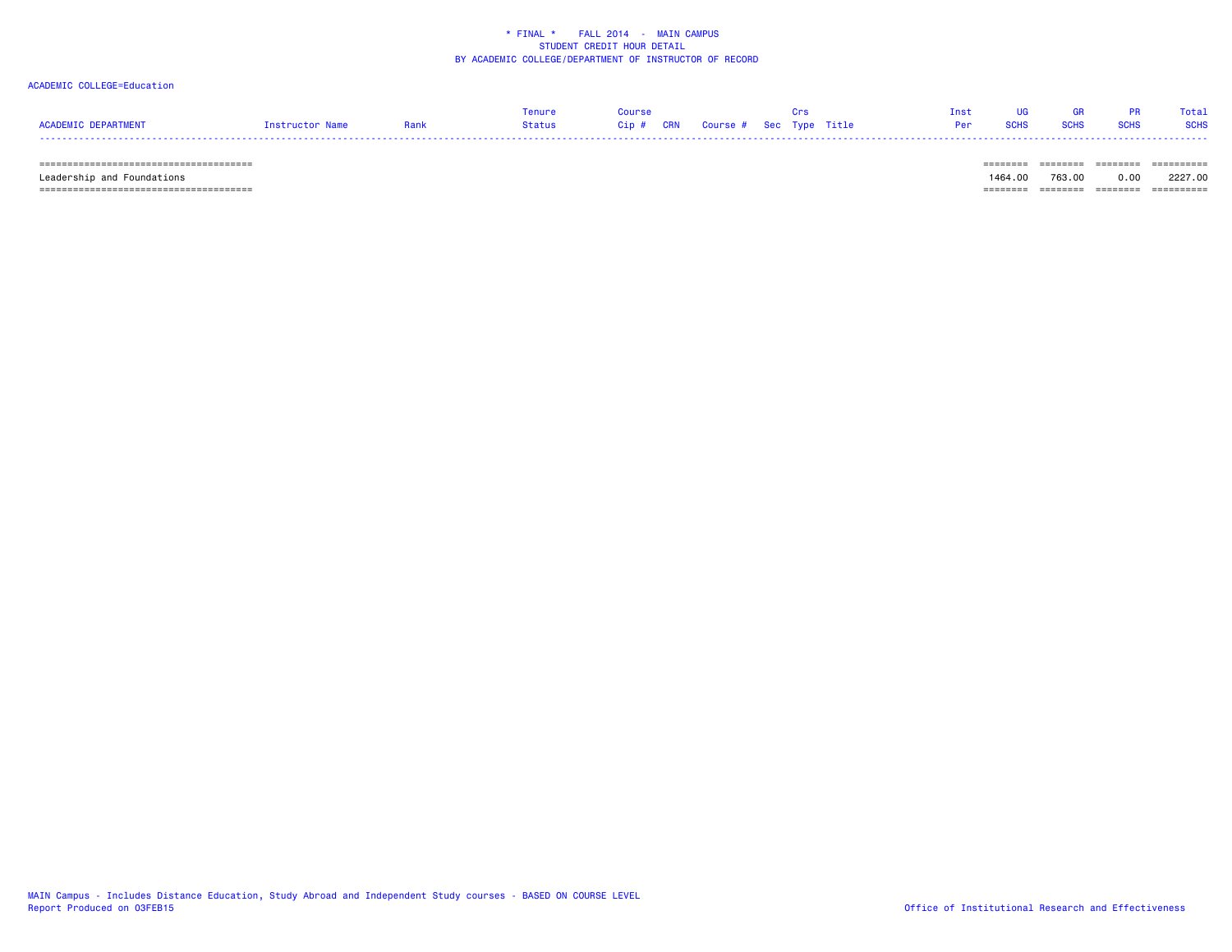### ACADEMIC COLLEGE=Education

|                            |                 | Tenure | Course |                                        |  | Inst | <b>IIG</b>    | - GR | <b>PR</b>   | Total       |
|----------------------------|-----------------|--------|--------|----------------------------------------|--|------|---------------|------|-------------|-------------|
| <b>ACADEMIC DEPARTMENT</b> | Instructor Name | Status |        | Cip # CRN   Course #  Sec  Type  Title |  |      | Per SCHS SCHS |      | <b>SCHS</b> | <b>SCHS</b> |
| -----                      |                 |        |        |                                        |  |      |               |      |             |             |

====================================== ======== ======== ======== ==========

====================================== ======== ======== ======== ==========

Leadership and Foundations 1464.00 763.00 0.00 2227.00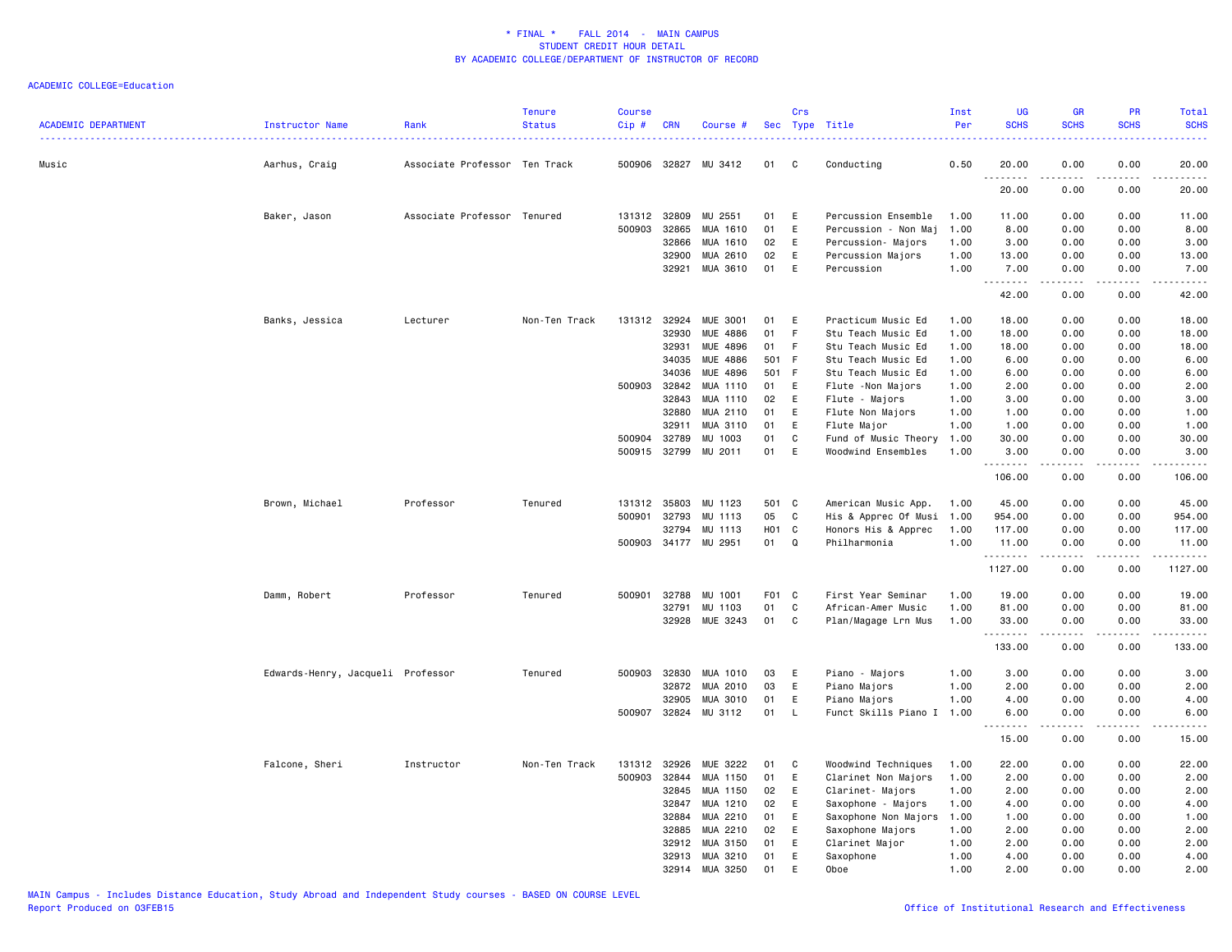| <b>ACADEMIC DEPARTMENT</b> | Instructor Name                   | Rank                          | <b>Tenure</b><br><b>Status</b> | <b>Course</b><br>Cip # | <b>CRN</b> | Course #             |                   | Crs         | Sec Type Title       | Inst<br>Per | <b>UG</b><br><b>SCHS</b> | <b>GR</b><br><b>SCHS</b> | PR<br><b>SCHS</b>                                                                                                                 | Total<br><b>SCHS</b><br>.                                                                                                                                    |
|----------------------------|-----------------------------------|-------------------------------|--------------------------------|------------------------|------------|----------------------|-------------------|-------------|----------------------|-------------|--------------------------|--------------------------|-----------------------------------------------------------------------------------------------------------------------------------|--------------------------------------------------------------------------------------------------------------------------------------------------------------|
| Music                      | Aarhus, Craig                     | Associate Professor Ten Track |                                | 500906 32827           |            | MU 3412              | 01                | C.          | Conducting           | 0.50        | 20.00<br>.               | 0.00                     | 0.00<br>$\frac{1}{2} \left( \frac{1}{2} \right) \left( \frac{1}{2} \right) \left( \frac{1}{2} \right) \left( \frac{1}{2} \right)$ | 20.00<br>.                                                                                                                                                   |
|                            |                                   |                               |                                |                        |            |                      |                   |             |                      |             | 20.00                    | 0.00                     | 0.00                                                                                                                              | 20.00                                                                                                                                                        |
|                            | Baker, Jason                      | Associate Professor Tenured   |                                | 131312 32809           |            | MU 2551              | 01                | E           | Percussion Ensemble  | 1.00        | 11.00                    | 0.00                     | 0.00                                                                                                                              | 11.00                                                                                                                                                        |
|                            |                                   |                               |                                | 500903                 | 32865      | MUA 1610             | 01                | E           | Percussion - Non Maj | 1.00        | 8.00                     | 0.00                     | 0.00                                                                                                                              | 8.00                                                                                                                                                         |
|                            |                                   |                               |                                |                        | 32866      | MUA 1610             | 02                | E           | Percussion- Majors   | 1.00        | 3.00                     | 0.00                     | 0.00                                                                                                                              | 3.00                                                                                                                                                         |
|                            |                                   |                               |                                |                        | 32900      | MUA 2610             | 02                | E           | Percussion Majors    | 1.00        | 13.00                    | 0.00                     | 0.00                                                                                                                              | 13.00                                                                                                                                                        |
|                            |                                   |                               |                                |                        | 32921      | MUA 3610             | 01                | E           | Percussion           | 1.00        | 7.00                     | 0.00                     | 0.00                                                                                                                              | 7.00<br>$\frac{1}{2} \left( \frac{1}{2} \right) \left( \frac{1}{2} \right) \left( \frac{1}{2} \right) \left( \frac{1}{2} \right) \left( \frac{1}{2} \right)$ |
|                            |                                   |                               |                                |                        |            |                      |                   |             |                      |             | 42.00                    | 0.00                     | 0.00                                                                                                                              | 42.00                                                                                                                                                        |
|                            | Banks, Jessica                    | Lecturer                      | Non-Ten Track                  | 131312                 | 32924      | <b>MUE 3001</b>      | 01                | E           | Practicum Music Ed   | 1.00        | 18.00                    | 0.00                     | 0.00                                                                                                                              | 18.00                                                                                                                                                        |
|                            |                                   |                               |                                |                        | 32930      | <b>MUE 4886</b>      | 01                | F           | Stu Teach Music Ed   | 1.00        | 18.00                    | 0.00                     | 0.00                                                                                                                              | 18.00                                                                                                                                                        |
|                            |                                   |                               |                                |                        | 32931      | MUE 4896             | 01                | -F          | Stu Teach Music Ed   | 1.00        | 18.00                    | 0.00                     | 0.00                                                                                                                              | 18.00                                                                                                                                                        |
|                            |                                   |                               |                                |                        | 34035      | MUE 4886             | 501               | - F         | Stu Teach Music Ed   | 1.00        | 6.00                     | 0.00                     | 0.00                                                                                                                              | 6.00                                                                                                                                                         |
|                            |                                   |                               |                                |                        | 34036      | MUE 4896             | 501 F             |             | Stu Teach Music Ed   | 1.00        | 6.00                     | 0.00                     | 0.00                                                                                                                              | 6.00                                                                                                                                                         |
|                            |                                   |                               |                                | 500903                 | 32842      | MUA 1110             | 01                | E           | Flute - Non Majors   | 1.00        | 2.00                     | 0.00                     | 0.00                                                                                                                              | 2.00                                                                                                                                                         |
|                            |                                   |                               |                                |                        | 32843      | MUA 1110             | 02                | E           | Flute - Majors       | 1.00        | 3.00                     | 0.00                     | 0.00                                                                                                                              | 3.00                                                                                                                                                         |
|                            |                                   |                               |                                |                        | 32880      | MUA 2110             | 01                | E           | Flute Non Majors     | 1.00        | 1.00                     | 0.00                     | 0.00                                                                                                                              | 1.00                                                                                                                                                         |
|                            |                                   |                               |                                |                        | 32911      | MUA 3110             | 01                | E           | Flute Major          | 1.00        | 1.00                     | 0.00                     | 0.00                                                                                                                              | 1.00                                                                                                                                                         |
|                            |                                   |                               |                                | 500904                 | 32789      | MU 1003              | 01                | C           | Fund of Music Theory | 1.00        | 30.00                    | 0.00                     | 0.00                                                                                                                              | 30.00                                                                                                                                                        |
|                            |                                   |                               |                                | 500915                 | 32799      | MU 2011              | 01                | E           | Woodwind Ensembles   | 1.00        | 3.00<br>.                | 0.00<br>.                | 0.00<br>المتماما                                                                                                                  | 3.00<br>.                                                                                                                                                    |
|                            |                                   |                               |                                |                        |            |                      |                   |             |                      |             | 106.00                   | 0.00                     | 0.00                                                                                                                              | 106.00                                                                                                                                                       |
|                            | Brown, Michael                    | Professor                     | Tenured                        | 131312                 | 35803      | MU<br>1123           | 501               | <b>C</b>    | American Music App.  | 1.00        | 45.00                    | 0.00                     | 0.00                                                                                                                              | 45.00                                                                                                                                                        |
|                            |                                   |                               |                                | 500901                 | 32793      | MU 1113              | 05                | $\mathbf C$ | His & Apprec Of Musi | 1.00        | 954.00                   | 0.00                     | 0.00                                                                                                                              | 954.00                                                                                                                                                       |
|                            |                                   |                               |                                |                        | 32794      | MU 1113              | H <sub>01</sub> C |             | Honors His & Apprec  | 1.00        | 117.00                   | 0.00                     | 0.00                                                                                                                              | 117.00                                                                                                                                                       |
|                            |                                   |                               |                                |                        |            | 500903 34177 MU 2951 | 01                | Q           | Philharmonia         | 1.00        | 11.00<br>.               | 0.00<br>د د د د د        | 0.00<br>.                                                                                                                         | 11.00<br>.                                                                                                                                                   |
|                            |                                   |                               |                                |                        |            |                      |                   |             |                      |             | 1127.00                  | 0.00                     | 0.00                                                                                                                              | 1127.00                                                                                                                                                      |
|                            | Damm, Robert                      | Professor                     | Tenured                        | 500901                 | 32788      | MU 1001              | F01 C             |             | First Year Seminar   | 1.00        | 19.00                    | 0.00                     | 0.00                                                                                                                              | 19.00                                                                                                                                                        |
|                            |                                   |                               |                                |                        | 32791      | MU<br>1103           | 01                | C           | African-Amer Music   | 1.00        | 81.00                    | 0.00                     | 0.00                                                                                                                              | 81.00                                                                                                                                                        |
|                            |                                   |                               |                                |                        | 32928      | MUE 3243             | 01                | C           | Plan/Magage Lrn Mus  | 1.00        | 33.00                    | 0.00                     | 0.00                                                                                                                              | 33.00                                                                                                                                                        |
|                            |                                   |                               |                                |                        |            |                      |                   |             |                      |             | .<br>133.00              | .<br>0.00                | .<br>0.00                                                                                                                         | .<br>133.00                                                                                                                                                  |
|                            | Edwards-Henry, Jacqueli Professor |                               | Tenured                        | 500903                 | 32830      | MUA 1010             | 03                | E           | Piano - Majors       | 1.00        | 3.00                     | 0.00                     | 0.00                                                                                                                              | 3.00                                                                                                                                                         |
|                            |                                   |                               |                                |                        | 32872      | MUA 2010             | 03                | $\mathsf E$ | Piano Majors         | 1.00        | 2.00                     | 0.00                     | 0.00                                                                                                                              | 2.00                                                                                                                                                         |
|                            |                                   |                               |                                |                        | 32905      | MUA 3010             | 01                | E           | Piano Majors         | 1.00        | 4.00                     | 0.00                     | 0.00                                                                                                                              | 4.00                                                                                                                                                         |
|                            |                                   |                               |                                | 500907                 | 32824      | MU 3112              | 01                | <b>L</b>    | Funct Skills Piano I | 1.00        | 6.00                     | 0.00                     | 0.00                                                                                                                              | 6.00                                                                                                                                                         |
|                            |                                   |                               |                                |                        |            |                      |                   |             |                      |             | .<br>15.00               | .<br>0.00                | .<br>0.00                                                                                                                         | $\sim$ $\sim$ $\sim$ $\sim$<br>15.00                                                                                                                         |
|                            | Falcone, Sheri                    | Instructor                    | Non-Ten Track                  | 131312                 | 32926      | MUE 3222             | 01                | C           | Woodwind Techniques  | 1.00        | 22.00                    | 0.00                     | 0.00                                                                                                                              | 22.00                                                                                                                                                        |
|                            |                                   |                               |                                | 500903                 | 32844      | MUA 1150             | 01                | E           | Clarinet Non Majors  | 1.00        | 2.00                     | 0.00                     | 0.00                                                                                                                              | 2.00                                                                                                                                                         |
|                            |                                   |                               |                                |                        | 32845      | MUA 1150             | 02                | E           | Clarinet- Majors     | 1.00        | 2.00                     | 0.00                     | 0.00                                                                                                                              | 2.00                                                                                                                                                         |
|                            |                                   |                               |                                |                        | 32847      | MUA 1210             | 02                | E           | Saxophone - Majors   | 1.00        | 4.00                     | 0.00                     | 0.00                                                                                                                              | 4.00                                                                                                                                                         |
|                            |                                   |                               |                                |                        | 32884      | MUA 2210             | 01                | E           | Saxophone Non Majors | 1.00        | 1.00                     | 0.00                     | 0.00                                                                                                                              | 1.00                                                                                                                                                         |
|                            |                                   |                               |                                |                        | 32885      | MUA 2210             | 02                | E           | Saxophone Majors     | 1.00        | 2.00                     | 0.00                     | 0.00                                                                                                                              | 2.00                                                                                                                                                         |
|                            |                                   |                               |                                |                        | 32912      | MUA 3150             | 01                | E           | Clarinet Major       | 1.00        | 2.00                     | 0.00                     | 0.00                                                                                                                              | 2.00                                                                                                                                                         |
|                            |                                   |                               |                                |                        | 32913      | MUA 3210             | 01                | E           | Saxophone            | 1.00        | 4.00                     | 0.00                     | 0.00                                                                                                                              | 4.00                                                                                                                                                         |
|                            |                                   |                               |                                |                        | 32914      | MUA 3250             | 01                | E           | Oboe                 | 1.00        | 2.00                     | 0.00                     | 0.00                                                                                                                              | 2.00                                                                                                                                                         |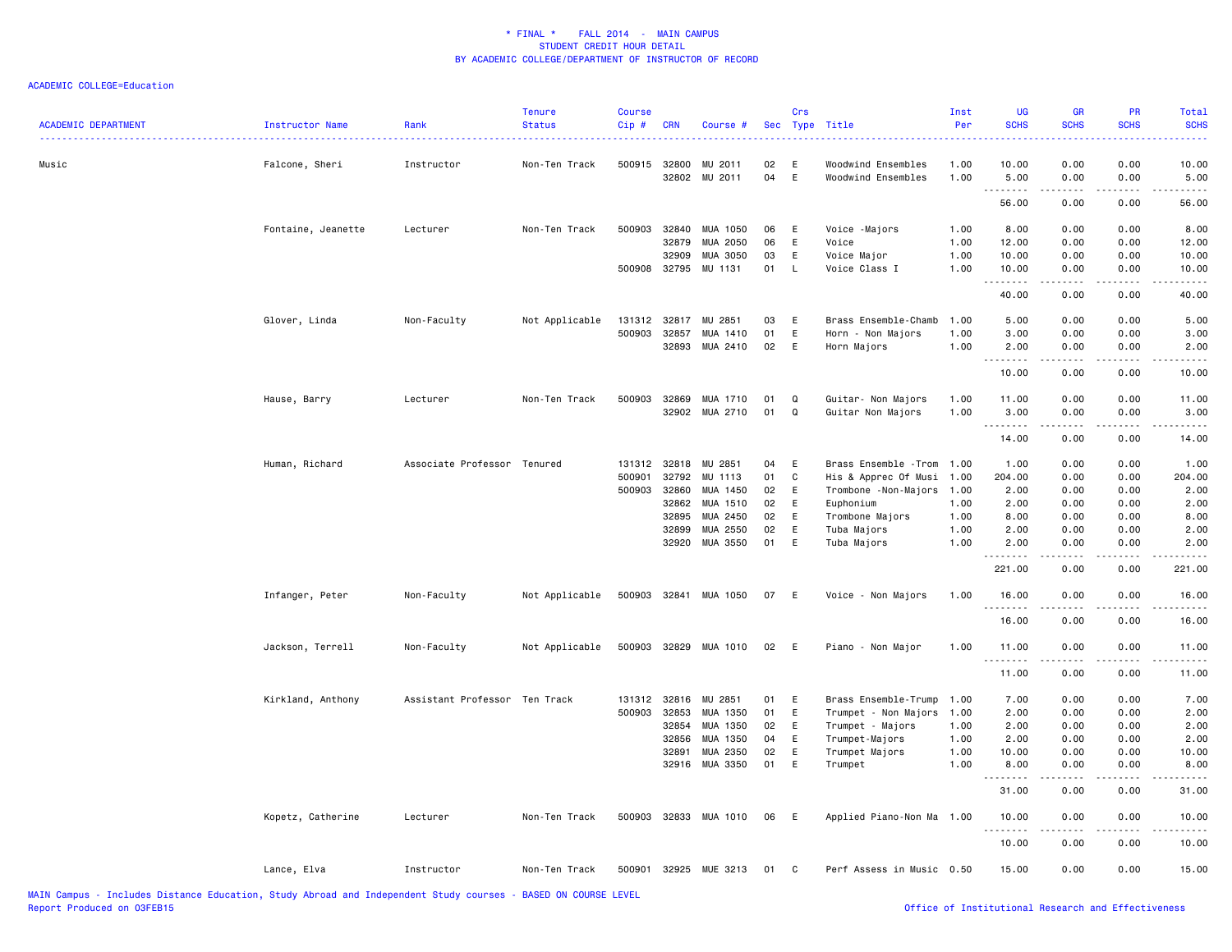| <b>ACADEMIC DEPARTMENT</b> | Instructor Name    | Rank                          | <b>Tenure</b><br><b>Status</b> | Course<br>Cip# | <b>CRN</b> | Course #              |    | Crs    | Sec Type Title                           | Inst<br>Per | <b>UG</b><br><b>SCHS</b> | <b>GR</b><br><b>SCHS</b> | PR<br><b>SCHS</b>  | Total<br><b>SCHS</b>  |
|----------------------------|--------------------|-------------------------------|--------------------------------|----------------|------------|-----------------------|----|--------|------------------------------------------|-------------|--------------------------|--------------------------|--------------------|-----------------------|
| Music                      |                    | Instructor                    | Non-Ten Track                  | 500915 32800   |            | MU 2011               | 02 |        |                                          | 1.00        |                          |                          | 0.00               |                       |
|                            | Falcone, Sheri     |                               |                                |                | 32802      | MU 2011               | 04 | E<br>E | Woodwind Ensembles<br>Woodwind Ensembles | 1.00        | 10.00<br>5.00            | 0.00<br>0.00             | 0.00               | 10.00<br>5.00         |
|                            |                    |                               |                                |                |            |                       |    |        |                                          |             | .<br>56.00               | 0.00                     | 0.00               | 56.00                 |
|                            | Fontaine, Jeanette | Lecturer                      | Non-Ten Track                  | 500903         | 32840      | MUA 1050              | 06 | E      | Voice -Majors                            | 1.00        | 8.00                     | 0.00                     | 0.00               | 8.00                  |
|                            |                    |                               |                                |                | 32879      | MUA 2050              | 06 | E      | Voice                                    | 1.00        | 12.00                    | 0.00                     | 0.00               | 12.00                 |
|                            |                    |                               |                                |                | 32909      | MUA 3050              | 03 | E      | Voice Major                              | 1.00        | 10.00                    | 0.00                     | 0.00               | 10.00                 |
|                            |                    |                               |                                | 500908 32795   |            | MU 1131               | 01 | L.     | Voice Class I                            | 1.00        | 10.00<br>.               | 0.00<br>$\frac{1}{2}$    | 0.00<br>.          | 10.00<br>$\cdots$     |
|                            |                    |                               |                                |                |            |                       |    |        |                                          |             | 40.00                    | 0.00                     | 0.00               | 40.00                 |
|                            | Glover, Linda      | Non-Faculty                   | Not Applicable                 | 131312         | 32817      | MU 2851               | 03 | E      | Brass Ensemble-Chamb                     | 1.00        | 5.00                     | 0.00                     | 0.00               | 5.00                  |
|                            |                    |                               |                                | 500903         | 32857      | MUA 1410              | 01 | E      | Horn - Non Majors                        | 1.00        | 3.00                     | 0.00                     | 0.00               | 3.00                  |
|                            |                    |                               |                                |                | 32893      | MUA 2410              | 02 | E      | Horn Majors                              | 1.00        | 2.00<br>. <b>.</b>       | 0.00<br>.                | 0.00<br>.          | 2.00<br>$\frac{1}{2}$ |
|                            |                    |                               |                                |                |            |                       |    |        |                                          |             | 10.00                    | 0.00                     | 0.00               | 10.00                 |
|                            | Hause, Barry       | Lecturer                      | Non-Ten Track                  | 500903         | 32869      | MUA 1710              | 01 | Q      | Guitar- Non Majors                       | 1.00        | 11.00                    | 0.00                     | 0.00               | 11.00                 |
|                            |                    |                               |                                |                | 32902      | MUA 2710              | 01 | Q      | Guitar Non Majors                        | 1.00        | 3.00                     | 0.00                     | 0.00               | 3.00                  |
|                            |                    |                               |                                |                |            |                       |    |        |                                          |             |                          | .                        | .                  | .                     |
|                            |                    |                               |                                |                |            |                       |    |        |                                          |             | 14.00                    | 0.00                     | 0.00               | 14.00                 |
|                            | Human, Richard     | Associate Professor Tenured   |                                | 131312         | 32818      | MU 2851               | 04 | E      | Brass Ensemble - Trom                    | 1.00        | 1.00                     | 0.00                     | 0.00               | 1.00                  |
|                            |                    |                               |                                | 500901         | 32792      | MU 1113               | 01 | C      | His & Apprec Of Musi                     | 1.00        | 204.00                   | 0.00                     | 0.00               | 204.00                |
|                            |                    |                               |                                | 500903 32860   |            | MUA 1450              | 02 | E      | Trombone -Non-Majors                     | 1.00        | 2.00                     | 0.00                     | 0.00               | 2.00                  |
|                            |                    |                               |                                |                | 32862      | MUA 1510              | 02 | E      | Euphonium                                | 1.00        | 2.00                     | 0.00                     | 0.00               | 2.00                  |
|                            |                    |                               |                                |                | 32895      | MUA 2450              | 02 | E      | Trombone Majors                          | 1.00        | 8.00                     | 0.00                     | 0.00               | 8.00                  |
|                            |                    |                               |                                |                | 32899      | MUA 2550              | 02 | E      | Tuba Majors                              | 1.00        | 2.00                     | 0.00                     | 0.00               | 2.00                  |
|                            |                    |                               |                                |                | 32920      | MUA 3550              | 01 | E      | Tuba Majors                              | 1.00        | 2.00                     | 0.00                     | 0.00               | 2.00                  |
|                            |                    |                               |                                |                |            |                       |    |        |                                          |             | 221.00                   | 0.00                     | 0.00               | 221.00                |
|                            | Infanger, Peter    | Non-Faculty                   | Not Applicable                 |                |            | 500903 32841 MUA 1050 | 07 | E      | Voice - Non Majors                       | 1.00        | 16.00<br>.               | 0.00                     | 0.00               | 16.00                 |
|                            |                    |                               |                                |                |            |                       |    |        |                                          |             | 16.00                    | 0.00                     | 0.00               | 16.00                 |
|                            | Jackson, Terrell   | Non-Faculty                   | Not Applicable                 | 500903 32829   |            | MUA 1010              | 02 | E      | Piano - Non Major                        | 1.00        | 11.00                    | 0.00<br>.                | 0.00<br>. <b>.</b> | 11.00<br>.            |
|                            |                    |                               |                                |                |            |                       |    |        |                                          |             | 11.00                    | 0.00                     | 0.00               | 11.00                 |
|                            | Kirkland, Anthony  | Assistant Professor Ten Track |                                | 131312 32816   |            | MU 2851               | 01 | E      | Brass Ensemble-Trump                     | 1.00        | 7.00                     | 0.00                     | 0.00               | 7.00                  |
|                            |                    |                               |                                | 500903 32853   |            | MUA 1350              | 01 | E      | Trumpet - Non Majors                     | 1.00        | 2.00                     | 0.00                     | 0.00               | 2.00                  |
|                            |                    |                               |                                |                | 32854      | MUA 1350              | 02 | E      | Trumpet - Majors                         | 1.00        | 2.00                     | 0.00                     | 0.00               | 2.00                  |
|                            |                    |                               |                                |                | 32856      | MUA 1350              | 04 | E      | Trumpet-Majors                           | 1.00        | 2.00                     | 0.00                     | 0.00               | 2.00                  |
|                            |                    |                               |                                |                | 32891      | MUA 2350              | 02 | E      | Trumpet Majors                           | 1.00        | 10.00                    | 0.00                     | 0.00               | 10.00                 |
|                            |                    |                               |                                |                | 32916      | MUA 3350              | 01 | E      | Trumpet                                  | 1.00        | 8.00                     | 0.00                     | 0.00               | 8.00                  |
|                            |                    |                               |                                |                |            |                       |    |        |                                          |             | . <b>.</b><br>31.00      | .<br>0.00                | .<br>0.00          | .<br>31.00            |
|                            | Kopetz, Catherine  | Lecturer                      | Non-Ten Track                  |                |            | 500903 32833 MUA 1010 | 06 | E      | Applied Piano-Non Ma 1.00                |             | 10.00                    | 0.00                     | 0.00               | 10.00                 |
|                            |                    |                               |                                |                |            |                       |    |        |                                          |             | <b></b><br>10.00         | .<br>0.00                | .<br>0.00          | .<br>10.00            |
|                            | Lance, Elva        | Instructor                    | Non-Ten Track                  |                |            | 500901 32925 MUE 3213 | 01 | C      | Perf Assess in Music 0.50                |             | 15.00                    | 0.00                     | 0.00               | 15.00                 |
|                            |                    |                               |                                |                |            |                       |    |        |                                          |             |                          |                          |                    |                       |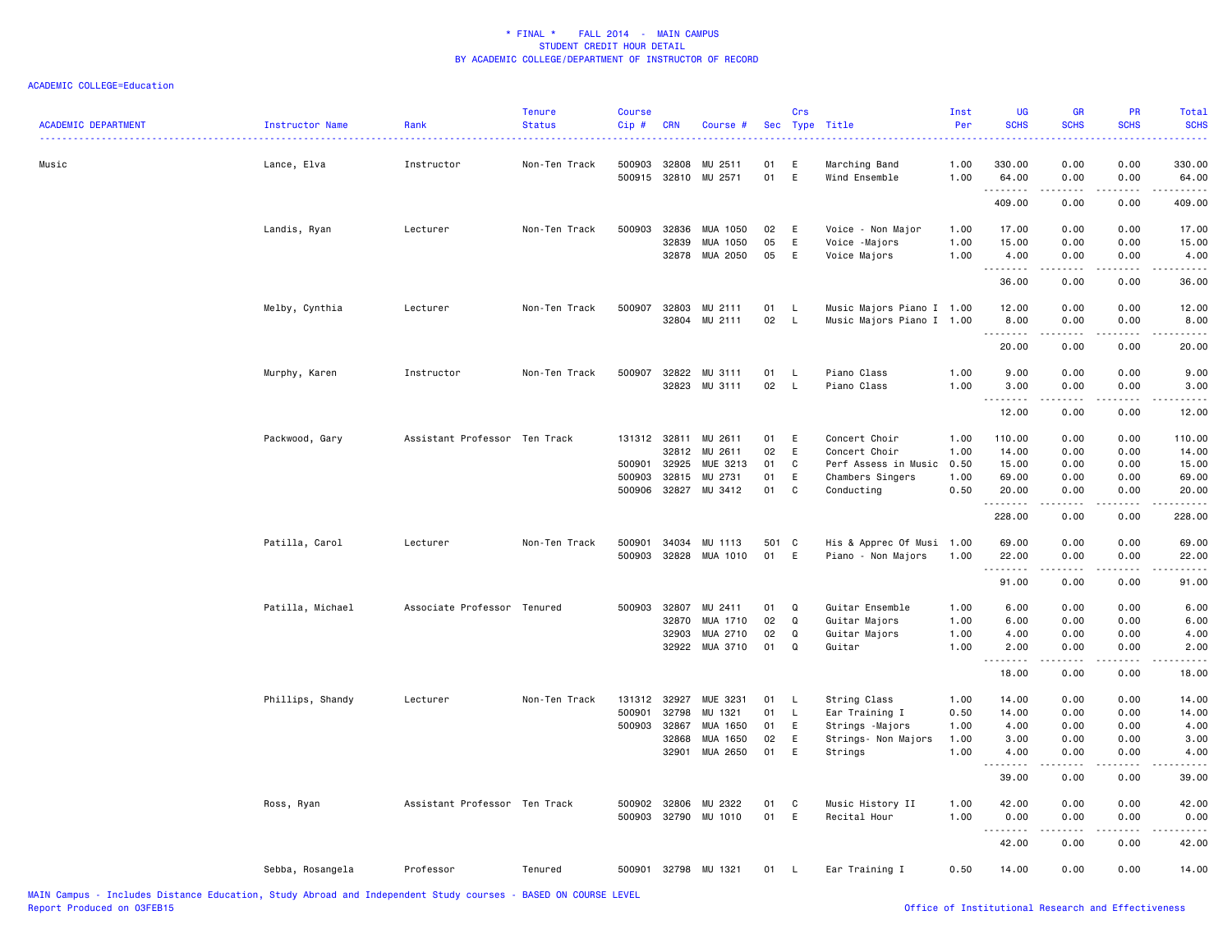| <b>ACADEMIC DEPARTMENT</b> | <b>Instructor Name</b> | Rank                          | <b>Tenure</b><br><b>Status</b> | <b>Course</b><br>Cip#  | <b>CRN</b>     | Course #                   | Sec      | Crs           | Type Title                                             | Inst<br>Per  | <b>UG</b><br><b>SCHS</b> | GR<br><b>SCHS</b>                                                                                                                                                                                                                                                                                                                                    | <b>PR</b><br><b>SCHS</b>            | Total<br><b>SCHS</b><br>.                    |
|----------------------------|------------------------|-------------------------------|--------------------------------|------------------------|----------------|----------------------------|----------|---------------|--------------------------------------------------------|--------------|--------------------------|------------------------------------------------------------------------------------------------------------------------------------------------------------------------------------------------------------------------------------------------------------------------------------------------------------------------------------------------------|-------------------------------------|----------------------------------------------|
| Music                      | Lance, Elva            | Instructor                    | Non-Ten Track                  | 500903<br>500915 32810 | 32808          | MU 2511<br>MU 2571         | 01<br>01 | E<br>E        | Marching Band<br>Wind Ensemble                         | 1.00<br>1.00 | 330.00<br>64.00          | 0.00<br>0.00                                                                                                                                                                                                                                                                                                                                         | 0.00<br>0.00                        | 330.00<br>64.00                              |
|                            |                        |                               |                                |                        |                |                            |          |               |                                                        |              | .<br>409.00              | 0.00                                                                                                                                                                                                                                                                                                                                                 | 0.00                                | .<br>409.00                                  |
|                            | Landis, Ryan           | Lecturer                      | Non-Ten Track                  | 500903                 | 32836          | MUA 1050                   | 02       | Ε             | Voice - Non Major                                      | 1.00         | 17.00                    | 0.00                                                                                                                                                                                                                                                                                                                                                 | 0.00                                | 17.00                                        |
|                            |                        |                               |                                |                        | 32839          | MUA 1050<br>32878 MUA 2050 | 05<br>05 | E<br>E        | Voice -Majors<br>Voice Majors                          | 1.00<br>1.00 | 15.00<br>4.00<br>.       | 0.00<br>0.00<br>$\frac{1}{2} \left( \begin{array}{ccc} 1 & 0 & 0 & 0 \\ 0 & 0 & 0 & 0 \\ 0 & 0 & 0 & 0 \\ 0 & 0 & 0 & 0 \\ 0 & 0 & 0 & 0 \\ 0 & 0 & 0 & 0 \\ 0 & 0 & 0 & 0 \\ 0 & 0 & 0 & 0 \\ 0 & 0 & 0 & 0 \\ 0 & 0 & 0 & 0 \\ 0 & 0 & 0 & 0 & 0 \\ 0 & 0 & 0 & 0 & 0 \\ 0 & 0 & 0 & 0 & 0 \\ 0 & 0 & 0 & 0 & 0 \\ 0 & 0 & 0 & 0 & 0 \\ 0 & 0 & 0$ | 0.00<br>0.00<br>.                   | 15.00<br>4.00<br>$\sim$ $\sim$ $\sim$ $\sim$ |
|                            |                        |                               |                                |                        |                |                            |          |               |                                                        |              | 36.00                    | 0.00                                                                                                                                                                                                                                                                                                                                                 | 0.00                                | 36.00                                        |
|                            | Melby, Cynthia         | Lecturer                      | Non-Ten Track                  | 500907                 | 32803<br>32804 | MU 2111<br>MU 2111         | 01<br>02 | L<br><b>L</b> | Music Majors Piano I 1.00<br>Music Majors Piano I 1.00 |              | 12.00<br>8.00            | 0.00<br>0.00                                                                                                                                                                                                                                                                                                                                         | 0.00<br>0.00                        | 12.00<br>8.00                                |
|                            |                        |                               |                                |                        |                |                            |          |               |                                                        |              | .<br>20.00               | 0.00                                                                                                                                                                                                                                                                                                                                                 | $\sim$ $\sim$ $\sim$ $\sim$<br>0.00 | $\cdots$<br>20.00                            |
|                            | Murphy, Karen          | Instructor                    | Non-Ten Track                  | 500907                 | 32822          | MU 3111<br>32823 MU 3111   | 01<br>02 | L<br>L        | Piano Class<br>Piano Class                             | 1.00<br>1.00 | 9.00<br>3.00             | 0.00<br>0.00                                                                                                                                                                                                                                                                                                                                         | 0.00<br>0.00                        | 9.00<br>3.00                                 |
|                            |                        |                               |                                |                        |                |                            |          |               |                                                        |              | .<br>12.00               | $\begin{array}{cccccccccc} \bullet & \bullet & \bullet & \bullet & \bullet & \bullet \end{array}$<br>0.00                                                                                                                                                                                                                                            | .<br>0.00                           | .<br>12.00                                   |
|                            | Packwood, Gary         | Assistant Professor           | Ten Track                      | 131312 32811           |                | MU 2611                    | 01       | E             | Concert Choir                                          | 1.00         | 110.00                   | 0.00                                                                                                                                                                                                                                                                                                                                                 | 0.00                                | 110.00                                       |
|                            |                        |                               |                                |                        | 32812          | MU 2611                    | 02       | E             | Concert Choir                                          | 1.00         | 14.00                    | 0.00                                                                                                                                                                                                                                                                                                                                                 | 0.00                                | 14.00                                        |
|                            |                        |                               |                                | 500901                 | 32925          | MUE 3213                   | 01       | C             | Perf Assess in Music                                   | 0.50         | 15.00                    | 0.00                                                                                                                                                                                                                                                                                                                                                 | 0.00                                | 15.00                                        |
|                            |                        |                               |                                | 500903                 | 32815          | MU 2731                    | 01       | E             | Chambers Singers                                       | 1.00         | 69.00                    | 0.00                                                                                                                                                                                                                                                                                                                                                 | 0.00                                | 69.00                                        |
|                            |                        |                               |                                | 500906                 | 32827          | MU 3412                    | 01       | C             | Conducting                                             | 0.50         | 20.00<br>.               | 0.00<br>.                                                                                                                                                                                                                                                                                                                                            | 0.00<br>$\sim$ $\sim$ $\sim$        | 20.00<br>.                                   |
|                            |                        |                               |                                |                        |                |                            |          |               |                                                        |              | 228.00                   | 0.00                                                                                                                                                                                                                                                                                                                                                 | 0.00                                | 228.00                                       |
|                            | Patilla, Carol         | Lecturer                      | Non-Ten Track                  | 500901                 | 34034          | MU 1113                    | 501      | C             | His & Apprec Of Musi 1.00                              |              | 69.00                    | 0.00                                                                                                                                                                                                                                                                                                                                                 | 0.00                                | 69.00                                        |
|                            |                        |                               |                                | 500903                 |                | 32828 MUA 1010             | 01       | E             | Piano - Non Majors                                     | 1.00         | 22.00<br>.               | 0.00<br>- - - - -                                                                                                                                                                                                                                                                                                                                    | 0.00<br>د د د د                     | 22.00<br>د د د د د                           |
|                            |                        |                               |                                |                        |                |                            |          |               |                                                        |              | 91.00                    | 0.00                                                                                                                                                                                                                                                                                                                                                 | 0.00                                | 91.00                                        |
|                            | Patilla, Michael       | Associate Professor Tenured   |                                | 500903                 | 32807          | MU 2411                    | 01       | $\mathbf Q$   | Guitar Ensemble                                        | 1.00         | 6.00                     | 0.00                                                                                                                                                                                                                                                                                                                                                 | 0.00                                | 6.00                                         |
|                            |                        |                               |                                |                        | 32870          | MUA 1710                   | 02       | Q             | Guitar Majors                                          | 1.00         | 6.00                     | 0.00                                                                                                                                                                                                                                                                                                                                                 | 0.00                                | 6.00                                         |
|                            |                        |                               |                                |                        | 32903          | MUA 2710                   | 02       | Q             | Guitar Majors                                          | 1.00         | 4.00                     | 0.00                                                                                                                                                                                                                                                                                                                                                 | 0.00                                | 4.00                                         |
|                            |                        |                               |                                |                        |                | 32922 MUA 3710             | 01       | Q             | Guitar                                                 | 1.00         | 2.00<br>.                | 0.00<br>.                                                                                                                                                                                                                                                                                                                                            | 0.00<br>.                           | 2.00<br>د د د د د                            |
|                            |                        |                               |                                |                        |                |                            |          |               |                                                        |              | 18.00                    | 0.00                                                                                                                                                                                                                                                                                                                                                 | 0.00                                | 18.00                                        |
|                            | Phillips, Shandy       | Lecturer                      | Non-Ten Track                  | 131312 32927           |                | MUE 3231                   | 01       | L             | String Class                                           | 1.00         | 14.00                    | 0.00                                                                                                                                                                                                                                                                                                                                                 | 0.00                                | 14.00                                        |
|                            |                        |                               |                                | 500901                 | 32798          | MU 1321                    | 01       | L             | Ear Training I                                         | 0.50         | 14.00                    | 0.00                                                                                                                                                                                                                                                                                                                                                 | 0.00                                | 14.00                                        |
|                            |                        |                               |                                | 500903                 | 32867          | MUA 1650                   | 01       | Ε             | Strings - Majors                                       | 1.00         | 4.00                     | 0.00                                                                                                                                                                                                                                                                                                                                                 | 0.00                                | 4.00                                         |
|                            |                        |                               |                                |                        | 32868          | MUA 1650                   | 02       | E             | Strings- Non Majors                                    | 1.00         | 3.00                     | 0.00                                                                                                                                                                                                                                                                                                                                                 | 0.00                                | 3.00                                         |
|                            |                        |                               |                                |                        | 32901          | MUA 2650                   | 01       | E             | Strings                                                | 1.00         | 4.00                     | 0.00                                                                                                                                                                                                                                                                                                                                                 | 0.00                                | 4.00                                         |
|                            |                        |                               |                                |                        |                |                            |          |               |                                                        |              | .<br>39.00               | .<br>0.00                                                                                                                                                                                                                                                                                                                                            | $\sim$ $\sim$ $\sim$ $\sim$<br>0.00 | د د د د د<br>39.00                           |
|                            | Ross, Ryan             | Assistant Professor Ten Track |                                | 500902 32806           |                | MU 2322                    | 01       | C             | Music History II                                       | 1.00         | 42.00                    | 0.00                                                                                                                                                                                                                                                                                                                                                 | 0.00                                | 42.00                                        |
|                            |                        |                               |                                |                        |                | 500903 32790 MU 1010       | 01       | E             | Recital Hour                                           | 1.00         | 0.00                     | 0.00                                                                                                                                                                                                                                                                                                                                                 | 0.00                                | 0.00                                         |
|                            |                        |                               |                                |                        |                |                            |          |               |                                                        |              | <u>.</u><br>42.00        | .<br>0.00                                                                                                                                                                                                                                                                                                                                            | .<br>0.00                           | .<br>42.00                                   |
|                            | Sebba, Rosangela       | Professor                     | Tenured                        |                        |                | 500901 32798 MU 1321       | 01 L     |               | Ear Training I                                         | 0.50         | 14.00                    | 0.00                                                                                                                                                                                                                                                                                                                                                 | 0.00                                | 14.00                                        |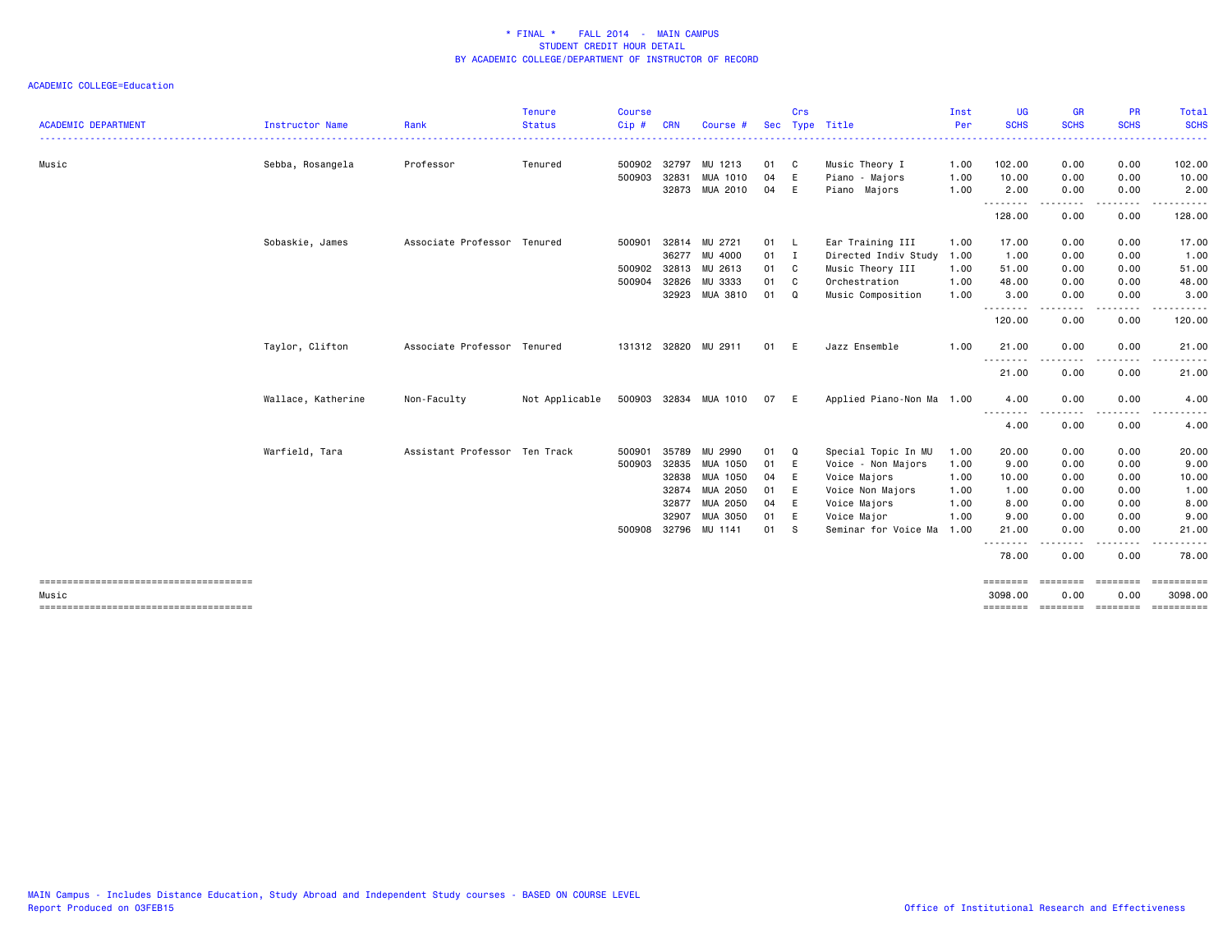| <b>ACADEMIC DEPARTMENT</b> | Instructor Name    | Rank                          | <b>Tenure</b><br><b>Status</b> | <b>Course</b><br>$Cip$ # | <b>CRN</b> | Course #             | <b>Sec</b> | Crs          | Type Title                | Inst<br>Per | <b>UG</b><br><b>SCHS</b>  | <b>GR</b><br><b>SCHS</b> | <b>PR</b><br><b>SCHS</b>                                                                                                          | Total<br><b>SCHS</b>                                                                                                      |
|----------------------------|--------------------|-------------------------------|--------------------------------|--------------------------|------------|----------------------|------------|--------------|---------------------------|-------------|---------------------------|--------------------------|-----------------------------------------------------------------------------------------------------------------------------------|---------------------------------------------------------------------------------------------------------------------------|
|                            |                    |                               |                                |                          |            |                      |            |              |                           |             |                           |                          |                                                                                                                                   | $\frac{1}{2} \left( \frac{1}{2} \right) \left( \frac{1}{2} \right) \left( \frac{1}{2} \right) \left( \frac{1}{2} \right)$ |
| Music                      | Sebba, Rosangela   | Professor                     | Tenured                        | 500902                   | 32797      | MU 1213              | 01         | C            | Music Theory I            | 1.00        | 102.00                    | 0.00                     | 0.00                                                                                                                              | 102.00                                                                                                                    |
|                            |                    |                               |                                | 500903                   | 32831      | <b>MUA 1010</b>      | 04         | E            | Piano - Majors            | 1.00        | 10.00                     | 0.00                     | 0.00                                                                                                                              | 10.00                                                                                                                     |
|                            |                    |                               |                                |                          |            | 32873 MUA 2010       | 04         | E            | Piano Majors              | 1.00        | 2.00                      | 0.00<br>. <b>.</b> .     | 0.00<br>$\frac{1}{2} \left( \frac{1}{2} \right) \left( \frac{1}{2} \right) \left( \frac{1}{2} \right) \left( \frac{1}{2} \right)$ | 2.00<br>$\cdots$                                                                                                          |
|                            |                    |                               |                                |                          |            |                      |            |              |                           |             | 128.00                    | 0.00                     | 0.00                                                                                                                              | 128.00                                                                                                                    |
|                            | Sobaskie, James    | Associate Professor Tenured   |                                | 500901                   | 32814      | MU 2721              | 01         | - L          | Ear Training III          | 1.00        | 17.00                     | 0.00                     | 0.00                                                                                                                              | 17.00                                                                                                                     |
|                            |                    |                               |                                |                          | 36277      | MU 4000              | 01         | $\mathbf{I}$ | Directed Indiv Study      | 1.00        | 1.00                      | 0.00                     | 0.00                                                                                                                              | 1.00                                                                                                                      |
|                            |                    |                               |                                | 500902 32813             |            | MU 2613              | 01         | C            | Music Theory III          | 1.00        | 51.00                     | 0.00                     | 0.00                                                                                                                              | 51.00                                                                                                                     |
|                            |                    |                               |                                | 500904                   | 32826      | MU 3333              | 01         | C            | Orchestration             | 1.00        | 48.00                     | 0.00                     | 0.00                                                                                                                              | 48.00                                                                                                                     |
|                            |                    |                               |                                |                          | 32923      | MUA 3810             | 01         | Q            | Music Composition         | 1.00        | 3.00<br>.                 | 0.00<br>. <b>.</b>       | 0.00<br>.                                                                                                                         | 3.00<br>. <b>.</b>                                                                                                        |
|                            |                    |                               |                                |                          |            |                      |            |              |                           |             | 120.00                    | 0.00                     | 0.00                                                                                                                              | 120.00                                                                                                                    |
|                            | Taylor, Clifton    | Associate Professor Tenured   |                                |                          |            | 131312 32820 MU 2911 | 01         | E            | Jazz Ensemble             | 1.00        | 21.00                     | 0.00                     | 0.00                                                                                                                              | 21.00                                                                                                                     |
|                            |                    |                               |                                |                          |            |                      |            |              |                           |             | .<br>21.00                | 0.00                     | 0.00                                                                                                                              | 21.00                                                                                                                     |
|                            | Wallace, Katherine | Non-Faculty                   | Not Applicable                 | 500903 32834             |            | MUA 1010             | 07         | E            | Applied Piano-Non Ma 1.00 |             | 4.00                      | 0.00                     | 0.00                                                                                                                              | 4.00                                                                                                                      |
|                            |                    |                               |                                |                          |            |                      |            |              |                           |             | .<br>4.00                 | 0.00                     | 0.00                                                                                                                              | 4.00                                                                                                                      |
|                            | Warfield, Tara     | Assistant Professor Ten Track |                                | 500901                   | 35789      | MU 2990              | 01         | Q            | Special Topic In MU       | 1.00        | 20.00                     | 0.00                     | 0.00                                                                                                                              | 20.00                                                                                                                     |
|                            |                    |                               |                                | 500903                   | 32835      | MUA 1050             | 01         | E            | Voice - Non Majors        | 1.00        | 9.00                      | 0.00                     | 0.00                                                                                                                              | 9.00                                                                                                                      |
|                            |                    |                               |                                |                          | 32838      | MUA 1050             | 04         | E            | Voice Majors              | 1.00        | 10.00                     | 0.00                     | 0.00                                                                                                                              | 10.00                                                                                                                     |
|                            |                    |                               |                                |                          | 32874      | MUA 2050             | 01         | E            | Voice Non Majors          | 1.00        | 1.00                      | 0.00                     | 0.00                                                                                                                              | 1.00                                                                                                                      |
|                            |                    |                               |                                |                          | 32877      | MUA 2050             | 04         | E            | Voice Majors              | 1.00        | 8.00                      | 0.00                     | 0.00                                                                                                                              | 8.00                                                                                                                      |
|                            |                    |                               |                                |                          | 32907      | MUA 3050             | 01         | E            | Voice Major               | 1.00        | 9.00                      | 0.00                     | 0.00                                                                                                                              | 9.00                                                                                                                      |
|                            |                    |                               |                                | 500908                   | 32796      | MU 1141              | 01         | -S           | Seminar for Voice Ma      | 1.00        | 21.00<br>- - - - - - - -  | 0.00                     | 0.00<br>د د د د                                                                                                                   | 21.00<br>.                                                                                                                |
|                            |                    |                               |                                |                          |            |                      |            |              |                           |             | 78.00                     | 0.00                     | 0.00                                                                                                                              | 78,00                                                                                                                     |
| Music                      |                    |                               |                                |                          |            |                      |            |              |                           |             | <b>EEEEEEE</b><br>3098.00 | eeeeeee<br>0.00          | essesses<br>0.00                                                                                                                  | $=$ = = = = = = = = = =<br>3098.00                                                                                        |
|                            |                    |                               |                                |                          |            |                      |            |              |                           |             | ========                  |                          | =================                                                                                                                 | $=$ = = = = = = = = = =                                                                                                   |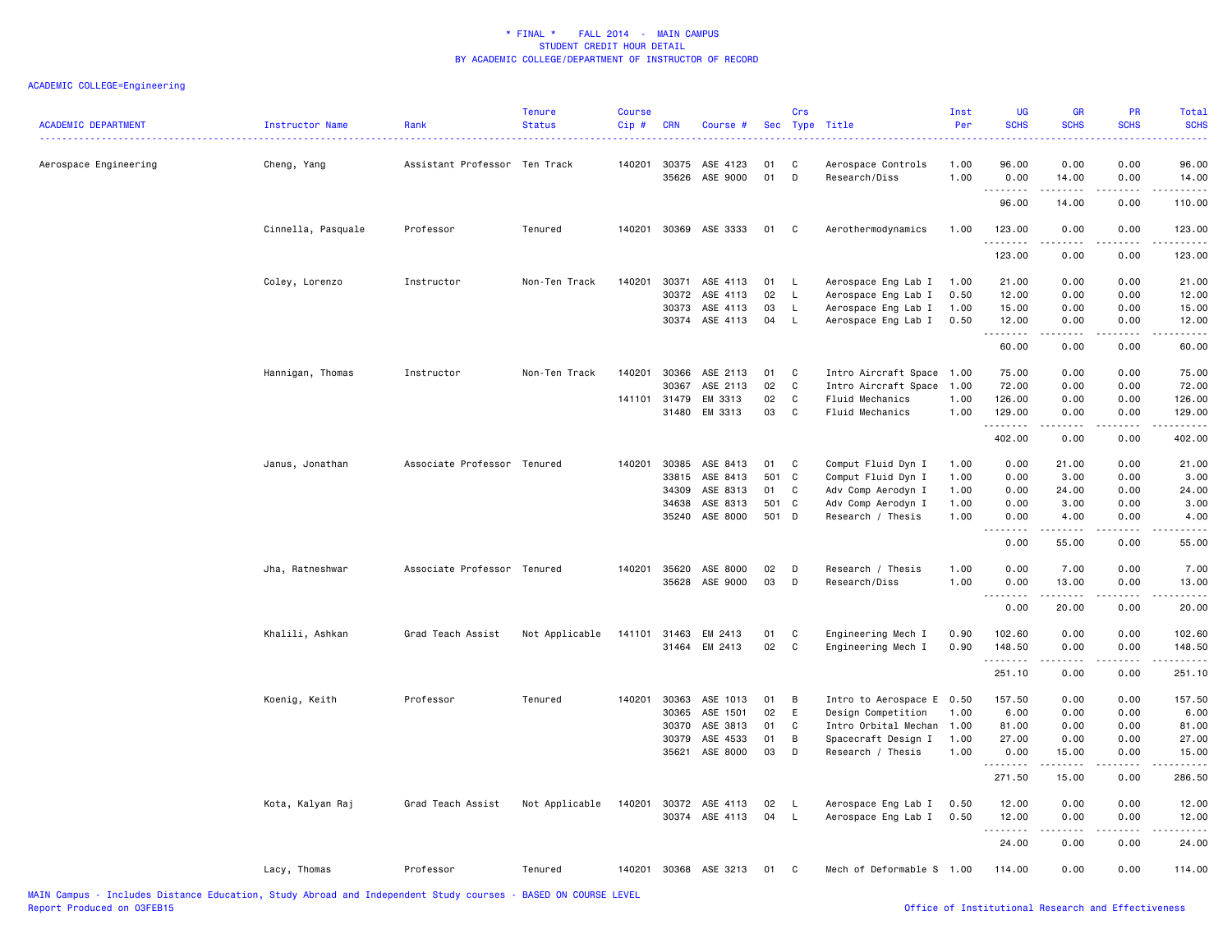| <b>ACADEMIC DEPARTMENT</b> | <b>Instructor Name</b> | Rank                          | <b>Tenure</b><br><b>Status</b> | <b>Course</b><br>Cip# | <b>CRN</b>     | Course #              |          | Crs      | Sec Type Title                      | Inst<br>Per  | <b>UG</b><br><b>SCHS</b> | <b>GR</b><br><b>SCHS</b> | PR<br><b>SCHS</b>                                                                                                                 | Total<br><b>SCHS</b><br>$\frac{1}{2} \left( \frac{1}{2} \right) \left( \frac{1}{2} \right) \left( \frac{1}{2} \right) \left( \frac{1}{2} \right)$                                                                                                                                                                                                                                                                                                                                                |
|----------------------------|------------------------|-------------------------------|--------------------------------|-----------------------|----------------|-----------------------|----------|----------|-------------------------------------|--------------|--------------------------|--------------------------|-----------------------------------------------------------------------------------------------------------------------------------|--------------------------------------------------------------------------------------------------------------------------------------------------------------------------------------------------------------------------------------------------------------------------------------------------------------------------------------------------------------------------------------------------------------------------------------------------------------------------------------------------|
| Aerospace Engineering      | Cheng, Yang            | Assistant Professor Ten Track |                                | 140201                | 30375<br>35626 | ASE 4123<br>ASE 9000  | 01<br>01 | C<br>D   | Aerospace Controls<br>Research/Diss | 1.00<br>1.00 | 96.00<br>0.00            | 0.00<br>14.00            | 0.00<br>0.00                                                                                                                      | 96.00<br>14.00                                                                                                                                                                                                                                                                                                                                                                                                                                                                                   |
|                            |                        |                               |                                |                       |                |                       |          |          |                                     |              | .<br>96.00               | $    -$<br>14.00         | .<br>0.00                                                                                                                         | .<br>110.00                                                                                                                                                                                                                                                                                                                                                                                                                                                                                      |
|                            | Cinnella, Pasquale     | Professor                     | Tenured                        |                       |                | 140201 30369 ASE 3333 | 01       | C.       | Aerothermodynamics                  | 1.00         | 123.00                   | 0.00                     | 0.00                                                                                                                              | 123.00                                                                                                                                                                                                                                                                                                                                                                                                                                                                                           |
|                            |                        |                               |                                |                       |                |                       |          |          |                                     |              | .<br>123.00              | 0.00                     | 0.00                                                                                                                              | $\begin{array}{cccccccccccccc} \multicolumn{2}{c}{} & \multicolumn{2}{c}{} & \multicolumn{2}{c}{} & \multicolumn{2}{c}{} & \multicolumn{2}{c}{} & \multicolumn{2}{c}{} & \multicolumn{2}{c}{} & \multicolumn{2}{c}{} & \multicolumn{2}{c}{} & \multicolumn{2}{c}{} & \multicolumn{2}{c}{} & \multicolumn{2}{c}{} & \multicolumn{2}{c}{} & \multicolumn{2}{c}{} & \multicolumn{2}{c}{} & \multicolumn{2}{c}{} & \multicolumn{2}{c}{} & \multicolumn{2}{c}{} & \multicolumn{2}{c}{} & \$<br>123.00 |
|                            | Coley, Lorenzo         | Instructor                    | Non-Ten Track                  | 140201                | 30371          | ASE 4113              | 01       | <b>L</b> | Aerospace Eng Lab I                 | 1.00         | 21.00                    | 0.00                     | 0.00                                                                                                                              | 21.00                                                                                                                                                                                                                                                                                                                                                                                                                                                                                            |
|                            |                        |                               |                                |                       | 30372          | ASE 4113              | 02       | L.       | Aerospace Eng Lab I                 | 0.50         | 12.00                    | 0.00                     | 0.00                                                                                                                              | 12.00                                                                                                                                                                                                                                                                                                                                                                                                                                                                                            |
|                            |                        |                               |                                |                       | 30373          | ASE 4113              | 03       | L.       | Aerospace Eng Lab I                 | 1.00         | 15.00                    | 0.00                     | 0.00                                                                                                                              | 15.00                                                                                                                                                                                                                                                                                                                                                                                                                                                                                            |
|                            |                        |                               |                                |                       |                | 30374 ASE 4113        | 04       | <b>L</b> | Aerospace Eng Lab I                 | 0.50         | 12.00<br>.               | 0.00<br>-----            | 0.00<br>.                                                                                                                         | 12.00<br>.                                                                                                                                                                                                                                                                                                                                                                                                                                                                                       |
|                            |                        |                               |                                |                       |                |                       |          |          |                                     |              | 60.00                    | 0.00                     | 0.00                                                                                                                              | 60.00                                                                                                                                                                                                                                                                                                                                                                                                                                                                                            |
|                            | Hannigan, Thomas       | Instructor                    | Non-Ten Track                  | 140201                | 30366          | ASE 2113              | 01       | C        | Intro Aircraft Space 1.00           |              | 75.00                    | 0.00                     | 0.00                                                                                                                              | 75.00                                                                                                                                                                                                                                                                                                                                                                                                                                                                                            |
|                            |                        |                               |                                |                       | 30367          | ASE 2113              | 02       | C        | Intro Aircraft Space 1.00           |              | 72.00                    | 0.00                     | 0.00                                                                                                                              | 72.00                                                                                                                                                                                                                                                                                                                                                                                                                                                                                            |
|                            |                        |                               |                                |                       | 141101 31479   | EM 3313               | 02       | C        | Fluid Mechanics                     | 1.00         | 126.00                   | 0.00                     | 0.00                                                                                                                              | 126.00                                                                                                                                                                                                                                                                                                                                                                                                                                                                                           |
|                            |                        |                               |                                |                       | 31480          | EM 3313               | 03       | C        | Fluid Mechanics                     | 1.00         | 129.00<br>.              | 0.00<br>2.2.2.2.2        | 0.00<br>د د د د                                                                                                                   | 129.00<br>.                                                                                                                                                                                                                                                                                                                                                                                                                                                                                      |
|                            |                        |                               |                                |                       |                |                       |          |          |                                     |              | 402.00                   | 0.00                     | 0.00                                                                                                                              | 402.00                                                                                                                                                                                                                                                                                                                                                                                                                                                                                           |
|                            | Janus, Jonathan        | Associate Professor Tenured   |                                | 140201                | 30385          | ASE 8413              | 01       | C        | Comput Fluid Dyn I                  | 1.00         | 0.00                     | 21.00                    | 0.00                                                                                                                              | 21.00                                                                                                                                                                                                                                                                                                                                                                                                                                                                                            |
|                            |                        |                               |                                |                       | 33815          | ASE 8413              | 501      | C        | Comput Fluid Dyn I                  | 1.00         | 0.00                     | 3.00                     | 0.00                                                                                                                              | 3.00                                                                                                                                                                                                                                                                                                                                                                                                                                                                                             |
|                            |                        |                               |                                |                       | 34309          | ASE 8313              | 01       | C        | Adv Comp Aerodyn I                  | 1.00         | 0.00                     | 24.00                    | 0.00                                                                                                                              | 24.00                                                                                                                                                                                                                                                                                                                                                                                                                                                                                            |
|                            |                        |                               |                                |                       | 34638          | ASE 8313              | 501      | C        | Adv Comp Aerodyn I                  | 1.00         | 0.00                     | 3.00                     | 0.00                                                                                                                              | 3.00                                                                                                                                                                                                                                                                                                                                                                                                                                                                                             |
|                            |                        |                               |                                |                       | 35240          | ASE 8000              | 501      | D        | Research / Thesis                   | 1.00         | 0.00                     | 4.00                     | 0.00                                                                                                                              | 4.00                                                                                                                                                                                                                                                                                                                                                                                                                                                                                             |
|                            |                        |                               |                                |                       |                |                       |          |          |                                     |              | <u>.</u><br>0.00         | .<br>55.00               | $\sim$ $\sim$ $\sim$ $\sim$<br>0.00                                                                                               | -----<br>55.00                                                                                                                                                                                                                                                                                                                                                                                                                                                                                   |
|                            | Jha, Ratneshwar        | Associate Professor Tenured   |                                | 140201                | 35620          | ASE 8000              | 02       | D        | Research / Thesis                   | 1.00         | 0.00                     | 7.00                     | 0.00                                                                                                                              | 7.00                                                                                                                                                                                                                                                                                                                                                                                                                                                                                             |
|                            |                        |                               |                                |                       | 35628          | ASE 9000              | 03       | D        | Research/Diss                       | 1.00         | 0.00                     | 13.00                    | 0.00                                                                                                                              | 13.00                                                                                                                                                                                                                                                                                                                                                                                                                                                                                            |
|                            |                        |                               |                                |                       |                |                       |          |          |                                     |              | .                        |                          |                                                                                                                                   | $\sim$ $\sim$ $\sim$ $\sim$                                                                                                                                                                                                                                                                                                                                                                                                                                                                      |
|                            |                        |                               |                                |                       |                |                       |          |          |                                     |              | 0.00                     | 20.00                    | 0.00                                                                                                                              | 20.00                                                                                                                                                                                                                                                                                                                                                                                                                                                                                            |
|                            | Khalili, Ashkan        | Grad Teach Assist             | Not Applicable                 |                       |                | 141101 31463 EM 2413  | 01       | C        | Engineering Mech I                  | 0.90         | 102.60                   | 0.00                     | 0.00                                                                                                                              | 102.60                                                                                                                                                                                                                                                                                                                                                                                                                                                                                           |
|                            |                        |                               |                                |                       |                | 31464 EM 2413         | 02       | C        | Engineering Mech I                  | 0.90         | 148.50                   | 0.00                     | 0.00                                                                                                                              | 148.50                                                                                                                                                                                                                                                                                                                                                                                                                                                                                           |
|                            |                        |                               |                                |                       |                |                       |          |          |                                     |              | .<br>251.10              | 0.00                     | $\frac{1}{2} \left( \frac{1}{2} \right) \left( \frac{1}{2} \right) \left( \frac{1}{2} \right) \left( \frac{1}{2} \right)$<br>0.00 | .<br>251.10                                                                                                                                                                                                                                                                                                                                                                                                                                                                                      |
|                            | Koenig, Keith          | Professor                     | Tenured                        | 140201                | 30363          | ASE 1013              | 01       | B        | Intro to Aerospace E 0.50           |              | 157.50                   | 0.00                     | 0.00                                                                                                                              | 157.50                                                                                                                                                                                                                                                                                                                                                                                                                                                                                           |
|                            |                        |                               |                                |                       | 30365          | ASE 1501              | 02       | E        | Design Competition                  | 1.00         | 6.00                     | 0.00                     | 0.00                                                                                                                              | 6.00                                                                                                                                                                                                                                                                                                                                                                                                                                                                                             |
|                            |                        |                               |                                |                       | 30370          | ASE 3813              | 01       | C        | Intro Orbital Mechan 1.00           |              | 81.00                    | 0.00                     | 0.00                                                                                                                              | 81.00                                                                                                                                                                                                                                                                                                                                                                                                                                                                                            |
|                            |                        |                               |                                |                       | 30379          | ASE 4533              | 01       | B        | Spacecraft Design I                 | 1.00         | 27.00                    | 0.00                     | 0.00                                                                                                                              | 27.00                                                                                                                                                                                                                                                                                                                                                                                                                                                                                            |
|                            |                        |                               |                                |                       |                | 35621 ASE 8000        | 03       | D        | Research / Thesis                   | 1.00         | 0.00                     | 15.00                    | 0.00                                                                                                                              | 15.00                                                                                                                                                                                                                                                                                                                                                                                                                                                                                            |
|                            |                        |                               |                                |                       |                |                       |          |          |                                     |              | .                        | .                        | .                                                                                                                                 | .                                                                                                                                                                                                                                                                                                                                                                                                                                                                                                |
|                            |                        |                               |                                |                       |                |                       |          |          |                                     |              | 271.50                   | 15.00                    | 0.00                                                                                                                              | 286.50                                                                                                                                                                                                                                                                                                                                                                                                                                                                                           |
|                            | Kota, Kalyan Raj       | Grad Teach Assist             | Not Applicable                 |                       |                | 140201 30372 ASE 4113 | 02       | L.       | Aerospace Eng Lab I                 | 0.50         | 12.00                    | 0.00                     | 0.00                                                                                                                              | 12.00                                                                                                                                                                                                                                                                                                                                                                                                                                                                                            |
|                            |                        |                               |                                |                       |                | 30374 ASE 4113        | 04       | L.       | Aerospace Eng Lab I                 | 0.50         | 12.00                    | 0.00                     | 0.00                                                                                                                              | 12.00                                                                                                                                                                                                                                                                                                                                                                                                                                                                                            |
|                            |                        |                               |                                |                       |                |                       |          |          |                                     |              | <b>.</b> .<br>24.00      | .<br>0.00                | .<br>0.00                                                                                                                         | .<br>24.00                                                                                                                                                                                                                                                                                                                                                                                                                                                                                       |
|                            | Lacy, Thomas           | Professor                     | Tenured                        |                       |                | 140201 30368 ASE 3213 | 01       | C        | Mech of Deformable S 1.00           |              | 114.00                   | 0.00                     | 0.00                                                                                                                              | 114.00                                                                                                                                                                                                                                                                                                                                                                                                                                                                                           |
|                            |                        |                               |                                |                       |                |                       |          |          |                                     |              |                          |                          |                                                                                                                                   |                                                                                                                                                                                                                                                                                                                                                                                                                                                                                                  |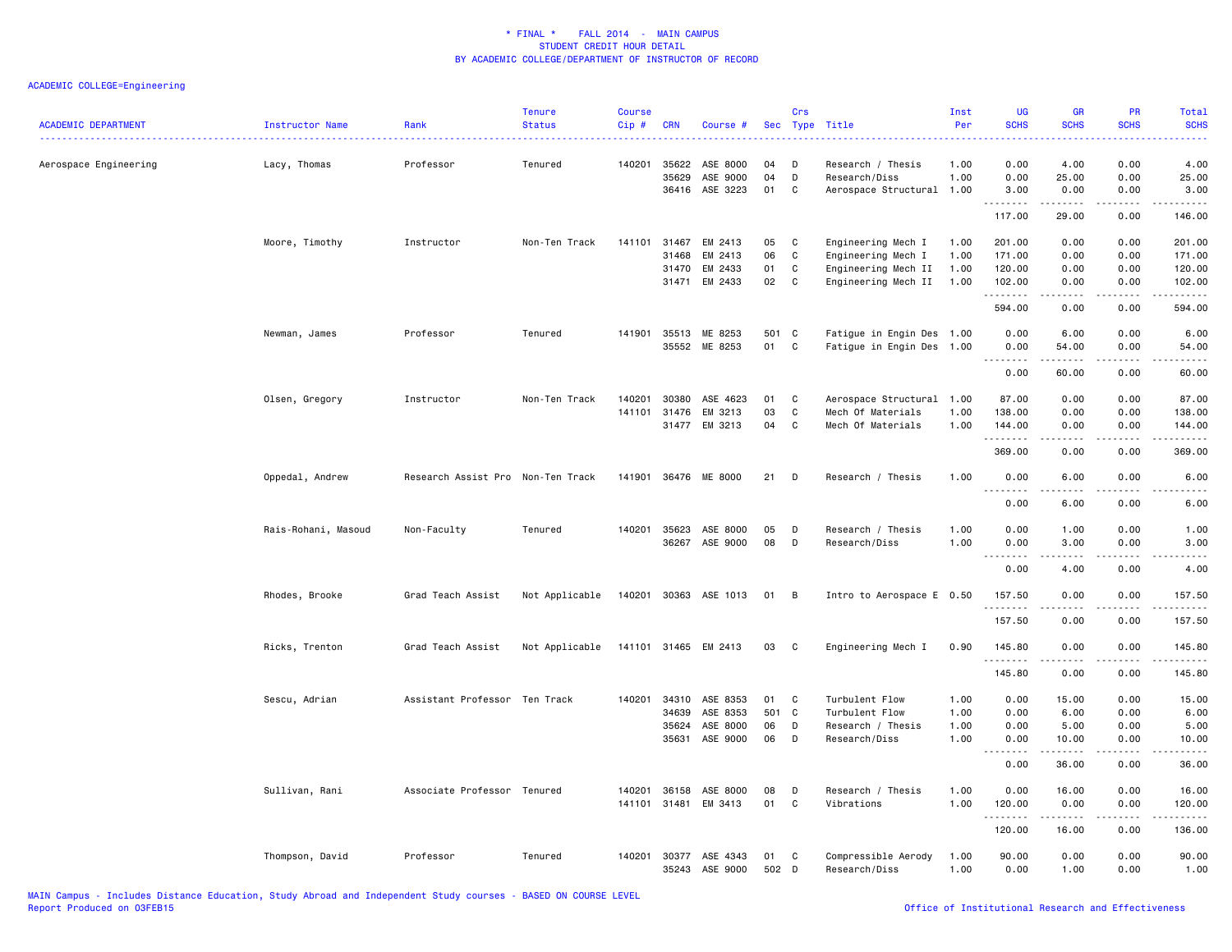| <b>ACADEMIC DEPARTMENT</b> | Instructor Name     | Rank                              | Tenure<br><b>Status</b> | <b>Course</b><br>Cip# | <b>CRN</b>                              | Course #                                     |                       | Crs                         | Sec Type Title                                                                         | Inst<br>Per                  | UG<br><b>SCHS</b>                           | GR<br><b>SCHS</b>                                                                                                                                                                       | PR<br><b>SCHS</b>                         | Total<br><b>SCHS</b>                                                                                                            |
|----------------------------|---------------------|-----------------------------------|-------------------------|-----------------------|-----------------------------------------|----------------------------------------------|-----------------------|-----------------------------|----------------------------------------------------------------------------------------|------------------------------|---------------------------------------------|-----------------------------------------------------------------------------------------------------------------------------------------------------------------------------------------|-------------------------------------------|---------------------------------------------------------------------------------------------------------------------------------|
| Aerospace Engineering      | Lacy, Thomas        | Professor                         | Tenured                 | 140201                | 35622<br>35629                          | ASE 8000<br>ASE 9000<br>36416 ASE 3223       | 04<br>04<br>01        | D<br>D<br>C                 | Research / Thesis<br>Research/Diss<br>Aerospace Structural 1.00                        | 1.00<br>1.00                 | 0.00<br>0.00<br>3.00                        | 4.00<br>25.00<br>0.00                                                                                                                                                                   | 0.00<br>0.00<br>0.00                      | 4.00<br>25.00<br>3.00                                                                                                           |
|                            |                     |                                   |                         |                       |                                         |                                              |                       |                             |                                                                                        |                              | .<br>117.00                                 | .<br>29.00                                                                                                                                                                              | .<br>0.00                                 | .<br>146.00                                                                                                                     |
|                            | Moore, Timothy      | Instructor                        | Non-Ten Track           |                       | 141101 31467<br>31468<br>31470<br>31471 | EM 2413<br>EM 2413<br>EM 2433<br>EM 2433     | 05<br>06<br>01<br>02  | C<br>C<br>$\mathbf{C}$<br>C | Engineering Mech I<br>Engineering Mech I<br>Engineering Mech II<br>Engineering Mech II | 1.00<br>1.00<br>1.00<br>1.00 | 201.00<br>171.00<br>120.00<br>102.00<br>.   | 0.00<br>0.00<br>0.00<br>0.00<br>-----                                                                                                                                                   | 0.00<br>0.00<br>0.00<br>0.00<br>المستبدا  | 201.00<br>171.00<br>120.00<br>102.00<br>.                                                                                       |
|                            | Newman, James       | Professor                         | Tenured                 | 141901                | 35513<br>35552                          | ME 8253<br>ME 8253                           | 501<br>01             | C<br>C                      | Fatigue in Engin Des 1.00<br>Fatigue in Engin Des 1.00                                 |                              | 594.00<br>0.00<br>0.00<br>.                 | 0.00<br>6.00<br>54.00<br>$- - - - -$                                                                                                                                                    | 0.00<br>0.00<br>0.00<br>.                 | 594.00<br>6.00<br>54.00<br>$- - - -$                                                                                            |
|                            | Olsen, Gregory      | Instructor                        | Non-Ten Track           | 140201<br>141101      | 30380<br>31476                          | ASE 4623<br>EM 3213<br>31477 EM 3213         | 01<br>03<br>04        | C<br>C<br>C                 | Aerospace Structural<br>Mech Of Materials<br>Mech Of Materials                         | 1.00<br>1.00<br>1.00         | 0.00<br>87.00<br>138.00<br>144.00           | 60.00<br>0.00<br>0.00<br>0.00                                                                                                                                                           | 0.00<br>0.00<br>0.00<br>0.00              | 60.00<br>87.00<br>138.00<br>144.00                                                                                              |
|                            |                     |                                   |                         |                       |                                         |                                              |                       |                             |                                                                                        |                              | .<br>369.00                                 | $\frac{1}{2} \left( \frac{1}{2} \right) \left( \frac{1}{2} \right) \left( \frac{1}{2} \right) \left( \frac{1}{2} \right) \left( \frac{1}{2} \right) \left( \frac{1}{2} \right)$<br>0.00 | .<br>0.00                                 | $\begin{array}{cccccccccc} \bullet & \bullet & \bullet & \bullet & \bullet & \bullet & \bullet & \bullet \end{array}$<br>369.00 |
|                            | Oppedal, Andrew     | Research Assist Pro Non-Ten Track |                         |                       |                                         | 141901 36476 ME 8000                         | 21                    | D                           | Research / Thesis                                                                      | 1.00                         | 0.00<br>.<br>0.00                           | 6.00<br>-----<br>6.00                                                                                                                                                                   | 0.00<br>$\frac{1}{2}$<br>0.00             | 6.00<br><u>.</u><br>6.00                                                                                                        |
|                            | Rais-Rohani, Masoud | Non-Faculty                       | Tenured                 | 140201                | 35623<br>36267                          | ASE 8000<br>ASE 9000                         | 05<br>08              | D<br>D                      | Research / Thesis<br>Research/Diss                                                     | 1.00<br>1.00                 | 0.00<br>0.00<br>.                           | 1.00<br>3.00<br>.                                                                                                                                                                       | 0.00<br>0.00<br>.                         | 1.00<br>3.00<br>-----                                                                                                           |
|                            | Rhodes, Brooke      | Grad Teach Assist                 | Not Applicable          |                       |                                         | 140201 30363 ASE 1013                        | 01                    | B                           | Intro to Aerospace E 0.50                                                              |                              | 0.00<br>157.50                              | 4.00<br>0.00                                                                                                                                                                            | 0.00<br>0.00                              | 4.00<br>157.50                                                                                                                  |
|                            |                     |                                   |                         |                       |                                         |                                              |                       |                             |                                                                                        |                              | .<br>157.50                                 | 0.00                                                                                                                                                                                    | $\sim$ $\sim$ $\sim$ $\sim$<br>0.00       | ------<br>157.50                                                                                                                |
|                            | Ricks, Trenton      | Grad Teach Assist                 | Not Applicable          |                       |                                         | 141101 31465 EM 2413                         | 03                    | C.                          | Engineering Mech I                                                                     | 0.90                         | 145.80<br>.                                 | 0.00<br>.                                                                                                                                                                               | 0.00<br>.                                 | 145.80<br><u>.</u>                                                                                                              |
|                            | Sescu, Adrian       | Assistant Professor Ten Track     |                         | 140201                | 34310<br>34639<br>35624<br>35631        | ASE 8353<br>ASE 8353<br>ASE 8000<br>ASE 9000 | 01<br>501<br>06<br>06 | C<br>C<br>D<br>D            | Turbulent Flow<br>Turbulent Flow<br>Research / Thesis<br>Research/Diss                 | 1.00<br>1.00<br>1.00<br>1.00 | 145.80<br>0.00<br>0.00<br>0.00<br>0.00<br>. | 0.00<br>15.00<br>6.00<br>5.00<br>10.00<br>.                                                                                                                                             | 0.00<br>0.00<br>0.00<br>0.00<br>0.00<br>. | 145.80<br>15.00<br>6.00<br>5.00<br>10.00<br>$\frac{1}{2}$                                                                       |
|                            | Sullivan, Rani      | Associate Professor Tenured       |                         | 140201                | 36158<br>141101 31481                   | ASE 8000<br>EM 3413                          | 08<br>01              | D<br>C                      | Research / Thesis<br>Vibrations                                                        | 1.00<br>1.00                 | 0.00<br>0.00<br>120.00<br>.                 | 36.00<br>16.00<br>0.00                                                                                                                                                                  | 0.00<br>0.00<br>0.00                      | 36.00<br>16.00<br>120.00<br>د د د د د                                                                                           |
|                            | Thompson, David     | Professor                         | Tenured                 |                       | 140201 30377<br>35243                   | ASE 4343<br>ASE 9000                         | 01<br>502 D           | C                           | Compressible Aerody<br>Research/Diss                                                   | 1.00<br>1.00                 | 120.00<br>90.00<br>0.00                     | 16.00<br>0.00<br>1.00                                                                                                                                                                   | 0.00<br>0.00<br>0.00                      | 136.00<br>90.00<br>1.00                                                                                                         |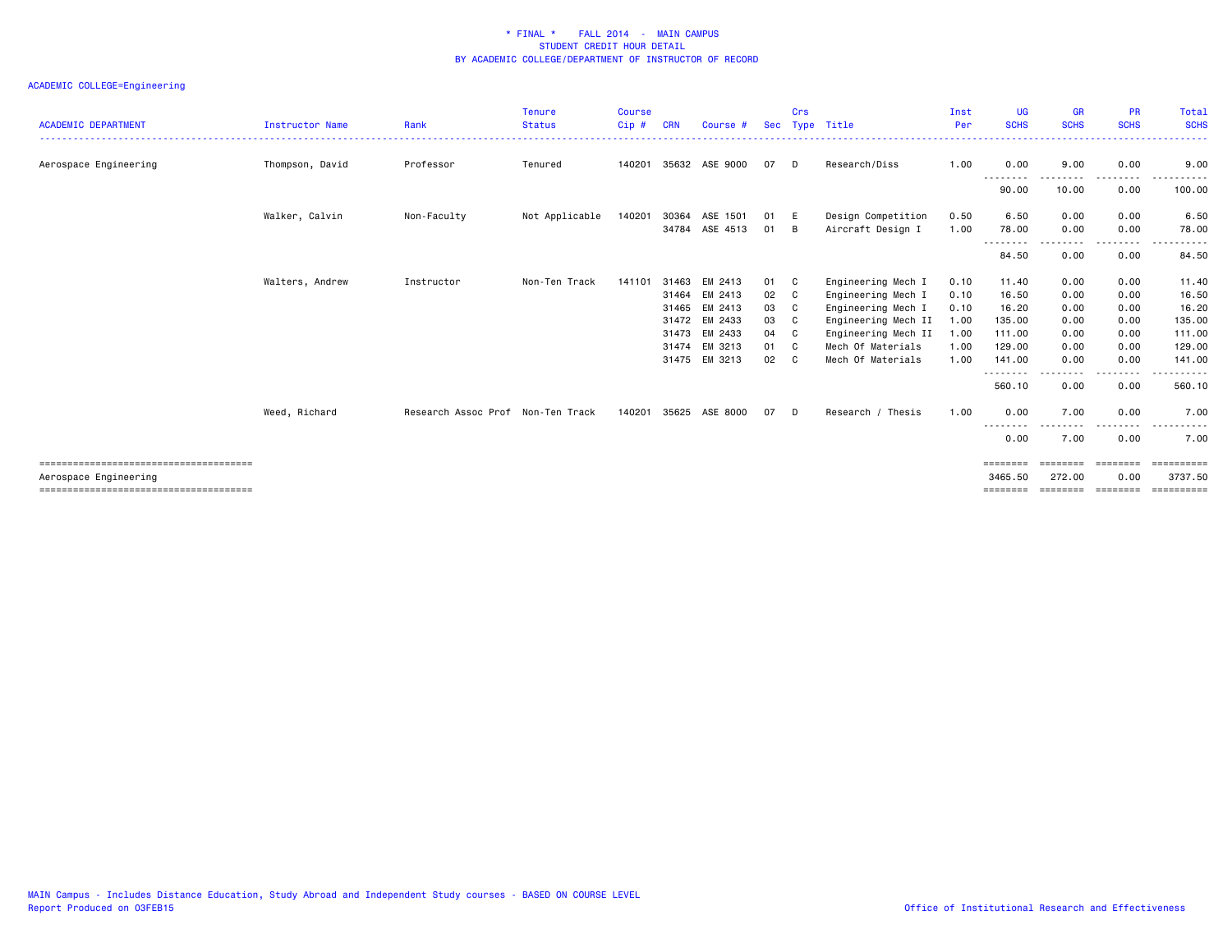| <b>ACADEMIC DEPARTMENT</b> | Instructor Name | Rank                              | <b>Tenure</b><br><b>Status</b> | Course<br>Cip # | CRN   | Course #       |    | Crs | Sec Type Title      | Inst<br>Per | <b>UG</b><br><b>SCHS</b>     | <b>GR</b><br><b>SCHS</b> | <b>PR</b><br><b>SCHS</b> | Total<br><b>SCHS</b>   |
|----------------------------|-----------------|-----------------------------------|--------------------------------|-----------------|-------|----------------|----|-----|---------------------|-------------|------------------------------|--------------------------|--------------------------|------------------------|
|                            |                 |                                   |                                |                 |       |                |    |     |                     |             |                              |                          |                          |                        |
| Aerospace Engineering      | Thompson, David | Professor                         | Tenured                        | 140201          |       | 35632 ASE 9000 | 07 | D   | Research/Diss       | 1.00        | 0.00<br>--------             | 9.00                     | 0.00<br>.                | 9.00                   |
|                            |                 |                                   |                                |                 |       |                |    |     |                     |             | 90.00                        | 10.00                    | 0.00                     | 100.00                 |
|                            | Walker, Calvin  | Non-Faculty                       | Not Applicable                 | 140201          | 30364 | ASE 1501       | 01 | E   | Design Competition  | 0.50        | 6.50                         | 0.00                     | 0.00                     | 6.50                   |
|                            |                 |                                   |                                |                 | 34784 | ASE 4513       | 01 | B   | Aircraft Design I   | 1.00        | 78.00<br>$- - -$             | 0.00                     | 0.00<br>$- - - -$        | 78.00                  |
|                            |                 |                                   |                                |                 |       |                |    |     |                     |             | 84.50                        | 0.00                     | 0.00                     | 84.50                  |
|                            | Walters, Andrew | Instructor                        | Non-Ten Track                  | 141101          | 31463 | EM 2413        | 01 | C   | Engineering Mech I  | 0.10        | 11.40                        | 0.00                     | 0.00                     | 11.40                  |
|                            |                 |                                   |                                |                 | 31464 | EM 2413        | 02 | C   | Engineering Mech I  | 0.10        | 16.50                        | 0.00                     | 0.00                     | 16.50                  |
|                            |                 |                                   |                                |                 | 31465 | EM 2413        | 03 | C   | Engineering Mech I  | 0.10        | 16.20                        | 0.00                     | 0.00                     | 16.20                  |
|                            |                 |                                   |                                |                 | 31472 | EM 2433        | 03 | C   | Engineering Mech II | 1.00        | 135.00                       | 0.00                     | 0.00                     | 135.00                 |
|                            |                 |                                   |                                |                 |       | 31473 EM 2433  | 04 | C   | Engineering Mech II | 1.00        | 111.00                       | 0.00                     | 0.00                     | 111.00                 |
|                            |                 |                                   |                                |                 | 31474 | EM 3213        | 01 | C.  | Mech Of Materials   | 1.00        | 129.00                       | 0.00                     | 0.00                     | 129.00                 |
|                            |                 |                                   |                                |                 |       | 31475 EM 3213  | 02 | C   | Mech Of Materials   | 1.00        | 141.00<br>.                  | 0.00                     | 0.00<br>.                | 141.00<br>------       |
|                            |                 |                                   |                                |                 |       |                |    |     |                     |             | 560.10                       | 0.00                     | 0.00                     | 560.10                 |
|                            | Weed, Richard   | Research Assoc Prof Non-Ten Track |                                | 140201          | 35625 | ASE 8000       | 07 | D   | Research / Thesis   | 1.00        | 0.00                         | 7.00<br>$\frac{1}{2}$    | 0.00                     | 7.00<br>.              |
|                            |                 |                                   |                                |                 |       |                |    |     |                     |             | --------<br>0.00             | 7.00                     | .<br>0.00                | 7.00                   |
|                            |                 |                                   |                                |                 |       |                |    |     |                     |             |                              |                          |                          | eeeeeeeee              |
| Aerospace Engineering      |                 |                                   |                                |                 |       |                |    |     |                     |             | 3465.50<br>$=$ = = = = = = = | 272.00<br>========       | 0.00<br>========         | 3737.50<br>----------- |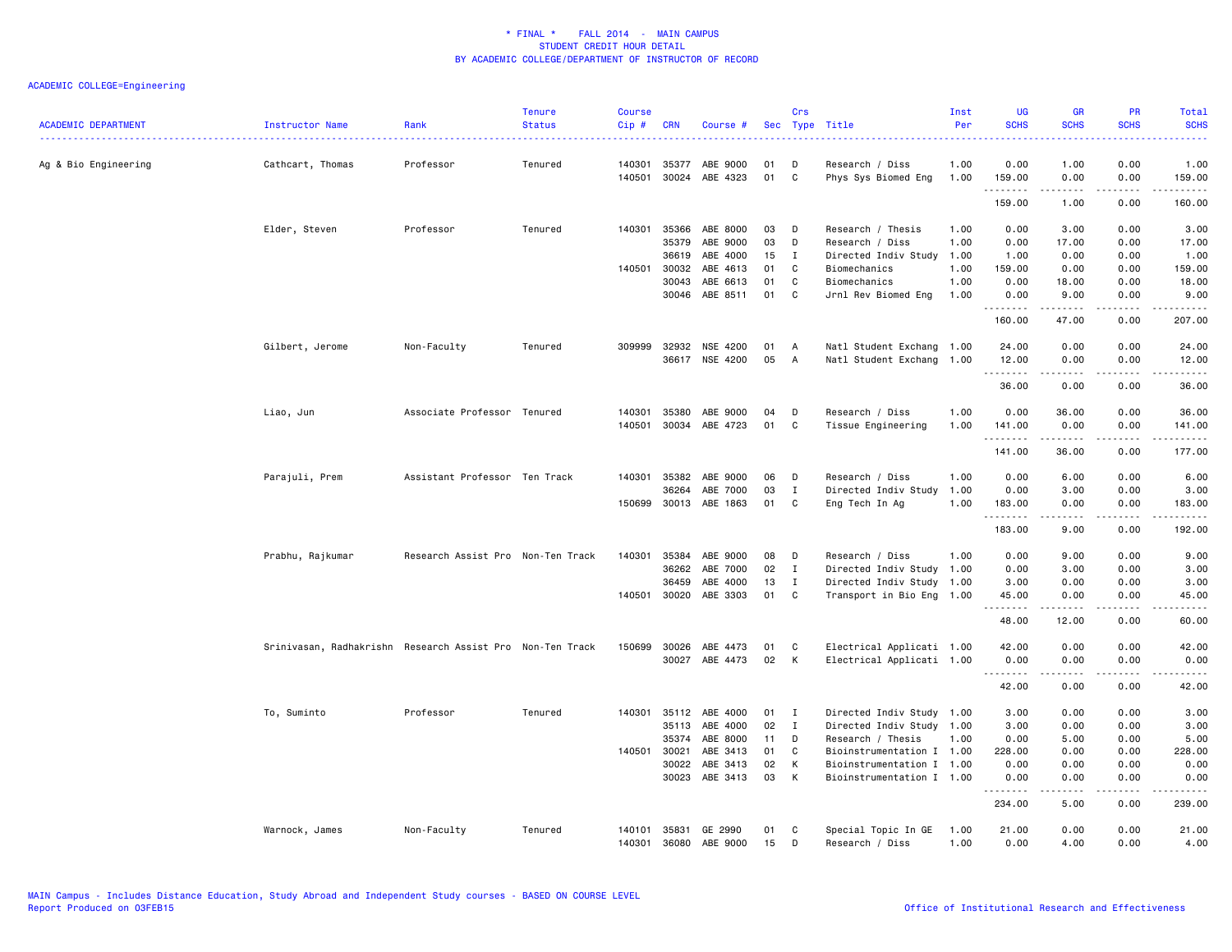| <b>ACADEMIC DEPARTMENT</b> | Instructor Name                                           | Rank                              | <b>Tenure</b><br><b>Status</b> | <b>Course</b><br>Cip# | <b>CRN</b> | Course #       | Sec | Crs          | Type Title                | Inst<br>Per | <b>UG</b><br><b>SCHS</b> | <b>GR</b><br><b>SCHS</b>                                                                                                                                      | PR<br><b>SCHS</b>                   | Total<br><b>SCHS</b>      |
|----------------------------|-----------------------------------------------------------|-----------------------------------|--------------------------------|-----------------------|------------|----------------|-----|--------------|---------------------------|-------------|--------------------------|---------------------------------------------------------------------------------------------------------------------------------------------------------------|-------------------------------------|---------------------------|
| Ag & Bio Engineering       | Cathcart, Thomas                                          | Professor                         | Tenured                        | 140301                | 35377      | ABE 9000       | 01  | D            | Research / Diss           | 1.00        | 0.00                     | 1.00                                                                                                                                                          | 0.00                                | 1.00                      |
|                            |                                                           |                                   |                                | 140501                | 30024      | ABE 4323       | 01  | C            | Phys Sys Biomed Eng       | 1.00        | 159.00<br>.              | 0.00<br>$- - - - -$                                                                                                                                           | 0.00<br>.                           | 159.00<br>$- - - - - -$   |
|                            |                                                           |                                   |                                |                       |            |                |     |              |                           |             | 159.00                   | 1.00                                                                                                                                                          | 0.00                                | 160.00                    |
|                            | Elder, Steven                                             | Professor                         | Tenured                        | 140301                | 35366      | ABE 8000       | 03  | D            | Research / Thesis         | 1.00        | 0.00                     | 3.00                                                                                                                                                          | 0.00                                | 3.00                      |
|                            |                                                           |                                   |                                |                       | 35379      | ABE 9000       | 03  | D            | Research / Diss           | 1.00        | 0.00                     | 17.00                                                                                                                                                         | 0.00                                | 17.00                     |
|                            |                                                           |                                   |                                |                       | 36619      | ABE 4000       | 15  | I            | Directed Indiv Study      | 1.00        | 1.00                     | 0.00                                                                                                                                                          | 0.00                                | 1.00                      |
|                            |                                                           |                                   |                                | 140501                | 30032      | ABE 4613       | 01  | C            | Biomechanics              | 1.00        | 159.00                   | 0.00                                                                                                                                                          | 0.00                                | 159.00                    |
|                            |                                                           |                                   |                                |                       | 30043      | ABE 6613       | 01  | C            | Biomechanics              | 1.00        | 0.00                     | 18.00                                                                                                                                                         | 0.00                                | 18.00                     |
|                            |                                                           |                                   |                                |                       | 30046      | ABE 8511       | 01  | C            | Jrnl Rev Biomed Eng       | 1.00        | 0.00                     | 9.00                                                                                                                                                          | 0.00                                | 9.00                      |
|                            |                                                           |                                   |                                |                       |            |                |     |              |                           |             | .<br>160.00              | $\frac{1}{2}$<br>47.00                                                                                                                                        | $- - - -$<br>0.00                   | .<br>207.00               |
|                            | Gilbert, Jerome                                           | Non-Faculty                       | Tenured                        | 309999                | 32932      | NSE 4200       | 01  | A            | Natl Student Exchang 1.00 |             | 24.00                    | 0.00                                                                                                                                                          | 0.00                                | 24.00                     |
|                            |                                                           |                                   |                                |                       | 36617      | NSE 4200       | 05  | $\mathsf{A}$ | Natl Student Exchang      | 1.00        | 12.00<br>.               | 0.00                                                                                                                                                          | 0.00<br>----                        | 12.00<br>د د د د د        |
|                            |                                                           |                                   |                                |                       |            |                |     |              |                           |             | 36.00                    | 0.00                                                                                                                                                          | 0.00                                | 36.00                     |
|                            | Liao, Jun                                                 | Associate Professor Tenured       |                                | 140301                | 35380      | ABE 9000       | 04  | D            | Research / Diss           | 1.00        | 0.00                     | 36.00                                                                                                                                                         | 0.00                                | 36.00                     |
|                            |                                                           |                                   |                                | 140501                |            | 30034 ABE 4723 | 01  | C            | Tissue Engineering        | 1.00        | 141.00                   | 0.00                                                                                                                                                          | 0.00                                | 141.00                    |
|                            |                                                           |                                   |                                |                       |            |                |     |              |                           |             | .<br>141.00              | .<br>36.00                                                                                                                                                    | .<br>0.00                           | .<br>177.00               |
|                            | Parajuli, Prem                                            | Assistant Professor Ten Track     |                                | 140301                | 35382      | ABE 9000       | 06  | D            | Research / Diss           | 1.00        | 0.00                     | 6.00                                                                                                                                                          | 0.00                                | 6.00                      |
|                            |                                                           |                                   |                                |                       | 36264      | ABE 7000       | 03  | Ι.           | Directed Indiv Study      | 1.00        | 0.00                     | 3.00                                                                                                                                                          | 0.00                                | 3.00                      |
|                            |                                                           |                                   |                                | 150699                | 30013      | ABE 1863       | 01  | C            | Eng Tech In Ag            | 1.00        | 183.00                   | 0.00                                                                                                                                                          | 0.00                                | 183.00                    |
|                            |                                                           |                                   |                                |                       |            |                |     |              |                           |             | .<br>183.00              | .<br>9.00                                                                                                                                                     | .<br>0.00                           | $- - - - - - -$<br>192.00 |
|                            | Prabhu, Rajkumar                                          | Research Assist Pro Non-Ten Track |                                | 140301                |            | 35384 ABE 9000 | 08  | D            | Research / Diss           | 1.00        | 0.00                     | 9.00                                                                                                                                                          | 0.00                                | 9.00                      |
|                            |                                                           |                                   |                                |                       | 36262      | ABE 7000       | 02  | $\mathbf{I}$ | Directed Indiv Study 1.00 |             | 0.00                     | 3.00                                                                                                                                                          | 0.00                                | 3.00                      |
|                            |                                                           |                                   |                                |                       | 36459      | ABE 4000       | 13  | I            | Directed Indiv Study 1.00 |             | 3.00                     | 0.00                                                                                                                                                          | 0.00                                | 3.00                      |
|                            |                                                           |                                   |                                | 140501                | 30020      | ABE 3303       | 01  | C            | Transport in Bio Eng 1.00 |             | 45.00                    | 0.00                                                                                                                                                          | 0.00                                | 45.00                     |
|                            |                                                           |                                   |                                |                       |            |                |     |              |                           |             | .<br>48.00               | $\frac{1}{2} \left( \frac{1}{2} \right) \left( \frac{1}{2} \right) \left( \frac{1}{2} \right) \left( \frac{1}{2} \right) \left( \frac{1}{2} \right)$<br>12.00 | .<br>0.00                           | .<br>60.00                |
|                            | Srinivasan, Radhakrishn Research Assist Pro Non-Ten Track |                                   |                                | 150699                | 30026      | ABE 4473       | 01  | C            | Electrical Applicati 1.00 |             | 42.00                    | 0.00                                                                                                                                                          | 0.00                                | 42.00                     |
|                            |                                                           |                                   |                                |                       | 30027      | ABE 4473       | 02  | к            | Electrical Applicati 1.00 |             | 0.00                     | 0.00                                                                                                                                                          | 0.00                                | 0.00                      |
|                            |                                                           |                                   |                                |                       |            |                |     |              |                           |             | .<br>42.00               | 0.00                                                                                                                                                          | 0.00                                | $- - - - -$<br>42.00      |
|                            | To, Suminto                                               | Professor                         | Tenured                        | 140301                |            | 35112 ABE 4000 | 01  | I            | Directed Indiv Study 1.00 |             | 3.00                     | 0.00                                                                                                                                                          | 0.00                                | 3.00                      |
|                            |                                                           |                                   |                                |                       | 35113      | ABE 4000       | 02  | $\mathbf{I}$ | Directed Indiv Study 1.00 |             | 3.00                     | 0.00                                                                                                                                                          | 0.00                                | 3.00                      |
|                            |                                                           |                                   |                                |                       | 35374      | ABE 8000       | 11  | D            | Research / Thesis         | 1.00        | 0.00                     | 5.00                                                                                                                                                          | 0.00                                | 5.00                      |
|                            |                                                           |                                   |                                | 140501                | 30021      | ABE 3413       | 01  | C            | Bioinstrumentation I 1.00 |             | 228.00                   | 0.00                                                                                                                                                          | 0.00                                | 228.00                    |
|                            |                                                           |                                   |                                |                       | 30022      | ABE 3413       | 02  | K            | Bioinstrumentation I 1.00 |             | 0.00                     | 0.00                                                                                                                                                          | 0.00                                | 0.00                      |
|                            |                                                           |                                   |                                |                       | 30023      | ABE 3413       | 03  | к            | Bioinstrumentation I 1.00 |             | 0.00<br>.                | 0.00<br>.                                                                                                                                                     | 0.00<br>$\sim$ $\sim$ $\sim$ $\sim$ | 0.00<br>.                 |
|                            |                                                           |                                   |                                |                       |            |                |     |              |                           |             | 234.00                   | 5.00                                                                                                                                                          | 0.00                                | 239.00                    |
|                            | Warnock, James                                            | Non-Faculty                       | Tenured                        | 140101                |            | 35831 GE 2990  | 01  | C            | Special Topic In GE       | 1.00        | 21.00                    | 0.00                                                                                                                                                          | 0.00                                | 21.00                     |
|                            |                                                           |                                   |                                | 140301                | 36080      | ABE 9000       | 15  | D            | Research / Diss           | 1.00        | 0.00                     | 4.00                                                                                                                                                          | 0.00                                | 4.00                      |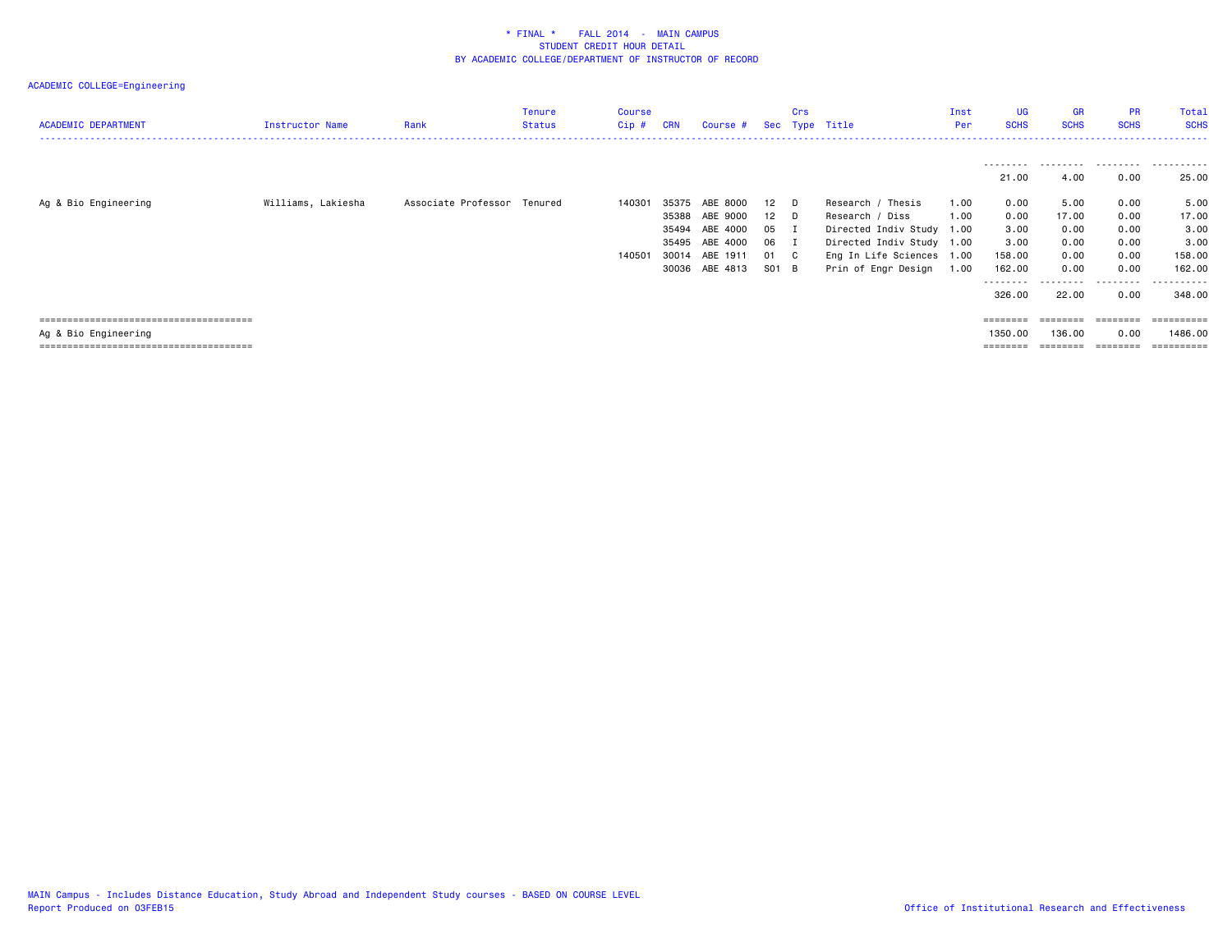| <b>ACADEMIC DEPARTMENT</b> | Instructor Name    | Rank                        | Tenure<br><b>Status</b> | <b>Course</b><br>$Cip$ # | <b>CRN</b>                       | Course #                                                                         |                                               | Crs | Sec Type Title                                                                                                                                     | Inst<br>Per          | <b>UG</b><br><b>SCHS</b>                                                | <b>GR</b><br><b>SCHS</b>                               | <b>PR</b><br><b>SCHS</b>                                           | <b>Total</b><br><b>SCHS</b>                                                      |
|----------------------------|--------------------|-----------------------------|-------------------------|--------------------------|----------------------------------|----------------------------------------------------------------------------------|-----------------------------------------------|-----|----------------------------------------------------------------------------------------------------------------------------------------------------|----------------------|-------------------------------------------------------------------------|--------------------------------------------------------|--------------------------------------------------------------------|----------------------------------------------------------------------------------|
|                            |                    |                             |                         |                          |                                  |                                                                                  |                                               |     |                                                                                                                                                    |                      | ---------<br>21.00                                                      | .<br>4.00                                              | .<br>0.00                                                          | .<br>25.00                                                                       |
| Ag & Bio Engineering       | Williams, Lakiesha | Associate Professor Tenured |                         | 140301<br>140501         | 35375<br>35388<br>35494<br>35495 | ABE 8000<br>ABE 9000<br>ABE 4000<br>ABE 4000<br>30014 ABE 1911<br>30036 ABE 4813 | 12 D<br>12 D<br>05 I<br>06 I<br>01 C<br>S01 B |     | Research / Thesis<br>Research / Diss<br>Directed Indiv Study 1.00<br>Directed Indiv Study 1.00<br>Eng In Life Sciences 1.00<br>Prin of Engr Design | 1.00<br>1.00<br>1.00 | 0.00<br>0.00<br>3.00<br>3.00<br>158.00<br>162.00<br>---------<br>326.00 | 5.00<br>17.00<br>0.00<br>0.00<br>0.00<br>0.00<br>22.00 | 0.00<br>0.00<br>0.00<br>0.00<br>0.00<br>0.00<br>. <u>.</u><br>0.00 | 5.00<br>17.00<br>3.00<br>3.00<br>158.00<br>162.00<br><u>----------</u><br>348.00 |
| Ag & Bio Engineering       |                    |                             |                         |                          |                                  |                                                                                  |                                               |     |                                                                                                                                                    |                      | 1350.00                                                                 | ========<br>136.00                                     | 0.00                                                               | ==========<br>1486.00                                                            |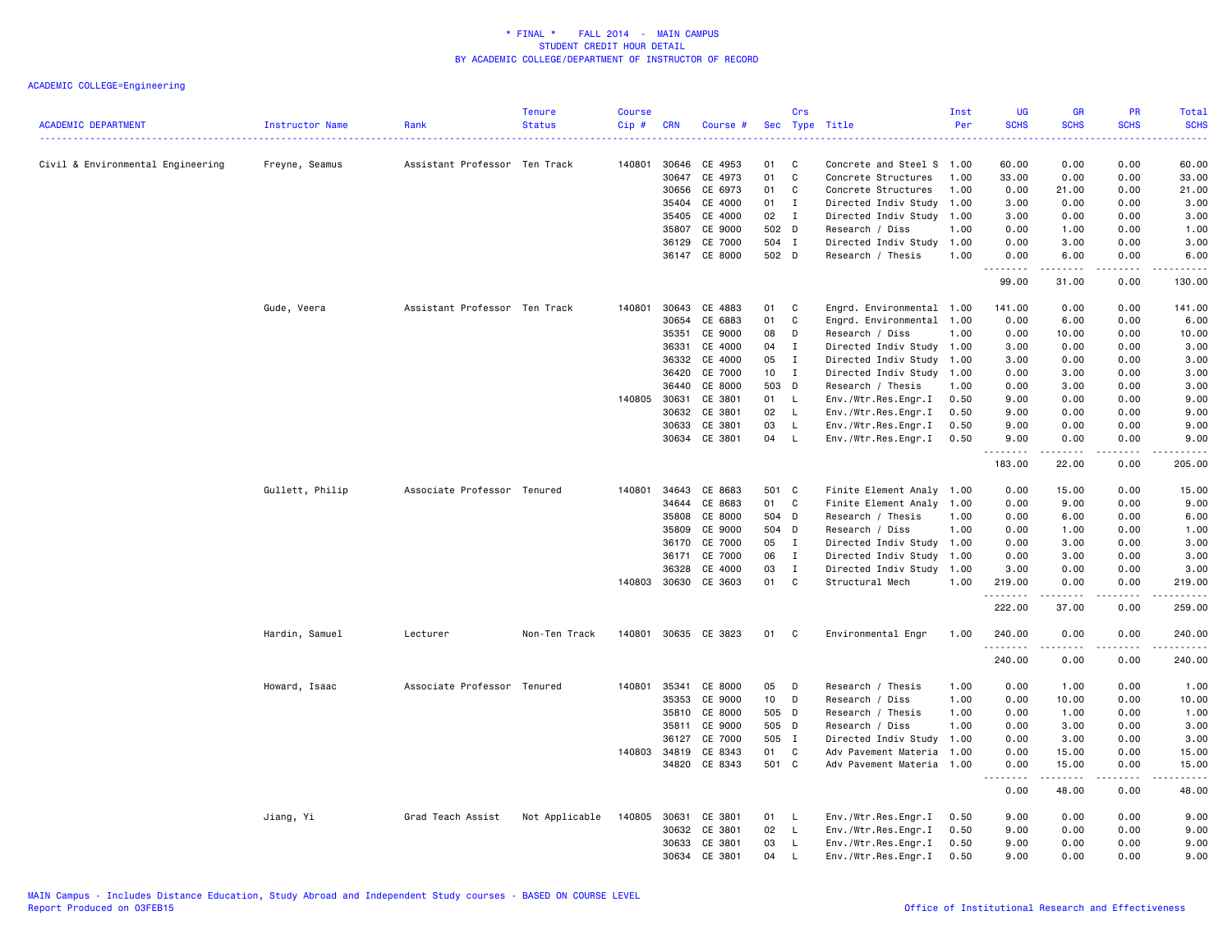| <b>ACADEMIC DEPARTMENT</b>        | Instructor Name | Rank                          | <b>Tenure</b><br><b>Status</b> | <b>Course</b><br>Cip# | <b>CRN</b>     | Course #             |          | Crs          | Sec Type Title                             | Inst<br>Per  | <b>UG</b><br><b>SCHS</b><br>بالأباد | <b>GR</b><br><b>SCHS</b>                                                                                                                                     | PR<br><b>SCHS</b><br>2222 | Total<br><b>SCHS</b><br>والانتاب |
|-----------------------------------|-----------------|-------------------------------|--------------------------------|-----------------------|----------------|----------------------|----------|--------------|--------------------------------------------|--------------|-------------------------------------|--------------------------------------------------------------------------------------------------------------------------------------------------------------|---------------------------|----------------------------------|
| Civil & Environmental Engineering | Freyne, Seamus  | Assistant Professor Ten Track |                                | 140801                | 30646          | CE 4953              | 01       | C            | Concrete and Steel S 1.00                  |              | 60.00                               | 0.00                                                                                                                                                         | 0.00                      | 60.00                            |
|                                   |                 |                               |                                |                       | 30647          | CE 4973              | 01       | $\mathtt{C}$ | Concrete Structures                        | 1.00         | 33.00                               | 0.00                                                                                                                                                         | 0.00                      | 33.00                            |
|                                   |                 |                               |                                |                       | 30656          | CE 6973              | 01       | $\mathbb{C}$ | Concrete Structures                        | 1.00         | 0.00                                | 21.00                                                                                                                                                        | 0.00                      | 21.00                            |
|                                   |                 |                               |                                |                       | 35404          | CE 4000              | 01       | $\bf{I}$     | Directed Indiv Study                       | 1.00         | 3.00                                | 0.00                                                                                                                                                         | 0.00                      | 3.00                             |
|                                   |                 |                               |                                |                       | 35405          | CE 4000              | 02       | $\mathbf{I}$ | Directed Indiv Study 1.00                  |              | 3.00                                | 0.00                                                                                                                                                         | 0.00                      | 3.00                             |
|                                   |                 |                               |                                |                       | 35807          | CE 9000              | 502 D    |              | Research / Diss                            | 1.00         | 0.00                                | 1.00                                                                                                                                                         | 0.00                      | 1.00                             |
|                                   |                 |                               |                                |                       | 36129          | CE 7000              | 504 I    |              | Directed Indiv Study 1.00                  |              | 0.00                                | 3.00                                                                                                                                                         | 0.00                      | 3.00                             |
|                                   |                 |                               |                                |                       |                | 36147 CE 8000        | 502 D    |              | Research / Thesis                          | 1.00         | 0.00<br><u>.</u>                    | 6.00<br>.                                                                                                                                                    | 0.00<br>.                 | 6.00<br>.                        |
|                                   |                 |                               |                                |                       |                |                      |          |              |                                            |              | 99.00                               | 31.00                                                                                                                                                        | 0.00                      | 130.00                           |
|                                   | Gude, Veera     | Assistant Professor Ten Track |                                | 140801                | 30643          | CE 4883              | 01       | C            | Engrd. Environmental 1.00                  |              | 141.00                              | 0.00                                                                                                                                                         | 0.00                      | 141.00                           |
|                                   |                 |                               |                                |                       | 30654          | CE 6883              | 01       | C            | Engrd. Environmental 1.00                  |              | 0.00                                | 6.00                                                                                                                                                         | 0.00                      | 6.00                             |
|                                   |                 |                               |                                |                       | 35351          | CE 9000              | 08       | D            | Research / Diss                            | 1.00         | 0.00                                | 10.00                                                                                                                                                        | 0.00                      | 10.00                            |
|                                   |                 |                               |                                |                       | 36331          | CE 4000              | 04       | $\mathbf{I}$ | Directed Indiv Study 1.00                  |              | 3.00                                | 0.00                                                                                                                                                         | 0.00                      | 3.00                             |
|                                   |                 |                               |                                |                       | 36332          | CE 4000              | 05       | $\mathbf{I}$ | Directed Indiv Study 1.00                  |              | 3.00                                | 0.00                                                                                                                                                         | 0.00                      | 3.00                             |
|                                   |                 |                               |                                |                       | 36420          | CE 7000              | 10       | $\mathbf{I}$ | Directed Indiv Study 1.00                  |              | 0.00                                | 3.00                                                                                                                                                         | 0.00                      | 3.00                             |
|                                   |                 |                               |                                |                       | 36440          | CE 8000              | 503      | D            | Research / Thesis                          | 1.00         | 0.00                                | 3.00                                                                                                                                                         | 0.00                      | 3.00                             |
|                                   |                 |                               |                                | 140805                | 30631          | CE 3801              | 01       | L<br>L.      | Env./Wtr.Res.Engr.I                        | 0.50         | 9.00                                | 0.00                                                                                                                                                         | 0.00<br>0.00              | 9.00                             |
|                                   |                 |                               |                                |                       | 30632<br>30633 | CE 3801<br>CE 3801   | 02<br>03 | L.           | Env./Wtr.Res.Engr.I<br>Env./Wtr.Res.Engr.I | 0.50<br>0.50 | 9.00<br>9.00                        | 0.00<br>0.00                                                                                                                                                 | 0.00                      | 9.00<br>9.00                     |
|                                   |                 |                               |                                |                       |                | 30634 CE 3801        | 04       | $\mathsf{L}$ | Env./Wtr.Res.Engr.I                        | 0.50         | 9.00                                | 0.00                                                                                                                                                         | 0.00                      | 9.00                             |
|                                   |                 |                               |                                |                       |                |                      |          |              |                                            |              | .<br>183.00                         | 22.00                                                                                                                                                        | .<br>0.00                 | والمستحدث<br>205.00              |
|                                   | Gullett, Philip | Associate Professor Tenured   |                                | 140801                | 34643          | CE 8683              | 501 C    |              | Finite Element Analy 1.00                  |              | 0.00                                | 15.00                                                                                                                                                        | 0.00                      | 15.00                            |
|                                   |                 |                               |                                |                       | 34644          | CE 8683              | 01       | C            | Finite Element Analy 1.00                  |              | 0.00                                | 9.00                                                                                                                                                         | 0.00                      | 9.00                             |
|                                   |                 |                               |                                |                       | 35808          | CE 8000              | 504      | D            | Research / Thesis                          | 1.00         | 0.00                                | 6.00                                                                                                                                                         | 0.00                      | 6.00                             |
|                                   |                 |                               |                                |                       | 35809          | CE 9000              | 504 D    |              | Research / Diss                            | 1.00         | 0.00                                | 1.00                                                                                                                                                         | 0.00                      | 1.00                             |
|                                   |                 |                               |                                |                       | 36170          | CE 7000              | 05       | $\mathbf{I}$ | Directed Indiv Study 1.00                  |              | 0.00                                | 3.00                                                                                                                                                         | 0.00                      | 3.00                             |
|                                   |                 |                               |                                |                       | 36171          | CE 7000              | 06       | $\mathbf{I}$ | Directed Indiv Study 1.00                  |              | 0.00                                | 3.00                                                                                                                                                         | 0.00                      | 3.00                             |
|                                   |                 |                               |                                |                       | 36328          | CE 4000              | 03       | $\mathbf{I}$ | Directed Indiv Study                       | 1.00         | 3.00                                | 0.00                                                                                                                                                         | 0.00                      | 3.00                             |
|                                   |                 |                               |                                |                       |                | 140803 30630 CE 3603 | 01       | C            | Structural Mech                            | 1.00         | 219.00<br>.                         | 0.00<br>$\frac{1}{2} \left( \frac{1}{2} \right) \left( \frac{1}{2} \right) \left( \frac{1}{2} \right) \left( \frac{1}{2} \right) \left( \frac{1}{2} \right)$ | 0.00<br>.                 | 219.00<br>.                      |
|                                   |                 |                               |                                |                       |                |                      |          |              |                                            |              | 222.00                              | 37.00                                                                                                                                                        | 0.00                      | 259.00                           |
|                                   | Hardin, Samuel  | Lecturer                      | Non-Ten Track                  |                       |                | 140801 30635 CE 3823 | 01       | C            | Environmental Engr                         | 1.00         | 240.00<br>.                         | 0.00<br>.                                                                                                                                                    | 0.00<br>.                 | 240.00<br>.                      |
|                                   |                 |                               |                                |                       |                |                      |          |              |                                            |              | 240.00                              | 0.00                                                                                                                                                         | 0.00                      | 240.00                           |
|                                   | Howard, Isaac   | Associate Professor Tenured   |                                | 140801                | 35341          | CE 8000              | 05       | D            | Research / Thesis                          | 1.00         | 0.00                                | 1.00                                                                                                                                                         | 0.00                      | 1.00                             |
|                                   |                 |                               |                                |                       | 35353          | CE 9000              | 10       | D            | Research / Diss                            | 1.00         | 0.00                                | 10.00                                                                                                                                                        | 0.00                      | 10.00                            |
|                                   |                 |                               |                                |                       | 35810          | CE 8000              | 505 D    |              | Research / Thesis                          | 1.00         | 0.00                                | 1.00                                                                                                                                                         | 0.00                      | 1.00                             |
|                                   |                 |                               |                                |                       | 35811          | CE 9000              | 505 D    |              | Research / Diss                            | 1.00         | 0.00                                | 3.00                                                                                                                                                         | 0.00                      | 3.00                             |
|                                   |                 |                               |                                |                       | 36127          | CE 7000              | 505 I    |              | Directed Indiv Study 1.00                  |              | 0.00                                | 3.00                                                                                                                                                         | 0.00                      | 3.00                             |
|                                   |                 |                               |                                | 140803                | 34819          | CE 8343              | 01       | C            | Adv Pavement Materia                       | 1.00         | 0.00                                | 15.00                                                                                                                                                        | 0.00                      | 15.00                            |
|                                   |                 |                               |                                |                       |                | 34820 CE 8343        | 501 C    |              | Adv Pavement Materia 1.00                  |              | 0.00<br>.                           | 15.00<br>.                                                                                                                                                   | 0.00<br>.                 | 15.00<br>.                       |
|                                   |                 |                               |                                |                       |                |                      |          |              |                                            |              | 0.00                                | 48.00                                                                                                                                                        | 0.00                      | 48.00                            |
|                                   | Jiang, Yi       | Grad Teach Assist             | Not Applicable                 | 140805                | 30631          | CE 3801              | 01       | L.           | Env./Wtr.Res.Engr.I                        | 0.50         | 9.00                                | 0.00                                                                                                                                                         | 0.00                      | 9.00                             |
|                                   |                 |                               |                                |                       | 30632          | CE 3801              | 02       | L.           | Env./Wtr.Res.Engr.I                        | 0.50         | 9.00                                | 0.00                                                                                                                                                         | 0.00                      | 9.00                             |
|                                   |                 |                               |                                |                       | 30633          | CE 3801              | 03       | L.           | Env./Wtr.Res.Engr.I                        | 0.50         | 9.00                                | 0.00                                                                                                                                                         | 0.00                      | 9.00                             |
|                                   |                 |                               |                                |                       | 30634          | CE 3801              | 04       | L            | Env./Wtr.Res.Engr.I                        | 0.50         | 9.00                                | 0.00                                                                                                                                                         | 0.00                      | 9.00                             |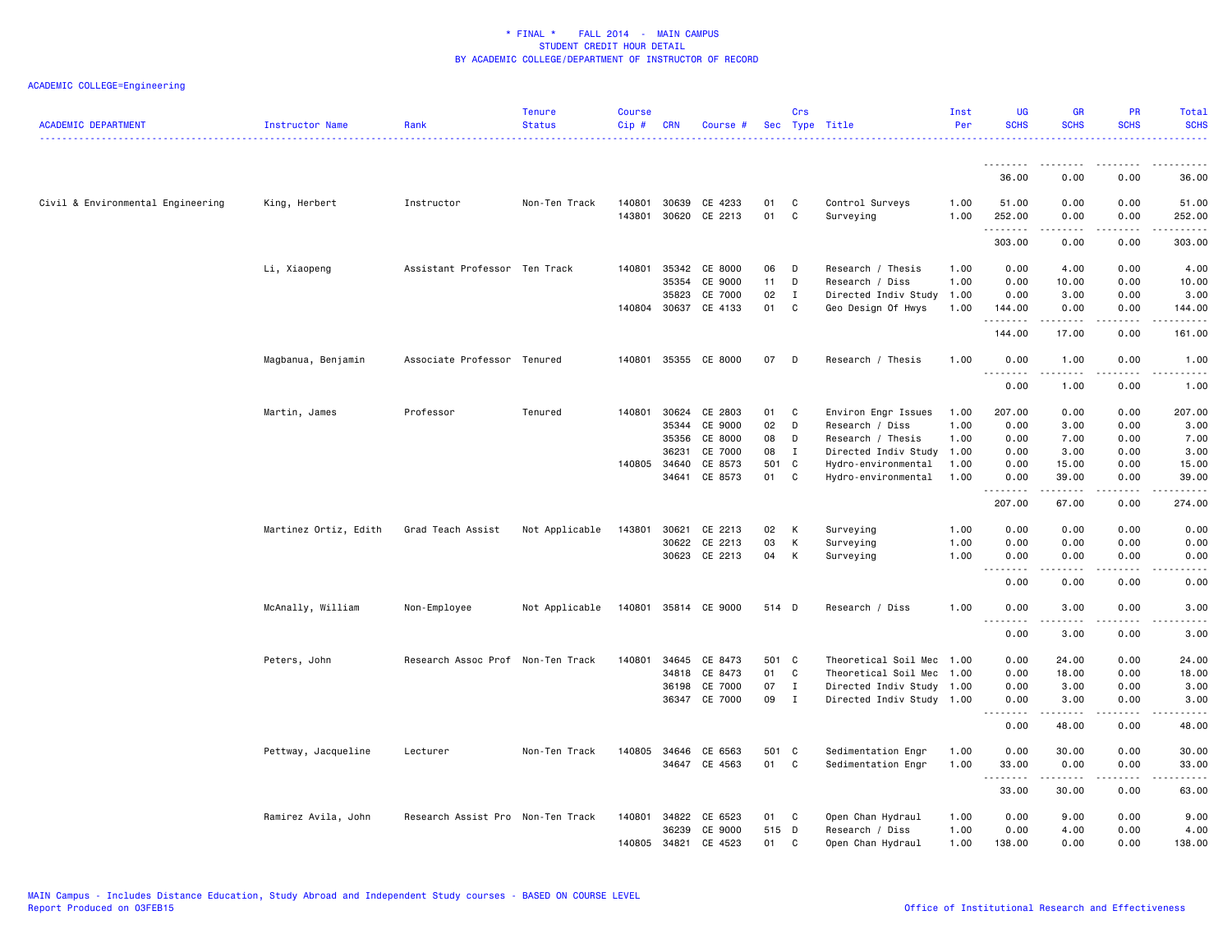| <b>ACADEMIC DEPARTMENT</b>        | Instructor Name       | Rank                              | <b>Tenure</b><br><b>Status</b> | <b>Course</b><br>Cip# | <b>CRN</b>     | Course #             |          | Crs          | Sec Type Title               | Inst<br>Per  | <b>UG</b><br><b>SCHS</b> | <b>GR</b><br><b>SCHS</b> | <b>PR</b><br><b>SCHS</b>                    | Total<br><b>SCHS</b><br>والداعات            |
|-----------------------------------|-----------------------|-----------------------------------|--------------------------------|-----------------------|----------------|----------------------|----------|--------------|------------------------------|--------------|--------------------------|--------------------------|---------------------------------------------|---------------------------------------------|
|                                   |                       |                                   |                                |                       |                |                      |          |              |                              |              | .                        |                          | ----                                        |                                             |
|                                   |                       |                                   |                                |                       |                |                      |          |              |                              |              | 36.00                    | 0.00                     | 0.00                                        | 36.00                                       |
| Civil & Environmental Engineering | King, Herbert         | Instructor                        | Non-Ten Track                  | 140801<br>143801      | 30639<br>30620 | CE 4233<br>CE 2213   | 01<br>01 | C<br>C       | Control Surveys<br>Surveying | 1.00<br>1.00 | 51.00<br>252.00<br>.     | 0.00<br>0.00             | 0.00<br>0.00<br>$\sim$ $\sim$ $\sim$ $\sim$ | 51.00<br>252.00<br>.                        |
|                                   |                       |                                   |                                |                       |                |                      |          |              |                              |              | 303.00                   | 0.00                     | 0.00                                        | 303.00                                      |
|                                   | Li, Xiaopeng          | Assistant Professor Ten Track     |                                | 140801                | 35342          | CE 8000              | 06       | D            | Research / Thesis            | 1.00         | 0.00                     | 4.00                     | 0.00                                        | 4.00                                        |
|                                   |                       |                                   |                                |                       | 35354          | CE 9000              | 11       | D            | Research / Diss              | 1.00         | 0.00                     | 10.00                    | 0.00                                        | 10.00                                       |
|                                   |                       |                                   |                                |                       | 35823          | CE 7000              | 02       | $\mathbf{I}$ | Directed Indiv Study 1.00    |              | 0.00                     | 3.00                     | 0.00                                        | 3.00                                        |
|                                   |                       |                                   |                                |                       | 140804 30637   | CE 4133              | 01       | C            | Geo Design Of Hwys           | 1.00         | 144.00<br>. <b>.</b>     | 0.00<br>$    -$          | 0.00<br>.                                   | 144.00<br>.                                 |
|                                   |                       |                                   |                                |                       |                |                      |          |              |                              |              | 144.00                   | 17.00                    | 0.00                                        | 161.00                                      |
|                                   | Magbanua, Benjamin    | Associate Professor Tenured       |                                | 140801                | 35355          | CE 8000              | 07       | D            | Research / Thesis            | 1.00         | 0.00<br>.                | 1.00<br>.                | 0.00<br>$- - - -$                           | 1.00<br>$    -$                             |
|                                   |                       |                                   |                                |                       |                |                      |          |              |                              |              | 0.00                     | 1.00                     | 0.00                                        | 1.00                                        |
|                                   | Martin, James         | Professor                         | Tenured                        | 140801                | 30624          | CE 2803              | 01       | C            | Environ Engr Issues          | 1.00         | 207.00                   | 0.00                     | 0.00                                        | 207.00                                      |
|                                   |                       |                                   |                                |                       | 35344          | CE 9000              | 02       | D            | Research / Diss              | 1.00         | 0.00                     | 3.00                     | 0.00                                        | 3.00                                        |
|                                   |                       |                                   |                                |                       | 35356          | CE 8000              | 08       | D            | Research / Thesis            | 1.00         | 0.00                     | 7.00                     | 0.00                                        | 7.00                                        |
|                                   |                       |                                   |                                |                       | 36231          | CE 7000              | 08       | I            | Directed Indiv Study         | 1.00         | 0.00                     | 3.00                     | 0.00                                        | 3.00                                        |
|                                   |                       |                                   |                                |                       | 140805 34640   | CE 8573              | 501      | $\mathbf{C}$ | Hydro-environmental          | 1.00         | 0.00                     | 15.00                    | 0.00                                        | 15.00                                       |
|                                   |                       |                                   |                                |                       | 34641          | CE 8573              | 01       | C            | Hydro-environmental          | 1.00         | 0.00                     | 39.00                    | 0.00                                        | 39.00                                       |
|                                   |                       |                                   |                                |                       |                |                      |          |              |                              |              | .<br>207.00              | .<br>67.00               | .<br>0.00                                   | .<br>274.00                                 |
|                                   | Martinez Ortiz, Edith | Grad Teach Assist                 | Not Applicable                 | 143801                | 30621          | CE 2213              | 02       | К            | Surveying                    | 1.00         | 0.00                     | 0.00                     | 0.00                                        | 0.00                                        |
|                                   |                       |                                   |                                |                       | 30622          | CE 2213              | 03       | К            | Surveying                    | 1.00         | 0.00                     | 0.00                     | 0.00                                        | 0.00                                        |
|                                   |                       |                                   |                                |                       |                | 30623 CE 2213        | 04       | К            | Surveying                    | 1.00         | 0.00<br>$  -$<br>.       | 0.00<br>-----            | 0.00<br>.                                   | 0.00<br>-----                               |
|                                   |                       |                                   |                                |                       |                |                      |          |              |                              |              | 0.00                     | 0.00                     | 0.00                                        | 0.00                                        |
|                                   | McAnally, William     | Non-Employee                      | Not Applicable                 |                       |                | 140801 35814 CE 9000 | 514 D    |              | Research / Diss              | 1.00         | 0.00                     | 3.00<br>.                | 0.00<br>$- - - -$                           | 3.00                                        |
|                                   |                       |                                   |                                |                       |                |                      |          |              |                              |              | 0.00                     | 3.00                     | 0.00                                        | 3.00                                        |
|                                   | Peters, John          | Research Assoc Prof Non-Ten Track |                                | 140801                | 34645          | CE 8473              | 501 C    |              | Theoretical Soil Mec 1.00    |              | 0.00                     | 24.00                    | 0.00                                        | 24.00                                       |
|                                   |                       |                                   |                                |                       | 34818          | CE 8473              | 01       | C            | Theoretical Soil Mec 1.00    |              | 0.00                     | 18.00                    | 0.00                                        | 18.00                                       |
|                                   |                       |                                   |                                |                       | 36198          | CE 7000              | 07       | $\mathbf I$  | Directed Indiv Study 1.00    |              | 0.00                     | 3.00                     | 0.00                                        | 3.00                                        |
|                                   |                       |                                   |                                |                       | 36347          | CE 7000              | 09       | $\mathbf{I}$ | Directed Indiv Study 1.00    |              | 0.00                     | 3.00                     | 0.00                                        | 3.00                                        |
|                                   |                       |                                   |                                |                       |                |                      |          |              |                              |              | .<br>0.00                | $\frac{1}{2}$<br>48.00   | $- - - -$<br>0.00                           | $\frac{1}{2}$<br>48.00                      |
|                                   | Pettway, Jacqueline   | Lecturer                          | Non-Ten Track                  |                       | 140805 34646   | CE 6563              | 501 C    |              | Sedimentation Engr           | 1.00         | 0.00                     | 30.00                    | 0.00                                        | 30.00                                       |
|                                   |                       |                                   |                                |                       |                | 34647 CE 4563        | 01       | C            | Sedimentation Engr           | 1.00         | 33.00                    | 0.00<br>-----            | 0.00<br>$- - -$                             | 33.00<br>$\sim$ $\sim$ $\sim$ $\sim$ $\sim$ |
|                                   |                       |                                   |                                |                       |                |                      |          |              |                              |              | .<br>33.00               | 30.00                    | 0.00                                        | 63.00                                       |
|                                   | Ramirez Avila, John   | Research Assist Pro Non-Ten Track |                                | 140801                | 34822          | CE 6523              | 01       | C            | Open Chan Hydraul            | 1.00         | 0.00                     | 9.00                     | 0.00                                        | 9.00                                        |
|                                   |                       |                                   |                                |                       | 36239          | CE 9000              | 515      | D            | Research / Diss              | 1.00         | 0.00                     | 4.00                     | 0.00                                        | 4.00                                        |
|                                   |                       |                                   |                                | 140805                | 34821          | CE 4523              | 01       | C            | Open Chan Hydraul            | 1.00         | 138.00                   | 0.00                     | 0.00                                        | 138.00                                      |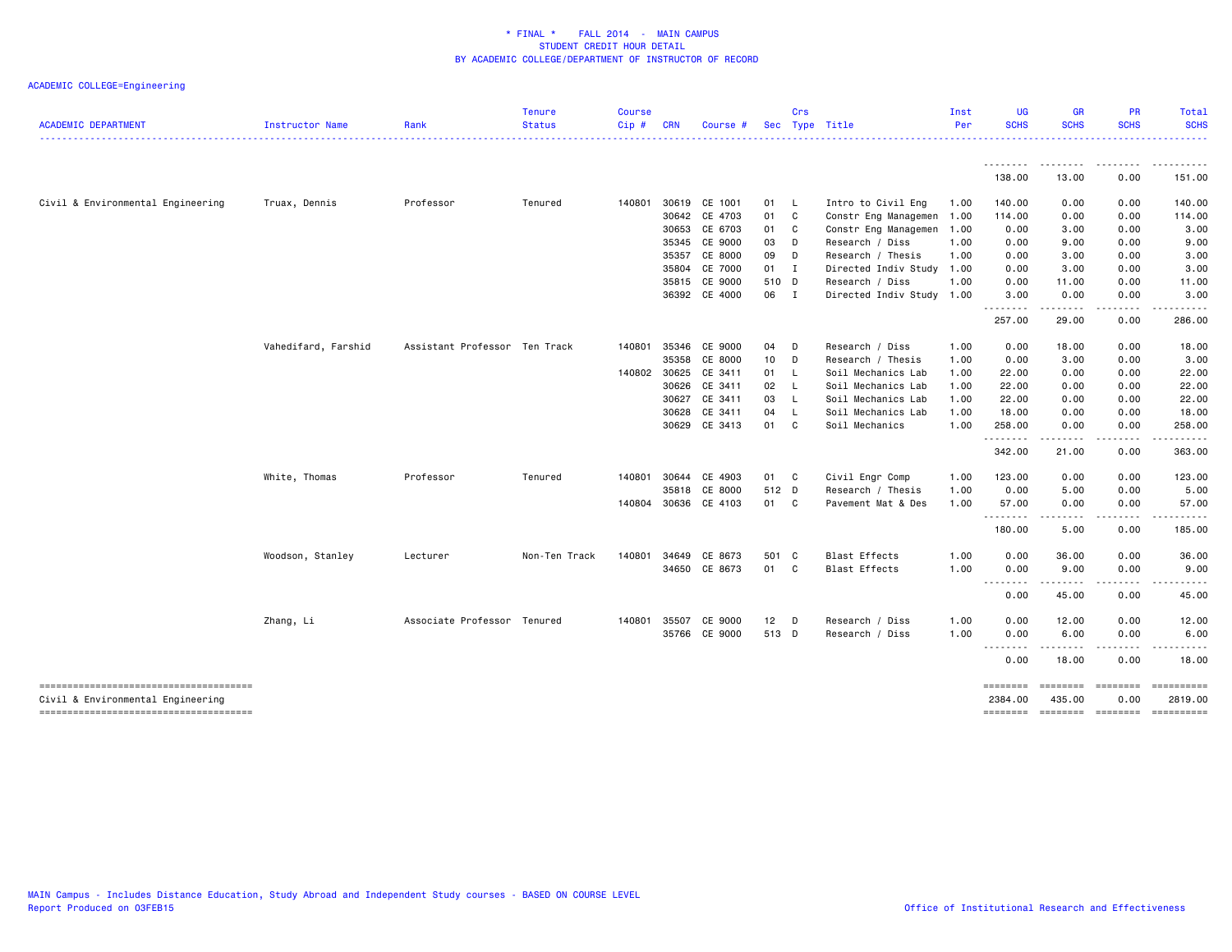| <b>ACADEMIC DEPARTMENT</b>            | Instructor Name     | Rank                          | <b>Tenure</b><br><b>Status</b> | <b>Course</b><br>Cip# | <b>CRN</b>   | Course #             |                 | Crs          | Sec Type Title            | Inst<br>Per | <b>UG</b><br><b>SCHS</b> | <b>GR</b><br><b>SCHS</b> | PR<br><b>SCHS</b> | Total<br><b>SCHS</b>                  |
|---------------------------------------|---------------------|-------------------------------|--------------------------------|-----------------------|--------------|----------------------|-----------------|--------------|---------------------------|-------------|--------------------------|--------------------------|-------------------|---------------------------------------|
|                                       |                     |                               |                                |                       |              |                      |                 |              |                           |             | .                        | --------                 | .                 | .                                     |
|                                       |                     |                               |                                |                       |              |                      |                 |              |                           |             | 138.00                   | 13.00                    | 0.00              | 151.00                                |
| Civil & Environmental Engineering     | Truax, Dennis       | Professor                     | Tenured                        |                       |              | 140801 30619 CE 1001 | 01              | <b>L</b>     | Intro to Civil Eng        | 1.00        | 140.00                   | 0.00                     | 0.00              | 140.00                                |
|                                       |                     |                               |                                |                       | 30642        | CE 4703              | 01              | C            | Constr Eng Managemen      | 1.00        | 114.00                   | 0.00                     | 0.00              | 114.00                                |
|                                       |                     |                               |                                |                       | 30653        | CE 6703              | 01              | C            | Constr Eng Managemen      | 1.00        | 0.00                     | 3.00                     | 0.00              | 3.00                                  |
|                                       |                     |                               |                                |                       | 35345        | CE 9000              | 03              | D            | Research / Diss           | 1.00        | 0.00                     | 9.00                     | 0.00              | 9.00                                  |
|                                       |                     |                               |                                |                       |              | 35357 CE 8000        | 09              | D            | Research / Thesis         | 1.00        | 0.00                     | 3.00                     | 0.00              | 3.00                                  |
|                                       |                     |                               |                                |                       | 35804        | CE 7000              | 01 I            |              | Directed Indiv Study 1.00 |             | 0.00                     | 3.00                     | 0.00              | 3.00                                  |
|                                       |                     |                               |                                |                       | 35815        | CE 9000              | 510 D           |              | Research / Diss           | 1.00        | 0.00                     | 11.00                    | 0.00              | 11.00                                 |
|                                       |                     |                               |                                |                       |              | 36392 CE 4000        | 06 I            |              | Directed Indiv Study 1.00 |             | 3.00                     | 0.00                     | 0.00              | 3,00                                  |
|                                       |                     |                               |                                |                       |              |                      |                 |              |                           |             | --------<br>257.00       | .<br>29.00               | -----<br>0.00     | .<br>286.00                           |
|                                       | Vahedifard, Farshid | Assistant Professor Ten Track |                                | 140801                | 35346        | CE 9000              | 04              | D            | Research / Diss           | 1.00        | 0.00                     | 18.00                    | 0.00              | 18.00                                 |
|                                       |                     |                               |                                |                       | 35358        | CE 8000              | 10 <sub>1</sub> | D            | Research / Thesis         | 1.00        | 0.00                     | 3.00                     | 0.00              | 3.00                                  |
|                                       |                     |                               |                                |                       | 140802 30625 | CE 3411              | 01              | $\mathsf{L}$ | Soil Mechanics Lab        | 1.00        | 22.00                    | 0.00                     | 0.00              | 22.00                                 |
|                                       |                     |                               |                                |                       | 30626        | CE 3411              | 02              | L.           | Soil Mechanics Lab        | 1.00        | 22.00                    | 0.00                     | 0.00              | 22.00                                 |
|                                       |                     |                               |                                |                       | 30627        | CE 3411              | 03              | L.           | Soil Mechanics Lab        | 1.00        | 22.00                    | 0.00                     | 0.00              | 22.00                                 |
|                                       |                     |                               |                                |                       | 30628        | CE 3411              | 04              | L.           | Soil Mechanics Lab        | 1.00        | 18.00                    | 0.00                     | 0.00              | 18.00                                 |
|                                       |                     |                               |                                |                       |              | 30629 CE 3413        | 01 C            |              | Soil Mechanics            | 1.00        | 258.00                   | 0.00                     | 0.00              | 258.00                                |
|                                       |                     |                               |                                |                       |              |                      |                 |              |                           |             | --------<br>342.00       | .<br>21.00               | <u>.</u><br>0.00  | .<br>363.00                           |
|                                       | White, Thomas       | Professor                     | Tenured                        |                       | 140801 30644 | CE 4903              | 01              | C            | Civil Engr Comp           | 1.00        | 123.00                   | 0.00                     | 0.00              | 123.00                                |
|                                       |                     |                               |                                |                       | 35818        | CE 8000              | 512 D           |              | Research / Thesis         | 1.00        | 0.00                     | 5.00                     | 0.00              | 5.00                                  |
|                                       |                     |                               |                                |                       |              | 140804 30636 CE 4103 | 01 C            |              | Pavement Mat & Des        | 1.00        | 57.00                    | 0.00                     | 0.00              | 57.00                                 |
|                                       |                     |                               |                                |                       |              |                      |                 |              |                           |             | .                        | .                        | -----             | $- - - - - - -$                       |
|                                       |                     |                               |                                |                       |              |                      |                 |              |                           |             | 180.00                   | 5.00                     | 0.00              | 185.00                                |
|                                       | Woodson, Stanley    | Lecturer                      | Non-Ten Track                  | 140801                | 34649        | CE 8673              | 501 C           |              | <b>Blast Effects</b>      | 1.00        | 0.00                     | 36.00                    | 0.00              | 36.00                                 |
|                                       |                     |                               |                                |                       |              | 34650 CE 8673        | 01 C            |              | <b>Blast Effects</b>      | 1.00        | 0.00                     | 9.00                     | 0.00              | 9.00                                  |
|                                       |                     |                               |                                |                       |              |                      |                 |              |                           |             | <u>.</u><br>0.00         | .<br>45.00               | .<br>0.00         | 45.00                                 |
|                                       | Zhang, Li           | Associate Professor Tenured   |                                | 140801                | 35507        | CE 9000              | $12$ D          |              | Research / Diss           | 1.00        | 0.00                     | 12.00                    | 0.00              | 12.00                                 |
|                                       |                     |                               |                                |                       |              | 35766 CE 9000        | 513 D           |              | Research / Diss           | 1.00        | 0.00                     | 6.00                     | 0.00              | 6.00                                  |
|                                       |                     |                               |                                |                       |              |                      |                 |              |                           |             | .<br>0.00                | .<br>18.00               | 0.00              | 18.00                                 |
| ------------------------------------- |                     |                               |                                |                       |              |                      |                 |              |                           |             |                          |                          | ========          | <b>Expressed</b>                      |
| Civil & Environmental Engineering     |                     |                               |                                |                       |              |                      |                 |              |                           |             | ========<br>2384.00      | ========<br>435.00       | 0.00              | 2819.00                               |
|                                       |                     |                               |                                |                       |              |                      |                 |              |                           |             |                          |                          |                   | ======== ======== ======== ========== |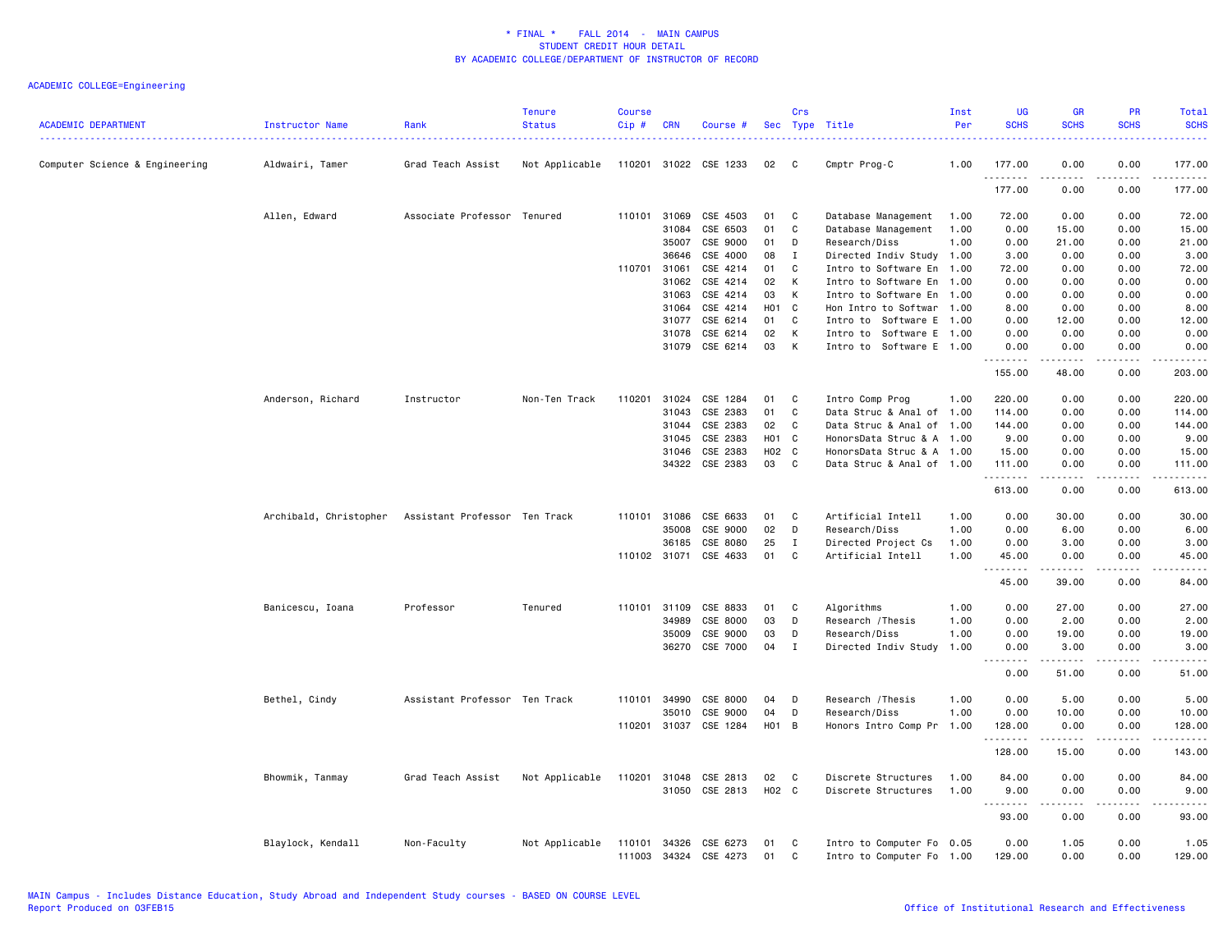| <b>ACADEMIC DEPARTMENT</b>     | Instructor Name        | Rank                          | <b>Tenure</b><br><b>Status</b> | <b>Course</b><br>Cip#  | <b>CRN</b>     | Course #              | Sec              | Crs<br>Type  | Title                                                  | Inst<br>Per | <b>UG</b><br><b>SCHS</b> | <b>GR</b><br><b>SCHS</b>                                                                                                                                                                | PR<br><b>SCHS</b>                                                                                      | Total<br><b>SCHS</b> |
|--------------------------------|------------------------|-------------------------------|--------------------------------|------------------------|----------------|-----------------------|------------------|--------------|--------------------------------------------------------|-------------|--------------------------|-----------------------------------------------------------------------------------------------------------------------------------------------------------------------------------------|--------------------------------------------------------------------------------------------------------|----------------------|
| Computer Science & Engineering | Aldwairi, Tamer        | Grad Teach Assist             | Not Applicable                 | 110201 31022           |                | CSE 1233              | 02               | C            | Cmptr Prog-C                                           | 1.00        | 177.00<br>.              | 0.00                                                                                                                                                                                    | 0.00<br>$\frac{1}{2} \left( \frac{1}{2} \right) \left( \frac{1}{2} \right) \left( \frac{1}{2} \right)$ | 177.00<br>.          |
|                                |                        |                               |                                |                        |                |                       |                  |              |                                                        |             | 177.00                   | 0.00                                                                                                                                                                                    | 0.00                                                                                                   | 177.00               |
|                                | Allen, Edward          | Associate Professor           | Tenured                        | 110101                 | 31069          | CSE 4503              | 01               | C            | Database Management                                    | 1.00        | 72.00                    | 0.00                                                                                                                                                                                    | 0.00                                                                                                   | 72.00                |
|                                |                        |                               |                                |                        | 31084          | CSE 6503              | 01               | C            | Database Management                                    | 1.00        | 0.00                     | 15.00                                                                                                                                                                                   | 0.00                                                                                                   | 15.00                |
|                                |                        |                               |                                |                        | 35007          | CSE 9000              | 01               | D            | Research/Diss                                          | 1.00        | 0.00                     | 21.00                                                                                                                                                                                   | 0.00                                                                                                   | 21.00                |
|                                |                        |                               |                                |                        | 36646          | CSE 4000              | 08               | Ι.           | Directed Indiv Study 1.00                              |             | 3.00                     | 0.00                                                                                                                                                                                    | 0.00                                                                                                   | 3.00                 |
|                                |                        |                               |                                | 110701                 | 31061          | CSE 4214              | 01               | C            | Intro to Software En 1.00                              |             | 72.00                    | 0.00                                                                                                                                                                                    | 0.00                                                                                                   | 72.00                |
|                                |                        |                               |                                |                        | 31062          | CSE 4214              | 02               | K            | Intro to Software En 1.00                              |             | 0.00                     | 0.00                                                                                                                                                                                    | 0.00                                                                                                   | 0.00                 |
|                                |                        |                               |                                |                        | 31063          | CSE 4214              | 03               | К            | Intro to Software En 1.00                              |             | 0.00                     | 0.00                                                                                                                                                                                    | 0.00                                                                                                   | 0.00                 |
|                                |                        |                               |                                |                        | 31064          | CSE 4214              | H <sub>0</sub> 1 | C            | Hon Intro to Softwar 1.00                              |             | 8.00                     | 0.00                                                                                                                                                                                    | 0.00                                                                                                   | 8.00                 |
|                                |                        |                               |                                |                        | 31077          | CSE 6214              | 01               | C<br>K       | Intro to Software E 1.00                               |             | 0.00                     | 12.00                                                                                                                                                                                   | 0.00                                                                                                   | 12.00                |
|                                |                        |                               |                                |                        | 31078<br>31079 | CSE 6214<br>CSE 6214  | 02<br>03         | К            | Intro to Software E 1.00<br>Intro to Software E 1.00   |             | 0.00<br>0.00             | 0.00<br>0.00                                                                                                                                                                            | 0.00<br>0.00                                                                                           | 0.00<br>0.00         |
|                                |                        |                               |                                |                        |                |                       |                  |              |                                                        |             | .<br>155.00              | .<br>48.00                                                                                                                                                                              | $- - - -$<br>0.00                                                                                      | .<br>203.00          |
|                                |                        | Instructor                    | Non-Ten Track                  | 110201                 | 31024          | CSE 1284              | 01               | C            |                                                        | 1.00        | 220.00                   | 0.00                                                                                                                                                                                    | 0.00                                                                                                   | 220.00               |
|                                | Anderson, Richard      |                               |                                |                        | 31043          | CSE 2383              | 01               | C            | Intro Comp Prog<br>Data Struc & Anal of 1.00           |             | 114.00                   | 0.00                                                                                                                                                                                    | 0.00                                                                                                   | 114.00               |
|                                |                        |                               |                                |                        | 31044          | CSE 2383              | 02               | C            | Data Struc & Anal of 1.00                              |             | 144.00                   | 0.00                                                                                                                                                                                    | 0.00                                                                                                   | 144.00               |
|                                |                        |                               |                                |                        | 31045          | CSE 2383              | H01              | C            | HonorsData Struc & A 1.00                              |             | 9.00                     | 0.00                                                                                                                                                                                    | 0.00                                                                                                   | 9.00                 |
|                                |                        |                               |                                |                        | 31046          | CSE 2383              | H02              | C            | HonorsData Struc & A 1.00                              |             | 15.00                    | 0.00                                                                                                                                                                                    | 0.00                                                                                                   | 15.00                |
|                                |                        |                               |                                |                        | 34322          | CSE 2383              | 03               | C            | Data Struc & Anal of 1.00                              |             | 111.00                   | 0.00                                                                                                                                                                                    | 0.00                                                                                                   | 111.00               |
|                                |                        |                               |                                |                        |                |                       |                  |              |                                                        |             | .                        |                                                                                                                                                                                         |                                                                                                        | المستما              |
|                                |                        |                               |                                |                        |                |                       |                  |              |                                                        |             | 613.00                   | 0.00                                                                                                                                                                                    | 0.00                                                                                                   | 613.00               |
|                                | Archibald, Christopher | Assistant Professor Ten Track |                                |                        | 110101 31086   | CSE 6633              | 01               | C            | Artificial Intell                                      | 1.00        | 0.00                     | 30.00                                                                                                                                                                                   | 0.00                                                                                                   | 30.00                |
|                                |                        |                               |                                |                        | 35008          | CSE 9000              | 02               | D            | Research/Diss                                          | 1.00        | 0.00                     | 6.00                                                                                                                                                                                    | 0.00                                                                                                   | 6.00                 |
|                                |                        |                               |                                |                        | 36185          | CSE 8080              | 25               | $\mathbf{I}$ | Directed Project Cs                                    | 1.00        | 0.00                     | 3.00                                                                                                                                                                                    | 0.00                                                                                                   | 3.00                 |
|                                |                        |                               |                                |                        | 110102 31071   | CSE 4633              | 01               | C            | Artificial Intell                                      | 1.00        | 45.00<br>$\sim$<br>.     | 0.00                                                                                                                                                                                    | 0.00                                                                                                   | 45.00<br>.           |
|                                |                        |                               |                                |                        |                |                       |                  |              |                                                        |             | 45.00                    | 39.00                                                                                                                                                                                   | 0.00                                                                                                   | 84.00                |
|                                | Banicescu, Ioana       | Professor                     | Tenured                        |                        | 110101 31109   | CSE 8833              | 01               | C            | Algorithms                                             | 1.00        | 0.00                     | 27.00                                                                                                                                                                                   | 0.00                                                                                                   | 27.00                |
|                                |                        |                               |                                |                        | 34989          | CSE 8000              | 03               | D            | Research / Thesis                                      | 1.00        | 0.00                     | 2.00                                                                                                                                                                                    | 0.00                                                                                                   | 2.00                 |
|                                |                        |                               |                                |                        | 35009          | CSE 9000              | 03               | D            | Research/Diss                                          | 1.00        | 0.00                     | 19.00                                                                                                                                                                                   | 0.00                                                                                                   | 19.00                |
|                                |                        |                               |                                |                        | 36270          | CSE 7000              | 04               | I            | Directed Indiv Study                                   | 1.00        | 0.00<br>$- - - -$<br>$-$ | 3.00<br>$\frac{1}{2} \left( \frac{1}{2} \right) \left( \frac{1}{2} \right) \left( \frac{1}{2} \right) \left( \frac{1}{2} \right) \left( \frac{1}{2} \right) \left( \frac{1}{2} \right)$ | 0.00<br>$\frac{1}{2}$                                                                                  | 3.00<br>$- - - - -$  |
|                                |                        |                               |                                |                        |                |                       |                  |              |                                                        |             | 0.00                     | 51.00                                                                                                                                                                                   | 0.00                                                                                                   | 51.00                |
|                                | Bethel, Cindy          | Assistant Professor Ten Track |                                | 110101                 | 34990          | CSE 8000              | 04               | D            | Research / Thesis                                      | 1.00        | 0.00                     | 5.00                                                                                                                                                                                    | 0.00                                                                                                   | 5.00                 |
|                                |                        |                               |                                |                        | 35010          | CSE 9000              | 04               | D            | Research/Diss                                          | 1.00        | 0.00                     | 10.00                                                                                                                                                                                   | 0.00                                                                                                   | 10.00                |
|                                |                        |                               |                                |                        |                | 110201 31037 CSE 1284 | H01 B            |              | Honors Intro Comp Pr 1.00                              |             | 128.00<br>.              | 0.00<br>. <b>.</b>                                                                                                                                                                      | 0.00<br>.                                                                                              | 128.00<br>.          |
|                                |                        |                               |                                |                        |                |                       |                  |              |                                                        |             | 128.00                   | 15.00                                                                                                                                                                                   | 0.00                                                                                                   | 143.00               |
|                                | Bhowmik, Tanmay        | Grad Teach Assist             | Not Applicable                 | 110201                 | 31048          | CSE 2813              | 02               | C            | Discrete Structures                                    | 1.00        | 84.00                    | 0.00                                                                                                                                                                                    | 0.00                                                                                                   | 84.00                |
|                                |                        |                               |                                |                        | 31050          | CSE 2813              | H02 C            |              | Discrete Structures                                    | 1.00        | 9.00                     | 0.00                                                                                                                                                                                    | 0.00                                                                                                   | 9.00                 |
|                                |                        |                               |                                |                        |                |                       |                  |              |                                                        |             | .<br>-----<br>93.00      | 0.00                                                                                                                                                                                    | $\sim$ $\sim$ $\sim$ $\sim$<br>0.00                                                                    | وبالمسامين<br>93.00  |
|                                |                        |                               |                                |                        |                |                       |                  |              |                                                        |             |                          |                                                                                                                                                                                         |                                                                                                        |                      |
|                                | Blaylock, Kendall      | Non-Faculty                   | Not Applicable                 | 110101 34326<br>111003 | 34324          | CSE 6273<br>CSE 4273  | 01<br>01         | C<br>C       | Intro to Computer Fo 0.05<br>Intro to Computer Fo 1.00 |             | 0.00<br>129.00           | 1.05<br>0.00                                                                                                                                                                            | 0.00<br>0.00                                                                                           | 1.05<br>129.00       |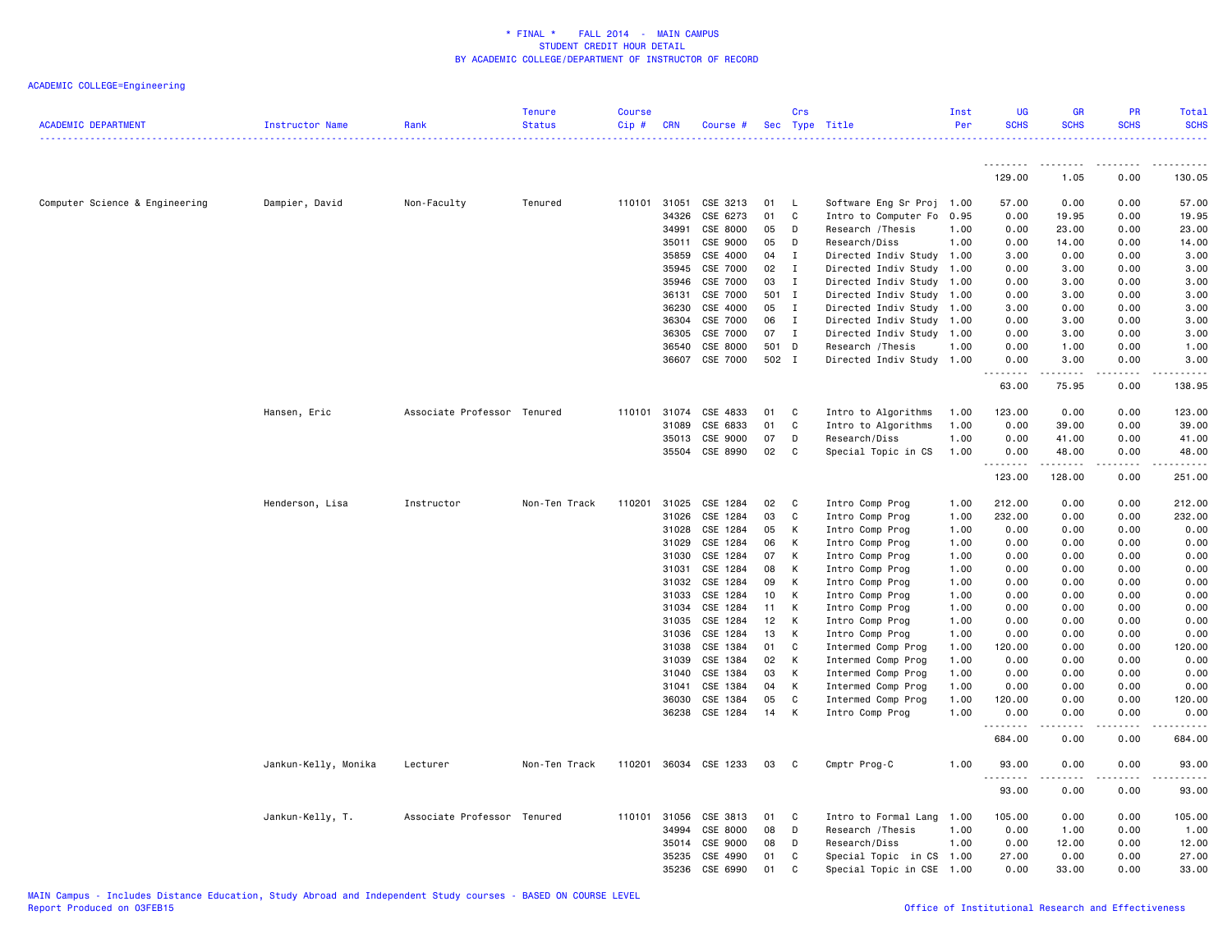| <b>ACADEMIC DEPARTMENT</b>     | Instructor Name      | Rank                        | <b>Tenure</b><br><b>Status</b> | <b>Course</b><br>$Cip$ # | <b>CRN</b> | Course #              |     | Crs          | Sec Type Title<br>--------------------------- | Inst<br>Per | <b>UG</b><br><b>SCHS</b> | <b>GR</b><br><b>SCHS</b> | PR<br><b>SCHS</b> | <b>Total</b><br><b>SCHS</b><br>. |
|--------------------------------|----------------------|-----------------------------|--------------------------------|--------------------------|------------|-----------------------|-----|--------------|-----------------------------------------------|-------------|--------------------------|--------------------------|-------------------|----------------------------------|
|                                |                      |                             |                                |                          |            |                       |     |              |                                               |             | --------                 | --------                 | -----             |                                  |
|                                |                      |                             |                                |                          |            |                       |     |              |                                               |             | 129.00                   | 1.05                     | 0.00              | 130.05                           |
| Computer Science & Engineering | Dampier, David       | Non-Faculty                 | Tenured                        | 110101                   | 31051      | CSE 3213              | 01  | L,           | Software Eng Sr Proj 1.00                     |             | 57.00                    | 0.00                     | 0.00              | 57.00                            |
|                                |                      |                             |                                |                          | 34326      | CSE 6273              | 01  | C            | Intro to Computer Fo                          | 0.95        | 0.00                     | 19.95                    | 0.00              | 19.95                            |
|                                |                      |                             |                                |                          | 34991      | CSE 8000              | 05  | D            | Research / Thesis                             | 1.00        | 0.00                     | 23.00                    | 0.00              | 23.00                            |
|                                |                      |                             |                                |                          | 35011      | CSE 9000              | 05  | D            | Research/Diss                                 | 1.00        | 0.00                     | 14.00                    | 0.00              | 14.00                            |
|                                |                      |                             |                                |                          | 35859      | CSE 4000              | 04  | I            | Directed Indiv Study 1.00                     |             | 3.00                     | 0.00                     | 0.00              | 3.00                             |
|                                |                      |                             |                                |                          | 35945      | CSE 7000              | 02  | $\mathbf I$  | Directed Indiv Study                          | 1.00        | 0.00                     | 3.00                     | 0.00              | 3.00                             |
|                                |                      |                             |                                |                          | 35946      | CSE 7000              | 03  | $\mathbf{I}$ | Directed Indiv Study 1.00                     |             | 0.00                     | 3.00                     | 0.00              | 3.00                             |
|                                |                      |                             |                                |                          | 36131      | CSE 7000              | 501 | $\mathbf{I}$ | Directed Indiv Study 1.00                     |             | 0.00                     | 3.00                     | 0.00              | 3.00                             |
|                                |                      |                             |                                |                          | 36230      | CSE 4000              | 05  | $\mathbf{I}$ | Directed Indiv Study 1.00                     |             | 3.00                     | 0.00                     | 0.00              | 3.00                             |
|                                |                      |                             |                                |                          | 36304      | CSE 7000              | 06  | I            | Directed Indiv Study                          | 1.00        | 0.00                     | 3.00                     | 0.00              | 3.00                             |
|                                |                      |                             |                                |                          | 36305      | CSE 7000              | 07  | $\mathbf I$  | Directed Indiv Study 1.00                     |             | 0.00                     | 3.00                     | 0.00              | 3.00                             |
|                                |                      |                             |                                |                          | 36540      | CSE 8000              | 501 | D            | Research / Thesis                             | 1.00        | 0.00                     | 1.00                     | 0.00              | 1.00                             |
|                                |                      |                             |                                |                          | 36607      | CSE 7000              |     | 502 I        | Directed Indiv Study 1.00                     |             | 0.00<br>.                | 3.00<br>.                | 0.00<br>.         | 3.00<br>.                        |
|                                |                      |                             |                                |                          |            |                       |     |              |                                               |             | 63.00                    | 75.95                    | 0.00              | 138.95                           |
|                                | Hansen, Eric         | Associate Professor Tenured |                                | 110101                   | 31074      | CSE 4833              | 01  | C            | Intro to Algorithms                           | 1.00        | 123.00                   | 0.00                     | 0.00              | 123.00                           |
|                                |                      |                             |                                |                          | 31089      | CSE 6833              | 01  | C            | Intro to Algorithms                           | 1.00        | 0.00                     | 39.00                    | 0.00              | 39.00                            |
|                                |                      |                             |                                |                          | 35013      | CSE 9000              | 07  | D            | Research/Diss                                 | 1.00        | 0.00                     | 41.00                    | 0.00              | 41.00                            |
|                                |                      |                             |                                |                          | 35504      | CSE 8990              | 02  | C            | Special Topic in CS                           | 1.00        | 0.00                     | 48.00                    | 0.00<br>.         | 48.00<br>.                       |
|                                |                      |                             |                                |                          |            |                       |     |              |                                               |             | 123.00                   | 128.00                   | 0.00              | 251.00                           |
|                                | Henderson, Lisa      | Instructor                  | Non-Ten Track                  | 110201                   | 31025      | CSE 1284              | 02  | C            | Intro Comp Prog                               | 1.00        | 212.00                   | 0.00                     | 0.00              | 212.00                           |
|                                |                      |                             |                                |                          | 31026      | CSE 1284              | 03  | C            | Intro Comp Prog                               | 1.00        | 232.00                   | 0.00                     | 0.00              | 232.00                           |
|                                |                      |                             |                                |                          | 31028      | CSE 1284              | 05  | К            | Intro Comp Prog                               | 1.00        | 0.00                     | 0.00                     | 0.00              | 0.00                             |
|                                |                      |                             |                                |                          | 31029      | CSE 1284              | 06  | к            | Intro Comp Prog                               | 1.00        | 0.00                     | 0.00                     | 0.00              | 0.00                             |
|                                |                      |                             |                                |                          | 31030      | CSE 1284              | 07  | к            | Intro Comp Prog                               | 1.00        | 0.00                     | 0.00                     | 0.00              | 0.00                             |
|                                |                      |                             |                                |                          | 31031      | CSE 1284              | 08  | К            | Intro Comp Prog                               | 1.00        | 0.00                     | 0.00                     | 0.00              | 0.00                             |
|                                |                      |                             |                                |                          | 31032      | CSE 1284              | 09  | К            | Intro Comp Prog                               | 1.00        | 0.00                     | 0.00                     | 0.00              | 0.00                             |
|                                |                      |                             |                                |                          | 31033      | CSE 1284              | 10  | К            | Intro Comp Prog                               | 1.00        | 0.00                     | 0.00                     | 0.00              | 0.00                             |
|                                |                      |                             |                                |                          | 31034      | CSE 1284              | 11  | К            | Intro Comp Prog                               | 1.00        | 0.00                     | 0.00                     | 0.00              | 0.00                             |
|                                |                      |                             |                                |                          | 31035      | CSE 1284              | 12  | К            | Intro Comp Prog                               | 1.00        | 0.00                     | 0.00                     | 0.00              | 0.00                             |
|                                |                      |                             |                                |                          | 31036      | CSE 1284              | 13  | К            | Intro Comp Prog                               | 1.00        | 0.00                     | 0.00                     | 0.00              | 0.00                             |
|                                |                      |                             |                                |                          | 31038      | CSE 1384              | 01  | C            | Intermed Comp Prog                            | 1.00        | 120.00                   | 0.00                     | 0.00              | 120.00                           |
|                                |                      |                             |                                |                          | 31039      | CSE 1384              | 02  | К            | Intermed Comp Prog                            | 1.00        | 0.00                     | 0.00                     | 0.00              | 0.00                             |
|                                |                      |                             |                                |                          | 31040      | CSE 1384              | 03  | К            | Intermed Comp Prog                            | 1.00        | 0.00                     | 0.00                     | 0.00              | 0.00                             |
|                                |                      |                             |                                |                          | 31041      | CSE 1384              | 04  | К            | Intermed Comp Prog                            | 1.00        | 0.00                     | 0.00                     | 0.00              | 0.00                             |
|                                |                      |                             |                                |                          | 36030      | CSE 1384              | 05  | C            | Intermed Comp Prog                            | 1.00        | 120.00                   | 0.00                     | 0.00              | 120.00                           |
|                                |                      |                             |                                |                          | 36238      | CSE 1284              | 14  | К            | Intro Comp Prog                               | 1.00        | 0.00<br>.                | 0.00                     | 0.00              | 0.00                             |
|                                |                      |                             |                                |                          |            |                       |     |              |                                               |             | 684.00                   | 0.00                     | 0.00              | 684.00                           |
|                                | Jankun-Kelly, Monika | Lecturer                    | Non-Ten Track                  |                          |            | 110201 36034 CSE 1233 | 03  | C            | Cmptr Prog-C                                  | 1.00        | 93.00<br>.               | 0.00                     | 0.00              | 93.00                            |
|                                |                      |                             |                                |                          |            |                       |     |              |                                               |             | 93.00                    | 0.00                     | 0.00              | 93.00                            |
|                                | Jankun-Kelly, T.     | Associate Professor Tenured |                                | 110101                   | 31056      | CSE 3813              | 01  | C            | Intro to Formal Lang                          | 1.00        | 105.00                   | 0.00                     | 0.00              | 105.00                           |
|                                |                      |                             |                                |                          | 34994      | CSE 8000              | 08  | D            | Research / Thesis                             | 1.00        | 0.00                     | 1.00                     | 0.00              | 1.00                             |
|                                |                      |                             |                                |                          | 35014      | CSE 9000              | 08  | D            | Research/Diss                                 | 1.00        | 0.00                     | 12.00                    | 0.00              | 12.00                            |
|                                |                      |                             |                                |                          | 35235      | CSE 4990              | 01  | C            | Special Topic in CS                           | 1.00        | 27.00                    | 0.00                     | 0.00              | 27.00                            |
|                                |                      |                             |                                |                          | 35236      | CSE 6990              | 01  | C            | Special Topic in CSE                          | 1.00        | 0.00                     | 33.00                    | 0.00              | 33.00                            |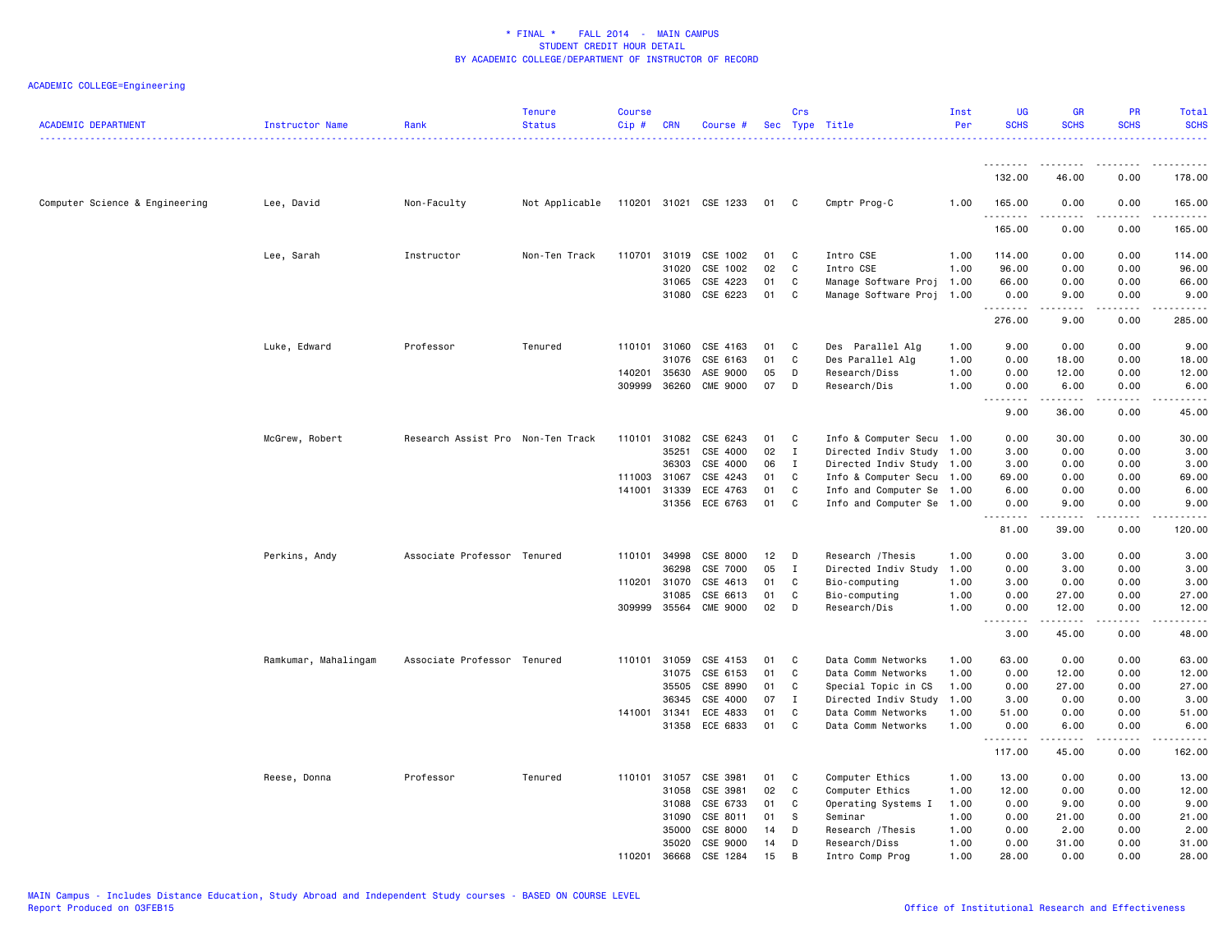| <b>ACADEMIC DEPARTMENT</b>     | Instructor Name      | Rank                              | <b>Tenure</b><br><b>Status</b>       | <b>Course</b><br>Cip# | <b>CRN</b>   | Course #        |      | Crs         | Sec Type Title            | Inst<br>Per | <b>UG</b><br><b>SCHS</b>                                                                                                                                  | <b>GR</b><br><b>SCHS</b> | <b>PR</b><br><b>SCHS</b> | <b>Total</b><br><b>SCHS</b> |
|--------------------------------|----------------------|-----------------------------------|--------------------------------------|-----------------------|--------------|-----------------|------|-------------|---------------------------|-------------|-----------------------------------------------------------------------------------------------------------------------------------------------------------|--------------------------|--------------------------|-----------------------------|
|                                |                      |                                   |                                      |                       |              |                 |      |             |                           |             | <u>.</u>                                                                                                                                                  | <u>.</u>                 |                          | .                           |
|                                |                      |                                   |                                      |                       |              |                 |      |             |                           |             | 132.00                                                                                                                                                    | 46.00                    | 0.00                     | 178.00                      |
| Computer Science & Engineering | Lee, David           | Non-Faculty                       | Not Applicable 110201 31021 CSE 1233 |                       |              |                 | 01 C |             | Cmptr Prog-C              | 1.00        | 165.00<br>.                                                                                                                                               | 0.00                     | 0.00                     | 165.00<br>.                 |
|                                |                      |                                   |                                      |                       |              |                 |      |             |                           |             | 165.00                                                                                                                                                    | 0.00                     | 0.00                     | 165.00                      |
|                                | Lee, Sarah           | Instructor                        | Non-Ten Track                        | 110701                | 31019        | CSE 1002        | 01   | C           | Intro CSE                 | 1.00        | 114.00                                                                                                                                                    | 0.00                     | 0.00                     | 114.00                      |
|                                |                      |                                   |                                      |                       | 31020        | CSE 1002        | 02   | C           | Intro CSE                 | 1.00        | 96.00                                                                                                                                                     | 0.00                     | 0.00                     | 96.00                       |
|                                |                      |                                   |                                      |                       | 31065        | CSE 4223        | 01   | C           | Manage Software Proj 1.00 |             | 66.00                                                                                                                                                     | 0.00                     | 0.00                     | 66.00                       |
|                                |                      |                                   |                                      |                       |              | 31080 CSE 6223  | 01   | C           | Manage Software Proj 1.00 |             | 0.00<br>.                                                                                                                                                 | 9.00<br><u>.</u>         | 0.00<br>.                | 9.00<br>.                   |
|                                |                      |                                   |                                      |                       |              |                 |      |             |                           |             | 276.00                                                                                                                                                    | 9.00                     | 0.00                     | 285.00                      |
|                                | Luke, Edward         | Professor                         | Tenured                              |                       | 110101 31060 | CSE 4163        | 01   | C           | Des Parallel Alg          | 1.00        | 9.00                                                                                                                                                      | 0.00                     | 0.00                     | 9.00                        |
|                                |                      |                                   |                                      |                       | 31076        | CSE 6163        | 01   | C           | Des Parallel Alg          | 1.00        | 0.00                                                                                                                                                      | 18.00                    | 0.00                     | 18.00                       |
|                                |                      |                                   |                                      | 140201                | 35630        | ASE 9000        | 05   | D           | Research/Diss             | 1.00        | 0.00                                                                                                                                                      | 12.00                    | 0.00                     | 12.00                       |
|                                |                      |                                   |                                      |                       | 309999 36260 | <b>CME 9000</b> | 07   | D           | Research/Dis              | 1.00        | 0.00<br>$\sim$ $\sim$ $\sim$<br>$\frac{1}{2} \left( \frac{1}{2} \right) \left( \frac{1}{2} \right) \left( \frac{1}{2} \right) \left( \frac{1}{2} \right)$ | 6.00                     | 0.00                     | 6.00<br>.                   |
|                                |                      |                                   |                                      |                       |              |                 |      |             |                           |             | 9.00                                                                                                                                                      | 36.00                    | 0.00                     | 45.00                       |
|                                | McGrew, Robert       | Research Assist Pro Non-Ten Track |                                      |                       | 110101 31082 | CSE 6243        | 01   | C           | Info & Computer Secu 1.00 |             | 0.00                                                                                                                                                      | 30.00                    | 0.00                     | 30.00                       |
|                                |                      |                                   |                                      |                       | 35251        | CSE 4000        | 02   | $\mathbf I$ | Directed Indiv Study 1.00 |             | 3.00                                                                                                                                                      | 0.00                     | 0.00                     | 3.00                        |
|                                |                      |                                   |                                      |                       | 36303        | CSE 4000        | 06   | $\bf{I}$    | Directed Indiv Study 1.00 |             | 3.00                                                                                                                                                      | 0.00                     | 0.00                     | 3.00                        |
|                                |                      |                                   |                                      |                       | 111003 31067 | CSE 4243        | 01   | C           | Info & Computer Secu 1.00 |             | 69.00                                                                                                                                                     | 0.00                     | 0.00                     | 69.00                       |
|                                |                      |                                   |                                      | 141001                | 31339        | ECE 4763        | 01   | C           | Info and Computer Se 1.00 |             | 6.00                                                                                                                                                      | 0.00                     | 0.00                     | 6.00                        |
|                                |                      |                                   |                                      |                       | 31356        | ECE 6763        | 01   | C           | Info and Computer Se 1.00 |             | 0.00<br>.                                                                                                                                                 | 9.00                     | 0.00<br>$- - - -$        | 9.00<br>.                   |
|                                |                      |                                   |                                      |                       |              |                 |      |             |                           |             | 81.00                                                                                                                                                     | 39.00                    | 0.00                     | 120.00                      |
|                                | Perkins, Andy        | Associate Professor Tenured       |                                      | 110101                | 34998        | CSE 8000        | 12   | D           | Research / Thesis         | 1.00        | 0.00                                                                                                                                                      | 3.00                     | 0.00                     | 3.00                        |
|                                |                      |                                   |                                      |                       | 36298        | CSE 7000        | 05   | <b>I</b>    | Directed Indiv Study      | 1.00        | 0.00                                                                                                                                                      | 3.00                     | 0.00                     | 3.00                        |
|                                |                      |                                   |                                      |                       | 110201 31070 | CSE 4613        | 01   | C           | Bio-computing             | 1.00        | 3.00                                                                                                                                                      | 0.00                     | 0.00                     | 3.00                        |
|                                |                      |                                   |                                      |                       | 31085        | CSE 6613        | 01   | C           | Bio-computing             | 1.00        | 0.00                                                                                                                                                      | 27.00                    | 0.00                     | 27.00                       |
|                                |                      |                                   |                                      |                       | 309999 35564 | <b>CME 9000</b> | 02   | D           | Research/Dis              | 1.00        | 0.00<br>$\sim$ $\sim$                                                                                                                                     | 12.00                    | 0.00                     | 12.00                       |
|                                |                      |                                   |                                      |                       |              |                 |      |             |                           |             | 3.00                                                                                                                                                      | 45.00                    | 0.00                     | 48.00                       |
|                                | Ramkumar, Mahalingam | Associate Professor Tenured       |                                      |                       | 110101 31059 | CSE 4153        | 01   | C           | Data Comm Networks        | 1.00        | 63.00                                                                                                                                                     | 0.00                     | 0.00                     | 63.00                       |
|                                |                      |                                   |                                      |                       | 31075        | CSE 6153        | 01   | C           | Data Comm Networks        | 1.00        | 0.00                                                                                                                                                      | 12.00                    | 0.00                     | 12.00                       |
|                                |                      |                                   |                                      |                       | 35505        | CSE 8990        | 01   | C           | Special Topic in CS       | 1.00        | 0.00                                                                                                                                                      | 27.00                    | 0.00                     | 27.00                       |
|                                |                      |                                   |                                      |                       | 36345        | CSE 4000        | 07   | Ι.          | Directed Indiv Study      | 1.00        | 3.00                                                                                                                                                      | 0.00                     | 0.00                     | 3.00                        |
|                                |                      |                                   |                                      | 141001 31341          |              | ECE 4833        | 01   | C           | Data Comm Networks        | 1.00        | 51.00                                                                                                                                                     | 0.00                     | 0.00                     | 51.00                       |
|                                |                      |                                   |                                      |                       |              | 31358 ECE 6833  | 01   | C           | Data Comm Networks        | 1.00        | 0.00<br>.                                                                                                                                                 | 6.00<br>.                | 0.00<br>.                | 6.00<br>.                   |
|                                |                      |                                   |                                      |                       |              |                 |      |             |                           |             | 117.00                                                                                                                                                    | 45.00                    | 0.00                     | 162.00                      |
|                                | Reese, Donna         | Professor                         | Tenured                              |                       | 110101 31057 | CSE 3981        | 01   | C           | Computer Ethics           | 1.00        | 13.00                                                                                                                                                     | 0.00                     | 0.00                     | 13.00                       |
|                                |                      |                                   |                                      |                       | 31058        | CSE 3981        | 02   | C           | Computer Ethics           | 1.00        | 12.00                                                                                                                                                     | 0.00                     | 0.00                     | 12.00                       |
|                                |                      |                                   |                                      |                       | 31088        | CSE 6733        | 01   | C           | Operating Systems I       | 1.00        | 0.00                                                                                                                                                      | 9.00                     | 0.00                     | 9.00                        |
|                                |                      |                                   |                                      |                       | 31090        | CSE 8011        | 01   | S           | Seminar                   | 1.00        | 0.00                                                                                                                                                      | 21.00                    | 0.00                     | 21.00                       |
|                                |                      |                                   |                                      |                       | 35000        | CSE 8000        | 14   | D           | Research / Thesis         | 1.00        | 0.00                                                                                                                                                      | 2.00                     | 0.00                     | 2.00                        |
|                                |                      |                                   |                                      |                       | 35020        | CSE 9000        | 14   | D           | Research/Diss             | 1.00        | 0.00                                                                                                                                                      | 31.00                    | 0.00                     | 31.00                       |
|                                |                      |                                   |                                      | 110201                | 36668        | CSE 1284        | 15   | <b>B</b>    | Intro Comp Prog           | 1.00        | 28.00                                                                                                                                                     | 0.00                     | 0.00                     | 28.00                       |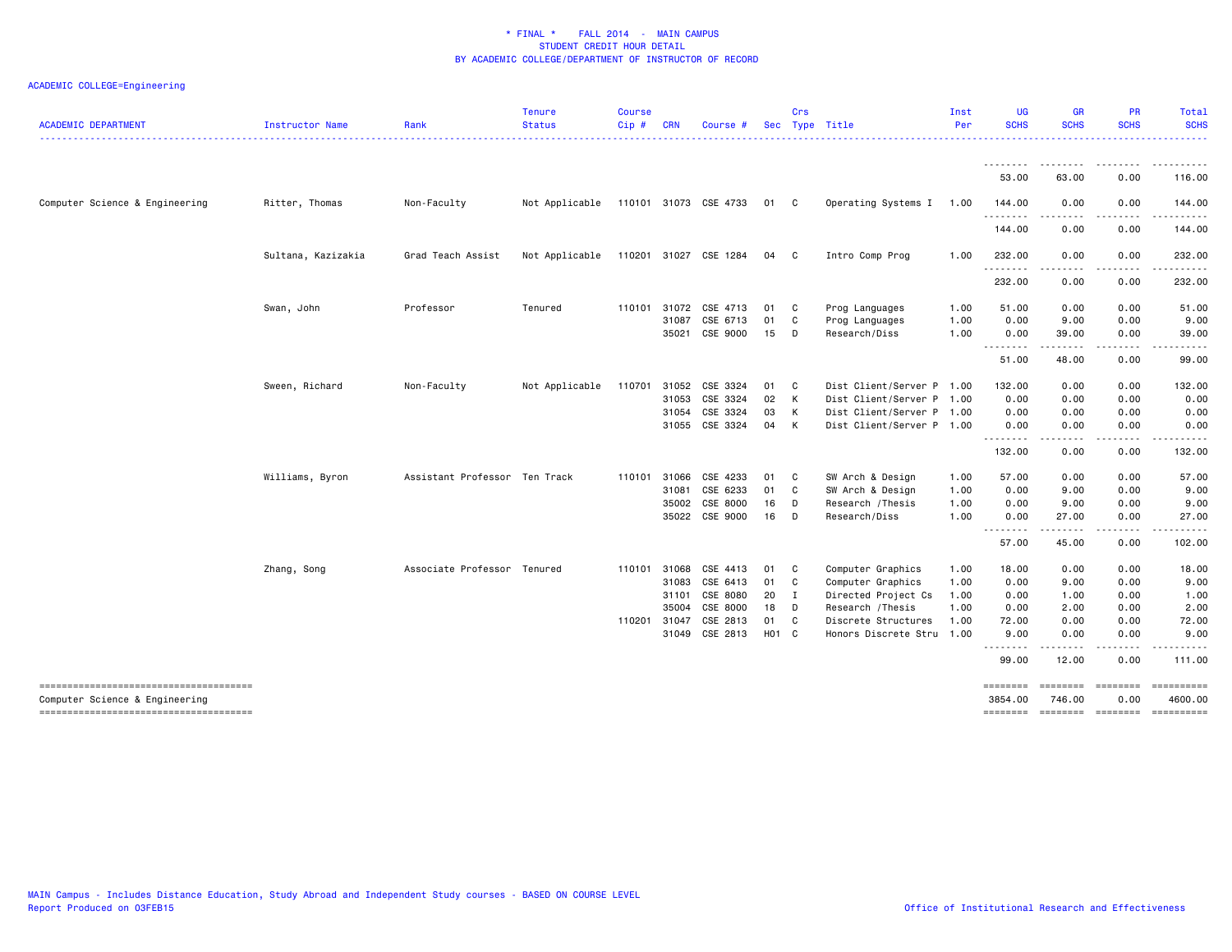| <b>ACADEMIC DEPARTMENT</b>                                               | <b>Instructor Name</b> | Rank                          | <b>Tenure</b><br><b>Status</b> | <b>Course</b><br>Cip# | <b>CRN</b> | Course #              |            | Crs          | Sec Type Title            | Inst<br>Per | <b>UG</b><br><b>SCHS</b> | <b>GR</b><br><b>SCHS</b>            | <b>PR</b><br><b>SCHS</b> | <b>Total</b><br><b>SCHS</b> |
|--------------------------------------------------------------------------|------------------------|-------------------------------|--------------------------------|-----------------------|------------|-----------------------|------------|--------------|---------------------------|-------------|--------------------------|-------------------------------------|--------------------------|-----------------------------|
|                                                                          |                        |                               |                                |                       |            |                       |            |              |                           |             |                          |                                     |                          |                             |
|                                                                          |                        |                               |                                |                       |            |                       |            |              |                           |             | 53.00                    | 63.00                               | 0.00                     | 116.00                      |
| Computer Science & Engineering                                           | Ritter, Thomas         | Non-Faculty                   | Not Applicable                 |                       |            | 110101 31073 CSE 4733 | 01 C       |              | Operating Systems I       | 1.00        | 144.00<br><u>.</u>       | 0.00                                | 0.00                     | 144.00                      |
|                                                                          |                        |                               |                                |                       |            |                       |            |              |                           |             | 144.00                   | . <b>.</b><br>0.00                  | .<br>0.00                | <u>.</u><br>144.00          |
|                                                                          | Sultana, Kazizakia     | Grad Teach Assist             | Not Applicable                 |                       |            | 110201 31027 CSE 1284 | 04         | C.           | Intro Comp Prog           | 1.00        | 232.00                   | 0.00                                | 0.00                     | 232.00                      |
|                                                                          |                        |                               |                                |                       |            |                       |            |              |                           |             | .<br>232.00              | .<br>0.00                           | .<br>0.00                | .<br>232.00                 |
|                                                                          | Swan, John             | Professor                     | Tenured                        | 110101                | 31072      | CSE 4713              | 01         | C            | Prog Languages            | 1.00        | 51.00                    | 0.00                                | 0.00                     | 51.00                       |
|                                                                          |                        |                               |                                |                       | 31087      | CSE 6713              | 01         | C            | Prog Languages            | 1.00        | 0.00                     | 9.00                                | 0.00                     | 9.00                        |
|                                                                          |                        |                               |                                |                       | 35021      | CSE 9000              | 15         | D            | Research/Diss             | 1.00        | 0.00<br><u>.</u>         | 39.00<br>.                          | 0.00<br>.                | 39.00<br>.                  |
|                                                                          |                        |                               |                                |                       |            |                       |            |              |                           |             | 51.00                    | 48.00                               | 0.00                     | 99.00                       |
|                                                                          | Sween, Richard         | Non-Faculty                   | Not Applicable                 | 110701                | 31052      | CSE 3324              | 01         | C            | Dist Client/Server P 1.00 |             | 132.00                   | 0.00                                | 0.00                     | 132.00                      |
|                                                                          |                        |                               |                                |                       | 31053      | CSE 3324              | 02         | к            | Dist Client/Server P 1.00 |             | 0.00                     | 0.00                                | 0.00                     | 0.00                        |
|                                                                          |                        |                               |                                |                       | 31054      | CSE 3324              | 03         | K            | Dist Client/Server P 1.00 |             | 0.00                     | 0.00                                | 0.00                     | 0.00                        |
|                                                                          |                        |                               |                                |                       |            | 31055 CSE 3324        | 04         | К            | Dist Client/Server P 1.00 |             | 0.00                     | 0.00                                | 0.00                     | 0.00                        |
|                                                                          |                        |                               |                                |                       |            |                       |            |              |                           |             | .<br>132.00              | $\sim$ $\sim$ $\sim$ $\sim$<br>0.00 | ----<br>0.00             | 132.00                      |
|                                                                          | Williams, Byron        | Assistant Professor Ten Track |                                | 110101                | 31066      | CSE 4233              | 01         | C            | SW Arch & Design          | 1.00        | 57.00                    | 0.00                                | 0.00                     | 57.00                       |
|                                                                          |                        |                               |                                |                       | 31081      | CSE 6233              | 01         | C            | SW Arch & Design          | 1.00        | 0.00                     | 9.00                                | 0.00                     | 9.00                        |
|                                                                          |                        |                               |                                |                       | 35002      | CSE 8000              | 16         | D            | Research / Thesis         | 1.00        | 0.00                     | 9.00                                | 0.00                     | 9.00                        |
|                                                                          |                        |                               |                                |                       |            | 35022 CSE 9000        | 16         | D            | Research/Diss             | 1.00        | 0.00<br><u>.</u>         | 27.00<br>$\cdots$                   | 0.00<br>.                | 27.00<br>.                  |
|                                                                          |                        |                               |                                |                       |            |                       |            |              |                           |             | 57.00                    | 45.00                               | 0.00                     | 102.00                      |
|                                                                          | Zhang, Song            | Associate Professor Tenured   |                                | 110101                | 31068      | CSE 4413              | 01         | C            | Computer Graphics         | 1.00        | 18.00                    | 0.00                                | 0.00                     | 18.00                       |
|                                                                          |                        |                               |                                |                       | 31083      | CSE 6413              | 01         | C            | Computer Graphics         | 1.00        | 0.00                     | 9.00                                | 0.00                     | 9.00                        |
|                                                                          |                        |                               |                                |                       | 31101      | CSE 8080              | 20         | I            | Directed Project Cs       | 1.00        | 0.00                     | 1.00                                | 0.00                     | 1.00                        |
|                                                                          |                        |                               |                                |                       | 35004      | CSE 8000              | 18         | D            | Research / Thesis         | 1.00        | 0.00                     | 2.00                                | 0.00                     | 2.00                        |
|                                                                          |                        |                               |                                | 110201 31047          |            | CSE 2813              | 01         | C            | Discrete Structures       | 1.00        | 72.00                    | 0.00                                | 0.00                     | 72.00                       |
|                                                                          |                        |                               |                                |                       | 31049      | CSE 2813              | <b>HO1</b> | $\mathbf{C}$ | Honors Discrete Stru      | 1.00        | 9.00                     | 0.00                                | 0.00                     | 9.00                        |
|                                                                          |                        |                               |                                |                       |            |                       |            |              |                           |             | 99.00                    | 12.00                               | 0.00                     | 111.00                      |
|                                                                          |                        |                               |                                |                       |            |                       |            |              |                           |             | ========                 | ========                            | ========                 | $=$ = = = = = = = = = =     |
| Computer Science & Engineering<br>-------------------------------------- |                        |                               |                                |                       |            |                       |            |              |                           |             | 3854.00<br>========      | 746.00<br><b>ESSESSE</b>            | 0.00<br>$=$ ========     | 4600.00                     |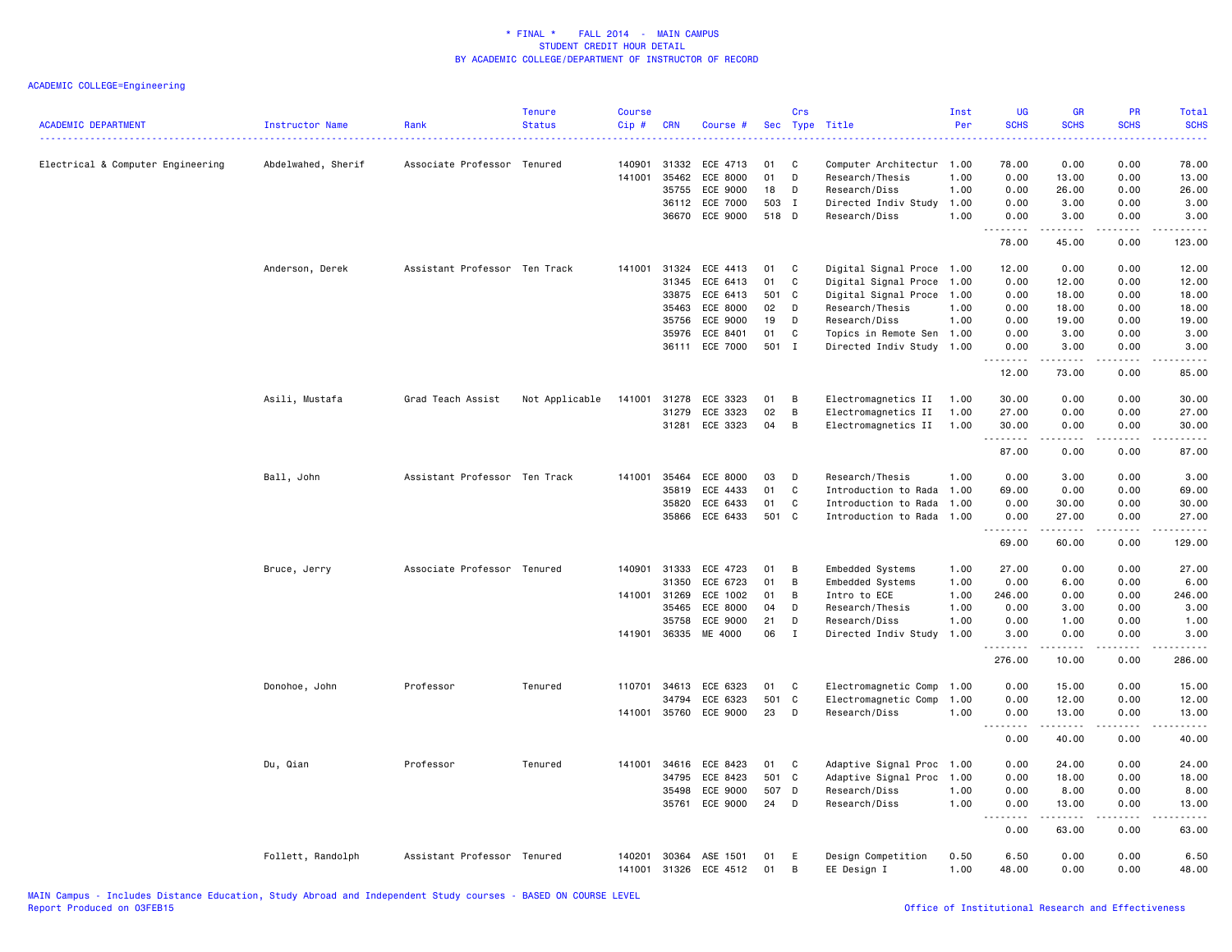| <b>ACADEMIC DEPARTMENT</b>        | <b>Instructor Name</b> | Rank                          | <b>Tenure</b><br><b>Status</b> | <b>Course</b><br>$Cip$ # | <b>CRN</b>     | Course #             | <b>Sec</b> | Crs<br>Type  | Title                             | Inst<br>Per  | <b>UG</b><br><b>SCHS</b> | <b>GR</b><br><b>SCHS</b>                                                                                                                                     | PR<br><b>SCHS</b> | Total<br><b>SCHS</b><br>. |
|-----------------------------------|------------------------|-------------------------------|--------------------------------|--------------------------|----------------|----------------------|------------|--------------|-----------------------------------|--------------|--------------------------|--------------------------------------------------------------------------------------------------------------------------------------------------------------|-------------------|---------------------------|
| Electrical & Computer Engineering | Abdelwahed, Sherif     | Associate Professor Tenured   |                                | 140901                   | 31332          | ECE 4713             | 01         | C            | Computer Architectur 1.00         |              | 78.00                    | 0.00                                                                                                                                                         | 0.00              | 78.00                     |
|                                   |                        |                               |                                | 141001                   | 35462          | ECE 8000             | 01         | D            | Research/Thesis                   | 1.00         | 0.00                     | 13.00                                                                                                                                                        | 0.00              | 13.00                     |
|                                   |                        |                               |                                |                          | 35755          | ECE 9000             | 18         | D            | Research/Diss                     | 1.00         | 0.00                     | 26.00                                                                                                                                                        | 0.00              | 26.00                     |
|                                   |                        |                               |                                |                          | 36112          | ECE 7000             | 503        | $\mathbf{I}$ | Directed Indiv Study              | 1.00         | 0.00                     | 3.00                                                                                                                                                         | 0.00              | 3.00                      |
|                                   |                        |                               |                                |                          | 36670          | ECE 9000             | 518 D      |              | Research/Diss                     | 1.00         | 0.00<br>.                | 3.00<br>$\frac{1}{2} \left( \frac{1}{2} \right) \left( \frac{1}{2} \right) \left( \frac{1}{2} \right) \left( \frac{1}{2} \right) \left( \frac{1}{2} \right)$ | 0.00<br>.         | 3.00<br>.                 |
|                                   |                        |                               |                                |                          |                |                      |            |              |                                   |              | 78.00                    | 45.00                                                                                                                                                        | 0.00              | 123.00                    |
|                                   | Anderson, Derek        | Assistant Professor Ten Track |                                | 141001                   | 31324          | ECE 4413             | 01         | C            | Digital Signal Proce 1.00         |              | 12.00                    | 0.00                                                                                                                                                         | 0.00              | 12.00                     |
|                                   |                        |                               |                                |                          | 31345          | ECE 6413             | 01         | C            | Digital Signal Proce 1.00         |              | 0.00                     | 12.00                                                                                                                                                        | 0.00              | 12.00                     |
|                                   |                        |                               |                                |                          | 33875          | ECE 6413             | 501        | $\mathbf{C}$ | Digital Signal Proce 1.00         |              | 0.00                     | 18.00                                                                                                                                                        | 0.00              | 18.00                     |
|                                   |                        |                               |                                |                          | 35463          | ECE 8000             | 02         | D            | Research/Thesis                   | 1.00         | 0.00                     | 18.00                                                                                                                                                        | 0.00              | 18.00                     |
|                                   |                        |                               |                                |                          | 35756          | ECE 9000             | 19         | D            | Research/Diss                     | 1.00         | 0.00                     | 19.00                                                                                                                                                        | 0.00              | 19.00                     |
|                                   |                        |                               |                                |                          | 35976          | ECE 8401             | 01         | C            | Topics in Remote Sen 1.00         |              | 0.00                     | 3.00                                                                                                                                                         | 0.00              | 3.00                      |
|                                   |                        |                               |                                |                          |                | 36111 ECE 7000       | 501 I      |              | Directed Indiv Study 1.00         |              | 0.00<br>-----            | 3.00<br>. <b>.</b> .                                                                                                                                         | 0.00<br>.         | 3.00<br>.                 |
|                                   |                        |                               |                                |                          |                |                      |            |              |                                   |              | 12.00                    | 73.00                                                                                                                                                        | 0.00              | 85.00                     |
|                                   | Asili, Mustafa         | Grad Teach Assist             | Not Applicable                 | 141001                   | 31278          | ECE 3323             | 01         | B            | Electromagnetics II               | 1.00         | 30.00                    | 0.00                                                                                                                                                         | 0.00              | 30.00                     |
|                                   |                        |                               |                                |                          | 31279          | ECE 3323             | 02         | B            | Electromagnetics II               | 1.00         | 27.00                    | 0.00                                                                                                                                                         | 0.00              | 27.00                     |
|                                   |                        |                               |                                |                          | 31281          | ECE 3323             | 04         | B            | Electromagnetics II               | 1.00         | 30.00                    | 0.00                                                                                                                                                         | 0.00              | 30.00                     |
|                                   |                        |                               |                                |                          |                |                      |            |              |                                   |              | .<br>87.00               | .<br>0.00                                                                                                                                                    | 0.00              | .<br>87.00                |
|                                   | Ball, John             | Assistant Professor Ten Track |                                | 141001                   | 35464          | ECE 8000             | 03         | D            | Research/Thesis                   | 1.00         | 0.00                     | 3.00                                                                                                                                                         | 0.00              | 3.00                      |
|                                   |                        |                               |                                |                          | 35819          | ECE 4433             | 01         | C            | Introduction to Rada 1.00         |              | 69.00                    | 0.00                                                                                                                                                         | 0.00              | 69.00                     |
|                                   |                        |                               |                                |                          | 35820          | ECE 6433             | 01         | C            | Introduction to Rada 1.00         |              | 0.00                     | 30.00                                                                                                                                                        | 0.00              | 30.00                     |
|                                   |                        |                               |                                |                          | 35866          | ECE 6433             | 501        | C            | Introduction to Rada 1.00         |              | 0.00                     | 27.00                                                                                                                                                        | 0.00              | 27.00                     |
|                                   |                        |                               |                                |                          |                |                      |            |              |                                   |              | 1.1.1.1.1.1.1            | $- - - - -$                                                                                                                                                  | .                 | .                         |
|                                   |                        |                               |                                |                          |                |                      |            |              |                                   |              | 69.00                    | 60.00                                                                                                                                                        | 0.00              | 129.00                    |
|                                   | Bruce, Jerry           | Associate Professor Tenured   |                                | 140901                   | 31333          | ECE 4723             | 01         | B            | Embedded Systems                  | 1.00         | 27.00                    | 0.00                                                                                                                                                         | 0.00              | 27.00                     |
|                                   |                        |                               |                                |                          | 31350          | ECE 6723             | 01         | B            | Embedded Systems                  | 1.00         | 0.00                     | 6.00                                                                                                                                                         | 0.00              | 6.00                      |
|                                   |                        |                               |                                | 141001                   | 31269          | ECE 1002             | 01         | В            | Intro to ECE                      | 1.00         | 246.00                   | 0.00                                                                                                                                                         | 0.00              | 246.00                    |
|                                   |                        |                               |                                |                          | 35465          | ECE 8000             | 04         | D            | Research/Thesis                   | 1.00         | 0.00                     | 3.00                                                                                                                                                         | 0.00              | 3.00                      |
|                                   |                        |                               |                                |                          | 35758          | ECE 9000             | 21         | D            | Research/Diss                     | 1.00         | 0.00                     | 1.00                                                                                                                                                         | 0.00              | 1.00                      |
|                                   |                        |                               |                                | 141901                   | 36335          | ME 4000              | 06         | $\mathbf I$  | Directed Indiv Study 1.00         |              | 3.00<br>.                | 0.00<br>$\frac{1}{2} \left( \frac{1}{2} \right) \left( \frac{1}{2} \right) \left( \frac{1}{2} \right) \left( \frac{1}{2} \right) \left( \frac{1}{2} \right)$ | 0.00<br>$- - - -$ | 3.00<br>.                 |
|                                   |                        |                               |                                |                          |                |                      |            |              |                                   |              | 276.00                   | 10.00                                                                                                                                                        | 0.00              | 286.00                    |
|                                   | Donohoe, John          | Professor                     | Tenured                        | 110701                   | 34613          | ECE 6323             | 01         | C            | Electromagnetic Comp              | 1.00         | 0.00                     | 15.00                                                                                                                                                        | 0.00              | 15.00                     |
|                                   |                        |                               |                                |                          | 34794          | ECE 6323             | 501        | C            | Electromagnetic Comp              | 1.00         | 0.00                     | 12.00                                                                                                                                                        | 0.00              | 12.00                     |
|                                   |                        |                               |                                | 141001                   | 35760          | ECE 9000             | 23         | D            | Research/Diss                     | 1.00         | 0.00                     | 13.00                                                                                                                                                        | 0.00              | 13.00                     |
|                                   |                        |                               |                                |                          |                |                      |            |              |                                   |              | 0.00                     | .<br>40.00                                                                                                                                                   | .<br>0.00         | .<br>40.00                |
|                                   | Du, Qian               | Professor                     | Tenured                        | 141001                   | 34616          | ECE 8423             | 01         | C            | Adaptive Signal Proc 1.00         |              | 0.00                     | 24.00                                                                                                                                                        | 0.00              | 24.00                     |
|                                   |                        |                               |                                |                          | 34795          | ECE 8423             | 501 C      |              | Adaptive Signal Proc 1.00         |              | 0.00                     | 18.00                                                                                                                                                        | 0.00              | 18.00                     |
|                                   |                        |                               |                                |                          | 35498          | ECE 9000             | 507        | D            | Research/Diss                     | 1.00         | 0.00                     | 8.00                                                                                                                                                         | 0.00              | 8.00                      |
|                                   |                        |                               |                                |                          | 35761          | ECE 9000             | 24         | D            | Research/Diss                     | 1.00         | 0.00                     | 13.00<br>.                                                                                                                                                   | 0.00<br>.         | 13.00<br>المتمالين        |
|                                   |                        |                               |                                |                          |                |                      |            |              |                                   |              | 0.00                     | 63.00                                                                                                                                                        | 0.00              | 63.00                     |
|                                   | Follett, Randolph      | Assistant Professor Tenured   |                                | 140201<br>141001         | 30364<br>31326 | ASE 1501<br>ECE 4512 | 01<br>01   | E<br>B       | Design Competition<br>EE Design I | 0.50<br>1.00 | 6.50<br>48.00            | 0.00<br>0.00                                                                                                                                                 | 0.00<br>0.00      | 6.50<br>48.00             |
|                                   |                        |                               |                                |                          |                |                      |            |              |                                   |              |                          |                                                                                                                                                              |                   |                           |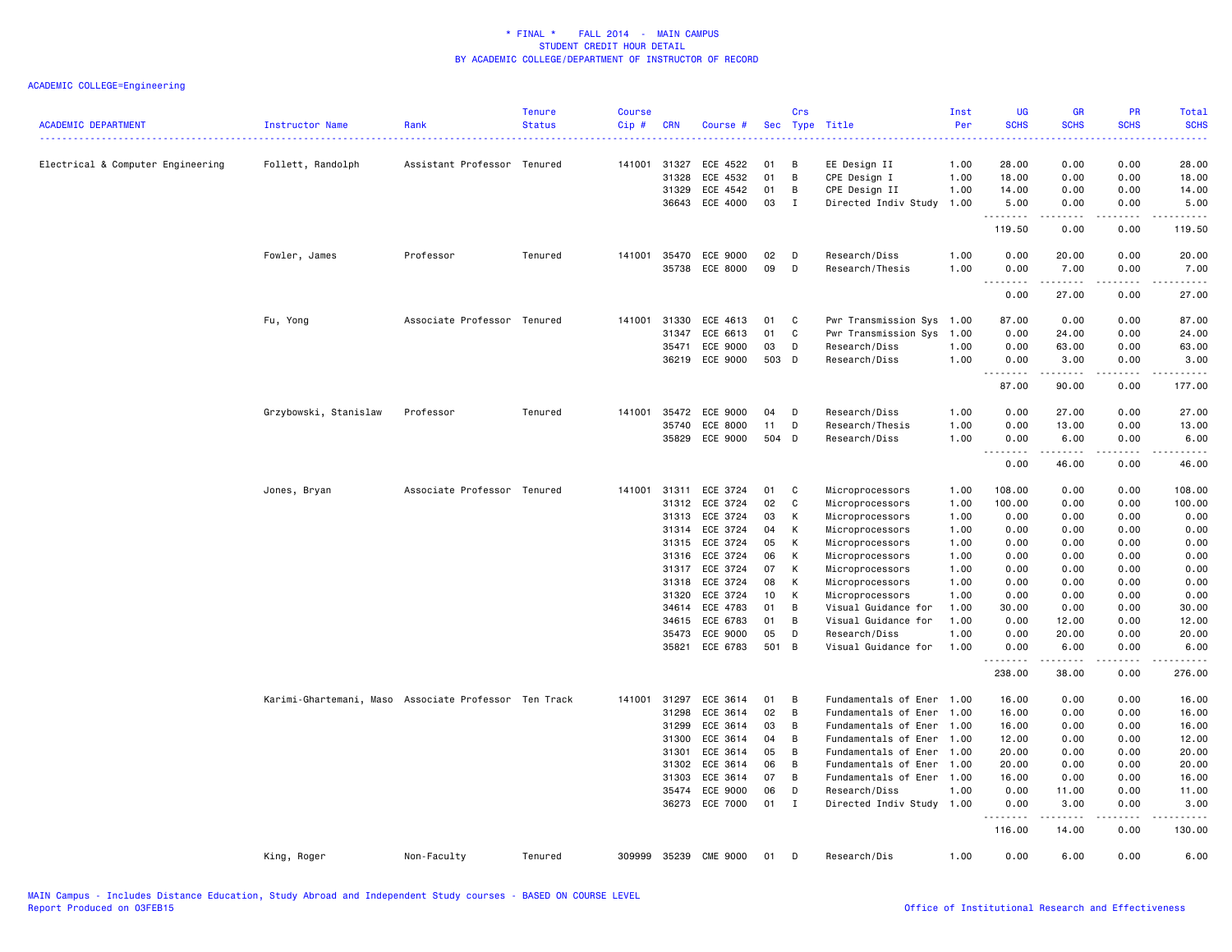| <b>ACADEMIC DEPARTMENT</b>        | Instructor Name                                       | Rank                        | <b>Tenure</b><br><b>Status</b> | <b>Course</b><br>Cip# | <b>CRN</b>              | Course #                         |                | Crs            | Sec Type Title                                | Inst<br>Per<br>222222 | UG<br><b>SCHS</b>       | <b>GR</b><br><b>SCHS</b> | PR<br><b>SCHS</b><br>الأنابات       | Total<br><b>SCHS</b><br>$\frac{1}{2} \left( \frac{1}{2} \right) \left( \frac{1}{2} \right) \left( \frac{1}{2} \right) \left( \frac{1}{2} \right)$            |
|-----------------------------------|-------------------------------------------------------|-----------------------------|--------------------------------|-----------------------|-------------------------|----------------------------------|----------------|----------------|-----------------------------------------------|-----------------------|-------------------------|--------------------------|-------------------------------------|--------------------------------------------------------------------------------------------------------------------------------------------------------------|
| Electrical & Computer Engineering | Follett, Randolph                                     | Assistant Professor Tenured |                                | 141001                | 31327<br>31328<br>31329 | ECE 4522<br>ECE 4532<br>ECE 4542 | 01<br>01<br>01 | B<br>B<br>B    | EE Design II<br>CPE Design I<br>CPE Design II | 1.00<br>1.00<br>1.00  | 28.00<br>18.00<br>14.00 | 0.00<br>0.00<br>0.00     | 0.00<br>0.00<br>0.00                | 28.00<br>18.00<br>14.00                                                                                                                                      |
|                                   |                                                       |                             |                                |                       | 36643                   | ECE 4000                         | 03             | I              | Directed Indiv Study                          | 1.00                  | 5.00<br>.               | 0.00<br>.                | 0.00<br>$\sim$ $\sim$ $\sim$ $\sim$ | 5.00<br>د د د د د                                                                                                                                            |
|                                   |                                                       |                             |                                |                       |                         |                                  |                |                |                                               |                       | 119.50                  | 0.00                     | 0.00                                | 119.50                                                                                                                                                       |
|                                   | Fowler, James                                         | Professor                   | Tenured                        | 141001                | 35470<br>35738          | ECE 9000<br>ECE 8000             | 02<br>09       | D<br>D         | Research/Diss<br>Research/Thesis              | 1.00<br>1.00          | 0.00<br>0.00            | 20.00<br>7.00            | 0.00<br>0.00                        | 20.00<br>7.00                                                                                                                                                |
|                                   |                                                       |                             |                                |                       |                         |                                  |                |                |                                               |                       | .<br>0.00               | $- - - - -$<br>27.00     | $\frac{1}{2}$<br>0.00               | .<br>27.00                                                                                                                                                   |
|                                   | Fu, Yong                                              | Associate Professor Tenured |                                | 141001                | 31330                   | ECE 4613                         | 01             | C              | Pwr Transmission Sys 1.00                     |                       | 87.00                   | 0.00                     | 0.00                                | 87.00                                                                                                                                                        |
|                                   |                                                       |                             |                                |                       | 31347                   | ECE 6613                         | 01             | C              | Pwr Transmission Sys                          | 1.00                  | 0.00                    | 24.00                    | 0.00                                | 24.00                                                                                                                                                        |
|                                   |                                                       |                             |                                |                       | 35471                   | ECE 9000                         | 03             | D              | Research/Diss                                 | 1.00                  | 0.00                    | 63.00                    | 0.00                                | 63.00                                                                                                                                                        |
|                                   |                                                       |                             |                                |                       |                         | 36219 ECE 9000                   | 503 D          |                | Research/Diss                                 | 1.00                  | 0.00<br>.               | 3.00<br>.                | 0.00<br>.                           | 3.00                                                                                                                                                         |
|                                   |                                                       |                             |                                |                       |                         |                                  |                |                |                                               |                       | 87.00                   | 90.00                    | 0.00                                | 177.00                                                                                                                                                       |
|                                   | Grzybowski, Stanislaw                                 | Professor                   | Tenured                        | 141001                | 35472                   | ECE 9000                         | 04             | D              | Research/Diss                                 | 1.00                  | 0.00                    | 27.00                    | 0.00                                | 27.00                                                                                                                                                        |
|                                   |                                                       |                             |                                |                       | 35740                   | ECE 8000                         | 11             | D              | Research/Thesis                               | 1.00                  | 0.00                    | 13.00                    | 0.00                                | 13.00                                                                                                                                                        |
|                                   |                                                       |                             |                                |                       | 35829                   | ECE 9000                         | 504            | D              | Research/Diss                                 | 1.00                  | 0.00<br>.               | 6.00<br>د د د د د        | 0.00<br>د د د د                     | 6.00<br>$\frac{1}{2} \left( \frac{1}{2} \right) \left( \frac{1}{2} \right) \left( \frac{1}{2} \right) \left( \frac{1}{2} \right) \left( \frac{1}{2} \right)$ |
|                                   |                                                       |                             |                                |                       |                         |                                  |                |                |                                               |                       | 0.00                    | 46.00                    | 0.00                                | 46.00                                                                                                                                                        |
|                                   | Jones, Bryan                                          | Associate Professor Tenured |                                | 141001                | 31311                   | ECE 3724                         | 01             | C              | Microprocessors                               | 1.00                  | 108.00                  | 0.00                     | 0.00                                | 108.00                                                                                                                                                       |
|                                   |                                                       |                             |                                |                       | 31312                   | ECE 3724                         | 02             | C              | Microprocessors                               | 1.00                  | 100.00                  | 0.00                     | 0.00                                | 100.00                                                                                                                                                       |
|                                   |                                                       |                             |                                |                       | 31313                   | ECE 3724                         | 03             | К              | Microprocessors                               | 1.00                  | 0.00                    | 0.00                     | 0.00                                | 0.00                                                                                                                                                         |
|                                   |                                                       |                             |                                |                       | 31314                   | ECE 3724                         | 04             | К              | Microprocessors                               | 1.00                  | 0.00                    | 0.00                     | 0.00                                | 0.00                                                                                                                                                         |
|                                   |                                                       |                             |                                |                       | 31315                   | ECE 3724                         | 05             | К              | Microprocessors                               | 1.00                  | 0.00                    | 0.00                     | 0.00                                | 0.00                                                                                                                                                         |
|                                   |                                                       |                             |                                |                       | 31316                   | ECE 3724                         | 06             | К              | Microprocessors                               | 1.00                  | 0.00                    | 0.00                     | 0.00                                | 0.00                                                                                                                                                         |
|                                   |                                                       |                             |                                |                       | 31317                   | ECE 3724                         | 07             | к              | Microprocessors                               | 1.00                  | 0.00                    | 0.00                     | 0.00                                | 0.00                                                                                                                                                         |
|                                   |                                                       |                             |                                |                       | 31318                   | ECE 3724                         | 08             | К              | Microprocessors                               | 1.00                  | 0.00                    | 0.00                     | 0.00                                | 0.00                                                                                                                                                         |
|                                   |                                                       |                             |                                |                       | 31320                   | ECE 3724                         | 10             | К              | Microprocessors                               | 1.00                  | 0.00                    | 0.00                     | 0.00                                | 0.00                                                                                                                                                         |
|                                   |                                                       |                             |                                |                       | 34614                   | ECE 4783                         | 01             | B              | Visual Guidance for                           | 1.00                  | 30.00                   | 0.00                     | 0.00                                | 30.00                                                                                                                                                        |
|                                   |                                                       |                             |                                |                       | 34615                   | ECE 6783                         | 01             | B              | Visual Guidance for                           | 1.00                  | 0.00                    | 12.00                    | 0.00                                | 12.00                                                                                                                                                        |
|                                   |                                                       |                             |                                |                       | 35473                   | ECE 9000                         | 05             | D              | Research/Diss                                 | 1.00                  | 0.00                    | 20.00                    | 0.00                                | 20.00                                                                                                                                                        |
|                                   |                                                       |                             |                                |                       |                         | 35821 ECE 6783                   | 501            | $\overline{B}$ | Visual Guidance for                           | 1.00                  | 0.00<br>.               | 6.00<br>-----            | 0.00<br>----                        | 6.00<br>$- - - - -$                                                                                                                                          |
|                                   |                                                       |                             |                                |                       |                         |                                  |                |                |                                               |                       | 238.00                  | 38.00                    | 0.00                                | 276.00                                                                                                                                                       |
|                                   | Karimi-Ghartemani, Maso Associate Professor Ten Track |                             |                                | 141001                | 31297                   | ECE 3614                         | 01             | B              | Fundamentals of Ener 1.00                     |                       | 16.00                   | 0.00                     | 0.00                                | 16.00                                                                                                                                                        |
|                                   |                                                       |                             |                                |                       | 31298                   | ECE 3614                         | 02             | B              | Fundamentals of Ener 1.00                     |                       | 16.00                   | 0.00                     | 0.00                                | 16.00                                                                                                                                                        |
|                                   |                                                       |                             |                                |                       | 31299                   | ECE 3614                         | 03             | B              | Fundamentals of Ener 1.00                     |                       | 16.00                   | 0.00                     | 0.00                                | 16.00                                                                                                                                                        |
|                                   |                                                       |                             |                                |                       | 31300                   | ECE 3614                         | 04             | B              | Fundamentals of Ener 1.00                     |                       | 12.00                   | 0.00                     | 0.00                                | 12.00                                                                                                                                                        |
|                                   |                                                       |                             |                                |                       | 31301                   | ECE 3614                         | 05             | B              | Fundamentals of Ener 1.00                     |                       | 20.00                   | 0.00                     | 0.00                                | 20.00                                                                                                                                                        |
|                                   |                                                       |                             |                                |                       | 31302                   | ECE 3614                         | 06             | B              | Fundamentals of Ener                          | 1.00                  | 20.00                   | 0.00                     | 0.00                                | 20.00                                                                                                                                                        |
|                                   |                                                       |                             |                                |                       | 31303                   | ECE 3614                         | 07             | B              | Fundamentals of Ener 1.00                     |                       | 16.00                   | 0.00                     | 0.00                                | 16.00                                                                                                                                                        |
|                                   |                                                       |                             |                                |                       | 35474                   | ECE 9000                         | 06             | D              | Research/Diss                                 | 1.00                  | 0.00                    | 11.00                    | 0.00                                | 11.00                                                                                                                                                        |
|                                   |                                                       |                             |                                |                       |                         | 36273 ECE 7000                   | 01             | I              | Directed Indiv Study 1.00                     |                       | 0.00<br>.               | 3.00<br>.                | 0.00<br>.                           | 3.00<br>.                                                                                                                                                    |
|                                   |                                                       |                             |                                |                       |                         |                                  |                |                |                                               |                       | 116.00                  | 14.00                    | 0.00                                | 130.00                                                                                                                                                       |
|                                   | King, Roger                                           | Non-Faculty                 | Tenured                        | 309999                | 35239                   | CME 9000                         | 01             | D              | Research/Dis                                  | 1.00                  | 0.00                    | 6.00                     | 0.00                                | 6.00                                                                                                                                                         |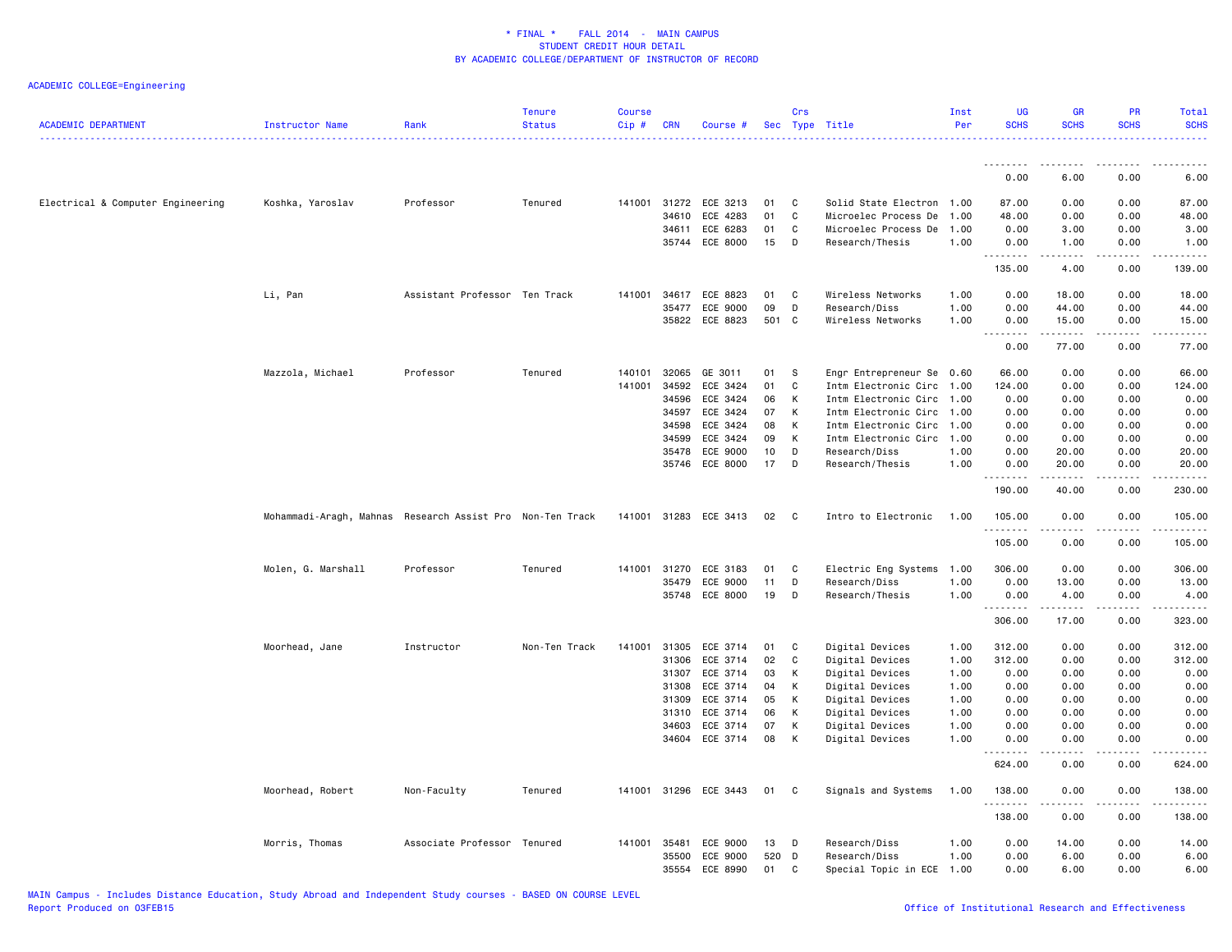| <b>ACADEMIC DEPARTMENT</b>        | Instructor Name                                           | Rank                          | <b>Tenure</b><br><b>Status</b> | <b>Course</b><br>Cip# | <b>CRN</b>   | Course #                   | Sec      | Crs          | Type Title                | Inst<br>Per  | <b>UG</b><br><b>SCHS</b>     | <b>GR</b><br><b>SCHS</b> | PR<br><b>SCHS</b>    | <b>Total</b><br><b>SCHS</b> |
|-----------------------------------|-----------------------------------------------------------|-------------------------------|--------------------------------|-----------------------|--------------|----------------------------|----------|--------------|---------------------------|--------------|------------------------------|--------------------------|----------------------|-----------------------------|
|                                   |                                                           |                               |                                |                       |              |                            |          |              |                           |              | 0.00                         | 6.00                     | 0.00                 | 6.00                        |
|                                   |                                                           |                               |                                |                       |              |                            |          |              |                           |              |                              |                          |                      |                             |
| Electrical & Computer Engineering | Koshka, Yaroslav                                          | Professor                     | Tenured                        | 141001                | 31272        | ECE 3213                   | 01       | C            | Solid State Electron 1.00 |              | 87.00                        | 0.00                     | 0.00                 | 87.00                       |
|                                   |                                                           |                               |                                |                       | 34610        | ECE 4283                   | 01       | C            | Microelec Process De      | 1.00         | 48.00                        | 0.00                     | 0.00                 | 48.00                       |
|                                   |                                                           |                               |                                |                       | 34611        | ECE 6283                   | 01       | C            | Microelec Process De      | 1.00         | 0.00                         | 3.00                     | 0.00                 | 3.00                        |
|                                   |                                                           |                               |                                |                       |              | 35744 ECE 8000             | 15       | D            | Research/Thesis           | 1.00         | 0.00<br>.                    | 1.00<br>.                | 0.00<br>د د د د      | 1.00<br>.                   |
|                                   |                                                           |                               |                                |                       |              |                            |          |              |                           |              | 135.00                       | 4.00                     | 0.00                 | 139.00                      |
|                                   | Li, Pan                                                   | Assistant Professor Ten Track |                                | 141001                | 34617        | ECE 8823                   | 01       | C            | Wireless Networks         | 1.00         | 0.00                         | 18.00                    | 0.00                 | 18.00                       |
|                                   |                                                           |                               |                                |                       | 35477        | ECE 9000                   | 09       | D            | Research/Diss             | 1.00         | 0.00                         | 44.00                    | 0.00                 | 44.00                       |
|                                   |                                                           |                               |                                |                       |              | 35822 ECE 8823             | 501 C    |              | Wireless Networks         | 1.00         | 0.00<br>.                    | 15.00<br>.               | 0.00<br>. <u>.</u> . | 15.00<br>.                  |
|                                   |                                                           |                               |                                |                       |              |                            |          |              |                           |              | 0.00                         | 77.00                    | 0.00                 | 77.00                       |
|                                   | Mazzola, Michael                                          | Professor                     | Tenured                        | 140101                | 32065        | GE 3011                    | 01       | S            | Engr Entrepreneur Se 0.60 |              | 66.00                        | 0.00                     | 0.00                 | 66.00                       |
|                                   |                                                           |                               |                                | 141001                | 34592        | ECE 3424                   | 01       | C            | Intm Electronic Circ      | 1.00         | 124.00                       | 0.00                     | 0.00                 | 124.00                      |
|                                   |                                                           |                               |                                |                       | 34596        | ECE 3424                   | 06       | K            | Intm Electronic Circ 1.00 |              | 0.00                         | 0.00                     | 0.00                 | 0.00                        |
|                                   |                                                           |                               |                                |                       | 34597        | ECE 3424                   | 07       | К            | Intm Electronic Circ      | 1.00         | 0.00                         | 0.00                     | 0.00                 | 0.00                        |
|                                   |                                                           |                               |                                |                       | 34598        | ECE 3424                   | 08       | К            | Intm Electronic Circ      | 1.00         | 0.00                         | 0.00                     | 0.00                 | 0.00                        |
|                                   |                                                           |                               |                                |                       | 34599        | ECE 3424                   | 09       | К            | Intm Electronic Circ 1.00 |              | 0.00                         | 0.00                     | 0.00                 | 0.00                        |
|                                   |                                                           |                               |                                |                       | 35478        | ECE 9000                   | 10       | D            | Research/Diss             | 1.00         | 0.00                         | 20.00                    | 0.00                 | 20.00                       |
|                                   |                                                           |                               |                                |                       | 35746        | ECE 8000                   | 17       | D            | Research/Thesis           | 1.00         | 0.00<br>$\omega$ is $\omega$ | 20.00                    | 0.00                 | 20,00                       |
|                                   |                                                           |                               |                                |                       |              |                            |          |              |                           |              | 190.00                       | 40.00                    | 0.00                 | 230.00                      |
|                                   | Mohammadi-Aragh, Mahnas Research Assist Pro Non-Ten Track |                               |                                |                       | 141001 31283 | ECE 3413                   | 02       | $\mathbf{C}$ | Intro to Electronic       | 1.00         | 105.00<br>.                  | 0.00                     | 0.00                 | 105.00<br>.                 |
|                                   |                                                           |                               |                                |                       |              |                            |          |              |                           |              | 105.00                       | 0.00                     | 0.00                 | 105.00                      |
|                                   | Molen, G. Marshall                                        | Professor                     | Tenured                        |                       | 141001 31270 | ECE 3183                   | 01       | C            | Electric Eng Systems      | 1.00         | 306.00                       | 0.00                     | 0.00                 | 306.00                      |
|                                   |                                                           |                               |                                |                       | 35479        | ECE 9000                   | 11       | D            | Research/Diss             | 1.00         | 0.00                         | 13.00                    | 0.00                 | 13.00                       |
|                                   |                                                           |                               |                                |                       | 35748        | ECE 8000                   | 19       | D            | Research/Thesis           | 1.00         | 0.00                         | 4.00                     | 0.00                 | 4.00                        |
|                                   |                                                           |                               |                                |                       |              |                            |          |              |                           |              | .<br>306.00                  | .<br>17.00               | .<br>0.00            | <u>.</u><br>323.00          |
|                                   | Moorhead, Jane                                            | Instructor                    | Non-Ten Track                  | 141001                | 31305        | ECE 3714                   | 01       | C            | Digital Devices           | 1.00         | 312.00                       | 0.00                     | 0.00                 | 312.00                      |
|                                   |                                                           |                               |                                |                       | 31306        | ECE 3714                   | 02       | C            | Digital Devices           | 1.00         | 312.00                       | 0.00                     | 0.00                 | 312.00                      |
|                                   |                                                           |                               |                                |                       | 31307        | ECE 3714                   | 03       | К            | Digital Devices           | 1.00         | 0.00                         | 0.00                     | 0.00                 | 0.00                        |
|                                   |                                                           |                               |                                |                       | 31308        | ECE 3714                   | 04       | К            | Digital Devices           | 1.00         | 0.00                         | 0.00                     | 0.00                 | 0.00                        |
|                                   |                                                           |                               |                                |                       | 31309        | ECE 3714                   | 05       | К            | Digital Devices           | 1.00         | 0.00                         | 0.00                     | 0.00                 | 0.00                        |
|                                   |                                                           |                               |                                |                       | 31310        | ECE 3714                   | 06       | К            | Digital Devices           | 1.00         | 0.00                         | 0.00                     | 0.00                 | 0.00                        |
|                                   |                                                           |                               |                                |                       | 34603        | ECE 3714<br>34604 ECE 3714 | 07<br>08 | К<br>К       | Digital Devices           | 1.00<br>1.00 | 0.00<br>0.00                 | 0.00<br>0.00             | 0.00<br>0.00         | 0.00<br>0.00                |
|                                   |                                                           |                               |                                |                       |              |                            |          |              | Digital Devices           |              | .                            | .                        | .                    | .                           |
|                                   |                                                           |                               |                                |                       |              |                            |          |              |                           |              | 624.00                       | 0.00                     | 0.00                 | 624.00                      |
|                                   | Moorhead, Robert                                          | Non-Faculty                   | Tenured                        |                       |              | 141001 31296 ECE 3443      | 01       | C            | Signals and Systems       | 1.00         | 138.00<br>.                  | 0.00<br>. <b>.</b>       | 0.00<br>-----        | 138.00                      |
|                                   |                                                           |                               |                                |                       |              |                            |          |              |                           |              | 138.00                       | 0.00                     | 0.00                 | 138.00                      |
|                                   | Morris, Thomas                                            | Associate Professor Tenured   |                                |                       | 141001 35481 | ECE 9000                   | 13       | D            | Research/Diss             | 1.00         | 0.00                         | 14.00                    | 0.00                 | 14.00                       |
|                                   |                                                           |                               |                                |                       | 35500        | ECE 9000                   | 520      | D            | Research/Diss             | 1.00         | 0.00                         | 6.00                     | 0.00                 | 6.00                        |
|                                   |                                                           |                               |                                |                       | 35554        | ECE 8990                   | 01       | C            | Special Topic in ECE 1.00 |              | 0.00                         | 6.00                     | 0.00                 | 6.00                        |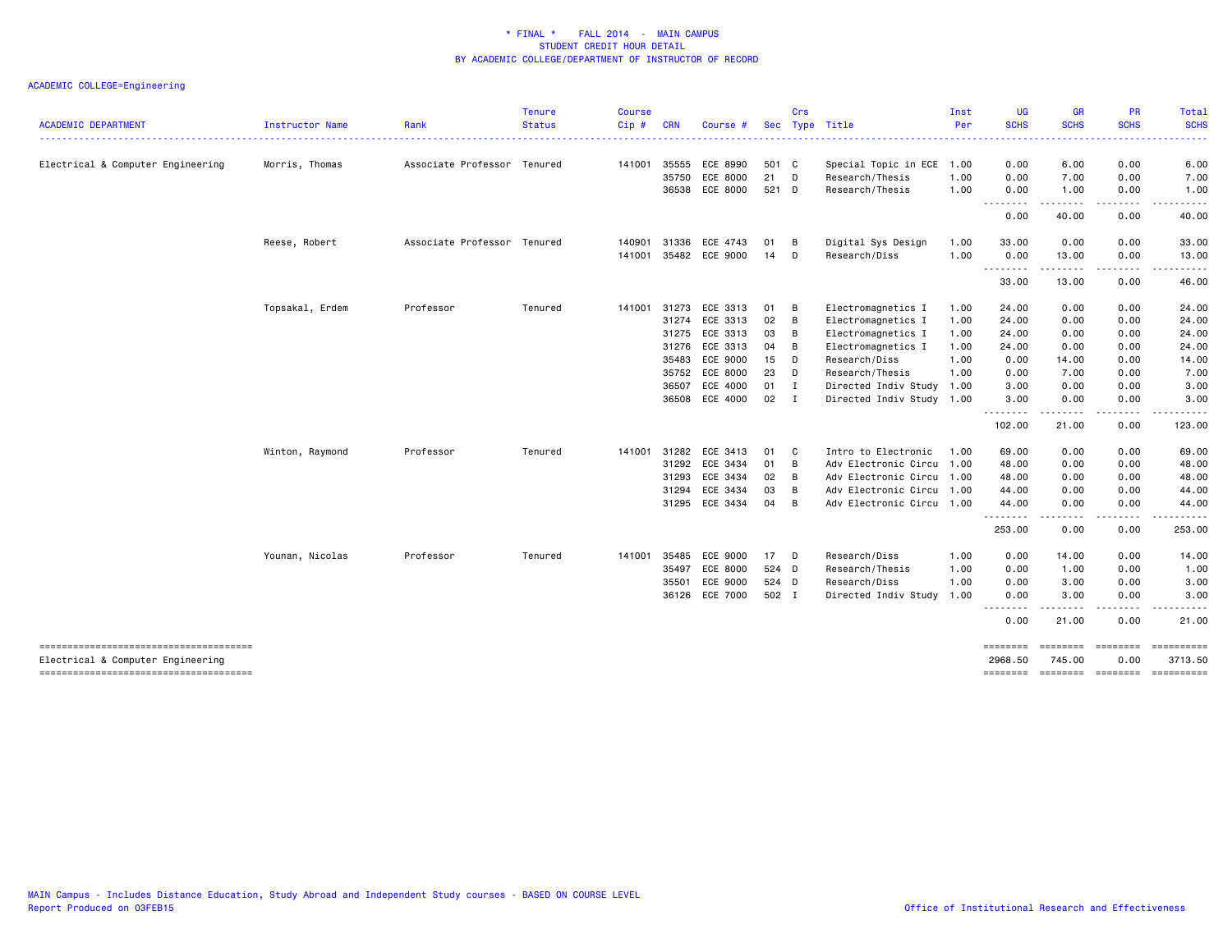|                                                                            |                        |                             | <b>Tenure</b> | <b>Course</b> |            |                |            | Crs          |                           | Inst | <b>UG</b>           | <b>GR</b>                                                                                                                                                    | <b>PR</b>        | Total                   |
|----------------------------------------------------------------------------|------------------------|-----------------------------|---------------|---------------|------------|----------------|------------|--------------|---------------------------|------|---------------------|--------------------------------------------------------------------------------------------------------------------------------------------------------------|------------------|-------------------------|
| <b>ACADEMIC DEPARTMENT</b>                                                 | <b>Instructor Name</b> | Rank                        | <b>Status</b> | Cip#          | <b>CRN</b> | Course #       | <b>Sec</b> |              | Type Title                | Per  | <b>SCHS</b><br>.    | <b>SCHS</b>                                                                                                                                                  | <b>SCHS</b>      | <b>SCHS</b><br><b>.</b> |
| Electrical & Computer Engineering                                          | Morris, Thomas         | Associate Professor Tenured |               | 141001        | 35555      | ECE 8990       | 501 C      |              | Special Topic in ECE 1.00 |      | 0.00                | 6.00                                                                                                                                                         | 0.00             | 6.00                    |
|                                                                            |                        |                             |               |               | 35750      | ECE 8000       | 21         | D            | Research/Thesis           | 1.00 | 0.00                | 7.00                                                                                                                                                         | 0.00             | 7.00                    |
|                                                                            |                        |                             |               |               | 36538      | ECE 8000       | 521 D      |              | Research/Thesis           | 1.00 | 0.00                | 1.00                                                                                                                                                         | 0.00             | 1.00                    |
|                                                                            |                        |                             |               |               |            |                |            |              |                           |      | .<br>0.00           | 40.00                                                                                                                                                        | .<br>0.00        | .<br>40.00              |
|                                                                            | Reese, Robert          | Associate Professor Tenured |               | 140901        | 31336      | ECE 4743       | 01         | B            | Digital Sys Design        | 1.00 | 33.00               | 0.00                                                                                                                                                         | 0.00             | 33.00                   |
|                                                                            |                        |                             |               | 141001        | 35482      | ECE 9000       | 14         | D            | Research/Diss             | 1.00 | 0.00<br>.           | 13.00<br>------                                                                                                                                              | 0.00<br>.        | 13.00<br>.              |
|                                                                            |                        |                             |               |               |            |                |            |              |                           |      | 33.00               | 13.00                                                                                                                                                        | 0.00             | 46.00                   |
|                                                                            | Topsakal, Erdem        | Professor                   | Tenured       | 141001        | 31273      | ECE 3313       | 01         | в            | Electromagnetics I        | 1.00 | 24.00               | 0.00                                                                                                                                                         | 0.00             | 24.00                   |
|                                                                            |                        |                             |               |               | 31274      | ECE 3313       | 02         | B            | Electromagnetics I        | 1.00 | 24.00               | 0.00                                                                                                                                                         | 0.00             | 24.00                   |
|                                                                            |                        |                             |               |               | 31275      | ECE 3313       | 03         | B            | Electromagnetics I        | 1.00 | 24.00               | 0.00                                                                                                                                                         | 0.00             | 24.00                   |
|                                                                            |                        |                             |               |               |            | 31276 ECE 3313 | 04         | B            | Electromagnetics I        | 1.00 | 24.00               | 0.00                                                                                                                                                         | 0.00             | 24.00                   |
|                                                                            |                        |                             |               |               | 35483      | ECE 9000       | 15         | D            | Research/Diss             | 1.00 | 0.00                | 14.00                                                                                                                                                        | 0.00             | 14.00                   |
|                                                                            |                        |                             |               |               | 35752      | ECE 8000       | 23         | D            | Research/Thesis           | 1.00 | 0.00                | 7.00                                                                                                                                                         | 0.00             | 7.00                    |
|                                                                            |                        |                             |               |               | 36507      | ECE 4000       | 01         | $\mathbf I$  | Directed Indiv Study 1.00 |      | 3.00                | 0.00                                                                                                                                                         | 0.00             | 3.00                    |
|                                                                            |                        |                             |               |               | 36508      | ECE 4000       | 02         | $\mathbf{I}$ | Directed Indiv Study 1.00 |      | 3.00<br><u>.</u>    | 0.00<br>$\frac{1}{2} \left( \frac{1}{2} \right) \left( \frac{1}{2} \right) \left( \frac{1}{2} \right) \left( \frac{1}{2} \right) \left( \frac{1}{2} \right)$ | 0.00<br>.        | 3.00<br>.               |
|                                                                            |                        |                             |               |               |            |                |            |              |                           |      | 102.00              | 21.00                                                                                                                                                        | 0.00             | 123.00                  |
|                                                                            | Winton, Raymond        | Professor                   | Tenured       | 141001        | 31282      | ECE 3413       | 01         | C            | Intro to Electronic       | 1.00 | 69.00               | 0.00                                                                                                                                                         | 0.00             | 69.00                   |
|                                                                            |                        |                             |               |               | 31292      | ECE 3434       | 01         | B            | Adv Electronic Circu 1.00 |      | 48.00               | 0.00                                                                                                                                                         | 0.00             | 48.00                   |
|                                                                            |                        |                             |               |               | 31293      | ECE 3434       | 02         | B            | Adv Electronic Circu 1.00 |      | 48.00               | 0.00                                                                                                                                                         | 0.00             | 48.00                   |
|                                                                            |                        |                             |               |               | 31294      | ECE 3434       | 03         | B            | Adv Electronic Circu 1.00 |      | 44.00               | 0.00                                                                                                                                                         | 0.00             | 44.00                   |
|                                                                            |                        |                             |               |               | 31295      | ECE 3434       | 04         | B            | Adv Electronic Circu 1.00 |      | 44.00<br>.          | 0.00<br>.                                                                                                                                                    | 0.00<br>$   -$   | 44.00<br>.              |
|                                                                            |                        |                             |               |               |            |                |            |              |                           |      | 253.00              | 0.00                                                                                                                                                         | 0.00             | 253.00                  |
|                                                                            | Younan, Nicolas        | Professor                   | Tenured       | 141001        | 35485      | ECE 9000       | 17         | D            | Research/Diss             | 1.00 | 0.00                | 14.00                                                                                                                                                        | 0.00             | 14.00                   |
|                                                                            |                        |                             |               |               | 35497      | ECE 8000       | 524 D      |              | Research/Thesis           | 1.00 | 0.00                | 1.00                                                                                                                                                         | 0.00             | 1.00                    |
|                                                                            |                        |                             |               |               | 35501      | ECE 9000       | 524 D      |              | Research/Diss             | 1.00 | 0.00                | 3.00                                                                                                                                                         | 0.00             | 3.00                    |
|                                                                            |                        |                             |               |               | 36126      | ECE 7000       | 502 I      |              | Directed Indiv Study 1.00 |      | 0.00<br>-------     | 3.00                                                                                                                                                         | 0.00             | 3.00                    |
|                                                                            |                        |                             |               |               |            |                |            |              |                           |      | 0.00                | 21.00                                                                                                                                                        | 0.00             | 21.00                   |
| -------------------------------------<br>Electrical & Computer Engineering |                        |                             |               |               |            |                |            |              |                           |      | ========<br>2968.50 | ========<br>745.00                                                                                                                                           | ========<br>0.00 | ==========<br>3713.50   |
|                                                                            |                        |                             |               |               |            |                |            |              |                           |      | ========            | --------- --------                                                                                                                                           |                  | ==========              |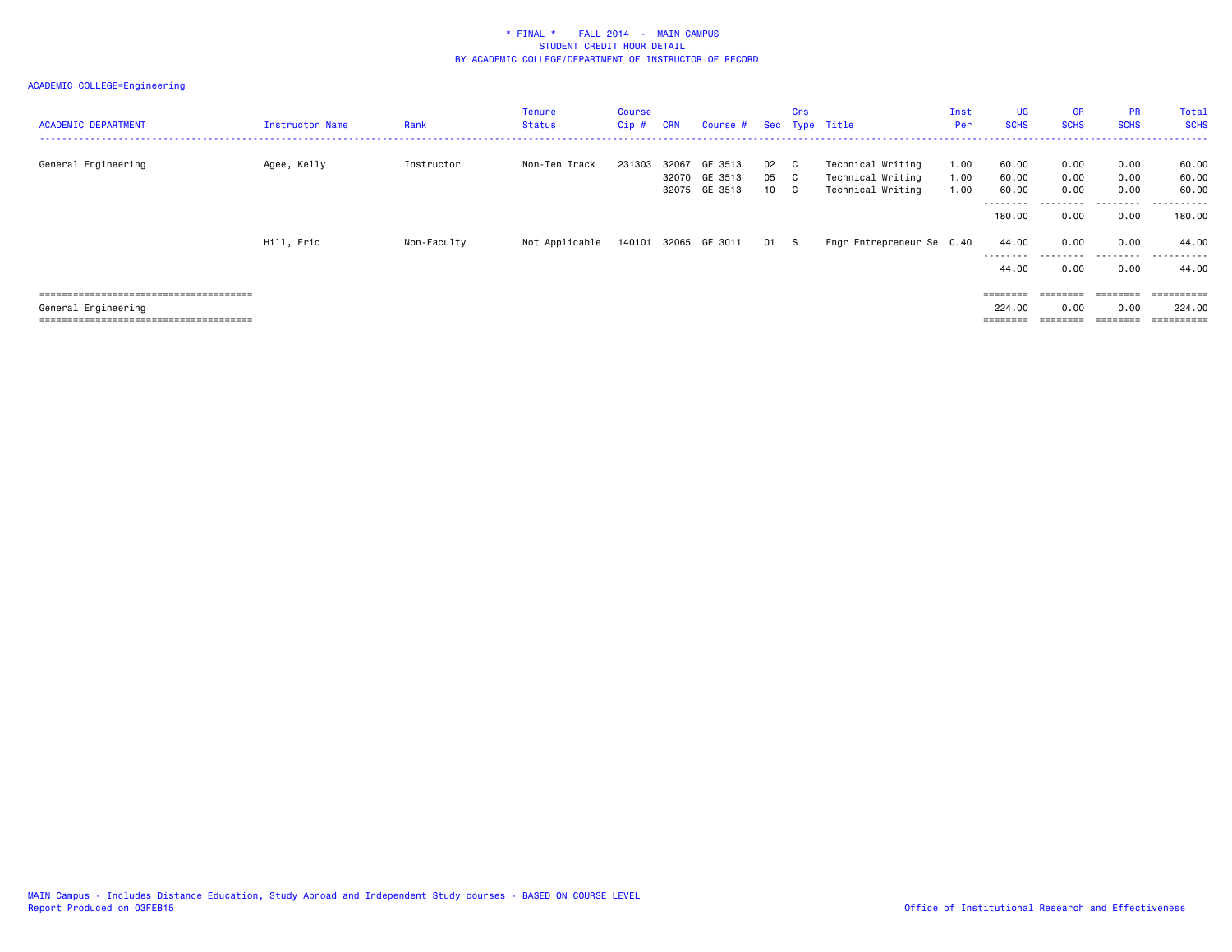| <b>ACADEMIC DEPARTMENT</b> | Instructor Name | Rank        | <b>Tenure</b><br><b>Status</b> | Course<br>Cip # | <b>CRN</b>     | Course # Sec Type Title             |                               | Crs     |                                                             | Inst<br>Per          | <b>UG</b><br><b>SCHS</b>   | <b>GR</b><br><b>SCHS</b> | <b>PR</b><br><b>SCHS</b>     | Total<br><b>SCHS</b>     |
|----------------------------|-----------------|-------------|--------------------------------|-----------------|----------------|-------------------------------------|-------------------------------|---------|-------------------------------------------------------------|----------------------|----------------------------|--------------------------|------------------------------|--------------------------|
| General Engineering        | Agee, Kelly     | Instructor  | Non-Ten Track                  | 231303          | 32067<br>32070 | GE 3513<br>GE 3513<br>32075 GE 3513 | 02<br>05 C<br>10 <sup>1</sup> | C.<br>C | Technical Writing<br>Technical Writing<br>Technical Writing | 1.00<br>1.00<br>1.00 | 60.00<br>60.00<br>60.00    | 0.00<br>0.00<br>0.00     | 0.00<br>0.00<br>0.00         | 60.00<br>60.00<br>60.00  |
|                            |                 |             |                                |                 |                |                                     |                               |         |                                                             |                      | ---------<br>180.00        | .<br>0.00                | .<br>0.00                    | .<br>180.00              |
|                            | Hill, Eric      | Non-Faculty | Not Applicable                 |                 |                | 140101 32065 GE 3011                | 01 S                          |         | Engr Entrepreneur Se 0.40                                   |                      | 44.00<br>--------<br>44.00 | 0.00<br>0.00             | 0.00<br>.<br>0.00            | 44.00<br>------<br>44.00 |
| General Engineering        |                 |             |                                |                 |                |                                     |                               |         |                                                             |                      | 224.00                     | --------<br>0.00         | ========<br>0.00<br>-------- | 224,00                   |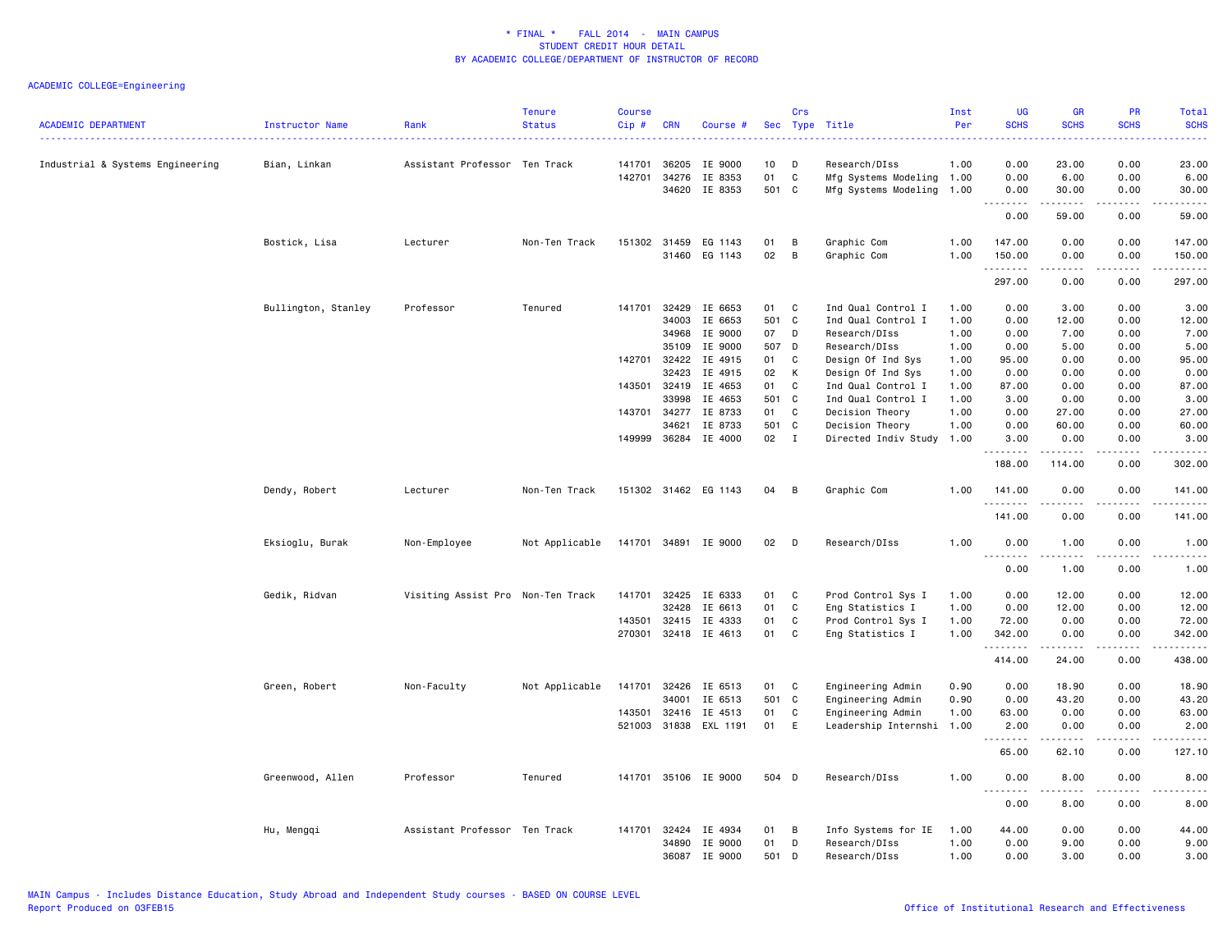| <b>ACADEMIC DEPARTMENT</b>       | <b>Instructor Name</b> | Rank                              | <b>Tenure</b><br><b>Status</b> | <b>Course</b><br>Cip # | <b>CRN</b>     | Course #                              |           | Crs               | Sec Type Title                                         | Inst<br>Per  | <b>UG</b><br><b>SCHS</b>                        | <b>GR</b><br><b>SCHS</b> | PR<br><b>SCHS</b>                   | Total<br><b>SCHS</b><br>.                                                       |
|----------------------------------|------------------------|-----------------------------------|--------------------------------|------------------------|----------------|---------------------------------------|-----------|-------------------|--------------------------------------------------------|--------------|-------------------------------------------------|--------------------------|-------------------------------------|---------------------------------------------------------------------------------|
| Industrial & Systems Engineering | Bian, Linkan           | Assistant Professor Ten Track     |                                | 141701                 | 36205          | IE 9000                               | 10        | D                 | Research/DIss                                          | 1.00         | 0.00                                            | 23.00                    | 0.00                                | 23.00                                                                           |
|                                  |                        |                                   |                                | 142701                 | 34276<br>34620 | IE 8353<br>IE 8353                    | 01<br>501 | $\mathbf{C}$<br>C | Mfg Systems Modeling 1.00<br>Mfg Systems Modeling 1.00 |              | 0.00<br>0.00                                    | 6.00<br>30.00            | 0.00<br>0.00                        | 6.00<br>30.00                                                                   |
|                                  |                        |                                   |                                |                        |                |                                       |           |                   |                                                        |              | $\cdots \cdots$<br>$\sim$ $\sim$ $\sim$<br>0.00 | .<br>59.00               | .<br>0.00                           | $\sim$ $\sim$ $\sim$ $\sim$<br>59.00                                            |
|                                  | Bostick, Lisa          | Lecturer                          | Non-Ten Track                  |                        |                | 151302 31459 EG 1143<br>31460 EG 1143 | 01<br>02  | B<br>B            | Graphic Com<br>Graphic Com                             | 1.00<br>1.00 | 147.00<br>150.00                                | 0.00<br>0.00             | 0.00<br>0.00                        | 147.00<br>150.00                                                                |
|                                  |                        |                                   |                                |                        |                |                                       |           |                   |                                                        |              | .<br>297.00                                     | 0.00                     | 0.00                                | .<br>297.00                                                                     |
|                                  | Bullington, Stanley    | Professor                         | Tenured                        | 141701                 | 32429          | IE 6653                               | 01        | C                 | Ind Qual Control I                                     | 1.00         | 0.00                                            | 3.00                     | 0.00                                | 3.00                                                                            |
|                                  |                        |                                   |                                |                        | 34003          | IE 6653                               | 501       | $\mathbf{C}$      | Ind Qual Control I                                     | 1.00         | 0.00                                            | 12.00                    | 0.00                                | 12.00                                                                           |
|                                  |                        |                                   |                                |                        | 34968          | IE 9000                               | 07        | D                 | Research/DIss                                          | 1.00         | 0.00                                            | 7.00                     | 0.00                                | 7.00                                                                            |
|                                  |                        |                                   |                                |                        | 35109          | IE 9000                               | 507       | D                 | Research/DIss                                          | 1.00         | 0.00                                            | 5.00                     | 0.00                                | 5.00                                                                            |
|                                  |                        |                                   |                                | 142701                 | 32422          | IE 4915                               | 01        | C                 | Design Of Ind Sys                                      | 1.00         | 95.00                                           | 0.00                     | 0.00                                | 95.00                                                                           |
|                                  |                        |                                   |                                |                        | 32423          | IE 4915                               | 02        | К                 | Design Of Ind Sys                                      | 1.00         | 0.00                                            | 0.00                     | 0.00                                | 0.00                                                                            |
|                                  |                        |                                   |                                | 143501                 | 32419          | IE 4653                               | 01        | C                 | Ind Qual Control I                                     | 1.00         | 87.00                                           | 0.00                     | 0.00                                | 87.00                                                                           |
|                                  |                        |                                   |                                |                        | 33998          | IE 4653                               | 501       | C                 | Ind Qual Control I                                     | 1.00         | 3.00                                            | 0.00                     | 0.00                                | 3.00                                                                            |
|                                  |                        |                                   |                                | 143701                 | 34277          | IE 8733                               | 01        | C                 | Decision Theory                                        | 1.00         | 0.00                                            | 27.00                    | 0.00                                | 27.00                                                                           |
|                                  |                        |                                   |                                |                        | 34621          | IE 8733                               | 501       | C                 | Decision Theory                                        | 1.00         | 0.00                                            | 60.00                    | 0.00                                | 60.00                                                                           |
|                                  |                        |                                   |                                |                        |                | 149999 36284 IE 4000                  | 02        | $\mathbf{I}$      | Directed Indiv Study 1.00                              |              | 3.00                                            | 0.00                     | 0.00                                | 3.00                                                                            |
|                                  |                        |                                   |                                |                        |                |                                       |           |                   |                                                        |              | .<br>188.00                                     | .<br>114.00              | . <b>.</b> .<br>0.00                | .<br>302.00                                                                     |
|                                  | Dendy, Robert          | Lecturer                          | Non-Ten Track                  |                        |                | 151302 31462 EG 1143                  | 04        | B                 | Graphic Com                                            | 1.00         | 141.00                                          | 0.00                     | 0.00                                | 141.00                                                                          |
|                                  |                        |                                   |                                |                        |                |                                       |           |                   |                                                        |              | .<br>141.00                                     | 0.00                     | $\sim$ $\sim$ $\sim$ $\sim$<br>0.00 | ------<br>141.00                                                                |
|                                  | Eksioglu, Burak        | Non-Employee                      | Not Applicable                 |                        |                | 141701 34891 IE 9000                  | 02        | D                 | Research/DIss                                          | 1.00         | 0.00                                            | 1.00                     | 0.00                                | 1.00                                                                            |
|                                  |                        |                                   |                                |                        |                |                                       |           |                   |                                                        |              | .<br>0.00                                       | .<br>1.00                | $\frac{1}{2}$<br>0.00               | <u>.</u><br>1.00                                                                |
|                                  | Gedik, Ridvan          | Visiting Assist Pro Non-Ten Track |                                | 141701                 | 32425          | IE 6333                               | 01        | C                 | Prod Control Sys I                                     | 1.00         | 0.00                                            | 12.00                    | 0.00                                | 12.00                                                                           |
|                                  |                        |                                   |                                |                        | 32428          | IE 6613                               | 01        | C                 | Eng Statistics I                                       | 1.00         | 0.00                                            | 12.00                    | 0.00                                | 12.00                                                                           |
|                                  |                        |                                   |                                | 143501                 | 32415          | IE 4333                               | 01        | C                 | Prod Control Sys I                                     | 1.00         | 72.00                                           | 0.00                     | 0.00                                | 72.00                                                                           |
|                                  |                        |                                   |                                | 270301                 |                | 32418 IE 4613                         | 01        | C                 | Eng Statistics I                                       | 1.00         | 342.00                                          | 0.00                     | 0.00                                | 342.00                                                                          |
|                                  |                        |                                   |                                |                        |                |                                       |           |                   |                                                        |              | .<br>414.00                                     | .<br>24.00               | .<br>0.00                           | $\begin{array}{cccccccccc} \dots & \dots & \dots & \dots \end{array}$<br>438.00 |
|                                  | Green, Robert          | Non-Faculty                       | Not Applicable                 | 141701                 | 32426          | IE 6513                               | 01        | C                 | Engineering Admin                                      | 0.90         | 0.00                                            | 18.90                    | 0.00                                | 18.90                                                                           |
|                                  |                        |                                   |                                |                        | 34001          | IE 6513                               | 501       | C                 | Engineering Admin                                      | 0.90         | 0.00                                            | 43.20                    | 0.00                                | 43.20                                                                           |
|                                  |                        |                                   |                                | 143501                 | 32416          | IE 4513                               | 01        | C                 | Engineering Admin                                      | 1.00         | 63.00                                           | 0.00                     | 0.00                                | 63.00                                                                           |
|                                  |                        |                                   |                                |                        |                | 521003 31838 EXL 1191                 | 01        | E                 | Leadership Internshi 1.00                              |              | 2.00                                            | 0.00                     | 0.00                                | 2.00                                                                            |
|                                  |                        |                                   |                                |                        |                |                                       |           |                   |                                                        |              | .<br>65.00                                      | -----<br>62.10           | 0.00                                | .<br>127.10                                                                     |
|                                  | Greenwood, Allen       | Professor                         | Tenured                        |                        |                | 141701 35106 IE 9000                  | 504 D     |                   | Research/DIss                                          | 1.00         | 0.00                                            | 8.00                     | 0.00                                | 8.00                                                                            |
|                                  |                        |                                   |                                |                        |                |                                       |           |                   |                                                        |              | $\sim$ $\sim$ .<br>0.00                         | 8.00                     | 0.00                                | 8.00                                                                            |
|                                  | Hu, Mengqi             | Assistant Professor Ten Track     |                                |                        | 141701 32424   | IE 4934                               | 01        | B                 | Info Systems for IE                                    | 1.00         | 44.00                                           | 0.00                     | 0.00                                | 44.00                                                                           |
|                                  |                        |                                   |                                |                        | 34890          | IE 9000                               | 01        | D                 | Research/DIss                                          | 1.00         | 0.00                                            | 9.00                     | 0.00                                | 9.00                                                                            |
|                                  |                        |                                   |                                |                        | 36087          | IE 9000                               | 501       | D                 | Research/DIss                                          | 1.00         | 0.00                                            | 3.00                     | 0.00                                | 3.00                                                                            |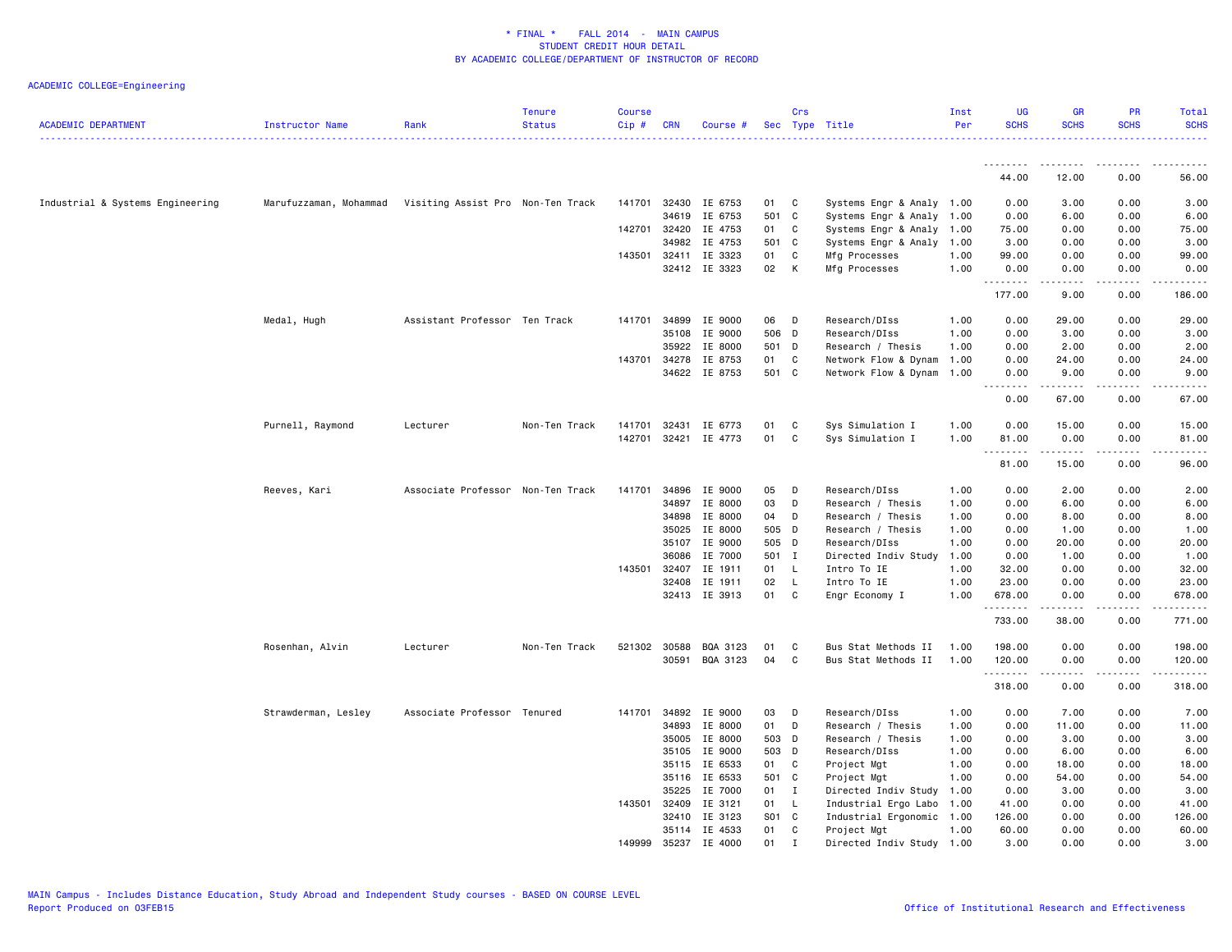| <b>ACADEMIC DEPARTMENT</b>       | Instructor Name        | Rank                              | <b>Tenure</b><br><b>Status</b> | <b>Course</b><br>Cip# | <b>CRN</b>   | Course #      |            | Crs          | Sec Type Title            | Inst<br>Per | <b>UG</b><br><b>SCHS</b>          | <b>GR</b><br><b>SCHS</b> | <b>PR</b><br><b>SCHS</b> | Total<br><b>SCHS</b>      |
|----------------------------------|------------------------|-----------------------------------|--------------------------------|-----------------------|--------------|---------------|------------|--------------|---------------------------|-------------|-----------------------------------|--------------------------|--------------------------|---------------------------|
|                                  |                        |                                   |                                |                       |              |               |            |              |                           |             |                                   |                          |                          |                           |
|                                  |                        |                                   |                                |                       |              |               |            |              |                           |             | 44.00                             | 12.00                    | 0.00                     | 56.00                     |
| Industrial & Systems Engineering | Marufuzzaman, Mohammad | Visiting Assist Pro Non-Ten Track |                                | 141701                | 32430        | IE 6753       | 01         | C            | Systems Engr & Analy 1.00 |             | 0.00                              | 3.00                     | 0.00                     | 3.00                      |
|                                  |                        |                                   |                                |                       | 34619        | IE 6753       | 501        | $\mathbf{C}$ | Systems Engr & Analy 1.00 |             | 0.00                              | 6.00                     | 0.00                     | 6.00                      |
|                                  |                        |                                   |                                | 142701                | 32420        | IE 4753       | 01         | C            | Systems Engr & Analy 1.00 |             | 75.00                             | 0.00                     | 0.00                     | 75.00                     |
|                                  |                        |                                   |                                |                       | 34982        | IE 4753       | 501        | C            | Systems Engr & Analy 1.00 |             | 3.00                              | 0.00                     | 0.00                     | 3.00                      |
|                                  |                        |                                   |                                | 143501                | 32411        | IE 3323       | 01         | C            | Mfg Processes             | 1.00        | 99.00                             | 0.00                     | 0.00                     | 99.00                     |
|                                  |                        |                                   |                                |                       |              | 32412 IE 3323 | 02         | К            | Mfg Processes             | 1.00        | 0.00<br>.                         | 0.00<br>.                | 0.00<br>.                | 0.00<br>.                 |
|                                  |                        |                                   |                                |                       |              |               |            |              |                           |             | 177.00                            | 9.00                     | 0.00                     | 186.00                    |
|                                  | Medal, Hugh            | Assistant Professor Ten Track     |                                | 141701                | 34899        | IE 9000       | 06         | D            | Research/DIss             | 1.00        | 0.00                              | 29.00                    | 0.00                     | 29.00                     |
|                                  |                        |                                   |                                |                       | 35108        | IE 9000       | 506 D      |              | Research/DIss             | 1.00        | 0.00                              | 3.00                     | 0.00                     | 3.00                      |
|                                  |                        |                                   |                                |                       | 35922        | IE 8000       | 501 D      |              | Research / Thesis         | 1.00        | 0.00                              | 2.00                     | 0.00                     | 2.00                      |
|                                  |                        |                                   |                                | 143701                | 34278        | IE 8753       | 01         | C            | Network Flow & Dynam      | 1.00        | 0.00                              | 24.00                    | 0.00                     | 24.00                     |
|                                  |                        |                                   |                                |                       |              | 34622 IE 8753 | 501 C      |              | Network Flow & Dynam 1.00 |             | 0.00<br><u>.</u><br>$\frac{1}{2}$ | 9.00<br>.                | 0.00<br>.                | 9.00<br>.                 |
|                                  |                        |                                   |                                |                       |              |               |            |              |                           |             | 0.00                              | 67.00                    | 0.00                     | 67.00                     |
|                                  | Purnell, Raymond       | Lecturer                          | Non-Ten Track                  | 141701                | 32431        | IE 6773       | 01         | C            | Sys Simulation I          | 1.00        | 0.00                              | 15.00                    | 0.00                     | 15.00                     |
|                                  |                        |                                   |                                | 142701                | 32421        | IE 4773       | 01         | C            | Sys Simulation I          | 1.00        | 81.00                             | 0.00                     | 0.00                     | 81.00                     |
|                                  |                        |                                   |                                |                       |              |               |            |              |                           |             | .                                 | $- - - - -$              | .                        | . <u>.</u> .              |
|                                  |                        |                                   |                                |                       |              |               |            |              |                           |             | 81.00                             | 15.00                    | 0.00                     | 96.00                     |
|                                  | Reeves, Kari           | Associate Professor Non-Ten Track |                                | 141701                | 34896        | IE 9000       | 05         | D            | Research/DIss             | 1.00        | 0.00                              | 2.00                     | 0.00                     | 2.00                      |
|                                  |                        |                                   |                                |                       | 34897        | IE 8000       | 03         | D            | Research / Thesis         | 1.00        | 0.00                              | 6.00                     | 0.00                     | 6.00                      |
|                                  |                        |                                   |                                |                       | 34898        | IE 8000       | 04         | D            | Research / Thesis         | 1.00        | 0.00                              | 8.00                     | 0.00                     | 8.00                      |
|                                  |                        |                                   |                                |                       | 35025        | IE 8000       | 505 D      |              | Research / Thesis         | 1.00        | 0.00                              | 1.00                     | 0.00                     | 1.00                      |
|                                  |                        |                                   |                                |                       | 35107        | IE 9000       | 505 D      |              | Research/DIss             | 1.00        | 0.00                              | 20.00                    | 0.00                     | 20.00                     |
|                                  |                        |                                   |                                |                       | 36086        | IE 7000       | 501 I      |              | Directed Indiv Study      | 1.00        | 0.00                              | 1.00                     | 0.00                     | 1.00                      |
|                                  |                        |                                   |                                | 143501                | 32407        | IE 1911       | 01         | L            | Intro To IE               | 1.00        | 32.00                             | 0.00                     | 0.00                     | 32.00                     |
|                                  |                        |                                   |                                |                       | 32408        | IE 1911       | 02         | L.           | Intro To IE               | 1.00        | 23.00                             | 0.00                     | 0.00                     | 23.00                     |
|                                  |                        |                                   |                                |                       |              | 32413 IE 3913 | 01         | C            | Engr Economy I            | 1.00        | 678.00<br>.                       | 0.00<br>. <u>.</u>       | 0.00<br>.                | 678.00<br>$- - - - - - -$ |
|                                  |                        |                                   |                                |                       |              |               |            |              |                           |             | 733.00                            | 38.00                    | 0.00                     | 771.00                    |
|                                  | Rosenhan, Alvin        | Lecturer                          | Non-Ten Track                  |                       | 521302 30588 | BQA 3123      | 01         | C            | Bus Stat Methods II       | 1.00        | 198.00                            | 0.00                     | 0.00                     | 198.00                    |
|                                  |                        |                                   |                                |                       | 30591        | BQA 3123      | 04         | C            | Bus Stat Methods II       | 1.00        | 120.00<br>.                       | 0.00                     | 0.00                     | 120.00<br>------          |
|                                  |                        |                                   |                                |                       |              |               |            |              |                           |             | 318.00                            | 0.00                     | 0.00                     | 318.00                    |
|                                  | Strawderman, Lesley    | Associate Professor Tenured       |                                | 141701                | 34892        | IE 9000       | 03         | D            | Research/DIss             | 1.00        | 0.00                              | 7.00                     | 0.00                     | 7.00                      |
|                                  |                        |                                   |                                |                       | 34893        | IE 8000       | 01         | D            | Research / Thesis         | 1.00        | 0.00                              | 11.00                    | 0.00                     | 11.00                     |
|                                  |                        |                                   |                                |                       | 35005        | IE 8000       | 503        | $\mathsf{D}$ | Research / Thesis         | 1.00        | 0.00                              | 3.00                     | 0.00                     | 3.00                      |
|                                  |                        |                                   |                                |                       | 35105        | IE 9000       | 503        | D            | Research/DIss             | 1.00        | 0.00                              | 6.00                     | 0.00                     | 6.00                      |
|                                  |                        |                                   |                                |                       | 35115        | IE 6533       | 01         | C            | Project Mgt               | 1.00        | 0.00                              | 18.00                    | 0.00                     | 18.00                     |
|                                  |                        |                                   |                                |                       | 35116        | IE 6533       | 501        | C            | Project Mgt               | 1.00        | 0.00                              | 54.00                    | 0.00                     | 54.00                     |
|                                  |                        |                                   |                                |                       | 35225        | IE 7000       | 01         | I            | Directed Indiv Study 1.00 |             | 0.00                              | 3.00                     | 0.00                     | 3.00                      |
|                                  |                        |                                   |                                |                       | 143501 32409 | IE 3121       | 01         | L.           | Industrial Ergo Labo 1.00 |             | 41.00                             | 0.00                     | 0.00                     | 41.00                     |
|                                  |                        |                                   |                                |                       | 32410        | IE 3123       | <b>S01</b> | C            | Industrial Ergonomic 1.00 |             | 126.00                            | 0.00                     | 0.00                     | 126.00                    |
|                                  |                        |                                   |                                |                       |              | 35114 IE 4533 | 01         | C            | Project Mgt               | 1.00        | 60.00                             | 0.00                     | 0.00                     | 60.00                     |
|                                  |                        |                                   |                                | 149999                | 35237        | IE 4000       | 01         |              | Directed Indiv Study 1.00 |             | 3.00                              | 0.00                     | 0.00                     | 3.00                      |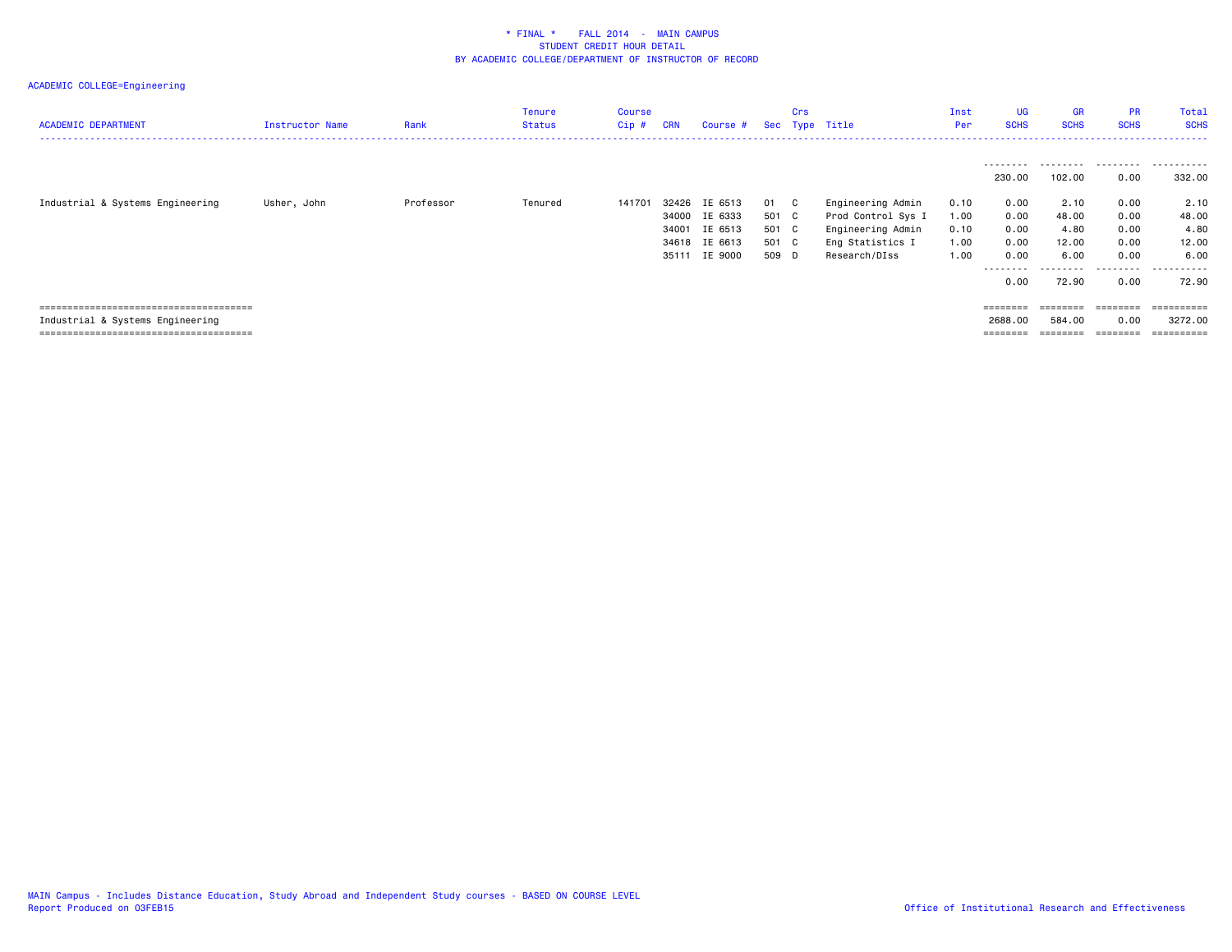| <b>ACADEMIC DEPARTMENT</b>       | Instructor Name | Rank      | <b>Tenure</b><br><b>Status</b> | Course<br>$Cip$ # | <b>CRN</b>                                | Course #                                            |                                        | Crs | Sec Type Title                                                                                    | Inst<br>Per                          | <b>UG</b><br><b>SCHS</b>                          | <b>GR</b><br><b>SCHS</b>                             | <b>PR</b><br><b>SCHS</b>                          | Total<br><b>SCHS</b>                                 |
|----------------------------------|-----------------|-----------|--------------------------------|-------------------|-------------------------------------------|-----------------------------------------------------|----------------------------------------|-----|---------------------------------------------------------------------------------------------------|--------------------------------------|---------------------------------------------------|------------------------------------------------------|---------------------------------------------------|------------------------------------------------------|
|                                  |                 |           |                                |                   |                                           |                                                     |                                        |     |                                                                                                   |                                      | ---------<br>230.00                               | 102.00                                               | 0.00                                              | 332.00                                               |
| Industrial & Systems Engineering | Usher, John     | Professor | Tenured                        | 141701            | 32426<br>34000<br>34001<br>34618<br>35111 | IE 6513<br>IE 6333<br>IE 6513<br>IE 6613<br>IE 9000 | 01<br>501 C<br>501 C<br>501 C<br>509 D | C   | Engineering Admin<br>Prod Control Sys I<br>Engineering Admin<br>Eng Statistics I<br>Research/DIss | 0.10<br>1.00<br>0.10<br>1.00<br>1.00 | 0.00<br>0.00<br>0.00<br>0.00<br>0.00<br>.<br>0.00 | 2.10<br>48.00<br>4.80<br>12.00<br>6.00<br>.<br>72.90 | 0.00<br>0.00<br>0.00<br>0.00<br>0.00<br>.<br>0.00 | 2.10<br>48.00<br>4.80<br>12.00<br>6.00<br>.<br>72.90 |
| Industrial & Systems Engineering |                 |           |                                |                   |                                           |                                                     |                                        |     |                                                                                                   |                                      | ========<br>2688,00                               | $=$ = = = = = = =<br>584.00<br>$=$ = = = = = = =     | ========<br>0.00<br>========                      | ==========<br>3272.00<br>==========                  |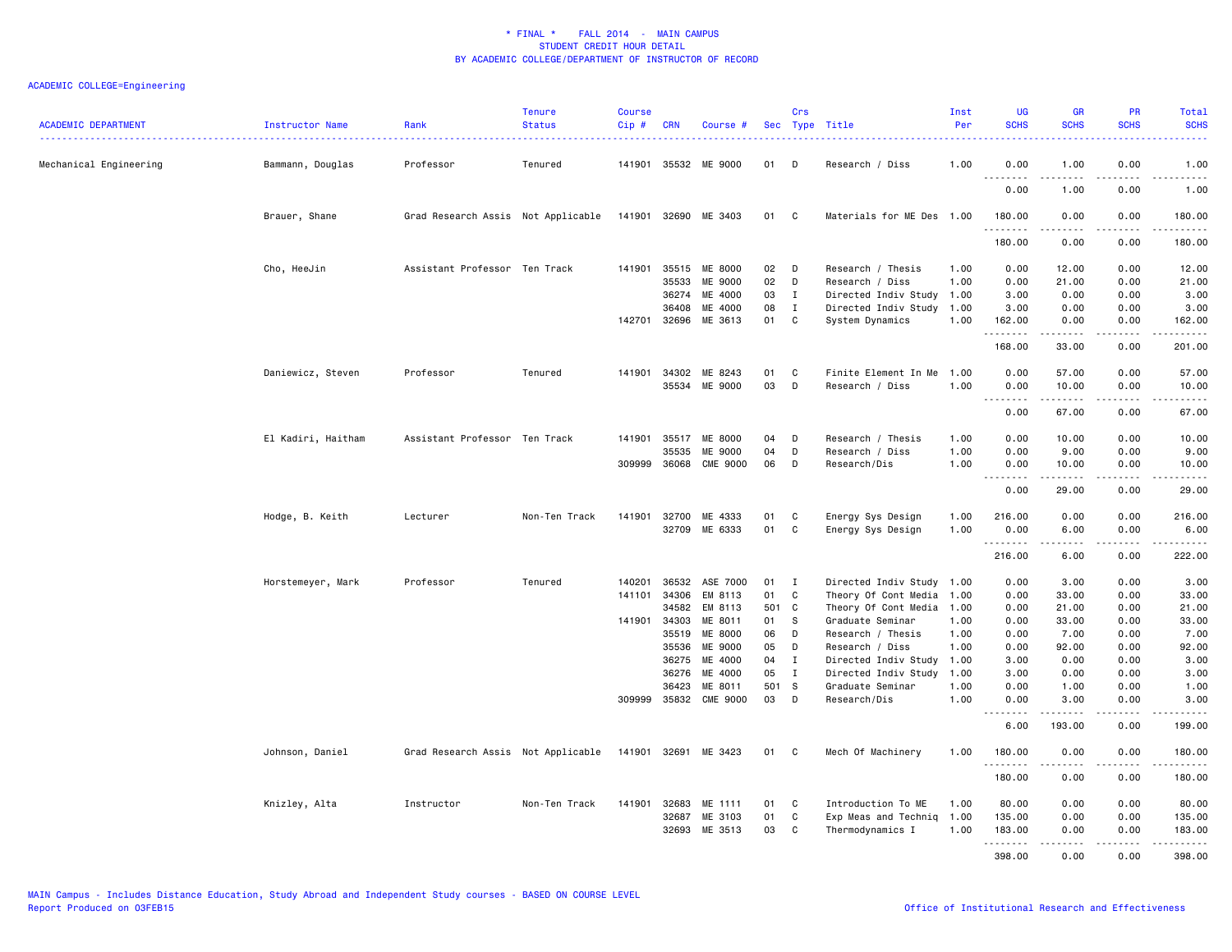| <b>ACADEMIC DEPARTMENT</b> | <b>Instructor Name</b> | Rank                               | <b>Tenure</b><br><b>Status</b> | <b>Course</b><br>Cip# | <b>CRN</b>   | Course #                  |           | Crs              | Sec Type Title                   | Inst<br>Per  | <b>UG</b><br><b>SCHS</b> | <b>GR</b><br><b>SCHS</b>                                                                                                                                      | PR<br><b>SCHS</b>     | Total<br><b>SCHS</b> |
|----------------------------|------------------------|------------------------------------|--------------------------------|-----------------------|--------------|---------------------------|-----------|------------------|----------------------------------|--------------|--------------------------|---------------------------------------------------------------------------------------------------------------------------------------------------------------|-----------------------|----------------------|
| Mechanical Engineering     | Bammann, Douglas       | Professor                          | Tenured                        |                       | 141901 35532 | ME 9000                   | 01        | D                | Research / Diss                  | 1.00         | 0.00                     | 1.00                                                                                                                                                          | 0.00                  | 1.00                 |
|                            |                        |                                    |                                |                       |              |                           |           |                  |                                  |              | .<br>0.00                | $- - - - -$<br>1.00                                                                                                                                           | .<br>0.00             | .<br>1.00            |
|                            | Brauer, Shane          | Grad Research Assis Not Applicable |                                |                       |              | 141901 32690 ME 3403      | 01        | <b>C</b>         | Materials for ME Des 1.00        |              | 180.00<br>.              | 0.00<br>-----                                                                                                                                                 | 0.00<br>$\frac{1}{2}$ | 180.00<br>.          |
|                            |                        |                                    |                                |                       |              |                           |           |                  |                                  |              | 180.00                   | 0.00                                                                                                                                                          | 0.00                  | 180.00               |
|                            | Cho, HeeJin            | Assistant Professor Ten Track      |                                | 141901                | 35515        | ME 8000                   | 02        | D                | Research / Thesis                | 1.00         | 0.00                     | 12.00                                                                                                                                                         | 0.00                  | 12.00                |
|                            |                        |                                    |                                |                       | 35533        | ME 9000                   | 02        | D                | Research / Diss                  | 1.00         | 0.00                     | 21.00                                                                                                                                                         | 0.00                  | 21.00                |
|                            |                        |                                    |                                |                       | 36274        | ME 4000                   | 03        | $\mathbf{I}$     | Directed Indiv Study 1.00        |              | 3.00                     | 0.00                                                                                                                                                          | 0.00                  | 3.00                 |
|                            |                        |                                    |                                |                       | 36408        | ME 4000                   | 08        | $\mathbf I$      | Directed Indiv Study 1.00        |              | 3.00                     | 0.00                                                                                                                                                          | 0.00                  | 3.00                 |
|                            |                        |                                    |                                | 142701                | 32696        | ME 3613                   | 01        | C                | System Dynamics                  | 1.00         | 162.00<br>.              | 0.00<br>$\frac{1}{2} \left( \frac{1}{2} \right) \left( \frac{1}{2} \right) \left( \frac{1}{2} \right) \left( \frac{1}{2} \right) \left( \frac{1}{2} \right)$  | 0.00<br>.             | 162.00<br>.          |
|                            |                        |                                    |                                |                       |              |                           |           |                  |                                  |              | 168.00                   | 33.00                                                                                                                                                         | 0.00                  | 201.00               |
|                            | Daniewicz, Steven      | Professor                          | Tenured                        | 141901                | 34302        | ME 8243                   | 01        | C                | Finite Element In Me             | 1.00         | 0.00                     | 57.00                                                                                                                                                         | 0.00                  | 57.00                |
|                            |                        |                                    |                                |                       | 35534        | ME 9000                   | 03        | D                | Research / Diss                  | 1.00         | 0.00                     | 10.00                                                                                                                                                         | 0.00                  | 10.00                |
|                            |                        |                                    |                                |                       |              |                           |           |                  |                                  |              | 0.00                     | 67.00                                                                                                                                                         | 0.00                  | .<br>67.00           |
|                            | El Kadiri, Haitham     | Assistant Professor Ten Track      |                                | 141901                | 35517        | ME 8000                   | 04        | D                | Research / Thesis                | 1.00         | 0.00                     | 10.00                                                                                                                                                         | 0.00                  | 10.00                |
|                            |                        |                                    |                                |                       | 35535        | ME 9000                   | 04        | D                | Research / Diss                  | 1.00         | 0.00                     | 9.00                                                                                                                                                          | 0.00                  | 9.00                 |
|                            |                        |                                    |                                | 309999                | 36068        | <b>CME 9000</b>           | 06        | D                | Research/Dis                     | 1.00         | 0.00                     | 10.00                                                                                                                                                         | 0.00                  | 10.00                |
|                            |                        |                                    |                                |                       |              |                           |           |                  |                                  |              | .<br>0.00                | $\frac{1}{2} \left( \frac{1}{2} \right) \left( \frac{1}{2} \right) \left( \frac{1}{2} \right) \left( \frac{1}{2} \right) \left( \frac{1}{2} \right)$<br>29.00 | .<br>0.00             | .<br>29.00           |
|                            | Hodge, B. Keith        | Lecturer                           | Non-Ten Track                  | 141901                | 32700        | ME 4333                   | 01        | C                | Energy Sys Design                | 1.00         | 216.00                   | 0.00                                                                                                                                                          | 0.00                  | 216.00               |
|                            |                        |                                    |                                |                       | 32709        | ME 6333                   | 01        | C                | Energy Sys Design                | 1.00         | 0.00                     | 6.00                                                                                                                                                          | 0.00                  | 6.00                 |
|                            |                        |                                    |                                |                       |              |                           |           |                  |                                  |              | .                        | .                                                                                                                                                             | .                     | .                    |
|                            |                        |                                    |                                |                       |              |                           |           |                  |                                  |              | 216.00                   | 6.00                                                                                                                                                          | 0.00                  | 222.00               |
|                            | Horstemeyer, Mark      | Professor                          | Tenured                        | 140201                | 36532        | ASE 7000                  | 01        | I                | Directed Indiv Study 1.00        |              | 0.00                     | 3.00                                                                                                                                                          | 0.00                  | 3.00                 |
|                            |                        |                                    |                                | 141101                | 34306        | EM 8113                   | 01        | C                | Theory Of Cont Media             | 1.00         | 0.00                     | 33.00                                                                                                                                                         | 0.00                  | 33.00                |
|                            |                        |                                    |                                |                       | 34582        | EM 8113                   | 501       | C                | Theory Of Cont Media             | 1.00         | 0.00                     | 21.00                                                                                                                                                         | 0.00                  | 21.00                |
|                            |                        |                                    |                                | 141901                | 34303        | ME 8011                   | 01        | s                | Graduate Seminar                 | 1.00         | 0.00                     | 33.00                                                                                                                                                         | 0.00                  | 33.00                |
|                            |                        |                                    |                                |                       | 35519        | ME 8000                   | 06        | D                | Research / Thesis                | 1.00         | 0.00                     | 7.00                                                                                                                                                          | 0.00                  | 7.00                 |
|                            |                        |                                    |                                |                       | 35536        | ME 9000                   | 05        | D                | Research / Diss                  | 1.00         | 0.00                     | 92.00                                                                                                                                                         | 0.00                  | 92.00                |
|                            |                        |                                    |                                |                       | 36275        | ME 4000                   | 04        | $\mathbf I$      | Directed Indiv Study             | 1.00         | 3.00                     | 0.00                                                                                                                                                          | 0.00                  | 3.00                 |
|                            |                        |                                    |                                |                       | 36276        | ME 4000                   | 05<br>501 | $\mathbf I$<br>s | Directed Indiv Study             | 1.00         | 3.00                     | 0.00                                                                                                                                                          | 0.00                  | 3.00                 |
|                            |                        |                                    |                                | 309999                | 36423        | ME 8011<br>35832 CME 9000 | 03        | D                | Graduate Seminar<br>Research/Dis | 1.00<br>1.00 | 0.00<br>0.00             | 1.00<br>3.00                                                                                                                                                  | 0.00<br>0.00          | 1.00<br>3.00         |
|                            |                        |                                    |                                |                       |              |                           |           |                  |                                  |              | .                        |                                                                                                                                                               |                       | .                    |
|                            |                        |                                    |                                |                       |              |                           |           |                  |                                  |              | 6.00                     | 193.00                                                                                                                                                        | 0.00                  | 199.00               |
|                            | Johnson, Daniel        | Grad Research Assis Not Applicable |                                | 141901 32691          |              | ME 3423                   | 01 C      |                  | Mech Of Machinery                | 1.00         | 180.00<br>.              | 0.00                                                                                                                                                          | 0.00                  | 180.00<br>.          |
|                            |                        |                                    |                                |                       |              |                           |           |                  |                                  |              | 180.00                   | 0.00                                                                                                                                                          | 0.00                  | 180.00               |
|                            | Knizley, Alta          | Instructor                         | Non-Ten Track                  | 141901                | 32683        | ME 1111                   | 01        | C                | Introduction To ME               | 1.00         | 80.00                    | 0.00                                                                                                                                                          | 0.00                  | 80.00                |
|                            |                        |                                    |                                |                       | 32687        | ME 3103                   | 01        | C                | Exp Meas and Techniq             | 1.00         | 135.00                   | 0.00                                                                                                                                                          | 0.00                  | 135.00               |
|                            |                        |                                    |                                |                       | 32693        | ME 3513                   | 03        | C                | Thermodynamics I                 | 1.00         | 183.00                   | 0.00                                                                                                                                                          | 0.00                  | 183.00               |
|                            |                        |                                    |                                |                       |              |                           |           |                  |                                  |              | .<br>398.00              | $- - - - -$<br>0.00                                                                                                                                           | .<br>0.00             | .<br>398.00          |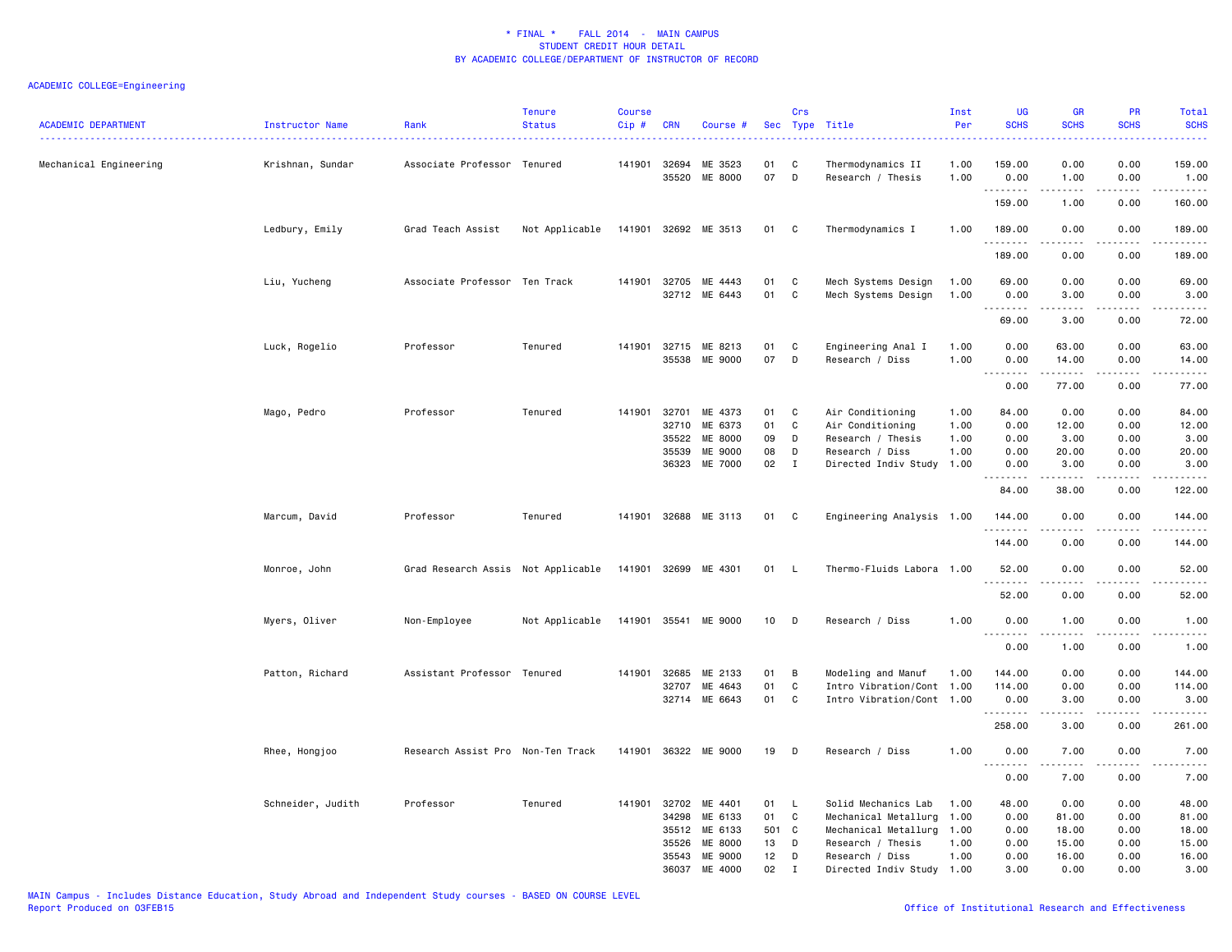| <b>ACADEMIC DEPARTMENT</b> | Instructor Name   | Rank                               | <b>Tenure</b><br><b>Status</b> | <b>Course</b><br>Cip# | <b>CRN</b>     | Course #                 |          | Crs          | Sec Type Title<br>.                    | Inst<br>Per<br><u>.</u> | <b>UG</b><br><b>SCHS</b>          | <b>GR</b><br><b>SCHS</b>                                                                                                                                     | <b>PR</b><br><b>SCHS</b><br>22222 | Total<br><b>SCHS</b><br>.                  |
|----------------------------|-------------------|------------------------------------|--------------------------------|-----------------------|----------------|--------------------------|----------|--------------|----------------------------------------|-------------------------|-----------------------------------|--------------------------------------------------------------------------------------------------------------------------------------------------------------|-----------------------------------|--------------------------------------------|
| Mechanical Engineering     | Krishnan, Sundar  | Associate Professor Tenured        |                                | 141901                | 32694<br>35520 | ME 3523<br>ME 8000       | 01<br>07 | C<br>D       | Thermodynamics II<br>Research / Thesis | 1.00<br>1.00            | 159.00<br>0.00                    | 0.00<br>1.00                                                                                                                                                 | 0.00<br>0.00                      | 159.00<br>1.00                             |
|                            |                   |                                    |                                |                       |                |                          |          |              |                                        |                         | .<br>159.00                       | $\frac{1}{2} \left( \frac{1}{2} \right) \left( \frac{1}{2} \right) \left( \frac{1}{2} \right) \left( \frac{1}{2} \right) \left( \frac{1}{2} \right)$<br>1.00 | .<br>0.00                         | .<br>160.00                                |
|                            | Ledbury, Emily    | Grad Teach Assist                  | Not Applicable                 |                       |                | 141901 32692 ME 3513     | 01 C     |              | Thermodynamics I                       | 1.00                    | 189.00                            | 0.00                                                                                                                                                         | 0.00                              | 189.00                                     |
|                            |                   |                                    |                                |                       |                |                          |          |              |                                        |                         | . <b>.</b><br>189.00              | .<br>0.00                                                                                                                                                    | $- - -$<br>0.00                   | .<br>189.00                                |
|                            | Liu, Yucheng      | Associate Professor Ten Track      |                                | 141901                | 32705          | ME 4443                  | 01       | C            | Mech Systems Design                    | 1.00                    | 69.00                             | 0.00                                                                                                                                                         | 0.00                              | 69.00                                      |
|                            |                   |                                    |                                |                       |                | 32712 ME 6443            | 01       | C            | Mech Systems Design                    | 1.00                    | 0.00<br>.                         | 3.00<br>.                                                                                                                                                    | 0.00<br>بالمحامر                  | 3.00<br>$\sim$ $\sim$ $\sim$ $\sim$ $\sim$ |
|                            |                   |                                    |                                |                       |                |                          |          |              |                                        |                         | 69.00                             | 3.00                                                                                                                                                         | 0.00                              | 72.00                                      |
|                            | Luck, Rogelio     | Professor                          | Tenured                        | 141901                | 35538          | 32715 ME 8213<br>ME 9000 | 01<br>07 | C<br>D       | Engineering Anal I<br>Research / Diss  | 1.00<br>1.00            | 0.00<br>0.00                      | 63.00<br>14.00                                                                                                                                               | 0.00<br>0.00                      | 63.00<br>14.00                             |
|                            |                   |                                    |                                |                       |                |                          |          |              |                                        |                         | .<br>0.00                         | $\frac{1}{2}$<br>77.00                                                                                                                                       | .<br>0.00                         | .<br>77.00                                 |
|                            | Mago, Pedro       | Professor                          | Tenured                        | 141901                | 32701          | ME 4373                  | 01       | C            | Air Conditioning                       | 1.00                    | 84.00                             | 0.00                                                                                                                                                         | 0.00                              | 84.00                                      |
|                            |                   |                                    |                                |                       | 32710          | ME 6373                  | 01       | $\mathbf C$  | Air Conditioning                       | 1.00                    | 0.00                              | 12.00                                                                                                                                                        | 0.00                              | 12.00                                      |
|                            |                   |                                    |                                |                       | 35522          | ME 8000                  | 09       | D            | Research / Thesis                      | 1.00                    | 0.00                              | 3.00                                                                                                                                                         | 0.00                              | 3.00                                       |
|                            |                   |                                    |                                |                       | 35539          | ME 9000                  | 08       | D            | Research / Diss                        | 1.00                    | 0.00                              | 20.00                                                                                                                                                        | 0.00                              | 20.00                                      |
|                            |                   |                                    |                                |                       | 36323          | ME 7000                  | 02       | $\mathbf{I}$ | Directed Indiv Study                   | 1.00                    | 0.00                              | 3.00                                                                                                                                                         | 0.00                              | 3.00                                       |
|                            |                   |                                    |                                |                       |                |                          |          |              |                                        |                         | .<br>84.00                        | 38.00                                                                                                                                                        | 0.00                              | .<br>122.00                                |
|                            | Marcum, David     | Professor                          | Tenured                        |                       |                | 141901 32688 ME 3113     | 01       | C            | Engineering Analysis 1.00              |                         | 144.00                            | 0.00                                                                                                                                                         | 0.00                              | 144.00                                     |
|                            |                   |                                    |                                |                       |                |                          |          |              |                                        |                         | .                                 |                                                                                                                                                              |                                   | ------                                     |
|                            |                   |                                    |                                |                       |                |                          |          |              |                                        |                         | 144.00                            | 0.00                                                                                                                                                         | 0.00                              | 144.00                                     |
|                            | Monroe, John      | Grad Research Assis Not Applicable |                                |                       | 141901 32699   | ME 4301                  | 01       | - L          | Thermo-Fluids Labora 1.00              |                         | 52.00<br>.                        | 0.00<br>.                                                                                                                                                    | 0.00                              | 52.00<br>.                                 |
|                            |                   |                                    |                                |                       |                |                          |          |              |                                        |                         | 52.00                             | 0.00                                                                                                                                                         | 0.00                              | 52.00                                      |
|                            | Myers, Oliver     | Non-Employee                       | Not Applicable                 |                       |                | 141901 35541 ME 9000     | 10       | D            | Research / Diss                        | 1.00                    | 0.00<br>.                         | 1.00<br>2.2.2.2.2                                                                                                                                            | 0.00<br>.                         | 1.00<br>.                                  |
|                            |                   |                                    |                                |                       |                |                          |          |              |                                        |                         | 0.00                              | 1.00                                                                                                                                                         | 0.00                              | 1.00                                       |
|                            | Patton, Richard   | Assistant Professor Tenured        |                                | 141901                | 32685          | ME 2133                  | 01       | B            | Modeling and Manuf                     | 1.00                    | 144.00                            | 0.00                                                                                                                                                         | 0.00                              | 144.00                                     |
|                            |                   |                                    |                                |                       | 32707          | ME 4643                  | 01       | C            | Intro Vibration/Cont 1.00              |                         | 114.00                            | 0.00                                                                                                                                                         | 0.00                              | 114.00                                     |
|                            |                   |                                    |                                |                       | 32714          | ME 6643                  | 01       | $\mathbf C$  | Intro Vibration/Cont 1.00              |                         | 0.00<br><u>.</u>                  | 3.00<br>. <b>.</b>                                                                                                                                           | 0.00<br>.                         | 3.00<br>.                                  |
|                            |                   |                                    |                                |                       |                |                          |          |              |                                        |                         | 258.00                            | 3.00                                                                                                                                                         | 0.00                              | 261.00                                     |
|                            | Rhee, Hongjoo     | Research Assist Pro Non-Ten Track  |                                | 141901                |                | 36322 ME 9000            | 19       | D            | Research / Diss                        | 1.00                    | 0.00<br>$\sim$ $\sim$ $\sim$<br>. | 7.00<br>.                                                                                                                                                    | 0.00<br>.                         | 7.00<br>.                                  |
|                            |                   |                                    |                                |                       |                |                          |          |              |                                        |                         | 0.00                              | 7.00                                                                                                                                                         | 0.00                              | 7.00                                       |
|                            | Schneider, Judith | Professor                          | Tenured                        | 141901                | 32702          | ME 4401                  | 01       | L            | Solid Mechanics Lab                    | 1.00                    | 48.00                             | 0.00                                                                                                                                                         | 0.00                              | 48.00                                      |
|                            |                   |                                    |                                |                       | 34298          | ME 6133                  | 01       | C            | Mechanical Metallurg                   | 1.00                    | 0.00                              | 81.00                                                                                                                                                        | 0.00                              | 81.00                                      |
|                            |                   |                                    |                                |                       | 35512          | ME 6133                  | 501 C    |              | Mechanical Metallurg                   | 1.00                    | 0.00                              | 18.00                                                                                                                                                        | 0.00                              | 18.00                                      |
|                            |                   |                                    |                                |                       | 35526          | <b>ME 8000</b>           | 13       | D            | Research / Thesis                      | 1.00                    | 0.00                              | 15.00                                                                                                                                                        | 0.00                              | 15.00                                      |
|                            |                   |                                    |                                |                       | 35543          | ME 9000                  | 12       | D            | Research / Diss                        | 1.00                    | 0.00                              | 16.00                                                                                                                                                        | 0.00                              | 16.00                                      |
|                            |                   |                                    |                                |                       | 36037          | ME 4000                  | 02       | $\mathbf I$  | Directed Indiv Study 1.00              |                         | 3,00                              | 0.00                                                                                                                                                         | 0.00                              | 3.00                                       |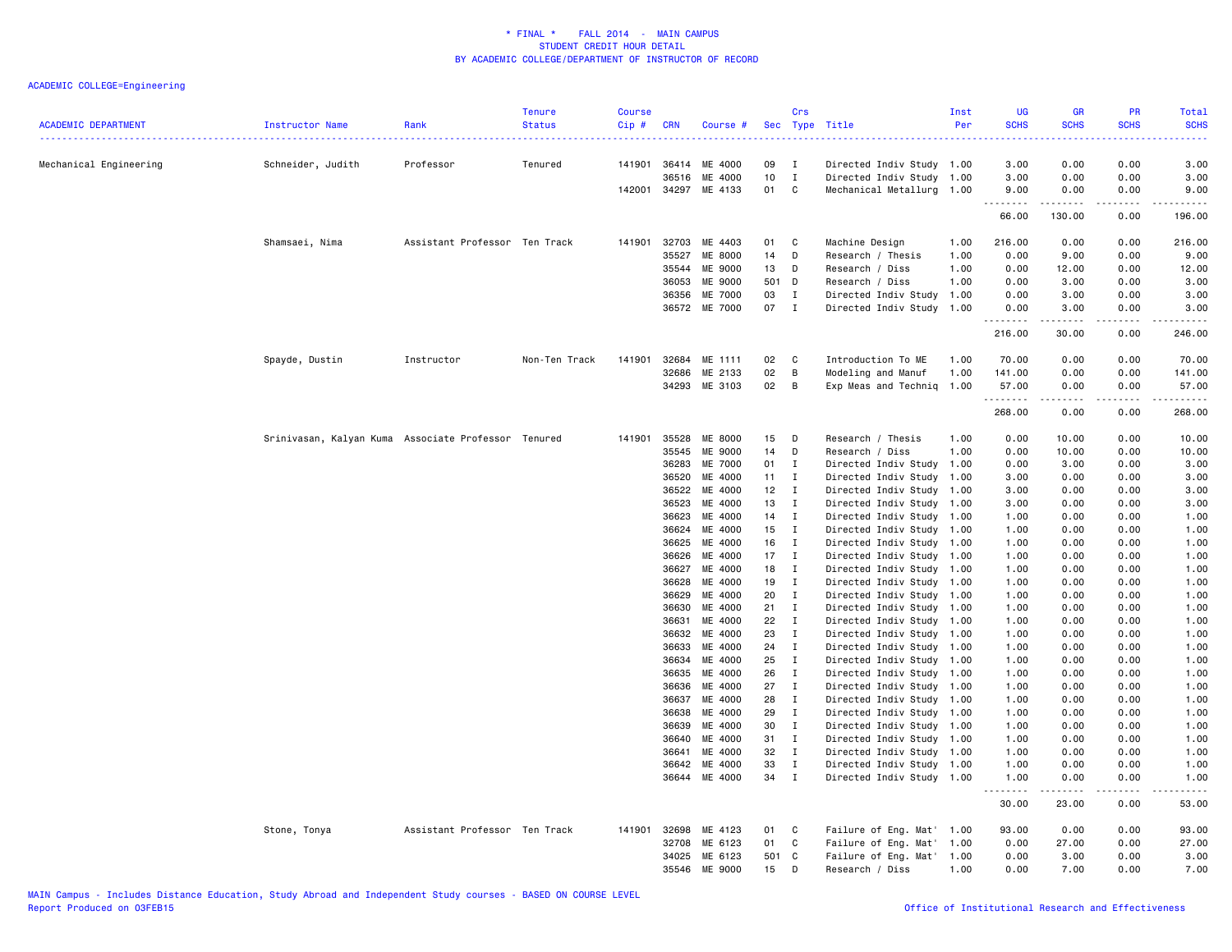| Mechanical Engineering<br>Schneider, Judith<br>Professor<br>Tenured<br>141901<br>36414<br>ME 4000<br>09<br>Ι.<br>Directed Indiv Study 1.00<br>3.00<br>0.00<br>0.00<br>3.00<br>10<br>36516<br>ME 4000<br>$\mathbf I$<br>Directed Indiv Study 1.00<br>3.00<br>0.00<br>0.00<br>3.00<br>142001 34297<br>ME 4133<br>01<br>C<br>Mechanical Metallurg 1.00<br>9.00<br>0.00<br>0.00<br>9.00<br>.<br>.<br>.<br>.<br>66.00<br>130.00<br>0.00<br>196.00<br>Shamsaei, Nima<br>Assistant Professor Ten Track<br>141901 32703<br>ME 4403<br>01<br>C<br>Machine Design<br>216.00<br>0.00<br>0.00<br>216.00<br>1.00<br>35527<br><b>ME 8000</b><br>14<br>D<br>Research / Thesis<br>1.00<br>0.00<br>9.00<br>0.00<br>9.00<br>ME 9000<br>13<br>35544<br>D<br>Research / Diss<br>1.00<br>0.00<br>12.00<br>0.00<br>12.00<br>ME 9000<br>3.00<br>36053<br>501<br>D<br>Research / Diss<br>1.00<br>0.00<br>3.00<br>0.00<br>ME 7000<br>03<br>0.00<br>3.00<br>0.00<br>36356<br>I<br>Directed Indiv Study 1.00<br>3.00<br>36572<br>ME 7000<br>07<br>Directed Indiv Study 1.00<br>0.00<br>I<br>0.00<br>3.00<br>3.00<br>.<br>$\frac{1}{2}$<br>$\frac{1}{2}$<br>.<br>216.00<br>30.00<br>0.00<br>246.00<br>Spayde, Dustin<br>32684<br>ME 1111<br>02<br>C<br>Introduction To ME<br>70.00<br>0.00<br>0.00<br>70.00<br>Instructor<br>Non-Ten Track<br>141901<br>1.00<br>02<br>141.00<br>32686<br>ME 2133<br>В<br>Modeling and Manuf<br>1.00<br>0.00<br>0.00<br>141.00<br>34293 ME 3103<br>02<br>В<br>Exp Meas and Technig 1.00<br>57.00<br>0.00<br>0.00<br>57.00<br>د د د د<br>22222.<br>.<br>.<br>268.00<br>0.00<br>0.00<br>268.00<br>Srinivasan, Kalyan Kuma Associate Professor Tenured<br>141901<br>35528<br>ME 8000<br>15<br>D<br>Research / Thesis<br>1.00<br>0.00<br>10.00<br>0.00<br>10.00 |
|----------------------------------------------------------------------------------------------------------------------------------------------------------------------------------------------------------------------------------------------------------------------------------------------------------------------------------------------------------------------------------------------------------------------------------------------------------------------------------------------------------------------------------------------------------------------------------------------------------------------------------------------------------------------------------------------------------------------------------------------------------------------------------------------------------------------------------------------------------------------------------------------------------------------------------------------------------------------------------------------------------------------------------------------------------------------------------------------------------------------------------------------------------------------------------------------------------------------------------------------------------------------------------------------------------------------------------------------------------------------------------------------------------------------------------------------------------------------------------------------------------------------------------------------------------------------------------------------------------------------------------------------------------------------------------------------------------------------------------------------------------------|
|                                                                                                                                                                                                                                                                                                                                                                                                                                                                                                                                                                                                                                                                                                                                                                                                                                                                                                                                                                                                                                                                                                                                                                                                                                                                                                                                                                                                                                                                                                                                                                                                                                                                                                                                                                |
|                                                                                                                                                                                                                                                                                                                                                                                                                                                                                                                                                                                                                                                                                                                                                                                                                                                                                                                                                                                                                                                                                                                                                                                                                                                                                                                                                                                                                                                                                                                                                                                                                                                                                                                                                                |
|                                                                                                                                                                                                                                                                                                                                                                                                                                                                                                                                                                                                                                                                                                                                                                                                                                                                                                                                                                                                                                                                                                                                                                                                                                                                                                                                                                                                                                                                                                                                                                                                                                                                                                                                                                |
|                                                                                                                                                                                                                                                                                                                                                                                                                                                                                                                                                                                                                                                                                                                                                                                                                                                                                                                                                                                                                                                                                                                                                                                                                                                                                                                                                                                                                                                                                                                                                                                                                                                                                                                                                                |
|                                                                                                                                                                                                                                                                                                                                                                                                                                                                                                                                                                                                                                                                                                                                                                                                                                                                                                                                                                                                                                                                                                                                                                                                                                                                                                                                                                                                                                                                                                                                                                                                                                                                                                                                                                |
|                                                                                                                                                                                                                                                                                                                                                                                                                                                                                                                                                                                                                                                                                                                                                                                                                                                                                                                                                                                                                                                                                                                                                                                                                                                                                                                                                                                                                                                                                                                                                                                                                                                                                                                                                                |
|                                                                                                                                                                                                                                                                                                                                                                                                                                                                                                                                                                                                                                                                                                                                                                                                                                                                                                                                                                                                                                                                                                                                                                                                                                                                                                                                                                                                                                                                                                                                                                                                                                                                                                                                                                |
|                                                                                                                                                                                                                                                                                                                                                                                                                                                                                                                                                                                                                                                                                                                                                                                                                                                                                                                                                                                                                                                                                                                                                                                                                                                                                                                                                                                                                                                                                                                                                                                                                                                                                                                                                                |
|                                                                                                                                                                                                                                                                                                                                                                                                                                                                                                                                                                                                                                                                                                                                                                                                                                                                                                                                                                                                                                                                                                                                                                                                                                                                                                                                                                                                                                                                                                                                                                                                                                                                                                                                                                |
|                                                                                                                                                                                                                                                                                                                                                                                                                                                                                                                                                                                                                                                                                                                                                                                                                                                                                                                                                                                                                                                                                                                                                                                                                                                                                                                                                                                                                                                                                                                                                                                                                                                                                                                                                                |
|                                                                                                                                                                                                                                                                                                                                                                                                                                                                                                                                                                                                                                                                                                                                                                                                                                                                                                                                                                                                                                                                                                                                                                                                                                                                                                                                                                                                                                                                                                                                                                                                                                                                                                                                                                |
|                                                                                                                                                                                                                                                                                                                                                                                                                                                                                                                                                                                                                                                                                                                                                                                                                                                                                                                                                                                                                                                                                                                                                                                                                                                                                                                                                                                                                                                                                                                                                                                                                                                                                                                                                                |
|                                                                                                                                                                                                                                                                                                                                                                                                                                                                                                                                                                                                                                                                                                                                                                                                                                                                                                                                                                                                                                                                                                                                                                                                                                                                                                                                                                                                                                                                                                                                                                                                                                                                                                                                                                |
|                                                                                                                                                                                                                                                                                                                                                                                                                                                                                                                                                                                                                                                                                                                                                                                                                                                                                                                                                                                                                                                                                                                                                                                                                                                                                                                                                                                                                                                                                                                                                                                                                                                                                                                                                                |
|                                                                                                                                                                                                                                                                                                                                                                                                                                                                                                                                                                                                                                                                                                                                                                                                                                                                                                                                                                                                                                                                                                                                                                                                                                                                                                                                                                                                                                                                                                                                                                                                                                                                                                                                                                |
| 35545<br>ME 9000<br>14<br>D<br>Research / Diss<br>1.00<br>0.00<br>10.00<br>0.00<br>10.00                                                                                                                                                                                                                                                                                                                                                                                                                                                                                                                                                                                                                                                                                                                                                                                                                                                                                                                                                                                                                                                                                                                                                                                                                                                                                                                                                                                                                                                                                                                                                                                                                                                                       |
| 36283<br>ME 7000<br>01<br>$\mathbf I$<br>Directed Indiv Study 1.00<br>0.00<br>3.00<br>0.00<br>3.00                                                                                                                                                                                                                                                                                                                                                                                                                                                                                                                                                                                                                                                                                                                                                                                                                                                                                                                                                                                                                                                                                                                                                                                                                                                                                                                                                                                                                                                                                                                                                                                                                                                             |
| 36520<br>ME 4000<br>11<br>Directed Indiv Study 1.00<br>3.00<br>0.00<br>0.00<br>3.00<br>Ι.                                                                                                                                                                                                                                                                                                                                                                                                                                                                                                                                                                                                                                                                                                                                                                                                                                                                                                                                                                                                                                                                                                                                                                                                                                                                                                                                                                                                                                                                                                                                                                                                                                                                      |
| 36522<br>ME 4000<br>12<br>$\mathbf{I}$<br>Directed Indiv Study 1.00<br>3.00<br>0.00<br>0.00<br>3.00                                                                                                                                                                                                                                                                                                                                                                                                                                                                                                                                                                                                                                                                                                                                                                                                                                                                                                                                                                                                                                                                                                                                                                                                                                                                                                                                                                                                                                                                                                                                                                                                                                                            |
| ME 4000<br>Directed Indiv Study 1.00<br>36523<br>13<br>$\mathbf{I}$<br>3.00<br>0.00<br>0.00<br>3.00                                                                                                                                                                                                                                                                                                                                                                                                                                                                                                                                                                                                                                                                                                                                                                                                                                                                                                                                                                                                                                                                                                                                                                                                                                                                                                                                                                                                                                                                                                                                                                                                                                                            |
| 36623<br>ME 4000<br>14<br>$\mathbf I$<br>Directed Indiv Study 1.00<br>0.00<br>1.00<br>0.00<br>1.00                                                                                                                                                                                                                                                                                                                                                                                                                                                                                                                                                                                                                                                                                                                                                                                                                                                                                                                                                                                                                                                                                                                                                                                                                                                                                                                                                                                                                                                                                                                                                                                                                                                             |
| 36624<br>ME 4000<br>15<br>Directed Indiv Study 1.00<br>0.00<br>0.00<br>1.00<br>I<br>1.00                                                                                                                                                                                                                                                                                                                                                                                                                                                                                                                                                                                                                                                                                                                                                                                                                                                                                                                                                                                                                                                                                                                                                                                                                                                                                                                                                                                                                                                                                                                                                                                                                                                                       |
| 36625<br>ME 4000<br>16<br>$\mathbf I$<br>Directed Indiv Study 1.00<br>1.00<br>0.00<br>0.00<br>1.00                                                                                                                                                                                                                                                                                                                                                                                                                                                                                                                                                                                                                                                                                                                                                                                                                                                                                                                                                                                                                                                                                                                                                                                                                                                                                                                                                                                                                                                                                                                                                                                                                                                             |
| ME 4000<br>36626<br>17<br>$\mathbf{I}$<br>Directed Indiv Study 1.00<br>0.00<br>0.00<br>1.00<br>1.00                                                                                                                                                                                                                                                                                                                                                                                                                                                                                                                                                                                                                                                                                                                                                                                                                                                                                                                                                                                                                                                                                                                                                                                                                                                                                                                                                                                                                                                                                                                                                                                                                                                            |
| ME 4000<br>36627<br>18<br>I<br>Directed Indiv Study 1.00<br>1.00<br>0.00<br>0.00<br>1.00                                                                                                                                                                                                                                                                                                                                                                                                                                                                                                                                                                                                                                                                                                                                                                                                                                                                                                                                                                                                                                                                                                                                                                                                                                                                                                                                                                                                                                                                                                                                                                                                                                                                       |
| 36628<br>ME 4000<br>19<br>I<br>Directed Indiv Study 1.00<br>1.00<br>0.00<br>0.00<br>1.00                                                                                                                                                                                                                                                                                                                                                                                                                                                                                                                                                                                                                                                                                                                                                                                                                                                                                                                                                                                                                                                                                                                                                                                                                                                                                                                                                                                                                                                                                                                                                                                                                                                                       |
| ME 4000<br>20<br>$\mathbf I$<br>0.00<br>36629<br>Directed Indiv Study 1.00<br>1.00<br>0.00<br>1.00                                                                                                                                                                                                                                                                                                                                                                                                                                                                                                                                                                                                                                                                                                                                                                                                                                                                                                                                                                                                                                                                                                                                                                                                                                                                                                                                                                                                                                                                                                                                                                                                                                                             |
| ME 4000<br>21<br>Directed Indiv Study<br>36630<br>Ι.<br>1.00<br>1.00<br>0.00<br>0.00<br>1.00                                                                                                                                                                                                                                                                                                                                                                                                                                                                                                                                                                                                                                                                                                                                                                                                                                                                                                                                                                                                                                                                                                                                                                                                                                                                                                                                                                                                                                                                                                                                                                                                                                                                   |
| ME 4000<br>22<br>$\mathbf I$<br>Directed Indiv Study 1.00<br>1.00<br>36631<br>1.00<br>0.00<br>0.00                                                                                                                                                                                                                                                                                                                                                                                                                                                                                                                                                                                                                                                                                                                                                                                                                                                                                                                                                                                                                                                                                                                                                                                                                                                                                                                                                                                                                                                                                                                                                                                                                                                             |
| 36632<br>ME 4000<br>23<br>$\mathbf I$<br>Directed Indiv Study 1.00<br>1.00<br>0.00<br>0.00<br>1.00                                                                                                                                                                                                                                                                                                                                                                                                                                                                                                                                                                                                                                                                                                                                                                                                                                                                                                                                                                                                                                                                                                                                                                                                                                                                                                                                                                                                                                                                                                                                                                                                                                                             |
| 36633<br>ME 4000<br>24<br>I<br>Directed Indiv Study 1.00<br>1.00<br>0.00<br>0.00<br>1.00                                                                                                                                                                                                                                                                                                                                                                                                                                                                                                                                                                                                                                                                                                                                                                                                                                                                                                                                                                                                                                                                                                                                                                                                                                                                                                                                                                                                                                                                                                                                                                                                                                                                       |
| 36634<br>ME 4000<br>25<br>$\mathbf I$<br>Directed Indiv Study 1.00<br>1.00<br>1.00<br>0.00<br>0.00                                                                                                                                                                                                                                                                                                                                                                                                                                                                                                                                                                                                                                                                                                                                                                                                                                                                                                                                                                                                                                                                                                                                                                                                                                                                                                                                                                                                                                                                                                                                                                                                                                                             |
| 36635<br>ME 4000<br>26<br>$\mathbf I$<br>Directed Indiv Study 1.00<br>1.00<br>1.00<br>0.00<br>0.00                                                                                                                                                                                                                                                                                                                                                                                                                                                                                                                                                                                                                                                                                                                                                                                                                                                                                                                                                                                                                                                                                                                                                                                                                                                                                                                                                                                                                                                                                                                                                                                                                                                             |
| 36636<br>ME 4000<br>27<br>$\mathbf I$<br>Directed Indiv Study 1.00<br>0.00<br>0.00<br>1.00<br>1.00                                                                                                                                                                                                                                                                                                                                                                                                                                                                                                                                                                                                                                                                                                                                                                                                                                                                                                                                                                                                                                                                                                                                                                                                                                                                                                                                                                                                                                                                                                                                                                                                                                                             |
| 36637<br>ME 4000<br>28<br>$\mathbf{I}$<br>Directed Indiv Study 1.00<br>1.00<br>0.00<br>0.00<br>1.00                                                                                                                                                                                                                                                                                                                                                                                                                                                                                                                                                                                                                                                                                                                                                                                                                                                                                                                                                                                                                                                                                                                                                                                                                                                                                                                                                                                                                                                                                                                                                                                                                                                            |
| ME 4000<br>36638<br>29<br>$\mathbf I$<br>Directed Indiv Study 1.00<br>1.00<br>0.00<br>0.00<br>1.00                                                                                                                                                                                                                                                                                                                                                                                                                                                                                                                                                                                                                                                                                                                                                                                                                                                                                                                                                                                                                                                                                                                                                                                                                                                                                                                                                                                                                                                                                                                                                                                                                                                             |
| 36639<br>ME 4000<br>30<br>Directed Indiv Study 1.00<br>0.00<br>Ι.<br>1.00<br>0.00<br>1.00                                                                                                                                                                                                                                                                                                                                                                                                                                                                                                                                                                                                                                                                                                                                                                                                                                                                                                                                                                                                                                                                                                                                                                                                                                                                                                                                                                                                                                                                                                                                                                                                                                                                      |
| 36640<br>ME 4000<br>31<br>$\mathbf I$<br>Directed Indiv Study 1.00<br>0.00<br>0.00<br>1.00<br>1.00                                                                                                                                                                                                                                                                                                                                                                                                                                                                                                                                                                                                                                                                                                                                                                                                                                                                                                                                                                                                                                                                                                                                                                                                                                                                                                                                                                                                                                                                                                                                                                                                                                                             |
| 36641<br>ME 4000<br>32<br>$\mathbf{I}$<br>Directed Indiv Study 1.00<br>0.00<br>0.00<br>1.00<br>1.00                                                                                                                                                                                                                                                                                                                                                                                                                                                                                                                                                                                                                                                                                                                                                                                                                                                                                                                                                                                                                                                                                                                                                                                                                                                                                                                                                                                                                                                                                                                                                                                                                                                            |
| ME 4000<br>33<br>36642<br>$\mathbf{I}$<br>Directed Indiv Study 1.00<br>1.00<br>0.00<br>0.00<br>1.00                                                                                                                                                                                                                                                                                                                                                                                                                                                                                                                                                                                                                                                                                                                                                                                                                                                                                                                                                                                                                                                                                                                                                                                                                                                                                                                                                                                                                                                                                                                                                                                                                                                            |
| 36644 ME 4000<br>34<br>$\mathbf{I}$<br>Directed Indiv Study 1.00<br>0.00<br>0.00<br>1.00<br>1.00<br>.<br>$\sim$ $\sim$ $\sim$<br>-----<br>$\frac{1}{2} \left( \frac{1}{2} \right) \left( \frac{1}{2} \right) \left( \frac{1}{2} \right) \left( \frac{1}{2} \right) \left( \frac{1}{2} \right)$                                                                                                                                                                                                                                                                                                                                                                                                                                                                                                                                                                                                                                                                                                                                                                                                                                                                                                                                                                                                                                                                                                                                                                                                                                                                                                                                                                                                                                                                 |
| 30.00<br>23.00<br>0.00<br>53.00                                                                                                                                                                                                                                                                                                                                                                                                                                                                                                                                                                                                                                                                                                                                                                                                                                                                                                                                                                                                                                                                                                                                                                                                                                                                                                                                                                                                                                                                                                                                                                                                                                                                                                                                |
| Stone, Tonya<br>Assistant Professor Ten Track<br>141901<br>32698<br>ME 4123<br>01<br>C<br>Failure of Eng. Mat' 1.00<br>93.00<br>0.00<br>0.00<br>93.00                                                                                                                                                                                                                                                                                                                                                                                                                                                                                                                                                                                                                                                                                                                                                                                                                                                                                                                                                                                                                                                                                                                                                                                                                                                                                                                                                                                                                                                                                                                                                                                                          |
| 01<br>32708<br>ME 6123<br>C<br>Failure of Eng. Mat'<br>1.00<br>0.00<br>27.00<br>0.00<br>27.00                                                                                                                                                                                                                                                                                                                                                                                                                                                                                                                                                                                                                                                                                                                                                                                                                                                                                                                                                                                                                                                                                                                                                                                                                                                                                                                                                                                                                                                                                                                                                                                                                                                                  |
| 34025<br>ME 6123<br>501<br>C<br>Failure of Eng. Mat' 1.00<br>0.00<br>3.00<br>0.00<br>3.00                                                                                                                                                                                                                                                                                                                                                                                                                                                                                                                                                                                                                                                                                                                                                                                                                                                                                                                                                                                                                                                                                                                                                                                                                                                                                                                                                                                                                                                                                                                                                                                                                                                                      |
| ME 9000<br>35546<br>15<br>D<br>Research / Diss<br>1.00<br>0.00<br>7.00<br>0.00<br>7.00                                                                                                                                                                                                                                                                                                                                                                                                                                                                                                                                                                                                                                                                                                                                                                                                                                                                                                                                                                                                                                                                                                                                                                                                                                                                                                                                                                                                                                                                                                                                                                                                                                                                         |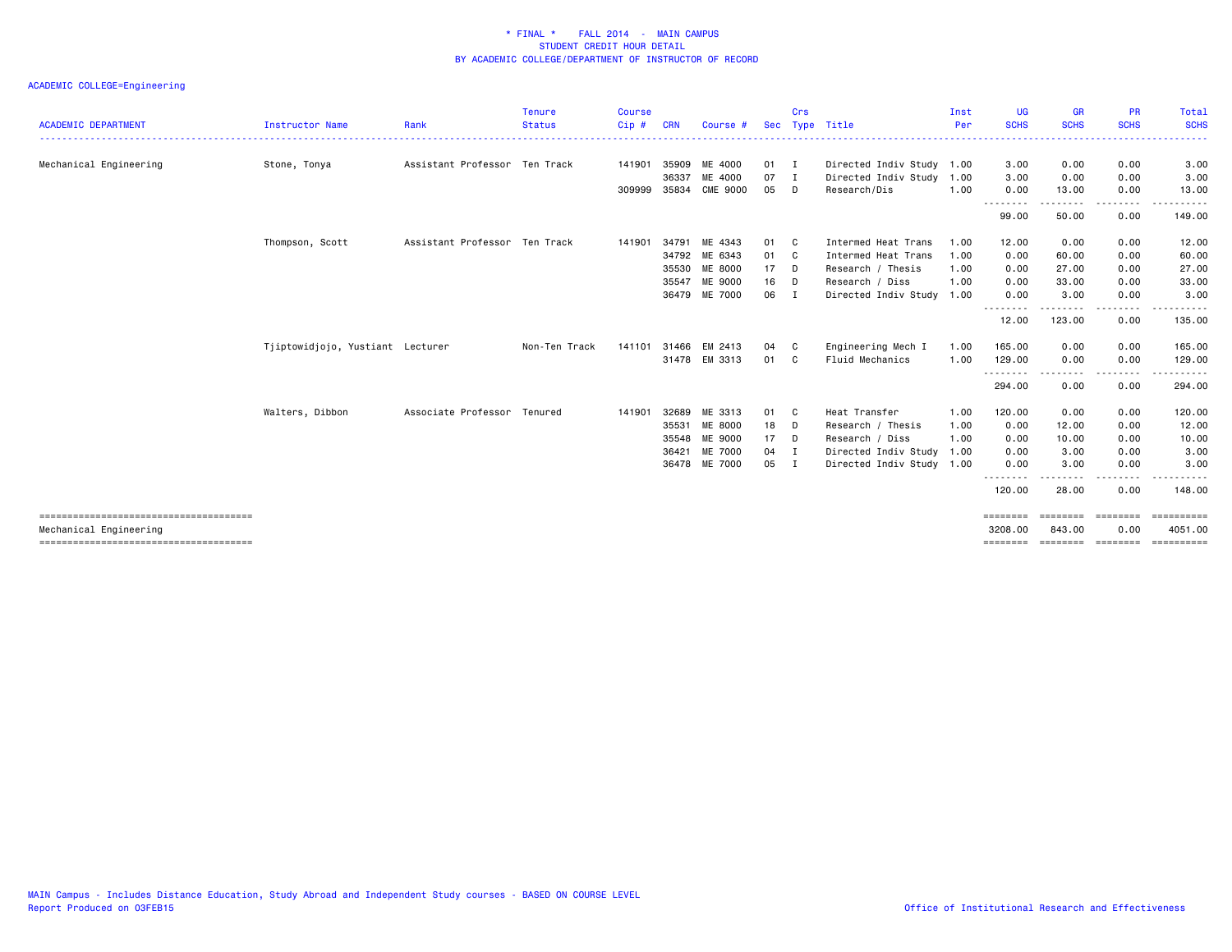| <b>ACADEMIC DEPARTMENT</b> | <b>Instructor Name</b>           | Rank                          | <b>Tenure</b><br><b>Status</b> | <b>Course</b><br>$Cip$ # | <b>CRN</b> | Course #        | <b>Sec</b> | Crs          | Type Title                | Inst<br>Per | <b>UG</b><br><b>SCHS</b> | <b>GR</b><br><b>SCHS</b> | <b>PR</b><br><b>SCHS</b> | Total<br><b>SCHS</b> |
|----------------------------|----------------------------------|-------------------------------|--------------------------------|--------------------------|------------|-----------------|------------|--------------|---------------------------|-------------|--------------------------|--------------------------|--------------------------|----------------------|
|                            |                                  |                               |                                |                          |            |                 |            |              |                           |             |                          |                          |                          |                      |
| Mechanical Engineering     | Stone, Tonya                     | Assistant Professor Ten Track |                                | 141901                   | 35909      | ME 4000         | 01         | $\mathbf{I}$ | Directed Indiv Study 1.00 |             | 3.00                     | 0.00                     | 0.00                     | 3.00                 |
|                            |                                  |                               |                                |                          | 36337      | ME 4000         | 07         | $\mathbf{I}$ | Directed Indiv Study 1.00 |             | 3.00                     | 0.00                     | 0.00                     | 3.00                 |
|                            |                                  |                               |                                | 309999                   | 35834      | <b>CME 9000</b> | 05         | D            | Research/Dis              | 1.00        | 0.00<br><u>.</u>         | 13.00                    | 0.00<br>$\frac{1}{2}$    | 13.00<br>.           |
|                            |                                  |                               |                                |                          |            |                 |            |              |                           |             | 99.00                    | 50.00                    | 0.00                     | 149.00               |
|                            | Thompson, Scott                  | Assistant Professor Ten Track |                                | 141901                   | 34791      | ME 4343         | 01         | C            | Intermed Heat Trans       | 1.00        | 12.00                    | 0.00                     | 0.00                     | 12.00                |
|                            |                                  |                               |                                |                          | 34792      | ME 6343         | 01         | $\mathbf{C}$ | Intermed Heat Trans       | 1.00        | 0.00                     | 60.00                    | 0.00                     | 60.00                |
|                            |                                  |                               |                                |                          |            | 35530 ME 8000   | 17         | $\mathsf{D}$ | Research / Thesis         | 1.00        | 0.00                     | 27.00                    | 0.00                     | 27.00                |
|                            |                                  |                               |                                |                          | 35547      | ME 9000         | 16         | $\mathsf{D}$ | Research / Diss           | 1.00        | 0.00                     | 33.00                    | 0.00                     | 33.00                |
|                            |                                  |                               |                                |                          |            | 36479 ME 7000   | 06         | $\mathbf{I}$ | Directed Indiv Study 1.00 |             | 0.00<br>.                | 3.00                     | 0.00<br>----             | 3.00                 |
|                            |                                  |                               |                                |                          |            |                 |            |              |                           |             | 12.00                    | 123.00                   | 0.00                     | 135.00               |
|                            | Tjiptowidjojo, Yustiant Lecturer |                               | Non-Ten Track                  | 141101                   | 31466      | EM 2413         | 04         | C            | Engineering Mech I        | 1.00        | 165.00                   | 0.00                     | 0.00                     | 165.00               |
|                            |                                  |                               |                                |                          |            | 31478 EM 3313   | 01         | C            | Fluid Mechanics           | 1.00        | 129.00                   | 0.00                     | 0.00                     | 129.00               |
|                            |                                  |                               |                                |                          |            |                 |            |              |                           |             | --------<br>294.00       | .<br>0.00                | -----<br>0.00            | 294.00               |
|                            | Walters, Dibbon                  | Associate Professor Tenured   |                                | 141901                   | 32689      | ME 3313         | 01         | C            | Heat Transfer             | 1.00        | 120.00                   | 0.00                     | 0.00                     | 120.00               |
|                            |                                  |                               |                                |                          | 35531      | ME 8000         | 18         | D            | Research / Thesis         | 1.00        | 0.00                     | 12.00                    | 0.00                     | 12.00                |
|                            |                                  |                               |                                |                          | 35548      | ME 9000         | 17         | D            | Research / Diss           | 1.00        | 0.00                     | 10.00                    | 0.00                     | 10.00                |
|                            |                                  |                               |                                |                          | 36421      | ME 7000         | 04         | $\mathbf{I}$ | Directed Indiv Study 1.00 |             | 0.00                     | 3.00                     | 0.00                     | 3.00                 |
|                            |                                  |                               |                                |                          |            | 36478 ME 7000   | 05         | I            | Directed Indiv Study 1.00 |             | 0.00                     | 3.00                     | 0.00                     | 3.00                 |
|                            |                                  |                               |                                |                          |            |                 |            |              |                           |             | 120.00                   | 28.00                    | 0.00                     | 148.00               |
|                            |                                  |                               |                                |                          |            |                 |            |              |                           |             | ========                 | ========                 | ========                 | ==========           |
| Mechanical Engineering     |                                  |                               |                                |                          |            |                 |            |              |                           |             | 3208,00                  | 843,00                   | 0.00                     | 4051.00              |
|                            |                                  |                               |                                |                          |            |                 |            |              |                           |             | ========                 | ========                 | ========                 |                      |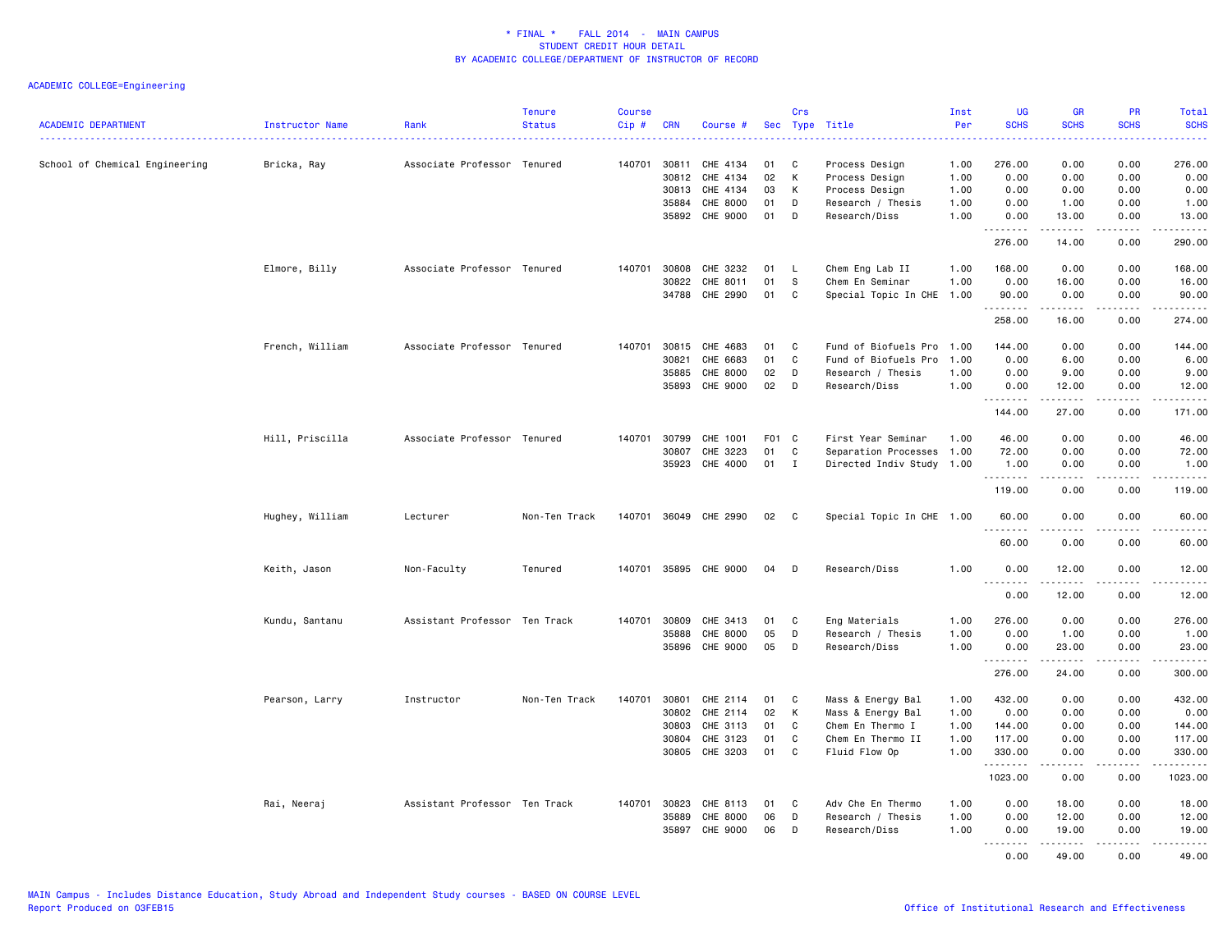| <b>ACADEMIC DEPARTMENT</b>     | Instructor Name | Rank                          | <b>Tenure</b><br><b>Status</b> | <b>Course</b><br>Cip# | <b>CRN</b> | Course #              |       | Crs                        | Sec Type Title            | Inst<br>Per | <b>UG</b><br><b>SCHS</b> | <b>GR</b><br><b>SCHS</b>                                                                                   | PR<br><b>SCHS</b><br>2222    | Total<br><b>SCHS</b><br>وساعات |
|--------------------------------|-----------------|-------------------------------|--------------------------------|-----------------------|------------|-----------------------|-------|----------------------------|---------------------------|-------------|--------------------------|------------------------------------------------------------------------------------------------------------|------------------------------|--------------------------------|
| School of Chemical Engineering | Bricka, Ray     | Associate Professor Tenured   |                                | 140701                | 30811      | CHE 4134              | 01    | C.                         | Process Design            | 1.00        | 276.00                   | 0.00                                                                                                       | 0.00                         | 276.00                         |
|                                |                 |                               |                                |                       | 30812      | CHE 4134              | 02    | K                          | Process Design            | 1.00        | 0.00                     | 0.00                                                                                                       | 0.00                         | 0.00                           |
|                                |                 |                               |                                |                       | 30813      | CHE 4134              | 03    | K                          | Process Design            | 1.00        | 0.00                     | 0.00                                                                                                       | 0.00                         | 0.00                           |
|                                |                 |                               |                                |                       | 35884      | CHE 8000              | 01    | D                          | Research / Thesis         | 1.00        | 0.00                     | 1.00                                                                                                       | 0.00                         | 1.00                           |
|                                |                 |                               |                                |                       |            | 35892 CHE 9000        | 01    | D                          | Research/Diss             | 1.00        | 0.00<br>.                | 13.00<br>.                                                                                                 | 0.00<br>22222                | 13.00<br>------                |
|                                |                 |                               |                                |                       |            |                       |       |                            |                           |             | 276.00                   | 14.00                                                                                                      | 0.00                         | 290.00                         |
|                                | Elmore, Billy   | Associate Professor Tenured   |                                | 140701                | 30808      | CHE 3232              | 01    | L,                         | Chem Eng Lab II           | 1.00        | 168.00                   | 0.00                                                                                                       | 0.00                         | 168.00                         |
|                                |                 |                               |                                |                       | 30822      | CHE 8011              | 01    | s                          | Chem En Seminar           | 1.00        | 0.00                     | 16.00                                                                                                      | 0.00                         | 16.00                          |
|                                |                 |                               |                                |                       | 34788      | CHE 2990              | 01    | C                          | Special Topic In CHE 1.00 |             | 90.00                    | 0.00                                                                                                       | 0.00                         | 90.00                          |
|                                |                 |                               |                                |                       |            |                       |       |                            |                           |             | .<br>258.00              | .<br>16.00                                                                                                 | 0.00                         | .<br>274.00                    |
|                                |                 |                               |                                |                       |            |                       |       |                            |                           |             |                          |                                                                                                            |                              |                                |
|                                | French, William | Associate Professor Tenured   |                                | 140701                | 30815      | CHE 4683              | 01    | C                          | Fund of Biofuels Pro 1.00 |             | 144.00                   | 0.00                                                                                                       | 0.00                         | 144.00                         |
|                                |                 |                               |                                |                       | 30821      | CHE 6683              | 01    | C                          | Fund of Biofuels Pro      | 1.00        | 0.00                     | 6.00                                                                                                       | 0.00                         | 6.00                           |
|                                |                 |                               |                                |                       | 35885      | CHE 8000              | 02    | D                          | Research / Thesis         | 1.00        | 0.00                     | 9.00                                                                                                       | 0.00                         | 9.00                           |
|                                |                 |                               |                                |                       | 35893      | CHE 9000              | 02    | D                          | Research/Diss             | 1.00        | 0.00<br>.                | 12.00<br>.                                                                                                 | 0.00<br>$\sim$ $\sim$ $\sim$ | 12.00<br>.                     |
|                                |                 |                               |                                |                       |            |                       |       |                            |                           |             | 144.00                   | 27.00                                                                                                      | 0.00                         | 171.00                         |
|                                | Hill, Priscilla | Associate Professor Tenured   |                                | 140701                | 30799      | CHE 1001              | F01 C |                            | First Year Seminar        | 1.00        | 46.00                    | 0.00                                                                                                       | 0.00                         | 46.00                          |
|                                |                 |                               |                                |                       | 30807      | CHE 3223              | 01    | C                          | Separation Processes 1.00 |             | 72.00                    | 0.00                                                                                                       | 0.00                         | 72.00                          |
|                                |                 |                               |                                |                       | 35923      | CHE 4000              | 01    | $\mathbf I$                | Directed Indiv Study 1.00 |             | 1.00<br>.                | 0.00<br>22222                                                                                              | 0.00<br>.                    | 1.00<br><u>.</u>               |
|                                |                 |                               |                                |                       |            |                       |       |                            |                           |             | 119.00                   | 0.00                                                                                                       | 0.00                         | 119.00                         |
|                                | Hughey, William | Lecturer                      | Non-Ten Track                  |                       |            | 140701 36049 CHE 2990 | 02    | $\overline{\phantom{a}}$ C | Special Topic In CHE 1.00 |             | 60.00<br><u>.</u>        | 0.00<br>.                                                                                                  | 0.00<br>.                    | 60.00<br>.                     |
|                                |                 |                               |                                |                       |            |                       |       |                            |                           |             | 60.00                    | 0.00                                                                                                       | 0.00                         | 60.00                          |
|                                | Keith, Jason    | Non-Faculty                   | Tenured                        |                       |            | 140701 35895 CHE 9000 | 04    | D                          | Research/Diss             | 1.00        | 0.00                     | 12.00                                                                                                      | 0.00                         | 12.00                          |
|                                |                 |                               |                                |                       |            |                       |       |                            |                           |             | .<br>0.00                | 12.00                                                                                                      | .<br>0.00                    | .<br>12.00                     |
|                                | Kundu, Santanu  | Assistant Professor Ten Track |                                | 140701                | 30809      | CHE 3413              | 01    | C                          | Eng Materials             | 1.00        | 276.00                   | 0.00                                                                                                       | 0.00                         | 276.00                         |
|                                |                 |                               |                                |                       | 35888      | CHE 8000              | 05    | D                          | Research / Thesis         | 1.00        | 0.00                     | 1.00                                                                                                       | 0.00                         | 1.00                           |
|                                |                 |                               |                                |                       | 35896      | CHE 9000              | 05    | D                          | Research/Diss             | 1.00        | 0.00<br>.                | 23.00<br>.                                                                                                 | 0.00<br>.                    | 23.00<br>.                     |
|                                |                 |                               |                                |                       |            |                       |       |                            |                           |             | 276.00                   | 24.00                                                                                                      | 0.00                         | 300.00                         |
|                                | Pearson, Larry  | Instructor                    | Non-Ten Track                  | 140701                | 30801      | CHE 2114              | 01    | C                          | Mass & Energy Bal         | 1.00        | 432.00                   | 0.00                                                                                                       | 0.00                         | 432.00                         |
|                                |                 |                               |                                |                       | 30802      | CHE 2114              | 02    | K                          | Mass & Energy Bal         | 1.00        | 0.00                     | 0.00                                                                                                       | 0.00                         | 0.00                           |
|                                |                 |                               |                                |                       | 30803      | CHE 3113              | 01    | C                          | Chem En Thermo I          | 1.00        | 144.00                   | 0.00                                                                                                       | 0.00                         | 144.00                         |
|                                |                 |                               |                                |                       | 30804      | CHE 3123              | 01    | C                          | Chem En Thermo II         | 1.00        | 117.00                   | 0.00                                                                                                       | 0.00                         | 117.00                         |
|                                |                 |                               |                                |                       | 30805      | CHE 3203              | 01    | C                          | Fluid Flow Op             | 1.00        | 330.00<br>.              | 0.00                                                                                                       | 0.00                         | 330.00<br>.                    |
|                                |                 |                               |                                |                       |            |                       |       |                            |                           |             | 1023.00                  | 0.00                                                                                                       | 0.00                         | 1023.00                        |
|                                | Rai, Neeraj     | Assistant Professor Ten Track |                                | 140701                | 30823      | CHE 8113              | 01    | C                          | Adv Che En Thermo         | 1.00        | 0.00                     | 18.00                                                                                                      | 0.00                         | 18.00                          |
|                                |                 |                               |                                |                       | 35889      | CHE 8000              | 06    | D                          | Research / Thesis         | 1.00        | 0.00                     | 12.00                                                                                                      | 0.00                         | 12.00                          |
|                                |                 |                               |                                |                       | 35897      | CHE 9000              | 06    | D                          | Research/Diss             | 1.00        | 0.00<br>.                | 19.00<br>$\begin{array}{cccccccccc} \bullet & \bullet & \bullet & \bullet & \bullet & \bullet \end{array}$ | 0.00<br>.                    | 19.00<br>.                     |
|                                |                 |                               |                                |                       |            |                       |       |                            |                           |             | 0.00                     | 49.00                                                                                                      | 0.00                         | 49.00                          |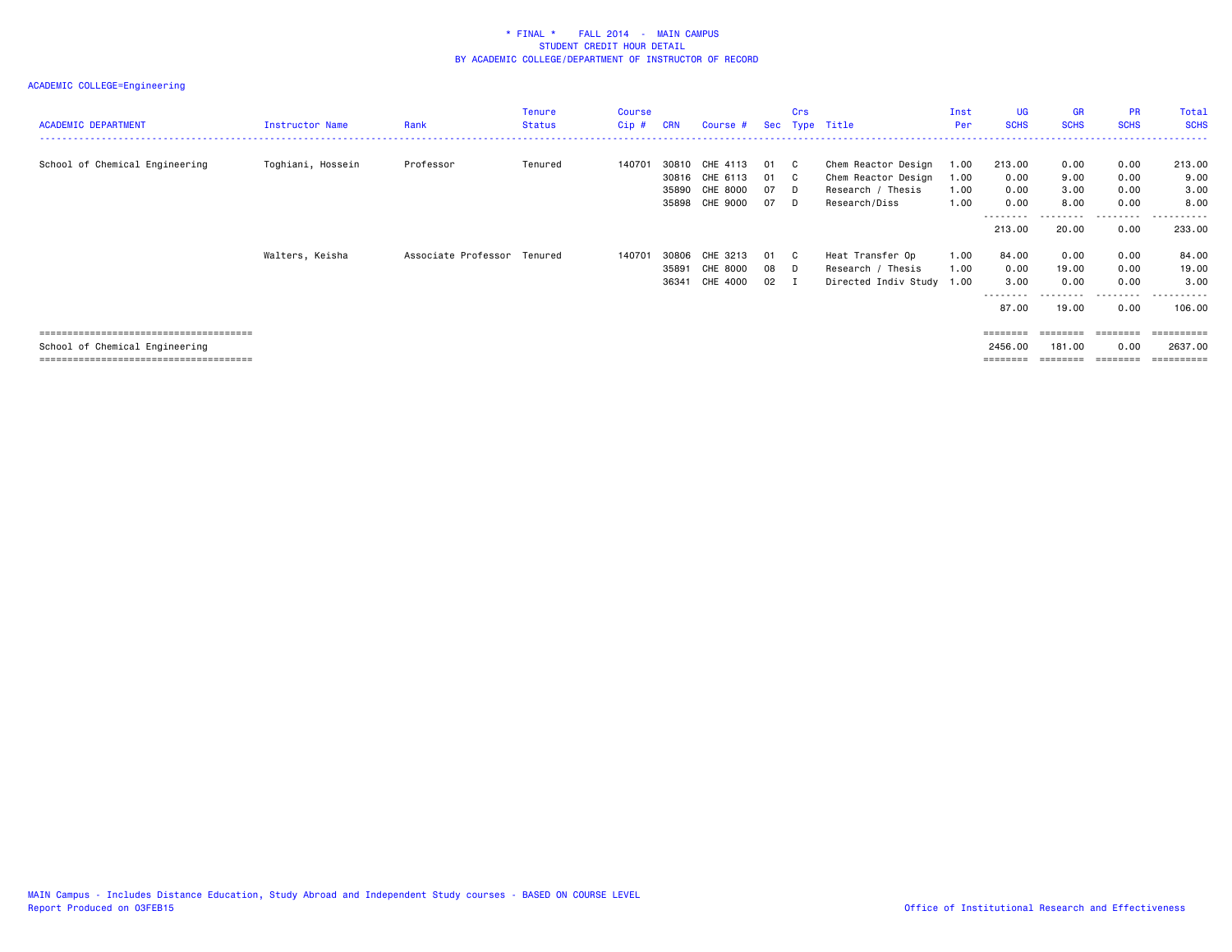| <b>ACADEMIC DEPARTMENT</b>     | Instructor Name   | Rank                | Tenure<br><b>Status</b> | Course<br>Cip# | <b>CRN</b>              | Course #                                           | Sec                  | <b>Crs</b>        | Type Title                                                                       | Inst<br>Per                  | <b>UG</b><br><b>SCHS</b>                   | <b>GR</b><br><b>SCHS</b>       | <b>PR</b><br><b>SCHS</b>          | Total<br><b>SCHS</b>                |
|--------------------------------|-------------------|---------------------|-------------------------|----------------|-------------------------|----------------------------------------------------|----------------------|-------------------|----------------------------------------------------------------------------------|------------------------------|--------------------------------------------|--------------------------------|-----------------------------------|-------------------------------------|
| School of Chemical Engineering | Toghiani, Hossein | Professor           | Tenured                 | 14070          | 30810<br>35890<br>35898 | CHE 4113<br>30816 CHE 6113<br>CHE 8000<br>CHE 9000 | 01<br>01<br>07<br>07 | C<br>C.<br>D<br>D | Chem Reactor Design<br>Chem Reactor Design<br>Research / Thesis<br>Research/Diss | 1.00<br>1.00<br>1.00<br>1.00 | 213.00<br>0.00<br>0.00<br>0.00<br>-------- | 0.00<br>9.00<br>3.00<br>8.00   | 0.00<br>0.00<br>0.00<br>0.00<br>. | 213.00<br>9.00<br>3.00<br>8,00<br>. |
|                                | Walters, Keisha   | Associate Professor | Tenured                 | 140701         | 30806<br>35891<br>36341 | CHE 3213<br><b>CHE 8000</b><br>CHE 4000            | 01<br>08<br>02       | C<br>D            | Heat Transfer Op<br>Research / Thesis<br>Directed Indiv Study 1.00               | 1.00<br>1.00                 | 213.00<br>84.00<br>0.00<br>3.00            | 20.00<br>0.00<br>19.00<br>0.00 | 0.00<br>0.00<br>0.00<br>0.00      | 233.00<br>84.00<br>19.00<br>3.00    |
|                                |                   |                     |                         |                |                         |                                                    |                      |                   |                                                                                  |                              | --------<br>87.00                          | ---------<br>19.00             | .<br>0.00                         | .<br>106.00                         |
| School of Chemical Engineering |                   |                     |                         |                |                         |                                                    |                      |                   |                                                                                  |                              | ========<br>2456.00                        | ========<br>181.00             | ========<br>0.00                  | ==========<br>2637.00<br>:========  |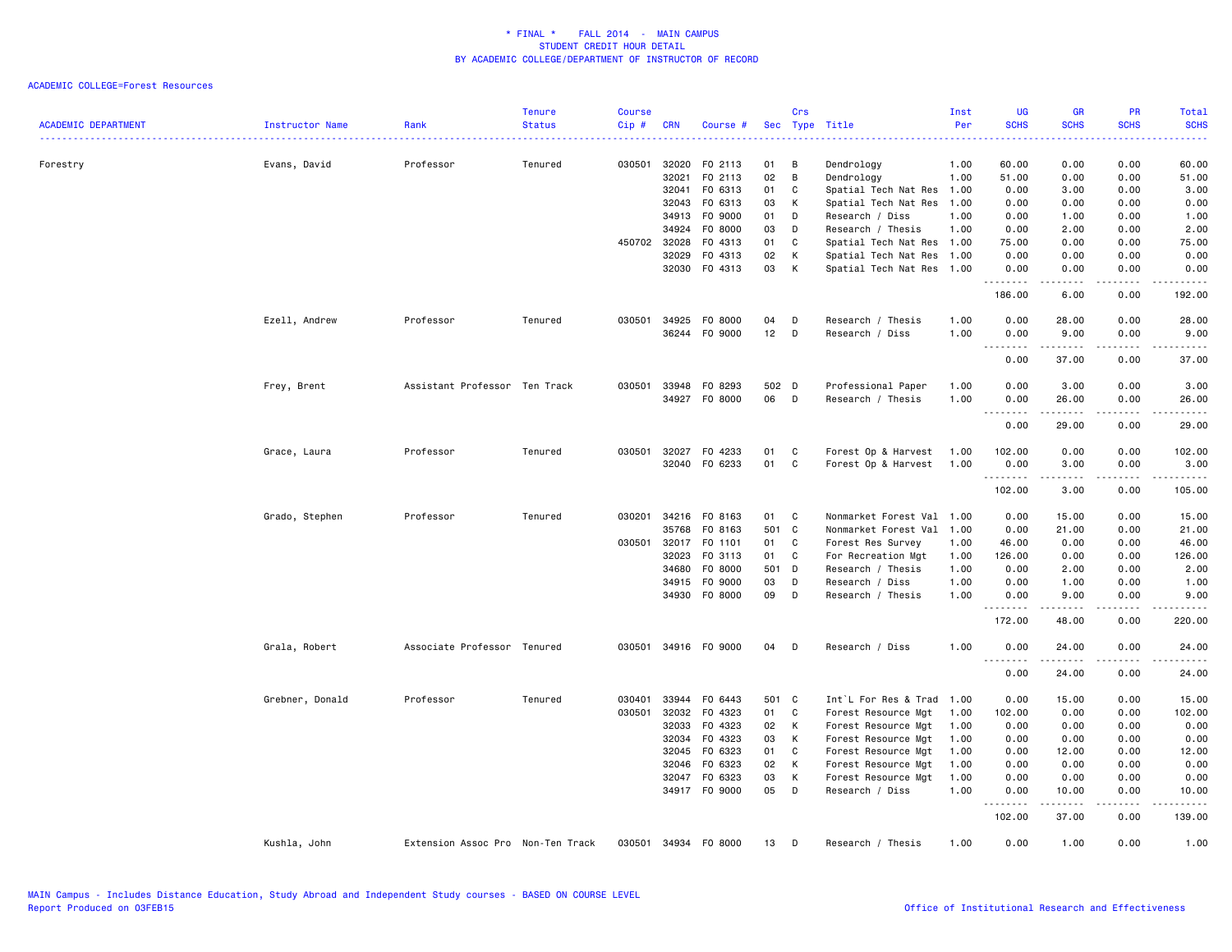| <b>ACADEMIC DEPARTMENT</b> | <b>Instructor Name</b> | Rank                              | <b>Tenure</b><br><b>Status</b> | <b>Course</b><br>Cip# | <b>CRN</b>   | Course #             |       | Crs          | Sec Type Title            | Inst<br>Per | <b>UG</b><br><b>SCHS</b><br>المتمالين | <b>GR</b><br><b>SCHS</b> | <b>PR</b><br><b>SCHS</b><br>$\frac{1}{2} \left( \frac{1}{2} \right) \left( \frac{1}{2} \right) \left( \frac{1}{2} \right) \left( \frac{1}{2} \right)$ | Total<br><b>SCHS</b><br>والانتاب            |
|----------------------------|------------------------|-----------------------------------|--------------------------------|-----------------------|--------------|----------------------|-------|--------------|---------------------------|-------------|---------------------------------------|--------------------------|-------------------------------------------------------------------------------------------------------------------------------------------------------|---------------------------------------------|
| Forestry                   | Evans, David           | Professor                         | Tenured                        | 030501                | 32020        | F0 2113              | 01    | В            | Dendrology                | 1.00        | 60.00                                 | 0.00                     | 0.00                                                                                                                                                  | 60.00                                       |
|                            |                        |                                   |                                |                       | 32021        | FO 2113              | 02    | B            | Dendrology                | 1.00        | 51.00                                 | 0.00                     | 0.00                                                                                                                                                  | 51.00                                       |
|                            |                        |                                   |                                |                       | 32041        | F0 6313              | 01    | C            | Spatial Tech Nat Res 1.00 |             | 0.00                                  | 3.00                     | 0.00                                                                                                                                                  | 3.00                                        |
|                            |                        |                                   |                                |                       | 32043        | F0 6313              | 03    | К            | Spatial Tech Nat Res      | 1.00        | 0.00                                  | 0.00                     | 0.00                                                                                                                                                  | 0.00                                        |
|                            |                        |                                   |                                |                       | 34913        | F0 9000              | 01    | D            | Research / Diss           | 1.00        | 0.00                                  | 1.00                     | 0.00                                                                                                                                                  | 1.00                                        |
|                            |                        |                                   |                                |                       | 34924        | F0 8000              | 03    | D            | Research / Thesis         | 1.00        | 0.00                                  | 2.00                     | 0.00                                                                                                                                                  | 2.00                                        |
|                            |                        |                                   |                                |                       | 450702 32028 | F0 4313              | 01    | C            | Spatial Tech Nat Res 1.00 |             | 75.00                                 | 0.00                     | 0.00                                                                                                                                                  | 75.00                                       |
|                            |                        |                                   |                                |                       | 32029        | F0 4313              | 02    | К            | Spatial Tech Nat Res 1.00 |             | 0.00                                  | 0.00                     | 0.00                                                                                                                                                  | 0.00                                        |
|                            |                        |                                   |                                |                       |              | 32030 F0 4313        | 03    | К            | Spatial Tech Nat Res 1.00 |             | 0.00<br>.                             | 0.00<br>$    -$          | 0.00<br>.                                                                                                                                             | 0.00<br>.                                   |
|                            |                        |                                   |                                |                       |              |                      |       |              |                           |             | 186.00                                | 6.00                     | 0.00                                                                                                                                                  | 192.00                                      |
|                            | Ezell, Andrew          | Professor                         | Tenured                        | 030501                | 34925        | F0 8000              | 04    | D            | Research / Thesis         | 1.00        | 0.00                                  | 28.00                    | 0.00                                                                                                                                                  | 28.00                                       |
|                            |                        |                                   |                                |                       |              | 36244 F0 9000        | 12    | D            | Research / Diss           | 1.00        | 0.00<br>$\sim$ $\sim$<br>. <u>.</u> . | 9.00<br>$    -$          | 0.00<br>.                                                                                                                                             | 9.00<br>.                                   |
|                            |                        |                                   |                                |                       |              |                      |       |              |                           |             | 0.00                                  | 37.00                    | 0.00                                                                                                                                                  | 37.00                                       |
|                            | Frey, Brent            | Assistant Professor Ten Track     |                                | 030501                | 33948        | F0 8293              | 502 D |              | Professional Paper        | 1.00        | 0.00                                  | 3.00                     | 0.00                                                                                                                                                  | 3.00                                        |
|                            |                        |                                   |                                |                       | 34927        | F0 8000              | 06    | D            | Research / Thesis         | 1.00        | 0.00                                  | 26.00                    | 0.00                                                                                                                                                  | 26.00                                       |
|                            |                        |                                   |                                |                       |              |                      |       |              |                           |             | .                                     | .                        | .                                                                                                                                                     | .                                           |
|                            |                        |                                   |                                |                       |              |                      |       |              |                           |             | 0.00                                  | 29.00                    | 0.00                                                                                                                                                  | 29.00                                       |
|                            | Grace, Laura           | Professor                         | Tenured                        | 030501                | 32027        | F0 4233              | 01    | C            | Forest Op & Harvest       | 1.00        | 102.00                                | 0.00                     | 0.00                                                                                                                                                  | 102.00                                      |
|                            |                        |                                   |                                |                       | 32040        | F0 6233              | 01    | C            | Forest Op & Harvest       | 1.00        | 0.00                                  | 3.00                     | 0.00                                                                                                                                                  | 3.00                                        |
|                            |                        |                                   |                                |                       |              |                      |       |              |                           |             | .<br>102.00                           | 3.00                     | 0.00                                                                                                                                                  | 105.00                                      |
|                            | Grado, Stephen         | Professor                         | Tenured                        | 030201                |              | 34216 FO 8163        | 01    | C            | Nonmarket Forest Val 1.00 |             | 0.00                                  | 15.00                    | 0.00                                                                                                                                                  | 15.00                                       |
|                            |                        |                                   |                                |                       | 35768        | F0 8163              | 501   | $\mathbf{C}$ | Nonmarket Forest Val 1.00 |             | 0.00                                  | 21.00                    | 0.00                                                                                                                                                  | 21.00                                       |
|                            |                        |                                   |                                | 030501                | 32017        | F0 1101              | 01    | C            | Forest Res Survey         | 1.00        | 46.00                                 | 0.00                     | 0.00                                                                                                                                                  | 46.00                                       |
|                            |                        |                                   |                                |                       | 32023        | F0 3113              | 01    | C            | For Recreation Mgt        | 1.00        | 126.00                                | 0.00                     | 0.00                                                                                                                                                  | 126.00                                      |
|                            |                        |                                   |                                |                       | 34680        | F0 8000              | 501 D |              | Research / Thesis         | 1.00        | 0.00                                  | 2.00                     | 0.00                                                                                                                                                  | 2.00                                        |
|                            |                        |                                   |                                |                       | 34915        | F0 9000              | 03    | D            | Research / Diss           | 1.00        | 0.00                                  | 1.00                     | 0.00                                                                                                                                                  | 1.00                                        |
|                            |                        |                                   |                                |                       |              | 34930 F0 8000        | 09    | D            | Research / Thesis         | 1.00        | 0.00                                  | 9.00                     | 0.00                                                                                                                                                  | 9.00                                        |
|                            |                        |                                   |                                |                       |              |                      |       |              |                           |             | .<br>172.00                           | .<br>48.00               | .<br>0.00                                                                                                                                             | .<br>220.00                                 |
|                            | Grala, Robert          | Associate Professor Tenured       |                                |                       |              | 030501 34916 F0 9000 | 04    | D            | Research / Diss           | 1.00        | 0.00                                  | 24.00                    | 0.00                                                                                                                                                  | 24.00                                       |
|                            |                        |                                   |                                |                       |              |                      |       |              |                           |             | .<br>0.00                             | 24.00                    | $\sim$ $\sim$ $\sim$ $\sim$<br>0.00                                                                                                                   | $\sim$ $\sim$ $\sim$ $\sim$ $\sim$<br>24.00 |
|                            | Grebner, Donald        | Professor                         | Tenured                        | 030401                |              | 33944 FO 6443        | 501 C |              | Int`L For Res & Trad 1.00 |             | 0.00                                  | 15.00                    | 0.00                                                                                                                                                  | 15.00                                       |
|                            |                        |                                   |                                | 030501                | 32032        | F0 4323              | 01    | C            | Forest Resource Mgt       | 1.00        | 102.00                                | 0.00                     | 0.00                                                                                                                                                  | 102.00                                      |
|                            |                        |                                   |                                |                       | 32033        | F0 4323              | 02    | К            | Forest Resource Mgt       | 1.00        | 0.00                                  | 0.00                     | 0.00                                                                                                                                                  | 0.00                                        |
|                            |                        |                                   |                                |                       | 32034        | F0 4323              | 03    | K            | Forest Resource Mgt       | 1.00        | 0.00                                  | 0.00                     | 0.00                                                                                                                                                  | 0.00                                        |
|                            |                        |                                   |                                |                       | 32045        | F0 6323              | 01    | C            | Forest Resource Mgt       | 1.00        | 0.00                                  | 12.00                    | 0.00                                                                                                                                                  | 12.00                                       |
|                            |                        |                                   |                                |                       | 32046        | F0 6323              | 02    | К            | Forest Resource Mgt       | 1.00        | 0.00                                  | 0.00                     | 0.00                                                                                                                                                  | 0.00                                        |
|                            |                        |                                   |                                |                       | 32047        | F0 6323              | 03    | К            | Forest Resource Mgt       | 1.00        | 0.00                                  | 0.00                     | 0.00                                                                                                                                                  | 0.00                                        |
|                            |                        |                                   |                                |                       |              | 34917 FO 9000        | 05    | D            | Research / Diss           | 1.00        | 0.00<br>.                             | 10.00<br>.               | 0.00<br>.                                                                                                                                             | 10.00<br>.                                  |
|                            |                        |                                   |                                |                       |              |                      |       |              |                           |             | 102.00                                | 37.00                    | 0.00                                                                                                                                                  | 139.00                                      |
|                            | Kushla, John           | Extension Assoc Pro Non-Ten Track |                                | 030501                |              | 34934 FO 8000        | 13    | D            | Research / Thesis         | 1.00        | 0.00                                  | 1.00                     | 0.00                                                                                                                                                  | 1.00                                        |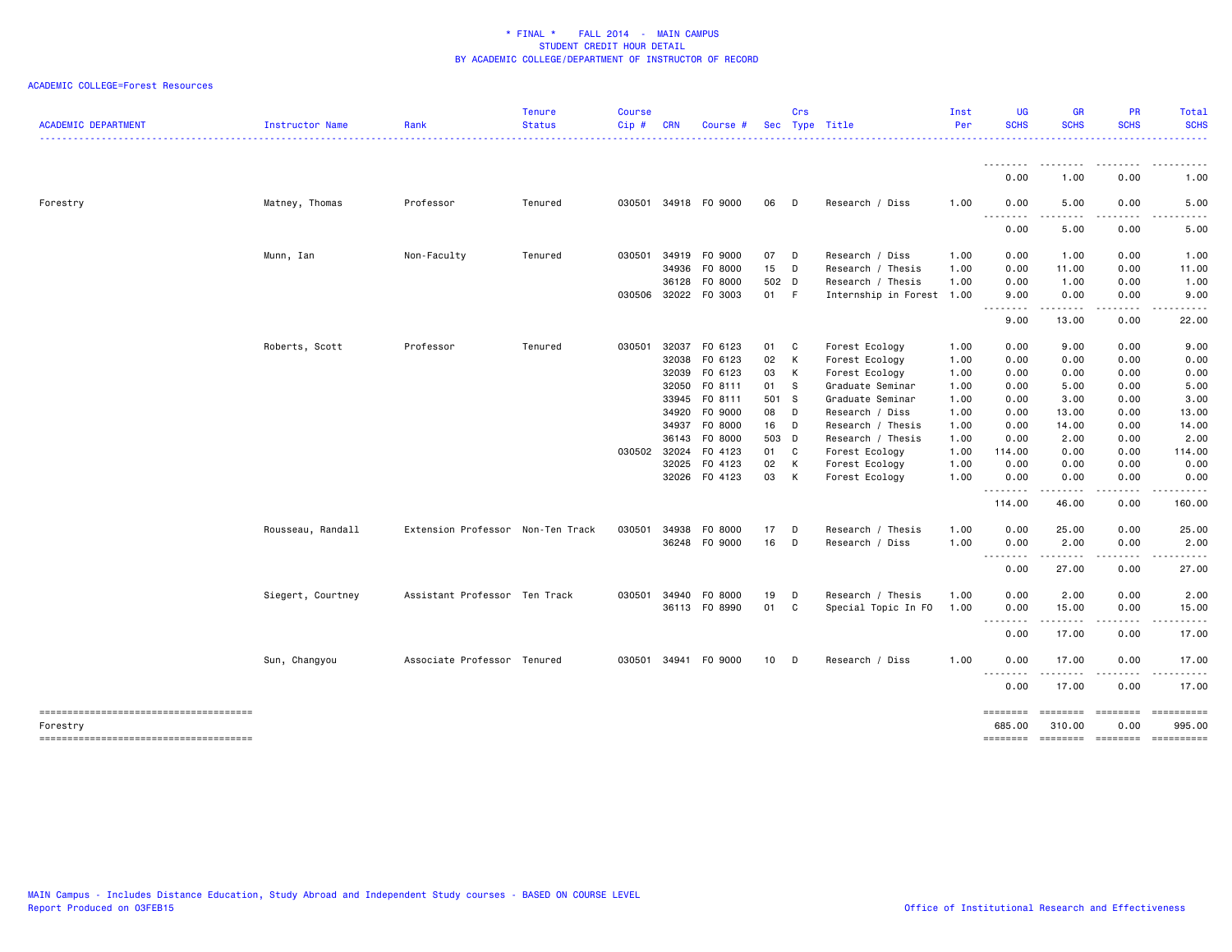| <b>ACADEMIC DEPARTMENT</b>                         | Instructor Name   | Rank                              | <b>Tenure</b><br><b>Status</b> | <b>Course</b><br>Cip# | <b>CRN</b>   | Course #      |                 | Crs | Sec Type Title            | Inst<br>Per | <b>UG</b><br><b>SCHS</b> | <b>GR</b><br><b>SCHS</b> | PR<br><b>SCHS</b>    | <b>Total</b><br><b>SCHS</b>                                                                                                                                                             |
|----------------------------------------------------|-------------------|-----------------------------------|--------------------------------|-----------------------|--------------|---------------|-----------------|-----|---------------------------|-------------|--------------------------|--------------------------|----------------------|-----------------------------------------------------------------------------------------------------------------------------------------------------------------------------------------|
|                                                    |                   |                                   |                                |                       |              |               |                 |     |                           |             |                          |                          |                      | .                                                                                                                                                                                       |
|                                                    |                   |                                   |                                |                       |              |               |                 |     |                           |             | --------<br>0.00         | --------<br>1.00         | 0.00                 | $\frac{1}{2} \left( \frac{1}{2} \right) \left( \frac{1}{2} \right) \left( \frac{1}{2} \right) \left( \frac{1}{2} \right) \left( \frac{1}{2} \right) \left( \frac{1}{2} \right)$<br>1.00 |
| Forestry                                           | Matney, Thomas    | Professor                         | Tenured                        | 030501                |              | 34918 FO 9000 | 06              | D   | Research / Diss           | 1.00        | 0.00                     | 5.00                     | 0.00                 | 5.00                                                                                                                                                                                    |
|                                                    |                   |                                   |                                |                       |              |               |                 |     |                           |             | 0.00                     | .<br>5.00                | .<br>0.00            | $\sim$ $\sim$ $\sim$ $\sim$<br>5.00                                                                                                                                                     |
|                                                    | Munn, Ian         | Non-Faculty                       | Tenured                        | 030501                | 34919        | F0 9000       | 07              | D   | Research / Diss           | 1.00        | 0.00                     | 1.00                     | 0.00                 | 1.00                                                                                                                                                                                    |
|                                                    |                   |                                   |                                |                       | 34936        | F0 8000       | 15              | D   | Research / Thesis         | 1.00        | 0.00                     | 11.00                    | 0.00                 | 11.00                                                                                                                                                                                   |
|                                                    |                   |                                   |                                |                       | 36128        | F0 8000       | 502 D           |     | Research / Thesis         | 1.00        | 0.00                     | 1.00                     | 0.00                 | 1.00                                                                                                                                                                                    |
|                                                    |                   |                                   |                                |                       | 030506 32022 | F0 3003       | 01              | -F  | Internship in Forest 1.00 |             | 9.00                     | 0.00<br>.                | 0.00<br>.            | 9.00<br>.                                                                                                                                                                               |
|                                                    |                   |                                   |                                |                       |              |               |                 |     |                           |             | 9.00                     | 13.00                    | 0.00                 | 22.00                                                                                                                                                                                   |
|                                                    | Roberts, Scott    | Professor                         | Tenured                        | 030501                | 32037        | F0 6123       | 01              | C   | Forest Ecology            | 1.00        | 0.00                     | 9.00                     | 0.00                 | 9.00                                                                                                                                                                                    |
|                                                    |                   |                                   |                                |                       | 32038        | F0 6123       | 02              | К   | Forest Ecology            | 1.00        | 0.00                     | 0.00                     | 0.00                 | 0.00                                                                                                                                                                                    |
|                                                    |                   |                                   |                                |                       | 32039        | F0 6123       | 03              | K   | Forest Ecology            | 1.00        | 0.00                     | 0.00                     | 0.00                 | 0.00                                                                                                                                                                                    |
|                                                    |                   |                                   |                                |                       | 32050        | FO 8111       | 01              | S   | Graduate Seminar          | 1.00        | 0.00                     | 5.00                     | 0.00                 | 5.00                                                                                                                                                                                    |
|                                                    |                   |                                   |                                |                       | 33945        | FO 8111       | 501 S           |     | Graduate Seminar          | 1.00        | 0.00                     | 3.00                     | 0.00                 | 3.00                                                                                                                                                                                    |
|                                                    |                   |                                   |                                |                       | 34920        | F0 9000       | 08              | D   | Research / Diss           | 1.00        | 0.00                     | 13.00                    | 0.00                 | 13.00                                                                                                                                                                                   |
|                                                    |                   |                                   |                                |                       | 34937        | F0 8000       | 16              | D   | Research / Thesis         | 1.00        | 0.00                     | 14.00                    | 0.00                 | 14.00                                                                                                                                                                                   |
|                                                    |                   |                                   |                                |                       |              | 36143 FO 8000 | 503 D           |     | Research / Thesis         | 1.00        | 0.00                     | 2.00                     | 0.00                 | 2.00                                                                                                                                                                                    |
|                                                    |                   |                                   |                                | 030502 32024          |              | F0 4123       | 01              | C   | Forest Ecology            | 1.00        | 114.00                   | 0.00                     | 0.00                 | 114.00                                                                                                                                                                                  |
|                                                    |                   |                                   |                                |                       | 32025        | F0 4123       | 02              | К   | Forest Ecology            | 1.00        | 0.00                     | 0.00                     | 0.00                 | 0.00                                                                                                                                                                                    |
|                                                    |                   |                                   |                                |                       | 32026        | F0 4123       | 03              | К   | Forest Ecology            | 1.00        | 0.00<br>.                | 0.00                     | 0.00                 | 0.00<br>.                                                                                                                                                                               |
|                                                    |                   |                                   |                                |                       |              |               |                 |     |                           |             | 114.00                   | 46.00                    | 0.00                 | 160.00                                                                                                                                                                                  |
|                                                    | Rousseau, Randall | Extension Professor Non-Ten Track |                                | 030501                | 34938        | F0 8000       | 17              | D   | Research / Thesis         | 1.00        | 0.00                     | 25.00                    | 0.00                 | 25.00                                                                                                                                                                                   |
|                                                    |                   |                                   |                                |                       |              | 36248 FO 9000 | 16              | D   | Research / Diss           | 1.00        | 0.00<br>.                | 2.00<br>.                | 0.00<br>-----        | 2.00<br>------                                                                                                                                                                          |
|                                                    |                   |                                   |                                |                       |              |               |                 |     |                           |             | 0.00                     | 27.00                    | 0.00                 | 27.00                                                                                                                                                                                   |
|                                                    | Siegert, Courtney | Assistant Professor Ten Track     |                                | 030501                | 34940        | F0 8000       | 19              | D   | Research / Thesis         | 1.00        | 0.00                     | 2.00                     | 0.00                 | 2.00                                                                                                                                                                                    |
|                                                    |                   |                                   |                                |                       |              | 36113 FO 8990 | 01              | C   | Special Topic In FO       | 1.00        | 0.00<br>.                | 15.00<br>.               | 0.00<br>.            | 15.00<br>. <u>.</u> .                                                                                                                                                                   |
|                                                    |                   |                                   |                                |                       |              |               |                 |     |                           |             | 0.00                     | 17.00                    | 0.00                 | 17.00                                                                                                                                                                                   |
|                                                    | Sun, Changyou     | Associate Professor Tenured       |                                | 030501                | 34941        | F0 9000       | 10 <sup>1</sup> | D   | Research / Diss           | 1.00        | 0.00                     | 17.00                    | 0.00                 | 17.00                                                                                                                                                                                   |
|                                                    |                   |                                   |                                |                       |              |               |                 |     |                           |             | .<br>0.00                | 17.00                    | 0.00                 | $\cdots$<br>17.00                                                                                                                                                                       |
|                                                    |                   |                                   |                                |                       |              |               |                 |     |                           |             | ========                 | ========                 | ---------            | <b>Expressed</b>                                                                                                                                                                        |
| Forestry<br>-------------------------------------- |                   |                                   |                                |                       |              |               |                 |     |                           |             | 685.00                   | 310.00                   | 0.00<br>$=$ ======== | 995,00                                                                                                                                                                                  |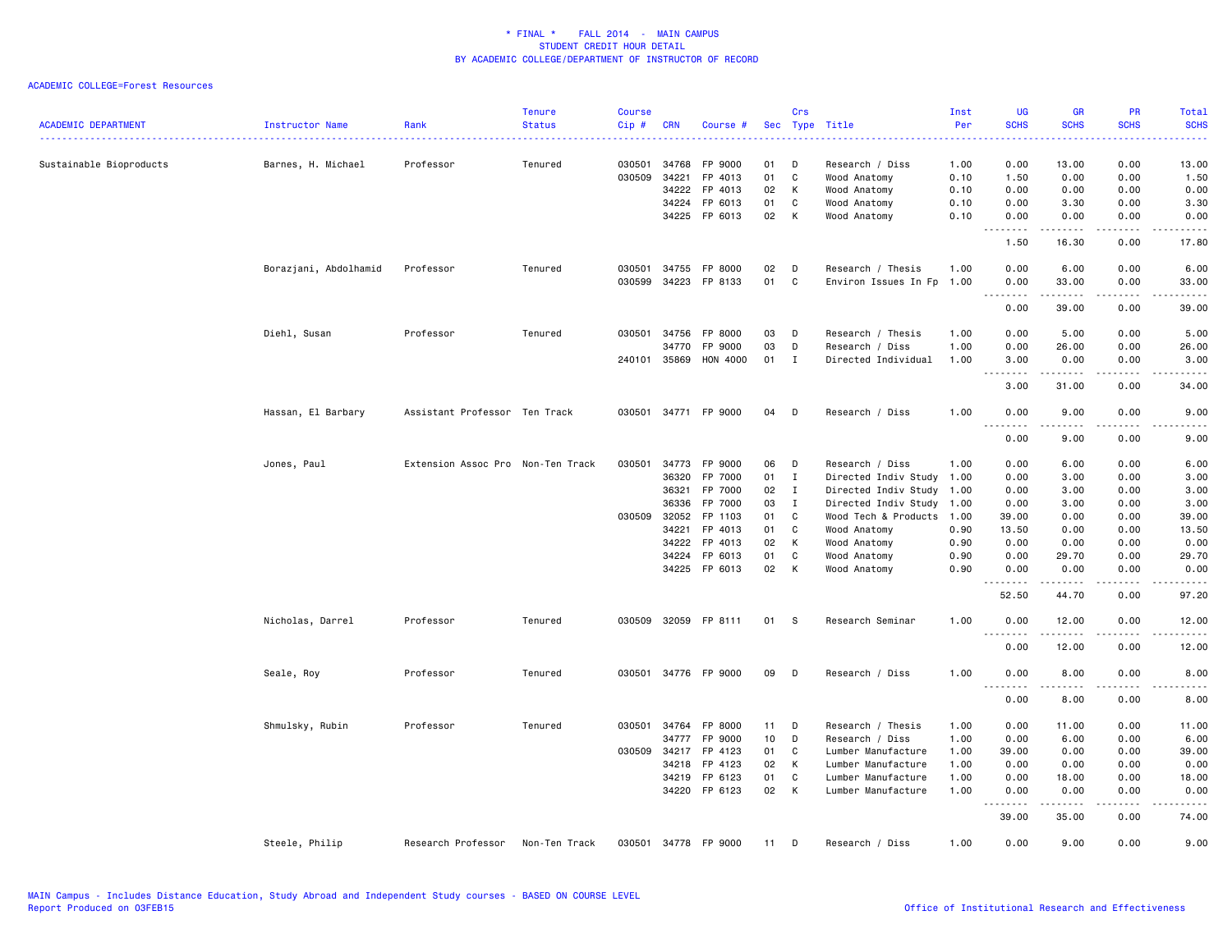| <b>ACADEMIC DEPARTMENT</b> | Instructor Name       | Rank                              | <b>Tenure</b><br><b>Status</b> | <b>Course</b><br>Cip# | <b>CRN</b>     | Course #             |          | Crs               | Sec Type Title               | Inst<br>Per  | <b>UG</b><br><b>SCHS</b><br>----                                                                                                                                                           | <b>GR</b><br><b>SCHS</b> | PR<br><b>SCHS</b>            | Total<br><b>SCHS</b><br><u>.</u>                                                                                                                             |
|----------------------------|-----------------------|-----------------------------------|--------------------------------|-----------------------|----------------|----------------------|----------|-------------------|------------------------------|--------------|--------------------------------------------------------------------------------------------------------------------------------------------------------------------------------------------|--------------------------|------------------------------|--------------------------------------------------------------------------------------------------------------------------------------------------------------|
| Sustainable Bioproducts    | Barnes, H. Michael    | Professor                         | Tenured                        | 030501                | 34768          | FP 9000              | 01       | D                 | Research / Diss              | 1.00         | 0.00                                                                                                                                                                                       | 13.00                    | 0.00                         | 13.00                                                                                                                                                        |
|                            |                       |                                   |                                | 030509                | 34221          | FP 4013              | 01       | C                 | Wood Anatomy                 | 0.10         | 1.50                                                                                                                                                                                       | 0.00                     | 0.00                         | 1.50                                                                                                                                                         |
|                            |                       |                                   |                                |                       | 34222          | FP 4013              | 02       | К                 | Wood Anatomy                 | 0.10         | 0.00                                                                                                                                                                                       | 0.00                     | 0.00                         | 0.00                                                                                                                                                         |
|                            |                       |                                   |                                |                       | 34224          | FP 6013              | 01       | C                 | Wood Anatomy                 | 0.10         | 0.00                                                                                                                                                                                       | 3.30                     | 0.00                         | 3.30                                                                                                                                                         |
|                            |                       |                                   |                                |                       |                | 34225 FP 6013        | 02       | К                 | Wood Anatomy                 | 0.10         | 0.00<br>$\sim$ $\sim$ $\sim$ $\sim$<br>$\sim$ $\sim$                                                                                                                                       | 0.00<br>-----            | 0.00<br>.                    | 0.00<br>$\frac{1}{2} \left( \frac{1}{2} \right) \left( \frac{1}{2} \right) \left( \frac{1}{2} \right) \left( \frac{1}{2} \right) \left( \frac{1}{2} \right)$ |
|                            |                       |                                   |                                |                       |                |                      |          |                   |                              |              | 1.50                                                                                                                                                                                       | 16.30                    | 0.00                         | 17.80                                                                                                                                                        |
|                            | Borazjani, Abdolhamid | Professor                         | Tenured                        | 030501                | 34755          | FP 8000              | 02       | D                 | Research / Thesis            | 1.00         | 0.00                                                                                                                                                                                       | 6.00                     | 0.00                         | 6.00                                                                                                                                                         |
|                            |                       |                                   |                                | 030599                | 34223          | FP 8133              | 01       | C                 | Environ Issues In Fp         | 1.00         | 0.00                                                                                                                                                                                       | 33.00                    | 0.00                         | 33.00                                                                                                                                                        |
|                            |                       |                                   |                                |                       |                |                      |          |                   |                              |              | $\omega$ $\omega$ $\omega$<br>$\frac{1}{2} \left( \frac{1}{2} \right) \left( \frac{1}{2} \right) \left( \frac{1}{2} \right) \left( \frac{1}{2} \right) \left( \frac{1}{2} \right)$<br>0.00 | 39.00                    | د د د د<br>0.00              | .<br>39.00                                                                                                                                                   |
|                            | Diehl, Susan          | Professor                         | Tenured                        | 030501                | 34756          | FP 8000              | 03       | D                 | Research / Thesis            | 1.00         | 0.00                                                                                                                                                                                       | 5.00                     | 0.00                         | 5.00                                                                                                                                                         |
|                            |                       |                                   |                                |                       | 34770          | FP 9000              | 03       | D                 | Research / Diss              | 1.00         | 0.00                                                                                                                                                                                       | 26.00                    | 0.00                         | 26.00                                                                                                                                                        |
|                            |                       |                                   |                                |                       | 240101 35869   | HON 4000             | 01       | $\mathbf{I}$      | Directed Individual          | 1.00         | 3.00                                                                                                                                                                                       | 0.00                     | 0.00                         | 3.00                                                                                                                                                         |
|                            |                       |                                   |                                |                       |                |                      |          |                   |                              |              | $\frac{1}{2} \left( \frac{1}{2} \right) \left( \frac{1}{2} \right) \left( \frac{1}{2} \right) \left( \frac{1}{2} \right) \left( \frac{1}{2} \right)$<br>$\sim$ $\sim$ $\sim$<br>3.00       | .<br>31.00               | .<br>0.00                    | د د د د د<br>34.00                                                                                                                                           |
|                            | Hassan, El Barbary    | Assistant Professor Ten Track     |                                |                       |                | 030501 34771 FP 9000 | 04       | D                 | Research / Diss              | 1.00         | 0.00                                                                                                                                                                                       | 9.00                     | 0.00                         | 9.00                                                                                                                                                         |
|                            |                       |                                   |                                |                       |                |                      |          |                   |                              |              | $\sim$<br>$\sim$ $\sim$ $\sim$<br>0.00                                                                                                                                                     | .<br>9.00                | $\sim$ $\sim$ $\sim$<br>0.00 | .<br>9.00                                                                                                                                                    |
|                            |                       |                                   |                                |                       |                |                      |          |                   |                              |              |                                                                                                                                                                                            |                          |                              |                                                                                                                                                              |
|                            | Jones, Paul           | Extension Assoc Pro Non-Ten Track |                                | 030501                | 34773          | FP 9000              | 06       | D                 | Research / Diss              | 1.00         | 0.00                                                                                                                                                                                       | 6.00                     | 0.00                         | 6.00                                                                                                                                                         |
|                            |                       |                                   |                                |                       | 36320          | FP 7000              | 01       | I                 | Directed Indiv Study 1.00    |              | 0.00                                                                                                                                                                                       | 3.00                     | 0.00                         | 3.00                                                                                                                                                         |
|                            |                       |                                   |                                |                       | 36321          | FP 7000              | 02       | $\mathbf{I}$      | Directed Indiv Study 1.00    |              | 0.00                                                                                                                                                                                       | 3.00                     | 0.00                         | 3.00                                                                                                                                                         |
|                            |                       |                                   |                                | 030509                | 36336          | FP 7000              | 03       | $\mathbf{I}$<br>C | Directed Indiv Study 1.00    |              | 0.00                                                                                                                                                                                       | 3.00                     | 0.00                         | 3.00                                                                                                                                                         |
|                            |                       |                                   |                                |                       | 32052<br>34221 | FP 1103<br>FP 4013   | 01       | C                 | Wood Tech & Products 1.00    |              | 39.00                                                                                                                                                                                      | 0.00                     | 0.00<br>0.00                 | 39.00                                                                                                                                                        |
|                            |                       |                                   |                                |                       | 34222          | FP 4013              | 01<br>02 | K                 | Wood Anatomy<br>Wood Anatomy | 0.90<br>0.90 | 13.50<br>0.00                                                                                                                                                                              | 0.00<br>0.00             | 0.00                         | 13.50<br>0.00                                                                                                                                                |
|                            |                       |                                   |                                |                       | 34224          | FP 6013              | 01       | C                 | Wood Anatomy                 | 0.90         | 0.00                                                                                                                                                                                       | 29.70                    | 0.00                         | 29.70                                                                                                                                                        |
|                            |                       |                                   |                                |                       |                | 34225 FP 6013        | 02       | К                 | Wood Anatomy                 | 0.90         | 0.00                                                                                                                                                                                       | 0.00                     | 0.00                         | 0.00                                                                                                                                                         |
|                            |                       |                                   |                                |                       |                |                      |          |                   |                              |              | .<br>$\frac{1}{2} \left( \frac{1}{2} \right) \left( \frac{1}{2} \right) \left( \frac{1}{2} \right) \left( \frac{1}{2} \right) \left( \frac{1}{2} \right)$                                  | .                        | .                            | $    -$                                                                                                                                                      |
|                            |                       |                                   |                                |                       |                |                      |          |                   |                              |              | 52.50                                                                                                                                                                                      | 44.70                    | 0.00                         | 97.20                                                                                                                                                        |
|                            | Nicholas, Darrel      | Professor                         | Tenured                        |                       |                | 030509 32059 FP 8111 | 01       | - S               | Research Seminar             | 1.00         | 0.00<br>.                                                                                                                                                                                  | 12.00<br>. <u>.</u>      | 0.00<br>$\frac{1}{2}$        | 12.00<br>.                                                                                                                                                   |
|                            |                       |                                   |                                |                       |                |                      |          |                   |                              |              | 0.00                                                                                                                                                                                       | 12.00                    | 0.00                         | 12.00                                                                                                                                                        |
|                            | Seale, Roy            | Professor                         | Tenured                        |                       |                | 030501 34776 FP 9000 | 09       | D                 | Research / Diss              | 1.00         | 0.00                                                                                                                                                                                       | 8.00                     | 0.00                         | 8.00                                                                                                                                                         |
|                            |                       |                                   |                                |                       |                |                      |          |                   |                              |              | $\sim$ $\sim$ $\sim$<br>$- - -$<br>0.00                                                                                                                                                    | 8.00                     | 0.00                         | 8.00                                                                                                                                                         |
|                            | Shmulsky, Rubin       | Professor                         | Tenured                        | 030501                | 34764          | FP 8000              | 11       | D                 | Research / Thesis            | 1.00         | 0.00                                                                                                                                                                                       | 11.00                    | 0.00                         | 11.00                                                                                                                                                        |
|                            |                       |                                   |                                |                       | 34777          | FP 9000              | 10       | D                 | Research / Diss              | 1.00         | 0.00                                                                                                                                                                                       | 6.00                     | 0.00                         | 6.00                                                                                                                                                         |
|                            |                       |                                   |                                | 030509                | 34217          | FP 4123              | 01       | C                 | Lumber Manufacture           | 1.00         | 39.00                                                                                                                                                                                      | 0.00                     | 0.00                         | 39.00                                                                                                                                                        |
|                            |                       |                                   |                                |                       | 34218          | FP 4123              | 02       | К                 | Lumber Manufacture           | 1.00         | 0.00                                                                                                                                                                                       | 0.00                     | 0.00                         | 0.00                                                                                                                                                         |
|                            |                       |                                   |                                |                       | 34219          | FP 6123              | 01       | C                 | Lumber Manufacture           | 1.00         | 0.00                                                                                                                                                                                       | 18.00                    | 0.00                         | 18.00                                                                                                                                                        |
|                            |                       |                                   |                                |                       | 34220          | FP 6123              | 02       | K                 | Lumber Manufacture           | 1.00         | 0.00<br>.                                                                                                                                                                                  | 0.00<br>.                | 0.00<br>.                    | 0.00<br>د د د د د                                                                                                                                            |
|                            |                       |                                   |                                |                       |                |                      |          |                   |                              |              | 39.00                                                                                                                                                                                      | 35.00                    | 0.00                         | 74.00                                                                                                                                                        |
|                            | Steele, Philip        | Research Professor                | Non-Ten Track                  | 030501                | 34778          | FP 9000              | 11       | D                 | Research / Diss              | 1.00         | 0.00                                                                                                                                                                                       | 9.00                     | 0.00                         | 9.00                                                                                                                                                         |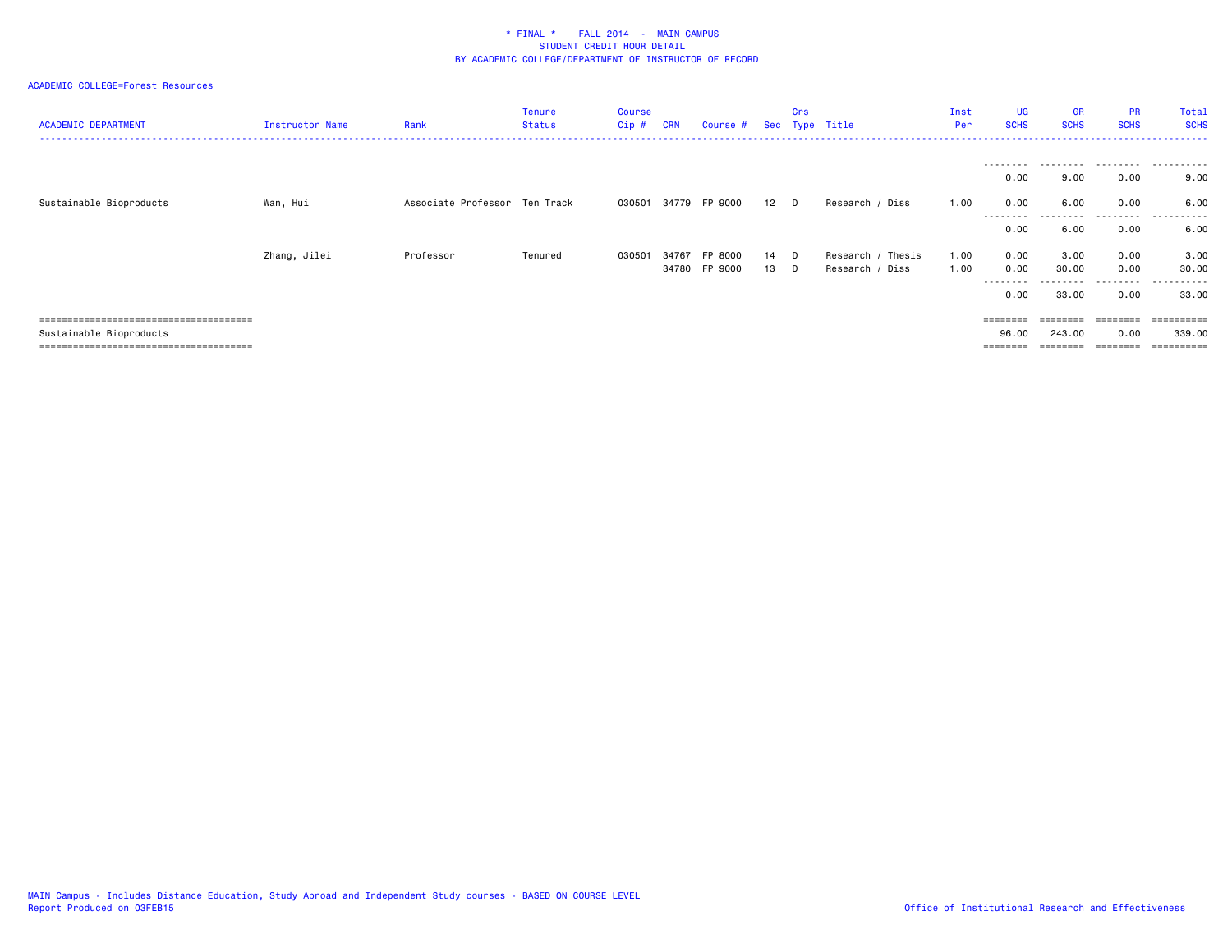| <b>ACADEMIC DEPARTMENT</b> | Instructor Name | Rank                          | Tenure<br><b>Status</b> | Course<br>Cip# | <b>CRN</b> | Course #             |                  | Crs | Sec Type Title    | Inst<br>Per | <b>UG</b><br><b>SCHS</b> | <b>GR</b><br><b>SCHS</b> | <b>PR</b><br><b>SCHS</b> | Total<br><b>SCHS</b>  |
|----------------------------|-----------------|-------------------------------|-------------------------|----------------|------------|----------------------|------------------|-----|-------------------|-------------|--------------------------|--------------------------|--------------------------|-----------------------|
|                            |                 |                               |                         |                |            |                      |                  |     |                   |             | ---------                | .                        |                          | .                     |
|                            |                 |                               |                         |                |            |                      |                  |     |                   |             | 0.00                     | 9.00                     | 0.00                     | 9.00                  |
| Sustainable Bioproducts    | Wan, Hui        | Associate Professor Ten Track |                         |                |            | 030501 34779 FP 9000 | 12 <sup>12</sup> | D   | Research / Diss   | 1.00        | 0.00                     | 6.00                     | 0.00                     | 6.00                  |
|                            |                 |                               |                         |                |            |                      |                  |     |                   |             | --------<br>0.00         | 6.00                     | ---------<br>0.00        | .<br>6.00             |
|                            | Zhang, Jilei    | Professor                     | Tenured                 | 030501         | 34767      | FP 8000              | 14               | D   | Research / Thesis | 1.00        | 0.00                     | 3.00                     | 0.00                     | 3.00                  |
|                            |                 |                               |                         |                |            | 34780 FP 9000        | 13               | D   | Research / Diss   | 1.00        | 0.00<br>---------        | 30.00                    | 0.00<br>---------        | 30.00<br>-------      |
|                            |                 |                               |                         |                |            |                      |                  |     |                   |             | 0.00                     | 33.00                    | 0.00                     | 33.00                 |
|                            |                 |                               |                         |                |            |                      |                  |     |                   |             | ========                 |                          | ========                 | ==========            |
| Sustainable Bioproducts    |                 |                               |                         |                |            |                      |                  |     |                   |             | 96.00                    | 243.00                   | 0.00                     | 339,00                |
|                            |                 |                               |                         |                |            |                      |                  |     |                   |             |                          |                          |                          | $=$ = = = = = = = = = |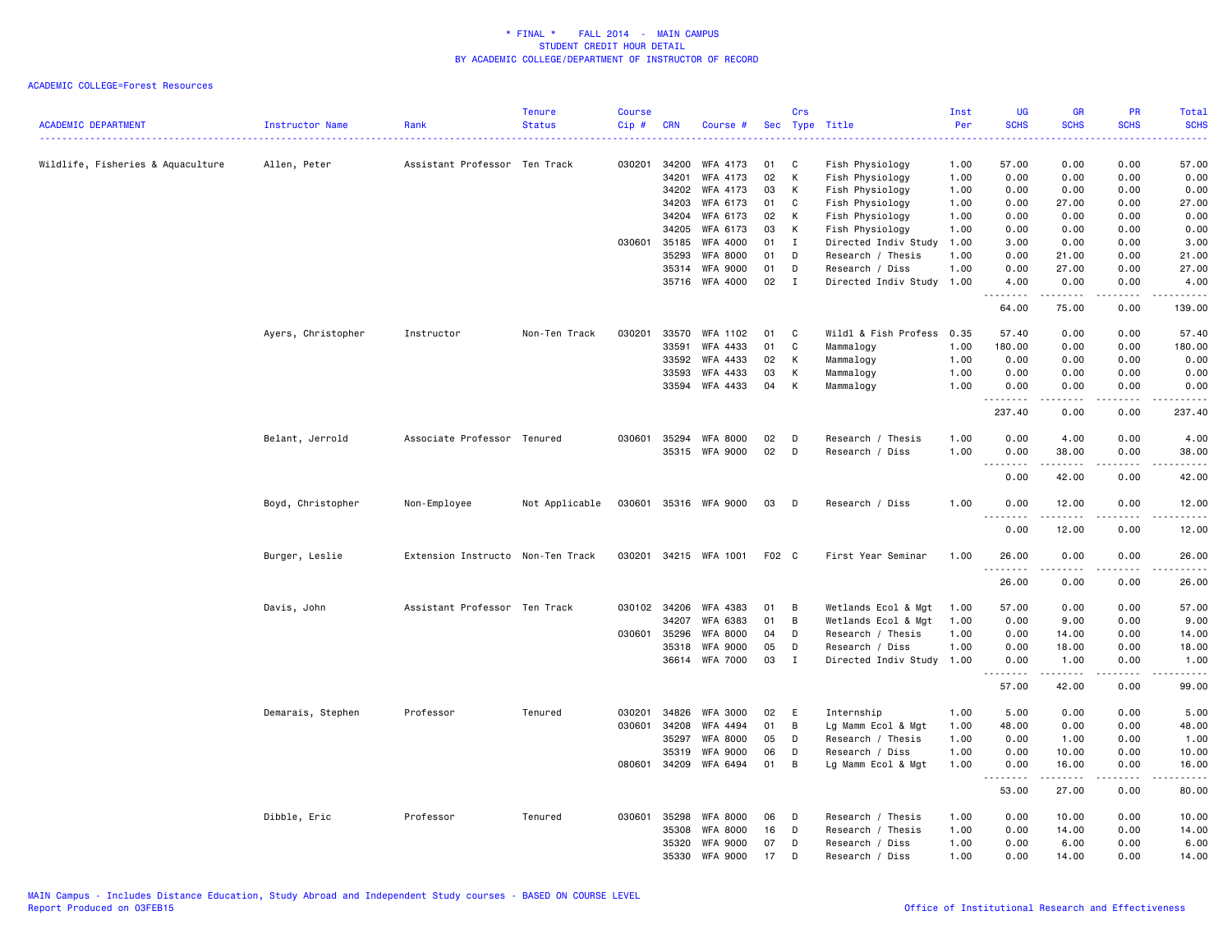| <b>ACADEMIC DEPARTMENT</b>        | Instructor Name    | Rank                              | <b>Tenure</b><br><b>Status</b> | Course<br>Cip# | <b>CRN</b>   | Course #              |    | Crs   | Sec Type Title            | Inst<br>Per | <b>UG</b><br><b>SCHS</b>                      | <b>GR</b><br><b>SCHS</b> | <b>PR</b><br><b>SCHS</b>                                                                                                          | <b>Total</b><br><b>SCHS</b><br>.                                                                                                   |
|-----------------------------------|--------------------|-----------------------------------|--------------------------------|----------------|--------------|-----------------------|----|-------|---------------------------|-------------|-----------------------------------------------|--------------------------|-----------------------------------------------------------------------------------------------------------------------------------|------------------------------------------------------------------------------------------------------------------------------------|
| Wildlife, Fisheries & Aquaculture | Allen, Peter       | Assistant Professor Ten Track     |                                | 030201         | 34200        | WFA 4173              | 01 | C     | Fish Physiology           | 1.00        | 57.00                                         | 0.00                     | 0.00                                                                                                                              | 57.00                                                                                                                              |
|                                   |                    |                                   |                                |                | 34201        | WFA 4173              | 02 | K     | Fish Physiology           | 1.00        | 0.00                                          | 0.00                     | 0.00                                                                                                                              | 0.00                                                                                                                               |
|                                   |                    |                                   |                                |                | 34202        | WFA 4173              | 03 | К     | Fish Physiology           | 1.00        | 0.00                                          | 0.00                     | 0.00                                                                                                                              | 0.00                                                                                                                               |
|                                   |                    |                                   |                                |                | 34203        | WFA 6173              | 01 | C     | Fish Physiology           | 1.00        | 0.00                                          | 27.00                    | 0.00                                                                                                                              | 27.00                                                                                                                              |
|                                   |                    |                                   |                                |                | 34204        | WFA 6173              | 02 | К     | Fish Physiology           | 1.00        | 0.00                                          | 0.00                     | 0.00                                                                                                                              | 0.00                                                                                                                               |
|                                   |                    |                                   |                                |                | 34205        | WFA 6173              | 03 | К     | Fish Physiology           | 1.00        | 0.00                                          | 0.00                     | 0.00                                                                                                                              | 0.00                                                                                                                               |
|                                   |                    |                                   |                                | 030601         | 35185        | WFA 4000              | 01 | Ι.    | Directed Indiv Study      | 1.00        | 3.00                                          | 0.00                     | 0.00                                                                                                                              | 3.00                                                                                                                               |
|                                   |                    |                                   |                                |                | 35293        | <b>WFA 8000</b>       | 01 | D     | Research / Thesis         | 1.00        | 0.00                                          | 21.00                    | 0.00                                                                                                                              | 21.00                                                                                                                              |
|                                   |                    |                                   |                                |                | 35314        | <b>WFA 9000</b>       | 01 | D     | Research / Diss           | 1.00        | 0.00                                          | 27.00                    | 0.00                                                                                                                              | 27.00                                                                                                                              |
|                                   |                    |                                   |                                |                | 35716        | WFA 4000              | 02 | Ι.    | Directed Indiv Study 1.00 |             | 4.00<br>.<br>$\frac{1}{2}$                    | 0.00<br>.                | 0.00<br>$\sim$ $\sim$ $\sim$ $\sim$                                                                                               | 4.00<br>.                                                                                                                          |
|                                   |                    |                                   |                                |                |              |                       |    |       |                           |             | 64.00                                         | 75.00                    | 0.00                                                                                                                              | 139.00                                                                                                                             |
|                                   | Ayers, Christopher | Instructor                        | Non-Ten Track                  | 030201         | 33570        | WFA 1102              | 01 | C     | Wildl & Fish Profess      | 0.35        | 57.40                                         | 0.00                     | 0.00                                                                                                                              | 57.40                                                                                                                              |
|                                   |                    |                                   |                                |                | 33591        | WFA 4433              | 01 | C     | Mammalogy                 | 1.00        | 180.00                                        | 0.00                     | 0.00                                                                                                                              | 180.00                                                                                                                             |
|                                   |                    |                                   |                                |                | 33592        | WFA 4433              | 02 | К     | Mammalogy                 | 1.00        | 0.00                                          | 0.00                     | 0.00                                                                                                                              | 0.00                                                                                                                               |
|                                   |                    |                                   |                                |                | 33593        | WFA 4433              | 03 | К     | Mammalogy                 | 1.00        | 0.00                                          | 0.00                     | 0.00                                                                                                                              | 0.00                                                                                                                               |
|                                   |                    |                                   |                                |                | 33594        | WFA 4433              | 04 | К     | Mammalogy                 | 1.00        | 0.00<br>.                                     | 0.00                     | 0.00<br>$\frac{1}{2} \left( \frac{1}{2} \right) \left( \frac{1}{2} \right) \left( \frac{1}{2} \right) \left( \frac{1}{2} \right)$ | 0.00<br>.                                                                                                                          |
|                                   |                    |                                   |                                |                |              |                       |    |       |                           |             | 237.40                                        | 0.00                     | 0.00                                                                                                                              | 237.40                                                                                                                             |
|                                   | Belant, Jerrold    | Associate Professor Tenured       |                                | 030601         | 35294        | <b>WFA 8000</b>       | 02 | D     | Research / Thesis         | 1.00        | 0.00                                          | 4.00                     | 0.00                                                                                                                              | 4.00                                                                                                                               |
|                                   |                    |                                   |                                |                |              | 35315 WFA 9000        | 02 | D     | Research / Diss           | 1.00        | 0.00                                          | 38.00                    | 0.00                                                                                                                              | 38.00                                                                                                                              |
|                                   |                    |                                   |                                |                |              |                       |    |       |                           |             | $\sim$ $\sim$<br>$\sim$ $\sim$ $\sim$<br>0.00 | 42.00                    | 0.00                                                                                                                              | $\frac{1}{2} \left( \frac{1}{2} \right) \left( \frac{1}{2} \right) \left( \frac{1}{2} \right) \left( \frac{1}{2} \right)$<br>42.00 |
|                                   | Boyd, Christopher  | Non-Employee                      | Not Applicable                 |                |              | 030601 35316 WFA 9000 | 03 | D     | Research / Diss           | 1.00        | 0.00                                          | 12.00                    | 0.00                                                                                                                              | 12.00                                                                                                                              |
|                                   |                    |                                   |                                |                |              |                       |    |       |                           |             | $\sim$ $\sim$<br>.<br>0.00                    | .<br>12.00               | د د د د<br>0.00                                                                                                                   | .<br>12.00                                                                                                                         |
|                                   | Burger, Leslie     | Extension Instructo Non-Ten Track |                                | 030201         |              | 34215 WFA 1001        |    | F02 C | First Year Seminar        | 1.00        | 26.00<br>.                                    | 0.00<br>.                | 0.00<br>.                                                                                                                         | 26.00<br>.                                                                                                                         |
|                                   |                    |                                   |                                |                |              |                       |    |       |                           |             | 26.00                                         | 0.00                     | 0.00                                                                                                                              | 26.00                                                                                                                              |
|                                   | Davis, John        | Assistant Professor Ten Track     |                                |                | 030102 34206 | WFA 4383              | 01 | В     | Wetlands Ecol & Mgt       | 1.00        | 57.00                                         | 0.00                     | 0.00                                                                                                                              | 57.00                                                                                                                              |
|                                   |                    |                                   |                                |                | 34207        | WFA 6383              | 01 | B     | Wetlands Ecol & Mgt       | 1.00        | 0.00                                          | 9.00                     | 0.00                                                                                                                              | 9.00                                                                                                                               |
|                                   |                    |                                   |                                | 030601         | 35296        | <b>WFA 8000</b>       | 04 | D     | Research / Thesis         | 1.00        | 0.00                                          | 14.00                    | 0.00                                                                                                                              | 14.00                                                                                                                              |
|                                   |                    |                                   |                                |                | 35318        | <b>WFA 9000</b>       | 05 | D     | Research / Diss           | 1.00        | 0.00                                          | 18.00                    | 0.00                                                                                                                              | 18.00                                                                                                                              |
|                                   |                    |                                   |                                |                |              | 36614 WFA 7000        | 03 | I     | Directed Indiv Study 1.00 |             | 0.00<br>.                                     | 1.00                     | 0.00                                                                                                                              | 1.00<br>$\cdots$                                                                                                                   |
|                                   |                    |                                   |                                |                |              |                       |    |       |                           |             | 57.00                                         | 42.00                    | 0.00                                                                                                                              | 99.00                                                                                                                              |
|                                   | Demarais, Stephen  | Professor                         | Tenured                        | 030201         | 34826        | <b>WFA 3000</b>       | 02 | E     | Internship                | 1.00        | 5.00                                          | 0.00                     | 0.00                                                                                                                              | 5.00                                                                                                                               |
|                                   |                    |                                   |                                | 030601         | 34208        | WFA 4494              | 01 | B     | Lg Mamm Ecol & Mgt        | 1.00        | 48.00                                         | 0.00                     | 0.00                                                                                                                              | 48.00                                                                                                                              |
|                                   |                    |                                   |                                |                | 35297        | <b>WFA 8000</b>       | 05 | D     | Research / Thesis         | 1.00        | 0.00                                          | 1.00                     | 0.00                                                                                                                              | 1.00                                                                                                                               |
|                                   |                    |                                   |                                |                | 35319        | <b>WFA 9000</b>       | 06 | D     | Research / Diss           | 1.00        | 0.00                                          | 10.00                    | 0.00                                                                                                                              | 10.00                                                                                                                              |
|                                   |                    |                                   |                                | 080601         | 34209        | WFA 6494              | 01 | B     | Lg Mamm Ecol & Mgt        | 1.00        | 0.00<br>.                                     | 16.00<br>.               | 0.00<br>.                                                                                                                         | 16.00<br>.                                                                                                                         |
|                                   |                    |                                   |                                |                |              |                       |    |       |                           |             | 53.00                                         | 27.00                    | 0.00                                                                                                                              | 80.00                                                                                                                              |
|                                   | Dibble, Eric       | Professor                         | Tenured                        | 030601         | 35298        | WFA 8000              | 06 | D     | Research / Thesis         | 1.00        | 0.00                                          | 10.00                    | 0.00                                                                                                                              | 10.00                                                                                                                              |
|                                   |                    |                                   |                                |                | 35308        | <b>WFA 8000</b>       | 16 | D     | Research / Thesis         | 1.00        | 0.00                                          | 14.00                    | 0.00                                                                                                                              | 14.00                                                                                                                              |
|                                   |                    |                                   |                                |                | 35320        | <b>WFA 9000</b>       | 07 | D     | Research / Diss           | 1.00        | 0.00                                          | 6.00                     | 0.00                                                                                                                              | 6.00                                                                                                                               |
|                                   |                    |                                   |                                |                | 35330        | <b>WFA 9000</b>       | 17 | D     | Research / Diss           | 1.00        | 0.00                                          | 14.00                    | 0.00                                                                                                                              | 14.00                                                                                                                              |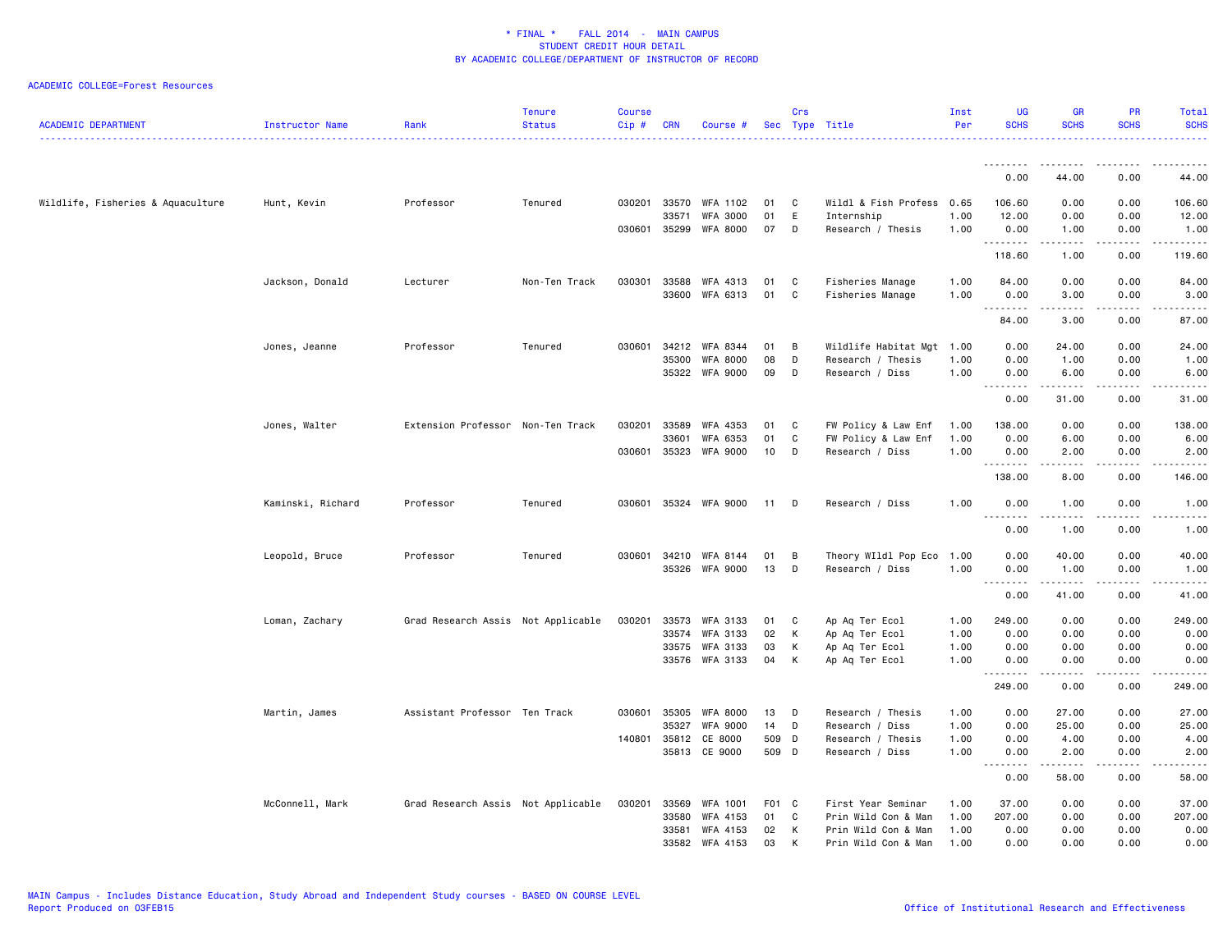| <b>ACADEMIC DEPARTMENT</b>        | Instructor Name   | Rank                               | <b>Tenure</b><br><b>Status</b> | <b>Course</b><br>$Cip \#$ | <b>CRN</b>            | Course #                           |             | Crs    | Sec Type Title                         | Inst<br>Per  | <b>UG</b><br><b>SCHS</b>           | <b>GR</b><br><b>SCHS</b>                                                                                                                                      | PR<br><b>SCHS</b>                   | Total<br><b>SCHS</b> |
|-----------------------------------|-------------------|------------------------------------|--------------------------------|---------------------------|-----------------------|------------------------------------|-------------|--------|----------------------------------------|--------------|------------------------------------|---------------------------------------------------------------------------------------------------------------------------------------------------------------|-------------------------------------|----------------------|
|                                   |                   |                                    |                                |                           |                       |                                    |             |        |                                        |              | .                                  | ------                                                                                                                                                        | .                                   | .                    |
|                                   |                   |                                    |                                |                           |                       |                                    |             |        |                                        |              | 0.00                               | 44.00                                                                                                                                                         | 0.00                                | 44.00                |
| Wildlife, Fisheries & Aquaculture | Hunt, Kevin       | Professor                          | Tenured                        | 030201                    | 33570                 | <b>WFA 1102</b>                    | 01          | C      | Wildl & Fish Profess 0.65              |              | 106.60                             | 0.00                                                                                                                                                          | 0.00                                | 106.60               |
|                                   |                   |                                    |                                |                           | 33571<br>030601 35299 | <b>WFA 3000</b><br><b>WFA 8000</b> | 01<br>07    | E<br>D | Internship<br>Research / Thesis        | 1.00<br>1.00 | 12.00<br>0.00                      | 0.00<br>1.00                                                                                                                                                  | 0.00<br>0.00                        | 12.00<br>1.00        |
|                                   |                   |                                    |                                |                           |                       |                                    |             |        |                                        |              | .<br>118.60                        | <u>.</u><br>1.00                                                                                                                                              | $\sim$ $\sim$ $\sim$ $\sim$<br>0.00 | .<br>119.60          |
|                                   | Jackson, Donald   | Lecturer                           | Non-Ten Track                  | 030301                    | 33588                 | WFA 4313                           | 01          | C      | Fisheries Manage                       | 1.00         | 84.00                              | 0.00                                                                                                                                                          | 0.00                                | 84.00                |
|                                   |                   |                                    |                                |                           | 33600                 | WFA 6313                           | 01          | C      | Fisheries Manage                       | 1.00         | 0.00                               | 3.00                                                                                                                                                          | 0.00                                | 3.00                 |
|                                   |                   |                                    |                                |                           |                       |                                    |             |        |                                        |              | $\sim$ $\sim$ $\sim$<br>.<br>84.00 | 3.00                                                                                                                                                          | $\sim$ $\sim$ $\sim$<br>0.00        | والمستحدث<br>87.00   |
|                                   | Jones, Jeanne     | Professor                          | Tenured                        | 030601                    | 34212                 | WFA 8344                           | 01          | В      | Wildlife Habitat Mgt                   | 1.00         | 0.00                               | 24.00                                                                                                                                                         | 0.00                                | 24.00                |
|                                   |                   |                                    |                                |                           | 35300                 | <b>WFA 8000</b><br>35322 WFA 9000  | 08<br>09    | D<br>D | Research / Thesis<br>Research / Diss   | 1.00<br>1.00 | 0.00<br>0.00                       | 1.00<br>6.00                                                                                                                                                  | 0.00<br>0.00                        | 1.00<br>6.00         |
|                                   |                   |                                    |                                |                           |                       |                                    |             |        |                                        |              | .<br>0.00                          | .<br>31.00                                                                                                                                                    | .<br>0.00                           | .                    |
|                                   |                   |                                    |                                |                           |                       |                                    |             |        |                                        |              |                                    |                                                                                                                                                               |                                     | 31.00                |
|                                   | Jones, Walter     | Extension Professor Non-Ten Track  |                                | 030201                    | 33589                 | WFA 4353                           | 01          | C      | FW Policy & Law Enf                    | 1.00         | 138.00                             | 0.00                                                                                                                                                          | 0.00                                | 138.00               |
|                                   |                   |                                    |                                |                           | 33601                 | WFA 6353<br>030601 35323 WFA 9000  | 01<br>10    | C<br>D | FW Policy & Law Enf<br>Research / Diss | 1.00<br>1.00 | 0.00<br>0.00                       | 6.00<br>2.00                                                                                                                                                  | 0.00<br>0.00                        | 6.00<br>2.00         |
|                                   |                   |                                    |                                |                           |                       |                                    |             |        |                                        |              | .                                  | .                                                                                                                                                             | .                                   | .                    |
|                                   |                   |                                    |                                |                           |                       |                                    |             |        |                                        |              | 138.00                             | 8.00                                                                                                                                                          | 0.00                                | 146.00               |
|                                   | Kaminski, Richard | Professor                          | Tenured                        | 030601                    |                       | 35324 WFA 9000                     | 11          | D      | Research / Diss                        | 1.00         | 0.00<br>.                          | 1.00<br><u>.</u>                                                                                                                                              | 0.00<br>$\sim$ $\sim$ $\sim$        | 1.00<br>.            |
|                                   |                   |                                    |                                |                           |                       |                                    |             |        |                                        |              | 0.00                               | 1.00                                                                                                                                                          | 0.00                                | 1.00                 |
|                                   | Leopold, Bruce    | Professor                          | Tenured                        |                           |                       | 030601 34210 WFA 8144              | 01          | В      | Theory WIldl Pop Eco                   | 1.00         | 0.00                               | 40.00                                                                                                                                                         | 0.00                                | 40.00                |
|                                   |                   |                                    |                                |                           | 35326                 | WFA 9000                           | 13          | D      | Research / Diss                        | 1.00         | 0.00                               | 1.00                                                                                                                                                          | 0.00                                | 1.00                 |
|                                   |                   |                                    |                                |                           |                       |                                    |             |        |                                        |              | <u> - - - - - - - -</u><br>0.00    | $\frac{1}{2} \left( \frac{1}{2} \right) \left( \frac{1}{2} \right) \left( \frac{1}{2} \right) \left( \frac{1}{2} \right) \left( \frac{1}{2} \right)$<br>41.00 | $\sim$ $\sim$ $\sim$ $\sim$<br>0.00 | وبالمست<br>41.00     |
|                                   | Loman, Zachary    | Grad Research Assis Not Applicable |                                | 030201                    | 33573                 | <b>WFA 3133</b>                    | 01          | C      | Ap Aq Ter Ecol                         | 1.00         | 249.00                             | 0.00                                                                                                                                                          | 0.00                                | 249.00               |
|                                   |                   |                                    |                                |                           | 33574                 | WFA 3133                           | 02          | к      | Ap Aq Ter Ecol                         | 1.00         | 0.00                               | 0.00                                                                                                                                                          | 0.00                                | 0.00                 |
|                                   |                   |                                    |                                |                           | 33575<br>33576        | WFA 3133<br>WFA 3133               | 03<br>04    | Κ<br>K | Ap Aq Ter Ecol<br>Ap Aq Ter Ecol       | 1.00<br>1.00 | 0.00<br>0.00                       | 0.00<br>0.00                                                                                                                                                  | 0.00<br>0.00                        | 0.00<br>0.00         |
|                                   |                   |                                    |                                |                           |                       |                                    |             |        |                                        |              |                                    |                                                                                                                                                               |                                     |                      |
|                                   |                   |                                    |                                |                           |                       |                                    |             |        |                                        |              | 249.00                             | 0.00                                                                                                                                                          | 0.00                                | 249.00               |
|                                   | Martin, James     | Assistant Professor Ten Track      |                                | 030601                    | 35305                 | <b>WFA 8000</b>                    | 13          | D      | Research / Thesis                      | 1.00         | 0.00                               | 27.00                                                                                                                                                         | 0.00                                | 27.00                |
|                                   |                   |                                    |                                | 140801                    | 35327<br>35812        | <b>WFA 9000</b><br>CE 8000         | 14<br>509 D | D      | Research / Diss<br>Research / Thesis   | 1.00<br>1.00 | 0.00<br>0.00                       | 25.00<br>4.00                                                                                                                                                 | 0.00<br>0.00                        | 25.00<br>4.00        |
|                                   |                   |                                    |                                |                           |                       | 35813 CE 9000                      | 509 D       |        | Research / Diss                        | 1.00         | 0.00                               | 2.00                                                                                                                                                          | 0.00                                | 2.00                 |
|                                   |                   |                                    |                                |                           |                       |                                    |             |        |                                        |              | .<br>0.00                          | .<br>58.00                                                                                                                                                    | .<br>0.00                           | .<br>58.00           |
|                                   | McConnell, Mark   | Grad Research Assis Not Applicable |                                | 030201                    | 33569                 | WFA 1001                           | F01 C       |        | First Year Seminar                     | 1.00         | 37.00                              | 0.00                                                                                                                                                          | 0.00                                | 37.00                |
|                                   |                   |                                    |                                |                           | 33580                 | WFA 4153                           | 01          | C      | Prin Wild Con & Man                    | 1.00         | 207.00                             | 0.00                                                                                                                                                          | 0.00                                | 207.00               |
|                                   |                   |                                    |                                |                           | 33581<br>33582        | WFA 4153                           | 02          | K<br>K | Prin Wild Con & Man                    | 1.00         | 0.00<br>0.00                       | 0.00<br>0.00                                                                                                                                                  | 0.00<br>0.00                        | 0.00                 |
|                                   |                   |                                    |                                |                           |                       | WFA 4153                           | 03          |        | Prin Wild Con & Man                    | 1.00         |                                    |                                                                                                                                                               |                                     | 0.00                 |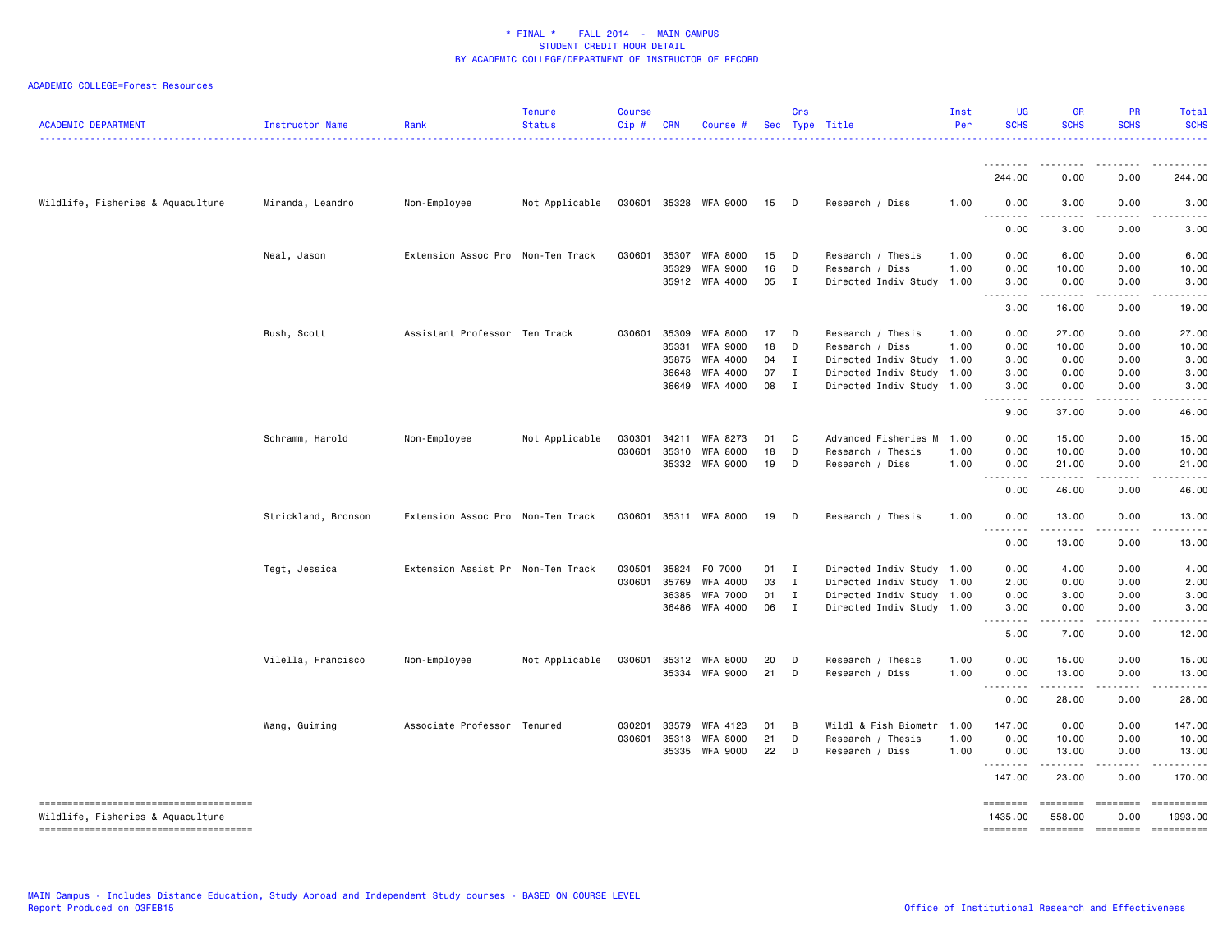| <b>ACADEMIC DEPARTMENT</b>                                                 | Instructor Name     | Rank                              | <b>Tenure</b><br><b>Status</b> | Course<br>Cip# | <b>CRN</b> | Course #        |    | Crs          | Sec Type Title            | Inst<br>Per | <b>UG</b><br><b>SCHS</b> | <b>GR</b><br><b>SCHS</b>                                                                                                                                                                                                                                                                                                                     | PR<br><b>SCHS</b> | Total<br><b>SCHS</b>                                                                                                                                                                                                                                                                                                                                                                                                                |
|----------------------------------------------------------------------------|---------------------|-----------------------------------|--------------------------------|----------------|------------|-----------------|----|--------------|---------------------------|-------------|--------------------------|----------------------------------------------------------------------------------------------------------------------------------------------------------------------------------------------------------------------------------------------------------------------------------------------------------------------------------------------|-------------------|-------------------------------------------------------------------------------------------------------------------------------------------------------------------------------------------------------------------------------------------------------------------------------------------------------------------------------------------------------------------------------------------------------------------------------------|
|                                                                            |                     |                                   |                                |                |            |                 |    |              |                           |             | <u>.</u><br>244.00       | $- - -$<br>0.00                                                                                                                                                                                                                                                                                                                              | 0.00              | 244.00                                                                                                                                                                                                                                                                                                                                                                                                                              |
| Wildlife, Fisheries & Aquaculture                                          | Miranda, Leandro    | Non-Employee                      | Not Applicable                 | 030601         |            | 35328 WFA 9000  | 15 | D            | Research / Diss           | 1.00        | 0.00                     | 3.00                                                                                                                                                                                                                                                                                                                                         | 0.00              | 3.00                                                                                                                                                                                                                                                                                                                                                                                                                                |
|                                                                            |                     |                                   |                                |                |            |                 |    |              |                           |             | 0.00                     | .<br>3.00                                                                                                                                                                                                                                                                                                                                    | 0.00              | 3.00                                                                                                                                                                                                                                                                                                                                                                                                                                |
|                                                                            | Neal, Jason         | Extension Assoc Pro Non-Ten Track |                                | 030601         | 35307      | <b>WFA 8000</b> | 15 | D            | Research / Thesis         | 1.00        | 0.00                     | 6.00                                                                                                                                                                                                                                                                                                                                         | 0.00              | 6.00                                                                                                                                                                                                                                                                                                                                                                                                                                |
|                                                                            |                     |                                   |                                |                | 35329      | <b>WFA 9000</b> | 16 | D            | Research / Diss           | 1.00        | 0.00                     | 10.00                                                                                                                                                                                                                                                                                                                                        | 0.00              | 10.00                                                                                                                                                                                                                                                                                                                                                                                                                               |
|                                                                            |                     |                                   |                                |                |            | 35912 WFA 4000  | 05 | $\mathbf{I}$ | Directed Indiv Study 1.00 |             | 3.00<br>.                | 0.00<br>$\frac{1}{2} \left( \begin{array}{ccc} 1 & 0 & 0 & 0 \\ 0 & 0 & 0 & 0 \\ 0 & 0 & 0 & 0 \\ 0 & 0 & 0 & 0 \\ 0 & 0 & 0 & 0 \\ 0 & 0 & 0 & 0 \\ 0 & 0 & 0 & 0 \\ 0 & 0 & 0 & 0 \\ 0 & 0 & 0 & 0 \\ 0 & 0 & 0 & 0 \\ 0 & 0 & 0 & 0 & 0 \\ 0 & 0 & 0 & 0 & 0 \\ 0 & 0 & 0 & 0 & 0 \\ 0 & 0 & 0 & 0 & 0 \\ 0 & 0 & 0 & 0 & 0 \\ 0 & 0 & 0$ | 0.00<br>.         | 3.00<br>.                                                                                                                                                                                                                                                                                                                                                                                                                           |
|                                                                            |                     |                                   |                                |                |            |                 |    |              |                           |             | 3.00                     | 16.00                                                                                                                                                                                                                                                                                                                                        | 0.00              | 19.00                                                                                                                                                                                                                                                                                                                                                                                                                               |
|                                                                            | Rush, Scott         | Assistant Professor Ten Track     |                                | 030601         | 35309      | <b>WFA 8000</b> | 17 | D            | Research / Thesis         | 1.00        | 0.00                     | 27.00                                                                                                                                                                                                                                                                                                                                        | 0.00              | 27.00                                                                                                                                                                                                                                                                                                                                                                                                                               |
|                                                                            |                     |                                   |                                |                | 35331      | <b>WFA 9000</b> | 18 | D            | Research / Diss           | 1.00        | 0.00                     | 10.00                                                                                                                                                                                                                                                                                                                                        | 0.00              | 10.00                                                                                                                                                                                                                                                                                                                                                                                                                               |
|                                                                            |                     |                                   |                                |                | 35875      | WFA 4000        | 04 | $\mathbf{I}$ | Directed Indiv Study 1.00 |             | 3.00                     | 0.00                                                                                                                                                                                                                                                                                                                                         | 0.00              | 3.00                                                                                                                                                                                                                                                                                                                                                                                                                                |
|                                                                            |                     |                                   |                                |                | 36648      | WFA 4000        | 07 | $\mathbf{I}$ | Directed Indiv Study      | 1.00        | 3.00                     | 0.00                                                                                                                                                                                                                                                                                                                                         | 0.00              | 3.00                                                                                                                                                                                                                                                                                                                                                                                                                                |
|                                                                            |                     |                                   |                                |                | 36649      | WFA 4000        | 08 | $\mathbf{I}$ | Directed Indiv Study 1.00 |             | 3.00<br>.                | 0.00<br>.                                                                                                                                                                                                                                                                                                                                    | 0.00<br>.         | 3.00                                                                                                                                                                                                                                                                                                                                                                                                                                |
|                                                                            |                     |                                   |                                |                |            |                 |    |              |                           |             | 9.00                     | 37.00                                                                                                                                                                                                                                                                                                                                        | 0.00              | 46.00                                                                                                                                                                                                                                                                                                                                                                                                                               |
|                                                                            | Schramm, Harold     | Non-Employee                      | Not Applicable                 | 030301         | 34211      | WFA 8273        | 01 | C            | Advanced Fisheries M      | 1.00        | 0.00                     | 15.00                                                                                                                                                                                                                                                                                                                                        | 0.00              | 15.00                                                                                                                                                                                                                                                                                                                                                                                                                               |
|                                                                            |                     |                                   |                                | 030601         | 35310      | <b>WFA 8000</b> | 18 | D            | Research / Thesis         | 1.00        | 0.00                     | 10.00                                                                                                                                                                                                                                                                                                                                        | 0.00              | 10.00                                                                                                                                                                                                                                                                                                                                                                                                                               |
|                                                                            |                     |                                   |                                |                | 35332      | WFA 9000        | 19 | D            | Research / Diss           | 1.00        | 0.00<br>-----            | 21.00<br>.                                                                                                                                                                                                                                                                                                                                   | 0.00              | 21.00                                                                                                                                                                                                                                                                                                                                                                                                                               |
|                                                                            |                     |                                   |                                |                |            |                 |    |              |                           |             | 0.00                     | 46.00                                                                                                                                                                                                                                                                                                                                        | 0.00              | 46.00                                                                                                                                                                                                                                                                                                                                                                                                                               |
|                                                                            | Strickland, Bronson | Extension Assoc Pro Non-Ten Track |                                | 030601         |            | 35311 WFA 8000  | 19 | D            | Research / Thesis         | 1.00        | 0.00                     | 13.00                                                                                                                                                                                                                                                                                                                                        | 0.00              | 13.00                                                                                                                                                                                                                                                                                                                                                                                                                               |
|                                                                            |                     |                                   |                                |                |            |                 |    |              |                           |             | .<br>0.00                | ------<br>13.00                                                                                                                                                                                                                                                                                                                              | -----<br>0.00     | 13.00                                                                                                                                                                                                                                                                                                                                                                                                                               |
|                                                                            | Tegt, Jessica       | Extension Assist Pr Non-Ten Track |                                | 030501         | 35824      | F0 7000         | 01 | $\mathbf{I}$ | Directed Indiv Study 1.00 |             | 0.00                     | 4.00                                                                                                                                                                                                                                                                                                                                         | 0.00              | 4.00                                                                                                                                                                                                                                                                                                                                                                                                                                |
|                                                                            |                     |                                   |                                | 030601         | 35769      | WFA 4000        | 03 | $\mathbf{I}$ | Directed Indiv Study      | 1.00        | 2.00                     | 0.00                                                                                                                                                                                                                                                                                                                                         | 0.00              | 2.00                                                                                                                                                                                                                                                                                                                                                                                                                                |
|                                                                            |                     |                                   |                                |                | 36385      | <b>WFA 7000</b> | 01 | $\mathbf{I}$ | Directed Indiv Study 1.00 |             | 0.00                     | 3.00                                                                                                                                                                                                                                                                                                                                         | 0.00              | 3.00                                                                                                                                                                                                                                                                                                                                                                                                                                |
|                                                                            |                     |                                   |                                |                | 36486      | WFA 4000        | 06 | $\mathbf{I}$ | Directed Indiv Study 1.00 |             | 3.00<br>.                | 0.00<br>.                                                                                                                                                                                                                                                                                                                                    | 0.00<br>.         | 3.00<br>.                                                                                                                                                                                                                                                                                                                                                                                                                           |
|                                                                            |                     |                                   |                                |                |            |                 |    |              |                           |             | 5.00                     | 7.00                                                                                                                                                                                                                                                                                                                                         | 0.00              | 12.00                                                                                                                                                                                                                                                                                                                                                                                                                               |
|                                                                            | Vilella, Francisco  | Non-Employee                      | Not Applicable                 | 030601         | 35312      | <b>WFA 8000</b> | 20 | D            | Research / Thesis         | 1.00        | 0.00                     | 15.00                                                                                                                                                                                                                                                                                                                                        | 0.00              | 15.00                                                                                                                                                                                                                                                                                                                                                                                                                               |
|                                                                            |                     |                                   |                                |                |            | 35334 WFA 9000  | 21 | D            | Research / Diss           | 1.00        | 0.00                     | 13.00                                                                                                                                                                                                                                                                                                                                        | 0.00              | 13.00                                                                                                                                                                                                                                                                                                                                                                                                                               |
|                                                                            |                     |                                   |                                |                |            |                 |    |              |                           |             | .<br>0.00                | 28.00                                                                                                                                                                                                                                                                                                                                        | 0.00              | 28.00                                                                                                                                                                                                                                                                                                                                                                                                                               |
|                                                                            | Wang, Guiming       | Associate Professor Tenured       |                                | 030201         | 33579      | WFA 4123        | 01 | В            | Wildl & Fish Biometr      | 1.00        | 147.00                   | 0.00                                                                                                                                                                                                                                                                                                                                         | 0.00              | 147.00                                                                                                                                                                                                                                                                                                                                                                                                                              |
|                                                                            |                     |                                   |                                | 030601         | 35313      | <b>WFA 8000</b> | 21 | D            | Research / Thesis         | 1.00        | 0.00                     | 10.00                                                                                                                                                                                                                                                                                                                                        | 0.00              | 10.00                                                                                                                                                                                                                                                                                                                                                                                                                               |
|                                                                            |                     |                                   |                                |                | 35335      | WFA 9000        | 22 | D            | Research / Diss           | 1.00        | 0.00<br><u>.</u>         | 13.00                                                                                                                                                                                                                                                                                                                                        | 0.00              | 13.00                                                                                                                                                                                                                                                                                                                                                                                                                               |
|                                                                            |                     |                                   |                                |                |            |                 |    |              |                           |             | 147,00                   | 23.00                                                                                                                                                                                                                                                                                                                                        | 0.00              | 170.00                                                                                                                                                                                                                                                                                                                                                                                                                              |
| -------------------------------------<br>Wildlife, Fisheries & Aquaculture |                     |                                   |                                |                |            |                 |    |              |                           |             | ========<br>1435.00      | <b>SEESSEES</b><br>558.00                                                                                                                                                                                                                                                                                                                    | ========<br>0.00  | 1993.00                                                                                                                                                                                                                                                                                                                                                                                                                             |
| --------------------------------------                                     |                     |                                   |                                |                |            |                 |    |              |                           |             | ========                 | ========                                                                                                                                                                                                                                                                                                                                     |                   | $\begin{minipage}{0.9\linewidth} \hspace*{-0.2cm} \textbf{1} & \textbf{2} & \textbf{3} & \textbf{5} & \textbf{6} & \textbf{7} & \textbf{8} \\ \textbf{1} & \textbf{2} & \textbf{3} & \textbf{5} & \textbf{5} & \textbf{7} & \textbf{8} & \textbf{8} \\ \textbf{3} & \textbf{4} & \textbf{5} & \textbf{5} & \textbf{6} & \textbf{7} & \textbf{8} & \textbf{9} & \textbf{1} \\ \textbf{5} & \textbf{5} & \textbf{6} & \textbf{7} & \$ |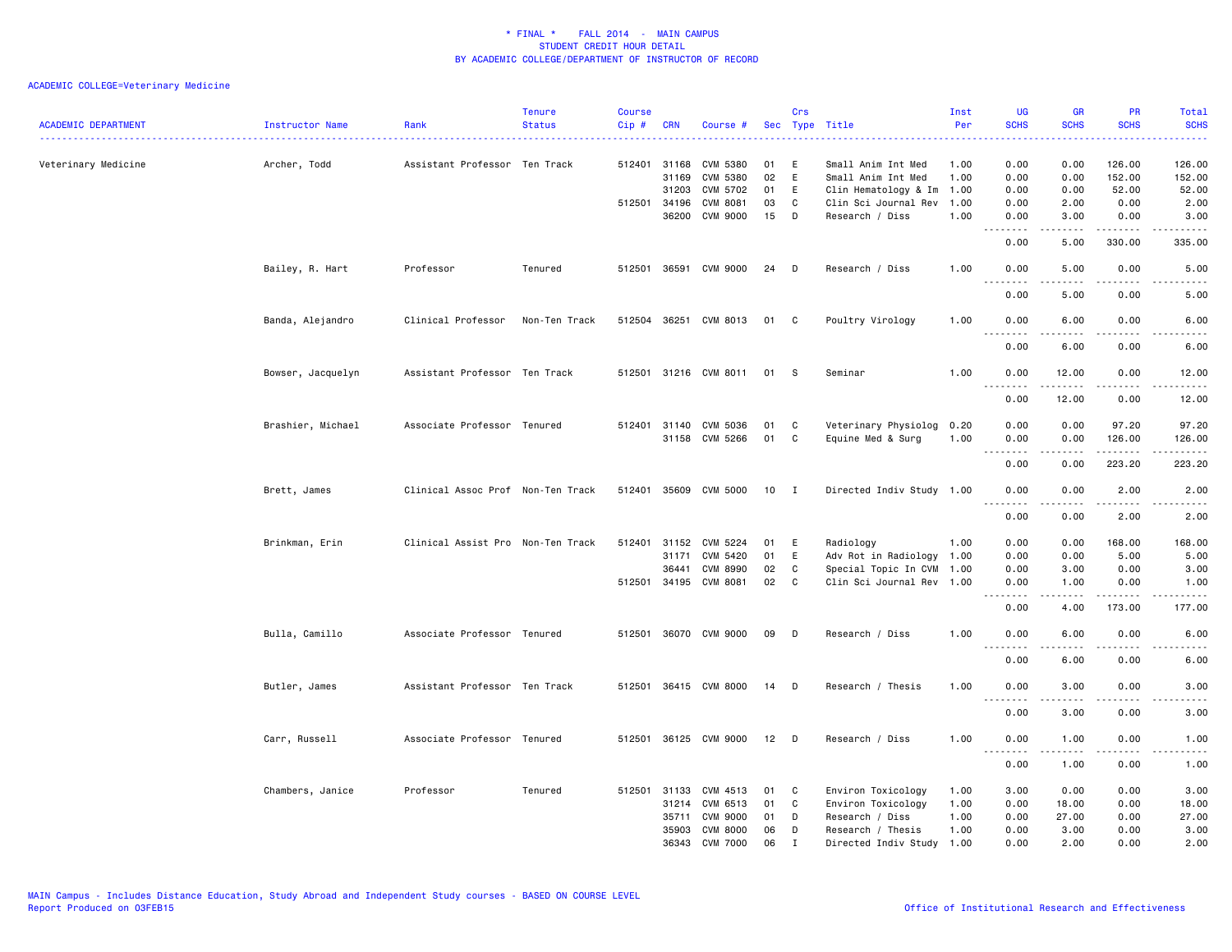| <b>ACADEMIC DEPARTMENT</b> | Instructor Name   | Rank                              | <b>Tenure</b><br><b>Status</b> | Course<br>Cip# | <b>CRN</b>            | Course #              |          | Crs          | Sec Type Title                               | Inst<br>Per  | <b>UG</b><br><b>SCHS</b><br>الدائد الدائد | <b>GR</b><br><b>SCHS</b>                                                                                            | PR<br><b>SCHS</b>            | <b>Total</b><br><b>SCHS</b><br>. |
|----------------------------|-------------------|-----------------------------------|--------------------------------|----------------|-----------------------|-----------------------|----------|--------------|----------------------------------------------|--------------|-------------------------------------------|---------------------------------------------------------------------------------------------------------------------|------------------------------|----------------------------------|
| Veterinary Medicine        | Archer, Todd      | Assistant Professor Ten Track     |                                |                | 512401 31168          | <b>CVM 5380</b>       | 01       | E            | Small Anim Int Med                           | 1.00         | 0.00                                      | 0.00                                                                                                                | 126.00                       | 126.00                           |
|                            |                   |                                   |                                |                | 31169                 | <b>CVM 5380</b>       | 02       | E            | Small Anim Int Med                           | 1.00         | 0.00                                      | 0.00                                                                                                                | 152.00                       | 152.00                           |
|                            |                   |                                   |                                |                | 31203<br>512501 34196 | CVM 5702<br>CVM 8081  | 01<br>03 | E<br>C       | Clin Hematology & Im<br>Clin Sci Journal Rev | 1.00<br>1.00 | 0.00<br>0.00                              | 0.00<br>2.00                                                                                                        | 52.00<br>0.00                | 52.00<br>2.00                    |
|                            |                   |                                   |                                |                | 36200                 | CVM 9000              | 15       | D            | Research / Diss                              | 1.00         | 0.00                                      | 3.00                                                                                                                | 0.00                         | 3.00                             |
|                            |                   |                                   |                                |                |                       |                       |          |              |                                              |              | وبالانا<br>$\sim$ $\sim$<br>0.00          | .<br>5.00                                                                                                           | -----<br>330.00              | د د د د د<br>335.00              |
|                            | Bailey, R. Hart   | Professor                         | Tenured                        |                | 512501 36591          | CVM 9000              | 24       | D            | Research / Diss                              | 1.00         | 0.00<br>.                                 | 5.00<br>$\begin{array}{cccccccccc} \bullet & \bullet & \bullet & \bullet & \bullet & \bullet & \bullet \end{array}$ | 0.00<br>22222                | 5.00<br>$    -$                  |
|                            |                   |                                   |                                |                |                       |                       |          |              |                                              |              | 0.00                                      | 5.00                                                                                                                | 0.00                         | 5.00                             |
|                            | Banda, Alejandro  | Clinical Professor                | Non-Ten Track                  |                | 512504 36251          | CVM 8013              | 01 C     |              | Poultry Virology                             | 1.00         | 0.00<br>د د د د<br>$\sim$ $\sim$ $\sim$   | 6.00                                                                                                                | 0.00<br>$- - -$              | 6.00<br>.                        |
|                            |                   |                                   |                                |                |                       |                       |          |              |                                              |              | 0.00                                      | 6.00                                                                                                                | 0.00                         | 6.00                             |
|                            | Bowser, Jacquelyn | Assistant Professor Ten Track     |                                |                |                       | 512501 31216 CVM 8011 | 01       | - S          | Seminar                                      | 1.00         | 0.00<br>$\sim$ $\sim$                     | 12.00                                                                                                               | 0.00                         | 12.00<br>.                       |
|                            |                   |                                   |                                |                |                       |                       |          |              |                                              |              | 0.00                                      | 12.00                                                                                                               | 0.00                         | 12.00                            |
|                            | Brashier, Michael | Associate Professor Tenured       |                                |                | 512401 31140          | CVM 5036              | 01       | C            | Veterinary Physiolog 0.20                    |              | 0.00                                      | 0.00                                                                                                                | 97.20                        | 97.20                            |
|                            |                   |                                   |                                |                |                       | 31158 CVM 5266        | 01       | $\mathbb{C}$ | Equine Med & Surg                            | 1.00         | 0.00                                      | 0.00                                                                                                                | 126.00                       | 126.00                           |
|                            |                   |                                   |                                |                |                       |                       |          |              |                                              |              | $- - - -$<br>$ -$<br>0.00                 | .<br>0.00                                                                                                           | 223.20                       | .<br>223.20                      |
|                            | Brett, James      | Clinical Assoc Prof Non-Ten Track |                                |                |                       | 512401 35609 CVM 5000 | 10 I     |              | Directed Indiv Study 1.00                    |              | 0.00<br>.<br>.                            | 0.00<br>.                                                                                                           | 2.00<br>$- - - -$            | 2.00<br>$\frac{1}{2}$            |
|                            |                   |                                   |                                |                |                       |                       |          |              |                                              |              | 0.00                                      | 0.00                                                                                                                | 2.00                         | 2.00                             |
|                            | Brinkman, Erin    | Clinical Assist Pro Non-Ten Track |                                |                |                       | 512401 31152 CVM 5224 | 01       | E            | Radiology                                    | 1.00         | 0.00                                      | 0.00                                                                                                                | 168.00                       | 168.00                           |
|                            |                   |                                   |                                |                | 31171                 | CVM 5420              | 01       | E            | Adv Rot in Radiology 1.00                    |              | 0.00                                      | 0.00                                                                                                                | 5.00                         | 5.00                             |
|                            |                   |                                   |                                |                | 36441                 | <b>CVM 8990</b>       | 02       | C            | Special Topic In CVM 1.00                    |              | 0.00                                      | 3.00                                                                                                                | 0.00                         | 3.00                             |
|                            |                   |                                   |                                |                | 512501 34195          | CVM 8081              | 02       | C            | Clin Sci Journal Rev 1.00                    |              | 0.00<br>.<br>$  -$                        | 1.00                                                                                                                | 0.00                         | 1.00<br>.                        |
|                            |                   |                                   |                                |                |                       |                       |          |              |                                              |              | 0.00                                      | 4.00                                                                                                                | 173.00                       | 177.00                           |
|                            | Bulla, Camillo    | Associate Professor Tenured       |                                |                |                       | 512501 36070 CVM 9000 | 09       | D            | Research / Diss                              | 1.00         | 0.00<br>$\sim$ $\sim$ $\sim$<br>د د د د   | 6.00<br>.                                                                                                           | 0.00<br>$\sim$ $\sim$ $\sim$ | 6.00<br>.                        |
|                            |                   |                                   |                                |                |                       |                       |          |              |                                              |              | 0.00                                      | 6.00                                                                                                                | 0.00                         | 6.00                             |
|                            | Butler, James     | Assistant Professor Ten Track     |                                |                |                       | 512501 36415 CVM 8000 | 14       | D            | Research / Thesis                            | 1.00         | 0.00<br>$\sim$ $\sim$ $\sim$<br>.         | 3.00<br>- - - - -                                                                                                   | 0.00<br>.                    | 3.00<br>.                        |
|                            |                   |                                   |                                |                |                       |                       |          |              |                                              |              | 0.00                                      | 3.00                                                                                                                | 0.00                         | 3.00                             |
|                            | Carr, Russell     | Associate Professor Tenured       |                                |                |                       | 512501 36125 CVM 9000 | 12       | D            | Research / Diss                              | 1.00         | 0.00<br>.                                 | 1.00<br>$\sim$ $\sim$ $\sim$ $\sim$ $\sim$                                                                          | 0.00<br>.                    | 1.00<br>-----                    |
|                            |                   |                                   |                                |                |                       |                       |          |              |                                              |              | 0.00                                      | 1.00                                                                                                                | 0.00                         | 1.00                             |
|                            | Chambers, Janice  | Professor                         | Tenured                        | 512501         | 31133                 | CVM 4513              | 01       | C            | Environ Toxicology                           | 1.00         | 3.00                                      | 0.00                                                                                                                | 0.00                         | 3.00                             |
|                            |                   |                                   |                                |                | 31214                 | CVM 6513              | 01       | C            | Environ Toxicology                           | 1.00         | 0.00                                      | 18.00                                                                                                               | 0.00                         | 18.00                            |
|                            |                   |                                   |                                |                | 35711                 | CVM 9000              | 01       | D            | Research / Diss                              | 1.00         | 0.00                                      | 27.00                                                                                                               | 0.00                         | 27.00                            |
|                            |                   |                                   |                                |                | 35903                 | <b>CVM 8000</b>       | 06       | D            | Research / Thesis                            | 1.00         | 0.00                                      | 3.00                                                                                                                | 0.00                         | 3.00                             |
|                            |                   |                                   |                                |                | 36343                 | <b>CVM 7000</b>       | 06       | $\mathbf I$  | Directed Indiv Study 1.00                    |              | 0.00                                      | 2.00                                                                                                                | 0.00                         | 2.00                             |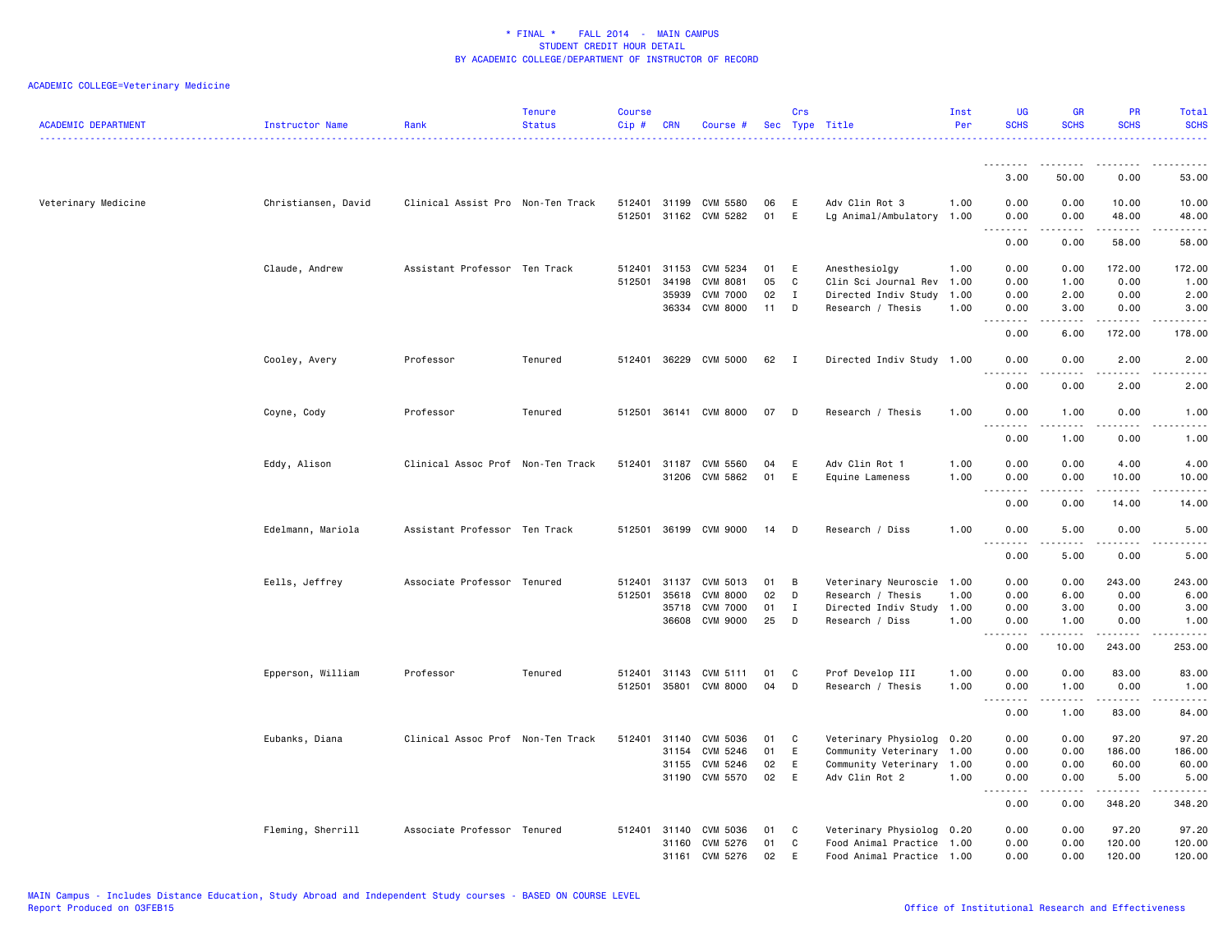| <b>ACADEMIC DEPARTMENT</b> | Instructor Name     | Rank                              | <b>Tenure</b><br><b>Status</b> | Course<br>Cip# | <b>CRN</b> | Course #                          |          | Crs               | Sec Type Title                              | Inst<br>Per | <b>UG</b><br><b>SCHS</b>     | <b>GR</b><br><b>SCHS</b> | PR<br><b>SCHS</b>                                                                                                                                                                       | Total<br><b>SCHS</b>                                                                                                                                         |
|----------------------------|---------------------|-----------------------------------|--------------------------------|----------------|------------|-----------------------------------|----------|-------------------|---------------------------------------------|-------------|------------------------------|--------------------------|-----------------------------------------------------------------------------------------------------------------------------------------------------------------------------------------|--------------------------------------------------------------------------------------------------------------------------------------------------------------|
|                            |                     |                                   |                                |                |            |                                   |          |                   |                                             |             |                              |                          |                                                                                                                                                                                         |                                                                                                                                                              |
|                            |                     |                                   |                                |                |            |                                   |          |                   |                                             |             | 3.00                         | 50.00                    | 0.00                                                                                                                                                                                    | 53.00                                                                                                                                                        |
| Veterinary Medicine        | Christiansen, David | Clinical Assist Pro Non-Ten Track |                                | 512401 31199   |            | CVM 5580<br>512501 31162 CVM 5282 | 06<br>01 | E<br>E            | Adv Clin Rot 3<br>Lg Animal/Ambulatory 1.00 | 1.00        | 0.00<br>0.00                 | 0.00<br>0.00             | 10.00<br>48.00                                                                                                                                                                          | 10.00<br>48.00                                                                                                                                               |
|                            |                     |                                   |                                |                |            |                                   |          |                   |                                             |             | .<br>0.00                    | 0.00                     | .<br>58.00                                                                                                                                                                              | $- - - - -$<br>58.00                                                                                                                                         |
|                            | Claude, Andrew      | Assistant Professor Ten Track     |                                | 512401 31153   |            | CVM 5234                          | 01       | E                 | Anesthesiolgy                               | 1.00        | 0.00                         | 0.00                     | 172.00                                                                                                                                                                                  | 172.00                                                                                                                                                       |
|                            |                     |                                   |                                | 512501         | 34198      | CVM 8081                          | 05       | C                 | Clin Sci Journal Rev                        | 1.00        | 0.00                         | 1.00                     | 0.00                                                                                                                                                                                    | 1.00                                                                                                                                                         |
|                            |                     |                                   |                                |                | 35939      | <b>CVM 7000</b>                   | 02       | $\mathbf{I}$<br>D | Directed Indiv Study 1.00                   |             | 0.00                         | 2.00                     | 0.00                                                                                                                                                                                    | 2.00                                                                                                                                                         |
|                            |                     |                                   |                                |                | 36334      | <b>CVM 8000</b>                   | 11       |                   | Research / Thesis                           | 1.00        | 0.00<br>$\sim$ $\sim$<br>.   | 3.00<br>.                | 0.00<br>.                                                                                                                                                                               | 3.00<br>.                                                                                                                                                    |
|                            |                     |                                   |                                |                |            |                                   |          |                   |                                             |             | 0.00                         | 6.00                     | 172.00                                                                                                                                                                                  | 178.00                                                                                                                                                       |
|                            | Cooley, Avery       | Professor                         | Tenured                        |                |            | 512401 36229 CVM 5000             | 62 I     |                   | Directed Indiv Study 1.00                   |             | 0.00<br>$\overline{a}$<br>.  | 0.00                     | 2.00<br>.                                                                                                                                                                               | 2.00<br>$\frac{1}{2} \left( \frac{1}{2} \right) \left( \frac{1}{2} \right) \left( \frac{1}{2} \right) \left( \frac{1}{2} \right) \left( \frac{1}{2} \right)$ |
|                            |                     |                                   |                                |                |            |                                   |          |                   |                                             |             | 0.00                         | 0.00                     | 2.00                                                                                                                                                                                    | 2.00                                                                                                                                                         |
|                            | Coyne, Cody         | Professor                         | Tenured                        |                |            | 512501 36141 CVM 8000             | 07       | D                 | Research / Thesis                           | 1.00        | 0.00<br>$\sim$ $\sim$ $\sim$ | 1.00<br>.                | 0.00<br>.                                                                                                                                                                               | 1.00<br>$\frac{1}{2}$                                                                                                                                        |
|                            |                     |                                   |                                |                |            |                                   |          |                   |                                             |             | 0.00                         | 1.00                     | 0.00                                                                                                                                                                                    | 1.00                                                                                                                                                         |
|                            | Eddy, Alison        | Clinical Assoc Prof Non-Ten Track |                                | 512401 31187   |            | CVM 5560                          | 04       | E                 | Adv Clin Rot 1                              | 1.00        | 0.00                         | 0.00                     | 4.00                                                                                                                                                                                    | 4.00                                                                                                                                                         |
|                            |                     |                                   |                                |                | 31206      | CVM 5862                          | 01       | E                 | Equine Lameness                             | 1.00        | 0.00                         | 0.00                     | 10.00                                                                                                                                                                                   | 10.00                                                                                                                                                        |
|                            |                     |                                   |                                |                |            |                                   |          |                   |                                             |             | $\sim$ $\sim$<br>0.00        | 0.00                     | 14.00                                                                                                                                                                                   | .<br>14.00                                                                                                                                                   |
|                            | Edelmann, Mariola   | Assistant Professor Ten Track     |                                | 512501 36199   |            | CVM 9000                          | 14       | D                 | Research / Diss                             | 1.00        | 0.00                         | 5.00                     | 0.00                                                                                                                                                                                    | 5.00                                                                                                                                                         |
|                            |                     |                                   |                                |                |            |                                   |          |                   |                                             |             | 0.00                         | 5.00                     | 0.00                                                                                                                                                                                    | 5.00                                                                                                                                                         |
|                            | Eells, Jeffrey      | Associate Professor Tenured       |                                | 512401         | 31137      | CVM 5013                          | 01       | В                 | Veterinary Neuroscie 1.00                   |             | 0.00                         | 0.00                     | 243.00                                                                                                                                                                                  | 243.00                                                                                                                                                       |
|                            |                     |                                   |                                | 512501         | 35618      | <b>CVM 8000</b>                   | 02       | D                 | Research / Thesis                           | 1.00        | 0.00                         | 6.00                     | 0.00                                                                                                                                                                                    | 6.00                                                                                                                                                         |
|                            |                     |                                   |                                |                | 35718      | <b>CVM 7000</b>                   | 01       | Ι.                | Directed Indiv Study                        | 1.00        | 0.00                         | 3.00                     | 0.00                                                                                                                                                                                    | 3.00                                                                                                                                                         |
|                            |                     |                                   |                                |                | 36608      | CVM 9000                          | 25       | D                 | Research / Diss                             | 1.00        | 0.00<br>.                    | 1.00<br>.                | 0.00<br>$\frac{1}{2} \left( \frac{1}{2} \right) \left( \frac{1}{2} \right) \left( \frac{1}{2} \right) \left( \frac{1}{2} \right) \left( \frac{1}{2} \right) \left( \frac{1}{2} \right)$ | 1.00<br>.                                                                                                                                                    |
|                            |                     |                                   |                                |                |            |                                   |          |                   |                                             |             | 0.00                         | 10.00                    | 243.00                                                                                                                                                                                  | 253.00                                                                                                                                                       |
|                            | Epperson, William   | Professor                         | Tenured                        | 512401         | 31143      | CVM 5111                          | 01       | C                 | Prof Develop III                            | 1.00        | 0.00                         | 0.00                     | 83.00                                                                                                                                                                                   | 83.00                                                                                                                                                        |
|                            |                     |                                   |                                |                |            | 512501 35801 CVM 8000             | 04       | D                 | Research / Thesis                           | 1.00        | 0.00<br>.                    | 1.00<br>.                | 0.00<br>$\frac{1}{2} \left( \frac{1}{2} \right) \left( \frac{1}{2} \right) \left( \frac{1}{2} \right) \left( \frac{1}{2} \right) \left( \frac{1}{2} \right)$                            | 1.00<br>.                                                                                                                                                    |
|                            |                     |                                   |                                |                |            |                                   |          |                   |                                             |             | $\sim$ $\sim$<br>0.00        | 1.00                     | 83.00                                                                                                                                                                                   | 84.00                                                                                                                                                        |
|                            | Eubanks, Diana      | Clinical Assoc Prof Non-Ten Track |                                | 512401         | 31140      | CVM 5036                          | 01       | C                 | Veterinary Physiolog 0.20                   |             | 0.00                         | 0.00                     | 97.20                                                                                                                                                                                   | 97.20                                                                                                                                                        |
|                            |                     |                                   |                                |                | 31154      | CVM 5246                          | 01       | E                 | Community Veterinary 1.00                   |             | 0.00                         | 0.00                     | 186.00                                                                                                                                                                                  | 186.00                                                                                                                                                       |
|                            |                     |                                   |                                |                | 31155      | CVM 5246                          | 02       | E                 | Community Veterinary 1.00                   |             | 0.00                         | 0.00                     | 60.00                                                                                                                                                                                   | 60.00                                                                                                                                                        |
|                            |                     |                                   |                                |                |            | 31190 CVM 5570                    | 02       | E                 | Adv Clin Rot 2                              | 1.00        | 0.00<br>.<br>$\sim$ $\sim$   | 0.00<br>$\frac{1}{2}$    | 5.00<br>.                                                                                                                                                                               | 5.00<br>.                                                                                                                                                    |
|                            |                     |                                   |                                |                |            |                                   |          |                   |                                             |             | 0.00                         | 0.00                     | 348.20                                                                                                                                                                                  | 348.20                                                                                                                                                       |
|                            | Fleming, Sherrill   | Associate Professor Tenured       |                                | 512401         | 31140      | CVM 5036                          | 01       | C                 | Veterinary Physiolog 0.20                   |             | 0.00                         | 0.00                     | 97.20                                                                                                                                                                                   | 97.20                                                                                                                                                        |
|                            |                     |                                   |                                |                | 31160      | CVM 5276                          | 01       | C                 | Food Animal Practice 1.00                   |             | 0.00                         | 0.00                     | 120.00                                                                                                                                                                                  | 120.00                                                                                                                                                       |
|                            |                     |                                   |                                |                | 31161      | CVM 5276                          | 02       | E                 | Food Animal Practice 1.00                   |             | 0.00                         | 0.00                     | 120.00                                                                                                                                                                                  | 120.00                                                                                                                                                       |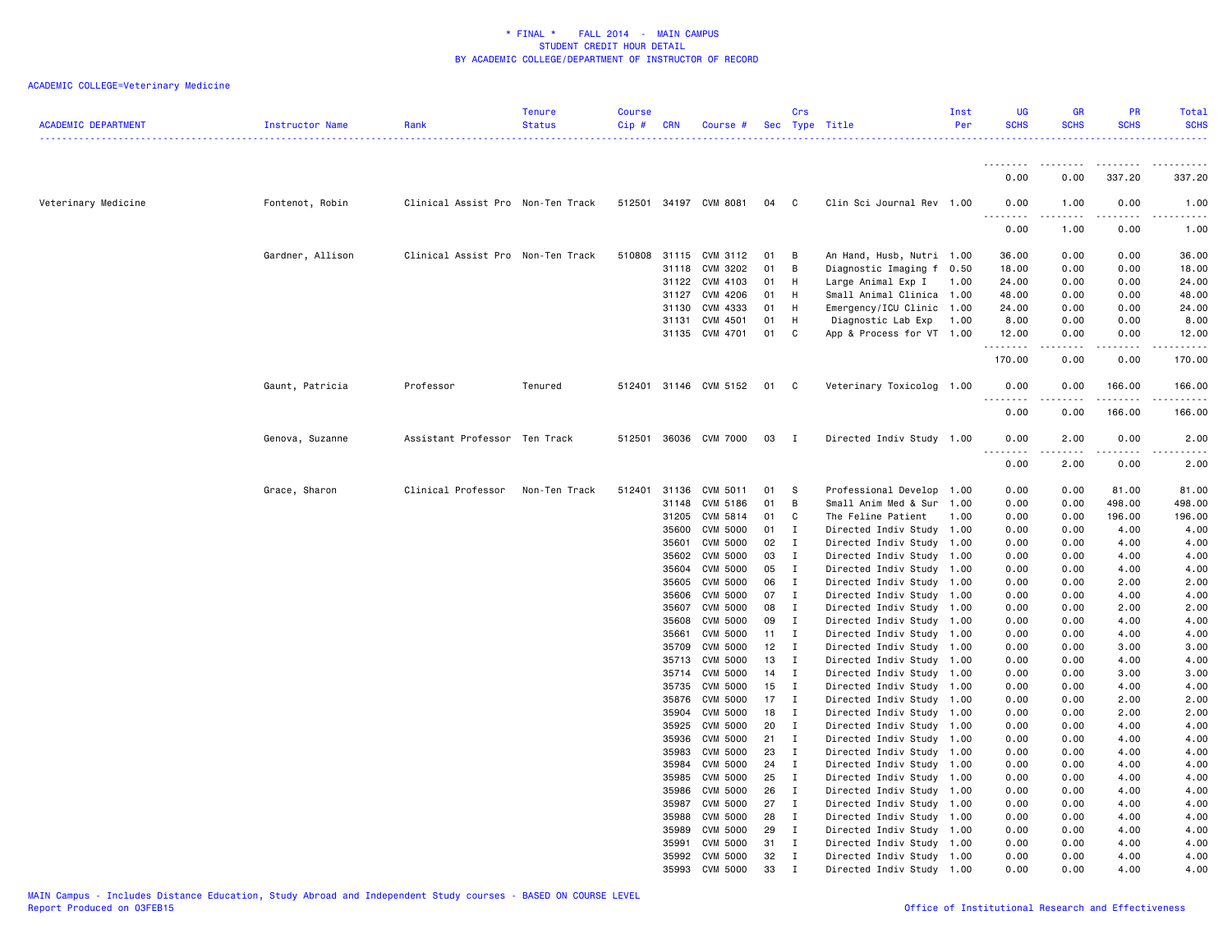| <b>ACADEMIC DEPARTMENT</b> | Instructor Name  | Rank                              | <b>Tenure</b><br><b>Status</b> | <b>Course</b><br>Cip # | <b>CRN</b>     | Course #                    |          | Crs                          | Sec Type Title                                    | Inst<br>Per | <b>UG</b><br><b>SCHS</b> | <b>GR</b><br><b>SCHS</b>            | PR<br><b>SCHS</b>                                                                                                                                                                         | <b>Total</b><br><b>SCHS</b>         |
|----------------------------|------------------|-----------------------------------|--------------------------------|------------------------|----------------|-----------------------------|----------|------------------------------|---------------------------------------------------|-------------|--------------------------|-------------------------------------|-------------------------------------------------------------------------------------------------------------------------------------------------------------------------------------------|-------------------------------------|
|                            |                  |                                   |                                |                        |                |                             |          |                              |                                                   |             |                          |                                     |                                                                                                                                                                                           |                                     |
|                            |                  |                                   |                                |                        |                |                             |          |                              |                                                   |             | 0.00                     | 0.00                                | 337.20                                                                                                                                                                                    | 337.20                              |
| Veterinary Medicine        | Fontenot, Robin  | Clinical Assist Pro Non-Ten Track |                                |                        |                | 512501 34197 CVM 8081       | 04       | C.                           | Clin Sci Journal Rev 1.00                         |             | 0.00                     | 1.00                                | 0.00                                                                                                                                                                                      | 1.00                                |
|                            |                  |                                   |                                |                        |                |                             |          |                              |                                                   |             | 0.00                     | 1.00                                | 0.00                                                                                                                                                                                      | 1.00                                |
|                            | Gardner, Allison | Clinical Assist Pro Non-Ten Track |                                |                        | 510808 31115   | CVM 3112                    | 01       | в                            | An Hand, Husb, Nutri 1.00                         |             | 36.00                    | 0.00                                | 0.00                                                                                                                                                                                      | 36.00                               |
|                            |                  |                                   |                                |                        | 31118          | CVM 3202                    | 01       | В                            | Diagnostic Imaging f                              | 0.50        | 18.00                    | 0.00                                | 0.00                                                                                                                                                                                      | 18.00                               |
|                            |                  |                                   |                                |                        | 31122          | CVM 4103                    | 01       | H                            | Large Animal Exp I                                | 1.00        | 24.00                    | 0.00                                | 0.00                                                                                                                                                                                      | 24.00                               |
|                            |                  |                                   |                                |                        | 31127          | CVM 4206                    | 01       | H                            | Small Animal Clinica 1.00                         |             | 48.00                    | 0.00                                | 0.00                                                                                                                                                                                      | 48.00                               |
|                            |                  |                                   |                                |                        | 31130          | CVM 4333                    | 01       | H                            | Emergency/ICU Clinic 1.00                         |             | 24.00                    | 0.00                                | 0.00                                                                                                                                                                                      | 24.00                               |
|                            |                  |                                   |                                |                        | 31131          | CVM 4501                    | 01       | н                            | Diagnostic Lab Exp                                | 1.00        | 8.00                     | 0.00                                | 0.00                                                                                                                                                                                      | 8.00                                |
|                            |                  |                                   |                                |                        | 31135          | CVM 4701                    | 01       | C                            | App & Process for VT 1.00                         |             | 12.00<br>.               | 0.00<br>$\sim$ $\sim$ $\sim$ $\sim$ | 0.00<br>.                                                                                                                                                                                 | 12.00<br>.                          |
|                            |                  |                                   |                                |                        |                |                             |          |                              |                                                   |             | 170.00                   | 0.00                                | 0.00                                                                                                                                                                                      | 170.00                              |
|                            | Gaunt, Patricia  | Professor                         | Tenured                        |                        |                | 512401 31146 CVM 5152       | 01       | C                            | Veterinary Toxicolog 1.00                         |             | 0.00                     | 0.00                                | 166.00<br>$\frac{1}{2} \left( \frac{1}{2} \right) \left( \frac{1}{2} \right) \left( \frac{1}{2} \right) \left( \frac{1}{2} \right) \left( \frac{1}{2} \right) \left( \frac{1}{2} \right)$ | 166.00<br>$\omega$ is a set of      |
|                            |                  |                                   |                                |                        |                |                             |          |                              |                                                   |             | 0.00                     | 0.00                                | 166.00                                                                                                                                                                                    | 166.00                              |
|                            | Genova, Suzanne  | Assistant Professor Ten Track     |                                | 512501                 |                | 36036 CVM 7000              | 03       | I                            | Directed Indiv Study 1.00                         |             | 0.00<br>المالم مالك      | 2.00<br>$\sim$ $\sim$ $\sim$ $\sim$ | 0.00<br>.                                                                                                                                                                                 | 2.00<br>$\sim$ $\sim$ $\sim$ $\sim$ |
|                            |                  |                                   |                                |                        |                |                             |          |                              |                                                   |             | 0.00                     | 2.00                                | 0.00                                                                                                                                                                                      | 2.00                                |
|                            | Grace, Sharon    | Clinical Professor                | Non-Ten Track                  | 512401                 | 31136          | CVM 5011                    | 01       | - S                          | Professional Develop 1.00                         |             | 0.00                     | 0.00                                | 81.00                                                                                                                                                                                     | 81.00                               |
|                            |                  |                                   |                                |                        | 31148          | CVM 5186                    | 01       | B                            | Small Anim Med & Sur                              | 1.00        | 0.00                     | 0.00                                | 498.00                                                                                                                                                                                    | 498.00                              |
|                            |                  |                                   |                                |                        | 31205          | CVM 5814                    | 01       | C                            | The Feline Patient                                | 1.00        | 0.00                     | 0.00                                | 196.00                                                                                                                                                                                    | 196.00                              |
|                            |                  |                                   |                                |                        | 35600          | CVM 5000                    | 01       | $\mathbf{I}$                 | Directed Indiv Study 1.00                         |             | 0.00                     | 0.00                                | 4.00                                                                                                                                                                                      | 4.00                                |
|                            |                  |                                   |                                |                        | 35601          | <b>CVM 5000</b>             | 02       | $\mathbf{I}$                 | Directed Indiv Study                              | 1.00        | 0.00                     | 0.00                                | 4.00                                                                                                                                                                                      | 4.00                                |
|                            |                  |                                   |                                |                        | 35602          | CVM 5000                    | 03       | $\mathbf{I}$                 | Directed Indiv Study 1.00                         |             | 0.00                     | 0.00                                | 4.00                                                                                                                                                                                      | 4.00                                |
|                            |                  |                                   |                                |                        | 35604          | CVM 5000                    | 05       | $\mathbf{I}$                 | Directed Indiv Study                              | 1.00        | 0.00                     | 0.00                                | 4.00                                                                                                                                                                                      | 4.00                                |
|                            |                  |                                   |                                |                        | 35605          | CVM 5000                    | 06       | $\mathbf{I}$                 | Directed Indiv Study 1.00                         |             | 0.00                     | 0.00                                | 2.00                                                                                                                                                                                      | 2.00                                |
|                            |                  |                                   |                                |                        | 35606          | <b>CVM 5000</b>             | 07       | $\mathbf{I}$                 | Directed Indiv Study                              | 1.00        | 0.00                     | 0.00                                | 4.00                                                                                                                                                                                      | 4.00                                |
|                            |                  |                                   |                                |                        | 35607          | <b>CVM 5000</b>             | 08       | $\mathbf{I}$                 | Directed Indiv Study 1.00                         |             | 0.00                     | 0.00                                | 2.00                                                                                                                                                                                      | 2.00                                |
|                            |                  |                                   |                                |                        | 35608<br>35661 | <b>CVM 5000</b><br>CVM 5000 | 09<br>11 | $\mathbf{I}$<br>$\mathbf{I}$ | Directed Indiv Study<br>Directed Indiv Study 1.00 | 1.00        | 0.00<br>0.00             | 0.00<br>0.00                        | 4.00<br>4.00                                                                                                                                                                              | 4.00<br>4.00                        |
|                            |                  |                                   |                                |                        | 35709          | CVM 5000                    | 12       | $\mathbf{I}$                 | Directed Indiv Study                              | 1.00        | 0.00                     | 0.00                                | 3.00                                                                                                                                                                                      | 3.00                                |
|                            |                  |                                   |                                |                        | 35713          | CVM 5000                    | 13       | $\mathbf{I}$                 | Directed Indiv Study 1.00                         |             | 0.00                     | 0.00                                | 4.00                                                                                                                                                                                      | 4.00                                |
|                            |                  |                                   |                                |                        | 35714          | CVM 5000                    | 14       | $\mathbf{I}$                 | Directed Indiv Study 1.00                         |             | 0.00                     | 0.00                                | 3.00                                                                                                                                                                                      | 3.00                                |
|                            |                  |                                   |                                |                        | 35735          | CVM 5000                    | 15       | $\mathbf{I}$                 | Directed Indiv Study 1.00                         |             | 0.00                     | 0.00                                | 4.00                                                                                                                                                                                      | 4.00                                |
|                            |                  |                                   |                                |                        | 35876          | CVM 5000                    | 17       | I                            | Directed Indiv Study 1.00                         |             | 0.00                     | 0.00                                | 2.00                                                                                                                                                                                      | 2.00                                |
|                            |                  |                                   |                                |                        | 35904          | CVM 5000                    | 18       | $\mathbf{I}$                 | Directed Indiv Study 1.00                         |             | 0.00                     | 0.00                                | 2.00                                                                                                                                                                                      | 2.00                                |
|                            |                  |                                   |                                |                        | 35925          | CVM 5000                    | 20       | $\mathbf{I}$                 | Directed Indiv Study 1.00                         |             | 0.00                     | 0.00                                | 4.00                                                                                                                                                                                      | 4.00                                |
|                            |                  |                                   |                                |                        | 35936          | CVM 5000                    | 21       | $\mathbf{I}$                 | Directed Indiv Study                              | 1.00        | 0.00                     | 0.00                                | 4.00                                                                                                                                                                                      | 4.00                                |
|                            |                  |                                   |                                |                        | 35983          | CVM 5000                    | 23       | $\mathbf{I}$                 | Directed Indiv Study 1.00                         |             | 0.00                     | 0.00                                | 4.00                                                                                                                                                                                      | 4.00                                |
|                            |                  |                                   |                                |                        | 35984          | <b>CVM 5000</b>             | 24       | $\mathbf{I}$                 | Directed Indiv Study 1.00                         |             | 0.00                     | 0.00                                | 4.00                                                                                                                                                                                      | 4.00                                |
|                            |                  |                                   |                                |                        | 35985          | <b>CVM 5000</b>             | 25       | $\mathbf{I}$                 | Directed Indiv Study 1.00                         |             | 0.00                     | 0.00                                | 4.00                                                                                                                                                                                      | 4.00                                |
|                            |                  |                                   |                                |                        | 35986          | <b>CVM 5000</b>             | 26       | $\mathbf{I}$                 | Directed Indiv Study                              | 1.00        | 0.00                     | 0.00                                | 4.00                                                                                                                                                                                      | 4.00                                |
|                            |                  |                                   |                                |                        | 35987          | CVM 5000                    | 27       | $\mathbf{I}$                 | Directed Indiv Study 1.00                         |             | 0.00                     | 0.00                                | 4.00                                                                                                                                                                                      | 4.00                                |
|                            |                  |                                   |                                |                        | 35988          | <b>CVM 5000</b>             | 28       | $\mathbf{I}$                 | Directed Indiv Study                              | 1.00        | 0.00                     | 0.00                                | 4.00                                                                                                                                                                                      | 4.00                                |
|                            |                  |                                   |                                |                        | 35989          | <b>CVM 5000</b>             | 29       | $\mathbf{I}$                 | Directed Indiv Study 1.00                         |             | 0.00                     | 0.00                                | 4.00                                                                                                                                                                                      | 4.00                                |
|                            |                  |                                   |                                |                        | 35991          | <b>CVM 5000</b>             | 31       | $\bf{I}$                     | Directed Indiv Study                              | 1.00        | 0.00                     | 0.00                                | 4.00                                                                                                                                                                                      | 4.00                                |
|                            |                  |                                   |                                |                        | 35992          | CVM 5000                    | 32<br>33 | $\mathbf{I}$                 | Directed Indiv Study 1.00                         |             | 0.00<br>0.00             | 0.00<br>0.00                        | 4.00<br>4.00                                                                                                                                                                              | 4.00<br>4.00                        |
|                            |                  |                                   |                                |                        | 35993          | CVM 5000                    |          | Ι.                           | Directed Indiv Study 1.00                         |             |                          |                                     |                                                                                                                                                                                           |                                     |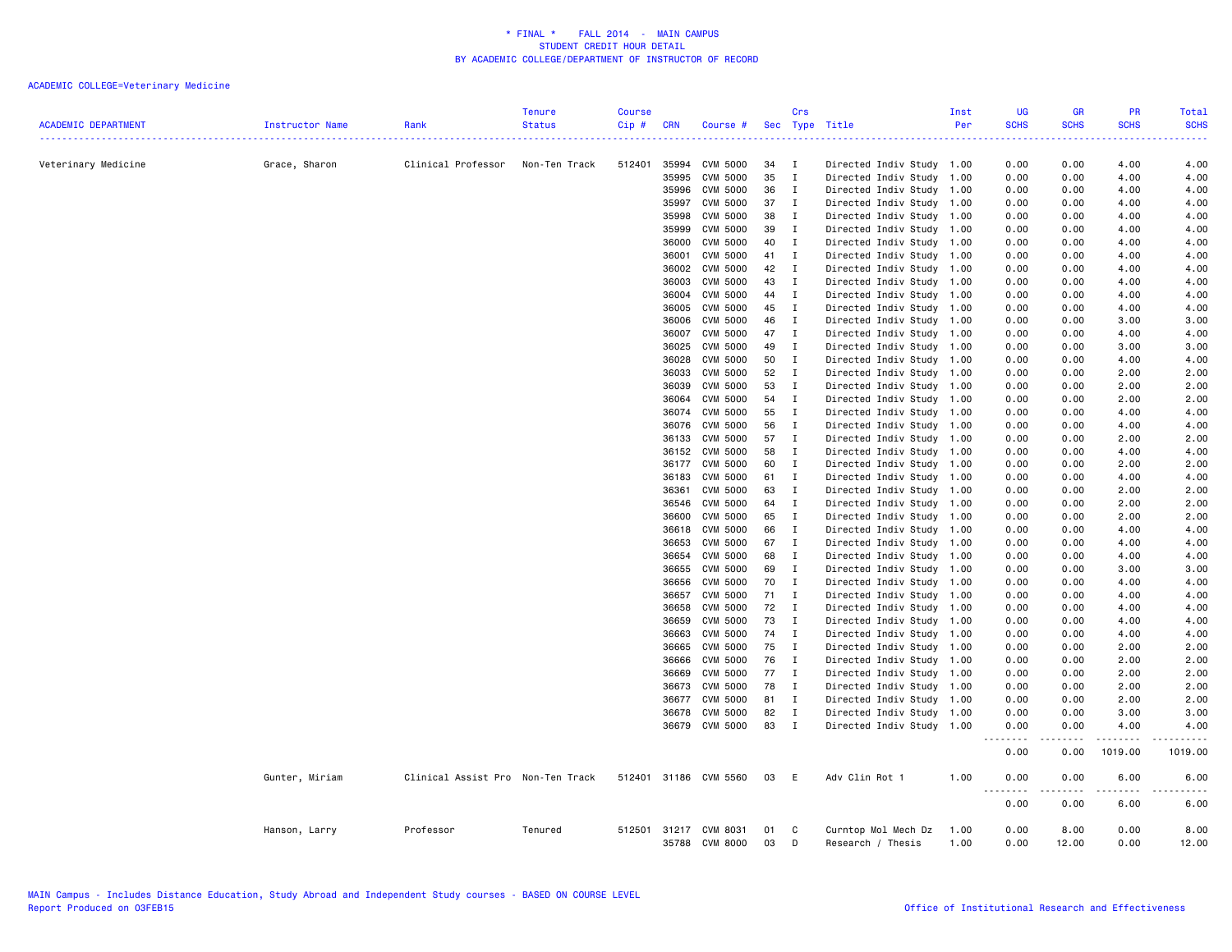| <b>ACADEMIC DEPARTMENT</b> | Instructor Name | Rank                              | <b>Tenure</b><br><b>Status</b> | <b>Course</b><br>$Cip$ # | <b>CRN</b>     | Course #                    |          | Crs                | Sec Type Title                                         | Inst<br>Per | <b>UG</b><br><b>SCHS</b> | <b>GR</b><br><b>SCHS</b> | <b>PR</b><br><b>SCHS</b> | Total<br><b>SCHS</b>  |
|----------------------------|-----------------|-----------------------------------|--------------------------------|--------------------------|----------------|-----------------------------|----------|--------------------|--------------------------------------------------------|-------------|--------------------------|--------------------------|--------------------------|-----------------------|
| Veterinary Medicine        | Grace, Sharon   | Clinical Professor                | Non-Ten Track                  | 512401                   | 35994          | <b>CVM 5000</b>             | 34       | Ι.                 | Directed Indiv Study 1.00                              |             | 0.00                     | 0.00                     | 4.00                     | 4.00                  |
|                            |                 |                                   |                                |                          | 35995          | CVM 5000                    | 35       | $\mathbf{I}$       | Directed Indiv Study 1.00                              |             | 0.00                     | 0.00                     | 4.00                     | 4.00                  |
|                            |                 |                                   |                                |                          | 35996          | <b>CVM 5000</b>             | 36       | $\mathbf{I}$       | Directed Indiv Study 1.00                              |             | 0.00                     | 0.00                     | 4.00                     | 4.00                  |
|                            |                 |                                   |                                |                          | 35997          | <b>CVM 5000</b>             | 37       | I                  | Directed Indiv Study 1.00                              |             | 0.00                     | 0.00                     | 4.00                     | 4.00                  |
|                            |                 |                                   |                                |                          | 35998          | CVM 5000                    | 38       | Ι.                 | Directed Indiv Study 1.00                              |             | 0.00                     | 0.00                     | 4.00                     | 4.00                  |
|                            |                 |                                   |                                |                          | 35999          | <b>CVM 5000</b>             | 39       | $\mathbf{I}$       | Directed Indiv Study 1.00                              |             | 0.00                     | 0.00                     | 4.00                     | 4.00                  |
|                            |                 |                                   |                                |                          | 36000          | CVM 5000                    | 40       | I                  | Directed Indiv Study 1.00                              |             | 0.00                     | 0.00                     | 4.00                     | 4.00                  |
|                            |                 |                                   |                                |                          | 36001          | <b>CVM 5000</b>             | 41       | I                  | Directed Indiv Study 1.00                              |             | 0.00                     | 0.00                     | 4.00                     | 4.00                  |
|                            |                 |                                   |                                |                          | 36002          | CVM 5000                    | 42       | $\mathbf{I}$       | Directed Indiv Study 1.00                              |             | 0.00                     | 0.00                     | 4.00                     | 4.00                  |
|                            |                 |                                   |                                |                          | 36003          | CVM 5000                    | 43       | I                  | Directed Indiv Study 1.00                              |             | 0.00                     | 0.00                     | 4.00                     | 4.00                  |
|                            |                 |                                   |                                |                          | 36004          | <b>CVM 5000</b>             | 44       | $\mathbf{I}$       | Directed Indiv Study 1.00                              |             | 0.00                     | 0.00                     | 4.00                     | 4.00                  |
|                            |                 |                                   |                                |                          | 36005          | <b>CVM 5000</b>             | 45       | $\mathbf{I}$       | Directed Indiv Study 1.00                              |             | 0.00                     | 0.00                     | 4.00                     | 4.00                  |
|                            |                 |                                   |                                |                          | 36006          | <b>CVM 5000</b>             | 46       | $\mathbf I$        | Directed Indiv Study 1.00                              |             | 0.00                     | 0.00                     | 3.00                     | 3.00                  |
|                            |                 |                                   |                                |                          | 36007          | <b>CVM 5000</b>             | 47       | $\mathbf I$        | Directed Indiv Study 1.00                              |             | 0.00                     | 0.00                     | 4.00                     | 4.00                  |
|                            |                 |                                   |                                |                          | 36025          | CVM 5000                    | 49       | $\mathbf I$        | Directed Indiv Study 1.00                              |             | 0.00                     | 0.00                     | 3.00                     | 3.00                  |
|                            |                 |                                   |                                |                          | 36028          | <b>CVM 5000</b>             | 50       | $\mathbf{I}$       | Directed Indiv Study 1.00                              |             | 0.00                     | 0.00                     | 4.00                     | 4.00                  |
|                            |                 |                                   |                                |                          | 36033          | <b>CVM 5000</b>             | 52       | I                  | Directed Indiv Study 1.00                              |             | 0.00                     | 0.00                     | 2.00                     | 2.00                  |
|                            |                 |                                   |                                |                          | 36039          | CVM 5000                    | 53       | Ι.                 | Directed Indiv Study 1.00                              |             | 0.00                     | 0.00                     | 2.00                     | 2.00                  |
|                            |                 |                                   |                                |                          | 36064          | <b>CVM 5000</b>             | 54       | $\mathbf{I}$       | Directed Indiv Study 1.00                              |             | 0.00                     | 0.00                     | 2.00                     | 2.00                  |
|                            |                 |                                   |                                |                          | 36074          | <b>CVM 5000</b>             | 55       | I                  | Directed Indiv Study 1.00                              |             | 0.00                     | 0.00                     | 4.00                     | 4.00                  |
|                            |                 |                                   |                                |                          | 36076          | CVM 5000                    | 56       | I                  | Directed Indiv Study 1.00                              |             | 0.00                     | 0.00                     | 4.00                     | 4.00                  |
|                            |                 |                                   |                                |                          | 36133          | <b>CVM 5000</b>             | 57       | $\mathbf{I}$       | Directed Indiv Study 1.00                              |             | 0.00                     | 0.00                     | 2.00                     | 2.00                  |
|                            |                 |                                   |                                |                          | 36152          | CVM 5000                    | 58       | I                  | Directed Indiv Study 1.00                              |             | 0.00                     | 0.00                     | 4.00                     | 4.00                  |
|                            |                 |                                   |                                |                          | 36177          | <b>CVM 5000</b>             | 60       | $\mathbf I$        | Directed Indiv Study 1.00                              |             | 0.00                     | 0.00                     | 2.00                     | 2.00                  |
|                            |                 |                                   |                                |                          | 36183          | CVM 5000                    | 61       | $\mathbf I$        | Directed Indiv Study 1.00                              |             | 0.00                     | 0.00                     | 4.00                     | 4.00                  |
|                            |                 |                                   |                                |                          | 36361          | <b>CVM 5000</b>             | 63       | I                  | Directed Indiv Study 1.00                              |             | 0.00                     | 0.00                     | 2.00                     | 2.00                  |
|                            |                 |                                   |                                |                          | 36546          | CVM 5000                    | 64       | I                  | Directed Indiv Study 1.00                              |             | 0.00                     | 0.00                     | 2.00                     | 2.00                  |
|                            |                 |                                   |                                |                          | 36600          | CVM 5000                    | 65       | $\mathbf I$        | Directed Indiv Study 1.00                              |             | 0.00                     | 0.00                     | 2.00                     | 2.00                  |
|                            |                 |                                   |                                |                          | 36618          | CVM 5000                    | 66       | I                  | Directed Indiv Study 1.00                              |             | 0.00                     | 0.00                     | 4.00                     | 4.00                  |
|                            |                 |                                   |                                |                          | 36653          | CVM 5000                    | 67       | $\mathbf I$        | Directed Indiv Study 1.00                              |             | 0.00                     | 0.00                     | 4.00                     | 4.00                  |
|                            |                 |                                   |                                |                          | 36654          | CVM 5000                    | 68       | $\mathbf I$        | Directed Indiv Study 1.00                              |             | 0.00                     | 0.00                     | 4.00                     | 4.00                  |
|                            |                 |                                   |                                |                          | 36655          | CVM 5000                    | 69       | $\mathbf{I}$       | Directed Indiv Study 1.00                              |             | 0.00                     | 0.00                     | 3.00                     | 3.00                  |
|                            |                 |                                   |                                |                          | 36656          | <b>CVM 5000</b>             | 70       | I                  | Directed Indiv Study 1.00                              |             | 0.00                     | 0.00                     | 4.00                     | 4.00                  |
|                            |                 |                                   |                                |                          | 36657<br>36658 | CVM 5000                    | 71       | Ι.<br>$\mathbf{I}$ | Directed Indiv Study 1.00                              |             | 0.00                     | 0.00<br>0.00             | 4.00<br>4.00             | 4.00                  |
|                            |                 |                                   |                                |                          |                | <b>CVM 5000</b><br>CVM 5000 | 72       | I                  | Directed Indiv Study 1.00                              |             | 0.00                     |                          |                          | 4.00                  |
|                            |                 |                                   |                                |                          | 36659<br>36663 | CVM 5000                    | 73<br>74 | $\mathbf I$        | Directed Indiv Study 1.00<br>Directed Indiv Study 1.00 |             | 0.00<br>0.00             | 0.00<br>0.00             | 4.00<br>4.00             | 4.00<br>4.00          |
|                            |                 |                                   |                                |                          | 36665          | CVM 5000                    | 75       | $\mathbf{I}$       |                                                        |             | 0.00                     | 0.00                     | 2.00                     |                       |
|                            |                 |                                   |                                |                          | 36666          | CVM 5000                    | 76       | I                  | Directed Indiv Study 1.00<br>Directed Indiv Study 1.00 |             | 0.00                     | 0.00                     | 2.00                     | 2.00<br>2.00          |
|                            |                 |                                   |                                |                          | 36669          | CVM 5000                    | 77       | I                  | Directed Indiv Study 1.00                              |             | 0.00                     | 0.00                     | 2.00                     | 2.00                  |
|                            |                 |                                   |                                |                          | 36673          | CVM 5000                    | 78       | $\mathbf{I}$       | Directed Indiv Study 1.00                              |             | 0.00                     | 0.00                     | 2.00                     | 2.00                  |
|                            |                 |                                   |                                |                          | 36677          | <b>CVM 5000</b>             | 81       | $\mathbf I$        | Directed Indiv Study 1.00                              |             | 0.00                     | 0.00                     | 2.00                     | 2.00                  |
|                            |                 |                                   |                                |                          |                | 36678 CVM 5000              | 82       | I                  | Directed Indiv Study 1.00                              |             | 0.00                     | 0.00                     | 3.00                     | 3.00                  |
|                            |                 |                                   |                                |                          |                | 36679 CVM 5000              | 83       | $\mathbf{I}$       | Directed Indiv Study 1.00                              |             | 0.00                     | 0.00                     | 4.00                     | 4.00                  |
|                            |                 |                                   |                                |                          |                |                             |          |                    |                                                        |             | .<br>0.00                | 0.00                     | . <u>.</u> .<br>1019.00  | . <b>.</b><br>1019.00 |
|                            | Gunter, Miriam  | Clinical Assist Pro Non-Ten Track |                                |                          |                | 512401 31186 CVM 5560       | 03       | E                  | Adv Clin Rot 1                                         | 1.00        | 0.00                     | 0.00                     | 6.00                     | 6.00                  |
|                            |                 |                                   |                                |                          |                |                             |          |                    |                                                        |             | .                        | $- - - -$                | .                        | $- - - -$             |
|                            |                 |                                   |                                |                          |                |                             |          |                    |                                                        |             | 0.00                     | 0.00                     | 6.00                     | 6.00                  |
|                            | Hanson, Larry   | Professor                         | Tenured                        |                          |                | 512501 31217 CVM 8031       | 01       | C                  | Curntop Mol Mech Dz                                    | 1.00        | 0.00                     | 8.00                     | 0.00                     | 8.00                  |
|                            |                 |                                   |                                |                          | 35788          | <b>CVM 8000</b>             | 03       | D                  | Research / Thesis                                      | 1.00        | 0.00                     | 12.00                    | 0.00                     | 12.00                 |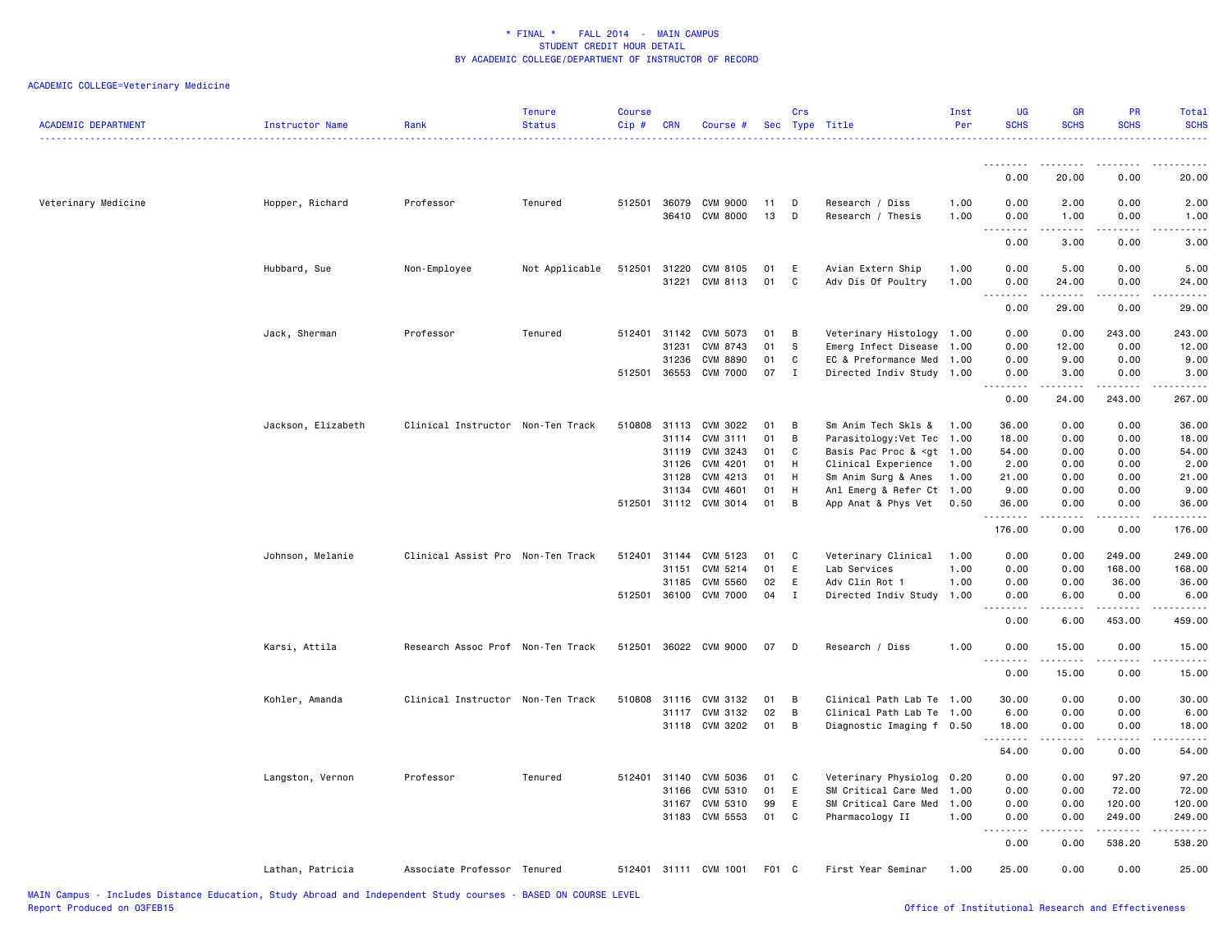| <b>ACADEMIC DEPARTMENT</b> | <b>Instructor Name</b> | Rank                              | <b>Tenure</b><br><b>Status</b> | <b>Course</b><br>$Cip \#$ | <b>CRN</b>                       | Course #                                            |                      | Crs                        | Sec Type Title                                                                                                   | Inst<br>Per          | <b>UG</b><br><b>SCHS</b>                                    | GR<br><b>SCHS</b>                                                                                                                                                                    | PR<br><b>SCHS</b>                                | <b>Total</b><br><b>SCHS</b><br>.                                                                                                                                                        |
|----------------------------|------------------------|-----------------------------------|--------------------------------|---------------------------|----------------------------------|-----------------------------------------------------|----------------------|----------------------------|------------------------------------------------------------------------------------------------------------------|----------------------|-------------------------------------------------------------|--------------------------------------------------------------------------------------------------------------------------------------------------------------------------------------|--------------------------------------------------|-----------------------------------------------------------------------------------------------------------------------------------------------------------------------------------------|
|                            |                        |                                   |                                |                           |                                  |                                                     |                      |                            |                                                                                                                  |                      | <u>.</u>                                                    | . <b>.</b>                                                                                                                                                                           | $\frac{1}{2}$                                    | .                                                                                                                                                                                       |
|                            |                        |                                   |                                |                           |                                  |                                                     |                      |                            |                                                                                                                  |                      | 0.00                                                        | 20.00                                                                                                                                                                                | 0.00                                             | 20.00                                                                                                                                                                                   |
| Veterinary Medicine        | Hopper, Richard        | Professor                         | Tenured                        | 512501                    | 36079<br>36410                   | CVM 9000<br><b>CVM 8000</b>                         | 11<br>13             | D<br>D                     | Research / Diss<br>Research / Thesis                                                                             | 1.00<br>1.00         | 0.00<br>0.00                                                | 2.00<br>1.00                                                                                                                                                                         | 0.00<br>0.00                                     | 2.00<br>1.00                                                                                                                                                                            |
|                            |                        |                                   |                                |                           |                                  |                                                     |                      |                            |                                                                                                                  |                      | $\sim$ $\sim$ $\sim$<br>.<br>0.00                           | 3.00                                                                                                                                                                                 | 0.00                                             | .<br>3.00                                                                                                                                                                               |
|                            | Hubbard, Sue           | Non-Employee                      | Not Applicable                 | 512501                    | 31220<br>31221                   | CVM 8105<br>CVM 8113                                | 01<br>01             | Ε<br>C                     | Avian Extern Ship<br>Adv Dis Of Poultry                                                                          | 1.00<br>1.00         | 0.00<br>0.00<br>$\sim$ $\sim$ $\sim$<br>-----               | 5.00<br>24.00<br>.                                                                                                                                                                   | 0.00<br>0.00<br>.                                | 5.00<br>24.00<br>.                                                                                                                                                                      |
|                            |                        |                                   |                                |                           |                                  |                                                     |                      |                            |                                                                                                                  |                      | 0.00                                                        | 29.00                                                                                                                                                                                | 0.00                                             | 29.00                                                                                                                                                                                   |
|                            | Jack, Sherman          | Professor                         | Tenured                        | 512401<br>512501          | 31142<br>31231<br>31236<br>36553 | CVM 5073<br>CVM 8743<br>CVM 8890<br><b>CVM 7000</b> | 01<br>01<br>01<br>07 | В<br>s<br>C<br>$\mathbf I$ | Veterinary Histology 1.00<br>Emerg Infect Disease 1.00<br>EC & Preformance Med 1.00<br>Directed Indiv Study 1.00 |                      | 0.00<br>0.00<br>0.00<br>0.00                                | 0.00<br>12.00<br>9.00<br>3.00                                                                                                                                                        | 243.00<br>0.00<br>0.00<br>0.00                   | 243.00<br>12.00<br>9.00<br>3.00                                                                                                                                                         |
|                            |                        |                                   |                                |                           |                                  |                                                     |                      |                            |                                                                                                                  |                      | $\sim$ $\sim$ $\sim$<br>0.00                                | 24.00                                                                                                                                                                                | 243.00                                           | .<br>267.00                                                                                                                                                                             |
|                            | Jackson, Elizabeth     | Clinical Instructor Non-Ten Track |                                | 510808                    | 31113<br>31114<br>31119<br>31126 | CVM 3022<br>CVM 3111<br>CVM 3243<br>CVM 4201        | 01<br>01<br>01<br>01 | В<br>В<br>С<br>н           | Sm Anim Tech Skls &<br>Parasitology: Vet Tec 1.00<br>Basis Pac Proc & <gt 1.00<br="">Clinical Experience</gt>    | 1.00<br>1.00         | 36.00<br>18.00<br>54.00<br>2.00                             | 0.00<br>0.00<br>0.00<br>0.00                                                                                                                                                         | 0.00<br>0.00<br>0.00<br>0.00                     | 36.00<br>18.00<br>54.00<br>2.00                                                                                                                                                         |
|                            |                        |                                   |                                |                           | 31128<br>31134                   | CVM 4213<br>CVM 4601<br>512501 31112 CVM 3014       | 01<br>01<br>01       | н<br>н<br>B                | Sm Anim Surg & Anes<br>Anl Emerg & Refer Ct 1.00<br>App Anat & Phys Vet 0.50                                     | 1.00                 | 21.00<br>9.00<br>36.00                                      | 0.00<br>0.00<br>0.00                                                                                                                                                                 | 0.00<br>0.00<br>0.00                             | 21.00<br>9.00<br>36.00                                                                                                                                                                  |
|                            |                        |                                   |                                |                           |                                  |                                                     |                      |                            |                                                                                                                  |                      | .<br>176.00                                                 | $\frac{1}{2}$<br>0.00                                                                                                                                                                | .<br>0.00                                        | .<br>176.00                                                                                                                                                                             |
|                            | Johnson, Melanie       | Clinical Assist Pro Non-Ten Track |                                | 512401<br>512501          | 31144<br>31151<br>31185          | CVM 5123<br>CVM 5214<br>CVM 5560<br>36100 CVM 7000  | 01<br>01<br>02<br>04 | C<br>E<br>E<br>$\mathbf I$ | Veterinary Clinical<br>Lab Services<br>Adv Clin Rot 1<br>Directed Indiv Study 1.00                               | 1.00<br>1.00<br>1.00 | 0.00<br>0.00<br>0.00<br>0.00<br>وبالماء<br>0.00             | 0.00<br>0.00<br>0.00<br>6.00<br>6.00                                                                                                                                                 | 249.00<br>168.00<br>36.00<br>0.00<br>.<br>453.00 | 249.00<br>168.00<br>36.00<br>6.00<br>.<br>459.00                                                                                                                                        |
|                            | Karsi, Attila          | Research Assoc Prof Non-Ten Track |                                |                           |                                  | 512501 36022 CVM 9000                               | 07                   | D                          | Research / Diss                                                                                                  | 1.00                 | 0.00                                                        | 15.00                                                                                                                                                                                | 0.00                                             | 15.00                                                                                                                                                                                   |
|                            |                        |                                   |                                |                           |                                  |                                                     |                      |                            |                                                                                                                  |                      | $\sim$ $\sim$ $\sim$<br>والمحامر<br>0.00                    | $\frac{1}{2}$<br>15.00                                                                                                                                                               | $\frac{1}{2}$<br>0.00                            | د د د د د<br>15.00                                                                                                                                                                      |
|                            | Kohler, Amanda         | Clinical Instructor Non-Ten Track |                                | 510808                    | 31116<br>31117<br>31118          | CVM 3132<br>CVM 3132<br>CVM 3202                    | 01<br>02<br>01       | В<br>В<br>В                | Clinical Path Lab Te 1.00<br>Clinical Path Lab Te 1.00<br>Diagnostic Imaging f 0.50                              |                      | 30.00<br>6.00<br>18.00<br>.<br>54.00                        | 0.00<br>0.00<br>0.00<br>0.00                                                                                                                                                         | 0.00<br>0.00<br>0.00<br>$- - - -$<br>0.00        | 30.00<br>6.00<br>18.00<br>$\frac{1}{2} \left( \frac{1}{2} \right) \left( \frac{1}{2} \right) \left( \frac{1}{2} \right) \left( \frac{1}{2} \right) \left( \frac{1}{2} \right)$<br>54.00 |
|                            | Langston, Vernon       | Professor                         | Tenured                        | 512401                    | 31140<br>31166<br>31167          | CVM 5036<br>CVM 5310<br>CVM 5310<br>31183 CVM 5553  | 01<br>01<br>99<br>01 | C<br>E<br>E<br>C           | Veterinary Physiolog 0.20<br>SM Critical Care Med 1.00<br>SM Critical Care Med 1.00<br>Pharmacology II           | 1.00                 | 0.00<br>0.00<br>0.00<br>0.00<br>والمحامر<br>$\sim$ $\sim$ . | 0.00<br>0.00<br>0.00<br>0.00<br>$\frac{1}{2} \left( \frac{1}{2} \right) \left( \frac{1}{2} \right) \left( \frac{1}{2} \right) \left( \frac{1}{2} \right) \left( \frac{1}{2} \right)$ | 97.20<br>72.00<br>120.00<br>249.00               | 97.20<br>72.00<br>120.00<br>249.00<br>.                                                                                                                                                 |
|                            |                        |                                   |                                |                           |                                  |                                                     |                      |                            |                                                                                                                  |                      | 0.00                                                        | 0.00                                                                                                                                                                                 | 538.20                                           | 538.20                                                                                                                                                                                  |
|                            | Lathan, Patricia       | Associate Professor Tenured       |                                |                           |                                  | 512401 31111 CVM 1001                               | F01 C                |                            | First Year Seminar                                                                                               | 1.00                 | 25.00                                                       | 0.00                                                                                                                                                                                 | 0.00                                             | 25.00                                                                                                                                                                                   |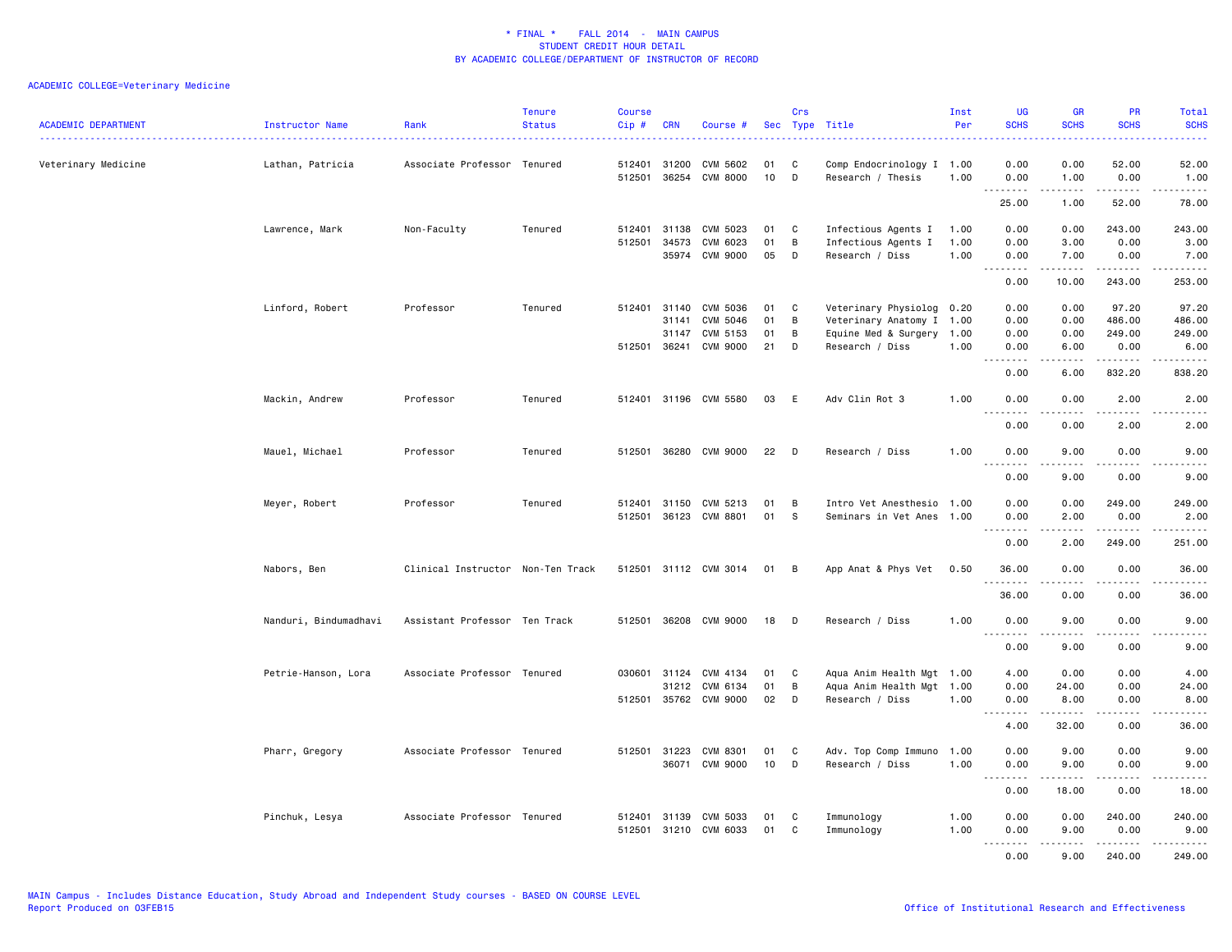| <b>ACADEMIC DEPARTMENT</b> | Instructor Name       | Rank                              | <b>Tenure</b><br><b>Status</b> | Course<br>Cip# | <b>CRN</b>   | Course #                          |                       | Crs          | Sec Type Title            | Inst<br>Per | <b>UG</b><br><b>SCHS</b>          | <b>GR</b><br><b>SCHS</b> | PR<br><b>SCHS</b>                          | Total<br><b>SCHS</b><br>22222                                                                                                                                 |
|----------------------------|-----------------------|-----------------------------------|--------------------------------|----------------|--------------|-----------------------------------|-----------------------|--------------|---------------------------|-------------|-----------------------------------|--------------------------|--------------------------------------------|---------------------------------------------------------------------------------------------------------------------------------------------------------------|
| Veterinary Medicine        | Lathan, Patricia      | Associate Professor Tenured       |                                |                | 512401 31200 | CVM 5602<br>512501 36254 CVM 8000 | 01<br>10 <sub>1</sub> | C<br>D       | Comp Endocrinology I 1.00 |             | 0.00                              | 0.00                     | 52.00                                      | 52.00                                                                                                                                                         |
|                            |                       |                                   |                                |                |              |                                   |                       |              | Research / Thesis         | 1.00        | 0.00<br>.                         | 1.00<br>.                | 0.00<br>$\sim$ $\sim$ $\sim$ $\sim$ $\sim$ | 1.00<br>$    -$                                                                                                                                               |
|                            |                       |                                   |                                |                |              |                                   |                       |              |                           |             | 25.00                             | 1.00                     | 52.00                                      | 78.00                                                                                                                                                         |
|                            | Lawrence, Mark        | Non-Faculty                       | Tenured                        |                | 512401 31138 | CVM 5023                          | 01                    | C            | Infectious Agents I       | 1.00        | 0.00                              | 0.00                     | 243.00                                     | 243.00                                                                                                                                                        |
|                            |                       |                                   |                                | 512501         | 34573        | CVM 6023                          | 01                    | $\, {\bf B}$ | Infectious Agents I       | 1.00        | 0.00                              | 3.00                     | 0.00                                       | 3.00                                                                                                                                                          |
|                            |                       |                                   |                                |                |              | 35974 CVM 9000                    | 05                    | D            | Research / Diss           | 1.00        | 0.00<br><u>.</u>                  | 7.00<br>$    -$          | 0.00<br>.                                  | 7.00                                                                                                                                                          |
|                            |                       |                                   |                                |                |              |                                   |                       |              |                           |             | 0.00                              | 10.00                    | 243.00                                     | 253.00                                                                                                                                                        |
|                            | Linford, Robert       | Professor                         | Tenured                        |                | 512401 31140 | CVM 5036                          | 01                    | C            | Veterinary Physiolog 0.20 |             | 0.00                              | 0.00                     | 97.20                                      | 97.20                                                                                                                                                         |
|                            |                       |                                   |                                |                | 31141        | CVM 5046                          | 01                    | B            | Veterinary Anatomy I 1.00 |             | 0.00                              | 0.00                     | 486.00                                     | 486.00                                                                                                                                                        |
|                            |                       |                                   |                                |                | 31147        | CVM 5153                          | 01                    | B            | Equine Med & Surgery 1.00 |             | 0.00                              | 0.00                     | 249.00                                     | 249.00                                                                                                                                                        |
|                            |                       |                                   |                                |                | 512501 36241 | CVM 9000                          | 21                    | D            | Research / Diss           | 1.00        | 0.00<br>.                         | 6.00<br>-----            | 0.00<br>.                                  | 6.00<br>$\begin{array}{cccccccccccccc} \bullet & \bullet & \bullet & \bullet & \bullet & \bullet & \bullet & \bullet \end{array}$                             |
|                            |                       |                                   |                                |                |              |                                   |                       |              |                           |             | 0.00                              | 6.00                     | 832.20                                     | 838.20                                                                                                                                                        |
|                            | Mackin, Andrew        | Professor                         | Tenured                        |                |              | 512401 31196 CVM 5580             | 03                    | E            | Adv Clin Rot 3            | 1.00        | 0.00                              | 0.00                     | 2.00                                       | 2.00                                                                                                                                                          |
|                            |                       |                                   |                                |                |              |                                   |                       |              |                           |             | .<br>0.00                         | <u>.</u><br>0.00         | .<br>2.00                                  | $- - - - -$<br>2.00                                                                                                                                           |
|                            |                       |                                   |                                |                |              |                                   |                       |              |                           |             |                                   |                          |                                            |                                                                                                                                                               |
|                            | Mauel, Michael        | Professor                         | Tenured                        |                |              | 512501 36280 CVM 9000             | 22                    | D            | Research / Diss           | 1.00        | 0.00<br>$\sim$ $\sim$ $\sim$<br>. | 9.00                     | 0.00<br>.                                  | 9.00                                                                                                                                                          |
|                            |                       |                                   |                                |                |              |                                   |                       |              |                           |             | 0.00                              | 9.00                     | 0.00                                       | 9.00                                                                                                                                                          |
|                            | Meyer, Robert         | Professor                         | Tenured                        |                |              | 512401 31150 CVM 5213             | 01                    | B            | Intro Vet Anesthesio 1.00 |             | 0.00                              | 0.00                     | 249.00                                     | 249.00                                                                                                                                                        |
|                            |                       |                                   |                                |                |              | 512501 36123 CVM 8801             | 01                    | s.           | Seminars in Vet Anes 1.00 |             | 0.00                              | 2.00<br>$\frac{1}{2}$    | 0.00<br>.                                  | 2.00                                                                                                                                                          |
|                            |                       |                                   |                                |                |              |                                   |                       |              |                           |             | .<br>0.00                         | 2.00                     | 249.00                                     | .<br>251.00                                                                                                                                                   |
|                            | Nabors, Ben           | Clinical Instructor Non-Ten Track |                                |                |              | 512501 31112 CVM 3014             | 01                    | B            | App Anat & Phys Vet       | 0.50        | 36.00                             | 0.00                     | 0.00                                       | 36.00                                                                                                                                                         |
|                            |                       |                                   |                                |                |              |                                   |                       |              |                           |             | .                                 |                          |                                            | .                                                                                                                                                             |
|                            |                       |                                   |                                |                |              |                                   |                       |              |                           |             | 36.00                             | 0.00                     | 0.00                                       | 36.00                                                                                                                                                         |
|                            | Nanduri, Bindumadhavi | Assistant Professor Ten Track     |                                |                |              | 512501 36208 CVM 9000             | 18                    | D            | Research / Diss           | 1.00        | 0.00                              | 9.00                     | 0.00                                       | 9.00                                                                                                                                                          |
|                            |                       |                                   |                                |                |              |                                   |                       |              |                           |             | .<br>0.00                         | 9.00                     | 0.00                                       | $- - - -$<br>9.00                                                                                                                                             |
|                            | Petrie-Hanson, Lora   | Associate Professor Tenured       |                                |                | 030601 31124 | CVM 4134                          | 01                    | C            | Aqua Anim Health Mgt 1.00 |             | 4.00                              | 0.00                     | 0.00                                       | 4.00                                                                                                                                                          |
|                            |                       |                                   |                                |                |              | 31212 CVM 6134                    | 01                    | B            | Aqua Anim Health Mgt 1.00 |             | 0.00                              | 24.00                    | 0.00                                       | 24.00                                                                                                                                                         |
|                            |                       |                                   |                                |                |              | 512501 35762 CVM 9000             | 02                    | D            | Research / Diss           | 1.00        | 0.00                              | 8.00                     | 0.00                                       | 8.00                                                                                                                                                          |
|                            |                       |                                   |                                |                |              |                                   |                       |              |                           |             | .<br>4.00                         | .<br>32.00               | .<br>0.00                                  | $\frac{1}{2} \left( \frac{1}{2} \right) \left( \frac{1}{2} \right) \left( \frac{1}{2} \right) \left( \frac{1}{2} \right) \left( \frac{1}{2} \right)$<br>36.00 |
|                            |                       |                                   |                                |                |              |                                   |                       |              |                           |             |                                   |                          |                                            |                                                                                                                                                               |
|                            | Pharr, Gregory        | Associate Professor Tenured       |                                |                | 512501 31223 | CVM 8301                          | 01                    | C            | Adv. Top Comp Immuno      | 1.00        | 0.00                              | 9.00                     | 0.00                                       | 9.00                                                                                                                                                          |
|                            |                       |                                   |                                |                |              | 36071 CVM 9000                    | 10                    | D            | Research / Diss           | 1.00        | 0.00<br>.                         | 9.00<br>.                | 0.00<br>.                                  | 9.00<br>.                                                                                                                                                     |
|                            |                       |                                   |                                |                |              |                                   |                       |              |                           |             | 0.00                              | 18.00                    | 0.00                                       | 18.00                                                                                                                                                         |
|                            | Pinchuk, Lesya        | Associate Professor Tenured       |                                |                | 512401 31139 | CVM 5033                          | 01                    | C            | Immunology                | 1.00        | 0.00                              | 0.00                     | 240.00                                     | 240.00                                                                                                                                                        |
|                            |                       |                                   |                                |                |              | 512501 31210 CVM 6033             | 01                    | C            | Immunology                | 1.00        | 0.00                              | 9.00                     | 0.00                                       | 9.00                                                                                                                                                          |
|                            |                       |                                   |                                |                |              |                                   |                       |              |                           |             | 2.2.2.2.2                         | <b>.</b>                 | .                                          | <u>.</u>                                                                                                                                                      |
|                            |                       |                                   |                                |                |              |                                   |                       |              |                           |             | 0.00                              | 9.00                     | 240.00                                     | 249.00                                                                                                                                                        |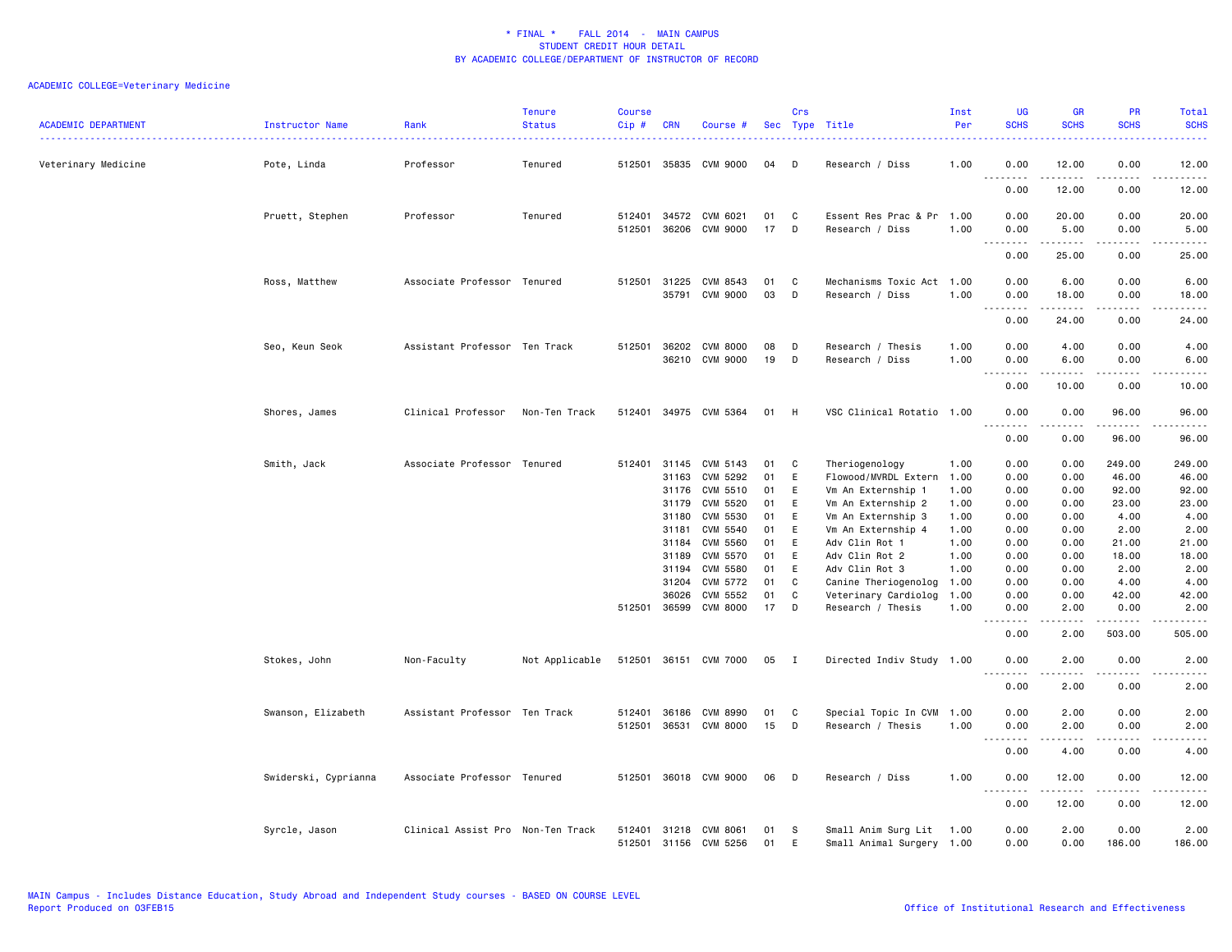| <b>ACADEMIC DEPARTMENT</b> | Instructor Name      | Rank                              | <b>Tenure</b><br><b>Status</b> | <b>Course</b><br>Cip# | <b>CRN</b>     | Course #                           |          | Crs            | Sec Type Title                               | Inst<br>Per  | <b>UG</b><br><b>SCHS</b>                             | <b>GR</b><br><b>SCHS</b>                                                                                                                                      | PR<br><b>SCHS</b>              | Total<br><b>SCHS</b>                                                                                                                                          |
|----------------------------|----------------------|-----------------------------------|--------------------------------|-----------------------|----------------|------------------------------------|----------|----------------|----------------------------------------------|--------------|------------------------------------------------------|---------------------------------------------------------------------------------------------------------------------------------------------------------------|--------------------------------|---------------------------------------------------------------------------------------------------------------------------------------------------------------|
| Veterinary Medicine        | Pote, Linda          | Professor                         | Tenured                        | 512501                |                | 35835 CVM 9000                     | 04       | D              | Research / Diss                              | 1.00         | 0.00<br>.                                            | 12.00<br>$- - - - -$                                                                                                                                          | 0.00<br>$- - - -$              | 12.00<br>$\frac{1}{2}$                                                                                                                                        |
|                            |                      |                                   |                                |                       |                |                                    |          |                |                                              |              | 0.00                                                 | 12.00                                                                                                                                                         | 0.00                           | 12.00                                                                                                                                                         |
|                            | Pruett, Stephen      | Professor                         | Tenured                        | 512401<br>512501      | 36206          | 34572 CVM 6021<br>CVM 9000         | 01<br>17 | C<br>D         | Essent Res Prac & Pr 1.00<br>Research / Diss | 1.00         | 0.00<br>0.00                                         | 20.00<br>5.00                                                                                                                                                 | 0.00<br>0.00                   | 20.00<br>5.00                                                                                                                                                 |
|                            |                      |                                   |                                |                       |                |                                    |          |                |                                              |              | .<br>0.00                                            | $\frac{1}{2} \left( \frac{1}{2} \right) \left( \frac{1}{2} \right) \left( \frac{1}{2} \right) \left( \frac{1}{2} \right) \left( \frac{1}{2} \right)$<br>25.00 | $\omega$ is a $\omega$<br>0.00 | $\sim$ $\sim$ $\sim$ $\sim$ $\sim$<br>25.00                                                                                                                   |
|                            | Ross, Matthew        | Associate Professor Tenured       |                                | 512501                | 31225<br>35791 | CVM 8543<br>CVM 9000               | 01<br>03 | C<br>D         | Mechanisms Toxic Act 1.00<br>Research / Diss | 1.00         | 0.00<br>0.00                                         | 6.00<br>18.00                                                                                                                                                 | 0.00<br>0.00                   | 6.00<br>18.00                                                                                                                                                 |
|                            |                      |                                   |                                |                       |                |                                    |          |                |                                              |              | $\sim$ $\sim$ $\sim$ $\sim$<br>$\sim$ $\sim$<br>0.00 | $\frac{1}{2} \left( \frac{1}{2} \right) \left( \frac{1}{2} \right) \left( \frac{1}{2} \right) \left( \frac{1}{2} \right) \left( \frac{1}{2} \right)$<br>24.00 | .<br>0.00                      | $\frac{1}{2} \left( \frac{1}{2} \right) \left( \frac{1}{2} \right) \left( \frac{1}{2} \right) \left( \frac{1}{2} \right) \left( \frac{1}{2} \right)$<br>24.00 |
|                            | Seo, Keun Seok       | Assistant Professor Ten Track     |                                | 512501                | 36202<br>36210 | <b>CVM 8000</b><br><b>CVM 9000</b> | 08<br>19 | D<br>D         | Research / Thesis<br>Research / Diss         | 1.00<br>1.00 | 0.00<br>0.00                                         | 4.00<br>6.00                                                                                                                                                  | 0.00<br>0.00                   | 4.00<br>6.00                                                                                                                                                  |
|                            |                      |                                   |                                |                       |                |                                    |          |                |                                              |              | 0.00                                                 | $\cdots \cdots \cdots$<br>10.00                                                                                                                               | $\sim$ $\sim$ $\sim$<br>0.00   | $\frac{1}{2} \left( \frac{1}{2} \right) \left( \frac{1}{2} \right) \left( \frac{1}{2} \right) \left( \frac{1}{2} \right) \left( \frac{1}{2} \right)$<br>10.00 |
|                            | Shores, James        | Clinical Professor                | Non-Ten Track                  | 512401                |                | 34975 CVM 5364                     | 01       | H              | VSC Clinical Rotatio 1.00                    |              | 0.00                                                 | 0.00                                                                                                                                                          | 96.00                          | 96.00<br>.                                                                                                                                                    |
|                            |                      |                                   |                                |                       |                |                                    |          |                |                                              |              | 0.00                                                 | 0.00                                                                                                                                                          | 96.00                          | 96.00                                                                                                                                                         |
|                            | Smith, Jack          | Associate Professor Tenured       |                                | 512401                | 31145<br>31163 | CVM 5143<br>CVM 5292               | 01<br>01 | C<br>E         | Theriogenology                               | 1.00<br>1.00 | 0.00                                                 | 0.00                                                                                                                                                          | 249.00<br>46.00                | 249.00                                                                                                                                                        |
|                            |                      |                                   |                                |                       | 31176          | CVM 5510                           | 01       | E              | Flowood/MVRDL Extern<br>Vm An Externship 1   | 1.00         | 0.00<br>0.00                                         | 0.00<br>0.00                                                                                                                                                  | 92.00                          | 46.00<br>92.00                                                                                                                                                |
|                            |                      |                                   |                                |                       | 31179          | CVM 5520                           | 01       | E              | Vm An Externship 2                           | 1.00         | 0.00                                                 | 0.00                                                                                                                                                          | 23.00                          | 23.00                                                                                                                                                         |
|                            |                      |                                   |                                |                       | 31180          | CVM 5530                           | 01       | E              | Vm An Externship 3                           | 1.00         | 0.00                                                 | 0.00                                                                                                                                                          | 4.00                           | 4.00                                                                                                                                                          |
|                            |                      |                                   |                                |                       | 31181          | CVM 5540                           | 01       | E              | Vm An Externship 4                           | 1.00         | 0.00                                                 | 0.00                                                                                                                                                          | 2.00                           | 2.00                                                                                                                                                          |
|                            |                      |                                   |                                |                       | 31184          | CVM 5560                           | 01       | E              | Adv Clin Rot 1                               | 1.00         | 0.00                                                 | 0.00                                                                                                                                                          | 21.00                          | 21.00                                                                                                                                                         |
|                            |                      |                                   |                                |                       | 31189          | CVM 5570                           | 01       | E              | Adv Clin Rot 2                               | 1.00         | 0.00                                                 | 0.00                                                                                                                                                          | 18.00                          | 18.00                                                                                                                                                         |
|                            |                      |                                   |                                |                       | 31194          | CVM 5580                           | 01       | E              | Adv Clin Rot 3                               | 1.00         | 0.00                                                 | 0.00                                                                                                                                                          | 2.00                           | 2.00                                                                                                                                                          |
|                            |                      |                                   |                                |                       | 31204          | CVM 5772                           | 01       | C              | Canine Theriogenolog                         | 1.00         | 0.00                                                 | 0.00                                                                                                                                                          | 4.00                           | 4.00                                                                                                                                                          |
|                            |                      |                                   |                                |                       | 36026          | CVM 5552                           | 01       | C              | Veterinary Cardiolog                         | 1.00         | 0.00                                                 | 0.00                                                                                                                                                          | 42.00                          | 42.00                                                                                                                                                         |
|                            |                      |                                   |                                | 512501                | 36599          | CVM 8000                           | 17       | D              | Research / Thesis                            | 1.00         | 0.00<br>.                                            | 2.00<br>.                                                                                                                                                     | 0.00<br>.                      | 2.00<br>المتمالين                                                                                                                                             |
|                            |                      |                                   |                                |                       |                |                                    |          |                |                                              |              | 0.00                                                 | 2.00                                                                                                                                                          | 503.00                         | 505.00                                                                                                                                                        |
|                            | Stokes, John         | Non-Faculty                       | Not Applicable                 |                       |                | 512501 36151 CVM 7000              | 05       | $\blacksquare$ | Directed Indiv Study 1.00                    |              | 0.00<br>$\sim$ $\sim$ $\sim$                         | 2.00                                                                                                                                                          | 0.00                           | 2.00<br>----                                                                                                                                                  |
|                            |                      |                                   |                                |                       |                |                                    |          |                |                                              |              | 0.00                                                 | 2.00                                                                                                                                                          | 0.00                           | 2.00                                                                                                                                                          |
|                            | Swanson, Elizabeth   | Assistant Professor Ten Track     |                                | 512401                | 36186          | CVM 8990                           | 01       | C              | Special Topic In CVM 1.00                    |              | 0.00                                                 | 2.00                                                                                                                                                          | 0.00                           | 2.00                                                                                                                                                          |
|                            |                      |                                   |                                |                       |                | 512501 36531 CVM 8000              | 15       | D              | Research / Thesis                            | 1.00         | 0.00<br>$- - - -$                                    | 2.00<br>-----                                                                                                                                                 | 0.00<br>.                      | 2.00<br>$- - - - -$                                                                                                                                           |
|                            |                      |                                   |                                |                       |                |                                    |          |                |                                              |              | 0.00                                                 | 4.00                                                                                                                                                          | 0.00                           | 4.00                                                                                                                                                          |
|                            | Swiderski, Cyprianna | Associate Professor Tenured       |                                | 512501                |                | 36018 CVM 9000                     | 06       | D              | Research / Diss                              | 1.00         | 0.00                                                 | 12.00                                                                                                                                                         | 0.00                           | 12.00                                                                                                                                                         |
|                            |                      |                                   |                                |                       |                |                                    |          |                |                                              |              | .<br>0.00                                            | <u>.</u><br>12.00                                                                                                                                             | $- - - -$<br>0.00              | .<br>12.00                                                                                                                                                    |
|                            | Syrcle, Jason        | Clinical Assist Pro Non-Ten Track |                                | 512401                |                | 31218 CVM 8061                     | 01       | s              | Small Anim Surg Lit 1.00                     |              | 0.00                                                 | 2.00                                                                                                                                                          | 0.00                           | 2.00                                                                                                                                                          |
|                            |                      |                                   |                                | 512501                | 31156          | CVM 5256                           | 01       | E              | Small Animal Surgery 1.00                    |              | 0.00                                                 | 0.00                                                                                                                                                          | 186.00                         | 186.00                                                                                                                                                        |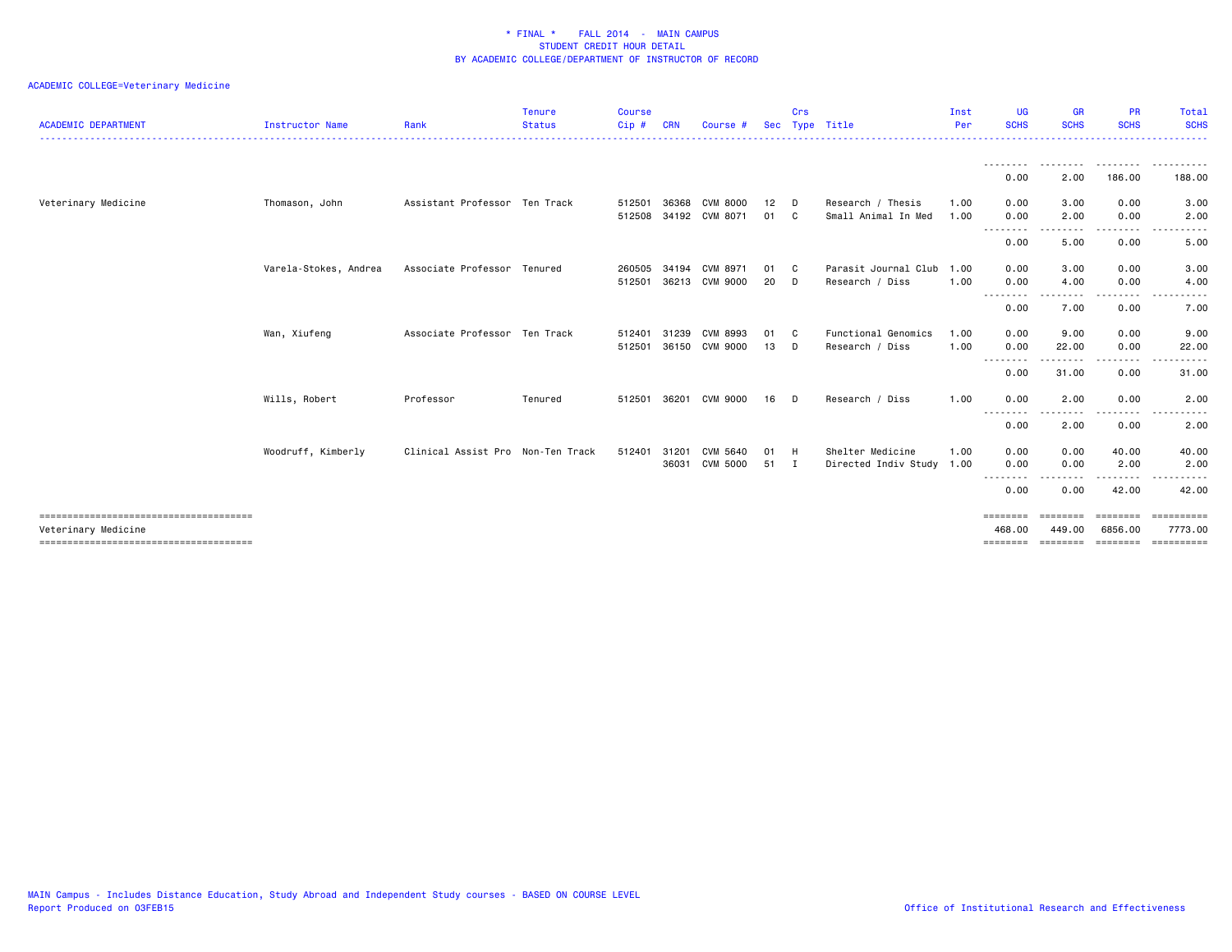| <b>ACADEMIC DEPARTMENT</b> | <b>Instructor Name</b> | Rank                              | <b>Tenure</b><br><b>Status</b> | <b>Course</b><br>Cip# | <b>CRN</b> | Course #              |    | Crs          | Sec Type Title            | Inst<br>Per | <b>UG</b><br><b>SCHS</b> | <b>GR</b><br><b>SCHS</b> | <b>PR</b><br><b>SCHS</b> | Total<br><b>SCHS</b><br>. <u>.</u> . |
|----------------------------|------------------------|-----------------------------------|--------------------------------|-----------------------|------------|-----------------------|----|--------------|---------------------------|-------------|--------------------------|--------------------------|--------------------------|--------------------------------------|
|                            |                        |                                   |                                |                       |            |                       |    |              |                           |             |                          |                          |                          |                                      |
|                            |                        |                                   |                                |                       |            |                       |    |              |                           |             | 0.00                     | 2.00                     | 186.00                   | 188.00                               |
| Veterinary Medicine        | Thomason, John         | Assistant Professor Ten Track     |                                | 512501                | 36368      | CVM 8000              | 12 | D            | Research / Thesis         | 1.00        | 0.00                     | 3.00                     | 0.00                     | 3.00                                 |
|                            |                        |                                   |                                |                       |            | 512508 34192 CVM 8071 | 01 | C.           | Small Animal In Med       | 1.00        | 0.00                     | 2.00<br>$\cdots$         | 0.00<br>. <b>.</b> .     | 2.00                                 |
|                            |                        |                                   |                                |                       |            |                       |    |              |                           |             | .<br>0.00                | 5.00                     | 0.00                     | 5.00                                 |
|                            | Varela-Stokes, Andrea  | Associate Professor Tenured       |                                | 260505 34194          |            | CVM 8971              | 01 | C            | Parasit Journal Club      | 1.00        | 0.00                     | 3.00                     | 0.00                     | 3.00                                 |
|                            |                        |                                   |                                | 512501                |            | 36213 CVM 9000        | 20 | D            | Research / Diss           | 1.00        | 0.00                     | 4.00                     | 0.00                     | 4.00                                 |
|                            |                        |                                   |                                |                       |            |                       |    |              |                           |             | .<br>0.00                | . <u>.</u> .<br>7.00     | $\frac{1}{2}$<br>0.00    | ----<br>7.00                         |
|                            | Wan, Xiufeng           | Associate Professor Ten Track     |                                | 512401                | 31239      | CVM 8993              | 01 | C            | Functional Genomics       | 1.00        | 0.00                     | 9.00                     | 0.00                     | 9.00                                 |
|                            |                        |                                   |                                | 512501                | 36150      | CVM 9000              | 13 | D            | Research / Diss           | 1.00        | 0.00                     | 22.00                    | 0.00                     | 22.00                                |
|                            |                        |                                   |                                |                       |            |                       |    |              |                           |             | .<br>0.00                | ---------<br>31.00       | -----<br>0.00            | .<br>31.00                           |
|                            | Wills, Robert          | Professor                         | Tenured                        | 512501                |            | 36201 CVM 9000        | 16 | D            | Research / Diss           | 1.00        | 0.00<br>--------         | 2.00<br>$- - - -$        | 0.00<br>.                | 2.00                                 |
|                            |                        |                                   |                                |                       |            |                       |    |              |                           |             | 0.00                     | 2.00                     | 0.00                     | 2.00                                 |
|                            | Woodruff, Kimberly     | Clinical Assist Pro Non-Ten Track |                                | 512401                | 31201      | CVM 5640              | 01 | H            | Shelter Medicine          | 1.00        | 0.00                     | 0.00                     | 40.00                    | 40.00                                |
|                            |                        |                                   |                                |                       | 36031      | <b>CVM 5000</b>       | 51 | $\mathbf{I}$ | Directed Indiv Study 1.00 |             | 0.00                     | 0.00                     | 2.00                     | 2.00                                 |
|                            |                        |                                   |                                |                       |            |                       |    |              |                           |             | --------<br>0.00         | 0.00                     | 42.00                    | 42.00                                |
| Veterinary Medicine        |                        |                                   |                                |                       |            |                       |    |              |                           |             | ========<br>468.00       | --------<br>449.00       | ========<br>6856.00      | <b>SEREESEES</b><br>7773.00          |
|                            |                        |                                   |                                |                       |            |                       |    |              |                           |             | $=$ = = = = = = =        | <b>EEEEEEE</b>           |                          | ==========                           |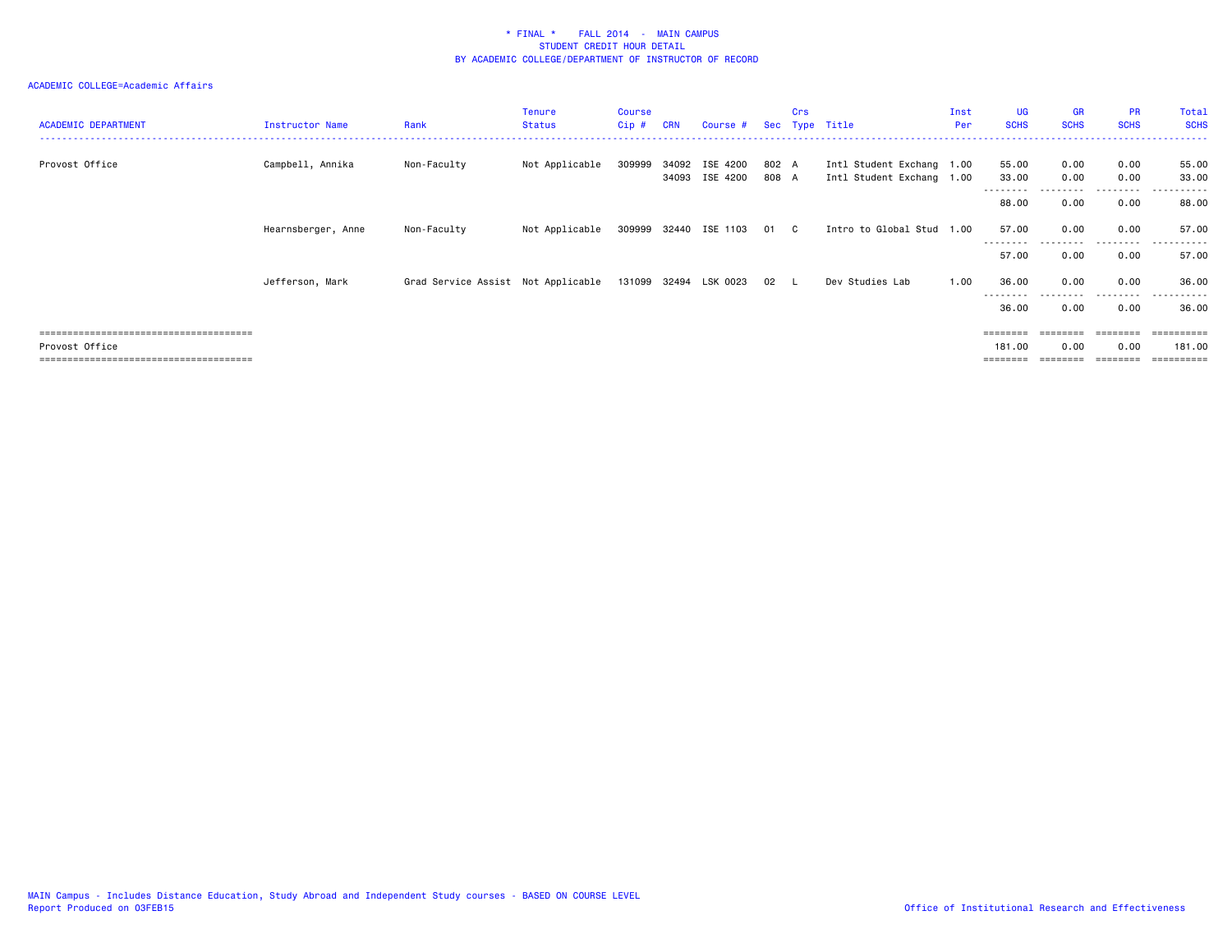### ACADEMIC COLLEGE=Academic Affairs

| <b>ACADEMIC DEPARTMENT</b> | Instructor Name    | Rank                               | Tenure<br><b>Status</b> | Course<br>Cip# | <b>CRN</b> | Course #                         |                | <b>Crs</b> | Sec Type Title                                         | Inst<br>Per | UG<br><b>SCHS</b>          | <b>GR</b><br><b>SCHS</b> | <b>PR</b><br><b>SCHS</b> | Total<br><b>SCHS</b>     |
|----------------------------|--------------------|------------------------------------|-------------------------|----------------|------------|----------------------------------|----------------|------------|--------------------------------------------------------|-------------|----------------------------|--------------------------|--------------------------|--------------------------|
| Provost Office             | Campbell, Annika   | Non-Faculty                        | Not Applicable          | 309999         |            | 34092 ISE 4200<br>34093 ISE 4200 | 802 A<br>808 A |            | Intl Student Exchang 1.00<br>Intl Student Exchang 1.00 |             | 55.00<br>33.00<br>-------- | 0.00<br>0.00             | 0.00<br>0.00<br>-------- | 55.00<br>33.00<br>------ |
|                            |                    |                                    |                         |                |            |                                  |                |            |                                                        |             | 88.00                      | 0.00                     | 0.00                     | 88.00                    |
|                            | Hearnsberger, Anne | Non-Faculty                        | Not Applicable          |                |            | 309999 32440 ISE 1103 01 C       |                |            | Intro to Global Stud 1.00                              |             | 57.00                      | 0.00                     | 0.00                     | 57.00                    |
|                            |                    |                                    |                         |                |            |                                  |                |            |                                                        |             | ---------<br>57.00         | .<br>0.00                | .<br>0.00                | .<br>57.00               |
|                            | Jefferson, Mark    | Grad Service Assist Not Applicable |                         |                |            | 131099 32494 LSK 0023            | 02 L           |            | Dev Studies Lab                                        | 1.00        | 36.00                      | 0.00                     | 0.00                     | 36.00                    |
|                            |                    |                                    |                         |                |            |                                  |                |            |                                                        |             | 36.00                      | 0.00                     | 0.00                     | 36.00                    |
|                            |                    |                                    |                         |                |            |                                  |                |            |                                                        |             | $=$ = = = = = = =          | ========                 | ========                 |                          |
| Provost Office             |                    |                                    |                         |                |            |                                  |                |            |                                                        |             | 181.00                     | 0.00                     | 0.00                     | 181.00                   |
|                            |                    |                                    |                         |                |            |                                  |                |            |                                                        |             |                            |                          |                          | $=$ = = = = = = = = =    |